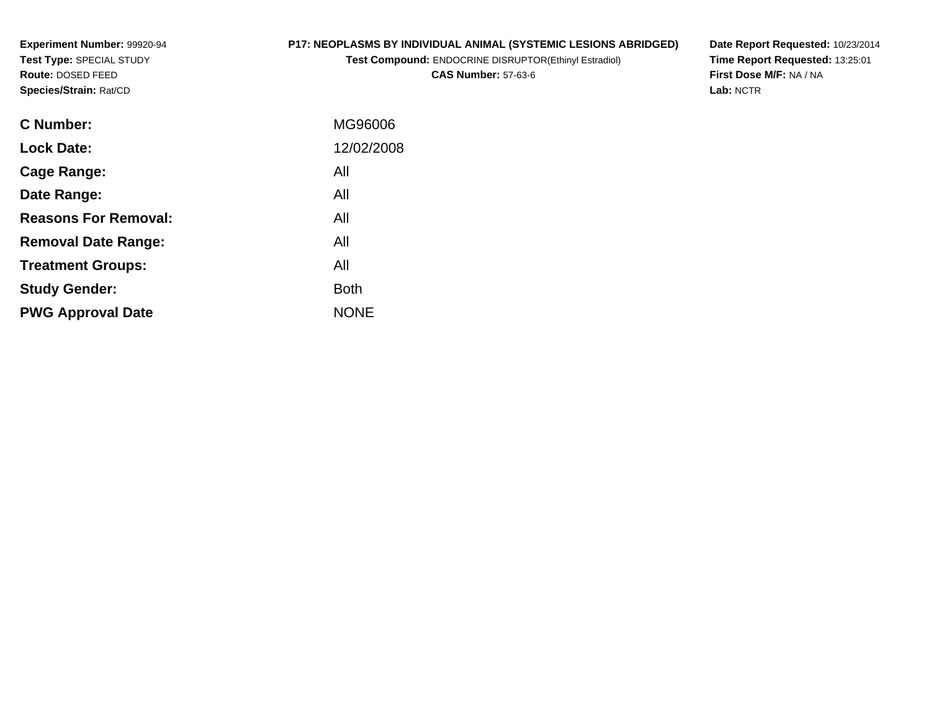**Experiment Number:** 99920-94**Test Type:** SPECIAL STUDY**Route:** DOSED FEED**Species/Strain:** Rat/CD

# **P17: NEOPLASMS BY INDIVIDUAL ANIMAL (SYSTEMIC LESIONS ABRIDGED)**

**Test Compound:** ENDOCRINE DISRUPTOR(Ethinyl Estradiol)

**CAS Number:** 57-63-6

**Date Report Requested:** 10/23/2014 **Time Report Requested:** 13:25:01**First Dose M/F:** NA / NA**Lab:** NCTR

| <b>C</b> Number:            | MG96006     |
|-----------------------------|-------------|
| <b>Lock Date:</b>           | 12/02/2008  |
| Cage Range:                 | All         |
| Date Range:                 | All         |
| <b>Reasons For Removal:</b> | All         |
| <b>Removal Date Range:</b>  | All         |
| <b>Treatment Groups:</b>    | All         |
| <b>Study Gender:</b>        | <b>Both</b> |
| <b>PWG Approval Date</b>    | <b>NONE</b> |
|                             |             |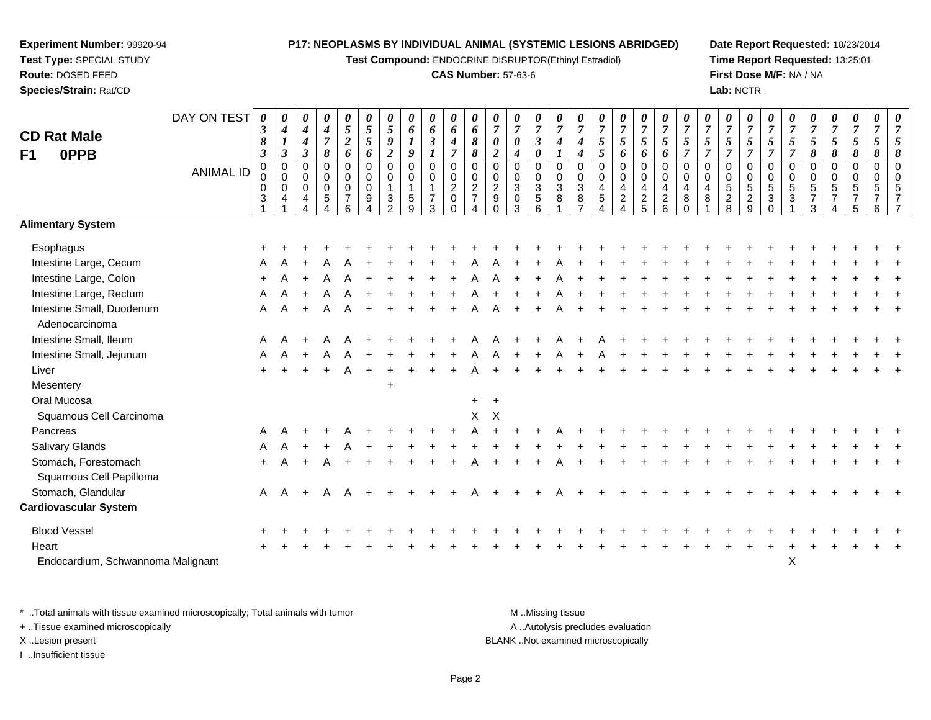**Test Compound:** ENDOCRINE DISRUPTOR(Ethinyl Estradiol)

#### **CAS Number:** 57-63-6

**Date Report Requested:** 10/23/2014**Time Report Requested:** 13:25:01**First Dose M/F:** NA / NA**Lab:** NCTR

| <b>CD Rat Male</b><br>0PPB<br>F1                | DAY ON TEST<br><b>ANIMAL ID</b> | 0<br>$\boldsymbol{\beta}$<br>8<br>$\mathfrak{z}$<br>$\pmb{0}$<br>0<br>$\mathbf 0$<br>$\mathbf{3}$ | 0<br>$\boldsymbol{4}$<br>$\boldsymbol{l}$<br>$\boldsymbol{\beta}$<br>$\mathbf 0$<br>$\mathbf 0$<br>$\mathbf 0$<br>$\overline{4}$ | 0<br>4<br>4<br>$\mathfrak{z}$<br>$\Omega$<br>0<br>$\mathbf 0$<br>4 | $\boldsymbol{\theta}$<br>$\boldsymbol{4}$<br>$\overline{7}$<br>8<br>$\mathbf 0$<br>0<br>$\mathbf 0$<br>5 | $\pmb{\theta}$<br>$\sqrt{5}$<br>$\boldsymbol{2}$<br>6<br>$\pmb{0}$<br>$\mathbf 0$<br>$\pmb{0}$<br>$\overline{7}$<br>6 | 0<br>$\mathfrak{s}$<br>5<br>6<br>$\mathbf 0$<br>0<br>$\mathbf 0$<br>9 | 0<br>$\mathfrak{s}$<br>9<br>$\boldsymbol{2}$<br>$\mathbf 0$<br>$\mathbf 0$<br>$\mathbf{1}$<br>3<br>$\mathcal{P}$ | 0<br>6<br>9<br>$\mathbf 0$<br>$\mathbf 0$<br>1<br>5<br>9 | 0<br>6<br>$\mathfrak{z}$<br>$\mathbf 0$<br>$\pmb{0}$<br>$\mathbf{1}$<br>$\overline{7}$<br>3 | $\pmb{\theta}$<br>6<br>$\boldsymbol{4}$<br>$\overline{7}$<br>$\mathbf 0$<br>$\pmb{0}$<br>$\boldsymbol{2}$<br>0<br>$\Omega$ | $\pmb{\theta}$<br>6<br>$\pmb{8}$<br>$\pmb{8}$<br>0<br>$\pmb{0}$<br>$\sqrt{2}$<br>$\overline{7}$ | $\boldsymbol{\theta}$<br>$\overline{7}$<br>$\boldsymbol{\theta}$<br>$\overline{2}$<br>$\overline{0}$<br>$\mathbf 0$<br>$\overline{c}$<br>9<br>$\Omega$ | 0<br>$\overline{7}$<br>0<br>4<br>$\Omega$<br>0<br>3<br>$\mathbf 0$<br>3 | 0<br>$\overline{7}$<br>$\boldsymbol{\beta}$<br>$\boldsymbol{\theta}$<br>$\pmb{0}$<br>$\pmb{0}$<br>$\ensuremath{\mathsf{3}}$<br>$\,$ 5 $\,$<br>6 | 0<br>$\overline{7}$<br>$\boldsymbol{4}$<br>$\pmb{0}$<br>$\pmb{0}$<br>$\sqrt{3}$<br>8 | 0<br>$\overline{7}$<br>4<br>4<br>$\Omega$<br>0<br>$\sqrt{3}$<br>8 | 0<br>$\overline{7}$<br>$\mathfrak{s}$<br>5<br>$\overline{0}$<br>$\mathbf 0$<br>$\overline{4}$<br>5 | 0<br>$\overline{7}$<br>5<br>6<br>0<br>0<br>4<br>$\overline{a}$ | 0<br>$\overline{7}$<br>$\mathfrak{H}$<br>6<br>$\pmb{0}$<br>$\pmb{0}$<br>$\overline{\mathbf{4}}$<br>$rac{2}{5}$ | $\pmb{\theta}$<br>$\overline{7}$<br>$\mathfrak{s}$<br>6<br>$\pmb{0}$<br>$\pmb{0}$<br>$\overline{a}$<br>$\begin{array}{c} 2 \\ 6 \end{array}$ | $\pmb{\theta}$<br>$\overline{7}$<br>5<br>$\overline{7}$<br>$\Omega$<br>0<br>$\overline{4}$<br>8<br>$\Omega$ | 0<br>$\overline{7}$<br>5<br>$\overline{7}$<br>$\mathbf 0$<br>$\mathbf 0$<br>4<br>8 | 0<br>$\overline{7}$<br>5<br>$\overline{\tau}$<br>$\mathbf 0$<br>0<br>5<br>$\overline{c}$<br>8 | 0<br>$\overline{7}$<br>$\mathfrak{H}$<br>$\overline{7}$<br>$\pmb{0}$<br>$\pmb{0}$<br>$\,$ 5 $\,$<br>$\frac{2}{9}$ | 0<br>$\overline{7}$<br>5<br>$\overline{7}$<br>$\mathbf 0$<br>$\mathbf 0$<br>$\sqrt{5}$<br>$\mathbf{3}$<br>$\Omega$ | 0<br>$\overline{7}$<br>$\mathfrak{s}$<br>$\overline{7}$<br>$\mathbf{0}$<br>0<br>5<br>3 | $\overline{7}$<br>5<br>8<br>$\Omega$<br>$\Omega$<br>5<br>3 | 0<br>$\overline{7}$<br>5<br>8<br>$\mathbf 0$<br>$\Omega$<br>5 | 0<br>$\overline{7}$<br>$\mathfrak{H}$<br>8<br>$\pmb{0}$<br>0<br>5 | $\pmb{\theta}$<br>$\overline{7}$<br>5<br>8<br>$\pmb{0}$<br>$\mathbf 0$<br>5<br>6 | $\frac{\theta}{7}$<br>8 |
|-------------------------------------------------|---------------------------------|---------------------------------------------------------------------------------------------------|----------------------------------------------------------------------------------------------------------------------------------|--------------------------------------------------------------------|----------------------------------------------------------------------------------------------------------|-----------------------------------------------------------------------------------------------------------------------|-----------------------------------------------------------------------|------------------------------------------------------------------------------------------------------------------|----------------------------------------------------------|---------------------------------------------------------------------------------------------|----------------------------------------------------------------------------------------------------------------------------|-------------------------------------------------------------------------------------------------|--------------------------------------------------------------------------------------------------------------------------------------------------------|-------------------------------------------------------------------------|-------------------------------------------------------------------------------------------------------------------------------------------------|--------------------------------------------------------------------------------------|-------------------------------------------------------------------|----------------------------------------------------------------------------------------------------|----------------------------------------------------------------|----------------------------------------------------------------------------------------------------------------|----------------------------------------------------------------------------------------------------------------------------------------------|-------------------------------------------------------------------------------------------------------------|------------------------------------------------------------------------------------|-----------------------------------------------------------------------------------------------|-------------------------------------------------------------------------------------------------------------------|--------------------------------------------------------------------------------------------------------------------|----------------------------------------------------------------------------------------|------------------------------------------------------------|---------------------------------------------------------------|-------------------------------------------------------------------|----------------------------------------------------------------------------------|-------------------------|
| <b>Alimentary System</b>                        |                                 |                                                                                                   |                                                                                                                                  |                                                                    |                                                                                                          |                                                                                                                       |                                                                       |                                                                                                                  |                                                          |                                                                                             |                                                                                                                            |                                                                                                 |                                                                                                                                                        |                                                                         |                                                                                                                                                 |                                                                                      |                                                                   |                                                                                                    |                                                                |                                                                                                                |                                                                                                                                              |                                                                                                             |                                                                                    |                                                                                               |                                                                                                                   |                                                                                                                    |                                                                                        |                                                            |                                                               |                                                                   |                                                                                  |                         |
| Esophagus                                       |                                 |                                                                                                   |                                                                                                                                  |                                                                    |                                                                                                          |                                                                                                                       |                                                                       |                                                                                                                  |                                                          |                                                                                             |                                                                                                                            |                                                                                                 |                                                                                                                                                        |                                                                         |                                                                                                                                                 |                                                                                      |                                                                   |                                                                                                    |                                                                |                                                                                                                |                                                                                                                                              |                                                                                                             |                                                                                    |                                                                                               |                                                                                                                   |                                                                                                                    |                                                                                        |                                                            |                                                               |                                                                   |                                                                                  |                         |
| Intestine Large, Cecum                          |                                 | A                                                                                                 |                                                                                                                                  |                                                                    |                                                                                                          |                                                                                                                       |                                                                       |                                                                                                                  |                                                          |                                                                                             |                                                                                                                            |                                                                                                 |                                                                                                                                                        |                                                                         |                                                                                                                                                 |                                                                                      |                                                                   |                                                                                                    |                                                                |                                                                                                                |                                                                                                                                              |                                                                                                             |                                                                                    |                                                                                               |                                                                                                                   |                                                                                                                    |                                                                                        |                                                            |                                                               |                                                                   |                                                                                  |                         |
| Intestine Large, Colon                          |                                 |                                                                                                   |                                                                                                                                  |                                                                    |                                                                                                          |                                                                                                                       |                                                                       |                                                                                                                  |                                                          |                                                                                             |                                                                                                                            |                                                                                                 |                                                                                                                                                        |                                                                         |                                                                                                                                                 |                                                                                      |                                                                   |                                                                                                    |                                                                |                                                                                                                |                                                                                                                                              |                                                                                                             |                                                                                    |                                                                                               |                                                                                                                   |                                                                                                                    |                                                                                        |                                                            |                                                               |                                                                   |                                                                                  |                         |
| Intestine Large, Rectum                         |                                 | A                                                                                                 |                                                                                                                                  |                                                                    | A                                                                                                        |                                                                                                                       |                                                                       |                                                                                                                  |                                                          |                                                                                             |                                                                                                                            |                                                                                                 |                                                                                                                                                        |                                                                         |                                                                                                                                                 |                                                                                      |                                                                   |                                                                                                    |                                                                |                                                                                                                |                                                                                                                                              |                                                                                                             |                                                                                    |                                                                                               |                                                                                                                   |                                                                                                                    |                                                                                        |                                                            |                                                               |                                                                   |                                                                                  |                         |
| Intestine Small, Duodenum<br>Adenocarcinoma     |                                 | A                                                                                                 |                                                                                                                                  |                                                                    | А                                                                                                        |                                                                                                                       |                                                                       |                                                                                                                  |                                                          |                                                                                             |                                                                                                                            |                                                                                                 |                                                                                                                                                        |                                                                         |                                                                                                                                                 |                                                                                      |                                                                   |                                                                                                    |                                                                |                                                                                                                |                                                                                                                                              |                                                                                                             |                                                                                    |                                                                                               |                                                                                                                   |                                                                                                                    |                                                                                        |                                                            |                                                               |                                                                   |                                                                                  |                         |
| Intestine Small, Ileum                          |                                 | A                                                                                                 |                                                                                                                                  |                                                                    |                                                                                                          |                                                                                                                       |                                                                       |                                                                                                                  |                                                          |                                                                                             |                                                                                                                            |                                                                                                 |                                                                                                                                                        |                                                                         |                                                                                                                                                 |                                                                                      |                                                                   |                                                                                                    |                                                                |                                                                                                                |                                                                                                                                              |                                                                                                             |                                                                                    |                                                                                               |                                                                                                                   |                                                                                                                    |                                                                                        |                                                            |                                                               |                                                                   |                                                                                  |                         |
| Intestine Small, Jejunum                        |                                 | A                                                                                                 |                                                                                                                                  |                                                                    |                                                                                                          |                                                                                                                       |                                                                       |                                                                                                                  |                                                          |                                                                                             |                                                                                                                            |                                                                                                 |                                                                                                                                                        |                                                                         |                                                                                                                                                 |                                                                                      |                                                                   |                                                                                                    |                                                                |                                                                                                                |                                                                                                                                              |                                                                                                             |                                                                                    |                                                                                               |                                                                                                                   |                                                                                                                    |                                                                                        |                                                            |                                                               |                                                                   |                                                                                  |                         |
| Liver                                           |                                 |                                                                                                   |                                                                                                                                  |                                                                    |                                                                                                          | A                                                                                                                     |                                                                       |                                                                                                                  |                                                          |                                                                                             |                                                                                                                            |                                                                                                 |                                                                                                                                                        |                                                                         |                                                                                                                                                 |                                                                                      |                                                                   |                                                                                                    |                                                                |                                                                                                                |                                                                                                                                              |                                                                                                             |                                                                                    |                                                                                               |                                                                                                                   |                                                                                                                    |                                                                                        |                                                            |                                                               |                                                                   |                                                                                  |                         |
| Mesentery                                       |                                 |                                                                                                   |                                                                                                                                  |                                                                    |                                                                                                          |                                                                                                                       |                                                                       |                                                                                                                  |                                                          |                                                                                             |                                                                                                                            |                                                                                                 |                                                                                                                                                        |                                                                         |                                                                                                                                                 |                                                                                      |                                                                   |                                                                                                    |                                                                |                                                                                                                |                                                                                                                                              |                                                                                                             |                                                                                    |                                                                                               |                                                                                                                   |                                                                                                                    |                                                                                        |                                                            |                                                               |                                                                   |                                                                                  |                         |
| Oral Mucosa                                     |                                 |                                                                                                   |                                                                                                                                  |                                                                    |                                                                                                          |                                                                                                                       |                                                                       |                                                                                                                  |                                                          |                                                                                             |                                                                                                                            | $+$                                                                                             | $+$                                                                                                                                                    |                                                                         |                                                                                                                                                 |                                                                                      |                                                                   |                                                                                                    |                                                                |                                                                                                                |                                                                                                                                              |                                                                                                             |                                                                                    |                                                                                               |                                                                                                                   |                                                                                                                    |                                                                                        |                                                            |                                                               |                                                                   |                                                                                  |                         |
| Squamous Cell Carcinoma                         |                                 |                                                                                                   |                                                                                                                                  |                                                                    |                                                                                                          |                                                                                                                       |                                                                       |                                                                                                                  |                                                          |                                                                                             |                                                                                                                            | X                                                                                               | $\boldsymbol{\mathsf{X}}$                                                                                                                              |                                                                         |                                                                                                                                                 |                                                                                      |                                                                   |                                                                                                    |                                                                |                                                                                                                |                                                                                                                                              |                                                                                                             |                                                                                    |                                                                                               |                                                                                                                   |                                                                                                                    |                                                                                        |                                                            |                                                               |                                                                   |                                                                                  |                         |
| Pancreas                                        |                                 | A                                                                                                 |                                                                                                                                  |                                                                    |                                                                                                          |                                                                                                                       |                                                                       |                                                                                                                  |                                                          |                                                                                             |                                                                                                                            |                                                                                                 |                                                                                                                                                        |                                                                         |                                                                                                                                                 |                                                                                      |                                                                   |                                                                                                    |                                                                |                                                                                                                |                                                                                                                                              |                                                                                                             |                                                                                    |                                                                                               |                                                                                                                   |                                                                                                                    |                                                                                        |                                                            |                                                               |                                                                   |                                                                                  |                         |
| <b>Salivary Glands</b>                          |                                 |                                                                                                   |                                                                                                                                  |                                                                    |                                                                                                          |                                                                                                                       |                                                                       |                                                                                                                  |                                                          |                                                                                             |                                                                                                                            |                                                                                                 |                                                                                                                                                        |                                                                         |                                                                                                                                                 |                                                                                      |                                                                   |                                                                                                    |                                                                |                                                                                                                |                                                                                                                                              |                                                                                                             |                                                                                    |                                                                                               |                                                                                                                   |                                                                                                                    |                                                                                        |                                                            |                                                               |                                                                   |                                                                                  |                         |
| Stomach, Forestomach<br>Squamous Cell Papilloma |                                 | $\ddot{}$                                                                                         |                                                                                                                                  |                                                                    |                                                                                                          |                                                                                                                       |                                                                       |                                                                                                                  |                                                          |                                                                                             |                                                                                                                            |                                                                                                 |                                                                                                                                                        |                                                                         |                                                                                                                                                 |                                                                                      |                                                                   |                                                                                                    |                                                                |                                                                                                                |                                                                                                                                              |                                                                                                             |                                                                                    |                                                                                               |                                                                                                                   |                                                                                                                    |                                                                                        |                                                            |                                                               |                                                                   |                                                                                  |                         |
| Stomach, Glandular                              |                                 | $\mathsf{A}$                                                                                      | A                                                                                                                                | $\overline{+}$                                                     | A                                                                                                        | A                                                                                                                     |                                                                       |                                                                                                                  |                                                          |                                                                                             |                                                                                                                            |                                                                                                 |                                                                                                                                                        |                                                                         |                                                                                                                                                 |                                                                                      |                                                                   |                                                                                                    |                                                                |                                                                                                                |                                                                                                                                              |                                                                                                             |                                                                                    |                                                                                               |                                                                                                                   |                                                                                                                    |                                                                                        |                                                            |                                                               |                                                                   |                                                                                  |                         |
| <b>Cardiovascular System</b>                    |                                 |                                                                                                   |                                                                                                                                  |                                                                    |                                                                                                          |                                                                                                                       |                                                                       |                                                                                                                  |                                                          |                                                                                             |                                                                                                                            |                                                                                                 |                                                                                                                                                        |                                                                         |                                                                                                                                                 |                                                                                      |                                                                   |                                                                                                    |                                                                |                                                                                                                |                                                                                                                                              |                                                                                                             |                                                                                    |                                                                                               |                                                                                                                   |                                                                                                                    |                                                                                        |                                                            |                                                               |                                                                   |                                                                                  |                         |
| <b>Blood Vessel</b>                             |                                 |                                                                                                   |                                                                                                                                  |                                                                    |                                                                                                          |                                                                                                                       |                                                                       |                                                                                                                  |                                                          |                                                                                             |                                                                                                                            |                                                                                                 |                                                                                                                                                        |                                                                         |                                                                                                                                                 |                                                                                      |                                                                   |                                                                                                    |                                                                |                                                                                                                |                                                                                                                                              |                                                                                                             |                                                                                    |                                                                                               |                                                                                                                   |                                                                                                                    |                                                                                        |                                                            |                                                               |                                                                   |                                                                                  |                         |
| Heart                                           |                                 |                                                                                                   |                                                                                                                                  |                                                                    |                                                                                                          |                                                                                                                       |                                                                       |                                                                                                                  |                                                          |                                                                                             |                                                                                                                            |                                                                                                 |                                                                                                                                                        |                                                                         |                                                                                                                                                 |                                                                                      |                                                                   |                                                                                                    |                                                                |                                                                                                                |                                                                                                                                              |                                                                                                             |                                                                                    |                                                                                               |                                                                                                                   |                                                                                                                    |                                                                                        |                                                            |                                                               |                                                                   |                                                                                  |                         |
| Endocardium, Schwannoma Malignant               |                                 |                                                                                                   |                                                                                                                                  |                                                                    |                                                                                                          |                                                                                                                       |                                                                       |                                                                                                                  |                                                          |                                                                                             |                                                                                                                            |                                                                                                 |                                                                                                                                                        |                                                                         |                                                                                                                                                 |                                                                                      |                                                                   |                                                                                                    |                                                                |                                                                                                                |                                                                                                                                              |                                                                                                             |                                                                                    |                                                                                               |                                                                                                                   |                                                                                                                    | $\mathsf X$                                                                            |                                                            |                                                               |                                                                   |                                                                                  |                         |

\* ..Total animals with tissue examined microscopically; Total animals with tumor **M** . Missing tissue M ..Missing tissue A ..Autolysis precludes evaluation + ..Tissue examined microscopically X ..Lesion present BLANK ..Not examined microscopicallyI ..Insufficient tissue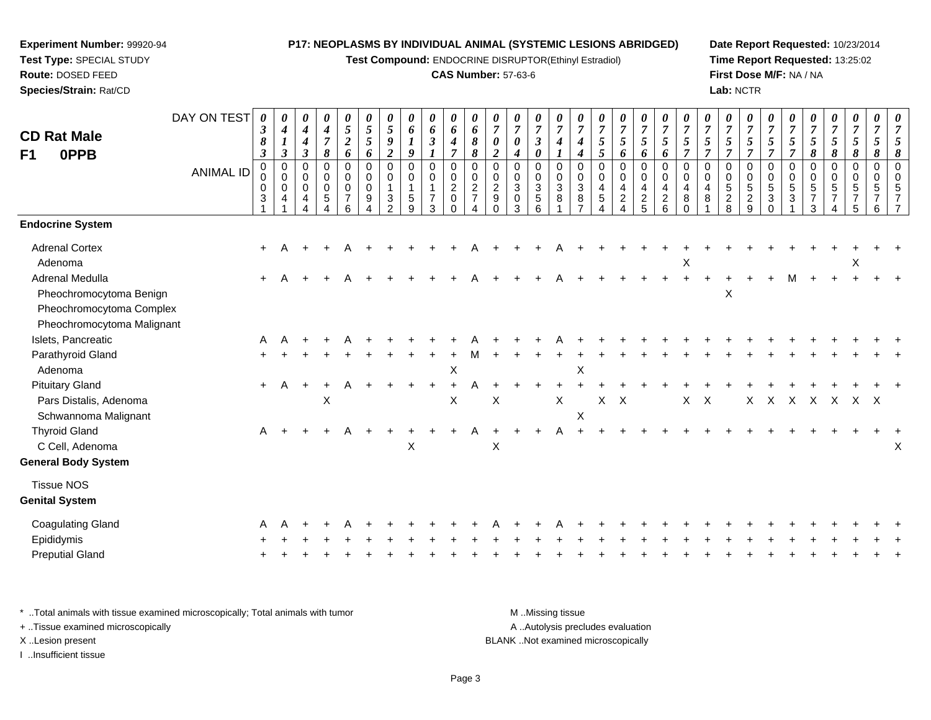**Test Compound:** ENDOCRINE DISRUPTOR(Ethinyl Estradiol)

#### **CAS Number:** 57-63-6

**Date Report Requested:** 10/23/2014**Time Report Requested:** 13:25:02**First Dose M/F:** NA / NA**Lab:** NCTR

| <b>CD Rat Male</b><br>F1<br>0PPB                                              | DAY ON TEST<br><b>ANIMAL ID</b> | 0<br>$\boldsymbol{\beta}$<br>8<br>$\boldsymbol{\beta}$<br>0<br>0<br>$\mathbf 0$<br>3 | 0<br>$\boldsymbol{4}$<br>$\boldsymbol{l}$<br>$\boldsymbol{\beta}$<br>$\overline{0}$<br>$\pmb{0}$<br>$\mathbf 0$<br>4 | 0<br>$\boldsymbol{4}$<br>$\boldsymbol{4}$<br>$\boldsymbol{\beta}$<br>0<br>0<br>$\mathbf 0$<br>4 | 0<br>$\boldsymbol{4}$<br>$\overline{7}$<br>8<br>0<br>0<br>0<br>$\sqrt{5}$ | 0<br>$\sqrt{5}$<br>$\boldsymbol{2}$<br>6<br>$\mathbf 0$<br>$\mathbf 0$<br>$\mathbf 0$<br>$\overline{7}$<br>6 | 0<br>$\sqrt{5}$<br>5<br>6<br>0<br>0<br>$\mathbf 0$<br>9 | $\boldsymbol{\theta}$<br>5<br>9<br>$\overline{c}$<br>$\mathbf 0$<br>$\mathbf 0$<br>$\mathbf{1}$<br>3<br>$\mathfrak{p}$ | 0<br>6<br>9<br>0<br>$\mathbf 0$<br>5<br>9 | 0<br>6<br>$\mathfrak{z}$<br>1<br>0<br>0<br>$\overline{7}$<br>3 | 0<br>6<br>$\boldsymbol{4}$<br>$\overline{7}$<br>$\mathbf 0$<br>$\pmb{0}$<br>$\overline{c}$<br>$\mathbf 0$<br>$\Omega$ | 0<br>6<br>8<br>$\pmb{8}$<br>0<br>$\mathbf 0$<br>$\overline{c}$<br>$\overline{7}$<br>4 | $\boldsymbol{\theta}$<br>$\overline{7}$<br>0<br>$\overline{c}$<br>0<br>$\mathbf 0$<br>$\overline{c}$<br>9 | 0<br>$\overline{7}$<br>0<br>$\boldsymbol{4}$<br>0<br>0<br>3<br>0<br>3 | 0<br>$\overline{7}$<br>$\mathfrak{z}$<br>0<br>0<br>0<br>$\ensuremath{\mathsf{3}}$<br>$\,$ 5 $\,$<br>6 | 0<br>$\overline{7}$<br>$\boldsymbol{4}$<br>$\mathbf 0$<br>$\mathbf 0$<br>$\sqrt{3}$<br>8 | 0<br>$\overline{7}$<br>$\boldsymbol{4}$<br>$\boldsymbol{4}$<br>0<br>$\mathbf 0$<br>$\mathbf{3}$<br>8<br>$\overline{ }$ | 7<br>5<br>5<br>0<br>$\mathbf 0$<br>$\overline{4}$<br>5 | 0<br>$\overline{7}$<br>5<br>6<br>0<br>$\mathbf 0$<br>$\overline{4}$<br>$\overline{a}$ | 0<br>$\overline{7}$<br>5<br>6<br>0<br>$\pmb{0}$<br>$\overline{4}$<br>$\frac{2}{5}$ | 0<br>$\boldsymbol{7}$<br>5<br>6<br>0<br>$\mathbf 0$<br>$\overline{4}$<br>$\sqrt{2}$<br>6 | 0<br>$\overline{7}$<br>5<br>$\overline{7}$<br>$\mathbf 0$<br>$\mathbf 0$<br>$\overline{4}$<br>8<br>$\Omega$ | $\boldsymbol{\theta}$<br>$\overline{7}$<br>5<br>$\overline{7}$<br>$\mathbf 0$<br>$\Omega$<br>4<br>8 | 0<br>$\overline{7}$<br>5<br>$\overline{7}$<br>$\mathbf 0$<br>$\mathbf 0$<br>5<br>$\overline{a}$<br>8 | 0<br>$\overline{7}$<br>5<br>$\overline{7}$<br>0<br>0<br>$\,$ 5 $\,$<br>$\overline{c}$<br>9 | 0<br>$\overline{7}$<br>5<br>$\overline{7}$<br>$\mathbf 0$<br>$\mathbf 0$<br>5<br>$\mathbf{3}$<br>$\Omega$ | 0<br>$\overline{7}$<br>5<br>$\overline{7}$<br>0<br>$\mathbf 0$<br>5<br>3 | 7<br>5<br>8<br>0<br>$\mathbf 0$<br>5<br>$\overline{7}$<br>3 | 0<br>$\overline{7}$<br>5<br>8<br>0<br>0<br>5<br>$\overline{7}$ | 0<br>$\overline{7}$<br>5<br>8<br>0<br>0<br>5<br>$\overline{7}$ | 0<br>$\overline{7}$<br>5<br>8<br>0<br>$\mathbf 0$<br>5<br>6 | $\boldsymbol{\theta}$<br>7<br>8 |
|-------------------------------------------------------------------------------|---------------------------------|--------------------------------------------------------------------------------------|----------------------------------------------------------------------------------------------------------------------|-------------------------------------------------------------------------------------------------|---------------------------------------------------------------------------|--------------------------------------------------------------------------------------------------------------|---------------------------------------------------------|------------------------------------------------------------------------------------------------------------------------|-------------------------------------------|----------------------------------------------------------------|-----------------------------------------------------------------------------------------------------------------------|---------------------------------------------------------------------------------------|-----------------------------------------------------------------------------------------------------------|-----------------------------------------------------------------------|-------------------------------------------------------------------------------------------------------|------------------------------------------------------------------------------------------|------------------------------------------------------------------------------------------------------------------------|--------------------------------------------------------|---------------------------------------------------------------------------------------|------------------------------------------------------------------------------------|------------------------------------------------------------------------------------------|-------------------------------------------------------------------------------------------------------------|-----------------------------------------------------------------------------------------------------|------------------------------------------------------------------------------------------------------|--------------------------------------------------------------------------------------------|-----------------------------------------------------------------------------------------------------------|--------------------------------------------------------------------------|-------------------------------------------------------------|----------------------------------------------------------------|----------------------------------------------------------------|-------------------------------------------------------------|---------------------------------|
| <b>Endocrine System</b>                                                       |                                 |                                                                                      |                                                                                                                      |                                                                                                 |                                                                           |                                                                                                              |                                                         |                                                                                                                        |                                           |                                                                |                                                                                                                       |                                                                                       |                                                                                                           |                                                                       |                                                                                                       |                                                                                          |                                                                                                                        |                                                        |                                                                                       |                                                                                    |                                                                                          |                                                                                                             |                                                                                                     |                                                                                                      |                                                                                            |                                                                                                           |                                                                          |                                                             |                                                                |                                                                |                                                             |                                 |
| <b>Adrenal Cortex</b><br>Adenoma                                              |                                 | $\ddot{}$                                                                            |                                                                                                                      |                                                                                                 |                                                                           |                                                                                                              |                                                         |                                                                                                                        |                                           |                                                                |                                                                                                                       |                                                                                       |                                                                                                           |                                                                       |                                                                                                       |                                                                                          |                                                                                                                        |                                                        |                                                                                       |                                                                                    |                                                                                          | Χ                                                                                                           |                                                                                                     |                                                                                                      |                                                                                            |                                                                                                           |                                                                          |                                                             |                                                                | Χ                                                              |                                                             |                                 |
| <b>Adrenal Medulla</b><br>Pheochromocytoma Benign<br>Pheochromocytoma Complex |                                 | $+$                                                                                  |                                                                                                                      |                                                                                                 |                                                                           |                                                                                                              |                                                         |                                                                                                                        |                                           |                                                                |                                                                                                                       |                                                                                       |                                                                                                           |                                                                       |                                                                                                       |                                                                                          |                                                                                                                        |                                                        |                                                                                       |                                                                                    |                                                                                          |                                                                                                             |                                                                                                     | X                                                                                                    |                                                                                            |                                                                                                           |                                                                          |                                                             |                                                                |                                                                |                                                             |                                 |
| Pheochromocytoma Malignant<br>Islets, Pancreatic                              |                                 | A                                                                                    |                                                                                                                      |                                                                                                 |                                                                           |                                                                                                              |                                                         |                                                                                                                        |                                           |                                                                |                                                                                                                       |                                                                                       |                                                                                                           |                                                                       |                                                                                                       |                                                                                          |                                                                                                                        |                                                        |                                                                                       |                                                                                    |                                                                                          |                                                                                                             |                                                                                                     |                                                                                                      |                                                                                            |                                                                                                           |                                                                          |                                                             |                                                                |                                                                |                                                             |                                 |
| Parathyroid Gland                                                             |                                 |                                                                                      |                                                                                                                      |                                                                                                 |                                                                           |                                                                                                              |                                                         |                                                                                                                        |                                           |                                                                |                                                                                                                       | м                                                                                     |                                                                                                           |                                                                       |                                                                                                       |                                                                                          |                                                                                                                        |                                                        |                                                                                       |                                                                                    |                                                                                          |                                                                                                             |                                                                                                     |                                                                                                      |                                                                                            |                                                                                                           |                                                                          |                                                             |                                                                |                                                                |                                                             |                                 |
| Adenoma                                                                       |                                 |                                                                                      |                                                                                                                      |                                                                                                 |                                                                           |                                                                                                              |                                                         |                                                                                                                        |                                           |                                                                | X                                                                                                                     |                                                                                       |                                                                                                           |                                                                       |                                                                                                       |                                                                                          | X                                                                                                                      |                                                        |                                                                                       |                                                                                    |                                                                                          |                                                                                                             |                                                                                                     |                                                                                                      |                                                                                            |                                                                                                           |                                                                          |                                                             |                                                                |                                                                |                                                             |                                 |
| <b>Pituitary Gland</b>                                                        |                                 | $+$                                                                                  | A                                                                                                                    | $\ddot{}$                                                                                       |                                                                           |                                                                                                              |                                                         |                                                                                                                        |                                           |                                                                |                                                                                                                       |                                                                                       |                                                                                                           |                                                                       |                                                                                                       |                                                                                          |                                                                                                                        |                                                        |                                                                                       |                                                                                    |                                                                                          |                                                                                                             |                                                                                                     |                                                                                                      |                                                                                            |                                                                                                           |                                                                          |                                                             |                                                                |                                                                |                                                             |                                 |
| Pars Distalis, Adenoma<br>Schwannoma Malignant                                |                                 |                                                                                      |                                                                                                                      |                                                                                                 | X                                                                         |                                                                                                              |                                                         |                                                                                                                        |                                           |                                                                | $\boldsymbol{\mathsf{X}}$                                                                                             |                                                                                       | $\mathsf{X}$                                                                                              |                                                                       |                                                                                                       | $\boldsymbol{\mathsf{X}}$                                                                | X                                                                                                                      | X                                                      | $\mathsf{X}$                                                                          |                                                                                    |                                                                                          | $\mathsf{X}$                                                                                                | $\boldsymbol{\mathsf{X}}$                                                                           |                                                                                                      | X.                                                                                         | $\times$                                                                                                  | $\mathsf{X}$                                                             | X                                                           | $\mathsf{X}$                                                   | x x                                                            |                                                             |                                 |
| <b>Thyroid Gland</b><br>C Cell, Adenoma                                       |                                 | Α                                                                                    |                                                                                                                      |                                                                                                 |                                                                           |                                                                                                              |                                                         |                                                                                                                        | +<br>X                                    |                                                                |                                                                                                                       | A                                                                                     | $\ddot{}$<br>X                                                                                            | $\pm$                                                                 | $\pm$                                                                                                 | A                                                                                        |                                                                                                                        |                                                        |                                                                                       |                                                                                    |                                                                                          |                                                                                                             |                                                                                                     |                                                                                                      |                                                                                            |                                                                                                           |                                                                          |                                                             |                                                                |                                                                |                                                             | х                               |
| <b>General Body System</b>                                                    |                                 |                                                                                      |                                                                                                                      |                                                                                                 |                                                                           |                                                                                                              |                                                         |                                                                                                                        |                                           |                                                                |                                                                                                                       |                                                                                       |                                                                                                           |                                                                       |                                                                                                       |                                                                                          |                                                                                                                        |                                                        |                                                                                       |                                                                                    |                                                                                          |                                                                                                             |                                                                                                     |                                                                                                      |                                                                                            |                                                                                                           |                                                                          |                                                             |                                                                |                                                                |                                                             |                                 |
| <b>Tissue NOS</b><br><b>Genital System</b>                                    |                                 |                                                                                      |                                                                                                                      |                                                                                                 |                                                                           |                                                                                                              |                                                         |                                                                                                                        |                                           |                                                                |                                                                                                                       |                                                                                       |                                                                                                           |                                                                       |                                                                                                       |                                                                                          |                                                                                                                        |                                                        |                                                                                       |                                                                                    |                                                                                          |                                                                                                             |                                                                                                     |                                                                                                      |                                                                                            |                                                                                                           |                                                                          |                                                             |                                                                |                                                                |                                                             |                                 |
| Coagulating Gland                                                             |                                 |                                                                                      |                                                                                                                      |                                                                                                 |                                                                           |                                                                                                              |                                                         |                                                                                                                        |                                           |                                                                |                                                                                                                       |                                                                                       |                                                                                                           |                                                                       |                                                                                                       |                                                                                          |                                                                                                                        |                                                        |                                                                                       |                                                                                    |                                                                                          |                                                                                                             |                                                                                                     |                                                                                                      |                                                                                            |                                                                                                           |                                                                          |                                                             |                                                                |                                                                |                                                             |                                 |
| Epididymis                                                                    |                                 |                                                                                      |                                                                                                                      |                                                                                                 |                                                                           |                                                                                                              |                                                         |                                                                                                                        |                                           |                                                                |                                                                                                                       |                                                                                       |                                                                                                           |                                                                       |                                                                                                       |                                                                                          |                                                                                                                        |                                                        |                                                                                       |                                                                                    |                                                                                          |                                                                                                             |                                                                                                     |                                                                                                      |                                                                                            |                                                                                                           |                                                                          |                                                             |                                                                |                                                                |                                                             |                                 |
| <b>Preputial Gland</b>                                                        |                                 |                                                                                      |                                                                                                                      |                                                                                                 |                                                                           |                                                                                                              |                                                         |                                                                                                                        |                                           |                                                                |                                                                                                                       |                                                                                       |                                                                                                           |                                                                       |                                                                                                       |                                                                                          |                                                                                                                        |                                                        |                                                                                       |                                                                                    |                                                                                          |                                                                                                             |                                                                                                     |                                                                                                      |                                                                                            |                                                                                                           |                                                                          |                                                             |                                                                |                                                                |                                                             |                                 |
|                                                                               |                                 |                                                                                      |                                                                                                                      |                                                                                                 |                                                                           |                                                                                                              |                                                         |                                                                                                                        |                                           |                                                                |                                                                                                                       |                                                                                       |                                                                                                           |                                                                       |                                                                                                       |                                                                                          |                                                                                                                        |                                                        |                                                                                       |                                                                                    |                                                                                          |                                                                                                             |                                                                                                     |                                                                                                      |                                                                                            |                                                                                                           |                                                                          |                                                             |                                                                |                                                                |                                                             |                                 |

\* ..Total animals with tissue examined microscopically; Total animals with tumor **M** . Missing tissue M ..Missing tissue A ..Autolysis precludes evaluation + ..Tissue examined microscopically X ..Lesion present BLANK ..Not examined microscopicallyI ..Insufficient tissue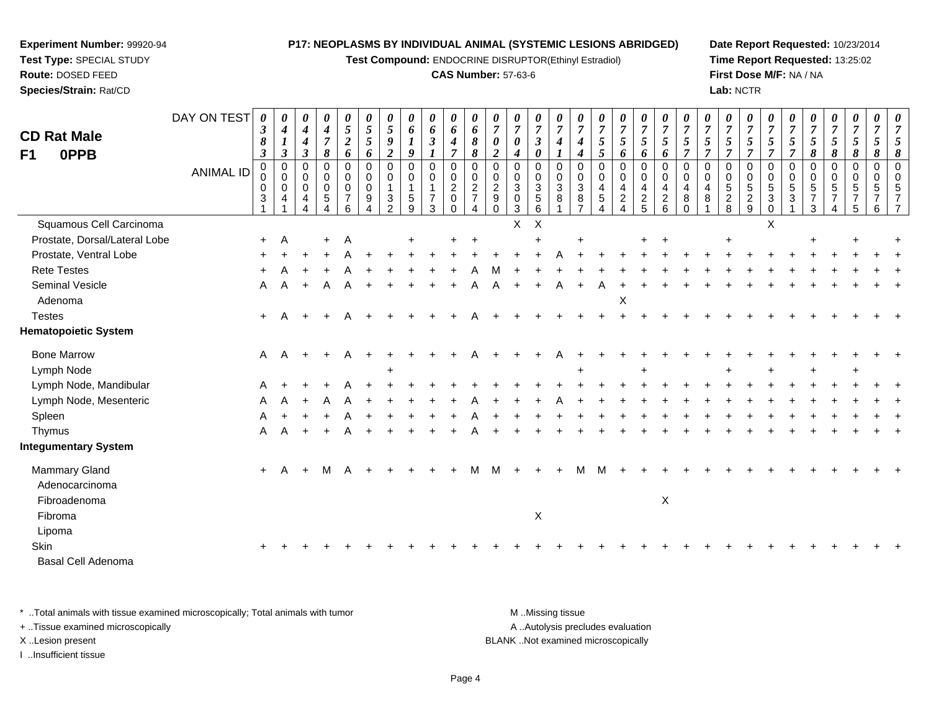**Test Compound:** ENDOCRINE DISRUPTOR(Ethinyl Estradiol)

#### **CAS Number:** 57-63-6

**Date Report Requested:** 10/23/2014**Time Report Requested:** 13:25:02**First Dose M/F:** NA / NA**Lab:** NCTR

| <b>CD Rat Male</b><br><b>OPPB</b><br>F1         | DAY ON TEST<br><b>ANIMAL ID</b> | 0<br>$\boldsymbol{\beta}$<br>8<br>$\boldsymbol{\beta}$<br>$\pmb{0}$<br>0<br>0<br>3 | $\boldsymbol{\theta}$<br>$\boldsymbol{4}$<br>$\bm{l}$<br>$\boldsymbol{\beta}$<br>$\pmb{0}$<br>$\mathbf 0$<br>$\mathsf{O}\xspace$<br>4 | $\boldsymbol{\theta}$<br>$\boldsymbol{4}$<br>4<br>$\boldsymbol{\beta}$<br>0<br>0<br>$\mathbf 0$<br>4 | 0<br>4<br>$\overline{7}$<br>8<br>$\pmb{0}$<br>$\mathbf 0$<br>$\mathbf 0$<br>$\sqrt{5}$ | $\pmb{\theta}$<br>5<br>$\boldsymbol{2}$<br>6<br>$\pmb{0}$<br>0<br>0<br>$\overline{7}$ | 0<br>$\sqrt{5}$<br>$\sqrt{5}$<br>6<br>$\mathbf 0$<br>0<br>$\pmb{0}$<br>9 | 0<br>$\sqrt{5}$<br>9<br>$\boldsymbol{2}$<br>$\mathsf 0$<br>$\mathbf 0$<br>$\mathbf{1}$ | 0<br>6<br>$\boldsymbol{I}$<br>$\boldsymbol{9}$<br>$\pmb{0}$<br>$\mathbf 0$<br>$\mathbf{1}$<br>$\sqrt{5}$ | $\pmb{\theta}$<br>6<br>$\mathfrak{z}$<br>$\boldsymbol{l}$<br>$\boldsymbol{0}$<br>$\pmb{0}$<br>$\overline{1}$<br>$\overline{7}$ | 0<br>6<br>4<br>$\overline{7}$<br>$\pmb{0}$<br>$\mathbf 0$<br>$\overline{c}$<br>0 | 0<br>6<br>$\pmb{8}$<br>8<br>$\mathbf 0$<br>$\mathbf 0$<br>$\overline{2}$<br>$\overline{7}$ | 0<br>$\overline{7}$<br>0<br>$\boldsymbol{2}$<br>0<br>$\mathbf 0$<br>$\sqrt{2}$<br>$\boldsymbol{9}$ | $\pmb{\theta}$<br>$\overline{7}$<br>$\boldsymbol{\theta}$<br>$\boldsymbol{4}$<br>$\pmb{0}$<br>$\mathbf 0$<br>$\ensuremath{\mathsf{3}}$<br>$\mathbf 0$ | 0<br>$\boldsymbol{7}$<br>$\boldsymbol{\beta}$<br>0<br>$\pmb{0}$<br>$\mathbf 0$<br>$\mathbf{3}$<br>$\sqrt{5}$ | 0<br>$\overline{7}$<br>4<br>$\mathbf 0$<br>$\mathbf 0$<br>3<br>8 | 0<br>$\overline{7}$<br>4<br>4<br>$\mathbf 0$<br>$\mathbf 0$<br>$\sqrt{3}$<br>8 | 0<br>$\overline{7}$<br>5<br>5<br>$\pmb{0}$<br>$\mathbf 0$<br>4<br>$\sqrt{5}$ | 0<br>$\boldsymbol{7}$<br>$\mathfrak{H}$<br>6<br>$\pmb{0}$<br>$\mathbf 0$<br>$\overline{a}$<br>$\overline{c}$ | 0<br>$\boldsymbol{7}$<br>$\mathfrak{s}$<br>6<br>$\mathsf 0$<br>$\pmb{0}$<br>$\overline{4}$ | 0<br>$\overline{7}$<br>5<br>6<br>$\mathbf 0$<br>$\mathbf 0$<br>4 | 0<br>$\overline{7}$<br>5<br>$\overline{7}$<br>$\mathbf 0$<br>$\mathbf 0$<br>4<br>8 | 0<br>$\overline{7}$<br>5<br>$\overline{7}$<br>$\mathbf 0$<br>$\mathbf 0$<br>$\overline{4}$<br>8 | 0<br>$\boldsymbol{7}$<br>5<br>$\overline{7}$<br>0<br>$\mathbf 0$<br>5 | 0<br>$\boldsymbol{7}$<br>5<br>$\overline{7}$<br>$\pmb{0}$<br>$\mathbf 0$<br>$\overline{5}$ | 0<br>$\overline{7}$<br>$\mathfrak{s}$<br>$\overline{7}$<br>$\pmb{0}$<br>$\mathbf 0$<br>$\overline{5}$<br>$\mathbf{3}$ | 0<br>$\overline{7}$<br>$\sqrt{5}$<br>$\overline{7}$<br>$\mathbf 0$<br>0<br>$\,$ 5 $\,$<br>3 | 0<br>$\overline{7}$<br>5<br>8<br>$\mathsf 0$<br>$\mathsf 0$<br>$\,$ 5 $\,$<br>$\overline{7}$ | 0<br>$\boldsymbol{7}$<br>5<br>8<br>0<br>0<br>5<br>$\overline{7}$ | $\boldsymbol{\theta}$<br>$\overline{7}$<br>$\mathfrak{s}$<br>8<br>$\boldsymbol{0}$<br>$\mathbf 0$<br>5<br>$\overline{7}$ | 0<br>$\overline{7}$<br>5<br>8<br>$\pmb{0}$<br>0<br>5 | 8<br>$\Omega$<br><sup>n</sup> |
|-------------------------------------------------|---------------------------------|------------------------------------------------------------------------------------|---------------------------------------------------------------------------------------------------------------------------------------|------------------------------------------------------------------------------------------------------|----------------------------------------------------------------------------------------|---------------------------------------------------------------------------------------|--------------------------------------------------------------------------|----------------------------------------------------------------------------------------|----------------------------------------------------------------------------------------------------------|--------------------------------------------------------------------------------------------------------------------------------|----------------------------------------------------------------------------------|--------------------------------------------------------------------------------------------|----------------------------------------------------------------------------------------------------|-------------------------------------------------------------------------------------------------------------------------------------------------------|--------------------------------------------------------------------------------------------------------------|------------------------------------------------------------------|--------------------------------------------------------------------------------|------------------------------------------------------------------------------|--------------------------------------------------------------------------------------------------------------|--------------------------------------------------------------------------------------------|------------------------------------------------------------------|------------------------------------------------------------------------------------|-------------------------------------------------------------------------------------------------|-----------------------------------------------------------------------|--------------------------------------------------------------------------------------------|-----------------------------------------------------------------------------------------------------------------------|---------------------------------------------------------------------------------------------|----------------------------------------------------------------------------------------------|------------------------------------------------------------------|--------------------------------------------------------------------------------------------------------------------------|------------------------------------------------------|-------------------------------|
|                                                 |                                 |                                                                                    |                                                                                                                                       |                                                                                                      | 4                                                                                      | 6                                                                                     | $\overline{\mathbf{4}}$                                                  | $\frac{3}{2}$                                                                          | 9                                                                                                        | 3                                                                                                                              | $\Omega$                                                                         |                                                                                            | $\Omega$                                                                                           | $\mathbf{3}$                                                                                                                                          | $\,6\,$                                                                                                      |                                                                  | $\overline{7}$                                                                 | $\overline{\mathbf{4}}$                                                      | $\overline{4}$                                                                                               | $\frac{2}{5}$                                                                              | $^2\phantom{1}6$                                                 | $\Omega$                                                                           |                                                                                                 | $\frac{2}{8}$                                                         | $\frac{2}{9}$                                                                              | $\mathbf 0$                                                                                                           |                                                                                             | 3                                                                                            | 4                                                                | 5                                                                                                                        | 6                                                    |                               |
| Squamous Cell Carcinoma                         |                                 |                                                                                    |                                                                                                                                       |                                                                                                      |                                                                                        |                                                                                       |                                                                          |                                                                                        |                                                                                                          |                                                                                                                                |                                                                                  |                                                                                            |                                                                                                    | X                                                                                                                                                     | $\boldsymbol{\mathsf{X}}$                                                                                    |                                                                  |                                                                                |                                                                              |                                                                                                              |                                                                                            |                                                                  |                                                                                    |                                                                                                 |                                                                       |                                                                                            | $\sf X$                                                                                                               |                                                                                             |                                                                                              |                                                                  |                                                                                                                          |                                                      |                               |
| Prostate, Dorsal/Lateral Lobe                   |                                 | $+$                                                                                | A                                                                                                                                     |                                                                                                      | ÷                                                                                      | Α                                                                                     |                                                                          |                                                                                        |                                                                                                          |                                                                                                                                |                                                                                  |                                                                                            |                                                                                                    |                                                                                                                                                       |                                                                                                              |                                                                  |                                                                                |                                                                              |                                                                                                              |                                                                                            |                                                                  |                                                                                    |                                                                                                 |                                                                       |                                                                                            |                                                                                                                       |                                                                                             |                                                                                              |                                                                  |                                                                                                                          |                                                      |                               |
| Prostate, Ventral Lobe                          |                                 |                                                                                    |                                                                                                                                       |                                                                                                      |                                                                                        |                                                                                       |                                                                          |                                                                                        |                                                                                                          |                                                                                                                                |                                                                                  |                                                                                            |                                                                                                    |                                                                                                                                                       |                                                                                                              |                                                                  |                                                                                |                                                                              |                                                                                                              |                                                                                            |                                                                  |                                                                                    |                                                                                                 |                                                                       |                                                                                            |                                                                                                                       |                                                                                             |                                                                                              |                                                                  |                                                                                                                          |                                                      |                               |
| <b>Rete Testes</b>                              |                                 |                                                                                    |                                                                                                                                       |                                                                                                      |                                                                                        |                                                                                       |                                                                          |                                                                                        |                                                                                                          |                                                                                                                                |                                                                                  |                                                                                            |                                                                                                    |                                                                                                                                                       |                                                                                                              |                                                                  |                                                                                |                                                                              |                                                                                                              |                                                                                            |                                                                  |                                                                                    |                                                                                                 |                                                                       |                                                                                            |                                                                                                                       |                                                                                             |                                                                                              |                                                                  |                                                                                                                          |                                                      |                               |
| Seminal Vesicle                                 |                                 | A                                                                                  | A                                                                                                                                     | $\ddot{+}$                                                                                           | A                                                                                      | А                                                                                     |                                                                          |                                                                                        |                                                                                                          |                                                                                                                                |                                                                                  |                                                                                            |                                                                                                    |                                                                                                                                                       |                                                                                                              |                                                                  |                                                                                |                                                                              |                                                                                                              |                                                                                            |                                                                  |                                                                                    |                                                                                                 |                                                                       |                                                                                            |                                                                                                                       |                                                                                             |                                                                                              |                                                                  |                                                                                                                          |                                                      |                               |
| Adenoma                                         |                                 |                                                                                    |                                                                                                                                       |                                                                                                      |                                                                                        |                                                                                       |                                                                          |                                                                                        |                                                                                                          |                                                                                                                                |                                                                                  |                                                                                            |                                                                                                    |                                                                                                                                                       |                                                                                                              |                                                                  |                                                                                |                                                                              | X                                                                                                            |                                                                                            |                                                                  |                                                                                    |                                                                                                 |                                                                       |                                                                                            |                                                                                                                       |                                                                                             |                                                                                              |                                                                  |                                                                                                                          |                                                      |                               |
| <b>Testes</b>                                   |                                 | $+$                                                                                | A                                                                                                                                     |                                                                                                      |                                                                                        |                                                                                       |                                                                          |                                                                                        |                                                                                                          |                                                                                                                                |                                                                                  |                                                                                            |                                                                                                    |                                                                                                                                                       |                                                                                                              |                                                                  |                                                                                |                                                                              |                                                                                                              |                                                                                            |                                                                  |                                                                                    |                                                                                                 |                                                                       |                                                                                            |                                                                                                                       |                                                                                             |                                                                                              |                                                                  |                                                                                                                          |                                                      |                               |
| <b>Hematopoietic System</b>                     |                                 |                                                                                    |                                                                                                                                       |                                                                                                      |                                                                                        |                                                                                       |                                                                          |                                                                                        |                                                                                                          |                                                                                                                                |                                                                                  |                                                                                            |                                                                                                    |                                                                                                                                                       |                                                                                                              |                                                                  |                                                                                |                                                                              |                                                                                                              |                                                                                            |                                                                  |                                                                                    |                                                                                                 |                                                                       |                                                                                            |                                                                                                                       |                                                                                             |                                                                                              |                                                                  |                                                                                                                          |                                                      |                               |
| <b>Bone Marrow</b>                              |                                 | Α                                                                                  | A                                                                                                                                     |                                                                                                      |                                                                                        | А                                                                                     |                                                                          |                                                                                        |                                                                                                          |                                                                                                                                |                                                                                  |                                                                                            |                                                                                                    |                                                                                                                                                       |                                                                                                              |                                                                  |                                                                                |                                                                              |                                                                                                              |                                                                                            |                                                                  |                                                                                    |                                                                                                 |                                                                       |                                                                                            |                                                                                                                       |                                                                                             |                                                                                              |                                                                  |                                                                                                                          |                                                      |                               |
| Lymph Node                                      |                                 |                                                                                    |                                                                                                                                       |                                                                                                      |                                                                                        |                                                                                       |                                                                          |                                                                                        |                                                                                                          |                                                                                                                                |                                                                                  |                                                                                            |                                                                                                    |                                                                                                                                                       |                                                                                                              |                                                                  |                                                                                |                                                                              |                                                                                                              | $\overline{1}$                                                                             |                                                                  |                                                                                    |                                                                                                 |                                                                       |                                                                                            |                                                                                                                       |                                                                                             |                                                                                              |                                                                  |                                                                                                                          |                                                      |                               |
| Lymph Node, Mandibular                          |                                 |                                                                                    |                                                                                                                                       |                                                                                                      |                                                                                        |                                                                                       |                                                                          |                                                                                        |                                                                                                          |                                                                                                                                |                                                                                  |                                                                                            |                                                                                                    |                                                                                                                                                       |                                                                                                              |                                                                  |                                                                                |                                                                              |                                                                                                              |                                                                                            |                                                                  |                                                                                    |                                                                                                 |                                                                       |                                                                                            |                                                                                                                       |                                                                                             |                                                                                              |                                                                  |                                                                                                                          |                                                      |                               |
| Lymph Node, Mesenteric                          |                                 |                                                                                    |                                                                                                                                       |                                                                                                      |                                                                                        |                                                                                       |                                                                          |                                                                                        |                                                                                                          |                                                                                                                                |                                                                                  |                                                                                            |                                                                                                    |                                                                                                                                                       |                                                                                                              |                                                                  |                                                                                |                                                                              |                                                                                                              |                                                                                            |                                                                  |                                                                                    |                                                                                                 |                                                                       |                                                                                            |                                                                                                                       |                                                                                             |                                                                                              |                                                                  |                                                                                                                          |                                                      |                               |
| Spleen                                          |                                 | А                                                                                  |                                                                                                                                       |                                                                                                      |                                                                                        |                                                                                       |                                                                          |                                                                                        |                                                                                                          |                                                                                                                                |                                                                                  |                                                                                            |                                                                                                    |                                                                                                                                                       |                                                                                                              |                                                                  |                                                                                |                                                                              |                                                                                                              |                                                                                            |                                                                  |                                                                                    |                                                                                                 |                                                                       |                                                                                            |                                                                                                                       |                                                                                             |                                                                                              |                                                                  |                                                                                                                          |                                                      |                               |
| Thymus                                          |                                 | A                                                                                  |                                                                                                                                       | $\ddot{}$                                                                                            |                                                                                        |                                                                                       |                                                                          |                                                                                        |                                                                                                          |                                                                                                                                |                                                                                  |                                                                                            |                                                                                                    |                                                                                                                                                       |                                                                                                              |                                                                  |                                                                                |                                                                              |                                                                                                              |                                                                                            |                                                                  |                                                                                    |                                                                                                 |                                                                       |                                                                                            |                                                                                                                       |                                                                                             |                                                                                              |                                                                  |                                                                                                                          |                                                      |                               |
| <b>Integumentary System</b>                     |                                 |                                                                                    |                                                                                                                                       |                                                                                                      |                                                                                        |                                                                                       |                                                                          |                                                                                        |                                                                                                          |                                                                                                                                |                                                                                  |                                                                                            |                                                                                                    |                                                                                                                                                       |                                                                                                              |                                                                  |                                                                                |                                                                              |                                                                                                              |                                                                                            |                                                                  |                                                                                    |                                                                                                 |                                                                       |                                                                                            |                                                                                                                       |                                                                                             |                                                                                              |                                                                  |                                                                                                                          |                                                      |                               |
| Mammary Gland<br>Adenocarcinoma<br>Fibroadenoma |                                 | $+$                                                                                | Α                                                                                                                                     | $\ddot{}$                                                                                            | M                                                                                      | A                                                                                     |                                                                          |                                                                                        |                                                                                                          |                                                                                                                                |                                                                                  | м                                                                                          | м                                                                                                  |                                                                                                                                                       |                                                                                                              |                                                                  | м                                                                              | M                                                                            |                                                                                                              |                                                                                            | $\boldsymbol{\mathsf{X}}$                                        |                                                                                    |                                                                                                 |                                                                       |                                                                                            |                                                                                                                       |                                                                                             |                                                                                              |                                                                  |                                                                                                                          |                                                      |                               |
| Fibroma                                         |                                 |                                                                                    |                                                                                                                                       |                                                                                                      |                                                                                        |                                                                                       |                                                                          |                                                                                        |                                                                                                          |                                                                                                                                |                                                                                  |                                                                                            |                                                                                                    |                                                                                                                                                       | $\boldsymbol{\mathsf{X}}$                                                                                    |                                                                  |                                                                                |                                                                              |                                                                                                              |                                                                                            |                                                                  |                                                                                    |                                                                                                 |                                                                       |                                                                                            |                                                                                                                       |                                                                                             |                                                                                              |                                                                  |                                                                                                                          |                                                      |                               |
| Lipoma                                          |                                 |                                                                                    |                                                                                                                                       |                                                                                                      |                                                                                        |                                                                                       |                                                                          |                                                                                        |                                                                                                          |                                                                                                                                |                                                                                  |                                                                                            |                                                                                                    |                                                                                                                                                       |                                                                                                              |                                                                  |                                                                                |                                                                              |                                                                                                              |                                                                                            |                                                                  |                                                                                    |                                                                                                 |                                                                       |                                                                                            |                                                                                                                       |                                                                                             |                                                                                              |                                                                  |                                                                                                                          |                                                      |                               |
| <b>Skin</b>                                     |                                 |                                                                                    |                                                                                                                                       |                                                                                                      |                                                                                        |                                                                                       |                                                                          |                                                                                        |                                                                                                          |                                                                                                                                |                                                                                  |                                                                                            |                                                                                                    |                                                                                                                                                       |                                                                                                              |                                                                  |                                                                                |                                                                              |                                                                                                              |                                                                                            |                                                                  |                                                                                    |                                                                                                 |                                                                       |                                                                                            |                                                                                                                       |                                                                                             |                                                                                              |                                                                  |                                                                                                                          |                                                      |                               |
| Basal Cell Adenoma                              |                                 |                                                                                    |                                                                                                                                       |                                                                                                      |                                                                                        |                                                                                       |                                                                          |                                                                                        |                                                                                                          |                                                                                                                                |                                                                                  |                                                                                            |                                                                                                    |                                                                                                                                                       |                                                                                                              |                                                                  |                                                                                |                                                                              |                                                                                                              |                                                                                            |                                                                  |                                                                                    |                                                                                                 |                                                                       |                                                                                            |                                                                                                                       |                                                                                             |                                                                                              |                                                                  |                                                                                                                          |                                                      |                               |

\* ..Total animals with tissue examined microscopically; Total animals with tumor **M** . Missing tissue M ..Missing tissue A ..Autolysis precludes evaluation + ..Tissue examined microscopically X ..Lesion present BLANK ..Not examined microscopicallyI ..Insufficient tissue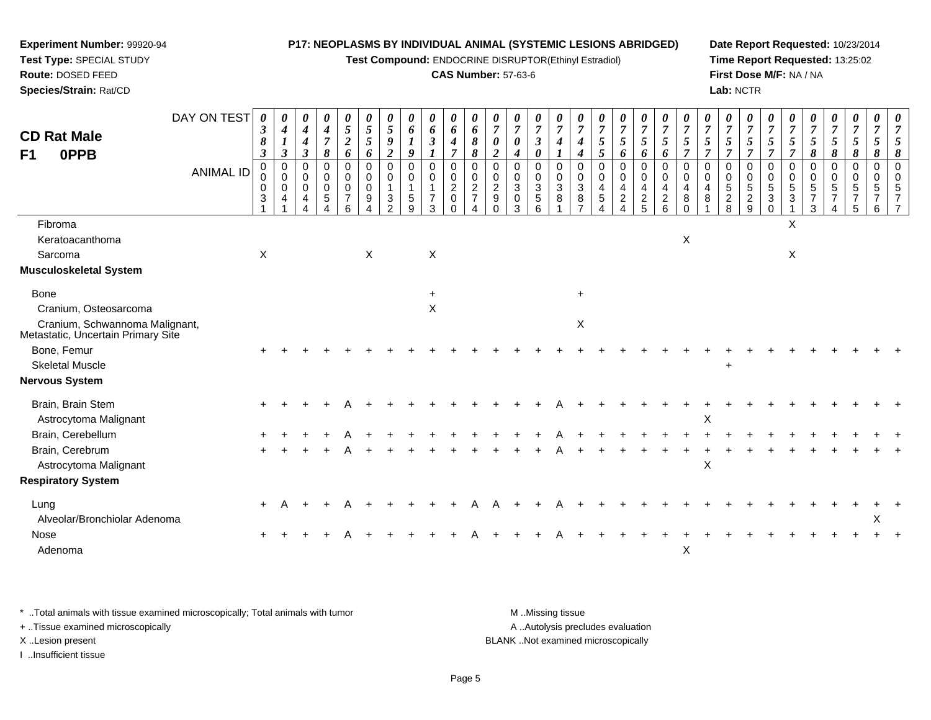**Test Compound:** ENDOCRINE DISRUPTOR(Ethinyl Estradiol)

### **CAS Number:** 57-63-6

**Date Report Requested:** 10/23/2014**Time Report Requested:** 13:25:02**First Dose M/F:** NA / NA**Lab:** NCTR

| <b>CD Rat Male</b>                                                   | DAY ON TEST      | 0<br>$\boldsymbol{\beta}$<br>8 | $\boldsymbol{\theta}$<br>$\boldsymbol{4}$<br>$\boldsymbol{l}$ | $\boldsymbol{\theta}$<br>$\boldsymbol{4}$<br>$\boldsymbol{4}$ | $\boldsymbol{\theta}$<br>$\boldsymbol{4}$<br>$\overline{7}$           | $\boldsymbol{\theta}$<br>5<br>$\boldsymbol{2}$ | $5\phantom{.0}$<br>$\sqrt{5}$                                  | $\boldsymbol{\theta}$<br>5<br>9               | $\boldsymbol{\theta}$<br>6<br>$\boldsymbol{l}$                        | 0<br>6<br>$\boldsymbol{\beta}$                                  | $\boldsymbol{\theta}$<br>6<br>$\boldsymbol{4}$                                | $\boldsymbol{\theta}$<br>6<br>8                             | 0<br>$\overline{7}$<br>0                                   | $\boldsymbol{\theta}$<br>$\overline{7}$<br>$\boldsymbol{\theta}$ | 0<br>$\overline{7}$<br>$\mathfrak{z}$                     | 0<br>$\overline{7}$<br>$\boldsymbol{4}$ | $\overline{7}$<br>4                                            | U<br>$\boldsymbol{7}$<br>5                      | $\boldsymbol{\theta}$<br>$\overline{7}$<br>$5\overline{)}$ | $\boldsymbol{\theta}$<br>$\boldsymbol{7}$<br>5 | 0<br>$\overline{7}$<br>5                                              | $\boldsymbol{\theta}$<br>$\overline{7}$<br>5  | $\boldsymbol{\theta}$<br>$\overline{7}$<br>$\mathfrak{s}$ | $\boldsymbol{\theta}$<br>$\overline{7}$<br>5 | $\boldsymbol{\theta}$<br>$\overline{7}$<br>5           | $\overline{7}$<br>$\mathfrak{s}$                              | $\boldsymbol{\theta}$<br>$\overline{7}$<br>5            | $\frac{\theta}{7}$<br>$\mathfrak{H}$                                        | $\boldsymbol{\theta}$<br>$\overline{7}$<br>$\mathfrak{s}$                    | $\boldsymbol{\theta}$<br>$\overline{7}$<br>5 | 0<br>$\overline{7}$<br>$5\overline{)}$                 | 0<br>$\overline{7}$<br>5                                            |
|----------------------------------------------------------------------|------------------|--------------------------------|---------------------------------------------------------------|---------------------------------------------------------------|-----------------------------------------------------------------------|------------------------------------------------|----------------------------------------------------------------|-----------------------------------------------|-----------------------------------------------------------------------|-----------------------------------------------------------------|-------------------------------------------------------------------------------|-------------------------------------------------------------|------------------------------------------------------------|------------------------------------------------------------------|-----------------------------------------------------------|-----------------------------------------|----------------------------------------------------------------|-------------------------------------------------|------------------------------------------------------------|------------------------------------------------|-----------------------------------------------------------------------|-----------------------------------------------|-----------------------------------------------------------|----------------------------------------------|--------------------------------------------------------|---------------------------------------------------------------|---------------------------------------------------------|-----------------------------------------------------------------------------|------------------------------------------------------------------------------|----------------------------------------------|--------------------------------------------------------|---------------------------------------------------------------------|
| 0PPB<br>F1                                                           |                  | $\boldsymbol{\beta}$           | $\boldsymbol{\beta}$                                          | $\mathfrak{z}$                                                | 8                                                                     | 6                                              | 6                                                              | $\overline{c}$                                | 9                                                                     | 1                                                               | 7                                                                             | 8                                                           | $\overline{2}$                                             | $\boldsymbol{4}$                                                 | $\boldsymbol{\theta}$                                     |                                         | $\boldsymbol{4}$                                               | 5                                               | 6                                                          | 6                                              | 6                                                                     | $\overline{7}$                                | $\overline{7}$                                            | $\overline{7}$                               | $\overline{7}$                                         | $\overline{7}$                                                | $\overline{7}$                                          | 8                                                                           | $\boldsymbol{\delta}$                                                        | 8                                            | 8                                                      | 8                                                                   |
|                                                                      | <b>ANIMAL ID</b> | $\mathbf 0$<br>0<br>0<br>3     | $\mathbf 0$<br>$\mathbf 0$<br>$\mathbf 0$<br>$\overline{4}$   | 0<br>$\mathbf 0$<br>0<br>4<br>Δ                               | $\Omega$<br>$\mathbf 0$<br>$\mathbf 0$<br>5<br>$\boldsymbol{\Lambda}$ | $\Omega$<br>0<br>0<br>$\overline{7}$<br>6      | $\mathbf 0$<br>0<br>$\mathbf 0$<br>9<br>$\boldsymbol{\Lambda}$ | $\mathbf 0$<br>$\mathbf 0$<br>$\sqrt{3}$<br>2 | $\mathbf 0$<br>$\mathsf{O}\xspace$<br>$\overline{1}$<br>$\frac{5}{9}$ | $\mathbf 0$<br>$\pmb{0}$<br>$\mathbf{1}$<br>$\overline{7}$<br>3 | $\Omega$<br>$\mathbf 0$<br>$\overline{\mathbf{c}}$<br>$\mathbf 0$<br>$\Omega$ | $\Omega$<br>$\mathbf 0$<br>$\overline{c}$<br>$\overline{7}$ | $\Omega$<br>$\mathbf 0$<br>$\overline{2}$<br>9<br>$\Omega$ | 0<br>0<br>$\mathbf{3}$<br>$\mathbf 0$<br>3                       | $\Omega$<br>$\mathbf 0$<br>$\sqrt{3}$<br>$\,$ 5 $\,$<br>6 | $\Omega$<br>$\mathbf 0$<br>3<br>8       | $\Omega$<br>$\mathbf 0$<br>$\mathbf{3}$<br>8<br>$\overline{7}$ | $\Omega$<br>$\mathbf 0$<br>4<br>$\sqrt{5}$<br>4 | 0<br>0<br>$\overline{\mathbf{4}}$<br>$\frac{2}{4}$         | $\mathbf 0$<br>$\pmb{0}$<br>4<br>$\frac{2}{5}$ | $\Omega$<br>$\mathbf 0$<br>4<br>$\begin{array}{c} 2 \\ 6 \end{array}$ | $\Omega$<br>$\mathbf 0$<br>4<br>8<br>$\Omega$ | $\Omega$<br>$\mathbf 0$<br>4<br>$\, 8$<br>1               | $\Omega$<br>$\mathbf 0$<br>5<br>$_{\rm 8}^2$ | $\Omega$<br>$\mathbf 0$<br>$\sqrt{5}$<br>$\frac{2}{9}$ | 0<br>0<br>$\sqrt{5}$<br>$\ensuremath{\mathsf{3}}$<br>$\Omega$ | $\mathbf 0$<br>$\mathbf 0$<br>$\,$ 5 $\,$<br>$\sqrt{3}$ | $\mathbf 0$<br>$\mathbf 0$<br>$\,$ 5 $\,$<br>$\overline{7}$<br>$\mathbf{3}$ | $\mathbf 0$<br>$\mathbf 0$<br>$\sqrt{5}$<br>$\overline{7}$<br>$\overline{4}$ | $\mathbf 0$<br>$\mathbf 0$<br>5<br>5         | $\mathbf 0$<br>$\mathbf 0$<br>5<br>$\overline{7}$<br>6 | $\mathbf 0$<br>$\mathbf 0$<br>5<br>$\overline{7}$<br>$\overline{7}$ |
| Fibroma                                                              |                  |                                |                                                               |                                                               |                                                                       |                                                |                                                                |                                               |                                                                       |                                                                 |                                                                               |                                                             |                                                            |                                                                  |                                                           |                                         |                                                                |                                                 |                                                            |                                                |                                                                       |                                               |                                                           |                                              |                                                        |                                                               | X                                                       |                                                                             |                                                                              |                                              |                                                        |                                                                     |
| Keratoacanthoma                                                      |                  |                                |                                                               |                                                               |                                                                       |                                                |                                                                |                                               |                                                                       |                                                                 |                                                                               |                                                             |                                                            |                                                                  |                                                           |                                         |                                                                |                                                 |                                                            |                                                |                                                                       | X                                             |                                                           |                                              |                                                        |                                                               |                                                         |                                                                             |                                                                              |                                              |                                                        |                                                                     |
| Sarcoma                                                              |                  | X                              |                                                               |                                                               |                                                                       |                                                | $\mathsf X$                                                    |                                               |                                                                       | X                                                               |                                                                               |                                                             |                                                            |                                                                  |                                                           |                                         |                                                                |                                                 |                                                            |                                                |                                                                       |                                               |                                                           |                                              |                                                        |                                                               | $\mathsf X$                                             |                                                                             |                                                                              |                                              |                                                        |                                                                     |
| <b>Musculoskeletal System</b>                                        |                  |                                |                                                               |                                                               |                                                                       |                                                |                                                                |                                               |                                                                       |                                                                 |                                                                               |                                                             |                                                            |                                                                  |                                                           |                                         |                                                                |                                                 |                                                            |                                                |                                                                       |                                               |                                                           |                                              |                                                        |                                                               |                                                         |                                                                             |                                                                              |                                              |                                                        |                                                                     |
| <b>Bone</b>                                                          |                  |                                |                                                               |                                                               |                                                                       |                                                |                                                                |                                               |                                                                       | $\ddot{+}$                                                      |                                                                               |                                                             |                                                            |                                                                  |                                                           |                                         | $+$                                                            |                                                 |                                                            |                                                |                                                                       |                                               |                                                           |                                              |                                                        |                                                               |                                                         |                                                                             |                                                                              |                                              |                                                        |                                                                     |
| Cranium, Osteosarcoma                                                |                  |                                |                                                               |                                                               |                                                                       |                                                |                                                                |                                               |                                                                       | $\boldsymbol{\mathsf{X}}$                                       |                                                                               |                                                             |                                                            |                                                                  |                                                           |                                         |                                                                |                                                 |                                                            |                                                |                                                                       |                                               |                                                           |                                              |                                                        |                                                               |                                                         |                                                                             |                                                                              |                                              |                                                        |                                                                     |
| Cranium, Schwannoma Malignant,<br>Metastatic, Uncertain Primary Site |                  |                                |                                                               |                                                               |                                                                       |                                                |                                                                |                                               |                                                                       |                                                                 |                                                                               |                                                             |                                                            |                                                                  |                                                           |                                         | X                                                              |                                                 |                                                            |                                                |                                                                       |                                               |                                                           |                                              |                                                        |                                                               |                                                         |                                                                             |                                                                              |                                              |                                                        |                                                                     |
| Bone, Femur                                                          |                  |                                |                                                               |                                                               |                                                                       |                                                |                                                                |                                               |                                                                       |                                                                 |                                                                               |                                                             |                                                            |                                                                  |                                                           |                                         |                                                                |                                                 |                                                            |                                                |                                                                       |                                               |                                                           |                                              |                                                        |                                                               |                                                         |                                                                             |                                                                              |                                              |                                                        |                                                                     |
| <b>Skeletal Muscle</b>                                               |                  |                                |                                                               |                                                               |                                                                       |                                                |                                                                |                                               |                                                                       |                                                                 |                                                                               |                                                             |                                                            |                                                                  |                                                           |                                         |                                                                |                                                 |                                                            |                                                |                                                                       |                                               |                                                           |                                              |                                                        |                                                               |                                                         |                                                                             |                                                                              |                                              |                                                        |                                                                     |
| <b>Nervous System</b>                                                |                  |                                |                                                               |                                                               |                                                                       |                                                |                                                                |                                               |                                                                       |                                                                 |                                                                               |                                                             |                                                            |                                                                  |                                                           |                                         |                                                                |                                                 |                                                            |                                                |                                                                       |                                               |                                                           |                                              |                                                        |                                                               |                                                         |                                                                             |                                                                              |                                              |                                                        |                                                                     |
| Brain, Brain Stem<br>Astrocytoma Malignant                           |                  |                                |                                                               |                                                               |                                                                       |                                                |                                                                |                                               |                                                                       |                                                                 |                                                                               |                                                             |                                                            |                                                                  |                                                           |                                         |                                                                |                                                 |                                                            |                                                |                                                                       |                                               | Х                                                         |                                              |                                                        |                                                               |                                                         |                                                                             |                                                                              |                                              |                                                        |                                                                     |
| Brain, Cerebellum                                                    |                  |                                |                                                               |                                                               |                                                                       |                                                |                                                                |                                               |                                                                       |                                                                 |                                                                               |                                                             |                                                            |                                                                  |                                                           |                                         |                                                                |                                                 |                                                            |                                                |                                                                       |                                               |                                                           |                                              |                                                        |                                                               |                                                         |                                                                             |                                                                              |                                              |                                                        |                                                                     |
| Brain, Cerebrum                                                      |                  |                                |                                                               |                                                               |                                                                       |                                                |                                                                |                                               |                                                                       |                                                                 |                                                                               |                                                             |                                                            |                                                                  |                                                           |                                         |                                                                |                                                 |                                                            |                                                |                                                                       |                                               |                                                           |                                              |                                                        |                                                               |                                                         |                                                                             |                                                                              |                                              |                                                        |                                                                     |
| Astrocytoma Malignant                                                |                  |                                |                                                               |                                                               |                                                                       |                                                |                                                                |                                               |                                                                       |                                                                 |                                                                               |                                                             |                                                            |                                                                  |                                                           |                                         |                                                                |                                                 |                                                            |                                                |                                                                       |                                               | $\boldsymbol{\mathsf{X}}$                                 |                                              |                                                        |                                                               |                                                         |                                                                             |                                                                              |                                              |                                                        |                                                                     |
| <b>Respiratory System</b>                                            |                  |                                |                                                               |                                                               |                                                                       |                                                |                                                                |                                               |                                                                       |                                                                 |                                                                               |                                                             |                                                            |                                                                  |                                                           |                                         |                                                                |                                                 |                                                            |                                                |                                                                       |                                               |                                                           |                                              |                                                        |                                                               |                                                         |                                                                             |                                                                              |                                              |                                                        |                                                                     |
| Lung                                                                 |                  | $\ddot{}$                      |                                                               |                                                               |                                                                       |                                                |                                                                |                                               |                                                                       |                                                                 |                                                                               |                                                             |                                                            |                                                                  |                                                           |                                         |                                                                |                                                 |                                                            |                                                |                                                                       |                                               |                                                           |                                              |                                                        |                                                               |                                                         |                                                                             |                                                                              |                                              |                                                        |                                                                     |
| Alveolar/Bronchiolar Adenoma                                         |                  |                                |                                                               |                                                               |                                                                       |                                                |                                                                |                                               |                                                                       |                                                                 |                                                                               |                                                             |                                                            |                                                                  |                                                           |                                         |                                                                |                                                 |                                                            |                                                |                                                                       |                                               |                                                           |                                              |                                                        |                                                               |                                                         |                                                                             |                                                                              |                                              | X                                                      |                                                                     |
| Nose                                                                 |                  |                                |                                                               |                                                               |                                                                       |                                                |                                                                |                                               |                                                                       |                                                                 |                                                                               |                                                             |                                                            |                                                                  |                                                           |                                         |                                                                |                                                 |                                                            |                                                |                                                                       |                                               |                                                           |                                              |                                                        |                                                               |                                                         |                                                                             |                                                                              |                                              |                                                        |                                                                     |
| Adenoma                                                              |                  |                                |                                                               |                                                               |                                                                       |                                                |                                                                |                                               |                                                                       |                                                                 |                                                                               |                                                             |                                                            |                                                                  |                                                           |                                         |                                                                |                                                 |                                                            |                                                |                                                                       | X                                             |                                                           |                                              |                                                        |                                                               |                                                         |                                                                             |                                                                              |                                              |                                                        |                                                                     |
|                                                                      |                  |                                |                                                               |                                                               |                                                                       |                                                |                                                                |                                               |                                                                       |                                                                 |                                                                               |                                                             |                                                            |                                                                  |                                                           |                                         |                                                                |                                                 |                                                            |                                                |                                                                       |                                               |                                                           |                                              |                                                        |                                                               |                                                         |                                                                             |                                                                              |                                              |                                                        |                                                                     |

\* ..Total animals with tissue examined microscopically; Total animals with tumor **M** . Missing tissue M ..Missing tissue A ..Autolysis precludes evaluation + ..Tissue examined microscopically X ..Lesion present BLANK ..Not examined microscopicallyI ..Insufficient tissue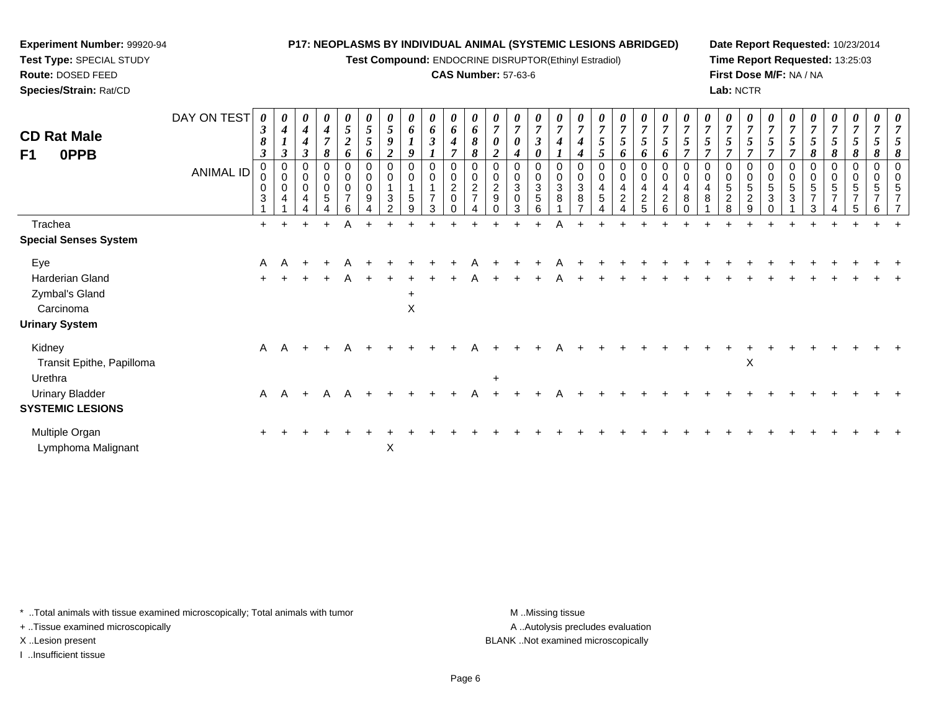**Test Compound:** ENDOCRINE DISRUPTOR(Ethinyl Estradiol)

### **CAS Number:** 57-63-6

**Date Report Requested:** 10/23/2014**Time Report Requested:** 13:25:03**First Dose M/F:** NA / NA**Lab:** NCTR

| <b>CD Rat Male</b><br>F1<br>0PPB                                               | DAY ON TEST<br><b>ANIMAL ID</b> | 0<br>$\boldsymbol{\beta}$<br>8<br>$\boldsymbol{\beta}$<br>0<br>0<br>3 | 0<br>$\boldsymbol{4}$<br>$\boldsymbol{\beta}$<br>0<br>$\mathbf 0$<br>0<br>4 | $\boldsymbol{\theta}$<br>$\boldsymbol{4}$<br>$\boldsymbol{4}$<br>$\boldsymbol{\beta}$<br>0<br>0<br>0<br>$\overline{4}$ | $\pmb{\theta}$<br>$\boldsymbol{4}$<br>$\overline{7}$<br>8<br>$\pmb{0}$<br>$\mathbf 0$<br>5 | 0<br>5<br>$\boldsymbol{2}$<br>6<br>0<br>0<br>0<br>$\overline{7}$<br>6 | 0<br>$\mathfrak{s}$<br>5<br>6<br>0<br>0<br>9 | $\boldsymbol{\theta}$<br>$\sqrt{5}$<br>9<br>$\overline{2}$<br>0<br>0<br>$\sqrt{3}$<br>$\mathcal{P}$ | 0<br>6<br>9<br>0<br>$\boldsymbol{0}$<br>$\mathbf{1}$<br>5<br>9 | $\boldsymbol{\theta}$<br>6<br>$\boldsymbol{\beta}$<br>$\Omega$<br>$\mathbf 0$<br>1<br>$\overline{7}$<br>3 | $\boldsymbol{\theta}$<br>6<br>$\boldsymbol{4}$<br>0<br>$\pmb{0}$<br>$\boldsymbol{2}$<br>0 | 0<br>6<br>8<br>8<br>$\pmb{0}$<br>$\frac{2}{7}$ | 0<br>$\boldsymbol{\theta}$<br>$\overline{2}$<br>0<br>$\overline{c}$<br>$\boldsymbol{9}$ | 0<br>$\overline{7}$<br>0<br>4<br>0<br>$\mathbf 0$<br>$\sqrt{3}$<br>0<br>3 | $\boldsymbol{\theta}$<br>$\overline{7}$<br>$\boldsymbol{\beta}$<br>0<br>0<br>$\pmb{0}$<br>$\sqrt{3}$<br>5<br>6 | 0<br>$\overline{ }$<br>0<br>3<br>8 | $\pmb{0}$<br>3<br>8 | 0<br>$\overline{7}$<br>5<br>$\mathfrak{p}$<br>0<br>4<br>$\,$ 5 $\,$ | $\frac{\theta}{7}$<br>5<br>6<br>0<br>$\mathbf 0$<br>$\overline{\mathbf{r}}$<br>$\sqrt{2}$ | $\frac{\boldsymbol{0}}{7}$<br>$\mathfrak{s}$<br>6<br>$\pmb{0}$<br>$\pmb{0}$<br>$\begin{array}{c} 4 \\ 2 \end{array}$<br>5 | $\frac{\boldsymbol{0}}{7}$<br>5<br>6<br>0<br>4<br>$\boldsymbol{2}$<br>6 | 0<br>$\overline{7}$<br>0<br>4<br>8 | 0<br>0<br>4<br>8 | 0<br>$\overline{7}$<br>5<br>$\overline{ }$<br>0<br>$\pmb{0}$<br>5<br>$\overline{2}$<br>8 | $\pmb{\theta}$<br>$\overline{7}$<br>5<br>$\overline{ }$<br>0<br>$\pmb{0}$<br>5<br>$\sqrt{2}$<br>9 | $\boldsymbol{\theta}$<br>$\overline{7}$<br>$\overline{ }$<br>0<br>$\pmb{0}$<br>5<br>3<br>$\Omega$ | $\overline{7}$<br>0<br>5<br>$\mathbf{3}$ | 0<br>$\overline{7}$<br>5<br>8<br>$\pmb{0}$<br>5<br>$\overline{z}$<br>3 | 0<br>$\overline{7}$<br>5<br>8<br>0<br>0<br>5<br>$\overline{ }$ | $\frac{\boldsymbol{0}}{7}$<br>$\mathfrak{s}$<br>8<br>0<br>0<br>5<br>$\overline{7}$<br>5 | $\boldsymbol{\theta}$<br>$\overline{7}$<br>8<br>0<br>0<br>5<br>$\overline{7}$<br>6 | $\boldsymbol{\theta}$<br><sup>n</sup> |
|--------------------------------------------------------------------------------|---------------------------------|-----------------------------------------------------------------------|-----------------------------------------------------------------------------|------------------------------------------------------------------------------------------------------------------------|--------------------------------------------------------------------------------------------|-----------------------------------------------------------------------|----------------------------------------------|-----------------------------------------------------------------------------------------------------|----------------------------------------------------------------|-----------------------------------------------------------------------------------------------------------|-------------------------------------------------------------------------------------------|------------------------------------------------|-----------------------------------------------------------------------------------------|---------------------------------------------------------------------------|----------------------------------------------------------------------------------------------------------------|------------------------------------|---------------------|---------------------------------------------------------------------|-------------------------------------------------------------------------------------------|---------------------------------------------------------------------------------------------------------------------------|-------------------------------------------------------------------------|------------------------------------|------------------|------------------------------------------------------------------------------------------|---------------------------------------------------------------------------------------------------|---------------------------------------------------------------------------------------------------|------------------------------------------|------------------------------------------------------------------------|----------------------------------------------------------------|-----------------------------------------------------------------------------------------|------------------------------------------------------------------------------------|---------------------------------------|
| Trachea                                                                        |                                 | $\ddot{}$                                                             |                                                                             |                                                                                                                        | $\ddot{}$                                                                                  | A                                                                     |                                              |                                                                                                     |                                                                |                                                                                                           |                                                                                           |                                                |                                                                                         |                                                                           |                                                                                                                | Α                                  |                     |                                                                     |                                                                                           |                                                                                                                           |                                                                         |                                    |                  |                                                                                          |                                                                                                   |                                                                                                   |                                          |                                                                        |                                                                |                                                                                         |                                                                                    |                                       |
| <b>Special Senses System</b>                                                   |                                 |                                                                       |                                                                             |                                                                                                                        |                                                                                            |                                                                       |                                              |                                                                                                     |                                                                |                                                                                                           |                                                                                           |                                                |                                                                                         |                                                                           |                                                                                                                |                                    |                     |                                                                     |                                                                                           |                                                                                                                           |                                                                         |                                    |                  |                                                                                          |                                                                                                   |                                                                                                   |                                          |                                                                        |                                                                |                                                                                         |                                                                                    |                                       |
| Eye<br>Harderian Gland<br>Zymbal's Gland<br>Carcinoma<br><b>Urinary System</b> |                                 | A<br>$\pm$                                                            |                                                                             |                                                                                                                        |                                                                                            | A                                                                     |                                              |                                                                                                     | $\ddot{}$<br>X                                                 |                                                                                                           |                                                                                           |                                                |                                                                                         |                                                                           |                                                                                                                |                                    |                     |                                                                     |                                                                                           |                                                                                                                           |                                                                         |                                    |                  |                                                                                          |                                                                                                   |                                                                                                   |                                          |                                                                        |                                                                |                                                                                         |                                                                                    |                                       |
| Kidney<br>Transit Epithe, Papilloma                                            |                                 | $\mathsf{A}$                                                          | $\mathsf{A}$                                                                | $+$                                                                                                                    |                                                                                            |                                                                       |                                              |                                                                                                     |                                                                |                                                                                                           |                                                                                           |                                                |                                                                                         |                                                                           |                                                                                                                |                                    |                     |                                                                     |                                                                                           |                                                                                                                           |                                                                         |                                    |                  |                                                                                          | $\pmb{\times}$                                                                                    |                                                                                                   |                                          |                                                                        |                                                                |                                                                                         |                                                                                    |                                       |
| Urethra<br><b>Urinary Bladder</b><br><b>SYSTEMIC LESIONS</b>                   |                                 | $\mathsf{A}$                                                          | A                                                                           | $+$                                                                                                                    | A                                                                                          | A                                                                     |                                              |                                                                                                     |                                                                |                                                                                                           |                                                                                           |                                                | $\div$                                                                                  |                                                                           |                                                                                                                |                                    |                     |                                                                     |                                                                                           |                                                                                                                           |                                                                         |                                    |                  |                                                                                          |                                                                                                   |                                                                                                   |                                          |                                                                        |                                                                |                                                                                         |                                                                                    |                                       |
| Multiple Organ<br>Lymphoma Malignant                                           |                                 |                                                                       |                                                                             |                                                                                                                        |                                                                                            |                                                                       |                                              | X                                                                                                   |                                                                |                                                                                                           |                                                                                           |                                                |                                                                                         |                                                                           |                                                                                                                |                                    |                     |                                                                     |                                                                                           |                                                                                                                           |                                                                         |                                    |                  |                                                                                          |                                                                                                   |                                                                                                   |                                          |                                                                        |                                                                |                                                                                         |                                                                                    |                                       |

\* ..Total animals with tissue examined microscopically; Total animals with tumor **M** . Missing tissue M ..Missing tissue

+ ..Tissue examined microscopically

**Experiment Number:** 99920-94**Test Type:** SPECIAL STUDY**Route:** DOSED FEED**Species/Strain:** Rat/CD

I ..Insufficient tissue

A ..Autolysis precludes evaluation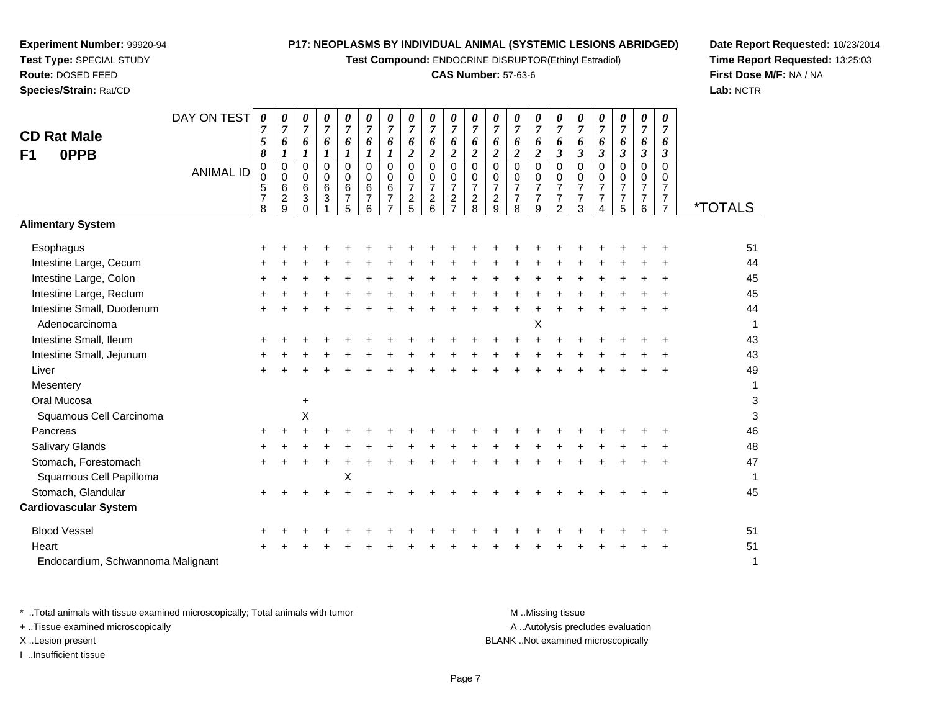**Test Compound:** ENDOCRINE DISRUPTOR(Ethinyl Estradiol)

### **CAS Number:** 57-63-6

**Date Report Requested:** 10/23/2014**Time Report Requested:** 13:25:03**First Dose M/F:** NA / NA**Lab:** NCTR

|                                   | DAY ON TEST      |                     |                     |                            |                         |                       |                     |                                  |                     |                         |                              |                         |                     |                       |                            |                                  |                       | 0                          |                      | 0                     |                     |                       |
|-----------------------------------|------------------|---------------------|---------------------|----------------------------|-------------------------|-----------------------|---------------------|----------------------------------|---------------------|-------------------------|------------------------------|-------------------------|---------------------|-----------------------|----------------------------|----------------------------------|-----------------------|----------------------------|----------------------|-----------------------|---------------------|-----------------------|
|                                   |                  | 0<br>$\overline{7}$ | 0<br>$\overline{7}$ | 0<br>$\overline{7}$        | 0<br>$\boldsymbol{7}$   | 0<br>$\overline{7}$   | 0<br>$\overline{7}$ | 0<br>$\overline{7}$              | 0<br>$\overline{7}$ | 0<br>$\overline{7}$     | 0<br>$\overline{7}$          | 0<br>$\overline{7}$     | 0<br>$\overline{7}$ | 0<br>$\boldsymbol{7}$ | 0<br>$\overline{7}$        | 0<br>$\overline{7}$              | 0<br>$\overline{7}$   | $\overline{7}$             | 0<br>$\overline{7}$  | $\overline{7}$        | 0<br>$\overline{7}$ |                       |
| <b>CD Rat Male</b>                |                  | 5                   | 6                   | 6                          | 6                       | 6                     | 6                   | 6                                | 6                   | 6                       | 6                            | 6                       | 6                   | 6                     | 6                          | 6                                | 6                     | 6                          | 6                    | 6                     | 6                   |                       |
| 0PPB<br>F1                        |                  | 8                   | 1                   | $\boldsymbol{l}$           | $\boldsymbol{l}$        | $\boldsymbol{l}$      | 1                   | 1                                | $\boldsymbol{2}$    | $\overline{\mathbf{c}}$ | $\overline{\mathbf{c}}$      | $\boldsymbol{2}$        | $\boldsymbol{2}$    | $\boldsymbol{2}$      | $\boldsymbol{2}$           | $\boldsymbol{\beta}$             | $\boldsymbol{\beta}$  | $\mathfrak{z}$             | $\boldsymbol{\beta}$ | $\boldsymbol{\beta}$  | 3                   |                       |
|                                   | <b>ANIMAL ID</b> | 0<br>0              | 0<br>0              | $\mathbf 0$<br>$\mathbf 0$ | $\Omega$<br>$\mathbf 0$ | $\overline{0}$<br>0   | $\Omega$<br>0       | $\mathbf 0$<br>0                 | $\Omega$<br>0       | 0<br>0                  | $\mathbf 0$<br>$\mathbf 0$   | $\Omega$<br>$\mathbf 0$ | $\mathbf 0$<br>0    | $\Omega$<br>0         | $\mathbf 0$<br>$\mathbf 0$ | $\Omega$<br>0                    | $\Omega$<br>0         | $\Omega$<br>$\overline{0}$ | $\overline{0}$<br>0  | $\Omega$<br>0         | $\Omega$<br>0       |                       |
|                                   |                  | 5                   | 6                   | $6\phantom{1}$             | 6                       | 6                     | 6                   | $\,6\,$                          | $\overline{7}$      | 7                       | $\overline{7}$               | $\overline{7}$          | $\overline{7}$      | $\overline{7}$        | $\overline{7}$             | $\overline{7}$                   | $\overline{7}$        | $\overline{7}$             | 7                    | $\overline{7}$        | 7                   |                       |
|                                   |                  | $\overline{7}$<br>8 | $\overline{c}$<br>9 | $\sqrt{3}$<br>$\Omega$     | $\sqrt{3}$              | $\boldsymbol{7}$<br>5 | $\overline{7}$<br>6 | $\overline{7}$<br>$\overline{7}$ | $\overline{c}$<br>5 | $\overline{c}$<br>6     | $\sqrt{2}$<br>$\overline{7}$ | $\boldsymbol{2}$<br>8   | $\sqrt{2}$<br>9     | $\overline{7}$<br>8   | $\overline{7}$<br>9        | $\overline{7}$<br>$\overline{2}$ | $\boldsymbol{7}$<br>3 | $\overline{7}$<br>4        | 7<br>5               | $\boldsymbol{7}$<br>6 | 7<br>$\overline{7}$ | <i><b>*TOTALS</b></i> |
| <b>Alimentary System</b>          |                  |                     |                     |                            |                         |                       |                     |                                  |                     |                         |                              |                         |                     |                       |                            |                                  |                       |                            |                      |                       |                     |                       |
| Esophagus                         |                  |                     |                     |                            |                         |                       |                     |                                  |                     |                         |                              |                         |                     |                       |                            |                                  |                       |                            |                      |                       |                     | 51                    |
| Intestine Large, Cecum            |                  |                     |                     |                            |                         |                       |                     |                                  |                     |                         |                              |                         |                     |                       |                            |                                  |                       |                            |                      |                       |                     | 44                    |
| Intestine Large, Colon            |                  |                     |                     |                            |                         |                       |                     |                                  |                     |                         |                              |                         |                     |                       |                            |                                  |                       |                            |                      |                       |                     | 45                    |
| Intestine Large, Rectum           |                  |                     |                     |                            |                         |                       |                     |                                  |                     |                         |                              |                         |                     |                       |                            |                                  |                       |                            |                      |                       |                     | 45                    |
| Intestine Small, Duodenum         |                  |                     |                     |                            |                         |                       |                     |                                  |                     |                         |                              |                         |                     |                       |                            |                                  |                       |                            |                      |                       |                     | 44                    |
| Adenocarcinoma                    |                  |                     |                     |                            |                         |                       |                     |                                  |                     |                         |                              |                         |                     |                       | Χ                          |                                  |                       |                            |                      |                       |                     | 1                     |
| Intestine Small, Ileum            |                  |                     |                     |                            |                         |                       |                     |                                  |                     |                         |                              |                         |                     |                       |                            |                                  |                       |                            |                      |                       |                     | 43                    |
| Intestine Small, Jejunum          |                  |                     |                     |                            |                         |                       |                     |                                  |                     |                         |                              |                         |                     |                       |                            |                                  |                       |                            |                      |                       |                     | 43                    |
| Liver                             |                  |                     |                     |                            |                         |                       |                     |                                  |                     |                         |                              |                         |                     |                       |                            |                                  |                       |                            |                      |                       |                     | 49                    |
| Mesentery                         |                  |                     |                     |                            |                         |                       |                     |                                  |                     |                         |                              |                         |                     |                       |                            |                                  |                       |                            |                      |                       |                     | 1                     |
| Oral Mucosa                       |                  |                     |                     | +                          |                         |                       |                     |                                  |                     |                         |                              |                         |                     |                       |                            |                                  |                       |                            |                      |                       |                     | 3                     |
| Squamous Cell Carcinoma           |                  |                     |                     | Χ                          |                         |                       |                     |                                  |                     |                         |                              |                         |                     |                       |                            |                                  |                       |                            |                      |                       |                     | 3                     |
| Pancreas                          |                  |                     |                     |                            |                         |                       |                     |                                  |                     |                         |                              |                         |                     |                       |                            |                                  |                       |                            |                      |                       |                     | 46                    |
| Salivary Glands                   |                  |                     |                     |                            |                         |                       |                     |                                  |                     |                         |                              |                         |                     |                       |                            |                                  |                       |                            |                      |                       |                     | 48                    |
| Stomach, Forestomach              |                  |                     |                     |                            |                         |                       |                     |                                  |                     |                         |                              |                         |                     |                       |                            |                                  |                       |                            |                      |                       |                     | 47                    |
| Squamous Cell Papilloma           |                  |                     |                     |                            |                         | X                     |                     |                                  |                     |                         |                              |                         |                     |                       |                            |                                  |                       |                            |                      |                       |                     | 1                     |
| Stomach, Glandular                |                  |                     |                     |                            |                         |                       |                     |                                  |                     |                         |                              |                         |                     |                       |                            |                                  |                       |                            |                      |                       |                     | 45                    |
| <b>Cardiovascular System</b>      |                  |                     |                     |                            |                         |                       |                     |                                  |                     |                         |                              |                         |                     |                       |                            |                                  |                       |                            |                      |                       |                     |                       |
| <b>Blood Vessel</b>               |                  |                     |                     |                            |                         |                       |                     |                                  |                     |                         |                              |                         |                     |                       |                            |                                  |                       |                            |                      |                       |                     | 51                    |
| Heart                             |                  |                     |                     |                            |                         |                       |                     |                                  |                     |                         |                              |                         |                     |                       |                            |                                  |                       |                            |                      |                       |                     | 51                    |
| Endocardium, Schwannoma Malignant |                  |                     |                     |                            |                         |                       |                     |                                  |                     |                         |                              |                         |                     |                       |                            |                                  |                       |                            |                      |                       |                     | 1                     |

\* ..Total animals with tissue examined microscopically; Total animals with tumor **M** . Missing tissue M ..Missing tissue A ..Autolysis precludes evaluation + ..Tissue examined microscopically X ..Lesion present BLANK ..Not examined microscopicallyI ..Insufficient tissue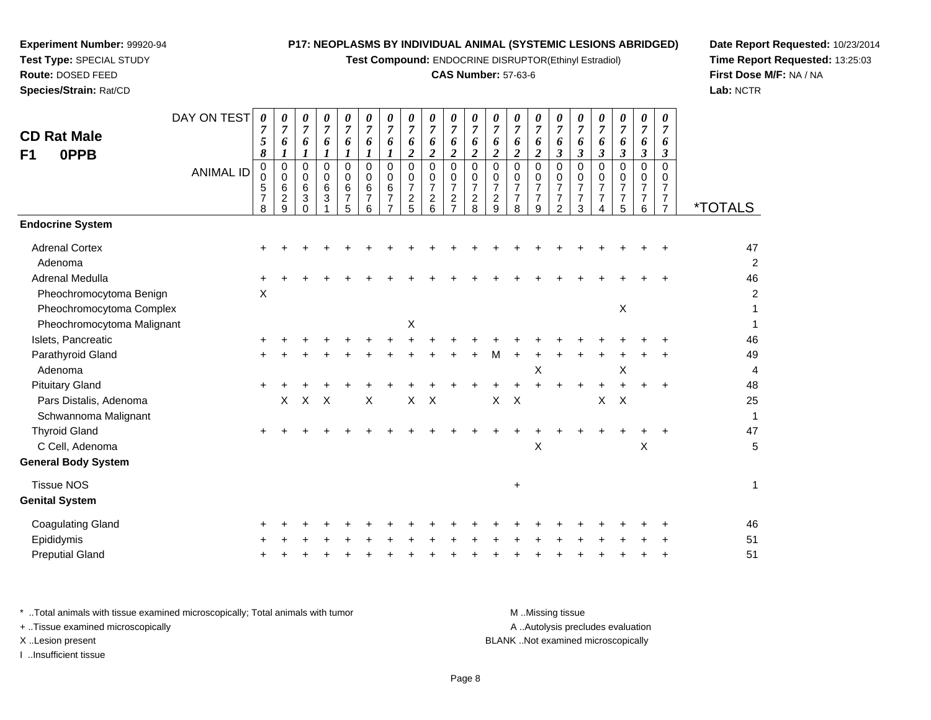**Test Compound:** ENDOCRINE DISRUPTOR(Ethinyl Estradiol)

# **CAS Number:** 57-63-6

**Date Report Requested:** 10/23/2014**Time Report Requested:** 13:25:03**First Dose M/F:** NA / NA**Lab:** NCTR

| Adenoma                                                                                                             |           |       |              |              |           |           |           |          |           |           |           |           | X                |           |           |                                    | Х        |   |
|---------------------------------------------------------------------------------------------------------------------|-----------|-------|--------------|--------------|-----------|-----------|-----------|----------|-----------|-----------|-----------|-----------|------------------|-----------|-----------|------------------------------------|----------|---|
| <b>Pituitary Gland</b>                                                                                              | $\ddot{}$ | $\pm$ |              |              | $\pm$     | +         | +         | +        | $\ddot{}$ | $\ddot{}$ | $\ddot{}$ | $\ddot{}$ | $+$              | $\ddot{}$ | $\ddot{}$ | $\ddot{}$                          |          |   |
| Pars Distalis, Adenoma                                                                                              |           | X.    | $\mathsf{X}$ | $\mathsf{X}$ | $\times$  |           | $\times$  | $\times$ |           |           | $\times$  | $\times$  |                  |           |           | X                                  | $\times$ |   |
| Schwannoma Malignant                                                                                                |           |       |              |              |           |           |           |          |           |           |           |           |                  |           |           |                                    |          |   |
| <b>Thyroid Gland</b>                                                                                                | +         |       |              |              |           |           |           |          |           |           |           | ÷.        | +                |           |           |                                    |          |   |
| C Cell, Adenoma                                                                                                     |           |       |              |              |           |           |           |          |           |           |           |           | X                |           |           |                                    |          | X |
| <b>General Body System</b>                                                                                          |           |       |              |              |           |           |           |          |           |           |           |           |                  |           |           |                                    |          |   |
| <b>Tissue NOS</b>                                                                                                   |           |       |              |              |           |           |           |          |           |           |           | $\ddot{}$ |                  |           |           |                                    |          |   |
| <b>Genital System</b>                                                                                               |           |       |              |              |           |           |           |          |           |           |           |           |                  |           |           |                                    |          |   |
| <b>Coagulating Gland</b>                                                                                            | ٠         |       |              |              |           |           |           |          |           |           |           |           |                  |           |           |                                    |          |   |
| Epididymis                                                                                                          | $\pm$     |       |              |              | $\ddot{}$ | $\ddot{}$ | $\ddot{}$ | $\pm$    | $\ddot{}$ | $\ddot{}$ | $\pm$     | $\ddot{}$ | $\pm$            | $+$       | $\pm$     | $\pm$                              |          |   |
| <b>Preputial Gland</b>                                                                                              | $\ddot{}$ |       |              |              |           |           |           |          |           | ÷.        | ÷.        | ÷.        | ÷.               | ÷.        | $+$       |                                    |          |   |
| * Total animals with tissue examined microscopically; Total animals with tumor<br>+ Tissue examined microscopically |           |       |              |              |           |           |           |          |           |           |           |           | M.Missing tissue |           |           | A  Autolysis precludes evaluation  |          |   |
| X. Lesion present                                                                                                   |           |       |              |              |           |           |           |          |           |           |           |           |                  |           |           | BLANK Not examined microscopically |          |   |
| トリート・コンプロセクション けいしょうしゃ                                                                                              |           |       |              |              |           |           |           |          |           |           |           |           |                  |           |           |                                    |          |   |

| <b>CD Rat Male</b><br>F1<br>0PPB                                         | DAY ON TEST      | 0<br>7<br>5<br>8                           | 0<br>7<br>6                                  | 0<br>$\overline{7}$<br>6                   | 0<br>$\overline{7}$<br>6<br>1         | 0<br>$\overline{7}$<br>6<br>1                | 0<br>$\overline{7}$<br>6<br>1                    | 0<br>6                               | 0<br>$\overline{7}$<br>6<br>$\overline{2}$             | 0<br>$\overline{7}$<br>6<br>$\boldsymbol{2}$              | 7<br>6<br>$\overline{\mathbf{c}}$               | 0<br>$\overline{7}$<br>6<br>$\overline{c}$             | 0<br>$\overline{7}$<br>6<br>$\overline{c}$             | 0<br>$\overline{7}$<br>6<br>$\boldsymbol{2}$           | 0<br>$\overline{7}$<br>6<br>$\overline{2}$             | 0<br>$\overline{7}$<br>6<br>3                             | 0<br>$\overline{7}$<br>6<br>$\boldsymbol{\beta}$                  | 0<br>$\overline{7}$<br>6<br>3                          | 0<br>$\overline{7}$<br>6<br>$\boldsymbol{\beta}$    | 0<br>$\overline{7}$<br>6<br>$\boldsymbol{\beta}$ | 0<br>6<br>3                          |                           |
|--------------------------------------------------------------------------|------------------|--------------------------------------------|----------------------------------------------|--------------------------------------------|---------------------------------------|----------------------------------------------|--------------------------------------------------|--------------------------------------|--------------------------------------------------------|-----------------------------------------------------------|-------------------------------------------------|--------------------------------------------------------|--------------------------------------------------------|--------------------------------------------------------|--------------------------------------------------------|-----------------------------------------------------------|-------------------------------------------------------------------|--------------------------------------------------------|-----------------------------------------------------|--------------------------------------------------|--------------------------------------|---------------------------|
|                                                                          | <b>ANIMAL ID</b> | $\pmb{0}$<br>0<br>5<br>$\overline{7}$<br>8 | $\mathbf 0$<br>0<br>6<br>$\overline{2}$<br>9 | $\mathbf 0$<br>0<br>6<br>3<br><sup>0</sup> | $\mathbf 0$<br>0<br>6<br>$\mathbf{3}$ | $\mathbf 0$<br>0<br>6<br>$\overline{7}$<br>5 | $\Omega$<br>$\Omega$<br>6<br>$\overline{7}$<br>6 | $\Omega$<br>0<br>6<br>$\overline{7}$ | $\Omega$<br>0<br>$\overline{7}$<br>$\overline{c}$<br>5 | $\mathbf 0$<br>0<br>$\overline{7}$<br>$\overline{2}$<br>6 | 0<br>0<br>7<br>$\overline{c}$<br>$\overline{7}$ | $\Omega$<br>0<br>$\overline{7}$<br>$\overline{c}$<br>8 | $\Omega$<br>0<br>$\overline{7}$<br>$\overline{c}$<br>9 | $\Omega$<br>0<br>$\overline{7}$<br>$\overline{7}$<br>8 | $\Omega$<br>0<br>$\overline{7}$<br>$\overline{7}$<br>9 | $\mathbf 0$<br>0<br>$\overline{7}$<br>$\overline{7}$<br>2 | $\Omega$<br>0<br>$\overline{7}$<br>$\overline{7}$<br>$\mathbf{3}$ | $\Omega$<br>0<br>$\overline{7}$<br>$\overline{7}$<br>4 | $\Omega$<br>$\mathbf 0$<br>$\overline{7}$<br>7<br>5 | $\mathbf 0$<br>0<br>$\overline{7}$<br>7<br>6     | $\Omega$<br>0<br>7<br>$\overline{7}$ | <i><b>*TOTALS</b></i>     |
| <b>Endocrine System</b>                                                  |                  |                                            |                                              |                                            |                                       |                                              |                                                  |                                      |                                                        |                                                           |                                                 |                                                        |                                                        |                                                        |                                                        |                                                           |                                                                   |                                                        |                                                     |                                                  |                                      |                           |
| <b>Adrenal Cortex</b><br>Adenoma                                         |                  |                                            |                                              |                                            |                                       |                                              |                                                  |                                      |                                                        |                                                           |                                                 |                                                        |                                                        |                                                        |                                                        |                                                           |                                                                   |                                                        |                                                     |                                                  |                                      | 47<br>$\overline{a}$      |
| Adrenal Medulla<br>Pheochromocytoma Benign<br>Pheochromocytoma Complex   |                  | X                                          |                                              |                                            |                                       |                                              |                                                  |                                      |                                                        |                                                           |                                                 |                                                        |                                                        |                                                        |                                                        |                                                           |                                                                   |                                                        | X                                                   |                                                  |                                      | 46<br>$\overline{a}$<br>1 |
| Pheochromocytoma Malignant                                               |                  |                                            |                                              |                                            |                                       |                                              |                                                  |                                      | $\boldsymbol{\mathsf{X}}$                              |                                                           |                                                 |                                                        |                                                        |                                                        |                                                        |                                                           |                                                                   |                                                        |                                                     |                                                  |                                      | $\mathbf 1$               |
| Islets, Pancreatic                                                       |                  |                                            |                                              |                                            |                                       |                                              |                                                  |                                      |                                                        |                                                           |                                                 |                                                        |                                                        |                                                        |                                                        |                                                           |                                                                   |                                                        |                                                     |                                                  |                                      | 46                        |
| Parathyroid Gland<br>Adenoma                                             |                  |                                            |                                              |                                            |                                       |                                              |                                                  |                                      |                                                        |                                                           |                                                 |                                                        | М                                                      |                                                        | X                                                      |                                                           |                                                                   |                                                        | X                                                   |                                                  |                                      | 49<br>4                   |
| <b>Pituitary Gland</b><br>Pars Distalis, Adenoma<br>Schwannoma Malignant |                  | $\ddot{}$                                  | X                                            | X                                          | $\boldsymbol{\mathsf{X}}$             |                                              | X                                                |                                      | X                                                      | X                                                         |                                                 |                                                        | X                                                      | $\times$                                               |                                                        |                                                           |                                                                   | +<br>X                                                 | $\boldsymbol{\mathsf{X}}$                           |                                                  |                                      | 48<br>25<br>$\mathbf 1$   |
| <b>Thyroid Gland</b><br>C Cell, Adenoma<br><b>General Body System</b>    |                  | ÷                                          |                                              |                                            |                                       |                                              |                                                  |                                      |                                                        |                                                           |                                                 |                                                        |                                                        |                                                        | X                                                      |                                                           |                                                                   |                                                        |                                                     | $\mathsf X$                                      |                                      | 47<br>5                   |
| <b>Tissue NOS</b><br><b>Genital System</b>                               |                  |                                            |                                              |                                            |                                       |                                              |                                                  |                                      |                                                        |                                                           |                                                 |                                                        |                                                        | +                                                      |                                                        |                                                           |                                                                   |                                                        |                                                     |                                                  |                                      | $\mathbf 1$               |
| <b>Coagulating Gland</b>                                                 |                  |                                            |                                              |                                            |                                       |                                              |                                                  |                                      |                                                        |                                                           |                                                 |                                                        |                                                        |                                                        |                                                        |                                                           |                                                                   |                                                        |                                                     |                                                  |                                      | 46                        |
| Epididymis                                                               |                  |                                            |                                              |                                            |                                       |                                              |                                                  |                                      |                                                        |                                                           |                                                 |                                                        |                                                        |                                                        |                                                        |                                                           |                                                                   |                                                        |                                                     |                                                  |                                      | 51                        |
| <b>Preputial Gland</b>                                                   |                  |                                            |                                              |                                            |                                       |                                              |                                                  |                                      |                                                        |                                                           |                                                 |                                                        |                                                        |                                                        |                                                        |                                                           |                                                                   |                                                        |                                                     |                                                  |                                      | 51                        |

# **Experiment Number:** 99920-94**Test Type:** SPECIAL STUDY**Route:** DOSED FEED

**Species/Strain:** Rat/CD

X ..Lesion present I ..Insufficient tissue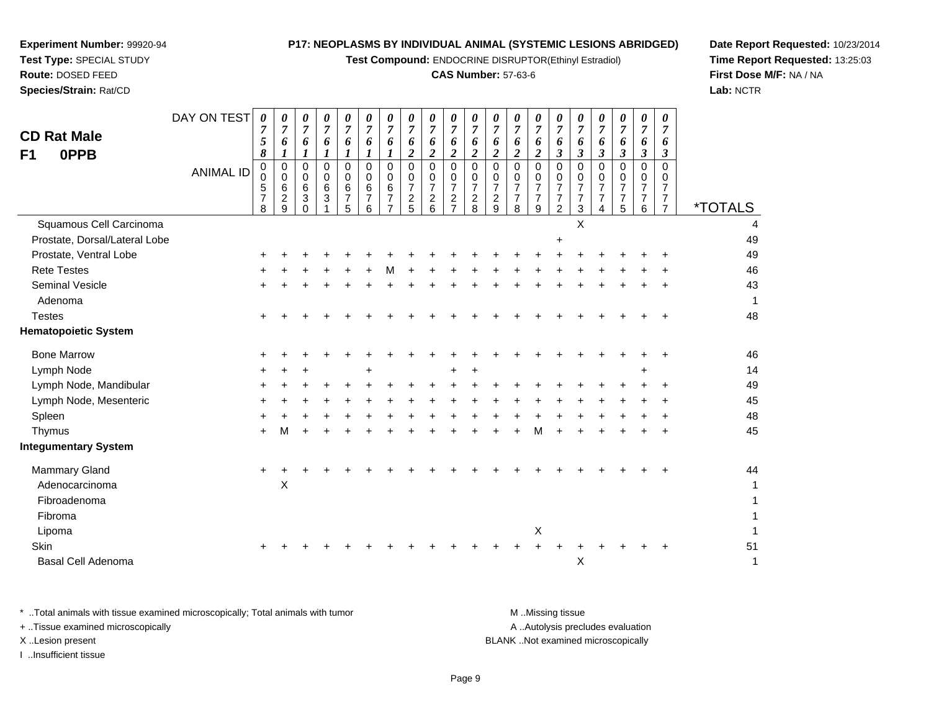**Test Compound:** ENDOCRINE DISRUPTOR(Ethinyl Estradiol)

#### **CAS Number:** 57-63-6

**Date Report Requested:** 10/23/2014**Time Report Requested:** 13:25:03**First Dose M/F:** NA / NA**Lab:** NCTR

| <b>CD Rat Male</b><br>0PPB<br>F <sub>1</sub> | DAY ON TEST<br><b>ANIMAL ID</b> | 0<br>5<br>8<br>0<br>0<br>5<br>$\overline{7}$<br>8 | 6<br>0<br>$\Omega$<br>6<br>2<br>9 | 0<br>$\overline{7}$<br>6<br>$\boldsymbol{l}$<br>0<br>$\overline{0}$<br>6<br>3<br>0 | 0<br>6<br>0<br>$\mathbf 0$<br>6<br>3 | 0<br>6<br>$\Omega$<br>0<br>$6\phantom{1}6$<br>$\overline{7}$<br>5 | 0<br>$\Omega$<br>6<br>6 | o<br>$\Omega$<br>$\Omega$<br>6<br>7 | 0<br>6<br>2<br>0<br>0<br>$\overline{7}$<br>$\overline{c}$<br>5 | 6<br>2<br>0<br>0<br>$\overline{7}$<br>$\overline{c}$<br>6 | 0<br>$\overline{7}$<br>6<br>2<br>$\Omega$<br>0<br>$\overline{7}$<br>$\overline{c}$<br>⇁ | 0<br>6<br>0<br>0<br>$\overline{7}$<br>$\overline{c}$<br>8 | $\theta$<br>6<br>$\overline{2}$<br>$\Omega$<br>0<br>$\overline{7}$<br>$\overline{2}$<br>9 | 0<br>o<br>2<br>0<br>$\overline{7}$<br>$\overline{7}$<br>8 | 0<br>6<br>2<br>0<br>$\Omega$<br>$\overline{7}$<br>$\overline{7}$<br>9 | $\boldsymbol{\theta}$<br>6<br>$\boldsymbol{\beta}$<br>0<br>$\mathbf 0$<br>$\overline{7}$<br>$\overline{7}$<br>2 | 6<br>3<br>0<br>0<br>7<br>$\overline{7}$<br>3 | 0<br>$\overline{7}$<br>6<br>3<br>$\Omega$<br>$\mathbf 0$<br>$\overline{7}$<br>$\overline{7}$<br>4 | 0<br>6<br>3<br>0<br>0<br>$\overline{7}$<br>5 | 0<br>$\overline{7}$<br>6<br>3<br>0<br>0<br>$\overline{7}$<br>$\overline{7}$<br>6 | 0<br>o<br>3<br>0<br>$\overline{7}$ | <i><b>*TOTALS</b></i> |
|----------------------------------------------|---------------------------------|---------------------------------------------------|-----------------------------------|------------------------------------------------------------------------------------|--------------------------------------|-------------------------------------------------------------------|-------------------------|-------------------------------------|----------------------------------------------------------------|-----------------------------------------------------------|-----------------------------------------------------------------------------------------|-----------------------------------------------------------|-------------------------------------------------------------------------------------------|-----------------------------------------------------------|-----------------------------------------------------------------------|-----------------------------------------------------------------------------------------------------------------|----------------------------------------------|---------------------------------------------------------------------------------------------------|----------------------------------------------|----------------------------------------------------------------------------------|------------------------------------|-----------------------|
| Squamous Cell Carcinoma                      |                                 |                                                   |                                   |                                                                                    |                                      |                                                                   |                         |                                     |                                                                |                                                           |                                                                                         |                                                           |                                                                                           |                                                           |                                                                       |                                                                                                                 | X                                            |                                                                                                   |                                              |                                                                                  |                                    | 4                     |
| Prostate, Dorsal/Lateral Lobe                |                                 |                                                   |                                   |                                                                                    |                                      |                                                                   |                         |                                     |                                                                |                                                           |                                                                                         |                                                           |                                                                                           |                                                           |                                                                       | $\ddot{}$                                                                                                       |                                              |                                                                                                   |                                              |                                                                                  |                                    | 49                    |
| Prostate, Ventral Lobe                       |                                 | ÷                                                 |                                   |                                                                                    |                                      |                                                                   |                         |                                     |                                                                |                                                           |                                                                                         |                                                           |                                                                                           |                                                           |                                                                       |                                                                                                                 |                                              |                                                                                                   |                                              |                                                                                  |                                    | 49                    |
| <b>Rete Testes</b>                           |                                 |                                                   |                                   |                                                                                    |                                      |                                                                   |                         | м                                   |                                                                |                                                           |                                                                                         |                                                           |                                                                                           |                                                           |                                                                       |                                                                                                                 |                                              |                                                                                                   |                                              |                                                                                  |                                    | 46                    |
| Seminal Vesicle                              |                                 |                                                   |                                   |                                                                                    |                                      |                                                                   |                         |                                     |                                                                |                                                           |                                                                                         |                                                           |                                                                                           |                                                           |                                                                       |                                                                                                                 |                                              |                                                                                                   |                                              |                                                                                  |                                    | 43                    |
| Adenoma                                      |                                 |                                                   |                                   |                                                                                    |                                      |                                                                   |                         |                                     |                                                                |                                                           |                                                                                         |                                                           |                                                                                           |                                                           |                                                                       |                                                                                                                 |                                              |                                                                                                   |                                              |                                                                                  |                                    | 1                     |
| <b>Testes</b>                                |                                 |                                                   |                                   |                                                                                    |                                      |                                                                   |                         |                                     |                                                                |                                                           |                                                                                         |                                                           |                                                                                           |                                                           |                                                                       |                                                                                                                 |                                              |                                                                                                   |                                              |                                                                                  |                                    | 48                    |
| <b>Hematopoietic System</b>                  |                                 |                                                   |                                   |                                                                                    |                                      |                                                                   |                         |                                     |                                                                |                                                           |                                                                                         |                                                           |                                                                                           |                                                           |                                                                       |                                                                                                                 |                                              |                                                                                                   |                                              |                                                                                  |                                    |                       |
| <b>Bone Marrow</b>                           |                                 |                                                   |                                   |                                                                                    |                                      |                                                                   |                         |                                     |                                                                |                                                           |                                                                                         |                                                           |                                                                                           |                                                           |                                                                       |                                                                                                                 |                                              |                                                                                                   |                                              |                                                                                  |                                    | 46                    |
| Lymph Node                                   |                                 | ÷                                                 |                                   |                                                                                    |                                      |                                                                   |                         |                                     |                                                                |                                                           |                                                                                         |                                                           |                                                                                           |                                                           |                                                                       |                                                                                                                 |                                              |                                                                                                   |                                              |                                                                                  |                                    | 14                    |
| Lymph Node, Mandibular                       |                                 |                                                   |                                   |                                                                                    |                                      |                                                                   |                         |                                     |                                                                |                                                           |                                                                                         |                                                           |                                                                                           |                                                           |                                                                       |                                                                                                                 |                                              |                                                                                                   |                                              |                                                                                  |                                    | 49                    |
| Lymph Node, Mesenteric                       |                                 |                                                   |                                   |                                                                                    |                                      |                                                                   |                         |                                     |                                                                |                                                           |                                                                                         |                                                           |                                                                                           |                                                           |                                                                       |                                                                                                                 |                                              |                                                                                                   |                                              |                                                                                  |                                    | 45                    |
| Spleen                                       |                                 |                                                   |                                   |                                                                                    |                                      |                                                                   |                         |                                     |                                                                |                                                           |                                                                                         |                                                           |                                                                                           |                                                           |                                                                       |                                                                                                                 |                                              |                                                                                                   |                                              |                                                                                  |                                    | 48                    |
| Thymus                                       |                                 | ÷                                                 | м                                 |                                                                                    |                                      |                                                                   |                         |                                     |                                                                |                                                           |                                                                                         |                                                           |                                                                                           |                                                           | м                                                                     |                                                                                                                 |                                              |                                                                                                   |                                              |                                                                                  |                                    | 45                    |
| <b>Integumentary System</b>                  |                                 |                                                   |                                   |                                                                                    |                                      |                                                                   |                         |                                     |                                                                |                                                           |                                                                                         |                                                           |                                                                                           |                                                           |                                                                       |                                                                                                                 |                                              |                                                                                                   |                                              |                                                                                  |                                    |                       |
| <b>Mammary Gland</b>                         |                                 |                                                   |                                   |                                                                                    |                                      |                                                                   |                         |                                     |                                                                |                                                           |                                                                                         |                                                           |                                                                                           |                                                           |                                                                       |                                                                                                                 |                                              |                                                                                                   |                                              |                                                                                  |                                    | 44                    |

**Experiment Number:** 99920-94**Test Type:** SPECIAL STUDY**Route:** DOSED FEED**Species/Strain:** Rat/CD

DAY ON TEST

Mar d  $+$  <sup>+</sup> <sup>+</sup> <sup>+</sup> <sup>+</sup> <sup>+</sup> <sup>+</sup> <sup>+</sup> <sup>+</sup> <sup>+</sup> <sup>+</sup> <sup>+</sup> <sup>+</sup> <sup>+</sup> <sup>+</sup> <sup>+</sup> <sup>+</sup> <sup>+</sup> <sup>+</sup> <sup>+</sup> <sup>44</sup> Adenocarcinomaa X  $\mathsf{X}$  and  $\mathsf{Y}$  are the set of  $\mathsf{Y}$  and  $\mathsf{Y}$  are the set of  $\mathsf{Y}$  and  $\mathsf{Y}$  are the set of  $\mathsf{Y}$  and  $\mathsf{Y}$  are the set of  $\mathsf{Y}$  and  $\mathsf{Y}$  are the set of  $\mathsf{Y}$  and  $\mathsf{Y}$  are the set of Fibroadenoma $\overline{a}$ Fibroma $\overline{a}$ Lipoma $\alpha$  $\mathsf{X}$  and  $\mathsf{Y}$  are the set of  $\mathsf{Y}$  and  $\mathsf{Y}$  are the set of  $\mathsf{Y}$  and  $\mathsf{Y}$  are the set of  $\mathsf{Y}$  and  $\mathsf{Y}$  are the set of  $\mathsf{Y}$  and  $\mathsf{Y}$  are the set of  $\mathsf{Y}$  and  $\mathsf{Y}$  are the set of **Skin** n  $+$  <sup>+</sup> <sup>+</sup> <sup>+</sup> <sup>+</sup> <sup>+</sup> <sup>+</sup> <sup>+</sup> <sup>+</sup> <sup>+</sup> <sup>+</sup> <sup>+</sup> <sup>+</sup> <sup>+</sup> <sup>+</sup> <sup>+</sup> <sup>+</sup> <sup>+</sup> <sup>+</sup> <sup>+</sup> <sup>51</sup> Basal Cell Adenoma $\alpha$  $\mathsf{X}$  and  $\mathsf{Y}$  are the set of  $\mathsf{Y}$ 

\* ..Total animals with tissue examined microscopically; Total animals with tumor **M** ..Missing tissue M ..Missing tissue A ..Autolysis precludes evaluation + ..Tissue examined microscopically X ..Lesion present BLANK ..Not examined microscopicallyI ..Insufficient tissue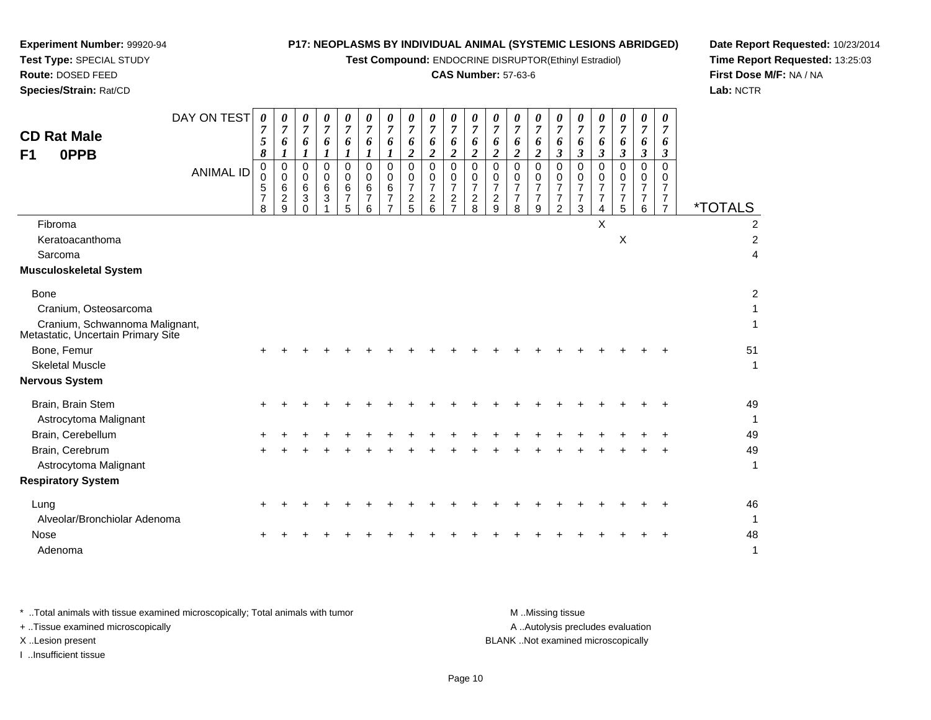**Test Compound:** ENDOCRINE DISRUPTOR(Ethinyl Estradiol)

## **CAS Number:** 57-63-6

**Date Report Requested:** 10/23/2014**Time Report Requested:** 13:25:03**First Dose M/F:** NA / NA**Lab:** NCTR

| <b>CD Rat Male</b><br>0PPB<br>F1                                     | DAY ON TEST      | 0<br>$\overline{7}$<br>5<br>8<br>0      | 0<br>$\overline{7}$<br>6<br>1<br>$\mathbf 0$     | 0<br>$\overline{7}$<br>6<br>$\boldsymbol{I}$<br>$\mathbf 0$ | 0<br>$\overline{7}$<br>6<br>1<br>0          | 0<br>$\overline{7}$<br>6<br>$\boldsymbol{l}$<br>$\mathbf 0$ | 0<br>7<br>6<br>1<br>$\mathbf 0$ | 0<br>$\overline{7}$<br>6<br>1<br>$\mathbf 0$      | $\overline{7}$<br>6<br>$\overline{2}$<br>$\mathbf 0$ | $\boldsymbol{\theta}$<br>$\overline{7}$<br>6<br>2<br>$\Omega$ | 0<br>$\overline{7}$<br>6<br>$\overline{2}$<br>$\mathbf 0$      | $\boldsymbol{\theta}$<br>$\overline{7}$<br>6<br>$\overline{2}$<br>0 | $\boldsymbol{\theta}$<br>$\boldsymbol{7}$<br>6<br>$\overline{2}$<br>$\mathbf 0$ | 0<br>$\overline{7}$<br>6<br>$\overline{2}$<br>$\mathbf 0$ | 0<br>$\overline{7}$<br>6<br>$\overline{2}$<br>$\mathbf 0$ | $\boldsymbol{\theta}$<br>$\overline{7}$<br>6<br>$\boldsymbol{\beta}$<br>0 | 0<br>$\overline{7}$<br>6<br>$\boldsymbol{\beta}$<br>0 | 0<br>$\overline{7}$<br>6<br>$\mathbf{3}$<br>0 | 0<br>$\overline{7}$<br>6<br>$\mathbf{3}$<br>$\overline{0}$ | $\theta$<br>$\overline{7}$<br>6<br>$\boldsymbol{\beta}$<br>0 | $\boldsymbol{\theta}$<br>$\overline{7}$<br>6<br>3<br>$\Omega$ |                       |
|----------------------------------------------------------------------|------------------|-----------------------------------------|--------------------------------------------------|-------------------------------------------------------------|---------------------------------------------|-------------------------------------------------------------|---------------------------------|---------------------------------------------------|------------------------------------------------------|---------------------------------------------------------------|----------------------------------------------------------------|---------------------------------------------------------------------|---------------------------------------------------------------------------------|-----------------------------------------------------------|-----------------------------------------------------------|---------------------------------------------------------------------------|-------------------------------------------------------|-----------------------------------------------|------------------------------------------------------------|--------------------------------------------------------------|---------------------------------------------------------------|-----------------------|
|                                                                      | <b>ANIMAL ID</b> | $\mathbf 0$<br>5<br>$\overline{7}$<br>8 | $\mathbf 0$<br>6<br>$\overline{\mathbf{c}}$<br>9 | $\mathbf 0$<br>$6\phantom{1}6$<br>3<br>$\Omega$             | $\pmb{0}$<br>$\,6\,$<br>3<br>$\overline{1}$ | $\Omega$<br>6<br>$\overline{7}$<br>5                        | 0<br>6<br>7<br>6                | $\Omega$<br>6<br>$\overline{7}$<br>$\overline{7}$ | 0<br>$\overline{7}$<br>$\frac{2}{5}$                 | $\Omega$<br>$\overline{7}$<br>$\overline{\mathbf{c}}$<br>6    | $\Omega$<br>$\overline{7}$<br>$\overline{c}$<br>$\overline{7}$ | 0<br>$\overline{7}$<br>$\frac{2}{8}$                                | 0<br>$\overline{7}$<br>$\frac{2}{9}$                                            | $\Omega$<br>$\overline{7}$<br>$\overline{7}$<br>8         | $\Omega$<br>$\overline{7}$<br>$\overline{7}$<br>9         | $\Omega$<br>$\overline{7}$<br>$\overline{7}$<br>2                         | $\mathbf 0$<br>$\overline{7}$<br>$\overline{7}$<br>3  | 0<br>$\overline{7}$<br>7<br>4                 | $\mathbf 0$<br>$\overline{7}$<br>$\overline{7}$<br>5       | 0<br>7<br>$\overline{7}$<br>6                                | $\Omega$<br>7<br>$\overline{7}$<br>$\overline{7}$             | <i><b>*TOTALS</b></i> |
| Fibroma                                                              |                  |                                         |                                                  |                                                             |                                             |                                                             |                                 |                                                   |                                                      |                                                               |                                                                |                                                                     |                                                                                 |                                                           |                                                           |                                                                           |                                                       | X                                             |                                                            |                                                              |                                                               | 2                     |
| Keratoacanthoma                                                      |                  |                                         |                                                  |                                                             |                                             |                                                             |                                 |                                                   |                                                      |                                                               |                                                                |                                                                     |                                                                                 |                                                           |                                                           |                                                                           |                                                       |                                               | $\pmb{\times}$                                             |                                                              |                                                               | $\overline{2}$        |
| Sarcoma                                                              |                  |                                         |                                                  |                                                             |                                             |                                                             |                                 |                                                   |                                                      |                                                               |                                                                |                                                                     |                                                                                 |                                                           |                                                           |                                                                           |                                                       |                                               |                                                            |                                                              |                                                               | 4                     |
| <b>Musculoskeletal System</b>                                        |                  |                                         |                                                  |                                                             |                                             |                                                             |                                 |                                                   |                                                      |                                                               |                                                                |                                                                     |                                                                                 |                                                           |                                                           |                                                                           |                                                       |                                               |                                                            |                                                              |                                                               |                       |
| <b>Bone</b>                                                          |                  |                                         |                                                  |                                                             |                                             |                                                             |                                 |                                                   |                                                      |                                                               |                                                                |                                                                     |                                                                                 |                                                           |                                                           |                                                                           |                                                       |                                               |                                                            |                                                              |                                                               | 2                     |
| Cranium, Osteosarcoma                                                |                  |                                         |                                                  |                                                             |                                             |                                                             |                                 |                                                   |                                                      |                                                               |                                                                |                                                                     |                                                                                 |                                                           |                                                           |                                                                           |                                                       |                                               |                                                            |                                                              |                                                               |                       |
| Cranium, Schwannoma Malignant,<br>Metastatic, Uncertain Primary Site |                  |                                         |                                                  |                                                             |                                             |                                                             |                                 |                                                   |                                                      |                                                               |                                                                |                                                                     |                                                                                 |                                                           |                                                           |                                                                           |                                                       |                                               |                                                            |                                                              |                                                               |                       |
| Bone, Femur                                                          |                  |                                         |                                                  |                                                             |                                             |                                                             |                                 |                                                   |                                                      |                                                               |                                                                |                                                                     |                                                                                 |                                                           |                                                           |                                                                           |                                                       |                                               |                                                            |                                                              |                                                               | 51                    |
| <b>Skeletal Muscle</b>                                               |                  |                                         |                                                  |                                                             |                                             |                                                             |                                 |                                                   |                                                      |                                                               |                                                                |                                                                     |                                                                                 |                                                           |                                                           |                                                                           |                                                       |                                               |                                                            |                                                              |                                                               | 1                     |
| <b>Nervous System</b>                                                |                  |                                         |                                                  |                                                             |                                             |                                                             |                                 |                                                   |                                                      |                                                               |                                                                |                                                                     |                                                                                 |                                                           |                                                           |                                                                           |                                                       |                                               |                                                            |                                                              |                                                               |                       |
| Brain, Brain Stem                                                    |                  |                                         |                                                  |                                                             |                                             |                                                             |                                 |                                                   |                                                      |                                                               |                                                                |                                                                     |                                                                                 |                                                           |                                                           |                                                                           |                                                       |                                               |                                                            |                                                              |                                                               | 49                    |
| Astrocytoma Malignant                                                |                  |                                         |                                                  |                                                             |                                             |                                                             |                                 |                                                   |                                                      |                                                               |                                                                |                                                                     |                                                                                 |                                                           |                                                           |                                                                           |                                                       |                                               |                                                            |                                                              |                                                               | $\mathbf{1}$          |
| Brain, Cerebellum                                                    |                  |                                         |                                                  |                                                             |                                             |                                                             |                                 |                                                   |                                                      |                                                               |                                                                |                                                                     |                                                                                 |                                                           |                                                           |                                                                           |                                                       |                                               |                                                            |                                                              |                                                               | 49                    |
| Brain, Cerebrum                                                      |                  |                                         |                                                  |                                                             |                                             |                                                             |                                 |                                                   |                                                      |                                                               |                                                                |                                                                     |                                                                                 |                                                           |                                                           |                                                                           |                                                       |                                               |                                                            |                                                              |                                                               | 49                    |
| Astrocytoma Malignant                                                |                  |                                         |                                                  |                                                             |                                             |                                                             |                                 |                                                   |                                                      |                                                               |                                                                |                                                                     |                                                                                 |                                                           |                                                           |                                                                           |                                                       |                                               |                                                            |                                                              |                                                               | $\mathbf{1}$          |
| <b>Respiratory System</b>                                            |                  |                                         |                                                  |                                                             |                                             |                                                             |                                 |                                                   |                                                      |                                                               |                                                                |                                                                     |                                                                                 |                                                           |                                                           |                                                                           |                                                       |                                               |                                                            |                                                              |                                                               |                       |
| Lung                                                                 |                  |                                         |                                                  |                                                             |                                             |                                                             |                                 |                                                   |                                                      |                                                               |                                                                |                                                                     |                                                                                 |                                                           |                                                           |                                                                           |                                                       |                                               |                                                            |                                                              |                                                               | 46                    |
| Alveolar/Bronchiolar Adenoma                                         |                  |                                         |                                                  |                                                             |                                             |                                                             |                                 |                                                   |                                                      |                                                               |                                                                |                                                                     |                                                                                 |                                                           |                                                           |                                                                           |                                                       |                                               |                                                            |                                                              |                                                               | 1                     |
| <b>Nose</b>                                                          |                  |                                         |                                                  |                                                             |                                             |                                                             |                                 |                                                   |                                                      |                                                               |                                                                |                                                                     |                                                                                 |                                                           |                                                           |                                                                           |                                                       |                                               |                                                            |                                                              |                                                               | 48                    |
| Adenoma                                                              |                  |                                         |                                                  |                                                             |                                             |                                                             |                                 |                                                   |                                                      |                                                               |                                                                |                                                                     |                                                                                 |                                                           |                                                           |                                                                           |                                                       |                                               |                                                            |                                                              |                                                               | 1                     |

**Experiment Number:** 99920-94**Test Type:** SPECIAL STUDY**Route:** DOSED FEED**Species/Strain:** Rat/CD

\* ..Total animals with tissue examined microscopically; Total animals with tumor **M** . Missing tissue M ..Missing tissue A ..Autolysis precludes evaluation + ..Tissue examined microscopically X ..Lesion present BLANK ..Not examined microscopicallyI ..Insufficient tissue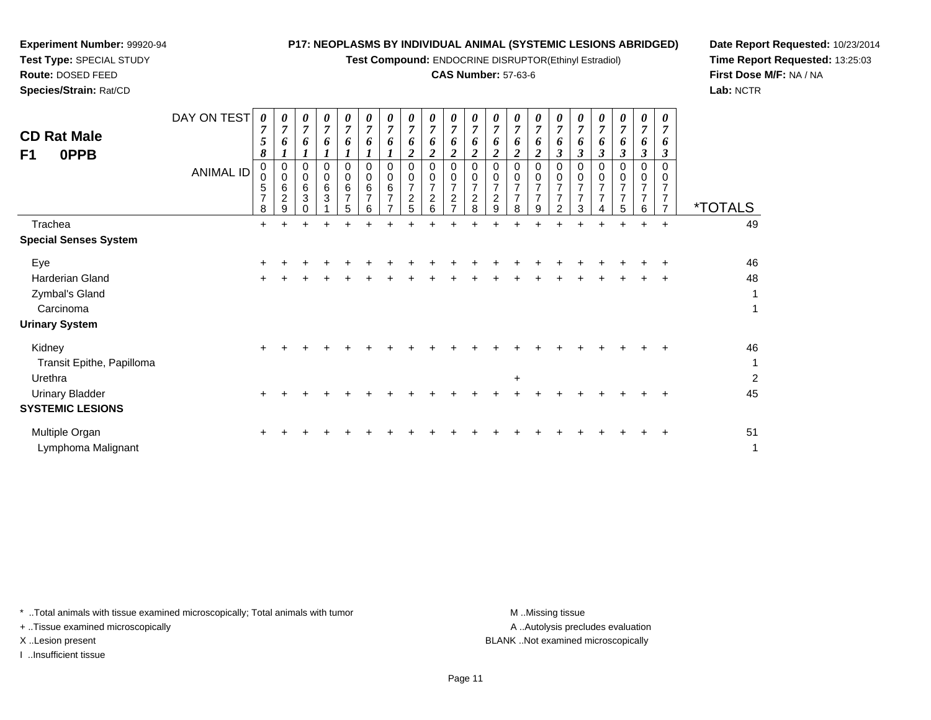**Test Compound:** ENDOCRINE DISRUPTOR(Ethinyl Estradiol)

### **CAS Number:** 57-63-6

 $\top$ ┯  $\top$ 

**Date Report Requested:** 10/23/2014**Time Report Requested:** 13:25:03**First Dose M/F:** NA / NA**Lab:** NCTR

| <b>CD Rat Male</b><br>0PPB<br>F <sub>1</sub>   | DAY ON TEST<br>ANIMAL ID | 0<br>$\overline{7}$<br>$5\overline{)}$<br>8<br>0<br>$\Omega$<br>5<br>7<br>8 | $\overline{7}$<br>6<br>0<br>$\Omega$<br>6<br>$\overline{c}$<br>9 | 0<br>$\overline{7}$<br>6<br>$\boldsymbol{l}$<br>0<br>$\mathbf 0$<br>$\,6\,$<br>$\mathbf{3}$ | 0<br>$\overline{7}$<br>6<br>0<br>0<br>6<br>3 | 0<br>$\boldsymbol{7}$<br>6<br>1<br>0<br>0<br>6<br>$\overline{7}$<br>5 | 0<br>$\boldsymbol{7}$<br>6<br>$\boldsymbol{l}$<br>$\mathbf 0$<br>$\mathbf 0$<br>6<br>7<br>6 | 0<br>$\overline{7}$<br>6<br>0<br>0<br>6<br>7<br>$\overline{ }$ | $\theta$<br>$\overline{7}$<br>6<br>2<br>0<br>$\mathbf 0$<br>$\overline{7}$<br>2<br>5 | $\overline{ }$<br>$\Omega$<br>0<br>2<br>6 | 0<br>$\overline{7}$<br>6<br>$\overline{2}$<br>0<br>$\mathbf 0$<br>$\overline{7}$<br>$\overline{c}$<br>$\overline{z}$ | 0<br>$\overline{7}$<br>6<br>$\boldsymbol{2}$<br>0<br>$\mathbf 0$<br>$\overline{7}$<br>$\boldsymbol{2}$<br>8 | 0<br>$\overline{7}$<br>6<br>$\boldsymbol{2}$<br>$\mathbf 0$<br>$\mathbf 0$<br>$\overline{7}$<br>$\overline{c}$<br>9 | 0<br>$\boldsymbol{7}$<br>6<br>$\overline{2}$<br>$\mathbf 0$<br>$\mathbf 0$<br>$\overline{7}$<br>$\overline{7}$<br>8 | 0<br>$\overline{7}$<br>6<br>$\overline{2}$<br>0<br>0<br>7<br>$\overline{7}$<br>9 | 0<br>$\overline{7}$<br>6<br>3<br>$\mathbf 0$<br>$\mathbf 0$<br>$\overline{7}$<br>$\overline{7}$<br>$\overline{2}$ | $\overline{7}$<br>3<br>0<br>$\Omega$<br>3 | 0<br>$\overline{7}$<br>6<br>$\mathfrak{z}$<br>$\mathbf 0$<br>$\mathbf 0$<br>$\overline{7}$<br>$\overline{7}$<br>4 | 0<br>$\overline{7}$<br>6<br>$\boldsymbol{\beta}$<br>0<br>0<br>$\overline{7}$<br>$\overline{7}$<br>5 | 0<br>$\overline{7}$<br>6<br>$\boldsymbol{\beta}$<br>0<br>$\pmb{0}$<br>$\overline{7}$<br>7<br>6 | 0<br>o<br>3<br>0<br>7 | <i><b>*TOTALS</b></i>     |
|------------------------------------------------|--------------------------|-----------------------------------------------------------------------------|------------------------------------------------------------------|---------------------------------------------------------------------------------------------|----------------------------------------------|-----------------------------------------------------------------------|---------------------------------------------------------------------------------------------|----------------------------------------------------------------|--------------------------------------------------------------------------------------|-------------------------------------------|----------------------------------------------------------------------------------------------------------------------|-------------------------------------------------------------------------------------------------------------|---------------------------------------------------------------------------------------------------------------------|---------------------------------------------------------------------------------------------------------------------|----------------------------------------------------------------------------------|-------------------------------------------------------------------------------------------------------------------|-------------------------------------------|-------------------------------------------------------------------------------------------------------------------|-----------------------------------------------------------------------------------------------------|------------------------------------------------------------------------------------------------|-----------------------|---------------------------|
| Trachea                                        |                          | $+$                                                                         | $+$                                                              | ÷                                                                                           | $\div$                                       |                                                                       | +                                                                                           | +                                                              |                                                                                      |                                           |                                                                                                                      |                                                                                                             |                                                                                                                     | +                                                                                                                   | +                                                                                | ÷                                                                                                                 | ÷                                         | ÷                                                                                                                 | $\div$                                                                                              | ÷                                                                                              | $\ddot{}$             | 49                        |
| <b>Special Senses System</b>                   |                          |                                                                             |                                                                  |                                                                                             |                                              |                                                                       |                                                                                             |                                                                |                                                                                      |                                           |                                                                                                                      |                                                                                                             |                                                                                                                     |                                                                                                                     |                                                                                  |                                                                                                                   |                                           |                                                                                                                   |                                                                                                     |                                                                                                |                       |                           |
| Eye                                            |                          |                                                                             |                                                                  |                                                                                             |                                              |                                                                       |                                                                                             |                                                                |                                                                                      |                                           |                                                                                                                      |                                                                                                             |                                                                                                                     |                                                                                                                     |                                                                                  |                                                                                                                   |                                           |                                                                                                                   |                                                                                                     |                                                                                                |                       | 46                        |
| Harderian Gland<br>Zymbal's Gland<br>Carcinoma |                          |                                                                             |                                                                  |                                                                                             |                                              |                                                                       |                                                                                             |                                                                |                                                                                      |                                           |                                                                                                                      |                                                                                                             |                                                                                                                     |                                                                                                                     |                                                                                  |                                                                                                                   |                                           |                                                                                                                   |                                                                                                     |                                                                                                | $\ddot{}$             | 48<br>1<br>1              |
| <b>Urinary System</b>                          |                          |                                                                             |                                                                  |                                                                                             |                                              |                                                                       |                                                                                             |                                                                |                                                                                      |                                           |                                                                                                                      |                                                                                                             |                                                                                                                     |                                                                                                                     |                                                                                  |                                                                                                                   |                                           |                                                                                                                   |                                                                                                     |                                                                                                |                       |                           |
| Kidney<br>Transit Epithe, Papilloma<br>Urethra |                          |                                                                             |                                                                  |                                                                                             |                                              |                                                                       |                                                                                             |                                                                |                                                                                      |                                           |                                                                                                                      |                                                                                                             |                                                                                                                     | $\ddot{}$                                                                                                           |                                                                                  |                                                                                                                   |                                           |                                                                                                                   |                                                                                                     |                                                                                                |                       | 46<br>1<br>$\overline{c}$ |
| <b>Urinary Bladder</b>                         |                          |                                                                             |                                                                  |                                                                                             |                                              |                                                                       |                                                                                             |                                                                |                                                                                      |                                           |                                                                                                                      |                                                                                                             |                                                                                                                     |                                                                                                                     |                                                                                  |                                                                                                                   |                                           |                                                                                                                   |                                                                                                     |                                                                                                |                       | 45                        |
| <b>SYSTEMIC LESIONS</b>                        |                          |                                                                             |                                                                  |                                                                                             |                                              |                                                                       |                                                                                             |                                                                |                                                                                      |                                           |                                                                                                                      |                                                                                                             |                                                                                                                     |                                                                                                                     |                                                                                  |                                                                                                                   |                                           |                                                                                                                   |                                                                                                     |                                                                                                |                       |                           |
| Multiple Organ<br>Lymphoma Malignant           |                          |                                                                             |                                                                  |                                                                                             |                                              |                                                                       |                                                                                             |                                                                |                                                                                      |                                           |                                                                                                                      |                                                                                                             |                                                                                                                     |                                                                                                                     |                                                                                  |                                                                                                                   |                                           |                                                                                                                   |                                                                                                     |                                                                                                |                       | 51<br>1                   |

\* ..Total animals with tissue examined microscopically; Total animals with tumor **M** ...Missing tissue M ...Missing tissue

+ ..Tissue examined microscopically

**Experiment Number:** 99920-94**Test Type:** SPECIAL STUDY**Route:** DOSED FEED**Species/Strain:** Rat/CD

I ..Insufficient tissue

A ..Autolysis precludes evaluation X ..Lesion present BLANK ..Not examined microscopically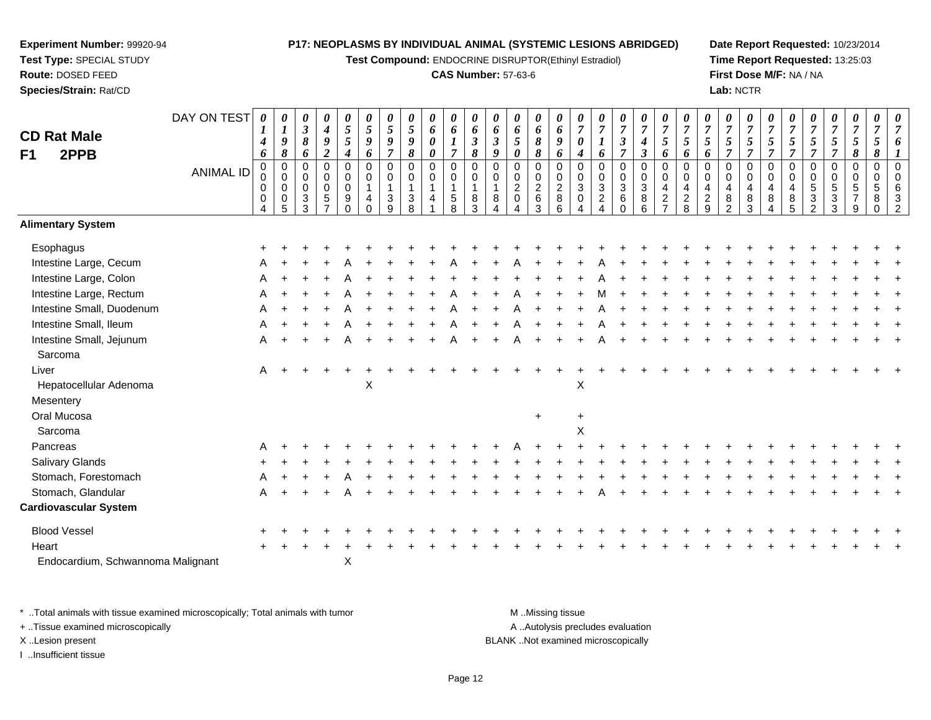**Test Compound:** ENDOCRINE DISRUPTOR(Ethinyl Estradiol)

#### **CAS Number:** 57-63-6

**Date Report Requested:** 10/23/2014**Time Report Requested:** 13:25:03**First Dose M/F:** NA / NA**Lab:** NCTR

| <b>CD Rat Male</b><br>2PPB<br>F1  | DAY ON TEST<br><b>ANIMAL ID</b> | 0<br>$\boldsymbol{I}$<br>4<br>6<br>$\pmb{0}$<br>0<br>0<br>0 | $\boldsymbol{\theta}$<br>$\boldsymbol{l}$<br>$\boldsymbol{9}$<br>$\pmb{8}$<br>$\mathbf 0$<br>$\mathbf 0$<br>$\mathbf 0$<br>$\mathbf 0$ | 0<br>$\boldsymbol{\beta}$<br>8<br>6<br>0<br>0<br>$\mathbf 0$<br>3 | $\pmb{\theta}$<br>$\boldsymbol{4}$<br>9<br>$\boldsymbol{2}$<br>$\mathbf 0$<br>$\mathbf 0$<br>$\pmb{0}$<br>5 | $\pmb{\theta}$<br>$\sqrt{5}$<br>5<br>$\boldsymbol{4}$<br>$\pmb{0}$<br>$\mathbf 0$<br>$\pmb{0}$<br>$\boldsymbol{9}$ | 0<br>$\mathfrak{s}$<br>$\boldsymbol{g}$<br>6<br>$\mathbf 0$<br>$\mathbf 0$<br>$\overline{1}$<br>4 | 0<br>$\mathfrak{s}$<br>9<br>$\overline{7}$<br>$\mathbf 0$<br>$\mathbf 0$<br>$\mathbf{1}$<br>3 | 0<br>5<br>9<br>8<br>$\mathbf 0$<br>0<br>$\mathbf{1}$<br>3 | $\pmb{\theta}$<br>6<br>0<br>0<br>$\pmb{0}$<br>0<br>$\mathbf{1}$<br>$\overline{4}$ | 0<br>6<br>$\overline{7}$<br>$\pmb{0}$<br>$\mathbf 0$<br>$\mathbf{1}$<br>$\overline{5}$ | 0<br>6<br>$\mathfrak{z}$<br>$\pmb{8}$<br>$\mathbf 0$<br>$\mathbf 0$<br>$\overline{1}$<br>8 | $\boldsymbol{\theta}$<br>6<br>$\mathfrak{z}$<br>$\boldsymbol{g}$<br>$\mathbf 0$<br>$\Omega$<br>1<br>8 | 0<br>6<br>$5\phantom{.0}$<br>0<br>0<br>0<br>$\overline{a}$<br>$\mathbf 0$ | $\pmb{\theta}$<br>6<br>8<br>8<br>0<br>$\pmb{0}$<br>$\sqrt{2}$<br>6 | $\boldsymbol{\theta}$<br>6<br>9<br>6<br>$\pmb{0}$<br>$\mathbf 0$<br>$\sqrt{2}$<br>$\bf 8$ | 0<br>$\overline{7}$<br>0<br>4<br>$\mathbf 0$<br>$\mathbf 0$<br>$\sqrt{3}$<br>0 | 0<br>$\overline{7}$<br>6<br>$\mathbf 0$<br>$\mathbf 0$<br>$\sqrt{3}$<br>$\overline{c}$ | 0<br>$\overline{7}$<br>$\boldsymbol{\beta}$<br>$\overline{\tau}$<br>0<br>0<br>$\mathbf{3}$<br>6 | $\pmb{\theta}$<br>$\overline{7}$<br>$\boldsymbol{4}$<br>$\boldsymbol{\beta}$<br>$\pmb{0}$<br>$\pmb{0}$<br>$\ensuremath{\mathsf{3}}$<br>$^8_6$ | $\pmb{\theta}$<br>$\overline{7}$<br>$\mathfrak{s}$<br>6<br>$\pmb{0}$<br>$\mathbf 0$<br>$\overline{a}$<br>$\frac{2}{7}$ | 0<br>$\overline{7}$<br>5<br>6<br>$\mathbf 0$<br>$\mathbf 0$<br>4<br>$_{8}^2$ | 0<br>$\overline{7}$<br>5<br>6<br>$\mathbf 0$<br>$\mathbf 0$<br>$\overline{4}$<br>$\boldsymbol{2}$ | 0<br>$\overline{7}$<br>5<br>$\overline{7}$<br>0<br>$\mathbf 0$<br>4<br>8 | $\pmb{\theta}$<br>$\overline{7}$<br>$\sqrt{5}$<br>$\overline{7}$<br>$\pmb{0}$<br>0<br>$\overline{\mathbf{4}}$<br>$^8_3$ | $\boldsymbol{\theta}$<br>$\overline{7}$<br>5<br>$\overline{7}$<br>$\mathbf 0$<br>$\mathbf 0$<br>$\overline{4}$<br>$\bf8$ | 0<br>$\overline{7}$<br>5<br>$\overline{7}$<br>$\mathbf 0$<br>$\mathbf 0$<br>4<br>$\bf 8$ | 0<br>7<br>5<br>$\overline{7}$<br>$\mathbf 0$<br>$\Omega$<br>5<br>3 | 0<br>$\overline{7}$<br>5<br>$\overline{7}$<br>0<br>$\mathbf 0$<br>5<br>3 | 0<br>$\boldsymbol{7}$<br>$\sqrt{5}$<br>8<br>0<br>0<br>$\sqrt{5}$ | 0<br>$\overline{7}$<br>5<br>8<br>$\mathsf{O}\xspace$<br>$\mathbf 0$<br>$\sqrt{5}$<br>8 |  |
|-----------------------------------|---------------------------------|-------------------------------------------------------------|----------------------------------------------------------------------------------------------------------------------------------------|-------------------------------------------------------------------|-------------------------------------------------------------------------------------------------------------|--------------------------------------------------------------------------------------------------------------------|---------------------------------------------------------------------------------------------------|-----------------------------------------------------------------------------------------------|-----------------------------------------------------------|-----------------------------------------------------------------------------------|----------------------------------------------------------------------------------------|--------------------------------------------------------------------------------------------|-------------------------------------------------------------------------------------------------------|---------------------------------------------------------------------------|--------------------------------------------------------------------|-------------------------------------------------------------------------------------------|--------------------------------------------------------------------------------|----------------------------------------------------------------------------------------|-------------------------------------------------------------------------------------------------|-----------------------------------------------------------------------------------------------------------------------------------------------|------------------------------------------------------------------------------------------------------------------------|------------------------------------------------------------------------------|---------------------------------------------------------------------------------------------------|--------------------------------------------------------------------------|-------------------------------------------------------------------------------------------------------------------------|--------------------------------------------------------------------------------------------------------------------------|------------------------------------------------------------------------------------------|--------------------------------------------------------------------|--------------------------------------------------------------------------|------------------------------------------------------------------|----------------------------------------------------------------------------------------|--|
| <b>Alimentary System</b>          |                                 | 4                                                           | 5                                                                                                                                      | 3                                                                 | $\overline{7}$                                                                                              | $\Omega$                                                                                                           | $\Omega$                                                                                          | $\mathsf{Q}$                                                                                  | 8                                                         |                                                                                   | 8                                                                                      | 3                                                                                          |                                                                                                       |                                                                           | 3                                                                  | 6                                                                                         | 4                                                                              |                                                                                        | $\Omega$                                                                                        |                                                                                                                                               |                                                                                                                        |                                                                              | 9                                                                                                 | $\mathfrak{p}$                                                           |                                                                                                                         | 4                                                                                                                        | 5                                                                                        | $\mathfrak{p}$                                                     | 3                                                                        | 9                                                                | $\Omega$                                                                               |  |
|                                   |                                 |                                                             |                                                                                                                                        |                                                                   |                                                                                                             |                                                                                                                    |                                                                                                   |                                                                                               |                                                           |                                                                                   |                                                                                        |                                                                                            |                                                                                                       |                                                                           |                                                                    |                                                                                           |                                                                                |                                                                                        |                                                                                                 |                                                                                                                                               |                                                                                                                        |                                                                              |                                                                                                   |                                                                          |                                                                                                                         |                                                                                                                          |                                                                                          |                                                                    |                                                                          |                                                                  |                                                                                        |  |
| Esophagus                         |                                 |                                                             |                                                                                                                                        |                                                                   |                                                                                                             |                                                                                                                    |                                                                                                   |                                                                                               |                                                           |                                                                                   |                                                                                        |                                                                                            |                                                                                                       |                                                                           |                                                                    |                                                                                           |                                                                                |                                                                                        |                                                                                                 |                                                                                                                                               |                                                                                                                        |                                                                              |                                                                                                   |                                                                          |                                                                                                                         |                                                                                                                          |                                                                                          |                                                                    |                                                                          |                                                                  |                                                                                        |  |
| Intestine Large, Cecum            |                                 |                                                             |                                                                                                                                        |                                                                   |                                                                                                             |                                                                                                                    |                                                                                                   |                                                                                               |                                                           |                                                                                   |                                                                                        |                                                                                            |                                                                                                       |                                                                           |                                                                    |                                                                                           |                                                                                |                                                                                        |                                                                                                 |                                                                                                                                               |                                                                                                                        |                                                                              |                                                                                                   |                                                                          |                                                                                                                         |                                                                                                                          |                                                                                          |                                                                    |                                                                          |                                                                  |                                                                                        |  |
| Intestine Large, Colon            |                                 |                                                             |                                                                                                                                        |                                                                   |                                                                                                             |                                                                                                                    |                                                                                                   |                                                                                               |                                                           |                                                                                   |                                                                                        |                                                                                            |                                                                                                       |                                                                           |                                                                    |                                                                                           |                                                                                |                                                                                        |                                                                                                 |                                                                                                                                               |                                                                                                                        |                                                                              |                                                                                                   |                                                                          |                                                                                                                         |                                                                                                                          |                                                                                          |                                                                    |                                                                          |                                                                  |                                                                                        |  |
| Intestine Large, Rectum           |                                 | A                                                           |                                                                                                                                        |                                                                   |                                                                                                             |                                                                                                                    |                                                                                                   |                                                                                               |                                                           |                                                                                   |                                                                                        |                                                                                            |                                                                                                       |                                                                           |                                                                    |                                                                                           |                                                                                |                                                                                        |                                                                                                 |                                                                                                                                               |                                                                                                                        |                                                                              |                                                                                                   |                                                                          |                                                                                                                         |                                                                                                                          |                                                                                          |                                                                    |                                                                          |                                                                  |                                                                                        |  |
| Intestine Small, Duodenum         |                                 |                                                             |                                                                                                                                        |                                                                   |                                                                                                             |                                                                                                                    |                                                                                                   |                                                                                               |                                                           |                                                                                   |                                                                                        |                                                                                            |                                                                                                       |                                                                           |                                                                    |                                                                                           |                                                                                |                                                                                        |                                                                                                 |                                                                                                                                               |                                                                                                                        |                                                                              |                                                                                                   |                                                                          |                                                                                                                         |                                                                                                                          |                                                                                          |                                                                    |                                                                          |                                                                  |                                                                                        |  |
| Intestine Small, Ileum            |                                 |                                                             |                                                                                                                                        |                                                                   |                                                                                                             |                                                                                                                    |                                                                                                   |                                                                                               |                                                           |                                                                                   |                                                                                        |                                                                                            |                                                                                                       |                                                                           |                                                                    |                                                                                           |                                                                                |                                                                                        |                                                                                                 |                                                                                                                                               |                                                                                                                        |                                                                              |                                                                                                   |                                                                          |                                                                                                                         |                                                                                                                          |                                                                                          |                                                                    |                                                                          |                                                                  |                                                                                        |  |
| Intestine Small, Jejunum          |                                 | A                                                           |                                                                                                                                        |                                                                   |                                                                                                             |                                                                                                                    |                                                                                                   |                                                                                               |                                                           |                                                                                   |                                                                                        |                                                                                            |                                                                                                       |                                                                           |                                                                    |                                                                                           |                                                                                |                                                                                        |                                                                                                 |                                                                                                                                               |                                                                                                                        |                                                                              |                                                                                                   |                                                                          |                                                                                                                         |                                                                                                                          |                                                                                          |                                                                    |                                                                          |                                                                  |                                                                                        |  |
| Sarcoma                           |                                 |                                                             |                                                                                                                                        |                                                                   |                                                                                                             |                                                                                                                    |                                                                                                   |                                                                                               |                                                           |                                                                                   |                                                                                        |                                                                                            |                                                                                                       |                                                                           |                                                                    |                                                                                           |                                                                                |                                                                                        |                                                                                                 |                                                                                                                                               |                                                                                                                        |                                                                              |                                                                                                   |                                                                          |                                                                                                                         |                                                                                                                          |                                                                                          |                                                                    |                                                                          |                                                                  |                                                                                        |  |
| Liver                             |                                 | A                                                           |                                                                                                                                        |                                                                   |                                                                                                             |                                                                                                                    |                                                                                                   |                                                                                               |                                                           |                                                                                   |                                                                                        |                                                                                            |                                                                                                       |                                                                           |                                                                    |                                                                                           |                                                                                |                                                                                        |                                                                                                 |                                                                                                                                               |                                                                                                                        |                                                                              |                                                                                                   |                                                                          |                                                                                                                         |                                                                                                                          |                                                                                          |                                                                    |                                                                          |                                                                  |                                                                                        |  |
| Hepatocellular Adenoma            |                                 |                                                             |                                                                                                                                        |                                                                   |                                                                                                             |                                                                                                                    | X                                                                                                 |                                                                                               |                                                           |                                                                                   |                                                                                        |                                                                                            |                                                                                                       |                                                                           |                                                                    |                                                                                           | X                                                                              |                                                                                        |                                                                                                 |                                                                                                                                               |                                                                                                                        |                                                                              |                                                                                                   |                                                                          |                                                                                                                         |                                                                                                                          |                                                                                          |                                                                    |                                                                          |                                                                  |                                                                                        |  |
| Mesentery                         |                                 |                                                             |                                                                                                                                        |                                                                   |                                                                                                             |                                                                                                                    |                                                                                                   |                                                                                               |                                                           |                                                                                   |                                                                                        |                                                                                            |                                                                                                       |                                                                           |                                                                    |                                                                                           |                                                                                |                                                                                        |                                                                                                 |                                                                                                                                               |                                                                                                                        |                                                                              |                                                                                                   |                                                                          |                                                                                                                         |                                                                                                                          |                                                                                          |                                                                    |                                                                          |                                                                  |                                                                                        |  |
| Oral Mucosa                       |                                 |                                                             |                                                                                                                                        |                                                                   |                                                                                                             |                                                                                                                    |                                                                                                   |                                                                                               |                                                           |                                                                                   |                                                                                        |                                                                                            |                                                                                                       |                                                                           | $\ddot{}$                                                          |                                                                                           | $\ddot{}$                                                                      |                                                                                        |                                                                                                 |                                                                                                                                               |                                                                                                                        |                                                                              |                                                                                                   |                                                                          |                                                                                                                         |                                                                                                                          |                                                                                          |                                                                    |                                                                          |                                                                  |                                                                                        |  |
| Sarcoma                           |                                 |                                                             |                                                                                                                                        |                                                                   |                                                                                                             |                                                                                                                    |                                                                                                   |                                                                                               |                                                           |                                                                                   |                                                                                        |                                                                                            |                                                                                                       |                                                                           |                                                                    |                                                                                           | X                                                                              |                                                                                        |                                                                                                 |                                                                                                                                               |                                                                                                                        |                                                                              |                                                                                                   |                                                                          |                                                                                                                         |                                                                                                                          |                                                                                          |                                                                    |                                                                          |                                                                  |                                                                                        |  |
| Pancreas                          |                                 |                                                             |                                                                                                                                        |                                                                   |                                                                                                             |                                                                                                                    |                                                                                                   |                                                                                               |                                                           |                                                                                   |                                                                                        |                                                                                            |                                                                                                       |                                                                           |                                                                    |                                                                                           |                                                                                |                                                                                        |                                                                                                 |                                                                                                                                               |                                                                                                                        |                                                                              |                                                                                                   |                                                                          |                                                                                                                         |                                                                                                                          |                                                                                          |                                                                    |                                                                          |                                                                  |                                                                                        |  |
| Salivary Glands                   |                                 |                                                             |                                                                                                                                        |                                                                   |                                                                                                             |                                                                                                                    |                                                                                                   |                                                                                               |                                                           |                                                                                   |                                                                                        |                                                                                            |                                                                                                       |                                                                           |                                                                    |                                                                                           |                                                                                |                                                                                        |                                                                                                 |                                                                                                                                               |                                                                                                                        |                                                                              |                                                                                                   |                                                                          |                                                                                                                         |                                                                                                                          |                                                                                          |                                                                    |                                                                          |                                                                  |                                                                                        |  |
| Stomach, Forestomach              |                                 |                                                             |                                                                                                                                        |                                                                   |                                                                                                             |                                                                                                                    |                                                                                                   |                                                                                               |                                                           |                                                                                   |                                                                                        |                                                                                            |                                                                                                       |                                                                           |                                                                    |                                                                                           |                                                                                |                                                                                        |                                                                                                 |                                                                                                                                               |                                                                                                                        |                                                                              |                                                                                                   |                                                                          |                                                                                                                         |                                                                                                                          |                                                                                          |                                                                    |                                                                          |                                                                  |                                                                                        |  |
| Stomach, Glandular                |                                 | A                                                           |                                                                                                                                        |                                                                   |                                                                                                             |                                                                                                                    |                                                                                                   |                                                                                               |                                                           |                                                                                   |                                                                                        |                                                                                            |                                                                                                       |                                                                           |                                                                    |                                                                                           |                                                                                |                                                                                        |                                                                                                 |                                                                                                                                               |                                                                                                                        |                                                                              |                                                                                                   |                                                                          |                                                                                                                         |                                                                                                                          |                                                                                          |                                                                    |                                                                          |                                                                  |                                                                                        |  |
| <b>Cardiovascular System</b>      |                                 |                                                             |                                                                                                                                        |                                                                   |                                                                                                             |                                                                                                                    |                                                                                                   |                                                                                               |                                                           |                                                                                   |                                                                                        |                                                                                            |                                                                                                       |                                                                           |                                                                    |                                                                                           |                                                                                |                                                                                        |                                                                                                 |                                                                                                                                               |                                                                                                                        |                                                                              |                                                                                                   |                                                                          |                                                                                                                         |                                                                                                                          |                                                                                          |                                                                    |                                                                          |                                                                  |                                                                                        |  |
| <b>Blood Vessel</b>               |                                 |                                                             |                                                                                                                                        |                                                                   |                                                                                                             |                                                                                                                    |                                                                                                   |                                                                                               |                                                           |                                                                                   |                                                                                        |                                                                                            |                                                                                                       |                                                                           |                                                                    |                                                                                           |                                                                                |                                                                                        |                                                                                                 |                                                                                                                                               |                                                                                                                        |                                                                              |                                                                                                   |                                                                          |                                                                                                                         |                                                                                                                          |                                                                                          |                                                                    |                                                                          |                                                                  |                                                                                        |  |
| Heart                             |                                 |                                                             |                                                                                                                                        |                                                                   |                                                                                                             |                                                                                                                    |                                                                                                   |                                                                                               |                                                           |                                                                                   |                                                                                        |                                                                                            |                                                                                                       |                                                                           |                                                                    |                                                                                           |                                                                                |                                                                                        |                                                                                                 |                                                                                                                                               |                                                                                                                        |                                                                              |                                                                                                   |                                                                          |                                                                                                                         |                                                                                                                          |                                                                                          |                                                                    |                                                                          |                                                                  |                                                                                        |  |
| Endocardium, Schwannoma Malignant |                                 |                                                             |                                                                                                                                        |                                                                   |                                                                                                             | X                                                                                                                  |                                                                                                   |                                                                                               |                                                           |                                                                                   |                                                                                        |                                                                                            |                                                                                                       |                                                                           |                                                                    |                                                                                           |                                                                                |                                                                                        |                                                                                                 |                                                                                                                                               |                                                                                                                        |                                                                              |                                                                                                   |                                                                          |                                                                                                                         |                                                                                                                          |                                                                                          |                                                                    |                                                                          |                                                                  |                                                                                        |  |

\* ..Total animals with tissue examined microscopically; Total animals with tumor **M** . Missing tissue M ..Missing tissue A ..Autolysis precludes evaluation + ..Tissue examined microscopically X ..Lesion present BLANK ..Not examined microscopicallyI ..Insufficient tissue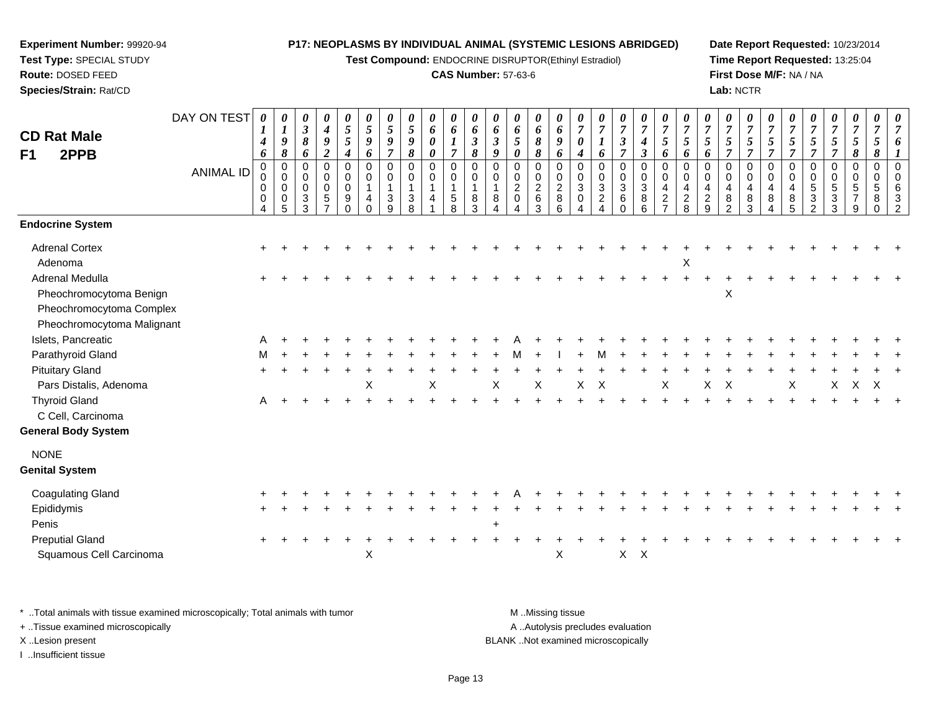**Test Compound:** ENDOCRINE DISRUPTOR(Ethinyl Estradiol)

#### **CAS Number:** 57-63-6

**Date Report Requested:** 10/23/2014**Time Report Requested:** 13:25:04**First Dose M/F:** NA / NA**Lab:** NCTR

| <b>CD Rat Male</b><br>2PPB<br>F1<br><b>Endocrine System</b> | DAY ON TEST<br><b>ANIMAL ID</b> | 0<br>1<br>$\boldsymbol{4}$<br>6<br>$\mathbf 0$<br>0<br>0<br>0<br>4 | 0<br>$\boldsymbol{l}$<br>9<br>$\pmb{8}$<br>$\mathbf 0$<br>$\mathbf 0$<br>0<br>0<br>5 | $\pmb{\theta}$<br>$\boldsymbol{\beta}$<br>$\pmb{8}$<br>6<br>0<br>$\mathbf 0$<br>$\mathbf 0$<br>$\mathbf{3}$<br>3 | $\boldsymbol{\theta}$<br>$\boldsymbol{4}$<br>$\pmb{9}$<br>$\boldsymbol{2}$<br>$\pmb{0}$<br>$\mathbf 0$<br>$\mathbf 0$<br>$\sqrt{5}$<br>$\overline{7}$ | $\boldsymbol{\theta}$<br>$\overline{5}$<br>5<br>$\boldsymbol{4}$<br>$\mathbf 0$<br>$\mathbf 0$<br>$\mathbf 0$<br>9<br>$\Omega$ | 0<br>5<br>9<br>6<br>$\mathbf 0$<br>$\mathbf 0$<br>$\mathbf{1}$<br>4<br>$\Omega$ | 0<br>$\mathfrak{S}$<br>9<br>$\overline{7}$<br>0<br>0<br>$\mathbf{1}$<br>3<br>9 | $\pmb{\theta}$<br>$\sqrt{5}$<br>$\boldsymbol{g}$<br>8<br>0<br>0<br>$\mathbf{1}$<br>$_8^3$ | $\pmb{\theta}$<br>6<br>$\boldsymbol{\theta}$<br>$\boldsymbol{\theta}$<br>$\mathbf 0$<br>$\mathbf 0$<br>$\overline{1}$<br>4 | $\pmb{\theta}$<br>6<br>$\boldsymbol{l}$<br>$\overline{7}$<br>0<br>$\mathbf 0$<br>$\overline{1}$<br>$\,$ 5 $\,$<br>8 | $\boldsymbol{\theta}$<br>6<br>$\mathfrak{z}$<br>8<br>$\mathbf 0$<br>$\mathbf 0$<br>$\mathbf{1}$<br>8<br>3 | 0<br>6<br>3<br>9<br>0<br>$\mathbf 0$<br>1<br>8 | 0<br>6<br>$5\phantom{.0}$<br>$\boldsymbol{\theta}$<br>0<br>0<br>$\overline{2}$<br>$\mathbf 0$ | $\pmb{\theta}$<br>6<br>8<br>8<br>$\pmb{0}$<br>$\,0\,$<br>$\overline{2}$<br>$\,6$<br>3 | 0<br>6<br>9<br>6<br>$\mathbf 0$<br>$\mathbf 0$<br>$\overline{c}$<br>8<br>6 | $\boldsymbol{\theta}$<br>$\overline{7}$<br>$\boldsymbol{\theta}$<br>4<br>$\mathbf 0$<br>$\mathbf 0$<br>3<br>$\mathbf 0$ | $\boldsymbol{\theta}$<br>$\overline{7}$<br>$\bm{l}$<br>6<br>0<br>$\pmb{0}$<br>$\ensuremath{\mathsf{3}}$<br>$\overline{c}$<br>$\overline{4}$ | $\pmb{\theta}$<br>$\overline{7}$<br>$\mathfrak{z}$<br>$\overline{7}$<br>$\mathbf 0$<br>$\mathbf 0$<br>$\mathbf{3}$<br>6<br>$\Omega$ | $\frac{\theta}{7}$<br>$\boldsymbol{4}$<br>$\boldsymbol{\beta}$<br>0<br>$\mathbf 0$<br>$\sqrt{3}$<br>8<br>6 | 0<br>$\boldsymbol{7}$<br>5<br>6<br>$\pmb{0}$<br>$\mathbf 0$<br>$\overline{\mathbf{4}}$<br>$\frac{2}{7}$ | $\boldsymbol{\theta}$<br>$\overline{7}$<br>$\overline{5}$<br>6<br>$\mathbf 0$<br>$\mathbf 0$<br>4<br>$\frac{2}{8}$ | $\pmb{\theta}$<br>$\overline{7}$<br>$\mathfrak{s}$<br>6<br>$\mathbf 0$<br>$\mathbf 0$<br>$\overline{4}$<br>$\frac{2}{9}$ | $\pmb{\theta}$<br>$\overline{7}$<br>$\overline{5}$<br>$\overline{7}$<br>$\mathbf 0$<br>$\mathbf 0$<br>$\overline{4}$<br>8<br>$\overline{2}$ | 0<br>$\overline{7}$<br>$5\overline{)}$<br>$\overline{7}$<br>$\mathbf 0$<br>$\mathbf 0$<br>4<br>8<br>3 | 0<br>$\boldsymbol{7}$<br>$\mathfrak{s}$<br>$\overline{7}$<br>$\mathbf 0$<br>$\mathbf 0$<br>4<br>8 | $\pmb{\theta}$<br>$\overline{7}$<br>5<br>$\overline{7}$<br>$\pmb{0}$<br>$\mathbf 0$<br>4<br>8<br>5 | 0<br>$\boldsymbol{7}$<br>$\sqrt{5}$<br>$\overline{7}$<br>0<br>0<br>5<br>$\mathbf{3}$<br>$\overline{2}$ | $\pmb{\theta}$<br>$\overline{7}$<br>$\mathfrak{s}$<br>$\overline{7}$<br>$\pmb{0}$<br>$\mathbf 0$<br>$\overline{5}$<br>$\mathbf{3}$<br>3 | $\boldsymbol{\theta}$<br>$\overline{7}$<br>$\sqrt{5}$<br>$\pmb{8}$<br>$\mathbf 0$<br>$\mathbf 0$<br>5<br>7<br>9 | 0<br>$\overline{7}$<br>$\mathfrak{s}$<br>8<br>$\mathbf 0$<br>$\mathbf 0$<br>5<br>8<br>$\Omega$ | $\boldsymbol{\theta}$<br>$\overline{7}$<br>6<br>$\mathbf 0$<br>$\mathbf 0$<br>6<br>3<br>$\overline{2}$ |
|-------------------------------------------------------------|---------------------------------|--------------------------------------------------------------------|--------------------------------------------------------------------------------------|------------------------------------------------------------------------------------------------------------------|-------------------------------------------------------------------------------------------------------------------------------------------------------|--------------------------------------------------------------------------------------------------------------------------------|---------------------------------------------------------------------------------|--------------------------------------------------------------------------------|-------------------------------------------------------------------------------------------|----------------------------------------------------------------------------------------------------------------------------|---------------------------------------------------------------------------------------------------------------------|-----------------------------------------------------------------------------------------------------------|------------------------------------------------|-----------------------------------------------------------------------------------------------|---------------------------------------------------------------------------------------|----------------------------------------------------------------------------|-------------------------------------------------------------------------------------------------------------------------|---------------------------------------------------------------------------------------------------------------------------------------------|-------------------------------------------------------------------------------------------------------------------------------------|------------------------------------------------------------------------------------------------------------|---------------------------------------------------------------------------------------------------------|--------------------------------------------------------------------------------------------------------------------|--------------------------------------------------------------------------------------------------------------------------|---------------------------------------------------------------------------------------------------------------------------------------------|-------------------------------------------------------------------------------------------------------|---------------------------------------------------------------------------------------------------|----------------------------------------------------------------------------------------------------|--------------------------------------------------------------------------------------------------------|-----------------------------------------------------------------------------------------------------------------------------------------|-----------------------------------------------------------------------------------------------------------------|------------------------------------------------------------------------------------------------|--------------------------------------------------------------------------------------------------------|
|                                                             |                                 |                                                                    |                                                                                      |                                                                                                                  |                                                                                                                                                       |                                                                                                                                |                                                                                 |                                                                                |                                                                                           |                                                                                                                            |                                                                                                                     |                                                                                                           |                                                |                                                                                               |                                                                                       |                                                                            |                                                                                                                         |                                                                                                                                             |                                                                                                                                     |                                                                                                            |                                                                                                         |                                                                                                                    |                                                                                                                          |                                                                                                                                             |                                                                                                       |                                                                                                   |                                                                                                    |                                                                                                        |                                                                                                                                         |                                                                                                                 |                                                                                                |                                                                                                        |
| <b>Adrenal Cortex</b>                                       |                                 |                                                                    |                                                                                      |                                                                                                                  |                                                                                                                                                       |                                                                                                                                |                                                                                 |                                                                                |                                                                                           |                                                                                                                            |                                                                                                                     |                                                                                                           |                                                |                                                                                               |                                                                                       |                                                                            |                                                                                                                         |                                                                                                                                             |                                                                                                                                     |                                                                                                            |                                                                                                         |                                                                                                                    |                                                                                                                          |                                                                                                                                             |                                                                                                       |                                                                                                   |                                                                                                    |                                                                                                        |                                                                                                                                         |                                                                                                                 |                                                                                                |                                                                                                        |
| Adenoma<br><b>Adrenal Medulla</b>                           |                                 |                                                                    |                                                                                      |                                                                                                                  |                                                                                                                                                       |                                                                                                                                |                                                                                 |                                                                                |                                                                                           |                                                                                                                            |                                                                                                                     |                                                                                                           |                                                |                                                                                               |                                                                                       |                                                                            |                                                                                                                         |                                                                                                                                             |                                                                                                                                     |                                                                                                            |                                                                                                         | X                                                                                                                  |                                                                                                                          |                                                                                                                                             |                                                                                                       |                                                                                                   |                                                                                                    |                                                                                                        |                                                                                                                                         |                                                                                                                 |                                                                                                |                                                                                                        |
| Pheochromocytoma Benign                                     |                                 |                                                                    |                                                                                      |                                                                                                                  |                                                                                                                                                       |                                                                                                                                |                                                                                 |                                                                                |                                                                                           |                                                                                                                            |                                                                                                                     |                                                                                                           |                                                |                                                                                               |                                                                                       |                                                                            |                                                                                                                         |                                                                                                                                             |                                                                                                                                     |                                                                                                            |                                                                                                         |                                                                                                                    |                                                                                                                          | X                                                                                                                                           |                                                                                                       |                                                                                                   |                                                                                                    |                                                                                                        |                                                                                                                                         |                                                                                                                 |                                                                                                |                                                                                                        |
| Pheochromocytoma Complex<br>Pheochromocytoma Malignant      |                                 |                                                                    |                                                                                      |                                                                                                                  |                                                                                                                                                       |                                                                                                                                |                                                                                 |                                                                                |                                                                                           |                                                                                                                            |                                                                                                                     |                                                                                                           |                                                |                                                                                               |                                                                                       |                                                                            |                                                                                                                         |                                                                                                                                             |                                                                                                                                     |                                                                                                            |                                                                                                         |                                                                                                                    |                                                                                                                          |                                                                                                                                             |                                                                                                       |                                                                                                   |                                                                                                    |                                                                                                        |                                                                                                                                         |                                                                                                                 |                                                                                                |                                                                                                        |
| Islets, Pancreatic                                          |                                 | А                                                                  |                                                                                      |                                                                                                                  |                                                                                                                                                       |                                                                                                                                |                                                                                 |                                                                                |                                                                                           |                                                                                                                            |                                                                                                                     |                                                                                                           |                                                |                                                                                               |                                                                                       |                                                                            |                                                                                                                         |                                                                                                                                             |                                                                                                                                     |                                                                                                            |                                                                                                         |                                                                                                                    |                                                                                                                          |                                                                                                                                             |                                                                                                       |                                                                                                   |                                                                                                    |                                                                                                        |                                                                                                                                         |                                                                                                                 |                                                                                                |                                                                                                        |
| Parathyroid Gland                                           |                                 | м                                                                  |                                                                                      |                                                                                                                  |                                                                                                                                                       |                                                                                                                                |                                                                                 |                                                                                |                                                                                           |                                                                                                                            |                                                                                                                     |                                                                                                           |                                                |                                                                                               |                                                                                       |                                                                            |                                                                                                                         |                                                                                                                                             |                                                                                                                                     |                                                                                                            |                                                                                                         |                                                                                                                    |                                                                                                                          |                                                                                                                                             |                                                                                                       |                                                                                                   |                                                                                                    |                                                                                                        |                                                                                                                                         |                                                                                                                 |                                                                                                |                                                                                                        |
| <b>Pituitary Gland</b>                                      |                                 |                                                                    |                                                                                      |                                                                                                                  |                                                                                                                                                       |                                                                                                                                |                                                                                 |                                                                                |                                                                                           |                                                                                                                            |                                                                                                                     |                                                                                                           |                                                |                                                                                               |                                                                                       |                                                                            |                                                                                                                         |                                                                                                                                             |                                                                                                                                     |                                                                                                            |                                                                                                         |                                                                                                                    |                                                                                                                          |                                                                                                                                             |                                                                                                       |                                                                                                   |                                                                                                    |                                                                                                        |                                                                                                                                         |                                                                                                                 |                                                                                                |                                                                                                        |
| Pars Distalis, Adenoma                                      |                                 |                                                                    |                                                                                      |                                                                                                                  |                                                                                                                                                       |                                                                                                                                | X                                                                               |                                                                                |                                                                                           | X                                                                                                                          |                                                                                                                     |                                                                                                           | X                                              |                                                                                               | Χ                                                                                     |                                                                            | X                                                                                                                       | $\times$                                                                                                                                    |                                                                                                                                     |                                                                                                            | Χ                                                                                                       |                                                                                                                    | Χ                                                                                                                        | $\times$                                                                                                                                    |                                                                                                       |                                                                                                   | Χ                                                                                                  |                                                                                                        | X                                                                                                                                       | X                                                                                                               | Х                                                                                              |                                                                                                        |
| <b>Thyroid Gland</b>                                        |                                 | Α                                                                  |                                                                                      |                                                                                                                  |                                                                                                                                                       |                                                                                                                                |                                                                                 |                                                                                |                                                                                           |                                                                                                                            |                                                                                                                     |                                                                                                           |                                                |                                                                                               |                                                                                       |                                                                            |                                                                                                                         |                                                                                                                                             |                                                                                                                                     |                                                                                                            |                                                                                                         |                                                                                                                    |                                                                                                                          |                                                                                                                                             |                                                                                                       |                                                                                                   |                                                                                                    |                                                                                                        |                                                                                                                                         |                                                                                                                 |                                                                                                |                                                                                                        |
| C Cell, Carcinoma                                           |                                 |                                                                    |                                                                                      |                                                                                                                  |                                                                                                                                                       |                                                                                                                                |                                                                                 |                                                                                |                                                                                           |                                                                                                                            |                                                                                                                     |                                                                                                           |                                                |                                                                                               |                                                                                       |                                                                            |                                                                                                                         |                                                                                                                                             |                                                                                                                                     |                                                                                                            |                                                                                                         |                                                                                                                    |                                                                                                                          |                                                                                                                                             |                                                                                                       |                                                                                                   |                                                                                                    |                                                                                                        |                                                                                                                                         |                                                                                                                 |                                                                                                |                                                                                                        |
| <b>General Body System</b>                                  |                                 |                                                                    |                                                                                      |                                                                                                                  |                                                                                                                                                       |                                                                                                                                |                                                                                 |                                                                                |                                                                                           |                                                                                                                            |                                                                                                                     |                                                                                                           |                                                |                                                                                               |                                                                                       |                                                                            |                                                                                                                         |                                                                                                                                             |                                                                                                                                     |                                                                                                            |                                                                                                         |                                                                                                                    |                                                                                                                          |                                                                                                                                             |                                                                                                       |                                                                                                   |                                                                                                    |                                                                                                        |                                                                                                                                         |                                                                                                                 |                                                                                                |                                                                                                        |
| <b>NONE</b>                                                 |                                 |                                                                    |                                                                                      |                                                                                                                  |                                                                                                                                                       |                                                                                                                                |                                                                                 |                                                                                |                                                                                           |                                                                                                                            |                                                                                                                     |                                                                                                           |                                                |                                                                                               |                                                                                       |                                                                            |                                                                                                                         |                                                                                                                                             |                                                                                                                                     |                                                                                                            |                                                                                                         |                                                                                                                    |                                                                                                                          |                                                                                                                                             |                                                                                                       |                                                                                                   |                                                                                                    |                                                                                                        |                                                                                                                                         |                                                                                                                 |                                                                                                |                                                                                                        |
| <b>Genital System</b>                                       |                                 |                                                                    |                                                                                      |                                                                                                                  |                                                                                                                                                       |                                                                                                                                |                                                                                 |                                                                                |                                                                                           |                                                                                                                            |                                                                                                                     |                                                                                                           |                                                |                                                                                               |                                                                                       |                                                                            |                                                                                                                         |                                                                                                                                             |                                                                                                                                     |                                                                                                            |                                                                                                         |                                                                                                                    |                                                                                                                          |                                                                                                                                             |                                                                                                       |                                                                                                   |                                                                                                    |                                                                                                        |                                                                                                                                         |                                                                                                                 |                                                                                                |                                                                                                        |
| <b>Coagulating Gland</b>                                    |                                 |                                                                    |                                                                                      |                                                                                                                  |                                                                                                                                                       |                                                                                                                                |                                                                                 |                                                                                |                                                                                           |                                                                                                                            |                                                                                                                     |                                                                                                           |                                                |                                                                                               |                                                                                       |                                                                            |                                                                                                                         |                                                                                                                                             |                                                                                                                                     |                                                                                                            |                                                                                                         |                                                                                                                    |                                                                                                                          |                                                                                                                                             |                                                                                                       |                                                                                                   |                                                                                                    |                                                                                                        |                                                                                                                                         |                                                                                                                 |                                                                                                |                                                                                                        |
| Epididymis                                                  |                                 |                                                                    |                                                                                      |                                                                                                                  |                                                                                                                                                       |                                                                                                                                |                                                                                 |                                                                                |                                                                                           |                                                                                                                            |                                                                                                                     |                                                                                                           |                                                |                                                                                               |                                                                                       |                                                                            |                                                                                                                         |                                                                                                                                             |                                                                                                                                     |                                                                                                            |                                                                                                         |                                                                                                                    |                                                                                                                          |                                                                                                                                             |                                                                                                       |                                                                                                   |                                                                                                    |                                                                                                        |                                                                                                                                         |                                                                                                                 |                                                                                                |                                                                                                        |
| Penis                                                       |                                 |                                                                    |                                                                                      |                                                                                                                  |                                                                                                                                                       |                                                                                                                                |                                                                                 |                                                                                |                                                                                           |                                                                                                                            |                                                                                                                     |                                                                                                           | $\ddot{}$                                      |                                                                                               |                                                                                       |                                                                            |                                                                                                                         |                                                                                                                                             |                                                                                                                                     |                                                                                                            |                                                                                                         |                                                                                                                    |                                                                                                                          |                                                                                                                                             |                                                                                                       |                                                                                                   |                                                                                                    |                                                                                                        |                                                                                                                                         |                                                                                                                 |                                                                                                |                                                                                                        |
| <b>Preputial Gland</b>                                      |                                 |                                                                    |                                                                                      |                                                                                                                  |                                                                                                                                                       |                                                                                                                                |                                                                                 |                                                                                |                                                                                           |                                                                                                                            |                                                                                                                     |                                                                                                           |                                                |                                                                                               |                                                                                       |                                                                            |                                                                                                                         |                                                                                                                                             |                                                                                                                                     |                                                                                                            |                                                                                                         |                                                                                                                    |                                                                                                                          |                                                                                                                                             |                                                                                                       |                                                                                                   |                                                                                                    |                                                                                                        |                                                                                                                                         |                                                                                                                 |                                                                                                |                                                                                                        |
| Squamous Cell Carcinoma                                     |                                 |                                                                    |                                                                                      |                                                                                                                  |                                                                                                                                                       |                                                                                                                                | X                                                                               |                                                                                |                                                                                           |                                                                                                                            |                                                                                                                     |                                                                                                           |                                                |                                                                                               |                                                                                       | X                                                                          |                                                                                                                         |                                                                                                                                             | $X$ $X$                                                                                                                             |                                                                                                            |                                                                                                         |                                                                                                                    |                                                                                                                          |                                                                                                                                             |                                                                                                       |                                                                                                   |                                                                                                    |                                                                                                        |                                                                                                                                         |                                                                                                                 |                                                                                                |                                                                                                        |

\* ..Total animals with tissue examined microscopically; Total animals with tumor **M** . Missing tissue M ..Missing tissue A ..Autolysis precludes evaluation + ..Tissue examined microscopically X ..Lesion present BLANK ..Not examined microscopicallyI ..Insufficient tissue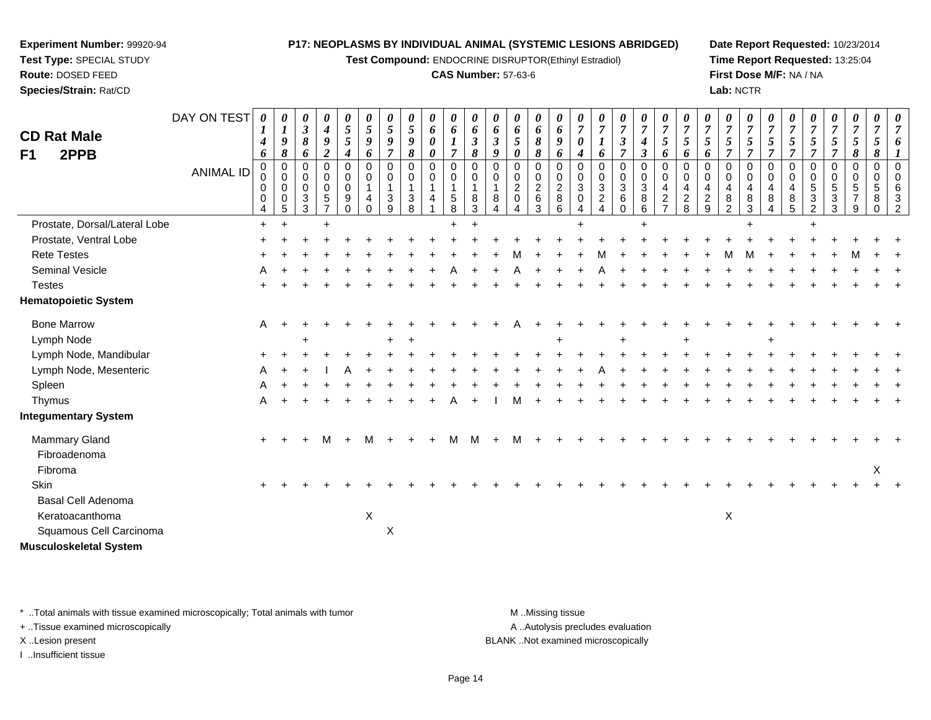**Test Compound:** ENDOCRINE DISRUPTOR(Ethinyl Estradiol)

#### **CAS Number:** 57-63-6

**Date Report Requested:** 10/23/2014**Time Report Requested:** 13:25:04**First Dose M/F:** NA / NA**Lab:** NCTR

|                               | DAY ON TEST      | 0                | 0                | 0                                                       | 0                                    | 0                                                  | 0                       | 0                           | 0                     | 0                                              | 0                                               | $\boldsymbol{\theta}$   | 0                                            | 0                                                 | 0                                        | 0                                        | 0                                  | $\boldsymbol{\theta}$                                     | 0                                      | 0                                              | 0                                                 | 0                                            | $\theta$                                                | 0                       | 0                                         | 0                                    | 0                       | 0                                                         | 0                                   | 0                                                     | 0                          |                |
|-------------------------------|------------------|------------------|------------------|---------------------------------------------------------|--------------------------------------|----------------------------------------------------|-------------------------|-----------------------------|-----------------------|------------------------------------------------|-------------------------------------------------|-------------------------|----------------------------------------------|---------------------------------------------------|------------------------------------------|------------------------------------------|------------------------------------|-----------------------------------------------------------|----------------------------------------|------------------------------------------------|---------------------------------------------------|----------------------------------------------|---------------------------------------------------------|-------------------------|-------------------------------------------|--------------------------------------|-------------------------|-----------------------------------------------------------|-------------------------------------|-------------------------------------------------------|----------------------------|----------------|
| <b>CD Rat Male</b>            |                  | $\boldsymbol{l}$ | $\boldsymbol{l}$ | $\mathfrak{z}$                                          | $\boldsymbol{4}$                     | 5                                                  | 5                       | $\mathfrak{s}$              | $\mathfrak{s}$        | 6                                              | 6                                               | $\boldsymbol{6}$        | 6                                            | 6                                                 | 6                                        | 6                                        | $\overline{7}$                     | $\overline{7}$                                            | $\overline{7}$                         | $\overline{7}$                                 | $\overline{7}$                                    | $\overline{7}$                               | $\overline{7}$                                          | $\overline{7}$          | $\boldsymbol{7}$                          | $\overline{7}$                       | $\overline{7}$          | $\overline{7}$                                            | $\boldsymbol{7}$                    | $\overline{7}$                                        | $\overline{7}$             | $\overline{7}$ |
| 2PPB<br>F <sub>1</sub>        |                  | 4<br>6           | 9<br>8           | 8<br>6                                                  | $\boldsymbol{g}$<br>$\boldsymbol{2}$ | 5<br>$\boldsymbol{4}$                              | 9<br>6                  | 9<br>$\overline{7}$         | $\boldsymbol{g}$<br>8 | $\boldsymbol{\theta}$<br>$\boldsymbol{\theta}$ | $\boldsymbol{l}$<br>$\overline{7}$              | $\mathfrak{z}$<br>8     | $\mathfrak{z}$<br>9                          | 5<br>0                                            | 8<br>8                                   | 9<br>6                                   | $\pmb{\theta}$<br>$\boldsymbol{4}$ | $\boldsymbol{l}$<br>6                                     | $\boldsymbol{\beta}$<br>$\overline{7}$ | $\boldsymbol{4}$<br>$\boldsymbol{\beta}$       | 5<br>6                                            | $5\overline{)}$<br>6                         | $\mathfrak{s}$<br>6                                     | 5<br>7                  | $5\overline{)}$<br>$\overline{7}$         | 5<br>$\overline{7}$                  | 5<br>$\overline{7}$     | 5<br>$\overline{7}$                                       | $\mathfrak{H}$<br>$\overline{7}$    | 5<br>8                                                | $\mathfrak{s}$<br>8        |                |
|                               | <b>ANIMAL ID</b> | 0<br>0<br>0<br>0 | 0<br>0<br>0<br>0 | $\mathbf 0$<br>$\mathbf 0$<br>$\mathbf 0$<br>$\sqrt{3}$ | 0<br>0<br>0<br>$\sqrt{5}$            | $\mathbf 0$<br>$\mathbf 0$<br>$\mathbf 0$<br>$9\,$ | $\Omega$<br>0<br>1<br>4 | 0<br>0<br>$\mathbf{1}$<br>3 | $\mathbf 0$<br>0<br>3 | $\mathbf 0$<br>$\mathbf 0$<br>$\mathbf 1$<br>4 | $\mathbf 0$<br>0<br>$\mathbf{1}$<br>$\,$ 5 $\,$ | $\Omega$<br>0<br>1<br>8 | $\Omega$<br>$\mathbf 0$<br>$\mathbf{1}$<br>8 | $\mathbf 0$<br>0<br>$\overline{a}$<br>$\mathbf 0$ | $\Omega$<br>$\mathbf 0$<br>$\frac{2}{6}$ | $\Omega$<br>$\mathbf 0$<br>$\frac{2}{8}$ | $\Omega$<br>0<br>3<br>0            | $\Omega$<br>$\mathbf 0$<br>$\mathbf{3}$<br>$\overline{c}$ | $\Omega$<br>0<br>3<br>6                | $\mathbf 0$<br>$\mathbf 0$<br>$\mathsf 3$<br>8 | $\mathbf 0$<br>$\mathbf 0$<br>4<br>$\overline{c}$ | $\mathbf 0$<br>$\mathbf 0$<br>$\overline{4}$ | $\Omega$<br>$\mathbf 0$<br>$\overline{4}$<br>$\sqrt{2}$ | $\Omega$<br>0<br>4<br>8 | $\Omega$<br>$\mathsf{O}\xspace$<br>4<br>8 | $\mathbf 0$<br>$\mathbf 0$<br>4<br>8 | $\Omega$<br>0<br>4<br>8 | $\mathbf 0$<br>$\mathbf 0$<br>$\,$ 5 $\,$<br>$\mathbf{3}$ | 0<br>$\mathbf 0$<br>$\sqrt{5}$<br>3 | $\mathbf 0$<br>0<br>$5\phantom{.0}$<br>$\overline{7}$ | $\mathbf 0$<br>0<br>5<br>8 | 3              |
|                               |                  | 4                | 5                | 3                                                       | $\overline{7}$                       | $\Omega$                                           | 0                       | 9                           | 8                     |                                                | 8                                               | 3                       |                                              |                                                   | 3                                        | 6                                        |                                    |                                                           | $\Omega$                               | 6                                              | $\overline{ }$                                    | $\frac{2}{8}$                                | 9                                                       | $\overline{2}$          | 3                                         | 4                                    | 5                       | $\overline{2}$                                            | 3                                   | 9                                                     | 0                          |                |
| Prostate, Dorsal/Lateral Lobe |                  | $\ddot{}$        | $\ddot{}$        |                                                         | $\ddot{}$                            |                                                    |                         |                             |                       |                                                |                                                 |                         |                                              |                                                   |                                          |                                          | $\ddot{}$                          |                                                           |                                        | ÷                                              |                                                   |                                              |                                                         |                         |                                           |                                      |                         |                                                           |                                     |                                                       |                            |                |
| Prostate, Ventral Lobe        |                  |                  |                  |                                                         |                                      |                                                    |                         |                             |                       |                                                |                                                 |                         |                                              |                                                   |                                          |                                          |                                    |                                                           |                                        |                                                |                                                   |                                              |                                                         |                         |                                           |                                      |                         |                                                           |                                     |                                                       |                            |                |
| <b>Rete Testes</b>            |                  |                  |                  |                                                         |                                      |                                                    |                         |                             |                       |                                                |                                                 |                         |                                              |                                                   |                                          |                                          |                                    |                                                           |                                        |                                                |                                                   |                                              |                                                         |                         |                                           |                                      |                         |                                                           |                                     |                                                       |                            |                |
| Seminal Vesicle               |                  |                  |                  |                                                         |                                      |                                                    |                         |                             |                       |                                                |                                                 |                         |                                              |                                                   |                                          |                                          |                                    |                                                           |                                        |                                                |                                                   |                                              |                                                         |                         |                                           |                                      |                         |                                                           |                                     |                                                       |                            |                |
| <b>Testes</b>                 |                  |                  |                  |                                                         |                                      |                                                    |                         |                             |                       |                                                |                                                 |                         |                                              |                                                   |                                          |                                          |                                    |                                                           |                                        |                                                |                                                   |                                              |                                                         |                         |                                           |                                      |                         |                                                           |                                     |                                                       |                            |                |
| <b>Hematopoietic System</b>   |                  |                  |                  |                                                         |                                      |                                                    |                         |                             |                       |                                                |                                                 |                         |                                              |                                                   |                                          |                                          |                                    |                                                           |                                        |                                                |                                                   |                                              |                                                         |                         |                                           |                                      |                         |                                                           |                                     |                                                       |                            |                |
| <b>Bone Marrow</b>            |                  | A                |                  |                                                         |                                      |                                                    |                         |                             |                       |                                                |                                                 |                         |                                              |                                                   |                                          |                                          |                                    |                                                           |                                        |                                                |                                                   |                                              |                                                         |                         |                                           |                                      |                         |                                                           |                                     |                                                       |                            |                |
| Lymph Node                    |                  |                  |                  |                                                         |                                      |                                                    |                         |                             |                       |                                                |                                                 |                         |                                              |                                                   |                                          |                                          |                                    |                                                           |                                        |                                                |                                                   |                                              |                                                         |                         |                                           |                                      |                         |                                                           |                                     |                                                       |                            |                |
| Lymph Node, Mandibular        |                  |                  |                  |                                                         |                                      |                                                    |                         |                             |                       |                                                |                                                 |                         |                                              |                                                   |                                          |                                          |                                    |                                                           |                                        |                                                |                                                   |                                              |                                                         |                         |                                           |                                      |                         |                                                           |                                     |                                                       |                            |                |
| Lymph Node, Mesenteric        |                  |                  |                  |                                                         |                                      |                                                    |                         |                             |                       |                                                |                                                 |                         |                                              |                                                   |                                          |                                          |                                    |                                                           |                                        |                                                |                                                   |                                              |                                                         |                         |                                           |                                      |                         |                                                           |                                     |                                                       |                            |                |
| Spleen                        |                  |                  |                  |                                                         |                                      |                                                    |                         |                             |                       |                                                |                                                 |                         |                                              |                                                   |                                          |                                          |                                    |                                                           |                                        |                                                |                                                   |                                              |                                                         |                         |                                           |                                      |                         |                                                           |                                     |                                                       |                            |                |
| Thymus                        |                  | Α                |                  |                                                         |                                      |                                                    |                         |                             |                       |                                                |                                                 |                         |                                              |                                                   |                                          |                                          |                                    |                                                           |                                        |                                                |                                                   |                                              |                                                         |                         |                                           |                                      |                         |                                                           |                                     |                                                       |                            |                |
| <b>Integumentary System</b>   |                  |                  |                  |                                                         |                                      |                                                    |                         |                             |                       |                                                |                                                 |                         |                                              |                                                   |                                          |                                          |                                    |                                                           |                                        |                                                |                                                   |                                              |                                                         |                         |                                           |                                      |                         |                                                           |                                     |                                                       |                            |                |
| Mammary Gland                 |                  | $+$              |                  |                                                         | м                                    |                                                    | м                       |                             |                       |                                                | м                                               | M                       |                                              |                                                   |                                          |                                          |                                    |                                                           |                                        |                                                |                                                   |                                              |                                                         |                         |                                           |                                      |                         |                                                           |                                     |                                                       |                            |                |
| Fibroadenoma                  |                  |                  |                  |                                                         |                                      |                                                    |                         |                             |                       |                                                |                                                 |                         |                                              |                                                   |                                          |                                          |                                    |                                                           |                                        |                                                |                                                   |                                              |                                                         |                         |                                           |                                      |                         |                                                           |                                     |                                                       |                            |                |
| Fibroma                       |                  |                  |                  |                                                         |                                      |                                                    |                         |                             |                       |                                                |                                                 |                         |                                              |                                                   |                                          |                                          |                                    |                                                           |                                        |                                                |                                                   |                                              |                                                         |                         |                                           |                                      |                         |                                                           |                                     |                                                       | X                          |                |
| Skin                          |                  |                  |                  |                                                         |                                      |                                                    |                         |                             |                       |                                                |                                                 |                         |                                              |                                                   |                                          |                                          |                                    |                                                           |                                        |                                                |                                                   |                                              |                                                         |                         |                                           |                                      |                         |                                                           |                                     |                                                       |                            |                |
| <b>Basal Cell Adenoma</b>     |                  |                  |                  |                                                         |                                      |                                                    |                         |                             |                       |                                                |                                                 |                         |                                              |                                                   |                                          |                                          |                                    |                                                           |                                        |                                                |                                                   |                                              |                                                         |                         |                                           |                                      |                         |                                                           |                                     |                                                       |                            |                |
| Keratoacanthoma               |                  |                  |                  |                                                         |                                      |                                                    | $\mathsf X$             |                             |                       |                                                |                                                 |                         |                                              |                                                   |                                          |                                          |                                    |                                                           |                                        |                                                |                                                   |                                              |                                                         | X                       |                                           |                                      |                         |                                                           |                                     |                                                       |                            |                |
| Squamous Cell Carcinoma       |                  |                  |                  |                                                         |                                      |                                                    |                         | $\boldsymbol{\mathsf{X}}$   |                       |                                                |                                                 |                         |                                              |                                                   |                                          |                                          |                                    |                                                           |                                        |                                                |                                                   |                                              |                                                         |                         |                                           |                                      |                         |                                                           |                                     |                                                       |                            |                |
| <b>Musculoskeletal System</b> |                  |                  |                  |                                                         |                                      |                                                    |                         |                             |                       |                                                |                                                 |                         |                                              |                                                   |                                          |                                          |                                    |                                                           |                                        |                                                |                                                   |                                              |                                                         |                         |                                           |                                      |                         |                                                           |                                     |                                                       |                            |                |

\* ..Total animals with tissue examined microscopically; Total animals with tumor **M** . Missing tissue M ..Missing tissue

+ ..Tissue examined microscopically

**Experiment Number:** 99920-94**Test Type:** SPECIAL STUDY**Route:** DOSED FEED**Species/Strain:** Rat/CD

I ..Insufficient tissue

A ..Autolysis precludes evaluation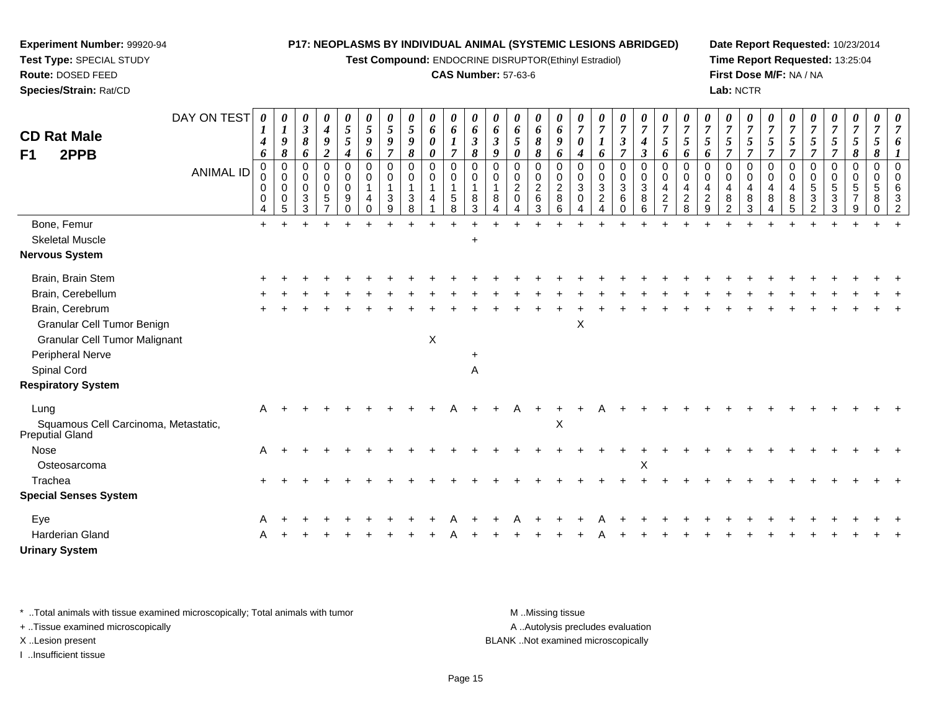**Test Compound:** ENDOCRINE DISRUPTOR(Ethinyl Estradiol)

### **CAS Number:** 57-63-6

**Date Report Requested:** 10/23/2014**Time Report Requested:** 13:25:04**First Dose M/F:** NA / NA**Lab:** NCTR

| <b>CD Rat Male</b><br>2PPB<br>F <sub>1</sub>            | DAY ON TEST<br><b>ANIMAL ID</b> | 0<br>$\boldsymbol{I}$<br>4<br>6<br>0<br>0<br>0<br>0<br>4 | 0<br>$\boldsymbol{l}$<br>9<br>8<br>$\pmb{0}$<br>0<br>0<br>$\mathbf 0$<br>5 | 0<br>$\boldsymbol{\beta}$<br>8<br>6<br>$\Omega$<br>0<br>$\Omega$<br>$\mathbf{3}$<br>3 | 0<br>$\boldsymbol{4}$<br>9<br>$\overline{2}$<br>$\mathbf 0$<br>$\mathbf 0$<br>$\mathbf 0$<br>$\sqrt{5}$ | 0<br>$\mathfrak{s}$<br>5<br>4<br>0<br>0<br>$\mathbf 0$<br>9<br>$\Omega$ | $\boldsymbol{\theta}$<br>5<br>9<br>6<br>$\mathbf 0$<br>0<br>1<br>4<br>$\Omega$ | 0<br>5<br>9<br>$\overline{7}$<br>0<br>0<br>1<br>3<br>9 | 0<br>5<br>9<br>8<br>0<br>0<br>3<br>8 | 0<br>6<br>0<br>0<br>0<br>0<br>4 | 0<br>6<br>$\overline{7}$<br>$\mathbf 0$<br>$\mathbf 0$<br>$\mathbf 1$<br>$\begin{array}{c} 5 \\ 8 \end{array}$ | $\boldsymbol{\theta}$<br>6<br>$\boldsymbol{\beta}$<br>8<br>$\mathbf 0$<br>0<br>8<br>3 | 0<br>6<br>$\mathfrak{z}$<br>9<br>$\mathbf 0$<br>$\Omega$<br>8<br>$\Delta$ | 0<br>6<br>5<br>0<br>$\Omega$<br>0<br>$\overline{c}$<br>$\Omega$<br>4 | 0<br>6<br>8<br>8<br>0<br>0<br>$\frac{2}{6}$<br>3 | 0<br>6<br>9<br>6<br>$\mathbf 0$<br>0<br>$\overline{c}$<br>8<br>6 | 0<br>$\overline{7}$<br>0<br>4<br>0<br>0<br>3<br>$\mathbf 0$<br>4 | 0<br>$\overline{7}$<br>6<br>0<br>$\mathbf 0$<br>$\mathbf{3}$<br>$\overline{2}$ | 0<br>$\overline{7}$<br>$\boldsymbol{\beta}$<br>$\overline{7}$<br>0<br>0<br>$\mathfrak{S}$<br>6<br>$\Omega$ | 0<br>$\overline{7}$<br>4<br>3<br>$\mathbf 0$<br>$\mathbf 0$<br>$\ensuremath{\mathsf{3}}$<br>8<br>6 | 0<br>$\overline{7}$<br>5<br>6<br>$\mathbf 0$<br>$\mathbf 0$<br>4<br>$\frac{2}{7}$ | $\overline{7}$<br>5<br>6<br>0<br>0<br>$\overline{4}$<br>$\frac{2}{8}$ | 0<br>$\overline{7}$<br>5<br>6<br>$\Omega$<br>$\mathbf 0$<br>4<br>$\overline{c}$<br>9 | 0<br>$\overline{7}$<br>5<br>7<br>$\mathbf 0$<br>$\mathbf 0$<br>$\overline{4}$<br>8<br>$\overline{2}$ | 0<br>$\overline{7}$<br>5<br>$\overline{7}$<br>$\mathbf 0$<br>0<br>$\overline{4}$<br>8<br>3 | 0<br>$\overline{7}$<br>5<br>7<br>$\mathbf 0$<br>0<br>4<br>8<br>4 | 0<br>$\overline{7}$<br>5<br>$\overline{7}$<br>0<br>$\mathbf 0$<br>$\overline{4}$<br>8<br>5 | 0<br>$\overline{7}$<br>5<br>$\overline{\tau}$<br>0<br>0<br>5<br>3<br>$\mathfrak{p}$ | 0<br>$\overline{7}$<br>5<br>$\overline{\tau}$<br>0<br>0<br>$\sqrt{5}$<br>$\mathbf{3}$<br>3 | 0<br>$\overline{7}$<br>5<br>8<br>0<br>$\mathbf 0$<br>5<br>9 | 0<br>$\overline{7}$<br>5<br>8<br>0<br>0<br>5<br>8<br>0 | 0<br>$\overline{7}$<br>$\Omega$<br>$\Omega$<br>6<br>$\mathcal{P}$ |
|---------------------------------------------------------|---------------------------------|----------------------------------------------------------|----------------------------------------------------------------------------|---------------------------------------------------------------------------------------|---------------------------------------------------------------------------------------------------------|-------------------------------------------------------------------------|--------------------------------------------------------------------------------|--------------------------------------------------------|--------------------------------------|---------------------------------|----------------------------------------------------------------------------------------------------------------|---------------------------------------------------------------------------------------|---------------------------------------------------------------------------|----------------------------------------------------------------------|--------------------------------------------------|------------------------------------------------------------------|------------------------------------------------------------------|--------------------------------------------------------------------------------|------------------------------------------------------------------------------------------------------------|----------------------------------------------------------------------------------------------------|-----------------------------------------------------------------------------------|-----------------------------------------------------------------------|--------------------------------------------------------------------------------------|------------------------------------------------------------------------------------------------------|--------------------------------------------------------------------------------------------|------------------------------------------------------------------|--------------------------------------------------------------------------------------------|-------------------------------------------------------------------------------------|--------------------------------------------------------------------------------------------|-------------------------------------------------------------|--------------------------------------------------------|-------------------------------------------------------------------|
| Bone, Femur                                             |                                 | $+$                                                      |                                                                            |                                                                                       |                                                                                                         |                                                                         |                                                                                |                                                        |                                      |                                 |                                                                                                                |                                                                                       |                                                                           |                                                                      |                                                  |                                                                  |                                                                  |                                                                                |                                                                                                            |                                                                                                    |                                                                                   |                                                                       |                                                                                      |                                                                                                      |                                                                                            |                                                                  |                                                                                            |                                                                                     |                                                                                            |                                                             |                                                        |                                                                   |
| <b>Skeletal Muscle</b>                                  |                                 |                                                          |                                                                            |                                                                                       |                                                                                                         |                                                                         |                                                                                |                                                        |                                      |                                 |                                                                                                                | $\ddot{}$                                                                             |                                                                           |                                                                      |                                                  |                                                                  |                                                                  |                                                                                |                                                                                                            |                                                                                                    |                                                                                   |                                                                       |                                                                                      |                                                                                                      |                                                                                            |                                                                  |                                                                                            |                                                                                     |                                                                                            |                                                             |                                                        |                                                                   |
| <b>Nervous System</b>                                   |                                 |                                                          |                                                                            |                                                                                       |                                                                                                         |                                                                         |                                                                                |                                                        |                                      |                                 |                                                                                                                |                                                                                       |                                                                           |                                                                      |                                                  |                                                                  |                                                                  |                                                                                |                                                                                                            |                                                                                                    |                                                                                   |                                                                       |                                                                                      |                                                                                                      |                                                                                            |                                                                  |                                                                                            |                                                                                     |                                                                                            |                                                             |                                                        |                                                                   |
| Brain, Brain Stem                                       |                                 |                                                          |                                                                            |                                                                                       |                                                                                                         |                                                                         |                                                                                |                                                        |                                      |                                 |                                                                                                                |                                                                                       |                                                                           |                                                                      |                                                  |                                                                  |                                                                  |                                                                                |                                                                                                            |                                                                                                    |                                                                                   |                                                                       |                                                                                      |                                                                                                      |                                                                                            |                                                                  |                                                                                            |                                                                                     |                                                                                            |                                                             |                                                        |                                                                   |
| Brain, Cerebellum                                       |                                 |                                                          |                                                                            |                                                                                       |                                                                                                         |                                                                         |                                                                                |                                                        |                                      |                                 |                                                                                                                |                                                                                       |                                                                           |                                                                      |                                                  |                                                                  |                                                                  |                                                                                |                                                                                                            |                                                                                                    |                                                                                   |                                                                       |                                                                                      |                                                                                                      |                                                                                            |                                                                  |                                                                                            |                                                                                     |                                                                                            |                                                             |                                                        |                                                                   |
| Brain, Cerebrum                                         |                                 |                                                          |                                                                            |                                                                                       |                                                                                                         |                                                                         |                                                                                |                                                        |                                      |                                 |                                                                                                                |                                                                                       |                                                                           |                                                                      |                                                  |                                                                  |                                                                  |                                                                                |                                                                                                            |                                                                                                    |                                                                                   |                                                                       |                                                                                      |                                                                                                      |                                                                                            |                                                                  |                                                                                            |                                                                                     |                                                                                            |                                                             |                                                        |                                                                   |
| Granular Cell Tumor Benign                              |                                 |                                                          |                                                                            |                                                                                       |                                                                                                         |                                                                         |                                                                                |                                                        |                                      |                                 |                                                                                                                |                                                                                       |                                                                           |                                                                      |                                                  |                                                                  | $\boldsymbol{\mathsf{X}}$                                        |                                                                                |                                                                                                            |                                                                                                    |                                                                                   |                                                                       |                                                                                      |                                                                                                      |                                                                                            |                                                                  |                                                                                            |                                                                                     |                                                                                            |                                                             |                                                        |                                                                   |
| <b>Granular Cell Tumor Malignant</b>                    |                                 |                                                          |                                                                            |                                                                                       |                                                                                                         |                                                                         |                                                                                |                                                        |                                      | X                               |                                                                                                                |                                                                                       |                                                                           |                                                                      |                                                  |                                                                  |                                                                  |                                                                                |                                                                                                            |                                                                                                    |                                                                                   |                                                                       |                                                                                      |                                                                                                      |                                                                                            |                                                                  |                                                                                            |                                                                                     |                                                                                            |                                                             |                                                        |                                                                   |
| Peripheral Nerve                                        |                                 |                                                          |                                                                            |                                                                                       |                                                                                                         |                                                                         |                                                                                |                                                        |                                      |                                 |                                                                                                                | $\ddot{}$                                                                             |                                                                           |                                                                      |                                                  |                                                                  |                                                                  |                                                                                |                                                                                                            |                                                                                                    |                                                                                   |                                                                       |                                                                                      |                                                                                                      |                                                                                            |                                                                  |                                                                                            |                                                                                     |                                                                                            |                                                             |                                                        |                                                                   |
| Spinal Cord                                             |                                 |                                                          |                                                                            |                                                                                       |                                                                                                         |                                                                         |                                                                                |                                                        |                                      |                                 |                                                                                                                | A                                                                                     |                                                                           |                                                                      |                                                  |                                                                  |                                                                  |                                                                                |                                                                                                            |                                                                                                    |                                                                                   |                                                                       |                                                                                      |                                                                                                      |                                                                                            |                                                                  |                                                                                            |                                                                                     |                                                                                            |                                                             |                                                        |                                                                   |
| <b>Respiratory System</b>                               |                                 |                                                          |                                                                            |                                                                                       |                                                                                                         |                                                                         |                                                                                |                                                        |                                      |                                 |                                                                                                                |                                                                                       |                                                                           |                                                                      |                                                  |                                                                  |                                                                  |                                                                                |                                                                                                            |                                                                                                    |                                                                                   |                                                                       |                                                                                      |                                                                                                      |                                                                                            |                                                                  |                                                                                            |                                                                                     |                                                                                            |                                                             |                                                        |                                                                   |
| Lung                                                    |                                 | A                                                        |                                                                            |                                                                                       |                                                                                                         |                                                                         |                                                                                |                                                        |                                      |                                 |                                                                                                                |                                                                                       |                                                                           |                                                                      |                                                  |                                                                  |                                                                  |                                                                                |                                                                                                            |                                                                                                    |                                                                                   |                                                                       |                                                                                      |                                                                                                      |                                                                                            |                                                                  |                                                                                            |                                                                                     |                                                                                            |                                                             |                                                        |                                                                   |
| Squamous Cell Carcinoma, Metastatic,<br>Preputial Gland |                                 |                                                          |                                                                            |                                                                                       |                                                                                                         |                                                                         |                                                                                |                                                        |                                      |                                 |                                                                                                                |                                                                                       |                                                                           |                                                                      |                                                  | $\pmb{\times}$                                                   |                                                                  |                                                                                |                                                                                                            |                                                                                                    |                                                                                   |                                                                       |                                                                                      |                                                                                                      |                                                                                            |                                                                  |                                                                                            |                                                                                     |                                                                                            |                                                             |                                                        |                                                                   |
| Nose                                                    |                                 | A                                                        |                                                                            |                                                                                       |                                                                                                         |                                                                         |                                                                                |                                                        |                                      |                                 |                                                                                                                |                                                                                       |                                                                           |                                                                      |                                                  |                                                                  |                                                                  |                                                                                |                                                                                                            |                                                                                                    |                                                                                   |                                                                       |                                                                                      |                                                                                                      |                                                                                            |                                                                  |                                                                                            |                                                                                     |                                                                                            |                                                             |                                                        |                                                                   |
| Osteosarcoma                                            |                                 |                                                          |                                                                            |                                                                                       |                                                                                                         |                                                                         |                                                                                |                                                        |                                      |                                 |                                                                                                                |                                                                                       |                                                                           |                                                                      |                                                  |                                                                  |                                                                  |                                                                                |                                                                                                            | X                                                                                                  |                                                                                   |                                                                       |                                                                                      |                                                                                                      |                                                                                            |                                                                  |                                                                                            |                                                                                     |                                                                                            |                                                             |                                                        |                                                                   |
| Trachea                                                 |                                 |                                                          |                                                                            |                                                                                       |                                                                                                         |                                                                         |                                                                                |                                                        |                                      |                                 |                                                                                                                |                                                                                       |                                                                           |                                                                      |                                                  |                                                                  |                                                                  |                                                                                |                                                                                                            |                                                                                                    |                                                                                   |                                                                       |                                                                                      |                                                                                                      |                                                                                            |                                                                  |                                                                                            |                                                                                     |                                                                                            |                                                             |                                                        |                                                                   |
| <b>Special Senses System</b>                            |                                 |                                                          |                                                                            |                                                                                       |                                                                                                         |                                                                         |                                                                                |                                                        |                                      |                                 |                                                                                                                |                                                                                       |                                                                           |                                                                      |                                                  |                                                                  |                                                                  |                                                                                |                                                                                                            |                                                                                                    |                                                                                   |                                                                       |                                                                                      |                                                                                                      |                                                                                            |                                                                  |                                                                                            |                                                                                     |                                                                                            |                                                             |                                                        |                                                                   |
| Eye                                                     |                                 |                                                          |                                                                            |                                                                                       |                                                                                                         |                                                                         |                                                                                |                                                        |                                      |                                 |                                                                                                                |                                                                                       |                                                                           |                                                                      |                                                  |                                                                  |                                                                  |                                                                                |                                                                                                            |                                                                                                    |                                                                                   |                                                                       |                                                                                      |                                                                                                      |                                                                                            |                                                                  |                                                                                            |                                                                                     |                                                                                            |                                                             |                                                        |                                                                   |
| Harderian Gland                                         |                                 |                                                          |                                                                            |                                                                                       |                                                                                                         |                                                                         |                                                                                |                                                        |                                      |                                 |                                                                                                                |                                                                                       |                                                                           |                                                                      |                                                  |                                                                  |                                                                  |                                                                                |                                                                                                            |                                                                                                    |                                                                                   |                                                                       |                                                                                      |                                                                                                      |                                                                                            |                                                                  |                                                                                            |                                                                                     |                                                                                            |                                                             |                                                        |                                                                   |
| <b>Urinary System</b>                                   |                                 |                                                          |                                                                            |                                                                                       |                                                                                                         |                                                                         |                                                                                |                                                        |                                      |                                 |                                                                                                                |                                                                                       |                                                                           |                                                                      |                                                  |                                                                  |                                                                  |                                                                                |                                                                                                            |                                                                                                    |                                                                                   |                                                                       |                                                                                      |                                                                                                      |                                                                                            |                                                                  |                                                                                            |                                                                                     |                                                                                            |                                                             |                                                        |                                                                   |

\* ..Total animals with tissue examined microscopically; Total animals with tumor **M** . Missing tissue M ..Missing tissue

+ ..Tissue examined microscopically

**Experiment Number:** 99920-94**Test Type:** SPECIAL STUDY**Route:** DOSED FEED**Species/Strain:** Rat/CD

I ..Insufficient tissue

A ..Autolysis precludes evaluation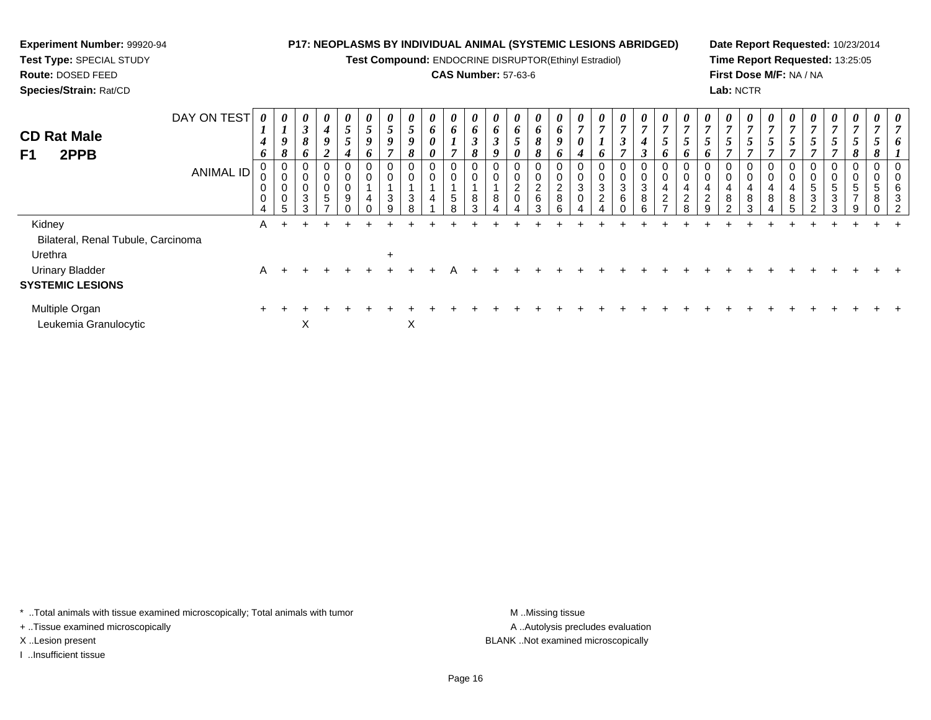# **Experiment Number:** 99920-94**Test Type:** SPECIAL STUDY

**Route:** DOSED FEED

**Species/Strain:** Rat/CD

## **P17: NEOPLASMS BY INDIVIDUAL ANIMAL (SYSTEMIC LESIONS ABRIDGED)**

**Test Compound:** ENDOCRINE DISRUPTOR(Ethinyl Estradiol)

## **CAS Number:** 57-63-6

**Date Report Requested:** 10/23/2014**Time Report Requested:** 13:25:05**First Dose M/F:** NA / NA**Lab:** NCTR

| <b>CD Rat Male</b><br>2PPB<br>F <sub>1</sub> | DAY ON TEST<br><b>ANIMAL ID</b> | 0<br>$\mathbf{I}$<br>$\boldsymbol{4}$<br>6<br>0<br>0<br>0<br>4 | $\boldsymbol{\theta}$<br>$\overline{I}$<br>9<br>8<br>J<br>0<br>0<br>5 | $\boldsymbol{\theta}$<br>$\boldsymbol{\beta}$<br>8<br>6<br>0<br>0<br>$\pmb{0}$<br>$\sqrt{3}$<br>3 | $\boldsymbol{\theta}$<br>$\boldsymbol{4}$<br>9<br>$\boldsymbol{2}$<br>0<br>0<br>0<br>$\sqrt{5}$<br>$\overline{ }$ | $\boldsymbol{\theta}$<br>$\overline{5}$<br>5<br>4<br>$\mathbf 0$<br>$\pmb{0}$<br>$\pmb{0}$<br>$\boldsymbol{9}$ | $\boldsymbol{\theta}$<br>-<br>$\mathcal{I}$<br>9<br>o<br>0<br>0<br>4 | 0<br>5<br>9<br>0<br>3 | 0<br>5<br>9<br>8<br>0<br>0<br>$\mathbf{3}$<br>ິ | $\boldsymbol{\theta}$<br>6<br>0<br>0<br>0<br>0<br>4 | 0<br>6<br>$\overline{ }$<br>$\mathbf 0$<br>$\pmb{0}$<br>$\sqrt{5}$<br>8 | 0<br>6<br>$\mathfrak{z}$<br>8<br>$\mathbf 0$<br>$\pmb{0}$<br>8<br>3 | $\boldsymbol{\theta}$<br>6<br>$\boldsymbol{\beta}$<br>9<br>0<br>$\mathbf 0$<br>8 | $\boldsymbol{\theta}$<br>6<br>$\overline{\phantom{0}}$<br>J<br>0<br>0<br>0<br>$\overline{2}$<br>0 | 0<br>6<br>8<br>$\Omega$<br>$\sigma$<br>$\frac{2}{6}$<br>З | 0<br>6<br>9<br>o<br>0<br>0<br>$_{8}^{\rm 2}$<br>ĥ | $\boldsymbol{\theta}$<br>$\overline{ }$<br>0<br>4<br>0<br>$\ensuremath{\mathsf{3}}$<br>$\mathbf 0$ | 0<br>$\overline{ }$<br>6<br>$\pmb{0}$<br>$\pmb{0}$<br>$\ensuremath{\mathsf{3}}$<br>$\overline{2}$ | $\boldsymbol{\theta}$<br>$\overline{7}$<br>$\boldsymbol{\beta}$<br>$\overline{7}$<br>0<br>$\pmb{0}$<br>$\frac{3}{6}$<br>$\Omega$ | $\boldsymbol{\theta}$<br>$\overline{7}$<br>$\boldsymbol{4}$<br>$\boldsymbol{\beta}$<br>$\pmb{0}$<br>$\pmb{0}$<br>$\sqrt{3}$<br>$\, 8$<br>ĥ | $\boldsymbol{\theta}$<br>$\overline{ }$<br>$\mathcal{L}$<br>o<br>0<br>0<br>4<br>$\overline{2}$ | $\boldsymbol{\theta}$<br>Ć<br>o<br>4<br>$\overline{c}$ | 0<br>$\mathbf{r}$<br>$\overline{\phantom{0}}$<br>0<br>0<br>4<br>$\overline{c}$<br>a | 0<br>$\overline{ }$<br>$\mathfrak{I}$<br>$\overline{ }$<br>0<br>$\pmb{0}$<br>4<br>8<br>$\sim$ | 0<br>$\mathbf{r}$<br>$\mathcal{L}$<br>0<br>0<br>4<br>8<br>3 | 0<br>5<br>$\overline{ }$<br>$\pmb{0}$<br>0<br>4<br>$\bf 8$ | $\boldsymbol{\theta}$<br>5<br>$\pmb{0}$<br>$\pmb{0}$<br>4<br>$\bf 8$<br>ς | $\boldsymbol{\theta}$<br>7<br>$\overline{a}$<br>$\mathcal{L}$<br>$\overline{ }$<br>0<br>0<br>5<br>3<br>C | $\boldsymbol{\theta}$<br>$\overline{7}$<br>$5\phantom{.0}$<br>$\overline{ }$<br>0<br>$5\phantom{.0}$<br>3<br>3 | 0<br>$\overline{ }$<br>5<br>8<br>0<br>0<br>5<br>$\overline{ }$<br>9 | 0<br>5<br>0<br>5<br>8 | 0<br>n<br>6<br>3<br>റ |
|----------------------------------------------|---------------------------------|----------------------------------------------------------------|-----------------------------------------------------------------------|---------------------------------------------------------------------------------------------------|-------------------------------------------------------------------------------------------------------------------|----------------------------------------------------------------------------------------------------------------|----------------------------------------------------------------------|-----------------------|-------------------------------------------------|-----------------------------------------------------|-------------------------------------------------------------------------|---------------------------------------------------------------------|----------------------------------------------------------------------------------|---------------------------------------------------------------------------------------------------|-----------------------------------------------------------|---------------------------------------------------|----------------------------------------------------------------------------------------------------|---------------------------------------------------------------------------------------------------|----------------------------------------------------------------------------------------------------------------------------------|--------------------------------------------------------------------------------------------------------------------------------------------|------------------------------------------------------------------------------------------------|--------------------------------------------------------|-------------------------------------------------------------------------------------|-----------------------------------------------------------------------------------------------|-------------------------------------------------------------|------------------------------------------------------------|---------------------------------------------------------------------------|----------------------------------------------------------------------------------------------------------|----------------------------------------------------------------------------------------------------------------|---------------------------------------------------------------------|-----------------------|-----------------------|
| Kidney                                       |                                 | A                                                              |                                                                       |                                                                                                   |                                                                                                                   |                                                                                                                |                                                                      |                       |                                                 |                                                     |                                                                         |                                                                     |                                                                                  |                                                                                                   |                                                           |                                                   |                                                                                                    |                                                                                                   |                                                                                                                                  |                                                                                                                                            |                                                                                                |                                                        |                                                                                     |                                                                                               |                                                             |                                                            |                                                                           |                                                                                                          |                                                                                                                |                                                                     |                       |                       |
| Bilateral, Renal Tubule, Carcinoma           |                                 |                                                                |                                                                       |                                                                                                   |                                                                                                                   |                                                                                                                |                                                                      |                       |                                                 |                                                     |                                                                         |                                                                     |                                                                                  |                                                                                                   |                                                           |                                                   |                                                                                                    |                                                                                                   |                                                                                                                                  |                                                                                                                                            |                                                                                                |                                                        |                                                                                     |                                                                                               |                                                             |                                                            |                                                                           |                                                                                                          |                                                                                                                |                                                                     |                       |                       |
| Urethra                                      |                                 |                                                                |                                                                       |                                                                                                   |                                                                                                                   |                                                                                                                |                                                                      | $\ddot{}$             |                                                 |                                                     |                                                                         |                                                                     |                                                                                  |                                                                                                   |                                                           |                                                   |                                                                                                    |                                                                                                   |                                                                                                                                  |                                                                                                                                            |                                                                                                |                                                        |                                                                                     |                                                                                               |                                                             |                                                            |                                                                           |                                                                                                          |                                                                                                                |                                                                     |                       |                       |
| <b>Urinary Bladder</b>                       |                                 | A                                                              | $\div$                                                                |                                                                                                   |                                                                                                                   |                                                                                                                |                                                                      |                       |                                                 |                                                     |                                                                         |                                                                     |                                                                                  |                                                                                                   |                                                           |                                                   |                                                                                                    |                                                                                                   |                                                                                                                                  |                                                                                                                                            |                                                                                                |                                                        |                                                                                     |                                                                                               |                                                             |                                                            |                                                                           |                                                                                                          |                                                                                                                |                                                                     |                       |                       |
| <b>SYSTEMIC LESIONS</b>                      |                                 |                                                                |                                                                       |                                                                                                   |                                                                                                                   |                                                                                                                |                                                                      |                       |                                                 |                                                     |                                                                         |                                                                     |                                                                                  |                                                                                                   |                                                           |                                                   |                                                                                                    |                                                                                                   |                                                                                                                                  |                                                                                                                                            |                                                                                                |                                                        |                                                                                     |                                                                                               |                                                             |                                                            |                                                                           |                                                                                                          |                                                                                                                |                                                                     |                       |                       |
| Multiple Organ<br>Leukemia Granulocytic      |                                 | $\pm$                                                          |                                                                       | X                                                                                                 |                                                                                                                   |                                                                                                                |                                                                      |                       | X                                               |                                                     |                                                                         |                                                                     |                                                                                  |                                                                                                   |                                                           |                                                   |                                                                                                    |                                                                                                   |                                                                                                                                  |                                                                                                                                            |                                                                                                |                                                        |                                                                                     |                                                                                               |                                                             |                                                            |                                                                           |                                                                                                          |                                                                                                                |                                                                     |                       |                       |

\* ..Total animals with tissue examined microscopically; Total animals with tumor **M** . Missing tissue M ..Missing tissue

+ ..Tissue examined microscopically

I ..Insufficient tissue

A ..Autolysis precludes evaluation X ..Lesion present BLANK ..Not examined microscopically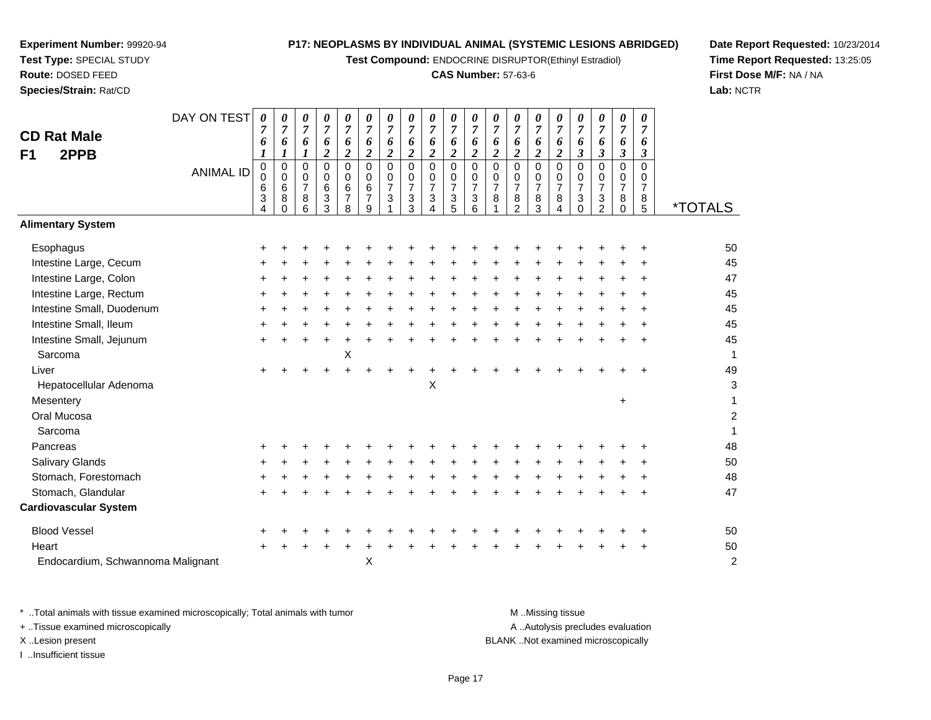**Test Compound:** ENDOCRINE DISRUPTOR(Ethinyl Estradiol)

# **CAS Number:** 57-63-6

**Date Report Requested:** 10/23/2014**Time Report Requested:** 13:25:05**First Dose M/F:** NA / NA**Lab:** NCTR

|                                          | +         | +         | +         | +         | +                | +             | +         | +         | +         | +         | +         | +         | +         | +                                   | +         | f              |
|------------------------------------------|-----------|-----------|-----------|-----------|------------------|---------------|-----------|-----------|-----------|-----------|-----------|-----------|-----------|-------------------------------------|-----------|----------------|
|                                          | $\ddot{}$ | $\ddot{}$ | $\ddot{}$ | $\ddot{}$ | $\ddot{}$        | $\ddot{}$     | $\ddot{}$ | $\ddot{}$ | $\ddot{}$ | $+$       | $+$       | $+$       | $+$       | $+$                                 | $+$       | $\overline{a}$ |
|                                          | $\ddot{}$ | $\ddot{}$ | $\ddot{}$ | $\ddot{}$ | $\ddot{}$        | $+$           | $\ddot{}$ | $+$       | $+$       | $+$       | $+$       | $+$       | $+$       | $+$                                 | $+$       | $\overline{1}$ |
|                                          | $\ddot{}$ | $\ddot{}$ | $\ddot{}$ | $\ddot{}$ | $\ddot{}$        | $\ddot{}$     | $\ddot{}$ | $\ddot{}$ | $\ddot{}$ | $\ddot{}$ | $\ddot{}$ | $\ddot{}$ | $\ddot{}$ | $\ddot{}$                           | $\ddot{}$ |                |
|                                          | $\ddot{}$ | +         | +         | +         | +                | +             | +         | +         | +         | +         | +         | +         | +         | +                                   | +         | f              |
| ignant                                   | $\ddot{}$ | $\ddot{}$ | $\ddot{}$ | $\ddot{}$ | $\boldsymbol{+}$ | $\bf{+}$<br>X | $\ddot{}$ | $\ddot{}$ | $\ddot{}$ | $\ddot{}$ | $\ddot{}$ | $\ddot{}$ | $\ddot{}$ | $\ddot{}$                           | $\ddot{}$ |                |
| icroscopically; Total animals with tumor |           |           |           |           |                  |               |           |           |           |           |           |           |           | M Missing tissu<br>A Autolysis pred |           |                |
|                                          |           |           |           |           |                  |               |           |           |           |           |           |           |           | <b>BLANK</b> Not examined           |           |                |
|                                          |           |           |           |           |                  |               |           |           |           |           | Page 17   |           |           |                                     |           |                |

| <b>CD Rat Male</b><br>F1<br>2PPB  | DAY ON TEST      | 0<br>6<br>1                     | 0<br>7<br>6<br>$\boldsymbol{l}$        | 0<br>7<br>6<br>$\boldsymbol{l}$    | 0<br>$\overline{7}$<br>6<br>$\boldsymbol{2}$ | 0<br>$\overline{7}$<br>6<br>$\overline{2}$   | 0<br>7<br>6<br>$\overline{c}$      | 0<br>7<br>6<br>$\boldsymbol{2}$      | 0<br>$\boldsymbol{7}$<br>6<br>$\boldsymbol{2}$                       | 0<br>$\overline{7}$<br>6<br>$\boldsymbol{2}$           | 0<br>$\overline{7}$<br>6<br>$\boldsymbol{2}$                                   | 0<br>$\boldsymbol{7}$<br>6<br>$\boldsymbol{2}$                       | 0<br>7<br>6<br>$\boldsymbol{2}$ | 0<br>$\overline{7}$<br>6<br>$\boldsymbol{2}$          | 0<br>$\overline{7}$<br>6<br>$\overline{c}$ | 0<br>$\overline{7}$<br>6<br>$\overline{c}$             | 0<br>$\overline{7}$<br>6<br>$\mathfrak{z}$                                  | 0<br>7<br>6<br>$\boldsymbol{\beta}$       | 0<br>$\overline{7}$<br>6<br>$\mathfrak{z}$          | 0<br>$\overline{7}$<br>6<br>$\mathbf{3}$   |                       |
|-----------------------------------|------------------|---------------------------------|----------------------------------------|------------------------------------|----------------------------------------------|----------------------------------------------|------------------------------------|--------------------------------------|----------------------------------------------------------------------|--------------------------------------------------------|--------------------------------------------------------------------------------|----------------------------------------------------------------------|---------------------------------|-------------------------------------------------------|--------------------------------------------|--------------------------------------------------------|-----------------------------------------------------------------------------|-------------------------------------------|-----------------------------------------------------|--------------------------------------------|-----------------------|
|                                   | <b>ANIMAL ID</b> | 0<br>$\mathbf 0$<br>6<br>3<br>4 | $\mathbf 0$<br>0<br>6<br>8<br>$\Omega$ | 0<br>0<br>$\overline{7}$<br>8<br>6 | 0<br>$\mathbf 0$<br>6<br>3<br>3              | $\mathbf 0$<br>0<br>6<br>$\overline{7}$<br>8 | 0<br>0<br>6<br>$\overline{7}$<br>9 | $\Omega$<br>0<br>$\overline{7}$<br>3 | $\mathbf 0$<br>0<br>$\overline{7}$<br>$\ensuremath{\mathsf{3}}$<br>3 | $\mathbf 0$<br>$\mathbf 0$<br>$\overline{7}$<br>3<br>4 | $\mathbf 0$<br>$\mathbf 0$<br>$\overline{7}$<br>$\ensuremath{\mathsf{3}}$<br>5 | $\mathbf 0$<br>0<br>$\overline{7}$<br>$\ensuremath{\mathsf{3}}$<br>6 | 0<br>0<br>$\overline{7}$<br>8   | 0<br>0<br>$\overline{7}$<br>$\,8\,$<br>$\overline{2}$ | $\Omega$<br>0<br>$\overline{7}$<br>8<br>3  | $\mathbf 0$<br>$\mathbf 0$<br>$\overline{7}$<br>8<br>4 | $\mathbf 0$<br>0<br>$\overline{7}$<br>$\ensuremath{\mathsf{3}}$<br>$\Omega$ | $\Omega$<br>0<br>7<br>3<br>$\overline{c}$ | $\mathbf 0$<br>0<br>$\overline{7}$<br>8<br>$\Omega$ | $\Omega$<br>0<br>7<br>8<br>$5\phantom{.0}$ | <i><b>*TOTALS</b></i> |
| <b>Alimentary System</b>          |                  |                                 |                                        |                                    |                                              |                                              |                                    |                                      |                                                                      |                                                        |                                                                                |                                                                      |                                 |                                                       |                                            |                                                        |                                                                             |                                           |                                                     |                                            |                       |
| Esophagus                         |                  |                                 |                                        |                                    |                                              |                                              |                                    |                                      |                                                                      |                                                        |                                                                                |                                                                      |                                 |                                                       |                                            |                                                        |                                                                             |                                           |                                                     |                                            | 50                    |
| Intestine Large, Cecum            |                  |                                 |                                        |                                    |                                              |                                              |                                    |                                      |                                                                      |                                                        |                                                                                |                                                                      |                                 |                                                       |                                            |                                                        |                                                                             |                                           |                                                     |                                            | 45                    |
| Intestine Large, Colon            |                  | ÷                               |                                        |                                    |                                              |                                              |                                    |                                      |                                                                      |                                                        |                                                                                |                                                                      |                                 |                                                       |                                            |                                                        |                                                                             |                                           |                                                     |                                            | 47                    |
| Intestine Large, Rectum           |                  | ÷                               |                                        |                                    |                                              |                                              |                                    |                                      |                                                                      |                                                        |                                                                                |                                                                      |                                 |                                                       |                                            |                                                        |                                                                             |                                           |                                                     |                                            | 45                    |
| Intestine Small, Duodenum         |                  | ÷                               |                                        |                                    |                                              |                                              |                                    |                                      |                                                                      |                                                        |                                                                                |                                                                      |                                 |                                                       |                                            |                                                        |                                                                             |                                           |                                                     |                                            | 45                    |
| Intestine Small, Ileum            |                  |                                 |                                        |                                    |                                              |                                              |                                    |                                      |                                                                      |                                                        |                                                                                |                                                                      |                                 |                                                       |                                            |                                                        |                                                                             |                                           |                                                     |                                            | 45                    |
| Intestine Small, Jejunum          |                  |                                 |                                        |                                    |                                              |                                              |                                    |                                      |                                                                      |                                                        |                                                                                |                                                                      |                                 |                                                       |                                            |                                                        |                                                                             |                                           |                                                     |                                            | 45                    |
| Sarcoma                           |                  |                                 |                                        |                                    |                                              | Χ                                            |                                    |                                      |                                                                      |                                                        |                                                                                |                                                                      |                                 |                                                       |                                            |                                                        |                                                                             |                                           |                                                     |                                            | $\mathbf{1}$          |
| Liver                             |                  |                                 |                                        |                                    |                                              |                                              |                                    |                                      |                                                                      |                                                        |                                                                                |                                                                      |                                 |                                                       |                                            |                                                        |                                                                             |                                           |                                                     |                                            | 49                    |
| Hepatocellular Adenoma            |                  |                                 |                                        |                                    |                                              |                                              |                                    |                                      |                                                                      | X                                                      |                                                                                |                                                                      |                                 |                                                       |                                            |                                                        |                                                                             |                                           |                                                     |                                            | 3                     |
| Mesentery                         |                  |                                 |                                        |                                    |                                              |                                              |                                    |                                      |                                                                      |                                                        |                                                                                |                                                                      |                                 |                                                       |                                            |                                                        |                                                                             |                                           | $\ddot{}$                                           |                                            | 1                     |
| Oral Mucosa                       |                  |                                 |                                        |                                    |                                              |                                              |                                    |                                      |                                                                      |                                                        |                                                                                |                                                                      |                                 |                                                       |                                            |                                                        |                                                                             |                                           |                                                     |                                            | $\overline{c}$        |
| Sarcoma                           |                  |                                 |                                        |                                    |                                              |                                              |                                    |                                      |                                                                      |                                                        |                                                                                |                                                                      |                                 |                                                       |                                            |                                                        |                                                                             |                                           |                                                     |                                            | $\mathbf 1$           |
| Pancreas                          |                  |                                 |                                        |                                    |                                              |                                              |                                    |                                      |                                                                      |                                                        |                                                                                |                                                                      |                                 |                                                       |                                            |                                                        |                                                                             |                                           |                                                     |                                            | 48                    |
| <b>Salivary Glands</b>            |                  |                                 |                                        |                                    |                                              |                                              |                                    |                                      |                                                                      |                                                        |                                                                                |                                                                      |                                 |                                                       |                                            |                                                        |                                                                             |                                           |                                                     |                                            | 50                    |
| Stomach, Forestomach              |                  |                                 |                                        |                                    |                                              |                                              |                                    |                                      |                                                                      |                                                        |                                                                                |                                                                      |                                 |                                                       |                                            |                                                        |                                                                             |                                           |                                                     |                                            | 48                    |
| Stomach, Glandular                |                  |                                 |                                        |                                    |                                              |                                              |                                    |                                      |                                                                      |                                                        |                                                                                |                                                                      |                                 |                                                       |                                            |                                                        |                                                                             |                                           |                                                     |                                            | 47                    |
| <b>Cardiovascular System</b>      |                  |                                 |                                        |                                    |                                              |                                              |                                    |                                      |                                                                      |                                                        |                                                                                |                                                                      |                                 |                                                       |                                            |                                                        |                                                                             |                                           |                                                     |                                            |                       |
| <b>Blood Vessel</b>               |                  |                                 |                                        |                                    |                                              |                                              |                                    |                                      |                                                                      |                                                        |                                                                                |                                                                      |                                 |                                                       |                                            |                                                        |                                                                             |                                           |                                                     |                                            | 50                    |
| Heart                             |                  |                                 |                                        |                                    |                                              |                                              |                                    |                                      |                                                                      |                                                        |                                                                                |                                                                      |                                 |                                                       |                                            |                                                        |                                                                             |                                           |                                                     |                                            | 50                    |
| Endocardium, Schwannoma Malignant |                  |                                 |                                        |                                    |                                              |                                              | X                                  |                                      |                                                                      |                                                        |                                                                                |                                                                      |                                 |                                                       |                                            |                                                        |                                                                             |                                           |                                                     |                                            | $\overline{c}$        |

\* ..Total animals with tissue examined microscopically; Total animals with tumor M ..Missing tissue M ..Missing tissue cludes evaluation + ..Tissue examined microscopically d microscopically X ..Lesion present I ..Insufficient tissue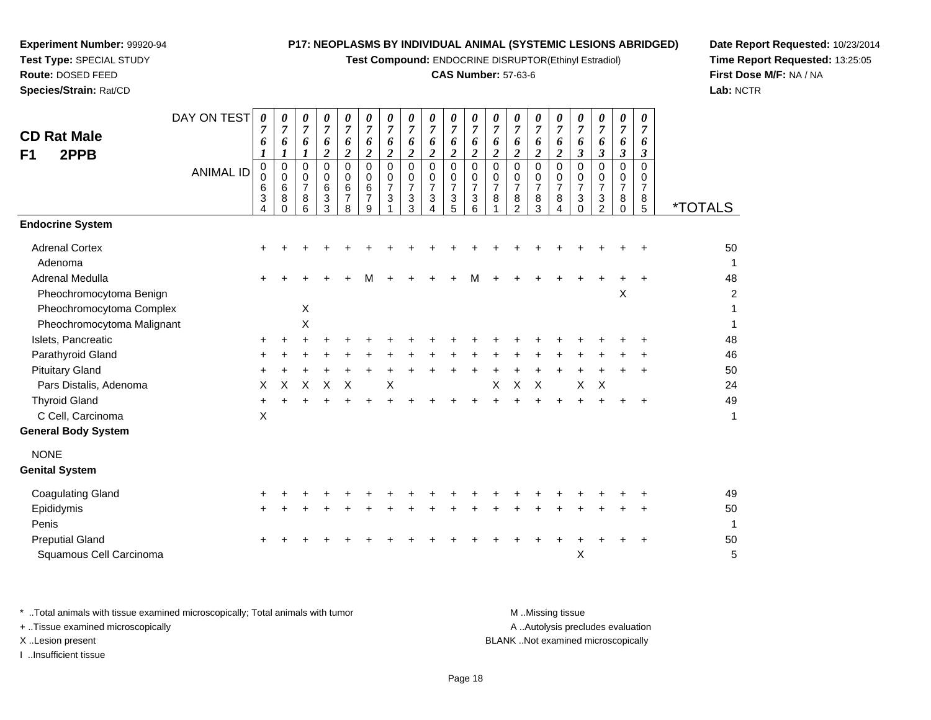**Test Compound:** ENDOCRINE DISRUPTOR(Ethinyl Estradiol)

## **CAS Number:** 57-63-6

**Date Report Requested:** 10/23/2014**Time Report Requested:** 13:25:05**First Dose M/F:** NA / NA**Lab:** NCTR

| <b>CD Rat Male</b><br>2PPB<br>F1 | DAY ON TEST<br><b>ANIMAL ID</b> | 0<br>7<br>6<br>1<br>$\mathbf 0$<br>0<br>6<br>$\ensuremath{\mathsf{3}}$<br>4 | 0<br>$\overline{7}$<br>6<br>$\boldsymbol{l}$<br>$\mathbf 0$<br>$\mathbf 0$<br>$\,6$<br>8<br>$\Omega$ | 0<br>$\overline{7}$<br>6<br>$\boldsymbol{l}$<br>$\mathbf 0$<br>$\mathbf 0$<br>$\overline{7}$<br>8<br>6 | 0<br>$\overline{7}$<br>6<br>$\boldsymbol{2}$<br>$\Omega$<br>0<br>6<br>3<br>3 | 0<br>$\overline{7}$<br>6<br>$\overline{\mathbf{c}}$<br>$\Omega$<br>0<br>6<br>$\overline{7}$<br>8 | 0<br>$\overline{7}$<br>6<br>$\boldsymbol{2}$<br>$\mathbf 0$<br>0<br>6<br>$\overline{7}$<br>9 | 0<br>$\boldsymbol{7}$<br>6<br>$\overline{\mathbf{c}}$<br>$\mathbf 0$<br>0<br>$\overline{7}$<br>$\mathbf{3}$ | 0<br>$\boldsymbol{7}$<br>6<br>$\overline{2}$<br>$\mathbf 0$<br>$\mathbf 0$<br>$\overline{7}$<br>$\ensuremath{\mathsf{3}}$<br>3 | 0<br>$\overline{7}$<br>6<br>$\boldsymbol{2}$<br>$\Omega$<br>0<br>$\overline{7}$<br>3<br>4 | 0<br>$\overline{7}$<br>6<br>$\overline{2}$<br>$\mathbf 0$<br>$\mathbf 0$<br>$\overline{7}$<br>3<br>5 | 0<br>$\boldsymbol{7}$<br>6<br>$\overline{c}$<br>0<br>0<br>$\overline{7}$<br>$\ensuremath{\mathsf{3}}$<br>6 | 0<br>$\boldsymbol{7}$<br>6<br>$\boldsymbol{2}$<br>$\mathbf 0$<br>0<br>$\overline{7}$<br>8 | 0<br>$\overline{7}$<br>6<br>$\overline{2}$<br>$\mathbf 0$<br>0<br>$\overline{7}$<br>8<br>$\overline{2}$ | 0<br>$\overline{7}$<br>6<br>$\overline{\mathbf{c}}$<br>$\Omega$<br>0<br>$\overline{7}$<br>8<br>3 | 0<br>$\overline{7}$<br>6<br>$\overline{2}$<br>$\Omega$<br>0<br>$\overline{7}$<br>8<br>4 | 0<br>$\overline{7}$<br>6<br>$\overline{\mathbf{3}}$<br>$\Omega$<br>0<br>$\overline{7}$<br>$\ensuremath{\mathsf{3}}$<br>$\Omega$ | 0<br>$\overline{7}$<br>6<br>$\mathfrak{z}$<br>$\Omega$<br>0<br>$\overline{7}$<br>3<br>2 | 0<br>$\overline{7}$<br>6<br>$\mathfrak{z}$<br>$\mathbf 0$<br>$\mathbf 0$<br>$\boldsymbol{7}$<br>$\,8\,$<br>$\mathbf 0$ | 0<br>$\overline{7}$<br>6<br>$\mathbf{3}$<br>$\Omega$<br>$\mathbf 0$<br>$\overline{7}$<br>8<br>5 | <i><b>*TOTALS</b></i>   |
|----------------------------------|---------------------------------|-----------------------------------------------------------------------------|------------------------------------------------------------------------------------------------------|--------------------------------------------------------------------------------------------------------|------------------------------------------------------------------------------|--------------------------------------------------------------------------------------------------|----------------------------------------------------------------------------------------------|-------------------------------------------------------------------------------------------------------------|--------------------------------------------------------------------------------------------------------------------------------|-------------------------------------------------------------------------------------------|------------------------------------------------------------------------------------------------------|------------------------------------------------------------------------------------------------------------|-------------------------------------------------------------------------------------------|---------------------------------------------------------------------------------------------------------|--------------------------------------------------------------------------------------------------|-----------------------------------------------------------------------------------------|---------------------------------------------------------------------------------------------------------------------------------|-----------------------------------------------------------------------------------------|------------------------------------------------------------------------------------------------------------------------|-------------------------------------------------------------------------------------------------|-------------------------|
| <b>Endocrine System</b>          |                                 |                                                                             |                                                                                                      |                                                                                                        |                                                                              |                                                                                                  |                                                                                              |                                                                                                             |                                                                                                                                |                                                                                           |                                                                                                      |                                                                                                            |                                                                                           |                                                                                                         |                                                                                                  |                                                                                         |                                                                                                                                 |                                                                                         |                                                                                                                        |                                                                                                 |                         |
| <b>Adrenal Cortex</b><br>Adenoma |                                 |                                                                             |                                                                                                      |                                                                                                        |                                                                              |                                                                                                  |                                                                                              |                                                                                                             |                                                                                                                                |                                                                                           |                                                                                                      |                                                                                                            |                                                                                           |                                                                                                         |                                                                                                  |                                                                                         |                                                                                                                                 |                                                                                         |                                                                                                                        |                                                                                                 | 50<br>$\mathbf{1}$      |
| Adrenal Medulla                  |                                 |                                                                             |                                                                                                      |                                                                                                        |                                                                              |                                                                                                  | М                                                                                            |                                                                                                             |                                                                                                                                |                                                                                           |                                                                                                      | М                                                                                                          |                                                                                           |                                                                                                         |                                                                                                  |                                                                                         |                                                                                                                                 |                                                                                         |                                                                                                                        |                                                                                                 | 48                      |
| Pheochromocytoma Benign          |                                 |                                                                             |                                                                                                      |                                                                                                        |                                                                              |                                                                                                  |                                                                                              |                                                                                                             |                                                                                                                                |                                                                                           |                                                                                                      |                                                                                                            |                                                                                           |                                                                                                         |                                                                                                  |                                                                                         |                                                                                                                                 |                                                                                         | $\boldsymbol{\mathsf{X}}$                                                                                              |                                                                                                 | $\overline{\mathbf{c}}$ |
| Pheochromocytoma Complex         |                                 |                                                                             |                                                                                                      | X                                                                                                      |                                                                              |                                                                                                  |                                                                                              |                                                                                                             |                                                                                                                                |                                                                                           |                                                                                                      |                                                                                                            |                                                                                           |                                                                                                         |                                                                                                  |                                                                                         |                                                                                                                                 |                                                                                         |                                                                                                                        |                                                                                                 | 1                       |
| Pheochromocytoma Malignant       |                                 |                                                                             |                                                                                                      | X                                                                                                      |                                                                              |                                                                                                  |                                                                                              |                                                                                                             |                                                                                                                                |                                                                                           |                                                                                                      |                                                                                                            |                                                                                           |                                                                                                         |                                                                                                  |                                                                                         |                                                                                                                                 |                                                                                         |                                                                                                                        |                                                                                                 | $\mathbf{1}$            |
| Islets, Pancreatic               |                                 |                                                                             |                                                                                                      |                                                                                                        |                                                                              |                                                                                                  |                                                                                              |                                                                                                             |                                                                                                                                |                                                                                           |                                                                                                      |                                                                                                            |                                                                                           |                                                                                                         |                                                                                                  |                                                                                         |                                                                                                                                 |                                                                                         |                                                                                                                        |                                                                                                 | 48                      |
| Parathyroid Gland                |                                 |                                                                             |                                                                                                      |                                                                                                        |                                                                              |                                                                                                  |                                                                                              |                                                                                                             |                                                                                                                                |                                                                                           |                                                                                                      |                                                                                                            |                                                                                           |                                                                                                         |                                                                                                  |                                                                                         |                                                                                                                                 |                                                                                         |                                                                                                                        |                                                                                                 | 46                      |
| <b>Pituitary Gland</b>           |                                 |                                                                             |                                                                                                      |                                                                                                        |                                                                              |                                                                                                  |                                                                                              |                                                                                                             |                                                                                                                                |                                                                                           |                                                                                                      |                                                                                                            |                                                                                           |                                                                                                         |                                                                                                  |                                                                                         |                                                                                                                                 |                                                                                         |                                                                                                                        |                                                                                                 | 50                      |
| Pars Distalis, Adenoma           |                                 | X                                                                           | X                                                                                                    | X                                                                                                      | X                                                                            | X                                                                                                |                                                                                              | $\mathsf X$                                                                                                 |                                                                                                                                |                                                                                           |                                                                                                      |                                                                                                            | X                                                                                         | $\mathsf X$                                                                                             | X                                                                                                |                                                                                         | Χ                                                                                                                               | $\times$                                                                                |                                                                                                                        |                                                                                                 | 24                      |
| <b>Thyroid Gland</b>             |                                 |                                                                             |                                                                                                      |                                                                                                        |                                                                              |                                                                                                  |                                                                                              |                                                                                                             |                                                                                                                                |                                                                                           |                                                                                                      |                                                                                                            |                                                                                           |                                                                                                         |                                                                                                  |                                                                                         |                                                                                                                                 |                                                                                         |                                                                                                                        |                                                                                                 | 49                      |
| C Cell, Carcinoma                |                                 | X                                                                           |                                                                                                      |                                                                                                        |                                                                              |                                                                                                  |                                                                                              |                                                                                                             |                                                                                                                                |                                                                                           |                                                                                                      |                                                                                                            |                                                                                           |                                                                                                         |                                                                                                  |                                                                                         |                                                                                                                                 |                                                                                         |                                                                                                                        |                                                                                                 | $\mathbf{1}$            |
| <b>General Body System</b>       |                                 |                                                                             |                                                                                                      |                                                                                                        |                                                                              |                                                                                                  |                                                                                              |                                                                                                             |                                                                                                                                |                                                                                           |                                                                                                      |                                                                                                            |                                                                                           |                                                                                                         |                                                                                                  |                                                                                         |                                                                                                                                 |                                                                                         |                                                                                                                        |                                                                                                 |                         |
| <b>NONE</b>                      |                                 |                                                                             |                                                                                                      |                                                                                                        |                                                                              |                                                                                                  |                                                                                              |                                                                                                             |                                                                                                                                |                                                                                           |                                                                                                      |                                                                                                            |                                                                                           |                                                                                                         |                                                                                                  |                                                                                         |                                                                                                                                 |                                                                                         |                                                                                                                        |                                                                                                 |                         |
| <b>Genital System</b>            |                                 |                                                                             |                                                                                                      |                                                                                                        |                                                                              |                                                                                                  |                                                                                              |                                                                                                             |                                                                                                                                |                                                                                           |                                                                                                      |                                                                                                            |                                                                                           |                                                                                                         |                                                                                                  |                                                                                         |                                                                                                                                 |                                                                                         |                                                                                                                        |                                                                                                 |                         |
| <b>Coagulating Gland</b>         |                                 |                                                                             |                                                                                                      |                                                                                                        |                                                                              |                                                                                                  |                                                                                              |                                                                                                             |                                                                                                                                |                                                                                           |                                                                                                      |                                                                                                            |                                                                                           |                                                                                                         |                                                                                                  |                                                                                         |                                                                                                                                 |                                                                                         |                                                                                                                        |                                                                                                 | 49                      |
| Epididymis                       |                                 |                                                                             |                                                                                                      |                                                                                                        |                                                                              |                                                                                                  |                                                                                              |                                                                                                             |                                                                                                                                |                                                                                           |                                                                                                      |                                                                                                            |                                                                                           |                                                                                                         |                                                                                                  |                                                                                         |                                                                                                                                 |                                                                                         |                                                                                                                        |                                                                                                 | 50                      |
| Penis                            |                                 |                                                                             |                                                                                                      |                                                                                                        |                                                                              |                                                                                                  |                                                                                              |                                                                                                             |                                                                                                                                |                                                                                           |                                                                                                      |                                                                                                            |                                                                                           |                                                                                                         |                                                                                                  |                                                                                         |                                                                                                                                 |                                                                                         |                                                                                                                        |                                                                                                 | $\mathbf{1}$            |
| <b>Preputial Gland</b>           |                                 | ٠                                                                           |                                                                                                      |                                                                                                        |                                                                              |                                                                                                  |                                                                                              |                                                                                                             |                                                                                                                                |                                                                                           |                                                                                                      |                                                                                                            |                                                                                           |                                                                                                         |                                                                                                  |                                                                                         |                                                                                                                                 |                                                                                         |                                                                                                                        |                                                                                                 | 50                      |
| Squamous Cell Carcinoma          |                                 |                                                                             |                                                                                                      |                                                                                                        |                                                                              |                                                                                                  |                                                                                              |                                                                                                             |                                                                                                                                |                                                                                           |                                                                                                      |                                                                                                            |                                                                                           |                                                                                                         |                                                                                                  |                                                                                         | X                                                                                                                               |                                                                                         |                                                                                                                        |                                                                                                 | 5                       |
|                                  |                                 |                                                                             |                                                                                                      |                                                                                                        |                                                                              |                                                                                                  |                                                                                              |                                                                                                             |                                                                                                                                |                                                                                           |                                                                                                      |                                                                                                            |                                                                                           |                                                                                                         |                                                                                                  |                                                                                         |                                                                                                                                 |                                                                                         |                                                                                                                        |                                                                                                 |                         |

**Experiment Number:** 99920-94**Test Type:** SPECIAL STUDY**Route:** DOSED FEED**Species/Strain:** Rat/CD

\* ..Total animals with tissue examined microscopically; Total animals with tumor **M** . Missing tissue M ..Missing tissue A ..Autolysis precludes evaluation + ..Tissue examined microscopically X ..Lesion present BLANK ..Not examined microscopicallyI ..Insufficient tissue

Page 18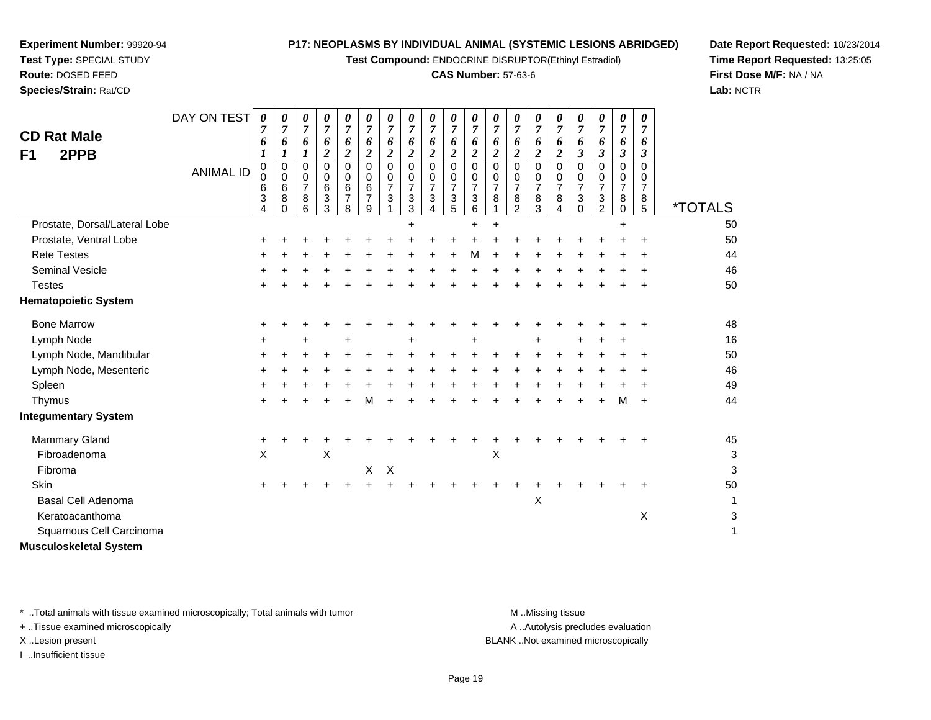**Test Compound:** ENDOCRINE DISRUPTOR(Ethinyl Estradiol)

### **CAS Number:** 57-63-6

**Date Report Requested:** 10/23/2014**Time Report Requested:** 13:25:05**First Dose M/F:** NA / NA**Lab:** NCTR

| <b>CD Rat Male</b><br>2PPB<br>F1 | DAY ON TEST<br><b>ANIMAL ID</b> | 0<br>7<br>6<br>1<br>$\mathbf 0$<br>0<br>6<br>3 | 0<br>$\overline{7}$<br>6<br>1<br>0<br>0<br>6<br>8 | 0<br>$\overline{7}$<br>6<br>0<br>0<br>7<br>8 | 0<br>$\overline{7}$<br>6<br>2<br>0<br>0<br>6<br>3 | 0<br>$\boldsymbol{7}$<br>6<br>$\boldsymbol{2}$<br>$\Omega$<br>0<br>6<br>$\overline{7}$ | 0<br>$\overline{7}$<br>6<br>$\boldsymbol{2}$<br>$\Omega$<br>0<br>6<br>$\overline{7}$ | 0<br>$\overline{7}$<br>6<br>$\boldsymbol{2}$<br>$\Omega$<br>0<br>7<br>3 | 0<br>$\overline{7}$<br>6<br>$\boldsymbol{2}$<br>$\Omega$<br>$\mathbf 0$<br>7<br>3 | 0<br>$\overline{7}$<br>6<br>$\overline{c}$<br>$\Omega$<br>0<br>$\overline{7}$<br>3 | 0<br>$\overline{7}$<br>6<br>$\overline{\mathbf{c}}$<br>0<br>0<br>$\overline{7}$<br>$\ensuremath{\mathsf{3}}$ | 0<br>$\overline{7}$<br>6<br>$\boldsymbol{2}$<br>$\Omega$<br>0<br>7<br>3 | 0<br>$\overline{7}$<br>6<br>$\boldsymbol{2}$<br>$\Omega$<br>0<br>$\overline{7}$<br>8 | 0<br>$\boldsymbol{7}$<br>6<br>$\boldsymbol{2}$<br>$\Omega$<br>0<br>$\overline{7}$<br>8 | 0<br>$\overline{7}$<br>6<br>$\overline{c}$<br>$\Omega$<br>$\mathbf 0$<br>$\overline{7}$<br>8 | 0<br>$\overline{7}$<br>6<br>$\boldsymbol{2}$<br>$\Omega$<br>0<br>$\overline{7}$<br>8 | 0<br>$\overline{7}$<br>6<br>$\boldsymbol{\beta}$<br>$\Omega$<br>0<br>$\overline{7}$<br>3 | 0<br>$\overline{7}$<br>6<br>$\boldsymbol{\beta}$<br>0<br>0<br>$\overline{7}$<br>$\ensuremath{\mathsf{3}}$ | 0<br>$\overline{7}$<br>6<br>$\boldsymbol{\beta}$<br>0<br>0<br>$\overline{7}$<br>8 | 0<br>$\overline{7}$<br>6<br>$\boldsymbol{\beta}$<br>$\Omega$<br>0<br>7<br>8 |                       |
|----------------------------------|---------------------------------|------------------------------------------------|---------------------------------------------------|----------------------------------------------|---------------------------------------------------|----------------------------------------------------------------------------------------|--------------------------------------------------------------------------------------|-------------------------------------------------------------------------|-----------------------------------------------------------------------------------|------------------------------------------------------------------------------------|--------------------------------------------------------------------------------------------------------------|-------------------------------------------------------------------------|--------------------------------------------------------------------------------------|----------------------------------------------------------------------------------------|----------------------------------------------------------------------------------------------|--------------------------------------------------------------------------------------|------------------------------------------------------------------------------------------|-----------------------------------------------------------------------------------------------------------|-----------------------------------------------------------------------------------|-----------------------------------------------------------------------------|-----------------------|
|                                  |                                 | 4                                              |                                                   | 6                                            | 3                                                 | 8                                                                                      | 9                                                                                    |                                                                         | 3                                                                                 | 4                                                                                  | 5                                                                                                            | 6                                                                       |                                                                                      | $\overline{2}$                                                                         | 3                                                                                            | 4                                                                                    | 0                                                                                        | $\overline{2}$                                                                                            | 0                                                                                 | 5                                                                           | <i><b>*TOTALS</b></i> |
| Prostate, Dorsal/Lateral Lobe    |                                 |                                                |                                                   |                                              |                                                   |                                                                                        |                                                                                      |                                                                         |                                                                                   |                                                                                    |                                                                                                              | $\ddot{}$                                                               |                                                                                      |                                                                                        |                                                                                              |                                                                                      |                                                                                          |                                                                                                           |                                                                                   |                                                                             | 50                    |
| Prostate, Ventral Lobe           |                                 |                                                |                                                   |                                              |                                                   |                                                                                        |                                                                                      |                                                                         |                                                                                   |                                                                                    |                                                                                                              |                                                                         |                                                                                      |                                                                                        |                                                                                              |                                                                                      |                                                                                          |                                                                                                           |                                                                                   | +                                                                           | 50                    |
| <b>Rete Testes</b>               |                                 |                                                |                                                   |                                              |                                                   |                                                                                        |                                                                                      |                                                                         |                                                                                   |                                                                                    |                                                                                                              | М                                                                       |                                                                                      |                                                                                        |                                                                                              |                                                                                      |                                                                                          |                                                                                                           |                                                                                   |                                                                             | 44                    |
| <b>Seminal Vesicle</b>           |                                 |                                                |                                                   |                                              |                                                   |                                                                                        |                                                                                      |                                                                         |                                                                                   |                                                                                    |                                                                                                              |                                                                         |                                                                                      |                                                                                        |                                                                                              |                                                                                      |                                                                                          |                                                                                                           |                                                                                   |                                                                             | 46                    |
| <b>Testes</b>                    |                                 |                                                |                                                   |                                              |                                                   |                                                                                        |                                                                                      |                                                                         |                                                                                   |                                                                                    |                                                                                                              |                                                                         |                                                                                      |                                                                                        |                                                                                              |                                                                                      |                                                                                          |                                                                                                           |                                                                                   |                                                                             | 50                    |
| <b>Hematopoietic System</b>      |                                 |                                                |                                                   |                                              |                                                   |                                                                                        |                                                                                      |                                                                         |                                                                                   |                                                                                    |                                                                                                              |                                                                         |                                                                                      |                                                                                        |                                                                                              |                                                                                      |                                                                                          |                                                                                                           |                                                                                   |                                                                             |                       |
| <b>Bone Marrow</b>               |                                 |                                                |                                                   |                                              |                                                   |                                                                                        |                                                                                      |                                                                         |                                                                                   |                                                                                    |                                                                                                              |                                                                         |                                                                                      |                                                                                        |                                                                                              |                                                                                      |                                                                                          |                                                                                                           |                                                                                   |                                                                             | 48                    |
| Lymph Node                       |                                 |                                                |                                                   | ٠                                            |                                                   |                                                                                        |                                                                                      |                                                                         |                                                                                   |                                                                                    |                                                                                                              |                                                                         |                                                                                      |                                                                                        |                                                                                              |                                                                                      |                                                                                          |                                                                                                           |                                                                                   |                                                                             | 16                    |
| Lymph Node, Mandibular           |                                 |                                                |                                                   |                                              |                                                   |                                                                                        |                                                                                      |                                                                         |                                                                                   |                                                                                    |                                                                                                              |                                                                         |                                                                                      |                                                                                        |                                                                                              |                                                                                      |                                                                                          |                                                                                                           |                                                                                   | +                                                                           | 50                    |
| Lymph Node, Mesenteric           |                                 | ÷                                              |                                                   |                                              |                                                   |                                                                                        |                                                                                      |                                                                         |                                                                                   |                                                                                    |                                                                                                              |                                                                         |                                                                                      |                                                                                        |                                                                                              |                                                                                      |                                                                                          |                                                                                                           |                                                                                   |                                                                             | 46                    |
| Spleen                           |                                 |                                                |                                                   |                                              |                                                   |                                                                                        |                                                                                      |                                                                         |                                                                                   |                                                                                    |                                                                                                              |                                                                         |                                                                                      |                                                                                        |                                                                                              |                                                                                      |                                                                                          |                                                                                                           |                                                                                   |                                                                             | 49                    |
| Thymus                           |                                 | +                                              |                                                   |                                              |                                                   |                                                                                        | М                                                                                    |                                                                         |                                                                                   |                                                                                    |                                                                                                              |                                                                         |                                                                                      |                                                                                        |                                                                                              |                                                                                      |                                                                                          |                                                                                                           | M                                                                                 | $\ddot{}$                                                                   | 44                    |
| <b>Integumentary System</b>      |                                 |                                                |                                                   |                                              |                                                   |                                                                                        |                                                                                      |                                                                         |                                                                                   |                                                                                    |                                                                                                              |                                                                         |                                                                                      |                                                                                        |                                                                                              |                                                                                      |                                                                                          |                                                                                                           |                                                                                   |                                                                             |                       |
| <b>Mammary Gland</b>             |                                 |                                                |                                                   |                                              |                                                   |                                                                                        |                                                                                      |                                                                         |                                                                                   |                                                                                    |                                                                                                              |                                                                         |                                                                                      |                                                                                        |                                                                                              |                                                                                      |                                                                                          |                                                                                                           |                                                                                   |                                                                             | 45                    |
| Fibroadenoma                     |                                 | X                                              |                                                   |                                              | X                                                 |                                                                                        |                                                                                      |                                                                         |                                                                                   |                                                                                    |                                                                                                              |                                                                         | X                                                                                    |                                                                                        |                                                                                              |                                                                                      |                                                                                          |                                                                                                           |                                                                                   |                                                                             | 3                     |
| Fibroma                          |                                 |                                                |                                                   |                                              |                                                   |                                                                                        | X                                                                                    | X                                                                       |                                                                                   |                                                                                    |                                                                                                              |                                                                         |                                                                                      |                                                                                        |                                                                                              |                                                                                      |                                                                                          |                                                                                                           |                                                                                   |                                                                             | 3                     |
| Skin                             |                                 | +                                              |                                                   |                                              |                                                   |                                                                                        |                                                                                      |                                                                         |                                                                                   |                                                                                    |                                                                                                              |                                                                         |                                                                                      |                                                                                        |                                                                                              |                                                                                      |                                                                                          |                                                                                                           |                                                                                   |                                                                             | 50                    |
| <b>Basal Cell Adenoma</b>        |                                 |                                                |                                                   |                                              |                                                   |                                                                                        |                                                                                      |                                                                         |                                                                                   |                                                                                    |                                                                                                              |                                                                         |                                                                                      |                                                                                        | $\mathsf X$                                                                                  |                                                                                      |                                                                                          |                                                                                                           |                                                                                   |                                                                             | 1                     |
| Keratoacanthoma                  |                                 |                                                |                                                   |                                              |                                                   |                                                                                        |                                                                                      |                                                                         |                                                                                   |                                                                                    |                                                                                                              |                                                                         |                                                                                      |                                                                                        |                                                                                              |                                                                                      |                                                                                          |                                                                                                           |                                                                                   | $\boldsymbol{\mathsf{X}}$                                                   | 3                     |
| Squamous Cell Carcinoma          |                                 |                                                |                                                   |                                              |                                                   |                                                                                        |                                                                                      |                                                                         |                                                                                   |                                                                                    |                                                                                                              |                                                                         |                                                                                      |                                                                                        |                                                                                              |                                                                                      |                                                                                          |                                                                                                           |                                                                                   |                                                                             | 1                     |
| Musculoskeletal System           |                                 |                                                |                                                   |                                              |                                                   |                                                                                        |                                                                                      |                                                                         |                                                                                   |                                                                                    |                                                                                                              |                                                                         |                                                                                      |                                                                                        |                                                                                              |                                                                                      |                                                                                          |                                                                                                           |                                                                                   |                                                                             |                       |

\* ..Total animals with tissue examined microscopically; Total animals with tumor **M** . Missing tissue M ..Missing tissue

+ ..Tissue examined microscopically

**Experiment Number:** 99920-94**Test Type:** SPECIAL STUDY**Route:** DOSED FEED**Species/Strain:** Rat/CD

I ..Insufficient tissue

A ..Autolysis precludes evaluation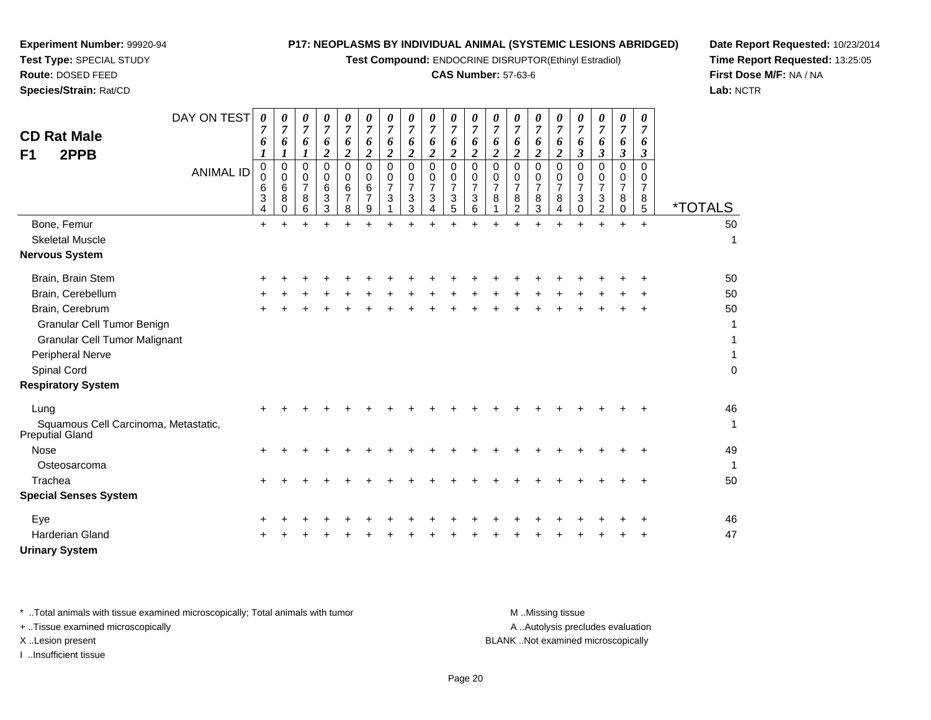**Test Compound:** ENDOCRINE DISRUPTOR(Ethinyl Estradiol)

### **CAS Number:** 57-63-6

**Date Report Requested:** 10/23/2014**Time Report Requested:** 13:25:05**First Dose M/F:** NA / NA**Lab:** NCTR

| DAY ON TEST<br><b>CD Rat Male</b><br>2PPB<br>F <sub>1</sub>    | 0<br>7<br>6<br>1                          | 0<br>$\overline{7}$<br>6<br>1   | 0<br>$\overline{7}$<br>6           | 0<br>$\overline{7}$<br>6<br>$\overline{2}$ | 0<br>$\boldsymbol{7}$<br>6<br>$\overline{\mathbf{2}}$ | 0<br>7<br>6<br>$\overline{2}$                | 0<br>7<br>6<br>$\boldsymbol{2}$              | 0<br>$\overline{7}$<br>6<br>$\boldsymbol{2}$ | 0<br>$\overline{7}$<br>6<br>$\overline{2}$   | 0<br>$\overline{7}$<br>6<br>$\overline{2}$                 | 0<br>7<br>6<br>$\overline{2}$                           | 0<br>7<br>6<br>$\boldsymbol{2}$         | 0<br>$\overline{7}$<br>6<br>$\overline{2}$      | $\overline{7}$<br>6<br>$\overline{2}$ | 0<br>7<br>6<br>$\overline{2}$             | 0<br>7<br>6<br>$\boldsymbol{\beta}$              | 0<br>7<br>6<br>$\boldsymbol{\beta}$       | $\boldsymbol{\theta}$<br>$\overline{7}$<br>6<br>3      | 0<br>$\overline{7}$<br>6<br>3             |                       |
|----------------------------------------------------------------|-------------------------------------------|---------------------------------|------------------------------------|--------------------------------------------|-------------------------------------------------------|----------------------------------------------|----------------------------------------------|----------------------------------------------|----------------------------------------------|------------------------------------------------------------|---------------------------------------------------------|-----------------------------------------|-------------------------------------------------|---------------------------------------|-------------------------------------------|--------------------------------------------------|-------------------------------------------|--------------------------------------------------------|-------------------------------------------|-----------------------|
| <b>ANIMAL ID</b>                                               | $\mathbf 0$<br>$\mathbf 0$<br>6<br>3<br>4 | $\mathbf 0$<br>0<br>6<br>8<br>0 | 0<br>0<br>$\overline{7}$<br>8<br>6 | 0<br>0<br>6<br>3<br>3                      | $\mathbf 0$<br>0<br>6<br>$\overline{7}$<br>8          | $\mathbf 0$<br>0<br>6<br>$\overline{7}$<br>9 | $\mathbf 0$<br>0<br>$\overline{7}$<br>3<br>1 | 0<br>0<br>$\overline{7}$<br>3<br>3           | $\mathbf 0$<br>0<br>$\overline{7}$<br>3<br>4 | 0<br>0<br>$\overline{7}$<br>$\ensuremath{\mathsf{3}}$<br>5 | $\mathbf 0$<br>0<br>$\overline{7}$<br>$\mathbf{3}$<br>6 | $\mathbf 0$<br>0<br>$\overline{7}$<br>8 | 0<br>0<br>$\overline{7}$<br>8<br>$\overline{2}$ | 0<br>0<br>$\overline{7}$<br>8<br>3    | $\Omega$<br>0<br>$\overline{7}$<br>8<br>4 | $\Omega$<br>0<br>$\overline{7}$<br>3<br>$\Omega$ | $\Omega$<br>0<br>$\overline{7}$<br>3<br>2 | $\mathbf 0$<br>0<br>$\overline{7}$<br>8<br>$\mathbf 0$ | $\Omega$<br>0<br>$\overline{7}$<br>8<br>5 | <i><b>*TOTALS</b></i> |
| Bone, Femur                                                    | +                                         |                                 |                                    |                                            |                                                       |                                              |                                              |                                              |                                              |                                                            |                                                         |                                         |                                                 |                                       |                                           |                                                  |                                           | +                                                      | $+$                                       | 50                    |
| <b>Skeletal Muscle</b>                                         |                                           |                                 |                                    |                                            |                                                       |                                              |                                              |                                              |                                              |                                                            |                                                         |                                         |                                                 |                                       |                                           |                                                  |                                           |                                                        |                                           | $\mathbf{1}$          |
| <b>Nervous System</b>                                          |                                           |                                 |                                    |                                            |                                                       |                                              |                                              |                                              |                                              |                                                            |                                                         |                                         |                                                 |                                       |                                           |                                                  |                                           |                                                        |                                           |                       |
| Brain, Brain Stem                                              |                                           |                                 |                                    |                                            |                                                       |                                              |                                              |                                              |                                              |                                                            |                                                         |                                         |                                                 |                                       |                                           |                                                  |                                           |                                                        |                                           | 50                    |
| Brain, Cerebellum                                              |                                           |                                 |                                    |                                            |                                                       |                                              |                                              |                                              |                                              |                                                            |                                                         |                                         |                                                 |                                       |                                           |                                                  |                                           |                                                        |                                           | 50                    |
| Brain, Cerebrum                                                |                                           |                                 |                                    |                                            |                                                       |                                              |                                              |                                              |                                              |                                                            |                                                         |                                         |                                                 |                                       |                                           |                                                  |                                           |                                                        |                                           | 50                    |
| Granular Cell Tumor Benign                                     |                                           |                                 |                                    |                                            |                                                       |                                              |                                              |                                              |                                              |                                                            |                                                         |                                         |                                                 |                                       |                                           |                                                  |                                           |                                                        |                                           | 1                     |
| <b>Granular Cell Tumor Malignant</b>                           |                                           |                                 |                                    |                                            |                                                       |                                              |                                              |                                              |                                              |                                                            |                                                         |                                         |                                                 |                                       |                                           |                                                  |                                           |                                                        |                                           | 1                     |
| <b>Peripheral Nerve</b>                                        |                                           |                                 |                                    |                                            |                                                       |                                              |                                              |                                              |                                              |                                                            |                                                         |                                         |                                                 |                                       |                                           |                                                  |                                           |                                                        |                                           | $\mathbf{1}$          |
| Spinal Cord                                                    |                                           |                                 |                                    |                                            |                                                       |                                              |                                              |                                              |                                              |                                                            |                                                         |                                         |                                                 |                                       |                                           |                                                  |                                           |                                                        |                                           | $\pmb{0}$             |
| <b>Respiratory System</b>                                      |                                           |                                 |                                    |                                            |                                                       |                                              |                                              |                                              |                                              |                                                            |                                                         |                                         |                                                 |                                       |                                           |                                                  |                                           |                                                        |                                           |                       |
| Lung                                                           |                                           |                                 |                                    |                                            |                                                       |                                              |                                              |                                              |                                              |                                                            |                                                         |                                         |                                                 |                                       |                                           |                                                  |                                           |                                                        |                                           | 46                    |
| Squamous Cell Carcinoma, Metastatic,<br><b>Preputial Gland</b> |                                           |                                 |                                    |                                            |                                                       |                                              |                                              |                                              |                                              |                                                            |                                                         |                                         |                                                 |                                       |                                           |                                                  |                                           |                                                        |                                           | $\mathbf{1}$          |
| <b>Nose</b>                                                    |                                           |                                 |                                    |                                            |                                                       |                                              |                                              |                                              |                                              |                                                            |                                                         |                                         |                                                 |                                       |                                           |                                                  |                                           |                                                        |                                           | 49                    |
| Osteosarcoma                                                   |                                           |                                 |                                    |                                            |                                                       |                                              |                                              |                                              |                                              |                                                            |                                                         |                                         |                                                 |                                       |                                           |                                                  |                                           |                                                        |                                           | $\mathbf{1}$          |
| Trachea                                                        | ÷                                         |                                 |                                    |                                            |                                                       |                                              |                                              |                                              |                                              |                                                            |                                                         |                                         |                                                 |                                       |                                           |                                                  |                                           |                                                        | ÷                                         | 50                    |
| <b>Special Senses System</b>                                   |                                           |                                 |                                    |                                            |                                                       |                                              |                                              |                                              |                                              |                                                            |                                                         |                                         |                                                 |                                       |                                           |                                                  |                                           |                                                        |                                           |                       |
| Eye                                                            |                                           |                                 |                                    |                                            |                                                       |                                              |                                              |                                              |                                              |                                                            |                                                         |                                         |                                                 |                                       |                                           |                                                  |                                           |                                                        |                                           | 46                    |
| <b>Harderian Gland</b>                                         |                                           |                                 |                                    |                                            |                                                       |                                              |                                              |                                              |                                              |                                                            |                                                         |                                         |                                                 |                                       |                                           |                                                  |                                           |                                                        |                                           | 47                    |
| <b>Urinary System</b>                                          |                                           |                                 |                                    |                                            |                                                       |                                              |                                              |                                              |                                              |                                                            |                                                         |                                         |                                                 |                                       |                                           |                                                  |                                           |                                                        |                                           |                       |

**Experiment Number:** 99920-94**Test Type:** SPECIAL STUDY**Route:** DOSED FEED**Species/Strain:** Rat/CD

\* ..Total animals with tissue examined microscopically; Total animals with tumor **M** . Missing tissue M ..Missing tissue A ..Autolysis precludes evaluation + ..Tissue examined microscopically X ..Lesion present BLANK ..Not examined microscopicallyI ..Insufficient tissue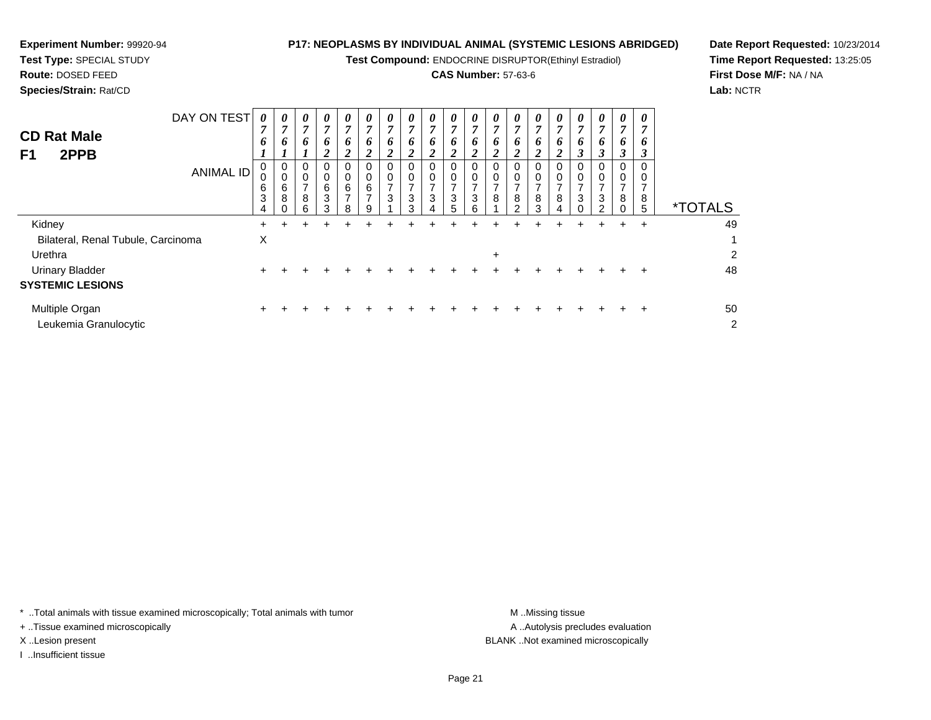**Test Compound:** ENDOCRINE DISRUPTOR(Ethinyl Estradiol)

## **CAS Number:** 57-63-6

<sup>+</sup> <sup>+</sup> <sup>+</sup> <sup>+</sup> <sup>+</sup> <sup>+</sup> <sup>+</sup> <sup>+</sup> <sup>+</sup> <sup>+</sup> <sup>+</sup> <sup>+</sup> <sup>+</sup> <sup>+</sup> <sup>+</sup> <sup>+</sup> <sup>+</sup> <sup>+</sup> <sup>50</sup>

**Date Report Requested:** 10/23/2014**Time Report Requested:** 13:25:05**First Dose M/F:** NA / NA**Lab:** NCTR

| <b>CD Rat Male</b><br>2PPB<br>F1   | DAY ON TEST<br><b>ANIMAL ID</b> | 0<br>$\overline{ }$<br>0<br>6<br>3<br>4 | $\boldsymbol{\theta}$<br>o<br>U<br>U<br>6<br>8 | $\boldsymbol{\theta}$<br>7<br>$\bm{b}$<br>0<br>0<br>⇁<br>8<br>6 | $\boldsymbol{\theta}$<br>7<br>6<br>2<br>0<br>0<br>6<br>3<br>3 | $\theta$<br>o<br>∠<br>0<br>6<br>8 | 0<br>7<br>6<br>◢<br>0<br>0<br>6<br>$\overline{ }$<br>9 | $\boldsymbol{\theta}$<br>7<br>6<br>$\overline{ }$<br>3 | $\theta$<br>7<br>$\bm{b}$<br>2<br>0<br>0<br>⇁<br>3<br>3 | $\boldsymbol{\theta}$<br>7<br>6<br>$\overline{2}$<br>0<br>0<br>⇁<br>3<br>4 | $\boldsymbol{\theta}$<br>o<br>∠<br>0<br>3<br>5 | $\theta$<br>7<br>$\bm{o}$<br>$\overline{2}$<br>0<br>0<br>⇁<br>3<br>6 | $\boldsymbol{\theta}$<br>,<br>o<br>υ<br>8 | $\theta$<br>7<br>O<br>∠<br>0<br>0<br>8<br>$\mathcal{P}$ | 0<br>$\overline{ }$<br>$\bm{o}$<br>0<br>0<br>8<br>3 | $\theta$<br>o<br>∠<br>0<br>8<br>4 | 0<br>7<br>6<br>3<br>0<br>0<br>7<br>3<br>$\Omega$ | $\boldsymbol{\theta}$<br>7<br>o<br>3<br>0<br>3<br>ົ | $\boldsymbol{\theta}$<br>7<br>o<br>3<br>0<br>0<br>8<br>0 | 0<br>6<br>◠<br>0<br>0<br>8<br>5 | <i><b>*TOTALS</b></i>   |
|------------------------------------|---------------------------------|-----------------------------------------|------------------------------------------------|-----------------------------------------------------------------|---------------------------------------------------------------|-----------------------------------|--------------------------------------------------------|--------------------------------------------------------|---------------------------------------------------------|----------------------------------------------------------------------------|------------------------------------------------|----------------------------------------------------------------------|-------------------------------------------|---------------------------------------------------------|-----------------------------------------------------|-----------------------------------|--------------------------------------------------|-----------------------------------------------------|----------------------------------------------------------|---------------------------------|-------------------------|
| Kidney                             |                                 | ÷.                                      |                                                |                                                                 |                                                               |                                   |                                                        |                                                        |                                                         |                                                                            |                                                |                                                                      |                                           |                                                         |                                                     |                                   | +                                                | ÷                                                   | $\pm$                                                    | $\div$                          | 49                      |
| Bilateral, Renal Tubule, Carcinoma |                                 | X                                       |                                                |                                                                 |                                                               |                                   |                                                        |                                                        |                                                         |                                                                            |                                                |                                                                      |                                           |                                                         |                                                     |                                   |                                                  |                                                     |                                                          |                                 |                         |
| Urethra                            |                                 |                                         |                                                |                                                                 |                                                               |                                   |                                                        |                                                        |                                                         |                                                                            |                                                |                                                                      | $\ddot{}$                                 |                                                         |                                                     |                                   |                                                  |                                                     |                                                          |                                 | $\overline{\mathbf{c}}$ |
| <b>Urinary Bladder</b>             |                                 | +                                       |                                                |                                                                 |                                                               |                                   |                                                        |                                                        |                                                         |                                                                            |                                                |                                                                      |                                           |                                                         |                                                     |                                   |                                                  |                                                     |                                                          |                                 | 48                      |
| <b>SYSTEMIC LESIONS</b>            |                                 |                                         |                                                |                                                                 |                                                               |                                   |                                                        |                                                        |                                                         |                                                                            |                                                |                                                                      |                                           |                                                         |                                                     |                                   |                                                  |                                                     |                                                          |                                 |                         |

Multiple Organn  $+$ c  $\sim$  2

Leukemia Granulocytic

**Experiment Number:** 99920-94**Test Type:** SPECIAL STUDY**Route:** DOSED FEED**Species/Strain:** Rat/CD

\* ..Total animals with tissue examined microscopically; Total animals with tumor **M** ...Missing tissue M ...Missing tissue

+ ..Tissue examined microscopically

I ..Insufficient tissue

A ..Autolysis precludes evaluation X ..Lesion present BLANK ..Not examined microscopically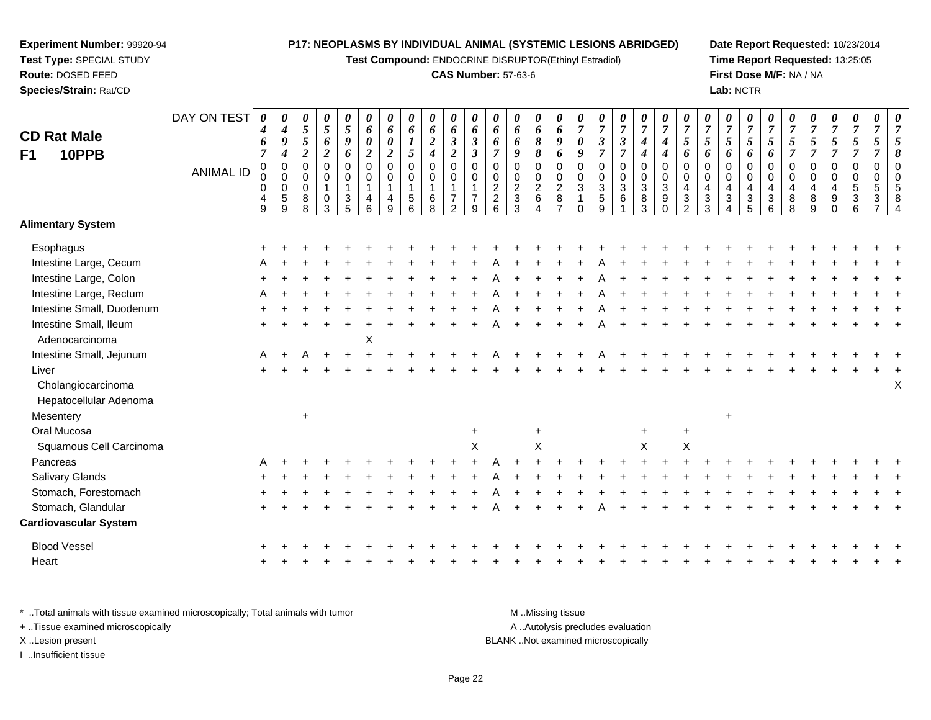**Test Compound:** ENDOCRINE DISRUPTOR(Ethinyl Estradiol)

#### **CAS Number:** 57-63-6

**Date Report Requested:** 10/23/2014**Time Report Requested:** 13:25:05**First Dose M/F:** NA / NA**Lab:** NCTR

| <b>CD Rat Male</b><br>10PPB<br>F1                                                 | DAY ON TEST<br><b>ANIMAL ID</b> | 0<br>$\boldsymbol{4}$<br>6<br>$\overline{7}$<br>$\mathbf 0$<br>0<br>0<br>4<br>$\overline{9}$ | $\boldsymbol{\theta}$<br>$\boldsymbol{4}$<br>9<br>$\boldsymbol{4}$<br>$\pmb{0}$<br>$\mathsf{O}\xspace$<br>$\mathbf 0$<br>$\sqrt{5}$<br>9 | $\boldsymbol{\theta}$<br>$\sqrt{5}$<br>$\sqrt{5}$<br>$\overline{c}$<br>0<br>0<br>$\pmb{0}$<br>8<br>8 | $\pmb{\theta}$<br>$\mathfrak{s}$<br>6<br>$\boldsymbol{2}$<br>$\pmb{0}$<br>$\mathbf 0$<br>$\overline{1}$<br>$\mathbf 0$<br>3 | 0<br>$\sqrt{5}$<br>9<br>6<br>$\mathbf 0$<br>0<br>$\mathbf{1}$<br>3<br>5 | 0<br>6<br>$\boldsymbol{\theta}$<br>$\boldsymbol{2}$<br>$\mathbf 0$<br>0<br>$\mathbf{1}$<br>4<br>6 | 0<br>6<br>0<br>$\overline{c}$<br>$\pmb{0}$<br>$\mathbf 0$<br>$\mathbf{1}$<br>4<br>9 | $\boldsymbol{\theta}$<br>6<br>$\boldsymbol{l}$<br>5<br>$\pmb{0}$<br>$\mathbf 0$<br>$\overline{1}$<br>$\sqrt{5}$<br>6 | $\pmb{\theta}$<br>6<br>$\boldsymbol{2}$<br>$\boldsymbol{4}$<br>$\mathbf 0$<br>$\mathbf 0$<br>$\mathbf{1}$<br>$\,6\,$<br>8 | 0<br>6<br>$\boldsymbol{\beta}$<br>$\boldsymbol{2}$<br>$\mathbf 0$<br>$\Omega$<br>1<br>$\overline{7}$<br>2 | 0<br>6<br>$\boldsymbol{\beta}$<br>$\boldsymbol{\mathfrak{z}}$<br>$\mathbf 0$<br>$\Omega$<br>$\overline{7}$<br>9 | 0<br>6<br>6<br>$\overline{7}$<br>$\mathbf 0$<br>0<br>$\boldsymbol{2}$<br>$\overline{2}$<br>6 | $\boldsymbol{\theta}$<br>6<br>6<br>$\boldsymbol{g}$<br>0<br>0<br>$\overline{2}$<br>$\sqrt{3}$<br>3 | $\pmb{\theta}$<br>6<br>$\pmb{8}$<br>$\boldsymbol{\delta}$<br>$\pmb{0}$<br>$\mathbf 0$<br>$\overline{2}$<br>$\,6\,$<br>4 | $\boldsymbol{\theta}$<br>6<br>$\boldsymbol{g}$<br>6<br>$\mathbf 0$<br>$\mathbf 0$<br>$\overline{c}$<br>$\bf 8$<br>$\overline{ }$ | 0<br>$\boldsymbol{7}$<br>0<br>9<br>$\mathbf 0$<br>$\mathbf 0$<br>$\sqrt{3}$<br>1 | $\pmb{\theta}$<br>$\overline{7}$<br>$\mathfrak{z}$<br>$\overline{7}$<br>$\mathsf 0$<br>0<br>$\mathbf{3}$<br>$\overline{5}$<br>9 | 0<br>$\boldsymbol{7}$<br>$\boldsymbol{\beta}$<br>$\overline{7}$<br>0<br>0<br>$\mathbf{3}$<br>$\,6\,$ | $\pmb{\theta}$<br>$\overline{7}$<br>$\boldsymbol{4}$<br>$\boldsymbol{4}$<br>$\pmb{0}$<br>$\mathbf 0$<br>$\mathbf{3}$<br>$\, 8$<br>3 | 0<br>$\overline{7}$<br>$\boldsymbol{4}$<br>4<br>$\mathbf 0$<br>$\Omega$<br>3<br>9<br>$\Omega$ | 0<br>$\overline{7}$<br>5<br>6<br>$\mathbf 0$<br>$\Omega$<br>4<br>$\ensuremath{\mathsf{3}}$<br>$\Omega$ | 0<br>$\overline{7}$<br>$5\phantom{.0}$<br>6<br>$\mathbf 0$<br>$\Omega$<br>4<br>3<br>3 | $\pmb{\theta}$<br>$\boldsymbol{7}$<br>$\mathfrak{F}$<br>6<br>$\pmb{0}$<br>0<br>$\overline{\mathbf{4}}$<br>$\sqrt{3}$<br>$\overline{4}$ | $\pmb{\theta}$<br>$\overline{7}$<br>5<br>6<br>$\pmb{0}$<br>$\Omega$<br>4<br>$\ensuremath{\mathsf{3}}$<br>5 | $\boldsymbol{\theta}$<br>$\overline{7}$<br>$\mathfrak{I}$<br>6<br>$\mathbf 0$<br>$\mathbf 0$<br>$\overline{4}$<br>$\sqrt{3}$<br>6 | 0<br>$\overline{7}$<br>$\mathfrak{I}$<br>$\overline{7}$<br>$\mathbf 0$<br>$\Omega$<br>$\overline{\mathbf{4}}$<br>$\bf 8$<br>8 | $\pmb{\theta}$<br>$\overline{7}$<br>$\mathfrak{H}$<br>$\overline{7}$<br>0<br>$\mathbf 0$<br>$\overline{4}$<br>8<br>9 | 0<br>$\boldsymbol{7}$<br>$\mathfrak{s}$<br>$\overline{7}$<br>0<br>$\mathbf 0$<br>$\overline{4}$<br>9<br>$\Omega$ | $\boldsymbol{\theta}$<br>$\overline{7}$<br>5<br>$\overline{7}$<br>$\pmb{0}$<br>$\mathbf 0$<br>$\sqrt{5}$<br>$\sqrt{3}$<br>6 | $\boldsymbol{\theta}$<br>$\overline{7}$<br>$\mathfrak{s}$<br>$\overline{7}$<br>$\mathbf 0$<br>$\Omega$<br>5<br>3 | $\boldsymbol{\theta}$<br>$\overline{7}$<br>5<br>8<br>$\mathbf 0$<br>$\Omega$<br>5 |
|-----------------------------------------------------------------------------------|---------------------------------|----------------------------------------------------------------------------------------------|------------------------------------------------------------------------------------------------------------------------------------------|------------------------------------------------------------------------------------------------------|-----------------------------------------------------------------------------------------------------------------------------|-------------------------------------------------------------------------|---------------------------------------------------------------------------------------------------|-------------------------------------------------------------------------------------|----------------------------------------------------------------------------------------------------------------------|---------------------------------------------------------------------------------------------------------------------------|-----------------------------------------------------------------------------------------------------------|-----------------------------------------------------------------------------------------------------------------|----------------------------------------------------------------------------------------------|----------------------------------------------------------------------------------------------------|-------------------------------------------------------------------------------------------------------------------------|----------------------------------------------------------------------------------------------------------------------------------|----------------------------------------------------------------------------------|---------------------------------------------------------------------------------------------------------------------------------|------------------------------------------------------------------------------------------------------|-------------------------------------------------------------------------------------------------------------------------------------|-----------------------------------------------------------------------------------------------|--------------------------------------------------------------------------------------------------------|---------------------------------------------------------------------------------------|----------------------------------------------------------------------------------------------------------------------------------------|------------------------------------------------------------------------------------------------------------|-----------------------------------------------------------------------------------------------------------------------------------|-------------------------------------------------------------------------------------------------------------------------------|----------------------------------------------------------------------------------------------------------------------|------------------------------------------------------------------------------------------------------------------|-----------------------------------------------------------------------------------------------------------------------------|------------------------------------------------------------------------------------------------------------------|-----------------------------------------------------------------------------------|
| <b>Alimentary System</b>                                                          |                                 |                                                                                              |                                                                                                                                          |                                                                                                      |                                                                                                                             |                                                                         |                                                                                                   |                                                                                     |                                                                                                                      |                                                                                                                           |                                                                                                           |                                                                                                                 |                                                                                              |                                                                                                    |                                                                                                                         |                                                                                                                                  |                                                                                  |                                                                                                                                 |                                                                                                      |                                                                                                                                     |                                                                                               |                                                                                                        |                                                                                       |                                                                                                                                        |                                                                                                            |                                                                                                                                   |                                                                                                                               |                                                                                                                      |                                                                                                                  |                                                                                                                             |                                                                                                                  |                                                                                   |
| Esophagus<br>Intestine Large, Cecum                                               |                                 |                                                                                              |                                                                                                                                          |                                                                                                      |                                                                                                                             |                                                                         |                                                                                                   |                                                                                     |                                                                                                                      |                                                                                                                           |                                                                                                           |                                                                                                                 |                                                                                              |                                                                                                    |                                                                                                                         |                                                                                                                                  |                                                                                  |                                                                                                                                 |                                                                                                      |                                                                                                                                     |                                                                                               |                                                                                                        |                                                                                       |                                                                                                                                        |                                                                                                            |                                                                                                                                   |                                                                                                                               |                                                                                                                      |                                                                                                                  |                                                                                                                             |                                                                                                                  |                                                                                   |
| Intestine Large, Colon<br>Intestine Large, Rectum                                 |                                 |                                                                                              |                                                                                                                                          |                                                                                                      |                                                                                                                             |                                                                         |                                                                                                   |                                                                                     |                                                                                                                      |                                                                                                                           |                                                                                                           |                                                                                                                 |                                                                                              |                                                                                                    |                                                                                                                         |                                                                                                                                  |                                                                                  |                                                                                                                                 |                                                                                                      |                                                                                                                                     |                                                                                               |                                                                                                        |                                                                                       |                                                                                                                                        |                                                                                                            |                                                                                                                                   |                                                                                                                               |                                                                                                                      |                                                                                                                  |                                                                                                                             |                                                                                                                  |                                                                                   |
| Intestine Small, Duodenum<br>Intestine Small, Ileum<br>Adenocarcinoma             |                                 |                                                                                              |                                                                                                                                          |                                                                                                      |                                                                                                                             |                                                                         | X                                                                                                 |                                                                                     |                                                                                                                      |                                                                                                                           |                                                                                                           |                                                                                                                 |                                                                                              |                                                                                                    |                                                                                                                         |                                                                                                                                  |                                                                                  |                                                                                                                                 |                                                                                                      |                                                                                                                                     |                                                                                               |                                                                                                        |                                                                                       |                                                                                                                                        |                                                                                                            |                                                                                                                                   |                                                                                                                               |                                                                                                                      |                                                                                                                  |                                                                                                                             |                                                                                                                  |                                                                                   |
| Intestine Small, Jejunum<br>Liver<br>Cholangiocarcinoma<br>Hepatocellular Adenoma |                                 | А<br>$\pm$                                                                                   |                                                                                                                                          |                                                                                                      |                                                                                                                             |                                                                         |                                                                                                   |                                                                                     |                                                                                                                      |                                                                                                                           |                                                                                                           |                                                                                                                 |                                                                                              |                                                                                                    |                                                                                                                         |                                                                                                                                  |                                                                                  |                                                                                                                                 |                                                                                                      |                                                                                                                                     |                                                                                               |                                                                                                        |                                                                                       |                                                                                                                                        |                                                                                                            |                                                                                                                                   |                                                                                                                               |                                                                                                                      |                                                                                                                  |                                                                                                                             |                                                                                                                  | X                                                                                 |
| Mesentery<br>Oral Mucosa<br>Squamous Cell Carcinoma                               |                                 |                                                                                              |                                                                                                                                          | $+$                                                                                                  |                                                                                                                             |                                                                         |                                                                                                   |                                                                                     |                                                                                                                      |                                                                                                                           |                                                                                                           | $+$<br>$\mathsf X$                                                                                              |                                                                                              |                                                                                                    | X                                                                                                                       |                                                                                                                                  |                                                                                  |                                                                                                                                 |                                                                                                      | $\pm$<br>X                                                                                                                          |                                                                                               | $\ddot{}$<br>X                                                                                         |                                                                                       | $\ddot{}$                                                                                                                              |                                                                                                            |                                                                                                                                   |                                                                                                                               |                                                                                                                      |                                                                                                                  |                                                                                                                             |                                                                                                                  |                                                                                   |
| Pancreas<br>Salivary Glands                                                       |                                 |                                                                                              |                                                                                                                                          |                                                                                                      |                                                                                                                             |                                                                         |                                                                                                   |                                                                                     |                                                                                                                      |                                                                                                                           |                                                                                                           |                                                                                                                 |                                                                                              |                                                                                                    |                                                                                                                         |                                                                                                                                  |                                                                                  |                                                                                                                                 |                                                                                                      |                                                                                                                                     |                                                                                               |                                                                                                        |                                                                                       |                                                                                                                                        |                                                                                                            |                                                                                                                                   |                                                                                                                               |                                                                                                                      |                                                                                                                  |                                                                                                                             |                                                                                                                  |                                                                                   |
| Stomach, Forestomach<br>Stomach, Glandular<br><b>Cardiovascular System</b>        |                                 |                                                                                              |                                                                                                                                          |                                                                                                      |                                                                                                                             |                                                                         |                                                                                                   |                                                                                     |                                                                                                                      |                                                                                                                           |                                                                                                           |                                                                                                                 |                                                                                              |                                                                                                    |                                                                                                                         |                                                                                                                                  |                                                                                  |                                                                                                                                 |                                                                                                      |                                                                                                                                     |                                                                                               |                                                                                                        |                                                                                       |                                                                                                                                        |                                                                                                            |                                                                                                                                   |                                                                                                                               |                                                                                                                      |                                                                                                                  |                                                                                                                             |                                                                                                                  |                                                                                   |
| <b>Blood Vessel</b>                                                               |                                 |                                                                                              |                                                                                                                                          |                                                                                                      |                                                                                                                             |                                                                         |                                                                                                   |                                                                                     |                                                                                                                      |                                                                                                                           |                                                                                                           |                                                                                                                 |                                                                                              |                                                                                                    |                                                                                                                         |                                                                                                                                  |                                                                                  |                                                                                                                                 |                                                                                                      |                                                                                                                                     |                                                                                               |                                                                                                        |                                                                                       |                                                                                                                                        |                                                                                                            |                                                                                                                                   |                                                                                                                               |                                                                                                                      |                                                                                                                  |                                                                                                                             |                                                                                                                  |                                                                                   |
| Heart                                                                             |                                 |                                                                                              |                                                                                                                                          |                                                                                                      |                                                                                                                             |                                                                         |                                                                                                   |                                                                                     |                                                                                                                      |                                                                                                                           |                                                                                                           |                                                                                                                 |                                                                                              |                                                                                                    |                                                                                                                         |                                                                                                                                  |                                                                                  |                                                                                                                                 |                                                                                                      |                                                                                                                                     |                                                                                               |                                                                                                        |                                                                                       |                                                                                                                                        |                                                                                                            |                                                                                                                                   |                                                                                                                               |                                                                                                                      |                                                                                                                  |                                                                                                                             |                                                                                                                  |                                                                                   |

\* ..Total animals with tissue examined microscopically; Total animals with tumor **M** . Missing tissue M ..Missing tissue A ..Autolysis precludes evaluation + ..Tissue examined microscopically X ..Lesion present BLANK ..Not examined microscopicallyI ..Insufficient tissue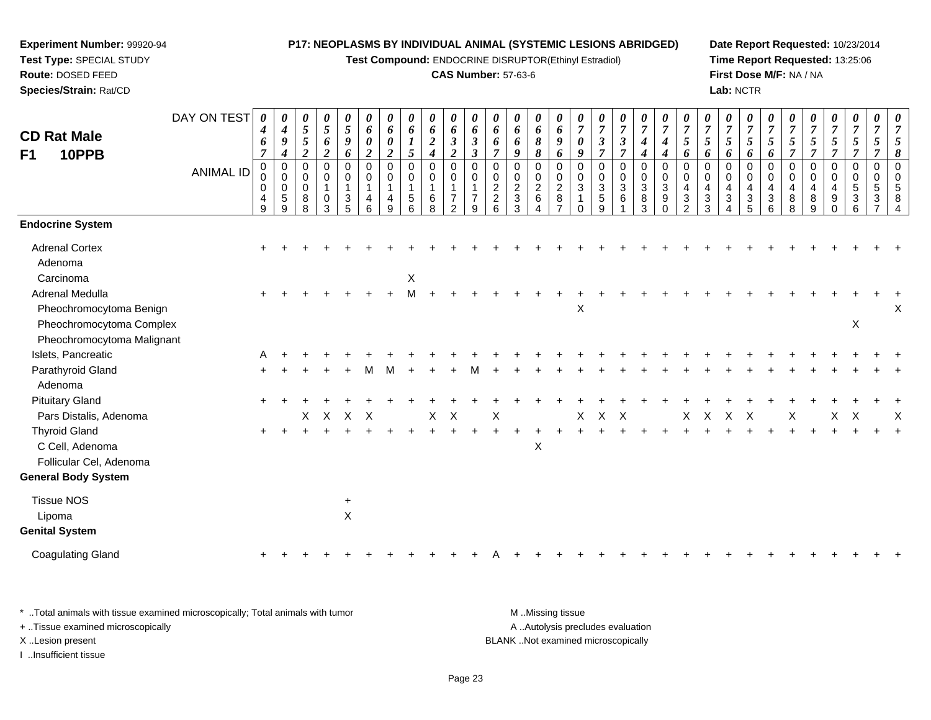**Test Compound:** ENDOCRINE DISRUPTOR(Ethinyl Estradiol)

### **CAS Number:** 57-63-6

**Date Report Requested:** 10/23/2014**Time Report Requested:** 13:25:06**First Dose M/F:** NA / NA**Lab:** NCTR

| <b>CD Rat Male</b>                                                           | DAY ON TEST      | $\boldsymbol{\theta}$<br>$\boldsymbol{4}$<br>6    | 0<br>4<br>$\boldsymbol{9}$                                   | 0<br>$\mathfrak{z}$<br>$5\overline{)}$                      | 0<br>5<br>6                                          | 0<br>$\sqrt{5}$<br>9                          | 0<br>6<br>0                                          | 0<br>6<br>$\boldsymbol{\theta}$                                            | $\boldsymbol{\theta}$<br>6<br>1      | 0<br>6<br>$\boldsymbol{2}$                                           | 0<br>6<br>$\mathfrak{z}$                                                                 | 0<br>6<br>$\boldsymbol{\beta}$                                      | 0<br>6<br>6                                                               | 0<br>6<br>6                                                     | 0<br>6<br>8                                       | 0<br>6<br>9                                                | $\overline{7}$<br>0                    | 0<br>$\overline{7}$<br>$\boldsymbol{\beta}$                                                  | 0<br>$\boldsymbol{7}$<br>$\boldsymbol{\beta}$   | 0<br>$\boldsymbol{7}$<br>$\boldsymbol{4}$ | 0<br>$\overline{7}$<br>4                         | $\boldsymbol{\theta}$<br>$\overline{7}$<br>5                           | 0<br>$\overline{7}$<br>5                            | 0<br>$\overline{7}$<br>5              | 0<br>$\overline{7}$<br>5                                                                  | 0<br>$\overline{7}$<br>5   | $\overline{7}$<br>5                                  | 0<br>$\overline{7}$<br>5                                      | 0<br>$\overline{7}$<br>$\sqrt{5}$                             | 0<br>$\boldsymbol{7}$<br>$\mathfrak{s}$                                 | 0<br>$\overline{7}$<br>5                                  | $\overline{7}$ |
|------------------------------------------------------------------------------|------------------|---------------------------------------------------|--------------------------------------------------------------|-------------------------------------------------------------|------------------------------------------------------|-----------------------------------------------|------------------------------------------------------|----------------------------------------------------------------------------|--------------------------------------|----------------------------------------------------------------------|------------------------------------------------------------------------------------------|---------------------------------------------------------------------|---------------------------------------------------------------------------|-----------------------------------------------------------------|---------------------------------------------------|------------------------------------------------------------|----------------------------------------|----------------------------------------------------------------------------------------------|-------------------------------------------------|-------------------------------------------|--------------------------------------------------|------------------------------------------------------------------------|-----------------------------------------------------|---------------------------------------|-------------------------------------------------------------------------------------------|----------------------------|------------------------------------------------------|---------------------------------------------------------------|---------------------------------------------------------------|-------------------------------------------------------------------------|-----------------------------------------------------------|----------------|
| F1<br>10PPB                                                                  | <b>ANIMAL ID</b> | $\overline{7}$<br>$\mathbf 0$<br>0<br>0<br>4<br>9 | $\boldsymbol{4}$<br>0<br>$\mathbf 0$<br>0<br>$\sqrt{5}$<br>9 | $\overline{c}$<br>$\mathbf 0$<br>0<br>$\mathbf 0$<br>8<br>8 | $\boldsymbol{2}$<br>0<br>0<br>$\mathbf{1}$<br>0<br>3 | 6<br>$\pmb{0}$<br>0<br>$\mathbf{1}$<br>3<br>5 | $\boldsymbol{2}$<br>0<br>0<br>$\mathbf{1}$<br>4<br>6 | $\boldsymbol{2}$<br>$\mathbf 0$<br>$\mathbf 0$<br>$\overline{1}$<br>4<br>9 | 5<br>$\mathbf 0$<br>0<br>1<br>5<br>6 | $\boldsymbol{4}$<br>0<br>$\mathbf 0$<br>$\mathbf{1}$<br>$\,6\,$<br>8 | $\boldsymbol{2}$<br>$\mathbf 0$<br>0<br>$\mathbf{1}$<br>$\overline{7}$<br>$\overline{2}$ | $\boldsymbol{\beta}$<br>$\Omega$<br>$\Omega$<br>$\overline{7}$<br>9 | $\overline{7}$<br>$\mathbf 0$<br>0<br>$\sqrt{2}$<br>$\boldsymbol{2}$<br>6 | 9<br>0<br>0<br>$\overline{2}$<br>$\ensuremath{\mathsf{3}}$<br>3 | 8<br>0<br>0<br>$\boldsymbol{2}$<br>$6\phantom{a}$ | 6<br>0<br>0<br>$\overline{c}$<br>$\bf 8$<br>$\overline{7}$ | 9<br>$\Omega$<br>$\mathbf 0$<br>3<br>0 | $\overline{7}$<br>$\mathbf 0$<br>$\mathbf 0$<br>$\overline{3}$<br>$\sqrt{5}$<br>$\mathsf{Q}$ | $\overline{7}$<br>0<br>0<br>$\mathfrak{S}$<br>6 | 4<br>0<br>0<br>3<br>8<br>3                | $\boldsymbol{4}$<br>0<br>0<br>3<br>9<br>$\Omega$ | 6<br>$\Omega$<br>0<br>4<br>$\ensuremath{\mathsf{3}}$<br>$\overline{2}$ | 6<br>$\Omega$<br>$\Omega$<br>4<br>$\mathbf{3}$<br>3 | 6<br>$\Omega$<br>0<br>4<br>$\sqrt{3}$ | 6<br>$\Omega$<br>$\mathbf 0$<br>$\overline{\mathbf{4}}$<br>$\ensuremath{\mathsf{3}}$<br>5 | 6<br>0<br>0<br>4<br>3<br>6 | $\overline{7}$<br>$\Omega$<br>0<br>4<br>$\,8\,$<br>8 | $\overline{7}$<br>0<br>0<br>$\overline{\mathbf{4}}$<br>8<br>9 | $\overline{7}$<br>0<br>0<br>$\overline{\mathbf{4}}$<br>9<br>0 | $\overline{7}$<br>0<br>$\mathbf 0$<br>$\overline{5}$<br>$\sqrt{3}$<br>6 | $\overline{\tau}$<br>$\mathbf 0$<br>$\mathbf 0$<br>5<br>3 | 8<br>$\Omega$  |
| <b>Endocrine System</b>                                                      |                  |                                                   |                                                              |                                                             |                                                      |                                               |                                                      |                                                                            |                                      |                                                                      |                                                                                          |                                                                     |                                                                           |                                                                 |                                                   |                                                            |                                        |                                                                                              |                                                 |                                           |                                                  |                                                                        |                                                     |                                       |                                                                                           |                            |                                                      |                                                               |                                                               |                                                                         |                                                           |                |
| <b>Adrenal Cortex</b><br>Adenoma<br>Carcinoma                                |                  |                                                   |                                                              |                                                             |                                                      |                                               |                                                      |                                                                            | X                                    |                                                                      |                                                                                          |                                                                     |                                                                           |                                                                 |                                                   |                                                            |                                        |                                                                                              |                                                 |                                           |                                                  |                                                                        |                                                     |                                       |                                                                                           |                            |                                                      |                                                               |                                                               |                                                                         |                                                           |                |
| <b>Adrenal Medulla</b><br>Pheochromocytoma Benign                            |                  |                                                   |                                                              |                                                             |                                                      |                                               |                                                      |                                                                            | M                                    |                                                                      |                                                                                          |                                                                     |                                                                           |                                                                 |                                                   |                                                            | X                                      |                                                                                              |                                                 |                                           |                                                  |                                                                        |                                                     |                                       |                                                                                           |                            |                                                      |                                                               |                                                               |                                                                         |                                                           | Χ              |
| Pheochromocytoma Complex<br>Pheochromocytoma Malignant<br>Islets, Pancreatic |                  | A                                                 |                                                              |                                                             |                                                      |                                               |                                                      |                                                                            |                                      |                                                                      |                                                                                          |                                                                     |                                                                           |                                                                 |                                                   |                                                            |                                        |                                                                                              |                                                 |                                           |                                                  |                                                                        |                                                     |                                       |                                                                                           |                            |                                                      |                                                               |                                                               | $\mathsf{X}$                                                            |                                                           |                |
| Parathyroid Gland<br>Adenoma                                                 |                  |                                                   |                                                              |                                                             |                                                      |                                               |                                                      |                                                                            |                                      |                                                                      |                                                                                          |                                                                     |                                                                           |                                                                 |                                                   |                                                            |                                        |                                                                                              |                                                 |                                           |                                                  |                                                                        |                                                     |                                       |                                                                                           |                            |                                                      |                                                               |                                                               |                                                                         |                                                           |                |
| <b>Pituitary Gland</b><br>Pars Distalis, Adenoma                             |                  |                                                   |                                                              | X                                                           | $\mathsf{X}$                                         | $X$ $X$                                       |                                                      |                                                                            |                                      | X                                                                    | $\mathsf{X}$                                                                             |                                                                     | Χ                                                                         |                                                                 |                                                   |                                                            | X                                      | $X$ $X$                                                                                      |                                                 |                                           |                                                  | X                                                                      | $\boldsymbol{\mathsf{X}}$                           | $X$ $X$                               |                                                                                           |                            | Χ                                                    |                                                               | $\mathsf{X}$                                                  | $\mathsf{X}$                                                            |                                                           | X              |
| <b>Thyroid Gland</b><br>C Cell, Adenoma<br>Follicular Cel, Adenoma           |                  |                                                   |                                                              |                                                             |                                                      |                                               |                                                      |                                                                            |                                      |                                                                      |                                                                                          |                                                                     |                                                                           |                                                                 | $\boldsymbol{\mathsf{X}}$                         |                                                            |                                        |                                                                                              |                                                 |                                           |                                                  |                                                                        |                                                     |                                       |                                                                                           |                            |                                                      |                                                               |                                                               |                                                                         |                                                           |                |
| <b>General Body System</b>                                                   |                  |                                                   |                                                              |                                                             |                                                      |                                               |                                                      |                                                                            |                                      |                                                                      |                                                                                          |                                                                     |                                                                           |                                                                 |                                                   |                                                            |                                        |                                                                                              |                                                 |                                           |                                                  |                                                                        |                                                     |                                       |                                                                                           |                            |                                                      |                                                               |                                                               |                                                                         |                                                           |                |
| <b>Tissue NOS</b><br>Lipoma<br><b>Genital System</b>                         |                  |                                                   |                                                              |                                                             |                                                      | $\ddot{}$<br>$\mathsf{X}$                     |                                                      |                                                                            |                                      |                                                                      |                                                                                          |                                                                     |                                                                           |                                                                 |                                                   |                                                            |                                        |                                                                                              |                                                 |                                           |                                                  |                                                                        |                                                     |                                       |                                                                                           |                            |                                                      |                                                               |                                                               |                                                                         |                                                           |                |
| <b>Coagulating Gland</b>                                                     |                  |                                                   |                                                              |                                                             |                                                      |                                               |                                                      |                                                                            |                                      |                                                                      |                                                                                          |                                                                     |                                                                           |                                                                 |                                                   |                                                            |                                        |                                                                                              |                                                 |                                           |                                                  |                                                                        |                                                     |                                       |                                                                                           |                            |                                                      |                                                               |                                                               |                                                                         |                                                           |                |
|                                                                              |                  |                                                   |                                                              |                                                             |                                                      |                                               |                                                      |                                                                            |                                      |                                                                      |                                                                                          |                                                                     |                                                                           |                                                                 |                                                   |                                                            |                                        |                                                                                              |                                                 |                                           |                                                  |                                                                        |                                                     |                                       |                                                                                           |                            |                                                      |                                                               |                                                               |                                                                         |                                                           |                |

\* ..Total animals with tissue examined microscopically; Total animals with tumor **M** . Missing tissue M ..Missing tissue A ..Autolysis precludes evaluation + ..Tissue examined microscopically X ..Lesion present BLANK ..Not examined microscopicallyI ..Insufficient tissue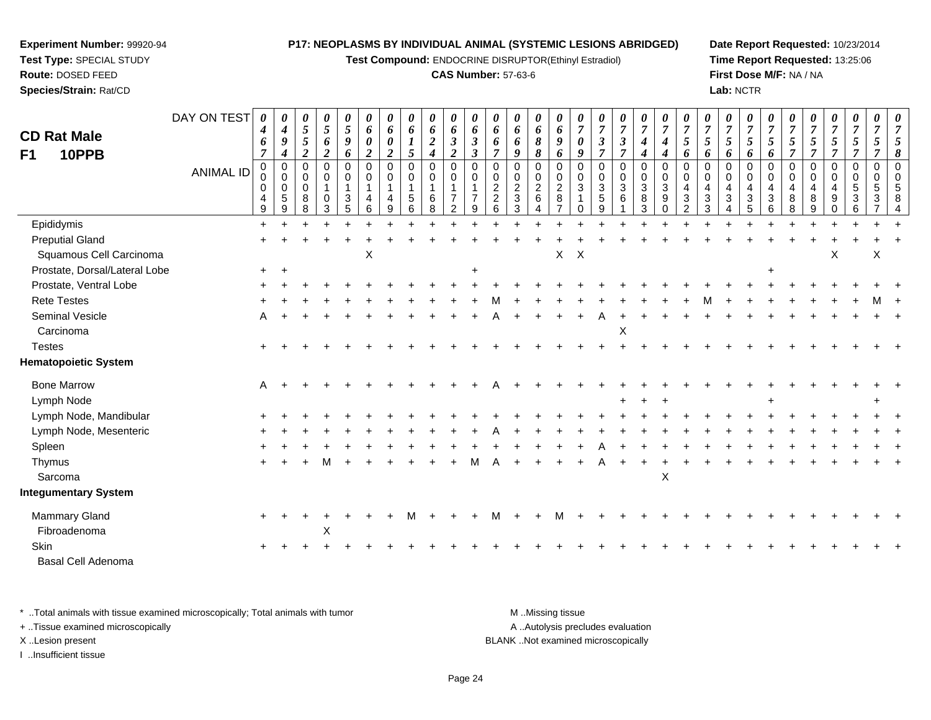**Test Compound:** ENDOCRINE DISRUPTOR(Ethinyl Estradiol)

### **CAS Number:** 57-63-6

**Date Report Requested:** 10/23/2014**Time Report Requested:** 13:25:06**First Dose M/F:** NA / NA**Lab:** NCTR

| <b>CD Rat Male</b><br>10PPB<br>F1 | DAY ON TEST<br><b>ANIMAL ID</b> | 0<br>4<br>6<br>7<br>$\mathbf 0$<br>0<br>0<br>4<br>9 | 0<br>$\boldsymbol{4}$<br>9<br>$\boldsymbol{4}$<br>$\mathbf 0$<br>$\mathbf 0$<br>$\mathbf 0$<br>5<br>9 | 0<br>5<br>$\mathfrak{s}$<br>$\overline{c}$<br>$\mathbf 0$<br>0<br>$\mathbf 0$<br>8<br>8 | 0<br>5<br>6<br>$\overline{2}$<br>$\mathbf 0$<br>0<br>$\mathbf{1}$<br>0<br>3 | 0<br>$\mathfrak{s}$<br>9<br>6<br>$\mathbf 0$<br>0<br>$\mathbf{1}$<br>3<br>5 | 0<br>6<br>0<br>$\overline{2}$<br>0<br>0<br>4<br>6 | 0<br>6<br>0<br>2<br>$\mathbf 0$<br>$\mathbf 0$<br>-1<br><sub>9</sub> | 0<br>6<br>5<br>0<br>0<br>$\mathbf{1}$<br>5<br>6 | 0<br>6<br>$\boldsymbol{2}$<br>$\boldsymbol{4}$<br>$\pmb{0}$<br>$\mathbf 0$<br>$\mathbf{1}$<br>6<br>8 | 0<br>6<br>$\boldsymbol{\beta}$<br>$\boldsymbol{2}$<br>0<br>0<br>$\mathbf{1}$<br>$\overline{7}$<br>$\overline{2}$ | 0<br>6<br>$\boldsymbol{\beta}$<br>$\boldsymbol{\beta}$<br>$\mathbf 0$<br>$\Omega$<br>9 | 0<br>6<br>6<br>7<br>$\mathbf 0$<br>$\mathbf 0$<br>$\overline{2}$<br>$\overline{2}$<br>6 | 0<br>6<br>6<br>$\boldsymbol{g}$<br>0<br>0<br>$\overline{c}$<br>$\mathbf{3}$<br>3 | 0<br>6<br>8<br>8<br>$\mathbf 0$<br>$\mathbf 0$<br>$\overline{2}$<br>6 | 0<br>6<br>9<br>6<br>$\mathbf 0$<br>0<br>$\overline{a}$<br>8<br>$\overline{7}$ | 7<br>$\boldsymbol{\theta}$<br>9<br>$\mathbf 0$<br>$\mathbf 0$<br>$\mathbf{3}$ | 7<br>$\boldsymbol{\beta}$<br>$\overline{7}$<br>$\mathbf 0$<br>$\mathbf 0$<br>$\mathbf{3}$<br>$\,$ 5 $\,$<br>$\mathsf{Q}$ | 0<br>$\overline{7}$<br>$\mathbf{3}$<br>$\overline{7}$<br>0<br>$\mathbf 0$<br>$\mathbf{3}$<br>6 | 0<br>$\boldsymbol{7}$<br>$\boldsymbol{4}$<br>$\boldsymbol{4}$<br>$\pmb{0}$<br>$\mathbf 0$<br>$\mathfrak{3}$<br>8<br>3 | 0<br>$\overline{7}$<br>$\boldsymbol{4}$<br>4<br>$\mathbf 0$<br>0<br>3<br>9<br>$\Omega$ | $\overline{7}$<br>$\sqrt{5}$<br>6<br>$\mathbf 0$<br>$\mathbf 0$<br>4<br>3<br>$\mathcal{P}$ | 5<br>6<br>$\Omega$<br>$\Omega$<br>4<br>3<br>3 | 0<br>$\overline{7}$<br>5<br>6<br>0<br>0<br>$\overline{4}$<br>3<br>Δ | 0<br>$\boldsymbol{7}$<br>5<br>6<br>$\mathbf 0$<br>$\mathbf 0$<br>4<br>$\ensuremath{\mathsf{3}}$<br>5 | 0<br>$\boldsymbol{7}$<br>5<br>6<br>$\mathbf 0$<br>$\mathbf 0$<br>4<br>3<br>6 | 7<br>$\sqrt{5}$<br>$\overline{7}$<br>$\mathbf 0$<br>$\mathbf 0$<br>4<br>8<br>8 | 7<br>$\sqrt{5}$<br>$\overline{7}$<br>$\mathbf 0$<br>$\mathbf 0$<br>$\overline{4}$<br>8<br>$\mathsf{Q}$ | 0<br>$\boldsymbol{7}$<br>$\sqrt{5}$<br>$\overline{7}$<br>0<br>0<br>4<br>9<br>0 | 0<br>$\overline{7}$<br>$5\overline{)}$<br>$\overline{7}$<br>$\mathbf 0$<br>$\mathbf 0$<br>$\sqrt{5}$<br>$\sqrt{3}$<br>6 | $\overline{7}$<br>5<br>7<br>$\mathbf 0$<br>0<br>5<br>3 |  |
|-----------------------------------|---------------------------------|-----------------------------------------------------|-------------------------------------------------------------------------------------------------------|-----------------------------------------------------------------------------------------|-----------------------------------------------------------------------------|-----------------------------------------------------------------------------|---------------------------------------------------|----------------------------------------------------------------------|-------------------------------------------------|------------------------------------------------------------------------------------------------------|------------------------------------------------------------------------------------------------------------------|----------------------------------------------------------------------------------------|-----------------------------------------------------------------------------------------|----------------------------------------------------------------------------------|-----------------------------------------------------------------------|-------------------------------------------------------------------------------|-------------------------------------------------------------------------------|--------------------------------------------------------------------------------------------------------------------------|------------------------------------------------------------------------------------------------|-----------------------------------------------------------------------------------------------------------------------|----------------------------------------------------------------------------------------|--------------------------------------------------------------------------------------------|-----------------------------------------------|---------------------------------------------------------------------|------------------------------------------------------------------------------------------------------|------------------------------------------------------------------------------|--------------------------------------------------------------------------------|--------------------------------------------------------------------------------------------------------|--------------------------------------------------------------------------------|-------------------------------------------------------------------------------------------------------------------------|--------------------------------------------------------|--|
| Epididymis                        |                                 | $+$                                                 |                                                                                                       |                                                                                         |                                                                             |                                                                             |                                                   |                                                                      |                                                 |                                                                                                      |                                                                                                                  |                                                                                        |                                                                                         |                                                                                  |                                                                       |                                                                               |                                                                               |                                                                                                                          |                                                                                                |                                                                                                                       |                                                                                        |                                                                                            |                                               |                                                                     |                                                                                                      |                                                                              |                                                                                |                                                                                                        |                                                                                |                                                                                                                         |                                                        |  |
| <b>Preputial Gland</b>            |                                 |                                                     |                                                                                                       |                                                                                         |                                                                             |                                                                             |                                                   |                                                                      |                                                 |                                                                                                      |                                                                                                                  |                                                                                        |                                                                                         |                                                                                  |                                                                       |                                                                               |                                                                               |                                                                                                                          |                                                                                                |                                                                                                                       |                                                                                        |                                                                                            |                                               |                                                                     |                                                                                                      |                                                                              |                                                                                |                                                                                                        |                                                                                |                                                                                                                         |                                                        |  |
| Squamous Cell Carcinoma           |                                 |                                                     |                                                                                                       |                                                                                         |                                                                             |                                                                             | Х                                                 |                                                                      |                                                 |                                                                                                      |                                                                                                                  |                                                                                        |                                                                                         |                                                                                  |                                                                       | X                                                                             | $\boldsymbol{\mathsf{X}}$                                                     |                                                                                                                          |                                                                                                |                                                                                                                       |                                                                                        |                                                                                            |                                               |                                                                     |                                                                                                      |                                                                              |                                                                                |                                                                                                        | X                                                                              |                                                                                                                         | X                                                      |  |
| Prostate, Dorsal/Lateral Lobe     |                                 | $\pm$                                               |                                                                                                       |                                                                                         |                                                                             |                                                                             |                                                   |                                                                      |                                                 |                                                                                                      |                                                                                                                  |                                                                                        |                                                                                         |                                                                                  |                                                                       |                                                                               |                                                                               |                                                                                                                          |                                                                                                |                                                                                                                       |                                                                                        |                                                                                            |                                               |                                                                     |                                                                                                      |                                                                              |                                                                                |                                                                                                        |                                                                                |                                                                                                                         |                                                        |  |
| Prostate, Ventral Lobe            |                                 |                                                     |                                                                                                       |                                                                                         |                                                                             |                                                                             |                                                   |                                                                      |                                                 |                                                                                                      |                                                                                                                  |                                                                                        |                                                                                         |                                                                                  |                                                                       |                                                                               |                                                                               |                                                                                                                          |                                                                                                |                                                                                                                       |                                                                                        |                                                                                            |                                               |                                                                     |                                                                                                      |                                                                              |                                                                                |                                                                                                        |                                                                                |                                                                                                                         |                                                        |  |
| <b>Rete Testes</b>                |                                 |                                                     |                                                                                                       |                                                                                         |                                                                             |                                                                             |                                                   |                                                                      |                                                 |                                                                                                      |                                                                                                                  |                                                                                        |                                                                                         |                                                                                  |                                                                       |                                                                               |                                                                               |                                                                                                                          |                                                                                                |                                                                                                                       |                                                                                        |                                                                                            |                                               |                                                                     |                                                                                                      |                                                                              |                                                                                |                                                                                                        |                                                                                |                                                                                                                         |                                                        |  |
| Seminal Vesicle                   |                                 | A                                                   |                                                                                                       |                                                                                         |                                                                             |                                                                             |                                                   |                                                                      |                                                 |                                                                                                      |                                                                                                                  |                                                                                        |                                                                                         |                                                                                  |                                                                       |                                                                               |                                                                               |                                                                                                                          |                                                                                                |                                                                                                                       |                                                                                        |                                                                                            |                                               |                                                                     |                                                                                                      |                                                                              |                                                                                |                                                                                                        |                                                                                |                                                                                                                         |                                                        |  |
| Carcinoma                         |                                 |                                                     |                                                                                                       |                                                                                         |                                                                             |                                                                             |                                                   |                                                                      |                                                 |                                                                                                      |                                                                                                                  |                                                                                        |                                                                                         |                                                                                  |                                                                       |                                                                               |                                                                               |                                                                                                                          | X                                                                                              |                                                                                                                       |                                                                                        |                                                                                            |                                               |                                                                     |                                                                                                      |                                                                              |                                                                                |                                                                                                        |                                                                                |                                                                                                                         |                                                        |  |
| <b>Testes</b>                     |                                 |                                                     |                                                                                                       |                                                                                         |                                                                             |                                                                             |                                                   |                                                                      |                                                 |                                                                                                      |                                                                                                                  |                                                                                        |                                                                                         |                                                                                  |                                                                       |                                                                               |                                                                               |                                                                                                                          |                                                                                                |                                                                                                                       |                                                                                        |                                                                                            |                                               |                                                                     |                                                                                                      |                                                                              |                                                                                |                                                                                                        |                                                                                |                                                                                                                         |                                                        |  |
| <b>Hematopoietic System</b>       |                                 |                                                     |                                                                                                       |                                                                                         |                                                                             |                                                                             |                                                   |                                                                      |                                                 |                                                                                                      |                                                                                                                  |                                                                                        |                                                                                         |                                                                                  |                                                                       |                                                                               |                                                                               |                                                                                                                          |                                                                                                |                                                                                                                       |                                                                                        |                                                                                            |                                               |                                                                     |                                                                                                      |                                                                              |                                                                                |                                                                                                        |                                                                                |                                                                                                                         |                                                        |  |
| <b>Bone Marrow</b>                |                                 | A                                                   |                                                                                                       |                                                                                         |                                                                             |                                                                             |                                                   |                                                                      |                                                 |                                                                                                      |                                                                                                                  |                                                                                        |                                                                                         |                                                                                  |                                                                       |                                                                               |                                                                               |                                                                                                                          |                                                                                                |                                                                                                                       |                                                                                        |                                                                                            |                                               |                                                                     |                                                                                                      |                                                                              |                                                                                |                                                                                                        |                                                                                |                                                                                                                         |                                                        |  |
| Lymph Node                        |                                 |                                                     |                                                                                                       |                                                                                         |                                                                             |                                                                             |                                                   |                                                                      |                                                 |                                                                                                      |                                                                                                                  |                                                                                        |                                                                                         |                                                                                  |                                                                       |                                                                               |                                                                               |                                                                                                                          |                                                                                                |                                                                                                                       |                                                                                        |                                                                                            |                                               |                                                                     |                                                                                                      |                                                                              |                                                                                |                                                                                                        |                                                                                |                                                                                                                         |                                                        |  |
| Lymph Node, Mandibular            |                                 |                                                     |                                                                                                       |                                                                                         |                                                                             |                                                                             |                                                   |                                                                      |                                                 |                                                                                                      |                                                                                                                  |                                                                                        |                                                                                         |                                                                                  |                                                                       |                                                                               |                                                                               |                                                                                                                          |                                                                                                |                                                                                                                       |                                                                                        |                                                                                            |                                               |                                                                     |                                                                                                      |                                                                              |                                                                                |                                                                                                        |                                                                                |                                                                                                                         |                                                        |  |
| Lymph Node, Mesenteric            |                                 |                                                     |                                                                                                       |                                                                                         |                                                                             |                                                                             |                                                   |                                                                      |                                                 |                                                                                                      |                                                                                                                  |                                                                                        |                                                                                         |                                                                                  |                                                                       |                                                                               |                                                                               |                                                                                                                          |                                                                                                |                                                                                                                       |                                                                                        |                                                                                            |                                               |                                                                     |                                                                                                      |                                                                              |                                                                                |                                                                                                        |                                                                                |                                                                                                                         |                                                        |  |
| Spleen                            |                                 |                                                     |                                                                                                       |                                                                                         |                                                                             |                                                                             |                                                   |                                                                      |                                                 |                                                                                                      |                                                                                                                  |                                                                                        |                                                                                         |                                                                                  |                                                                       |                                                                               |                                                                               |                                                                                                                          |                                                                                                |                                                                                                                       |                                                                                        |                                                                                            |                                               |                                                                     |                                                                                                      |                                                                              |                                                                                |                                                                                                        |                                                                                |                                                                                                                         |                                                        |  |
| Thymus                            |                                 |                                                     |                                                                                                       |                                                                                         |                                                                             |                                                                             |                                                   |                                                                      |                                                 |                                                                                                      |                                                                                                                  |                                                                                        |                                                                                         |                                                                                  |                                                                       |                                                                               |                                                                               |                                                                                                                          |                                                                                                |                                                                                                                       |                                                                                        |                                                                                            |                                               |                                                                     |                                                                                                      |                                                                              |                                                                                |                                                                                                        |                                                                                |                                                                                                                         |                                                        |  |
| Sarcoma                           |                                 |                                                     |                                                                                                       |                                                                                         |                                                                             |                                                                             |                                                   |                                                                      |                                                 |                                                                                                      |                                                                                                                  |                                                                                        |                                                                                         |                                                                                  |                                                                       |                                                                               |                                                                               |                                                                                                                          |                                                                                                |                                                                                                                       | $\pmb{\times}$                                                                         |                                                                                            |                                               |                                                                     |                                                                                                      |                                                                              |                                                                                |                                                                                                        |                                                                                |                                                                                                                         |                                                        |  |
| <b>Integumentary System</b>       |                                 |                                                     |                                                                                                       |                                                                                         |                                                                             |                                                                             |                                                   |                                                                      |                                                 |                                                                                                      |                                                                                                                  |                                                                                        |                                                                                         |                                                                                  |                                                                       |                                                                               |                                                                               |                                                                                                                          |                                                                                                |                                                                                                                       |                                                                                        |                                                                                            |                                               |                                                                     |                                                                                                      |                                                                              |                                                                                |                                                                                                        |                                                                                |                                                                                                                         |                                                        |  |
| Mammary Gland                     |                                 |                                                     |                                                                                                       |                                                                                         |                                                                             |                                                                             |                                                   |                                                                      | м                                               |                                                                                                      |                                                                                                                  |                                                                                        |                                                                                         |                                                                                  |                                                                       |                                                                               |                                                                               |                                                                                                                          |                                                                                                |                                                                                                                       |                                                                                        |                                                                                            |                                               |                                                                     |                                                                                                      |                                                                              |                                                                                |                                                                                                        |                                                                                |                                                                                                                         |                                                        |  |
| Fibroadenoma                      |                                 |                                                     |                                                                                                       |                                                                                         | X                                                                           |                                                                             |                                                   |                                                                      |                                                 |                                                                                                      |                                                                                                                  |                                                                                        |                                                                                         |                                                                                  |                                                                       |                                                                               |                                                                               |                                                                                                                          |                                                                                                |                                                                                                                       |                                                                                        |                                                                                            |                                               |                                                                     |                                                                                                      |                                                                              |                                                                                |                                                                                                        |                                                                                |                                                                                                                         |                                                        |  |
| <b>Skin</b>                       |                                 |                                                     |                                                                                                       |                                                                                         |                                                                             |                                                                             |                                                   |                                                                      |                                                 |                                                                                                      |                                                                                                                  |                                                                                        |                                                                                         |                                                                                  |                                                                       |                                                                               |                                                                               |                                                                                                                          |                                                                                                |                                                                                                                       |                                                                                        |                                                                                            |                                               |                                                                     |                                                                                                      |                                                                              |                                                                                |                                                                                                        |                                                                                |                                                                                                                         |                                                        |  |
| Basal Cell Adenoma                |                                 |                                                     |                                                                                                       |                                                                                         |                                                                             |                                                                             |                                                   |                                                                      |                                                 |                                                                                                      |                                                                                                                  |                                                                                        |                                                                                         |                                                                                  |                                                                       |                                                                               |                                                                               |                                                                                                                          |                                                                                                |                                                                                                                       |                                                                                        |                                                                                            |                                               |                                                                     |                                                                                                      |                                                                              |                                                                                |                                                                                                        |                                                                                |                                                                                                                         |                                                        |  |

\* ..Total animals with tissue examined microscopically; Total animals with tumor **M** . Missing tissue M ..Missing tissue A ..Autolysis precludes evaluation + ..Tissue examined microscopically X ..Lesion present BLANK ..Not examined microscopicallyI ..Insufficient tissue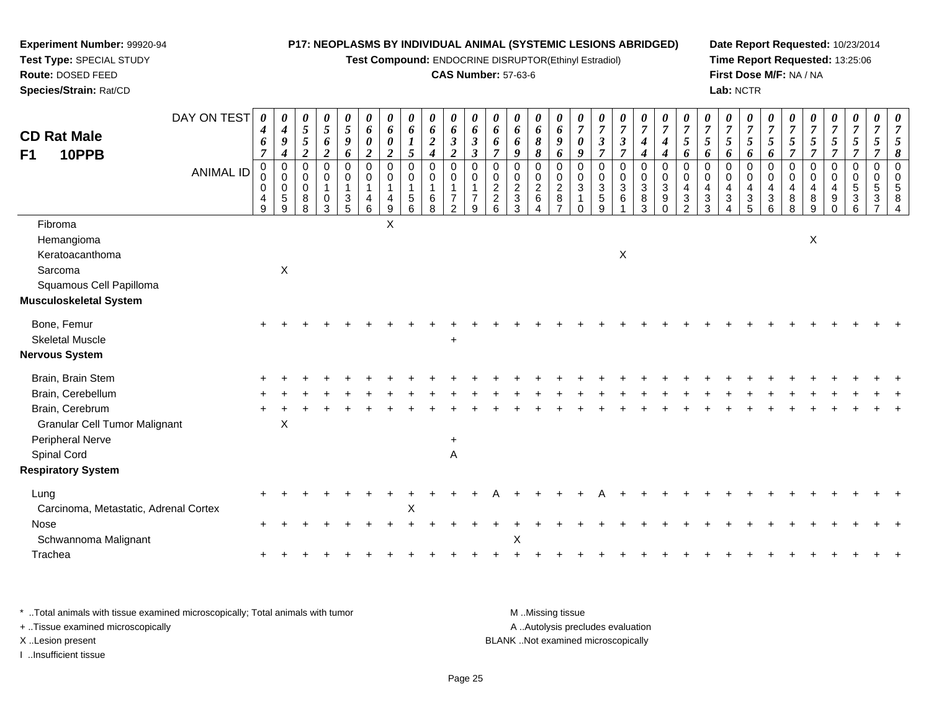**Test Compound:** ENDOCRINE DISRUPTOR(Ethinyl Estradiol)

### **CAS Number:** 57-63-6

**Date Report Requested:** 10/23/2014**Time Report Requested:** 13:25:06**First Dose M/F:** NA / NA**Lab:** NCTR

| <b>CD Rat Male</b>                                                             | DAY ON TEST      | 0<br>4<br>6                             | 0<br>$\boldsymbol{4}$<br>9                                          | 0<br>$\sqrt{5}$<br>$\sqrt{5}$                 | 0<br>5<br>6                                                                      | 0<br>$\overline{5}$<br>9                           | 0<br>6<br>0                               | 0<br>6<br>$\pmb{\theta}$                          | 0<br>6<br>$\boldsymbol{l}$               | 0<br>6<br>$\boldsymbol{2}$                                                 | $\boldsymbol{\theta}$<br>6<br>$\boldsymbol{\beta}$                                     | 0<br>6<br>$\boldsymbol{\beta}$                        | 0<br>6<br>6                                                                    | 0<br>6<br>6                                                             | 0<br>6<br>8                                                            | 0<br>6<br>9                                                         | $\boldsymbol{\theta}$<br>$\overline{7}$<br>$\boldsymbol{\theta}$ | 0<br>$\boldsymbol{7}$<br>$\boldsymbol{\beta}$               | 0<br>$\boldsymbol{7}$<br>$\boldsymbol{\beta}$                            | 0<br>$\overline{7}$<br>$\boldsymbol{4}$                                | $\boldsymbol{\theta}$<br>$\overline{7}$<br>$\boldsymbol{4}$            | 0<br>$\overline{7}$<br>$\mathfrak{s}$                                     | 0<br>$\overline{7}$<br>5                           | $\boldsymbol{\theta}$<br>$\overline{7}$<br>5                                        | 0<br>$\overline{7}$<br>5                                     | $\boldsymbol{\theta}$<br>$\boldsymbol{7}$<br>$\mathfrak{s}$ | $\boldsymbol{\theta}$<br>$\overline{7}$<br>$\sqrt{5}$ | 0<br>$\boldsymbol{7}$<br>$5\overline{)}$ | 0<br>$\overline{7}$<br>5                                                   | 0<br>$\overline{7}$<br>$\mathfrak{s}$            | 0<br>$\overline{7}$<br>5                | 0<br>$\overline{7}$<br>5                                  |
|--------------------------------------------------------------------------------|------------------|-----------------------------------------|---------------------------------------------------------------------|-----------------------------------------------|----------------------------------------------------------------------------------|----------------------------------------------------|-------------------------------------------|---------------------------------------------------|------------------------------------------|----------------------------------------------------------------------------|----------------------------------------------------------------------------------------|-------------------------------------------------------|--------------------------------------------------------------------------------|-------------------------------------------------------------------------|------------------------------------------------------------------------|---------------------------------------------------------------------|------------------------------------------------------------------|-------------------------------------------------------------|--------------------------------------------------------------------------|------------------------------------------------------------------------|------------------------------------------------------------------------|---------------------------------------------------------------------------|----------------------------------------------------|-------------------------------------------------------------------------------------|--------------------------------------------------------------|-------------------------------------------------------------|-------------------------------------------------------|------------------------------------------|----------------------------------------------------------------------------|--------------------------------------------------|-----------------------------------------|-----------------------------------------------------------|
| 10PPB<br>F1                                                                    | <b>ANIMAL ID</b> | $\overline{7}$<br>0<br>0<br>0<br>4<br>9 | $\boldsymbol{4}$<br>0<br>$\pmb{0}$<br>$\pmb{0}$<br>$\,$ 5 $\,$<br>9 | $\overline{c}$<br>0<br>0<br>0<br>$\,8\,$<br>8 | $\overline{2}$<br>$\mathbf 0$<br>$\pmb{0}$<br>$\overline{1}$<br>$\mathbf 0$<br>3 | 6<br>0<br>0<br>1<br>$\ensuremath{\mathsf{3}}$<br>5 | $\boldsymbol{2}$<br>0<br>0<br>1<br>4<br>6 | $\overline{2}$<br>0<br>0<br>4<br>$\boldsymbol{9}$ | 5<br>0<br>$\mathbf 0$<br>$\sqrt{5}$<br>6 | $\boldsymbol{4}$<br>$\pmb{0}$<br>$\pmb{0}$<br>$\mathbf{1}$<br>$\,6\,$<br>8 | $\overline{2}$<br>$\mathbf 0$<br>0<br>$\mathbf{1}$<br>$\overline{7}$<br>$\overline{c}$ | $\boldsymbol{\beta}$<br>0<br>0<br>$\overline{7}$<br>9 | $\overline{7}$<br>0<br>0<br>$\overline{c}$<br>$\overline{c}$<br>$6\phantom{1}$ | 9<br>0<br>$\pmb{0}$<br>$\overline{a}$<br>$\ensuremath{\mathsf{3}}$<br>3 | 8<br>0<br>$\mathbf 0$<br>$\boldsymbol{2}$<br>$\,6\,$<br>$\overline{4}$ | 6<br>0<br>$\pmb{0}$<br>$\boldsymbol{2}$<br>$\, 8$<br>$\overline{7}$ | 9<br>0<br>$\pmb{0}$<br>$\mathbf{3}$<br>$\mathbf{1}$<br>$\Omega$  | $\overline{7}$<br>0<br>$\mathbf 0$<br>$\mathbf 3$<br>5<br>9 | $\overline{7}$<br>0<br>$\pmb{0}$<br>$\ensuremath{\mathsf{3}}$<br>$\,6\,$ | $\boldsymbol{4}$<br>$\mathbf 0$<br>$\pmb{0}$<br>$\mathbf{3}$<br>8<br>3 | 4<br>0<br>$\mathbf 0$<br>$\sqrt{3}$<br>$\boldsymbol{9}$<br>$\mathbf 0$ | 6<br>$\mathbf 0$<br>0<br>4<br>$\ensuremath{\mathsf{3}}$<br>$\overline{2}$ | 6<br>0<br>0<br>4<br>$\ensuremath{\mathsf{3}}$<br>3 | 6<br>$\mathbf 0$<br>$\mathbf 0$<br>$\overline{4}$<br>$\mathbf{3}$<br>$\overline{4}$ | 6<br>0<br>$\mathbf 0$<br>4<br>$\ensuremath{\mathsf{3}}$<br>5 | 6<br>0<br>0<br>4<br>$\ensuremath{\mathsf{3}}$<br>6          | $\overline{7}$<br>0<br>0<br>4<br>$\bf 8$<br>8         | 7<br>0<br>$\mathbf 0$<br>4<br>8<br>9     | $\overline{7}$<br>0<br>$\mathbf 0$<br>4<br>$\boldsymbol{9}$<br>$\mathbf 0$ | $\overline{7}$<br>0<br>0<br>5<br>$\sqrt{3}$<br>6 | 7<br>0<br>0<br>5<br>3<br>$\overline{7}$ | 8<br>$\pmb{0}$<br>$\mathbf 0$<br>5<br>8<br>$\overline{4}$ |
| Fibroma<br>Hemangioma<br>Keratoacanthoma<br>Sarcoma<br>Squamous Cell Papilloma |                  |                                         | $\mathsf X$                                                         |                                               |                                                                                  |                                                    |                                           | X                                                 |                                          |                                                                            |                                                                                        |                                                       |                                                                                |                                                                         |                                                                        |                                                                     |                                                                  |                                                             | X                                                                        |                                                                        |                                                                        |                                                                           |                                                    |                                                                                     |                                                              |                                                             |                                                       | X                                        |                                                                            |                                                  |                                         |                                                           |
| <b>Musculoskeletal System</b>                                                  |                  |                                         |                                                                     |                                               |                                                                                  |                                                    |                                           |                                                   |                                          |                                                                            |                                                                                        |                                                       |                                                                                |                                                                         |                                                                        |                                                                     |                                                                  |                                                             |                                                                          |                                                                        |                                                                        |                                                                           |                                                    |                                                                                     |                                                              |                                                             |                                                       |                                          |                                                                            |                                                  |                                         |                                                           |
| Bone, Femur<br><b>Skeletal Muscle</b><br><b>Nervous System</b>                 |                  |                                         |                                                                     |                                               |                                                                                  |                                                    |                                           |                                                   |                                          |                                                                            | $\ddot{}$                                                                              |                                                       |                                                                                |                                                                         |                                                                        |                                                                     |                                                                  |                                                             |                                                                          |                                                                        |                                                                        |                                                                           |                                                    |                                                                                     |                                                              |                                                             |                                                       |                                          |                                                                            |                                                  |                                         |                                                           |
| Brain, Brain Stem                                                              |                  |                                         |                                                                     |                                               |                                                                                  |                                                    |                                           |                                                   |                                          |                                                                            |                                                                                        |                                                       |                                                                                |                                                                         |                                                                        |                                                                     |                                                                  |                                                             |                                                                          |                                                                        |                                                                        |                                                                           |                                                    |                                                                                     |                                                              |                                                             |                                                       |                                          |                                                                            |                                                  |                                         |                                                           |
| Brain, Cerebellum                                                              |                  |                                         |                                                                     |                                               |                                                                                  |                                                    |                                           |                                                   |                                          |                                                                            |                                                                                        |                                                       |                                                                                |                                                                         |                                                                        |                                                                     |                                                                  |                                                             |                                                                          |                                                                        |                                                                        |                                                                           |                                                    |                                                                                     |                                                              |                                                             |                                                       |                                          |                                                                            |                                                  |                                         |                                                           |
| Brain, Cerebrum<br><b>Granular Cell Tumor Malignant</b><br>Peripheral Nerve    |                  |                                         | $\mathsf X$                                                         |                                               |                                                                                  |                                                    |                                           |                                                   |                                          |                                                                            | $\ddot{}$                                                                              |                                                       |                                                                                |                                                                         |                                                                        |                                                                     |                                                                  |                                                             |                                                                          |                                                                        |                                                                        |                                                                           |                                                    |                                                                                     |                                                              |                                                             |                                                       |                                          |                                                                            |                                                  |                                         |                                                           |
| Spinal Cord                                                                    |                  |                                         |                                                                     |                                               |                                                                                  |                                                    |                                           |                                                   |                                          |                                                                            | Α                                                                                      |                                                       |                                                                                |                                                                         |                                                                        |                                                                     |                                                                  |                                                             |                                                                          |                                                                        |                                                                        |                                                                           |                                                    |                                                                                     |                                                              |                                                             |                                                       |                                          |                                                                            |                                                  |                                         |                                                           |
| <b>Respiratory System</b>                                                      |                  |                                         |                                                                     |                                               |                                                                                  |                                                    |                                           |                                                   |                                          |                                                                            |                                                                                        |                                                       |                                                                                |                                                                         |                                                                        |                                                                     |                                                                  |                                                             |                                                                          |                                                                        |                                                                        |                                                                           |                                                    |                                                                                     |                                                              |                                                             |                                                       |                                          |                                                                            |                                                  |                                         |                                                           |
| Lung<br>Carcinoma, Metastatic, Adrenal Cortex                                  |                  |                                         |                                                                     |                                               |                                                                                  |                                                    |                                           |                                                   | X                                        |                                                                            |                                                                                        |                                                       |                                                                                |                                                                         |                                                                        |                                                                     |                                                                  |                                                             |                                                                          |                                                                        |                                                                        |                                                                           |                                                    |                                                                                     |                                                              |                                                             |                                                       |                                          |                                                                            |                                                  |                                         |                                                           |
| Nose<br>Schwannoma Malignant                                                   |                  |                                         |                                                                     |                                               |                                                                                  |                                                    |                                           |                                                   |                                          |                                                                            |                                                                                        |                                                       |                                                                                | $\mathsf X$                                                             |                                                                        |                                                                     |                                                                  |                                                             |                                                                          |                                                                        |                                                                        |                                                                           |                                                    |                                                                                     |                                                              |                                                             |                                                       |                                          |                                                                            |                                                  |                                         |                                                           |
| Trachea                                                                        |                  |                                         |                                                                     |                                               |                                                                                  |                                                    |                                           |                                                   |                                          |                                                                            |                                                                                        |                                                       |                                                                                |                                                                         |                                                                        |                                                                     |                                                                  |                                                             |                                                                          |                                                                        |                                                                        |                                                                           |                                                    |                                                                                     |                                                              |                                                             |                                                       |                                          |                                                                            |                                                  |                                         |                                                           |
|                                                                                |                  |                                         |                                                                     |                                               |                                                                                  |                                                    |                                           |                                                   |                                          |                                                                            |                                                                                        |                                                       |                                                                                |                                                                         |                                                                        |                                                                     |                                                                  |                                                             |                                                                          |                                                                        |                                                                        |                                                                           |                                                    |                                                                                     |                                                              |                                                             |                                                       |                                          |                                                                            |                                                  |                                         |                                                           |

\* ..Total animals with tissue examined microscopically; Total animals with tumor **M** . Missing tissue M ..Missing tissue A ..Autolysis precludes evaluation + ..Tissue examined microscopically X ..Lesion present BLANK ..Not examined microscopicallyI ..Insufficient tissue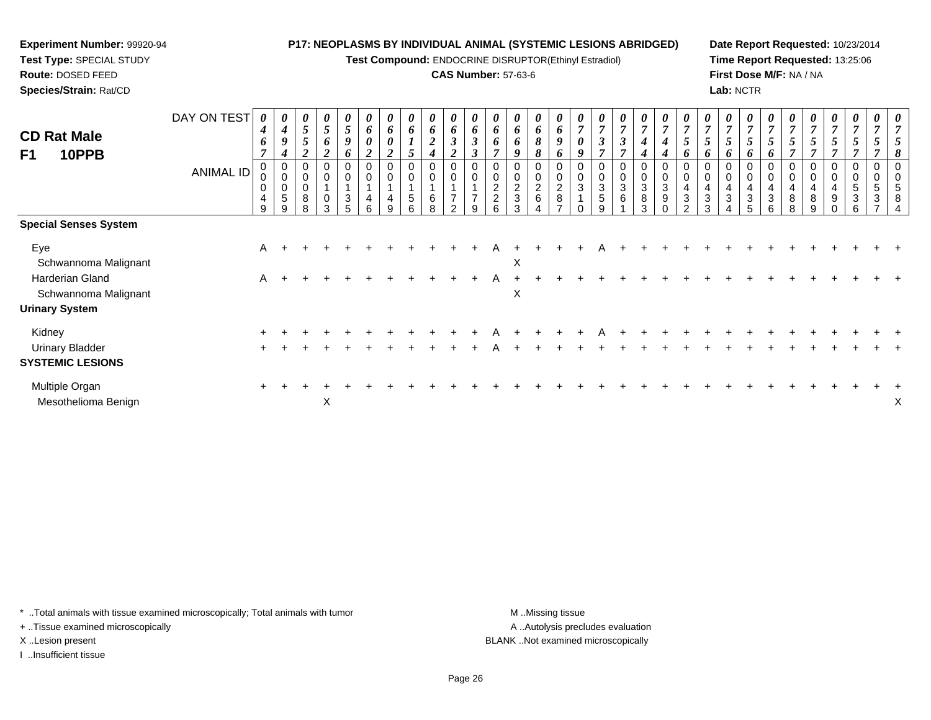**Test Compound:** ENDOCRINE DISRUPTOR(Ethinyl Estradiol)

## **CAS Number:** 57-63-6

**Date Report Requested:** 10/23/2014**Time Report Requested:** 13:25:06**First Dose M/F:** NA / NA**Lab:** NCTR

| <b>CD Rat Male</b><br>F1<br>10PPB                 | DAY ON TEST<br><b>ANIMAL ID</b> | 0<br>4<br>6<br>7<br>0<br>0<br>0<br>4<br>9 | $\boldsymbol{4}$<br>9<br>4<br>$\pmb{0}$<br>$\boldsymbol{0}$<br>$\mathbf 0$<br>5<br>9 | 0<br>5<br>5<br>8<br>R | 0<br>5<br>6<br>0<br>$\mathbf 0$<br>0<br>3 | 0<br>$\mathfrak{s}$<br>9<br>o<br>0<br>$\mathbf 0$<br>3<br>5 | 6<br>$\boldsymbol{\theta}$<br>$\boldsymbol{2}$<br>0<br>$\mathbf 0$<br>4<br>6 | $\bm{b}$<br>0<br>2<br>$\mathbf 0$<br>4<br>9 | $\theta$<br>6<br>5<br>0<br>5<br>6 | $\theta$<br>6<br>$\boldsymbol{2}$<br>0<br>$\pmb{0}$<br>6<br>8 | 0<br>6<br>$\boldsymbol{\beta}$<br><sup>1</sup><br>0<br>$\pmb{0}$<br>$\overline{7}$<br>$\mathfrak{p}$ | 0<br>6<br>$\boldsymbol{\beta}$<br>$\boldsymbol{\beta}$<br>0<br>0<br>$\overline{ }$<br>9 | 6<br>6<br>$\overline{ }$<br>$\mathbf 0$<br>$\overline{2}$<br>$\overline{c}$<br>ĥ | $\theta$<br>6<br>6<br>$\overline{c}$<br>3<br>3 | $\theta$<br>6<br>8<br>8<br>0<br>$\boldsymbol{0}$<br>$\boldsymbol{2}$<br>6 | 0<br>6<br>9<br>6<br>0<br>$\pmb{0}$<br>$\frac{2}{8}$<br>$\rightarrow$ | 7<br>0<br>9<br>0<br>0<br>3 | $\boldsymbol{\beta}$<br>$\overline{ }$<br>$\mathbf 0$<br>3<br>$\sqrt{5}$<br>q | $\theta$<br>3<br>0<br>3<br>6 | $\boldsymbol{\theta}$<br>$\overline{7}$<br>$\boldsymbol{4}$<br>0<br>$\pmb{0}$<br>$\ensuremath{\mathsf{3}}$<br>$\bf 8$<br>3 | 0<br>$\overline{7}$<br>4<br>4<br>0<br>$\pmb{0}$<br>$\sqrt{3}$<br>$\boldsymbol{9}$<br>$\Omega$ | 0<br>$\overline{7}$<br>5<br>6<br>0<br>$\mathbf 0$<br>4<br>3<br>$\mathcal{P}$ | 7<br>$\mathfrak{I}$<br>O<br>$\mathbf 0$<br>3<br>3 | 0<br>6<br>0<br>4<br>3 | 0<br>$\overline{7}$<br>5<br>6<br>0<br>$\pmb{0}$<br>4<br>$\ensuremath{\mathsf{3}}$<br>5 | 0<br>$\overline{7}$<br>$\mathcal{L}$<br>6<br>0<br>$\pmb{0}$<br>4<br>$\mathbf{3}$<br>6 | 7<br>5<br>$\overline{7}$<br>0<br>$\mathbf 0$<br>4<br>8<br>8 | C<br>$\mathbf 0$<br>8<br>q | 5<br>0<br>0<br>9 | 5<br>0<br>$\overline{5}$<br>3<br>ี | 0<br>0<br>5<br>3 |   |
|---------------------------------------------------|---------------------------------|-------------------------------------------|--------------------------------------------------------------------------------------|-----------------------|-------------------------------------------|-------------------------------------------------------------|------------------------------------------------------------------------------|---------------------------------------------|-----------------------------------|---------------------------------------------------------------|------------------------------------------------------------------------------------------------------|-----------------------------------------------------------------------------------------|----------------------------------------------------------------------------------|------------------------------------------------|---------------------------------------------------------------------------|----------------------------------------------------------------------|----------------------------|-------------------------------------------------------------------------------|------------------------------|----------------------------------------------------------------------------------------------------------------------------|-----------------------------------------------------------------------------------------------|------------------------------------------------------------------------------|---------------------------------------------------|-----------------------|----------------------------------------------------------------------------------------|---------------------------------------------------------------------------------------|-------------------------------------------------------------|----------------------------|------------------|------------------------------------|------------------|---|
| <b>Special Senses System</b>                      |                                 |                                           |                                                                                      |                       |                                           |                                                             |                                                                              |                                             |                                   |                                                               |                                                                                                      |                                                                                         |                                                                                  |                                                |                                                                           |                                                                      |                            |                                                                               |                              |                                                                                                                            |                                                                                               |                                                                              |                                                   |                       |                                                                                        |                                                                                       |                                                             |                            |                  |                                    |                  |   |
| Eye<br>Schwannoma Malignant                       |                                 | Α                                         |                                                                                      |                       |                                           |                                                             |                                                                              |                                             |                                   |                                                               |                                                                                                      |                                                                                         |                                                                                  | X                                              |                                                                           |                                                                      |                            |                                                                               |                              |                                                                                                                            |                                                                                               |                                                                              |                                                   |                       |                                                                                        |                                                                                       |                                                             |                            |                  |                                    |                  |   |
| Harderian Gland<br>Schwannoma Malignant           |                                 | A                                         |                                                                                      |                       |                                           |                                                             |                                                                              |                                             |                                   |                                                               |                                                                                                      |                                                                                         |                                                                                  | X                                              |                                                                           |                                                                      |                            |                                                                               |                              |                                                                                                                            |                                                                                               |                                                                              |                                                   |                       |                                                                                        |                                                                                       |                                                             |                            |                  |                                    |                  |   |
| <b>Urinary System</b>                             |                                 |                                           |                                                                                      |                       |                                           |                                                             |                                                                              |                                             |                                   |                                                               |                                                                                                      |                                                                                         |                                                                                  |                                                |                                                                           |                                                                      |                            |                                                                               |                              |                                                                                                                            |                                                                                               |                                                                              |                                                   |                       |                                                                                        |                                                                                       |                                                             |                            |                  |                                    |                  |   |
| Kidney                                            |                                 |                                           |                                                                                      |                       |                                           |                                                             |                                                                              |                                             |                                   |                                                               |                                                                                                      |                                                                                         |                                                                                  |                                                |                                                                           |                                                                      |                            |                                                                               |                              |                                                                                                                            |                                                                                               |                                                                              |                                                   |                       |                                                                                        |                                                                                       |                                                             |                            |                  |                                    |                  |   |
| <b>Urinary Bladder</b><br><b>SYSTEMIC LESIONS</b> |                                 |                                           |                                                                                      |                       |                                           |                                                             |                                                                              |                                             |                                   |                                                               |                                                                                                      |                                                                                         |                                                                                  |                                                |                                                                           |                                                                      |                            |                                                                               |                              |                                                                                                                            |                                                                                               |                                                                              |                                                   |                       |                                                                                        |                                                                                       |                                                             |                            |                  |                                    |                  |   |
| Multiple Organ<br>Mesothelioma Benign             |                                 |                                           |                                                                                      |                       | X                                         |                                                             |                                                                              |                                             |                                   |                                                               |                                                                                                      |                                                                                         |                                                                                  |                                                |                                                                           |                                                                      |                            |                                                                               |                              |                                                                                                                            |                                                                                               |                                                                              |                                                   |                       |                                                                                        |                                                                                       |                                                             |                            |                  |                                    |                  | Х |

\* ..Total animals with tissue examined microscopically; Total animals with tumor **M** . Missing tissue M ..Missing tissue

+ ..Tissue examined microscopically

**Experiment Number:** 99920-94**Test Type:** SPECIAL STUDY**Route:** DOSED FEED**Species/Strain:** Rat/CD

I ..Insufficient tissue

A ..Autolysis precludes evaluation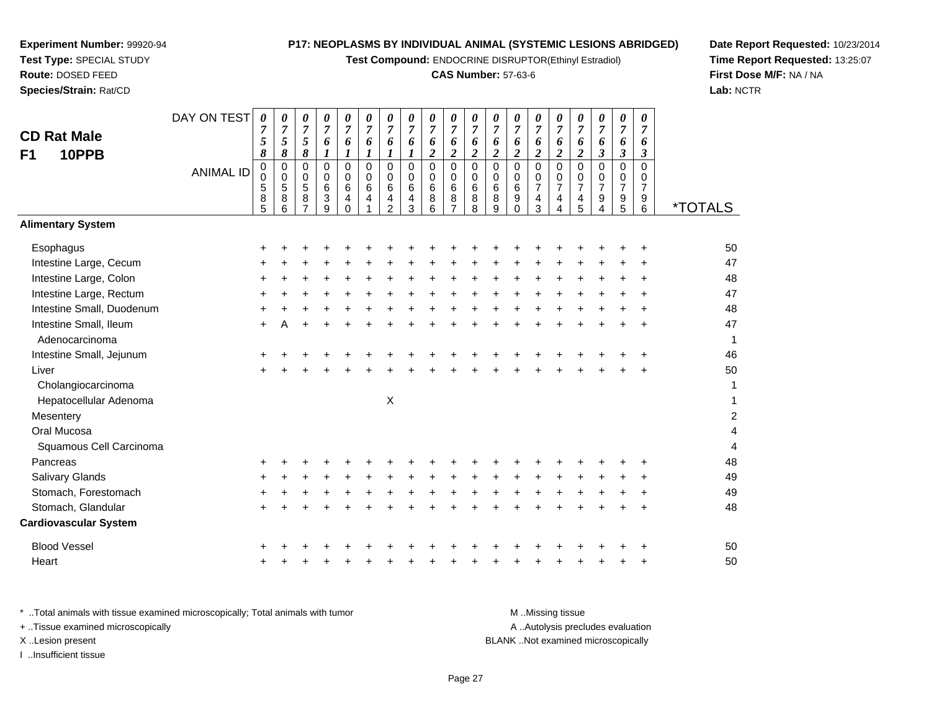**Test Compound:** ENDOCRINE DISRUPTOR(Ethinyl Estradiol)

# **CAS Number:** 57-63-6

**Date Report Requested:** 10/23/2014 **Time Report Requested:** 13:25:07**First Dose M/F:** NA / NA**Lab:** NCTR

| <b>CD Rat Male</b><br>10PPB<br>F <sub>1</sub> | DAY ON TEST<br><b>ANIMAL ID</b> | 0<br>$\sqrt{5}$<br>8<br>0 | 0<br>$\overline{7}$<br>$\sqrt{5}$<br>8<br>$\pmb{0}$ | 0<br>$\overline{7}$<br>5<br>8<br>$\mathbf 0$ | 0<br>$\overline{7}$<br>6<br>$\boldsymbol{l}$<br>0 | 0<br>$\boldsymbol{7}$<br>6<br>$\boldsymbol{l}$<br>$\mathbf 0$ | 0<br>$\overline{7}$<br>6<br>$\boldsymbol{l}$<br>$\mathbf 0$ | 0<br>$\overline{7}$<br>6<br>$\boldsymbol{l}$<br>$\mathbf 0$ | 0<br>$\boldsymbol{7}$<br>6<br>$\boldsymbol{l}$<br>$\pmb{0}$ | 0<br>$\overline{7}$<br>6<br>$\overline{c}$<br>0 | 0<br>$\boldsymbol{7}$<br>6<br>$\boldsymbol{2}$<br>$\pmb{0}$ | $\boldsymbol{\theta}$<br>$\overline{7}$<br>6<br>$\boldsymbol{2}$<br>$\mathbf 0$ | 0<br>$\overline{7}$<br>6<br>$\boldsymbol{2}$<br>$\mathbf 0$ | 0<br>$\boldsymbol{7}$<br>6<br>$\overline{c}$<br>0 | 0<br>$\overline{7}$<br>6<br>$\overline{2}$<br>$\mathbf 0$ | 0<br>$\overline{7}$<br>6<br>$\overline{c}$<br>$\mathbf 0$     | 0<br>$\overline{7}$<br>6<br>$\overline{\mathbf{c}}$<br>$\mathbf 0$ | 0<br>7<br>6<br>$\overline{\mathbf{3}}$<br>$\Omega$ | 0<br>$\boldsymbol{7}$<br>6<br>$\mathfrak{z}$<br>$\pmb{0}$                | 0<br>$\overline{7}$<br>6<br>$\mathfrak{z}$<br>$\mathbf 0$ |                       |
|-----------------------------------------------|---------------------------------|---------------------------|-----------------------------------------------------|----------------------------------------------|---------------------------------------------------|---------------------------------------------------------------|-------------------------------------------------------------|-------------------------------------------------------------|-------------------------------------------------------------|-------------------------------------------------|-------------------------------------------------------------|---------------------------------------------------------------------------------|-------------------------------------------------------------|---------------------------------------------------|-----------------------------------------------------------|---------------------------------------------------------------|--------------------------------------------------------------------|----------------------------------------------------|--------------------------------------------------------------------------|-----------------------------------------------------------|-----------------------|
|                                               |                                 | 0<br>5<br>$\frac{8}{5}$   | $\pmb{0}$<br>$\sqrt{5}$<br>$\bf8$<br>6              | $\mathbf 0$<br>5<br>8<br>$\overline{7}$      | $\mathsf{O}$<br>6<br>3<br>9                       | 0<br>$\,6\,$<br>4<br>$\Omega$                                 | 0<br>6<br>4                                                 | $\mathbf 0$<br>6<br>4<br>$\overline{2}$                     | $\mathbf 0$<br>$\,6\,$<br>4<br>3                            | $\mathsf{O}$<br>6<br>8<br>6                     | $\overline{0}$<br>$\,6\,$<br>$\frac{8}{7}$                  | $\mathbf 0$<br>$\,6$<br>8<br>8                                                  | 0<br>6<br>8<br>9                                            | 0<br>6<br>9<br>0                                  | 0<br>$\boldsymbol{7}$<br>$\frac{4}{3}$                    | $\mathbf 0$<br>$\overline{7}$<br>4<br>$\overline{\mathbf{A}}$ | 0<br>$\overline{7}$<br>$\frac{4}{5}$                               | 0<br>$\overline{7}$<br>9<br>$\overline{4}$         | $\mathbf 0$<br>$\boldsymbol{7}$<br>$\begin{array}{c} 9 \\ 5 \end{array}$ | $\mathbf 0$<br>$\overline{7}$<br>9<br>6                   | <i><b>*TOTALS</b></i> |
| <b>Alimentary System</b>                      |                                 |                           |                                                     |                                              |                                                   |                                                               |                                                             |                                                             |                                                             |                                                 |                                                             |                                                                                 |                                                             |                                                   |                                                           |                                                               |                                                                    |                                                    |                                                                          |                                                           |                       |
| Esophagus                                     |                                 | +                         |                                                     |                                              |                                                   |                                                               |                                                             |                                                             |                                                             |                                                 |                                                             |                                                                                 |                                                             |                                                   |                                                           |                                                               |                                                                    |                                                    |                                                                          |                                                           | 50                    |
| Intestine Large, Cecum                        |                                 |                           |                                                     |                                              |                                                   |                                                               |                                                             |                                                             |                                                             |                                                 |                                                             |                                                                                 |                                                             |                                                   |                                                           |                                                               |                                                                    |                                                    |                                                                          |                                                           | 47                    |
| Intestine Large, Colon                        |                                 | +                         |                                                     |                                              |                                                   |                                                               |                                                             |                                                             |                                                             |                                                 |                                                             |                                                                                 |                                                             |                                                   |                                                           |                                                               |                                                                    |                                                    |                                                                          |                                                           | 48                    |
| Intestine Large, Rectum                       |                                 | ÷                         |                                                     |                                              |                                                   |                                                               |                                                             |                                                             |                                                             |                                                 |                                                             |                                                                                 |                                                             |                                                   |                                                           |                                                               |                                                                    |                                                    |                                                                          |                                                           | 47                    |
| Intestine Small, Duodenum                     |                                 |                           |                                                     |                                              |                                                   |                                                               |                                                             |                                                             |                                                             |                                                 |                                                             |                                                                                 |                                                             |                                                   |                                                           |                                                               |                                                                    |                                                    |                                                                          |                                                           | 48                    |
| Intestine Small, Ileum<br>Adenocarcinoma      |                                 | +                         |                                                     |                                              |                                                   |                                                               |                                                             |                                                             |                                                             |                                                 |                                                             |                                                                                 |                                                             |                                                   |                                                           |                                                               |                                                                    |                                                    |                                                                          |                                                           | 47<br>$\mathbf 1$     |
| Intestine Small, Jejunum                      |                                 |                           |                                                     |                                              |                                                   |                                                               |                                                             |                                                             |                                                             |                                                 |                                                             |                                                                                 |                                                             |                                                   |                                                           |                                                               |                                                                    |                                                    |                                                                          |                                                           | 46                    |
| Liver<br>Cholangiocarcinoma                   |                                 |                           |                                                     |                                              |                                                   |                                                               |                                                             |                                                             |                                                             |                                                 |                                                             |                                                                                 |                                                             |                                                   |                                                           |                                                               |                                                                    |                                                    |                                                                          |                                                           | 50<br>1               |
| Hepatocellular Adenoma                        |                                 |                           |                                                     |                                              |                                                   |                                                               |                                                             | Χ                                                           |                                                             |                                                 |                                                             |                                                                                 |                                                             |                                                   |                                                           |                                                               |                                                                    |                                                    |                                                                          |                                                           | 1                     |
| Mesentery                                     |                                 |                           |                                                     |                                              |                                                   |                                                               |                                                             |                                                             |                                                             |                                                 |                                                             |                                                                                 |                                                             |                                                   |                                                           |                                                               |                                                                    |                                                    |                                                                          |                                                           | $\boldsymbol{2}$      |
| Oral Mucosa<br>Squamous Cell Carcinoma        |                                 |                           |                                                     |                                              |                                                   |                                                               |                                                             |                                                             |                                                             |                                                 |                                                             |                                                                                 |                                                             |                                                   |                                                           |                                                               |                                                                    |                                                    |                                                                          |                                                           | 4<br>$\overline{4}$   |
| Pancreas                                      |                                 |                           |                                                     |                                              |                                                   |                                                               |                                                             |                                                             |                                                             |                                                 |                                                             |                                                                                 |                                                             |                                                   |                                                           |                                                               |                                                                    |                                                    |                                                                          |                                                           | 48                    |
| Salivary Glands                               |                                 |                           |                                                     |                                              |                                                   |                                                               |                                                             |                                                             |                                                             |                                                 |                                                             |                                                                                 |                                                             |                                                   |                                                           |                                                               |                                                                    |                                                    |                                                                          |                                                           | 49                    |
| Stomach, Forestomach                          |                                 |                           |                                                     |                                              |                                                   |                                                               |                                                             |                                                             |                                                             |                                                 |                                                             |                                                                                 |                                                             |                                                   |                                                           |                                                               |                                                                    |                                                    |                                                                          |                                                           | 49                    |
| Stomach, Glandular                            |                                 |                           |                                                     |                                              |                                                   |                                                               |                                                             |                                                             |                                                             |                                                 |                                                             |                                                                                 |                                                             |                                                   |                                                           |                                                               |                                                                    |                                                    |                                                                          |                                                           | 48                    |
| <b>Cardiovascular System</b>                  |                                 |                           |                                                     |                                              |                                                   |                                                               |                                                             |                                                             |                                                             |                                                 |                                                             |                                                                                 |                                                             |                                                   |                                                           |                                                               |                                                                    |                                                    |                                                                          |                                                           |                       |
| <b>Blood Vessel</b>                           |                                 |                           |                                                     |                                              |                                                   |                                                               |                                                             |                                                             |                                                             |                                                 |                                                             |                                                                                 |                                                             |                                                   |                                                           |                                                               |                                                                    |                                                    |                                                                          |                                                           | 50                    |
| Heart                                         |                                 |                           |                                                     |                                              |                                                   |                                                               |                                                             |                                                             |                                                             |                                                 |                                                             |                                                                                 |                                                             |                                                   |                                                           |                                                               |                                                                    |                                                    |                                                                          |                                                           | 50                    |

| Total animals with tissue examined microscopically; Total animals with tumor. | M Missing tissue                   |
|-------------------------------------------------------------------------------|------------------------------------|
| + Tissue examined microscopically                                             | A Autolysis precludes evaluation   |
| X Lesion present                                                              | BLANK Not examined microscopically |
| Insufficient tissue                                                           |                                    |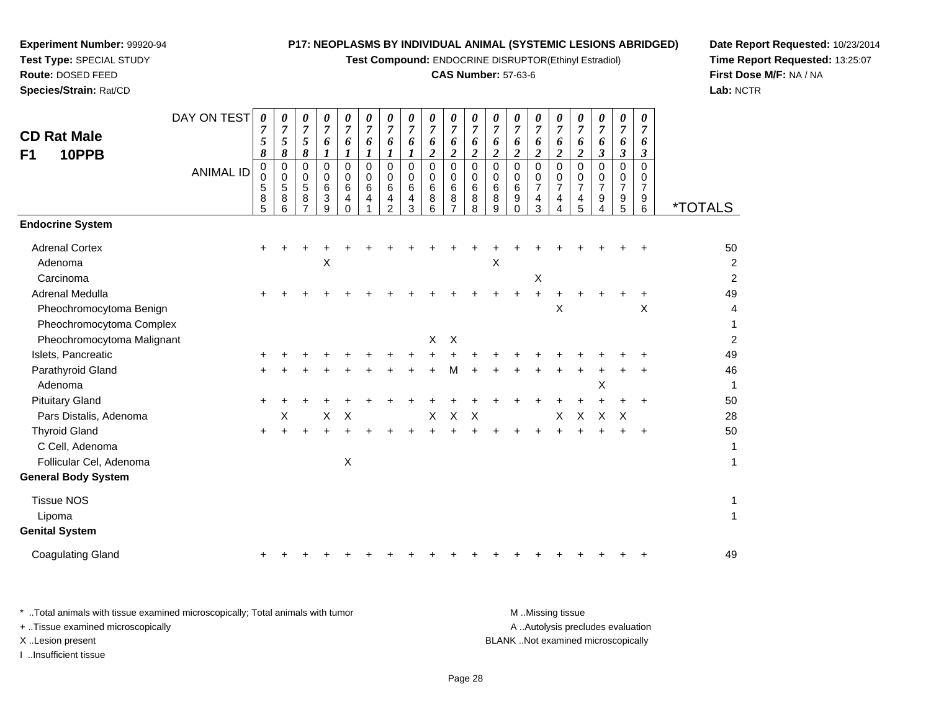**Test Compound:** ENDOCRINE DISRUPTOR(Ethinyl Estradiol)

### **CAS Number:** 57-63-6

*0 7 6*

*0 7 6*

*0 7 6*

*0 7 6*

*0 7 6*

*0 7 6*

*0 7 6*

*0 7 6*

 $\overline{2}$ 

**Date Report Requested:** 10/23/2014**Time Report Requested:** 13:25:07**First Dose M/F:** NA / NA**Lab:** NCTR

| F <sub>1</sub><br>10PPB    |                  | 8                     | 8                     | 8                |                       | 1                            | 1                |                                                  |                       | 2                         | $\boldsymbol{2}$ | $\boldsymbol{2}$          | 2                     | $\boldsymbol{2}$      | 2                                  | $\boldsymbol{2}$                   | $\boldsymbol{2}$                          | 3                                  | 3                                         | 3                     |                       |
|----------------------------|------------------|-----------------------|-----------------------|------------------|-----------------------|------------------------------|------------------|--------------------------------------------------|-----------------------|---------------------------|------------------|---------------------------|-----------------------|-----------------------|------------------------------------|------------------------------------|-------------------------------------------|------------------------------------|-------------------------------------------|-----------------------|-----------------------|
|                            | <b>ANIMAL ID</b> | 0<br>0<br>5<br>8<br>5 | 0<br>0<br>5<br>8<br>6 | 0<br>0<br>5<br>8 | 0<br>0<br>6<br>3<br>9 | 0<br>0<br>6<br>4<br>$\Omega$ | 0<br>0<br>6<br>4 | 0<br>0<br>$6\phantom{1}6$<br>4<br>$\mathfrak{p}$ | 0<br>0<br>6<br>4<br>3 | 0<br>0<br>$\,6$<br>8<br>6 | 0<br>0<br>6<br>8 | 0<br>0<br>6<br>8<br>8     | 0<br>0<br>6<br>8<br>9 | 0<br>0<br>6<br>9<br>0 | 0<br>0<br>$\overline{7}$<br>4<br>3 | 0<br>0<br>$\overline{7}$<br>4<br>4 | $\Omega$<br>0<br>$\overline{7}$<br>4<br>5 | 0<br>0<br>$\overline{7}$<br>9<br>4 | 0<br>0<br>$\overline{7}$<br>$\frac{9}{5}$ | 0<br>0<br>7<br>9<br>6 | <i><b>*TOTALS</b></i> |
| <b>Endocrine System</b>    |                  |                       |                       |                  |                       |                              |                  |                                                  |                       |                           |                  |                           |                       |                       |                                    |                                    |                                           |                                    |                                           |                       |                       |
| <b>Adrenal Cortex</b>      |                  | $\ddot{}$             |                       |                  |                       |                              |                  |                                                  |                       |                           |                  |                           |                       |                       |                                    |                                    |                                           |                                    |                                           |                       | 50                    |
| Adenoma                    |                  |                       |                       |                  | X                     |                              |                  |                                                  |                       |                           |                  |                           | Χ                     |                       |                                    |                                    |                                           |                                    |                                           |                       | $\overline{c}$        |
| Carcinoma                  |                  |                       |                       |                  |                       |                              |                  |                                                  |                       |                           |                  |                           |                       |                       | х                                  |                                    |                                           |                                    |                                           |                       | $\overline{a}$        |
| <b>Adrenal Medulla</b>     |                  | $\ddot{}$             |                       |                  |                       |                              |                  |                                                  |                       |                           |                  |                           |                       | ÷.                    | +                                  |                                    |                                           |                                    |                                           | +                     | 49                    |
| Pheochromocytoma Benign    |                  |                       |                       |                  |                       |                              |                  |                                                  |                       |                           |                  |                           |                       |                       |                                    | $\sf X$                            |                                           |                                    |                                           | X                     | 4                     |
| Pheochromocytoma Complex   |                  |                       |                       |                  |                       |                              |                  |                                                  |                       |                           |                  |                           |                       |                       |                                    |                                    |                                           |                                    |                                           |                       | 1                     |
| Pheochromocytoma Malignant |                  |                       |                       |                  |                       |                              |                  |                                                  |                       | X                         | $\times$         |                           |                       |                       |                                    |                                    |                                           |                                    |                                           |                       | $\overline{a}$        |
| Islets, Pancreatic         |                  |                       |                       |                  |                       |                              |                  |                                                  |                       |                           |                  |                           |                       |                       |                                    |                                    |                                           |                                    |                                           |                       | 49                    |
| Parathyroid Gland          |                  | ٠                     |                       |                  |                       |                              |                  |                                                  |                       |                           | м                |                           |                       |                       |                                    |                                    |                                           |                                    |                                           |                       | 46                    |
| Adenoma                    |                  |                       |                       |                  |                       |                              |                  |                                                  |                       |                           |                  |                           |                       |                       |                                    |                                    |                                           | х                                  |                                           |                       | 1                     |
| <b>Pituitary Gland</b>     |                  | $\ddot{}$             |                       |                  |                       |                              |                  |                                                  |                       |                           |                  |                           |                       |                       |                                    |                                    |                                           |                                    |                                           | $\ddot{}$             | 50                    |
| Pars Distalis, Adenoma     |                  |                       | х                     |                  | X                     | X                            |                  |                                                  |                       | X                         | X                | $\boldsymbol{\mathsf{X}}$ |                       |                       |                                    | $\mathsf{X}$                       | X                                         | $\mathsf{X}$                       | $\mathsf{X}$                              |                       | 28                    |
| <b>Thyroid Gland</b>       |                  | $\ddot{}$             | $\div$                |                  |                       |                              |                  |                                                  |                       |                           |                  |                           |                       |                       |                                    |                                    |                                           |                                    |                                           | $\ddot{}$             | 50                    |
| C Cell, Adenoma            |                  |                       |                       |                  |                       |                              |                  |                                                  |                       |                           |                  |                           |                       |                       |                                    |                                    |                                           |                                    |                                           |                       | 1                     |
| Follicular Cel, Adenoma    |                  |                       |                       |                  |                       | $\boldsymbol{\mathsf{X}}$    |                  |                                                  |                       |                           |                  |                           |                       |                       |                                    |                                    |                                           |                                    |                                           |                       | 1                     |
| <b>General Body System</b> |                  |                       |                       |                  |                       |                              |                  |                                                  |                       |                           |                  |                           |                       |                       |                                    |                                    |                                           |                                    |                                           |                       |                       |
| <b>Tissue NOS</b>          |                  |                       |                       |                  |                       |                              |                  |                                                  |                       |                           |                  |                           |                       |                       |                                    |                                    |                                           |                                    |                                           |                       | 1                     |
| Lipoma                     |                  |                       |                       |                  |                       |                              |                  |                                                  |                       |                           |                  |                           |                       |                       |                                    |                                    |                                           |                                    |                                           |                       | 1                     |
| <b>Genital System</b>      |                  |                       |                       |                  |                       |                              |                  |                                                  |                       |                           |                  |                           |                       |                       |                                    |                                    |                                           |                                    |                                           |                       |                       |
|                            |                  |                       |                       |                  |                       |                              |                  |                                                  |                       |                           |                  |                           |                       |                       |                                    |                                    |                                           |                                    |                                           |                       |                       |

Coagulating Glandd  $+$ <sup>+</sup> <sup>+</sup> <sup>+</sup> <sup>+</sup> <sup>+</sup> <sup>+</sup> <sup>+</sup> <sup>+</sup> <sup>+</sup> <sup>+</sup> <sup>+</sup> <sup>+</sup> <sup>+</sup> <sup>+</sup> <sup>+</sup> <sup>+</sup> <sup>+</sup> <sup>+</sup> <sup>49</sup>

DAY ON TEST

*0 7 5*

*0 7 5*

*0 7 5*

*0 7 6*

*0 7 6*

*0 7 6*

*0 7 6*

*0 7 6*

*0 7 6*

*0 7 6*

**Experiment Number:** 99920-94**Test Type:** SPECIAL STUDY**Route:** DOSED FEED**Species/Strain:** Rat/CD

**CD Rat Male**

**F1** 

\* ..Total animals with tissue examined microscopically; Total animals with tumor **M** ..Missing tissue M ..Missing tissue A ..Autolysis precludes evaluation + ..Tissue examined microscopically X ..Lesion present BLANK ..Not examined microscopicallyI ..Insufficient tissue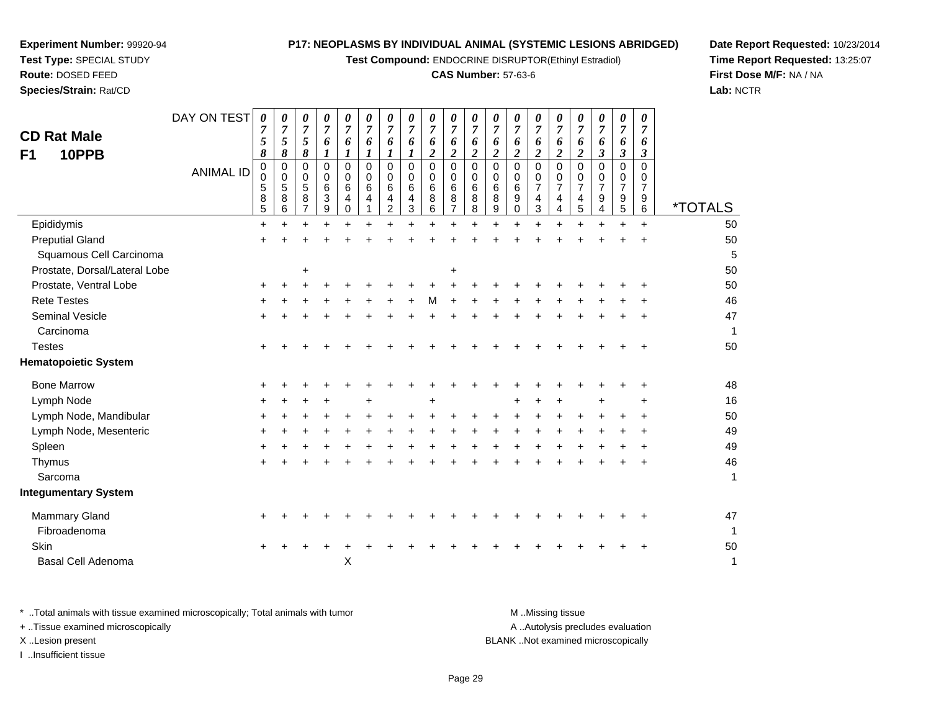**Test Compound:** ENDOCRINE DISRUPTOR(Ethinyl Estradiol)

# **CAS Number:** 57-63-6

**Date Report Requested:** 10/23/2014 **Time Report Requested:** 13:25:07**First Dose M/F:** NA / NA**Lab:** NCTR

| DAY ON TEST<br><b>CD Rat Male</b><br>10PPB<br>F1<br><b>ANIMAL ID</b> | 0<br>7<br>5<br>8<br>0<br>$\pmb{0}$<br>5<br>8<br>5 | 0<br>7<br>$\sqrt{5}$<br>8<br>0<br>0<br>$\sqrt{5}$<br>8<br>$\,6$ | 0<br>$\boldsymbol{7}$<br>$\sqrt{5}$<br>8<br>0<br>0<br>$\overline{5}$<br>8<br>$\overline{7}$ | 0<br>7<br>6<br>$\boldsymbol{l}$<br>0<br>0<br>6<br>3<br>9 | 0<br>7<br>6<br>$\boldsymbol{l}$<br>$\mathbf 0$<br>0<br>$\,6\,$<br>4<br>$\mathbf 0$ | 0<br>7<br>6<br>1<br>$\Omega$<br>0<br>6<br>4 | 0<br>7<br>6<br>$\boldsymbol{l}$<br>0<br>0<br>6<br>4<br>$\overline{a}$ | 0<br>$\overline{7}$<br>6<br>$\boldsymbol{l}$<br>0<br>0<br>6<br>4<br>3 | 0<br>$\overline{7}$<br>6<br>$\overline{c}$<br>0<br>0<br>6<br>8<br>6 | 0<br>$\overline{7}$<br>6<br>$\boldsymbol{2}$<br>$\mathbf 0$<br>0<br>$\,6$<br>8<br>$\overline{7}$ | 0<br>$\overline{7}$<br>6<br>$\overline{c}$<br>$\mathbf 0$<br>0<br>$\,6\,$<br>8<br>$\,8\,$ | 0<br>7<br>6<br>$\overline{c}$<br>$\mathbf 0$<br>0<br>6<br>8<br>$\boldsymbol{9}$ | 0<br>$\overline{7}$<br>6<br>$\overline{\mathbf{c}}$<br>0<br>0<br>6<br>9<br>$\mathbf 0$ | 0<br>$\overline{7}$<br>6<br>$\overline{c}$<br>0<br>0<br>$\overline{7}$<br>4<br>$\mathbf{3}$ | 0<br>7<br>6<br>$\overline{c}$<br>$\Omega$<br>0<br>7<br>4<br>4 | 0<br>7<br>6<br>$\overline{c}$<br>0<br>0<br>$\overline{7}$<br>4<br>5 | 0<br>7<br>6<br>$\boldsymbol{\beta}$<br>0<br>0<br>$\overline{7}$<br>9<br>4 | 0<br>7<br>6<br>$\boldsymbol{\beta}$<br>0<br>0<br>$\overline{7}$<br>9<br>5 | 0<br>$\overline{7}$<br>6<br>$\boldsymbol{\beta}$<br>0<br>0<br>$\overline{7}$<br>9<br>$\,6\,$ | <i><b>*TOTALS</b></i> |
|----------------------------------------------------------------------|---------------------------------------------------|-----------------------------------------------------------------|---------------------------------------------------------------------------------------------|----------------------------------------------------------|------------------------------------------------------------------------------------|---------------------------------------------|-----------------------------------------------------------------------|-----------------------------------------------------------------------|---------------------------------------------------------------------|--------------------------------------------------------------------------------------------------|-------------------------------------------------------------------------------------------|---------------------------------------------------------------------------------|----------------------------------------------------------------------------------------|---------------------------------------------------------------------------------------------|---------------------------------------------------------------|---------------------------------------------------------------------|---------------------------------------------------------------------------|---------------------------------------------------------------------------|----------------------------------------------------------------------------------------------|-----------------------|
| Epididymis                                                           | $\ddot{}$                                         | $\ddot{}$                                                       | $\ddot{}$                                                                                   | $+$                                                      | $\ddot{}$                                                                          | $\ddot{}$                                   | $\ddot{}$                                                             | ÷                                                                     |                                                                     | $\ddot{}$                                                                                        | $\ddot{}$                                                                                 | $\ddot{}$                                                                       | ÷.                                                                                     | $\ddot{}$                                                                                   | $\ddot{}$                                                     | ÷                                                                   |                                                                           | $\ddot{}$                                                                 | $\ddot{}$                                                                                    | 50                    |
| <b>Preputial Gland</b>                                               |                                                   |                                                                 |                                                                                             |                                                          |                                                                                    |                                             |                                                                       |                                                                       |                                                                     |                                                                                                  |                                                                                           |                                                                                 |                                                                                        |                                                                                             |                                                               |                                                                     |                                                                           |                                                                           |                                                                                              | 50                    |
| Squamous Cell Carcinoma                                              |                                                   |                                                                 |                                                                                             |                                                          |                                                                                    |                                             |                                                                       |                                                                       |                                                                     |                                                                                                  |                                                                                           |                                                                                 |                                                                                        |                                                                                             |                                                               |                                                                     |                                                                           |                                                                           |                                                                                              | 5                     |
| Prostate, Dorsal/Lateral Lobe                                        |                                                   |                                                                 | $\ddot{}$                                                                                   |                                                          |                                                                                    |                                             |                                                                       |                                                                       |                                                                     | $\ddot{}$                                                                                        |                                                                                           |                                                                                 |                                                                                        |                                                                                             |                                                               |                                                                     |                                                                           |                                                                           |                                                                                              | 50                    |
| Prostate, Ventral Lobe                                               | ٠                                                 |                                                                 |                                                                                             |                                                          |                                                                                    |                                             |                                                                       |                                                                       |                                                                     |                                                                                                  |                                                                                           |                                                                                 |                                                                                        |                                                                                             |                                                               |                                                                     |                                                                           |                                                                           |                                                                                              | 50                    |
| <b>Rete Testes</b>                                                   |                                                   |                                                                 |                                                                                             |                                                          |                                                                                    |                                             |                                                                       |                                                                       | м                                                                   |                                                                                                  |                                                                                           |                                                                                 |                                                                                        |                                                                                             |                                                               |                                                                     |                                                                           |                                                                           |                                                                                              | 46                    |
| Seminal Vesicle                                                      |                                                   |                                                                 |                                                                                             |                                                          |                                                                                    |                                             |                                                                       |                                                                       |                                                                     |                                                                                                  |                                                                                           |                                                                                 |                                                                                        |                                                                                             |                                                               |                                                                     |                                                                           |                                                                           |                                                                                              | 47                    |
| Carcinoma                                                            |                                                   |                                                                 |                                                                                             |                                                          |                                                                                    |                                             |                                                                       |                                                                       |                                                                     |                                                                                                  |                                                                                           |                                                                                 |                                                                                        |                                                                                             |                                                               |                                                                     |                                                                           |                                                                           |                                                                                              | 1                     |
| <b>Testes</b>                                                        |                                                   |                                                                 |                                                                                             |                                                          |                                                                                    |                                             |                                                                       |                                                                       |                                                                     |                                                                                                  |                                                                                           |                                                                                 |                                                                                        |                                                                                             |                                                               |                                                                     |                                                                           |                                                                           |                                                                                              | 50                    |
| <b>Hematopoietic System</b>                                          |                                                   |                                                                 |                                                                                             |                                                          |                                                                                    |                                             |                                                                       |                                                                       |                                                                     |                                                                                                  |                                                                                           |                                                                                 |                                                                                        |                                                                                             |                                                               |                                                                     |                                                                           |                                                                           |                                                                                              |                       |
| <b>Bone Marrow</b>                                                   |                                                   |                                                                 |                                                                                             |                                                          |                                                                                    |                                             |                                                                       |                                                                       |                                                                     |                                                                                                  |                                                                                           |                                                                                 |                                                                                        |                                                                                             |                                                               |                                                                     |                                                                           |                                                                           |                                                                                              | 48                    |
| Lymph Node                                                           |                                                   |                                                                 |                                                                                             |                                                          |                                                                                    |                                             |                                                                       |                                                                       |                                                                     |                                                                                                  |                                                                                           |                                                                                 | ÷                                                                                      |                                                                                             |                                                               |                                                                     |                                                                           |                                                                           |                                                                                              | 16                    |
| Lymph Node, Mandibular                                               |                                                   |                                                                 |                                                                                             |                                                          |                                                                                    |                                             |                                                                       |                                                                       |                                                                     |                                                                                                  |                                                                                           |                                                                                 |                                                                                        |                                                                                             |                                                               |                                                                     |                                                                           |                                                                           |                                                                                              | 50                    |
| Lymph Node, Mesenteric                                               |                                                   |                                                                 |                                                                                             |                                                          |                                                                                    |                                             |                                                                       |                                                                       |                                                                     |                                                                                                  |                                                                                           |                                                                                 |                                                                                        |                                                                                             |                                                               |                                                                     |                                                                           |                                                                           |                                                                                              | 49                    |
| Spleen                                                               |                                                   |                                                                 |                                                                                             |                                                          |                                                                                    |                                             |                                                                       |                                                                       |                                                                     |                                                                                                  |                                                                                           |                                                                                 |                                                                                        |                                                                                             |                                                               |                                                                     |                                                                           |                                                                           |                                                                                              | 49                    |
| Thymus                                                               |                                                   |                                                                 |                                                                                             |                                                          |                                                                                    |                                             |                                                                       |                                                                       |                                                                     |                                                                                                  |                                                                                           |                                                                                 |                                                                                        |                                                                                             |                                                               |                                                                     |                                                                           |                                                                           | ÷                                                                                            | 46                    |
| Sarcoma                                                              |                                                   |                                                                 |                                                                                             |                                                          |                                                                                    |                                             |                                                                       |                                                                       |                                                                     |                                                                                                  |                                                                                           |                                                                                 |                                                                                        |                                                                                             |                                                               |                                                                     |                                                                           |                                                                           |                                                                                              | 1                     |
| <b>Integumentary System</b>                                          |                                                   |                                                                 |                                                                                             |                                                          |                                                                                    |                                             |                                                                       |                                                                       |                                                                     |                                                                                                  |                                                                                           |                                                                                 |                                                                                        |                                                                                             |                                                               |                                                                     |                                                                           |                                                                           |                                                                                              |                       |
| Mammary Gland                                                        |                                                   |                                                                 |                                                                                             |                                                          |                                                                                    |                                             |                                                                       |                                                                       |                                                                     |                                                                                                  |                                                                                           |                                                                                 |                                                                                        |                                                                                             |                                                               |                                                                     |                                                                           |                                                                           |                                                                                              | 47                    |
| Fibroadenoma                                                         |                                                   |                                                                 |                                                                                             |                                                          |                                                                                    |                                             |                                                                       |                                                                       |                                                                     |                                                                                                  |                                                                                           |                                                                                 |                                                                                        |                                                                                             |                                                               |                                                                     |                                                                           |                                                                           |                                                                                              | 1                     |
| Skin                                                                 |                                                   |                                                                 |                                                                                             |                                                          |                                                                                    |                                             |                                                                       |                                                                       |                                                                     |                                                                                                  |                                                                                           |                                                                                 |                                                                                        |                                                                                             |                                                               |                                                                     |                                                                           |                                                                           |                                                                                              | 50                    |
| <b>Basal Cell Adenoma</b>                                            |                                                   |                                                                 |                                                                                             |                                                          | Χ                                                                                  |                                             |                                                                       |                                                                       |                                                                     |                                                                                                  |                                                                                           |                                                                                 |                                                                                        |                                                                                             |                                                               |                                                                     |                                                                           |                                                                           |                                                                                              |                       |

| * Total animals with tissue examined microscopically; Total animals with tumor | M Missing tissue                   |
|--------------------------------------------------------------------------------|------------------------------------|
| + Tissue examined microscopically                                              | A Autolysis precludes evaluation   |
| X Lesion present                                                               | BLANK Not examined microscopically |
| Insufficient tissue                                                            |                                    |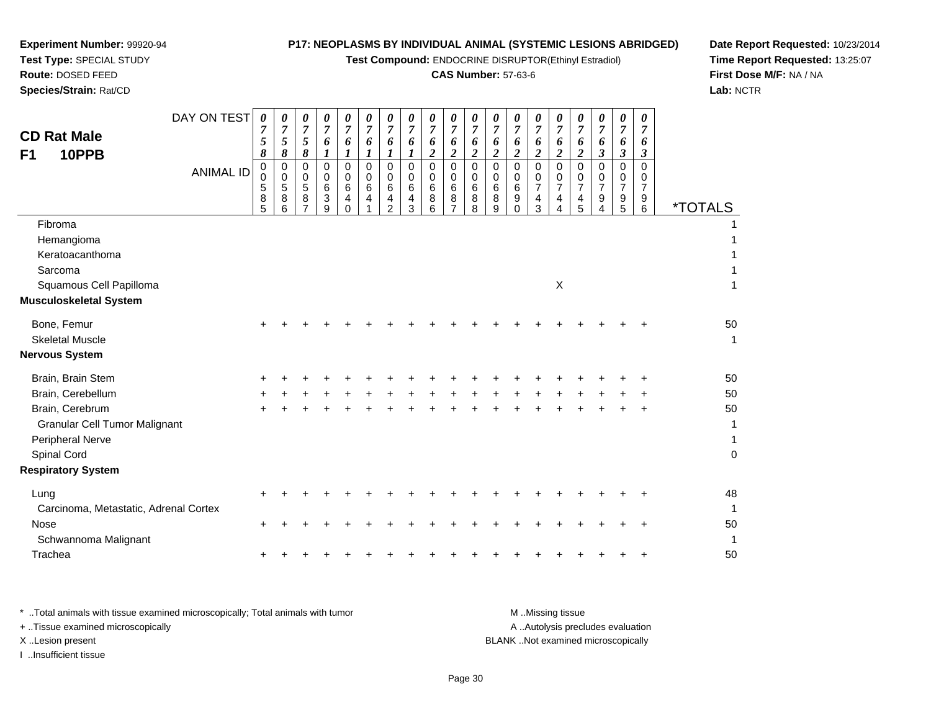**Test Compound:** ENDOCRINE DISRUPTOR(Ethinyl Estradiol)

# **CAS Number:** 57-63-6

**Date Report Requested:** 10/23/2014 **Time Report Requested:** 13:25:07**First Dose M/F:** NA / NA**Lab:** NCTR

| <b>CD Rat Male</b><br>10PPB<br>F <sub>1</sub> | DAY ON TEST      | 0<br>$\overline{7}$<br>5<br>8 | 0<br>$\overline{7}$<br>5<br>8   | 0<br>7<br>5<br>8 | 0<br>$\overline{7}$<br>6<br>$\bm{l}$              | 0<br>$\boldsymbol{7}$<br>6<br>$\bm{l}$ | 0<br>$\overline{7}$<br>6<br>$\boldsymbol{l}$ | 0<br>$\overline{7}$<br>6<br>$\boldsymbol{l}$                       | 0<br>$\overline{7}$<br>6<br>1   | 0<br>$\boldsymbol{7}$<br>6<br>$\overline{2}$               | 0<br>$\overline{7}$<br>6<br>$\overline{c}$ | 0<br>7<br>6<br>$\boldsymbol{2}$ | 0<br>$\overline{7}$<br>6<br>$\boldsymbol{2}$ | 0<br>7<br>6<br>$\boldsymbol{2}$ | 0<br>$\overline{7}$<br>6<br>$\overline{c}$             | 0<br>7<br>6<br>$\boldsymbol{2}$                                        | 0<br>7<br>6<br>$\boldsymbol{2}$                     | 0<br>$\overline{7}$<br>6<br>3                | 0<br>7<br>6<br>$\boldsymbol{\beta}$ | 0<br>7<br>6<br>3             |                       |
|-----------------------------------------------|------------------|-------------------------------|---------------------------------|------------------|---------------------------------------------------|----------------------------------------|----------------------------------------------|--------------------------------------------------------------------|---------------------------------|------------------------------------------------------------|--------------------------------------------|---------------------------------|----------------------------------------------|---------------------------------|--------------------------------------------------------|------------------------------------------------------------------------|-----------------------------------------------------|----------------------------------------------|-------------------------------------|------------------------------|-----------------------|
|                                               | <b>ANIMAL ID</b> | $\pmb{0}$<br>0<br>5<br>8<br>5 | 0<br>$\mathbf 0$<br>5<br>8<br>6 | 0<br>0<br>5<br>8 | 0<br>0<br>$\,6$<br>$\ensuremath{\mathsf{3}}$<br>9 | $\Omega$<br>0<br>6<br>4<br>$\Omega$    | $\mathbf 0$<br>0<br>6<br>4                   | 0<br>$\mathbf 0$<br>6<br>$\overline{\mathbf{r}}$<br>$\overline{2}$ | $\mathbf 0$<br>0<br>6<br>4<br>3 | $\mathbf 0$<br>$\pmb{0}$<br>$6\phantom{a}$<br>$\,8\,$<br>6 | $\mathbf 0$<br>$\mathbf 0$<br>6<br>8<br>7  | $\mathbf 0$<br>0<br>6<br>8<br>8 | 0<br>0<br>6<br>8<br>9                        | 0<br>0<br>6<br>9<br>0           | $\mathbf 0$<br>$\mathbf 0$<br>$\overline{7}$<br>4<br>3 | $\Omega$<br>$\Omega$<br>$\overline{7}$<br>$\overline{\mathbf{4}}$<br>4 | $\mathbf 0$<br>$\Omega$<br>$\overline{7}$<br>4<br>5 | 0<br>$\mathbf 0$<br>$\overline{7}$<br>9<br>4 | $\mathbf 0$<br>0<br>7<br>9<br>5     | $\Omega$<br>0<br>7<br>9<br>6 | <i><b>*TOTALS</b></i> |
| Fibroma                                       |                  |                               |                                 |                  |                                                   |                                        |                                              |                                                                    |                                 |                                                            |                                            |                                 |                                              |                                 |                                                        |                                                                        |                                                     |                                              |                                     |                              |                       |
| Hemangioma                                    |                  |                               |                                 |                  |                                                   |                                        |                                              |                                                                    |                                 |                                                            |                                            |                                 |                                              |                                 |                                                        |                                                                        |                                                     |                                              |                                     |                              |                       |
| Keratoacanthoma                               |                  |                               |                                 |                  |                                                   |                                        |                                              |                                                                    |                                 |                                                            |                                            |                                 |                                              |                                 |                                                        |                                                                        |                                                     |                                              |                                     |                              |                       |
| Sarcoma                                       |                  |                               |                                 |                  |                                                   |                                        |                                              |                                                                    |                                 |                                                            |                                            |                                 |                                              |                                 |                                                        |                                                                        |                                                     |                                              |                                     |                              |                       |
| Squamous Cell Papilloma                       |                  |                               |                                 |                  |                                                   |                                        |                                              |                                                                    |                                 |                                                            |                                            |                                 |                                              |                                 |                                                        | $\sf X$                                                                |                                                     |                                              |                                     |                              |                       |
| <b>Musculoskeletal System</b>                 |                  |                               |                                 |                  |                                                   |                                        |                                              |                                                                    |                                 |                                                            |                                            |                                 |                                              |                                 |                                                        |                                                                        |                                                     |                                              |                                     |                              |                       |
| Bone, Femur                                   |                  |                               |                                 |                  |                                                   |                                        |                                              |                                                                    |                                 |                                                            |                                            |                                 |                                              |                                 |                                                        |                                                                        |                                                     |                                              |                                     |                              | 50                    |
| <b>Skeletal Muscle</b>                        |                  |                               |                                 |                  |                                                   |                                        |                                              |                                                                    |                                 |                                                            |                                            |                                 |                                              |                                 |                                                        |                                                                        |                                                     |                                              |                                     |                              | 1                     |
| <b>Nervous System</b>                         |                  |                               |                                 |                  |                                                   |                                        |                                              |                                                                    |                                 |                                                            |                                            |                                 |                                              |                                 |                                                        |                                                                        |                                                     |                                              |                                     |                              |                       |
| Brain, Brain Stem                             |                  |                               |                                 |                  |                                                   |                                        |                                              |                                                                    |                                 |                                                            |                                            |                                 |                                              |                                 |                                                        |                                                                        |                                                     |                                              |                                     |                              | 50                    |
| Brain, Cerebellum                             |                  |                               |                                 |                  |                                                   |                                        |                                              |                                                                    |                                 |                                                            |                                            |                                 |                                              |                                 |                                                        |                                                                        |                                                     |                                              |                                     |                              | 50                    |
| Brain, Cerebrum                               |                  | ÷                             |                                 |                  |                                                   |                                        |                                              |                                                                    |                                 |                                                            |                                            |                                 |                                              |                                 |                                                        |                                                                        |                                                     |                                              |                                     |                              | 50                    |
| <b>Granular Cell Tumor Malignant</b>          |                  |                               |                                 |                  |                                                   |                                        |                                              |                                                                    |                                 |                                                            |                                            |                                 |                                              |                                 |                                                        |                                                                        |                                                     |                                              |                                     |                              | 1                     |
| Peripheral Nerve                              |                  |                               |                                 |                  |                                                   |                                        |                                              |                                                                    |                                 |                                                            |                                            |                                 |                                              |                                 |                                                        |                                                                        |                                                     |                                              |                                     |                              | 1                     |
| Spinal Cord                                   |                  |                               |                                 |                  |                                                   |                                        |                                              |                                                                    |                                 |                                                            |                                            |                                 |                                              |                                 |                                                        |                                                                        |                                                     |                                              |                                     |                              | $\overline{0}$        |
| <b>Respiratory System</b>                     |                  |                               |                                 |                  |                                                   |                                        |                                              |                                                                    |                                 |                                                            |                                            |                                 |                                              |                                 |                                                        |                                                                        |                                                     |                                              |                                     |                              |                       |
| Lung                                          |                  |                               |                                 |                  |                                                   |                                        |                                              |                                                                    |                                 |                                                            |                                            |                                 |                                              |                                 |                                                        |                                                                        |                                                     |                                              |                                     |                              | 48                    |
| Carcinoma, Metastatic, Adrenal Cortex         |                  |                               |                                 |                  |                                                   |                                        |                                              |                                                                    |                                 |                                                            |                                            |                                 |                                              |                                 |                                                        |                                                                        |                                                     |                                              |                                     |                              | $\mathbf{1}$          |
| <b>Nose</b>                                   |                  | ÷                             |                                 |                  |                                                   |                                        |                                              |                                                                    |                                 |                                                            |                                            |                                 |                                              |                                 |                                                        |                                                                        |                                                     |                                              |                                     | ÷                            | 50                    |
| Schwannoma Malignant                          |                  |                               |                                 |                  |                                                   |                                        |                                              |                                                                    |                                 |                                                            |                                            |                                 |                                              |                                 |                                                        |                                                                        |                                                     |                                              |                                     |                              | 1                     |
| Trachea                                       |                  |                               |                                 |                  |                                                   |                                        |                                              |                                                                    |                                 |                                                            |                                            |                                 |                                              |                                 |                                                        |                                                                        |                                                     |                                              |                                     | +                            | 50                    |
|                                               |                  |                               |                                 |                  |                                                   |                                        |                                              |                                                                    |                                 |                                                            |                                            |                                 |                                              |                                 |                                                        |                                                                        |                                                     |                                              |                                     |                              |                       |

| Total animals with tissue examined microscopically; Total animals with tumor | M Missing tissue                   |
|------------------------------------------------------------------------------|------------------------------------|
| + Tissue examined microscopically                                            | A Autolysis precludes evaluation   |
| X Lesion present                                                             | BLANK Not examined microscopically |
| …Insufficient tissue                                                         |                                    |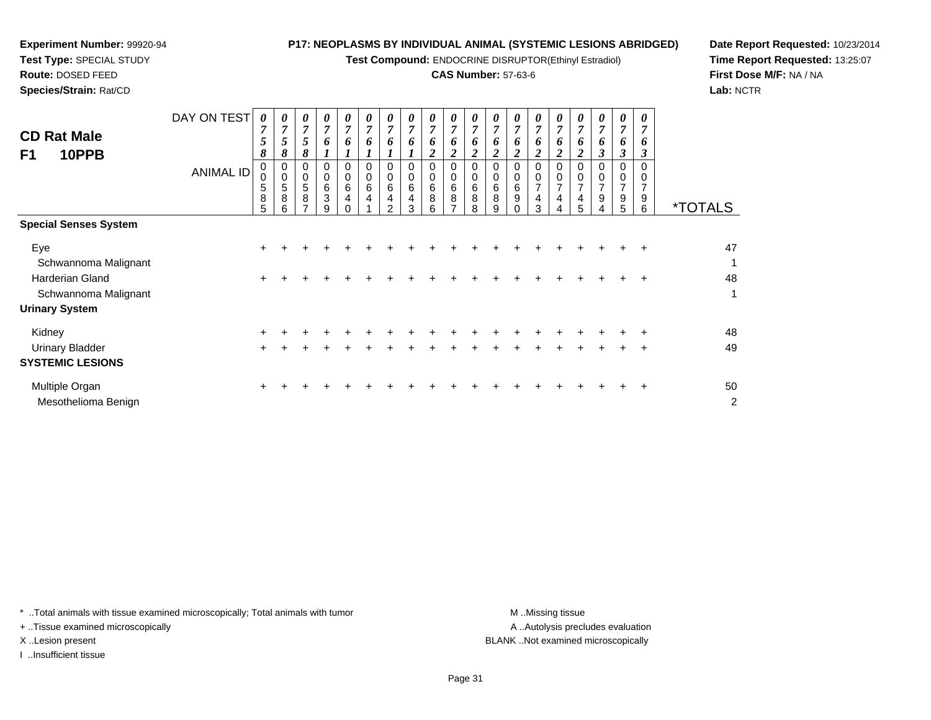**Test Compound:** ENDOCRINE DISRUPTOR(Ethinyl Estradiol)

## **CAS Number:** 57-63-6

**Date Report Requested:** 10/23/2014**Time Report Requested:** 13:25:07**First Dose M/F:** NA / NA**Lab:** NCTR

| <b>CD Rat Male</b><br>F1<br>10PPB                 | DAY ON TEST<br><b>ANIMAL ID</b> | 0<br>7<br>5<br>8<br>0<br>$\mathbf 0$<br>5<br>8<br>5 | 0<br>7<br>5<br>8<br>0<br>0<br>5<br>8 | 0<br>7<br>5<br>8<br>$\mathbf 0$<br>$\sqrt{5}$<br>8 | $\boldsymbol{\theta}$<br>7<br>6<br>0<br>6<br>3<br>9 | 0<br>$\overline{7}$<br>6<br>0<br>$\mathbf 0$<br>6<br>4 | 0<br>$\overline{7}$<br>6<br>0<br>0<br>6<br>4 | 0<br>7<br>6<br>$\Omega$<br>0<br>6<br>4<br>$\mathcal{P}$ | 0<br>7<br>6<br>0<br>$\pmb{0}$<br>6<br>4<br>3 | 0<br>7<br>6<br>$\overline{c}$<br>$\mathbf 0$<br>6<br>8<br>6 | 0<br>$\overline{7}$<br>6<br>$\boldsymbol{2}$<br>$\Omega$<br>$\mathbf 0$<br>$\,6\,$<br>8<br>⇁ | 0<br>$\overline{7}$<br>6<br>$\overline{2}$<br>0<br>$\pmb{0}$<br>6<br>8<br>8 | 0<br>$\overline{7}$<br>6<br>2<br>0<br>6<br>8<br>9 | 7<br>6<br>2<br>0<br>6<br>9 | 6<br>2<br>0<br>$\overline{ }$<br>4<br>3 | 0<br>7<br>6<br>0<br>$\overline{7}$<br>4 | 0<br>7<br>6<br>$\overline{c}$<br>0<br>$\overline{7}$<br>4<br>5 | 0<br>7<br>6<br>3<br>$\mathbf 0$<br>$\overline{7}$<br>9 | $\boldsymbol{\theta}$<br>7<br>6<br>3<br>0<br>$\overline{7}$<br>9<br>5 | 6<br>3<br>9<br>6 | <i><b>*TOTALS</b></i> |
|---------------------------------------------------|---------------------------------|-----------------------------------------------------|--------------------------------------|----------------------------------------------------|-----------------------------------------------------|--------------------------------------------------------|----------------------------------------------|---------------------------------------------------------|----------------------------------------------|-------------------------------------------------------------|----------------------------------------------------------------------------------------------|-----------------------------------------------------------------------------|---------------------------------------------------|----------------------------|-----------------------------------------|-----------------------------------------|----------------------------------------------------------------|--------------------------------------------------------|-----------------------------------------------------------------------|------------------|-----------------------|
| <b>Special Senses System</b>                      |                                 |                                                     |                                      |                                                    |                                                     |                                                        |                                              |                                                         |                                              |                                                             |                                                                                              |                                                                             |                                                   |                            |                                         |                                         |                                                                |                                                        |                                                                       |                  |                       |
| Eye<br>Schwannoma Malignant                       |                                 | ٠                                                   |                                      |                                                    |                                                     |                                                        |                                              |                                                         |                                              |                                                             |                                                                                              |                                                                             |                                                   |                            |                                         |                                         |                                                                |                                                        |                                                                       |                  | 47<br>$\mathbf{1}$    |
| Harderian Gland<br>Schwannoma Malignant           |                                 | $\ddot{}$                                           |                                      |                                                    |                                                     |                                                        |                                              |                                                         |                                              |                                                             |                                                                                              |                                                                             |                                                   |                            |                                         |                                         |                                                                |                                                        |                                                                       | ٠                | 48<br>1               |
| <b>Urinary System</b>                             |                                 |                                                     |                                      |                                                    |                                                     |                                                        |                                              |                                                         |                                              |                                                             |                                                                                              |                                                                             |                                                   |                            |                                         |                                         |                                                                |                                                        |                                                                       |                  |                       |
| Kidney                                            |                                 |                                                     |                                      |                                                    |                                                     |                                                        |                                              |                                                         |                                              |                                                             |                                                                                              |                                                                             |                                                   |                            |                                         |                                         |                                                                |                                                        |                                                                       |                  | 48                    |
| <b>Urinary Bladder</b><br><b>SYSTEMIC LESIONS</b> |                                 | ÷                                                   |                                      |                                                    |                                                     |                                                        |                                              |                                                         |                                              |                                                             |                                                                                              |                                                                             |                                                   |                            |                                         |                                         |                                                                |                                                        | $\div$                                                                | $\ddot{}$        | 49                    |
| Multiple Organ                                    |                                 |                                                     |                                      |                                                    |                                                     |                                                        |                                              |                                                         |                                              |                                                             |                                                                                              |                                                                             |                                                   |                            |                                         |                                         |                                                                |                                                        |                                                                       |                  | 50                    |

Mesothelioma Benignn  $\sim$  2

**Experiment Number:** 99920-94**Test Type:** SPECIAL STUDY**Route:** DOSED FEED**Species/Strain:** Rat/CD

\* ..Total animals with tissue examined microscopically; Total animals with tumor **M** . Missing tissue M ..Missing tissue

+ ..Tissue examined microscopically

I ..Insufficient tissue

A ..Autolysis precludes evaluation X ..Lesion present BLANK ..Not examined microscopically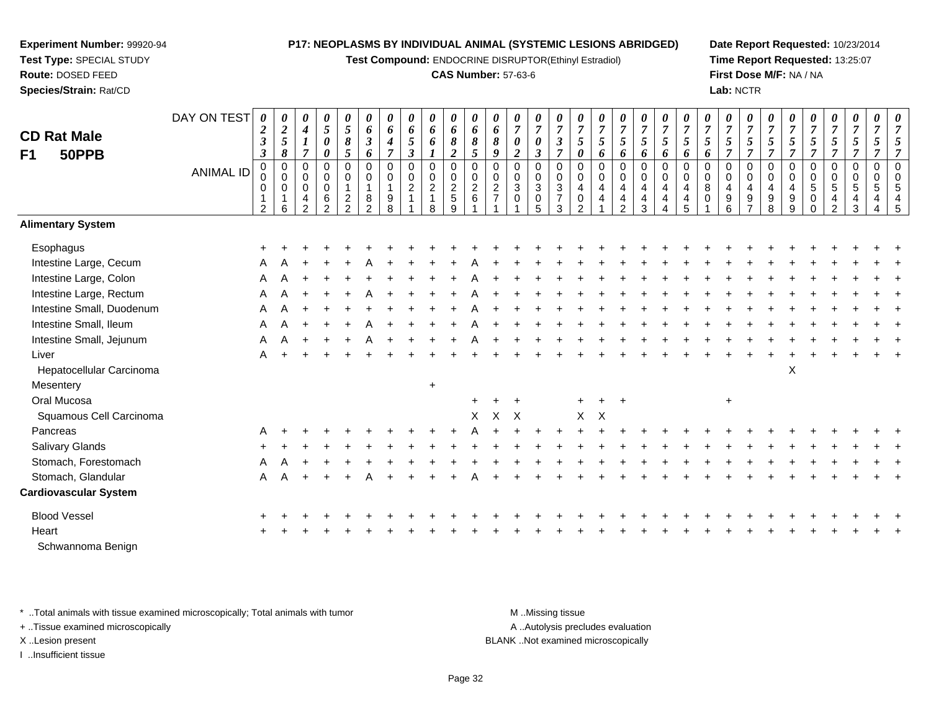**Test Compound:** ENDOCRINE DISRUPTOR(Ethinyl Estradiol)

### **CAS Number:** 57-63-6

**Date Report Requested:** 10/23/2014**Time Report Requested:** 13:25:07**First Dose M/F:** NA / NA**Lab:** NCTR

| <b>CD Rat Male</b><br>F1<br>50PPB | DAY ON TEST<br><b>ANIMAL ID</b> | 0<br>$\boldsymbol{2}$<br>$\boldsymbol{\mathfrak{z}}$<br>$\boldsymbol{\beta}$<br>$\pmb{0}$<br>0<br>0<br>$\overline{2}$ | 0<br>$\boldsymbol{2}$<br>5<br>8<br>$\pmb{0}$<br>$\mathbf 0$<br>$\mathbf 0$<br>6 | 0<br>$\boldsymbol{4}$<br>$\boldsymbol{l}$<br>$\overline{7}$<br>0<br>$\mathbf 0$<br>$\mathbf 0$<br>$\overline{4}$<br>$\overline{2}$ | $\boldsymbol{\theta}$<br>$\sqrt{5}$<br>$\pmb{\theta}$<br>$\pmb{\theta}$<br>$\pmb{0}$<br>$\mathbf 0$<br>$\pmb{0}$<br>$\,6\,$<br>$\overline{2}$ | $\boldsymbol{\theta}$<br>$\overline{5}$<br>$\pmb{8}$<br>5<br>$\pmb{0}$<br>0<br>$\mathbf{1}$<br>$\overline{c}$<br>$\overline{2}$ | 0<br>6<br>$\boldsymbol{\beta}$<br>6<br>$\mathbf 0$<br>0<br>$\mathbf{1}$<br>8<br>$\overline{2}$ | 0<br>6<br>$\boldsymbol{4}$<br>$\overline{7}$<br>0<br>$\mathbf 0$<br>$\mathbf{1}$<br>9<br>8 | 0<br>6<br>$\mathfrak{s}$<br>$\mathfrak{z}$<br>$\mathbf 0$<br>$^{\rm 0}_{\rm 2}$ | $\pmb{\theta}$<br>6<br>6<br>$\boldsymbol{l}$<br>$\pmb{0}$<br>$\pmb{0}$<br>$\sqrt{2}$<br>$\mathbf{1}$<br>8 | $\pmb{\theta}$<br>6<br>$\boldsymbol{\delta}$<br>$\boldsymbol{2}$<br>0<br>0<br>$\sqrt{2}$<br>$\,$ 5 $\,$<br>$\boldsymbol{9}$ | 0<br>6<br>8<br>$\overline{5}$<br>$\boldsymbol{0}$<br>$\mathbf 0$<br>$\overline{2}$<br>6 | 0<br>6<br>8<br>9<br>$\mathbf 0$<br>$\mathbf 0$<br>$\overline{c}$<br>$\overline{7}$ | 0<br>$\boldsymbol{7}$<br>$\boldsymbol{\theta}$<br>$\overline{c}$<br>0<br>0<br>$\overline{3}$<br>$\mathbf 0$ | 0<br>$\overline{7}$<br>$\boldsymbol{\theta}$<br>$\boldsymbol{\beta}$<br>$\pmb{0}$<br>$\,0\,$<br>$\sqrt{3}$<br>$\,0\,$<br>5 | 0<br>$\overline{7}$<br>$\boldsymbol{\mathfrak{z}}$<br>$\overline{7}$<br>$\pmb{0}$<br>$\mathbf 0$<br>3<br>$\overline{7}$<br>3 | 0<br>$\overline{7}$<br>$\mathfrak{s}$<br>$\boldsymbol{\theta}$<br>$\pmb{0}$<br>$\Omega$<br>4<br>0<br>$\mathcal{P}$ | $\pmb{\theta}$<br>$\boldsymbol{7}$<br>$\mathfrak{I}$<br>6<br>$\mathbf 0$<br>0<br>$\overline{4}$<br>4 | 0<br>$\boldsymbol{7}$<br>5<br>6<br>$\mathbf 0$<br>$\mathbf 0$<br>$\overline{4}$<br>$\overline{4}$<br>2 | $\frac{\theta}{7}$<br>$\mathfrak{z}$<br>6<br>$\boldsymbol{0}$<br>0<br>$\overline{4}$<br>$\overline{\mathbf{4}}$<br>3 | 0<br>$\boldsymbol{7}$<br>$\sqrt{5}$<br>6<br>$\mathsf 0$<br>$\mathbf 0$<br>$\overline{4}$<br>$\overline{4}$<br>$\boldsymbol{\Lambda}$ | $\boldsymbol{\theta}$<br>$\overline{7}$<br>5<br>6<br>$\mathsf 0$<br>$\Omega$<br>$\overline{4}$<br>4<br>5 | $\pmb{\theta}$<br>$\overline{7}$<br>$\mathfrak{s}$<br>6<br>0<br>$\mathbf 0$<br>8<br>$\mathbf 0$ | $\frac{\boldsymbol{\theta}}{\boldsymbol{7}}$<br>$\sqrt{5}$<br>$\overline{7}$<br>$\pmb{0}$<br>$\mathbf 0$<br>$\overline{4}$<br>$\boldsymbol{9}$<br>6 | 0<br>$\overline{7}$<br>5 <sup>5</sup><br>$\overline{7}$<br>$\mathbf 0$<br>$\mathbf 0$<br>4<br>9 | 0<br>$\overline{7}$<br>$\mathfrak{s}$<br>$\overline{7}$<br>$\pmb{0}$<br>$\mathbf 0$<br>4<br>9<br>8 | $\pmb{\theta}$<br>$\overline{7}$<br>5<br>$\overline{7}$<br>$\pmb{0}$<br>0<br>$\overline{4}$<br>9<br>9 | 0<br>$\overline{7}$<br>5<br>$\overline{7}$<br>$\mathbf 0$<br>$\pmb{0}$<br>$5\phantom{.0}$<br>$\pmb{0}$<br>$\mathbf 0$ | $\boldsymbol{\theta}$<br>$\overline{7}$<br>$\mathfrak{s}$<br>$\overline{7}$<br>$\pmb{0}$<br>$\mathbf 0$<br>$\overline{5}$<br>$\overline{4}$<br>$\overline{2}$ | 0<br>$\overline{7}$<br>$\sqrt{5}$<br>$\overline{7}$<br>$\mathbf 0$<br>$\mathbf 0$<br>5<br>4<br>3 | 0<br>$\overline{7}$<br>5<br>$\overline{7}$<br>$\mathbf 0$<br>$\Omega$<br>5<br>4<br>4 | 0<br>$\overline{7}$<br>5<br>$\overline{7}$<br>$\mathbf 0$<br>$\mathbf 0$<br>5<br>4<br>5 |
|-----------------------------------|---------------------------------|-----------------------------------------------------------------------------------------------------------------------|---------------------------------------------------------------------------------|------------------------------------------------------------------------------------------------------------------------------------|-----------------------------------------------------------------------------------------------------------------------------------------------|---------------------------------------------------------------------------------------------------------------------------------|------------------------------------------------------------------------------------------------|--------------------------------------------------------------------------------------------|---------------------------------------------------------------------------------|-----------------------------------------------------------------------------------------------------------|-----------------------------------------------------------------------------------------------------------------------------|-----------------------------------------------------------------------------------------|------------------------------------------------------------------------------------|-------------------------------------------------------------------------------------------------------------|----------------------------------------------------------------------------------------------------------------------------|------------------------------------------------------------------------------------------------------------------------------|--------------------------------------------------------------------------------------------------------------------|------------------------------------------------------------------------------------------------------|--------------------------------------------------------------------------------------------------------|----------------------------------------------------------------------------------------------------------------------|--------------------------------------------------------------------------------------------------------------------------------------|----------------------------------------------------------------------------------------------------------|-------------------------------------------------------------------------------------------------|-----------------------------------------------------------------------------------------------------------------------------------------------------|-------------------------------------------------------------------------------------------------|----------------------------------------------------------------------------------------------------|-------------------------------------------------------------------------------------------------------|-----------------------------------------------------------------------------------------------------------------------|---------------------------------------------------------------------------------------------------------------------------------------------------------------|--------------------------------------------------------------------------------------------------|--------------------------------------------------------------------------------------|-----------------------------------------------------------------------------------------|
| <b>Alimentary System</b>          |                                 |                                                                                                                       |                                                                                 |                                                                                                                                    |                                                                                                                                               |                                                                                                                                 |                                                                                                |                                                                                            |                                                                                 |                                                                                                           |                                                                                                                             |                                                                                         |                                                                                    |                                                                                                             |                                                                                                                            |                                                                                                                              |                                                                                                                    |                                                                                                      |                                                                                                        |                                                                                                                      |                                                                                                                                      |                                                                                                          |                                                                                                 |                                                                                                                                                     |                                                                                                 |                                                                                                    |                                                                                                       |                                                                                                                       |                                                                                                                                                               |                                                                                                  |                                                                                      |                                                                                         |
| Esophagus                         |                                 |                                                                                                                       |                                                                                 |                                                                                                                                    |                                                                                                                                               |                                                                                                                                 |                                                                                                |                                                                                            |                                                                                 |                                                                                                           |                                                                                                                             |                                                                                         |                                                                                    |                                                                                                             |                                                                                                                            |                                                                                                                              |                                                                                                                    |                                                                                                      |                                                                                                        |                                                                                                                      |                                                                                                                                      |                                                                                                          |                                                                                                 |                                                                                                                                                     |                                                                                                 |                                                                                                    |                                                                                                       |                                                                                                                       |                                                                                                                                                               |                                                                                                  |                                                                                      |                                                                                         |
| Intestine Large, Cecum            |                                 |                                                                                                                       |                                                                                 |                                                                                                                                    |                                                                                                                                               |                                                                                                                                 |                                                                                                |                                                                                            |                                                                                 |                                                                                                           |                                                                                                                             |                                                                                         |                                                                                    |                                                                                                             |                                                                                                                            |                                                                                                                              |                                                                                                                    |                                                                                                      |                                                                                                        |                                                                                                                      |                                                                                                                                      |                                                                                                          |                                                                                                 |                                                                                                                                                     |                                                                                                 |                                                                                                    |                                                                                                       |                                                                                                                       |                                                                                                                                                               |                                                                                                  |                                                                                      |                                                                                         |
| Intestine Large, Colon            |                                 | A                                                                                                                     |                                                                                 |                                                                                                                                    |                                                                                                                                               |                                                                                                                                 |                                                                                                |                                                                                            |                                                                                 |                                                                                                           |                                                                                                                             |                                                                                         |                                                                                    |                                                                                                             |                                                                                                                            |                                                                                                                              |                                                                                                                    |                                                                                                      |                                                                                                        |                                                                                                                      |                                                                                                                                      |                                                                                                          |                                                                                                 |                                                                                                                                                     |                                                                                                 |                                                                                                    |                                                                                                       |                                                                                                                       |                                                                                                                                                               |                                                                                                  |                                                                                      |                                                                                         |
| Intestine Large, Rectum           |                                 | Α                                                                                                                     |                                                                                 |                                                                                                                                    |                                                                                                                                               |                                                                                                                                 |                                                                                                |                                                                                            |                                                                                 |                                                                                                           |                                                                                                                             |                                                                                         |                                                                                    |                                                                                                             |                                                                                                                            |                                                                                                                              |                                                                                                                    |                                                                                                      |                                                                                                        |                                                                                                                      |                                                                                                                                      |                                                                                                          |                                                                                                 |                                                                                                                                                     |                                                                                                 |                                                                                                    |                                                                                                       |                                                                                                                       |                                                                                                                                                               |                                                                                                  |                                                                                      |                                                                                         |
| Intestine Small, Duodenum         |                                 | A                                                                                                                     |                                                                                 |                                                                                                                                    |                                                                                                                                               |                                                                                                                                 |                                                                                                |                                                                                            |                                                                                 |                                                                                                           |                                                                                                                             |                                                                                         |                                                                                    |                                                                                                             |                                                                                                                            |                                                                                                                              |                                                                                                                    |                                                                                                      |                                                                                                        |                                                                                                                      |                                                                                                                                      |                                                                                                          |                                                                                                 |                                                                                                                                                     |                                                                                                 |                                                                                                    |                                                                                                       |                                                                                                                       |                                                                                                                                                               |                                                                                                  |                                                                                      |                                                                                         |
| Intestine Small, Ileum            |                                 | А                                                                                                                     |                                                                                 |                                                                                                                                    |                                                                                                                                               |                                                                                                                                 |                                                                                                |                                                                                            |                                                                                 |                                                                                                           |                                                                                                                             |                                                                                         |                                                                                    |                                                                                                             |                                                                                                                            |                                                                                                                              |                                                                                                                    |                                                                                                      |                                                                                                        |                                                                                                                      |                                                                                                                                      |                                                                                                          |                                                                                                 |                                                                                                                                                     |                                                                                                 |                                                                                                    |                                                                                                       |                                                                                                                       |                                                                                                                                                               |                                                                                                  |                                                                                      |                                                                                         |
| Intestine Small, Jejunum          |                                 | A                                                                                                                     |                                                                                 |                                                                                                                                    |                                                                                                                                               |                                                                                                                                 |                                                                                                |                                                                                            |                                                                                 |                                                                                                           |                                                                                                                             |                                                                                         |                                                                                    |                                                                                                             |                                                                                                                            |                                                                                                                              |                                                                                                                    |                                                                                                      |                                                                                                        |                                                                                                                      |                                                                                                                                      |                                                                                                          |                                                                                                 |                                                                                                                                                     |                                                                                                 |                                                                                                    |                                                                                                       |                                                                                                                       |                                                                                                                                                               |                                                                                                  |                                                                                      |                                                                                         |
| Liver                             |                                 | A                                                                                                                     |                                                                                 |                                                                                                                                    |                                                                                                                                               |                                                                                                                                 |                                                                                                |                                                                                            |                                                                                 |                                                                                                           |                                                                                                                             |                                                                                         |                                                                                    |                                                                                                             |                                                                                                                            |                                                                                                                              |                                                                                                                    |                                                                                                      |                                                                                                        |                                                                                                                      |                                                                                                                                      |                                                                                                          |                                                                                                 |                                                                                                                                                     |                                                                                                 |                                                                                                    |                                                                                                       |                                                                                                                       |                                                                                                                                                               |                                                                                                  |                                                                                      |                                                                                         |
| Hepatocellular Carcinoma          |                                 |                                                                                                                       |                                                                                 |                                                                                                                                    |                                                                                                                                               |                                                                                                                                 |                                                                                                |                                                                                            |                                                                                 |                                                                                                           |                                                                                                                             |                                                                                         |                                                                                    |                                                                                                             |                                                                                                                            |                                                                                                                              |                                                                                                                    |                                                                                                      |                                                                                                        |                                                                                                                      |                                                                                                                                      |                                                                                                          |                                                                                                 |                                                                                                                                                     |                                                                                                 |                                                                                                    | X                                                                                                     |                                                                                                                       |                                                                                                                                                               |                                                                                                  |                                                                                      |                                                                                         |
| Mesentery                         |                                 |                                                                                                                       |                                                                                 |                                                                                                                                    |                                                                                                                                               |                                                                                                                                 |                                                                                                |                                                                                            |                                                                                 | $\ddot{}$                                                                                                 |                                                                                                                             |                                                                                         |                                                                                    |                                                                                                             |                                                                                                                            |                                                                                                                              |                                                                                                                    |                                                                                                      |                                                                                                        |                                                                                                                      |                                                                                                                                      |                                                                                                          |                                                                                                 |                                                                                                                                                     |                                                                                                 |                                                                                                    |                                                                                                       |                                                                                                                       |                                                                                                                                                               |                                                                                                  |                                                                                      |                                                                                         |
| Oral Mucosa                       |                                 |                                                                                                                       |                                                                                 |                                                                                                                                    |                                                                                                                                               |                                                                                                                                 |                                                                                                |                                                                                            |                                                                                 |                                                                                                           |                                                                                                                             |                                                                                         |                                                                                    |                                                                                                             |                                                                                                                            |                                                                                                                              |                                                                                                                    | $\ddot{}$                                                                                            | $^{+}$                                                                                                 |                                                                                                                      |                                                                                                                                      |                                                                                                          |                                                                                                 | $\ddot{}$                                                                                                                                           |                                                                                                 |                                                                                                    |                                                                                                       |                                                                                                                       |                                                                                                                                                               |                                                                                                  |                                                                                      |                                                                                         |
| Squamous Cell Carcinoma           |                                 |                                                                                                                       |                                                                                 |                                                                                                                                    |                                                                                                                                               |                                                                                                                                 |                                                                                                |                                                                                            |                                                                                 |                                                                                                           |                                                                                                                             | X                                                                                       | $\boldsymbol{X}$                                                                   | $\mathsf{X}$                                                                                                |                                                                                                                            |                                                                                                                              | $\mathsf{X}$                                                                                                       | $\times$                                                                                             |                                                                                                        |                                                                                                                      |                                                                                                                                      |                                                                                                          |                                                                                                 |                                                                                                                                                     |                                                                                                 |                                                                                                    |                                                                                                       |                                                                                                                       |                                                                                                                                                               |                                                                                                  |                                                                                      |                                                                                         |
| Pancreas                          |                                 |                                                                                                                       |                                                                                 |                                                                                                                                    |                                                                                                                                               |                                                                                                                                 |                                                                                                |                                                                                            |                                                                                 |                                                                                                           |                                                                                                                             |                                                                                         |                                                                                    |                                                                                                             |                                                                                                                            |                                                                                                                              |                                                                                                                    |                                                                                                      |                                                                                                        |                                                                                                                      |                                                                                                                                      |                                                                                                          |                                                                                                 |                                                                                                                                                     |                                                                                                 |                                                                                                    |                                                                                                       |                                                                                                                       |                                                                                                                                                               |                                                                                                  |                                                                                      |                                                                                         |
| Salivary Glands                   |                                 |                                                                                                                       |                                                                                 |                                                                                                                                    |                                                                                                                                               |                                                                                                                                 |                                                                                                |                                                                                            |                                                                                 |                                                                                                           |                                                                                                                             |                                                                                         |                                                                                    |                                                                                                             |                                                                                                                            |                                                                                                                              |                                                                                                                    |                                                                                                      |                                                                                                        |                                                                                                                      |                                                                                                                                      |                                                                                                          |                                                                                                 |                                                                                                                                                     |                                                                                                 |                                                                                                    |                                                                                                       |                                                                                                                       |                                                                                                                                                               |                                                                                                  |                                                                                      |                                                                                         |
| Stomach, Forestomach              |                                 | A                                                                                                                     |                                                                                 |                                                                                                                                    |                                                                                                                                               |                                                                                                                                 |                                                                                                |                                                                                            |                                                                                 |                                                                                                           |                                                                                                                             |                                                                                         |                                                                                    |                                                                                                             |                                                                                                                            |                                                                                                                              |                                                                                                                    |                                                                                                      |                                                                                                        |                                                                                                                      |                                                                                                                                      |                                                                                                          |                                                                                                 |                                                                                                                                                     |                                                                                                 |                                                                                                    |                                                                                                       |                                                                                                                       |                                                                                                                                                               |                                                                                                  |                                                                                      |                                                                                         |
| Stomach, Glandular                |                                 | Α                                                                                                                     | А                                                                               |                                                                                                                                    |                                                                                                                                               |                                                                                                                                 |                                                                                                |                                                                                            |                                                                                 |                                                                                                           |                                                                                                                             |                                                                                         |                                                                                    |                                                                                                             |                                                                                                                            |                                                                                                                              |                                                                                                                    |                                                                                                      |                                                                                                        |                                                                                                                      |                                                                                                                                      |                                                                                                          |                                                                                                 |                                                                                                                                                     |                                                                                                 |                                                                                                    |                                                                                                       |                                                                                                                       |                                                                                                                                                               |                                                                                                  |                                                                                      |                                                                                         |
| <b>Cardiovascular System</b>      |                                 |                                                                                                                       |                                                                                 |                                                                                                                                    |                                                                                                                                               |                                                                                                                                 |                                                                                                |                                                                                            |                                                                                 |                                                                                                           |                                                                                                                             |                                                                                         |                                                                                    |                                                                                                             |                                                                                                                            |                                                                                                                              |                                                                                                                    |                                                                                                      |                                                                                                        |                                                                                                                      |                                                                                                                                      |                                                                                                          |                                                                                                 |                                                                                                                                                     |                                                                                                 |                                                                                                    |                                                                                                       |                                                                                                                       |                                                                                                                                                               |                                                                                                  |                                                                                      |                                                                                         |
| <b>Blood Vessel</b>               |                                 |                                                                                                                       |                                                                                 |                                                                                                                                    |                                                                                                                                               |                                                                                                                                 |                                                                                                |                                                                                            |                                                                                 |                                                                                                           |                                                                                                                             |                                                                                         |                                                                                    |                                                                                                             |                                                                                                                            |                                                                                                                              |                                                                                                                    |                                                                                                      |                                                                                                        |                                                                                                                      |                                                                                                                                      |                                                                                                          |                                                                                                 |                                                                                                                                                     |                                                                                                 |                                                                                                    |                                                                                                       |                                                                                                                       |                                                                                                                                                               |                                                                                                  |                                                                                      |                                                                                         |
| Heart                             |                                 |                                                                                                                       |                                                                                 |                                                                                                                                    |                                                                                                                                               |                                                                                                                                 |                                                                                                |                                                                                            |                                                                                 |                                                                                                           |                                                                                                                             |                                                                                         |                                                                                    |                                                                                                             |                                                                                                                            |                                                                                                                              |                                                                                                                    |                                                                                                      |                                                                                                        |                                                                                                                      |                                                                                                                                      |                                                                                                          |                                                                                                 |                                                                                                                                                     |                                                                                                 |                                                                                                    |                                                                                                       |                                                                                                                       |                                                                                                                                                               |                                                                                                  |                                                                                      |                                                                                         |
| Schwannoma Benign                 |                                 |                                                                                                                       |                                                                                 |                                                                                                                                    |                                                                                                                                               |                                                                                                                                 |                                                                                                |                                                                                            |                                                                                 |                                                                                                           |                                                                                                                             |                                                                                         |                                                                                    |                                                                                                             |                                                                                                                            |                                                                                                                              |                                                                                                                    |                                                                                                      |                                                                                                        |                                                                                                                      |                                                                                                                                      |                                                                                                          |                                                                                                 |                                                                                                                                                     |                                                                                                 |                                                                                                    |                                                                                                       |                                                                                                                       |                                                                                                                                                               |                                                                                                  |                                                                                      |                                                                                         |

\* ..Total animals with tissue examined microscopically; Total animals with tumor **M** . Missing tissue M ..Missing tissue

+ ..Tissue examined microscopically

**Experiment Number:** 99920-94**Test Type:** SPECIAL STUDY**Route:** DOSED FEED**Species/Strain:** Rat/CD

I ..Insufficient tissue

A ..Autolysis precludes evaluation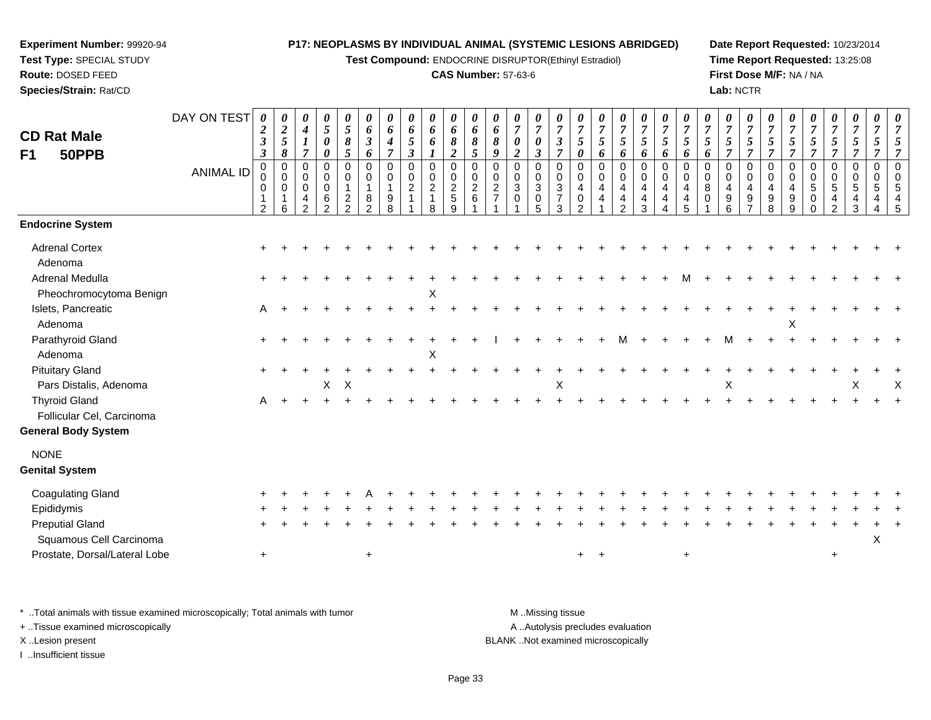**Test Compound:** ENDOCRINE DISRUPTOR(Ethinyl Estradiol)

#### **CAS Number:** 57-63-6

**Date Report Requested:** 10/23/2014**Time Report Requested:** 13:25:08**First Dose M/F:** NA / NA**Lab:** NCTR

| <b>CD Rat Male</b><br>F1<br>50PPB                 | DAY ON TEST<br><b>ANIMAL ID</b> | 0<br>$\boldsymbol{2}$<br>$\mathfrak{z}$<br>$\boldsymbol{\beta}$<br>0<br>0<br>2 | 0<br>$\boldsymbol{2}$<br>$\mathfrak{s}$<br>8<br>$\pmb{0}$<br>$\Omega$<br>$\mathbf 0$<br>6 | $\pmb{\theta}$<br>$\boldsymbol{4}$<br>$\boldsymbol{l}$<br>$\overline{7}$<br>0<br>0<br>$\mathbf 0$<br>4<br>2 | $\boldsymbol{\theta}$<br>$\overline{5}$<br>$\boldsymbol{\theta}$<br>$\pmb{\theta}$<br>$\mathsf 0$<br>$\mathbf 0$<br>$\mathbf 0$<br>6<br>2 | $\boldsymbol{\theta}$<br>$\overline{5}$<br>$\pmb{8}$<br>5<br>$\pmb{0}$<br>0<br>$\overline{1}$<br>$\overline{c}$<br>$\overline{2}$ | $\boldsymbol{\theta}$<br>6<br>$\boldsymbol{\beta}$<br>6<br>$\mathbf 0$<br>0<br>$\mathbf{1}$<br>8<br>$\mathfrak{p}$ | 0<br>6<br>4<br>$\overline{7}$<br>0<br>$\mathbf 0$<br>$\mathbf{1}$<br>9<br>8 | $\pmb{\theta}$<br>6<br>5<br>$\boldsymbol{\beta}$<br>$\pmb{0}$<br>$\pmb{0}$<br>$\overline{c}$ | 0<br>6<br>6<br>$\pmb{0}$<br>$\pmb{0}$<br>$\sqrt{2}$<br>$\mathbf{1}$<br>8 | $\boldsymbol{\theta}$<br>6<br>8<br>$\boldsymbol{2}$<br>0<br>$\mathbf 0$<br>$\sqrt{2}$<br>$\,$ 5 $\,$<br>9 | $\boldsymbol{\theta}$<br>6<br>8<br>$\overline{5}$<br>$\mathbf 0$<br>$\mathbf 0$<br>$\overline{2}$<br>$\,6\,$ | 0<br>6<br>8<br>9<br>0<br>$\mathbf 0$<br>$\overline{c}$<br>$\overline{7}$ | $\pmb{\theta}$<br>$\overline{7}$<br>$\pmb{\theta}$<br>$\overline{\mathbf{c}}$<br>0<br>0<br>$\mathfrak{Z}$<br>$\mathbf 0$ | 0<br>$\overline{7}$<br>0<br>$\boldsymbol{\beta}$<br>$\pmb{0}$<br>$\pmb{0}$<br>$\mathbf{3}$<br>$\,0\,$<br>5 | 0<br>$\overline{7}$<br>$\mathfrak{z}$<br>$\overline{7}$<br>$\mathbf 0$<br>$\mathbf 0$<br>3<br>$\overline{7}$<br>3 | $\boldsymbol{\theta}$<br>$\overline{7}$<br>5<br>0<br>$\mathbf 0$<br>$\Omega$<br>4<br>$\mathbf 0$<br>$\mathcal{P}$ | $\boldsymbol{\theta}$<br>$\overline{7}$<br>$\mathfrak{s}$<br>6<br>0<br>$\pmb{0}$<br>$\overline{4}$<br>4 | 0<br>$\boldsymbol{7}$<br>$\mathfrak{S}$<br>6<br>$\pmb{0}$<br>$\mathbf 0$<br>$\overline{4}$<br>4<br>$\overline{2}$ | 0<br>$\overline{7}$<br>$5\overline{)}$<br>6<br>0<br>0<br>4<br>4<br>3 | 0<br>$\overline{7}$<br>$\mathfrak{s}$<br>6<br>$\mathbf 0$<br>$\mathbf 0$<br>$\overline{4}$<br>$\overline{4}$ | $\boldsymbol{\theta}$<br>$\overline{7}$<br>5<br>6<br>$\mathbf 0$<br>$\Omega$<br>4<br>4<br>5 | $\pmb{\theta}$<br>$\overline{7}$<br>$\mathfrak{s}$<br>6<br>0<br>$\mathbf 0$<br>8<br>$\mathbf 0$ | $\pmb{\theta}$<br>$\overline{7}$<br>$\mathfrak{s}$<br>$\overline{7}$<br>$\pmb{0}$<br>$\mathbf 0$<br>$\overline{4}$<br>9<br>6 | 0<br>$\overline{7}$<br>5<br>$\overline{7}$<br>$\mathbf 0$<br>$\Omega$<br>4<br>9 | 0<br>$\overline{7}$<br>$\mathfrak{s}$<br>$\overline{7}$<br>$\mathbf 0$<br>$\Omega$<br>4<br>9<br>8 | 0<br>$\overline{7}$<br>5<br>$\overline{7}$<br>$\pmb{0}$<br>$\mathbf 0$<br>$\overline{4}$<br>9<br>9 | $\pmb{\theta}$<br>$\overline{7}$<br>$\sqrt{5}$<br>$\overline{7}$<br>0<br>$\pmb{0}$<br>$5\phantom{.0}$<br>0<br>0 | $\boldsymbol{\theta}$<br>$\overline{7}$<br>$\mathfrak{s}$<br>$\overline{7}$<br>$\pmb{0}$<br>$\pmb{0}$<br>$\overline{5}$<br>$\overline{4}$<br>$\overline{2}$ | $\boldsymbol{\theta}$<br>$\overline{7}$<br>$\mathfrak{s}$<br>$\overline{7}$<br>$\mathbf 0$<br>$\Omega$<br>5<br>4<br>3 | 0<br>$\overline{7}$<br>5<br>$\overline{7}$<br>$\mathbf 0$<br>$\Omega$<br>5<br>4<br>4 | $\pmb{\theta}$<br>$\overline{7}$<br>5<br>$\overline{7}$<br>$\Omega$<br>$\mathbf 0$<br>5<br>$\overline{4}$<br>5 |
|---------------------------------------------------|---------------------------------|--------------------------------------------------------------------------------|-------------------------------------------------------------------------------------------|-------------------------------------------------------------------------------------------------------------|-------------------------------------------------------------------------------------------------------------------------------------------|-----------------------------------------------------------------------------------------------------------------------------------|--------------------------------------------------------------------------------------------------------------------|-----------------------------------------------------------------------------|----------------------------------------------------------------------------------------------|--------------------------------------------------------------------------|-----------------------------------------------------------------------------------------------------------|--------------------------------------------------------------------------------------------------------------|--------------------------------------------------------------------------|--------------------------------------------------------------------------------------------------------------------------|------------------------------------------------------------------------------------------------------------|-------------------------------------------------------------------------------------------------------------------|-------------------------------------------------------------------------------------------------------------------|---------------------------------------------------------------------------------------------------------|-------------------------------------------------------------------------------------------------------------------|----------------------------------------------------------------------|--------------------------------------------------------------------------------------------------------------|---------------------------------------------------------------------------------------------|-------------------------------------------------------------------------------------------------|------------------------------------------------------------------------------------------------------------------------------|---------------------------------------------------------------------------------|---------------------------------------------------------------------------------------------------|----------------------------------------------------------------------------------------------------|-----------------------------------------------------------------------------------------------------------------|-------------------------------------------------------------------------------------------------------------------------------------------------------------|-----------------------------------------------------------------------------------------------------------------------|--------------------------------------------------------------------------------------|----------------------------------------------------------------------------------------------------------------|
| <b>Endocrine System</b>                           |                                 |                                                                                |                                                                                           |                                                                                                             |                                                                                                                                           |                                                                                                                                   |                                                                                                                    |                                                                             |                                                                                              |                                                                          |                                                                                                           |                                                                                                              |                                                                          |                                                                                                                          |                                                                                                            |                                                                                                                   |                                                                                                                   |                                                                                                         |                                                                                                                   |                                                                      |                                                                                                              |                                                                                             |                                                                                                 |                                                                                                                              |                                                                                 |                                                                                                   |                                                                                                    |                                                                                                                 |                                                                                                                                                             |                                                                                                                       |                                                                                      |                                                                                                                |
| <b>Adrenal Cortex</b><br>Adenoma                  |                                 |                                                                                |                                                                                           |                                                                                                             |                                                                                                                                           |                                                                                                                                   |                                                                                                                    |                                                                             |                                                                                              |                                                                          |                                                                                                           |                                                                                                              |                                                                          |                                                                                                                          |                                                                                                            |                                                                                                                   |                                                                                                                   |                                                                                                         |                                                                                                                   |                                                                      |                                                                                                              |                                                                                             |                                                                                                 |                                                                                                                              |                                                                                 |                                                                                                   |                                                                                                    |                                                                                                                 |                                                                                                                                                             |                                                                                                                       |                                                                                      |                                                                                                                |
| Adrenal Medulla<br>Pheochromocytoma Benign        |                                 |                                                                                |                                                                                           |                                                                                                             |                                                                                                                                           |                                                                                                                                   |                                                                                                                    |                                                                             |                                                                                              | Χ                                                                        |                                                                                                           |                                                                                                              |                                                                          |                                                                                                                          |                                                                                                            |                                                                                                                   |                                                                                                                   |                                                                                                         |                                                                                                                   |                                                                      |                                                                                                              |                                                                                             |                                                                                                 |                                                                                                                              |                                                                                 |                                                                                                   |                                                                                                    |                                                                                                                 |                                                                                                                                                             |                                                                                                                       |                                                                                      |                                                                                                                |
| Islets, Pancreatic<br>Adenoma                     |                                 | Α                                                                              |                                                                                           |                                                                                                             |                                                                                                                                           |                                                                                                                                   |                                                                                                                    |                                                                             |                                                                                              |                                                                          |                                                                                                           |                                                                                                              |                                                                          |                                                                                                                          |                                                                                                            |                                                                                                                   |                                                                                                                   |                                                                                                         |                                                                                                                   |                                                                      |                                                                                                              |                                                                                             |                                                                                                 |                                                                                                                              |                                                                                 |                                                                                                   | Х                                                                                                  |                                                                                                                 |                                                                                                                                                             |                                                                                                                       |                                                                                      |                                                                                                                |
| Parathyroid Gland<br>Adenoma                      |                                 |                                                                                |                                                                                           |                                                                                                             |                                                                                                                                           |                                                                                                                                   |                                                                                                                    |                                                                             |                                                                                              | X                                                                        |                                                                                                           |                                                                                                              |                                                                          |                                                                                                                          |                                                                                                            |                                                                                                                   |                                                                                                                   |                                                                                                         |                                                                                                                   |                                                                      |                                                                                                              |                                                                                             |                                                                                                 | м                                                                                                                            |                                                                                 |                                                                                                   |                                                                                                    |                                                                                                                 |                                                                                                                                                             |                                                                                                                       |                                                                                      |                                                                                                                |
| <b>Pituitary Gland</b><br>Pars Distalis, Adenoma  |                                 |                                                                                |                                                                                           |                                                                                                             | $\mathsf{X}$                                                                                                                              | X                                                                                                                                 |                                                                                                                    |                                                                             |                                                                                              |                                                                          |                                                                                                           |                                                                                                              |                                                                          |                                                                                                                          |                                                                                                            | X                                                                                                                 |                                                                                                                   |                                                                                                         |                                                                                                                   |                                                                      |                                                                                                              |                                                                                             |                                                                                                 | X                                                                                                                            |                                                                                 |                                                                                                   |                                                                                                    |                                                                                                                 |                                                                                                                                                             | X                                                                                                                     |                                                                                      | $\times$                                                                                                       |
| <b>Thyroid Gland</b><br>Follicular Cel, Carcinoma |                                 | Α                                                                              |                                                                                           |                                                                                                             |                                                                                                                                           |                                                                                                                                   |                                                                                                                    |                                                                             |                                                                                              |                                                                          |                                                                                                           |                                                                                                              |                                                                          |                                                                                                                          |                                                                                                            |                                                                                                                   |                                                                                                                   |                                                                                                         |                                                                                                                   |                                                                      |                                                                                                              |                                                                                             |                                                                                                 |                                                                                                                              |                                                                                 |                                                                                                   |                                                                                                    |                                                                                                                 |                                                                                                                                                             |                                                                                                                       |                                                                                      |                                                                                                                |
| <b>General Body System</b>                        |                                 |                                                                                |                                                                                           |                                                                                                             |                                                                                                                                           |                                                                                                                                   |                                                                                                                    |                                                                             |                                                                                              |                                                                          |                                                                                                           |                                                                                                              |                                                                          |                                                                                                                          |                                                                                                            |                                                                                                                   |                                                                                                                   |                                                                                                         |                                                                                                                   |                                                                      |                                                                                                              |                                                                                             |                                                                                                 |                                                                                                                              |                                                                                 |                                                                                                   |                                                                                                    |                                                                                                                 |                                                                                                                                                             |                                                                                                                       |                                                                                      |                                                                                                                |
| <b>NONE</b><br><b>Genital System</b>              |                                 |                                                                                |                                                                                           |                                                                                                             |                                                                                                                                           |                                                                                                                                   |                                                                                                                    |                                                                             |                                                                                              |                                                                          |                                                                                                           |                                                                                                              |                                                                          |                                                                                                                          |                                                                                                            |                                                                                                                   |                                                                                                                   |                                                                                                         |                                                                                                                   |                                                                      |                                                                                                              |                                                                                             |                                                                                                 |                                                                                                                              |                                                                                 |                                                                                                   |                                                                                                    |                                                                                                                 |                                                                                                                                                             |                                                                                                                       |                                                                                      |                                                                                                                |
| <b>Coagulating Gland</b>                          |                                 |                                                                                |                                                                                           |                                                                                                             |                                                                                                                                           |                                                                                                                                   |                                                                                                                    |                                                                             |                                                                                              |                                                                          |                                                                                                           |                                                                                                              |                                                                          |                                                                                                                          |                                                                                                            |                                                                                                                   |                                                                                                                   |                                                                                                         |                                                                                                                   |                                                                      |                                                                                                              |                                                                                             |                                                                                                 |                                                                                                                              |                                                                                 |                                                                                                   |                                                                                                    |                                                                                                                 |                                                                                                                                                             |                                                                                                                       |                                                                                      |                                                                                                                |
| Epididymis                                        |                                 |                                                                                |                                                                                           |                                                                                                             |                                                                                                                                           |                                                                                                                                   |                                                                                                                    |                                                                             |                                                                                              |                                                                          |                                                                                                           |                                                                                                              |                                                                          |                                                                                                                          |                                                                                                            |                                                                                                                   |                                                                                                                   |                                                                                                         |                                                                                                                   |                                                                      |                                                                                                              |                                                                                             |                                                                                                 |                                                                                                                              |                                                                                 |                                                                                                   |                                                                                                    |                                                                                                                 |                                                                                                                                                             |                                                                                                                       |                                                                                      |                                                                                                                |
| <b>Preputial Gland</b><br>Squamous Cell Carcinoma |                                 |                                                                                |                                                                                           |                                                                                                             |                                                                                                                                           |                                                                                                                                   |                                                                                                                    |                                                                             |                                                                                              |                                                                          |                                                                                                           |                                                                                                              |                                                                          |                                                                                                                          |                                                                                                            |                                                                                                                   |                                                                                                                   |                                                                                                         |                                                                                                                   |                                                                      |                                                                                                              |                                                                                             |                                                                                                 |                                                                                                                              |                                                                                 |                                                                                                   |                                                                                                    |                                                                                                                 |                                                                                                                                                             |                                                                                                                       | X                                                                                    |                                                                                                                |
| Prostate, Dorsal/Lateral Lobe                     |                                 | $+$                                                                            |                                                                                           |                                                                                                             |                                                                                                                                           |                                                                                                                                   | $\ddot{}$                                                                                                          |                                                                             |                                                                                              |                                                                          |                                                                                                           |                                                                                                              |                                                                          |                                                                                                                          |                                                                                                            |                                                                                                                   | $+$                                                                                                               | $+$                                                                                                     |                                                                                                                   |                                                                      |                                                                                                              | $\ddot{}$                                                                                   |                                                                                                 |                                                                                                                              |                                                                                 |                                                                                                   |                                                                                                    |                                                                                                                 | $\ddot{}$                                                                                                                                                   |                                                                                                                       |                                                                                      |                                                                                                                |

\* ..Total animals with tissue examined microscopically; Total animals with tumor **M** . Missing tissue M ..Missing tissue

+ ..Tissue examined microscopically

**Experiment Number:** 99920-94**Test Type:** SPECIAL STUDY**Route:** DOSED FEED**Species/Strain:** Rat/CD

I ..Insufficient tissue

A ..Autolysis precludes evaluation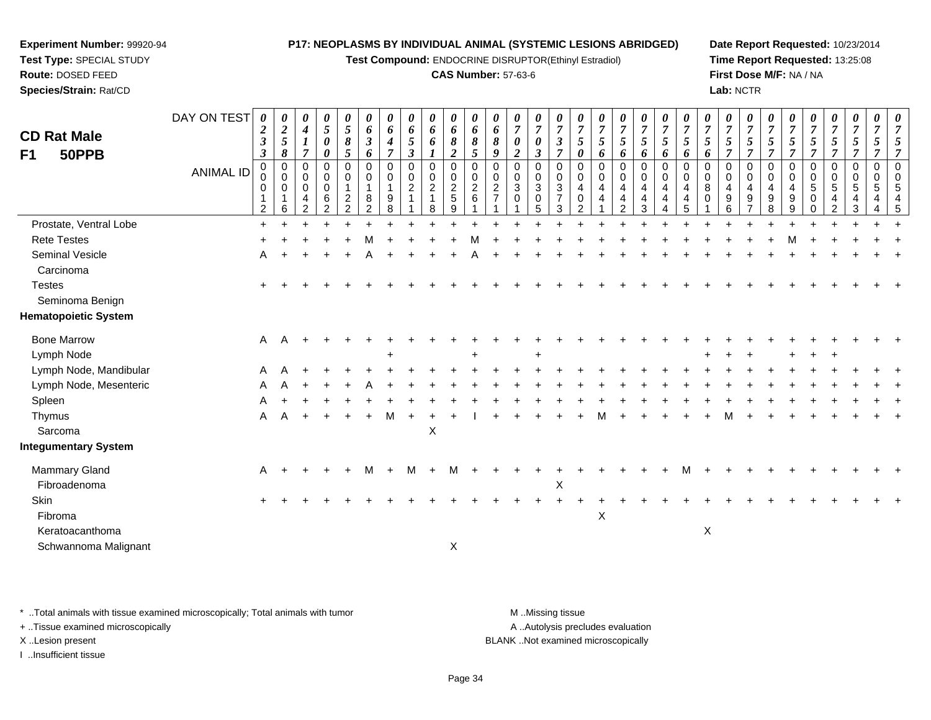**Test Compound:** ENDOCRINE DISRUPTOR(Ethinyl Estradiol)

#### **CAS Number:** 57-63-6

**Date Report Requested:** 10/23/2014**Time Report Requested:** 13:25:08**First Dose M/F:** NA / NA**Lab:** NCTR

| <b>CD Rat Male</b><br>50PPB<br>F1                               | DAY ON TEST<br><b>ANIMAL ID</b> | 0<br>$\boldsymbol{2}$<br>$\boldsymbol{\beta}$<br>$\boldsymbol{\beta}$<br>0<br>0<br>0<br>2 | $\boldsymbol{\theta}$<br>$\boldsymbol{2}$<br>$\mathfrak{s}$<br>8<br>$\mathbf 0$<br>$\mathbf 0$<br>$\mathbf 0$<br>6 | 0<br>$\boldsymbol{4}$<br>$\boldsymbol{l}$<br>$\overline{7}$<br>$\mathbf 0$<br>0<br>$\pmb{0}$<br>4<br>$\overline{2}$ | 0<br>5<br>0<br>$\boldsymbol{\theta}$<br>0<br>0<br>$\mathbf 0$<br>6<br>2 | 0<br>$\mathfrak{s}$<br>8<br>5<br>0<br>0<br>$\mathbf{1}$<br>$\overline{c}$<br>$\overline{2}$ | 0<br>6<br>$\boldsymbol{\beta}$<br>6<br>$\Omega$<br>0<br>8<br>$\overline{2}$ | $\boldsymbol{\theta}$<br>6<br>4<br>$\overline{7}$<br>$\mathbf 0$<br>0<br>9<br>8 | 0<br>6<br>5<br>$\boldsymbol{\beta}$<br>0<br>0<br>$\overline{c}$<br>1 | 0<br>6<br>6<br>1<br>$\mathbf 0$<br>$\mathbf 0$<br>$\overline{c}$<br>$\mathbf{1}$<br>8 | 0<br>6<br>8<br>$\overline{c}$<br>0<br>0<br>$\frac{2}{5}$<br>9 | 0<br>6<br>8<br>5<br>$\mathbf 0$<br>0<br>$\boldsymbol{2}$<br>6 | $\boldsymbol{\theta}$<br>6<br>8<br>9<br>$\mathbf 0$<br>$\mathbf 0$<br>$\overline{c}$ | 0<br>$\overline{7}$<br>0<br>$\overline{c}$<br>$\Omega$<br>0<br>$\mathbf{3}$<br>0 | 0<br>$\overline{7}$<br>0<br>$\boldsymbol{\beta}$<br>$\mathbf 0$<br>$\pmb{0}$<br>$\mathbf{3}$<br>$\mathbf 0$<br>5 | 0<br>$\overline{7}$<br>$\boldsymbol{\beta}$<br>$\overline{7}$<br>$\mathbf 0$<br>0<br>3<br>$\overline{7}$<br>3 | $\theta$<br>$\overline{7}$<br>5<br>0<br>$\Omega$<br>$\mathbf 0$<br>4<br>0<br>2 | 0<br>$\overline{7}$<br>5<br>6<br>$\mathbf 0$<br>0<br>4<br>4 | 0<br>$\overline{7}$<br>5<br>6<br>0<br>0<br>4<br>4<br>$\overline{2}$ | 0<br>$\boldsymbol{7}$<br>5<br>6<br>0<br>$\mathbf 0$<br>4<br>4<br>3 | 0<br>$\overline{7}$<br>5<br>6<br>$\mathbf 0$<br>0<br>4<br>4<br>4 | 0<br>$\overline{7}$<br>5<br>6<br>$\mathbf 0$<br>0<br>4<br>4<br>5 | $\boldsymbol{\theta}$<br>$\overline{7}$<br>5<br>6<br>$\Omega$<br>$\mathbf 0$<br>8<br>$\Omega$ | 0<br>$\overline{7}$<br>5<br>$\overline{7}$<br>$\Omega$<br>0<br>4<br>$\boldsymbol{9}$<br>6 | 0<br>$\boldsymbol{7}$<br>5<br>$\overline{7}$<br>$\mathbf 0$<br>$\mathbf 0$<br>4<br>$\boldsymbol{9}$<br>7 | 0<br>$\overline{7}$<br>5<br>$\overline{7}$<br>$\Omega$<br>0<br>4<br>9<br>8 | 0<br>$\overline{7}$<br>$\mathfrak{s}$<br>$\overline{7}$<br>$\mathbf 0$<br>0<br>4<br>9<br>9 | 0<br>$\overline{7}$<br>5<br>$\overline{7}$<br>$\mathbf 0$<br>$\mathbf 0$<br>$\,$ 5 $\,$<br>0<br>$\mathbf 0$ | 0<br>$\overline{7}$<br>$\mathfrak{s}$<br>$\overline{7}$<br>0<br>0<br>$\sqrt{5}$<br>$\overline{4}$<br>$\overline{2}$ | 0<br>$\boldsymbol{7}$<br>5<br>$\overline{7}$<br>$\mathbf 0$<br>$\mathbf 0$<br>5<br>4<br>3 | 0<br>$\overline{7}$<br>5<br>$\overline{7}$<br>$\mathbf 0$<br>$\mathbf 0$<br>5 | $\Omega$<br>$\Omega$ |
|-----------------------------------------------------------------|---------------------------------|-------------------------------------------------------------------------------------------|--------------------------------------------------------------------------------------------------------------------|---------------------------------------------------------------------------------------------------------------------|-------------------------------------------------------------------------|---------------------------------------------------------------------------------------------|-----------------------------------------------------------------------------|---------------------------------------------------------------------------------|----------------------------------------------------------------------|---------------------------------------------------------------------------------------|---------------------------------------------------------------|---------------------------------------------------------------|--------------------------------------------------------------------------------------|----------------------------------------------------------------------------------|------------------------------------------------------------------------------------------------------------------|---------------------------------------------------------------------------------------------------------------|--------------------------------------------------------------------------------|-------------------------------------------------------------|---------------------------------------------------------------------|--------------------------------------------------------------------|------------------------------------------------------------------|------------------------------------------------------------------|-----------------------------------------------------------------------------------------------|-------------------------------------------------------------------------------------------|----------------------------------------------------------------------------------------------------------|----------------------------------------------------------------------------|--------------------------------------------------------------------------------------------|-------------------------------------------------------------------------------------------------------------|---------------------------------------------------------------------------------------------------------------------|-------------------------------------------------------------------------------------------|-------------------------------------------------------------------------------|----------------------|
| Prostate, Ventral Lobe                                          |                                 | $+$                                                                                       |                                                                                                                    |                                                                                                                     |                                                                         |                                                                                             |                                                                             |                                                                                 |                                                                      |                                                                                       |                                                               |                                                               |                                                                                      |                                                                                  |                                                                                                                  |                                                                                                               |                                                                                |                                                             |                                                                     |                                                                    |                                                                  |                                                                  |                                                                                               |                                                                                           |                                                                                                          |                                                                            |                                                                                            |                                                                                                             |                                                                                                                     |                                                                                           |                                                                               |                      |
| <b>Rete Testes</b>                                              |                                 |                                                                                           |                                                                                                                    |                                                                                                                     |                                                                         |                                                                                             |                                                                             |                                                                                 |                                                                      |                                                                                       |                                                               |                                                               |                                                                                      |                                                                                  |                                                                                                                  |                                                                                                               |                                                                                |                                                             |                                                                     |                                                                    |                                                                  |                                                                  |                                                                                               |                                                                                           |                                                                                                          |                                                                            |                                                                                            |                                                                                                             |                                                                                                                     |                                                                                           |                                                                               |                      |
| Seminal Vesicle<br>Carcinoma                                    |                                 | A                                                                                         |                                                                                                                    |                                                                                                                     |                                                                         |                                                                                             |                                                                             |                                                                                 |                                                                      |                                                                                       |                                                               |                                                               |                                                                                      |                                                                                  |                                                                                                                  |                                                                                                               |                                                                                |                                                             |                                                                     |                                                                    |                                                                  |                                                                  |                                                                                               |                                                                                           |                                                                                                          |                                                                            |                                                                                            |                                                                                                             |                                                                                                                     |                                                                                           |                                                                               |                      |
| <b>Testes</b><br>Seminoma Benign<br><b>Hematopoietic System</b> |                                 | $\pm$                                                                                     |                                                                                                                    |                                                                                                                     |                                                                         |                                                                                             |                                                                             |                                                                                 |                                                                      |                                                                                       |                                                               |                                                               |                                                                                      |                                                                                  |                                                                                                                  |                                                                                                               |                                                                                |                                                             |                                                                     |                                                                    |                                                                  |                                                                  |                                                                                               |                                                                                           |                                                                                                          |                                                                            |                                                                                            |                                                                                                             |                                                                                                                     |                                                                                           |                                                                               |                      |
|                                                                 |                                 |                                                                                           |                                                                                                                    |                                                                                                                     |                                                                         |                                                                                             |                                                                             |                                                                                 |                                                                      |                                                                                       |                                                               |                                                               |                                                                                      |                                                                                  |                                                                                                                  |                                                                                                               |                                                                                |                                                             |                                                                     |                                                                    |                                                                  |                                                                  |                                                                                               |                                                                                           |                                                                                                          |                                                                            |                                                                                            |                                                                                                             |                                                                                                                     |                                                                                           |                                                                               |                      |
| <b>Bone Marrow</b>                                              |                                 | A                                                                                         | A                                                                                                                  |                                                                                                                     |                                                                         |                                                                                             |                                                                             |                                                                                 |                                                                      |                                                                                       |                                                               |                                                               |                                                                                      |                                                                                  |                                                                                                                  |                                                                                                               |                                                                                |                                                             |                                                                     |                                                                    |                                                                  |                                                                  |                                                                                               |                                                                                           |                                                                                                          |                                                                            |                                                                                            |                                                                                                             |                                                                                                                     |                                                                                           |                                                                               |                      |
| Lymph Node                                                      |                                 |                                                                                           |                                                                                                                    |                                                                                                                     |                                                                         |                                                                                             |                                                                             |                                                                                 |                                                                      |                                                                                       |                                                               |                                                               |                                                                                      |                                                                                  |                                                                                                                  |                                                                                                               |                                                                                |                                                             |                                                                     |                                                                    |                                                                  |                                                                  |                                                                                               |                                                                                           |                                                                                                          |                                                                            |                                                                                            |                                                                                                             |                                                                                                                     |                                                                                           |                                                                               |                      |
| Lymph Node, Mandibular                                          |                                 | A                                                                                         |                                                                                                                    |                                                                                                                     |                                                                         |                                                                                             |                                                                             |                                                                                 |                                                                      |                                                                                       |                                                               |                                                               |                                                                                      |                                                                                  |                                                                                                                  |                                                                                                               |                                                                                |                                                             |                                                                     |                                                                    |                                                                  |                                                                  |                                                                                               |                                                                                           |                                                                                                          |                                                                            |                                                                                            |                                                                                                             |                                                                                                                     |                                                                                           |                                                                               |                      |
| Lymph Node, Mesenteric                                          |                                 |                                                                                           |                                                                                                                    |                                                                                                                     |                                                                         |                                                                                             |                                                                             |                                                                                 |                                                                      |                                                                                       |                                                               |                                                               |                                                                                      |                                                                                  |                                                                                                                  |                                                                                                               |                                                                                |                                                             |                                                                     |                                                                    |                                                                  |                                                                  |                                                                                               |                                                                                           |                                                                                                          |                                                                            |                                                                                            |                                                                                                             |                                                                                                                     |                                                                                           |                                                                               |                      |
| Spleen                                                          |                                 |                                                                                           |                                                                                                                    |                                                                                                                     |                                                                         |                                                                                             |                                                                             |                                                                                 |                                                                      |                                                                                       |                                                               |                                                               |                                                                                      |                                                                                  |                                                                                                                  |                                                                                                               |                                                                                |                                                             |                                                                     |                                                                    |                                                                  |                                                                  |                                                                                               |                                                                                           |                                                                                                          |                                                                            |                                                                                            |                                                                                                             |                                                                                                                     |                                                                                           |                                                                               |                      |
| Thymus                                                          |                                 | A                                                                                         |                                                                                                                    |                                                                                                                     |                                                                         |                                                                                             |                                                                             |                                                                                 |                                                                      |                                                                                       |                                                               |                                                               |                                                                                      |                                                                                  |                                                                                                                  |                                                                                                               |                                                                                |                                                             |                                                                     |                                                                    |                                                                  |                                                                  |                                                                                               |                                                                                           |                                                                                                          |                                                                            |                                                                                            |                                                                                                             |                                                                                                                     |                                                                                           |                                                                               |                      |
| Sarcoma                                                         |                                 |                                                                                           |                                                                                                                    |                                                                                                                     |                                                                         |                                                                                             |                                                                             |                                                                                 |                                                                      | $\mathsf X$                                                                           |                                                               |                                                               |                                                                                      |                                                                                  |                                                                                                                  |                                                                                                               |                                                                                |                                                             |                                                                     |                                                                    |                                                                  |                                                                  |                                                                                               |                                                                                           |                                                                                                          |                                                                            |                                                                                            |                                                                                                             |                                                                                                                     |                                                                                           |                                                                               |                      |
| <b>Integumentary System</b>                                     |                                 |                                                                                           |                                                                                                                    |                                                                                                                     |                                                                         |                                                                                             |                                                                             |                                                                                 |                                                                      |                                                                                       |                                                               |                                                               |                                                                                      |                                                                                  |                                                                                                                  |                                                                                                               |                                                                                |                                                             |                                                                     |                                                                    |                                                                  |                                                                  |                                                                                               |                                                                                           |                                                                                                          |                                                                            |                                                                                            |                                                                                                             |                                                                                                                     |                                                                                           |                                                                               |                      |
| <b>Mammary Gland</b>                                            |                                 | A                                                                                         |                                                                                                                    |                                                                                                                     |                                                                         |                                                                                             | м                                                                           |                                                                                 | M                                                                    |                                                                                       | м                                                             |                                                               |                                                                                      |                                                                                  |                                                                                                                  |                                                                                                               |                                                                                |                                                             |                                                                     |                                                                    |                                                                  |                                                                  |                                                                                               |                                                                                           |                                                                                                          |                                                                            |                                                                                            |                                                                                                             |                                                                                                                     |                                                                                           |                                                                               |                      |
| Fibroadenoma                                                    |                                 |                                                                                           |                                                                                                                    |                                                                                                                     |                                                                         |                                                                                             |                                                                             |                                                                                 |                                                                      |                                                                                       |                                                               |                                                               |                                                                                      |                                                                                  |                                                                                                                  | X                                                                                                             |                                                                                |                                                             |                                                                     |                                                                    |                                                                  |                                                                  |                                                                                               |                                                                                           |                                                                                                          |                                                                            |                                                                                            |                                                                                                             |                                                                                                                     |                                                                                           |                                                                               |                      |
| Skin                                                            |                                 |                                                                                           |                                                                                                                    |                                                                                                                     |                                                                         |                                                                                             |                                                                             |                                                                                 |                                                                      |                                                                                       |                                                               |                                                               |                                                                                      |                                                                                  |                                                                                                                  |                                                                                                               |                                                                                |                                                             |                                                                     |                                                                    |                                                                  |                                                                  |                                                                                               |                                                                                           |                                                                                                          |                                                                            |                                                                                            |                                                                                                             |                                                                                                                     |                                                                                           |                                                                               |                      |
| Fibroma                                                         |                                 |                                                                                           |                                                                                                                    |                                                                                                                     |                                                                         |                                                                                             |                                                                             |                                                                                 |                                                                      |                                                                                       |                                                               |                                                               |                                                                                      |                                                                                  |                                                                                                                  |                                                                                                               |                                                                                | X                                                           |                                                                     |                                                                    |                                                                  |                                                                  |                                                                                               |                                                                                           |                                                                                                          |                                                                            |                                                                                            |                                                                                                             |                                                                                                                     |                                                                                           |                                                                               |                      |
| Keratoacanthoma                                                 |                                 |                                                                                           |                                                                                                                    |                                                                                                                     |                                                                         |                                                                                             |                                                                             |                                                                                 |                                                                      |                                                                                       |                                                               |                                                               |                                                                                      |                                                                                  |                                                                                                                  |                                                                                                               |                                                                                |                                                             |                                                                     |                                                                    |                                                                  |                                                                  | X                                                                                             |                                                                                           |                                                                                                          |                                                                            |                                                                                            |                                                                                                             |                                                                                                                     |                                                                                           |                                                                               |                      |
| Schwannoma Malignant                                            |                                 |                                                                                           |                                                                                                                    |                                                                                                                     |                                                                         |                                                                                             |                                                                             |                                                                                 |                                                                      |                                                                                       | X                                                             |                                                               |                                                                                      |                                                                                  |                                                                                                                  |                                                                                                               |                                                                                |                                                             |                                                                     |                                                                    |                                                                  |                                                                  |                                                                                               |                                                                                           |                                                                                                          |                                                                            |                                                                                            |                                                                                                             |                                                                                                                     |                                                                                           |                                                                               |                      |

\* ..Total animals with tissue examined microscopically; Total animals with tumor **M** . Missing tissue M ..Missing tissue A ..Autolysis precludes evaluation + ..Tissue examined microscopically X ..Lesion present BLANK ..Not examined microscopically

I ..Insufficient tissue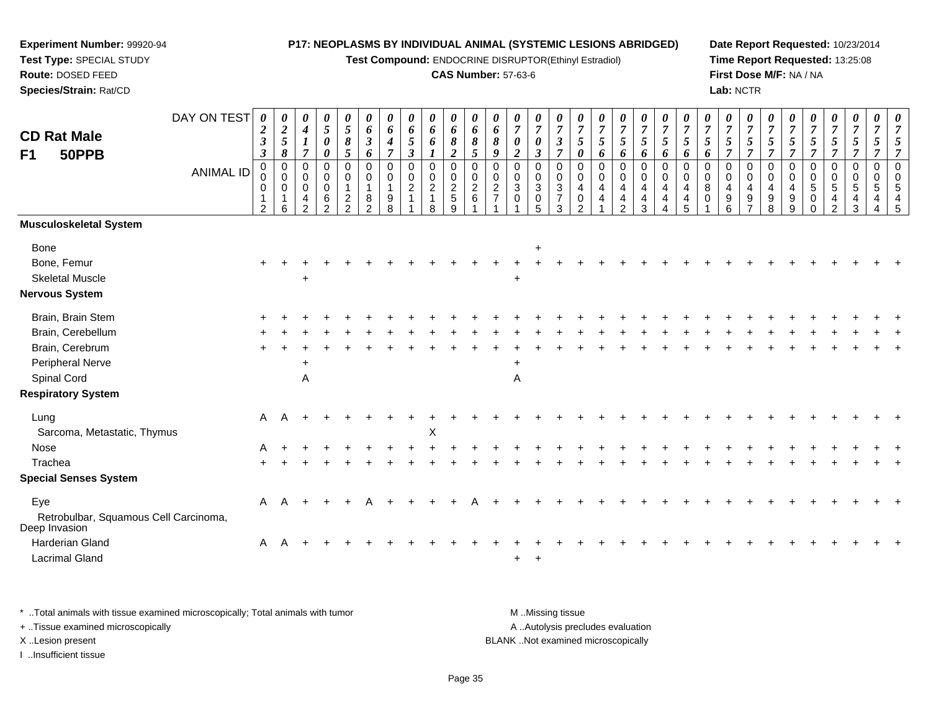**Test Compound:** ENDOCRINE DISRUPTOR(Ethinyl Estradiol)

### **CAS Number:** 57-63-6

**Date Report Requested:** 10/23/2014**Time Report Requested:** 13:25:08**First Dose M/F:** NA / NA**Lab:** NCTR

| <b>CD Rat Male</b><br>50PPB<br>F1                      | DAY ON TEST<br><b>ANIMAL ID</b> | 0<br>$\boldsymbol{2}$<br>$\boldsymbol{\beta}$<br>$\mathfrak{z}$<br>0<br>0<br>0 | 0<br>$\boldsymbol{2}$<br>$\sqrt{5}$<br>8<br>$\mathbf 0$<br>$\mathbf 0$<br>0 | 0<br>$\boldsymbol{4}$<br>$\boldsymbol{l}$<br>$\overline{7}$<br>0<br>$\mathbf 0$<br>$\mathbf 0$<br>4 | 0<br>$\mathfrak{s}$<br>$\boldsymbol{\theta}$<br>$\boldsymbol{\theta}$<br>$\overline{0}$<br>$\mathbf 0$<br>$\mathbf 0$<br>6 | 0<br>$\mathfrak{H}$<br>$\pmb{8}$<br>5<br>0<br>$\mathbf 0$<br>$\mathbf{1}$<br>$\overline{\mathbf{c}}$ | 0<br>6<br>$\boldsymbol{\beta}$<br>6<br>0<br>$\mathbf 0$<br>$\overline{1}$<br>8 | 0<br>6<br>4<br>$\overline{\tau}$<br>$\mathbf 0$<br>$\mathbf 0$<br>9 | 0<br>6<br>$\mathfrak{H}$<br>$\boldsymbol{\beta}$<br>$\mathbf 0$<br>$\mathbf 0$<br>$\overline{2}$ | $\pmb{\theta}$<br>$\pmb{6}$<br>$\pmb{6}$<br>1<br>$\mathbf 0$<br>$\mathbf 0$<br>$\overline{2}$<br>1 | 0<br>6<br>8<br>$\boldsymbol{2}$<br>$\mathbf 0$<br>0<br>$\overline{2}$<br>5 | 0<br>6<br>$\pmb{8}$<br>5<br>0<br>0<br>$\overline{2}$<br>$\,6\,$ | 0<br>6<br>8<br>$\boldsymbol{q}$<br>0<br>0<br>$\overline{c}$ | $\pmb{\theta}$<br>$\boldsymbol{7}$<br>$\pmb{\theta}$<br>$\overline{2}$<br>$\mathbf 0$<br>0<br>3<br>$\mathbf 0$ | 0<br>$\overline{7}$<br>$\pmb{\theta}$<br>$\mathbf{3}$<br>$\mathbf 0$<br>$\mathbf 0$<br>$\mathbf{3}$<br>$\pmb{0}$ | 0<br>$\overline{7}$<br>$\mathfrak{z}$<br>$\overline{7}$<br>$\mathbf 0$<br>$\mathbf 0$<br>3<br>$\overline{7}$ | $\overline{7}$<br>5<br>0<br>0<br>$\mathbf 0$<br>4<br>0 | 0<br>$\overline{7}$<br>5<br>6<br>0<br>$\mathbf 0$<br>4<br>4 | 0<br>$\boldsymbol{7}$<br>$\mathfrak{s}$<br>6<br>0<br>0<br>4<br>4 | 0<br>$\overline{7}$<br>$\sqrt{5}$<br>6<br>$\mathbf 0$<br>$\mathbf 0$<br>$\overline{4}$<br>4 | 0<br>$\overline{7}$<br>$\mathfrak{H}$<br>6<br>$\mathbf 0$<br>$\mathbf 0$<br>4<br>4 | 5<br>6<br>$\Omega$<br>$\mathbf 0$<br>4<br>4 | 0<br>$\overline{7}$<br>5<br>6<br>$\Omega$<br>$\mathbf 0$<br>8<br>$\Omega$ | 0<br>$\overline{7}$<br>5<br>$\overline{7}$<br>0<br>0<br>$\overline{4}$<br>9 | 0<br>$\overline{7}$<br>$\sqrt{5}$<br>$\overline{7}$<br>$\mathbf 0$<br>$\mathbf 0$<br>4<br>9 | 0<br>$\overline{7}$<br>$\sqrt{5}$<br>$\overline{7}$<br>$\mathbf 0$<br>$\mathbf 0$<br>$\overline{4}$<br>9 | $\overline{7}$<br>$\mathfrak{s}$<br>$\overline{7}$<br>$\mathbf 0$<br>$\mathbf 0$<br>4<br>$9\,$ | 0<br>$\overline{7}$<br>5<br>$\overline{7}$<br>0<br>$\mathbf 0$<br>5<br>0 | 0<br>$\boldsymbol{7}$<br>$\mathfrak{z}$<br>$\overline{7}$<br>0<br>0<br>$5\phantom{.0}$<br>4 | 0<br>$\boldsymbol{7}$<br>$\mathfrak{s}$<br>$\overline{7}$<br>0<br>$\mathbf 0$<br>$\sqrt{5}$<br>4 | $\sqrt{5}$<br>$\overline{7}$<br>$\mathbf 0$<br>$\mathbf 0$<br>5<br>4 | $\overline{7}$<br>5<br>$\overline{7}$<br>$\mathbf 0$<br>$\mathbf 0$<br>-5<br>$\overline{4}$ |
|--------------------------------------------------------|---------------------------------|--------------------------------------------------------------------------------|-----------------------------------------------------------------------------|-----------------------------------------------------------------------------------------------------|----------------------------------------------------------------------------------------------------------------------------|------------------------------------------------------------------------------------------------------|--------------------------------------------------------------------------------|---------------------------------------------------------------------|--------------------------------------------------------------------------------------------------|----------------------------------------------------------------------------------------------------|----------------------------------------------------------------------------|-----------------------------------------------------------------|-------------------------------------------------------------|----------------------------------------------------------------------------------------------------------------|------------------------------------------------------------------------------------------------------------------|--------------------------------------------------------------------------------------------------------------|--------------------------------------------------------|-------------------------------------------------------------|------------------------------------------------------------------|---------------------------------------------------------------------------------------------|------------------------------------------------------------------------------------|---------------------------------------------|---------------------------------------------------------------------------|-----------------------------------------------------------------------------|---------------------------------------------------------------------------------------------|----------------------------------------------------------------------------------------------------------|------------------------------------------------------------------------------------------------|--------------------------------------------------------------------------|---------------------------------------------------------------------------------------------|--------------------------------------------------------------------------------------------------|----------------------------------------------------------------------|---------------------------------------------------------------------------------------------|
| Musculoskeletal System                                 |                                 | 2                                                                              | 6                                                                           | $\overline{2}$                                                                                      | $\Omega$                                                                                                                   | $\mathcal{D}$                                                                                        | $\mathcal{P}$                                                                  | 8                                                                   |                                                                                                  | 8                                                                                                  | 9                                                                          |                                                                 |                                                             |                                                                                                                | $\overline{5}$                                                                                                   | 3                                                                                                            | າ                                                      |                                                             | $\mathfrak{p}$                                                   | 3                                                                                           |                                                                                    |                                             |                                                                           | 6                                                                           |                                                                                             | 8                                                                                                        | 9                                                                                              |                                                                          | $\mathcal{D}$                                                                               | 3                                                                                                |                                                                      | 5                                                                                           |
|                                                        |                                 |                                                                                |                                                                             |                                                                                                     |                                                                                                                            |                                                                                                      |                                                                                |                                                                     |                                                                                                  |                                                                                                    |                                                                            |                                                                 |                                                             |                                                                                                                |                                                                                                                  |                                                                                                              |                                                        |                                                             |                                                                  |                                                                                             |                                                                                    |                                             |                                                                           |                                                                             |                                                                                             |                                                                                                          |                                                                                                |                                                                          |                                                                                             |                                                                                                  |                                                                      |                                                                                             |
| Bone                                                   |                                 |                                                                                |                                                                             |                                                                                                     |                                                                                                                            |                                                                                                      |                                                                                |                                                                     |                                                                                                  |                                                                                                    |                                                                            |                                                                 |                                                             |                                                                                                                | $\ddot{}$                                                                                                        |                                                                                                              |                                                        |                                                             |                                                                  |                                                                                             |                                                                                    |                                             |                                                                           |                                                                             |                                                                                             |                                                                                                          |                                                                                                |                                                                          |                                                                                             |                                                                                                  |                                                                      |                                                                                             |
| Bone, Femur                                            |                                 |                                                                                |                                                                             |                                                                                                     |                                                                                                                            |                                                                                                      |                                                                                |                                                                     |                                                                                                  |                                                                                                    |                                                                            |                                                                 |                                                             |                                                                                                                |                                                                                                                  |                                                                                                              |                                                        |                                                             |                                                                  |                                                                                             |                                                                                    |                                             |                                                                           |                                                                             |                                                                                             |                                                                                                          |                                                                                                |                                                                          |                                                                                             |                                                                                                  |                                                                      |                                                                                             |
| <b>Skeletal Muscle</b>                                 |                                 |                                                                                |                                                                             | +                                                                                                   |                                                                                                                            |                                                                                                      |                                                                                |                                                                     |                                                                                                  |                                                                                                    |                                                                            |                                                                 |                                                             |                                                                                                                |                                                                                                                  |                                                                                                              |                                                        |                                                             |                                                                  |                                                                                             |                                                                                    |                                             |                                                                           |                                                                             |                                                                                             |                                                                                                          |                                                                                                |                                                                          |                                                                                             |                                                                                                  |                                                                      |                                                                                             |
| Nervous System                                         |                                 |                                                                                |                                                                             |                                                                                                     |                                                                                                                            |                                                                                                      |                                                                                |                                                                     |                                                                                                  |                                                                                                    |                                                                            |                                                                 |                                                             |                                                                                                                |                                                                                                                  |                                                                                                              |                                                        |                                                             |                                                                  |                                                                                             |                                                                                    |                                             |                                                                           |                                                                             |                                                                                             |                                                                                                          |                                                                                                |                                                                          |                                                                                             |                                                                                                  |                                                                      |                                                                                             |
| Brain, Brain Stem                                      |                                 |                                                                                |                                                                             |                                                                                                     |                                                                                                                            |                                                                                                      |                                                                                |                                                                     |                                                                                                  |                                                                                                    |                                                                            |                                                                 |                                                             |                                                                                                                |                                                                                                                  |                                                                                                              |                                                        |                                                             |                                                                  |                                                                                             |                                                                                    |                                             |                                                                           |                                                                             |                                                                                             |                                                                                                          |                                                                                                |                                                                          |                                                                                             |                                                                                                  |                                                                      |                                                                                             |
| Brain, Cerebellum                                      |                                 |                                                                                |                                                                             |                                                                                                     |                                                                                                                            |                                                                                                      |                                                                                |                                                                     |                                                                                                  |                                                                                                    |                                                                            |                                                                 |                                                             |                                                                                                                |                                                                                                                  |                                                                                                              |                                                        |                                                             |                                                                  |                                                                                             |                                                                                    |                                             |                                                                           |                                                                             |                                                                                             |                                                                                                          |                                                                                                |                                                                          |                                                                                             |                                                                                                  |                                                                      |                                                                                             |
| Brain, Cerebrum                                        |                                 |                                                                                |                                                                             |                                                                                                     |                                                                                                                            |                                                                                                      |                                                                                |                                                                     |                                                                                                  |                                                                                                    |                                                                            |                                                                 |                                                             |                                                                                                                |                                                                                                                  |                                                                                                              |                                                        |                                                             |                                                                  |                                                                                             |                                                                                    |                                             |                                                                           |                                                                             |                                                                                             |                                                                                                          |                                                                                                |                                                                          |                                                                                             |                                                                                                  |                                                                      |                                                                                             |
| Peripheral Nerve                                       |                                 |                                                                                |                                                                             | ÷                                                                                                   |                                                                                                                            |                                                                                                      |                                                                                |                                                                     |                                                                                                  |                                                                                                    |                                                                            |                                                                 |                                                             |                                                                                                                |                                                                                                                  |                                                                                                              |                                                        |                                                             |                                                                  |                                                                                             |                                                                                    |                                             |                                                                           |                                                                             |                                                                                             |                                                                                                          |                                                                                                |                                                                          |                                                                                             |                                                                                                  |                                                                      |                                                                                             |
| Spinal Cord                                            |                                 |                                                                                |                                                                             | Α                                                                                                   |                                                                                                                            |                                                                                                      |                                                                                |                                                                     |                                                                                                  |                                                                                                    |                                                                            |                                                                 |                                                             | Α                                                                                                              |                                                                                                                  |                                                                                                              |                                                        |                                                             |                                                                  |                                                                                             |                                                                                    |                                             |                                                                           |                                                                             |                                                                                             |                                                                                                          |                                                                                                |                                                                          |                                                                                             |                                                                                                  |                                                                      |                                                                                             |
| <b>Respiratory System</b>                              |                                 |                                                                                |                                                                             |                                                                                                     |                                                                                                                            |                                                                                                      |                                                                                |                                                                     |                                                                                                  |                                                                                                    |                                                                            |                                                                 |                                                             |                                                                                                                |                                                                                                                  |                                                                                                              |                                                        |                                                             |                                                                  |                                                                                             |                                                                                    |                                             |                                                                           |                                                                             |                                                                                             |                                                                                                          |                                                                                                |                                                                          |                                                                                             |                                                                                                  |                                                                      |                                                                                             |
| Lung                                                   |                                 | A                                                                              | A                                                                           |                                                                                                     |                                                                                                                            |                                                                                                      |                                                                                |                                                                     |                                                                                                  |                                                                                                    |                                                                            |                                                                 |                                                             |                                                                                                                |                                                                                                                  |                                                                                                              |                                                        |                                                             |                                                                  |                                                                                             |                                                                                    |                                             |                                                                           |                                                                             |                                                                                             |                                                                                                          |                                                                                                |                                                                          |                                                                                             |                                                                                                  |                                                                      |                                                                                             |
| Sarcoma, Metastatic, Thymus                            |                                 |                                                                                |                                                                             |                                                                                                     |                                                                                                                            |                                                                                                      |                                                                                |                                                                     |                                                                                                  | X                                                                                                  |                                                                            |                                                                 |                                                             |                                                                                                                |                                                                                                                  |                                                                                                              |                                                        |                                                             |                                                                  |                                                                                             |                                                                                    |                                             |                                                                           |                                                                             |                                                                                             |                                                                                                          |                                                                                                |                                                                          |                                                                                             |                                                                                                  |                                                                      |                                                                                             |
| Nose                                                   |                                 | A                                                                              |                                                                             |                                                                                                     |                                                                                                                            |                                                                                                      |                                                                                |                                                                     |                                                                                                  |                                                                                                    |                                                                            |                                                                 |                                                             |                                                                                                                |                                                                                                                  |                                                                                                              |                                                        |                                                             |                                                                  |                                                                                             |                                                                                    |                                             |                                                                           |                                                                             |                                                                                             |                                                                                                          |                                                                                                |                                                                          |                                                                                             |                                                                                                  |                                                                      |                                                                                             |
| Trachea                                                |                                 |                                                                                |                                                                             |                                                                                                     |                                                                                                                            |                                                                                                      |                                                                                |                                                                     |                                                                                                  |                                                                                                    |                                                                            |                                                                 |                                                             |                                                                                                                |                                                                                                                  |                                                                                                              |                                                        |                                                             |                                                                  |                                                                                             |                                                                                    |                                             |                                                                           |                                                                             |                                                                                             |                                                                                                          |                                                                                                |                                                                          |                                                                                             |                                                                                                  |                                                                      |                                                                                             |
| <b>Special Senses System</b>                           |                                 |                                                                                |                                                                             |                                                                                                     |                                                                                                                            |                                                                                                      |                                                                                |                                                                     |                                                                                                  |                                                                                                    |                                                                            |                                                                 |                                                             |                                                                                                                |                                                                                                                  |                                                                                                              |                                                        |                                                             |                                                                  |                                                                                             |                                                                                    |                                             |                                                                           |                                                                             |                                                                                             |                                                                                                          |                                                                                                |                                                                          |                                                                                             |                                                                                                  |                                                                      |                                                                                             |
| Eye                                                    |                                 | A                                                                              |                                                                             |                                                                                                     |                                                                                                                            |                                                                                                      |                                                                                |                                                                     |                                                                                                  |                                                                                                    |                                                                            |                                                                 |                                                             |                                                                                                                |                                                                                                                  |                                                                                                              |                                                        |                                                             |                                                                  |                                                                                             |                                                                                    |                                             |                                                                           |                                                                             |                                                                                             |                                                                                                          |                                                                                                |                                                                          |                                                                                             |                                                                                                  |                                                                      |                                                                                             |
| Retrobulbar, Squamous Cell Carcinoma,<br>Deep Invasion |                                 |                                                                                |                                                                             |                                                                                                     |                                                                                                                            |                                                                                                      |                                                                                |                                                                     |                                                                                                  |                                                                                                    |                                                                            |                                                                 |                                                             |                                                                                                                |                                                                                                                  |                                                                                                              |                                                        |                                                             |                                                                  |                                                                                             |                                                                                    |                                             |                                                                           |                                                                             |                                                                                             |                                                                                                          |                                                                                                |                                                                          |                                                                                             |                                                                                                  |                                                                      |                                                                                             |
| Harderian Gland                                        |                                 | A                                                                              |                                                                             |                                                                                                     |                                                                                                                            |                                                                                                      |                                                                                |                                                                     |                                                                                                  |                                                                                                    |                                                                            |                                                                 |                                                             |                                                                                                                |                                                                                                                  |                                                                                                              |                                                        |                                                             |                                                                  |                                                                                             |                                                                                    |                                             |                                                                           |                                                                             |                                                                                             |                                                                                                          |                                                                                                |                                                                          |                                                                                             |                                                                                                  |                                                                      |                                                                                             |
| <b>Lacrimal Gland</b>                                  |                                 |                                                                                |                                                                             |                                                                                                     |                                                                                                                            |                                                                                                      |                                                                                |                                                                     |                                                                                                  |                                                                                                    |                                                                            |                                                                 |                                                             | $\pm$                                                                                                          | $\overline{+}$                                                                                                   |                                                                                                              |                                                        |                                                             |                                                                  |                                                                                             |                                                                                    |                                             |                                                                           |                                                                             |                                                                                             |                                                                                                          |                                                                                                |                                                                          |                                                                                             |                                                                                                  |                                                                      |                                                                                             |
|                                                        |                                 |                                                                                |                                                                             |                                                                                                     |                                                                                                                            |                                                                                                      |                                                                                |                                                                     |                                                                                                  |                                                                                                    |                                                                            |                                                                 |                                                             |                                                                                                                |                                                                                                                  |                                                                                                              |                                                        |                                                             |                                                                  |                                                                                             |                                                                                    |                                             |                                                                           |                                                                             |                                                                                             |                                                                                                          |                                                                                                |                                                                          |                                                                                             |                                                                                                  |                                                                      |                                                                                             |

\* ..Total animals with tissue examined microscopically; Total animals with tumor **M** . Missing tissue M ..Missing tissue A ..Autolysis precludes evaluation + ..Tissue examined microscopically X ..Lesion present BLANK ..Not examined microscopicallyI ..Insufficient tissue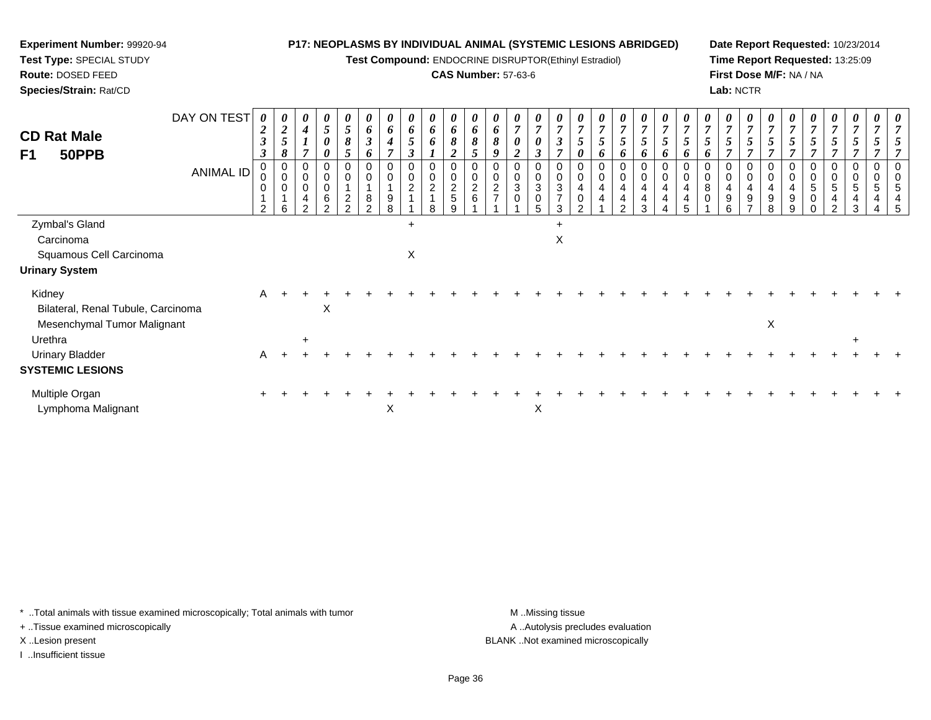**Test Compound:** ENDOCRINE DISRUPTOR(Ethinyl Estradiol)

## **CAS Number:** 57-63-6

**Date Report Requested:** 10/23/2014**Time Report Requested:** 13:25:09**First Dose M/F:** NA / NA**Lab:** NCTR

| <b>CD Rat Male</b><br>F1<br>50PPB            | DAY ON TEST | $\boldsymbol{\theta}$<br>$\boldsymbol{2}$<br>$\boldsymbol{\beta}$<br>3 | 0<br>$\sqrt{2}$<br>5<br>8                                    | 0<br>$\boldsymbol{4}$<br>$\overline{ }$    | 0<br>$\mathfrak{H}$<br>0<br>$\theta$ | 0<br>5<br>8<br>5                                                    | $\boldsymbol{\theta}$<br>6<br>$\boldsymbol{\mathfrak{z}}$<br>6 | $\boldsymbol{\theta}$<br>6<br>$\boldsymbol{4}$<br>$\overline{ }$ | $\boldsymbol{\theta}$<br>6<br>$\mathfrak{s}$<br>$\boldsymbol{\beta}$ | 0<br>6<br>6                                       | 0<br>6<br>8<br>$\overline{2}$                  | $\boldsymbol{\theta}$<br>6<br>$\mathbf{o}$<br>5 | $\boldsymbol{\theta}$<br>6<br>8<br>9 | $\boldsymbol{\theta}$<br>$\overline{7}$<br>$\boldsymbol{\theta}$<br>$\boldsymbol{2}$ | 0<br>$\overline{7}$<br>0<br>3                                 | 0<br>$\overline{7}$<br>3<br>$\overline{ }$                 | U<br>$\overline{ }$<br>0 | $\boldsymbol{\theta}$<br>$\overline{7}$<br>0 | $\boldsymbol{\theta}$<br>$\overline{7}$<br>5<br>6 | 0<br>$\overline{7}$<br>$5\overline{)}$<br>6 | $\frac{\boldsymbol{\theta}}{\boldsymbol{7}}$<br>5<br>6 | U<br>$\overline{ }$<br>o | $\boldsymbol{\theta}$<br>$\overline{ }$<br>o | $\boldsymbol{\theta}$<br>$\overline{7}$ | 0<br>$\overline{7}$<br>5<br>$\overline{ }$ | 0<br>$\overline{7}$ | 5<br>$\overline{ }$ | $\boldsymbol{\theta}$<br>$\overline{7}$<br>5 | 0<br>$\overline{7}$<br>5<br>7 | $\boldsymbol{\theta}$<br>$\boldsymbol{7}$<br>5 | 0<br>$\overline{ }$ |  |
|----------------------------------------------|-------------|------------------------------------------------------------------------|--------------------------------------------------------------|--------------------------------------------|--------------------------------------|---------------------------------------------------------------------|----------------------------------------------------------------|------------------------------------------------------------------|----------------------------------------------------------------------|---------------------------------------------------|------------------------------------------------|-------------------------------------------------|--------------------------------------|--------------------------------------------------------------------------------------|---------------------------------------------------------------|------------------------------------------------------------|--------------------------|----------------------------------------------|---------------------------------------------------|---------------------------------------------|--------------------------------------------------------|--------------------------|----------------------------------------------|-----------------------------------------|--------------------------------------------|---------------------|---------------------|----------------------------------------------|-------------------------------|------------------------------------------------|---------------------|--|
|                                              | ANIMAL ID   | 0<br>0<br>0<br>2                                                       | $\pmb{0}$<br>$\mathbf 0$<br>$\mathbf 0$<br>$\mathbf{1}$<br>6 | 0<br>$\mathbf 0$<br>0<br>4<br><sup>o</sup> | $\pmb{0}$<br>$\mathbf 0$<br>6        | 0<br>$\pmb{0}$<br>$\overline{A}$<br>$\overline{c}$<br>$\mathcal{P}$ | 0<br>$\mathbf 0$<br>8<br>2                                     | 0<br>$\boldsymbol{9}$<br>8                                       | 0<br>0<br>$\overline{c}$                                             | $\mathbf 0$<br>$\boldsymbol{2}$<br>$\overline{1}$ | $\mathbf 0$<br>$\pmb{0}$<br>$\frac{2}{5}$<br>9 | 0<br>$\boldsymbol{2}$<br>6                      | $\mathbf 0$<br>$\overline{2}$        | 0<br>$\pmb{0}$<br>3<br>0                                                             | $\mathbf 0$<br>$\ensuremath{\mathsf{3}}$<br>$\mathbf 0$<br>5. | 0<br>0<br>$\ensuremath{\mathsf{3}}$<br>$\overline{7}$<br>3 | 0<br>4<br>0              | 0<br>4<br>4                                  | $\mathbf 0$<br>4<br>4<br>$\mathcal{D}$            | $\mathbf 0$<br>4<br>4<br>3                  | $\mathbf 0$<br>0<br>4<br>4                             | 0<br>4<br>4<br>5         | 0<br>8<br>0                                  | 0<br>4<br>9<br>հ                        | 0<br>4<br>9                                | 0<br>4<br>9<br>8    | 0<br>4<br>9<br>9    | 0<br>0<br>5<br>$\pmb{0}$<br>$\mathbf 0$      | 0<br>5<br>4<br>$\overline{a}$ | $\mathbf 0$<br>5<br>4<br>3                     | 0                   |  |
| Zymbal's Gland                               |             |                                                                        |                                                              |                                            |                                      |                                                                     |                                                                |                                                                  | $\ddot{}$                                                            |                                                   |                                                |                                                 |                                      |                                                                                      |                                                               | $\ddot{}$                                                  |                          |                                              |                                                   |                                             |                                                        |                          |                                              |                                         |                                            |                     |                     |                                              |                               |                                                |                     |  |
| Carcinoma                                    |             |                                                                        |                                                              |                                            |                                      |                                                                     |                                                                |                                                                  |                                                                      |                                                   |                                                |                                                 |                                      |                                                                                      |                                                               | X                                                          |                          |                                              |                                                   |                                             |                                                        |                          |                                              |                                         |                                            |                     |                     |                                              |                               |                                                |                     |  |
| Squamous Cell Carcinoma                      |             |                                                                        |                                                              |                                            |                                      |                                                                     |                                                                |                                                                  | Χ                                                                    |                                                   |                                                |                                                 |                                      |                                                                                      |                                                               |                                                            |                          |                                              |                                                   |                                             |                                                        |                          |                                              |                                         |                                            |                     |                     |                                              |                               |                                                |                     |  |
| <b>Urinary System</b>                        |             |                                                                        |                                                              |                                            |                                      |                                                                     |                                                                |                                                                  |                                                                      |                                                   |                                                |                                                 |                                      |                                                                                      |                                                               |                                                            |                          |                                              |                                                   |                                             |                                                        |                          |                                              |                                         |                                            |                     |                     |                                              |                               |                                                |                     |  |
| Kidney<br>Bilateral, Renal Tubule, Carcinoma |             | A                                                                      |                                                              |                                            | X                                    |                                                                     |                                                                |                                                                  |                                                                      |                                                   |                                                |                                                 |                                      |                                                                                      |                                                               |                                                            |                          |                                              |                                                   |                                             |                                                        |                          |                                              |                                         |                                            |                     |                     |                                              |                               |                                                |                     |  |
| Mesenchymal Tumor Malignant<br>Urethra       |             |                                                                        |                                                              | $\ddot{}$                                  |                                      |                                                                     |                                                                |                                                                  |                                                                      |                                                   |                                                |                                                 |                                      |                                                                                      |                                                               |                                                            |                          |                                              |                                                   |                                             |                                                        |                          |                                              |                                         |                                            | X                   |                     |                                              |                               | $\ddot{}$                                      |                     |  |
| <b>Urinary Bladder</b>                       |             | A                                                                      |                                                              |                                            |                                      |                                                                     |                                                                |                                                                  |                                                                      |                                                   |                                                |                                                 |                                      |                                                                                      |                                                               |                                                            |                          |                                              |                                                   |                                             |                                                        |                          |                                              |                                         |                                            |                     |                     |                                              |                               |                                                |                     |  |
| <b>SYSTEMIC LESIONS</b>                      |             |                                                                        |                                                              |                                            |                                      |                                                                     |                                                                |                                                                  |                                                                      |                                                   |                                                |                                                 |                                      |                                                                                      |                                                               |                                                            |                          |                                              |                                                   |                                             |                                                        |                          |                                              |                                         |                                            |                     |                     |                                              |                               |                                                |                     |  |
| Multiple Organ<br>Lymphoma Malignant         |             |                                                                        |                                                              |                                            |                                      |                                                                     |                                                                | X                                                                |                                                                      |                                                   |                                                |                                                 |                                      |                                                                                      | X                                                             |                                                            |                          |                                              |                                                   |                                             |                                                        |                          |                                              |                                         |                                            |                     |                     |                                              |                               |                                                |                     |  |
|                                              |             |                                                                        |                                                              |                                            |                                      |                                                                     |                                                                |                                                                  |                                                                      |                                                   |                                                |                                                 |                                      |                                                                                      |                                                               |                                                            |                          |                                              |                                                   |                                             |                                                        |                          |                                              |                                         |                                            |                     |                     |                                              |                               |                                                |                     |  |

\* ..Total animals with tissue examined microscopically; Total animals with tumor **M** . Missing tissue M ..Missing tissue

+ ..Tissue examined microscopically

**Experiment Number:** 99920-94**Test Type:** SPECIAL STUDY**Route:** DOSED FEED**Species/Strain:** Rat/CD

I ..Insufficient tissue

A ..Autolysis precludes evaluation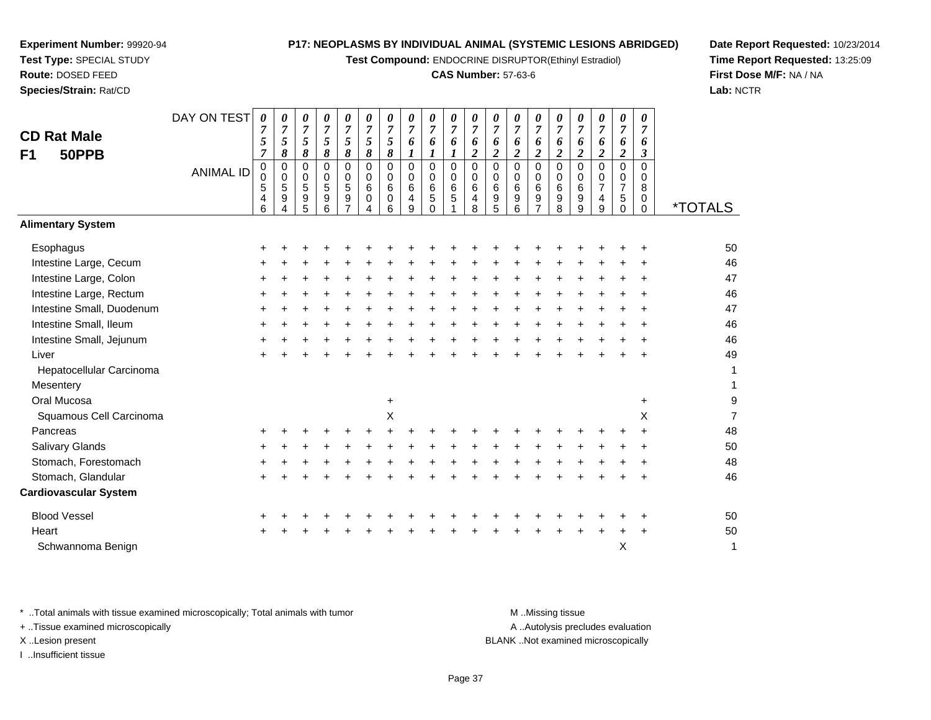**Test Compound:** ENDOCRINE DISRUPTOR(Ethinyl Estradiol)

#### **CAS Number:** 57-63-6

**Date Report Requested:** 10/23/2014**Time Report Requested:** 13:25:09**First Dose M/F:** NA / NA**Lab:** NCTR

| * Total animals with tissue examined microscopically; Total animals with tumor | M Missing tissue                   |
|--------------------------------------------------------------------------------|------------------------------------|
| + Tissue examined microscopically                                              | A Autolysis precludes evaluation   |
| X Lesion present                                                               | BLANK Not examined microscopically |
| Insufficient tissue                                                            |                                    |
|                                                                                | - -                                |

|                              | 6         | 4 | 5 | 6 | 4 | 6           | 9 | $\Omega$ | 8 | 5 | 6 | $\overline{7}$ | 8 | 9 | 9 | $\Omega$ | $\Omega$  | <i><b>*TOTALS</b></i> |
|------------------------------|-----------|---|---|---|---|-------------|---|----------|---|---|---|----------------|---|---|---|----------|-----------|-----------------------|
| <b>Alimentary System</b>     |           |   |   |   |   |             |   |          |   |   |   |                |   |   |   |          |           |                       |
| Esophagus                    | $\pm$     |   |   |   |   |             |   |          |   |   |   |                |   |   |   |          | ÷         | 50                    |
| Intestine Large, Cecum       | $\pm$     |   |   |   |   |             |   |          |   |   |   |                |   |   |   |          | ÷         | 46                    |
| Intestine Large, Colon       | ٠         |   |   |   |   |             |   |          |   |   |   |                |   |   |   |          | ÷         | 47                    |
| Intestine Large, Rectum      | $\ddot{}$ |   |   |   |   |             |   |          |   |   |   |                |   |   |   |          | ÷         | 46                    |
| Intestine Small, Duodenum    | $\ddot{}$ |   |   |   |   |             |   |          |   |   |   |                |   |   |   |          | ÷         | 47                    |
| Intestine Small, Ileum       | $\pm$     |   |   |   |   |             |   |          |   |   |   |                |   |   |   |          |           | 46                    |
| Intestine Small, Jejunum     | $\pm$     |   |   |   |   |             |   |          |   |   |   |                |   |   |   |          |           | 46                    |
| Liver                        | $\pm$     |   |   |   |   |             |   |          |   |   |   |                |   |   |   |          | $\ddot{}$ | 49                    |
| Hepatocellular Carcinoma     |           |   |   |   |   |             |   |          |   |   |   |                |   |   |   |          |           | 1                     |
| Mesentery                    |           |   |   |   |   |             |   |          |   |   |   |                |   |   |   |          |           | 1                     |
| Oral Mucosa                  |           |   |   |   |   | $\ddot{}$   |   |          |   |   |   |                |   |   |   |          | $\ddot{}$ | 9                     |
| Squamous Cell Carcinoma      |           |   |   |   |   | $\mathsf X$ |   |          |   |   |   |                |   |   |   |          | X         | 7                     |
| Pancreas                     | ÷         |   |   |   |   |             |   |          |   |   |   |                |   |   |   |          | $\pm$     | 48                    |
| Salivary Glands              | $\ddot{}$ |   |   |   |   |             |   |          |   |   |   |                |   |   |   |          |           | 50                    |
| Stomach, Forestomach         | ٠         |   |   |   |   |             |   |          |   |   |   |                |   |   |   |          |           | 48                    |
| Stomach, Glandular           |           |   |   |   |   |             |   |          |   |   |   |                |   |   |   |          | ÷         | 46                    |
| <b>Cardiovascular System</b> |           |   |   |   |   |             |   |          |   |   |   |                |   |   |   |          |           |                       |
| <b>Blood Vessel</b>          | ٠         |   |   |   |   |             |   |          |   |   |   |                |   |   |   |          | ÷         | 50                    |
| Heart                        | +         |   |   |   |   |             |   |          |   |   |   |                |   |   |   |          | $\div$    | 50                    |
| Schwannoma Benign            |           |   |   |   |   |             |   |          |   |   |   |                |   |   |   | X        |           | 1                     |
|                              |           |   |   |   |   |             |   |          |   |   |   |                |   |   |   |          |           |                       |

DAY ON TEST

ANIMAL ID

0<br>0<br>6<br>4

**Experiment Number:** 99920-94**Test Type:** SPECIAL STUDY**Route:** DOSED FEED**Species/Strain:** Rat/CD

**CD Rat MaleF1 50PPB**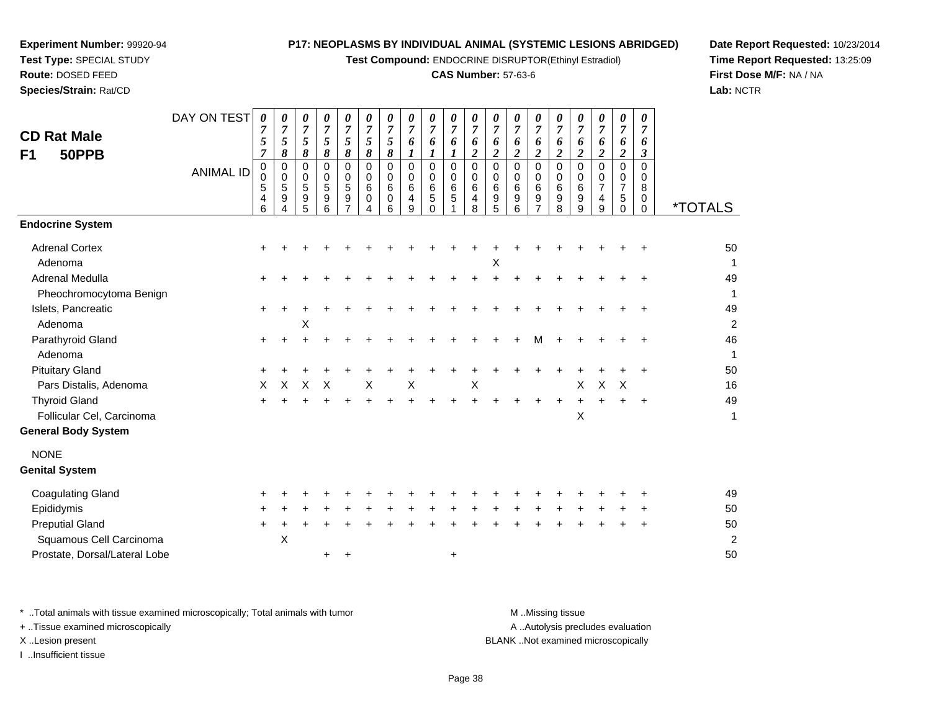**Test Compound:** ENDOCRINE DISRUPTOR(Ethinyl Estradiol)

#### **CAS Number:** 57-63-6

*0 7*

*0 7*

*0 7*

*0 7*

*0 7*

*0 7*

*0 7*

*0 7*

*0 7*

**Date Report Requested:** 10/23/2014**Time Report Requested:** 13:25:09**First Dose M/F:** NA / NA**Lab:** NCTR

| <b>CD Rat Male</b><br>50PPB<br>F <sub>1</sub> | <b>ANIMAL ID</b> | 7<br>$\sqrt{5}$<br>$\overline{7}$<br>$\pmb{0}$<br>$\mathbf 0$<br>5 | $\overline{7}$<br>$\sqrt{5}$<br>8<br>$\mathbf 0$<br>$\mathbf 0$<br>$\sqrt{5}$ | 7<br>5<br>8<br>0<br>$\mathbf 0$<br>5 | 7<br>$\overline{5}$<br>$\overline{\delta}$<br>$\pmb{0}$<br>$\mathbf 0$<br>$\sqrt{5}$ | 7<br>5<br>8<br>$\mathbf 0$<br>$\Omega$<br>5 | $\overline{7}$<br>$\sqrt{5}$<br>8<br>$\mathbf 0$<br>$\Omega$<br>6 | 7<br>5<br>8<br>0<br>$\mathbf 0$<br>6 | 7<br>6<br>$\bm{l}$<br>$\mathbf 0$<br>$\mathbf 0$<br>6 | 7<br>6<br>$\boldsymbol{l}$<br>$\mathbf 0$<br>$\mathbf 0$<br>$\,6\,$ | 7<br>6<br>$\bm{l}$<br>$\mathbf 0$<br>$\mathbf 0$<br>6 | 7<br>6<br>$\boldsymbol{2}$<br>$\mathbf 0$<br>$\Omega$<br>6 | 7<br>6<br>$\overline{c}$<br>0<br>$\mathbf 0$<br>6 | 7<br>6<br>$\overline{2}$<br>$\pmb{0}$<br>$\mathbf 0$<br>6 | 7<br>6<br>$\overline{2}$<br>0<br>$\mathbf 0$<br>$\,6\,$ | 7<br>6<br>$\overline{c}$<br>$\Omega$<br>0<br>6 | 7<br>6<br>$\overline{c}$<br>$\Omega$<br>$\Omega$<br>6 | $\overline{7}$<br>6<br>$\boldsymbol{2}$<br>$\overline{0}$<br>$\Omega$<br>$\overline{7}$ | 7<br>6<br>$\boldsymbol{2}$<br>$\mathbf 0$<br>$\Omega$<br>$\overline{7}$ | 7<br>6<br>$\mathfrak{z}$<br>$\mathbf 0$<br>$\Omega$<br>8 |                       |
|-----------------------------------------------|------------------|--------------------------------------------------------------------|-------------------------------------------------------------------------------|--------------------------------------|--------------------------------------------------------------------------------------|---------------------------------------------|-------------------------------------------------------------------|--------------------------------------|-------------------------------------------------------|---------------------------------------------------------------------|-------------------------------------------------------|------------------------------------------------------------|---------------------------------------------------|-----------------------------------------------------------|---------------------------------------------------------|------------------------------------------------|-------------------------------------------------------|-----------------------------------------------------------------------------------------|-------------------------------------------------------------------------|----------------------------------------------------------|-----------------------|
|                                               |                  | 4<br>6                                                             | $\boldsymbol{9}$<br>Δ                                                         | 9<br>5                               | $\boldsymbol{9}$<br>6                                                                | 9<br>$\overline{7}$                         | 0<br>4                                                            | 0<br>6                               | 4<br>9                                                | $\sqrt{5}$<br>$\Omega$                                              | $\sqrt{5}$                                            | 4<br>8                                                     | 9<br>5                                            | $\boldsymbol{9}$<br>6                                     | 9<br>$\overline{7}$                                     | $\boldsymbol{9}$<br>8                          | 9<br>9                                                | 4<br>9                                                                                  | $\sqrt{5}$<br>$\Omega$                                                  | $\mathbf 0$<br>$\Omega$                                  | <i><b>*TOTALS</b></i> |
| <b>Endocrine System</b>                       |                  |                                                                    |                                                                               |                                      |                                                                                      |                                             |                                                                   |                                      |                                                       |                                                                     |                                                       |                                                            |                                                   |                                                           |                                                         |                                                |                                                       |                                                                                         |                                                                         |                                                          |                       |
| <b>Adrenal Cortex</b>                         |                  | $\ddot{}$                                                          |                                                                               |                                      |                                                                                      |                                             |                                                                   |                                      |                                                       |                                                                     |                                                       |                                                            |                                                   |                                                           |                                                         |                                                |                                                       |                                                                                         |                                                                         |                                                          | 50                    |
| Adenoma                                       |                  |                                                                    |                                                                               |                                      |                                                                                      |                                             |                                                                   |                                      |                                                       |                                                                     |                                                       |                                                            | х                                                 |                                                           |                                                         |                                                |                                                       |                                                                                         |                                                                         |                                                          | 1                     |
| Adrenal Medulla                               |                  |                                                                    |                                                                               |                                      |                                                                                      |                                             |                                                                   |                                      |                                                       |                                                                     |                                                       |                                                            |                                                   |                                                           |                                                         |                                                |                                                       |                                                                                         |                                                                         |                                                          | 49                    |
| Pheochromocytoma Benign                       |                  |                                                                    |                                                                               |                                      |                                                                                      |                                             |                                                                   |                                      |                                                       |                                                                     |                                                       |                                                            |                                                   |                                                           |                                                         |                                                |                                                       |                                                                                         |                                                                         |                                                          | $\mathbf{1}$          |
| Islets, Pancreatic                            |                  | +                                                                  |                                                                               |                                      |                                                                                      |                                             |                                                                   |                                      |                                                       |                                                                     |                                                       |                                                            |                                                   |                                                           |                                                         |                                                |                                                       |                                                                                         |                                                                         |                                                          | 49                    |
| Adenoma                                       |                  |                                                                    |                                                                               | X                                    |                                                                                      |                                             |                                                                   |                                      |                                                       |                                                                     |                                                       |                                                            |                                                   |                                                           |                                                         |                                                |                                                       |                                                                                         |                                                                         |                                                          | $\overline{2}$        |
| Parathyroid Gland                             |                  | $\ddot{}$                                                          |                                                                               |                                      |                                                                                      |                                             |                                                                   |                                      |                                                       |                                                                     |                                                       |                                                            |                                                   |                                                           | м                                                       |                                                |                                                       |                                                                                         |                                                                         |                                                          | 46                    |
| Adenoma                                       |                  |                                                                    |                                                                               |                                      |                                                                                      |                                             |                                                                   |                                      |                                                       |                                                                     |                                                       |                                                            |                                                   |                                                           |                                                         |                                                |                                                       |                                                                                         |                                                                         |                                                          | $\mathbf{1}$          |
| <b>Pituitary Gland</b>                        |                  |                                                                    |                                                                               |                                      |                                                                                      |                                             |                                                                   |                                      |                                                       |                                                                     |                                                       |                                                            |                                                   |                                                           |                                                         |                                                |                                                       |                                                                                         |                                                                         |                                                          | 50                    |
| Pars Distalis, Adenoma                        |                  | X                                                                  | X                                                                             | X                                    | $\boldsymbol{\mathsf{X}}$                                                            |                                             | $\sf X$                                                           |                                      | $\times$                                              |                                                                     |                                                       | X                                                          |                                                   |                                                           |                                                         |                                                | X                                                     | $\mathsf X$                                                                             | $\boldsymbol{\mathsf{X}}$                                               |                                                          | 16                    |
| <b>Thyroid Gland</b>                          |                  | $\ddot{}$                                                          |                                                                               |                                      |                                                                                      |                                             |                                                                   |                                      |                                                       |                                                                     |                                                       |                                                            |                                                   |                                                           |                                                         |                                                | $+$                                                   | ÷                                                                                       |                                                                         | $\ddot{}$                                                | 49                    |
| Follicular Cel, Carcinoma                     |                  |                                                                    |                                                                               |                                      |                                                                                      |                                             |                                                                   |                                      |                                                       |                                                                     |                                                       |                                                            |                                                   |                                                           |                                                         |                                                | $\mathsf{X}$                                          |                                                                                         |                                                                         |                                                          | 1                     |
| <b>General Body System</b>                    |                  |                                                                    |                                                                               |                                      |                                                                                      |                                             |                                                                   |                                      |                                                       |                                                                     |                                                       |                                                            |                                                   |                                                           |                                                         |                                                |                                                       |                                                                                         |                                                                         |                                                          |                       |
| <b>NONE</b>                                   |                  |                                                                    |                                                                               |                                      |                                                                                      |                                             |                                                                   |                                      |                                                       |                                                                     |                                                       |                                                            |                                                   |                                                           |                                                         |                                                |                                                       |                                                                                         |                                                                         |                                                          |                       |
| <b>Genital System</b>                         |                  |                                                                    |                                                                               |                                      |                                                                                      |                                             |                                                                   |                                      |                                                       |                                                                     |                                                       |                                                            |                                                   |                                                           |                                                         |                                                |                                                       |                                                                                         |                                                                         |                                                          |                       |
| <b>Coagulating Gland</b>                      |                  |                                                                    |                                                                               |                                      |                                                                                      |                                             |                                                                   |                                      |                                                       |                                                                     |                                                       |                                                            |                                                   |                                                           |                                                         |                                                |                                                       |                                                                                         |                                                                         |                                                          | 49                    |
| Epididymis                                    |                  |                                                                    |                                                                               |                                      |                                                                                      |                                             |                                                                   |                                      |                                                       |                                                                     |                                                       |                                                            |                                                   |                                                           |                                                         |                                                |                                                       |                                                                                         |                                                                         |                                                          | 50                    |
| <b>Preputial Gland</b>                        |                  | $\ddot{}$                                                          | +                                                                             |                                      |                                                                                      |                                             |                                                                   |                                      |                                                       |                                                                     |                                                       |                                                            |                                                   |                                                           |                                                         |                                                |                                                       |                                                                                         |                                                                         |                                                          | 50                    |
| Squamous Cell Carcinoma                       |                  |                                                                    | X                                                                             |                                      |                                                                                      |                                             |                                                                   |                                      |                                                       |                                                                     |                                                       |                                                            |                                                   |                                                           |                                                         |                                                |                                                       |                                                                                         |                                                                         |                                                          | $\overline{2}$        |
| Prostate, Dorsal/Lateral Lobe                 |                  |                                                                    |                                                                               |                                      | +                                                                                    |                                             |                                                                   |                                      |                                                       |                                                                     | $\ddot{}$                                             |                                                            |                                                   |                                                           |                                                         |                                                |                                                       |                                                                                         |                                                                         |                                                          | 50                    |
|                                               |                  |                                                                    |                                                                               |                                      |                                                                                      |                                             |                                                                   |                                      |                                                       |                                                                     |                                                       |                                                            |                                                   |                                                           |                                                         |                                                |                                                       |                                                                                         |                                                                         |                                                          |                       |

\* ..Total animals with tissue examined microscopically; Total animals with tumor **M** ...Missing tissue M ...Missing tissue

DAY ON TEST *0 7*

*0 7*

*0 7*

*0 7*

*0 7*

*0 7*

*0 7*

*0 7*

*0 7*

*0 7*

+ ..Tissue examined microscopically

**Experiment Number:** 99920-94**Test Type:** SPECIAL STUDY**Route:** DOSED FEED**Species/Strain:** Rat/CD

I ..Insufficient tissue

A .. Autolysis precludes evaluation

X ..Lesion present BLANK ..Not examined microscopically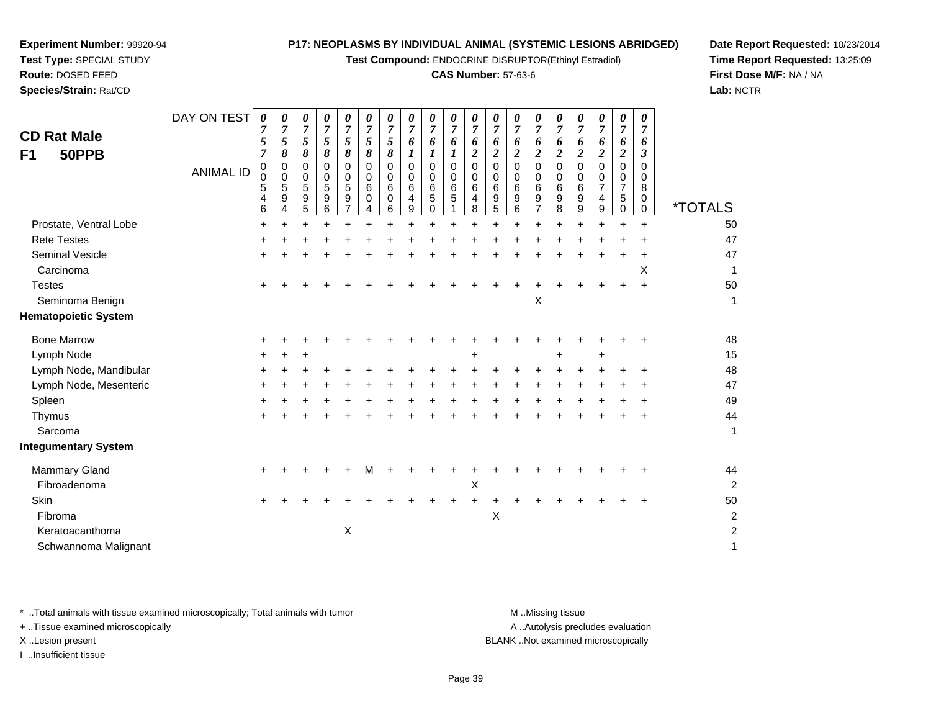**Test Compound:** ENDOCRINE DISRUPTOR(Ethinyl Estradiol)

#### **CAS Number:** 57-63-6

**Date Report Requested:** 10/23/2014**Time Report Requested:** 13:25:09**First Dose M/F:** NA / NA**Lab:** NCTR

| <b>CD Rat Male</b><br>50PPB<br>F1 | DAY ON TEST<br><b>ANIMAL ID</b> | $\boldsymbol{\theta}$<br>7<br>5<br>$\overline{7}$<br>$\pmb{0}$<br>$\mathbf 0$<br>5<br>4<br>6 | 0<br>$\overline{7}$<br>$\sqrt{5}$<br>8<br>$\mathbf 0$<br>$\Omega$<br>$\overline{5}$<br>9<br>4 | 0<br>$\overline{7}$<br>5<br>8<br>$\mathbf 0$<br>$\Omega$<br>5<br>9<br>5 | 0<br>$\overline{7}$<br>5<br>8<br>0<br>$\mathbf 0$<br>$\sqrt{5}$<br>9<br>6 | 0<br>$\overline{7}$<br>5<br>8<br>0<br>0<br>5<br>9<br>$\overline{7}$ | 0<br>$\overline{7}$<br>5<br>8<br>0<br>0<br>6<br>0<br>4 | 0<br>7<br>5<br>8<br>$\mathbf 0$<br>$\Omega$<br>6<br>$\mathbf 0$<br>6 | 0<br>$\overline{7}$<br>6<br>1<br>$\mathbf 0$<br>$\Omega$<br>6<br>4<br>9 | 0<br>$\overline{7}$<br>6<br>0<br>$\Omega$<br>6<br>5<br>0 | 0<br>$\overline{7}$<br>6<br>$\mathbf 0$<br>$\Omega$<br>6<br>5 | 0<br>$\overline{7}$<br>6<br>$\overline{c}$<br>0<br>0<br>6<br>4<br>8 | 0<br>$\overline{7}$<br>6<br>$\overline{2}$<br>0<br>$\mathbf 0$<br>$\,6\,$<br>9<br>5 | 0<br>$\overline{7}$<br>6<br>$\boldsymbol{2}$<br>$\Omega$<br>$\Omega$<br>6<br>9<br>6 | 0<br>$\overline{7}$<br>6<br>$\overline{2}$<br>$\Omega$<br>$\Omega$<br>6<br>9<br>$\overline{7}$ | 0<br>$\overline{7}$<br>6<br>$\overline{2}$<br>$\mathbf 0$<br>$\Omega$<br>6<br>9<br>8 | 0<br>7<br>6<br>$\overline{2}$<br>0<br>0<br>6<br>9<br>9 | 0<br>$\overline{7}$<br>6<br>$\overline{2}$<br>$\Omega$<br>0<br>$\overline{7}$<br>4<br>9 | 0<br>$\overline{7}$<br>6<br>$\boldsymbol{2}$<br>$\mathbf 0$<br>$\Omega$<br>$\overline{7}$<br>5<br>0 | $\boldsymbol{\theta}$<br>$\overline{7}$<br>6<br>3<br>$\Omega$<br>$\Omega$<br>8<br>$\mathbf{0}$<br>$\mathbf 0$ | <i><b>*TOTALS</b></i> |
|-----------------------------------|---------------------------------|----------------------------------------------------------------------------------------------|-----------------------------------------------------------------------------------------------|-------------------------------------------------------------------------|---------------------------------------------------------------------------|---------------------------------------------------------------------|--------------------------------------------------------|----------------------------------------------------------------------|-------------------------------------------------------------------------|----------------------------------------------------------|---------------------------------------------------------------|---------------------------------------------------------------------|-------------------------------------------------------------------------------------|-------------------------------------------------------------------------------------|------------------------------------------------------------------------------------------------|--------------------------------------------------------------------------------------|--------------------------------------------------------|-----------------------------------------------------------------------------------------|-----------------------------------------------------------------------------------------------------|---------------------------------------------------------------------------------------------------------------|-----------------------|
| Prostate, Ventral Lobe            |                                 | $+$                                                                                          |                                                                                               |                                                                         |                                                                           |                                                                     |                                                        |                                                                      |                                                                         |                                                          |                                                               |                                                                     |                                                                                     |                                                                                     |                                                                                                |                                                                                      | $\ddot{}$                                              |                                                                                         |                                                                                                     | $\ddot{}$                                                                                                     | 50                    |
| <b>Rete Testes</b>                |                                 | ٠                                                                                            |                                                                                               |                                                                         |                                                                           |                                                                     |                                                        |                                                                      |                                                                         |                                                          |                                                               |                                                                     |                                                                                     |                                                                                     |                                                                                                |                                                                                      |                                                        |                                                                                         |                                                                                                     |                                                                                                               | 47                    |
| <b>Seminal Vesicle</b>            |                                 |                                                                                              |                                                                                               |                                                                         |                                                                           |                                                                     |                                                        |                                                                      |                                                                         |                                                          |                                                               |                                                                     |                                                                                     |                                                                                     |                                                                                                |                                                                                      |                                                        |                                                                                         |                                                                                                     |                                                                                                               | 47                    |
| Carcinoma                         |                                 |                                                                                              |                                                                                               |                                                                         |                                                                           |                                                                     |                                                        |                                                                      |                                                                         |                                                          |                                                               |                                                                     |                                                                                     |                                                                                     |                                                                                                |                                                                                      |                                                        |                                                                                         |                                                                                                     | X                                                                                                             | $\mathbf{1}$          |
| <b>Testes</b>                     |                                 |                                                                                              |                                                                                               |                                                                         |                                                                           |                                                                     |                                                        |                                                                      |                                                                         |                                                          |                                                               |                                                                     |                                                                                     |                                                                                     |                                                                                                |                                                                                      |                                                        |                                                                                         |                                                                                                     |                                                                                                               | 50                    |
| Seminoma Benign                   |                                 |                                                                                              |                                                                                               |                                                                         |                                                                           |                                                                     |                                                        |                                                                      |                                                                         |                                                          |                                                               |                                                                     |                                                                                     |                                                                                     | X                                                                                              |                                                                                      |                                                        |                                                                                         |                                                                                                     |                                                                                                               | 1                     |
| <b>Hematopoietic System</b>       |                                 |                                                                                              |                                                                                               |                                                                         |                                                                           |                                                                     |                                                        |                                                                      |                                                                         |                                                          |                                                               |                                                                     |                                                                                     |                                                                                     |                                                                                                |                                                                                      |                                                        |                                                                                         |                                                                                                     |                                                                                                               |                       |
| <b>Bone Marrow</b>                |                                 |                                                                                              |                                                                                               |                                                                         |                                                                           |                                                                     |                                                        |                                                                      |                                                                         |                                                          |                                                               |                                                                     |                                                                                     |                                                                                     |                                                                                                |                                                                                      |                                                        |                                                                                         |                                                                                                     |                                                                                                               | 48                    |
| Lymph Node                        |                                 |                                                                                              |                                                                                               |                                                                         |                                                                           |                                                                     |                                                        |                                                                      |                                                                         |                                                          |                                                               | +                                                                   |                                                                                     |                                                                                     |                                                                                                |                                                                                      |                                                        | +                                                                                       |                                                                                                     |                                                                                                               | 15                    |
| Lymph Node, Mandibular            |                                 |                                                                                              |                                                                                               |                                                                         |                                                                           |                                                                     |                                                        |                                                                      |                                                                         |                                                          |                                                               |                                                                     |                                                                                     |                                                                                     |                                                                                                |                                                                                      |                                                        |                                                                                         |                                                                                                     |                                                                                                               | 48                    |
| Lymph Node, Mesenteric            |                                 |                                                                                              |                                                                                               |                                                                         |                                                                           |                                                                     |                                                        |                                                                      |                                                                         |                                                          |                                                               |                                                                     |                                                                                     |                                                                                     |                                                                                                |                                                                                      |                                                        |                                                                                         |                                                                                                     |                                                                                                               | 47                    |
| Spleen                            |                                 |                                                                                              |                                                                                               |                                                                         |                                                                           |                                                                     |                                                        |                                                                      |                                                                         |                                                          |                                                               |                                                                     |                                                                                     |                                                                                     |                                                                                                |                                                                                      |                                                        |                                                                                         |                                                                                                     |                                                                                                               | 49                    |
| Thymus                            |                                 |                                                                                              |                                                                                               |                                                                         |                                                                           |                                                                     |                                                        |                                                                      |                                                                         |                                                          |                                                               |                                                                     |                                                                                     |                                                                                     |                                                                                                |                                                                                      |                                                        |                                                                                         |                                                                                                     |                                                                                                               | 44                    |
| Sarcoma                           |                                 |                                                                                              |                                                                                               |                                                                         |                                                                           |                                                                     |                                                        |                                                                      |                                                                         |                                                          |                                                               |                                                                     |                                                                                     |                                                                                     |                                                                                                |                                                                                      |                                                        |                                                                                         |                                                                                                     |                                                                                                               | 1                     |
| <b>Integumentary System</b>       |                                 |                                                                                              |                                                                                               |                                                                         |                                                                           |                                                                     |                                                        |                                                                      |                                                                         |                                                          |                                                               |                                                                     |                                                                                     |                                                                                     |                                                                                                |                                                                                      |                                                        |                                                                                         |                                                                                                     |                                                                                                               |                       |
| <b>Mammary Gland</b>              |                                 |                                                                                              |                                                                                               |                                                                         |                                                                           |                                                                     | м                                                      |                                                                      |                                                                         |                                                          |                                                               |                                                                     |                                                                                     |                                                                                     |                                                                                                |                                                                                      |                                                        |                                                                                         |                                                                                                     |                                                                                                               | 44                    |
| Fibroadenoma                      |                                 |                                                                                              |                                                                                               |                                                                         |                                                                           |                                                                     |                                                        |                                                                      |                                                                         |                                                          |                                                               | Χ                                                                   |                                                                                     |                                                                                     |                                                                                                |                                                                                      |                                                        |                                                                                         |                                                                                                     |                                                                                                               | $\overline{c}$        |
| Skin                              |                                 |                                                                                              |                                                                                               |                                                                         |                                                                           |                                                                     |                                                        |                                                                      |                                                                         |                                                          |                                                               |                                                                     |                                                                                     |                                                                                     |                                                                                                |                                                                                      |                                                        |                                                                                         |                                                                                                     |                                                                                                               | 50                    |
| Fibroma                           |                                 |                                                                                              |                                                                                               |                                                                         |                                                                           |                                                                     |                                                        |                                                                      |                                                                         |                                                          |                                                               |                                                                     | X                                                                                   |                                                                                     |                                                                                                |                                                                                      |                                                        |                                                                                         |                                                                                                     |                                                                                                               | $\overline{c}$        |
| Keratoacanthoma                   |                                 |                                                                                              |                                                                                               |                                                                         |                                                                           | Χ                                                                   |                                                        |                                                                      |                                                                         |                                                          |                                                               |                                                                     |                                                                                     |                                                                                     |                                                                                                |                                                                                      |                                                        |                                                                                         |                                                                                                     |                                                                                                               | $\overline{c}$        |
| Schwannoma Malignant              |                                 |                                                                                              |                                                                                               |                                                                         |                                                                           |                                                                     |                                                        |                                                                      |                                                                         |                                                          |                                                               |                                                                     |                                                                                     |                                                                                     |                                                                                                |                                                                                      |                                                        |                                                                                         |                                                                                                     |                                                                                                               | $\mathbf{1}$          |
|                                   |                                 |                                                                                              |                                                                                               |                                                                         |                                                                           |                                                                     |                                                        |                                                                      |                                                                         |                                                          |                                                               |                                                                     |                                                                                     |                                                                                     |                                                                                                |                                                                                      |                                                        |                                                                                         |                                                                                                     |                                                                                                               |                       |

\* ..Total animals with tissue examined microscopically; Total animals with tumor **M** . Missing tissue M ..Missing tissue

+ ..Tissue examined microscopically

**Experiment Number:** 99920-94**Test Type:** SPECIAL STUDY**Route:** DOSED FEED**Species/Strain:** Rat/CD

I ..Insufficient tissue

A ..Autolysis precludes evaluation

X ..Lesion present BLANK ..Not examined microscopically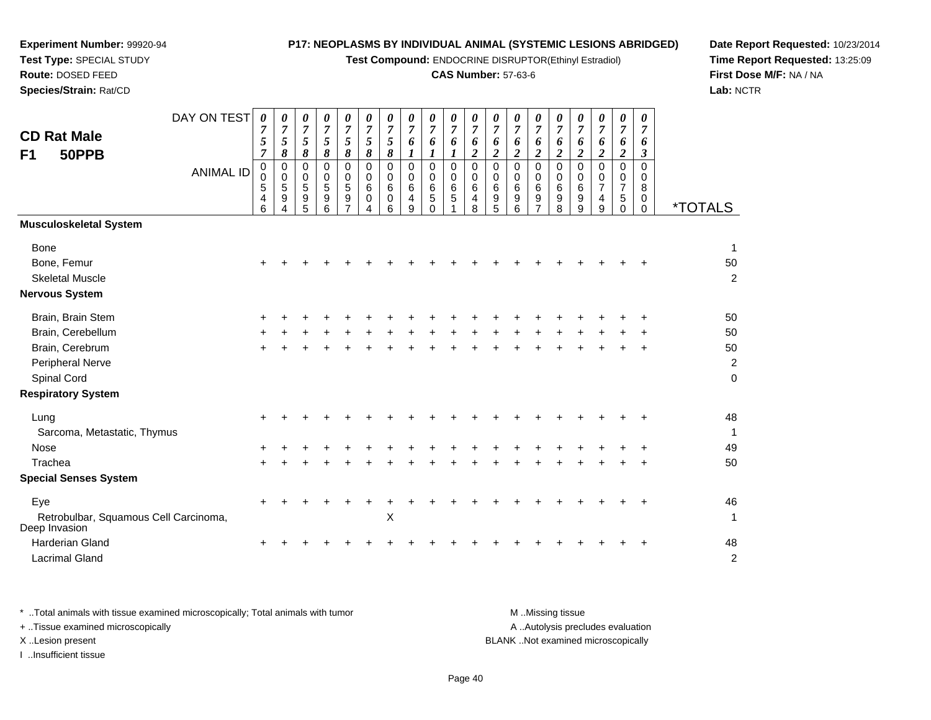**Test Compound:** ENDOCRINE DISRUPTOR(Ethinyl Estradiol)

#### **CAS Number:** 57-63-6

**Date Report Requested:** 10/23/2014**Time Report Requested:** 13:25:09**First Dose M/F:** NA / NA**Lab:** NCTR

| <b>CD Rat Male</b><br>50PPB<br>F <sub>1</sub><br><b>Musculoskeletal System</b>                                            | DAY ON TEST<br><b>ANIMAL ID</b> | $\boldsymbol{\theta}$<br>7<br>5<br>$\overline{7}$<br>$\pmb{0}$<br>$\mathbf 0$<br>5<br>4<br>6 | 0<br>$\overline{7}$<br>5<br>8<br>0<br>0<br>5<br>9<br>4 | 0<br>$\overline{7}$<br>$\sqrt{5}$<br>8<br>0<br>0<br>$\overline{5}$<br>9<br>5 | 0<br>$\overline{7}$<br>5<br>8<br>0<br>0<br>5<br>9<br>6 | 0<br>$\boldsymbol{7}$<br>5<br>$\pmb{8}$<br>$\Omega$<br>0<br>$\overline{5}$<br>9 | 0<br>$\boldsymbol{7}$<br>5<br>8<br>$\Omega$<br>0<br>6<br>0<br>4 | 0<br>$\overline{7}$<br>5<br>$\pmb{8}$<br>$\mathbf 0$<br>0<br>6<br>$\mathbf 0$<br>6 | 0<br>$\overline{7}$<br>6<br>1<br>0<br>0<br>6<br>4<br>9 | 0<br>$\boldsymbol{7}$<br>6<br>1<br>$\mathbf 0$<br>$\mathbf 0$<br>$\,6\,$<br>5<br>0 | 0<br>$\boldsymbol{7}$<br>6<br>$\boldsymbol{l}$<br>$\mathbf 0$<br>$\mathbf 0$<br>$\,6\,$<br>5 | 0<br>$\overline{7}$<br>6<br>$\boldsymbol{2}$<br>$\mathbf 0$<br>0<br>$\,6$<br>4<br>8 | 0<br>7<br>6<br>$\boldsymbol{2}$<br>$\mathbf 0$<br>0<br>6<br>9<br>5 | 0<br>$\boldsymbol{7}$<br>6<br>$\boldsymbol{2}$<br>$\mathbf 0$<br>0<br>$\,6\,$<br>9<br>6 | 0<br>$\overline{7}$<br>6<br>$\boldsymbol{2}$<br>$\Omega$<br>0<br>6<br>9 | 0<br>$\overline{7}$<br>6<br>$\overline{2}$<br>$\mathbf 0$<br>$\mathbf 0$<br>6<br>9<br>8 | 0<br>$\overline{7}$<br>6<br>$\overline{c}$<br>$\mathbf 0$<br>0<br>6<br>9<br>9 | 0<br>$\overline{7}$<br>6<br>$\boldsymbol{2}$<br>$\Omega$<br>0<br>$\overline{7}$<br>$\overline{\mathbf{4}}$<br>9 | 0<br>$\overline{7}$<br>6<br>$\boldsymbol{2}$<br>$\mathbf 0$<br>$\mathbf 0$<br>$\overline{7}$<br>5<br>$\Omega$ | 0<br>$\overline{7}$<br>6<br>3<br>0<br>$\mathbf 0$<br>8<br>$\mathbf 0$<br>$\Omega$ | <i><b>*TOTALS</b></i>                             |
|---------------------------------------------------------------------------------------------------------------------------|---------------------------------|----------------------------------------------------------------------------------------------|--------------------------------------------------------|------------------------------------------------------------------------------|--------------------------------------------------------|---------------------------------------------------------------------------------|-----------------------------------------------------------------|------------------------------------------------------------------------------------|--------------------------------------------------------|------------------------------------------------------------------------------------|----------------------------------------------------------------------------------------------|-------------------------------------------------------------------------------------|--------------------------------------------------------------------|-----------------------------------------------------------------------------------------|-------------------------------------------------------------------------|-----------------------------------------------------------------------------------------|-------------------------------------------------------------------------------|-----------------------------------------------------------------------------------------------------------------|---------------------------------------------------------------------------------------------------------------|-----------------------------------------------------------------------------------|---------------------------------------------------|
| <b>Bone</b><br>Bone, Femur<br><b>Skeletal Muscle</b><br><b>Nervous System</b>                                             |                                 | $\pm$                                                                                        |                                                        |                                                                              |                                                        |                                                                                 |                                                                 |                                                                                    |                                                        |                                                                                    |                                                                                              |                                                                                     |                                                                    |                                                                                         |                                                                         |                                                                                         |                                                                               |                                                                                                                 |                                                                                                               |                                                                                   | 1<br>50<br>$\overline{c}$                         |
| Brain, Brain Stem<br>Brain, Cerebellum<br>Brain, Cerebrum<br>Peripheral Nerve<br>Spinal Cord<br><b>Respiratory System</b> |                                 |                                                                                              |                                                        |                                                                              |                                                        |                                                                                 |                                                                 |                                                                                    |                                                        |                                                                                    |                                                                                              |                                                                                     |                                                                    |                                                                                         |                                                                         |                                                                                         |                                                                               |                                                                                                                 |                                                                                                               |                                                                                   | 50<br>50<br>50<br>$\boldsymbol{2}$<br>$\mathbf 0$ |
| Lung<br>Sarcoma, Metastatic, Thymus<br><b>Nose</b><br>Trachea<br><b>Special Senses System</b>                             |                                 | $+$                                                                                          |                                                        |                                                                              |                                                        |                                                                                 |                                                                 |                                                                                    |                                                        |                                                                                    |                                                                                              |                                                                                     |                                                                    |                                                                                         |                                                                         |                                                                                         |                                                                               |                                                                                                                 |                                                                                                               |                                                                                   | 48<br>1<br>49<br>50                               |
| Eye<br>Retrobulbar, Squamous Cell Carcinoma,<br>Deep Invasion<br><b>Harderian Gland</b><br><b>Lacrimal Gland</b>          |                                 | $\ddot{}$                                                                                    |                                                        |                                                                              |                                                        |                                                                                 |                                                                 | X                                                                                  |                                                        |                                                                                    |                                                                                              |                                                                                     |                                                                    |                                                                                         |                                                                         |                                                                                         |                                                                               |                                                                                                                 |                                                                                                               | $\div$                                                                            | 46<br>$\mathbf{1}$<br>48<br>$\overline{c}$        |

**Experiment Number:** 99920-94**Test Type:** SPECIAL STUDY**Route:** DOSED FEED**Species/Strain:** Rat/CD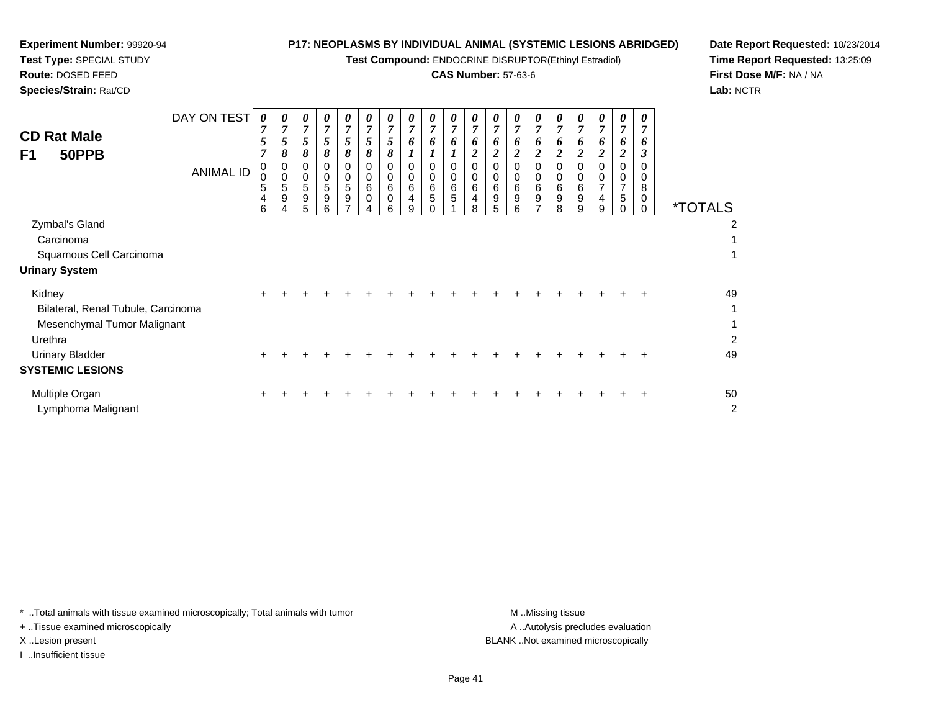**Test Compound:** ENDOCRINE DISRUPTOR(Ethinyl Estradiol)

### **CAS Number:** 57-63-6

**Date Report Requested:** 10/23/2014**Time Report Requested:** 13:25:09**First Dose M/F:** NA / NA**Lab:** NCTR

 $\overline{2}$ 

| <b>CD Rat Male</b><br>F1<br>50PPB                                                                                | DAY ON TEST<br><b>ANIMAL ID</b> | 0<br>7<br>$\sqrt{5}$<br>$\overline{7}$<br>0<br>0<br>5<br>4<br>6 | 7<br>5<br>8<br>0<br>$\pmb{0}$<br>5<br>9 | 0<br>$\overline{7}$<br>$5\overline{)}$<br>8<br>0<br>$\boldsymbol{0}$<br>5<br>9<br>5 | 0<br>$\overline{7}$<br>$\mathfrak{s}$<br>8<br>0<br>0<br>5<br>9<br>6 | 0<br>7<br>5<br>8<br>0<br>0<br>5<br>$\boldsymbol{9}$ | 0<br>$\overline{7}$<br>$\sqrt{5}$<br>8<br>$\mathbf 0$<br>0<br>6<br>0<br>4 | 0<br>$\overline{7}$<br>5<br>8<br>0<br>0<br>6<br>0<br>6 | 0<br>$\overline{7}$<br>6<br>0<br>$\mathbf 0$<br>$\,6$<br>4<br>9 | $\theta$<br>$\overline{7}$<br>6<br>0<br>0<br>6<br>5 | 0<br>$\overline{7}$<br>6<br>0<br>0<br>6<br>5 | $\boldsymbol{\theta}$<br>$\overline{7}$<br>6<br>$\boldsymbol{2}$<br>0<br>$\pmb{0}$<br>6<br>$\overline{\mathbf{4}}$<br>8 | U<br>$\overline{7}$<br>6<br>$\overline{\mathbf{c}}$<br>0<br>0<br>6<br>9<br>5 | U<br>7<br>6<br>$\overline{2}$<br>0<br>0<br>6<br>9<br>6 | 0<br>7<br>6<br>$\boldsymbol{2}$<br>0<br>6<br>9<br>⇁ | 0<br>$\overline{7}$<br>6<br>2<br>0<br>0<br>6<br>9<br>8 | 0<br>7<br>o<br>2<br>0<br>0<br>6<br>9<br>9 | 0<br>$\overline{7}$<br>6<br>$\overline{2}$<br>0<br>0<br>$\overline{7}$<br>4<br>9 | $\theta$<br>7<br>6<br>2<br>$\Omega$<br>0<br>$\overline{7}$<br>5 | 0<br>$\overline{7}$<br>6<br>3<br>$\Omega$<br>0<br>8<br>0<br>$\Omega$ | <i><b>*TOTALS</b></i>      |
|------------------------------------------------------------------------------------------------------------------|---------------------------------|-----------------------------------------------------------------|-----------------------------------------|-------------------------------------------------------------------------------------|---------------------------------------------------------------------|-----------------------------------------------------|---------------------------------------------------------------------------|--------------------------------------------------------|-----------------------------------------------------------------|-----------------------------------------------------|----------------------------------------------|-------------------------------------------------------------------------------------------------------------------------|------------------------------------------------------------------------------|--------------------------------------------------------|-----------------------------------------------------|--------------------------------------------------------|-------------------------------------------|----------------------------------------------------------------------------------|-----------------------------------------------------------------|----------------------------------------------------------------------|----------------------------|
| Zymbal's Gland                                                                                                   |                                 |                                                                 |                                         |                                                                                     |                                                                     |                                                     |                                                                           |                                                        |                                                                 |                                                     |                                              |                                                                                                                         |                                                                              |                                                        |                                                     |                                                        |                                           |                                                                                  |                                                                 |                                                                      | 2                          |
| Carcinoma                                                                                                        |                                 |                                                                 |                                         |                                                                                     |                                                                     |                                                     |                                                                           |                                                        |                                                                 |                                                     |                                              |                                                                                                                         |                                                                              |                                                        |                                                     |                                                        |                                           |                                                                                  |                                                                 |                                                                      |                            |
| Squamous Cell Carcinoma                                                                                          |                                 |                                                                 |                                         |                                                                                     |                                                                     |                                                     |                                                                           |                                                        |                                                                 |                                                     |                                              |                                                                                                                         |                                                                              |                                                        |                                                     |                                                        |                                           |                                                                                  |                                                                 |                                                                      |                            |
| <b>Urinary System</b>                                                                                            |                                 |                                                                 |                                         |                                                                                     |                                                                     |                                                     |                                                                           |                                                        |                                                                 |                                                     |                                              |                                                                                                                         |                                                                              |                                                        |                                                     |                                                        |                                           |                                                                                  |                                                                 |                                                                      |                            |
| Kidney<br>Bilateral, Renal Tubule, Carcinoma<br>Mesenchymal Tumor Malignant<br>Urethra<br><b>Urinary Bladder</b> |                                 | ÷<br>÷                                                          |                                         |                                                                                     |                                                                     |                                                     |                                                                           |                                                        |                                                                 |                                                     |                                              |                                                                                                                         |                                                                              |                                                        |                                                     |                                                        |                                           |                                                                                  |                                                                 |                                                                      | 49<br>$\overline{2}$<br>49 |
| <b>SYSTEMIC LESIONS</b>                                                                                          |                                 |                                                                 |                                         |                                                                                     |                                                                     |                                                     |                                                                           |                                                        |                                                                 |                                                     |                                              |                                                                                                                         |                                                                              |                                                        |                                                     |                                                        |                                           |                                                                                  |                                                                 |                                                                      |                            |
| Multiple Organ                                                                                                   |                                 |                                                                 |                                         |                                                                                     |                                                                     |                                                     |                                                                           |                                                        |                                                                 |                                                     |                                              |                                                                                                                         |                                                                              |                                                        |                                                     |                                                        |                                           |                                                                                  |                                                                 |                                                                      | 50                         |
|                                                                                                                  |                                 |                                                                 |                                         |                                                                                     |                                                                     |                                                     |                                                                           |                                                        |                                                                 |                                                     |                                              |                                                                                                                         |                                                                              |                                                        |                                                     |                                                        |                                           |                                                                                  |                                                                 |                                                                      |                            |

\* ..Total animals with tissue examined microscopically; Total animals with tumor **M** . Missing tissue M ..Missing tissue

+ ..Tissue examined microscopically

Lymphoma Malignant

**Experiment Number:** 99920-94**Test Type:** SPECIAL STUDY**Route:** DOSED FEED**Species/Strain:** Rat/CD

I ..Insufficient tissue

A ..Autolysis precludes evaluation X ..Lesion present BLANK ..Not examined microscopically

t de la construction de la construction de la construction de la construction de la construction de la construction<br>De la construction de la construction de la construction de la construction de la construction de la const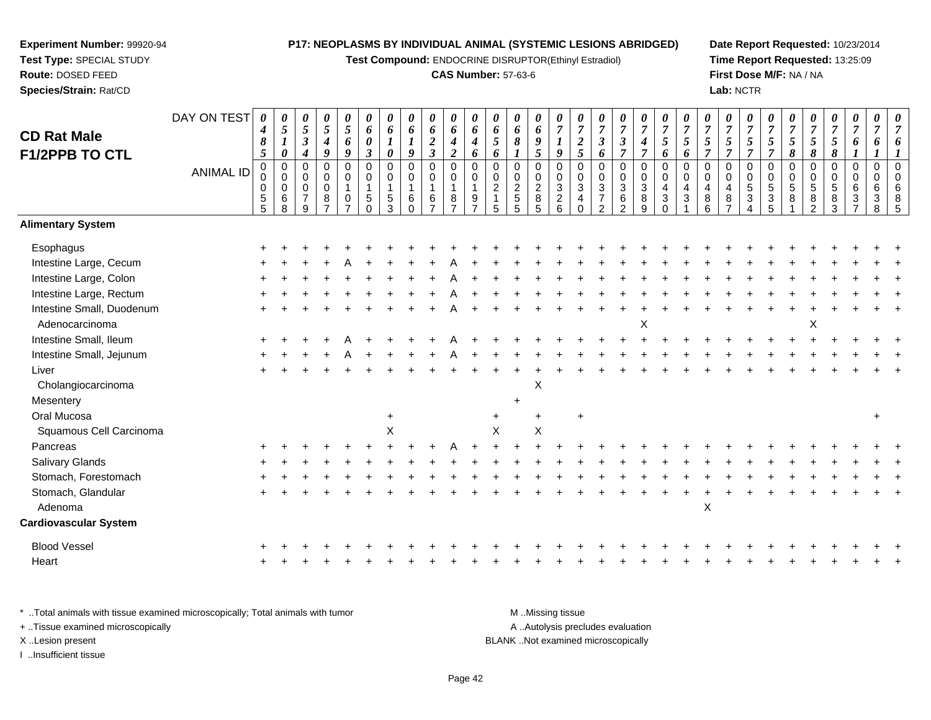**Test Compound:** ENDOCRINE DISRUPTOR(Ethinyl Estradiol)

#### **CAS Number:** 57-63-6

**Date Report Requested:** 10/23/2014**Time Report Requested:** 13:25:09**First Dose M/F:** NA / NA**Lab:** NCTR

#### DAY ON TEST**CD Rat Male F1/2PPB TO CTL**ANIMAL ID*0 4 8 5* 0 0 0 5 5*0 5 1 0* 0 0 0 6 8*0 5 3 4* 0 0 0 7 9*0 5 4 9* 0 0 0 8 7*0 5 6 9* 0 0 1 0 7*0 6 0 3* 0 0 1 5 0*0 6 1 0* 0 0 1 5 3*0 6 1 9* 0 0 1 6 0*0 6 2 3* 0 0 1 6 7*0 6 4 2* 0 0 1 8 7*0 6 4 6* 0 0 1 9 7*0 6 5 6* 0 0 2 1 5*0 6 8 1* 0 0 2 5 5*0 6 9 5* 0 0 2 8 5*0 7 1 9* 0 0 3 2 6*0 7 2 5* 0 0 3 4 0*0 7 3 6* 0 0 3 7 2*0 7 3 7* 0 0 3 6 2*0 7 4 7* 0 0 3 8 9*0 7 5 6* 0 0 4 3 0*0 7 5 6* 0 0 4 3 1*0 7 5 7* 0 0 4 8 6*0 7 5 7* 0 0 4 8 7*0 7 5 7* 0 0 5 3 4*0 7 5 7* 0 0 5 3 5*0 7 5 8* 0 0 5 8 1*0 7 5 8* 0 0 5 8 2*0 7 5 8* 0 0 5 8 3*0 7 6 1* 0 0 6 3 7*0 7 6 1* 0 0 6 3 8*0 7 6 1* 0 0 6 8 5**Alimentary SystemEsophagus**  $\mathsf{S}$  + <sup>+</sup> <sup>+</sup> <sup>+</sup> <sup>+</sup> <sup>+</sup> <sup>+</sup> <sup>+</sup> <sup>+</sup> <sup>+</sup> <sup>+</sup> <sup>+</sup> <sup>+</sup> <sup>+</sup> <sup>+</sup> <sup>+</sup> <sup>+</sup> <sup>+</sup> <sup>+</sup> <sup>+</sup> <sup>+</sup> <sup>+</sup> <sup>+</sup> <sup>+</sup> <sup>+</sup> <sup>+</sup> <sup>+</sup> <sup>+</sup> <sup>+</sup> <sup>+</sup> <sup>+</sup> Intestine Large, Cecum <sup>+</sup> <sup>+</sup> <sup>+</sup> <sup>+</sup> <sup>A</sup> <sup>+</sup> <sup>+</sup> <sup>+</sup> <sup>+</sup> <sup>A</sup> <sup>+</sup> <sup>+</sup> <sup>+</sup> <sup>+</sup> <sup>+</sup> <sup>+</sup> <sup>+</sup> <sup>+</sup> <sup>+</sup> <sup>+</sup> <sup>+</sup> <sup>+</sup> <sup>+</sup> <sup>+</sup> <sup>+</sup> <sup>+</sup> <sup>+</sup> <sup>+</sup> <sup>+</sup> <sup>+</sup> <sup>+</sup> Intestine Large, Colonn  $+$  <sup>+</sup> <sup>+</sup> <sup>+</sup> <sup>+</sup> <sup>+</sup> <sup>+</sup> <sup>+</sup> <sup>+</sup> <sup>A</sup> <sup>+</sup> <sup>+</sup> <sup>+</sup> <sup>+</sup> <sup>+</sup> <sup>+</sup> <sup>+</sup> <sup>+</sup> <sup>+</sup> <sup>+</sup> <sup>+</sup> <sup>+</sup> <sup>+</sup> <sup>+</sup> <sup>+</sup> <sup>+</sup> <sup>+</sup> <sup>+</sup> <sup>+</sup> <sup>+</sup> <sup>+</sup> Intestine Large, Rectum <sup>+</sup> <sup>+</sup> <sup>+</sup> <sup>+</sup> <sup>+</sup> <sup>+</sup> <sup>+</sup> <sup>+</sup> <sup>+</sup> <sup>A</sup> <sup>+</sup> <sup>+</sup> <sup>+</sup> <sup>+</sup> <sup>+</sup> <sup>+</sup> <sup>+</sup> <sup>+</sup> <sup>+</sup> <sup>+</sup> <sup>+</sup> <sup>+</sup> <sup>+</sup> <sup>+</sup> <sup>+</sup> <sup>+</sup> <sup>+</sup> <sup>+</sup> <sup>+</sup> <sup>+</sup> <sup>+</sup> Intestine Small, Duodenum <sup>+</sup> <sup>+</sup> <sup>+</sup> <sup>+</sup> <sup>+</sup> <sup>+</sup> <sup>+</sup> <sup>+</sup> <sup>+</sup> <sup>A</sup> <sup>+</sup> <sup>+</sup> <sup>+</sup> <sup>+</sup> <sup>+</sup> <sup>+</sup> <sup>+</sup> <sup>+</sup> <sup>+</sup> <sup>+</sup> <sup>+</sup> <sup>+</sup> <sup>+</sup> <sup>+</sup> <sup>+</sup> <sup>+</sup> <sup>+</sup> <sup>+</sup> <sup>+</sup> <sup>+</sup> <sup>+</sup> Adenocarcinoma $\alpha$  $\mathsf{x}$  x  $\mathsf{x}$ Intestine Small, Ileum <sup>+</sup> <sup>+</sup> <sup>+</sup> <sup>+</sup> <sup>A</sup> <sup>+</sup> <sup>+</sup> <sup>+</sup> <sup>+</sup> <sup>A</sup> <sup>+</sup> <sup>+</sup> <sup>+</sup> <sup>+</sup> <sup>+</sup> <sup>+</sup> <sup>+</sup> <sup>+</sup> <sup>+</sup> <sup>+</sup> <sup>+</sup> <sup>+</sup> <sup>+</sup> <sup>+</sup> <sup>+</sup> <sup>+</sup> <sup>+</sup> <sup>+</sup> <sup>+</sup> <sup>+</sup> <sup>+</sup> Intestine Small, Jejunum <sup>+</sup> <sup>+</sup> <sup>+</sup> <sup>+</sup> <sup>A</sup> <sup>+</sup> <sup>+</sup> <sup>+</sup> <sup>+</sup> <sup>A</sup> <sup>+</sup> <sup>+</sup> <sup>+</sup> <sup>+</sup> <sup>+</sup> <sup>+</sup> <sup>+</sup> <sup>+</sup> <sup>+</sup> <sup>+</sup> <sup>+</sup> <sup>+</sup> <sup>+</sup> <sup>+</sup> <sup>+</sup> <sup>+</sup> <sup>+</sup> <sup>+</sup> <sup>+</sup> <sup>+</sup> <sup>+</sup> Liver $\mathsf{r}$  + <sup>+</sup> <sup>+</sup> <sup>+</sup> <sup>+</sup> <sup>+</sup> <sup>+</sup> <sup>+</sup> <sup>+</sup> <sup>+</sup> <sup>+</sup> <sup>+</sup> <sup>+</sup> <sup>+</sup> <sup>+</sup> <sup>+</sup> <sup>+</sup> <sup>+</sup> <sup>+</sup> <sup>+</sup> <sup>+</sup> <sup>+</sup> <sup>+</sup> <sup>+</sup> <sup>+</sup> <sup>+</sup> <sup>+</sup> <sup>+</sup> <sup>+</sup> <sup>+</sup> <sup>+</sup> Cholangiocarcinoma $\alpha$ **Mesentery**  $\mathsf{y}$ Oral Mucosaa  $+$  <sup>+</sup> <sup>+</sup> <sup>+</sup> <sup>+</sup> Squamous Cell Carcinomaa  $\lambda$  $x \times x$ Pancreas <sup>+</sup> <sup>+</sup> <sup>+</sup> <sup>+</sup> <sup>+</sup> <sup>+</sup> <sup>+</sup> <sup>+</sup> <sup>+</sup> <sup>A</sup> <sup>+</sup> <sup>+</sup> <sup>+</sup> <sup>+</sup> <sup>+</sup> <sup>+</sup> <sup>+</sup> <sup>+</sup> <sup>+</sup> <sup>+</sup> <sup>+</sup> <sup>+</sup> <sup>+</sup> <sup>+</sup> <sup>+</sup> <sup>+</sup> <sup>+</sup> <sup>+</sup> <sup>+</sup> <sup>+</sup> <sup>+</sup> Salivary Glands $\sim$   $\sim$   $\sim$   $\sim$   $\sim$   $\sim$  <sup>+</sup> <sup>+</sup> <sup>+</sup> <sup>+</sup> <sup>+</sup> <sup>+</sup> <sup>+</sup> <sup>+</sup> <sup>+</sup> <sup>+</sup> <sup>+</sup> <sup>+</sup> <sup>+</sup> <sup>+</sup> <sup>+</sup> <sup>+</sup> <sup>+</sup> <sup>+</sup> <sup>+</sup> <sup>+</sup> <sup>+</sup> <sup>+</sup> <sup>+</sup> <sup>+</sup> <sup>+</sup> <sup>+</sup> <sup>+</sup> <sup>+</sup> <sup>+</sup> <sup>+</sup> Stomach, Forestomach $h \rightarrow$  <sup>+</sup> <sup>+</sup> <sup>+</sup> <sup>+</sup> <sup>+</sup> <sup>+</sup> <sup>+</sup> <sup>+</sup> <sup>+</sup> <sup>+</sup> <sup>+</sup> <sup>+</sup> <sup>+</sup> <sup>+</sup> <sup>+</sup> <sup>+</sup> <sup>+</sup> <sup>+</sup> <sup>+</sup> <sup>+</sup> <sup>+</sup> <sup>+</sup> <sup>+</sup> <sup>+</sup> <sup>+</sup> <sup>+</sup> <sup>+</sup> <sup>+</sup> <sup>+</sup> <sup>+</sup> Stomach, Glandularr + <sup>+</sup> <sup>+</sup> <sup>+</sup> <sup>+</sup> <sup>+</sup> <sup>+</sup> <sup>+</sup> <sup>+</sup> <sup>+</sup> <sup>+</sup> <sup>+</sup> <sup>+</sup> <sup>+</sup> <sup>+</sup> <sup>+</sup> <sup>+</sup> <sup>+</sup> <sup>+</sup> <sup>+</sup> <sup>+</sup> <sup>+</sup> <sup>+</sup> <sup>+</sup> <sup>+</sup> <sup>+</sup> <sup>+</sup> <sup>+</sup> <sup>+</sup> <sup>+</sup> <sup>+</sup> Adenoma $\alpha$ **Cardiovascular System**Blood Vessel $\mathbf{+}$  <sup>+</sup> <sup>+</sup> <sup>+</sup> <sup>+</sup> <sup>+</sup> <sup>+</sup> <sup>+</sup> <sup>+</sup> <sup>+</sup> <sup>+</sup> <sup>+</sup> <sup>+</sup> <sup>+</sup> <sup>+</sup> <sup>+</sup> <sup>+</sup> <sup>+</sup> <sup>+</sup> <sup>+</sup> <sup>+</sup> <sup>+</sup> <sup>+</sup> <sup>+</sup> <sup>+</sup> <sup>+</sup> <sup>+</sup> <sup>+</sup> <sup>+</sup> <sup>+</sup> <sup>+</sup> Heart <sup>+</sup><sup>+</sup> <sup>+</sup> <sup>+</sup> <sup>+</sup> <sup>+</sup> <sup>+</sup> <sup>+</sup> <sup>+</sup> <sup>+</sup> <sup>+</sup> <sup>+</sup> <sup>+</sup> <sup>+</sup> <sup>+</sup> <sup>+</sup> <sup>+</sup> <sup>+</sup> <sup>+</sup> <sup>+</sup> <sup>+</sup> <sup>+</sup> <sup>+</sup> <sup>+</sup> <sup>+</sup> <sup>+</sup> <sup>+</sup> <sup>+</sup> <sup>+</sup> <sup>+</sup> <sup>+</sup>

\* ..Total animals with tissue examined microscopically; Total animals with tumor M ...Total animals with tumor A ..Autolysis precludes evaluation + ..Tissue examined microscopically X ..Lesion present BLANK ..Not examined microscopicallyI ..Insufficient tissue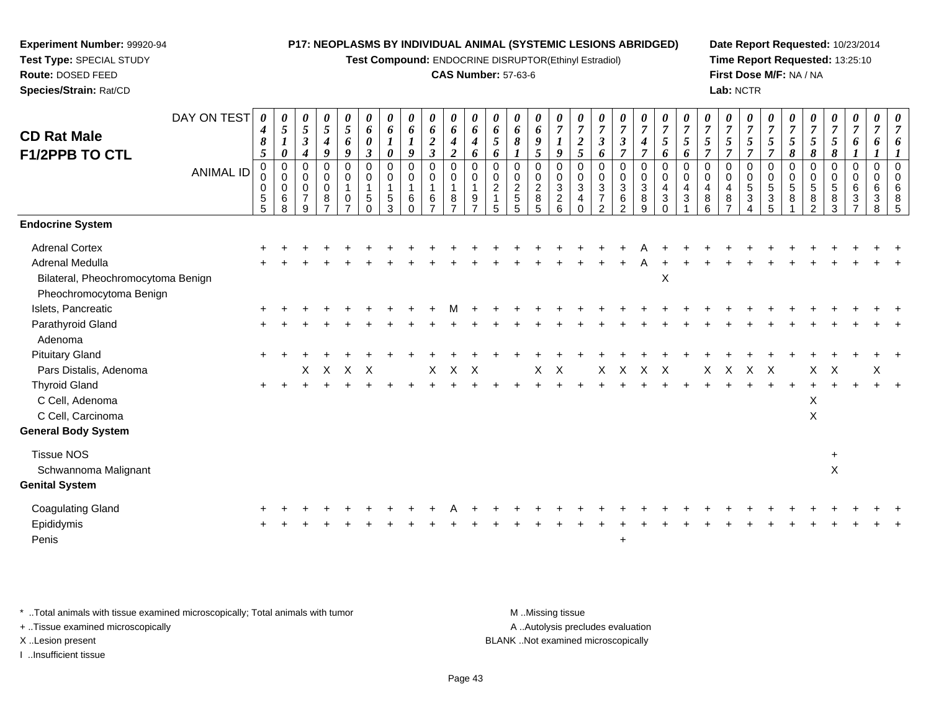**Test Compound:** ENDOCRINE DISRUPTOR(Ethinyl Estradiol)

#### **CAS Number:** 57-63-6

**Date Report Requested:** 10/23/2014**Time Report Requested:** 13:25:10**First Dose M/F:** NA / NA**Lab:** NCTR

| <b>CD Rat Male</b><br>F1/2PPB TO CTL | DAY ON TEST<br><b>ANIMAL ID</b> | 0<br>$\boldsymbol{4}$<br>$\pmb{8}$<br>$\mathfrak{s}$<br>$\mathbf 0$<br>0<br>$\pmb{0}$ | 0<br>$\mathfrak{s}$<br>$\boldsymbol{l}$<br>$\pmb{\theta}$<br>$\pmb{0}$<br>$\mathbf 0$<br>0 | 0<br>$\overline{5}$<br>$\mathfrak{z}$<br>$\boldsymbol{4}$<br>0<br>$\mathbf 0$<br>$\mathbf 0$ | $\frac{\theta}{5}$<br>$\boldsymbol{4}$<br>9<br>$\mathbf 0$<br>0<br>$\pmb{0}$ | $\frac{\theta}{5}$<br>6<br>9<br>$\pmb{0}$<br>$\pmb{0}$<br>$\mathbf{1}$ | 0<br>6<br>$\boldsymbol{\theta}$<br>$\boldsymbol{\beta}$<br>$\mathbf 0$<br>$\mathbf 0$<br>$\overline{1}$ | $\boldsymbol{\theta}$<br>6<br>$\boldsymbol{l}$<br>$\boldsymbol{\theta}$<br>$\pmb{0}$<br>$\mathbf 0$<br>$\mathbf{1}$ | $\boldsymbol{\theta}$<br>$\boldsymbol{6}$<br>$\boldsymbol{l}$<br>9<br>0<br>0<br>$\mathbf{1}$ | 0<br>6<br>$\overline{a}$<br>$\mathfrak{z}$<br>$\pmb{0}$<br>0<br>$\mathbf{1}$ | 0<br>$\boldsymbol{6}$<br>$\boldsymbol{4}$<br>$\overline{\mathbf{c}}$<br>0<br>0<br>$\mathbf{1}$ | $\boldsymbol{\theta}$<br>6<br>$\boldsymbol{4}$<br>6<br>$\mathbf 0$<br>$\mathbf 0$ | $\boldsymbol{\theta}$<br>6<br>5<br>6<br>$\pmb{0}$<br>0<br>$\overline{2}$ | $\boldsymbol{\theta}$<br>6<br>8<br>0<br>0<br>$\sqrt{2}$ | $\boldsymbol{\theta}$<br>6<br>$\boldsymbol{g}$<br>5<br>$\mathbf 0$<br>$\mathbf 0$<br>$\overline{c}$ | $\boldsymbol{\theta}$<br>$\overline{7}$<br>9<br>$\pmb{0}$<br>0<br>$\sqrt{3}$ | $\boldsymbol{7}$<br>$\boldsymbol{2}$<br>5<br>$\mathbf 0$<br>0<br>$\sqrt{3}$ | $\overline{7}$<br>$\mathfrak{z}$<br>6<br>$\pmb{0}$<br>$\mathbf 0$<br>$\sqrt{3}$ | $\boldsymbol{\theta}$<br>$\boldsymbol{7}$<br>$\mathfrak{z}$<br>$\overline{7}$<br>$\mathbf 0$<br>$\pmb{0}$<br>$\sqrt{3}$ | $\frac{\theta}{7}$<br>$\boldsymbol{4}$<br>$\overline{7}$<br>$\pmb{0}$<br>$\mathbf 0$<br>$\mathbf{3}$ | U<br>$\overline{7}$<br>5<br>6<br>$\mathbf 0$<br>$\mathbf 0$<br>$\overline{4}$ | $\overline{7}$<br>5<br>6<br>$\mathbf 0$<br>0<br>4 | $\overline{7}$<br>5<br>$\mathbf 0$<br>$\mathbf 0$<br>$\overline{4}$ | $\boldsymbol{\theta}$<br>$\overline{7}$<br>5<br>$\overline{7}$<br>$\mathbf 0$<br>$\mathbf 0$<br>$\overline{4}$ | 0<br>$\boldsymbol{7}$<br>5<br>$\overline{7}$<br>$\mathbf 0$<br>$\mathbf 0$<br>$\sqrt{5}$ | $\boldsymbol{\theta}$<br>$\overline{7}$<br>5<br>$\overline{7}$<br>0<br>$\mathbf 0$<br>5 | $\boldsymbol{7}$<br>5<br>8<br>$\pmb{0}$<br>0<br>5 | U<br>$\overline{7}$<br>5<br>8<br>$\pmb{0}$<br>0<br>$\,$ 5 $\,$ | U<br>$\boldsymbol{7}$<br>$\mathfrak{s}$<br>8<br>0<br>0<br>5 | 0<br>$\boldsymbol{7}$<br>$\boldsymbol{6}$<br>$\mathbf{I}$<br>$\pmb{0}$<br>$\mathbf 0$<br>6 | $\boldsymbol{\theta}$<br>$\overline{7}$<br>6<br>$\mathbf 0$<br>0<br>6 | $\Omega$<br>$\Omega$<br>6 |
|--------------------------------------|---------------------------------|---------------------------------------------------------------------------------------|--------------------------------------------------------------------------------------------|----------------------------------------------------------------------------------------------|------------------------------------------------------------------------------|------------------------------------------------------------------------|---------------------------------------------------------------------------------------------------------|---------------------------------------------------------------------------------------------------------------------|----------------------------------------------------------------------------------------------|------------------------------------------------------------------------------|------------------------------------------------------------------------------------------------|-----------------------------------------------------------------------------------|--------------------------------------------------------------------------|---------------------------------------------------------|-----------------------------------------------------------------------------------------------------|------------------------------------------------------------------------------|-----------------------------------------------------------------------------|---------------------------------------------------------------------------------|-------------------------------------------------------------------------------------------------------------------------|------------------------------------------------------------------------------------------------------|-------------------------------------------------------------------------------|---------------------------------------------------|---------------------------------------------------------------------|----------------------------------------------------------------------------------------------------------------|------------------------------------------------------------------------------------------|-----------------------------------------------------------------------------------------|---------------------------------------------------|----------------------------------------------------------------|-------------------------------------------------------------|--------------------------------------------------------------------------------------------|-----------------------------------------------------------------------|---------------------------|
|                                      |                                 | $\,$ 5 $\,$<br>$5\phantom{.0}$                                                        | $\,6\,$<br>8                                                                               | $\overline{7}$<br>9                                                                          | 8                                                                            | $\mathbf 0$<br>$\overline{ }$                                          | 5<br>0                                                                                                  | $\sqrt{5}$<br>3                                                                                                     | $\,6$<br>$\Omega$                                                                            | 6<br>$\overline{7}$                                                          | 8<br>$\overline{7}$                                                                            | 9                                                                                 | 5                                                                        | 5<br>5                                                  | 8<br>5                                                                                              | $\overline{c}$<br>6                                                          | $\overline{4}$                                                              | $\overline{7}$<br>$\mathcal{P}$                                                 | $\,6\,$<br>$\overline{2}$                                                                                               | 8<br>9                                                                                               | 3<br>$\Omega$                                                                 | 3                                                 | 8<br>6                                                              | 8                                                                                                              | 3                                                                                        | 3<br>5                                                                                  | 8                                                 | 8<br>$\mathfrak{p}$                                            | 8<br>3                                                      | 3                                                                                          | 3<br>8                                                                |                           |
| <b>Endocrine System</b>              |                                 |                                                                                       |                                                                                            |                                                                                              |                                                                              |                                                                        |                                                                                                         |                                                                                                                     |                                                                                              |                                                                              |                                                                                                |                                                                                   |                                                                          |                                                         |                                                                                                     |                                                                              |                                                                             |                                                                                 |                                                                                                                         |                                                                                                      |                                                                               |                                                   |                                                                     |                                                                                                                |                                                                                          |                                                                                         |                                                   |                                                                |                                                             |                                                                                            |                                                                       |                           |
| <b>Adrenal Cortex</b>                |                                 |                                                                                       |                                                                                            |                                                                                              |                                                                              |                                                                        |                                                                                                         |                                                                                                                     |                                                                                              |                                                                              |                                                                                                |                                                                                   |                                                                          |                                                         |                                                                                                     |                                                                              |                                                                             |                                                                                 |                                                                                                                         |                                                                                                      |                                                                               |                                                   |                                                                     |                                                                                                                |                                                                                          |                                                                                         |                                                   |                                                                |                                                             |                                                                                            |                                                                       |                           |
| Adrenal Medulla                      |                                 |                                                                                       |                                                                                            |                                                                                              |                                                                              |                                                                        |                                                                                                         |                                                                                                                     |                                                                                              |                                                                              |                                                                                                |                                                                                   |                                                                          |                                                         |                                                                                                     |                                                                              |                                                                             |                                                                                 |                                                                                                                         |                                                                                                      |                                                                               |                                                   |                                                                     |                                                                                                                |                                                                                          |                                                                                         |                                                   |                                                                |                                                             |                                                                                            |                                                                       |                           |
| Bilateral, Pheochromocytoma Benign   |                                 |                                                                                       |                                                                                            |                                                                                              |                                                                              |                                                                        |                                                                                                         |                                                                                                                     |                                                                                              |                                                                              |                                                                                                |                                                                                   |                                                                          |                                                         |                                                                                                     |                                                                              |                                                                             |                                                                                 |                                                                                                                         |                                                                                                      | X                                                                             |                                                   |                                                                     |                                                                                                                |                                                                                          |                                                                                         |                                                   |                                                                |                                                             |                                                                                            |                                                                       |                           |
| Pheochromocytoma Benign              |                                 |                                                                                       |                                                                                            |                                                                                              |                                                                              |                                                                        |                                                                                                         |                                                                                                                     |                                                                                              |                                                                              |                                                                                                |                                                                                   |                                                                          |                                                         |                                                                                                     |                                                                              |                                                                             |                                                                                 |                                                                                                                         |                                                                                                      |                                                                               |                                                   |                                                                     |                                                                                                                |                                                                                          |                                                                                         |                                                   |                                                                |                                                             |                                                                                            |                                                                       |                           |
| Islets, Pancreatic                   |                                 |                                                                                       |                                                                                            |                                                                                              |                                                                              |                                                                        |                                                                                                         |                                                                                                                     |                                                                                              |                                                                              |                                                                                                |                                                                                   |                                                                          |                                                         |                                                                                                     |                                                                              |                                                                             |                                                                                 |                                                                                                                         |                                                                                                      |                                                                               |                                                   |                                                                     |                                                                                                                |                                                                                          |                                                                                         |                                                   |                                                                |                                                             |                                                                                            |                                                                       |                           |
| Parathyroid Gland                    |                                 |                                                                                       |                                                                                            |                                                                                              |                                                                              |                                                                        |                                                                                                         |                                                                                                                     |                                                                                              |                                                                              |                                                                                                |                                                                                   |                                                                          |                                                         |                                                                                                     |                                                                              |                                                                             |                                                                                 |                                                                                                                         |                                                                                                      |                                                                               |                                                   |                                                                     |                                                                                                                |                                                                                          |                                                                                         |                                                   |                                                                |                                                             |                                                                                            |                                                                       |                           |
| Adenoma                              |                                 |                                                                                       |                                                                                            |                                                                                              |                                                                              |                                                                        |                                                                                                         |                                                                                                                     |                                                                                              |                                                                              |                                                                                                |                                                                                   |                                                                          |                                                         |                                                                                                     |                                                                              |                                                                             |                                                                                 |                                                                                                                         |                                                                                                      |                                                                               |                                                   |                                                                     |                                                                                                                |                                                                                          |                                                                                         |                                                   |                                                                |                                                             |                                                                                            |                                                                       |                           |
| <b>Pituitary Gland</b>               |                                 |                                                                                       |                                                                                            |                                                                                              |                                                                              |                                                                        |                                                                                                         |                                                                                                                     |                                                                                              |                                                                              |                                                                                                |                                                                                   |                                                                          |                                                         |                                                                                                     |                                                                              |                                                                             |                                                                                 |                                                                                                                         |                                                                                                      |                                                                               |                                                   |                                                                     |                                                                                                                |                                                                                          |                                                                                         |                                                   |                                                                |                                                             |                                                                                            |                                                                       |                           |
| Pars Distalis, Adenoma               |                                 |                                                                                       |                                                                                            | X.                                                                                           | $\mathsf{X}$                                                                 | $\times$                                                               | X                                                                                                       |                                                                                                                     |                                                                                              | X                                                                            | X                                                                                              | X                                                                                 |                                                                          |                                                         | X                                                                                                   | $\times$                                                                     |                                                                             | X                                                                               | X                                                                                                                       | $\boldsymbol{X}$                                                                                     | $\mathsf{X}$                                                                  |                                                   | X                                                                   | $\times$                                                                                                       | $\boldsymbol{X}$                                                                         | $\mathsf{X}$                                                                            |                                                   | X                                                              | $\mathsf{X}$                                                |                                                                                            | X                                                                     |                           |
| <b>Thyroid Gland</b>                 |                                 |                                                                                       |                                                                                            |                                                                                              |                                                                              |                                                                        |                                                                                                         |                                                                                                                     |                                                                                              |                                                                              |                                                                                                |                                                                                   |                                                                          |                                                         |                                                                                                     |                                                                              |                                                                             |                                                                                 |                                                                                                                         |                                                                                                      |                                                                               |                                                   |                                                                     |                                                                                                                |                                                                                          |                                                                                         |                                                   |                                                                |                                                             |                                                                                            |                                                                       |                           |
| C Cell, Adenoma                      |                                 |                                                                                       |                                                                                            |                                                                                              |                                                                              |                                                                        |                                                                                                         |                                                                                                                     |                                                                                              |                                                                              |                                                                                                |                                                                                   |                                                                          |                                                         |                                                                                                     |                                                                              |                                                                             |                                                                                 |                                                                                                                         |                                                                                                      |                                                                               |                                                   |                                                                     |                                                                                                                |                                                                                          |                                                                                         |                                                   | X                                                              |                                                             |                                                                                            |                                                                       |                           |
| C Cell, Carcinoma                    |                                 |                                                                                       |                                                                                            |                                                                                              |                                                                              |                                                                        |                                                                                                         |                                                                                                                     |                                                                                              |                                                                              |                                                                                                |                                                                                   |                                                                          |                                                         |                                                                                                     |                                                                              |                                                                             |                                                                                 |                                                                                                                         |                                                                                                      |                                                                               |                                                   |                                                                     |                                                                                                                |                                                                                          |                                                                                         |                                                   | $\pmb{\times}$                                                 |                                                             |                                                                                            |                                                                       |                           |
| <b>General Body System</b>           |                                 |                                                                                       |                                                                                            |                                                                                              |                                                                              |                                                                        |                                                                                                         |                                                                                                                     |                                                                                              |                                                                              |                                                                                                |                                                                                   |                                                                          |                                                         |                                                                                                     |                                                                              |                                                                             |                                                                                 |                                                                                                                         |                                                                                                      |                                                                               |                                                   |                                                                     |                                                                                                                |                                                                                          |                                                                                         |                                                   |                                                                |                                                             |                                                                                            |                                                                       |                           |
| <b>Tissue NOS</b>                    |                                 |                                                                                       |                                                                                            |                                                                                              |                                                                              |                                                                        |                                                                                                         |                                                                                                                     |                                                                                              |                                                                              |                                                                                                |                                                                                   |                                                                          |                                                         |                                                                                                     |                                                                              |                                                                             |                                                                                 |                                                                                                                         |                                                                                                      |                                                                               |                                                   |                                                                     |                                                                                                                |                                                                                          |                                                                                         |                                                   |                                                                |                                                             |                                                                                            |                                                                       |                           |
| Schwannoma Malignant                 |                                 |                                                                                       |                                                                                            |                                                                                              |                                                                              |                                                                        |                                                                                                         |                                                                                                                     |                                                                                              |                                                                              |                                                                                                |                                                                                   |                                                                          |                                                         |                                                                                                     |                                                                              |                                                                             |                                                                                 |                                                                                                                         |                                                                                                      |                                                                               |                                                   |                                                                     |                                                                                                                |                                                                                          |                                                                                         |                                                   |                                                                | X                                                           |                                                                                            |                                                                       |                           |
| <b>Genital System</b>                |                                 |                                                                                       |                                                                                            |                                                                                              |                                                                              |                                                                        |                                                                                                         |                                                                                                                     |                                                                                              |                                                                              |                                                                                                |                                                                                   |                                                                          |                                                         |                                                                                                     |                                                                              |                                                                             |                                                                                 |                                                                                                                         |                                                                                                      |                                                                               |                                                   |                                                                     |                                                                                                                |                                                                                          |                                                                                         |                                                   |                                                                |                                                             |                                                                                            |                                                                       |                           |
| Coagulating Gland                    |                                 |                                                                                       |                                                                                            |                                                                                              |                                                                              |                                                                        |                                                                                                         |                                                                                                                     |                                                                                              |                                                                              |                                                                                                |                                                                                   |                                                                          |                                                         |                                                                                                     |                                                                              |                                                                             |                                                                                 |                                                                                                                         |                                                                                                      |                                                                               |                                                   |                                                                     |                                                                                                                |                                                                                          |                                                                                         |                                                   |                                                                |                                                             |                                                                                            |                                                                       |                           |
| Epididymis                           |                                 |                                                                                       |                                                                                            |                                                                                              |                                                                              |                                                                        |                                                                                                         |                                                                                                                     |                                                                                              |                                                                              |                                                                                                |                                                                                   |                                                                          |                                                         |                                                                                                     |                                                                              |                                                                             |                                                                                 |                                                                                                                         |                                                                                                      |                                                                               |                                                   |                                                                     |                                                                                                                |                                                                                          |                                                                                         |                                                   |                                                                |                                                             |                                                                                            |                                                                       |                           |
| Penis                                |                                 |                                                                                       |                                                                                            |                                                                                              |                                                                              |                                                                        |                                                                                                         |                                                                                                                     |                                                                                              |                                                                              |                                                                                                |                                                                                   |                                                                          |                                                         |                                                                                                     |                                                                              |                                                                             |                                                                                 | $\ddot{}$                                                                                                               |                                                                                                      |                                                                               |                                                   |                                                                     |                                                                                                                |                                                                                          |                                                                                         |                                                   |                                                                |                                                             |                                                                                            |                                                                       |                           |

\* ..Total animals with tissue examined microscopically; Total animals with tumor **M** . Missing tissue M ..Missing tissue + ..Tissue examined microscopically X ..Lesion present BLANK ..Not examined microscopically

I ..Insufficient tissue

**Experiment Number:** 99920-94**Test Type:** SPECIAL STUDY**Route:** DOSED FEED**Species/Strain:** Rat/CD

A ..Autolysis precludes evaluation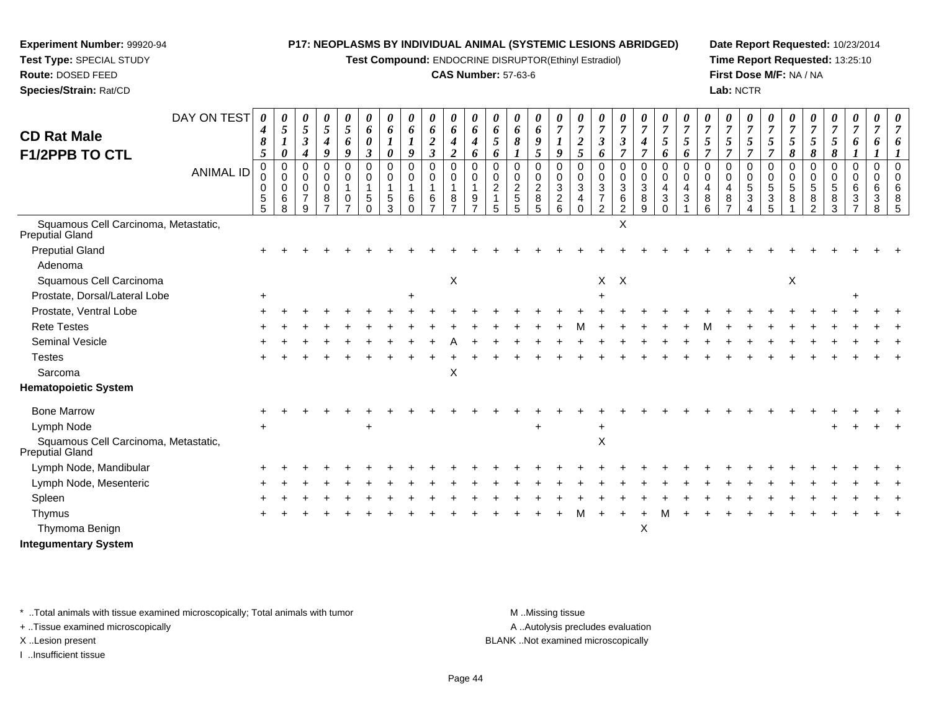**Test Compound:** ENDOCRINE DISRUPTOR(Ethinyl Estradiol)

#### **CAS Number:** 57-63-6

**Date Report Requested:** 10/23/2014**Time Report Requested:** 13:25:10**First Dose M/F:** NA / NA**Lab:** NCTR

| <b>CD Rat Male</b><br><b>F1/2PPB TO CTL</b>                    | DAY ON TEST<br>ANIMAL ID | 0<br>4<br>8<br>5<br>$\Omega$<br>$\mathbf 0$<br>0 | $\boldsymbol{\theta}$<br>$\mathfrak{H}$<br>$\boldsymbol{I}$<br>$\boldsymbol{\theta}$<br>$\mathbf 0$<br>$\mathbf 0$<br>0 | $\boldsymbol{\theta}$<br>5<br>$\mathfrak{z}$<br>$\boldsymbol{4}$<br>$\Omega$<br>$\mathbf 0$<br>$\mathbf 0$ | 0<br>5<br>4<br>9<br>$\Omega$<br>$\mathbf 0$<br>$\Omega$ | 0<br>$\mathfrak{s}$<br>6<br>9<br>$\Omega$<br>0<br>$\mathbf{1}$ | 0<br>6<br>$\boldsymbol{\theta}$<br>$\boldsymbol{\beta}$<br>$\mathbf 0$<br>0<br>$\mathbf{1}$ | 0<br>6<br>1<br>$\boldsymbol{\theta}$<br>$\Omega$<br>0 | $\boldsymbol{\theta}$<br>6<br>1<br>9<br>$\Omega$<br>$\mathbf 0$<br>1 | $\boldsymbol{\theta}$<br>6<br>$\boldsymbol{2}$<br>$\boldsymbol{\beta}$<br>$\Omega$<br>$\mathbf 0$<br>1 | 0<br>6<br>4<br>$\overline{2}$<br>$\Omega$<br>0<br>$\mathbf{1}$ | 0<br>6<br>$\boldsymbol{4}$<br>6<br>$\Omega$<br>0<br>$\mathbf{1}$ | $\theta$<br>6<br>$\mathfrak{s}$<br>6<br>$\Omega$<br>0<br>$\overline{2}$ | 0<br>6<br>8<br>$\Omega$<br>0<br>$\frac{2}{5}$ | 0<br>6<br>$\boldsymbol{9}$<br>5<br>0<br>0<br>$\sqrt{2}$ | 0<br>$\overline{7}$<br>$\boldsymbol{l}$<br>$\boldsymbol{q}$<br>$\Omega$<br>$\mathbf 0$<br>$\mathbf{3}$ | 0<br>$\overline{7}$<br>$\overline{2}$<br>5<br>$\Omega$<br>0<br>3 | $\overline{7}$<br>$\boldsymbol{\beta}$<br>6<br>$\Omega$<br>0<br>3 | 0<br>$\overline{7}$<br>$\boldsymbol{\beta}$<br>$\Omega$<br>0<br>3 | 0<br>$\overline{7}$<br>$\boldsymbol{4}$<br>$\overline{7}$<br>$\Omega$<br>$\mathbf 0$<br>$\ensuremath{\mathsf{3}}$ | 0<br>$\overline{7}$<br>$\sqrt{5}$<br>6<br>$\Omega$<br>$\mathbf 0$<br>4 | $\boldsymbol{\theta}$<br>$\overline{7}$<br>5<br>6<br>$\Omega$<br>$\mathbf 0$<br>4 | $\overline{7}$<br>$\overline{5}$<br>7<br>$\Omega$<br>0<br>4 | 0<br>$\overline{7}$<br>5<br>$\Omega$<br>$\mathbf 0$<br>4 | 0<br>$\overline{7}$<br>5<br>$\overline{\tau}$<br>$\Omega$<br>0<br>5 | 0<br>$\overline{7}$<br>5<br>$\Omega$<br>$\mathbf 0$<br>5 | 0<br>$\overline{7}$<br>$\mathfrak{s}$<br>8<br>$\Omega$<br>0<br>5 | 7<br>5<br>8<br>$\Omega$<br>$\mathbf 0$<br>5 | $\boldsymbol{\theta}$<br>$\overline{7}$<br>5<br>8<br>$\Omega$<br>0<br>5 | 0<br>$\overline{7}$<br>6<br>0<br>0<br>6 | $\boldsymbol{\theta}$<br>$\overline{7}$<br>6<br>$\Omega$<br>$\mathbf 0$<br>6 | $\boldsymbol{\theta}$<br>$\overline{7}$ |
|----------------------------------------------------------------|--------------------------|--------------------------------------------------|-------------------------------------------------------------------------------------------------------------------------|------------------------------------------------------------------------------------------------------------|---------------------------------------------------------|----------------------------------------------------------------|---------------------------------------------------------------------------------------------|-------------------------------------------------------|----------------------------------------------------------------------|--------------------------------------------------------------------------------------------------------|----------------------------------------------------------------|------------------------------------------------------------------|-------------------------------------------------------------------------|-----------------------------------------------|---------------------------------------------------------|--------------------------------------------------------------------------------------------------------|------------------------------------------------------------------|-------------------------------------------------------------------|-------------------------------------------------------------------|-------------------------------------------------------------------------------------------------------------------|------------------------------------------------------------------------|-----------------------------------------------------------------------------------|-------------------------------------------------------------|----------------------------------------------------------|---------------------------------------------------------------------|----------------------------------------------------------|------------------------------------------------------------------|---------------------------------------------|-------------------------------------------------------------------------|-----------------------------------------|------------------------------------------------------------------------------|-----------------------------------------|
|                                                                |                          | $\,$ 5 $\,$<br>5                                 | 6<br>8                                                                                                                  | $\overline{7}$<br>9                                                                                        | 8                                                       | 0<br>$\overline{ }$                                            | 5<br>$\Omega$                                                                               | 5<br>3                                                | 6<br>$\Omega$                                                        | $\,6$<br>$\overline{ }$                                                                                | 8<br>$\overline{7}$                                            | 9<br>$\overline{7}$                                              | 5                                                                       | 5                                             | $\,8\,$<br>5                                            | $\frac{2}{6}$                                                                                          | 4<br>$\Omega$                                                    | $\overline{7}$<br>$\mathfrak{p}$                                  | $\frac{6}{2}$                                                     | 8<br>9                                                                                                            | $\sqrt{3}$<br>$\Omega$                                                 | 3                                                                                 | 8<br>6                                                      | 8                                                        | $\mathbf{3}$                                                        | $\mathbf{3}$<br>5                                        | 8                                                                | 8<br>C                                      | 8<br>3                                                                  | 3                                       | 3<br>8                                                                       | 8<br>5                                  |
| Squamous Cell Carcinoma, Metastatic,<br><b>Preputial Gland</b> |                          |                                                  |                                                                                                                         |                                                                                                            |                                                         |                                                                |                                                                                             |                                                       |                                                                      |                                                                                                        |                                                                |                                                                  |                                                                         |                                               |                                                         |                                                                                                        |                                                                  |                                                                   | X                                                                 |                                                                                                                   |                                                                        |                                                                                   |                                                             |                                                          |                                                                     |                                                          |                                                                  |                                             |                                                                         |                                         |                                                                              |                                         |
| <b>Preputial Gland</b>                                         |                          |                                                  |                                                                                                                         |                                                                                                            |                                                         |                                                                |                                                                                             |                                                       |                                                                      |                                                                                                        |                                                                |                                                                  |                                                                         |                                               |                                                         |                                                                                                        |                                                                  |                                                                   |                                                                   |                                                                                                                   |                                                                        |                                                                                   |                                                             |                                                          |                                                                     |                                                          |                                                                  |                                             |                                                                         |                                         |                                                                              |                                         |
| Adenoma                                                        |                          |                                                  |                                                                                                                         |                                                                                                            |                                                         |                                                                |                                                                                             |                                                       |                                                                      |                                                                                                        |                                                                |                                                                  |                                                                         |                                               |                                                         |                                                                                                        |                                                                  |                                                                   |                                                                   |                                                                                                                   |                                                                        |                                                                                   |                                                             |                                                          |                                                                     |                                                          |                                                                  |                                             |                                                                         |                                         |                                                                              |                                         |
| Squamous Cell Carcinoma                                        |                          |                                                  |                                                                                                                         |                                                                                                            |                                                         |                                                                |                                                                                             |                                                       |                                                                      |                                                                                                        | $\mathsf X$                                                    |                                                                  |                                                                         |                                               |                                                         |                                                                                                        |                                                                  | $X$ $X$                                                           |                                                                   |                                                                                                                   |                                                                        |                                                                                   |                                                             |                                                          |                                                                     |                                                          | X                                                                |                                             |                                                                         |                                         |                                                                              |                                         |
| Prostate, Dorsal/Lateral Lobe                                  |                          |                                                  |                                                                                                                         |                                                                                                            |                                                         |                                                                |                                                                                             |                                                       |                                                                      |                                                                                                        |                                                                |                                                                  |                                                                         |                                               |                                                         |                                                                                                        |                                                                  |                                                                   |                                                                   |                                                                                                                   |                                                                        |                                                                                   |                                                             |                                                          |                                                                     |                                                          |                                                                  |                                             |                                                                         |                                         |                                                                              |                                         |
| Prostate, Ventral Lobe                                         |                          |                                                  |                                                                                                                         |                                                                                                            |                                                         |                                                                |                                                                                             |                                                       |                                                                      |                                                                                                        |                                                                |                                                                  |                                                                         |                                               |                                                         |                                                                                                        |                                                                  |                                                                   |                                                                   |                                                                                                                   |                                                                        |                                                                                   |                                                             |                                                          |                                                                     |                                                          |                                                                  |                                             |                                                                         |                                         |                                                                              |                                         |
| <b>Rete Testes</b>                                             |                          |                                                  |                                                                                                                         |                                                                                                            |                                                         |                                                                |                                                                                             |                                                       |                                                                      |                                                                                                        |                                                                |                                                                  |                                                                         |                                               |                                                         |                                                                                                        |                                                                  |                                                                   |                                                                   |                                                                                                                   |                                                                        |                                                                                   |                                                             |                                                          |                                                                     |                                                          |                                                                  |                                             |                                                                         |                                         |                                                                              |                                         |
| Seminal Vesicle                                                |                          |                                                  |                                                                                                                         |                                                                                                            |                                                         |                                                                |                                                                                             |                                                       |                                                                      |                                                                                                        |                                                                |                                                                  |                                                                         |                                               |                                                         |                                                                                                        |                                                                  |                                                                   |                                                                   |                                                                                                                   |                                                                        |                                                                                   |                                                             |                                                          |                                                                     |                                                          |                                                                  |                                             |                                                                         |                                         |                                                                              |                                         |
| <b>Testes</b>                                                  |                          |                                                  |                                                                                                                         |                                                                                                            |                                                         |                                                                |                                                                                             |                                                       |                                                                      |                                                                                                        |                                                                |                                                                  |                                                                         |                                               |                                                         |                                                                                                        |                                                                  |                                                                   |                                                                   |                                                                                                                   |                                                                        |                                                                                   |                                                             |                                                          |                                                                     |                                                          |                                                                  |                                             |                                                                         |                                         |                                                                              |                                         |
| Sarcoma                                                        |                          |                                                  |                                                                                                                         |                                                                                                            |                                                         |                                                                |                                                                                             |                                                       |                                                                      |                                                                                                        | X                                                              |                                                                  |                                                                         |                                               |                                                         |                                                                                                        |                                                                  |                                                                   |                                                                   |                                                                                                                   |                                                                        |                                                                                   |                                                             |                                                          |                                                                     |                                                          |                                                                  |                                             |                                                                         |                                         |                                                                              |                                         |
| <b>Hematopoietic System</b>                                    |                          |                                                  |                                                                                                                         |                                                                                                            |                                                         |                                                                |                                                                                             |                                                       |                                                                      |                                                                                                        |                                                                |                                                                  |                                                                         |                                               |                                                         |                                                                                                        |                                                                  |                                                                   |                                                                   |                                                                                                                   |                                                                        |                                                                                   |                                                             |                                                          |                                                                     |                                                          |                                                                  |                                             |                                                                         |                                         |                                                                              |                                         |
| <b>Bone Marrow</b>                                             |                          |                                                  |                                                                                                                         |                                                                                                            |                                                         |                                                                |                                                                                             |                                                       |                                                                      |                                                                                                        |                                                                |                                                                  |                                                                         |                                               |                                                         |                                                                                                        |                                                                  |                                                                   |                                                                   |                                                                                                                   |                                                                        |                                                                                   |                                                             |                                                          |                                                                     |                                                          |                                                                  |                                             |                                                                         |                                         |                                                                              |                                         |
| Lymph Node                                                     |                          |                                                  |                                                                                                                         |                                                                                                            |                                                         |                                                                |                                                                                             |                                                       |                                                                      |                                                                                                        |                                                                |                                                                  |                                                                         |                                               |                                                         |                                                                                                        |                                                                  |                                                                   |                                                                   |                                                                                                                   |                                                                        |                                                                                   |                                                             |                                                          |                                                                     |                                                          |                                                                  |                                             |                                                                         |                                         |                                                                              |                                         |
| Squamous Cell Carcinoma, Metastatic,<br>Preputial Gland        |                          |                                                  |                                                                                                                         |                                                                                                            |                                                         |                                                                |                                                                                             |                                                       |                                                                      |                                                                                                        |                                                                |                                                                  |                                                                         |                                               |                                                         |                                                                                                        |                                                                  | $\mathsf X$                                                       |                                                                   |                                                                                                                   |                                                                        |                                                                                   |                                                             |                                                          |                                                                     |                                                          |                                                                  |                                             |                                                                         |                                         |                                                                              |                                         |
| Lymph Node, Mandibular                                         |                          |                                                  |                                                                                                                         |                                                                                                            |                                                         |                                                                |                                                                                             |                                                       |                                                                      |                                                                                                        |                                                                |                                                                  |                                                                         |                                               |                                                         |                                                                                                        |                                                                  |                                                                   |                                                                   |                                                                                                                   |                                                                        |                                                                                   |                                                             |                                                          |                                                                     |                                                          |                                                                  |                                             |                                                                         |                                         |                                                                              |                                         |
| Lymph Node, Mesenteric                                         |                          |                                                  |                                                                                                                         |                                                                                                            |                                                         |                                                                |                                                                                             |                                                       |                                                                      |                                                                                                        |                                                                |                                                                  |                                                                         |                                               |                                                         |                                                                                                        |                                                                  |                                                                   |                                                                   |                                                                                                                   |                                                                        |                                                                                   |                                                             |                                                          |                                                                     |                                                          |                                                                  |                                             |                                                                         |                                         |                                                                              |                                         |
| Spleen                                                         |                          |                                                  |                                                                                                                         |                                                                                                            |                                                         |                                                                |                                                                                             |                                                       |                                                                      |                                                                                                        |                                                                |                                                                  |                                                                         |                                               |                                                         |                                                                                                        |                                                                  |                                                                   |                                                                   |                                                                                                                   |                                                                        |                                                                                   |                                                             |                                                          |                                                                     |                                                          |                                                                  |                                             |                                                                         |                                         |                                                                              |                                         |
| Thymus                                                         |                          |                                                  |                                                                                                                         |                                                                                                            |                                                         |                                                                |                                                                                             |                                                       |                                                                      |                                                                                                        |                                                                |                                                                  |                                                                         |                                               |                                                         |                                                                                                        |                                                                  |                                                                   |                                                                   |                                                                                                                   |                                                                        |                                                                                   |                                                             |                                                          |                                                                     |                                                          |                                                                  |                                             |                                                                         |                                         |                                                                              |                                         |
| Thymoma Benign                                                 |                          |                                                  |                                                                                                                         |                                                                                                            |                                                         |                                                                |                                                                                             |                                                       |                                                                      |                                                                                                        |                                                                |                                                                  |                                                                         |                                               |                                                         |                                                                                                        |                                                                  |                                                                   |                                                                   | X                                                                                                                 |                                                                        |                                                                                   |                                                             |                                                          |                                                                     |                                                          |                                                                  |                                             |                                                                         |                                         |                                                                              |                                         |
| <b>Integumentary System</b>                                    |                          |                                                  |                                                                                                                         |                                                                                                            |                                                         |                                                                |                                                                                             |                                                       |                                                                      |                                                                                                        |                                                                |                                                                  |                                                                         |                                               |                                                         |                                                                                                        |                                                                  |                                                                   |                                                                   |                                                                                                                   |                                                                        |                                                                                   |                                                             |                                                          |                                                                     |                                                          |                                                                  |                                             |                                                                         |                                         |                                                                              |                                         |

\* ..Total animals with tissue examined microscopically; Total animals with tumor **M** . Missing tissue M ..Missing tissue

+ ..Tissue examined microscopically

**Experiment Number:** 99920-94**Test Type:** SPECIAL STUDY**Route:** DOSED FEED**Species/Strain:** Rat/CD

I ..Insufficient tissue

A ..Autolysis precludes evaluation

X ..Lesion present BLANK ..Not examined microscopically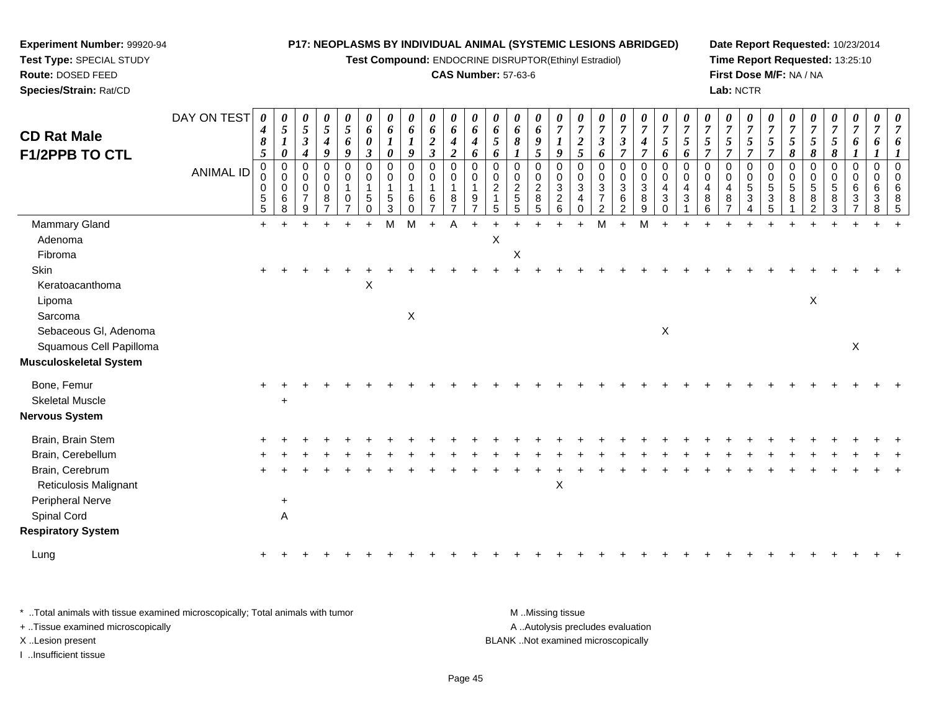**Test Compound:** ENDOCRINE DISRUPTOR(Ethinyl Estradiol)

#### **CAS Number:** 57-63-6

**Date Report Requested:** 10/23/2014**Time Report Requested:** 13:25:10**First Dose M/F:** NA / NA**Lab:** NCTR

| <b>CD Rat Male</b><br><b>F1/2PPB TO CTL</b> | DAY ON TEST      | 0<br>$\boldsymbol{4}$<br>8<br>$\mathfrak{H}$      | 0<br>$\sqrt{5}$<br>$\boldsymbol{l}$<br>$\boldsymbol{\theta}$ | 0<br>$\overline{5}$<br>$\boldsymbol{\beta}$<br>$\boldsymbol{4}$ | $\boldsymbol{\theta}$<br>$\sqrt{5}$<br>$\boldsymbol{4}$<br>9 | $\boldsymbol{\theta}$<br>$\mathfrak{s}$<br>6<br>9 | 0<br>6<br>0<br>$\boldsymbol{\beta}$        | 0<br>6<br>0                                             | $\boldsymbol{\theta}$<br>6<br>$\boldsymbol{l}$<br>9 | $\boldsymbol{\theta}$<br>6<br>$\frac{2}{3}$       | $\boldsymbol{\theta}$<br>6<br>$\boldsymbol{4}$<br>$\overline{2}$ | 0<br>6<br>$\boldsymbol{4}$<br>6             | $\boldsymbol{\theta}$<br>6<br>$\mathfrak{s}$<br>6 | 0<br>6<br>$\pmb{8}$                                     | 0<br>6<br>$\boldsymbol{9}$<br>5                                        | $\boldsymbol{\theta}$<br>$\overline{7}$<br>9 | $\boldsymbol{7}$<br>$\frac{2}{5}$ | $\overline{7}$<br>$\mathfrak{z}$<br>6                              | $\boldsymbol{\theta}$<br>$\overline{7}$<br>$\boldsymbol{\beta}$<br>$\overline{7}$ | $\boldsymbol{\theta}$<br>$\overline{7}$<br>$\boldsymbol{4}$<br>$\overline{7}$ | $\boldsymbol{\theta}$<br>$\overline{7}$<br>5 <sup>5</sup><br>6 | $\boldsymbol{\theta}$<br>$\boldsymbol{7}$<br>$\overline{5}$<br>6 | $\boldsymbol{\theta}$<br>$\overline{7}$<br>5<br>$\overline{7}$ | 0<br>$\overline{7}$<br>$5\overline{)}$<br>$\overline{\tau}$ | $\boldsymbol{\theta}$<br>$\overline{7}$<br>5<br>$\overline{7}$  | $\boldsymbol{\theta}$<br>$\overline{7}$<br>$\mathfrak{z}$<br>$\overline{7}$ | $\boldsymbol{7}$<br>5<br>8 | $\boldsymbol{\theta}$<br>$\overline{7}$<br>5<br>8 | 0<br>$\boldsymbol{7}$<br>$\mathfrak{H}$<br>8 | $\boldsymbol{\theta}$<br>$\overline{7}$<br>6<br>$\boldsymbol{l}$  | 0<br>$\overline{7}$<br>6                                |                                 |
|---------------------------------------------|------------------|---------------------------------------------------|--------------------------------------------------------------|-----------------------------------------------------------------|--------------------------------------------------------------|---------------------------------------------------|--------------------------------------------|---------------------------------------------------------|-----------------------------------------------------|---------------------------------------------------|------------------------------------------------------------------|---------------------------------------------|---------------------------------------------------|---------------------------------------------------------|------------------------------------------------------------------------|----------------------------------------------|-----------------------------------|--------------------------------------------------------------------|-----------------------------------------------------------------------------------|-------------------------------------------------------------------------------|----------------------------------------------------------------|------------------------------------------------------------------|----------------------------------------------------------------|-------------------------------------------------------------|-----------------------------------------------------------------|-----------------------------------------------------------------------------|----------------------------|---------------------------------------------------|----------------------------------------------|-------------------------------------------------------------------|---------------------------------------------------------|---------------------------------|
|                                             | <b>ANIMAL ID</b> | $\mathbf 0$<br>0<br>$\pmb{0}$<br>$\,$ 5 $\,$<br>5 | $\mathbf 0$<br>$\mathbf 0$<br>$\pmb{0}$<br>$\,6\,$<br>8      | 0<br>0<br>$\pmb{0}$<br>$\overline{7}$<br>9                      | $\mathbf 0$<br>$\mathbf 0$<br>$\mathbf 0$<br>8               | $\Omega$<br>$\Omega$<br>0                         | $\mathbf 0$<br>0<br>$\mathbf{1}$<br>5<br>0 | $\mathbf 0$<br>$\mathbf 0$<br>$\,$ 5 $\,$<br>$\sqrt{3}$ | 0<br>0<br>-1<br>6<br>$\mathbf 0$                    | $\mathbf 0$<br>$\mathbf 0$<br>$\overline{1}$<br>6 | $\Omega$<br>$\Omega$<br>$\mathbf{1}$<br>8                        | $\mathbf 0$<br>$\Omega$<br>$\boldsymbol{9}$ | $\mathbf 0$<br>0<br>$\sqrt{2}$<br>5               | $\mathbf 0$<br>$\mathbf 0$<br>$rac{2}{5}$<br>$\sqrt{5}$ | $\mathbf 0$<br>$\mathbf 0$<br>$\boldsymbol{2}$<br>$\, 8$<br>$\sqrt{5}$ | 0<br>0<br>3<br>$\overline{c}$<br>6           | 0<br>$\Omega$<br>3<br>4<br>0      | $\mathbf 0$<br>0<br>$\sqrt{3}$<br>$\overline{7}$<br>$\overline{2}$ | $\mathbf 0$<br>$\mathbf 0$<br>$\sqrt{3}$<br>$\,6\,$<br>$\overline{2}$             | $\mathbf 0$<br>$\mathbf 0$<br>$\overline{3}$<br>$\,8\,$<br>$\boldsymbol{9}$   | $\mathbf 0$<br>$\mathbf 0$<br>4<br>3<br>$\mathbf 0$            | $\mathbf 0$<br>$\Omega$<br>4<br>$\mathbf{3}$                     | $\Omega$<br>$\mathbf 0$<br>4<br>8<br>6                         | 0<br>$\mathbf{0}$<br>4<br>8                                 | $\mathbf 0$<br>$\mathbf 0$<br>$\overline{5}$<br>$\sqrt{3}$<br>4 | $\mathbf 0$<br>0<br>$\sqrt{5}$<br>$\sqrt{3}$<br>$\overline{5}$              | $\mathbf 0$<br>0<br>5<br>8 | 0<br>0<br>5<br>8<br>2                             | 0<br>0<br>5<br>8<br>3                        | $\mathbf 0$<br>$\mathbf 0$<br>6<br>$\mathbf{3}$<br>$\overline{7}$ | $\mathbf 0$<br>0<br>6<br>$\ensuremath{\mathsf{3}}$<br>8 | $\Omega$<br>$\Omega$<br>6<br>-5 |
| Mammary Gland                               |                  | $+$                                               | $\overline{ }$                                               | $\ddot{}$                                                       |                                                              |                                                   | $+$                                        | M                                                       | M                                                   | $+$                                               | Α                                                                | $+$                                         | $\ddot{}$                                         |                                                         | ÷                                                                      | $\ddot{}$                                    | $+$                               | M                                                                  | $\ddot{}$                                                                         | M                                                                             | $\ddot{}$                                                      |                                                                  |                                                                | ÷.                                                          |                                                                 |                                                                             |                            |                                                   |                                              |                                                                   |                                                         |                                 |
| Adenoma                                     |                  |                                                   |                                                              |                                                                 |                                                              |                                                   |                                            |                                                         |                                                     |                                                   |                                                                  |                                             | $\mathsf X$                                       |                                                         |                                                                        |                                              |                                   |                                                                    |                                                                                   |                                                                               |                                                                |                                                                  |                                                                |                                                             |                                                                 |                                                                             |                            |                                                   |                                              |                                                                   |                                                         |                                 |
| Fibroma                                     |                  |                                                   |                                                              |                                                                 |                                                              |                                                   |                                            |                                                         |                                                     |                                                   |                                                                  |                                             |                                                   | $\mathsf X$                                             |                                                                        |                                              |                                   |                                                                    |                                                                                   |                                                                               |                                                                |                                                                  |                                                                |                                                             |                                                                 |                                                                             |                            |                                                   |                                              |                                                                   |                                                         |                                 |
| Skin                                        |                  |                                                   |                                                              |                                                                 |                                                              |                                                   |                                            |                                                         |                                                     |                                                   |                                                                  |                                             |                                                   |                                                         |                                                                        |                                              |                                   |                                                                    |                                                                                   |                                                                               |                                                                |                                                                  |                                                                |                                                             |                                                                 |                                                                             |                            |                                                   |                                              |                                                                   |                                                         |                                 |
| Keratoacanthoma                             |                  |                                                   |                                                              |                                                                 |                                                              |                                                   | X                                          |                                                         |                                                     |                                                   |                                                                  |                                             |                                                   |                                                         |                                                                        |                                              |                                   |                                                                    |                                                                                   |                                                                               |                                                                |                                                                  |                                                                |                                                             |                                                                 |                                                                             |                            |                                                   |                                              |                                                                   |                                                         |                                 |
| Lipoma                                      |                  |                                                   |                                                              |                                                                 |                                                              |                                                   |                                            |                                                         |                                                     |                                                   |                                                                  |                                             |                                                   |                                                         |                                                                        |                                              |                                   |                                                                    |                                                                                   |                                                                               |                                                                |                                                                  |                                                                |                                                             |                                                                 |                                                                             |                            | $\mathsf X$                                       |                                              |                                                                   |                                                         |                                 |
| Sarcoma                                     |                  |                                                   |                                                              |                                                                 |                                                              |                                                   |                                            |                                                         | X                                                   |                                                   |                                                                  |                                             |                                                   |                                                         |                                                                        |                                              |                                   |                                                                    |                                                                                   |                                                                               |                                                                |                                                                  |                                                                |                                                             |                                                                 |                                                                             |                            |                                                   |                                              |                                                                   |                                                         |                                 |
| Sebaceous Gl, Adenoma                       |                  |                                                   |                                                              |                                                                 |                                                              |                                                   |                                            |                                                         |                                                     |                                                   |                                                                  |                                             |                                                   |                                                         |                                                                        |                                              |                                   |                                                                    |                                                                                   |                                                                               | $\boldsymbol{\mathsf{X}}$                                      |                                                                  |                                                                |                                                             |                                                                 |                                                                             |                            |                                                   |                                              |                                                                   |                                                         |                                 |
| Squamous Cell Papilloma                     |                  |                                                   |                                                              |                                                                 |                                                              |                                                   |                                            |                                                         |                                                     |                                                   |                                                                  |                                             |                                                   |                                                         |                                                                        |                                              |                                   |                                                                    |                                                                                   |                                                                               |                                                                |                                                                  |                                                                |                                                             |                                                                 |                                                                             |                            |                                                   |                                              | $\sf X$                                                           |                                                         |                                 |
| Musculoskeletal System                      |                  |                                                   |                                                              |                                                                 |                                                              |                                                   |                                            |                                                         |                                                     |                                                   |                                                                  |                                             |                                                   |                                                         |                                                                        |                                              |                                   |                                                                    |                                                                                   |                                                                               |                                                                |                                                                  |                                                                |                                                             |                                                                 |                                                                             |                            |                                                   |                                              |                                                                   |                                                         |                                 |
| Bone, Femur                                 |                  |                                                   |                                                              |                                                                 |                                                              |                                                   |                                            |                                                         |                                                     |                                                   |                                                                  |                                             |                                                   |                                                         |                                                                        |                                              |                                   |                                                                    |                                                                                   |                                                                               |                                                                |                                                                  |                                                                |                                                             |                                                                 |                                                                             |                            |                                                   |                                              |                                                                   |                                                         |                                 |
| <b>Skeletal Muscle</b>                      |                  |                                                   |                                                              |                                                                 |                                                              |                                                   |                                            |                                                         |                                                     |                                                   |                                                                  |                                             |                                                   |                                                         |                                                                        |                                              |                                   |                                                                    |                                                                                   |                                                                               |                                                                |                                                                  |                                                                |                                                             |                                                                 |                                                                             |                            |                                                   |                                              |                                                                   |                                                         |                                 |
| Nervous System                              |                  |                                                   |                                                              |                                                                 |                                                              |                                                   |                                            |                                                         |                                                     |                                                   |                                                                  |                                             |                                                   |                                                         |                                                                        |                                              |                                   |                                                                    |                                                                                   |                                                                               |                                                                |                                                                  |                                                                |                                                             |                                                                 |                                                                             |                            |                                                   |                                              |                                                                   |                                                         |                                 |
| Brain, Brain Stem                           |                  |                                                   |                                                              |                                                                 |                                                              |                                                   |                                            |                                                         |                                                     |                                                   |                                                                  |                                             |                                                   |                                                         |                                                                        |                                              |                                   |                                                                    |                                                                                   |                                                                               |                                                                |                                                                  |                                                                |                                                             |                                                                 |                                                                             |                            |                                                   |                                              |                                                                   |                                                         |                                 |
| Brain, Cerebellum                           |                  |                                                   |                                                              |                                                                 |                                                              |                                                   |                                            |                                                         |                                                     |                                                   |                                                                  |                                             |                                                   |                                                         |                                                                        |                                              |                                   |                                                                    |                                                                                   |                                                                               |                                                                |                                                                  |                                                                |                                                             |                                                                 |                                                                             |                            |                                                   |                                              |                                                                   |                                                         |                                 |
| Brain, Cerebrum                             |                  |                                                   |                                                              |                                                                 |                                                              |                                                   |                                            |                                                         |                                                     |                                                   |                                                                  |                                             |                                                   |                                                         |                                                                        |                                              |                                   |                                                                    |                                                                                   |                                                                               |                                                                |                                                                  |                                                                |                                                             |                                                                 |                                                                             |                            |                                                   |                                              |                                                                   |                                                         |                                 |
| Reticulosis Malignant                       |                  |                                                   |                                                              |                                                                 |                                                              |                                                   |                                            |                                                         |                                                     |                                                   |                                                                  |                                             |                                                   |                                                         |                                                                        | X                                            |                                   |                                                                    |                                                                                   |                                                                               |                                                                |                                                                  |                                                                |                                                             |                                                                 |                                                                             |                            |                                                   |                                              |                                                                   |                                                         |                                 |
| Peripheral Nerve                            |                  |                                                   | $\ddot{}$                                                    |                                                                 |                                                              |                                                   |                                            |                                                         |                                                     |                                                   |                                                                  |                                             |                                                   |                                                         |                                                                        |                                              |                                   |                                                                    |                                                                                   |                                                                               |                                                                |                                                                  |                                                                |                                                             |                                                                 |                                                                             |                            |                                                   |                                              |                                                                   |                                                         |                                 |
| Spinal Cord                                 |                  |                                                   | A                                                            |                                                                 |                                                              |                                                   |                                            |                                                         |                                                     |                                                   |                                                                  |                                             |                                                   |                                                         |                                                                        |                                              |                                   |                                                                    |                                                                                   |                                                                               |                                                                |                                                                  |                                                                |                                                             |                                                                 |                                                                             |                            |                                                   |                                              |                                                                   |                                                         |                                 |
| <b>Respiratory System</b>                   |                  |                                                   |                                                              |                                                                 |                                                              |                                                   |                                            |                                                         |                                                     |                                                   |                                                                  |                                             |                                                   |                                                         |                                                                        |                                              |                                   |                                                                    |                                                                                   |                                                                               |                                                                |                                                                  |                                                                |                                                             |                                                                 |                                                                             |                            |                                                   |                                              |                                                                   |                                                         |                                 |
| Lung                                        |                  |                                                   |                                                              |                                                                 |                                                              |                                                   |                                            |                                                         |                                                     |                                                   |                                                                  |                                             |                                                   |                                                         |                                                                        |                                              |                                   |                                                                    |                                                                                   |                                                                               |                                                                |                                                                  |                                                                |                                                             |                                                                 |                                                                             |                            |                                                   |                                              |                                                                   |                                                         |                                 |
|                                             |                  |                                                   |                                                              |                                                                 |                                                              |                                                   |                                            |                                                         |                                                     |                                                   |                                                                  |                                             |                                                   |                                                         |                                                                        |                                              |                                   |                                                                    |                                                                                   |                                                                               |                                                                |                                                                  |                                                                |                                                             |                                                                 |                                                                             |                            |                                                   |                                              |                                                                   |                                                         |                                 |

\* ..Total animals with tissue examined microscopically; Total animals with tumor **M** . Missing tissue M ..Missing tissue A ..Autolysis precludes evaluation + ..Tissue examined microscopically X ..Lesion present BLANK ..Not examined microscopicallyI ..Insufficient tissue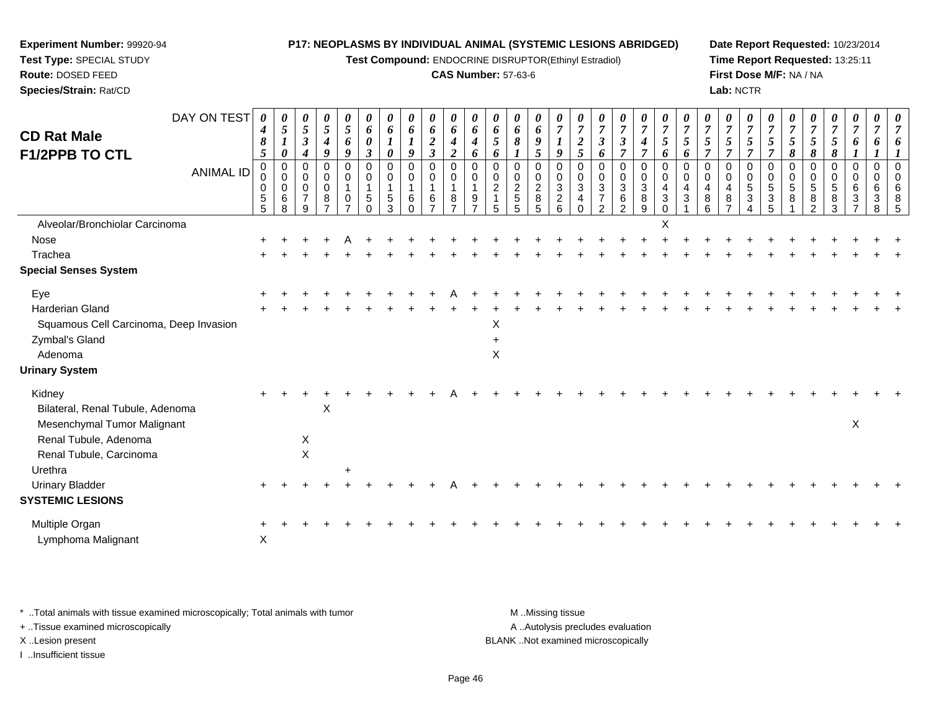**Test Compound:** ENDOCRINE DISRUPTOR(Ethinyl Estradiol)

#### **CAS Number:** 57-63-6

**Date Report Requested:** 10/23/2014**Time Report Requested:** 13:25:11**First Dose M/F:** NA / NA**Lab:** NCTR

| DAY ON TEST<br><b>CD Rat Male</b><br><b>F1/2PPB TO CTL</b><br><b>ANIMAL ID</b> | 0<br>4<br>8<br>5<br>$\mathbf 0$<br>0<br>0<br>$\frac{5}{5}$ | 0<br>$\mathfrak{s}$<br>$\pmb{\theta}$<br>$\mathbf 0$<br>0<br>$\mathbf 0$<br>$\,6\,$<br>8 | $\boldsymbol{\theta}$<br>$\mathfrak{H}$<br>$\boldsymbol{\beta}$<br>$\boldsymbol{4}$<br>$\mathbf 0$<br>$\mathbf 0$<br>0<br>$\overline{7}$<br>9 | $\pmb{\theta}$<br>$\mathfrak{s}$<br>$\boldsymbol{4}$<br>9<br>0<br>$\mathbf 0$<br>$\mathbf 0$<br>8<br>$\overline{7}$ | 0<br>5<br>6<br>9<br>$\Omega$<br>0<br>0 | 0<br>6<br>0<br>$\boldsymbol{\beta}$<br>$\mathbf 0$<br>0<br>5 | 0<br>6<br>0<br>$\mathbf 0$<br>0<br>5<br>3 | 0<br>6<br>9<br>$\mathbf 0$<br>0<br>6<br>$\Omega$ | $\boldsymbol{\theta}$<br>6<br>$\overline{2}$<br>$\mathfrak{z}$<br>$\mathbf 0$<br>$\mathbf 0$<br>-1<br>6<br>$\overline{z}$ | $\boldsymbol{\theta}$<br>6<br>$\boldsymbol{4}$<br>$\boldsymbol{2}$<br>$\mathbf 0$<br>0<br>$\mathbf{1}$<br>8<br>$\overline{ }$ | 0<br>6<br>4<br>6<br>$\Omega$<br>0<br>9 | 0<br>6<br>5<br>6<br>$\Omega$<br>0<br>$\overline{2}$<br>5 | 0<br>6<br>8<br>0<br>$\pmb{0}$<br>$\frac{2}{5}$<br>5 | 0<br>6<br>9<br>$\overline{5}$<br>$\Omega$<br>$\pmb{0}$<br>$\frac{2}{8}$<br>5 | 0<br>$\overline{7}$<br>$\boldsymbol{l}$<br>9<br>0<br>0<br>$\sqrt{3}$<br>$\overline{c}$<br>6 | $\overline{\mathbf{c}}$<br>5<br>$\mathbf 0$<br>0<br>$\mathbf{3}$<br>4<br>$\Omega$ | 0<br>7<br>$\boldsymbol{\beta}$<br>6<br>0<br>0<br>3<br>7<br>$\overline{2}$ | 0<br>$\boldsymbol{7}$<br>3<br>$\overline{7}$<br>0<br>0<br>$\overline{3}$<br>$\frac{6}{2}$ | 0<br>$\overline{7}$<br>4<br>$\overline{7}$<br>$\mathbf 0$<br>$\pmb{0}$<br>$\ensuremath{\mathsf{3}}$<br>$\bf 8$<br>$\overline{9}$ | 0<br>$\overline{7}$<br>5<br>6<br>$\Omega$<br>0<br>4<br>$\mathbf{3}$<br>$\Omega$ | 0<br>7<br>5<br>6<br>$\Omega$<br>0<br>$\overline{4}$<br>3 | $\boldsymbol{\theta}$<br>$\overline{7}$<br>$\mathfrak{s}$<br>7<br>0<br>0<br>4<br>8<br>6 | 0<br>$\overline{7}$<br>5<br>$\overline{7}$<br>$\mathbf 0$<br>$\pmb{0}$<br>4<br>8 | 0<br>$\overline{7}$<br>5<br>$\overline{7}$<br>0<br>0<br>$\sqrt{5}$<br>3 | 5<br>$\overline{7}$<br>0<br>$\sqrt{5}$<br>$\frac{3}{5}$ | 0<br>$\overline{7}$<br>5<br>8<br>$\Omega$<br>0<br>$\sqrt{5}$<br>8 | 0<br>7<br>5<br>8<br>0<br>0<br>$\sqrt{5}$<br>8<br>$\overline{2}$ | 0<br>$\overline{7}$<br>$\mathfrak{I}$<br>8<br>$\mathbf 0$<br>$\mathbf 0$<br>$\overline{5}$<br>8<br>3 | 0<br>$\overline{7}$<br>6<br>$\Omega$<br>$\Omega$<br>6<br>3 | 0<br>6<br>0<br>0<br>6<br>3<br>8 | 0<br>$\Omega$<br>$\Omega$<br>6<br>8<br>5 |
|--------------------------------------------------------------------------------|------------------------------------------------------------|------------------------------------------------------------------------------------------|-----------------------------------------------------------------------------------------------------------------------------------------------|---------------------------------------------------------------------------------------------------------------------|----------------------------------------|--------------------------------------------------------------|-------------------------------------------|--------------------------------------------------|---------------------------------------------------------------------------------------------------------------------------|-------------------------------------------------------------------------------------------------------------------------------|----------------------------------------|----------------------------------------------------------|-----------------------------------------------------|------------------------------------------------------------------------------|---------------------------------------------------------------------------------------------|-----------------------------------------------------------------------------------|---------------------------------------------------------------------------|-------------------------------------------------------------------------------------------|----------------------------------------------------------------------------------------------------------------------------------|---------------------------------------------------------------------------------|----------------------------------------------------------|-----------------------------------------------------------------------------------------|----------------------------------------------------------------------------------|-------------------------------------------------------------------------|---------------------------------------------------------|-------------------------------------------------------------------|-----------------------------------------------------------------|------------------------------------------------------------------------------------------------------|------------------------------------------------------------|---------------------------------|------------------------------------------|
| Alveolar/Bronchiolar Carcinoma                                                 |                                                            |                                                                                          |                                                                                                                                               |                                                                                                                     |                                        |                                                              |                                           |                                                  |                                                                                                                           |                                                                                                                               |                                        |                                                          |                                                     |                                                                              |                                                                                             |                                                                                   |                                                                           |                                                                                           |                                                                                                                                  | X                                                                               |                                                          |                                                                                         |                                                                                  |                                                                         |                                                         |                                                                   |                                                                 |                                                                                                      |                                                            |                                 |                                          |
| Nose                                                                           |                                                            |                                                                                          |                                                                                                                                               |                                                                                                                     |                                        |                                                              |                                           |                                                  |                                                                                                                           |                                                                                                                               |                                        |                                                          |                                                     |                                                                              |                                                                                             |                                                                                   |                                                                           |                                                                                           |                                                                                                                                  |                                                                                 |                                                          |                                                                                         |                                                                                  |                                                                         |                                                         |                                                                   |                                                                 |                                                                                                      |                                                            |                                 |                                          |
| Trachea                                                                        |                                                            |                                                                                          |                                                                                                                                               |                                                                                                                     |                                        |                                                              |                                           |                                                  |                                                                                                                           |                                                                                                                               |                                        |                                                          |                                                     |                                                                              |                                                                                             |                                                                                   |                                                                           |                                                                                           |                                                                                                                                  |                                                                                 |                                                          |                                                                                         |                                                                                  |                                                                         |                                                         |                                                                   |                                                                 |                                                                                                      |                                                            |                                 |                                          |
| <b>Special Senses System</b>                                                   |                                                            |                                                                                          |                                                                                                                                               |                                                                                                                     |                                        |                                                              |                                           |                                                  |                                                                                                                           |                                                                                                                               |                                        |                                                          |                                                     |                                                                              |                                                                                             |                                                                                   |                                                                           |                                                                                           |                                                                                                                                  |                                                                                 |                                                          |                                                                                         |                                                                                  |                                                                         |                                                         |                                                                   |                                                                 |                                                                                                      |                                                            |                                 |                                          |
| Eye                                                                            |                                                            |                                                                                          |                                                                                                                                               |                                                                                                                     |                                        |                                                              |                                           |                                                  |                                                                                                                           |                                                                                                                               |                                        |                                                          |                                                     |                                                                              |                                                                                             |                                                                                   |                                                                           |                                                                                           |                                                                                                                                  |                                                                                 |                                                          |                                                                                         |                                                                                  |                                                                         |                                                         |                                                                   |                                                                 |                                                                                                      |                                                            |                                 |                                          |
| Harderian Gland                                                                |                                                            |                                                                                          |                                                                                                                                               |                                                                                                                     |                                        |                                                              |                                           |                                                  |                                                                                                                           |                                                                                                                               |                                        |                                                          |                                                     |                                                                              |                                                                                             |                                                                                   |                                                                           |                                                                                           |                                                                                                                                  |                                                                                 |                                                          |                                                                                         |                                                                                  |                                                                         |                                                         |                                                                   |                                                                 |                                                                                                      |                                                            |                                 |                                          |
| Squamous Cell Carcinoma, Deep Invasion                                         |                                                            |                                                                                          |                                                                                                                                               |                                                                                                                     |                                        |                                                              |                                           |                                                  |                                                                                                                           |                                                                                                                               |                                        | X                                                        |                                                     |                                                                              |                                                                                             |                                                                                   |                                                                           |                                                                                           |                                                                                                                                  |                                                                                 |                                                          |                                                                                         |                                                                                  |                                                                         |                                                         |                                                                   |                                                                 |                                                                                                      |                                                            |                                 |                                          |
| Zymbal's Gland                                                                 |                                                            |                                                                                          |                                                                                                                                               |                                                                                                                     |                                        |                                                              |                                           |                                                  |                                                                                                                           |                                                                                                                               |                                        |                                                          |                                                     |                                                                              |                                                                                             |                                                                                   |                                                                           |                                                                                           |                                                                                                                                  |                                                                                 |                                                          |                                                                                         |                                                                                  |                                                                         |                                                         |                                                                   |                                                                 |                                                                                                      |                                                            |                                 |                                          |
| Adenoma                                                                        |                                                            |                                                                                          |                                                                                                                                               |                                                                                                                     |                                        |                                                              |                                           |                                                  |                                                                                                                           |                                                                                                                               |                                        | X                                                        |                                                     |                                                                              |                                                                                             |                                                                                   |                                                                           |                                                                                           |                                                                                                                                  |                                                                                 |                                                          |                                                                                         |                                                                                  |                                                                         |                                                         |                                                                   |                                                                 |                                                                                                      |                                                            |                                 |                                          |
| <b>Urinary System</b>                                                          |                                                            |                                                                                          |                                                                                                                                               |                                                                                                                     |                                        |                                                              |                                           |                                                  |                                                                                                                           |                                                                                                                               |                                        |                                                          |                                                     |                                                                              |                                                                                             |                                                                                   |                                                                           |                                                                                           |                                                                                                                                  |                                                                                 |                                                          |                                                                                         |                                                                                  |                                                                         |                                                         |                                                                   |                                                                 |                                                                                                      |                                                            |                                 |                                          |
| Kidney                                                                         |                                                            |                                                                                          |                                                                                                                                               |                                                                                                                     |                                        |                                                              |                                           |                                                  |                                                                                                                           |                                                                                                                               |                                        |                                                          |                                                     |                                                                              |                                                                                             |                                                                                   |                                                                           |                                                                                           |                                                                                                                                  |                                                                                 |                                                          |                                                                                         |                                                                                  |                                                                         |                                                         |                                                                   |                                                                 |                                                                                                      |                                                            |                                 |                                          |
| Bilateral, Renal Tubule, Adenoma                                               |                                                            |                                                                                          |                                                                                                                                               | X                                                                                                                   |                                        |                                                              |                                           |                                                  |                                                                                                                           |                                                                                                                               |                                        |                                                          |                                                     |                                                                              |                                                                                             |                                                                                   |                                                                           |                                                                                           |                                                                                                                                  |                                                                                 |                                                          |                                                                                         |                                                                                  |                                                                         |                                                         |                                                                   |                                                                 |                                                                                                      |                                                            |                                 |                                          |
| Mesenchymal Tumor Malignant                                                    |                                                            |                                                                                          |                                                                                                                                               |                                                                                                                     |                                        |                                                              |                                           |                                                  |                                                                                                                           |                                                                                                                               |                                        |                                                          |                                                     |                                                                              |                                                                                             |                                                                                   |                                                                           |                                                                                           |                                                                                                                                  |                                                                                 |                                                          |                                                                                         |                                                                                  |                                                                         |                                                         |                                                                   |                                                                 |                                                                                                      | X                                                          |                                 |                                          |
| Renal Tubule, Adenoma                                                          |                                                            |                                                                                          | X                                                                                                                                             |                                                                                                                     |                                        |                                                              |                                           |                                                  |                                                                                                                           |                                                                                                                               |                                        |                                                          |                                                     |                                                                              |                                                                                             |                                                                                   |                                                                           |                                                                                           |                                                                                                                                  |                                                                                 |                                                          |                                                                                         |                                                                                  |                                                                         |                                                         |                                                                   |                                                                 |                                                                                                      |                                                            |                                 |                                          |
| Renal Tubule, Carcinoma                                                        |                                                            |                                                                                          | $\mathsf X$                                                                                                                                   |                                                                                                                     |                                        |                                                              |                                           |                                                  |                                                                                                                           |                                                                                                                               |                                        |                                                          |                                                     |                                                                              |                                                                                             |                                                                                   |                                                                           |                                                                                           |                                                                                                                                  |                                                                                 |                                                          |                                                                                         |                                                                                  |                                                                         |                                                         |                                                                   |                                                                 |                                                                                                      |                                                            |                                 |                                          |
| Urethra                                                                        |                                                            |                                                                                          |                                                                                                                                               |                                                                                                                     |                                        |                                                              |                                           |                                                  |                                                                                                                           |                                                                                                                               |                                        |                                                          |                                                     |                                                                              |                                                                                             |                                                                                   |                                                                           |                                                                                           |                                                                                                                                  |                                                                                 |                                                          |                                                                                         |                                                                                  |                                                                         |                                                         |                                                                   |                                                                 |                                                                                                      |                                                            |                                 |                                          |
| <b>Urinary Bladder</b>                                                         |                                                            |                                                                                          |                                                                                                                                               |                                                                                                                     |                                        |                                                              |                                           |                                                  |                                                                                                                           |                                                                                                                               |                                        |                                                          |                                                     |                                                                              |                                                                                             |                                                                                   |                                                                           |                                                                                           |                                                                                                                                  |                                                                                 |                                                          |                                                                                         |                                                                                  |                                                                         |                                                         |                                                                   |                                                                 |                                                                                                      |                                                            |                                 |                                          |
| <b>SYSTEMIC LESIONS</b>                                                        |                                                            |                                                                                          |                                                                                                                                               |                                                                                                                     |                                        |                                                              |                                           |                                                  |                                                                                                                           |                                                                                                                               |                                        |                                                          |                                                     |                                                                              |                                                                                             |                                                                                   |                                                                           |                                                                                           |                                                                                                                                  |                                                                                 |                                                          |                                                                                         |                                                                                  |                                                                         |                                                         |                                                                   |                                                                 |                                                                                                      |                                                            |                                 |                                          |
| Multiple Organ                                                                 |                                                            |                                                                                          |                                                                                                                                               |                                                                                                                     |                                        |                                                              |                                           |                                                  |                                                                                                                           |                                                                                                                               |                                        |                                                          |                                                     |                                                                              |                                                                                             |                                                                                   |                                                                           |                                                                                           |                                                                                                                                  |                                                                                 |                                                          |                                                                                         |                                                                                  |                                                                         |                                                         |                                                                   |                                                                 |                                                                                                      |                                                            |                                 |                                          |
| Lymphoma Malignant                                                             | $\boldsymbol{\mathsf{X}}$                                  |                                                                                          |                                                                                                                                               |                                                                                                                     |                                        |                                                              |                                           |                                                  |                                                                                                                           |                                                                                                                               |                                        |                                                          |                                                     |                                                                              |                                                                                             |                                                                                   |                                                                           |                                                                                           |                                                                                                                                  |                                                                                 |                                                          |                                                                                         |                                                                                  |                                                                         |                                                         |                                                                   |                                                                 |                                                                                                      |                                                            |                                 |                                          |

\* ..Total animals with tissue examined microscopically; Total animals with tumor **M** . Missing tissue M ..Missing tissue

+ ..Tissue examined microscopically

**Experiment Number:** 99920-94**Test Type:** SPECIAL STUDY**Route:** DOSED FEED**Species/Strain:** Rat/CD

I ..Insufficient tissue

A ..Autolysis precludes evaluation

X ..Lesion present BLANK ..Not examined microscopically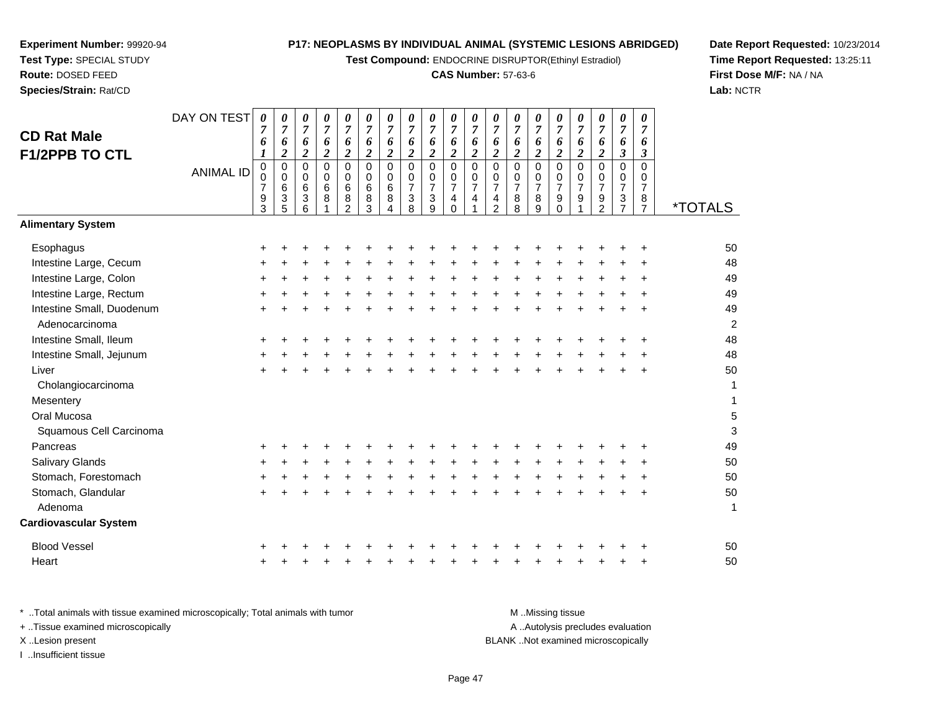**Test Compound:** ENDOCRINE DISRUPTOR(Ethinyl Estradiol)

# **CAS Number:** 57-63-6

**Date Report Requested:** 10/23/2014 **Time Report Requested:** 13:25:11**First Dose M/F:** NA / NA**Lab:** NCTR

| <b>CD Rat Male</b><br><b>F1/2PPB TO CTL</b> | DAY ON TEST<br><b>ANIMAL ID</b> | 0<br>7<br>6<br>1<br>$\pmb{0}$<br>0<br>$\overline{7}$<br>$\frac{9}{3}$ | 0<br>$\overline{7}$<br>6<br>$\boldsymbol{2}$<br>$\pmb{0}$<br>$\mathbf 0$<br>$\,6$<br>$\ensuremath{\mathsf{3}}$ | 0<br>$\overline{7}$<br>6<br>$\overline{2}$<br>$\mathbf 0$<br>$\mathbf 0$<br>6<br>3 | 0<br>$\overline{7}$<br>6<br>$\boldsymbol{2}$<br>$\Omega$<br>$\mathbf 0$<br>6<br>8 | $\boldsymbol{\theta}$<br>$\overline{7}$<br>6<br>$\overline{c}$<br>0<br>$\mathbf 0$<br>6<br>8 | 0<br>$\boldsymbol{7}$<br>6<br>$\overline{\mathbf{c}}$<br>$\pmb{0}$<br>0<br>6<br>$\bf 8$ | 0<br>$\overline{7}$<br>6<br>$\overline{2}$<br>$\pmb{0}$<br>$\mathbf 0$<br>$\,6$<br>$\bf 8$ | 0<br>$\overline{7}$<br>6<br>$\boldsymbol{2}$<br>$\mathbf 0$<br>$\mathbf 0$<br>$\overline{7}$<br>$\ensuremath{\mathsf{3}}$ | 0<br>$\overline{7}$<br>6<br>$\boldsymbol{2}$<br>$\mathbf 0$<br>$\mathbf 0$<br>$\overline{7}$<br>$\ensuremath{\mathsf{3}}$ | 0<br>$\overline{7}$<br>6<br>$\overline{2}$<br>0<br>$\mathbf 0$<br>$\overline{7}$<br>$\overline{\mathbf{4}}$ | 0<br>$\overline{7}$<br>6<br>$\overline{c}$<br>$\mathbf 0$<br>0<br>$\overline{7}$<br>4 | 0<br>$\overline{7}$<br>6<br>$\boldsymbol{2}$<br>$\mathbf 0$<br>$\pmb{0}$<br>$\overline{7}$<br>$\frac{4}{2}$ | 0<br>$\overline{7}$<br>6<br>$\overline{2}$<br>$\mathbf 0$<br>$\mathbf 0$<br>$\boldsymbol{7}$<br>$\begin{array}{c} 8 \\ 8 \end{array}$ | 0<br>$\overline{7}$<br>6<br>$\overline{c}$<br>$\Omega$<br>0<br>$\overline{7}$<br>8 | $\boldsymbol{\theta}$<br>$\overline{7}$<br>6<br>$\overline{2}$<br>0<br>0<br>$\overline{7}$<br>9 | 0<br>7<br>6<br>$\overline{c}$<br>0<br>$\mathbf 0$<br>$\overline{7}$<br>$\mathsf g$ | 0<br>$\overline{7}$<br>6<br>$\overline{\mathbf{c}}$<br>$\mathbf 0$<br>0<br>$\overline{7}$<br>$\frac{9}{2}$ | $\boldsymbol{\theta}$<br>$\overline{7}$<br>6<br>$\mathfrak{z}$<br>$\pmb{0}$<br>$\mathbf 0$<br>$\boldsymbol{7}$<br>$\frac{3}{7}$ | $\boldsymbol{\theta}$<br>$\overline{7}$<br>6<br>$\boldsymbol{\beta}$<br>$\Omega$<br>$\mathbf 0$<br>$\overline{7}$<br>8 |                       |
|---------------------------------------------|---------------------------------|-----------------------------------------------------------------------|----------------------------------------------------------------------------------------------------------------|------------------------------------------------------------------------------------|-----------------------------------------------------------------------------------|----------------------------------------------------------------------------------------------|-----------------------------------------------------------------------------------------|--------------------------------------------------------------------------------------------|---------------------------------------------------------------------------------------------------------------------------|---------------------------------------------------------------------------------------------------------------------------|-------------------------------------------------------------------------------------------------------------|---------------------------------------------------------------------------------------|-------------------------------------------------------------------------------------------------------------|---------------------------------------------------------------------------------------------------------------------------------------|------------------------------------------------------------------------------------|-------------------------------------------------------------------------------------------------|------------------------------------------------------------------------------------|------------------------------------------------------------------------------------------------------------|---------------------------------------------------------------------------------------------------------------------------------|------------------------------------------------------------------------------------------------------------------------|-----------------------|
|                                             |                                 |                                                                       | 5                                                                                                              | 6                                                                                  |                                                                                   | $\overline{2}$                                                                               | 3                                                                                       | $\overline{A}$                                                                             | 8                                                                                                                         | 9                                                                                                                         | $\mathbf 0$                                                                                                 |                                                                                       |                                                                                                             |                                                                                                                                       | 9                                                                                  | $\mathbf 0$                                                                                     |                                                                                    |                                                                                                            |                                                                                                                                 | $\overline{7}$                                                                                                         | <i><b>*TOTALS</b></i> |
| <b>Alimentary System</b>                    |                                 |                                                                       |                                                                                                                |                                                                                    |                                                                                   |                                                                                              |                                                                                         |                                                                                            |                                                                                                                           |                                                                                                                           |                                                                                                             |                                                                                       |                                                                                                             |                                                                                                                                       |                                                                                    |                                                                                                 |                                                                                    |                                                                                                            |                                                                                                                                 |                                                                                                                        |                       |
| Esophagus                                   |                                 | ٠                                                                     |                                                                                                                |                                                                                    |                                                                                   |                                                                                              |                                                                                         |                                                                                            |                                                                                                                           |                                                                                                                           |                                                                                                             |                                                                                       |                                                                                                             |                                                                                                                                       |                                                                                    |                                                                                                 |                                                                                    |                                                                                                            |                                                                                                                                 |                                                                                                                        | 50                    |
| Intestine Large, Cecum                      |                                 |                                                                       |                                                                                                                |                                                                                    |                                                                                   |                                                                                              |                                                                                         |                                                                                            |                                                                                                                           |                                                                                                                           |                                                                                                             |                                                                                       |                                                                                                             |                                                                                                                                       |                                                                                    |                                                                                                 |                                                                                    |                                                                                                            |                                                                                                                                 |                                                                                                                        | 48                    |
| Intestine Large, Colon                      |                                 |                                                                       |                                                                                                                |                                                                                    |                                                                                   |                                                                                              |                                                                                         |                                                                                            |                                                                                                                           |                                                                                                                           |                                                                                                             |                                                                                       |                                                                                                             |                                                                                                                                       |                                                                                    |                                                                                                 |                                                                                    |                                                                                                            |                                                                                                                                 |                                                                                                                        | 49                    |
| Intestine Large, Rectum                     |                                 |                                                                       |                                                                                                                |                                                                                    |                                                                                   |                                                                                              |                                                                                         |                                                                                            |                                                                                                                           |                                                                                                                           |                                                                                                             |                                                                                       |                                                                                                             |                                                                                                                                       |                                                                                    |                                                                                                 |                                                                                    |                                                                                                            |                                                                                                                                 |                                                                                                                        | 49                    |
| Intestine Small, Duodenum<br>Adenocarcinoma |                                 |                                                                       |                                                                                                                |                                                                                    |                                                                                   |                                                                                              |                                                                                         |                                                                                            |                                                                                                                           |                                                                                                                           |                                                                                                             |                                                                                       |                                                                                                             |                                                                                                                                       |                                                                                    |                                                                                                 |                                                                                    |                                                                                                            |                                                                                                                                 |                                                                                                                        | 49<br>$\overline{2}$  |
| Intestine Small, Ileum                      |                                 |                                                                       |                                                                                                                |                                                                                    |                                                                                   |                                                                                              |                                                                                         |                                                                                            |                                                                                                                           |                                                                                                                           |                                                                                                             |                                                                                       |                                                                                                             |                                                                                                                                       |                                                                                    |                                                                                                 |                                                                                    |                                                                                                            |                                                                                                                                 |                                                                                                                        | 48                    |
| Intestine Small, Jejunum                    |                                 |                                                                       |                                                                                                                |                                                                                    |                                                                                   |                                                                                              |                                                                                         |                                                                                            |                                                                                                                           |                                                                                                                           |                                                                                                             |                                                                                       |                                                                                                             |                                                                                                                                       |                                                                                    |                                                                                                 |                                                                                    |                                                                                                            |                                                                                                                                 |                                                                                                                        | 48                    |
| Liver                                       |                                 |                                                                       |                                                                                                                |                                                                                    |                                                                                   |                                                                                              |                                                                                         |                                                                                            |                                                                                                                           |                                                                                                                           |                                                                                                             |                                                                                       |                                                                                                             |                                                                                                                                       |                                                                                    |                                                                                                 |                                                                                    |                                                                                                            |                                                                                                                                 |                                                                                                                        | 50                    |
| Cholangiocarcinoma                          |                                 |                                                                       |                                                                                                                |                                                                                    |                                                                                   |                                                                                              |                                                                                         |                                                                                            |                                                                                                                           |                                                                                                                           |                                                                                                             |                                                                                       |                                                                                                             |                                                                                                                                       |                                                                                    |                                                                                                 |                                                                                    |                                                                                                            |                                                                                                                                 |                                                                                                                        | 1                     |
| Mesentery                                   |                                 |                                                                       |                                                                                                                |                                                                                    |                                                                                   |                                                                                              |                                                                                         |                                                                                            |                                                                                                                           |                                                                                                                           |                                                                                                             |                                                                                       |                                                                                                             |                                                                                                                                       |                                                                                    |                                                                                                 |                                                                                    |                                                                                                            |                                                                                                                                 |                                                                                                                        | 1                     |
| Oral Mucosa                                 |                                 |                                                                       |                                                                                                                |                                                                                    |                                                                                   |                                                                                              |                                                                                         |                                                                                            |                                                                                                                           |                                                                                                                           |                                                                                                             |                                                                                       |                                                                                                             |                                                                                                                                       |                                                                                    |                                                                                                 |                                                                                    |                                                                                                            |                                                                                                                                 |                                                                                                                        | 5                     |
| Squamous Cell Carcinoma                     |                                 |                                                                       |                                                                                                                |                                                                                    |                                                                                   |                                                                                              |                                                                                         |                                                                                            |                                                                                                                           |                                                                                                                           |                                                                                                             |                                                                                       |                                                                                                             |                                                                                                                                       |                                                                                    |                                                                                                 |                                                                                    |                                                                                                            |                                                                                                                                 |                                                                                                                        | 3                     |
| Pancreas                                    |                                 |                                                                       |                                                                                                                |                                                                                    |                                                                                   |                                                                                              |                                                                                         |                                                                                            |                                                                                                                           |                                                                                                                           |                                                                                                             |                                                                                       |                                                                                                             |                                                                                                                                       |                                                                                    |                                                                                                 |                                                                                    |                                                                                                            |                                                                                                                                 |                                                                                                                        | 49                    |
| <b>Salivary Glands</b>                      |                                 |                                                                       |                                                                                                                |                                                                                    |                                                                                   |                                                                                              |                                                                                         |                                                                                            |                                                                                                                           |                                                                                                                           |                                                                                                             |                                                                                       |                                                                                                             |                                                                                                                                       |                                                                                    |                                                                                                 |                                                                                    |                                                                                                            |                                                                                                                                 |                                                                                                                        | 50                    |
| Stomach, Forestomach                        |                                 |                                                                       |                                                                                                                |                                                                                    |                                                                                   |                                                                                              |                                                                                         |                                                                                            |                                                                                                                           |                                                                                                                           |                                                                                                             |                                                                                       |                                                                                                             |                                                                                                                                       |                                                                                    |                                                                                                 |                                                                                    |                                                                                                            |                                                                                                                                 |                                                                                                                        | 50                    |
| Stomach, Glandular                          |                                 |                                                                       |                                                                                                                |                                                                                    |                                                                                   |                                                                                              |                                                                                         |                                                                                            |                                                                                                                           |                                                                                                                           |                                                                                                             |                                                                                       |                                                                                                             |                                                                                                                                       |                                                                                    |                                                                                                 |                                                                                    |                                                                                                            |                                                                                                                                 |                                                                                                                        | 50                    |
| Adenoma                                     |                                 |                                                                       |                                                                                                                |                                                                                    |                                                                                   |                                                                                              |                                                                                         |                                                                                            |                                                                                                                           |                                                                                                                           |                                                                                                             |                                                                                       |                                                                                                             |                                                                                                                                       |                                                                                    |                                                                                                 |                                                                                    |                                                                                                            |                                                                                                                                 |                                                                                                                        | 1                     |
| <b>Cardiovascular System</b>                |                                 |                                                                       |                                                                                                                |                                                                                    |                                                                                   |                                                                                              |                                                                                         |                                                                                            |                                                                                                                           |                                                                                                                           |                                                                                                             |                                                                                       |                                                                                                             |                                                                                                                                       |                                                                                    |                                                                                                 |                                                                                    |                                                                                                            |                                                                                                                                 |                                                                                                                        |                       |
| <b>Blood Vessel</b>                         |                                 |                                                                       |                                                                                                                |                                                                                    |                                                                                   |                                                                                              |                                                                                         |                                                                                            |                                                                                                                           |                                                                                                                           |                                                                                                             |                                                                                       |                                                                                                             |                                                                                                                                       |                                                                                    |                                                                                                 |                                                                                    |                                                                                                            |                                                                                                                                 |                                                                                                                        | 50                    |
| Heart                                       |                                 |                                                                       |                                                                                                                |                                                                                    |                                                                                   |                                                                                              |                                                                                         |                                                                                            |                                                                                                                           |                                                                                                                           |                                                                                                             |                                                                                       |                                                                                                             |                                                                                                                                       |                                                                                    |                                                                                                 |                                                                                    |                                                                                                            |                                                                                                                                 |                                                                                                                        | 50                    |
|                                             |                                 |                                                                       |                                                                                                                |                                                                                    |                                                                                   |                                                                                              |                                                                                         |                                                                                            |                                                                                                                           |                                                                                                                           |                                                                                                             |                                                                                       |                                                                                                             |                                                                                                                                       |                                                                                    |                                                                                                 |                                                                                    |                                                                                                            |                                                                                                                                 |                                                                                                                        |                       |

| * Total animals with tissue examined microscopically; Total animals with tumor | M Missing tissue                   |
|--------------------------------------------------------------------------------|------------------------------------|
| + Tissue examined microscopically                                              | A Autolysis precludes evaluation   |
| X Lesion present                                                               | BLANK Not examined microscopically |
| Insufficient tissue                                                            |                                    |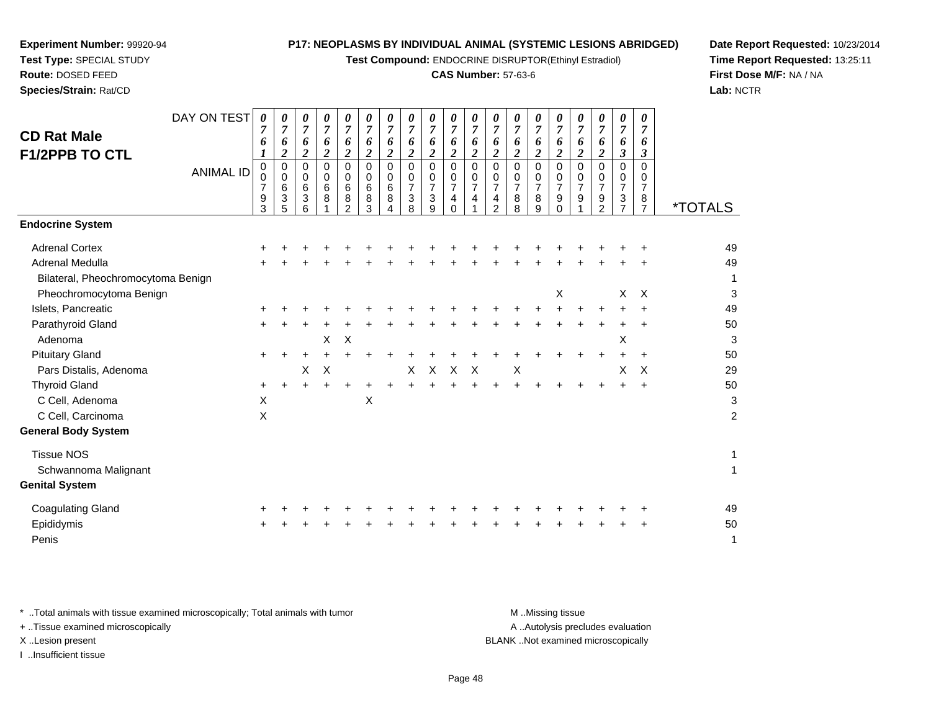**Test Compound:** ENDOCRINE DISRUPTOR(Ethinyl Estradiol)

#### **CAS Number:** 57-63-6

**Date Report Requested:** 10/23/2014**Time Report Requested:** 13:25:11**First Dose M/F:** NA / NA**Lab:** NCTR

| <b>CD Rat Male</b><br><b>F1/2PPB TO CTL</b> | DAY ON TEST<br><b>ANIMAL ID</b> | $\boldsymbol{\theta}$<br>7<br>6<br>0<br>$\Omega$<br>9<br>3 | 0<br>$\overline{7}$<br>6<br>$\boldsymbol{2}$<br>0<br>0<br>6<br>3<br>5 | $\boldsymbol{\theta}$<br>7<br>6<br>2<br>0<br>0<br>$\,6$<br>3<br>6 | 0<br>$\overline{7}$<br>6<br>2<br>0<br>0<br>6<br>8 | 0<br>7<br>6<br>$\boldsymbol{2}$<br>0<br>0<br>6<br>8<br>$\mathfrak{p}$ | $\boldsymbol{\theta}$<br>$\overline{7}$<br>6<br>$\boldsymbol{2}$<br>0<br>0<br>$\,6$<br>8<br>3 | 0<br>7<br>6<br>2<br>$\Omega$<br>0<br>6<br>8 | 0<br>$\overline{7}$<br>6<br>$\boldsymbol{2}$<br>0<br>0<br>$\overline{7}$<br>3<br>8 | 0<br>$\overline{7}$<br>6<br>$\boldsymbol{2}$<br>0<br>0<br>$\overline{7}$<br>3<br>9 | $\pmb{\theta}$<br>$\overline{7}$<br>6<br>$\boldsymbol{2}$<br>$\Omega$<br>0<br>$\overline{7}$<br>4<br>$\Omega$ | 0<br>6<br>2<br>$\Omega$<br>0<br>$\overline{7}$ | 0<br>7<br>6<br>2<br>0<br>0<br>$\overline{7}$<br>4<br>2 | 0<br>$\overline{7}$<br>6<br>2<br>0<br>0<br>7<br>8<br>8 | 0<br>7<br>6<br>$\overline{\mathbf{c}}$<br>$\Omega$<br>0<br>$\overline{7}$<br>8<br>9 | $\boldsymbol{\theta}$<br>$\overline{7}$<br>6<br>$\boldsymbol{2}$<br>$\Omega$<br>0<br>$\overline{7}$<br>9<br>$\Omega$ | 0<br>$\overline{7}$<br>6<br>2<br>$\Omega$<br>0<br>$\overline{7}$<br>9 | $\pmb{\theta}$<br>$\overline{7}$<br>6<br>$\boldsymbol{2}$<br>0<br>0<br>$\overline{7}$<br>9<br>$\mathfrak{p}$ | 0<br>7<br>6<br>3<br>0<br>0<br>7<br>3 | 0<br>$\overline{7}$<br>6<br>$\boldsymbol{\beta}$<br>$\Omega$<br>0<br>$\overline{7}$<br>8<br>$\overline{7}$ | <i><b>*TOTALS</b></i>   |
|---------------------------------------------|---------------------------------|------------------------------------------------------------|-----------------------------------------------------------------------|-------------------------------------------------------------------|---------------------------------------------------|-----------------------------------------------------------------------|-----------------------------------------------------------------------------------------------|---------------------------------------------|------------------------------------------------------------------------------------|------------------------------------------------------------------------------------|---------------------------------------------------------------------------------------------------------------|------------------------------------------------|--------------------------------------------------------|--------------------------------------------------------|-------------------------------------------------------------------------------------|----------------------------------------------------------------------------------------------------------------------|-----------------------------------------------------------------------|--------------------------------------------------------------------------------------------------------------|--------------------------------------|------------------------------------------------------------------------------------------------------------|-------------------------|
| <b>Endocrine System</b>                     |                                 |                                                            |                                                                       |                                                                   |                                                   |                                                                       |                                                                                               |                                             |                                                                                    |                                                                                    |                                                                                                               |                                                |                                                        |                                                        |                                                                                     |                                                                                                                      |                                                                       |                                                                                                              |                                      |                                                                                                            |                         |
| <b>Adrenal Cortex</b>                       |                                 |                                                            |                                                                       |                                                                   |                                                   |                                                                       |                                                                                               |                                             |                                                                                    |                                                                                    |                                                                                                               |                                                |                                                        |                                                        |                                                                                     |                                                                                                                      |                                                                       |                                                                                                              |                                      |                                                                                                            | 49                      |
| Adrenal Medulla                             |                                 |                                                            |                                                                       |                                                                   |                                                   |                                                                       |                                                                                               |                                             |                                                                                    |                                                                                    |                                                                                                               |                                                |                                                        |                                                        |                                                                                     |                                                                                                                      |                                                                       |                                                                                                              |                                      |                                                                                                            | 49                      |
| Bilateral, Pheochromocytoma Benign          |                                 |                                                            |                                                                       |                                                                   |                                                   |                                                                       |                                                                                               |                                             |                                                                                    |                                                                                    |                                                                                                               |                                                |                                                        |                                                        |                                                                                     |                                                                                                                      |                                                                       |                                                                                                              |                                      |                                                                                                            | 1                       |
| Pheochromocytoma Benign                     |                                 |                                                            |                                                                       |                                                                   |                                                   |                                                                       |                                                                                               |                                             |                                                                                    |                                                                                    |                                                                                                               |                                                |                                                        |                                                        |                                                                                     | X                                                                                                                    |                                                                       |                                                                                                              | X                                    | $\times$                                                                                                   | 3                       |
| Islets, Pancreatic                          |                                 |                                                            |                                                                       |                                                                   |                                                   |                                                                       |                                                                                               |                                             |                                                                                    |                                                                                    |                                                                                                               |                                                |                                                        |                                                        |                                                                                     |                                                                                                                      |                                                                       |                                                                                                              |                                      |                                                                                                            | 49                      |
| Parathyroid Gland                           |                                 |                                                            |                                                                       |                                                                   |                                                   |                                                                       |                                                                                               |                                             |                                                                                    |                                                                                    |                                                                                                               |                                                |                                                        |                                                        |                                                                                     |                                                                                                                      |                                                                       |                                                                                                              |                                      |                                                                                                            | 50                      |
| Adenoma                                     |                                 |                                                            |                                                                       |                                                                   | X                                                 | $\times$                                                              |                                                                                               |                                             |                                                                                    |                                                                                    |                                                                                                               |                                                |                                                        |                                                        |                                                                                     |                                                                                                                      |                                                                       |                                                                                                              | X                                    |                                                                                                            | 3                       |
| <b>Pituitary Gland</b>                      |                                 | ٠                                                          |                                                                       |                                                                   |                                                   |                                                                       |                                                                                               |                                             |                                                                                    |                                                                                    |                                                                                                               |                                                |                                                        |                                                        |                                                                                     |                                                                                                                      |                                                                       |                                                                                                              |                                      |                                                                                                            | 50                      |
| Pars Distalis, Adenoma                      |                                 |                                                            |                                                                       | х                                                                 | $\times$                                          |                                                                       |                                                                                               |                                             | X                                                                                  | X                                                                                  | Χ                                                                                                             | Х                                              |                                                        | X                                                      |                                                                                     |                                                                                                                      |                                                                       |                                                                                                              | X                                    | X                                                                                                          | 29                      |
| <b>Thyroid Gland</b>                        |                                 | $\ddot{}$                                                  | +                                                                     |                                                                   |                                                   |                                                                       |                                                                                               |                                             |                                                                                    |                                                                                    |                                                                                                               |                                                |                                                        |                                                        |                                                                                     |                                                                                                                      |                                                                       |                                                                                                              |                                      | $\ddot{}$                                                                                                  | 50                      |
| C Cell, Adenoma                             |                                 | X                                                          |                                                                       |                                                                   |                                                   |                                                                       | X                                                                                             |                                             |                                                                                    |                                                                                    |                                                                                                               |                                                |                                                        |                                                        |                                                                                     |                                                                                                                      |                                                                       |                                                                                                              |                                      |                                                                                                            | 3                       |
| C Cell, Carcinoma                           |                                 | X                                                          |                                                                       |                                                                   |                                                   |                                                                       |                                                                                               |                                             |                                                                                    |                                                                                    |                                                                                                               |                                                |                                                        |                                                        |                                                                                     |                                                                                                                      |                                                                       |                                                                                                              |                                      |                                                                                                            | $\overline{\mathbf{c}}$ |
| <b>General Body System</b>                  |                                 |                                                            |                                                                       |                                                                   |                                                   |                                                                       |                                                                                               |                                             |                                                                                    |                                                                                    |                                                                                                               |                                                |                                                        |                                                        |                                                                                     |                                                                                                                      |                                                                       |                                                                                                              |                                      |                                                                                                            |                         |
| <b>Tissue NOS</b>                           |                                 |                                                            |                                                                       |                                                                   |                                                   |                                                                       |                                                                                               |                                             |                                                                                    |                                                                                    |                                                                                                               |                                                |                                                        |                                                        |                                                                                     |                                                                                                                      |                                                                       |                                                                                                              |                                      |                                                                                                            | 1                       |
| Schwannoma Malignant                        |                                 |                                                            |                                                                       |                                                                   |                                                   |                                                                       |                                                                                               |                                             |                                                                                    |                                                                                    |                                                                                                               |                                                |                                                        |                                                        |                                                                                     |                                                                                                                      |                                                                       |                                                                                                              |                                      |                                                                                                            | 1                       |
| <b>Genital System</b>                       |                                 |                                                            |                                                                       |                                                                   |                                                   |                                                                       |                                                                                               |                                             |                                                                                    |                                                                                    |                                                                                                               |                                                |                                                        |                                                        |                                                                                     |                                                                                                                      |                                                                       |                                                                                                              |                                      |                                                                                                            |                         |
|                                             |                                 |                                                            |                                                                       |                                                                   |                                                   |                                                                       |                                                                                               |                                             |                                                                                    |                                                                                    |                                                                                                               |                                                |                                                        |                                                        |                                                                                     |                                                                                                                      |                                                                       |                                                                                                              |                                      |                                                                                                            |                         |

| Coagulating Gland |  |  |  |  |  |  |  |  | + + + + + + + + + + + + + + + + + + + |  | 49 |
|-------------------|--|--|--|--|--|--|--|--|---------------------------------------|--|----|
| Epididymis        |  |  |  |  |  |  |  |  | + + + + + + + + + + + + + + + + + + + |  | 50 |
| Penis             |  |  |  |  |  |  |  |  |                                       |  |    |

\* ..Total animals with tissue examined microscopically; Total animals with tumor **M** ...Missing tissue M ...Missing tissue + ..Tissue examined microscopically X ..Lesion present BLANK ..Not examined microscopically

I ..Insufficient tissue

**Experiment Number:** 99920-94**Test Type:** SPECIAL STUDY**Route:** DOSED FEED**Species/Strain:** Rat/CD

A .. Autolysis precludes evaluation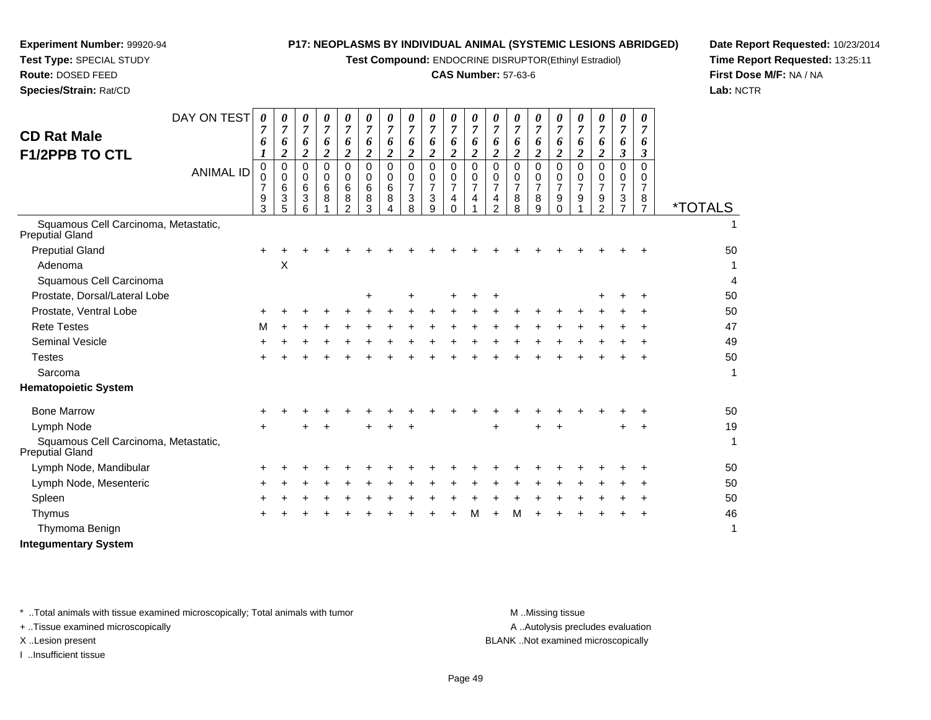**Test Compound:** ENDOCRINE DISRUPTOR(Ethinyl Estradiol)

#### **CAS Number:** 57-63-6

**Date Report Requested:** 10/23/2014**Time Report Requested:** 13:25:11**First Dose M/F:** NA / NA**Lab:** NCTR

| <b>CD Rat Male</b><br><b>F1/2PPB TO CTL</b>             | DAY ON TEST<br><b>ANIMAL ID</b> | 0<br>7<br>6<br>0<br>0<br>7<br>9 | 0<br>$\overline{7}$<br>6<br>2<br>$\mathbf 0$<br>0<br>$\,6$<br>$\mathbf{3}$ | 0<br>6<br>2<br>$\Omega$<br>0<br>6<br>3 | 0<br>$\overline{7}$<br>6<br>$\overline{\mathbf{c}}$<br>$\Omega$<br>0<br>6<br>8 | 0<br>$\overline{7}$<br>6<br>$\overline{2}$<br>$\Omega$<br>0<br>6<br>8 | 0<br>$\overline{7}$<br>6<br>$\overline{\mathbf{2}}$<br>$\Omega$<br>0<br>6<br>8 | 0<br>7<br>6<br>$\overline{2}$<br>$\Omega$<br>0<br>6<br>8 | 0<br>$\overline{7}$<br>6<br>$\boldsymbol{2}$<br>$\Omega$<br>0<br>$\overline{7}$<br>3 | 0<br>$\overline{7}$<br>6<br>$\boldsymbol{2}$<br>$\Omega$<br>0<br>$\overline{7}$<br>3 | 0<br>$\overline{7}$<br>6<br>$\overline{\mathbf{c}}$<br>$\Omega$<br>0<br>$\overline{7}$<br>4 | 0<br>$\overline{7}$<br>6<br>$\overline{2}$<br>$\Omega$<br>0<br>$\overline{7}$<br>$\overline{4}$ | 6<br>2<br>$\Omega$<br>0<br>$\overline{7}$<br>4 | 0<br>6<br>2<br>$\Omega$<br>0<br>7<br>8 | 0<br>7<br>6<br>2<br>$\Omega$<br>0<br>7<br>8 | 0<br>$\overline{7}$<br>6<br>$\overline{2}$<br>$\Omega$<br>0<br>$\overline{7}$<br>9 | 0<br>$\overline{7}$<br>6<br>$\overline{\mathbf{2}}$<br>$\Omega$<br>0<br>$\overline{7}$<br>9 | 0<br>7<br>6<br>$\overline{2}$<br>$\Omega$<br>0<br>$\overline{7}$<br>9 | 0<br>$\overline{7}$<br>6<br>3<br>$\Omega$<br>0<br>7<br>3 | 0<br>7<br>6<br>3<br>$\Omega$<br>0<br>7<br>8 |                       |
|---------------------------------------------------------|---------------------------------|---------------------------------|----------------------------------------------------------------------------|----------------------------------------|--------------------------------------------------------------------------------|-----------------------------------------------------------------------|--------------------------------------------------------------------------------|----------------------------------------------------------|--------------------------------------------------------------------------------------|--------------------------------------------------------------------------------------|---------------------------------------------------------------------------------------------|-------------------------------------------------------------------------------------------------|------------------------------------------------|----------------------------------------|---------------------------------------------|------------------------------------------------------------------------------------|---------------------------------------------------------------------------------------------|-----------------------------------------------------------------------|----------------------------------------------------------|---------------------------------------------|-----------------------|
|                                                         |                                 | 3                               | 5                                                                          | 6                                      |                                                                                | $\mathcal{P}$                                                         | 3                                                                              |                                                          | 8                                                                                    | 9                                                                                    | $\Omega$                                                                                    |                                                                                                 | $\overline{2}$                                 | 8                                      | 9                                           | $\Omega$                                                                           |                                                                                             | 2                                                                     | $\overline{7}$                                           | $\overline{7}$                              | <i><b>*TOTALS</b></i> |
| Squamous Cell Carcinoma, Metastatic,<br>Preputial Gland |                                 |                                 |                                                                            |                                        |                                                                                |                                                                       |                                                                                |                                                          |                                                                                      |                                                                                      |                                                                                             |                                                                                                 |                                                |                                        |                                             |                                                                                    |                                                                                             |                                                                       |                                                          |                                             | 1                     |
| <b>Preputial Gland</b>                                  |                                 | $\pm$                           |                                                                            |                                        |                                                                                |                                                                       |                                                                                |                                                          |                                                                                      |                                                                                      |                                                                                             |                                                                                                 |                                                |                                        |                                             |                                                                                    |                                                                                             |                                                                       |                                                          |                                             | 50                    |
| Adenoma                                                 |                                 |                                 | X                                                                          |                                        |                                                                                |                                                                       |                                                                                |                                                          |                                                                                      |                                                                                      |                                                                                             |                                                                                                 |                                                |                                        |                                             |                                                                                    |                                                                                             |                                                                       |                                                          |                                             |                       |
| Squamous Cell Carcinoma                                 |                                 |                                 |                                                                            |                                        |                                                                                |                                                                       |                                                                                |                                                          |                                                                                      |                                                                                      |                                                                                             |                                                                                                 |                                                |                                        |                                             |                                                                                    |                                                                                             |                                                                       |                                                          |                                             | 4                     |
| Prostate, Dorsal/Lateral Lobe                           |                                 |                                 |                                                                            |                                        |                                                                                |                                                                       | ÷                                                                              |                                                          | +                                                                                    |                                                                                      | ÷                                                                                           | ÷                                                                                               | ÷                                              |                                        |                                             |                                                                                    |                                                                                             | ٠                                                                     | +                                                        |                                             | 50                    |
| Prostate, Ventral Lobe                                  |                                 |                                 |                                                                            |                                        |                                                                                |                                                                       |                                                                                |                                                          |                                                                                      |                                                                                      |                                                                                             |                                                                                                 |                                                |                                        |                                             |                                                                                    |                                                                                             |                                                                       |                                                          |                                             | 50                    |
| <b>Rete Testes</b>                                      |                                 | м                               |                                                                            |                                        |                                                                                |                                                                       |                                                                                |                                                          |                                                                                      |                                                                                      |                                                                                             |                                                                                                 |                                                |                                        |                                             |                                                                                    |                                                                                             |                                                                       |                                                          |                                             | 47                    |
| <b>Seminal Vesicle</b>                                  |                                 |                                 |                                                                            |                                        |                                                                                |                                                                       |                                                                                |                                                          |                                                                                      |                                                                                      |                                                                                             |                                                                                                 |                                                |                                        |                                             |                                                                                    |                                                                                             |                                                                       |                                                          |                                             | 49                    |
| <b>Testes</b>                                           |                                 |                                 |                                                                            |                                        |                                                                                |                                                                       |                                                                                |                                                          |                                                                                      |                                                                                      |                                                                                             |                                                                                                 |                                                |                                        |                                             |                                                                                    |                                                                                             |                                                                       |                                                          |                                             | 50                    |
| Sarcoma                                                 |                                 |                                 |                                                                            |                                        |                                                                                |                                                                       |                                                                                |                                                          |                                                                                      |                                                                                      |                                                                                             |                                                                                                 |                                                |                                        |                                             |                                                                                    |                                                                                             |                                                                       |                                                          |                                             | $\mathbf{1}$          |
| <b>Hematopoietic System</b>                             |                                 |                                 |                                                                            |                                        |                                                                                |                                                                       |                                                                                |                                                          |                                                                                      |                                                                                      |                                                                                             |                                                                                                 |                                                |                                        |                                             |                                                                                    |                                                                                             |                                                                       |                                                          |                                             |                       |
| <b>Bone Marrow</b>                                      |                                 |                                 |                                                                            |                                        |                                                                                |                                                                       |                                                                                |                                                          |                                                                                      |                                                                                      |                                                                                             |                                                                                                 |                                                |                                        |                                             |                                                                                    |                                                                                             |                                                                       |                                                          |                                             | 50                    |
| Lymph Node                                              |                                 |                                 |                                                                            |                                        |                                                                                |                                                                       |                                                                                |                                                          |                                                                                      |                                                                                      |                                                                                             |                                                                                                 | +                                              |                                        |                                             |                                                                                    |                                                                                             |                                                                       | ÷                                                        |                                             | 19                    |
| Squamous Cell Carcinoma, Metastatic,<br>Preputial Gland |                                 |                                 |                                                                            |                                        |                                                                                |                                                                       |                                                                                |                                                          |                                                                                      |                                                                                      |                                                                                             |                                                                                                 |                                                |                                        |                                             |                                                                                    |                                                                                             |                                                                       |                                                          |                                             | 1                     |
| Lymph Node, Mandibular                                  |                                 | +                               |                                                                            |                                        |                                                                                |                                                                       |                                                                                |                                                          |                                                                                      |                                                                                      |                                                                                             |                                                                                                 |                                                |                                        |                                             |                                                                                    |                                                                                             |                                                                       |                                                          |                                             | 50                    |
| Lymph Node, Mesenteric                                  |                                 | ٠                               |                                                                            |                                        |                                                                                |                                                                       |                                                                                |                                                          |                                                                                      |                                                                                      |                                                                                             |                                                                                                 |                                                |                                        |                                             |                                                                                    |                                                                                             |                                                                       |                                                          |                                             | 50                    |
| Spleen                                                  |                                 |                                 |                                                                            |                                        |                                                                                |                                                                       |                                                                                |                                                          |                                                                                      |                                                                                      |                                                                                             |                                                                                                 |                                                |                                        |                                             |                                                                                    |                                                                                             |                                                                       |                                                          |                                             | 50                    |
| Thymus                                                  |                                 | +                               |                                                                            |                                        |                                                                                |                                                                       |                                                                                |                                                          |                                                                                      |                                                                                      |                                                                                             | м                                                                                               |                                                | м                                      |                                             |                                                                                    |                                                                                             |                                                                       |                                                          |                                             | 46                    |
| Thymoma Benign                                          |                                 |                                 |                                                                            |                                        |                                                                                |                                                                       |                                                                                |                                                          |                                                                                      |                                                                                      |                                                                                             |                                                                                                 |                                                |                                        |                                             |                                                                                    |                                                                                             |                                                                       |                                                          |                                             | 1                     |
|                                                         |                                 |                                 |                                                                            |                                        |                                                                                |                                                                       |                                                                                |                                                          |                                                                                      |                                                                                      |                                                                                             |                                                                                                 |                                                |                                        |                                             |                                                                                    |                                                                                             |                                                                       |                                                          |                                             |                       |

**Integumentary System**

**Experiment Number:** 99920-94**Test Type:** SPECIAL STUDY**Route:** DOSED FEED**Species/Strain:** Rat/CD

\* ..Total animals with tissue examined microscopically; Total animals with tumor **M** ...Missing tissue M ...Missing tissue

+ ..Tissue examined microscopically

I ..Insufficient tissue

A ..Autolysis precludes evaluation

X ..Lesion present BLANK ..Not examined microscopically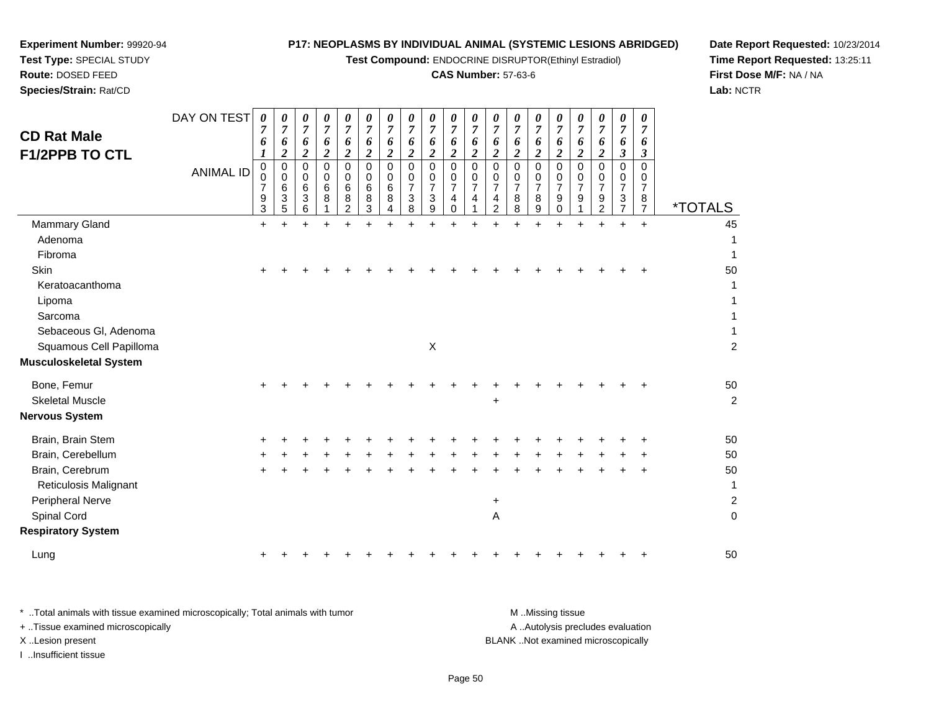**Test Compound:** ENDOCRINE DISRUPTOR(Ethinyl Estradiol)

# **CAS Number:** 57-63-6

**Date Report Requested:** 10/23/2014**Time Report Requested:** 13:25:11**First Dose M/F:** NA / NA**Lab:** NCTR

 $\overline{2}$ 

| <b>CD Rat Male</b><br><b>F1/2PPB TO CTL</b> | DAY ON TEST<br><b>ANIMAL ID</b> | 0<br>$\overline{7}$<br>6<br>$\pmb{0}$<br>0<br>$\overline{7}$<br>9<br>3 | 0<br>$\overline{7}$<br>6<br>$\boldsymbol{2}$<br>0<br>0<br>6<br>3<br>5 | 0<br>$\overline{7}$<br>6<br>$\boldsymbol{2}$<br>0<br>$\mathbf 0$<br>6<br>$\mathbf{3}$<br>6 | 0<br>$\overline{7}$<br>6<br>$\overline{c}$<br>0<br>0<br>6<br>8 | 0<br>$\overline{7}$<br>6<br>$\boldsymbol{2}$<br>$\overline{0}$<br>$\Omega$<br>6<br>8<br>$\overline{2}$ | 0<br>7<br>6<br>$\overline{c}$<br>$\mathbf 0$<br>0<br>6<br>8<br>3 | 0<br>$\overline{7}$<br>6<br>$\boldsymbol{2}$<br>$\mathbf 0$<br>$\mathbf 0$<br>$\,6\,$<br>8<br>4 | 0<br>$\overline{7}$<br>6<br>$\overline{c}$<br>$\mathbf 0$<br>0<br>$\overline{7}$<br>$\mathbf{3}$<br>8 | 0<br>$\overline{7}$<br>6<br>$\overline{2}$<br>$\mathbf 0$<br>$\mathbf 0$<br>$\overline{7}$<br>$\sqrt{3}$<br>9 | 0<br>$\overline{7}$<br>6<br>$\boldsymbol{2}$<br>$\overline{0}$<br>0<br>$\overline{7}$<br>$\overline{4}$<br>$\mathbf 0$ | 0<br>6<br>$\overline{\mathbf{c}}$<br>$\Omega$<br>0<br>$\overline{7}$<br>4 | 0<br>$\overline{7}$<br>6<br>$\boldsymbol{2}$<br>$\mathbf 0$<br>$\pmb{0}$<br>$\overline{7}$<br>4<br>$\boldsymbol{2}$ | 0<br>$\overline{7}$<br>6<br>$\boldsymbol{2}$<br>$\mathbf 0$<br>$\mathbf 0$<br>$\overline{7}$<br>8<br>8 | 0<br>$\overline{7}$<br>6<br>$\overline{2}$<br>0<br>0<br>$\overline{7}$<br>8<br>9 | 0<br>7<br>6<br>$\overline{\mathbf{c}}$<br>0<br>0<br>7<br>9<br>0 | 0<br>$\overline{7}$<br>6<br>$\boldsymbol{2}$<br>$\mathbf 0$<br>0<br>$\overline{7}$<br>9 | 0<br>$\overline{7}$<br>6<br>$\boldsymbol{2}$<br>$\Omega$<br>0<br>$\overline{7}$<br>9<br>$\overline{c}$ | 0<br>$\overline{7}$<br>6<br>$\boldsymbol{\beta}$<br>$\mathbf 0$<br>0<br>$\overline{7}$<br>$\mathbf{3}$<br>$\overline{7}$ | 0<br>$\overline{7}$<br>6<br>3<br>$\Omega$<br>0<br>$\overline{7}$<br>8<br>$\overline{7}$ | <i><b>*TOTALS</b></i> |
|---------------------------------------------|---------------------------------|------------------------------------------------------------------------|-----------------------------------------------------------------------|--------------------------------------------------------------------------------------------|----------------------------------------------------------------|--------------------------------------------------------------------------------------------------------|------------------------------------------------------------------|-------------------------------------------------------------------------------------------------|-------------------------------------------------------------------------------------------------------|---------------------------------------------------------------------------------------------------------------|------------------------------------------------------------------------------------------------------------------------|---------------------------------------------------------------------------|---------------------------------------------------------------------------------------------------------------------|--------------------------------------------------------------------------------------------------------|----------------------------------------------------------------------------------|-----------------------------------------------------------------|-----------------------------------------------------------------------------------------|--------------------------------------------------------------------------------------------------------|--------------------------------------------------------------------------------------------------------------------------|-----------------------------------------------------------------------------------------|-----------------------|
| Mammary Gland                               |                                 | $\ddot{}$                                                              | $\ddot{}$                                                             |                                                                                            | $\ddot{}$                                                      |                                                                                                        | +                                                                | $\ddot{}$                                                                                       | $\ddot{}$                                                                                             | $\ddot{}$                                                                                                     | $\ddot{}$                                                                                                              |                                                                           |                                                                                                                     | $\ddot{}$                                                                                              | $\ddot{}$                                                                        | $\ddot{}$                                                       |                                                                                         | $\ddot{}$                                                                                              | $\ddot{}$                                                                                                                | $\ddot{}$                                                                               | 45                    |
| Adenoma                                     |                                 |                                                                        |                                                                       |                                                                                            |                                                                |                                                                                                        |                                                                  |                                                                                                 |                                                                                                       |                                                                                                               |                                                                                                                        |                                                                           |                                                                                                                     |                                                                                                        |                                                                                  |                                                                 |                                                                                         |                                                                                                        |                                                                                                                          |                                                                                         | 1                     |
| Fibroma                                     |                                 |                                                                        |                                                                       |                                                                                            |                                                                |                                                                                                        |                                                                  |                                                                                                 |                                                                                                       |                                                                                                               |                                                                                                                        |                                                                           |                                                                                                                     |                                                                                                        |                                                                                  |                                                                 |                                                                                         |                                                                                                        |                                                                                                                          |                                                                                         | 1                     |
| Skin                                        |                                 |                                                                        |                                                                       |                                                                                            |                                                                |                                                                                                        |                                                                  |                                                                                                 |                                                                                                       |                                                                                                               |                                                                                                                        |                                                                           |                                                                                                                     |                                                                                                        |                                                                                  |                                                                 |                                                                                         |                                                                                                        |                                                                                                                          |                                                                                         | 50                    |
| Keratoacanthoma                             |                                 |                                                                        |                                                                       |                                                                                            |                                                                |                                                                                                        |                                                                  |                                                                                                 |                                                                                                       |                                                                                                               |                                                                                                                        |                                                                           |                                                                                                                     |                                                                                                        |                                                                                  |                                                                 |                                                                                         |                                                                                                        |                                                                                                                          |                                                                                         | 1                     |
| Lipoma                                      |                                 |                                                                        |                                                                       |                                                                                            |                                                                |                                                                                                        |                                                                  |                                                                                                 |                                                                                                       |                                                                                                               |                                                                                                                        |                                                                           |                                                                                                                     |                                                                                                        |                                                                                  |                                                                 |                                                                                         |                                                                                                        |                                                                                                                          |                                                                                         |                       |
| Sarcoma                                     |                                 |                                                                        |                                                                       |                                                                                            |                                                                |                                                                                                        |                                                                  |                                                                                                 |                                                                                                       |                                                                                                               |                                                                                                                        |                                                                           |                                                                                                                     |                                                                                                        |                                                                                  |                                                                 |                                                                                         |                                                                                                        |                                                                                                                          |                                                                                         |                       |
| Sebaceous Gl, Adenoma                       |                                 |                                                                        |                                                                       |                                                                                            |                                                                |                                                                                                        |                                                                  |                                                                                                 |                                                                                                       |                                                                                                               |                                                                                                                        |                                                                           |                                                                                                                     |                                                                                                        |                                                                                  |                                                                 |                                                                                         |                                                                                                        |                                                                                                                          |                                                                                         | $\mathbf{1}$          |
| Squamous Cell Papilloma                     |                                 |                                                                        |                                                                       |                                                                                            |                                                                |                                                                                                        |                                                                  |                                                                                                 |                                                                                                       | X                                                                                                             |                                                                                                                        |                                                                           |                                                                                                                     |                                                                                                        |                                                                                  |                                                                 |                                                                                         |                                                                                                        |                                                                                                                          |                                                                                         | $\overline{2}$        |
| <b>Musculoskeletal System</b>               |                                 |                                                                        |                                                                       |                                                                                            |                                                                |                                                                                                        |                                                                  |                                                                                                 |                                                                                                       |                                                                                                               |                                                                                                                        |                                                                           |                                                                                                                     |                                                                                                        |                                                                                  |                                                                 |                                                                                         |                                                                                                        |                                                                                                                          |                                                                                         |                       |
| Bone, Femur                                 |                                 |                                                                        |                                                                       |                                                                                            |                                                                |                                                                                                        |                                                                  |                                                                                                 |                                                                                                       |                                                                                                               |                                                                                                                        |                                                                           |                                                                                                                     |                                                                                                        |                                                                                  |                                                                 |                                                                                         |                                                                                                        |                                                                                                                          |                                                                                         | 50                    |
| <b>Skeletal Muscle</b>                      |                                 |                                                                        |                                                                       |                                                                                            |                                                                |                                                                                                        |                                                                  |                                                                                                 |                                                                                                       |                                                                                                               |                                                                                                                        |                                                                           | +                                                                                                                   |                                                                                                        |                                                                                  |                                                                 |                                                                                         |                                                                                                        |                                                                                                                          |                                                                                         | $\overline{c}$        |
| <b>Nervous System</b>                       |                                 |                                                                        |                                                                       |                                                                                            |                                                                |                                                                                                        |                                                                  |                                                                                                 |                                                                                                       |                                                                                                               |                                                                                                                        |                                                                           |                                                                                                                     |                                                                                                        |                                                                                  |                                                                 |                                                                                         |                                                                                                        |                                                                                                                          |                                                                                         |                       |
| Brain, Brain Stem                           |                                 | +                                                                      |                                                                       |                                                                                            |                                                                |                                                                                                        |                                                                  |                                                                                                 |                                                                                                       |                                                                                                               |                                                                                                                        |                                                                           |                                                                                                                     |                                                                                                        |                                                                                  |                                                                 |                                                                                         |                                                                                                        |                                                                                                                          |                                                                                         | 50                    |
| Brain, Cerebellum                           |                                 |                                                                        |                                                                       |                                                                                            |                                                                |                                                                                                        |                                                                  |                                                                                                 |                                                                                                       |                                                                                                               |                                                                                                                        |                                                                           |                                                                                                                     |                                                                                                        |                                                                                  |                                                                 |                                                                                         |                                                                                                        |                                                                                                                          |                                                                                         | 50                    |
| Brain, Cerebrum                             |                                 | $\div$                                                                 |                                                                       |                                                                                            |                                                                |                                                                                                        |                                                                  |                                                                                                 |                                                                                                       |                                                                                                               |                                                                                                                        |                                                                           |                                                                                                                     |                                                                                                        |                                                                                  |                                                                 |                                                                                         |                                                                                                        |                                                                                                                          |                                                                                         | 50                    |
| <b>Reticulosis Malignant</b>                |                                 |                                                                        |                                                                       |                                                                                            |                                                                |                                                                                                        |                                                                  |                                                                                                 |                                                                                                       |                                                                                                               |                                                                                                                        |                                                                           |                                                                                                                     |                                                                                                        |                                                                                  |                                                                 |                                                                                         |                                                                                                        |                                                                                                                          |                                                                                         | 1                     |
| Peripheral Nerve                            |                                 |                                                                        |                                                                       |                                                                                            |                                                                |                                                                                                        |                                                                  |                                                                                                 |                                                                                                       |                                                                                                               |                                                                                                                        |                                                                           | +                                                                                                                   |                                                                                                        |                                                                                  |                                                                 |                                                                                         |                                                                                                        |                                                                                                                          |                                                                                         | $\overline{c}$        |
| Spinal Cord                                 |                                 |                                                                        |                                                                       |                                                                                            |                                                                |                                                                                                        |                                                                  |                                                                                                 |                                                                                                       |                                                                                                               |                                                                                                                        |                                                                           | A                                                                                                                   |                                                                                                        |                                                                                  |                                                                 |                                                                                         |                                                                                                        |                                                                                                                          |                                                                                         | $\mathbf 0$           |
| <b>Respiratory System</b>                   |                                 |                                                                        |                                                                       |                                                                                            |                                                                |                                                                                                        |                                                                  |                                                                                                 |                                                                                                       |                                                                                                               |                                                                                                                        |                                                                           |                                                                                                                     |                                                                                                        |                                                                                  |                                                                 |                                                                                         |                                                                                                        |                                                                                                                          |                                                                                         |                       |
| Lung                                        |                                 |                                                                        |                                                                       |                                                                                            |                                                                |                                                                                                        |                                                                  |                                                                                                 |                                                                                                       |                                                                                                               |                                                                                                                        |                                                                           |                                                                                                                     |                                                                                                        |                                                                                  |                                                                 |                                                                                         |                                                                                                        |                                                                                                                          |                                                                                         | 50                    |

| * Total animals with tissue examined microscopically; Total animals with tumor | M Missing tissue                   |
|--------------------------------------------------------------------------------|------------------------------------|
| + Tissue examined microscopically                                              | A Autolysis precludes evaluation   |
| X Lesion present                                                               | BLANK Not examined microscopically |
| Insufficient tissue                                                            |                                    |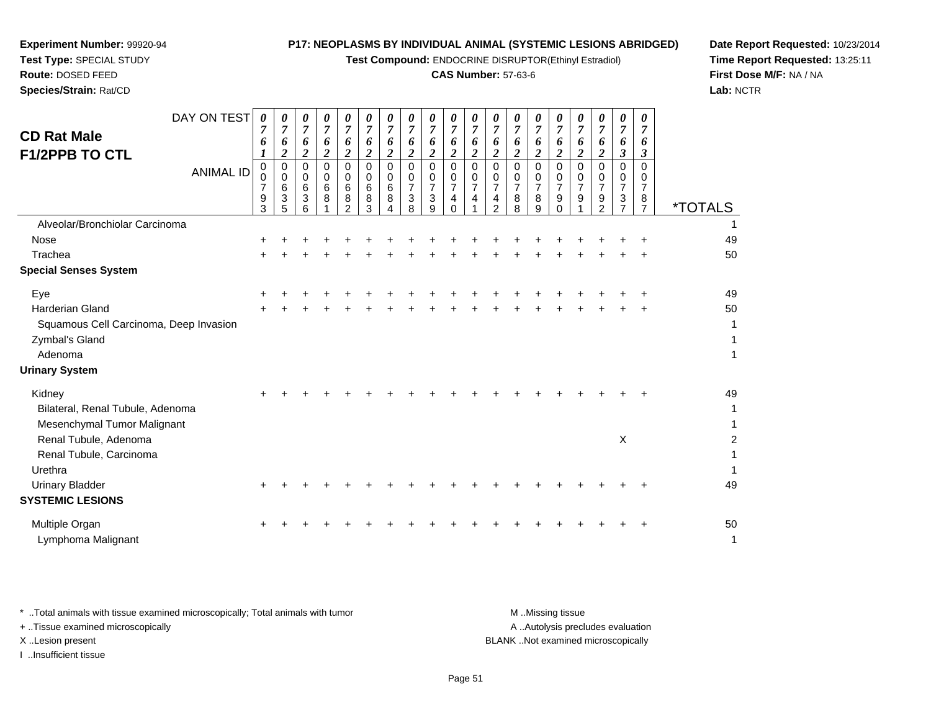**Test Compound:** ENDOCRINE DISRUPTOR(Ethinyl Estradiol)

#### **CAS Number:** 57-63-6

**Date Report Requested:** 10/23/2014**Time Report Requested:** 13:25:11**First Dose M/F:** NA / NA**Lab:** NCTR

| <b>CD Rat Male</b><br><b>F1/2PPB TO CTL</b>                               | DAY ON TEST      | $\boldsymbol{\theta}$<br>6         | 0<br>$\overline{7}$<br>6<br>2   | 0<br>$\overline{7}$<br>6<br>$\overline{\mathbf{c}}$ | 0<br>$\overline{7}$<br>6<br>$\boldsymbol{2}$ | 0<br>$\overline{7}$<br>6<br>$\boldsymbol{2}$   | 0<br>7<br>6<br>$\overline{\mathbf{2}}$ | 0<br>$\overline{7}$<br>6<br>$\overline{2}$ | 0<br>$\overline{7}$<br>6<br>$\overline{2}$   | 0<br>$\overline{7}$<br>6<br>$\overline{c}$   | 0<br>$\overline{7}$<br>6<br>$\boldsymbol{2}$ | 0<br>$\overline{7}$<br>6<br>$\boldsymbol{2}$ | 0<br>7<br>6<br>2                               | 0<br>$\overline{7}$<br>6<br>$\boldsymbol{2}$     | $\boldsymbol{\theta}$<br>7<br>6<br>$\overline{\mathbf{2}}$ | 0<br>$\overline{7}$<br>6<br>$\overline{2}$       | 0<br>7<br>6<br>2                     | 0<br>7<br>6<br>$\boldsymbol{2}$           | 0<br>$\overline{7}$<br>6<br>$\boldsymbol{\mathfrak{z}}$ | 0<br>7<br>6<br>3                   |                                   |
|---------------------------------------------------------------------------|------------------|------------------------------------|---------------------------------|-----------------------------------------------------|----------------------------------------------|------------------------------------------------|----------------------------------------|--------------------------------------------|----------------------------------------------|----------------------------------------------|----------------------------------------------|----------------------------------------------|------------------------------------------------|--------------------------------------------------|------------------------------------------------------------|--------------------------------------------------|--------------------------------------|-------------------------------------------|---------------------------------------------------------|------------------------------------|-----------------------------------|
|                                                                           | <b>ANIMAL ID</b> | 0<br>0<br>$\overline{7}$<br>9<br>3 | 0<br>$\mathbf 0$<br>6<br>3<br>5 | $\Omega$<br>0<br>6<br>3<br>6                        | $\Omega$<br>0<br>6<br>8                      | $\Omega$<br>0<br>6<br>$\bf 8$<br>$\mathcal{P}$ | $\mathbf 0$<br>0<br>6<br>8<br>3        | $\mathbf 0$<br>0<br>6<br>8                 | $\mathbf 0$<br>0<br>$\overline{7}$<br>3<br>8 | $\mathbf 0$<br>0<br>$\overline{7}$<br>3<br>9 | 0<br>0<br>$\overline{7}$<br>4<br>$\Omega$    | $\mathbf 0$<br>0<br>$\overline{7}$<br>4      | 0<br>0<br>$\overline{7}$<br>4<br>$\mathcal{P}$ | $\Omega$<br>$\Omega$<br>$\overline{7}$<br>8<br>8 | $\Omega$<br>0<br>$\overline{7}$<br>8<br>9                  | $\Omega$<br>0<br>$\overline{7}$<br>9<br>$\Omega$ | $\Omega$<br>0<br>$\overline{7}$<br>9 | $\Omega$<br>0<br>$\overline{7}$<br>9<br>2 | 0<br>0<br>$\overline{7}$<br>$\frac{3}{7}$               | 0<br>0<br>7<br>8<br>$\overline{7}$ | <i><b>*TOTALS</b></i>             |
| Alveolar/Bronchiolar Carcinoma                                            |                  |                                    |                                 |                                                     |                                              |                                                |                                        |                                            |                                              |                                              |                                              |                                              |                                                |                                                  |                                                            |                                                  |                                      |                                           |                                                         |                                    |                                   |
| Nose                                                                      |                  |                                    |                                 |                                                     |                                              |                                                |                                        |                                            |                                              |                                              |                                              |                                              |                                                |                                                  |                                                            |                                                  |                                      |                                           |                                                         |                                    | 49                                |
| Trachea                                                                   |                  |                                    |                                 |                                                     |                                              |                                                |                                        |                                            |                                              |                                              |                                              |                                              |                                                |                                                  |                                                            |                                                  |                                      |                                           |                                                         |                                    | 50                                |
| <b>Special Senses System</b>                                              |                  |                                    |                                 |                                                     |                                              |                                                |                                        |                                            |                                              |                                              |                                              |                                              |                                                |                                                  |                                                            |                                                  |                                      |                                           |                                                         |                                    |                                   |
| Eye                                                                       |                  |                                    |                                 |                                                     |                                              |                                                |                                        |                                            |                                              |                                              |                                              |                                              |                                                |                                                  |                                                            |                                                  |                                      |                                           |                                                         |                                    | 49                                |
| <b>Harderian Gland</b>                                                    |                  |                                    |                                 |                                                     |                                              |                                                |                                        |                                            |                                              |                                              |                                              |                                              |                                                |                                                  |                                                            |                                                  |                                      |                                           |                                                         |                                    | 50                                |
| Squamous Cell Carcinoma, Deep Invasion                                    |                  |                                    |                                 |                                                     |                                              |                                                |                                        |                                            |                                              |                                              |                                              |                                              |                                                |                                                  |                                                            |                                                  |                                      |                                           |                                                         |                                    | 1                                 |
| Zymbal's Gland<br>Adenoma                                                 |                  |                                    |                                 |                                                     |                                              |                                                |                                        |                                            |                                              |                                              |                                              |                                              |                                                |                                                  |                                                            |                                                  |                                      |                                           |                                                         |                                    | 1<br>$\mathbf{1}$                 |
| <b>Urinary System</b>                                                     |                  |                                    |                                 |                                                     |                                              |                                                |                                        |                                            |                                              |                                              |                                              |                                              |                                                |                                                  |                                                            |                                                  |                                      |                                           |                                                         |                                    |                                   |
| Kidney<br>Bilateral, Renal Tubule, Adenoma<br>Mesenchymal Tumor Malignant |                  |                                    |                                 |                                                     |                                              |                                                |                                        |                                            |                                              |                                              |                                              |                                              |                                                |                                                  |                                                            |                                                  |                                      |                                           |                                                         |                                    | 49<br>$\mathbf{1}$<br>$\mathbf 1$ |
| Renal Tubule, Adenoma<br>Renal Tubule, Carcinoma                          |                  |                                    |                                 |                                                     |                                              |                                                |                                        |                                            |                                              |                                              |                                              |                                              |                                                |                                                  |                                                            |                                                  |                                      |                                           | X                                                       |                                    | $\overline{2}$<br>1               |
| Urethra                                                                   |                  |                                    |                                 |                                                     |                                              |                                                |                                        |                                            |                                              |                                              |                                              |                                              |                                                |                                                  |                                                            |                                                  |                                      |                                           |                                                         |                                    | $\mathbf{1}$                      |
| <b>Urinary Bladder</b><br><b>SYSTEMIC LESIONS</b>                         |                  |                                    |                                 |                                                     |                                              |                                                |                                        |                                            |                                              |                                              |                                              |                                              |                                                |                                                  |                                                            |                                                  |                                      |                                           |                                                         |                                    | 49                                |
| Multiple Organ<br>Lymphoma Malignant                                      |                  |                                    |                                 |                                                     |                                              |                                                |                                        |                                            |                                              |                                              |                                              |                                              |                                                |                                                  |                                                            |                                                  |                                      |                                           |                                                         |                                    | 50<br>$\mathbf{1}$                |

**Experiment Number:** 99920-94**Test Type:** SPECIAL STUDY**Route:** DOSED FEED**Species/Strain:** Rat/CD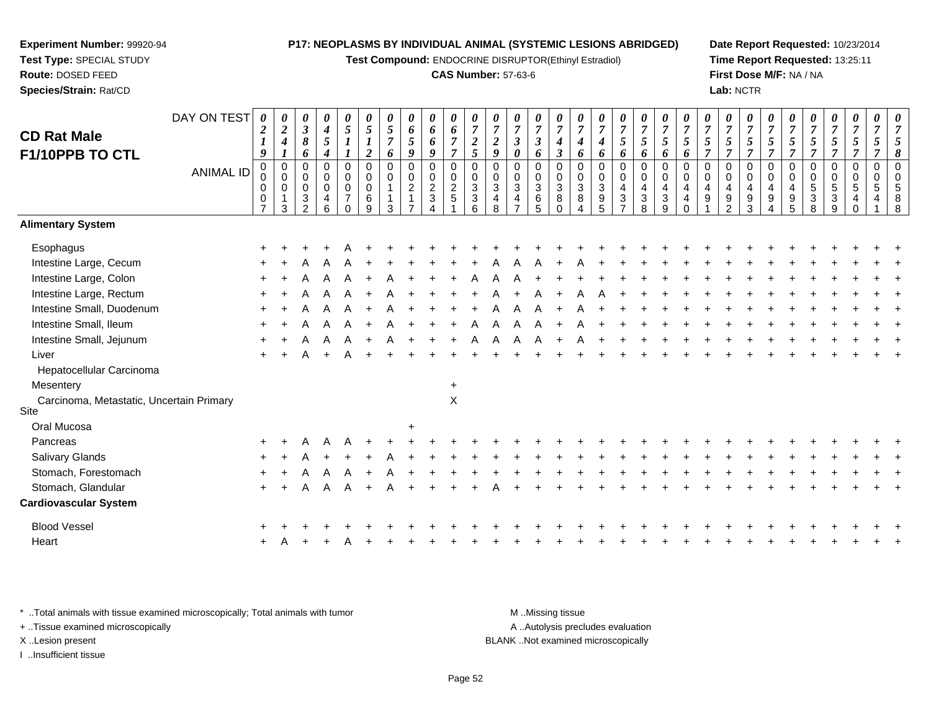**Test Compound:** ENDOCRINE DISRUPTOR(Ethinyl Estradiol)

#### **CAS Number:** 57-63-6

**Date Report Requested:** 10/23/2014**Time Report Requested:** 13:25:11**First Dose M/F:** NA / NA**Lab:** NCTR

| <b>CD Rat Male</b><br>F1/10PPB TO CTL            | DAY ON TEST      | 0<br>$\boldsymbol{2}$<br>$\boldsymbol{l}$<br>9 | $\boldsymbol{\theta}$<br>$\boldsymbol{2}$<br>$\boldsymbol{4}$<br>$\boldsymbol{l}$ | 0<br>$\mathfrak{z}$<br>8<br>6                | 0<br>$\boldsymbol{4}$<br>5<br>$\boldsymbol{4}$         | 0<br>$\mathfrak{s}$<br>$\boldsymbol{l}$                                    | 0<br>5<br>$\boldsymbol{l}$<br>$\boldsymbol{2}$    | $\boldsymbol{\theta}$<br>5<br>$\overline{7}$<br>6 | 0<br>6<br>5<br>$\boldsymbol{q}$    | 0<br>6<br>6<br>$\boldsymbol{q}$              | 0<br>6<br>$\overline{7}$<br>$\overline{7}$ | 0<br>$\overline{7}$<br>$\overline{2}$<br>5                         | $\boldsymbol{\theta}$<br>$\overline{7}$<br>$\overline{\mathbf{c}}$<br>9 | 0<br>$\overline{7}$<br>$\boldsymbol{\beta}$<br>0 | 0<br>$\boldsymbol{7}$<br>$\mathfrak{z}$<br>6                            | 0<br>$\overline{7}$<br>4<br>$\boldsymbol{\beta}$           | 0<br>$\overline{7}$<br>4<br>6                               | U<br>$\overline{7}$<br>4<br>6                       | 0<br>$\overline{7}$<br>5<br>6          | 0<br>$\boldsymbol{7}$<br>5<br>6                       | 0<br>$\overline{7}$<br>$\mathfrak{s}$<br>6                  | 0<br>$\overline{7}$<br>5<br>6               | $\overline{7}$<br>5<br>7          | 0<br>$\overline{7}$<br>5<br>$\overline{7}$ | 0<br>$\boldsymbol{7}$<br>5<br>$\overline{7}$               | 0<br>$\overline{7}$<br>5<br>$\overline{7}$        | 0<br>$\overline{7}$<br>5<br>$\overline{7}$ | 7<br>5<br>7                               | 0<br>$\overline{7}$<br>5<br>7 | 0<br>$\boldsymbol{7}$<br>5<br>$\overline{7}$ | 0<br>$\overline{7}$<br>5<br>$\overline{7}$ | $\boldsymbol{\theta}$<br>7<br>8 |
|--------------------------------------------------|------------------|------------------------------------------------|-----------------------------------------------------------------------------------|----------------------------------------------|--------------------------------------------------------|----------------------------------------------------------------------------|---------------------------------------------------|---------------------------------------------------|------------------------------------|----------------------------------------------|--------------------------------------------|--------------------------------------------------------------------|-------------------------------------------------------------------------|--------------------------------------------------|-------------------------------------------------------------------------|------------------------------------------------------------|-------------------------------------------------------------|-----------------------------------------------------|----------------------------------------|-------------------------------------------------------|-------------------------------------------------------------|---------------------------------------------|-----------------------------------|--------------------------------------------|------------------------------------------------------------|---------------------------------------------------|--------------------------------------------|-------------------------------------------|-------------------------------|----------------------------------------------|--------------------------------------------|---------------------------------|
|                                                  | <b>ANIMAL ID</b> | 0<br>0<br>0<br>$\pmb{0}$<br>$\overline{7}$     | $\mathbf 0$<br>$\overline{0}$<br>$\mathbf 0$<br>$\mathbf{1}$<br>3                 | $\mathbf{0}$<br>0<br>0<br>3<br>$\mathcal{P}$ | 0<br>$\mathbf 0$<br>$\mathbf 0$<br>4<br>$6\phantom{a}$ | $\mathbf 0$<br>$\pmb{0}$<br>$\boldsymbol{0}$<br>$\overline{7}$<br>$\Omega$ | $\mathbf 0$<br>$\pmb{0}$<br>$\mathbf 0$<br>6<br>9 | $\mathbf 0$<br>$\overline{0}$<br>1<br>3           | 0<br>$\mathbf 0$<br>$\overline{a}$ | 0<br>$\pmb{0}$<br>$\frac{2}{3}$<br>$\Lambda$ | $\mathbf 0$<br>$\pmb{0}$<br>$\frac{2}{5}$  | 0<br>$\pmb{0}$<br>$\mathfrak{3}$<br>$\ensuremath{\mathsf{3}}$<br>6 | $\Omega$<br>$\overline{0}$<br>3<br>4<br>8                               | $\mathbf 0$<br>0<br>3<br>4<br>$\overline{ }$     | 0<br>$\pmb{0}$<br>$\mathbf{3}$<br>$\begin{array}{c} 6 \\ 5 \end{array}$ | $\Omega$<br>$\pmb{0}$<br>$\sqrt{3}$<br>$\bf 8$<br>$\Omega$ | 0<br>$\pmb{0}$<br>$\ensuremath{\mathsf{3}}$<br>$\bf 8$<br>4 | $\Omega$<br>$\mathbf 0$<br>3<br>9<br>$\overline{5}$ | $\mathbf 0$<br>0<br>4<br>$\frac{3}{7}$ | 0<br>$\mathbf 0$<br>$\overline{\mathbf{4}}$<br>$_8^3$ | $\mathbf 0$<br>$\pmb{0}$<br>$\overline{4}$<br>$\frac{3}{9}$ | $\Omega$<br>$\pmb{0}$<br>4<br>4<br>$\Omega$ | $\Omega$<br>$\mathbf 0$<br>4<br>9 | $\Omega$<br>0<br>4<br>$\frac{9}{2}$        | 0<br>$\pmb{0}$<br>$\overline{\mathbf{4}}$<br>$\frac{9}{3}$ | $\Omega$<br>$\pmb{0}$<br>$\overline{4}$<br>9<br>4 | $\Omega$<br>0<br>4<br>9<br>$\overline{5}$  | $\Omega$<br>$\overline{0}$<br>5<br>3<br>8 | 0<br>0<br>5<br>3<br>9         | 0<br>$\pmb{0}$<br>$\sqrt{5}$<br>4            | $\mathbf 0$<br>$\pmb{0}$<br>5              | $\mathsf{R}$                    |
| <b>Alimentary System</b>                         |                  |                                                |                                                                                   |                                              |                                                        |                                                                            |                                                   |                                                   |                                    |                                              |                                            |                                                                    |                                                                         |                                                  |                                                                         |                                                            |                                                             |                                                     |                                        |                                                       |                                                             |                                             |                                   |                                            |                                                            |                                                   |                                            |                                           |                               |                                              |                                            |                                 |
| Esophagus                                        |                  |                                                |                                                                                   |                                              |                                                        |                                                                            |                                                   |                                                   |                                    |                                              |                                            |                                                                    |                                                                         |                                                  |                                                                         |                                                            |                                                             |                                                     |                                        |                                                       |                                                             |                                             |                                   |                                            |                                                            |                                                   |                                            |                                           |                               |                                              |                                            |                                 |
| Intestine Large, Cecum                           |                  |                                                |                                                                                   |                                              |                                                        |                                                                            |                                                   |                                                   |                                    |                                              |                                            |                                                                    |                                                                         |                                                  |                                                                         |                                                            |                                                             |                                                     |                                        |                                                       |                                                             |                                             |                                   |                                            |                                                            |                                                   |                                            |                                           |                               |                                              |                                            |                                 |
| Intestine Large, Colon                           |                  |                                                |                                                                                   |                                              |                                                        |                                                                            |                                                   |                                                   |                                    |                                              |                                            |                                                                    |                                                                         |                                                  |                                                                         |                                                            |                                                             |                                                     |                                        |                                                       |                                                             |                                             |                                   |                                            |                                                            |                                                   |                                            |                                           |                               |                                              |                                            |                                 |
| Intestine Large, Rectum                          |                  |                                                |                                                                                   |                                              |                                                        |                                                                            |                                                   |                                                   |                                    |                                              |                                            |                                                                    |                                                                         |                                                  |                                                                         |                                                            |                                                             |                                                     |                                        |                                                       |                                                             |                                             |                                   |                                            |                                                            |                                                   |                                            |                                           |                               |                                              |                                            |                                 |
| Intestine Small, Duodenum                        |                  |                                                |                                                                                   |                                              |                                                        |                                                                            |                                                   |                                                   |                                    |                                              |                                            |                                                                    |                                                                         |                                                  |                                                                         |                                                            |                                                             |                                                     |                                        |                                                       |                                                             |                                             |                                   |                                            |                                                            |                                                   |                                            |                                           |                               |                                              |                                            |                                 |
| Intestine Small, Ileum                           |                  |                                                |                                                                                   |                                              |                                                        |                                                                            |                                                   |                                                   |                                    |                                              |                                            |                                                                    |                                                                         |                                                  |                                                                         |                                                            |                                                             |                                                     |                                        |                                                       |                                                             |                                             |                                   |                                            |                                                            |                                                   |                                            |                                           |                               |                                              |                                            |                                 |
| Intestine Small, Jejunum                         |                  |                                                |                                                                                   |                                              |                                                        |                                                                            |                                                   |                                                   |                                    |                                              |                                            |                                                                    |                                                                         |                                                  |                                                                         |                                                            |                                                             |                                                     |                                        |                                                       |                                                             |                                             |                                   |                                            |                                                            |                                                   |                                            |                                           |                               |                                              |                                            |                                 |
| Liver                                            |                  |                                                |                                                                                   |                                              |                                                        |                                                                            |                                                   |                                                   |                                    |                                              |                                            |                                                                    |                                                                         |                                                  |                                                                         |                                                            |                                                             |                                                     |                                        |                                                       |                                                             |                                             |                                   |                                            |                                                            |                                                   |                                            |                                           |                               |                                              |                                            |                                 |
| Hepatocellular Carcinoma                         |                  |                                                |                                                                                   |                                              |                                                        |                                                                            |                                                   |                                                   |                                    |                                              |                                            |                                                                    |                                                                         |                                                  |                                                                         |                                                            |                                                             |                                                     |                                        |                                                       |                                                             |                                             |                                   |                                            |                                                            |                                                   |                                            |                                           |                               |                                              |                                            |                                 |
| Mesentery                                        |                  |                                                |                                                                                   |                                              |                                                        |                                                                            |                                                   |                                                   |                                    |                                              | $\ddot{}$                                  |                                                                    |                                                                         |                                                  |                                                                         |                                                            |                                                             |                                                     |                                        |                                                       |                                                             |                                             |                                   |                                            |                                                            |                                                   |                                            |                                           |                               |                                              |                                            |                                 |
| Carcinoma, Metastatic, Uncertain Primary<br>Site |                  |                                                |                                                                                   |                                              |                                                        |                                                                            |                                                   |                                                   |                                    |                                              | $\mathsf X$                                |                                                                    |                                                                         |                                                  |                                                                         |                                                            |                                                             |                                                     |                                        |                                                       |                                                             |                                             |                                   |                                            |                                                            |                                                   |                                            |                                           |                               |                                              |                                            |                                 |
| Oral Mucosa                                      |                  |                                                |                                                                                   |                                              |                                                        |                                                                            |                                                   |                                                   | $\ddot{}$                          |                                              |                                            |                                                                    |                                                                         |                                                  |                                                                         |                                                            |                                                             |                                                     |                                        |                                                       |                                                             |                                             |                                   |                                            |                                                            |                                                   |                                            |                                           |                               |                                              |                                            |                                 |
| Pancreas                                         |                  |                                                |                                                                                   |                                              |                                                        |                                                                            |                                                   |                                                   |                                    |                                              |                                            |                                                                    |                                                                         |                                                  |                                                                         |                                                            |                                                             |                                                     |                                        |                                                       |                                                             |                                             |                                   |                                            |                                                            |                                                   |                                            |                                           |                               |                                              |                                            |                                 |
| Salivary Glands                                  |                  |                                                |                                                                                   |                                              |                                                        |                                                                            |                                                   |                                                   |                                    |                                              |                                            |                                                                    |                                                                         |                                                  |                                                                         |                                                            |                                                             |                                                     |                                        |                                                       |                                                             |                                             |                                   |                                            |                                                            |                                                   |                                            |                                           |                               |                                              |                                            |                                 |
| Stomach, Forestomach                             |                  |                                                |                                                                                   |                                              |                                                        |                                                                            |                                                   |                                                   |                                    |                                              |                                            |                                                                    |                                                                         |                                                  |                                                                         |                                                            |                                                             |                                                     |                                        |                                                       |                                                             |                                             |                                   |                                            |                                                            |                                                   |                                            |                                           |                               |                                              |                                            |                                 |
| Stomach, Glandular                               |                  | ÷                                              |                                                                                   | А                                            | A                                                      |                                                                            |                                                   |                                                   |                                    |                                              |                                            |                                                                    |                                                                         |                                                  |                                                                         |                                                            |                                                             |                                                     |                                        |                                                       |                                                             |                                             |                                   |                                            |                                                            |                                                   |                                            |                                           |                               |                                              |                                            |                                 |
| <b>Cardiovascular System</b>                     |                  |                                                |                                                                                   |                                              |                                                        |                                                                            |                                                   |                                                   |                                    |                                              |                                            |                                                                    |                                                                         |                                                  |                                                                         |                                                            |                                                             |                                                     |                                        |                                                       |                                                             |                                             |                                   |                                            |                                                            |                                                   |                                            |                                           |                               |                                              |                                            |                                 |
| <b>Blood Vessel</b>                              |                  |                                                |                                                                                   |                                              |                                                        |                                                                            |                                                   |                                                   |                                    |                                              |                                            |                                                                    |                                                                         |                                                  |                                                                         |                                                            |                                                             |                                                     |                                        |                                                       |                                                             |                                             |                                   |                                            |                                                            |                                                   |                                            |                                           |                               |                                              |                                            |                                 |
| Heart                                            |                  |                                                |                                                                                   |                                              |                                                        |                                                                            |                                                   |                                                   |                                    |                                              |                                            |                                                                    |                                                                         |                                                  |                                                                         |                                                            |                                                             |                                                     |                                        |                                                       |                                                             |                                             |                                   |                                            |                                                            |                                                   |                                            |                                           |                               |                                              |                                            |                                 |
|                                                  |                  |                                                |                                                                                   |                                              |                                                        |                                                                            |                                                   |                                                   |                                    |                                              |                                            |                                                                    |                                                                         |                                                  |                                                                         |                                                            |                                                             |                                                     |                                        |                                                       |                                                             |                                             |                                   |                                            |                                                            |                                                   |                                            |                                           |                               |                                              |                                            |                                 |

\* ..Total animals with tissue examined microscopically; Total animals with tumor **M** . Missing tissue M ..Missing tissue A ..Autolysis precludes evaluation + ..Tissue examined microscopically X ..Lesion present BLANK ..Not examined microscopicallyI ..Insufficient tissue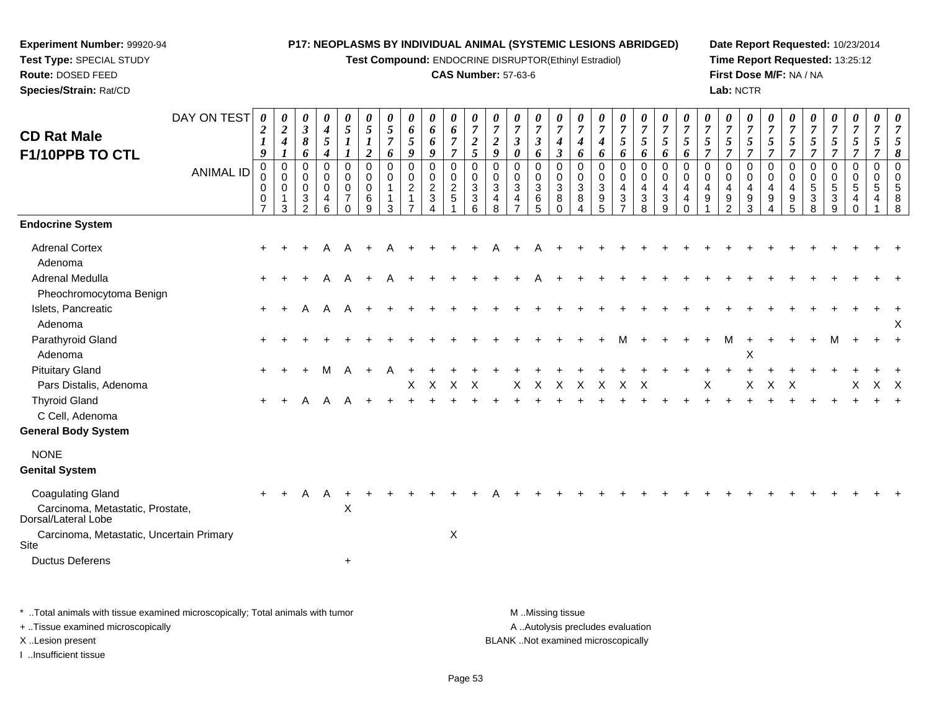**Test Compound:** ENDOCRINE DISRUPTOR(Ethinyl Estradiol)

#### **CAS Number:** 57-63-6

**Date Report Requested:** 10/23/2014**Time Report Requested:** 13:25:12**First Dose M/F:** NA / NA**Lab:** NCTR

| <b>CD Rat Male</b><br>F1/10PPB TO CTL                                                                                                                             | DAY ON TEST<br><b>ANIMAL ID</b> | $\boldsymbol{\theta}$<br>$\overline{2}$<br>$\boldsymbol{l}$<br>9<br>$\mathbf 0$<br>$\mathbf 0$<br>0<br>0<br>$\overline{7}$ | 0<br>$\boldsymbol{2}$<br>$\boldsymbol{4}$<br>$\boldsymbol{l}$<br>$\pmb{0}$<br>$\Omega$<br>$\mathbf 0$<br>1<br>3 | 0<br>$\boldsymbol{\beta}$<br>8<br>6<br>0<br>$\Omega$<br>0<br>3<br>$\overline{2}$ | 0<br>$\boldsymbol{4}$<br>$\mathfrak{s}$<br>$\boldsymbol{4}$<br>$\mathbf 0$<br>$\mathbf 0$<br>$\pmb{0}$<br>4<br>6 | $\boldsymbol{\theta}$<br>$\sqrt{5}$<br>$\mathbf 0$<br>$\mathbf 0$<br>$\mathbf 0$<br>$\overline{7}$<br>$\Omega$ | 0<br>$\mathfrak{s}$<br>$\boldsymbol{l}$<br>$\boldsymbol{2}$<br>$\pmb{0}$<br>$\mathbf 0$<br>$\mathbf 0$<br>6<br>9 | $\boldsymbol{\theta}$<br>$\mathfrak{s}$<br>$\overline{7}$<br>6<br>0<br>$\mathbf 0$<br>$\mathbf{1}$<br>1<br>3 | 0<br>$\pmb{6}$<br>5<br>9<br>0<br>$\mathbf 0$<br>$\overline{c}$<br>1<br>$\overline{ }$ | 0<br>6<br>6<br>9<br>0<br>$\mathsf{O}\xspace$<br>$\overline{2}$<br>$\sqrt{3}$<br>$\overline{\mathbf{4}}$ | 0<br>6<br>$\overline{7}$<br>$\overline{7}$<br>$\pmb{0}$<br>$\mathbf 0$<br>$\overline{c}$<br>$\sqrt{5}$ | 0<br>$\boldsymbol{7}$<br>$\boldsymbol{2}$<br>5<br>$\mathbf 0$<br>$\mathbf 0$<br>$\ensuremath{\mathsf{3}}$<br>$\sqrt{3}$<br>6 | 0<br>$\overline{7}$<br>$\boldsymbol{2}$<br>9<br>$\mathbf 0$<br>$\mathbf 0$<br>$\mathbf{3}$<br>4<br>8 | 0<br>$\overline{7}$<br>$\boldsymbol{\beta}$<br>0<br>0<br>$\mathbf 0$<br>$\sqrt{3}$<br>$\overline{4}$<br>$\overline{7}$ | $\boldsymbol{\theta}$<br>$\boldsymbol{7}$<br>$\mathfrak{z}$<br>6<br>$\mathbf 0$<br>$\mathbf 0$<br>$\mathbf{3}$<br>$\frac{6}{5}$ | $\boldsymbol{\theta}$<br>$\overline{7}$<br>4<br>3<br>$\mathbf 0$<br>$\Omega$<br>3<br>8<br>$\Omega$ | $\boldsymbol{\theta}$<br>$\overline{7}$<br>4<br>6<br>0<br>$\mathbf 0$<br>$\sqrt{3}$<br>8 | $\boldsymbol{\theta}$<br>$\overline{7}$<br>$\boldsymbol{4}$<br>6<br>$\pmb{0}$<br>0<br>$\sqrt{3}$<br>9<br>$\overline{5}$ | 0<br>$\boldsymbol{7}$<br>5<br>6<br>0<br>$\mathbf 0$<br>4<br>3<br>$\overline{ }$ | $\boldsymbol{\theta}$<br>$\overline{7}$<br>5<br>6<br>$\pmb{0}$<br>$\mathbf 0$<br>4<br>$\mathbf{3}$<br>8 | $\boldsymbol{\theta}$<br>$\overline{7}$<br>5<br>6<br>$\mathbf 0$<br>$\Omega$<br>$\overline{4}$<br>3<br>9 | $\boldsymbol{\theta}$<br>$\overline{7}$<br>5<br>6<br>$\mathbf 0$<br>$\Omega$<br>4<br>4<br>$\Omega$ | 0<br>$\overline{7}$<br>5<br>7<br>$\mathbf 0$<br>$\Omega$<br>4<br>9 | 0<br>$\boldsymbol{7}$<br>5<br>$\overline{7}$<br>0<br>$\mathbf 0$<br>$\overline{4}$<br>9<br>$\overline{2}$ | $\boldsymbol{\theta}$<br>$\overline{7}$<br>5<br>7<br>$\mathbf 0$<br>$\mathbf 0$<br>$\overline{4}$<br>9<br>3 | 0<br>$\overline{7}$<br>$\sqrt{5}$<br>$\overline{\tau}$<br>$\mathbf 0$<br>$\mathbf 0$<br>$\overline{4}$<br>9<br>4 | $\boldsymbol{\theta}$<br>$\overline{7}$<br>5<br>$\overline{7}$<br>$\pmb{0}$<br>$\mathbf 0$<br>4<br>$\boldsymbol{9}$<br>5 | $\boldsymbol{\theta}$<br>$\boldsymbol{7}$<br>$\sqrt{5}$<br>$\overline{7}$<br>0<br>0<br>$\,$ 5 $\,$<br>3<br>8 | $\boldsymbol{\theta}$<br>$\boldsymbol{7}$<br>5 <sup>5</sup><br>$\overline{7}$<br>0<br>$\mathbf 0$<br>$\sqrt{5}$<br>3<br>9 | 0<br>$\overline{7}$<br>$5\overline{)}$<br>$\overline{7}$<br>$\mathbf 0$<br>$\Omega$<br>5<br>4<br>$\Omega$ | 0<br>$\overline{7}$<br>5<br>$\overline{7}$<br>$\pmb{0}$<br>$\mathbf 0$<br>5<br>4 | 0<br>$\overline{7}$<br>5<br>8<br>$\pmb{0}$<br>$\mathbf 0$<br>5<br>8<br>8 |
|-------------------------------------------------------------------------------------------------------------------------------------------------------------------|---------------------------------|----------------------------------------------------------------------------------------------------------------------------|-----------------------------------------------------------------------------------------------------------------|----------------------------------------------------------------------------------|------------------------------------------------------------------------------------------------------------------|----------------------------------------------------------------------------------------------------------------|------------------------------------------------------------------------------------------------------------------|--------------------------------------------------------------------------------------------------------------|---------------------------------------------------------------------------------------|---------------------------------------------------------------------------------------------------------|--------------------------------------------------------------------------------------------------------|------------------------------------------------------------------------------------------------------------------------------|------------------------------------------------------------------------------------------------------|------------------------------------------------------------------------------------------------------------------------|---------------------------------------------------------------------------------------------------------------------------------|----------------------------------------------------------------------------------------------------|------------------------------------------------------------------------------------------|-------------------------------------------------------------------------------------------------------------------------|---------------------------------------------------------------------------------|---------------------------------------------------------------------------------------------------------|----------------------------------------------------------------------------------------------------------|----------------------------------------------------------------------------------------------------|--------------------------------------------------------------------|-----------------------------------------------------------------------------------------------------------|-------------------------------------------------------------------------------------------------------------|------------------------------------------------------------------------------------------------------------------|--------------------------------------------------------------------------------------------------------------------------|--------------------------------------------------------------------------------------------------------------|---------------------------------------------------------------------------------------------------------------------------|-----------------------------------------------------------------------------------------------------------|----------------------------------------------------------------------------------|--------------------------------------------------------------------------|
| <b>Endocrine System</b>                                                                                                                                           |                                 |                                                                                                                            |                                                                                                                 |                                                                                  |                                                                                                                  |                                                                                                                |                                                                                                                  |                                                                                                              |                                                                                       |                                                                                                         |                                                                                                        |                                                                                                                              |                                                                                                      |                                                                                                                        |                                                                                                                                 |                                                                                                    |                                                                                          |                                                                                                                         |                                                                                 |                                                                                                         |                                                                                                          |                                                                                                    |                                                                    |                                                                                                           |                                                                                                             |                                                                                                                  |                                                                                                                          |                                                                                                              |                                                                                                                           |                                                                                                           |                                                                                  |                                                                          |
| <b>Adrenal Cortex</b><br>Adenoma                                                                                                                                  |                                 |                                                                                                                            |                                                                                                                 |                                                                                  | A                                                                                                                | A                                                                                                              | $\pm$                                                                                                            |                                                                                                              |                                                                                       |                                                                                                         |                                                                                                        |                                                                                                                              |                                                                                                      |                                                                                                                        |                                                                                                                                 |                                                                                                    |                                                                                          |                                                                                                                         |                                                                                 |                                                                                                         |                                                                                                          |                                                                                                    |                                                                    |                                                                                                           |                                                                                                             |                                                                                                                  |                                                                                                                          |                                                                                                              |                                                                                                                           |                                                                                                           |                                                                                  |                                                                          |
| Adrenal Medulla                                                                                                                                                   |                                 | $\ddot{}$                                                                                                                  |                                                                                                                 |                                                                                  | A                                                                                                                | A                                                                                                              |                                                                                                                  |                                                                                                              |                                                                                       |                                                                                                         |                                                                                                        |                                                                                                                              |                                                                                                      |                                                                                                                        |                                                                                                                                 |                                                                                                    |                                                                                          |                                                                                                                         |                                                                                 |                                                                                                         |                                                                                                          |                                                                                                    |                                                                    |                                                                                                           |                                                                                                             |                                                                                                                  |                                                                                                                          |                                                                                                              |                                                                                                                           |                                                                                                           |                                                                                  |                                                                          |
| Pheochromocytoma Benign<br>Islets, Pancreatic<br>Adenoma                                                                                                          |                                 | $\ddot{}$                                                                                                                  |                                                                                                                 | A                                                                                | A                                                                                                                | A                                                                                                              |                                                                                                                  |                                                                                                              |                                                                                       |                                                                                                         |                                                                                                        |                                                                                                                              |                                                                                                      |                                                                                                                        |                                                                                                                                 |                                                                                                    |                                                                                          |                                                                                                                         |                                                                                 |                                                                                                         |                                                                                                          |                                                                                                    |                                                                    |                                                                                                           |                                                                                                             |                                                                                                                  |                                                                                                                          |                                                                                                              |                                                                                                                           |                                                                                                           |                                                                                  | Χ                                                                        |
| Parathyroid Gland<br>Adenoma                                                                                                                                      |                                 | $\ddot{}$                                                                                                                  |                                                                                                                 |                                                                                  |                                                                                                                  |                                                                                                                |                                                                                                                  |                                                                                                              |                                                                                       |                                                                                                         |                                                                                                        |                                                                                                                              |                                                                                                      |                                                                                                                        |                                                                                                                                 |                                                                                                    |                                                                                          |                                                                                                                         |                                                                                 |                                                                                                         |                                                                                                          |                                                                                                    |                                                                    | M                                                                                                         | X                                                                                                           |                                                                                                                  |                                                                                                                          |                                                                                                              |                                                                                                                           |                                                                                                           |                                                                                  |                                                                          |
| <b>Pituitary Gland</b><br>Pars Distalis, Adenoma                                                                                                                  |                                 | $\ddot{}$                                                                                                                  |                                                                                                                 |                                                                                  | M                                                                                                                | A                                                                                                              |                                                                                                                  |                                                                                                              | Χ                                                                                     | $\times$                                                                                                | X                                                                                                      | X                                                                                                                            |                                                                                                      | Χ                                                                                                                      | X                                                                                                                               | Х                                                                                                  | X                                                                                        | Х                                                                                                                       | X                                                                               | X                                                                                                       |                                                                                                          |                                                                                                    | X                                                                  |                                                                                                           | Х                                                                                                           | X                                                                                                                | х                                                                                                                        |                                                                                                              |                                                                                                                           | Х                                                                                                         | $X$ X                                                                            |                                                                          |
| <b>Thyroid Gland</b><br>C Cell, Adenoma<br><b>General Body System</b>                                                                                             |                                 |                                                                                                                            |                                                                                                                 |                                                                                  |                                                                                                                  |                                                                                                                |                                                                                                                  |                                                                                                              |                                                                                       |                                                                                                         |                                                                                                        |                                                                                                                              |                                                                                                      |                                                                                                                        |                                                                                                                                 |                                                                                                    |                                                                                          |                                                                                                                         |                                                                                 |                                                                                                         |                                                                                                          |                                                                                                    |                                                                    |                                                                                                           |                                                                                                             |                                                                                                                  |                                                                                                                          |                                                                                                              |                                                                                                                           |                                                                                                           |                                                                                  |                                                                          |
| <b>NONE</b><br><b>Genital System</b>                                                                                                                              |                                 |                                                                                                                            |                                                                                                                 |                                                                                  |                                                                                                                  |                                                                                                                |                                                                                                                  |                                                                                                              |                                                                                       |                                                                                                         |                                                                                                        |                                                                                                                              |                                                                                                      |                                                                                                                        |                                                                                                                                 |                                                                                                    |                                                                                          |                                                                                                                         |                                                                                 |                                                                                                         |                                                                                                          |                                                                                                    |                                                                    |                                                                                                           |                                                                                                             |                                                                                                                  |                                                                                                                          |                                                                                                              |                                                                                                                           |                                                                                                           |                                                                                  |                                                                          |
| <b>Coagulating Gland</b><br>Carcinoma, Metastatic, Prostate,<br>Dorsal/Lateral Lobe<br>Carcinoma, Metastatic, Uncertain Primary<br>Site<br><b>Ductus Deferens</b> |                                 | $\pm$                                                                                                                      |                                                                                                                 | Α                                                                                | A                                                                                                                | Χ<br>$\ddot{}$                                                                                                 |                                                                                                                  |                                                                                                              |                                                                                       |                                                                                                         | $\boldsymbol{\mathsf{X}}$                                                                              |                                                                                                                              |                                                                                                      |                                                                                                                        |                                                                                                                                 |                                                                                                    |                                                                                          |                                                                                                                         |                                                                                 |                                                                                                         |                                                                                                          |                                                                                                    |                                                                    |                                                                                                           |                                                                                                             |                                                                                                                  |                                                                                                                          |                                                                                                              |                                                                                                                           |                                                                                                           |                                                                                  |                                                                          |
|                                                                                                                                                                   |                                 |                                                                                                                            |                                                                                                                 |                                                                                  |                                                                                                                  |                                                                                                                |                                                                                                                  |                                                                                                              |                                                                                       |                                                                                                         |                                                                                                        |                                                                                                                              |                                                                                                      |                                                                                                                        |                                                                                                                                 |                                                                                                    |                                                                                          |                                                                                                                         |                                                                                 |                                                                                                         |                                                                                                          |                                                                                                    |                                                                    |                                                                                                           |                                                                                                             |                                                                                                                  |                                                                                                                          |                                                                                                              |                                                                                                                           |                                                                                                           |                                                                                  |                                                                          |

\* ..Total animals with tissue examined microscopically; Total animals with tumor **M** . Missing tissue M ..Missing tissue A ..Autolysis precludes evaluation + ..Tissue examined microscopically X ..Lesion present BLANK ..Not examined microscopicallyI ..Insufficient tissue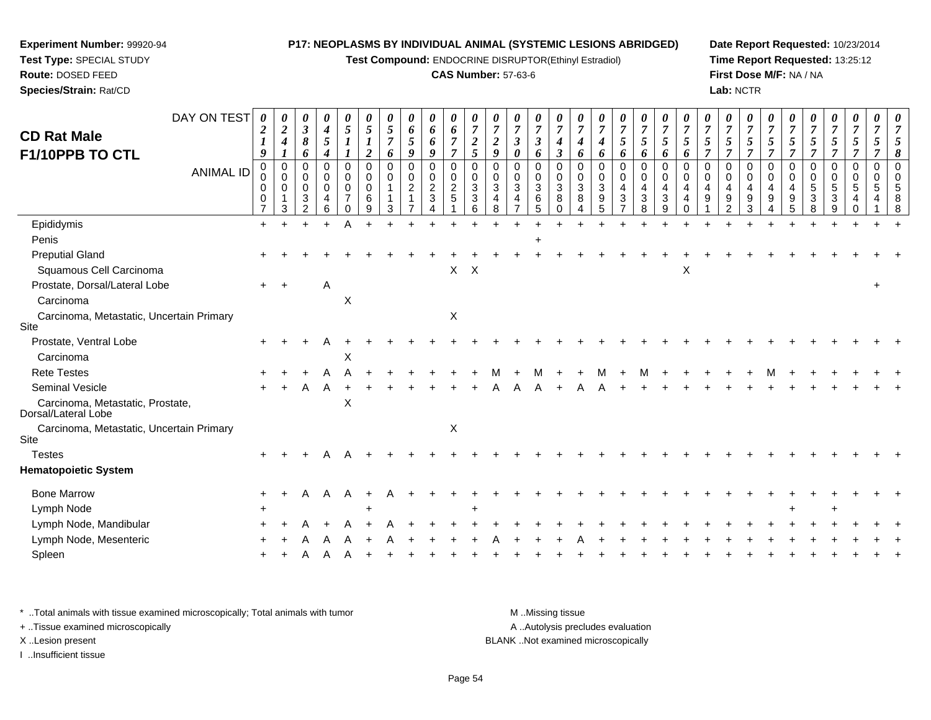**Test Compound:** ENDOCRINE DISRUPTOR(Ethinyl Estradiol)

## **CAS Number:** 57-63-6

**Date Report Requested:** 10/23/2014 **Time Report Requested:** 13:25:12**First Dose M/F:** NA / NA**Lab:** NCTR

| DAY ON TEST                                             | 0                                 | 0                                 | 0                                                             | 0                                                      | $\boldsymbol{\theta}$                                                   | 0                                      |                              | 0                                  | 0                                        | 0                                                 |                                                    | 0                                                                 | 0                                                        | 0                                                          | 0                            |                                       | 0                     | 0                              | 0                                                               | 0                                                                 |                                           | 0                       | 0                                              | 0                                      | 0                                                                            | 0                                         | 0                                                                 | 0                               | 0                                      |                  |                                        |
|---------------------------------------------------------|-----------------------------------|-----------------------------------|---------------------------------------------------------------|--------------------------------------------------------|-------------------------------------------------------------------------|----------------------------------------|------------------------------|------------------------------------|------------------------------------------|---------------------------------------------------|----------------------------------------------------|-------------------------------------------------------------------|----------------------------------------------------------|------------------------------------------------------------|------------------------------|---------------------------------------|-----------------------|--------------------------------|-----------------------------------------------------------------|-------------------------------------------------------------------|-------------------------------------------|-------------------------|------------------------------------------------|----------------------------------------|------------------------------------------------------------------------------|-------------------------------------------|-------------------------------------------------------------------|---------------------------------|----------------------------------------|------------------|----------------------------------------|
| <b>CD Rat Male</b>                                      | 2                                 | $\boldsymbol{2}$<br>4             | $\boldsymbol{\beta}$<br>8                                     | 4<br>5                                                 | 5                                                                       | 5                                      | 5<br>$\overline{7}$          | 6<br>5                             | 6<br>6                                   | 6<br>$\overline{7}$                               | $\overline{7}$<br>$\boldsymbol{2}$                 | $\overline{7}$<br>$\boldsymbol{2}$                                | 7<br>3                                                   | $\overline{7}$<br>$\boldsymbol{\beta}$                     | $\overline{7}$<br>4          | $\overline{7}$<br>4                   | 4                     | $\overline{7}$<br>5            | $\overline{7}$<br>5                                             | $\overline{7}$<br>5                                               | $\overline{7}$<br>$\mathfrak{s}$          | 7<br>5                  | $\boldsymbol{7}$<br>5                          | $\overline{7}$<br>5                    | $\overline{7}$<br>5                                                          | $\overline{7}$<br>5                       | $\overline{7}$<br>$\overline{5}$                                  | $\overline{7}$<br>5             | 5                                      | 5                | 7<br>5                                 |
| F1/10PPB TO CTL                                         | 9                                 | $\boldsymbol{l}$                  | 6                                                             | 4                                                      |                                                                         | 2                                      | 6                            | 9                                  | 9                                        | $\overline{\tau}$                                 | 5                                                  | 9                                                                 | 0                                                        | 6                                                          | 3                            | 6                                     | 6                     | 6                              | 6                                                               | 6                                                                 | 6                                         | 7                       | $\overline{7}$                                 | $\overline{\tau}$                      | $\overline{7}$                                                               | $\overline{7}$                            | $\overline{7}$                                                    | $\overline{7}$                  | 7                                      | 7                | 8                                      |
| ANIMAL ID                                               | 0<br>$\mathbf 0$<br>$\Omega$<br>0 | 0<br>$\mathbf 0$<br>$\Omega$<br>3 | $\Omega$<br>$\mathbf 0$<br>$\mathbf 0$<br>3<br>$\overline{2}$ | $\mathbf 0$<br>0<br>$\mathbf 0$<br>$\overline{4}$<br>6 | $\mathbf 0$<br>$\mathbf 0$<br>$\mathbf 0$<br>$\overline{7}$<br>$\Omega$ | $\mathbf 0$<br>0<br>$\Omega$<br>6<br>9 | $\mathbf 0$<br>$\Omega$<br>3 | 0<br>$\mathbf 0$<br>$\overline{c}$ | 0<br>$\mathbf 0$<br>$\sqrt{2}$<br>3<br>4 | $\mathbf 0$<br>$\pmb{0}$<br>$\boldsymbol{2}$<br>5 | $\Omega$<br>0<br>$\mathbf{3}$<br>$\mathbf{3}$<br>6 | $\mathbf 0$<br>$\mathbf 0$<br>$\mathbf{3}$<br>$\overline{4}$<br>8 | 0<br>0<br>$\sqrt{3}$<br>$\overline{4}$<br>$\overline{7}$ | $\mathbf 0$<br>$\mathbf 0$<br>$\mathbf{3}$<br>$\,6\,$<br>5 | 0<br>0<br>3<br>8<br>$\Omega$ | 0<br>$\mathbf 0$<br>$\mathbf{3}$<br>8 | 0<br>0<br>3<br>9<br>5 | 0<br>0<br>4<br>$\sqrt{3}$<br>7 | $\mathbf 0$<br>$\mathbf 0$<br>$\overline{4}$<br>$\sqrt{3}$<br>8 | $\mathbf 0$<br>$\mathbf 0$<br>4<br>$\ensuremath{\mathsf{3}}$<br>9 | $\Omega$<br>0<br>4<br>$\overline{4}$<br>0 | $\Omega$<br>0<br>4<br>9 | 0<br>$\mathbf 0$<br>4<br>$\boldsymbol{9}$<br>2 | $\Omega$<br>$\mathbf 0$<br>4<br>9<br>3 | $\mathbf 0$<br>$\mathbf 0$<br>$\overline{4}$<br>9<br>$\overline{\mathbf{4}}$ | $\mathbf 0$<br>$\mathbf 0$<br>4<br>9<br>5 | 0<br>$\mathbf 0$<br>$\,$ 5 $\,$<br>$\ensuremath{\mathsf{3}}$<br>8 | $\mathbf 0$<br>0<br>5<br>3<br>9 | $\mathbf 0$<br>0<br>5<br>4<br>$\Omega$ | 0<br>0<br>5<br>4 | $\Omega$<br>$\mathbf 0$<br>5<br>8<br>8 |
| Epididymis                                              | $+$                               | $\div$                            | $\ddot{}$                                                     | $\ddot{}$                                              | Α                                                                       | $\ddot{}$                              |                              |                                    |                                          | ÷                                                 |                                                    |                                                                   |                                                          |                                                            |                              |                                       | $\overline{ }$        |                                |                                                                 |                                                                   |                                           |                         |                                                | $\div$                                 |                                                                              |                                           |                                                                   | $\ddot{}$                       |                                        |                  |                                        |
| Penis                                                   |                                   |                                   |                                                               |                                                        |                                                                         |                                        |                              |                                    |                                          |                                                   |                                                    |                                                                   |                                                          |                                                            |                              |                                       |                       |                                |                                                                 |                                                                   |                                           |                         |                                                |                                        |                                                                              |                                           |                                                                   |                                 |                                        |                  |                                        |
| <b>Preputial Gland</b>                                  |                                   |                                   |                                                               |                                                        |                                                                         |                                        |                              |                                    |                                          |                                                   |                                                    |                                                                   |                                                          |                                                            |                              |                                       |                       |                                |                                                                 |                                                                   |                                           |                         |                                                |                                        |                                                                              |                                           |                                                                   |                                 |                                        |                  |                                        |
| Squamous Cell Carcinoma                                 |                                   |                                   |                                                               |                                                        |                                                                         |                                        |                              |                                    |                                          | X                                                 | X                                                  |                                                                   |                                                          |                                                            |                              |                                       |                       |                                |                                                                 |                                                                   | Χ                                         |                         |                                                |                                        |                                                                              |                                           |                                                                   |                                 |                                        |                  |                                        |
| Prostate, Dorsal/Lateral Lobe                           | $+$                               | $+$                               |                                                               | Α                                                      |                                                                         |                                        |                              |                                    |                                          |                                                   |                                                    |                                                                   |                                                          |                                                            |                              |                                       |                       |                                |                                                                 |                                                                   |                                           |                         |                                                |                                        |                                                                              |                                           |                                                                   |                                 |                                        |                  |                                        |
| Carcinoma                                               |                                   |                                   |                                                               |                                                        | $\times$                                                                |                                        |                              |                                    |                                          |                                                   |                                                    |                                                                   |                                                          |                                                            |                              |                                       |                       |                                |                                                                 |                                                                   |                                           |                         |                                                |                                        |                                                                              |                                           |                                                                   |                                 |                                        |                  |                                        |
| Carcinoma, Metastatic, Uncertain Primary<br>Site        |                                   |                                   |                                                               |                                                        |                                                                         |                                        |                              |                                    |                                          | $\mathsf X$                                       |                                                    |                                                                   |                                                          |                                                            |                              |                                       |                       |                                |                                                                 |                                                                   |                                           |                         |                                                |                                        |                                                                              |                                           |                                                                   |                                 |                                        |                  |                                        |
| Prostate, Ventral Lobe                                  |                                   |                                   |                                                               |                                                        |                                                                         |                                        |                              |                                    |                                          |                                                   |                                                    |                                                                   |                                                          |                                                            |                              |                                       |                       |                                |                                                                 |                                                                   |                                           |                         |                                                |                                        |                                                                              |                                           |                                                                   |                                 |                                        |                  |                                        |
| Carcinoma                                               |                                   |                                   |                                                               |                                                        | X                                                                       |                                        |                              |                                    |                                          |                                                   |                                                    |                                                                   |                                                          |                                                            |                              |                                       |                       |                                |                                                                 |                                                                   |                                           |                         |                                                |                                        |                                                                              |                                           |                                                                   |                                 |                                        |                  |                                        |
| <b>Rete Testes</b>                                      |                                   |                                   |                                                               |                                                        |                                                                         |                                        |                              |                                    |                                          |                                                   |                                                    |                                                                   |                                                          |                                                            |                              |                                       |                       |                                |                                                                 |                                                                   |                                           |                         |                                                |                                        |                                                                              |                                           |                                                                   |                                 |                                        |                  |                                        |
| Seminal Vesicle                                         |                                   |                                   | А                                                             | A                                                      |                                                                         |                                        |                              |                                    |                                          |                                                   |                                                    |                                                                   |                                                          |                                                            |                              |                                       |                       |                                |                                                                 |                                                                   |                                           |                         |                                                |                                        |                                                                              |                                           |                                                                   |                                 |                                        |                  |                                        |
| Carcinoma, Metastatic, Prostate,<br>Dorsal/Lateral Lobe |                                   |                                   |                                                               |                                                        | X                                                                       |                                        |                              |                                    |                                          |                                                   |                                                    |                                                                   |                                                          |                                                            |                              |                                       |                       |                                |                                                                 |                                                                   |                                           |                         |                                                |                                        |                                                                              |                                           |                                                                   |                                 |                                        |                  |                                        |
| Carcinoma, Metastatic, Uncertain Primary<br>Site        |                                   |                                   |                                                               |                                                        |                                                                         |                                        |                              |                                    |                                          | $\mathsf X$                                       |                                                    |                                                                   |                                                          |                                                            |                              |                                       |                       |                                |                                                                 |                                                                   |                                           |                         |                                                |                                        |                                                                              |                                           |                                                                   |                                 |                                        |                  |                                        |
| <b>Testes</b>                                           | $\ddot{}$                         |                                   |                                                               |                                                        |                                                                         |                                        |                              |                                    |                                          |                                                   |                                                    |                                                                   |                                                          |                                                            |                              |                                       |                       |                                |                                                                 |                                                                   |                                           |                         |                                                |                                        |                                                                              |                                           |                                                                   |                                 |                                        |                  |                                        |
| <b>Hematopoietic System</b>                             |                                   |                                   |                                                               |                                                        |                                                                         |                                        |                              |                                    |                                          |                                                   |                                                    |                                                                   |                                                          |                                                            |                              |                                       |                       |                                |                                                                 |                                                                   |                                           |                         |                                                |                                        |                                                                              |                                           |                                                                   |                                 |                                        |                  |                                        |
| <b>Bone Marrow</b>                                      | +                                 |                                   | A                                                             | A                                                      | A                                                                       |                                        |                              |                                    |                                          |                                                   |                                                    |                                                                   |                                                          |                                                            |                              |                                       |                       |                                |                                                                 |                                                                   |                                           |                         |                                                |                                        |                                                                              |                                           |                                                                   |                                 |                                        |                  |                                        |
| Lymph Node                                              |                                   |                                   |                                                               |                                                        |                                                                         |                                        |                              |                                    |                                          |                                                   | +                                                  |                                                                   |                                                          |                                                            |                              |                                       |                       |                                |                                                                 |                                                                   |                                           |                         |                                                |                                        |                                                                              |                                           |                                                                   |                                 |                                        |                  |                                        |
| Lymph Node, Mandibular                                  |                                   |                                   |                                                               |                                                        |                                                                         |                                        |                              |                                    |                                          |                                                   |                                                    |                                                                   |                                                          |                                                            |                              |                                       |                       |                                |                                                                 |                                                                   |                                           |                         |                                                |                                        |                                                                              |                                           |                                                                   |                                 |                                        |                  |                                        |
| Lymph Node, Mesenteric                                  |                                   |                                   |                                                               |                                                        |                                                                         |                                        |                              |                                    |                                          |                                                   |                                                    |                                                                   |                                                          |                                                            |                              |                                       |                       |                                |                                                                 |                                                                   |                                           |                         |                                                |                                        |                                                                              |                                           |                                                                   |                                 |                                        |                  |                                        |
| Spleen                                                  |                                   |                                   |                                                               |                                                        |                                                                         |                                        |                              |                                    |                                          |                                                   |                                                    |                                                                   |                                                          |                                                            |                              |                                       |                       |                                |                                                                 |                                                                   |                                           |                         |                                                |                                        |                                                                              |                                           |                                                                   |                                 |                                        |                  |                                        |
|                                                         |                                   |                                   |                                                               |                                                        |                                                                         |                                        |                              |                                    |                                          |                                                   |                                                    |                                                                   |                                                          |                                                            |                              |                                       |                       |                                |                                                                 |                                                                   |                                           |                         |                                                |                                        |                                                                              |                                           |                                                                   |                                 |                                        |                  |                                        |

\* ..Total animals with tissue examined microscopically; Total animals with tumor **M** . Missing tissue M ..Missing tissue A ..Autolysis precludes evaluation + ..Tissue examined microscopically X ..Lesion present BLANK ..Not examined microscopicallyI ..Insufficient tissue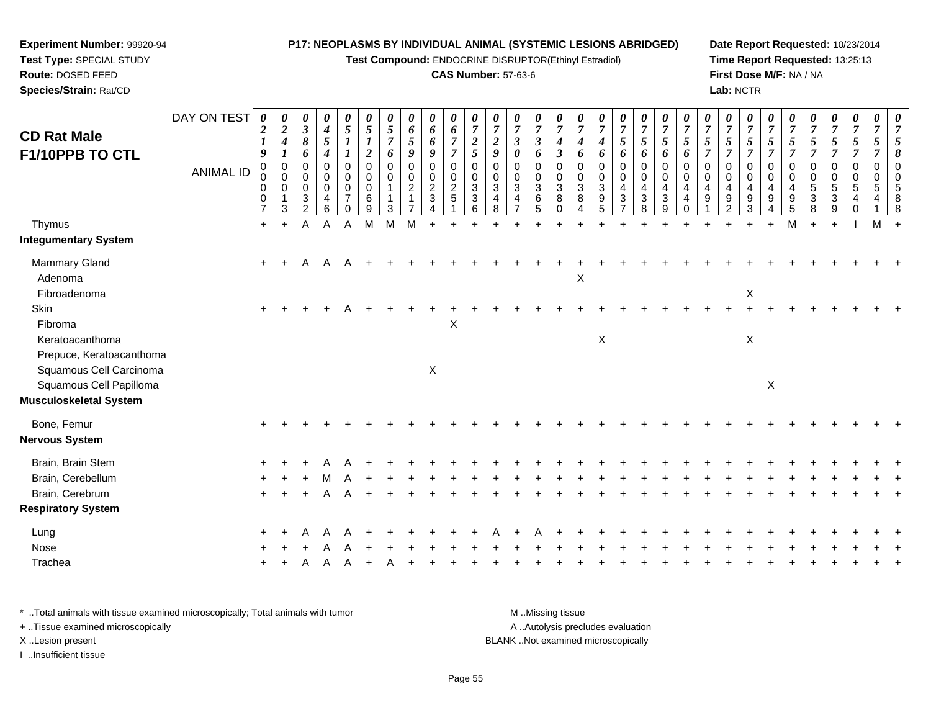**Test Compound:** ENDOCRINE DISRUPTOR(Ethinyl Estradiol)

#### **CAS Number:** 57-63-6

**Date Report Requested:** 10/23/2014**Time Report Requested:** 13:25:13**First Dose M/F:** NA / NA**Lab:** NCTR

| <b>CD Rat Male</b><br>F1/10PPB TO CTL              | DAY ON TEST      | 0<br>$\boldsymbol{2}$<br>$\boldsymbol{l}$<br>$\boldsymbol{9}$ | 0<br>$\boldsymbol{2}$<br>$\boldsymbol{4}$<br>$\boldsymbol{l}$ | 0<br>$\mathfrak{z}$<br>8<br>6             | 0<br>$\boldsymbol{4}$<br>$\sqrt{5}$<br>$\boldsymbol{4}$ | 0<br>$\sqrt{5}$<br>$\boldsymbol{l}$                              | 0<br>$\sqrt{5}$<br>$\boldsymbol{I}$<br>$\overline{\mathbf{c}}$ | $\boldsymbol{\theta}$<br>5<br>$\overline{7}$<br>6      | 0<br>6<br>5<br>9         | 0<br>6<br>6<br>9                                     | 0<br>$\boldsymbol{6}$<br>$\overline{7}$<br>$\overline{\tau}$                  | $\boldsymbol{\theta}$<br>$\overline{7}$<br>$\boldsymbol{2}$<br>$\mathfrak{s}$ | $\boldsymbol{\theta}$<br>$\overline{7}$<br>$\boldsymbol{2}$<br>9 | 0<br>$\overline{7}$<br>$\boldsymbol{\beta}$<br>0 | 0<br>$\boldsymbol{7}$<br>$\mathfrak{z}$<br>6 | 0<br>$\overline{7}$<br>$\boldsymbol{4}$<br>$\boldsymbol{\beta}$ | 0<br>$\overline{7}$<br>$\boldsymbol{4}$<br>6                          | $\boldsymbol{\theta}$<br>$\overline{7}$<br>4<br>6           | 0<br>$\overline{7}$<br>5<br>6                              | $\boldsymbol{\theta}$<br>$\overline{7}$<br>$\mathfrak{s}$<br>6 | $\boldsymbol{\theta}$<br>$\boldsymbol{7}$<br>5<br>6 | $\theta$<br>$\overline{7}$<br>$\sqrt{5}$<br>6                 | $\boldsymbol{\theta}$<br>$\overline{7}$<br>5<br>7 | 0<br>$\overline{7}$<br>5<br>$\overline{7}$                | 0<br>$\overline{7}$<br>$\sqrt{5}$<br>$\overline{7}$    | $\boldsymbol{\theta}$<br>$\overline{7}$<br>5<br>7   | $\theta$<br>$\overline{7}$<br>5<br>$\overline{7}$ | $\boldsymbol{\theta}$<br>$\overline{7}$<br>5<br>7 | 0<br>$\overline{7}$<br>$5\overline{)}$<br>7          | 0<br>$\overline{7}$<br>$\overline{5}$<br>$\overline{7}$ | 0<br>$\overline{7}$<br>5<br>7 | $\overline{7}$<br>8       |
|----------------------------------------------------|------------------|---------------------------------------------------------------|---------------------------------------------------------------|-------------------------------------------|---------------------------------------------------------|------------------------------------------------------------------|----------------------------------------------------------------|--------------------------------------------------------|--------------------------|------------------------------------------------------|-------------------------------------------------------------------------------|-------------------------------------------------------------------------------|------------------------------------------------------------------|--------------------------------------------------|----------------------------------------------|-----------------------------------------------------------------|-----------------------------------------------------------------------|-------------------------------------------------------------|------------------------------------------------------------|----------------------------------------------------------------|-----------------------------------------------------|---------------------------------------------------------------|---------------------------------------------------|-----------------------------------------------------------|--------------------------------------------------------|-----------------------------------------------------|---------------------------------------------------|---------------------------------------------------|------------------------------------------------------|---------------------------------------------------------|-------------------------------|---------------------------|
|                                                    | <b>ANIMAL ID</b> | $\mathbf 0$<br>0<br>0<br>0<br>$\overline{7}$                  | $\mathbf 0$<br>$\mathbf 0$<br>$\Omega$<br>1<br>$\mathbf{3}$   | 0<br>0<br>$\Omega$<br>3<br>$\overline{2}$ | 0<br>$\pmb{0}$<br>0<br>$\overline{\mathbf{4}}$<br>6     | 0<br>$\mathbf 0$<br>$\mathbf 0$<br>$\overline{7}$<br>$\mathbf 0$ | $\mathbf 0$<br>0<br>$\mathbf 0$<br>6<br>$\boldsymbol{9}$       | $\mathbf 0$<br>$\mathbf 0$<br>$\overline{1}$<br>1<br>3 | 0<br>0<br>$\overline{2}$ | 0<br>$\mathbf 0$<br>$\overline{2}$<br>$\mathfrak{Z}$ | $\mathbf 0$<br>$\begin{smallmatrix} 0\\2 \end{smallmatrix}$<br>$\overline{5}$ | $\mathbf 0$<br>0<br>3<br>3<br>6                                               | 0<br>$\mathbf 0$<br>3<br>4<br>8                                  | 0<br>0<br>3<br>$\overline{4}$<br>$\overline{7}$  | 0<br>0<br>$\mathbf{3}$<br>6<br>5             | 0<br>0<br>$\mathbf{3}$<br>8<br>$\mathbf 0$                      | $\Omega$<br>$\mathbf 0$<br>$\mathbf{3}$<br>8<br>$\boldsymbol{\Delta}$ | 0<br>$\mathbf 0$<br>$\ensuremath{\mathsf{3}}$<br>$9\,$<br>5 | 0<br>0<br>$\overline{4}$<br>$\mathbf{3}$<br>$\overline{7}$ | 0<br>$\mathbf 0$<br>$\overline{4}$<br>$\mathbf{3}$<br>8        | $\Omega$<br>$\mathbf 0$<br>4<br>$\sqrt{3}$<br>9     | $\Omega$<br>0<br>$\overline{4}$<br>$\overline{a}$<br>$\Omega$ | $\Omega$<br>$\mathbf 0$<br>4<br>9                 | $\mathbf 0$<br>0<br>$\overline{a}$<br>9<br>$\overline{2}$ | $\mathbf 0$<br>$\mathbf 0$<br>$\overline{4}$<br>9<br>3 | $\Omega$<br>$\mathbf 0$<br>$\overline{4}$<br>9<br>4 | 0<br>0<br>4<br>9<br>5                             | 0<br>0<br>5<br>3<br>8                             | $\mathbf 0$<br>$\mathbf 0$<br>5<br>$\mathbf{3}$<br>9 | 0<br>$\mathbf 0$<br>5<br>4<br>0                         | $\mathbf 0$<br>0<br>5<br>4    | $\Omega$<br>$\Omega$<br>8 |
| Thymus                                             |                  | $\ddot{}$                                                     | $\ddot{}$                                                     | Α                                         | A                                                       | A                                                                | M                                                              | M                                                      | M                        |                                                      |                                                                               |                                                                               |                                                                  |                                                  |                                              |                                                                 |                                                                       |                                                             |                                                            |                                                                |                                                     |                                                               |                                                   |                                                           |                                                        | $\ddot{}$                                           | M                                                 |                                                   | $\ddot{}$                                            |                                                         | M                             |                           |
| <b>Integumentary System</b>                        |                  |                                                               |                                                               |                                           |                                                         |                                                                  |                                                                |                                                        |                          |                                                      |                                                                               |                                                                               |                                                                  |                                                  |                                              |                                                                 |                                                                       |                                                             |                                                            |                                                                |                                                     |                                                               |                                                   |                                                           |                                                        |                                                     |                                                   |                                                   |                                                      |                                                         |                               |                           |
| Mammary Gland<br>Adenoma                           |                  | $+$                                                           |                                                               | A                                         | A                                                       |                                                                  |                                                                |                                                        |                          |                                                      |                                                                               |                                                                               |                                                                  |                                                  |                                              |                                                                 | X                                                                     |                                                             |                                                            |                                                                |                                                     |                                                               |                                                   |                                                           |                                                        |                                                     |                                                   |                                                   |                                                      |                                                         |                               |                           |
| Fibroadenoma                                       |                  |                                                               |                                                               |                                           |                                                         |                                                                  |                                                                |                                                        |                          |                                                      |                                                                               |                                                                               |                                                                  |                                                  |                                              |                                                                 |                                                                       |                                                             |                                                            |                                                                |                                                     |                                                               |                                                   |                                                           | X                                                      |                                                     |                                                   |                                                   |                                                      |                                                         |                               |                           |
| Skin<br>Fibroma                                    |                  | $+$                                                           |                                                               |                                           |                                                         |                                                                  |                                                                |                                                        |                          |                                                      | X                                                                             |                                                                               |                                                                  |                                                  |                                              |                                                                 |                                                                       |                                                             |                                                            |                                                                |                                                     |                                                               |                                                   |                                                           |                                                        |                                                     |                                                   |                                                   |                                                      |                                                         |                               |                           |
| Keratoacanthoma<br>Prepuce, Keratoacanthoma        |                  |                                                               |                                                               |                                           |                                                         |                                                                  |                                                                |                                                        |                          |                                                      |                                                                               |                                                                               |                                                                  |                                                  |                                              |                                                                 |                                                                       | X                                                           |                                                            |                                                                |                                                     |                                                               |                                                   |                                                           | $\mathsf X$                                            |                                                     |                                                   |                                                   |                                                      |                                                         |                               |                           |
| Squamous Cell Carcinoma<br>Squamous Cell Papilloma |                  |                                                               |                                                               |                                           |                                                         |                                                                  |                                                                |                                                        |                          | X                                                    |                                                                               |                                                                               |                                                                  |                                                  |                                              |                                                                 |                                                                       |                                                             |                                                            |                                                                |                                                     |                                                               |                                                   |                                                           |                                                        | $\mathsf X$                                         |                                                   |                                                   |                                                      |                                                         |                               |                           |
| <b>Musculoskeletal System</b>                      |                  |                                                               |                                                               |                                           |                                                         |                                                                  |                                                                |                                                        |                          |                                                      |                                                                               |                                                                               |                                                                  |                                                  |                                              |                                                                 |                                                                       |                                                             |                                                            |                                                                |                                                     |                                                               |                                                   |                                                           |                                                        |                                                     |                                                   |                                                   |                                                      |                                                         |                               |                           |
| Bone, Femur                                        |                  |                                                               |                                                               |                                           |                                                         |                                                                  |                                                                |                                                        |                          |                                                      |                                                                               |                                                                               |                                                                  |                                                  |                                              |                                                                 |                                                                       |                                                             |                                                            |                                                                |                                                     |                                                               |                                                   |                                                           |                                                        |                                                     |                                                   |                                                   |                                                      |                                                         |                               |                           |
| <b>Nervous System</b>                              |                  |                                                               |                                                               |                                           |                                                         |                                                                  |                                                                |                                                        |                          |                                                      |                                                                               |                                                                               |                                                                  |                                                  |                                              |                                                                 |                                                                       |                                                             |                                                            |                                                                |                                                     |                                                               |                                                   |                                                           |                                                        |                                                     |                                                   |                                                   |                                                      |                                                         |                               |                           |
| Brain, Brain Stem                                  |                  |                                                               |                                                               |                                           |                                                         |                                                                  |                                                                |                                                        |                          |                                                      |                                                                               |                                                                               |                                                                  |                                                  |                                              |                                                                 |                                                                       |                                                             |                                                            |                                                                |                                                     |                                                               |                                                   |                                                           |                                                        |                                                     |                                                   |                                                   |                                                      |                                                         |                               |                           |
| Brain, Cerebellum                                  |                  |                                                               |                                                               |                                           |                                                         |                                                                  |                                                                |                                                        |                          |                                                      |                                                                               |                                                                               |                                                                  |                                                  |                                              |                                                                 |                                                                       |                                                             |                                                            |                                                                |                                                     |                                                               |                                                   |                                                           |                                                        |                                                     |                                                   |                                                   |                                                      |                                                         |                               |                           |
| Brain, Cerebrum                                    |                  |                                                               |                                                               |                                           |                                                         |                                                                  |                                                                |                                                        |                          |                                                      |                                                                               |                                                                               |                                                                  |                                                  |                                              |                                                                 |                                                                       |                                                             |                                                            |                                                                |                                                     |                                                               |                                                   |                                                           |                                                        |                                                     |                                                   |                                                   |                                                      |                                                         |                               |                           |
| <b>Respiratory System</b>                          |                  |                                                               |                                                               |                                           |                                                         |                                                                  |                                                                |                                                        |                          |                                                      |                                                                               |                                                                               |                                                                  |                                                  |                                              |                                                                 |                                                                       |                                                             |                                                            |                                                                |                                                     |                                                               |                                                   |                                                           |                                                        |                                                     |                                                   |                                                   |                                                      |                                                         |                               |                           |
| Lung                                               |                  |                                                               |                                                               |                                           |                                                         |                                                                  |                                                                |                                                        |                          |                                                      |                                                                               |                                                                               |                                                                  |                                                  |                                              |                                                                 |                                                                       |                                                             |                                                            |                                                                |                                                     |                                                               |                                                   |                                                           |                                                        |                                                     |                                                   |                                                   |                                                      |                                                         |                               |                           |
| Nose                                               |                  |                                                               |                                                               |                                           |                                                         |                                                                  |                                                                |                                                        |                          |                                                      |                                                                               |                                                                               |                                                                  |                                                  |                                              |                                                                 |                                                                       |                                                             |                                                            |                                                                |                                                     |                                                               |                                                   |                                                           |                                                        |                                                     |                                                   |                                                   |                                                      |                                                         |                               |                           |
| Trachea                                            |                  |                                                               |                                                               |                                           |                                                         |                                                                  |                                                                |                                                        |                          |                                                      |                                                                               |                                                                               |                                                                  |                                                  |                                              |                                                                 |                                                                       |                                                             |                                                            |                                                                |                                                     |                                                               |                                                   |                                                           |                                                        |                                                     |                                                   |                                                   |                                                      |                                                         |                               |                           |
|                                                    |                  |                                                               |                                                               |                                           |                                                         |                                                                  |                                                                |                                                        |                          |                                                      |                                                                               |                                                                               |                                                                  |                                                  |                                              |                                                                 |                                                                       |                                                             |                                                            |                                                                |                                                     |                                                               |                                                   |                                                           |                                                        |                                                     |                                                   |                                                   |                                                      |                                                         |                               |                           |

\* ..Total animals with tissue examined microscopically; Total animals with tumor **M** . Missing tissue M ..Missing tissue A ..Autolysis precludes evaluation + ..Tissue examined microscopically X ..Lesion present BLANK ..Not examined microscopicallyI ..Insufficient tissue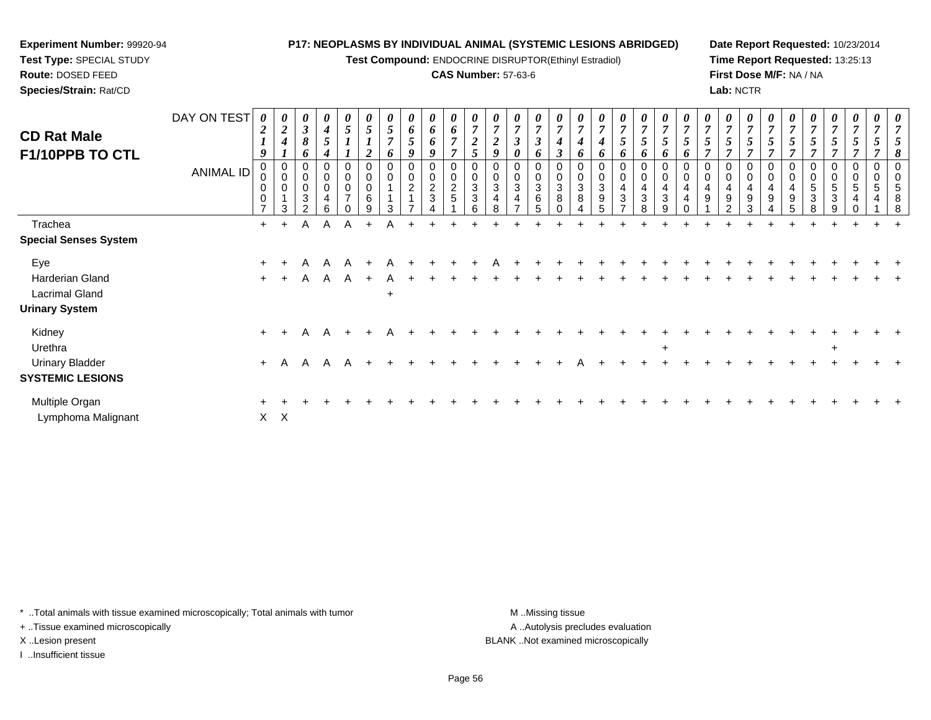**Test Compound:** ENDOCRINE DISRUPTOR(Ethinyl Estradiol)

#### **CAS Number:** 57-63-6

**Date Report Requested:** 10/23/2014**Time Report Requested:** 13:25:13**First Dose M/F:** NA / NA**Lab:** NCTR

| <b>CD Rat Male</b><br>F1/10PPB TO CTL | DAY ON TEST<br><b>ANIMAL ID</b> | $\boldsymbol{\theta}$<br>$\overline{2}$<br>9<br>$\mathbf 0$<br>0<br>0<br>$\Omega$ | 0<br>$\boldsymbol{2}$<br>$\overline{\boldsymbol{4}}$<br>$\mathbf{I}$<br>$\pmb{0}$<br>$\mathbf 0$<br>0<br>3 | 0<br>$\mathbf{3}$<br>$\boldsymbol{\delta}$<br>6<br>0<br>0<br>0<br>3<br>ົ | 0<br>$\boldsymbol{4}$<br>5<br>0<br>0<br>$\,0\,$<br>4<br>6 | 0<br>5<br>$\pmb{0}$<br>$\pmb{0}$<br>$\pmb{0}$<br>$\overline{7}$<br>$\Omega$ | 5<br>$\boldsymbol{2}$<br>0<br>0<br>0<br>$\,6$<br>9 | U<br>$\sqrt{5}$<br>$\overline{ }$<br>$\bm{o}$<br>0<br>3 | $\boldsymbol{\theta}$<br>6<br>$\mathfrak{s}$<br>9<br>0<br>$\mathbf 0$<br>$\overline{\mathbf{c}}$<br>$\overline{A}$ | 0<br>6<br>6<br>9<br>$\mathbf 0$<br>0<br>$\frac{2}{3}$ | 0<br>6<br>$\overline{7}$<br>$\overline{7}$<br>$\pmb{0}$<br>$\pmb{0}$<br>$\frac{2}{5}$ | U<br><u>ีว</u><br>5<br>$\Omega$<br>0<br>3<br>3<br>6 | $\overline{7}$<br>$\overline{2}$<br>9<br>0<br>$\mathbf 0$<br>3 | $\boldsymbol{\theta}$<br>$\overline{7}$<br>$\boldsymbol{\beta}$<br>0<br>0<br>$\pmb{0}$<br>3<br>4 | 0<br>$\overline{7}$<br>3<br>6<br>$\mathbf 0$<br>0<br>3<br>6<br>5 | 0<br>$\overline{7}$<br>3<br>0<br>0<br>3<br>8 | o<br>3<br>8 | $\overline{7}$<br>$\bm{o}$<br>0<br>$\mathbf 0$<br>$\mathbf{3}$<br>9 | $\boldsymbol{\theta}$<br>$\overline{7}$<br>5<br>o<br>0<br>0<br>4<br>3 | 0<br>$\overline{7}$<br>5<br>6<br>0<br>$\mathbf 0$<br>4<br>3<br>8 | 0<br>$\overline{7}$<br>5<br>6<br>$\mathbf 0$<br>0<br>4<br>3<br>$\mathbf{Q}$ | o<br>4 | $\overline{7}$<br>$\Omega$<br>$\Omega$<br>4<br>9 | $\boldsymbol{\theta}$<br>$\overline{7}$<br>5<br>0<br>0<br>4<br>9<br>ົ | 0<br>$\overline{7}$<br>5<br>7<br>$\Omega$<br>4<br>9<br>3 | $\theta$<br>$\overline{\tau}$<br>0<br>$\mathbf 0$<br>4<br>9 | 4<br>9<br>5 | 5<br>0<br>$\mathbf 0$<br>5<br>3 | $\boldsymbol{\theta}$<br>5<br>0<br>0<br>5<br>3<br>9 | $\boldsymbol{\theta}$<br>$\boldsymbol{7}$<br>$\sqrt{5}$<br>0<br>$\mathbf 0$<br>5 | 0<br>$\overline{7}$<br>0<br>0<br>5 |  |
|---------------------------------------|---------------------------------|-----------------------------------------------------------------------------------|------------------------------------------------------------------------------------------------------------|--------------------------------------------------------------------------|-----------------------------------------------------------|-----------------------------------------------------------------------------|----------------------------------------------------|---------------------------------------------------------|--------------------------------------------------------------------------------------------------------------------|-------------------------------------------------------|---------------------------------------------------------------------------------------|-----------------------------------------------------|----------------------------------------------------------------|--------------------------------------------------------------------------------------------------|------------------------------------------------------------------|----------------------------------------------|-------------|---------------------------------------------------------------------|-----------------------------------------------------------------------|------------------------------------------------------------------|-----------------------------------------------------------------------------|--------|--------------------------------------------------|-----------------------------------------------------------------------|----------------------------------------------------------|-------------------------------------------------------------|-------------|---------------------------------|-----------------------------------------------------|----------------------------------------------------------------------------------|------------------------------------|--|
| Trachea                               |                                 | $+$                                                                               | $+$                                                                                                        | A                                                                        | A                                                         | A                                                                           | $+$                                                | A                                                       |                                                                                                                    |                                                       |                                                                                       |                                                     |                                                                |                                                                                                  |                                                                  |                                              |             |                                                                     |                                                                       |                                                                  |                                                                             |        |                                                  |                                                                       |                                                          |                                                             |             |                                 |                                                     |                                                                                  |                                    |  |
| <b>Special Senses System</b>          |                                 |                                                                                   |                                                                                                            |                                                                          |                                                           |                                                                             |                                                    |                                                         |                                                                                                                    |                                                       |                                                                                       |                                                     |                                                                |                                                                                                  |                                                                  |                                              |             |                                                                     |                                                                       |                                                                  |                                                                             |        |                                                  |                                                                       |                                                          |                                                             |             |                                 |                                                     |                                                                                  |                                    |  |
| Eye                                   |                                 | $+$                                                                               |                                                                                                            | A                                                                        | A                                                         | A                                                                           |                                                    | A                                                       |                                                                                                                    |                                                       |                                                                                       |                                                     |                                                                |                                                                                                  |                                                                  |                                              |             |                                                                     |                                                                       |                                                                  |                                                                             |        |                                                  |                                                                       |                                                          |                                                             |             |                                 |                                                     |                                                                                  |                                    |  |
| Harderian Gland                       |                                 | $+$                                                                               | $+$                                                                                                        | A                                                                        | $\mathsf{A}$                                              | A                                                                           | $+$                                                | A                                                       |                                                                                                                    |                                                       |                                                                                       |                                                     |                                                                |                                                                                                  |                                                                  |                                              |             |                                                                     |                                                                       |                                                                  |                                                                             |        |                                                  |                                                                       |                                                          |                                                             |             |                                 |                                                     |                                                                                  |                                    |  |
| <b>Lacrimal Gland</b>                 |                                 |                                                                                   |                                                                                                            |                                                                          |                                                           |                                                                             |                                                    | $\ddot{}$                                               |                                                                                                                    |                                                       |                                                                                       |                                                     |                                                                |                                                                                                  |                                                                  |                                              |             |                                                                     |                                                                       |                                                                  |                                                                             |        |                                                  |                                                                       |                                                          |                                                             |             |                                 |                                                     |                                                                                  |                                    |  |
| <b>Urinary System</b>                 |                                 |                                                                                   |                                                                                                            |                                                                          |                                                           |                                                                             |                                                    |                                                         |                                                                                                                    |                                                       |                                                                                       |                                                     |                                                                |                                                                                                  |                                                                  |                                              |             |                                                                     |                                                                       |                                                                  |                                                                             |        |                                                  |                                                                       |                                                          |                                                             |             |                                 |                                                     |                                                                                  |                                    |  |
| Kidney                                |                                 | $+$                                                                               |                                                                                                            | A                                                                        |                                                           |                                                                             |                                                    |                                                         |                                                                                                                    |                                                       |                                                                                       |                                                     |                                                                |                                                                                                  |                                                                  |                                              |             |                                                                     |                                                                       |                                                                  |                                                                             |        |                                                  |                                                                       |                                                          |                                                             |             |                                 |                                                     |                                                                                  |                                    |  |
| Urethra                               |                                 |                                                                                   |                                                                                                            |                                                                          |                                                           |                                                                             |                                                    |                                                         |                                                                                                                    |                                                       |                                                                                       |                                                     |                                                                |                                                                                                  |                                                                  |                                              |             |                                                                     |                                                                       |                                                                  | $\ddot{}$                                                                   |        |                                                  |                                                                       |                                                          |                                                             |             |                                 | $\ddot{}$                                           |                                                                                  |                                    |  |
| <b>Urinary Bladder</b>                |                                 | $+$                                                                               | Α                                                                                                          | Α                                                                        | $\mathsf{A}$                                              | A                                                                           |                                                    |                                                         |                                                                                                                    |                                                       |                                                                                       |                                                     |                                                                |                                                                                                  |                                                                  |                                              |             |                                                                     |                                                                       |                                                                  |                                                                             |        |                                                  |                                                                       |                                                          |                                                             |             |                                 |                                                     |                                                                                  |                                    |  |
| <b>SYSTEMIC LESIONS</b>               |                                 |                                                                                   |                                                                                                            |                                                                          |                                                           |                                                                             |                                                    |                                                         |                                                                                                                    |                                                       |                                                                                       |                                                     |                                                                |                                                                                                  |                                                                  |                                              |             |                                                                     |                                                                       |                                                                  |                                                                             |        |                                                  |                                                                       |                                                          |                                                             |             |                                 |                                                     |                                                                                  |                                    |  |
| Multiple Organ                        |                                 |                                                                                   |                                                                                                            |                                                                          |                                                           |                                                                             |                                                    |                                                         |                                                                                                                    |                                                       |                                                                                       |                                                     |                                                                |                                                                                                  |                                                                  |                                              |             |                                                                     |                                                                       |                                                                  |                                                                             |        |                                                  |                                                                       |                                                          |                                                             |             |                                 |                                                     |                                                                                  |                                    |  |
| Lymphoma Malignant                    |                                 |                                                                                   | $X$ $X$                                                                                                    |                                                                          |                                                           |                                                                             |                                                    |                                                         |                                                                                                                    |                                                       |                                                                                       |                                                     |                                                                |                                                                                                  |                                                                  |                                              |             |                                                                     |                                                                       |                                                                  |                                                                             |        |                                                  |                                                                       |                                                          |                                                             |             |                                 |                                                     |                                                                                  |                                    |  |
|                                       |                                 |                                                                                   |                                                                                                            |                                                                          |                                                           |                                                                             |                                                    |                                                         |                                                                                                                    |                                                       |                                                                                       |                                                     |                                                                |                                                                                                  |                                                                  |                                              |             |                                                                     |                                                                       |                                                                  |                                                                             |        |                                                  |                                                                       |                                                          |                                                             |             |                                 |                                                     |                                                                                  |                                    |  |

\* ..Total animals with tissue examined microscopically; Total animals with tumor **M** . Missing tissue M ..Missing tissue

+ ..Tissue examined microscopically

**Experiment Number:** 99920-94**Test Type:** SPECIAL STUDY**Route:** DOSED FEED**Species/Strain:** Rat/CD

I ..Insufficient tissue

A ..Autolysis precludes evaluation

X ..Lesion present BLANK ..Not examined microscopically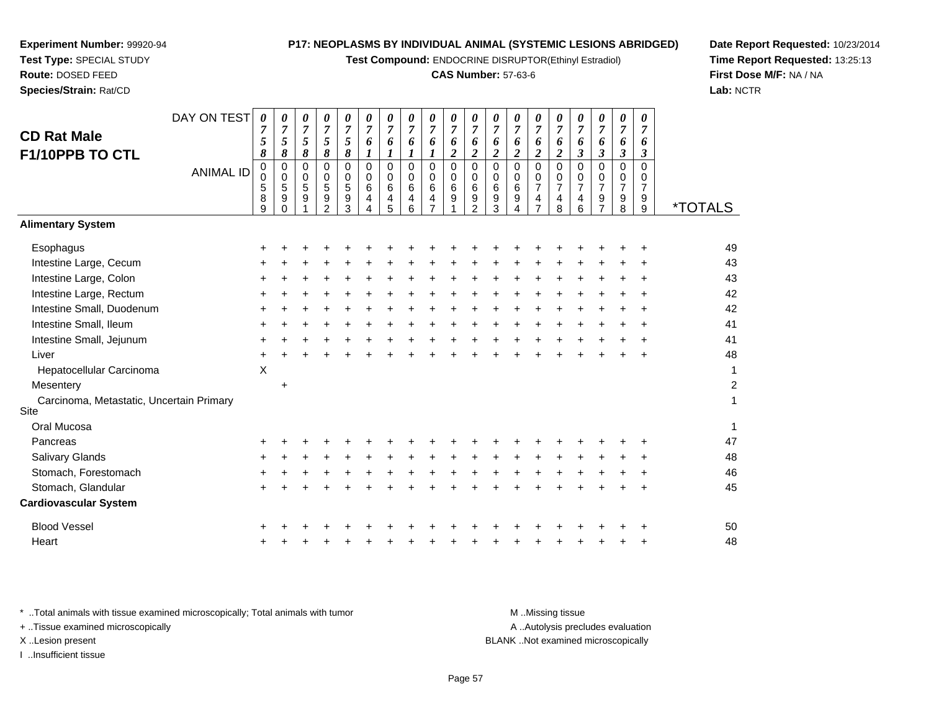**Test Compound:** ENDOCRINE DISRUPTOR(Ethinyl Estradiol)

#### **CAS Number:** 57-63-6

*07*

**Date Report Requested:** 10/23/2014**Time Report Requested:** 13:25:13**First Dose M/F:** NA / NA**Lab:** NCTR

1

| <b>CD Rat Male</b><br>F1/10PPB TO CTL            | DAY ON TEST      | 0<br>5<br>8                         | 0<br>$\overline{7}$<br>5<br>8 | 0<br>$\overline{7}$<br>5<br>$\pmb{8}$ | 0<br>7<br>5<br>$\pmb{8}$                                              | 0<br>$\overline{7}$<br>5<br>8                   | 0<br>$\overline{7}$<br>6<br>$\boldsymbol{l}$ | 0<br>$\overline{7}$<br>6<br>$\boldsymbol{l}$ | 0<br>7<br>6<br>$\boldsymbol{l}$            | 0<br>$\overline{7}$<br>6<br>$\boldsymbol{l}$                             | 0<br>$\overline{7}$<br>6<br>$\boldsymbol{2}$ | 0<br>$\overline{7}$<br>6<br>$\boldsymbol{2}$ | 0<br>$\overline{7}$<br>6<br>$\boldsymbol{2}$ | 0<br>$\overline{7}$<br>6<br>$\overline{\mathbf{c}}$ | 0<br>$\overline{7}$<br>6<br>$\overline{c}$                                      | 0<br>7<br>6<br>$\boldsymbol{2}$                                           | 0<br>$\overline{7}$<br>6<br>$\boldsymbol{\beta}$ | 0<br>$\overline{7}$<br>6<br>3                             | 0<br>7<br>6<br>$\boldsymbol{\beta}$          | 0<br>$\overline{7}$<br>6<br>3                             |                       |
|--------------------------------------------------|------------------|-------------------------------------|-------------------------------|---------------------------------------|-----------------------------------------------------------------------|-------------------------------------------------|----------------------------------------------|----------------------------------------------|--------------------------------------------|--------------------------------------------------------------------------|----------------------------------------------|----------------------------------------------|----------------------------------------------|-----------------------------------------------------|---------------------------------------------------------------------------------|---------------------------------------------------------------------------|--------------------------------------------------|-----------------------------------------------------------|----------------------------------------------|-----------------------------------------------------------|-----------------------|
|                                                  | <b>ANIMAL ID</b> | $\pmb{0}$<br>0<br>5<br>$\bf 8$<br>9 | 0<br>0<br>5<br>9<br>0         | $\mathbf 0$<br>0<br>5<br>9            | $\mathbf 0$<br>$\mathbf 0$<br>5<br>$\boldsymbol{9}$<br>$\overline{2}$ | $\Omega$<br>$\mathbf 0$<br>$\sqrt{5}$<br>9<br>3 | $\mathbf 0$<br>$\mathbf 0$<br>6<br>4<br>4    | 0<br>0<br>6<br>4<br>5                        | $\mathbf 0$<br>$\mathbf{0}$<br>6<br>4<br>6 | 0<br>$\mathbf 0$<br>$\,6\,$<br>$\overline{\mathbf{4}}$<br>$\overline{7}$ | $\mathbf 0$<br>$\mathbf 0$<br>6<br>9         | $\mathbf 0$<br>0<br>6<br>9<br>$\overline{2}$ | $\mathbf 0$<br>$\mathbf 0$<br>6<br>9<br>3    | $\mathbf 0$<br>0<br>6<br>9<br>4                     | 0<br>$\mathbf 0$<br>$\overline{7}$<br>$\overline{\mathbf{4}}$<br>$\overline{7}$ | $\Omega$<br>$\mathbf 0$<br>$\overline{7}$<br>$\overline{\mathbf{4}}$<br>8 | $\mathbf 0$<br>$\mathbf 0$<br>7<br>4<br>6        | $\mathbf 0$<br>0<br>$\overline{7}$<br>9<br>$\overline{7}$ | $\mathbf 0$<br>0<br>7<br>9<br>$\overline{8}$ | $\mathbf 0$<br>0<br>$\overline{7}$<br>9<br>$\overline{9}$ | <i><b>*TOTALS</b></i> |
| <b>Alimentary System</b>                         |                  |                                     |                               |                                       |                                                                       |                                                 |                                              |                                              |                                            |                                                                          |                                              |                                              |                                              |                                                     |                                                                                 |                                                                           |                                                  |                                                           |                                              |                                                           |                       |
| Esophagus                                        |                  | +                                   |                               |                                       |                                                                       |                                                 |                                              |                                              |                                            |                                                                          |                                              |                                              |                                              |                                                     |                                                                                 |                                                                           |                                                  |                                                           |                                              | +                                                         | 49                    |
| Intestine Large, Cecum                           |                  |                                     |                               |                                       |                                                                       |                                                 |                                              |                                              |                                            |                                                                          |                                              |                                              |                                              |                                                     |                                                                                 |                                                                           |                                                  |                                                           |                                              | +                                                         | 43                    |
| Intestine Large, Colon                           |                  | ٠                                   |                               |                                       |                                                                       |                                                 |                                              |                                              |                                            |                                                                          |                                              |                                              |                                              |                                                     |                                                                                 |                                                                           |                                                  |                                                           |                                              | ٠                                                         | 43                    |
| Intestine Large, Rectum                          |                  | +                                   |                               |                                       |                                                                       |                                                 |                                              |                                              |                                            | +                                                                        |                                              |                                              |                                              |                                                     | ÷                                                                               |                                                                           |                                                  |                                                           |                                              | +                                                         | 42                    |
| Intestine Small, Duodenum                        |                  | ٠                                   |                               |                                       |                                                                       |                                                 |                                              |                                              |                                            |                                                                          |                                              |                                              |                                              |                                                     |                                                                                 |                                                                           |                                                  |                                                           |                                              | $\ddot{}$                                                 | 42                    |
| Intestine Small, Ileum                           |                  | +                                   |                               |                                       |                                                                       |                                                 |                                              |                                              |                                            |                                                                          |                                              |                                              |                                              |                                                     | +                                                                               |                                                                           |                                                  |                                                           | +                                            | ÷                                                         | 41                    |
| Intestine Small, Jejunum                         |                  | $\ddot{}$                           |                               |                                       |                                                                       |                                                 |                                              |                                              |                                            |                                                                          |                                              |                                              |                                              |                                                     |                                                                                 |                                                                           |                                                  |                                                           |                                              | +                                                         | 41                    |
| Liver                                            |                  | +                                   |                               |                                       |                                                                       |                                                 |                                              |                                              |                                            |                                                                          |                                              |                                              |                                              |                                                     |                                                                                 |                                                                           |                                                  |                                                           |                                              |                                                           | 48                    |
| Hepatocellular Carcinoma                         |                  | X                                   |                               |                                       |                                                                       |                                                 |                                              |                                              |                                            |                                                                          |                                              |                                              |                                              |                                                     |                                                                                 |                                                                           |                                                  |                                                           |                                              |                                                           | $\mathbf 1$           |
| Mesentery                                        |                  |                                     | $\ddot{}$                     |                                       |                                                                       |                                                 |                                              |                                              |                                            |                                                                          |                                              |                                              |                                              |                                                     |                                                                                 |                                                                           |                                                  |                                                           |                                              |                                                           | $\overline{a}$        |
| Carcinoma, Metastatic, Uncertain Primary<br>Site |                  |                                     |                               |                                       |                                                                       |                                                 |                                              |                                              |                                            |                                                                          |                                              |                                              |                                              |                                                     |                                                                                 |                                                                           |                                                  |                                                           |                                              |                                                           | $\mathbf 1$           |
| Oral Mucosa                                      |                  |                                     |                               |                                       |                                                                       |                                                 |                                              |                                              |                                            |                                                                          |                                              |                                              |                                              |                                                     |                                                                                 |                                                                           |                                                  |                                                           |                                              |                                                           | $\mathbf 1$           |
| Pancreas                                         |                  | +                                   |                               |                                       |                                                                       |                                                 |                                              |                                              |                                            |                                                                          |                                              |                                              |                                              |                                                     |                                                                                 |                                                                           |                                                  |                                                           |                                              | +                                                         | 47                    |
| <b>Salivary Glands</b>                           |                  |                                     |                               |                                       |                                                                       |                                                 |                                              |                                              |                                            |                                                                          |                                              |                                              |                                              |                                                     |                                                                                 |                                                                           |                                                  |                                                           |                                              | +                                                         | 48                    |
| Stomach, Forestomach                             |                  |                                     |                               |                                       |                                                                       |                                                 |                                              |                                              |                                            |                                                                          |                                              |                                              |                                              |                                                     |                                                                                 |                                                                           |                                                  |                                                           |                                              |                                                           | 46                    |
| Stomach, Glandular                               |                  | ٠                                   |                               |                                       |                                                                       |                                                 |                                              |                                              |                                            |                                                                          |                                              |                                              |                                              |                                                     |                                                                                 |                                                                           |                                                  |                                                           |                                              | ٠                                                         | 45                    |
| <b>Cardiovascular System</b>                     |                  |                                     |                               |                                       |                                                                       |                                                 |                                              |                                              |                                            |                                                                          |                                              |                                              |                                              |                                                     |                                                                                 |                                                                           |                                                  |                                                           |                                              |                                                           |                       |
| <b>Blood Vessel</b>                              |                  | +                                   |                               |                                       |                                                                       |                                                 |                                              |                                              |                                            |                                                                          |                                              |                                              |                                              |                                                     |                                                                                 |                                                                           |                                                  |                                                           |                                              | $\ddot{}$                                                 | 50                    |
| Heart                                            |                  |                                     |                               |                                       |                                                                       |                                                 |                                              |                                              |                                            |                                                                          |                                              |                                              |                                              |                                                     |                                                                                 |                                                                           |                                                  |                                                           |                                              |                                                           | 48                    |
|                                                  |                  |                                     |                               |                                       |                                                                       |                                                 |                                              |                                              |                                            |                                                                          |                                              |                                              |                                              |                                                     |                                                                                 |                                                                           |                                                  |                                                           |                                              |                                                           |                       |
|                                                  |                  |                                     |                               |                                       |                                                                       |                                                 |                                              |                                              |                                            |                                                                          |                                              |                                              |                                              |                                                     |                                                                                 |                                                                           |                                                  |                                                           |                                              |                                                           |                       |

**Experiment Number:** 99920-94**Test Type:** SPECIAL STUDY**Route:** DOSED FEED**Species/Strain:** Rat/CD

DAY ON TEST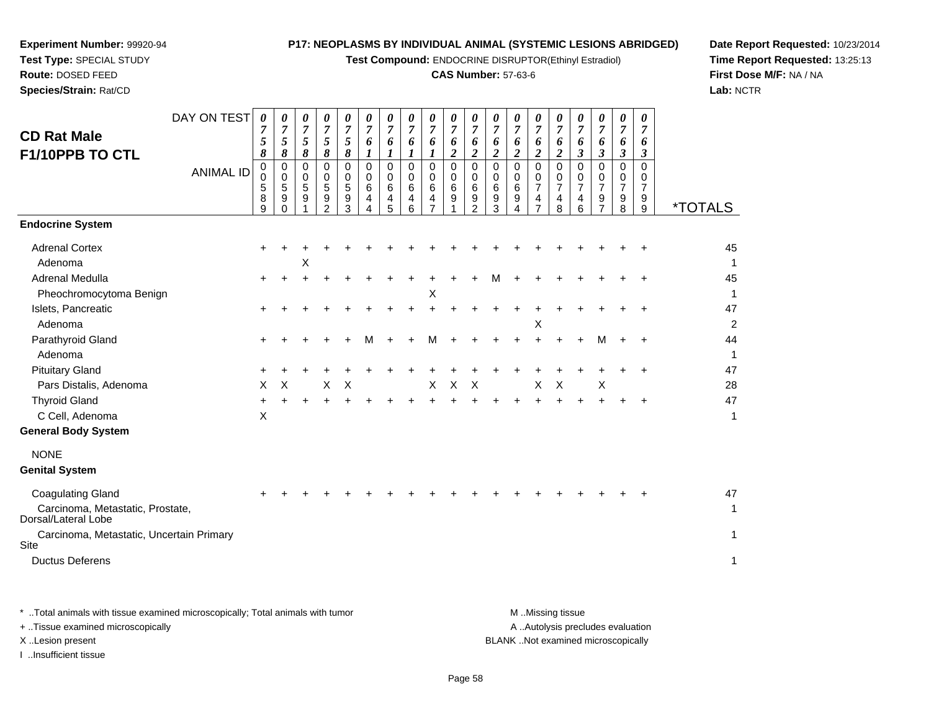**Test Compound:** ENDOCRINE DISRUPTOR(Ethinyl Estradiol)

#### **CAS Number:** 57-63-6

**Date Report Requested:** 10/23/2014**Time Report Requested:** 13:25:13**First Dose M/F:** NA / NA**Lab:** NCTR

| <b>CD Rat Male</b><br>F1/10PPB TO CTL                    | DAY ON TEST<br><b>ANIMAL ID</b> | 0<br>7<br>5<br>8<br>0<br>0<br>5<br>8<br>9 | 0<br>$\overline{7}$<br>5<br>8<br>0<br>$\mathbf 0$<br>5<br>9<br>$\Omega$ | 0<br>$\overline{7}$<br>5<br>8<br>0<br>0<br>5<br>9 | 0<br>$\overline{7}$<br>5<br>8<br>0<br>0<br>5<br>9<br>$\overline{2}$ | 0<br>7<br>5<br>8<br>0<br>0<br>5<br>9<br>3 | 0<br>7<br>6<br>$\Omega$<br>$\Omega$<br>6<br>4<br>4 | 0<br>$\overline{7}$<br>6<br>$\Omega$<br>$\Omega$<br>6<br>4<br>5 | 0<br>$\overline{7}$<br>6<br>$\mathbf 0$<br>0<br>6<br>$\overline{4}$<br>6 | 0<br>$\overline{7}$<br>6<br>$\mathbf 0$<br>0<br>6<br>4<br>$\overline{7}$ | 0<br>$\overline{7}$<br>6<br>$\boldsymbol{2}$<br>$\mathbf 0$<br>$\mathbf 0$<br>6<br>9 | $\boldsymbol{\theta}$<br>$\overline{7}$<br>6<br>$\boldsymbol{2}$<br>$\mathbf 0$<br>0<br>6<br>9<br>$\overline{2}$ | 0<br>$\overline{7}$<br>6<br>2<br>0<br>0<br>6<br>9<br>3 | $\boldsymbol{\theta}$<br>7<br>6<br>$\boldsymbol{2}$<br>0<br>0<br>6<br>9<br>4 | 0<br>$\overline{7}$<br>6<br>$\boldsymbol{2}$<br>$\mathbf 0$<br>0<br>$\overline{7}$<br>4<br>$\overline{7}$ | 0<br>7<br>6<br>$\overline{c}$<br>0<br>0<br>$\overline{7}$<br>4<br>8 | 0<br>$\overline{7}$<br>6<br>3<br>$\Omega$<br>0<br>$\overline{7}$<br>4<br>6 | 0<br>$\overline{7}$<br>6<br>3<br>$\mathbf 0$<br>0<br>$\overline{7}$<br>9<br>$\overline{7}$ | 0<br>$\overline{7}$<br>6<br>3<br>0<br>0<br>$\overline{7}$<br>9<br>8 | 0<br>7<br>6<br>3<br>0<br>0<br>$\overline{7}$<br>9<br>9 | <i><b>*TOTALS</b></i>                |
|----------------------------------------------------------|---------------------------------|-------------------------------------------|-------------------------------------------------------------------------|---------------------------------------------------|---------------------------------------------------------------------|-------------------------------------------|----------------------------------------------------|-----------------------------------------------------------------|--------------------------------------------------------------------------|--------------------------------------------------------------------------|--------------------------------------------------------------------------------------|------------------------------------------------------------------------------------------------------------------|--------------------------------------------------------|------------------------------------------------------------------------------|-----------------------------------------------------------------------------------------------------------|---------------------------------------------------------------------|----------------------------------------------------------------------------|--------------------------------------------------------------------------------------------|---------------------------------------------------------------------|--------------------------------------------------------|--------------------------------------|
| <b>Endocrine System</b>                                  |                                 |                                           |                                                                         |                                                   |                                                                     |                                           |                                                    |                                                                 |                                                                          |                                                                          |                                                                                      |                                                                                                                  |                                                        |                                                                              |                                                                                                           |                                                                     |                                                                            |                                                                                            |                                                                     |                                                        |                                      |
| <b>Adrenal Cortex</b><br>Adenoma                         |                                 | +                                         |                                                                         | X                                                 |                                                                     |                                           |                                                    |                                                                 |                                                                          |                                                                          |                                                                                      |                                                                                                                  |                                                        |                                                                              |                                                                                                           |                                                                     |                                                                            |                                                                                            |                                                                     |                                                        | 45<br>$\mathbf{1}$                   |
| Adrenal Medulla                                          |                                 | ÷                                         |                                                                         |                                                   |                                                                     |                                           |                                                    |                                                                 |                                                                          |                                                                          |                                                                                      |                                                                                                                  | м                                                      |                                                                              |                                                                                                           |                                                                     |                                                                            |                                                                                            |                                                                     |                                                        | 45                                   |
| Pheochromocytoma Benign<br>Islets, Pancreatic<br>Adenoma |                                 | +                                         |                                                                         |                                                   |                                                                     |                                           |                                                    |                                                                 |                                                                          | Χ                                                                        |                                                                                      |                                                                                                                  |                                                        |                                                                              | $\boldsymbol{\mathsf{X}}$                                                                                 |                                                                     |                                                                            |                                                                                            |                                                                     |                                                        | $\mathbf{1}$<br>47<br>$\overline{c}$ |
| Parathyroid Gland<br>Adenoma                             |                                 | +                                         |                                                                         |                                                   |                                                                     |                                           |                                                    |                                                                 |                                                                          |                                                                          |                                                                                      |                                                                                                                  |                                                        |                                                                              |                                                                                                           |                                                                     |                                                                            | м                                                                                          |                                                                     |                                                        | 44<br>$\mathbf{1}$                   |
| <b>Pituitary Gland</b>                                   |                                 |                                           |                                                                         |                                                   |                                                                     |                                           |                                                    |                                                                 |                                                                          |                                                                          |                                                                                      |                                                                                                                  |                                                        |                                                                              |                                                                                                           |                                                                     |                                                                            |                                                                                            |                                                                     |                                                        | 47                                   |
| Pars Distalis, Adenoma                                   |                                 | X                                         | X                                                                       |                                                   | X                                                                   | X                                         |                                                    |                                                                 |                                                                          | X                                                                        | $\pmb{\times}$                                                                       | X                                                                                                                |                                                        |                                                                              | X                                                                                                         | $\mathsf X$                                                         |                                                                            | $\boldsymbol{\mathsf{X}}$                                                                  |                                                                     |                                                        | 28                                   |
| <b>Thyroid Gland</b>                                     |                                 | +                                         |                                                                         |                                                   |                                                                     |                                           |                                                    |                                                                 |                                                                          |                                                                          |                                                                                      |                                                                                                                  |                                                        |                                                                              |                                                                                                           |                                                                     |                                                                            |                                                                                            |                                                                     |                                                        | 47                                   |
| C Cell, Adenoma<br><b>General Body System</b>            |                                 | X                                         |                                                                         |                                                   |                                                                     |                                           |                                                    |                                                                 |                                                                          |                                                                          |                                                                                      |                                                                                                                  |                                                        |                                                                              |                                                                                                           |                                                                     |                                                                            |                                                                                            |                                                                     |                                                        | $\mathbf{1}$                         |
| <b>NONE</b><br><b>Genital System</b>                     |                                 |                                           |                                                                         |                                                   |                                                                     |                                           |                                                    |                                                                 |                                                                          |                                                                          |                                                                                      |                                                                                                                  |                                                        |                                                                              |                                                                                                           |                                                                     |                                                                            |                                                                                            |                                                                     |                                                        |                                      |
| <b>Coagulating Gland</b>                                 |                                 |                                           |                                                                         |                                                   |                                                                     |                                           |                                                    |                                                                 |                                                                          |                                                                          |                                                                                      |                                                                                                                  |                                                        |                                                                              |                                                                                                           |                                                                     |                                                                            |                                                                                            |                                                                     |                                                        | 47                                   |
| Carcinoma, Metastatic, Prostate,<br>Dorsal/Lateral Lobe  |                                 |                                           |                                                                         |                                                   |                                                                     |                                           |                                                    |                                                                 |                                                                          |                                                                          |                                                                                      |                                                                                                                  |                                                        |                                                                              |                                                                                                           |                                                                     |                                                                            |                                                                                            |                                                                     |                                                        | $\mathbf{1}$                         |
| Carcinoma, Metastatic, Uncertain Primary<br>Site         |                                 |                                           |                                                                         |                                                   |                                                                     |                                           |                                                    |                                                                 |                                                                          |                                                                          |                                                                                      |                                                                                                                  |                                                        |                                                                              |                                                                                                           |                                                                     |                                                                            |                                                                                            |                                                                     |                                                        | $\mathbf{1}$                         |
| <b>Ductus Deferens</b>                                   |                                 |                                           |                                                                         |                                                   |                                                                     |                                           |                                                    |                                                                 |                                                                          |                                                                          |                                                                                      |                                                                                                                  |                                                        |                                                                              |                                                                                                           |                                                                     |                                                                            |                                                                                            |                                                                     |                                                        | $\mathbf{1}$                         |
|                                                          |                                 |                                           |                                                                         |                                                   |                                                                     |                                           |                                                    |                                                                 |                                                                          |                                                                          |                                                                                      |                                                                                                                  |                                                        |                                                                              |                                                                                                           |                                                                     |                                                                            |                                                                                            |                                                                     |                                                        |                                      |

**Experiment Number:** 99920-94**Test Type:** SPECIAL STUDY**Route:** DOSED FEED**Species/Strain:** Rat/CD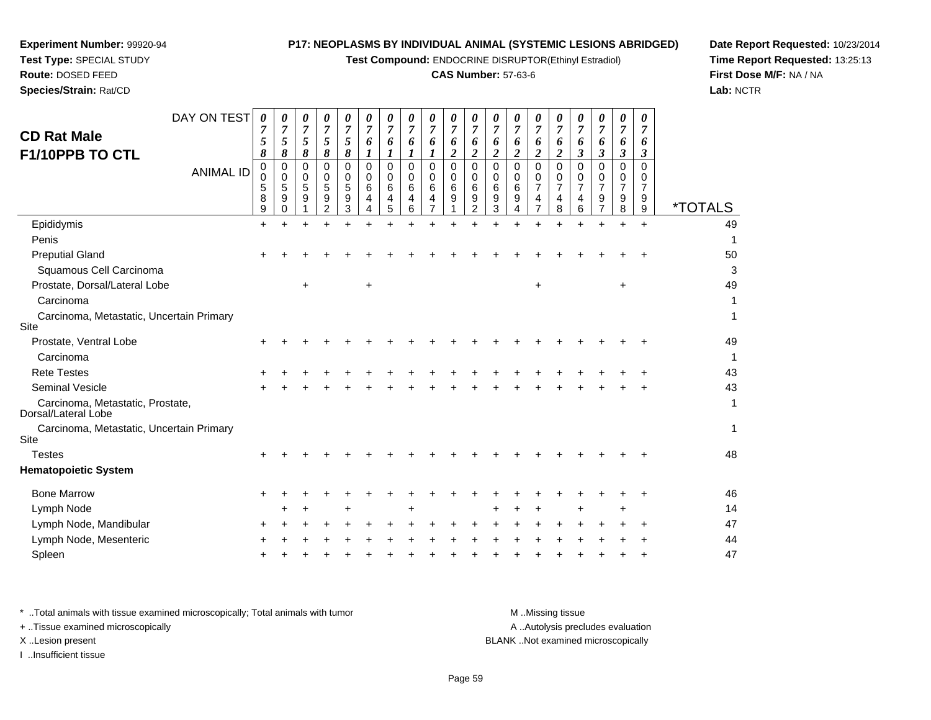**Test Compound:** ENDOCRINE DISRUPTOR(Ethinyl Estradiol)

#### **CAS Number:** 57-63-6

**Date Report Requested:** 10/23/2014**Time Report Requested:** 13:25:13**First Dose M/F:** NA / NA**Lab:** NCTR

**Experiment Number:** 99920-94

**Species/Strain:** Rat/CD

| <b>CD Rat Male</b><br>F1/10PPB TO CTL                   | DAY ON TEST<br><b>ANIMAL ID</b> | 0<br>7<br>5<br>8<br>0<br>0<br>5<br>8<br>9 | 0<br>$\overline{7}$<br>5<br>8<br>$\mathbf 0$<br>$\mathbf 0$<br>5<br>9<br>$\Omega$ | 0<br>$\overline{7}$<br>5<br>8<br>$\Omega$<br>0<br>5<br>9 | 0<br>$\overline{7}$<br>5<br>8<br>0<br>0<br>5<br>9<br>2 | 0<br>7<br>5<br>8<br>0<br>0<br>5<br>9<br>3 | 0<br>7<br>6<br>$\boldsymbol{I}$<br>$\Omega$<br>0<br>6<br>4<br>4 | 0<br>$\overline{7}$<br>6<br>$\boldsymbol{l}$<br>0<br>0<br>6<br>4<br>5 | 0<br>$\overline{7}$<br>6<br>1<br>$\Omega$<br>$\mathbf 0$<br>6<br>4<br>6 | 0<br>$\overline{7}$<br>6<br>1<br>0<br>$\mathbf 0$<br>6<br>4<br>$\overline{7}$ | 0<br>7<br>6<br>$\overline{\mathbf{c}}$<br>0<br>0<br>6<br>9 | 0<br>$\overline{7}$<br>6<br>$\boldsymbol{2}$<br>$\mathbf 0$<br>0<br>6<br>9<br>2 | 0<br>$\overline{7}$<br>6<br>$\boldsymbol{2}$<br>0<br>0<br>6<br>9<br>3 | 0<br>$\overline{7}$<br>6<br>$\boldsymbol{2}$<br>$\Omega$<br>0<br>6<br>9<br>4 | 0<br>$\overline{7}$<br>6<br>$\overline{c}$<br>$\Omega$<br>0<br>$\overline{7}$<br>4<br>7 | 0<br>7<br>6<br>$\overline{2}$<br>0<br>0<br>$\overline{7}$<br>4<br>8 | 0<br>$\overline{7}$<br>6<br>$\boldsymbol{\beta}$<br>$\Omega$<br>0<br>$\overline{7}$<br>4<br>6 | 0<br>7<br>6<br>$\boldsymbol{\beta}$<br>0<br>0<br>7<br>9<br>$\overline{7}$ | 0<br>$\overline{7}$<br>6<br>$\boldsymbol{\beta}$<br>$\Omega$<br>0<br>$\overline{7}$<br>9<br>8 | 0<br>$\overline{7}$<br>6<br>3<br>$\Omega$<br>0<br>$\overline{7}$<br>9<br>9 | <i><b>*TOTALS</b></i> |
|---------------------------------------------------------|---------------------------------|-------------------------------------------|-----------------------------------------------------------------------------------|----------------------------------------------------------|--------------------------------------------------------|-------------------------------------------|-----------------------------------------------------------------|-----------------------------------------------------------------------|-------------------------------------------------------------------------|-------------------------------------------------------------------------------|------------------------------------------------------------|---------------------------------------------------------------------------------|-----------------------------------------------------------------------|------------------------------------------------------------------------------|-----------------------------------------------------------------------------------------|---------------------------------------------------------------------|-----------------------------------------------------------------------------------------------|---------------------------------------------------------------------------|-----------------------------------------------------------------------------------------------|----------------------------------------------------------------------------|-----------------------|
| Epididymis                                              |                                 | $\ddot{}$                                 |                                                                                   |                                                          |                                                        |                                           |                                                                 |                                                                       |                                                                         |                                                                               |                                                            |                                                                                 |                                                                       |                                                                              |                                                                                         |                                                                     |                                                                                               |                                                                           |                                                                                               | $+$                                                                        | 49                    |
| Penis                                                   |                                 |                                           |                                                                                   |                                                          |                                                        |                                           |                                                                 |                                                                       |                                                                         |                                                                               |                                                            |                                                                                 |                                                                       |                                                                              |                                                                                         |                                                                     |                                                                                               |                                                                           |                                                                                               |                                                                            | 1                     |
| <b>Preputial Gland</b>                                  |                                 |                                           |                                                                                   |                                                          |                                                        |                                           |                                                                 |                                                                       |                                                                         |                                                                               |                                                            |                                                                                 |                                                                       |                                                                              |                                                                                         |                                                                     |                                                                                               |                                                                           |                                                                                               |                                                                            | 50                    |
| Squamous Cell Carcinoma                                 |                                 |                                           |                                                                                   |                                                          |                                                        |                                           |                                                                 |                                                                       |                                                                         |                                                                               |                                                            |                                                                                 |                                                                       |                                                                              |                                                                                         |                                                                     |                                                                                               |                                                                           |                                                                                               |                                                                            | 3                     |
| Prostate, Dorsal/Lateral Lobe                           |                                 |                                           |                                                                                   | $\ddot{}$                                                |                                                        |                                           | $\ddot{}$                                                       |                                                                       |                                                                         |                                                                               |                                                            |                                                                                 |                                                                       |                                                                              | +                                                                                       |                                                                     |                                                                                               |                                                                           | $\ddot{}$                                                                                     |                                                                            | 49                    |
| Carcinoma                                               |                                 |                                           |                                                                                   |                                                          |                                                        |                                           |                                                                 |                                                                       |                                                                         |                                                                               |                                                            |                                                                                 |                                                                       |                                                                              |                                                                                         |                                                                     |                                                                                               |                                                                           |                                                                                               |                                                                            | 1                     |
| Carcinoma, Metastatic, Uncertain Primary<br>Site        |                                 |                                           |                                                                                   |                                                          |                                                        |                                           |                                                                 |                                                                       |                                                                         |                                                                               |                                                            |                                                                                 |                                                                       |                                                                              |                                                                                         |                                                                     |                                                                                               |                                                                           |                                                                                               |                                                                            | 1                     |
| Prostate, Ventral Lobe                                  |                                 |                                           |                                                                                   |                                                          |                                                        |                                           |                                                                 |                                                                       |                                                                         |                                                                               |                                                            |                                                                                 |                                                                       |                                                                              |                                                                                         |                                                                     |                                                                                               |                                                                           |                                                                                               |                                                                            | 49                    |
| Carcinoma                                               |                                 |                                           |                                                                                   |                                                          |                                                        |                                           |                                                                 |                                                                       |                                                                         |                                                                               |                                                            |                                                                                 |                                                                       |                                                                              |                                                                                         |                                                                     |                                                                                               |                                                                           |                                                                                               |                                                                            | 1                     |
| <b>Rete Testes</b>                                      |                                 |                                           |                                                                                   |                                                          |                                                        |                                           |                                                                 |                                                                       |                                                                         |                                                                               |                                                            |                                                                                 |                                                                       |                                                                              |                                                                                         |                                                                     |                                                                                               |                                                                           |                                                                                               |                                                                            | 43                    |
| <b>Seminal Vesicle</b>                                  |                                 |                                           |                                                                                   |                                                          |                                                        |                                           |                                                                 |                                                                       |                                                                         |                                                                               |                                                            |                                                                                 |                                                                       |                                                                              |                                                                                         |                                                                     |                                                                                               |                                                                           |                                                                                               |                                                                            | 43                    |
| Carcinoma, Metastatic, Prostate,<br>Dorsal/Lateral Lobe |                                 |                                           |                                                                                   |                                                          |                                                        |                                           |                                                                 |                                                                       |                                                                         |                                                                               |                                                            |                                                                                 |                                                                       |                                                                              |                                                                                         |                                                                     |                                                                                               |                                                                           |                                                                                               |                                                                            | 1                     |
| Carcinoma, Metastatic, Uncertain Primary<br>Site        |                                 |                                           |                                                                                   |                                                          |                                                        |                                           |                                                                 |                                                                       |                                                                         |                                                                               |                                                            |                                                                                 |                                                                       |                                                                              |                                                                                         |                                                                     |                                                                                               |                                                                           |                                                                                               |                                                                            | 1                     |
| <b>Testes</b>                                           |                                 |                                           |                                                                                   |                                                          |                                                        |                                           |                                                                 |                                                                       |                                                                         |                                                                               |                                                            |                                                                                 |                                                                       |                                                                              |                                                                                         |                                                                     |                                                                                               |                                                                           |                                                                                               |                                                                            | 48                    |
| <b>Hematopoietic System</b>                             |                                 |                                           |                                                                                   |                                                          |                                                        |                                           |                                                                 |                                                                       |                                                                         |                                                                               |                                                            |                                                                                 |                                                                       |                                                                              |                                                                                         |                                                                     |                                                                                               |                                                                           |                                                                                               |                                                                            |                       |
| <b>Bone Marrow</b>                                      |                                 |                                           |                                                                                   |                                                          |                                                        |                                           |                                                                 |                                                                       |                                                                         |                                                                               |                                                            |                                                                                 |                                                                       |                                                                              |                                                                                         |                                                                     |                                                                                               |                                                                           |                                                                                               |                                                                            | 46                    |
| Lymph Node                                              |                                 |                                           |                                                                                   |                                                          |                                                        |                                           |                                                                 |                                                                       |                                                                         |                                                                               |                                                            |                                                                                 |                                                                       |                                                                              |                                                                                         |                                                                     |                                                                                               |                                                                           |                                                                                               |                                                                            | 14                    |
| Lymph Node, Mandibular                                  |                                 |                                           |                                                                                   |                                                          |                                                        |                                           |                                                                 |                                                                       |                                                                         |                                                                               |                                                            |                                                                                 |                                                                       |                                                                              |                                                                                         |                                                                     |                                                                                               |                                                                           |                                                                                               |                                                                            | 47                    |
| Lymph Node, Mesenteric                                  |                                 |                                           |                                                                                   |                                                          |                                                        |                                           |                                                                 |                                                                       |                                                                         |                                                                               |                                                            |                                                                                 |                                                                       |                                                                              |                                                                                         |                                                                     |                                                                                               |                                                                           |                                                                                               |                                                                            | 44                    |
| Spleen                                                  |                                 |                                           |                                                                                   |                                                          |                                                        |                                           |                                                                 |                                                                       |                                                                         |                                                                               |                                                            |                                                                                 |                                                                       |                                                                              |                                                                                         |                                                                     |                                                                                               |                                                                           |                                                                                               |                                                                            | 47                    |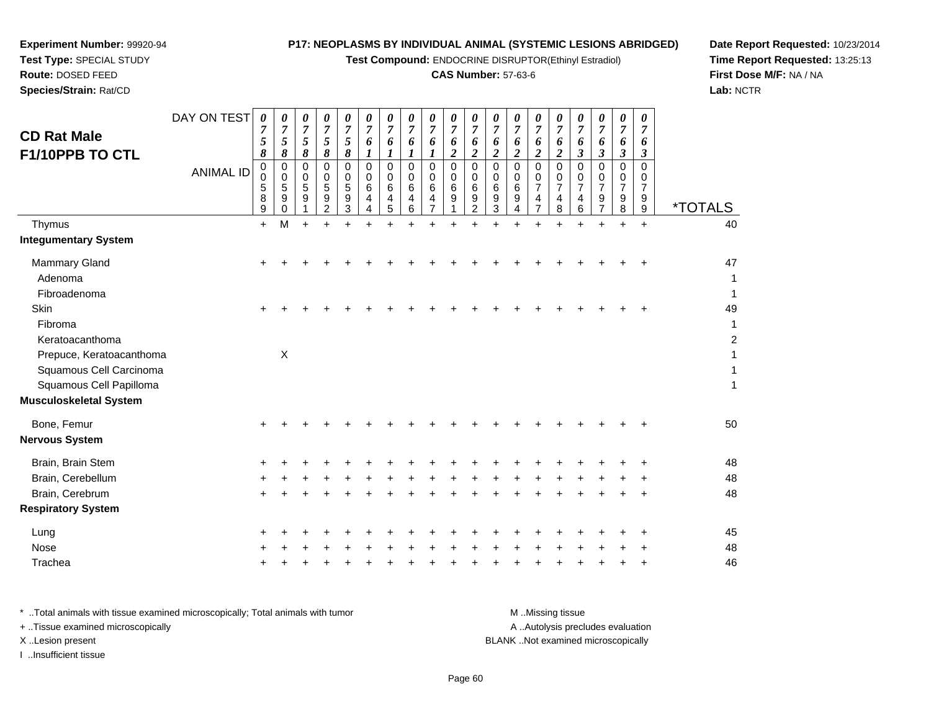**Test Compound:** ENDOCRINE DISRUPTOR(Ethinyl Estradiol)

#### **CAS Number:** 57-63-6

**Date Report Requested:** 10/23/2014**Time Report Requested:** 13:25:13**First Dose M/F:** NA / NA**Lab:** NCTR

| <b>CD Rat Male</b><br>F1/10PPB TO CTL<br>Thymus<br><b>Integumentary System</b> | DAY ON TEST<br><b>ANIMAL ID</b> | 0<br>7<br>5<br>8<br>$\pmb{0}$<br>$\mathbf 0$<br>5<br>8<br>9<br>$+$ | 0<br>$\boldsymbol{7}$<br>5<br>8<br>$\mathbf 0$<br>0<br>5<br>9<br>0<br>M | 0<br>$\boldsymbol{7}$<br>5<br>8<br>0<br>0<br>5<br>9<br>$+$ | 0<br>$\overline{7}$<br>5<br>8<br>0<br>0<br>5<br>9<br>$\overline{2}$ | 0<br>$\boldsymbol{7}$<br>5<br>8<br>$\Omega$<br>0<br>5<br>9<br>$\mathbf{3}$ | 0<br>$\overline{7}$<br>6<br>1<br>$\Omega$<br>$\Omega$<br>6<br>4<br>4 | 0<br>$\overline{7}$<br>6<br>1<br>$\Omega$<br>0<br>6<br>4<br>5 | 0<br>$\overline{7}$<br>6<br>1<br>$\Omega$<br>0<br>6<br>4<br>6 | 0<br>$\overline{7}$<br>6<br>1<br>$\Omega$<br>$\mathbf 0$<br>6<br>4<br>$\overline{7}$ | 0<br>$\overline{7}$<br>6<br>$\boldsymbol{2}$<br>$\overline{0}$<br>$\mathbf 0$<br>$6\phantom{1}6$<br>9 | 0<br>$\overline{7}$<br>6<br>2<br>0<br>0<br>6<br>9<br>$\overline{2}$ | 0<br>$\overline{7}$<br>6<br>2<br>$\Omega$<br>$\Omega$<br>6<br>9<br>3 | 0<br>$\overline{7}$<br>6<br>$\overline{2}$<br>$\mathbf 0$<br>0<br>6<br>9<br>4 | 0<br>$\overline{7}$<br>6<br>$\overline{\mathbf{c}}$<br>$\Omega$<br>0<br>$\overline{7}$<br>$\overline{4}$<br>$\overline{7}$ | 0<br>$\overline{7}$<br>6<br>$\boldsymbol{2}$<br>$\Omega$<br>0<br>$\overline{7}$<br>4<br>8 | 0<br>$\overline{7}$<br>6<br>3<br>$\Omega$<br>0<br>$\overline{7}$<br>4<br>6 | 0<br>$\overline{7}$<br>6<br>3<br>0<br>0<br>$\overline{7}$<br>9<br>$\overline{7}$ | 0<br>$\overline{7}$<br>6<br>$\boldsymbol{\beta}$<br>$\Omega$<br>0<br>$\overline{7}$<br>9<br>8 | 0<br>$\overline{7}$<br>6<br>$\boldsymbol{\beta}$<br>0<br>0<br>7<br>9<br>$9\,$<br>$+$ | <i><b>*TOTALS</b></i><br>40 |
|--------------------------------------------------------------------------------|---------------------------------|--------------------------------------------------------------------|-------------------------------------------------------------------------|------------------------------------------------------------|---------------------------------------------------------------------|----------------------------------------------------------------------------|----------------------------------------------------------------------|---------------------------------------------------------------|---------------------------------------------------------------|--------------------------------------------------------------------------------------|-------------------------------------------------------------------------------------------------------|---------------------------------------------------------------------|----------------------------------------------------------------------|-------------------------------------------------------------------------------|----------------------------------------------------------------------------------------------------------------------------|-------------------------------------------------------------------------------------------|----------------------------------------------------------------------------|----------------------------------------------------------------------------------|-----------------------------------------------------------------------------------------------|--------------------------------------------------------------------------------------|-----------------------------|
| <b>Mammary Gland</b><br>Adenoma<br>Fibroadenoma                                |                                 | ÷                                                                  |                                                                         |                                                            |                                                                     |                                                                            |                                                                      |                                                               |                                                               |                                                                                      |                                                                                                       |                                                                     |                                                                      |                                                                               |                                                                                                                            |                                                                                           |                                                                            |                                                                                  |                                                                                               | +                                                                                    | 47<br>1<br>1                |
| Skin<br>Fibroma<br>Keratoacanthoma<br>Prepuce, Keratoacanthoma                 |                                 | $\ddot{}$                                                          | $\mathsf{X}$                                                            |                                                            |                                                                     |                                                                            |                                                                      |                                                               |                                                               |                                                                                      |                                                                                                       |                                                                     |                                                                      |                                                                               |                                                                                                                            |                                                                                           |                                                                            |                                                                                  |                                                                                               | ÷                                                                                    | 49<br>1<br>$\overline{c}$   |
| Squamous Cell Carcinoma<br>Squamous Cell Papilloma<br>Musculoskeletal System   |                                 |                                                                    |                                                                         |                                                            |                                                                     |                                                                            |                                                                      |                                                               |                                                               |                                                                                      |                                                                                                       |                                                                     |                                                                      |                                                                               |                                                                                                                            |                                                                                           |                                                                            |                                                                                  |                                                                                               |                                                                                      | 1<br>1                      |
| Bone, Femur<br>Nervous System                                                  |                                 |                                                                    |                                                                         |                                                            |                                                                     |                                                                            |                                                                      |                                                               |                                                               |                                                                                      |                                                                                                       |                                                                     |                                                                      |                                                                               |                                                                                                                            |                                                                                           |                                                                            |                                                                                  |                                                                                               |                                                                                      | 50                          |
| Brain, Brain Stem<br>Brain, Cerebellum<br>Brain, Cerebrum                      |                                 | ÷<br>$\pm$                                                         |                                                                         |                                                            |                                                                     |                                                                            |                                                                      |                                                               |                                                               |                                                                                      |                                                                                                       |                                                                     |                                                                      |                                                                               |                                                                                                                            |                                                                                           |                                                                            |                                                                                  | ٠                                                                                             | +<br>+                                                                               | 48<br>48<br>48              |
| <b>Respiratory System</b>                                                      |                                 |                                                                    |                                                                         |                                                            |                                                                     |                                                                            |                                                                      |                                                               |                                                               |                                                                                      |                                                                                                       |                                                                     |                                                                      |                                                                               |                                                                                                                            |                                                                                           |                                                                            |                                                                                  |                                                                                               |                                                                                      |                             |
| Lung<br>Nose<br>Trachea                                                        |                                 | ÷<br>+                                                             |                                                                         |                                                            |                                                                     |                                                                            |                                                                      |                                                               |                                                               |                                                                                      |                                                                                                       |                                                                     |                                                                      |                                                                               |                                                                                                                            |                                                                                           |                                                                            |                                                                                  | ٠                                                                                             | ٠<br>+                                                                               | 45<br>48<br>46              |
|                                                                                |                                 |                                                                    |                                                                         |                                                            |                                                                     |                                                                            |                                                                      |                                                               |                                                               |                                                                                      |                                                                                                       |                                                                     |                                                                      |                                                                               |                                                                                                                            |                                                                                           |                                                                            |                                                                                  |                                                                                               |                                                                                      |                             |

**Experiment Number:** 99920-94**Test Type:** SPECIAL STUDY**Route:** DOSED FEED**Species/Strain:** Rat/CD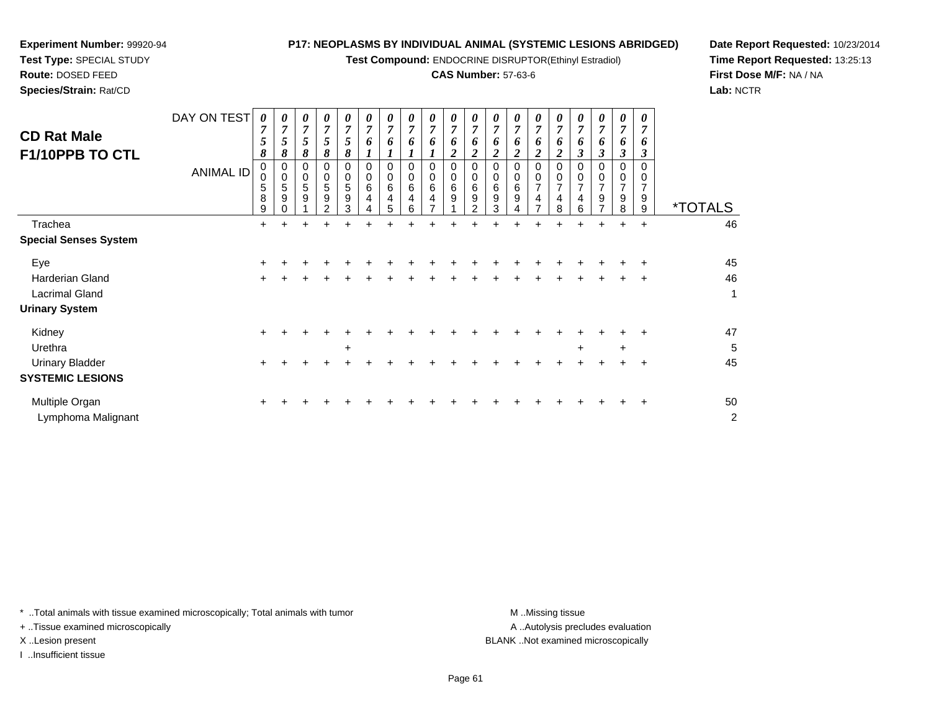**Test Compound:** ENDOCRINE DISRUPTOR(Ethinyl Estradiol)

#### **CAS Number:** 57-63-6

**Date Report Requested:** 10/23/2014**Time Report Requested:** 13:25:13**First Dose M/F:** NA / NA**Lab:** NCTR

| <b>CD Rat Male</b><br>F1/10PPB TO CTL | DAY ON TEST<br><b>ANIMAL ID</b> | $\boldsymbol{\theta}$<br>7<br>5<br>8<br>0<br>0<br>5<br>8<br>9 | 0<br>5<br>8<br>0<br>0<br>5<br>9 | 0<br>7<br>5<br>8<br>0<br>0<br>5<br>9 | 0<br>7<br>5<br>8<br>0<br>0<br>5<br>9<br>$\mathcal{P}$ | $\boldsymbol{\theta}$<br>$\overline{7}$<br>5<br>8<br>$\Omega$<br>0<br>5<br>9<br>3 | 0<br>$\overline{7}$<br>6<br>$\Omega$<br>0<br>6<br>4<br>4 | 0<br>7<br>0<br>$\Omega$<br>0<br>6<br>4<br>5 | 0<br>$\overline{ }$<br>6<br>$\Omega$<br>0<br>6<br>4<br>6 | 0<br>6<br>0<br>0<br>6<br>4 | 0<br>$\overline{7}$<br>6<br>2<br>0<br>0<br>6<br>9 | 0<br>$\overline{7}$<br>6<br>2<br>0<br>0<br>$\,6$<br>9<br>$\mathcal{P}$ | 0<br>7<br>6<br>$\Omega$<br>0<br>6<br>9<br>3 | 0<br>7<br>6<br>0<br>6<br>9 | 0<br>$\overline{ }$<br>6<br>0<br>$\overline{7}$<br>4<br>$\overline{ }$ | 0<br>7<br>6<br>0<br>$\overline{7}$<br>4<br>8 | 0<br>7<br>n<br>3<br>0<br>7<br>4<br>6 | 0<br>7<br>6<br>$\boldsymbol{\beta}$<br>$\Omega$<br>0<br>$\overline{7}$<br>9<br>⇁ | 0<br>6<br>3<br>7<br>9<br>8 | 0<br>$\overline{7}$<br>6<br>3<br>$\Omega$<br>0<br>7<br>9<br>9 | <i><b>*TOTALS</b></i> |
|---------------------------------------|---------------------------------|---------------------------------------------------------------|---------------------------------|--------------------------------------|-------------------------------------------------------|-----------------------------------------------------------------------------------|----------------------------------------------------------|---------------------------------------------|----------------------------------------------------------|----------------------------|---------------------------------------------------|------------------------------------------------------------------------|---------------------------------------------|----------------------------|------------------------------------------------------------------------|----------------------------------------------|--------------------------------------|----------------------------------------------------------------------------------|----------------------------|---------------------------------------------------------------|-----------------------|
| Trachea                               |                                 | $\pm$                                                         | +                               | ÷                                    | +                                                     | ÷                                                                                 | ÷                                                        | +                                           | +                                                        |                            |                                                   |                                                                        |                                             |                            |                                                                        | +                                            | $\pm$                                | ÷                                                                                | $\pm$                      | $\ddot{}$                                                     | 46                    |
| <b>Special Senses System</b>          |                                 |                                                               |                                 |                                      |                                                       |                                                                                   |                                                          |                                             |                                                          |                            |                                                   |                                                                        |                                             |                            |                                                                        |                                              |                                      |                                                                                  |                            |                                                               |                       |
| Eye                                   |                                 | ÷                                                             |                                 |                                      |                                                       |                                                                                   |                                                          |                                             |                                                          |                            |                                                   |                                                                        |                                             |                            |                                                                        |                                              |                                      |                                                                                  |                            |                                                               | 45                    |
| Harderian Gland                       |                                 | $\ddot{}$                                                     |                                 |                                      |                                                       |                                                                                   |                                                          |                                             |                                                          |                            |                                                   |                                                                        |                                             |                            |                                                                        |                                              |                                      |                                                                                  |                            | ÷                                                             | 46                    |
| Lacrimal Gland                        |                                 |                                                               |                                 |                                      |                                                       |                                                                                   |                                                          |                                             |                                                          |                            |                                                   |                                                                        |                                             |                            |                                                                        |                                              |                                      |                                                                                  |                            |                                                               | 1                     |
| <b>Urinary System</b>                 |                                 |                                                               |                                 |                                      |                                                       |                                                                                   |                                                          |                                             |                                                          |                            |                                                   |                                                                        |                                             |                            |                                                                        |                                              |                                      |                                                                                  |                            |                                                               |                       |
| Kidney                                |                                 | $\pm$                                                         |                                 |                                      |                                                       |                                                                                   |                                                          |                                             |                                                          |                            |                                                   |                                                                        |                                             |                            |                                                                        |                                              |                                      |                                                                                  |                            |                                                               | 47                    |
| Urethra                               |                                 |                                                               |                                 |                                      |                                                       | $\ddot{}$                                                                         |                                                          |                                             |                                                          |                            |                                                   |                                                                        |                                             |                            |                                                                        |                                              | $\ddot{}$                            |                                                                                  | $\ddot{}$                  |                                                               | 5                     |
| <b>Urinary Bladder</b>                |                                 | $\pm$                                                         |                                 |                                      |                                                       |                                                                                   |                                                          |                                             |                                                          |                            |                                                   |                                                                        |                                             |                            |                                                                        |                                              |                                      |                                                                                  |                            | ÷                                                             | 45                    |
| <b>SYSTEMIC LESIONS</b>               |                                 |                                                               |                                 |                                      |                                                       |                                                                                   |                                                          |                                             |                                                          |                            |                                                   |                                                                        |                                             |                            |                                                                        |                                              |                                      |                                                                                  |                            |                                                               |                       |
| Multiple Organ                        |                                 |                                                               |                                 |                                      |                                                       |                                                                                   |                                                          |                                             |                                                          |                            |                                                   |                                                                        |                                             |                            |                                                                        |                                              |                                      |                                                                                  |                            |                                                               | 50                    |

\* ..Total animals with tissue examined microscopically; Total animals with tumor **M** . Missing tissue M ..Missing tissue

+ ..Tissue examined microscopically

Lymphoma Malignant

**Experiment Number:** 99920-94**Test Type:** SPECIAL STUDY**Route:** DOSED FEED**Species/Strain:** Rat/CD

I ..Insufficient tissue

A .. Autolysis precludes evaluation

X ..Lesion present BLANK ..Not examined microscopically

t de la construction de la construction de la construction de la construction de la construction de la construction<br>De la construction de la construction de la construction de la construction de la construction de la const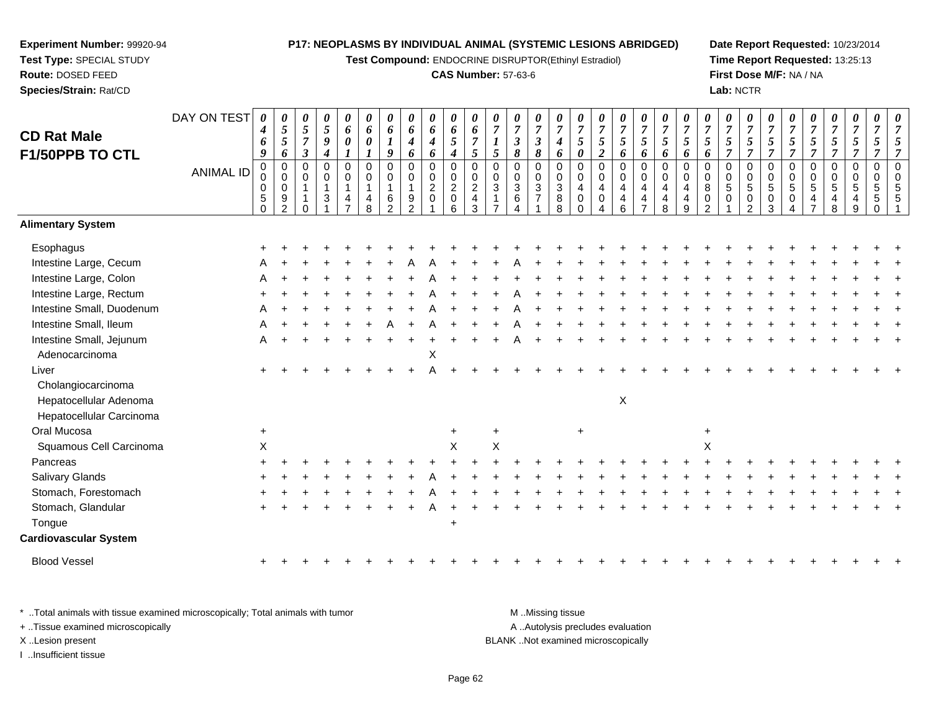**Test Compound:** ENDOCRINE DISRUPTOR(Ethinyl Estradiol)

#### **CAS Number:** 57-63-6

**Date Report Requested:** 10/23/2014**Time Report Requested:** 13:25:13**First Dose M/F:** NA / NA**Lab:** NCTR

| <b>CD Rat Male</b><br>F1/50PPB TO CTL | DAY ON TEST      | $\boldsymbol{\theta}$<br>4<br>6<br>9                            | 0<br>$\sqrt{5}$<br>$\mathfrak{s}$<br>6                                | 0<br>5<br>$\overline{7}$<br>$\overline{\mathbf{3}}$ | 0<br>$\sqrt{5}$<br>9<br>4             | 0<br>6<br>$\boldsymbol{\theta}$ | 0<br>6<br>$\boldsymbol{\theta}$<br>$\boldsymbol{l}$         | 0<br>6<br>1<br>$\boldsymbol{g}$                         | 0<br>6<br>4<br>6                                        | 0<br>6<br>4<br>6                      | 0<br>6<br>5<br>$\boldsymbol{4}$                            | 0<br>6<br>$\overline{7}$<br>$\mathfrak{s}$                          | 0<br>$\overline{7}$<br>1<br>$\mathfrak{s}$       | 0<br>$\overline{7}$<br>$\overline{\mathbf{3}}$<br>8 | 0<br>$\boldsymbol{7}$<br>$\boldsymbol{\mathfrak{z}}$<br>$\pmb{8}$ | 0<br>$\overline{7}$<br>4<br>6                                       | 0<br>$\overline{7}$<br>$\mathfrak{s}$<br>$\boldsymbol{\theta}$             | $\overline{7}$<br>$\mathfrak{s}$<br>$\boldsymbol{2}$ | 0<br>$\overline{7}$<br>5<br>6                | 0<br>$\boldsymbol{7}$<br>$\mathfrak{I}$<br>6    | 0<br>$\overline{7}$<br>5<br>6                        | $\boldsymbol{\theta}$<br>$\overline{7}$<br>$\mathfrak{s}$<br>6    | $\overline{7}$<br>$\mathfrak{s}$<br>6                  | 0<br>$\overline{7}$<br>5<br>$\overline{7}$ | 0<br>$\boldsymbol{7}$<br>5<br>$\overline{7}$ | 0<br>$\overline{7}$<br>5<br>$\overline{7}$             | 0<br>$\overline{7}$<br>$\mathfrak{s}$<br>$\overline{7}$     | $\overline{7}$<br>$\sqrt{5}$<br>$\overline{7}$ | 0<br>$\overline{7}$<br>5<br>$\overline{7}$ | 0<br>$\boldsymbol{7}$<br>5<br>$\overline{7}$ | 0<br>$\overline{7}$<br>5<br>$\overline{7}$                       | 0<br>$\overline{7}$ |
|---------------------------------------|------------------|-----------------------------------------------------------------|-----------------------------------------------------------------------|-----------------------------------------------------|---------------------------------------|---------------------------------|-------------------------------------------------------------|---------------------------------------------------------|---------------------------------------------------------|---------------------------------------|------------------------------------------------------------|---------------------------------------------------------------------|--------------------------------------------------|-----------------------------------------------------|-------------------------------------------------------------------|---------------------------------------------------------------------|----------------------------------------------------------------------------|------------------------------------------------------|----------------------------------------------|-------------------------------------------------|------------------------------------------------------|-------------------------------------------------------------------|--------------------------------------------------------|--------------------------------------------|----------------------------------------------|--------------------------------------------------------|-------------------------------------------------------------|------------------------------------------------|--------------------------------------------|----------------------------------------------|------------------------------------------------------------------|---------------------|
|                                       | <b>ANIMAL ID</b> | $_{\rm 0}^{\rm 0}$<br>$\mathbf 0$<br>$\,$ 5 $\,$<br>$\mathbf 0$ | $\mathbf 0$<br>0<br>$\mathbf 0$<br>$\boldsymbol{9}$<br>$\overline{2}$ | 0<br>0<br>$\mathbf{1}$                              | $\mathbf 0$<br>0<br>$\mathbf{1}$<br>3 | $\pmb{0}$<br>0<br>1<br>4        | $\boldsymbol{0}$<br>$\mathbf 0$<br>$\overline{1}$<br>4<br>8 | $\mathbf 0$<br>0<br>$\mathbf{1}$<br>6<br>$\mathfrak{p}$ | $\mathbf 0$<br>0<br>$\mathbf{1}$<br>9<br>$\mathfrak{p}$ | $\pmb{0}$<br>0<br>$\overline{2}$<br>0 | $\pmb{0}$<br>$\pmb{0}$<br>$\overline{c}$<br>$\pmb{0}$<br>6 | $\mathbf 0$<br>$\pmb{0}$<br>$\boldsymbol{2}$<br>$\overline{4}$<br>3 | $\mathbf 0$<br>0<br>$\sqrt{3}$<br>$\overline{1}$ | 0<br>0<br>$\mathbf{3}$<br>6                         | $\mathbf 0$<br>0<br>$\ensuremath{\mathsf{3}}$<br>$\overline{7}$   | $\pmb{0}$<br>$\pmb{0}$<br>$\ensuremath{\mathsf{3}}$<br>$\bf 8$<br>8 | $\boldsymbol{0}$<br>$\mathbf 0$<br>$\overline{4}$<br>$\pmb{0}$<br>$\Omega$ | $\mathbf 0$<br>$\mathbf 0$<br>4<br>$\mathbf 0$       | $\mathbf 0$<br>0<br>$\overline{4}$<br>4<br>6 | 0<br>0<br>$\overline{4}$<br>4<br>$\overline{7}$ | $\pmb{0}$<br>$\mathbf 0$<br>4<br>$\overline{4}$<br>8 | $\mathbf 0$<br>$\pmb{0}$<br>$\overline{4}$<br>$\overline{4}$<br>9 | $\Omega$<br>0<br>$\bf8$<br>$\pmb{0}$<br>$\mathfrak{p}$ | 0<br>0<br>5<br>$\Omega$                    | $\mathbf 0$<br>0<br>$\overline{5}$<br>0<br>2 | $\pmb{0}$<br>$\pmb{0}$<br>$\sqrt{5}$<br>$\pmb{0}$<br>3 | $\mathbf 0$<br>$\mathbf 0$<br>$\overline{5}$<br>$\mathbf 0$ | $\mathbf 0$<br>0<br>$\overline{5}$<br>4        | $\mathbf 0$<br>0<br>5<br>4<br>8            | $\mathbf 0$<br>0<br>5<br>4<br>9              | $\pmb{0}$<br>$\mathbf 0$<br>$\sqrt{5}$<br>$\sqrt{5}$<br>$\Omega$ | $\Omega$            |
| <b>Alimentary System</b>              |                  |                                                                 |                                                                       |                                                     |                                       |                                 |                                                             |                                                         |                                                         |                                       |                                                            |                                                                     |                                                  |                                                     |                                                                   |                                                                     |                                                                            |                                                      |                                              |                                                 |                                                      |                                                                   |                                                        |                                            |                                              |                                                        |                                                             |                                                |                                            |                                              |                                                                  |                     |
| Esophagus                             |                  |                                                                 |                                                                       |                                                     |                                       |                                 |                                                             |                                                         |                                                         |                                       |                                                            |                                                                     |                                                  |                                                     |                                                                   |                                                                     |                                                                            |                                                      |                                              |                                                 |                                                      |                                                                   |                                                        |                                            |                                              |                                                        |                                                             |                                                |                                            |                                              |                                                                  |                     |
| Intestine Large, Cecum                |                  |                                                                 |                                                                       |                                                     |                                       |                                 |                                                             |                                                         |                                                         |                                       |                                                            |                                                                     |                                                  |                                                     |                                                                   |                                                                     |                                                                            |                                                      |                                              |                                                 |                                                      |                                                                   |                                                        |                                            |                                              |                                                        |                                                             |                                                |                                            |                                              |                                                                  |                     |
| Intestine Large, Colon                |                  |                                                                 |                                                                       |                                                     |                                       |                                 |                                                             |                                                         |                                                         |                                       |                                                            |                                                                     |                                                  |                                                     |                                                                   |                                                                     |                                                                            |                                                      |                                              |                                                 |                                                      |                                                                   |                                                        |                                            |                                              |                                                        |                                                             |                                                |                                            |                                              |                                                                  |                     |
| Intestine Large, Rectum               |                  |                                                                 |                                                                       |                                                     |                                       |                                 |                                                             |                                                         |                                                         |                                       |                                                            |                                                                     |                                                  |                                                     |                                                                   |                                                                     |                                                                            |                                                      |                                              |                                                 |                                                      |                                                                   |                                                        |                                            |                                              |                                                        |                                                             |                                                |                                            |                                              |                                                                  |                     |
| Intestine Small, Duodenum             |                  |                                                                 |                                                                       |                                                     |                                       |                                 |                                                             |                                                         |                                                         |                                       |                                                            |                                                                     |                                                  |                                                     |                                                                   |                                                                     |                                                                            |                                                      |                                              |                                                 |                                                      |                                                                   |                                                        |                                            |                                              |                                                        |                                                             |                                                |                                            |                                              |                                                                  |                     |
| Intestine Small, Ileum                |                  |                                                                 |                                                                       |                                                     |                                       |                                 |                                                             |                                                         |                                                         |                                       |                                                            |                                                                     |                                                  |                                                     |                                                                   |                                                                     |                                                                            |                                                      |                                              |                                                 |                                                      |                                                                   |                                                        |                                            |                                              |                                                        |                                                             |                                                |                                            |                                              |                                                                  |                     |
| Intestine Small, Jejunum              |                  | A                                                               |                                                                       |                                                     |                                       |                                 |                                                             |                                                         |                                                         |                                       |                                                            |                                                                     |                                                  |                                                     |                                                                   |                                                                     |                                                                            |                                                      |                                              |                                                 |                                                      |                                                                   |                                                        |                                            |                                              |                                                        |                                                             |                                                |                                            |                                              |                                                                  |                     |
| Adenocarcinoma                        |                  |                                                                 |                                                                       |                                                     |                                       |                                 |                                                             |                                                         |                                                         | X                                     |                                                            |                                                                     |                                                  |                                                     |                                                                   |                                                                     |                                                                            |                                                      |                                              |                                                 |                                                      |                                                                   |                                                        |                                            |                                              |                                                        |                                                             |                                                |                                            |                                              |                                                                  |                     |
| Liver                                 |                  |                                                                 |                                                                       |                                                     |                                       |                                 |                                                             |                                                         |                                                         |                                       |                                                            |                                                                     |                                                  |                                                     |                                                                   |                                                                     |                                                                            |                                                      |                                              |                                                 |                                                      |                                                                   |                                                        |                                            |                                              |                                                        |                                                             |                                                |                                            |                                              |                                                                  |                     |
| Cholangiocarcinoma                    |                  |                                                                 |                                                                       |                                                     |                                       |                                 |                                                             |                                                         |                                                         |                                       |                                                            |                                                                     |                                                  |                                                     |                                                                   |                                                                     |                                                                            |                                                      |                                              |                                                 |                                                      |                                                                   |                                                        |                                            |                                              |                                                        |                                                             |                                                |                                            |                                              |                                                                  |                     |
| Hepatocellular Adenoma                |                  |                                                                 |                                                                       |                                                     |                                       |                                 |                                                             |                                                         |                                                         |                                       |                                                            |                                                                     |                                                  |                                                     |                                                                   |                                                                     |                                                                            |                                                      | X                                            |                                                 |                                                      |                                                                   |                                                        |                                            |                                              |                                                        |                                                             |                                                |                                            |                                              |                                                                  |                     |
| Hepatocellular Carcinoma              |                  |                                                                 |                                                                       |                                                     |                                       |                                 |                                                             |                                                         |                                                         |                                       |                                                            |                                                                     |                                                  |                                                     |                                                                   |                                                                     |                                                                            |                                                      |                                              |                                                 |                                                      |                                                                   |                                                        |                                            |                                              |                                                        |                                                             |                                                |                                            |                                              |                                                                  |                     |
| Oral Mucosa                           |                  | $\ddot{}$                                                       |                                                                       |                                                     |                                       |                                 |                                                             |                                                         |                                                         |                                       | $\ddot{}$                                                  |                                                                     |                                                  |                                                     |                                                                   |                                                                     | $\ddot{}$                                                                  |                                                      |                                              |                                                 |                                                      |                                                                   | $\overline{+}$                                         |                                            |                                              |                                                        |                                                             |                                                |                                            |                                              |                                                                  |                     |
| Squamous Cell Carcinoma               |                  | $\pmb{\times}$                                                  |                                                                       |                                                     |                                       |                                 |                                                             |                                                         |                                                         |                                       | X                                                          |                                                                     | $\sf X$                                          |                                                     |                                                                   |                                                                     |                                                                            |                                                      |                                              |                                                 |                                                      |                                                                   | X                                                      |                                            |                                              |                                                        |                                                             |                                                |                                            |                                              |                                                                  |                     |
| Pancreas                              |                  |                                                                 |                                                                       |                                                     |                                       |                                 |                                                             |                                                         |                                                         |                                       |                                                            |                                                                     |                                                  |                                                     |                                                                   |                                                                     |                                                                            |                                                      |                                              |                                                 |                                                      |                                                                   |                                                        |                                            |                                              |                                                        |                                                             |                                                |                                            |                                              |                                                                  |                     |
| <b>Salivary Glands</b>                |                  |                                                                 |                                                                       |                                                     |                                       |                                 |                                                             |                                                         |                                                         |                                       |                                                            |                                                                     |                                                  |                                                     |                                                                   |                                                                     |                                                                            |                                                      |                                              |                                                 |                                                      |                                                                   |                                                        |                                            |                                              |                                                        |                                                             |                                                |                                            |                                              |                                                                  |                     |
| Stomach, Forestomach                  |                  |                                                                 |                                                                       |                                                     |                                       |                                 |                                                             |                                                         |                                                         |                                       |                                                            |                                                                     |                                                  |                                                     |                                                                   |                                                                     |                                                                            |                                                      |                                              |                                                 |                                                      |                                                                   |                                                        |                                            |                                              |                                                        |                                                             |                                                |                                            |                                              |                                                                  |                     |
| Stomach, Glandular                    |                  |                                                                 |                                                                       |                                                     |                                       |                                 |                                                             |                                                         |                                                         |                                       |                                                            |                                                                     |                                                  |                                                     |                                                                   |                                                                     |                                                                            |                                                      |                                              |                                                 |                                                      |                                                                   |                                                        |                                            |                                              |                                                        |                                                             |                                                |                                            |                                              |                                                                  |                     |
| Tongue                                |                  |                                                                 |                                                                       |                                                     |                                       |                                 |                                                             |                                                         |                                                         |                                       | $\ddot{}$                                                  |                                                                     |                                                  |                                                     |                                                                   |                                                                     |                                                                            |                                                      |                                              |                                                 |                                                      |                                                                   |                                                        |                                            |                                              |                                                        |                                                             |                                                |                                            |                                              |                                                                  |                     |
| <b>Cardiovascular System</b>          |                  |                                                                 |                                                                       |                                                     |                                       |                                 |                                                             |                                                         |                                                         |                                       |                                                            |                                                                     |                                                  |                                                     |                                                                   |                                                                     |                                                                            |                                                      |                                              |                                                 |                                                      |                                                                   |                                                        |                                            |                                              |                                                        |                                                             |                                                |                                            |                                              |                                                                  |                     |
| <b>Blood Vessel</b>                   |                  |                                                                 |                                                                       |                                                     |                                       |                                 |                                                             |                                                         |                                                         |                                       |                                                            |                                                                     |                                                  |                                                     |                                                                   |                                                                     |                                                                            |                                                      |                                              |                                                 |                                                      |                                                                   |                                                        |                                            |                                              |                                                        |                                                             |                                                |                                            |                                              |                                                                  |                     |
|                                       |                  |                                                                 |                                                                       |                                                     |                                       |                                 |                                                             |                                                         |                                                         |                                       |                                                            |                                                                     |                                                  |                                                     |                                                                   |                                                                     |                                                                            |                                                      |                                              |                                                 |                                                      |                                                                   |                                                        |                                            |                                              |                                                        |                                                             |                                                |                                            |                                              |                                                                  |                     |

\* ..Total animals with tissue examined microscopically; Total animals with tumor **M** . Missing tissue M ..Missing tissue A ..Autolysis precludes evaluation + ..Tissue examined microscopically X ..Lesion present BLANK ..Not examined microscopicallyI ..Insufficient tissue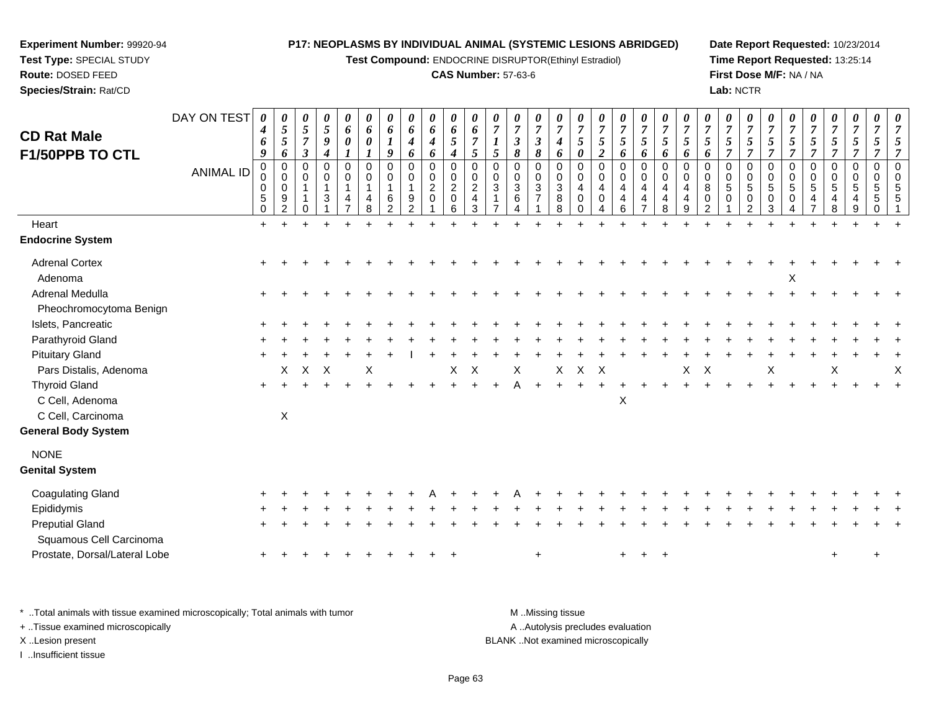**Test Compound:** ENDOCRINE DISRUPTOR(Ethinyl Estradiol)

#### **CAS Number:** 57-63-6

**Date Report Requested:** 10/23/2014**Time Report Requested:** 13:25:14**First Dose M/F:** NA / NA**Lab:** NCTR

| <b>CD Rat Male</b><br>F1/50PPB TO CTL<br>Heart<br><b>Endocrine System</b> | DAY ON TEST<br><b>ANIMAL ID</b> | 0<br>4<br>6<br>9<br>$\pmb{0}$<br>0<br>0<br>5<br>$\mathbf 0$<br>$+$ | $\boldsymbol{\theta}$<br>$\sqrt{5}$<br>$\mathfrak{s}$<br>6<br>$\mathbf 0$<br>$\mathbf 0$<br>$\mathbf 0$<br>9<br>$\overline{c}$ | $\pmb{\theta}$<br>$\sqrt{5}$<br>$\overline{7}$<br>$\boldsymbol{\beta}$<br>0<br>$\Omega$<br>$\overline{1}$<br>0 | $\boldsymbol{\theta}$<br>$\mathfrak{s}$<br>$\boldsymbol{9}$<br>$\boldsymbol{4}$<br>$\mathbf 0$<br>$\mathbf 0$<br>$\mathbf{1}$<br>3 | $\boldsymbol{\theta}$<br>6<br>$\boldsymbol{\theta}$<br>$\mathbf 0$<br>$\mathbf 0$<br>$\mathbf{1}$<br>4 | 0<br>6<br>0<br>$\mathbf 0$<br>$\Omega$<br>$\mathbf{1}$<br>4<br>8 | 0<br>6<br>9<br>0<br>0<br>1<br>6<br>2 | 0<br>6<br>4<br>6<br>0<br>0<br>$\mathbf{1}$<br>9<br>2 | 0<br>6<br>$\boldsymbol{4}$<br>6<br>$\pmb{0}$<br>$\pmb{0}$<br>$\sqrt{2}$<br>$\mathbf 0$ | $\pmb{\theta}$<br>6<br>$\mathfrak{I}$<br>4<br>$\mathbf 0$<br>$\mathbf 0$<br>$\overline{2}$<br>$\mathbf 0$<br>6 | $\boldsymbol{\theta}$<br>6<br>$\overline{7}$<br>5<br>$\mathbf 0$<br>$\Omega$<br>$\overline{c}$<br>$\overline{4}$<br>3 | 0<br>$\overline{7}$<br>5<br>0<br>$\Omega$<br>$\mathbf{3}$ | 0<br>$\boldsymbol{7}$<br>$\mathfrak{z}$<br>8<br>0<br>0<br>$\sqrt{3}$<br>6<br>4 | $\boldsymbol{\theta}$<br>$\overline{7}$<br>$\boldsymbol{\beta}$<br>8<br>$\pmb{0}$<br>$\pmb{0}$<br>$\sqrt{3}$<br>$\overline{7}$ | 0<br>$\overline{7}$<br>$\boldsymbol{4}$<br>6<br>$\mathbf 0$<br>0<br>3<br>8<br>8 | 0<br>$\overline{7}$<br>5<br>$\boldsymbol{\theta}$<br>$\mathbf 0$<br>$\Omega$<br>$\overline{4}$<br>$\mathbf 0$ | $\boldsymbol{\theta}$<br>$\overline{7}$<br>5<br>$\overline{2}$<br>0<br>$\pmb{0}$<br>$\overline{\mathbf{4}}$<br>$\mathbf 0$<br>4 | 0<br>$\overline{7}$<br>5<br>6<br>$\mathbf 0$<br>$\mathbf 0$<br>4<br>$\overline{4}$<br>6 | $\frac{\theta}{7}$<br>$5\overline{)}$<br>6<br>0<br>0<br>4<br>4<br>$\overline{7}$ | 0<br>$\boldsymbol{7}$<br>$\mathfrak{s}$<br>6<br>$\mathbf 0$<br>0<br>$\overline{4}$<br>$\overline{4}$<br>8 | 0<br>$\overline{7}$<br>5<br>6<br>$\mathbf 0$<br>$\Omega$<br>4<br>4<br>9 | $\pmb{\theta}$<br>$\overline{7}$<br>$\mathfrak{s}$<br>6<br>0<br>$\mathbf 0$<br>8<br>$\mathbf 0$<br>$\overline{2}$ | $\pmb{\theta}$<br>$\overline{7}$<br>$\overline{5}$<br>$\overline{7}$<br>$\mathbf 0$<br>$\mathbf 0$<br>$\overline{5}$<br>$\mathbf 0$ | 0<br>$\overline{7}$<br>5<br>$\overline{7}$<br>$\mathbf 0$<br>$\Omega$<br>5<br>$\mathbf 0$<br>$\overline{2}$ | 0<br>$\boldsymbol{7}$<br>$\mathfrak{s}$<br>$\overline{7}$<br>$\mathbf 0$<br>$\mathbf 0$<br>5<br>0<br>3 | 0<br>$\overline{7}$<br>5<br>$\overline{7}$<br>0<br>0<br>$\sqrt{5}$<br>$\mathbf 0$ | 0<br>$\overline{7}$<br>$\sqrt{5}$<br>$\overline{7}$<br>0<br>0<br>$5\phantom{.0}$<br>$\overline{4}$ | $\pmb{\theta}$<br>$\overline{7}$<br>$\mathfrak{s}$<br>$\overline{7}$<br>$\pmb{0}$<br>$\mathbf 0$<br>$\overline{5}$<br>$\overline{4}$<br>8 | 0<br>$\overline{7}$<br>$\mathfrak{s}$<br>$\overline{7}$<br>$\mathbf 0$<br>$\Omega$<br>5<br>4<br>9 | 0<br>$\overline{7}$<br>5<br>7<br>$\mathbf 0$<br>$\Omega$<br>5<br>5<br>$\Omega$ | $\boldsymbol{\theta}$<br>$\overline{7}$<br>5<br>$\overline{7}$<br>$\mathbf 0$<br>$\mathbf 0$<br>5<br>5 |
|---------------------------------------------------------------------------|---------------------------------|--------------------------------------------------------------------|--------------------------------------------------------------------------------------------------------------------------------|----------------------------------------------------------------------------------------------------------------|------------------------------------------------------------------------------------------------------------------------------------|--------------------------------------------------------------------------------------------------------|------------------------------------------------------------------|--------------------------------------|------------------------------------------------------|----------------------------------------------------------------------------------------|----------------------------------------------------------------------------------------------------------------|-----------------------------------------------------------------------------------------------------------------------|-----------------------------------------------------------|--------------------------------------------------------------------------------|--------------------------------------------------------------------------------------------------------------------------------|---------------------------------------------------------------------------------|---------------------------------------------------------------------------------------------------------------|---------------------------------------------------------------------------------------------------------------------------------|-----------------------------------------------------------------------------------------|----------------------------------------------------------------------------------|-----------------------------------------------------------------------------------------------------------|-------------------------------------------------------------------------|-------------------------------------------------------------------------------------------------------------------|-------------------------------------------------------------------------------------------------------------------------------------|-------------------------------------------------------------------------------------------------------------|--------------------------------------------------------------------------------------------------------|-----------------------------------------------------------------------------------|----------------------------------------------------------------------------------------------------|-------------------------------------------------------------------------------------------------------------------------------------------|---------------------------------------------------------------------------------------------------|--------------------------------------------------------------------------------|--------------------------------------------------------------------------------------------------------|
|                                                                           |                                 |                                                                    |                                                                                                                                |                                                                                                                |                                                                                                                                    |                                                                                                        |                                                                  |                                      |                                                      |                                                                                        |                                                                                                                |                                                                                                                       |                                                           |                                                                                |                                                                                                                                |                                                                                 |                                                                                                               |                                                                                                                                 |                                                                                         |                                                                                  |                                                                                                           |                                                                         |                                                                                                                   |                                                                                                                                     |                                                                                                             |                                                                                                        |                                                                                   |                                                                                                    |                                                                                                                                           |                                                                                                   |                                                                                |                                                                                                        |
| <b>Adrenal Cortex</b>                                                     |                                 |                                                                    |                                                                                                                                |                                                                                                                |                                                                                                                                    |                                                                                                        |                                                                  |                                      |                                                      |                                                                                        |                                                                                                                |                                                                                                                       |                                                           |                                                                                |                                                                                                                                |                                                                                 |                                                                                                               |                                                                                                                                 |                                                                                         |                                                                                  |                                                                                                           |                                                                         |                                                                                                                   |                                                                                                                                     |                                                                                                             |                                                                                                        |                                                                                   |                                                                                                    |                                                                                                                                           |                                                                                                   |                                                                                |                                                                                                        |
| Adenoma                                                                   |                                 |                                                                    |                                                                                                                                |                                                                                                                |                                                                                                                                    |                                                                                                        |                                                                  |                                      |                                                      |                                                                                        |                                                                                                                |                                                                                                                       |                                                           |                                                                                |                                                                                                                                |                                                                                 |                                                                                                               |                                                                                                                                 |                                                                                         |                                                                                  |                                                                                                           |                                                                         |                                                                                                                   |                                                                                                                                     |                                                                                                             |                                                                                                        | X                                                                                 |                                                                                                    |                                                                                                                                           |                                                                                                   |                                                                                |                                                                                                        |
| Adrenal Medulla                                                           |                                 |                                                                    |                                                                                                                                |                                                                                                                |                                                                                                                                    |                                                                                                        |                                                                  |                                      |                                                      |                                                                                        |                                                                                                                |                                                                                                                       |                                                           |                                                                                |                                                                                                                                |                                                                                 |                                                                                                               |                                                                                                                                 |                                                                                         |                                                                                  |                                                                                                           |                                                                         |                                                                                                                   |                                                                                                                                     |                                                                                                             |                                                                                                        |                                                                                   |                                                                                                    |                                                                                                                                           |                                                                                                   |                                                                                |                                                                                                        |
| Pheochromocytoma Benign<br>Islets, Pancreatic                             |                                 |                                                                    |                                                                                                                                |                                                                                                                |                                                                                                                                    |                                                                                                        |                                                                  |                                      |                                                      |                                                                                        |                                                                                                                |                                                                                                                       |                                                           |                                                                                |                                                                                                                                |                                                                                 |                                                                                                               |                                                                                                                                 |                                                                                         |                                                                                  |                                                                                                           |                                                                         |                                                                                                                   |                                                                                                                                     |                                                                                                             |                                                                                                        |                                                                                   |                                                                                                    |                                                                                                                                           |                                                                                                   |                                                                                |                                                                                                        |
| Parathyroid Gland                                                         |                                 |                                                                    |                                                                                                                                |                                                                                                                |                                                                                                                                    |                                                                                                        |                                                                  |                                      |                                                      |                                                                                        |                                                                                                                |                                                                                                                       |                                                           |                                                                                |                                                                                                                                |                                                                                 |                                                                                                               |                                                                                                                                 |                                                                                         |                                                                                  |                                                                                                           |                                                                         |                                                                                                                   |                                                                                                                                     |                                                                                                             |                                                                                                        |                                                                                   |                                                                                                    |                                                                                                                                           |                                                                                                   |                                                                                |                                                                                                        |
| <b>Pituitary Gland</b>                                                    |                                 |                                                                    |                                                                                                                                |                                                                                                                |                                                                                                                                    |                                                                                                        |                                                                  |                                      |                                                      |                                                                                        |                                                                                                                |                                                                                                                       |                                                           |                                                                                |                                                                                                                                |                                                                                 |                                                                                                               |                                                                                                                                 |                                                                                         |                                                                                  |                                                                                                           |                                                                         |                                                                                                                   |                                                                                                                                     |                                                                                                             |                                                                                                        |                                                                                   |                                                                                                    |                                                                                                                                           |                                                                                                   |                                                                                |                                                                                                        |
| Pars Distalis, Adenoma                                                    |                                 |                                                                    | X                                                                                                                              | $\boldsymbol{\mathsf{X}}$                                                                                      | $\times$                                                                                                                           |                                                                                                        | Х                                                                |                                      |                                                      |                                                                                        | Χ                                                                                                              | X                                                                                                                     |                                                           | X                                                                              |                                                                                                                                | X                                                                               | X                                                                                                             | $\times$                                                                                                                        |                                                                                         |                                                                                  |                                                                                                           | X                                                                       | $\boldsymbol{\mathsf{X}}$                                                                                         |                                                                                                                                     |                                                                                                             | X                                                                                                      |                                                                                   |                                                                                                    | X                                                                                                                                         |                                                                                                   |                                                                                | $\boldsymbol{\mathsf{X}}$                                                                              |
| <b>Thyroid Gland</b>                                                      |                                 | $\ddot{}$                                                          |                                                                                                                                |                                                                                                                |                                                                                                                                    |                                                                                                        |                                                                  |                                      |                                                      |                                                                                        |                                                                                                                |                                                                                                                       |                                                           |                                                                                |                                                                                                                                |                                                                                 |                                                                                                               |                                                                                                                                 |                                                                                         |                                                                                  |                                                                                                           |                                                                         |                                                                                                                   |                                                                                                                                     |                                                                                                             |                                                                                                        |                                                                                   |                                                                                                    |                                                                                                                                           |                                                                                                   |                                                                                |                                                                                                        |
| C Cell, Adenoma                                                           |                                 |                                                                    |                                                                                                                                |                                                                                                                |                                                                                                                                    |                                                                                                        |                                                                  |                                      |                                                      |                                                                                        |                                                                                                                |                                                                                                                       |                                                           |                                                                                |                                                                                                                                |                                                                                 |                                                                                                               |                                                                                                                                 | X                                                                                       |                                                                                  |                                                                                                           |                                                                         |                                                                                                                   |                                                                                                                                     |                                                                                                             |                                                                                                        |                                                                                   |                                                                                                    |                                                                                                                                           |                                                                                                   |                                                                                |                                                                                                        |
| C Cell, Carcinoma                                                         |                                 |                                                                    | X                                                                                                                              |                                                                                                                |                                                                                                                                    |                                                                                                        |                                                                  |                                      |                                                      |                                                                                        |                                                                                                                |                                                                                                                       |                                                           |                                                                                |                                                                                                                                |                                                                                 |                                                                                                               |                                                                                                                                 |                                                                                         |                                                                                  |                                                                                                           |                                                                         |                                                                                                                   |                                                                                                                                     |                                                                                                             |                                                                                                        |                                                                                   |                                                                                                    |                                                                                                                                           |                                                                                                   |                                                                                |                                                                                                        |
| <b>General Body System</b>                                                |                                 |                                                                    |                                                                                                                                |                                                                                                                |                                                                                                                                    |                                                                                                        |                                                                  |                                      |                                                      |                                                                                        |                                                                                                                |                                                                                                                       |                                                           |                                                                                |                                                                                                                                |                                                                                 |                                                                                                               |                                                                                                                                 |                                                                                         |                                                                                  |                                                                                                           |                                                                         |                                                                                                                   |                                                                                                                                     |                                                                                                             |                                                                                                        |                                                                                   |                                                                                                    |                                                                                                                                           |                                                                                                   |                                                                                |                                                                                                        |
| <b>NONE</b>                                                               |                                 |                                                                    |                                                                                                                                |                                                                                                                |                                                                                                                                    |                                                                                                        |                                                                  |                                      |                                                      |                                                                                        |                                                                                                                |                                                                                                                       |                                                           |                                                                                |                                                                                                                                |                                                                                 |                                                                                                               |                                                                                                                                 |                                                                                         |                                                                                  |                                                                                                           |                                                                         |                                                                                                                   |                                                                                                                                     |                                                                                                             |                                                                                                        |                                                                                   |                                                                                                    |                                                                                                                                           |                                                                                                   |                                                                                |                                                                                                        |
| <b>Genital System</b>                                                     |                                 |                                                                    |                                                                                                                                |                                                                                                                |                                                                                                                                    |                                                                                                        |                                                                  |                                      |                                                      |                                                                                        |                                                                                                                |                                                                                                                       |                                                           |                                                                                |                                                                                                                                |                                                                                 |                                                                                                               |                                                                                                                                 |                                                                                         |                                                                                  |                                                                                                           |                                                                         |                                                                                                                   |                                                                                                                                     |                                                                                                             |                                                                                                        |                                                                                   |                                                                                                    |                                                                                                                                           |                                                                                                   |                                                                                |                                                                                                        |
| <b>Coagulating Gland</b>                                                  |                                 |                                                                    |                                                                                                                                |                                                                                                                |                                                                                                                                    |                                                                                                        |                                                                  |                                      |                                                      |                                                                                        |                                                                                                                |                                                                                                                       |                                                           |                                                                                |                                                                                                                                |                                                                                 |                                                                                                               |                                                                                                                                 |                                                                                         |                                                                                  |                                                                                                           |                                                                         |                                                                                                                   |                                                                                                                                     |                                                                                                             |                                                                                                        |                                                                                   |                                                                                                    |                                                                                                                                           |                                                                                                   |                                                                                |                                                                                                        |
| Epididymis                                                                |                                 |                                                                    |                                                                                                                                |                                                                                                                |                                                                                                                                    |                                                                                                        |                                                                  |                                      |                                                      |                                                                                        |                                                                                                                |                                                                                                                       |                                                           |                                                                                |                                                                                                                                |                                                                                 |                                                                                                               |                                                                                                                                 |                                                                                         |                                                                                  |                                                                                                           |                                                                         |                                                                                                                   |                                                                                                                                     |                                                                                                             |                                                                                                        |                                                                                   |                                                                                                    |                                                                                                                                           |                                                                                                   |                                                                                |                                                                                                        |
| <b>Preputial Gland</b>                                                    |                                 |                                                                    |                                                                                                                                |                                                                                                                |                                                                                                                                    |                                                                                                        |                                                                  |                                      |                                                      |                                                                                        |                                                                                                                |                                                                                                                       |                                                           |                                                                                |                                                                                                                                |                                                                                 |                                                                                                               |                                                                                                                                 |                                                                                         |                                                                                  |                                                                                                           |                                                                         |                                                                                                                   |                                                                                                                                     |                                                                                                             |                                                                                                        |                                                                                   |                                                                                                    |                                                                                                                                           |                                                                                                   |                                                                                |                                                                                                        |
| Squamous Cell Carcinoma                                                   |                                 |                                                                    |                                                                                                                                |                                                                                                                |                                                                                                                                    |                                                                                                        |                                                                  |                                      |                                                      |                                                                                        |                                                                                                                |                                                                                                                       |                                                           |                                                                                |                                                                                                                                |                                                                                 |                                                                                                               |                                                                                                                                 |                                                                                         |                                                                                  |                                                                                                           |                                                                         |                                                                                                                   |                                                                                                                                     |                                                                                                             |                                                                                                        |                                                                                   |                                                                                                    |                                                                                                                                           |                                                                                                   |                                                                                |                                                                                                        |
| Prostate, Dorsal/Lateral Lobe                                             |                                 |                                                                    |                                                                                                                                |                                                                                                                |                                                                                                                                    |                                                                                                        |                                                                  |                                      |                                                      |                                                                                        |                                                                                                                |                                                                                                                       |                                                           |                                                                                | $\ddot{}$                                                                                                                      |                                                                                 |                                                                                                               |                                                                                                                                 | $+$                                                                                     | $^+$                                                                             | $\div$                                                                                                    |                                                                         |                                                                                                                   |                                                                                                                                     |                                                                                                             |                                                                                                        |                                                                                   |                                                                                                    | $\ddot{}$                                                                                                                                 |                                                                                                   | $\ddot{}$                                                                      |                                                                                                        |
|                                                                           |                                 |                                                                    |                                                                                                                                |                                                                                                                |                                                                                                                                    |                                                                                                        |                                                                  |                                      |                                                      |                                                                                        |                                                                                                                |                                                                                                                       |                                                           |                                                                                |                                                                                                                                |                                                                                 |                                                                                                               |                                                                                                                                 |                                                                                         |                                                                                  |                                                                                                           |                                                                         |                                                                                                                   |                                                                                                                                     |                                                                                                             |                                                                                                        |                                                                                   |                                                                                                    |                                                                                                                                           |                                                                                                   |                                                                                |                                                                                                        |

\* ..Total animals with tissue examined microscopically; Total animals with tumor **M** . Missing tissue M ..Missing tissue

+ ..Tissue examined microscopically

**Experiment Number:** 99920-94**Test Type:** SPECIAL STUDY**Route:** DOSED FEED**Species/Strain:** Rat/CD

I ..Insufficient tissue

A ..Autolysis precludes evaluation

X ..Lesion present BLANK ..Not examined microscopically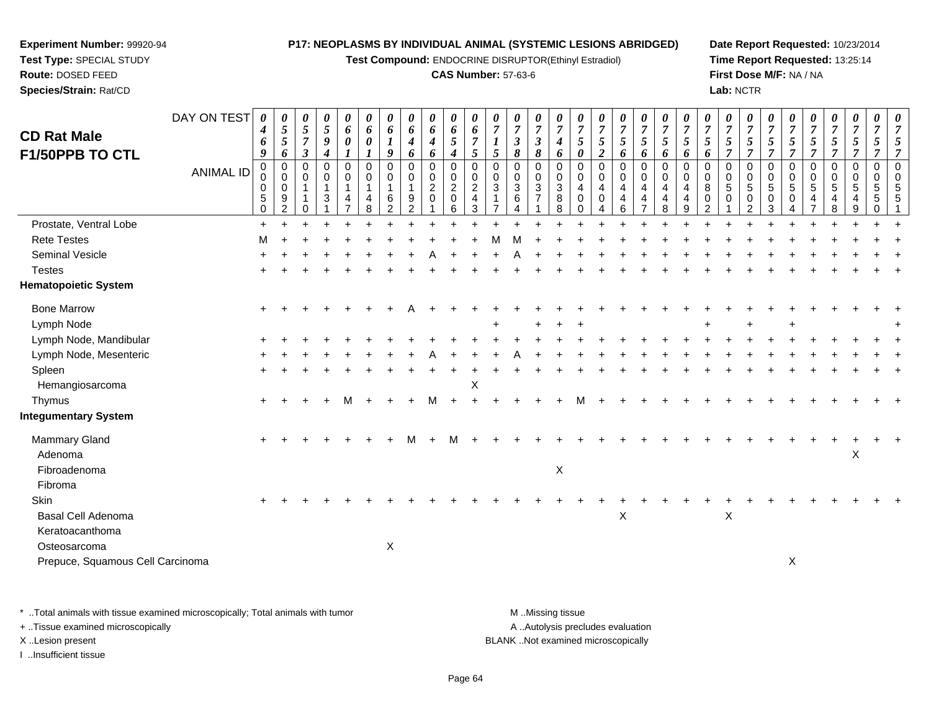**Test Compound:** ENDOCRINE DISRUPTOR(Ethinyl Estradiol)

#### **CAS Number:** 57-63-6

**Date Report Requested:** 10/23/2014**Time Report Requested:** 13:25:14**First Dose M/F:** NA / NA**Lab:** NCTR

| <b>CD Rat Male</b><br>F1/50PPB TO CTL | DAY ON TEST<br><b>ANIMAL ID</b> | $\boldsymbol{\theta}$<br>4<br>6<br>9<br>$\pmb{0}$ | 0<br>$\mathfrak{s}$<br>5<br>6<br>$\pmb{0}$ | 0<br>$\mathfrak{s}$<br>$\overline{7}$<br>$\boldsymbol{\beta}$<br>0 | 0<br>$\mathfrak{s}$<br>9<br>$\boldsymbol{4}$<br>$\pmb{0}$ | 0<br>6<br>$\boldsymbol{\theta}$<br>1<br>$\mathbf 0$ | 0<br>6<br>0<br>$\mathbf 0$ | 0<br>6<br>9<br>$\mathbf 0$    | 0<br>6<br>$\boldsymbol{4}$<br>6<br>$\pmb{0}$ | 0<br>6<br>$\boldsymbol{4}$<br>6<br>$\mathsf 0$ | $\boldsymbol{\theta}$<br>$\pmb{6}$<br>$\mathfrak{s}$<br>$\boldsymbol{4}$<br>$\pmb{0}$ | 0<br>6<br>$\overline{7}$<br>$\mathfrak{s}$<br>$\mathbf 0$ | 0<br>$\overline{7}$<br>$\boldsymbol{l}$<br>5<br>$\mathbf 0$ | 0<br>$\boldsymbol{7}$<br>$\mathfrak{z}$<br>8<br>$\mathbf 0$ | 0<br>$\overline{7}$<br>$\mathfrak{z}$<br>8<br>$\pmb{0}$ | 0<br>$\overline{7}$<br>$\boldsymbol{4}$<br>6<br>$\mathbf 0$ | $\boldsymbol{\theta}$<br>$\overline{7}$<br>$\mathfrak{s}$<br>$\boldsymbol{\theta}$<br>$\pmb{0}$ | $\boldsymbol{\theta}$<br>$\overline{7}$<br>5<br>$\boldsymbol{2}$<br>$\mathbf 0$ | $\boldsymbol{\theta}$<br>$\boldsymbol{7}$<br>5<br>6<br>$\mathbf 0$ | 0<br>$\overline{7}$<br>5<br>6<br>$\mathbf 0$ | 0<br>$\boldsymbol{7}$<br>$\sqrt{5}$<br>6<br>$\mathbf 0$ | 0<br>$\overline{7}$<br>5<br>6<br>$\mathbf 0$ | $\boldsymbol{\theta}$<br>$\overline{7}$<br>$\mathfrak{s}$<br>6<br>$\mathbf 0$ | 0<br>$\overline{7}$<br>$\sqrt{5}$<br>$\overline{7}$<br>$\mathbf 0$ | $\boldsymbol{\theta}$<br>$\overline{7}$<br>5<br>$\overline{7}$<br>$\mathbf 0$ | $\boldsymbol{\theta}$<br>$\overline{7}$<br>5<br>$\overline{7}$<br>$\mathbf 0$ | 0<br>$\overline{7}$<br>5<br>$\overline{7}$<br>$\pmb{0}$ | 0<br>$\boldsymbol{7}$<br>$5\overline{)}$<br>$\overline{7}$<br>0 | 0<br>$\overline{7}$<br>$\mathfrak{s}$<br>$\overline{7}$<br>$\boldsymbol{0}$ | 0<br>$\overline{7}$<br>$\overline{5}$<br>$\overline{7}$<br>$\mathbf 0$ | 0<br>$\overline{7}$<br>5<br>$\overline{7}$<br>$\mathbf 0$ | 0<br>$\overline{7}$<br>5<br>$\overline{7}$<br>$\mathbf 0$ |
|---------------------------------------|---------------------------------|---------------------------------------------------|--------------------------------------------|--------------------------------------------------------------------|-----------------------------------------------------------|-----------------------------------------------------|----------------------------|-------------------------------|----------------------------------------------|------------------------------------------------|---------------------------------------------------------------------------------------|-----------------------------------------------------------|-------------------------------------------------------------|-------------------------------------------------------------|---------------------------------------------------------|-------------------------------------------------------------|-------------------------------------------------------------------------------------------------|---------------------------------------------------------------------------------|--------------------------------------------------------------------|----------------------------------------------|---------------------------------------------------------|----------------------------------------------|-------------------------------------------------------------------------------|--------------------------------------------------------------------|-------------------------------------------------------------------------------|-------------------------------------------------------------------------------|---------------------------------------------------------|-----------------------------------------------------------------|-----------------------------------------------------------------------------|------------------------------------------------------------------------|-----------------------------------------------------------|-----------------------------------------------------------|
|                                       |                                 | $\mathbf 0$<br>0<br>$\,$ 5 $\,$<br>$\mathbf 0$    | $\mathbf 0$<br>$\mathbf 0$<br>9<br>2       | 0<br>$\mathbf{1}$<br>0                                             | 0<br>$\overline{1}$<br>$\mathbf{3}$                       | 0<br>$\mathbf{1}$<br>4<br>$\overline{7}$            | $\mathbf 0$<br>1<br>4<br>8 | 0<br>1<br>6<br>$\overline{2}$ | 0<br>$\mathbf{1}$<br>9<br>2                  | $\pmb{0}$<br>$\overline{c}$<br>$\mathbf 0$     | $\mathbf 0$<br>$\overline{2}$<br>$\mathbf 0$<br>6                                     | $\mathbf 0$<br>$\overline{2}$<br>$\overline{4}$<br>3      | $\mathbf 0$<br>3                                            | $_{3}^{\rm 0}$<br>6<br>4                                    | $\mathbf 0$<br>$\mathbf{3}$<br>$\overline{7}$           | 0<br>3<br>8<br>8                                            | $\mathbf 0$<br>4<br>$\mathbf 0$<br>$\Omega$                                                     | 0<br>4<br>$\mathbf 0$<br>4                                                      | $\mathbf 0$<br>4<br>4<br>6                                         | $\mathbf 0$<br>4<br>4<br>$\overline{7}$      | $\mathbf 0$<br>$\overline{4}$<br>$\overline{4}$<br>8    | $\Omega$<br>4<br>4<br>9                      | $\mathbf 0$<br>8<br>$\mathbf 0$<br>2                                          | $\mathbf 0$<br>$\sqrt{5}$<br>0<br>1                                | $\Omega$<br>5<br>0<br>$\overline{2}$                                          | $\mathbf 0$<br>$\sqrt{5}$<br>$\mathbf 0$<br>3                                 | 0<br>5<br>0                                             | 0<br>$5\phantom{.0}$<br>4                                       | $\mathbf 0$<br>$\overline{5}$<br>$\overline{4}$<br>8                        | 0<br>5<br>4<br>9                                                       | $\Omega$<br>5<br>5<br>$\Omega$                            | $\mathbf 0$<br>5<br>5                                     |
| Prostate, Ventral Lobe                |                                 | $\ddot{}$                                         |                                            |                                                                    |                                                           |                                                     |                            |                               |                                              |                                                |                                                                                       |                                                           |                                                             |                                                             |                                                         |                                                             |                                                                                                 |                                                                                 |                                                                    |                                              |                                                         |                                              |                                                                               |                                                                    |                                                                               |                                                                               |                                                         |                                                                 |                                                                             |                                                                        |                                                           |                                                           |
| <b>Rete Testes</b>                    |                                 | М                                                 |                                            |                                                                    |                                                           |                                                     |                            |                               |                                              |                                                |                                                                                       |                                                           |                                                             |                                                             |                                                         |                                                             |                                                                                                 |                                                                                 |                                                                    |                                              |                                                         |                                              |                                                                               |                                                                    |                                                                               |                                                                               |                                                         |                                                                 |                                                                             |                                                                        |                                                           |                                                           |
| Seminal Vesicle                       |                                 |                                                   |                                            |                                                                    |                                                           |                                                     |                            |                               |                                              |                                                |                                                                                       |                                                           |                                                             |                                                             |                                                         |                                                             |                                                                                                 |                                                                                 |                                                                    |                                              |                                                         |                                              |                                                                               |                                                                    |                                                                               |                                                                               |                                                         |                                                                 |                                                                             |                                                                        |                                                           |                                                           |
| <b>Testes</b>                         |                                 |                                                   |                                            |                                                                    |                                                           |                                                     |                            |                               |                                              |                                                |                                                                                       |                                                           |                                                             |                                                             |                                                         |                                                             |                                                                                                 |                                                                                 |                                                                    |                                              |                                                         |                                              |                                                                               |                                                                    |                                                                               |                                                                               |                                                         |                                                                 |                                                                             |                                                                        |                                                           |                                                           |
| <b>Hematopoietic System</b>           |                                 |                                                   |                                            |                                                                    |                                                           |                                                     |                            |                               |                                              |                                                |                                                                                       |                                                           |                                                             |                                                             |                                                         |                                                             |                                                                                                 |                                                                                 |                                                                    |                                              |                                                         |                                              |                                                                               |                                                                    |                                                                               |                                                                               |                                                         |                                                                 |                                                                             |                                                                        |                                                           |                                                           |
| <b>Bone Marrow</b>                    |                                 |                                                   |                                            |                                                                    |                                                           |                                                     |                            |                               |                                              |                                                |                                                                                       |                                                           |                                                             |                                                             |                                                         |                                                             |                                                                                                 |                                                                                 |                                                                    |                                              |                                                         |                                              |                                                                               |                                                                    |                                                                               |                                                                               |                                                         |                                                                 |                                                                             |                                                                        |                                                           |                                                           |
| Lymph Node                            |                                 |                                                   |                                            |                                                                    |                                                           |                                                     |                            |                               |                                              |                                                |                                                                                       |                                                           |                                                             |                                                             | ÷.                                                      |                                                             |                                                                                                 |                                                                                 |                                                                    |                                              |                                                         |                                              |                                                                               |                                                                    |                                                                               |                                                                               |                                                         |                                                                 |                                                                             |                                                                        |                                                           |                                                           |
| Lymph Node, Mandibular                |                                 |                                                   |                                            |                                                                    |                                                           |                                                     |                            |                               |                                              |                                                |                                                                                       |                                                           |                                                             |                                                             |                                                         |                                                             |                                                                                                 |                                                                                 |                                                                    |                                              |                                                         |                                              |                                                                               |                                                                    |                                                                               |                                                                               |                                                         |                                                                 |                                                                             |                                                                        |                                                           |                                                           |
| Lymph Node, Mesenteric                |                                 |                                                   |                                            |                                                                    |                                                           |                                                     |                            |                               |                                              |                                                |                                                                                       |                                                           |                                                             |                                                             |                                                         |                                                             |                                                                                                 |                                                                                 |                                                                    |                                              |                                                         |                                              |                                                                               |                                                                    |                                                                               |                                                                               |                                                         |                                                                 |                                                                             |                                                                        |                                                           |                                                           |
| Spleen<br>Hemangiosarcoma             |                                 |                                                   |                                            |                                                                    |                                                           |                                                     |                            |                               |                                              |                                                |                                                                                       | $\mathsf X$                                               |                                                             |                                                             |                                                         |                                                             |                                                                                                 |                                                                                 |                                                                    |                                              |                                                         |                                              |                                                                               |                                                                    |                                                                               |                                                                               |                                                         |                                                                 |                                                                             |                                                                        |                                                           |                                                           |
| Thymus                                |                                 | $+$                                               |                                            |                                                                    |                                                           | М                                                   |                            |                               |                                              |                                                |                                                                                       |                                                           |                                                             |                                                             |                                                         |                                                             |                                                                                                 |                                                                                 |                                                                    |                                              |                                                         |                                              |                                                                               |                                                                    |                                                                               |                                                                               |                                                         |                                                                 |                                                                             |                                                                        |                                                           |                                                           |
| <b>Integumentary System</b>           |                                 |                                                   |                                            |                                                                    |                                                           |                                                     |                            |                               |                                              |                                                |                                                                                       |                                                           |                                                             |                                                             |                                                         |                                                             |                                                                                                 |                                                                                 |                                                                    |                                              |                                                         |                                              |                                                                               |                                                                    |                                                                               |                                                                               |                                                         |                                                                 |                                                                             |                                                                        |                                                           |                                                           |
| <b>Mammary Gland</b>                  |                                 |                                                   |                                            |                                                                    |                                                           |                                                     |                            |                               | M                                            | $\ddot{}$                                      | м                                                                                     |                                                           |                                                             |                                                             |                                                         |                                                             |                                                                                                 |                                                                                 |                                                                    |                                              |                                                         |                                              |                                                                               |                                                                    |                                                                               |                                                                               |                                                         |                                                                 |                                                                             |                                                                        |                                                           |                                                           |
| Adenoma                               |                                 |                                                   |                                            |                                                                    |                                                           |                                                     |                            |                               |                                              |                                                |                                                                                       |                                                           |                                                             |                                                             |                                                         |                                                             |                                                                                                 |                                                                                 |                                                                    |                                              |                                                         |                                              |                                                                               |                                                                    |                                                                               |                                                                               |                                                         |                                                                 |                                                                             | X                                                                      |                                                           |                                                           |
| Fibroadenoma                          |                                 |                                                   |                                            |                                                                    |                                                           |                                                     |                            |                               |                                              |                                                |                                                                                       |                                                           |                                                             |                                                             |                                                         | $\mathsf X$                                                 |                                                                                                 |                                                                                 |                                                                    |                                              |                                                         |                                              |                                                                               |                                                                    |                                                                               |                                                                               |                                                         |                                                                 |                                                                             |                                                                        |                                                           |                                                           |
| Fibroma                               |                                 |                                                   |                                            |                                                                    |                                                           |                                                     |                            |                               |                                              |                                                |                                                                                       |                                                           |                                                             |                                                             |                                                         |                                                             |                                                                                                 |                                                                                 |                                                                    |                                              |                                                         |                                              |                                                                               |                                                                    |                                                                               |                                                                               |                                                         |                                                                 |                                                                             |                                                                        |                                                           |                                                           |
| Skin                                  |                                 |                                                   |                                            |                                                                    |                                                           |                                                     |                            |                               |                                              |                                                |                                                                                       |                                                           |                                                             |                                                             |                                                         |                                                             |                                                                                                 |                                                                                 |                                                                    |                                              |                                                         |                                              |                                                                               |                                                                    |                                                                               |                                                                               |                                                         |                                                                 |                                                                             |                                                                        |                                                           |                                                           |
| <b>Basal Cell Adenoma</b>             |                                 |                                                   |                                            |                                                                    |                                                           |                                                     |                            |                               |                                              |                                                |                                                                                       |                                                           |                                                             |                                                             |                                                         |                                                             |                                                                                                 |                                                                                 | $\boldsymbol{\mathsf{X}}$                                          |                                              |                                                         |                                              |                                                                               | $\pmb{\times}$                                                     |                                                                               |                                                                               |                                                         |                                                                 |                                                                             |                                                                        |                                                           |                                                           |
| Keratoacanthoma                       |                                 |                                                   |                                            |                                                                    |                                                           |                                                     |                            |                               |                                              |                                                |                                                                                       |                                                           |                                                             |                                                             |                                                         |                                                             |                                                                                                 |                                                                                 |                                                                    |                                              |                                                         |                                              |                                                                               |                                                                    |                                                                               |                                                                               |                                                         |                                                                 |                                                                             |                                                                        |                                                           |                                                           |
| Osteosarcoma                          |                                 |                                                   |                                            |                                                                    |                                                           |                                                     |                            | X                             |                                              |                                                |                                                                                       |                                                           |                                                             |                                                             |                                                         |                                                             |                                                                                                 |                                                                                 |                                                                    |                                              |                                                         |                                              |                                                                               |                                                                    |                                                                               |                                                                               |                                                         |                                                                 |                                                                             |                                                                        |                                                           |                                                           |
| Prepuce, Squamous Cell Carcinoma      |                                 |                                                   |                                            |                                                                    |                                                           |                                                     |                            |                               |                                              |                                                |                                                                                       |                                                           |                                                             |                                                             |                                                         |                                                             |                                                                                                 |                                                                                 |                                                                    |                                              |                                                         |                                              |                                                                               |                                                                    |                                                                               |                                                                               | X                                                       |                                                                 |                                                                             |                                                                        |                                                           |                                                           |
|                                       |                                 |                                                   |                                            |                                                                    |                                                           |                                                     |                            |                               |                                              |                                                |                                                                                       |                                                           |                                                             |                                                             |                                                         |                                                             |                                                                                                 |                                                                                 |                                                                    |                                              |                                                         |                                              |                                                                               |                                                                    |                                                                               |                                                                               |                                                         |                                                                 |                                                                             |                                                                        |                                                           |                                                           |

\* ..Total animals with tissue examined microscopically; Total animals with tumor **M** . Missing tissue M ..Missing tissue A ..Autolysis precludes evaluation + ..Tissue examined microscopically X ..Lesion present BLANK ..Not examined microscopicallyI ..Insufficient tissue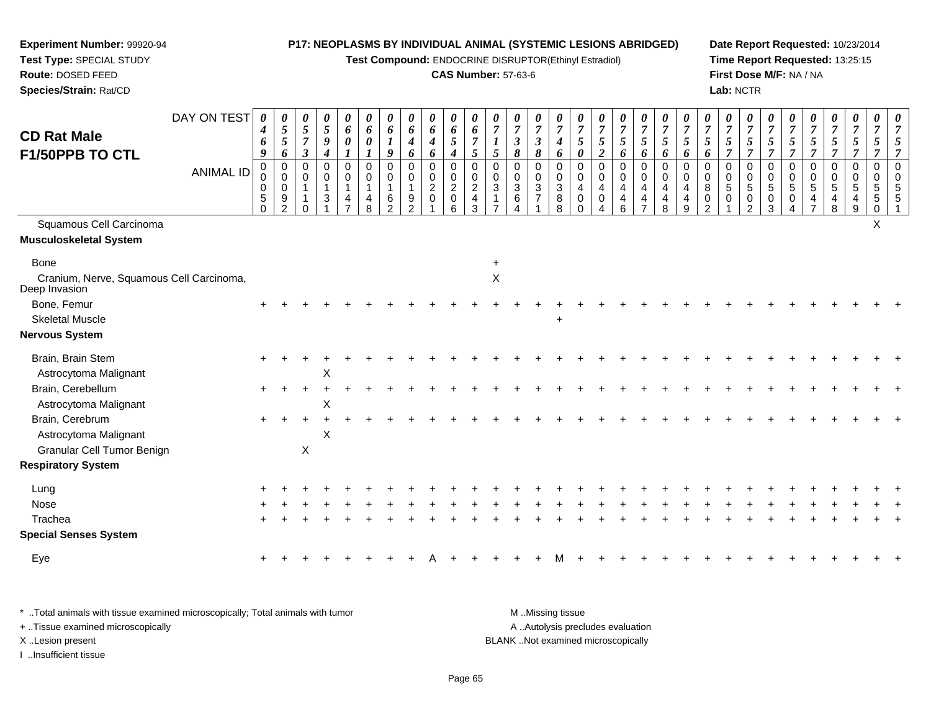**Test Compound:** ENDOCRINE DISRUPTOR(Ethinyl Estradiol)

#### **CAS Number:** 57-63-6

**Date Report Requested:** 10/23/2014**Time Report Requested:** 13:25:15**First Dose M/F:** NA / NA**Lab:** NCTR

| <b>CD Rat Male</b><br>F1/50PPB TO CTL                     | DAY ON TEST      | 0<br>$\boldsymbol{4}$<br>6<br>9                 | 0<br>$\sqrt{5}$<br>$\mathfrak{s}$<br>$\boldsymbol{6}$                    | 0<br>$5\overline{)}$<br>$\overline{7}$<br>$\boldsymbol{\beta}$ | 0<br>$\mathfrak{s}$<br>$\boldsymbol{g}$<br>$\boldsymbol{4}$ | 0<br>$\boldsymbol{6}$<br>$\pmb{\theta}$ | 0<br>6<br>0<br>$\boldsymbol{l}$ | $\boldsymbol{\theta}$<br>6<br>$\boldsymbol{l}$<br>9                | $\boldsymbol{\theta}$<br>$\boldsymbol{6}$<br>$\boldsymbol{4}$<br>6 | 0<br>6<br>$\boldsymbol{4}$<br>6                             | 0<br>$\boldsymbol{6}$<br>5<br>$\boldsymbol{4}$ | $\boldsymbol{\theta}$<br>6<br>$\overline{7}$<br>5     | $\theta$<br>$\overline{7}$<br>5        | 0<br>$\overline{7}$<br>$\boldsymbol{\beta}$<br>$\pmb{8}$ | $\boldsymbol{\theta}$<br>$\overline{7}$<br>$\boldsymbol{\beta}$<br>8 | $\boldsymbol{\theta}$<br>$\overline{7}$<br>$\boldsymbol{4}$<br>6 | $\overline{7}$<br>$\sqrt{5}$<br>0                 | $\boldsymbol{\theta}$<br>$\overline{7}$<br>$\mathfrak{s}$<br>$\boldsymbol{2}$ | $\boldsymbol{\theta}$<br>$\overline{7}$<br>$\mathfrak{H}$<br>6      | 0<br>$\overline{7}$<br>$\sqrt{5}$<br>6                                                    | $\boldsymbol{\theta}$<br>$\overline{7}$<br>5<br>6 | $\boldsymbol{\theta}$<br>$\overline{7}$<br>$\overline{5}$<br>6 | 0<br>$\overline{7}$<br>5<br>6                      | 0<br>$\overline{7}$<br>5<br>7                        | $\boldsymbol{\theta}$<br>$\overline{7}$<br>$\mathfrak{s}$<br>$\overline{7}$ | $\boldsymbol{\theta}$<br>$\overline{7}$<br>$\mathfrak{s}$<br>$\overline{7}$ | $\overline{7}$<br>5<br>$\overline{7}$ | $\boldsymbol{\theta}$<br>$\overline{7}$<br>5<br>$\overline{\tau}$ | $\boldsymbol{\theta}$<br>$\overline{7}$<br>5<br>$\overline{7}$ | 0<br>$\overline{7}$<br>$\mathfrak{s}$<br>$\overline{7}$ | 0<br>$\overline{7}$<br>$\mathfrak{s}$<br>$\overline{7}$ | $\overline{7}$<br>5<br>$\overline{7}$ |
|-----------------------------------------------------------|------------------|-------------------------------------------------|--------------------------------------------------------------------------|----------------------------------------------------------------|-------------------------------------------------------------|-----------------------------------------|---------------------------------|--------------------------------------------------------------------|--------------------------------------------------------------------|-------------------------------------------------------------|------------------------------------------------|-------------------------------------------------------|----------------------------------------|----------------------------------------------------------|----------------------------------------------------------------------|------------------------------------------------------------------|---------------------------------------------------|-------------------------------------------------------------------------------|---------------------------------------------------------------------|-------------------------------------------------------------------------------------------|---------------------------------------------------|----------------------------------------------------------------|----------------------------------------------------|------------------------------------------------------|-----------------------------------------------------------------------------|-----------------------------------------------------------------------------|---------------------------------------|-------------------------------------------------------------------|----------------------------------------------------------------|---------------------------------------------------------|---------------------------------------------------------|---------------------------------------|
|                                                           | <b>ANIMAL ID</b> | 0<br>0<br>$\mathbf 0$<br>$\sqrt{5}$<br>$\Omega$ | $\mathbf 0$<br>$\mathbf 0$<br>$\mathsf{O}\xspace$<br>9<br>$\overline{2}$ | $\Omega$<br>$\mathbf 0$<br>∩                                   | $\mathbf 0$<br>0<br>$\mathbf{1}$<br>3                       | $\mathbf 0$<br>0<br>$\mathbf{1}$<br>4   | $\mathbf 0$<br>0<br>4<br>8      | $\mathbf 0$<br>$\mathbf 0$<br>$\overline{1}$<br>6<br>$\mathcal{P}$ | $\mathbf 0$<br>$\mathbf 0$<br>$\mathbf{1}$<br>9<br>2               | $\mathbf 0$<br>$\mathbf 0$<br>$\overline{c}$<br>$\mathbf 0$ | 0<br>0<br>$\overline{a}$<br>0<br>6             | $\Omega$<br>$\mathbf 0$<br>$\boldsymbol{2}$<br>4<br>3 | $\mathbf 0$<br>$\pmb{0}$<br>$\sqrt{3}$ | 0<br>0<br>$\ensuremath{\mathsf{3}}$<br>$\,6\,$<br>4      | $\mathbf 0$<br>$\mathbf 0$<br>$\sqrt{3}$<br>$\overline{7}$           | $\Omega$<br>0<br>$\sqrt{3}$<br>8<br>8                            | $\mathbf 0$<br>0<br>$\overline{4}$<br>$\mathbf 0$ | $\mathbf 0$<br>$\mathbf 0$<br>$\overline{4}$<br>$\mathbf 0$                   | $\mathbf 0$<br>$\mathbf 0$<br>$\overline{4}$<br>$\overline{4}$<br>6 | $\mathbf 0$<br>$\mathbf 0$<br>$\overline{4}$<br>$\overline{\mathbf{4}}$<br>$\overline{7}$ | $\mathbf 0$<br>$\mathbf 0$<br>4<br>4<br>8         | $\Omega$<br>$\Omega$<br>$\overline{4}$<br>4<br>9               | $\Omega$<br>$\mathbf 0$<br>8<br>0<br>$\mathcal{P}$ | $\Omega$<br>$\mathbf 0$<br>$\sqrt{5}$<br>$\mathbf 0$ | $\mathbf 0$<br>$\mathbf 0$<br>$\overline{5}$<br>$\mathbf 0$<br>2            | $\mathbf 0$<br>0<br>$\overline{5}$<br>$\mathbf 0$<br>3                      | 0<br>0<br>5<br>0                      | $\mathbf 0$<br>0<br>5<br>4                                        | $\pmb{0}$<br>0<br>$\sqrt{5}$<br>$\overline{4}$<br>8            | $\mathbf 0$<br>$\mathbf 0$<br>$\sqrt{5}$<br>4<br>9      | 0<br>0<br>5<br>5<br>$\Omega$                            | $\Omega$<br>$\Omega$                  |
| Squamous Cell Carcinoma                                   |                  |                                                 |                                                                          |                                                                |                                                             |                                         |                                 |                                                                    |                                                                    |                                                             |                                                |                                                       |                                        |                                                          |                                                                      |                                                                  |                                                   |                                                                               |                                                                     |                                                                                           |                                                   |                                                                |                                                    |                                                      |                                                                             |                                                                             |                                       |                                                                   |                                                                |                                                         | X                                                       |                                       |
| <b>Musculoskeletal System</b>                             |                  |                                                 |                                                                          |                                                                |                                                             |                                         |                                 |                                                                    |                                                                    |                                                             |                                                |                                                       |                                        |                                                          |                                                                      |                                                                  |                                                   |                                                                               |                                                                     |                                                                                           |                                                   |                                                                |                                                    |                                                      |                                                                             |                                                                             |                                       |                                                                   |                                                                |                                                         |                                                         |                                       |
| <b>Bone</b>                                               |                  |                                                 |                                                                          |                                                                |                                                             |                                         |                                 |                                                                    |                                                                    |                                                             |                                                |                                                       |                                        |                                                          |                                                                      |                                                                  |                                                   |                                                                               |                                                                     |                                                                                           |                                                   |                                                                |                                                    |                                                      |                                                                             |                                                                             |                                       |                                                                   |                                                                |                                                         |                                                         |                                       |
| Cranium, Nerve, Squamous Cell Carcinoma,<br>Deep Invasion |                  |                                                 |                                                                          |                                                                |                                                             |                                         |                                 |                                                                    |                                                                    |                                                             |                                                |                                                       | $\mathsf X$                            |                                                          |                                                                      |                                                                  |                                                   |                                                                               |                                                                     |                                                                                           |                                                   |                                                                |                                                    |                                                      |                                                                             |                                                                             |                                       |                                                                   |                                                                |                                                         |                                                         |                                       |
| Bone, Femur                                               |                  |                                                 |                                                                          |                                                                |                                                             |                                         |                                 |                                                                    |                                                                    |                                                             |                                                |                                                       |                                        |                                                          |                                                                      |                                                                  |                                                   |                                                                               |                                                                     |                                                                                           |                                                   |                                                                |                                                    |                                                      |                                                                             |                                                                             |                                       |                                                                   |                                                                |                                                         |                                                         |                                       |
| <b>Skeletal Muscle</b>                                    |                  |                                                 |                                                                          |                                                                |                                                             |                                         |                                 |                                                                    |                                                                    |                                                             |                                                |                                                       |                                        |                                                          |                                                                      | $\ddot{}$                                                        |                                                   |                                                                               |                                                                     |                                                                                           |                                                   |                                                                |                                                    |                                                      |                                                                             |                                                                             |                                       |                                                                   |                                                                |                                                         |                                                         |                                       |
| <b>Nervous System</b>                                     |                  |                                                 |                                                                          |                                                                |                                                             |                                         |                                 |                                                                    |                                                                    |                                                             |                                                |                                                       |                                        |                                                          |                                                                      |                                                                  |                                                   |                                                                               |                                                                     |                                                                                           |                                                   |                                                                |                                                    |                                                      |                                                                             |                                                                             |                                       |                                                                   |                                                                |                                                         |                                                         |                                       |
| Brain, Brain Stem                                         |                  |                                                 |                                                                          |                                                                |                                                             |                                         |                                 |                                                                    |                                                                    |                                                             |                                                |                                                       |                                        |                                                          |                                                                      |                                                                  |                                                   |                                                                               |                                                                     |                                                                                           |                                                   |                                                                |                                                    |                                                      |                                                                             |                                                                             |                                       |                                                                   |                                                                |                                                         |                                                         |                                       |
| Astrocytoma Malignant                                     |                  |                                                 |                                                                          |                                                                | X                                                           |                                         |                                 |                                                                    |                                                                    |                                                             |                                                |                                                       |                                        |                                                          |                                                                      |                                                                  |                                                   |                                                                               |                                                                     |                                                                                           |                                                   |                                                                |                                                    |                                                      |                                                                             |                                                                             |                                       |                                                                   |                                                                |                                                         |                                                         |                                       |
| Brain, Cerebellum<br>Astrocytoma Malignant                |                  |                                                 |                                                                          |                                                                | Χ                                                           |                                         |                                 |                                                                    |                                                                    |                                                             |                                                |                                                       |                                        |                                                          |                                                                      |                                                                  |                                                   |                                                                               |                                                                     |                                                                                           |                                                   |                                                                |                                                    |                                                      |                                                                             |                                                                             |                                       |                                                                   |                                                                |                                                         |                                                         |                                       |
| Brain, Cerebrum                                           |                  | $+$                                             |                                                                          |                                                                |                                                             |                                         |                                 |                                                                    |                                                                    |                                                             |                                                |                                                       |                                        |                                                          |                                                                      |                                                                  |                                                   |                                                                               |                                                                     |                                                                                           |                                                   |                                                                |                                                    |                                                      |                                                                             |                                                                             |                                       |                                                                   |                                                                |                                                         |                                                         |                                       |
| Astrocytoma Malignant                                     |                  |                                                 |                                                                          |                                                                | X                                                           |                                         |                                 |                                                                    |                                                                    |                                                             |                                                |                                                       |                                        |                                                          |                                                                      |                                                                  |                                                   |                                                                               |                                                                     |                                                                                           |                                                   |                                                                |                                                    |                                                      |                                                                             |                                                                             |                                       |                                                                   |                                                                |                                                         |                                                         |                                       |
| Granular Cell Tumor Benign                                |                  |                                                 |                                                                          | $\mathsf X$                                                    |                                                             |                                         |                                 |                                                                    |                                                                    |                                                             |                                                |                                                       |                                        |                                                          |                                                                      |                                                                  |                                                   |                                                                               |                                                                     |                                                                                           |                                                   |                                                                |                                                    |                                                      |                                                                             |                                                                             |                                       |                                                                   |                                                                |                                                         |                                                         |                                       |
| <b>Respiratory System</b>                                 |                  |                                                 |                                                                          |                                                                |                                                             |                                         |                                 |                                                                    |                                                                    |                                                             |                                                |                                                       |                                        |                                                          |                                                                      |                                                                  |                                                   |                                                                               |                                                                     |                                                                                           |                                                   |                                                                |                                                    |                                                      |                                                                             |                                                                             |                                       |                                                                   |                                                                |                                                         |                                                         |                                       |
| Lung                                                      |                  |                                                 |                                                                          |                                                                |                                                             |                                         |                                 |                                                                    |                                                                    |                                                             |                                                |                                                       |                                        |                                                          |                                                                      |                                                                  |                                                   |                                                                               |                                                                     |                                                                                           |                                                   |                                                                |                                                    |                                                      |                                                                             |                                                                             |                                       |                                                                   |                                                                |                                                         |                                                         |                                       |
| Nose                                                      |                  |                                                 |                                                                          |                                                                |                                                             |                                         |                                 |                                                                    |                                                                    |                                                             |                                                |                                                       |                                        |                                                          |                                                                      |                                                                  |                                                   |                                                                               |                                                                     |                                                                                           |                                                   |                                                                |                                                    |                                                      |                                                                             |                                                                             |                                       |                                                                   |                                                                |                                                         |                                                         |                                       |
| Trachea                                                   |                  |                                                 |                                                                          |                                                                |                                                             |                                         |                                 |                                                                    |                                                                    |                                                             |                                                |                                                       |                                        |                                                          |                                                                      |                                                                  |                                                   |                                                                               |                                                                     |                                                                                           |                                                   |                                                                |                                                    |                                                      |                                                                             |                                                                             |                                       |                                                                   |                                                                |                                                         |                                                         |                                       |
| <b>Special Senses System</b>                              |                  |                                                 |                                                                          |                                                                |                                                             |                                         |                                 |                                                                    |                                                                    |                                                             |                                                |                                                       |                                        |                                                          |                                                                      |                                                                  |                                                   |                                                                               |                                                                     |                                                                                           |                                                   |                                                                |                                                    |                                                      |                                                                             |                                                                             |                                       |                                                                   |                                                                |                                                         |                                                         |                                       |
| Eye                                                       |                  |                                                 |                                                                          |                                                                |                                                             |                                         |                                 |                                                                    |                                                                    |                                                             |                                                |                                                       |                                        |                                                          |                                                                      |                                                                  |                                                   |                                                                               |                                                                     |                                                                                           |                                                   |                                                                |                                                    |                                                      |                                                                             |                                                                             |                                       |                                                                   |                                                                |                                                         |                                                         |                                       |
|                                                           |                  |                                                 |                                                                          |                                                                |                                                             |                                         |                                 |                                                                    |                                                                    |                                                             |                                                |                                                       |                                        |                                                          |                                                                      |                                                                  |                                                   |                                                                               |                                                                     |                                                                                           |                                                   |                                                                |                                                    |                                                      |                                                                             |                                                                             |                                       |                                                                   |                                                                |                                                         |                                                         |                                       |

\* ..Total animals with tissue examined microscopically; Total animals with tumor **M** . Missing tissue M ..Missing tissue A ..Autolysis precludes evaluation + ..Tissue examined microscopically X ..Lesion present BLANK ..Not examined microscopicallyI ..Insufficient tissue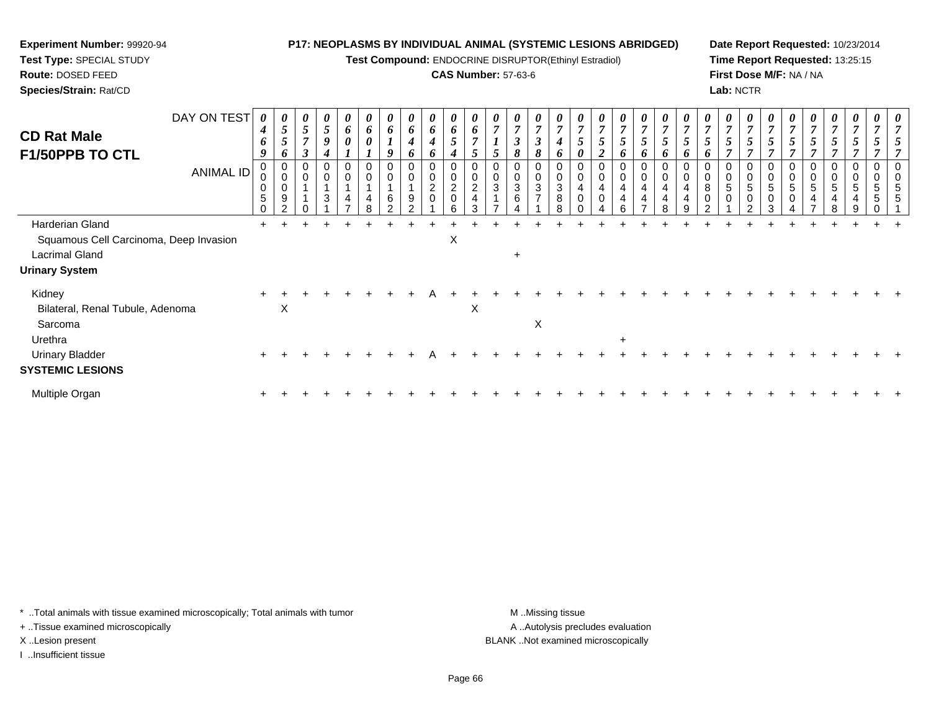**Test Compound:** ENDOCRINE DISRUPTOR(Ethinyl Estradiol)

#### **CAS Number:** 57-63-6

**Date Report Requested:** 10/23/2014**Time Report Requested:** 13:25:15**First Dose M/F:** NA / NA**Lab:** NCTR

| DAY ON TEST<br><b>CD Rat Male</b><br>F1/50PPB TO CTL | 0<br>4<br>6<br>9                           | $\theta$<br>5<br>6      | $\boldsymbol{\theta}$<br>$\mathfrak{s}$<br>$\overline{7}$<br>$\boldsymbol{\beta}$ | 0<br>$\mathfrak{s}$<br>9<br>$\boldsymbol{4}$             | $\boldsymbol{\theta}$<br>6<br>0 | 6<br>0 | 6<br>Q | 0<br>6<br>4<br>6 | $\boldsymbol{\theta}$<br>6<br>$\boldsymbol{4}$<br>0 | $\boldsymbol{\theta}$<br>6<br>$5\overline{)}$<br>4   | 6              | $\theta$ | $\boldsymbol{\theta}$<br>$\boldsymbol{\beta}$<br>8 | 0<br>7<br>$\boldsymbol{\beta}$<br>8              | $\theta$<br>4<br>6    | $\mathcal{L}$    | $\boldsymbol{\theta}$<br>$\overline{7}$<br>5<br>$\mathbf{\hat{z}}$ | 0<br>$\boldsymbol{7}$<br>5    | $\boldsymbol{\theta}$<br>$\overline{ }$<br>5<br>6 | $\theta$<br>5<br>O | 5<br>D        | $\boldsymbol{\theta}$<br>7<br>$\mathfrak{s}$<br>6 | 0<br>$\overline{7}$<br>5     | 0<br>$\overline{7}$<br>$\mathbf{r}$          | 5                    | $\boldsymbol{\theta}$<br>5 | $\boldsymbol{\theta}$<br>5        | $\boldsymbol{\theta}$<br>$\overline{7}$<br>5 | 0 | 0 | $\boldsymbol{\theta}$ |
|------------------------------------------------------|--------------------------------------------|-------------------------|-----------------------------------------------------------------------------------|----------------------------------------------------------|---------------------------------|--------|--------|------------------|-----------------------------------------------------|------------------------------------------------------|----------------|----------|----------------------------------------------------|--------------------------------------------------|-----------------------|------------------|--------------------------------------------------------------------|-------------------------------|---------------------------------------------------|--------------------|---------------|---------------------------------------------------|------------------------------|----------------------------------------------|----------------------|----------------------------|-----------------------------------|----------------------------------------------|---|---|-----------------------|
| <b>ANIMAL ID</b>                                     | 0<br>$\mathbf 0$<br>$\sqrt{5}$<br>$\Omega$ | 0<br>0<br>9<br>$\Omega$ | 0<br>$\pmb{0}$                                                                    | $\mathbf 0$<br>$\pmb{0}$<br>$\mathbf{1}$<br>$\mathbf{3}$ | 0<br>4                          |        | 0<br>6 | 0<br>0<br>9      | 0<br>$\pmb{0}$<br>$\overline{2}$<br>$\pmb{0}$       | 0<br>$\pmb{0}$<br>$\overline{2}$<br>$\mathbf 0$<br>6 | $\overline{c}$ | 0<br>3   | $\mathbf 0$<br>$\mathbf{3}$<br>6                   | 0<br>$\pmb{0}$<br>$\mathbf{3}$<br>$\overline{ }$ | 0<br>0<br>3<br>8<br>8 | $\mathbf 0$<br>0 | 4<br>$\Omega$                                                      | 0<br>0<br>$\overline{4}$<br>4 | 0<br>$\overline{4}$<br>4                          | 0<br>0<br>4<br>8   | 4<br>$\Omega$ | 0<br>0<br>8<br>0<br>⌒                             | $\mathbf 0$<br>5<br>$\Omega$ | 0<br>$\pmb{0}$<br>5<br>$\boldsymbol{0}$<br>ົ | $\sqrt{5}$<br>0<br>3 | 0<br>0<br>5<br>$\mathbf 0$ | 0<br>0<br>5<br>4<br>$\rightarrow$ | $\mathbf 0$<br>5<br>4<br>8                   |   |   |                       |
| Harderian Gland                                      |                                            |                         |                                                                                   |                                                          |                                 |        |        |                  |                                                     |                                                      |                |          |                                                    |                                                  |                       |                  |                                                                    |                               |                                                   |                    |               |                                                   |                              |                                              |                      |                            |                                   |                                              |   |   |                       |
| Squamous Cell Carcinoma, Deep Invasion               |                                            |                         |                                                                                   |                                                          |                                 |        |        |                  |                                                     | $\times$                                             |                |          |                                                    |                                                  |                       |                  |                                                                    |                               |                                                   |                    |               |                                                   |                              |                                              |                      |                            |                                   |                                              |   |   |                       |
| <b>Lacrimal Gland</b>                                |                                            |                         |                                                                                   |                                                          |                                 |        |        |                  |                                                     |                                                      |                |          | $\pm$                                              |                                                  |                       |                  |                                                                    |                               |                                                   |                    |               |                                                   |                              |                                              |                      |                            |                                   |                                              |   |   |                       |
| <b>Urinary System</b>                                |                                            |                         |                                                                                   |                                                          |                                 |        |        |                  |                                                     |                                                      |                |          |                                                    |                                                  |                       |                  |                                                                    |                               |                                                   |                    |               |                                                   |                              |                                              |                      |                            |                                   |                                              |   |   |                       |
| Kidney<br>Bilateral, Renal Tubule, Adenoma           | $\ddot{}$                                  | X                       |                                                                                   |                                                          |                                 |        |        |                  |                                                     |                                                      | X              |          |                                                    |                                                  |                       |                  |                                                                    |                               |                                                   |                    |               |                                                   |                              |                                              |                      |                            |                                   |                                              |   |   |                       |
| Sarcoma                                              |                                            |                         |                                                                                   |                                                          |                                 |        |        |                  |                                                     |                                                      |                |          |                                                    | X                                                |                       |                  |                                                                    |                               |                                                   |                    |               |                                                   |                              |                                              |                      |                            |                                   |                                              |   |   |                       |
| Urethra                                              |                                            |                         |                                                                                   |                                                          |                                 |        |        |                  |                                                     |                                                      |                |          |                                                    |                                                  |                       |                  |                                                                    | $\ddot{}$                     |                                                   |                    |               |                                                   |                              |                                              |                      |                            |                                   |                                              |   |   |                       |
| <b>Urinary Bladder</b>                               |                                            |                         |                                                                                   |                                                          |                                 |        |        |                  |                                                     |                                                      |                |          |                                                    |                                                  |                       |                  |                                                                    |                               |                                                   |                    |               |                                                   |                              |                                              |                      |                            |                                   |                                              |   |   |                       |
| <b>SYSTEMIC LESIONS</b>                              |                                            |                         |                                                                                   |                                                          |                                 |        |        |                  |                                                     |                                                      |                |          |                                                    |                                                  |                       |                  |                                                                    |                               |                                                   |                    |               |                                                   |                              |                                              |                      |                            |                                   |                                              |   |   |                       |
| Multiple Organ                                       |                                            |                         |                                                                                   |                                                          |                                 |        |        |                  |                                                     |                                                      |                |          |                                                    |                                                  |                       |                  |                                                                    |                               |                                                   |                    |               |                                                   |                              |                                              |                      |                            |                                   |                                              |   |   |                       |

\* ..Total animals with tissue examined microscopically; Total animals with tumor **M** . Missing tissue M ..Missing tissue

+ ..Tissue examined microscopically

**Experiment Number:** 99920-94**Test Type:** SPECIAL STUDY**Route:** DOSED FEED**Species/Strain:** Rat/CD

I ..Insufficient tissue

A ..Autolysis precludes evaluation X ..Lesion present BLANK ..Not examined microscopically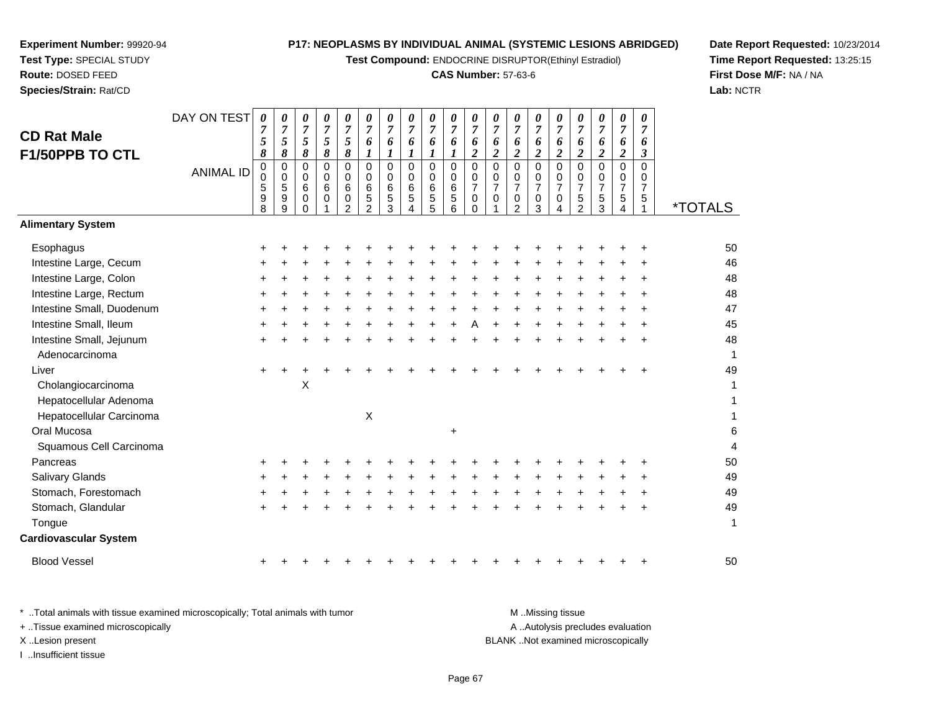**Test Compound:** ENDOCRINE DISRUPTOR(Ethinyl Estradiol)

# **CAS Number:** 57-63-6

**Date Report Requested:** 10/23/2014 **Time Report Requested:** 13:25:15**First Dose M/F:** NA / NA**Lab:** NCTR

| <b>CD Rat Male</b><br>F1/50PPB TO CTL<br><b>Alimentary System</b> | DAY ON TEST<br><b>ANIMAL ID</b> | 0<br>$\overline{7}$<br>5<br>8<br>$\pmb{0}$<br>$\mathbf 0$<br>5<br>9<br>8 | 0<br>$\overline{7}$<br>5<br>8<br>$\pmb{0}$<br>$\mathbf 0$<br>5<br>$\boldsymbol{9}$<br>9 | 0<br>$\overline{7}$<br>5<br>8<br>$\mathbf 0$<br>$\mathbf 0$<br>6<br>$\mathbf 0$<br>$\Omega$ | 0<br>$\overline{7}$<br>5<br>8<br>0<br>0<br>6<br>0 | 0<br>$\overline{7}$<br>5<br>8<br>$\mathsf 0$<br>$\mathsf 0$<br>$\,6\,$<br>$\pmb{0}$<br>$\overline{2}$ | 0<br>$\overline{7}$<br>6<br>1<br>$\Omega$<br>$\mathbf 0$<br>$\,6\,$<br>$\mathbf 5$<br>$\overline{2}$ | 0<br>$\overline{7}$<br>6<br>$\bm{l}$<br>$\mathbf 0$<br>0<br>6<br>$\mathbf 5$<br>3 | 0<br>$\overline{7}$<br>6<br>1<br>$\pmb{0}$<br>$\mathbf 0$<br>6<br>$\sqrt{5}$<br>4 | 0<br>$\overline{7}$<br>6<br>1<br>$\mathbf 0$<br>$\mathbf 0$<br>$\,6$<br>$\sqrt{5}$<br>5 | 0<br>$\overline{7}$<br>6<br>$\bm{l}$<br>$\mathbf 0$<br>$\mathbf 0$<br>6<br>$\mathbf 5$<br>6 | 0<br>$\overline{7}$<br>6<br>$\boldsymbol{2}$<br>$\mathbf 0$<br>$\mathbf 0$<br>$\overline{7}$<br>$\mathbf 0$<br>$\Omega$ | 0<br>$\boldsymbol{7}$<br>6<br>$\overline{2}$<br>$\mathbf 0$<br>$\mathbf 0$<br>$\overline{7}$<br>0 | 0<br>$\overline{7}$<br>6<br>2<br>$\mathbf 0$<br>0<br>$\overline{7}$<br>0<br>$\overline{2}$ | 0<br>$\overline{7}$<br>6<br>$\overline{2}$<br>$\Omega$<br>0<br>$\overline{7}$<br>0<br>3 | 0<br>$\overline{7}$<br>6<br>$\overline{2}$<br>$\overline{0}$<br>0<br>$\overline{7}$<br>0<br>4 | 0<br>$\boldsymbol{7}$<br>6<br>$\overline{c}$<br>$\mathbf 0$<br>$\mathbf 0$<br>$\overline{7}$<br>$\mathbf 5$<br>$\overline{2}$ | 0<br>$\boldsymbol{7}$<br>6<br>$\overline{2}$<br>$\mathbf 0$<br>$\mathbf 0$<br>$\overline{7}$<br>$\sqrt{5}$<br>3 | 0<br>$\overline{7}$<br>6<br>$\boldsymbol{2}$<br>$\mathbf 0$<br>$\mathbf 0$<br>$\overline{7}$<br>5<br>4 | 0<br>$\overline{7}$<br>6<br>3<br>$\Omega$<br>$\mathbf 0$<br>$\overline{7}$<br>$\overline{5}$ | <i><b>*TOTALS</b></i> |
|-------------------------------------------------------------------|---------------------------------|--------------------------------------------------------------------------|-----------------------------------------------------------------------------------------|---------------------------------------------------------------------------------------------|---------------------------------------------------|-------------------------------------------------------------------------------------------------------|------------------------------------------------------------------------------------------------------|-----------------------------------------------------------------------------------|-----------------------------------------------------------------------------------|-----------------------------------------------------------------------------------------|---------------------------------------------------------------------------------------------|-------------------------------------------------------------------------------------------------------------------------|---------------------------------------------------------------------------------------------------|--------------------------------------------------------------------------------------------|-----------------------------------------------------------------------------------------|-----------------------------------------------------------------------------------------------|-------------------------------------------------------------------------------------------------------------------------------|-----------------------------------------------------------------------------------------------------------------|--------------------------------------------------------------------------------------------------------|----------------------------------------------------------------------------------------------|-----------------------|
| Esophagus                                                         |                                 |                                                                          |                                                                                         |                                                                                             |                                                   |                                                                                                       |                                                                                                      |                                                                                   |                                                                                   |                                                                                         |                                                                                             |                                                                                                                         |                                                                                                   |                                                                                            |                                                                                         |                                                                                               |                                                                                                                               |                                                                                                                 |                                                                                                        |                                                                                              | 50                    |
| Intestine Large, Cecum                                            |                                 |                                                                          |                                                                                         |                                                                                             |                                                   |                                                                                                       |                                                                                                      |                                                                                   |                                                                                   |                                                                                         |                                                                                             |                                                                                                                         |                                                                                                   |                                                                                            |                                                                                         |                                                                                               |                                                                                                                               |                                                                                                                 |                                                                                                        |                                                                                              | 46                    |
| Intestine Large, Colon                                            |                                 |                                                                          |                                                                                         |                                                                                             |                                                   |                                                                                                       |                                                                                                      |                                                                                   |                                                                                   |                                                                                         |                                                                                             |                                                                                                                         |                                                                                                   |                                                                                            |                                                                                         |                                                                                               |                                                                                                                               |                                                                                                                 |                                                                                                        |                                                                                              | 48                    |
| Intestine Large, Rectum                                           |                                 |                                                                          |                                                                                         |                                                                                             |                                                   |                                                                                                       |                                                                                                      |                                                                                   |                                                                                   |                                                                                         |                                                                                             |                                                                                                                         |                                                                                                   |                                                                                            |                                                                                         |                                                                                               |                                                                                                                               |                                                                                                                 |                                                                                                        |                                                                                              | 48                    |
| Intestine Small, Duodenum                                         |                                 |                                                                          |                                                                                         |                                                                                             |                                                   |                                                                                                       |                                                                                                      |                                                                                   |                                                                                   |                                                                                         |                                                                                             |                                                                                                                         |                                                                                                   |                                                                                            |                                                                                         |                                                                                               |                                                                                                                               |                                                                                                                 |                                                                                                        |                                                                                              | 47                    |
| Intestine Small, Ileum                                            |                                 |                                                                          |                                                                                         |                                                                                             |                                                   |                                                                                                       |                                                                                                      |                                                                                   |                                                                                   |                                                                                         |                                                                                             |                                                                                                                         |                                                                                                   |                                                                                            |                                                                                         |                                                                                               |                                                                                                                               |                                                                                                                 |                                                                                                        |                                                                                              | 45                    |
| Intestine Small, Jejunum                                          |                                 |                                                                          |                                                                                         |                                                                                             |                                                   |                                                                                                       |                                                                                                      |                                                                                   |                                                                                   |                                                                                         |                                                                                             |                                                                                                                         |                                                                                                   |                                                                                            |                                                                                         |                                                                                               |                                                                                                                               |                                                                                                                 |                                                                                                        |                                                                                              | 48                    |
| Adenocarcinoma                                                    |                                 |                                                                          |                                                                                         |                                                                                             |                                                   |                                                                                                       |                                                                                                      |                                                                                   |                                                                                   |                                                                                         |                                                                                             |                                                                                                                         |                                                                                                   |                                                                                            |                                                                                         |                                                                                               |                                                                                                                               |                                                                                                                 |                                                                                                        |                                                                                              | 1                     |
| Liver                                                             |                                 |                                                                          |                                                                                         |                                                                                             |                                                   |                                                                                                       |                                                                                                      |                                                                                   |                                                                                   |                                                                                         |                                                                                             |                                                                                                                         |                                                                                                   |                                                                                            |                                                                                         |                                                                                               |                                                                                                                               |                                                                                                                 |                                                                                                        |                                                                                              | 49                    |
| Cholangiocarcinoma                                                |                                 |                                                                          |                                                                                         | X                                                                                           |                                                   |                                                                                                       |                                                                                                      |                                                                                   |                                                                                   |                                                                                         |                                                                                             |                                                                                                                         |                                                                                                   |                                                                                            |                                                                                         |                                                                                               |                                                                                                                               |                                                                                                                 |                                                                                                        |                                                                                              | 1                     |
| Hepatocellular Adenoma                                            |                                 |                                                                          |                                                                                         |                                                                                             |                                                   |                                                                                                       |                                                                                                      |                                                                                   |                                                                                   |                                                                                         |                                                                                             |                                                                                                                         |                                                                                                   |                                                                                            |                                                                                         |                                                                                               |                                                                                                                               |                                                                                                                 |                                                                                                        |                                                                                              |                       |
| Hepatocellular Carcinoma                                          |                                 |                                                                          |                                                                                         |                                                                                             |                                                   |                                                                                                       | $\boldsymbol{\mathsf{X}}$                                                                            |                                                                                   |                                                                                   |                                                                                         |                                                                                             |                                                                                                                         |                                                                                                   |                                                                                            |                                                                                         |                                                                                               |                                                                                                                               |                                                                                                                 |                                                                                                        |                                                                                              | 1                     |
| Oral Mucosa                                                       |                                 |                                                                          |                                                                                         |                                                                                             |                                                   |                                                                                                       |                                                                                                      |                                                                                   |                                                                                   |                                                                                         | $\ddot{}$                                                                                   |                                                                                                                         |                                                                                                   |                                                                                            |                                                                                         |                                                                                               |                                                                                                                               |                                                                                                                 |                                                                                                        |                                                                                              | 6                     |
| Squamous Cell Carcinoma                                           |                                 |                                                                          |                                                                                         |                                                                                             |                                                   |                                                                                                       |                                                                                                      |                                                                                   |                                                                                   |                                                                                         |                                                                                             |                                                                                                                         |                                                                                                   |                                                                                            |                                                                                         |                                                                                               |                                                                                                                               |                                                                                                                 |                                                                                                        |                                                                                              | $\overline{4}$        |
| Pancreas                                                          |                                 |                                                                          |                                                                                         |                                                                                             |                                                   |                                                                                                       |                                                                                                      |                                                                                   |                                                                                   |                                                                                         |                                                                                             |                                                                                                                         |                                                                                                   |                                                                                            |                                                                                         |                                                                                               |                                                                                                                               |                                                                                                                 |                                                                                                        |                                                                                              | 50                    |
| Salivary Glands                                                   |                                 |                                                                          |                                                                                         |                                                                                             |                                                   |                                                                                                       |                                                                                                      |                                                                                   |                                                                                   |                                                                                         |                                                                                             |                                                                                                                         |                                                                                                   |                                                                                            |                                                                                         |                                                                                               |                                                                                                                               |                                                                                                                 |                                                                                                        |                                                                                              | 49                    |
| Stomach, Forestomach                                              |                                 |                                                                          |                                                                                         |                                                                                             |                                                   |                                                                                                       |                                                                                                      |                                                                                   |                                                                                   |                                                                                         |                                                                                             |                                                                                                                         |                                                                                                   |                                                                                            |                                                                                         |                                                                                               |                                                                                                                               |                                                                                                                 |                                                                                                        |                                                                                              | 49                    |
| Stomach, Glandular                                                |                                 |                                                                          |                                                                                         |                                                                                             |                                                   |                                                                                                       |                                                                                                      |                                                                                   |                                                                                   |                                                                                         |                                                                                             |                                                                                                                         |                                                                                                   |                                                                                            |                                                                                         |                                                                                               |                                                                                                                               |                                                                                                                 |                                                                                                        |                                                                                              | 49                    |
| Tongue                                                            |                                 |                                                                          |                                                                                         |                                                                                             |                                                   |                                                                                                       |                                                                                                      |                                                                                   |                                                                                   |                                                                                         |                                                                                             |                                                                                                                         |                                                                                                   |                                                                                            |                                                                                         |                                                                                               |                                                                                                                               |                                                                                                                 |                                                                                                        |                                                                                              | 1                     |
| <b>Cardiovascular System</b>                                      |                                 |                                                                          |                                                                                         |                                                                                             |                                                   |                                                                                                       |                                                                                                      |                                                                                   |                                                                                   |                                                                                         |                                                                                             |                                                                                                                         |                                                                                                   |                                                                                            |                                                                                         |                                                                                               |                                                                                                                               |                                                                                                                 |                                                                                                        |                                                                                              |                       |
| <b>Blood Vessel</b>                                               |                                 |                                                                          |                                                                                         |                                                                                             |                                                   |                                                                                                       |                                                                                                      |                                                                                   |                                                                                   |                                                                                         |                                                                                             |                                                                                                                         |                                                                                                   |                                                                                            |                                                                                         |                                                                                               |                                                                                                                               |                                                                                                                 |                                                                                                        |                                                                                              | 50                    |

| * Total animals with tissue examined microscopically; Total animals with tumor | M Missing tissue                   |
|--------------------------------------------------------------------------------|------------------------------------|
| + Tissue examined microscopically                                              | A Autolysis precludes evaluation   |
| X Lesion present                                                               | BLANK Not examined microscopically |
| …Insufficient tissue                                                           |                                    |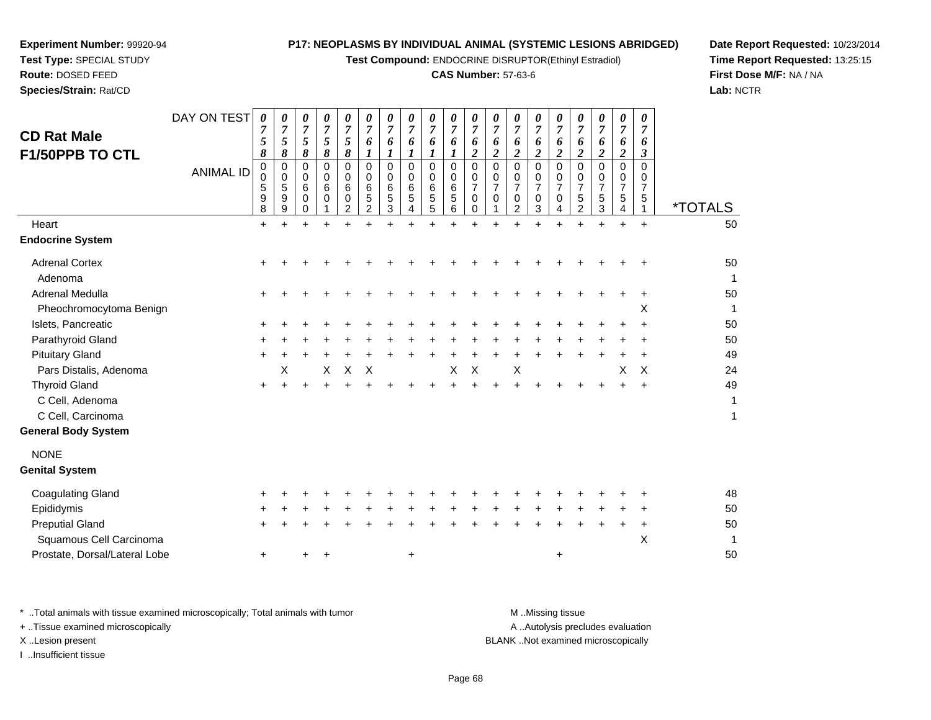**Test Compound:** ENDOCRINE DISRUPTOR(Ethinyl Estradiol)

#### **CAS Number:** 57-63-6

**Date Report Requested:** 10/23/2014**Time Report Requested:** 13:25:15**First Dose M/F:** NA / NA**Lab:** NCTR

| <b>CD Rat Male</b><br>F1/50PPB TO CTL | DAY ON TEST<br><b>ANIMAL ID</b> | 0<br>7<br>5<br>8<br>0<br>$\mathbf 0$<br>5<br>9 | 0<br>$\overline{7}$<br>5<br>8<br>0<br>0<br>5<br>9 | 0<br>$\overline{7}$<br>$5\overline{)}$<br>8<br>0<br>0<br>6<br>$\mathbf 0$ | 0<br>$\overline{7}$<br>5<br>8<br>0<br>$\mathbf 0$<br>6<br>$\Omega$ | 0<br>$\overline{7}$<br>5<br>8<br>$\mathbf 0$<br>$\mathbf 0$<br>6<br>0 | 0<br>$\overline{7}$<br>6<br>1<br>$\Omega$<br>0<br>6<br>$\mathbf 5$ | 0<br>$\overline{7}$<br>6<br>1<br>$\mathbf 0$<br>$\Omega$<br>6<br>5 | 0<br>$\overline{7}$<br>6<br>1<br>0<br>0<br>6<br>5 | 0<br>7<br>6<br>1<br>$\mathbf 0$<br>$\mathbf 0$<br>6<br>5 | 0<br>$\boldsymbol{7}$<br>6<br>$\boldsymbol{l}$<br>$\pmb{0}$<br>$\mathbf 0$<br>$\,6\,$<br>$\sqrt{5}$ | 0<br>$\overline{7}$<br>6<br>$\boldsymbol{2}$<br>$\mathbf 0$<br>$\mathbf 0$<br>$\overline{7}$<br>$\mathbf 0$ | 0<br>$\overline{7}$<br>6<br>$\boldsymbol{2}$<br>$\mathbf 0$<br>0<br>$\overline{7}$<br>$\Omega$ | 0<br>$\overline{7}$<br>6<br>$\overline{2}$<br>0<br>0<br>7<br>$\pmb{0}$ | 0<br>7<br>6<br>$\overline{2}$<br>0<br>0<br>0 | 0<br>$\overline{7}$<br>6<br>$\overline{2}$<br>0<br>$\Omega$<br>7<br>$\mathbf 0$ | 0<br>$\overline{7}$<br>6<br>$\overline{2}$<br>$\mathbf 0$<br>0<br>7<br>$\sqrt{5}$ | 0<br>$\overline{7}$<br>6<br>$\boldsymbol{2}$<br>$\mathbf 0$<br>$\Omega$<br>7<br>5 | 0<br>$\overline{7}$<br>6<br>$\boldsymbol{2}$<br>0<br>0<br>7<br>$\sqrt{5}$ | 0<br>$\overline{7}$<br>6<br>3<br>$\Omega$<br>$\Omega$<br>7<br>5 |                             |
|---------------------------------------|---------------------------------|------------------------------------------------|---------------------------------------------------|---------------------------------------------------------------------------|--------------------------------------------------------------------|-----------------------------------------------------------------------|--------------------------------------------------------------------|--------------------------------------------------------------------|---------------------------------------------------|----------------------------------------------------------|-----------------------------------------------------------------------------------------------------|-------------------------------------------------------------------------------------------------------------|------------------------------------------------------------------------------------------------|------------------------------------------------------------------------|----------------------------------------------|---------------------------------------------------------------------------------|-----------------------------------------------------------------------------------|-----------------------------------------------------------------------------------|---------------------------------------------------------------------------|-----------------------------------------------------------------|-----------------------------|
| Heart                                 |                                 | 8                                              | $\boldsymbol{9}$                                  | 0                                                                         |                                                                    | $\overline{2}$                                                        | $\overline{c}$                                                     | $\mathbf{3}$                                                       | 4                                                 | 5                                                        | 6                                                                                                   | 0                                                                                                           |                                                                                                | $\overline{c}$                                                         | 3                                            | 4                                                                               | $\overline{2}$                                                                    | 3                                                                                 | 4                                                                         |                                                                 | <i><b>*TOTALS</b></i><br>50 |
|                                       |                                 | $\ddot{}$                                      | $+$                                               | ÷                                                                         |                                                                    |                                                                       |                                                                    |                                                                    | $\ddot{}$                                         | $+$                                                      | ÷                                                                                                   |                                                                                                             | ÷                                                                                              | ÷                                                                      | $+$                                          | $+$                                                                             |                                                                                   | +                                                                                 | $\ddot{}$                                                                 | $\ddot{}$                                                       |                             |
| <b>Endocrine System</b>               |                                 |                                                |                                                   |                                                                           |                                                                    |                                                                       |                                                                    |                                                                    |                                                   |                                                          |                                                                                                     |                                                                                                             |                                                                                                |                                                                        |                                              |                                                                                 |                                                                                   |                                                                                   |                                                                           |                                                                 |                             |
| <b>Adrenal Cortex</b>                 |                                 |                                                |                                                   |                                                                           |                                                                    |                                                                       |                                                                    |                                                                    |                                                   |                                                          |                                                                                                     |                                                                                                             |                                                                                                |                                                                        |                                              |                                                                                 |                                                                                   |                                                                                   |                                                                           |                                                                 | 50                          |
| Adenoma                               |                                 |                                                |                                                   |                                                                           |                                                                    |                                                                       |                                                                    |                                                                    |                                                   |                                                          |                                                                                                     |                                                                                                             |                                                                                                |                                                                        |                                              |                                                                                 |                                                                                   |                                                                                   |                                                                           |                                                                 | 1                           |
| Adrenal Medulla                       |                                 |                                                |                                                   |                                                                           |                                                                    |                                                                       |                                                                    |                                                                    |                                                   |                                                          |                                                                                                     |                                                                                                             |                                                                                                |                                                                        |                                              |                                                                                 |                                                                                   |                                                                                   |                                                                           |                                                                 | 50                          |
| Pheochromocytoma Benign               |                                 |                                                |                                                   |                                                                           |                                                                    |                                                                       |                                                                    |                                                                    |                                                   |                                                          |                                                                                                     |                                                                                                             |                                                                                                |                                                                        |                                              |                                                                                 |                                                                                   |                                                                                   |                                                                           | X                                                               | 1                           |
| Islets, Pancreatic                    |                                 |                                                |                                                   |                                                                           |                                                                    |                                                                       |                                                                    |                                                                    |                                                   |                                                          |                                                                                                     |                                                                                                             |                                                                                                |                                                                        |                                              |                                                                                 |                                                                                   |                                                                                   |                                                                           |                                                                 | 50                          |
| Parathyroid Gland                     |                                 |                                                |                                                   |                                                                           |                                                                    |                                                                       |                                                                    |                                                                    |                                                   |                                                          |                                                                                                     |                                                                                                             |                                                                                                |                                                                        |                                              |                                                                                 |                                                                                   |                                                                                   |                                                                           |                                                                 | 50                          |
| <b>Pituitary Gland</b>                |                                 | $\ddot{}$                                      |                                                   |                                                                           |                                                                    |                                                                       |                                                                    |                                                                    |                                                   |                                                          |                                                                                                     |                                                                                                             |                                                                                                |                                                                        |                                              |                                                                                 |                                                                                   |                                                                                   |                                                                           |                                                                 | 49                          |
| Pars Distalis, Adenoma                |                                 |                                                | х                                                 |                                                                           | X                                                                  | Χ                                                                     | X                                                                  |                                                                    |                                                   |                                                          | X                                                                                                   | X                                                                                                           |                                                                                                | X                                                                      |                                              |                                                                                 |                                                                                   |                                                                                   | X                                                                         | X                                                               | 24                          |
| <b>Thyroid Gland</b>                  |                                 | ٠                                              |                                                   |                                                                           |                                                                    |                                                                       |                                                                    |                                                                    |                                                   |                                                          |                                                                                                     |                                                                                                             |                                                                                                |                                                                        |                                              |                                                                                 |                                                                                   |                                                                                   |                                                                           |                                                                 | 49                          |
| C Cell, Adenoma                       |                                 |                                                |                                                   |                                                                           |                                                                    |                                                                       |                                                                    |                                                                    |                                                   |                                                          |                                                                                                     |                                                                                                             |                                                                                                |                                                                        |                                              |                                                                                 |                                                                                   |                                                                                   |                                                                           |                                                                 | $\mathbf{1}$                |
| C Cell, Carcinoma                     |                                 |                                                |                                                   |                                                                           |                                                                    |                                                                       |                                                                    |                                                                    |                                                   |                                                          |                                                                                                     |                                                                                                             |                                                                                                |                                                                        |                                              |                                                                                 |                                                                                   |                                                                                   |                                                                           |                                                                 | 1                           |
| <b>General Body System</b>            |                                 |                                                |                                                   |                                                                           |                                                                    |                                                                       |                                                                    |                                                                    |                                                   |                                                          |                                                                                                     |                                                                                                             |                                                                                                |                                                                        |                                              |                                                                                 |                                                                                   |                                                                                   |                                                                           |                                                                 |                             |
| <b>NONE</b>                           |                                 |                                                |                                                   |                                                                           |                                                                    |                                                                       |                                                                    |                                                                    |                                                   |                                                          |                                                                                                     |                                                                                                             |                                                                                                |                                                                        |                                              |                                                                                 |                                                                                   |                                                                                   |                                                                           |                                                                 |                             |
| <b>Genital System</b>                 |                                 |                                                |                                                   |                                                                           |                                                                    |                                                                       |                                                                    |                                                                    |                                                   |                                                          |                                                                                                     |                                                                                                             |                                                                                                |                                                                        |                                              |                                                                                 |                                                                                   |                                                                                   |                                                                           |                                                                 |                             |
| <b>Coagulating Gland</b>              |                                 |                                                |                                                   |                                                                           |                                                                    |                                                                       |                                                                    |                                                                    |                                                   |                                                          |                                                                                                     |                                                                                                             |                                                                                                |                                                                        |                                              |                                                                                 |                                                                                   |                                                                                   |                                                                           |                                                                 | 48                          |
| Epididymis                            |                                 |                                                |                                                   |                                                                           |                                                                    |                                                                       |                                                                    |                                                                    |                                                   |                                                          |                                                                                                     |                                                                                                             |                                                                                                |                                                                        |                                              |                                                                                 |                                                                                   |                                                                                   |                                                                           |                                                                 | 50                          |
| <b>Preputial Gland</b>                |                                 | ٠                                              |                                                   |                                                                           |                                                                    |                                                                       |                                                                    |                                                                    |                                                   |                                                          |                                                                                                     |                                                                                                             |                                                                                                |                                                                        |                                              |                                                                                 |                                                                                   |                                                                                   |                                                                           | +                                                               | 50                          |
| Squamous Cell Carcinoma               |                                 |                                                |                                                   |                                                                           |                                                                    |                                                                       |                                                                    |                                                                    |                                                   |                                                          |                                                                                                     |                                                                                                             |                                                                                                |                                                                        |                                              |                                                                                 |                                                                                   |                                                                                   |                                                                           | X                                                               | 1                           |
| Prostate, Dorsal/Lateral Lobe         |                                 | $\ddot{}$                                      |                                                   | +                                                                         |                                                                    |                                                                       |                                                                    |                                                                    | $\ddot{}$                                         |                                                          |                                                                                                     |                                                                                                             |                                                                                                |                                                                        |                                              | +                                                                               |                                                                                   |                                                                                   |                                                                           |                                                                 | 50                          |
|                                       |                                 |                                                |                                                   |                                                                           |                                                                    |                                                                       |                                                                    |                                                                    |                                                   |                                                          |                                                                                                     |                                                                                                             |                                                                                                |                                                                        |                                              |                                                                                 |                                                                                   |                                                                                   |                                                                           |                                                                 |                             |

\* ..Total animals with tissue examined microscopically; Total animals with tumor **M** . Missing tissue M ..Missing tissue + ..Tissue examined microscopically X ..Lesion present BLANK ..Not examined microscopically

I ..Insufficient tissue

**Experiment Number:** 99920-94**Test Type:** SPECIAL STUDY**Route:** DOSED FEED**Species/Strain:** Rat/CD

A ..Autolysis precludes evaluation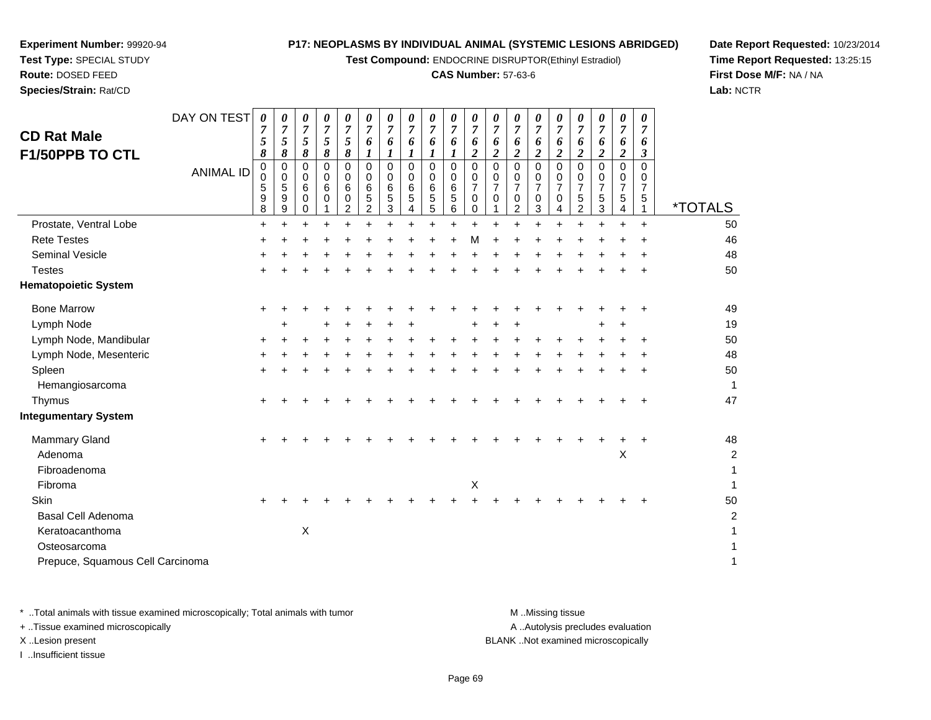**Test Compound:** ENDOCRINE DISRUPTOR(Ethinyl Estradiol)

#### **CAS Number:** 57-63-6

**Date Report Requested:** 10/23/2014**Time Report Requested:** 13:25:15**First Dose M/F:** NA / NA**Lab:** NCTR

| Prostate, Ventral Lobe<br>$\ddot{}$<br>$\ddot{}$<br>$\ddot{}$<br>$\ddot{}$<br>$\ddot{}$<br>÷<br>÷<br>$\ddot{}$<br>$+$<br>÷<br>÷<br>÷<br>$\ddot{}$<br>$+$<br>$\ddot{}$<br>+<br><b>Rete Testes</b><br>м<br>٠<br><b>Seminal Vesicle</b><br><b>Testes</b><br><b>Hematopoietic System</b><br><b>Bone Marrow</b><br>$\ddot{}$<br>+<br>Lymph Node<br>Lymph Node, Mandibular<br>+<br>٠<br>٠<br>Lymph Node, Mesenteric<br>Spleen<br>$\ddot{}$<br>+<br>÷<br>Hemangiosarcoma<br>Thymus<br>٠<br><b>Integumentary System</b><br><b>Mammary Gland</b><br>+<br>+<br>Χ<br>Adenoma<br>Fibroadenoma<br>$\boldsymbol{\mathsf{X}}$<br>Fibroma<br>Skin<br>$\ddot{}$<br><b>Basal Cell Adenoma</b><br>X<br>Keratoacanthoma<br>Osteosarcoma | <i><b>*TOTALS</b></i>   |
|---------------------------------------------------------------------------------------------------------------------------------------------------------------------------------------------------------------------------------------------------------------------------------------------------------------------------------------------------------------------------------------------------------------------------------------------------------------------------------------------------------------------------------------------------------------------------------------------------------------------------------------------------------------------------------------------------------------------|-------------------------|
|                                                                                                                                                                                                                                                                                                                                                                                                                                                                                                                                                                                                                                                                                                                     | 50                      |
|                                                                                                                                                                                                                                                                                                                                                                                                                                                                                                                                                                                                                                                                                                                     | 46                      |
|                                                                                                                                                                                                                                                                                                                                                                                                                                                                                                                                                                                                                                                                                                                     | 48                      |
|                                                                                                                                                                                                                                                                                                                                                                                                                                                                                                                                                                                                                                                                                                                     | 50                      |
|                                                                                                                                                                                                                                                                                                                                                                                                                                                                                                                                                                                                                                                                                                                     |                         |
|                                                                                                                                                                                                                                                                                                                                                                                                                                                                                                                                                                                                                                                                                                                     | 49                      |
|                                                                                                                                                                                                                                                                                                                                                                                                                                                                                                                                                                                                                                                                                                                     | 19                      |
|                                                                                                                                                                                                                                                                                                                                                                                                                                                                                                                                                                                                                                                                                                                     | 50                      |
|                                                                                                                                                                                                                                                                                                                                                                                                                                                                                                                                                                                                                                                                                                                     | 48                      |
|                                                                                                                                                                                                                                                                                                                                                                                                                                                                                                                                                                                                                                                                                                                     | 50                      |
|                                                                                                                                                                                                                                                                                                                                                                                                                                                                                                                                                                                                                                                                                                                     | 1                       |
|                                                                                                                                                                                                                                                                                                                                                                                                                                                                                                                                                                                                                                                                                                                     | 47                      |
|                                                                                                                                                                                                                                                                                                                                                                                                                                                                                                                                                                                                                                                                                                                     |                         |
|                                                                                                                                                                                                                                                                                                                                                                                                                                                                                                                                                                                                                                                                                                                     | 48                      |
|                                                                                                                                                                                                                                                                                                                                                                                                                                                                                                                                                                                                                                                                                                                     | $\overline{\mathbf{c}}$ |
|                                                                                                                                                                                                                                                                                                                                                                                                                                                                                                                                                                                                                                                                                                                     | 1                       |
|                                                                                                                                                                                                                                                                                                                                                                                                                                                                                                                                                                                                                                                                                                                     |                         |
|                                                                                                                                                                                                                                                                                                                                                                                                                                                                                                                                                                                                                                                                                                                     | 50                      |
|                                                                                                                                                                                                                                                                                                                                                                                                                                                                                                                                                                                                                                                                                                                     | 2                       |
|                                                                                                                                                                                                                                                                                                                                                                                                                                                                                                                                                                                                                                                                                                                     |                         |
|                                                                                                                                                                                                                                                                                                                                                                                                                                                                                                                                                                                                                                                                                                                     |                         |
| Prepuce, Squamous Cell Carcinoma                                                                                                                                                                                                                                                                                                                                                                                                                                                                                                                                                                                                                                                                                    | 1                       |

**Experiment Number:** 99920-94**Test Type:** SPECIAL STUDY**Route:** DOSED FEED**Species/Strain:** Rat/CD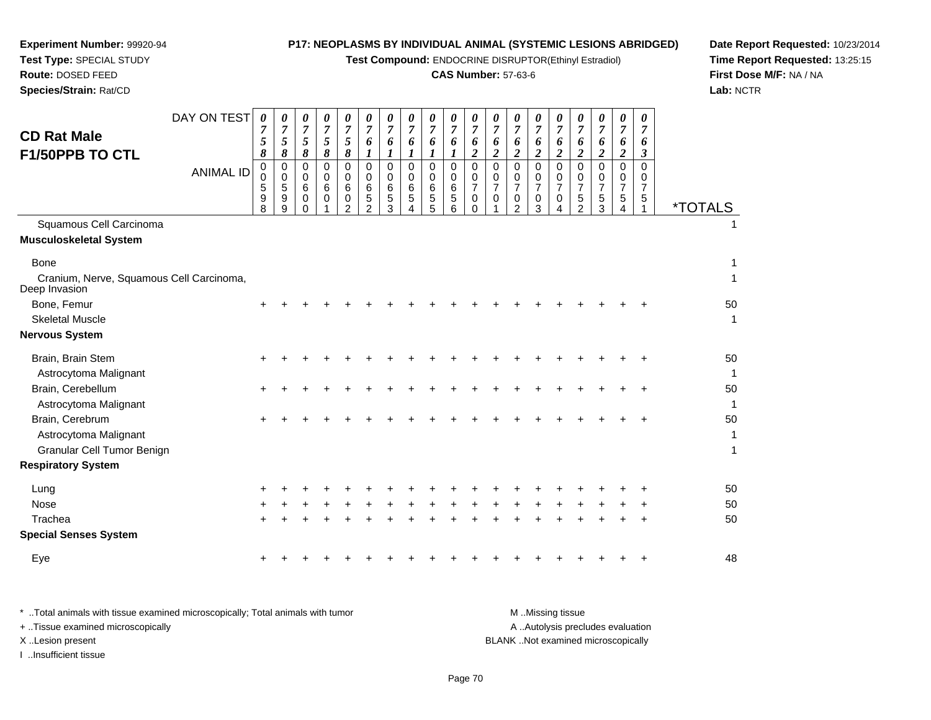| Experiment Number: 99920-94                               | P17: NEOPLASMS BY INDIVIDUAL ANIMAL (SYSTEMIC LESIONS ABRIDGED) |                                                       |                              |                              |                              |                       |                                 |                       |                                 |                                 |                       |                     |                              |                         |                       | Date Repor           |                                      |                      |                       |                           |                       |    |
|-----------------------------------------------------------|-----------------------------------------------------------------|-------------------------------------------------------|------------------------------|------------------------------|------------------------------|-----------------------|---------------------------------|-----------------------|---------------------------------|---------------------------------|-----------------------|---------------------|------------------------------|-------------------------|-----------------------|----------------------|--------------------------------------|----------------------|-----------------------|---------------------------|-----------------------|----|
| Test Type: SPECIAL STUDY                                  |                                                                 | Test Compound: ENDOCRINE DISRUPTOR(Ethinyl Estradiol) |                              |                              |                              |                       |                                 |                       |                                 |                                 |                       |                     |                              |                         |                       |                      |                                      | <b>Time Repor</b>    |                       |                           |                       |    |
| Route: DOSED FEED                                         |                                                                 | <b>CAS Number: 57-63-6</b>                            |                              |                              |                              |                       |                                 |                       |                                 |                                 |                       |                     |                              |                         |                       |                      |                                      | <b>First Dose I</b>  |                       |                           |                       |    |
| Species/Strain: Rat/CD                                    |                                                                 |                                                       |                              |                              |                              |                       |                                 |                       |                                 |                                 |                       |                     |                              |                         |                       |                      | Lab: NCTR                            |                      |                       |                           |                       |    |
|                                                           | DAY ON TEST                                                     | $\boldsymbol{\theta}$                                 | $\boldsymbol{\theta}$        | $\boldsymbol{\theta}$        | $\theta$                     | 0                     | $\boldsymbol{\theta}$           | $\boldsymbol{\theta}$ | 0                               | 0                               | $\theta$              | 0                   | 0                            | $\theta$                | 0                     | 0                    | $\boldsymbol{\theta}$                | 0                    | 0                     | $\theta$                  |                       |    |
| <b>CD Rat Male</b>                                        |                                                                 | 7<br>5                                                | $\overline{7}$<br>$\sqrt{5}$ | $\overline{7}$<br>$\sqrt{5}$ | $\overline{7}$<br>$\sqrt{5}$ | $\overline{7}$<br>5   | $\overline{7}$<br>6             | $\overline{7}$        | $\overline{7}$                  | $\overline{7}$                  | $\overline{7}$        | $\overline{7}$      | $\overline{7}$               | $\overline{7}$          | $\overline{7}$        | $\overline{7}$       | $\overline{7}$                       | $\overline{7}$       | $\overline{7}$        | $\overline{7}$            |                       |    |
| F1/50PPB TO CTL                                           |                                                                 | 8                                                     | 8                            | 8                            | 8                            | 8                     | $\boldsymbol{l}$                | 6<br>$\boldsymbol{l}$ | 6<br>$\boldsymbol{l}$           | 6<br>1                          | 6<br>$\boldsymbol{l}$ | 6<br>$\overline{2}$ | 6<br>$\overline{\mathbf{2}}$ | 6<br>$\overline{c}$     | 6<br>$\overline{2}$   | 6<br>$\overline{c}$  | 6<br>$\overline{c}$                  | 6<br>$\overline{2}$  | 6<br>$\boldsymbol{2}$ | 6<br>$\boldsymbol{\beta}$ |                       |    |
|                                                           | <b>ANIMAL ID</b>                                                | 0<br>0                                                | 0<br>0                       | 0<br>$\mathbf 0$             | $\mathbf 0$<br>$\mathbf 0$   | $\mathbf 0$<br>0<br>6 | $\mathbf 0$<br>$\mathbf 0$<br>6 | 0<br>0<br>6           | $\mathbf 0$<br>$\mathbf 0$<br>6 | $\mathbf 0$<br>$\mathbf 0$<br>6 | 0<br>$\mathbf 0$<br>6 | 0<br>0<br>7         | 0<br>0<br>7                  | $\Omega$<br>0           | 0<br>0                | $\Omega$<br>$\Omega$ | $\Omega$<br>$\Omega$                 | $\Omega$<br>$\Omega$ | $\Omega$<br>$\Omega$  | $\Omega$<br>0             |                       |    |
|                                                           |                                                                 | 5<br>9<br>8                                           | 5<br>9<br>9                  | 6<br>0<br>$\Omega$           | 6<br>$\Omega$                | 0<br>$\overline{2}$   | 5<br>$\overline{2}$             | 5<br>3                | 5<br>4                          | 5<br>5                          | 5<br>6                | 0<br>0              | $\Omega$                     | 7<br>0<br>$\mathcal{P}$ | 7<br>$\mathbf 0$<br>3 | $\overline{7}$<br>0  | $\overline{7}$<br>5<br>$\mathcal{P}$ | 7<br>5<br>3          | 7<br>5                | 7<br>5                    | <i><b>*TOTALS</b></i> |    |
| Squamous Cell Carcinoma                                   |                                                                 |                                                       |                              |                              |                              |                       |                                 |                       |                                 |                                 |                       |                     |                              |                         |                       |                      |                                      |                      |                       |                           |                       |    |
| <b>Musculoskeletal System</b>                             |                                                                 |                                                       |                              |                              |                              |                       |                                 |                       |                                 |                                 |                       |                     |                              |                         |                       |                      |                                      |                      |                       |                           |                       |    |
| Bone                                                      |                                                                 |                                                       |                              |                              |                              |                       |                                 |                       |                                 |                                 |                       |                     |                              |                         |                       |                      |                                      |                      |                       |                           |                       | 1  |
| Cranium, Nerve, Squamous Cell Carcinoma,<br>Deep Invasion |                                                                 |                                                       |                              |                              |                              |                       |                                 |                       |                                 |                                 |                       |                     |                              |                         |                       |                      |                                      |                      |                       |                           |                       |    |
| Bone, Femur                                               |                                                                 |                                                       |                              |                              |                              |                       |                                 |                       |                                 |                                 |                       |                     |                              |                         |                       |                      |                                      |                      |                       |                           |                       | 50 |
| <b>Skeletal Muscle</b>                                    |                                                                 |                                                       |                              |                              |                              |                       |                                 |                       |                                 |                                 |                       |                     |                              |                         |                       |                      |                                      |                      |                       |                           |                       |    |
| <b>Nervous System</b>                                     |                                                                 |                                                       |                              |                              |                              |                       |                                 |                       |                                 |                                 |                       |                     |                              |                         |                       |                      |                                      |                      |                       |                           |                       |    |
| Brain, Brain Stem                                         |                                                                 |                                                       |                              |                              |                              |                       |                                 |                       |                                 |                                 |                       |                     |                              |                         |                       |                      |                                      |                      |                       |                           |                       | 50 |
| Astrocytoma Malignant                                     |                                                                 |                                                       |                              |                              |                              |                       |                                 |                       |                                 |                                 |                       |                     |                              |                         |                       |                      |                                      |                      |                       |                           |                       | 1  |
| Brain, Cerebellum                                         |                                                                 |                                                       |                              |                              |                              |                       |                                 |                       |                                 |                                 |                       |                     |                              |                         |                       |                      |                                      |                      |                       |                           |                       | 50 |
| Astrocytoma Malignant                                     |                                                                 |                                                       |                              |                              |                              |                       |                                 |                       |                                 |                                 |                       |                     |                              |                         |                       |                      |                                      |                      |                       |                           |                       |    |
| Brain, Cerebrum                                           |                                                                 |                                                       |                              |                              |                              |                       |                                 |                       |                                 |                                 |                       |                     |                              |                         |                       |                      |                                      |                      |                       |                           |                       | 50 |
| Astrocytoma Malignant                                     |                                                                 |                                                       |                              |                              |                              |                       |                                 |                       |                                 |                                 |                       |                     |                              |                         |                       |                      |                                      |                      |                       |                           |                       |    |
| Granular Cell Tumor Benign                                |                                                                 |                                                       |                              |                              |                              |                       |                                 |                       |                                 |                                 |                       |                     |                              |                         |                       |                      |                                      |                      |                       |                           |                       |    |
| <b>Respiratory System</b>                                 |                                                                 |                                                       |                              |                              |                              |                       |                                 |                       |                                 |                                 |                       |                     |                              |                         |                       |                      |                                      |                      |                       |                           |                       |    |
| Lung                                                      |                                                                 |                                                       |                              |                              |                              |                       |                                 |                       |                                 |                                 |                       |                     |                              |                         |                       |                      |                                      |                      |                       |                           |                       | 50 |

**Date Report Requested:** 10/23/2014**Time Report Requested:** 13:25:15**M/F:** NA / NA

| * Total animals with tissue examined microscopically; Total animals with tumor | M Missing tissue                   |
|--------------------------------------------------------------------------------|------------------------------------|
| + Tissue examined microscopically                                              | A Autolysis precludes evaluation   |
| X Lesion present                                                               | BLANK Not examined microscopically |
| …Insufficient tissue                                                           |                                    |

Nose

Eye

Trachea

**Special Senses System**

 $e$  +

 $e$  +

a  $+$ 

<sup>+</sup> <sup>+</sup> <sup>+</sup> <sup>+</sup> <sup>+</sup> <sup>+</sup> <sup>+</sup> <sup>+</sup> <sup>+</sup> <sup>+</sup> <sup>+</sup> <sup>+</sup> <sup>+</sup> <sup>+</sup> <sup>+</sup> <sup>+</sup> <sup>+</sup> <sup>+</sup> <sup>50</sup>

<sup>+</sup> <sup>+</sup> <sup>+</sup> <sup>+</sup> <sup>+</sup> <sup>+</sup> <sup>+</sup> <sup>+</sup> <sup>+</sup> <sup>+</sup> <sup>+</sup> <sup>+</sup> <sup>+</sup> <sup>+</sup> <sup>+</sup> <sup>+</sup> <sup>+</sup> <sup>+</sup> <sup>50</sup>

<sup>+</sup> <sup>+</sup> <sup>+</sup> <sup>+</sup> <sup>+</sup> <sup>+</sup> <sup>+</sup> <sup>+</sup> <sup>+</sup> <sup>+</sup> <sup>+</sup> <sup>+</sup> <sup>+</sup> <sup>+</sup> <sup>+</sup> <sup>+</sup> <sup>+</sup> <sup>+</sup> <sup>48</sup>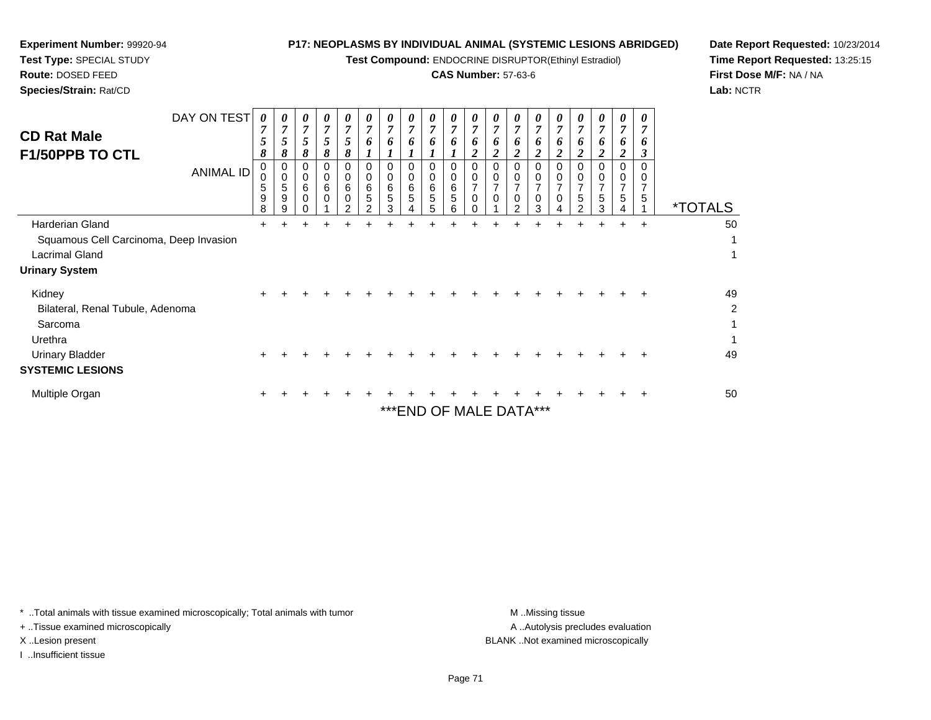| <b>TEST TYPE:</b> SPECIAL STUDY<br>Route: DOSED FEED                                                        |                            |                                                                 |                       |                                    |                                    |                  |                               |                               |                         |             |                            |                                        |               |                                 | <b>Test Compound:</b> ENDOCRINE DISRUPTOR(Ethinyl Estragio) |                                 |                          |                     |                          |           | Time Re<br><b>First Do</b> |  |  |  |
|-------------------------------------------------------------------------------------------------------------|----------------------------|-----------------------------------------------------------------|-----------------------|------------------------------------|------------------------------------|------------------|-------------------------------|-------------------------------|-------------------------|-------------|----------------------------|----------------------------------------|---------------|---------------------------------|-------------------------------------------------------------|---------------------------------|--------------------------|---------------------|--------------------------|-----------|----------------------------|--|--|--|
| Species/Strain: Rat/CD                                                                                      | <b>CAS Number: 57-63-6</b> |                                                                 |                       |                                    |                                    |                  |                               |                               |                         |             |                            |                                        |               |                                 |                                                             | Lab: NC                         |                          |                     |                          |           |                            |  |  |  |
| <b>CD Rat Male</b><br><b>F1/50PPB TO CTL</b>                                                                | DAY ON TEST                | $\boldsymbol{\theta}$<br>5<br>8<br>0<br>$\Omega$<br>5<br>9<br>8 | 0<br>7<br>5<br>8<br>0 | 0<br>$\overline{7}$<br>5<br>8<br>0 | 0<br>$\overline{7}$<br>5<br>8<br>0 | 0<br>5<br>8<br>0 | 0<br>$\overline{7}$<br>6<br>0 | 0<br>$\overline{7}$<br>6<br>0 | 0                       | 0<br>6<br>0 | 7<br>0<br>0<br>6<br>5<br>6 | $\theta$<br>6<br>$\boldsymbol{2}$<br>0 | 6             | 0<br>$\overline{7}$<br>6<br>2   | 0<br>$\overline{7}$<br>6<br>$\overline{c}$<br>0             | 0<br>7<br>6<br>$\boldsymbol{2}$ |                          |                     | 0<br>7<br>6<br>2<br>0    | 0<br>6    |                            |  |  |  |
|                                                                                                             | <b>ANIMAL ID</b>           |                                                                 | 0<br>5<br>9<br>9      | 0<br>6<br>$\Omega$                 | 0<br>6<br>0                        | 0<br>6<br>0      | $\Omega$<br>6<br>5            | 0<br>6<br>5<br>3              | 0<br>6<br>5             | 0<br>6<br>5 |                            | 0<br>$\overline{7}$<br>$\mathbf 0$     | 0<br>$\Omega$ | 0<br>$\Omega$<br>$\overline{2}$ | 0<br>7<br>$\Omega$<br>3                                     | 0<br>$\overline{7}$<br>$\Omega$ | $\overline{7}$<br>5<br>2 | $\overline{7}$<br>5 | 0<br>$\overline{7}$<br>5 | 5         | <i><b>*TOTALS</b></i>      |  |  |  |
| Harderian Gland<br>Squamous Cell Carcinoma, Deep Invasion<br><b>Lacrimal Gland</b><br><b>Urinary System</b> |                            | $\ddot{}$                                                       |                       |                                    |                                    |                  |                               |                               |                         |             |                            |                                        |               |                                 |                                                             |                                 |                          |                     |                          | $\ddot{}$ | 50                         |  |  |  |
| Kidney<br>Bilateral, Renal Tubule, Adenoma<br>Sarcoma<br>Urethra                                            |                            |                                                                 |                       |                                    |                                    |                  |                               |                               |                         |             |                            |                                        |               |                                 |                                                             |                                 |                          |                     |                          |           | 49<br>2                    |  |  |  |
| <b>Urinary Bladder</b><br><b>SYSTEMIC LESIONS</b>                                                           |                            |                                                                 |                       |                                    |                                    |                  |                               |                               |                         |             |                            |                                        |               |                                 |                                                             |                                 |                          |                     |                          |           | 49                         |  |  |  |
| Multiple Organ                                                                                              |                            |                                                                 |                       |                                    |                                    |                  |                               |                               | *** END OF MALE DATA*** |             |                            |                                        |               |                                 |                                                             |                                 |                          |                     |                          |           | 50                         |  |  |  |

\* ..Total animals with tissue examined microscopically; Total animals with tumor **M** . Missing tissue M ..Missing tissue

+ ..Tissue examined microscopically

I ..Insufficient tissue

A ..Autolysis precludes evaluation X ..Lesion present BLANK ..Not examined microscopically

# **P17: NEOPLASMS BY INDIVIDUAL ANIMAL (SYSTEMIC LESIONS ABRIDGED)**

**Test Compound:** ENDOCRINE DISRUPTOR(Ethinyl Estradiol)

**Date Report Requested:** 10/23/2014**Time Report Requested:** 13:25:15**bse M/F:** NA / NA **Lab:** NCTR

# **Experiment Number:** 99920-94**Test Type:** SPECIAL STUDY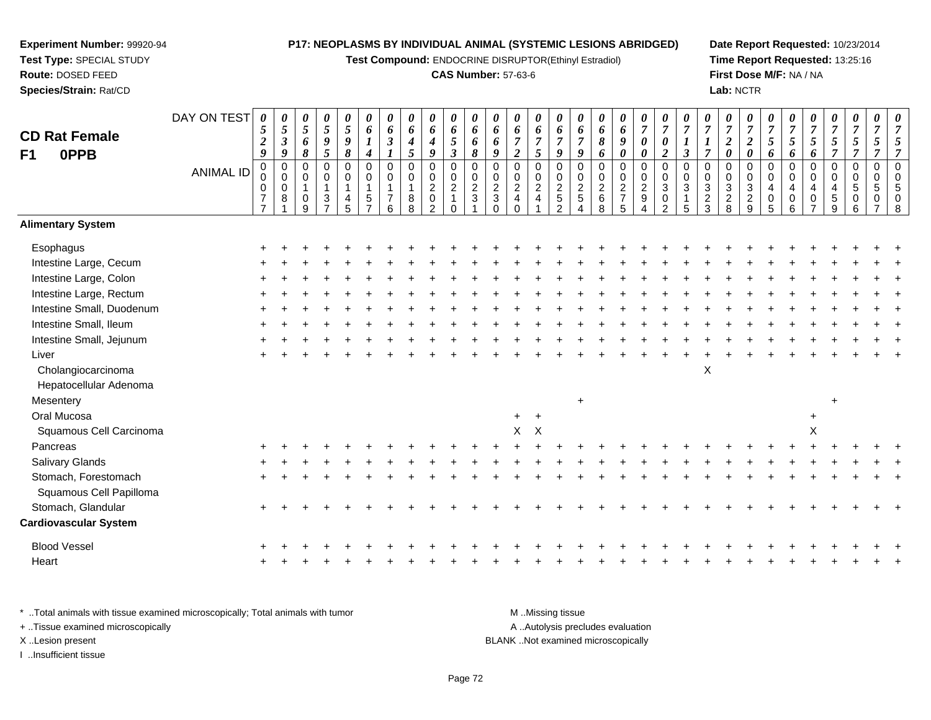**Test Compound:** ENDOCRINE DISRUPTOR(Ethinyl Estradiol)

#### **CAS Number:** 57-63-6

**Date Report Requested:** 10/23/2014**Time Report Requested:** 13:25:16**First Dose M/F:** NA / NA**Lab:** NCTR

| <b>CD Rat Female</b>         | DAY ON TEST      | 0<br>5<br>$\boldsymbol{2}$                           | $\boldsymbol{\theta}$<br>$\sqrt{5}$<br>$\mathfrak{z}$ | $\pmb{\theta}$<br>$\overline{5}$<br>6                | 0<br>5<br>$\pmb{9}$                                                               | 0<br>$\sqrt{5}$<br>9                       | 0<br>6<br>$\boldsymbol{l}$                                       | 0<br>6<br>3                                               | $\boldsymbol{\theta}$<br>$\pmb{6}$<br>$\boldsymbol{4}$ | $\pmb{\theta}$<br>$\boldsymbol{6}$<br>$\boldsymbol{4}$              | 0<br>6<br>5                                                              | 0<br>6<br>6                                                | 0<br>6<br>6                                                  | 0<br>6<br>$\overline{7}$                                                               | $\boldsymbol{\theta}$<br>6<br>$\overline{7}$                 | $\boldsymbol{\theta}$<br>6<br>$\overline{7}$ | 0<br>6<br>$\overline{7}$                  | 0<br>6<br>8                                               | 0<br>6<br>$\boldsymbol{g}$             | $\pmb{\theta}$<br>$\overline{7}$<br>$\boldsymbol{\theta}$                | 0<br>$\overline{7}$<br>$\boldsymbol{\theta}$     | $\overline{7}$<br>$\boldsymbol{l}$ | 0<br>$\overline{7}$<br>1                     | 0<br>$\boldsymbol{7}$<br>$\boldsymbol{2}$     | $\pmb{\theta}$<br>$\overline{7}$<br>$\boldsymbol{2}$      | 0<br>$\overline{7}$<br>$\mathfrak{s}$                            | 0<br>$\overline{7}$<br>5                                          | 0<br>$\overline{7}$<br>5   | 0<br>$\boldsymbol{7}$<br>$\mathfrak{s}$     | $\pmb{\theta}$<br>$\overline{7}$<br>$\mathfrak{s}$       | $\boldsymbol{\theta}$<br>$\overline{7}$<br>5 | $\boldsymbol{\theta}$<br>$\overline{7}$<br>5  |
|------------------------------|------------------|------------------------------------------------------|-------------------------------------------------------|------------------------------------------------------|-----------------------------------------------------------------------------------|--------------------------------------------|------------------------------------------------------------------|-----------------------------------------------------------|--------------------------------------------------------|---------------------------------------------------------------------|--------------------------------------------------------------------------|------------------------------------------------------------|--------------------------------------------------------------|----------------------------------------------------------------------------------------|--------------------------------------------------------------|----------------------------------------------|-------------------------------------------|-----------------------------------------------------------|----------------------------------------|--------------------------------------------------------------------------|--------------------------------------------------|------------------------------------|----------------------------------------------|-----------------------------------------------|-----------------------------------------------------------|------------------------------------------------------------------|-------------------------------------------------------------------|----------------------------|---------------------------------------------|----------------------------------------------------------|----------------------------------------------|-----------------------------------------------|
| <b>OPPB</b><br>F1            |                  | 9                                                    | 9                                                     | 8                                                    | 5                                                                                 | 8                                          | $\boldsymbol{4}$                                                 |                                                           | $\mathfrak{I}$                                         | $\boldsymbol{9}$                                                    | $\boldsymbol{\beta}$                                                     | 8                                                          | 9                                                            | $\overline{c}$                                                                         | 5                                                            | $\boldsymbol{9}$                             | 9                                         | 6                                                         | 0                                      | $\boldsymbol{\theta}$                                                    | $\boldsymbol{2}$                                 | $\mathfrak{z}$                     | $\overline{7}$                               | $\boldsymbol{\theta}$                         | $\pmb{\theta}$                                            | 6                                                                | 6                                                                 | 6                          | $\overline{7}$                              | $\overline{7}$                                           | $\overline{7}$                               | $\overline{7}$                                |
|                              | <b>ANIMAL ID</b> | $\mathbf 0$<br>0<br>$\overline{7}$<br>$\overline{7}$ | $\pmb{0}$<br>$\mathbf 0$<br>$\mathbf 0$<br>$\, 8$     | 0<br>$\mathbf 0$<br>$\mathbf{1}$<br>$\mathbf 0$<br>9 | $\boldsymbol{0}$<br>$\pmb{0}$<br>$\overline{1}$<br>$\mathbf{3}$<br>$\overline{7}$ | $\mathbf 0$<br>0<br>$\mathbf{1}$<br>4<br>5 | $\mathbf 0$<br>0<br>$\mathbf{1}$<br>$\sqrt{5}$<br>$\overline{ }$ | $\overline{0}$<br>$\mathbf 0$<br>1<br>$\overline{7}$<br>6 | $\pmb{0}$<br>$\pmb{0}$<br>$\overline{1}$<br>8<br>8     | $\pmb{0}$<br>$\pmb{0}$<br>$\sqrt{2}$<br>$\pmb{0}$<br>$\overline{2}$ | $\mathbf 0$<br>$\mathbf 0$<br>$\overline{c}$<br>$\mathbf{1}$<br>$\Omega$ | $\mathbf 0$<br>$\mathbf 0$<br>$\overline{2}$<br>$\sqrt{3}$ | $\mathbf 0$<br>0<br>$\overline{c}$<br>$\sqrt{3}$<br>$\Omega$ | $\mathsf 0$<br>$\mathbf 0$<br>$\overline{c}$<br>$\overline{\mathbf{4}}$<br>$\mathbf 0$ | $\mathsf 0$<br>$\pmb{0}$<br>$\overline{2}$<br>$\overline{4}$ | $\pmb{0}$<br>$\pmb{0}$<br>$rac{2}{5}$<br>2   | $\mathbf 0$<br>$\pmb{0}$<br>$\frac{2}{5}$ | $\overline{0}$<br>$\mathbf 0$<br>$\overline{c}$<br>6<br>8 | 0<br>$\mathbf 0$<br>$\frac{2}{7}$<br>5 | $\boldsymbol{0}$<br>$\pmb{0}$<br>$\overline{2}$<br>$\boldsymbol{9}$<br>4 | $\mathbf 0$<br>$\Omega$<br>3<br>$\mathbf 0$<br>2 | $\mathbf 0$<br>$\Omega$<br>3<br>5  | 0<br>$\Omega$<br>$\sqrt{3}$<br>$\frac{2}{3}$ | $\pmb{0}$<br>0<br>$\sqrt{3}$<br>$\frac{2}{8}$ | $\mathsf 0$<br>$\mathbf 0$<br>$\sqrt{3}$<br>$\frac{2}{9}$ | $\mathbf 0$<br>$\mathbf 0$<br>$\overline{4}$<br>$\mathbf 0$<br>5 | $\overline{0}$<br>$\mathbf 0$<br>$\overline{4}$<br>$\pmb{0}$<br>6 | 0<br>$\mathbf 0$<br>4<br>0 | 0<br>0<br>$\overline{\mathbf{4}}$<br>5<br>9 | $\pmb{0}$<br>$\mathbf 0$<br>$\sqrt{5}$<br>$\pmb{0}$<br>6 | $\mathbf 0$<br>$\Omega$<br>5<br>0            | $\mathbf 0$<br>$\Omega$<br>5<br>$\Omega$<br>8 |
| <b>Alimentary System</b>     |                  |                                                      |                                                       |                                                      |                                                                                   |                                            |                                                                  |                                                           |                                                        |                                                                     |                                                                          |                                                            |                                                              |                                                                                        |                                                              |                                              |                                           |                                                           |                                        |                                                                          |                                                  |                                    |                                              |                                               |                                                           |                                                                  |                                                                   |                            |                                             |                                                          |                                              |                                               |
| Esophagus                    |                  |                                                      |                                                       |                                                      |                                                                                   |                                            |                                                                  |                                                           |                                                        |                                                                     |                                                                          |                                                            |                                                              |                                                                                        |                                                              |                                              |                                           |                                                           |                                        |                                                                          |                                                  |                                    |                                              |                                               |                                                           |                                                                  |                                                                   |                            |                                             |                                                          |                                              |                                               |
| Intestine Large, Cecum       |                  |                                                      |                                                       |                                                      |                                                                                   |                                            |                                                                  |                                                           |                                                        |                                                                     |                                                                          |                                                            |                                                              |                                                                                        |                                                              |                                              |                                           |                                                           |                                        |                                                                          |                                                  |                                    |                                              |                                               |                                                           |                                                                  |                                                                   |                            |                                             |                                                          |                                              |                                               |
| Intestine Large, Colon       |                  |                                                      |                                                       |                                                      |                                                                                   |                                            |                                                                  |                                                           |                                                        |                                                                     |                                                                          |                                                            |                                                              |                                                                                        |                                                              |                                              |                                           |                                                           |                                        |                                                                          |                                                  |                                    |                                              |                                               |                                                           |                                                                  |                                                                   |                            |                                             |                                                          |                                              |                                               |
| Intestine Large, Rectum      |                  |                                                      |                                                       |                                                      |                                                                                   |                                            |                                                                  |                                                           |                                                        |                                                                     |                                                                          |                                                            |                                                              |                                                                                        |                                                              |                                              |                                           |                                                           |                                        |                                                                          |                                                  |                                    |                                              |                                               |                                                           |                                                                  |                                                                   |                            |                                             |                                                          |                                              |                                               |
| Intestine Small, Duodenum    |                  |                                                      |                                                       |                                                      |                                                                                   |                                            |                                                                  |                                                           |                                                        |                                                                     |                                                                          |                                                            |                                                              |                                                                                        |                                                              |                                              |                                           |                                                           |                                        |                                                                          |                                                  |                                    |                                              |                                               |                                                           |                                                                  |                                                                   |                            |                                             |                                                          |                                              |                                               |
| Intestine Small, Ileum       |                  |                                                      |                                                       |                                                      |                                                                                   |                                            |                                                                  |                                                           |                                                        |                                                                     |                                                                          |                                                            |                                                              |                                                                                        |                                                              |                                              |                                           |                                                           |                                        |                                                                          |                                                  |                                    |                                              |                                               |                                                           |                                                                  |                                                                   |                            |                                             |                                                          |                                              |                                               |
| Intestine Small, Jejunum     |                  |                                                      |                                                       |                                                      |                                                                                   |                                            |                                                                  |                                                           |                                                        |                                                                     |                                                                          |                                                            |                                                              |                                                                                        |                                                              |                                              |                                           |                                                           |                                        |                                                                          |                                                  |                                    |                                              |                                               |                                                           |                                                                  |                                                                   |                            |                                             |                                                          |                                              |                                               |
| Liver                        |                  |                                                      |                                                       |                                                      |                                                                                   |                                            |                                                                  |                                                           |                                                        |                                                                     |                                                                          |                                                            |                                                              |                                                                                        |                                                              |                                              |                                           |                                                           |                                        |                                                                          |                                                  |                                    |                                              |                                               |                                                           |                                                                  |                                                                   |                            |                                             |                                                          |                                              |                                               |
| Cholangiocarcinoma           |                  |                                                      |                                                       |                                                      |                                                                                   |                                            |                                                                  |                                                           |                                                        |                                                                     |                                                                          |                                                            |                                                              |                                                                                        |                                                              |                                              |                                           |                                                           |                                        |                                                                          |                                                  |                                    | $\pmb{\times}$                               |                                               |                                                           |                                                                  |                                                                   |                            |                                             |                                                          |                                              |                                               |
| Hepatocellular Adenoma       |                  |                                                      |                                                       |                                                      |                                                                                   |                                            |                                                                  |                                                           |                                                        |                                                                     |                                                                          |                                                            |                                                              |                                                                                        |                                                              |                                              |                                           |                                                           |                                        |                                                                          |                                                  |                                    |                                              |                                               |                                                           |                                                                  |                                                                   |                            |                                             |                                                          |                                              |                                               |
| Mesentery                    |                  |                                                      |                                                       |                                                      |                                                                                   |                                            |                                                                  |                                                           |                                                        |                                                                     |                                                                          |                                                            |                                                              |                                                                                        |                                                              |                                              | $\ddot{}$                                 |                                                           |                                        |                                                                          |                                                  |                                    |                                              |                                               |                                                           |                                                                  |                                                                   |                            | $\pm$                                       |                                                          |                                              |                                               |
| Oral Mucosa                  |                  |                                                      |                                                       |                                                      |                                                                                   |                                            |                                                                  |                                                           |                                                        |                                                                     |                                                                          |                                                            |                                                              | $+$                                                                                    | $+$                                                          |                                              |                                           |                                                           |                                        |                                                                          |                                                  |                                    |                                              |                                               |                                                           |                                                                  |                                                                   | $\ddot{}$                  |                                             |                                                          |                                              |                                               |
| Squamous Cell Carcinoma      |                  |                                                      |                                                       |                                                      |                                                                                   |                                            |                                                                  |                                                           |                                                        |                                                                     |                                                                          |                                                            |                                                              | $\mathsf{X}$                                                                           | $\mathsf{X}$                                                 |                                              |                                           |                                                           |                                        |                                                                          |                                                  |                                    |                                              |                                               |                                                           |                                                                  |                                                                   | X                          |                                             |                                                          |                                              |                                               |
| Pancreas                     |                  |                                                      |                                                       |                                                      |                                                                                   |                                            |                                                                  |                                                           |                                                        |                                                                     |                                                                          |                                                            |                                                              |                                                                                        |                                                              |                                              |                                           |                                                           |                                        |                                                                          |                                                  |                                    |                                              |                                               |                                                           |                                                                  |                                                                   |                            |                                             |                                                          |                                              |                                               |
| Salivary Glands              |                  |                                                      |                                                       |                                                      |                                                                                   |                                            |                                                                  |                                                           |                                                        |                                                                     |                                                                          |                                                            |                                                              |                                                                                        |                                                              |                                              |                                           |                                                           |                                        |                                                                          |                                                  |                                    |                                              |                                               |                                                           |                                                                  |                                                                   |                            |                                             |                                                          |                                              |                                               |
| Stomach, Forestomach         |                  |                                                      |                                                       |                                                      |                                                                                   |                                            |                                                                  |                                                           |                                                        |                                                                     |                                                                          |                                                            |                                                              |                                                                                        |                                                              |                                              |                                           |                                                           |                                        |                                                                          |                                                  |                                    |                                              |                                               |                                                           |                                                                  |                                                                   |                            |                                             |                                                          |                                              |                                               |
| Squamous Cell Papilloma      |                  |                                                      |                                                       |                                                      |                                                                                   |                                            |                                                                  |                                                           |                                                        |                                                                     |                                                                          |                                                            |                                                              |                                                                                        |                                                              |                                              |                                           |                                                           |                                        |                                                                          |                                                  |                                    |                                              |                                               |                                                           |                                                                  |                                                                   |                            |                                             |                                                          |                                              |                                               |
| Stomach, Glandular           |                  |                                                      |                                                       |                                                      |                                                                                   |                                            |                                                                  |                                                           |                                                        |                                                                     |                                                                          |                                                            |                                                              |                                                                                        |                                                              |                                              |                                           |                                                           |                                        |                                                                          |                                                  |                                    |                                              |                                               |                                                           |                                                                  |                                                                   |                            |                                             |                                                          |                                              |                                               |
| <b>Cardiovascular System</b> |                  |                                                      |                                                       |                                                      |                                                                                   |                                            |                                                                  |                                                           |                                                        |                                                                     |                                                                          |                                                            |                                                              |                                                                                        |                                                              |                                              |                                           |                                                           |                                        |                                                                          |                                                  |                                    |                                              |                                               |                                                           |                                                                  |                                                                   |                            |                                             |                                                          |                                              |                                               |
| <b>Blood Vessel</b>          |                  |                                                      |                                                       |                                                      |                                                                                   |                                            |                                                                  |                                                           |                                                        |                                                                     |                                                                          |                                                            |                                                              |                                                                                        |                                                              |                                              |                                           |                                                           |                                        |                                                                          |                                                  |                                    |                                              |                                               |                                                           |                                                                  |                                                                   |                            |                                             |                                                          |                                              |                                               |
| Heart                        |                  |                                                      |                                                       |                                                      |                                                                                   |                                            |                                                                  |                                                           |                                                        |                                                                     |                                                                          |                                                            |                                                              |                                                                                        |                                                              |                                              |                                           |                                                           |                                        |                                                                          |                                                  |                                    |                                              |                                               |                                                           |                                                                  |                                                                   |                            |                                             |                                                          |                                              |                                               |
|                              |                  |                                                      |                                                       |                                                      |                                                                                   |                                            |                                                                  |                                                           |                                                        |                                                                     |                                                                          |                                                            |                                                              |                                                                                        |                                                              |                                              |                                           |                                                           |                                        |                                                                          |                                                  |                                    |                                              |                                               |                                                           |                                                                  |                                                                   |                            |                                             |                                                          |                                              |                                               |

\* ..Total animals with tissue examined microscopically; Total animals with tumor **M** . Missing tissue M ..Missing tissue A ..Autolysis precludes evaluation + ..Tissue examined microscopically X ..Lesion present BLANK ..Not examined microscopicallyI ..Insufficient tissue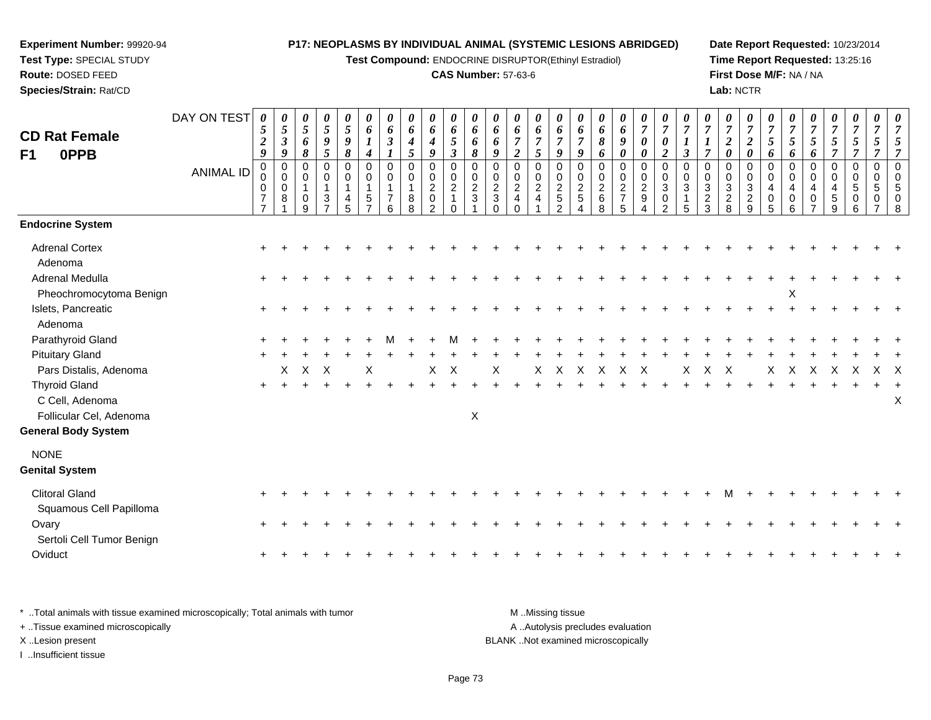**Test Compound:** ENDOCRINE DISRUPTOR(Ethinyl Estradiol)

# **CAS Number:** 57-63-6

**Date Report Requested:** 10/23/2014 **Time Report Requested:** 13:25:16**First Dose M/F:** NA / NA**Lab:** NCTR

| <b>CD Rat Female</b><br>0PPB<br>F1         | DAY ON TEST<br><b>ANIMAL ID</b> | 0<br>5<br>$\boldsymbol{2}$<br>9<br>0<br>0<br>0<br>$\boldsymbol{7}$<br>$\overline{7}$ | 0<br>5<br>$\boldsymbol{\beta}$<br>9<br>$\mathbf 0$<br>$\pmb{0}$<br>0<br>8 | 0<br>$\mathfrak{s}$<br>6<br>$\pmb{8}$<br>0<br>0<br>$\overline{1}$<br>0<br>9 | 0<br>$\mathfrak{s}$<br>$\boldsymbol{g}$<br>5<br>$\mathbf 0$<br>$\mathbf 0$<br>$\overline{1}$<br>$\mathbf{3}$<br>$\overline{ }$ | 0<br>$\mathfrak{s}$<br>$\boldsymbol{g}$<br>$\pmb{8}$<br>0<br>0<br>$\mathbf{1}$<br>4<br>5 | 6<br>$\boldsymbol{l}$<br>4<br>$\mathbf 0$<br>$\mathbf 0$<br>1<br>5 | 0<br>6<br>$\boldsymbol{\beta}$<br>$\mathbf 0$<br>0<br>7<br>6 | 0<br>6<br>$\boldsymbol{4}$<br>5<br>$\mathbf 0$<br>$\mathsf 0$<br>$\mathbf{1}$<br>$\bf 8$<br>8 | 0<br>6<br>$\boldsymbol{4}$<br>9<br>0<br>$\pmb{0}$<br>$\boldsymbol{2}$<br>$\pmb{0}$<br>2 | 0<br>6<br>$\mathfrak{s}$<br>$\boldsymbol{\beta}$<br>$\mathbf 0$<br>$\mathbf 0$<br>$\sqrt{2}$<br>$\Omega$ | 0<br>6<br>6<br>8<br>0<br>$\mathbf 0$<br>$\boldsymbol{2}$<br>$\mathbf{3}$ | 0<br>6<br>6<br>9<br>0<br>$\mathbf 0$<br>$\sqrt{2}$<br>$\sqrt{3}$<br>$\Omega$ | 0<br>6<br>$\overline{7}$<br>$\overline{2}$<br>0<br>$\mathbf 0$<br>$\overline{c}$<br>$\overline{4}$<br>$\Omega$ | 0<br>6<br>$\overline{7}$<br>5<br>0<br>0<br>$\overline{a}$<br>4 | 0<br>6<br>$\overline{7}$<br>9<br>0<br>$\pmb{0}$<br>$\frac{2}{5}$<br>$\mathfrak{p}$ | 0<br>6<br>$\overline{7}$<br>9<br>$\pmb{0}$<br>$\pmb{0}$<br>$\frac{2}{5}$ | 0<br>6<br>$\pmb{8}$<br>6<br>$\pmb{0}$<br>$\mathsf{O}\xspace$<br>$^2\phantom{1}6$<br>8 | 0<br>$\boldsymbol{6}$<br>$\boldsymbol{9}$<br>$\boldsymbol{\theta}$<br>$\pmb{0}$<br>$\pmb{0}$<br>$\sqrt{2}$<br>$\overline{7}$<br>5 | 0<br>$\overline{7}$<br>$\boldsymbol{\theta}$<br>$\boldsymbol{\theta}$<br>0<br>$\mathbf 0$<br>$\overline{a}$<br>9 | $\overline{7}$<br>$\boldsymbol{\theta}$<br>$\boldsymbol{2}$<br>$\Omega$<br>$\mathbf 0$<br>$\sqrt{3}$<br>$\mathbf 0$<br>$\mathcal{P}$ | 0<br>$\mathbf{3}$<br>$\Omega$<br>$\mathbf 0$<br>$\mathbf{3}$<br>5 | 0<br>$\overline{7}$<br>$\overline{\tau}$<br>0<br>$\mathsf{O}$<br>$\mathbf{3}$<br>$\sqrt{2}$<br>3 | 0<br>$\overline{7}$<br>$\boldsymbol{2}$<br>$\boldsymbol{\theta}$<br>$\mathbf 0$<br>$\pmb{0}$<br>$\sqrt{3}$<br>$\overline{c}$<br>8 | 0<br>$\overline{7}$<br>$\boldsymbol{2}$<br>$\boldsymbol{\theta}$<br>0<br>$\mathbf 0$<br>$\sqrt{3}$<br>$\overline{c}$<br>9 | $\overline{7}$<br>$\sqrt{5}$<br>6<br>$\mathbf 0$<br>$\Omega$<br>4<br>$\mathbf 0$<br>5 | 0<br>$\overline{7}$<br>5<br>6<br>0<br>$\mathbf 0$<br>4<br>0<br>6 | 0<br>$\boldsymbol{7}$<br>$\sqrt{5}$<br>6<br>0<br>0<br>4<br>0<br>$\overline{ }$ | 0<br>$\boldsymbol{7}$<br>$\mathfrak{s}$<br>$\overline{7}$<br>$\mathbf 0$<br>$\mathbf 0$<br>$\overline{4}$<br>$\sqrt{5}$<br>9 | 0<br>$\sqrt{5}$<br>$\overline{7}$<br>$\mathbf 0$<br>$\mathbf{0}$<br>5<br>0<br>6 | 0<br>$\overline{7}$<br>$\overline{5}$<br>$\overline{7}$<br>$\mathbf 0$<br>$\Omega$<br>5<br>0<br>$\overline{ }$ | 0<br>$\overline{7}$<br>$\mathfrak{s}$<br>$\overline{7}$<br>$\pmb{0}$<br>$\pmb{0}$<br>$\overline{5}$<br>$\mathbf 0$<br>$\, 8$ |
|--------------------------------------------|---------------------------------|--------------------------------------------------------------------------------------|---------------------------------------------------------------------------|-----------------------------------------------------------------------------|--------------------------------------------------------------------------------------------------------------------------------|------------------------------------------------------------------------------------------|--------------------------------------------------------------------|--------------------------------------------------------------|-----------------------------------------------------------------------------------------------|-----------------------------------------------------------------------------------------|----------------------------------------------------------------------------------------------------------|--------------------------------------------------------------------------|------------------------------------------------------------------------------|----------------------------------------------------------------------------------------------------------------|----------------------------------------------------------------|------------------------------------------------------------------------------------|--------------------------------------------------------------------------|---------------------------------------------------------------------------------------|-----------------------------------------------------------------------------------------------------------------------------------|------------------------------------------------------------------------------------------------------------------|--------------------------------------------------------------------------------------------------------------------------------------|-------------------------------------------------------------------|--------------------------------------------------------------------------------------------------|-----------------------------------------------------------------------------------------------------------------------------------|---------------------------------------------------------------------------------------------------------------------------|---------------------------------------------------------------------------------------|------------------------------------------------------------------|--------------------------------------------------------------------------------|------------------------------------------------------------------------------------------------------------------------------|---------------------------------------------------------------------------------|----------------------------------------------------------------------------------------------------------------|------------------------------------------------------------------------------------------------------------------------------|
| <b>Endocrine System</b>                    |                                 |                                                                                      |                                                                           |                                                                             |                                                                                                                                |                                                                                          |                                                                    |                                                              |                                                                                               |                                                                                         |                                                                                                          |                                                                          |                                                                              |                                                                                                                |                                                                |                                                                                    |                                                                          |                                                                                       |                                                                                                                                   |                                                                                                                  |                                                                                                                                      |                                                                   |                                                                                                  |                                                                                                                                   |                                                                                                                           |                                                                                       |                                                                  |                                                                                |                                                                                                                              |                                                                                 |                                                                                                                |                                                                                                                              |
| <b>Adrenal Cortex</b>                      |                                 | $\ddot{}$                                                                            |                                                                           |                                                                             |                                                                                                                                |                                                                                          |                                                                    |                                                              |                                                                                               |                                                                                         |                                                                                                          |                                                                          |                                                                              |                                                                                                                |                                                                |                                                                                    |                                                                          |                                                                                       |                                                                                                                                   |                                                                                                                  |                                                                                                                                      |                                                                   |                                                                                                  |                                                                                                                                   |                                                                                                                           |                                                                                       |                                                                  |                                                                                |                                                                                                                              |                                                                                 |                                                                                                                |                                                                                                                              |
| Adenoma                                    |                                 |                                                                                      |                                                                           |                                                                             |                                                                                                                                |                                                                                          |                                                                    |                                                              |                                                                                               |                                                                                         |                                                                                                          |                                                                          |                                                                              |                                                                                                                |                                                                |                                                                                    |                                                                          |                                                                                       |                                                                                                                                   |                                                                                                                  |                                                                                                                                      |                                                                   |                                                                                                  |                                                                                                                                   |                                                                                                                           |                                                                                       |                                                                  |                                                                                |                                                                                                                              |                                                                                 |                                                                                                                |                                                                                                                              |
| Adrenal Medulla                            |                                 | $\ddot{}$                                                                            |                                                                           |                                                                             |                                                                                                                                |                                                                                          |                                                                    |                                                              |                                                                                               |                                                                                         |                                                                                                          |                                                                          |                                                                              |                                                                                                                |                                                                |                                                                                    |                                                                          |                                                                                       |                                                                                                                                   |                                                                                                                  |                                                                                                                                      |                                                                   |                                                                                                  |                                                                                                                                   |                                                                                                                           |                                                                                       |                                                                  |                                                                                |                                                                                                                              |                                                                                 |                                                                                                                |                                                                                                                              |
| Pheochromocytoma Benign                    |                                 |                                                                                      |                                                                           |                                                                             |                                                                                                                                |                                                                                          |                                                                    |                                                              |                                                                                               |                                                                                         |                                                                                                          |                                                                          |                                                                              |                                                                                                                |                                                                |                                                                                    |                                                                          |                                                                                       |                                                                                                                                   |                                                                                                                  |                                                                                                                                      |                                                                   |                                                                                                  |                                                                                                                                   |                                                                                                                           |                                                                                       | Χ                                                                |                                                                                |                                                                                                                              |                                                                                 |                                                                                                                |                                                                                                                              |
| Islets, Pancreatic                         |                                 |                                                                                      |                                                                           |                                                                             |                                                                                                                                |                                                                                          |                                                                    |                                                              |                                                                                               |                                                                                         |                                                                                                          |                                                                          |                                                                              |                                                                                                                |                                                                |                                                                                    |                                                                          |                                                                                       |                                                                                                                                   |                                                                                                                  |                                                                                                                                      |                                                                   |                                                                                                  |                                                                                                                                   |                                                                                                                           |                                                                                       |                                                                  |                                                                                |                                                                                                                              |                                                                                 |                                                                                                                |                                                                                                                              |
| Adenoma                                    |                                 |                                                                                      |                                                                           |                                                                             |                                                                                                                                |                                                                                          |                                                                    |                                                              |                                                                                               |                                                                                         |                                                                                                          |                                                                          |                                                                              |                                                                                                                |                                                                |                                                                                    |                                                                          |                                                                                       |                                                                                                                                   |                                                                                                                  |                                                                                                                                      |                                                                   |                                                                                                  |                                                                                                                                   |                                                                                                                           |                                                                                       |                                                                  |                                                                                |                                                                                                                              |                                                                                 |                                                                                                                |                                                                                                                              |
| Parathyroid Gland                          |                                 |                                                                                      |                                                                           |                                                                             |                                                                                                                                |                                                                                          |                                                                    |                                                              |                                                                                               |                                                                                         |                                                                                                          |                                                                          |                                                                              |                                                                                                                |                                                                |                                                                                    |                                                                          |                                                                                       |                                                                                                                                   |                                                                                                                  |                                                                                                                                      |                                                                   |                                                                                                  |                                                                                                                                   |                                                                                                                           |                                                                                       |                                                                  |                                                                                |                                                                                                                              |                                                                                 |                                                                                                                |                                                                                                                              |
| <b>Pituitary Gland</b>                     |                                 |                                                                                      |                                                                           |                                                                             |                                                                                                                                |                                                                                          |                                                                    |                                                              |                                                                                               |                                                                                         |                                                                                                          |                                                                          |                                                                              |                                                                                                                |                                                                |                                                                                    |                                                                          |                                                                                       |                                                                                                                                   |                                                                                                                  |                                                                                                                                      |                                                                   |                                                                                                  |                                                                                                                                   |                                                                                                                           |                                                                                       |                                                                  |                                                                                |                                                                                                                              |                                                                                 |                                                                                                                |                                                                                                                              |
| Pars Distalis, Adenoma                     |                                 |                                                                                      | X                                                                         | X                                                                           | $\times$                                                                                                                       |                                                                                          | Χ                                                                  |                                                              |                                                                                               | X                                                                                       | X                                                                                                        |                                                                          | Χ                                                                            |                                                                                                                | X                                                              | X                                                                                  | X                                                                        | X                                                                                     | X                                                                                                                                 | Χ                                                                                                                |                                                                                                                                      | X                                                                 | X                                                                                                | $\times$                                                                                                                          |                                                                                                                           | X                                                                                     | X                                                                | $\times$                                                                       | X                                                                                                                            | Χ                                                                               | $X \times$                                                                                                     |                                                                                                                              |
| <b>Thyroid Gland</b>                       |                                 | $+$                                                                                  | $\ddot{}$                                                                 |                                                                             |                                                                                                                                |                                                                                          |                                                                    |                                                              |                                                                                               |                                                                                         |                                                                                                          |                                                                          |                                                                              |                                                                                                                |                                                                |                                                                                    |                                                                          |                                                                                       |                                                                                                                                   |                                                                                                                  |                                                                                                                                      |                                                                   |                                                                                                  |                                                                                                                                   |                                                                                                                           |                                                                                       |                                                                  |                                                                                |                                                                                                                              |                                                                                 |                                                                                                                |                                                                                                                              |
| C Cell, Adenoma<br>Follicular Cel, Adenoma |                                 |                                                                                      |                                                                           |                                                                             |                                                                                                                                |                                                                                          |                                                                    |                                                              |                                                                                               |                                                                                         |                                                                                                          | $\boldsymbol{\mathsf{X}}$                                                |                                                                              |                                                                                                                |                                                                |                                                                                    |                                                                          |                                                                                       |                                                                                                                                   |                                                                                                                  |                                                                                                                                      |                                                                   |                                                                                                  |                                                                                                                                   |                                                                                                                           |                                                                                       |                                                                  |                                                                                |                                                                                                                              |                                                                                 |                                                                                                                | X                                                                                                                            |
| General Body System                        |                                 |                                                                                      |                                                                           |                                                                             |                                                                                                                                |                                                                                          |                                                                    |                                                              |                                                                                               |                                                                                         |                                                                                                          |                                                                          |                                                                              |                                                                                                                |                                                                |                                                                                    |                                                                          |                                                                                       |                                                                                                                                   |                                                                                                                  |                                                                                                                                      |                                                                   |                                                                                                  |                                                                                                                                   |                                                                                                                           |                                                                                       |                                                                  |                                                                                |                                                                                                                              |                                                                                 |                                                                                                                |                                                                                                                              |
| <b>NONE</b>                                |                                 |                                                                                      |                                                                           |                                                                             |                                                                                                                                |                                                                                          |                                                                    |                                                              |                                                                                               |                                                                                         |                                                                                                          |                                                                          |                                                                              |                                                                                                                |                                                                |                                                                                    |                                                                          |                                                                                       |                                                                                                                                   |                                                                                                                  |                                                                                                                                      |                                                                   |                                                                                                  |                                                                                                                                   |                                                                                                                           |                                                                                       |                                                                  |                                                                                |                                                                                                                              |                                                                                 |                                                                                                                |                                                                                                                              |
| <b>Genital System</b>                      |                                 |                                                                                      |                                                                           |                                                                             |                                                                                                                                |                                                                                          |                                                                    |                                                              |                                                                                               |                                                                                         |                                                                                                          |                                                                          |                                                                              |                                                                                                                |                                                                |                                                                                    |                                                                          |                                                                                       |                                                                                                                                   |                                                                                                                  |                                                                                                                                      |                                                                   |                                                                                                  |                                                                                                                                   |                                                                                                                           |                                                                                       |                                                                  |                                                                                |                                                                                                                              |                                                                                 |                                                                                                                |                                                                                                                              |
| <b>Clitoral Gland</b>                      |                                 |                                                                                      |                                                                           |                                                                             |                                                                                                                                |                                                                                          |                                                                    |                                                              |                                                                                               |                                                                                         |                                                                                                          |                                                                          |                                                                              |                                                                                                                |                                                                |                                                                                    |                                                                          |                                                                                       |                                                                                                                                   |                                                                                                                  |                                                                                                                                      |                                                                   |                                                                                                  |                                                                                                                                   |                                                                                                                           |                                                                                       |                                                                  |                                                                                |                                                                                                                              |                                                                                 |                                                                                                                |                                                                                                                              |
| Squamous Cell Papilloma                    |                                 |                                                                                      |                                                                           |                                                                             |                                                                                                                                |                                                                                          |                                                                    |                                                              |                                                                                               |                                                                                         |                                                                                                          |                                                                          |                                                                              |                                                                                                                |                                                                |                                                                                    |                                                                          |                                                                                       |                                                                                                                                   |                                                                                                                  |                                                                                                                                      |                                                                   |                                                                                                  |                                                                                                                                   |                                                                                                                           |                                                                                       |                                                                  |                                                                                |                                                                                                                              |                                                                                 |                                                                                                                |                                                                                                                              |
| Ovary                                      |                                 | $\ddot{}$                                                                            |                                                                           |                                                                             |                                                                                                                                |                                                                                          |                                                                    |                                                              |                                                                                               |                                                                                         |                                                                                                          |                                                                          |                                                                              |                                                                                                                |                                                                |                                                                                    |                                                                          |                                                                                       |                                                                                                                                   |                                                                                                                  |                                                                                                                                      |                                                                   |                                                                                                  |                                                                                                                                   |                                                                                                                           |                                                                                       |                                                                  |                                                                                |                                                                                                                              |                                                                                 |                                                                                                                |                                                                                                                              |
| Sertoli Cell Tumor Benign                  |                                 |                                                                                      |                                                                           |                                                                             |                                                                                                                                |                                                                                          |                                                                    |                                                              |                                                                                               |                                                                                         |                                                                                                          |                                                                          |                                                                              |                                                                                                                |                                                                |                                                                                    |                                                                          |                                                                                       |                                                                                                                                   |                                                                                                                  |                                                                                                                                      |                                                                   |                                                                                                  |                                                                                                                                   |                                                                                                                           |                                                                                       |                                                                  |                                                                                |                                                                                                                              |                                                                                 |                                                                                                                |                                                                                                                              |
| Oviduct                                    |                                 | +                                                                                    |                                                                           |                                                                             |                                                                                                                                |                                                                                          |                                                                    |                                                              |                                                                                               |                                                                                         |                                                                                                          |                                                                          |                                                                              |                                                                                                                |                                                                |                                                                                    |                                                                          |                                                                                       |                                                                                                                                   |                                                                                                                  |                                                                                                                                      |                                                                   |                                                                                                  |                                                                                                                                   |                                                                                                                           |                                                                                       |                                                                  |                                                                                |                                                                                                                              |                                                                                 |                                                                                                                |                                                                                                                              |

| * Total animals with tissue examined microscopically; Total animals with tumor | M Missing tissue                   |
|--------------------------------------------------------------------------------|------------------------------------|
| + Tissue examined microscopically                                              | A Autolysis precludes evaluation   |
| X Lesion present                                                               | BLANK Not examined microscopically |
| …Insufficient tissue                                                           |                                    |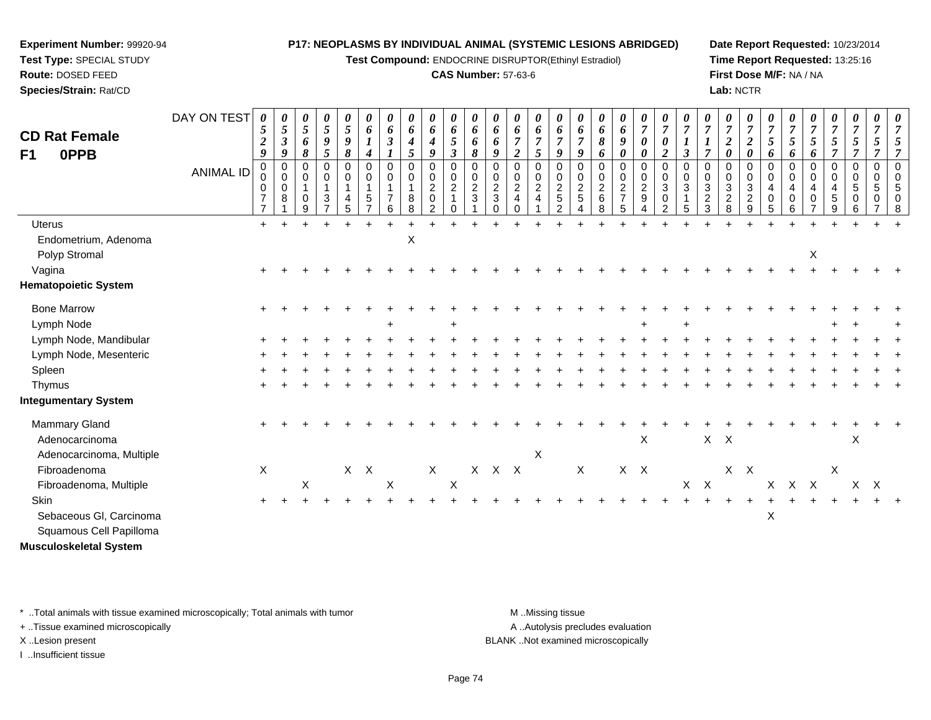**Test Compound:** ENDOCRINE DISRUPTOR(Ethinyl Estradiol)

#### **CAS Number:** 57-63-6

**Date Report Requested:** 10/23/2014**Time Report Requested:** 13:25:16**First Dose M/F:** NA / NA**Lab:** NCTR

| <b>CD Rat Female</b><br>0PPB          | DAY ON TEST      | 0<br>5<br>$\boldsymbol{2}$<br>9                 | 0<br>5<br>$\boldsymbol{\beta}$<br>9 | $\boldsymbol{\theta}$<br>$\sqrt{5}$<br>6<br>8                         | 0<br>$\overline{5}$<br>$\boldsymbol{g}$<br>5 | 0<br>5<br>$\boldsymbol{9}$<br>$\boldsymbol{\delta}$                      | 0<br>6<br>$\boldsymbol{l}$<br>$\boldsymbol{4}$ | 0<br>6<br>$\mathfrak{z}$<br>$\boldsymbol{l}$              | 0<br>6<br>$\boldsymbol{4}$<br>5  | 0<br>6<br>$\boldsymbol{4}$<br>9                                              | 0<br>6<br>5<br>$\mathfrak{z}$                          | 0<br>6<br>6<br>8                            | 0<br>6<br>6<br>9                                                | 0<br>6<br>$\overline{7}$<br>$\boldsymbol{2}$            | 0<br>6<br>$\boldsymbol{7}$<br>5                                         | 0<br>6<br>$\overline{7}$<br>9                                    | 0<br>6<br>$\overline{7}$<br>9                      | $\boldsymbol{\theta}$<br>6<br>8<br>6               | 0<br>6<br>9<br>0                                                    | 0<br>$\overline{7}$<br>$\pmb{\theta}$<br>0                                     | 0<br>$\overline{7}$<br>$\pmb{\theta}$<br>$\boldsymbol{2}$ | $\boldsymbol{\theta}$<br>$\overline{7}$<br>$\boldsymbol{l}$<br>$\mathfrak{z}$ | 0<br>$\overline{7}$<br>$\overline{\tau}$            | 0<br>$\overline{7}$<br>$\frac{2}{\theta}$                         | 0<br>$\overline{7}$<br>$\overline{2}$<br>0                        | $\overline{7}$<br>5<br>6                          | 0<br>$\overline{7}$<br>$\mathfrak{s}$<br>6                     | $\frac{\theta}{7}$<br>5<br>6                                                | 0<br>$\overline{7}$<br>$\mathfrak{s}$<br>$\overline{7}$         | 0<br>$\overline{7}$<br>$\mathfrak{s}$<br>$\overline{7}$ | 0<br>$\overline{7}$<br>5<br>$\overline{7}$ | 0<br>$\overline{7}$<br>5<br>$\overline{7}$               |
|---------------------------------------|------------------|-------------------------------------------------|-------------------------------------|-----------------------------------------------------------------------|----------------------------------------------|--------------------------------------------------------------------------|------------------------------------------------|-----------------------------------------------------------|----------------------------------|------------------------------------------------------------------------------|--------------------------------------------------------|---------------------------------------------|-----------------------------------------------------------------|---------------------------------------------------------|-------------------------------------------------------------------------|------------------------------------------------------------------|----------------------------------------------------|----------------------------------------------------|---------------------------------------------------------------------|--------------------------------------------------------------------------------|-----------------------------------------------------------|-------------------------------------------------------------------------------|-----------------------------------------------------|-------------------------------------------------------------------|-------------------------------------------------------------------|---------------------------------------------------|----------------------------------------------------------------|-----------------------------------------------------------------------------|-----------------------------------------------------------------|---------------------------------------------------------|--------------------------------------------|----------------------------------------------------------|
| F <sub>1</sub>                        | <b>ANIMAL ID</b> | 0<br>0<br>0<br>$\overline{7}$<br>$\overline{7}$ | $\Omega$<br>$\mathbf 0$<br>0<br>8   | $\mathbf 0$<br>$\mathsf{O}\xspace$<br>$\mathbf 1$<br>$\mathbf 0$<br>9 | 0<br>0<br>1<br>$\mathbf 3$<br>$\overline{7}$ | $\mathbf 0$<br>$\pmb{0}$<br>$\mathbf{1}$<br>$\overline{\mathbf{4}}$<br>5 | $\Omega$<br>$\mathbf 0$<br>5<br>$\overline{ }$ | 0<br>$\mathbf 0$<br>$\mathbf{1}$<br>$\boldsymbol{7}$<br>6 | 0<br>0<br>$\mathbf{1}$<br>8<br>8 | $\overline{0}$<br>$\pmb{0}$<br>$\overline{c}$<br>$\pmb{0}$<br>$\overline{2}$ | $\mathbf 0$<br>$\pmb{0}$<br>$\overline{c}$<br>$\Omega$ | $\mathbf 0$<br>$\mathbf 0$<br>$\frac{2}{3}$ | $\Omega$<br>$\mathbf 0$<br>$\sqrt{2}$<br>$\sqrt{3}$<br>$\Omega$ | $\mathbf 0$<br>$\mathbf 0$<br>$\frac{2}{4}$<br>$\Omega$ | $\mathbf 0$<br>$\pmb{0}$<br>$\boldsymbol{2}$<br>$\overline{\mathbf{4}}$ | $\Omega$<br>0<br>$\overline{c}$<br>$\,$ 5 $\,$<br>$\overline{2}$ | $\mathbf 0$<br>0<br>$\boldsymbol{2}$<br>$\sqrt{5}$ | $\pmb{0}$<br>$\pmb{0}$<br>$\overline{c}$<br>6<br>8 | $\mathbf 0$<br>$\mathbf 0$<br>$\overline{c}$<br>$\overline{7}$<br>5 | $\pmb{0}$<br>$\pmb{0}$<br>$\overline{2}$<br>$\boldsymbol{9}$<br>$\overline{4}$ | $\Omega$<br>$\mathbf 0$<br>3<br>0<br>$\overline{2}$       | $\Omega$<br>$\mathbf 0$<br>$\mathbf{3}$<br>$\overline{1}$<br>5                | $\Omega$<br>$\mathbf 0$<br>3<br>$\overline{c}$<br>3 | $\mathbf 0$<br>$\pmb{0}$<br>$\mathbf{3}$<br>$\boldsymbol{2}$<br>8 | $\mathbf 0$<br>$\mathbf 0$<br>$\mathbf{3}$<br>$\overline{c}$<br>9 | $\Omega$<br>0<br>$\overline{4}$<br>$\pmb{0}$<br>5 | $\mathbf 0$<br>$\mathbf 0$<br>$\overline{4}$<br>$\pmb{0}$<br>6 | $\mathbf 0$<br>$\mathbf 0$<br>$\overline{4}$<br>$\pmb{0}$<br>$\overline{7}$ | $\mathbf 0$<br>$\mathbf 0$<br>$\overline{4}$<br>$\sqrt{5}$<br>9 | $\mathbf 0$<br>$\mathbf 0$<br>5<br>0<br>6               | 0<br>$\mathbf 0$<br>5<br>0                 | $\mathbf 0$<br>$\mathbf 0$<br>5<br>$\boldsymbol{0}$<br>8 |
| Uterus                                |                  | $+$                                             |                                     |                                                                       |                                              |                                                                          |                                                |                                                           |                                  |                                                                              |                                                        |                                             |                                                                 |                                                         |                                                                         |                                                                  |                                                    |                                                    |                                                                     |                                                                                |                                                           |                                                                               |                                                     |                                                                   |                                                                   |                                                   |                                                                |                                                                             |                                                                 |                                                         |                                            |                                                          |
| Endometrium, Adenoma<br>Polyp Stromal |                  |                                                 |                                     |                                                                       |                                              |                                                                          |                                                |                                                           | $\mathsf X$                      |                                                                              |                                                        |                                             |                                                                 |                                                         |                                                                         |                                                                  |                                                    |                                                    |                                                                     |                                                                                |                                                           |                                                                               |                                                     |                                                                   |                                                                   |                                                   |                                                                | X                                                                           |                                                                 |                                                         |                                            |                                                          |
| Vagina                                |                  |                                                 |                                     |                                                                       |                                              |                                                                          |                                                |                                                           |                                  |                                                                              |                                                        |                                             |                                                                 |                                                         |                                                                         |                                                                  |                                                    |                                                    |                                                                     |                                                                                |                                                           |                                                                               |                                                     |                                                                   |                                                                   |                                                   |                                                                |                                                                             |                                                                 |                                                         |                                            |                                                          |
| <b>Hematopoietic System</b>           |                  |                                                 |                                     |                                                                       |                                              |                                                                          |                                                |                                                           |                                  |                                                                              |                                                        |                                             |                                                                 |                                                         |                                                                         |                                                                  |                                                    |                                                    |                                                                     |                                                                                |                                                           |                                                                               |                                                     |                                                                   |                                                                   |                                                   |                                                                |                                                                             |                                                                 |                                                         |                                            |                                                          |
| <b>Bone Marrow</b>                    |                  |                                                 |                                     |                                                                       |                                              |                                                                          |                                                |                                                           |                                  |                                                                              |                                                        |                                             |                                                                 |                                                         |                                                                         |                                                                  |                                                    |                                                    |                                                                     |                                                                                |                                                           |                                                                               |                                                     |                                                                   |                                                                   |                                                   |                                                                |                                                                             |                                                                 |                                                         |                                            |                                                          |
| Lymph Node                            |                  |                                                 |                                     |                                                                       |                                              |                                                                          |                                                |                                                           |                                  |                                                                              | $\ddot{}$                                              |                                             |                                                                 |                                                         |                                                                         |                                                                  |                                                    |                                                    |                                                                     |                                                                                |                                                           |                                                                               |                                                     |                                                                   |                                                                   |                                                   |                                                                |                                                                             |                                                                 |                                                         |                                            |                                                          |
| Lymph Node, Mandibular                |                  |                                                 |                                     |                                                                       |                                              |                                                                          |                                                |                                                           |                                  |                                                                              |                                                        |                                             |                                                                 |                                                         |                                                                         |                                                                  |                                                    |                                                    |                                                                     |                                                                                |                                                           |                                                                               |                                                     |                                                                   |                                                                   |                                                   |                                                                |                                                                             |                                                                 |                                                         |                                            |                                                          |
| Lymph Node, Mesenteric                |                  |                                                 |                                     |                                                                       |                                              |                                                                          |                                                |                                                           |                                  |                                                                              |                                                        |                                             |                                                                 |                                                         |                                                                         |                                                                  |                                                    |                                                    |                                                                     |                                                                                |                                                           |                                                                               |                                                     |                                                                   |                                                                   |                                                   |                                                                |                                                                             |                                                                 |                                                         |                                            |                                                          |
| Spleen                                |                  |                                                 |                                     |                                                                       |                                              |                                                                          |                                                |                                                           |                                  |                                                                              |                                                        |                                             |                                                                 |                                                         |                                                                         |                                                                  |                                                    |                                                    |                                                                     |                                                                                |                                                           |                                                                               |                                                     |                                                                   |                                                                   |                                                   |                                                                |                                                                             |                                                                 |                                                         |                                            |                                                          |
| Thymus                                |                  |                                                 |                                     |                                                                       |                                              |                                                                          |                                                |                                                           |                                  |                                                                              |                                                        |                                             |                                                                 |                                                         |                                                                         |                                                                  |                                                    |                                                    |                                                                     |                                                                                |                                                           |                                                                               |                                                     |                                                                   |                                                                   |                                                   |                                                                |                                                                             |                                                                 |                                                         |                                            |                                                          |
| <b>Integumentary System</b>           |                  |                                                 |                                     |                                                                       |                                              |                                                                          |                                                |                                                           |                                  |                                                                              |                                                        |                                             |                                                                 |                                                         |                                                                         |                                                                  |                                                    |                                                    |                                                                     |                                                                                |                                                           |                                                                               |                                                     |                                                                   |                                                                   |                                                   |                                                                |                                                                             |                                                                 |                                                         |                                            |                                                          |
| Mammary Gland<br>Adenocarcinoma       |                  |                                                 |                                     |                                                                       |                                              |                                                                          |                                                |                                                           |                                  |                                                                              |                                                        |                                             |                                                                 |                                                         |                                                                         |                                                                  |                                                    |                                                    |                                                                     | $\pmb{\times}$                                                                 |                                                           |                                                                               | $X$ $X$                                             |                                                                   |                                                                   |                                                   |                                                                |                                                                             |                                                                 | $\boldsymbol{\mathsf{X}}$                               |                                            |                                                          |
| Adenocarcinoma, Multiple              |                  |                                                 |                                     |                                                                       |                                              |                                                                          |                                                |                                                           |                                  |                                                                              |                                                        |                                             |                                                                 |                                                         | $\boldsymbol{\mathsf{X}}$                                               |                                                                  |                                                    |                                                    |                                                                     |                                                                                |                                                           |                                                                               |                                                     |                                                                   |                                                                   |                                                   |                                                                |                                                                             |                                                                 |                                                         |                                            |                                                          |
| Fibroadenoma                          |                  | X                                               |                                     |                                                                       |                                              |                                                                          | $X$ $X$                                        |                                                           |                                  | $\mathsf X$                                                                  |                                                        |                                             | $X$ $X$ $X$                                                     |                                                         |                                                                         |                                                                  | $\mathsf X$                                        |                                                    |                                                                     | $X$ $X$                                                                        |                                                           |                                                                               |                                                     |                                                                   | $X$ $X$                                                           |                                                   |                                                                |                                                                             | X                                                               |                                                         |                                            |                                                          |
| Fibroadenoma, Multiple                |                  |                                                 |                                     | X                                                                     |                                              |                                                                          |                                                | $\mathsf X$                                               |                                  |                                                                              | $\mathsf X$                                            |                                             |                                                                 |                                                         |                                                                         |                                                                  |                                                    |                                                    |                                                                     |                                                                                |                                                           |                                                                               | $X$ $X$                                             |                                                                   |                                                                   |                                                   | X X X                                                          |                                                                             |                                                                 | X                                                       | $\mathsf{X}$                               |                                                          |
| <b>Skin</b>                           |                  |                                                 |                                     |                                                                       |                                              |                                                                          |                                                |                                                           |                                  |                                                                              |                                                        |                                             |                                                                 |                                                         |                                                                         |                                                                  |                                                    |                                                    |                                                                     |                                                                                |                                                           |                                                                               |                                                     |                                                                   |                                                                   |                                                   |                                                                |                                                                             |                                                                 |                                                         |                                            |                                                          |
| Sebaceous Gl, Carcinoma               |                  |                                                 |                                     |                                                                       |                                              |                                                                          |                                                |                                                           |                                  |                                                                              |                                                        |                                             |                                                                 |                                                         |                                                                         |                                                                  |                                                    |                                                    |                                                                     |                                                                                |                                                           |                                                                               |                                                     |                                                                   |                                                                   | X                                                 |                                                                |                                                                             |                                                                 |                                                         |                                            |                                                          |
| Squamous Cell Papilloma               |                  |                                                 |                                     |                                                                       |                                              |                                                                          |                                                |                                                           |                                  |                                                                              |                                                        |                                             |                                                                 |                                                         |                                                                         |                                                                  |                                                    |                                                    |                                                                     |                                                                                |                                                           |                                                                               |                                                     |                                                                   |                                                                   |                                                   |                                                                |                                                                             |                                                                 |                                                         |                                            |                                                          |
| <b>Musculoskeletal System</b>         |                  |                                                 |                                     |                                                                       |                                              |                                                                          |                                                |                                                           |                                  |                                                                              |                                                        |                                             |                                                                 |                                                         |                                                                         |                                                                  |                                                    |                                                    |                                                                     |                                                                                |                                                           |                                                                               |                                                     |                                                                   |                                                                   |                                                   |                                                                |                                                                             |                                                                 |                                                         |                                            |                                                          |

\* ..Total animals with tissue examined microscopically; Total animals with tumor **M** . Missing tissue M ..Missing tissue

+ ..Tissue examined microscopically

**Experiment Number:** 99920-94**Test Type:** SPECIAL STUDY**Route:** DOSED FEED**Species/Strain:** Rat/CD

I ..Insufficient tissue

A ..Autolysis precludes evaluation

X ..Lesion present BLANK ..Not examined microscopically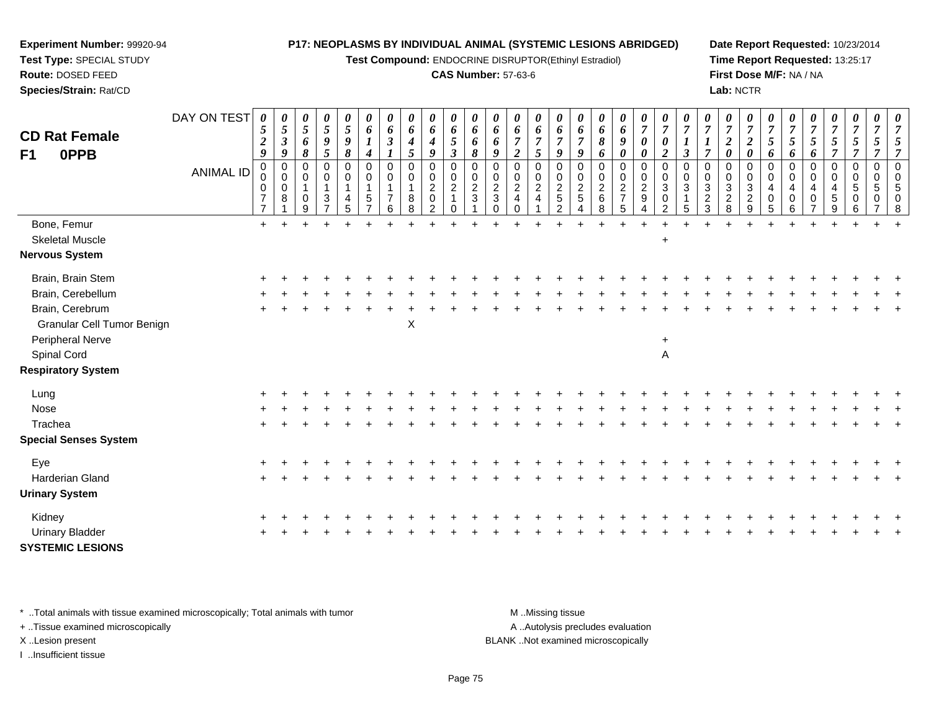**Test Compound:** ENDOCRINE DISRUPTOR(Ethinyl Estradiol)

#### **CAS Number:** 57-63-6

**Date Report Requested:** 10/23/2014**Time Report Requested:** 13:25:17**First Dose M/F:** NA / NA**Lab:** NCTR

| <b>CD Rat Female</b><br>F1<br>0PPB | DAY ON TEST<br><b>ANIMAL ID</b> | 0<br>5<br>$\overline{2}$<br>9<br>0<br>0<br>$\boldsymbol{7}$<br>$\overline{7}$ | 0<br>$\mathfrak{s}$<br>$\boldsymbol{\beta}$<br>9<br>0<br>0<br>$\mathbf 0$<br>8 | 0<br>$\mathfrak{s}$<br>6<br>8<br>0<br>$\mathbf 0$<br>$\mathbf 1$<br>$\mathbf 0$<br>9 | 0<br>$\mathfrak{s}$<br>$\boldsymbol{g}$<br>5<br>$\pmb{0}$<br>0<br>$\mathbf{1}$<br>$\sqrt{3}$<br>$\overline{7}$ | 0<br>$\overline{5}$<br>$\boldsymbol{9}$<br>8<br>$\mathbf 0$<br>0<br>$\overline{1}$<br>$\overline{4}$<br>5 | 0<br>6<br>4<br>$\Omega$<br>0<br>1<br>5 | 0<br>6<br>$\boldsymbol{\beta}$<br>$\mathbf 0$<br>0<br>$\overline{7}$<br>6 | 0<br>6<br>$\boldsymbol{4}$<br>5<br>$\pmb{0}$<br>0<br>8<br>8 | 0<br>6<br>4<br>9<br>$\pmb{0}$<br>$\frac{0}{2}$<br>$\overline{2}$ | 0<br>6<br>$\mathfrak{I}$<br>$\boldsymbol{\beta}$<br>0<br>0<br>$\sqrt{2}$<br>0 | 0<br>6<br>6<br>8<br>$\Omega$<br>0<br>$\overline{2}$<br>3 | 0<br>6<br>6<br>9<br>0<br>0<br>$\overline{c}$<br>$\mathbf{3}$<br>$\Omega$ | 0<br>6<br>$\overline{7}$<br>$\boldsymbol{2}$<br>0<br>$\begin{array}{c} 0 \\ 2 \\ 4 \end{array}$<br>$\Omega$ | 0<br>6<br>$\overline{7}$<br>5<br>$\mathbf 0$<br>$^{\rm 0}_{\rm 2}$<br>$\overline{4}$ | 0<br>6<br>9<br>$\mathbf 0$<br>0<br>$\frac{2}{5}$<br>$\overline{2}$ | 0<br>6<br>$\overline{7}$<br>9<br>$\mathbf 0$<br>0<br>$\overline{2}$<br>$\sqrt{5}$<br>$\Delta$ | 0<br>6<br>$\pmb{8}$<br>6<br>$\mathbf 0$<br>0<br>$\overline{c}$<br>$\,6\,$<br>8 | 0<br>6<br>9<br>0<br>0<br>$\mathbf 0$<br>$\frac{2}{7}$<br>5 | $\frac{\boldsymbol{\theta}}{\boldsymbol{7}}$<br>0<br>0<br>0<br>$\begin{smallmatrix} 0\\2\\9 \end{smallmatrix}$<br>$\overline{4}$ | 0<br>$\overline{7}$<br>$\pmb{\theta}$<br>$\boldsymbol{2}$<br>$\Omega$<br>0<br>3<br>$\pmb{0}$<br>$\overline{2}$ | 0<br>$\boldsymbol{\beta}$<br>$\mathbf 0$<br>0<br>$\sqrt{3}$<br>5 | 0<br>$\overline{7}$<br>$\boldsymbol{l}$<br>$\overline{7}$<br>0<br>0<br>$\frac{3}{2}$ | 0<br>$\overline{7}$<br>$\sqrt{2}$<br>$\boldsymbol{\theta}$<br>$\mathbf 0$<br>$_3^{\rm 0}$<br>$\boldsymbol{2}$<br>8 | 0<br>$\overline{7}$<br>$\boldsymbol{2}$<br>$\boldsymbol{\theta}$<br>$\Omega$<br>0<br>3<br>$\overline{c}$<br>9 | $\overline{7}$<br>$5\overline{)}$<br>6<br>$\Omega$<br>$\Omega$<br>$\overline{4}$<br>0<br>5 | 0<br>$\overline{7}$<br>5<br>6<br>$\mathbf 0$<br>0<br>$\overline{4}$<br>0<br>6 | 0<br>$\overline{7}$<br>$\sqrt{5}$<br>6<br>0<br>0<br>$\overline{4}$<br>0 | 0<br>$\overline{7}$<br>$\mathfrak{s}$<br>$\overline{7}$<br>$\pmb{0}$<br>$\mathbf 0$<br>$\overline{4}$<br>$\sqrt{5}$<br>$\boldsymbol{9}$ | $\boldsymbol{\theta}$<br>$\overline{7}$<br>$\sqrt{5}$<br>$\overline{7}$<br>$\mathbf 0$<br>$\mathbf 0$<br>5<br>$\mathbf 0$<br>6 | $\overline{7}$<br>5<br>7<br>$\mathbf 0$<br>$\Omega$<br>5<br>0 | 0<br>$\overline{7}$<br>5<br>$\overline{7}$<br>$\Omega$<br>$\mathbf 0$<br>5<br>0<br>8 |
|------------------------------------|---------------------------------|-------------------------------------------------------------------------------|--------------------------------------------------------------------------------|--------------------------------------------------------------------------------------|----------------------------------------------------------------------------------------------------------------|-----------------------------------------------------------------------------------------------------------|----------------------------------------|---------------------------------------------------------------------------|-------------------------------------------------------------|------------------------------------------------------------------|-------------------------------------------------------------------------------|----------------------------------------------------------|--------------------------------------------------------------------------|-------------------------------------------------------------------------------------------------------------|--------------------------------------------------------------------------------------|--------------------------------------------------------------------|-----------------------------------------------------------------------------------------------|--------------------------------------------------------------------------------|------------------------------------------------------------|----------------------------------------------------------------------------------------------------------------------------------|----------------------------------------------------------------------------------------------------------------|------------------------------------------------------------------|--------------------------------------------------------------------------------------|--------------------------------------------------------------------------------------------------------------------|---------------------------------------------------------------------------------------------------------------|--------------------------------------------------------------------------------------------|-------------------------------------------------------------------------------|-------------------------------------------------------------------------|-----------------------------------------------------------------------------------------------------------------------------------------|--------------------------------------------------------------------------------------------------------------------------------|---------------------------------------------------------------|--------------------------------------------------------------------------------------|
| Bone, Femur                        |                                 | $+$                                                                           |                                                                                | $+$                                                                                  |                                                                                                                |                                                                                                           |                                        |                                                                           |                                                             |                                                                  |                                                                               |                                                          |                                                                          |                                                                                                             |                                                                                      |                                                                    |                                                                                               | ÷                                                                              |                                                            | $\ddot{}$                                                                                                                        |                                                                                                                |                                                                  |                                                                                      |                                                                                                                    |                                                                                                               |                                                                                            |                                                                               |                                                                         |                                                                                                                                         |                                                                                                                                |                                                               |                                                                                      |
| <b>Skeletal Muscle</b>             |                                 |                                                                               |                                                                                |                                                                                      |                                                                                                                |                                                                                                           |                                        |                                                                           |                                                             |                                                                  |                                                                               |                                                          |                                                                          |                                                                                                             |                                                                                      |                                                                    |                                                                                               |                                                                                |                                                            |                                                                                                                                  | $\ddot{}$                                                                                                      |                                                                  |                                                                                      |                                                                                                                    |                                                                                                               |                                                                                            |                                                                               |                                                                         |                                                                                                                                         |                                                                                                                                |                                                               |                                                                                      |
| Nervous System                     |                                 |                                                                               |                                                                                |                                                                                      |                                                                                                                |                                                                                                           |                                        |                                                                           |                                                             |                                                                  |                                                                               |                                                          |                                                                          |                                                                                                             |                                                                                      |                                                                    |                                                                                               |                                                                                |                                                            |                                                                                                                                  |                                                                                                                |                                                                  |                                                                                      |                                                                                                                    |                                                                                                               |                                                                                            |                                                                               |                                                                         |                                                                                                                                         |                                                                                                                                |                                                               |                                                                                      |
| Brain, Brain Stem                  |                                 |                                                                               |                                                                                |                                                                                      |                                                                                                                |                                                                                                           |                                        |                                                                           |                                                             |                                                                  |                                                                               |                                                          |                                                                          |                                                                                                             |                                                                                      |                                                                    |                                                                                               |                                                                                |                                                            |                                                                                                                                  |                                                                                                                |                                                                  |                                                                                      |                                                                                                                    |                                                                                                               |                                                                                            |                                                                               |                                                                         |                                                                                                                                         |                                                                                                                                |                                                               |                                                                                      |
| Brain, Cerebellum                  |                                 |                                                                               |                                                                                |                                                                                      |                                                                                                                |                                                                                                           |                                        |                                                                           |                                                             |                                                                  |                                                                               |                                                          |                                                                          |                                                                                                             |                                                                                      |                                                                    |                                                                                               |                                                                                |                                                            |                                                                                                                                  |                                                                                                                |                                                                  |                                                                                      |                                                                                                                    |                                                                                                               |                                                                                            |                                                                               |                                                                         |                                                                                                                                         |                                                                                                                                |                                                               |                                                                                      |
| Brain, Cerebrum                    |                                 |                                                                               |                                                                                |                                                                                      |                                                                                                                |                                                                                                           |                                        |                                                                           |                                                             |                                                                  |                                                                               |                                                          |                                                                          |                                                                                                             |                                                                                      |                                                                    |                                                                                               |                                                                                |                                                            |                                                                                                                                  |                                                                                                                |                                                                  |                                                                                      |                                                                                                                    |                                                                                                               |                                                                                            |                                                                               |                                                                         |                                                                                                                                         |                                                                                                                                |                                                               |                                                                                      |
| Granular Cell Tumor Benign         |                                 |                                                                               |                                                                                |                                                                                      |                                                                                                                |                                                                                                           |                                        |                                                                           | X                                                           |                                                                  |                                                                               |                                                          |                                                                          |                                                                                                             |                                                                                      |                                                                    |                                                                                               |                                                                                |                                                            |                                                                                                                                  |                                                                                                                |                                                                  |                                                                                      |                                                                                                                    |                                                                                                               |                                                                                            |                                                                               |                                                                         |                                                                                                                                         |                                                                                                                                |                                                               |                                                                                      |
| Peripheral Nerve                   |                                 |                                                                               |                                                                                |                                                                                      |                                                                                                                |                                                                                                           |                                        |                                                                           |                                                             |                                                                  |                                                                               |                                                          |                                                                          |                                                                                                             |                                                                                      |                                                                    |                                                                                               |                                                                                |                                                            |                                                                                                                                  | $\ddot{}$                                                                                                      |                                                                  |                                                                                      |                                                                                                                    |                                                                                                               |                                                                                            |                                                                               |                                                                         |                                                                                                                                         |                                                                                                                                |                                                               |                                                                                      |
| Spinal Cord                        |                                 |                                                                               |                                                                                |                                                                                      |                                                                                                                |                                                                                                           |                                        |                                                                           |                                                             |                                                                  |                                                                               |                                                          |                                                                          |                                                                                                             |                                                                                      |                                                                    |                                                                                               |                                                                                |                                                            |                                                                                                                                  | A                                                                                                              |                                                                  |                                                                                      |                                                                                                                    |                                                                                                               |                                                                                            |                                                                               |                                                                         |                                                                                                                                         |                                                                                                                                |                                                               |                                                                                      |
| <b>Respiratory System</b>          |                                 |                                                                               |                                                                                |                                                                                      |                                                                                                                |                                                                                                           |                                        |                                                                           |                                                             |                                                                  |                                                                               |                                                          |                                                                          |                                                                                                             |                                                                                      |                                                                    |                                                                                               |                                                                                |                                                            |                                                                                                                                  |                                                                                                                |                                                                  |                                                                                      |                                                                                                                    |                                                                                                               |                                                                                            |                                                                               |                                                                         |                                                                                                                                         |                                                                                                                                |                                                               |                                                                                      |
| Lung                               |                                 |                                                                               |                                                                                |                                                                                      |                                                                                                                |                                                                                                           |                                        |                                                                           |                                                             |                                                                  |                                                                               |                                                          |                                                                          |                                                                                                             |                                                                                      |                                                                    |                                                                                               |                                                                                |                                                            |                                                                                                                                  |                                                                                                                |                                                                  |                                                                                      |                                                                                                                    |                                                                                                               |                                                                                            |                                                                               |                                                                         |                                                                                                                                         |                                                                                                                                |                                                               |                                                                                      |
| Nose                               |                                 |                                                                               |                                                                                |                                                                                      |                                                                                                                |                                                                                                           |                                        |                                                                           |                                                             |                                                                  |                                                                               |                                                          |                                                                          |                                                                                                             |                                                                                      |                                                                    |                                                                                               |                                                                                |                                                            |                                                                                                                                  |                                                                                                                |                                                                  |                                                                                      |                                                                                                                    |                                                                                                               |                                                                                            |                                                                               |                                                                         |                                                                                                                                         |                                                                                                                                |                                                               |                                                                                      |
| Trachea                            |                                 |                                                                               |                                                                                |                                                                                      |                                                                                                                |                                                                                                           |                                        |                                                                           |                                                             |                                                                  |                                                                               |                                                          |                                                                          |                                                                                                             |                                                                                      |                                                                    |                                                                                               |                                                                                |                                                            |                                                                                                                                  |                                                                                                                |                                                                  |                                                                                      |                                                                                                                    |                                                                                                               |                                                                                            |                                                                               |                                                                         |                                                                                                                                         |                                                                                                                                |                                                               |                                                                                      |
| <b>Special Senses System</b>       |                                 |                                                                               |                                                                                |                                                                                      |                                                                                                                |                                                                                                           |                                        |                                                                           |                                                             |                                                                  |                                                                               |                                                          |                                                                          |                                                                                                             |                                                                                      |                                                                    |                                                                                               |                                                                                |                                                            |                                                                                                                                  |                                                                                                                |                                                                  |                                                                                      |                                                                                                                    |                                                                                                               |                                                                                            |                                                                               |                                                                         |                                                                                                                                         |                                                                                                                                |                                                               |                                                                                      |
| Eye                                |                                 |                                                                               |                                                                                |                                                                                      |                                                                                                                |                                                                                                           |                                        |                                                                           |                                                             |                                                                  |                                                                               |                                                          |                                                                          |                                                                                                             |                                                                                      |                                                                    |                                                                                               |                                                                                |                                                            |                                                                                                                                  |                                                                                                                |                                                                  |                                                                                      |                                                                                                                    |                                                                                                               |                                                                                            |                                                                               |                                                                         |                                                                                                                                         |                                                                                                                                |                                                               |                                                                                      |
| <b>Harderian Gland</b>             |                                 |                                                                               |                                                                                |                                                                                      |                                                                                                                |                                                                                                           |                                        |                                                                           |                                                             |                                                                  |                                                                               |                                                          |                                                                          |                                                                                                             |                                                                                      |                                                                    |                                                                                               |                                                                                |                                                            |                                                                                                                                  |                                                                                                                |                                                                  |                                                                                      |                                                                                                                    |                                                                                                               |                                                                                            |                                                                               |                                                                         |                                                                                                                                         |                                                                                                                                |                                                               |                                                                                      |
| <b>Urinary System</b>              |                                 |                                                                               |                                                                                |                                                                                      |                                                                                                                |                                                                                                           |                                        |                                                                           |                                                             |                                                                  |                                                                               |                                                          |                                                                          |                                                                                                             |                                                                                      |                                                                    |                                                                                               |                                                                                |                                                            |                                                                                                                                  |                                                                                                                |                                                                  |                                                                                      |                                                                                                                    |                                                                                                               |                                                                                            |                                                                               |                                                                         |                                                                                                                                         |                                                                                                                                |                                                               |                                                                                      |
| Kidney                             |                                 |                                                                               |                                                                                |                                                                                      |                                                                                                                |                                                                                                           |                                        |                                                                           |                                                             |                                                                  |                                                                               |                                                          |                                                                          |                                                                                                             |                                                                                      |                                                                    |                                                                                               |                                                                                |                                                            |                                                                                                                                  |                                                                                                                |                                                                  |                                                                                      |                                                                                                                    |                                                                                                               |                                                                                            |                                                                               |                                                                         |                                                                                                                                         |                                                                                                                                |                                                               |                                                                                      |
| <b>Urinary Bladder</b>             |                                 |                                                                               |                                                                                |                                                                                      |                                                                                                                |                                                                                                           |                                        |                                                                           |                                                             |                                                                  |                                                                               |                                                          |                                                                          |                                                                                                             |                                                                                      |                                                                    |                                                                                               |                                                                                |                                                            |                                                                                                                                  |                                                                                                                |                                                                  |                                                                                      |                                                                                                                    |                                                                                                               |                                                                                            |                                                                               |                                                                         |                                                                                                                                         |                                                                                                                                |                                                               |                                                                                      |
| <b>SYSTEMIC LESIONS</b>            |                                 |                                                                               |                                                                                |                                                                                      |                                                                                                                |                                                                                                           |                                        |                                                                           |                                                             |                                                                  |                                                                               |                                                          |                                                                          |                                                                                                             |                                                                                      |                                                                    |                                                                                               |                                                                                |                                                            |                                                                                                                                  |                                                                                                                |                                                                  |                                                                                      |                                                                                                                    |                                                                                                               |                                                                                            |                                                                               |                                                                         |                                                                                                                                         |                                                                                                                                |                                                               |                                                                                      |

\* ..Total animals with tissue examined microscopically; Total animals with tumor **M** . Missing tissue M ..Missing tissue

+ ..Tissue examined microscopically

**Experiment Number:** 99920-94**Test Type:** SPECIAL STUDY**Route:** DOSED FEED**Species/Strain:** Rat/CD

I ..Insufficient tissue

A ..Autolysis precludes evaluation

X ..Lesion present BLANK ..Not examined microscopically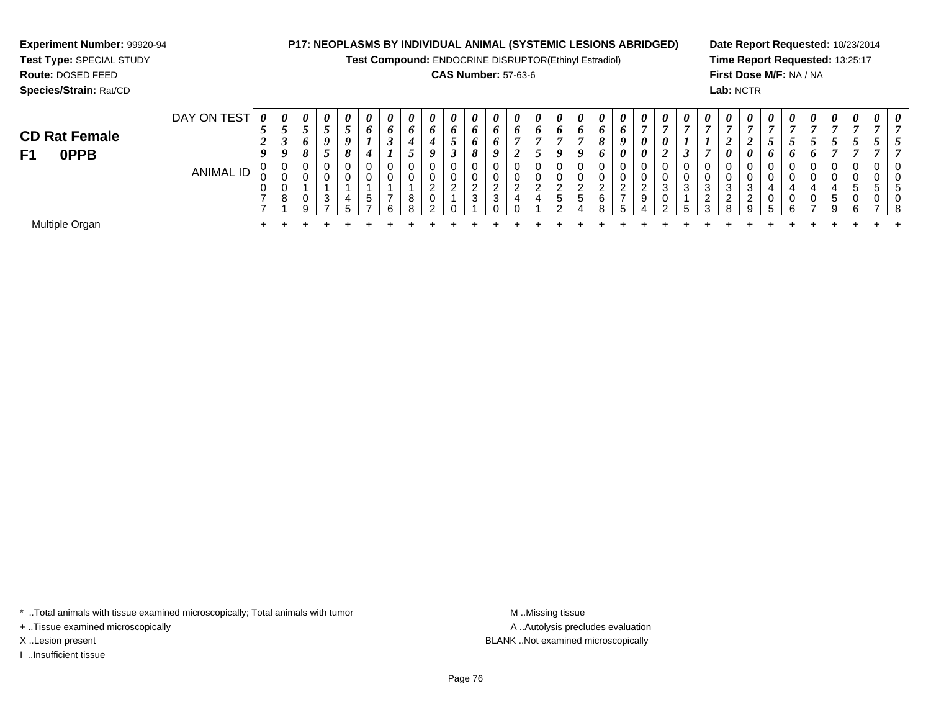**Test Compound:** ENDOCRINE DISRUPTOR(Ethinyl Estradiol)

#### **CAS Number:** 57-63-6

**Date Report Requested:** 10/23/2014**Time Report Requested:** 13:25:17**First Dose M/F:** NA / NA**Lab:** NCTR

|                               | DAY ON TEST | 0 |                  | $\theta$     | 0       | $\boldsymbol{\theta}$ | $\boldsymbol{\theta}$ | 0 | 0       | $\boldsymbol{\theta}$ |   | U           | 0        | $\theta$ | $\boldsymbol{\theta}$ |              | $\boldsymbol{\theta}$ | $\boldsymbol{\theta}$ | $\theta$      | $\boldsymbol{\theta}$ | $\boldsymbol{\theta}$ | $\boldsymbol{\theta}$ | $\boldsymbol{\theta}$ | 0                | $\theta$              | $\boldsymbol{\theta}$ | 0        | $\boldsymbol{\theta}$ | 0 | $\boldsymbol{\theta}$ | $\boldsymbol{\theta}$ |  |
|-------------------------------|-------------|---|------------------|--------------|---------|-----------------------|-----------------------|---|---------|-----------------------|---|-------------|----------|----------|-----------------------|--------------|-----------------------|-----------------------|---------------|-----------------------|-----------------------|-----------------------|-----------------------|------------------|-----------------------|-----------------------|----------|-----------------------|---|-----------------------|-----------------------|--|
|                               |             | ັ |                  |              | ◡       | $\mathcal{L}$         | v                     |   | o       | $\bm{o}$              | o | $\bm{o}$    |          | $\bm{o}$ | $\bm{o}$              | $\bm{o}$     | $\bm{o}$              | υ                     | 0             |                       |                       |                       |                       |                  | ,                     |                       |          |                       |   |                       |                       |  |
| <b>CD Rat Female</b>          |             |   | ◡                | 6            | 9       | - 9                   |                       | J |         |                       |   | o           |          |          |                       |              |                       |                       | o             | $\theta$              |                       |                       |                       | ∠                | $\epsilon$            |                       |          |                       |   |                       |                       |  |
| F <sub>1</sub><br><b>OPPB</b> |             |   | $\boldsymbol{0}$ | $\mathbf{o}$ | لہ      |                       |                       |   |         |                       | I | $\mathbf o$ |          | ◢        |                       | <b>Q</b>     | u                     |                       | 0             | $\boldsymbol{\theta}$ | ◢                     | ີ                     |                       | $\theta$         | $\boldsymbol{\theta}$ | $\bm{o}$              | $\bm{o}$ | o                     |   |                       |                       |  |
|                               |             |   |                  | 0            |         | 0                     |                       |   |         |                       | 0 |             |          |          |                       | 0            |                       |                       | 0             |                       |                       | 0                     |                       | 0                |                       |                       | 0        |                       |   |                       |                       |  |
|                               | ANIMAL ID   |   | u                |              |         |                       |                       |   |         |                       | U |             |          |          |                       | υ            |                       |                       | υ             |                       | v                     | 0                     |                       | 0                |                       |                       | 0        |                       |   |                       |                       |  |
|                               |             |   |                  |              |         |                       |                       |   |         | ົ<br><u>_</u>         | ົ | <u>_</u>    | <u>_</u> | ີ        | <sup>o</sup>          | ົ            |                       |                       | ົ<br><u>_</u> | ົ<br>$\sim$           | 3                     | ັບ                    |                       | 3                | 3                     |                       |          |                       |   |                       |                       |  |
|                               |             |   | 8                | 0            | ົ<br>J. |                       |                       |   | o<br>o  |                       |   | ◠           | 3        |          | 4                     | <sub>5</sub> | G                     |                       | -             | 9                     | U                     |                       |                       | $\sim$<br>$\sim$ | $\sim$                |                       | 0        |                       | 5 |                       |                       |  |
|                               |             |   |                  | 9            | -       | ∽                     |                       |   | $\circ$ | ົ                     |   |             |          |          |                       | ົ            |                       |                       | 5             | Δ                     | ົ                     | ∽                     |                       | 8                | 9                     |                       | 6        |                       | q | ົ                     |                       |  |
| Multiple Organ                |             |   |                  |              |         |                       |                       |   |         |                       |   |             |          |          |                       |              |                       |                       |               |                       |                       |                       |                       |                  |                       |                       |          |                       |   |                       |                       |  |

\* ..Total animals with tissue examined microscopically; Total animals with tumor **M** . Missing tissue M ..Missing tissue

n  $+$ 

+ ..Tissue examined microscopically

**Experiment Number:** 99920-94**Test Type:** SPECIAL STUDY**Route:** DOSED FEED**Species/Strain:** Rat/CD

I ..Insufficient tissue

A ..Autolysis precludes evaluation X ..Lesion present BLANK ..Not examined microscopically

<sup>+</sup> <sup>+</sup> <sup>+</sup> <sup>+</sup> <sup>+</sup> <sup>+</sup> <sup>+</sup> <sup>+</sup> <sup>+</sup> <sup>+</sup> <sup>+</sup> <sup>+</sup> <sup>+</sup> <sup>+</sup> <sup>+</sup> <sup>+</sup> <sup>+</sup> <sup>+</sup> <sup>+</sup> <sup>+</sup> <sup>+</sup> <sup>+</sup> <sup>+</sup> <sup>+</sup> <sup>+</sup> <sup>+</sup> <sup>+</sup> <sup>+</sup> <sup>+</sup> <sup>+</sup>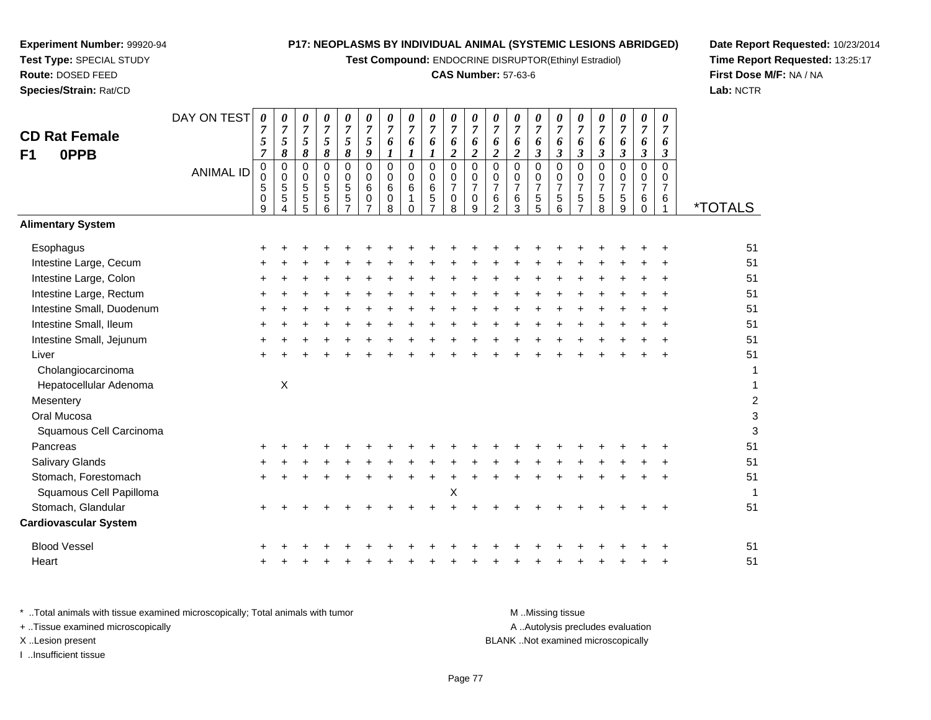**Test Compound:** ENDOCRINE DISRUPTOR(Ethinyl Estradiol)

# **CAS Number:** 57-63-6

DAY ON TEST*00000000000000000000*

**Date Report Requested:** 10/23/2014 **Time Report Requested:** 13:25:17**First Dose M/F:** NA / NA**Lab:** NCTR

| <b>CD Rat Female</b><br>0PPB<br>F <sub>1</sub> | 5<br>$\overline{7}$           | 7<br>5<br>$\pmb{8}$                                | 7<br>$\mathfrak{s}$<br>8 | 7<br>$\sqrt{5}$<br>$\pmb{8}$                | 7<br>5<br>$\pmb{8}$                                       | 7<br>5<br>9                                  | 6<br>1                                              | 7<br>6<br>1                                                 | 6<br>$\boldsymbol{l}$                                     | 6<br>$\overline{\mathbf{c}}$       | 7<br>6<br>$\overline{2}$                               | 7<br>6<br>$\boldsymbol{2}$                                   | 7<br>6<br>$\boldsymbol{2}$                                  | 7<br>6<br>$\mathfrak{z}$                     | 7<br>6<br>$\boldsymbol{\beta}$                                   | 7<br>6<br>$\boldsymbol{\beta}$                            | 7<br>6<br>$\boldsymbol{\beta}$               | 7<br>6<br>$\mathfrak{z}$                     | 7<br>6<br>$\boldsymbol{\beta}$                                   | 7<br>6<br>3           |                         |
|------------------------------------------------|-------------------------------|----------------------------------------------------|--------------------------|---------------------------------------------|-----------------------------------------------------------|----------------------------------------------|-----------------------------------------------------|-------------------------------------------------------------|-----------------------------------------------------------|------------------------------------|--------------------------------------------------------|--------------------------------------------------------------|-------------------------------------------------------------|----------------------------------------------|------------------------------------------------------------------|-----------------------------------------------------------|----------------------------------------------|----------------------------------------------|------------------------------------------------------------------|-----------------------|-------------------------|
| <b>ANIMAL ID</b>                               | $\pmb{0}$<br>0<br>5<br>0<br>9 | $\mathbf 0$<br>$\mathbf 0$<br>$\sqrt{5}$<br>5<br>4 | 0<br>0<br>5<br>5<br>5    | $\overline{0}$<br>0<br>$\sqrt{5}$<br>5<br>6 | $\overline{0}$<br>0<br>$\,$ 5 $\,$<br>5<br>$\overline{7}$ | $\overline{0}$<br>$\mathbf 0$<br>6<br>0<br>7 | $\mathbf 0$<br>$\mathbf 0$<br>6<br>$\mathsf 0$<br>8 | $\mathbf 0$<br>$\mathbf 0$<br>6<br>$\mathbf{1}$<br>$\Omega$ | $\Omega$<br>$\mathbf 0$<br>$\,6\,$<br>5<br>$\overline{7}$ | 0<br>0<br>$\overline{7}$<br>0<br>8 | $\mathbf 0$<br>0<br>$\overline{7}$<br>$\mathbf 0$<br>9 | $\overline{0}$<br>0<br>$\overline{7}$<br>6<br>$\overline{2}$ | $\overline{0}$<br>$\pmb{0}$<br>$\overline{7}$<br>$\,6$<br>3 | $\mathbf 0$<br>0<br>$\overline{7}$<br>5<br>5 | $\mathbf 0$<br>$\mathbf 0$<br>$\overline{7}$<br>$\mathbf 5$<br>6 | $\mathbf 0$<br>0<br>$\overline{7}$<br>5<br>$\overline{7}$ | $\mathbf 0$<br>0<br>$\overline{7}$<br>5<br>8 | $\mathbf 0$<br>0<br>$\overline{7}$<br>5<br>9 | $\mathbf 0$<br>$\mathbf 0$<br>$\overline{7}$<br>6<br>$\mathbf 0$ | 0<br>0<br>7<br>6<br>1 | <i><b>*TOTALS</b></i>   |
| <b>Alimentary System</b>                       |                               |                                                    |                          |                                             |                                                           |                                              |                                                     |                                                             |                                                           |                                    |                                                        |                                                              |                                                             |                                              |                                                                  |                                                           |                                              |                                              |                                                                  |                       |                         |
| Esophagus                                      |                               |                                                    |                          |                                             |                                                           |                                              |                                                     |                                                             |                                                           |                                    |                                                        |                                                              |                                                             |                                              |                                                                  |                                                           |                                              |                                              |                                                                  |                       | 51                      |
| Intestine Large, Cecum                         |                               |                                                    |                          |                                             |                                                           |                                              |                                                     |                                                             |                                                           |                                    |                                                        |                                                              |                                                             |                                              |                                                                  |                                                           |                                              |                                              |                                                                  |                       | 51                      |
| Intestine Large, Colon                         |                               |                                                    |                          |                                             |                                                           |                                              |                                                     |                                                             |                                                           |                                    |                                                        |                                                              |                                                             |                                              |                                                                  |                                                           |                                              |                                              |                                                                  |                       | 51                      |
| Intestine Large, Rectum                        |                               |                                                    |                          |                                             |                                                           |                                              |                                                     |                                                             |                                                           |                                    |                                                        |                                                              |                                                             |                                              |                                                                  |                                                           |                                              |                                              |                                                                  |                       | 51                      |
| Intestine Small, Duodenum                      |                               |                                                    |                          |                                             |                                                           |                                              |                                                     |                                                             |                                                           |                                    |                                                        |                                                              |                                                             |                                              |                                                                  |                                                           |                                              |                                              |                                                                  |                       | 51                      |
| Intestine Small, Ileum                         |                               |                                                    |                          |                                             |                                                           |                                              |                                                     |                                                             |                                                           |                                    |                                                        |                                                              |                                                             |                                              |                                                                  |                                                           |                                              |                                              |                                                                  |                       | 51                      |
| Intestine Small, Jejunum                       |                               |                                                    |                          |                                             |                                                           |                                              |                                                     |                                                             |                                                           |                                    |                                                        |                                                              |                                                             |                                              |                                                                  |                                                           |                                              |                                              |                                                                  |                       | 51                      |
| Liver                                          |                               |                                                    |                          |                                             |                                                           |                                              |                                                     |                                                             |                                                           |                                    |                                                        |                                                              |                                                             |                                              |                                                                  |                                                           |                                              |                                              |                                                                  |                       | 51                      |
| Cholangiocarcinoma                             |                               |                                                    |                          |                                             |                                                           |                                              |                                                     |                                                             |                                                           |                                    |                                                        |                                                              |                                                             |                                              |                                                                  |                                                           |                                              |                                              |                                                                  |                       | 1                       |
| Hepatocellular Adenoma                         |                               | $\boldsymbol{\mathsf{X}}$                          |                          |                                             |                                                           |                                              |                                                     |                                                             |                                                           |                                    |                                                        |                                                              |                                                             |                                              |                                                                  |                                                           |                                              |                                              |                                                                  |                       |                         |
| Mesentery                                      |                               |                                                    |                          |                                             |                                                           |                                              |                                                     |                                                             |                                                           |                                    |                                                        |                                                              |                                                             |                                              |                                                                  |                                                           |                                              |                                              |                                                                  |                       | $\overline{\mathbf{c}}$ |
| Oral Mucosa                                    |                               |                                                    |                          |                                             |                                                           |                                              |                                                     |                                                             |                                                           |                                    |                                                        |                                                              |                                                             |                                              |                                                                  |                                                           |                                              |                                              |                                                                  |                       | 3                       |
| Squamous Cell Carcinoma                        |                               |                                                    |                          |                                             |                                                           |                                              |                                                     |                                                             |                                                           |                                    |                                                        |                                                              |                                                             |                                              |                                                                  |                                                           |                                              |                                              |                                                                  |                       | 3                       |
| Pancreas                                       |                               |                                                    |                          |                                             |                                                           |                                              |                                                     |                                                             |                                                           |                                    |                                                        |                                                              |                                                             |                                              |                                                                  |                                                           |                                              |                                              |                                                                  |                       | 51                      |
| <b>Salivary Glands</b>                         |                               |                                                    |                          |                                             |                                                           |                                              |                                                     |                                                             |                                                           |                                    |                                                        |                                                              |                                                             |                                              |                                                                  |                                                           |                                              |                                              |                                                                  |                       | 51                      |
| Stomach, Forestomach                           |                               |                                                    |                          |                                             |                                                           |                                              |                                                     |                                                             |                                                           |                                    |                                                        |                                                              |                                                             |                                              |                                                                  |                                                           |                                              |                                              |                                                                  |                       | 51                      |
| Squamous Cell Papilloma                        |                               |                                                    |                          |                                             |                                                           |                                              |                                                     |                                                             |                                                           | X                                  |                                                        |                                                              |                                                             |                                              |                                                                  |                                                           |                                              |                                              |                                                                  |                       | 1                       |
| Stomach, Glandular                             |                               |                                                    |                          |                                             |                                                           |                                              |                                                     |                                                             |                                                           |                                    |                                                        |                                                              |                                                             |                                              |                                                                  |                                                           |                                              |                                              |                                                                  |                       | 51                      |
| <b>Cardiovascular System</b>                   |                               |                                                    |                          |                                             |                                                           |                                              |                                                     |                                                             |                                                           |                                    |                                                        |                                                              |                                                             |                                              |                                                                  |                                                           |                                              |                                              |                                                                  |                       |                         |
| <b>Blood Vessel</b>                            |                               |                                                    |                          |                                             |                                                           |                                              |                                                     |                                                             |                                                           |                                    |                                                        |                                                              |                                                             |                                              |                                                                  |                                                           |                                              |                                              |                                                                  |                       | 51                      |
| Heart                                          |                               |                                                    |                          |                                             |                                                           |                                              |                                                     |                                                             |                                                           |                                    |                                                        |                                                              |                                                             |                                              |                                                                  |                                                           |                                              |                                              |                                                                  |                       | 51                      |

| Total animals with tissue examined microscopically; Total animals with tumor | M Missing tissue                   |
|------------------------------------------------------------------------------|------------------------------------|
| + Tissue examined microscopically                                            | A Autolysis precludes evaluation   |
| X Lesion present                                                             | BLANK Not examined microscopically |
| …Insufficient tissue                                                         |                                    |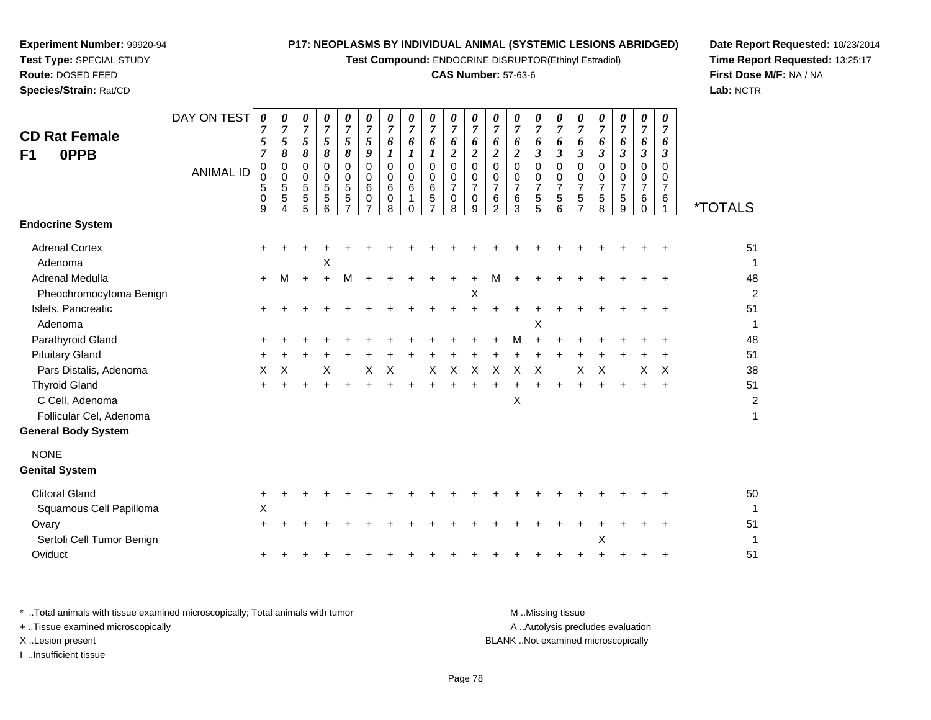**Test Compound:** ENDOCRINE DISRUPTOR(Ethinyl Estradiol)

#### **CAS Number:** 57-63-6

**Date Report Requested:** 10/23/2014**Time Report Requested:** 13:25:17**First Dose M/F:** NA / NA**Lab:** NCTR

| <b>CD Rat Female</b><br>F1<br>0PPB | DAY ON TEST      | $\boldsymbol{\theta}$<br>$\overline{7}$<br>5<br>$\overline{7}$ | $\boldsymbol{\theta}$<br>$\overline{7}$<br>$\sqrt{5}$<br>8 | 0<br>$\overline{7}$<br>$\mathfrak{s}$<br>8 | $\frac{\boldsymbol{0}}{7}$<br>5<br>8                   | 0<br>$\overline{7}$<br>5<br>8             | 0<br>$\overline{7}$<br>$\mathfrak{s}$<br>9 | 0<br>$\overline{7}$<br>6<br>$\boldsymbol{l}$ | 0<br>$\overline{7}$<br>6<br>$\boldsymbol{l}$     | 0<br>$\overline{7}$<br>6<br>1                                   | 0<br>$\overline{7}$<br>6<br>$\overline{c}$ | 0<br>$\overline{7}$<br>6<br>$\overline{2}$             | 0<br>$\overline{7}$<br>6<br>$\overline{c}$             | 0<br>$\overline{7}$<br>6<br>$\boldsymbol{2}$ | 0<br>$\overline{7}$<br>6<br>$\mathfrak{z}$   | 0<br>$\overline{7}$<br>6<br>$\mathfrak{z}$ | 0<br>$\overline{7}$<br>6<br>$\mathbf{3}$                           | 0<br>$\overline{7}$<br>6<br>$\mathfrak{z}$ | $\frac{\theta}{7}$<br>6<br>$\mathfrak{z}$ | 0<br>$\overline{7}$<br>6<br>$\mathfrak{z}$          | 0<br>$\overline{7}$<br>6<br>$\boldsymbol{\beta}$ |                       |
|------------------------------------|------------------|----------------------------------------------------------------|------------------------------------------------------------|--------------------------------------------|--------------------------------------------------------|-------------------------------------------|--------------------------------------------|----------------------------------------------|--------------------------------------------------|-----------------------------------------------------------------|--------------------------------------------|--------------------------------------------------------|--------------------------------------------------------|----------------------------------------------|----------------------------------------------|--------------------------------------------|--------------------------------------------------------------------|--------------------------------------------|-------------------------------------------|-----------------------------------------------------|--------------------------------------------------|-----------------------|
|                                    | <b>ANIMAL ID</b> | 0<br>0<br>5<br>0<br>9                                          | $\mathbf 0$<br>$\mathbf 0$<br>5<br>$\overline{5}$<br>4     | $\mathbf 0$<br>$\mathbf 0$<br>5<br>5<br>5  | $\mathbf 0$<br>0<br>$\mathbf 5$<br>$\overline{5}$<br>6 | 0<br>0<br>$\frac{5}{5}$<br>$\overline{7}$ | $\mathbf 0$<br>$\mathbf 0$<br>6<br>0       | $\mathbf 0$<br>0<br>6<br>0<br>8              | $\mathbf 0$<br>$\mathbf 0$<br>6<br>1<br>$\Omega$ | $\mathbf 0$<br>$\mathbf 0$<br>6<br>$\sqrt{5}$<br>$\overline{7}$ | 0<br>0<br>$\overline{7}$<br>$\Omega$<br>8  | $\mathbf 0$<br>$\mathbf 0$<br>$\overline{7}$<br>0<br>9 | 0<br>$\Omega$<br>$\overline{7}$<br>6<br>$\overline{2}$ | $\mathbf 0$<br>0<br>$\overline{7}$<br>6<br>3 | $\mathbf 0$<br>0<br>$\overline{7}$<br>5<br>5 | $\mathbf 0$<br>0<br>7<br>$\sqrt{5}$<br>6   | $\mathbf 0$<br>0<br>$\overline{7}$<br>$\sqrt{5}$<br>$\overline{7}$ | 0<br>0<br>$\overline{7}$<br>5<br>8         | 0<br>0<br>$\overline{7}$<br>5<br>9        | $\mathbf 0$<br>0<br>$\overline{7}$<br>6<br>$\Omega$ | $\Omega$<br>0<br>$\overline{7}$<br>6             | <i><b>*TOTALS</b></i> |
| <b>Endocrine System</b>            |                  |                                                                |                                                            |                                            |                                                        |                                           |                                            |                                              |                                                  |                                                                 |                                            |                                                        |                                                        |                                              |                                              |                                            |                                                                    |                                            |                                           |                                                     |                                                  |                       |
| <b>Adrenal Cortex</b><br>Adenoma   |                  |                                                                |                                                            |                                            | X                                                      |                                           |                                            |                                              |                                                  |                                                                 |                                            |                                                        |                                                        |                                              |                                              |                                            |                                                                    |                                            |                                           |                                                     |                                                  | 51<br>$\mathbf 1$     |
| Adrenal Medulla                    |                  | $\ddot{}$                                                      | М                                                          | $\ddot{}$                                  | $\ddot{}$                                              | M                                         |                                            |                                              |                                                  |                                                                 |                                            |                                                        | м                                                      |                                              |                                              |                                            |                                                                    |                                            |                                           |                                                     |                                                  | 48                    |
| Pheochromocytoma Benign            |                  |                                                                |                                                            |                                            |                                                        |                                           |                                            |                                              |                                                  |                                                                 |                                            | Χ                                                      |                                                        |                                              |                                              |                                            |                                                                    |                                            |                                           |                                                     |                                                  | 2                     |
| Islets, Pancreatic                 |                  |                                                                |                                                            |                                            |                                                        |                                           |                                            |                                              |                                                  |                                                                 |                                            |                                                        |                                                        |                                              |                                              |                                            |                                                                    |                                            |                                           |                                                     |                                                  | 51                    |
| Adenoma                            |                  |                                                                |                                                            |                                            |                                                        |                                           |                                            |                                              |                                                  |                                                                 |                                            |                                                        |                                                        |                                              | X                                            |                                            |                                                                    |                                            |                                           |                                                     |                                                  | 1                     |
| Parathyroid Gland                  |                  |                                                                |                                                            |                                            |                                                        |                                           |                                            |                                              |                                                  |                                                                 |                                            |                                                        |                                                        | M                                            |                                              |                                            |                                                                    |                                            |                                           |                                                     |                                                  | 48                    |
| <b>Pituitary Gland</b>             |                  |                                                                |                                                            |                                            |                                                        |                                           |                                            |                                              |                                                  |                                                                 |                                            |                                                        |                                                        |                                              |                                              |                                            |                                                                    |                                            |                                           |                                                     |                                                  | 51                    |
| Pars Distalis, Adenoma             |                  | X                                                              | Χ                                                          |                                            | Х                                                      |                                           | Х                                          | Х                                            |                                                  | Х                                                               | $\times$                                   | X                                                      | X                                                      | X                                            | X                                            |                                            | X                                                                  | X                                          |                                           | Χ                                                   | X                                                | 38                    |
| <b>Thyroid Gland</b>               |                  |                                                                |                                                            |                                            |                                                        |                                           |                                            |                                              |                                                  |                                                                 |                                            |                                                        |                                                        |                                              |                                              |                                            |                                                                    |                                            |                                           |                                                     |                                                  | 51                    |
| C Cell, Adenoma                    |                  |                                                                |                                                            |                                            |                                                        |                                           |                                            |                                              |                                                  |                                                                 |                                            |                                                        |                                                        | X                                            |                                              |                                            |                                                                    |                                            |                                           |                                                     |                                                  | 2                     |
| Follicular Cel, Adenoma            |                  |                                                                |                                                            |                                            |                                                        |                                           |                                            |                                              |                                                  |                                                                 |                                            |                                                        |                                                        |                                              |                                              |                                            |                                                                    |                                            |                                           |                                                     |                                                  | 1                     |
| <b>General Body System</b>         |                  |                                                                |                                                            |                                            |                                                        |                                           |                                            |                                              |                                                  |                                                                 |                                            |                                                        |                                                        |                                              |                                              |                                            |                                                                    |                                            |                                           |                                                     |                                                  |                       |
| <b>NONE</b>                        |                  |                                                                |                                                            |                                            |                                                        |                                           |                                            |                                              |                                                  |                                                                 |                                            |                                                        |                                                        |                                              |                                              |                                            |                                                                    |                                            |                                           |                                                     |                                                  |                       |
| <b>Genital System</b>              |                  |                                                                |                                                            |                                            |                                                        |                                           |                                            |                                              |                                                  |                                                                 |                                            |                                                        |                                                        |                                              |                                              |                                            |                                                                    |                                            |                                           |                                                     |                                                  |                       |
| <b>Clitoral Gland</b>              |                  | +                                                              |                                                            |                                            |                                                        |                                           |                                            |                                              |                                                  |                                                                 |                                            |                                                        |                                                        |                                              |                                              |                                            |                                                                    |                                            |                                           |                                                     |                                                  | 50                    |
| Squamous Cell Papilloma            |                  | X                                                              |                                                            |                                            |                                                        |                                           |                                            |                                              |                                                  |                                                                 |                                            |                                                        |                                                        |                                              |                                              |                                            |                                                                    |                                            |                                           |                                                     |                                                  |                       |
| Ovary                              |                  | ٠                                                              |                                                            |                                            |                                                        |                                           |                                            |                                              |                                                  |                                                                 |                                            |                                                        |                                                        |                                              |                                              |                                            |                                                                    |                                            |                                           |                                                     |                                                  | 51                    |
| Sertoli Cell Tumor Benign          |                  |                                                                |                                                            |                                            |                                                        |                                           |                                            |                                              |                                                  |                                                                 |                                            |                                                        |                                                        |                                              |                                              |                                            |                                                                    | Χ                                          |                                           |                                                     |                                                  |                       |
| Oviduct                            |                  |                                                                |                                                            |                                            |                                                        |                                           |                                            |                                              |                                                  |                                                                 |                                            |                                                        |                                                        |                                              |                                              |                                            |                                                                    |                                            |                                           |                                                     |                                                  | 51                    |
|                                    |                  |                                                                |                                                            |                                            |                                                        |                                           |                                            |                                              |                                                  |                                                                 |                                            |                                                        |                                                        |                                              |                                              |                                            |                                                                    |                                            |                                           |                                                     |                                                  |                       |

**Experiment Number:** 99920-94**Test Type:** SPECIAL STUDY**Route:** DOSED FEED**Species/Strain:** Rat/CD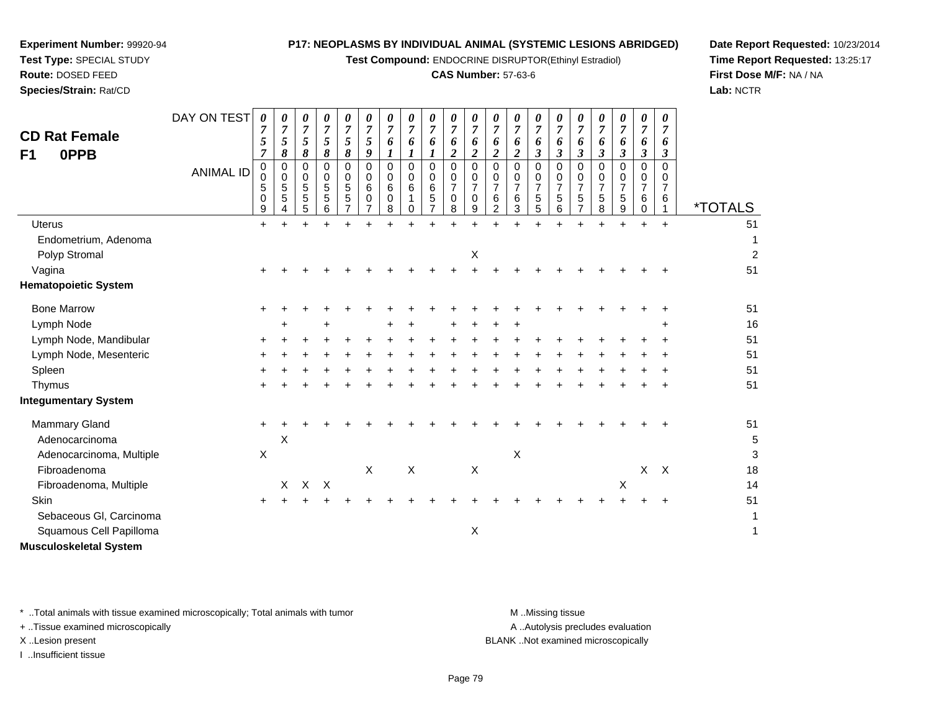**Test Compound:** ENDOCRINE DISRUPTOR(Ethinyl Estradiol)

#### **CAS Number:** 57-63-6

**Date Report Requested:** 10/23/2014**Time Report Requested:** 13:25:17**First Dose M/F:** NA / NA**Lab:** NCTR

51

| <b>CD Rat Female</b><br>0PPB<br>F <sub>1</sub> | DAY ON TEST      | 0<br>7<br>5<br>7          | 0<br>5<br>8      | 0<br>$\overline{7}$<br>$\mathfrak{H}$<br>$\pmb{8}$ | 0<br>$\boldsymbol{7}$<br>$\sqrt{5}$<br>$\pmb{8}$ | 0<br>$\overline{7}$<br>$\sqrt{5}$<br>8                           | 0<br>$\overline{7}$<br>5<br>9 | 0<br>$\overline{7}$<br>6<br>$\boldsymbol{l}$ | 0<br>$\overline{7}$<br>6<br>$\boldsymbol{l}$ | $\overline{7}$<br>6                | 0<br>$\overline{7}$<br>6<br>$\boldsymbol{2}$ | 0<br>$\overline{7}$<br>6<br>$\boldsymbol{2}$ | 0<br>7<br>6<br>$\boldsymbol{2}$                           | 0<br>6<br>$\boldsymbol{2}$                   | 0<br>$\boldsymbol{7}$<br>6<br>$\mathfrak{z}$ | 0<br>$\overline{7}$<br>6<br>$\boldsymbol{\beta}$ | 0<br>7<br>6<br>$\boldsymbol{\beta}$             | 0<br>$\overline{7}$<br>6<br>$\boldsymbol{\beta}$ | 0<br>$\overline{7}$<br>6<br>$\boldsymbol{\mathfrak{z}}$ | 0<br>$\overline{7}$<br>6<br>$\boldsymbol{\beta}$    | 0<br>6<br>3                          |                       |
|------------------------------------------------|------------------|---------------------------|------------------|----------------------------------------------------|--------------------------------------------------|------------------------------------------------------------------|-------------------------------|----------------------------------------------|----------------------------------------------|------------------------------------|----------------------------------------------|----------------------------------------------|-----------------------------------------------------------|----------------------------------------------|----------------------------------------------|--------------------------------------------------|-------------------------------------------------|--------------------------------------------------|---------------------------------------------------------|-----------------------------------------------------|--------------------------------------|-----------------------|
|                                                | <b>ANIMAL ID</b> | 0<br>0<br>5<br>0<br>9     | 0<br>0<br>5<br>5 | 0<br>0<br>$\sqrt{5}$<br>5<br>5                     | 0<br>0<br>$\sqrt{5}$<br>5<br>6                   | $\pmb{0}$<br>0<br>$\overline{5}$<br>$\sqrt{5}$<br>$\overline{7}$ | $\mathbf 0$<br>0<br>6<br>0    | 0<br>0<br>6<br>0<br>8                        | 0<br>0<br>6<br>$\Omega$                      | 0<br>0<br>6<br>5<br>$\overline{7}$ | $\mathbf 0$<br>0<br>$\overline{7}$<br>0<br>8 | $\mathbf 0$<br>0<br>$\overline{7}$<br>0<br>9 | $\mathbf 0$<br>0<br>$\overline{7}$<br>6<br>$\overline{2}$ | $\mathbf 0$<br>0<br>$\overline{7}$<br>6<br>3 | $\mathbf 0$<br>0<br>$\overline{7}$<br>5<br>5 | 0<br>0<br>$\overline{7}$<br>5<br>6               | 0<br>0<br>$\overline{7}$<br>5<br>$\overline{7}$ | 0<br>0<br>$\overline{7}$<br>5<br>8               | 0<br>0<br>$\overline{7}$<br>5<br>9                      | $\mathbf 0$<br>0<br>$\overline{7}$<br>6<br>$\Omega$ | $\Omega$<br>0<br>$\overline{7}$<br>6 | <i><b>*TOTALS</b></i> |
| <b>Uterus</b>                                  |                  | $+$                       |                  |                                                    |                                                  |                                                                  |                               |                                              |                                              |                                    |                                              |                                              |                                                           |                                              |                                              |                                                  |                                                 |                                                  |                                                         |                                                     | $+$                                  | 51                    |
| Endometrium, Adenoma                           |                  |                           |                  |                                                    |                                                  |                                                                  |                               |                                              |                                              |                                    |                                              |                                              |                                                           |                                              |                                              |                                                  |                                                 |                                                  |                                                         |                                                     |                                      | 1                     |
| Polyp Stromal                                  |                  |                           |                  |                                                    |                                                  |                                                                  |                               |                                              |                                              |                                    |                                              | $\mathsf X$                                  |                                                           |                                              |                                              |                                                  |                                                 |                                                  |                                                         |                                                     |                                      | $\overline{a}$        |
| Vagina                                         |                  |                           |                  |                                                    |                                                  |                                                                  |                               |                                              |                                              |                                    |                                              |                                              |                                                           |                                              |                                              |                                                  |                                                 |                                                  |                                                         |                                                     |                                      | 51                    |
| <b>Hematopoietic System</b>                    |                  |                           |                  |                                                    |                                                  |                                                                  |                               |                                              |                                              |                                    |                                              |                                              |                                                           |                                              |                                              |                                                  |                                                 |                                                  |                                                         |                                                     |                                      |                       |
| <b>Bone Marrow</b>                             |                  |                           |                  |                                                    |                                                  |                                                                  |                               |                                              |                                              |                                    |                                              |                                              |                                                           |                                              |                                              |                                                  |                                                 |                                                  |                                                         |                                                     |                                      | 51                    |
| Lymph Node                                     |                  |                           |                  |                                                    |                                                  |                                                                  |                               |                                              |                                              |                                    |                                              |                                              |                                                           |                                              |                                              |                                                  |                                                 |                                                  |                                                         |                                                     |                                      | 16                    |
| Lymph Node, Mandibular                         |                  |                           |                  |                                                    |                                                  |                                                                  |                               |                                              |                                              |                                    |                                              |                                              |                                                           |                                              |                                              |                                                  |                                                 |                                                  |                                                         |                                                     |                                      | 51                    |
| Lymph Node, Mesenteric                         |                  |                           |                  |                                                    |                                                  |                                                                  |                               |                                              |                                              |                                    |                                              |                                              |                                                           |                                              |                                              |                                                  |                                                 |                                                  |                                                         |                                                     |                                      | 51                    |
| Spleen                                         |                  |                           |                  |                                                    |                                                  |                                                                  |                               |                                              |                                              |                                    |                                              |                                              |                                                           |                                              |                                              |                                                  |                                                 |                                                  |                                                         |                                                     |                                      | 51                    |
| Thymus                                         |                  |                           |                  |                                                    |                                                  |                                                                  |                               |                                              |                                              |                                    |                                              |                                              |                                                           |                                              |                                              |                                                  |                                                 |                                                  |                                                         |                                                     |                                      | 51                    |
| <b>Integumentary System</b>                    |                  |                           |                  |                                                    |                                                  |                                                                  |                               |                                              |                                              |                                    |                                              |                                              |                                                           |                                              |                                              |                                                  |                                                 |                                                  |                                                         |                                                     |                                      |                       |
| <b>Mammary Gland</b>                           |                  | $\ddot{}$                 |                  |                                                    |                                                  |                                                                  |                               |                                              |                                              |                                    |                                              |                                              |                                                           |                                              |                                              |                                                  |                                                 |                                                  |                                                         |                                                     |                                      | 51                    |
| Adenocarcinoma                                 |                  |                           | X                |                                                    |                                                  |                                                                  |                               |                                              |                                              |                                    |                                              |                                              |                                                           |                                              |                                              |                                                  |                                                 |                                                  |                                                         |                                                     |                                      | 5                     |
| Adenocarcinoma, Multiple                       |                  | $\boldsymbol{\mathsf{X}}$ |                  |                                                    |                                                  |                                                                  |                               |                                              |                                              |                                    |                                              |                                              |                                                           | $\times$                                     |                                              |                                                  |                                                 |                                                  |                                                         |                                                     |                                      | 3                     |
| Fibroadenoma                                   |                  |                           |                  |                                                    |                                                  |                                                                  | X                             |                                              | Χ                                            |                                    |                                              | Χ                                            |                                                           |                                              |                                              |                                                  |                                                 |                                                  |                                                         | $\mathsf{X}$                                        | $\mathsf{X}$                         | 18                    |
| Fibroadenoma, Multiple                         |                  |                           | X.               | X                                                  | $\times$                                         |                                                                  |                               |                                              |                                              |                                    |                                              |                                              |                                                           |                                              |                                              |                                                  |                                                 |                                                  | X                                                       |                                                     |                                      | 14                    |
| Skin                                           |                  |                           |                  |                                                    |                                                  |                                                                  |                               |                                              |                                              |                                    |                                              |                                              |                                                           |                                              |                                              |                                                  |                                                 |                                                  |                                                         |                                                     |                                      | 51                    |
| Sebaceous GI, Carcinoma                        |                  |                           |                  |                                                    |                                                  |                                                                  |                               |                                              |                                              |                                    |                                              |                                              |                                                           |                                              |                                              |                                                  |                                                 |                                                  |                                                         |                                                     |                                      | 1                     |
| Squamous Cell Papilloma                        |                  |                           |                  |                                                    |                                                  |                                                                  |                               |                                              |                                              |                                    |                                              | X                                            |                                                           |                                              |                                              |                                                  |                                                 |                                                  |                                                         |                                                     |                                      | 1                     |
| <b>Musculoskeletal System</b>                  |                  |                           |                  |                                                    |                                                  |                                                                  |                               |                                              |                                              |                                    |                                              |                                              |                                                           |                                              |                                              |                                                  |                                                 |                                                  |                                                         |                                                     |                                      |                       |

\* ..Total animals with tissue examined microscopically; Total animals with tumor **M** ...Missing tissue M ...Missing tissue

+ ..Tissue examined microscopically

**Experiment Number:** 99920-94**Test Type:** SPECIAL STUDY**Route:** DOSED FEED**Species/Strain:** Rat/CD

I ..Insufficient tissue

A .. Autolysis precludes evaluation

X ..Lesion present BLANK ..Not examined microscopically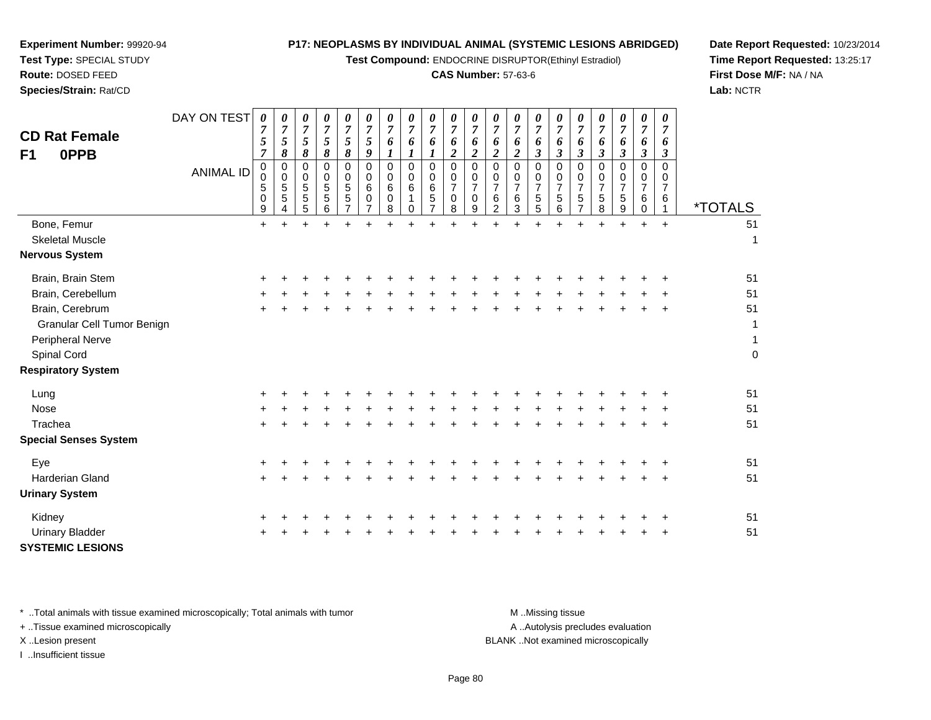**Test Compound:** ENDOCRINE DISRUPTOR(Ethinyl Estradiol)

#### **CAS Number:** 57-63-6

**Date Report Requested:** 10/23/2014**Time Report Requested:** 13:25:17**First Dose M/F:** NA / NA**Lab:** NCTR

| <b>CD Rat Female</b><br>0PPB<br>F <sub>1</sub> | DAY ON TEST<br><b>ANIMAL ID</b> | $\pmb{\theta}$<br>$\boldsymbol{7}$<br>$\sqrt{5}$<br>$\overline{7}$<br>$\pmb{0}$<br>$\pmb{0}$<br>5<br>$\,0\,$<br>9 | $\boldsymbol{\theta}$<br>$\overline{7}$<br>5<br>8<br>0<br>$\mathbf 0$<br>$\overline{5}$<br>5<br>4 | 0<br>$\boldsymbol{7}$<br>5<br>8<br>0<br>0<br>5<br>$\sqrt{5}$<br>5 | $\boldsymbol{\theta}$<br>$\overline{7}$<br>5<br>$\pmb{8}$<br>0<br>$\begin{array}{c} 0 \\ 5 \end{array}$<br>$\sqrt{5}$<br>6 | $\boldsymbol{\theta}$<br>$\boldsymbol{7}$<br>$\sqrt{5}$<br>8<br>0<br>0<br>$\sqrt{5}$<br>$\sqrt{5}$<br>$\overline{7}$ | $\boldsymbol{\theta}$<br>$\overline{7}$<br>5<br>9<br>$\mathbf 0$<br>0<br>$6\phantom{1}6$<br>0<br>$\overline{7}$ | 0<br>$\boldsymbol{7}$<br>6<br>0<br>0<br>$\,6$<br>0<br>8 | 0<br>$\overline{7}$<br>6<br>$\boldsymbol{l}$<br>0<br>0<br>$\,6$<br>1<br>0 | 0<br>$\boldsymbol{7}$<br>6<br>0<br>0<br>$\,6\,$<br>$\sqrt{5}$<br>$\overline{7}$ | 0<br>$\overline{7}$<br>6<br>$\boldsymbol{2}$<br>$\mathbf 0$<br>0<br>$\overline{7}$<br>$\mathbf 0$<br>8 | 0<br>$\overline{7}$<br>6<br>$\overline{c}$<br>0<br>$\mathbf 0$<br>$\overline{7}$<br>$\mathbf 0$<br>9 | 0<br>$\boldsymbol{7}$<br>6<br>$\overline{2}$<br>0<br>$\pmb{0}$<br>$\overline{7}$<br>$\,6\,$<br>$\overline{2}$ | $\pmb{\theta}$<br>$\boldsymbol{7}$<br>6<br>$\boldsymbol{2}$<br>$\mathbf 0$<br>0<br>$\overline{7}$<br>$\,6\,$<br>3 | 0<br>$\overline{7}$<br>6<br>$\boldsymbol{\beta}$<br>$\mathbf 0$<br>0<br>$\overline{7}$<br>5<br>5 | 0<br>$\overline{7}$<br>6<br>$\boldsymbol{\beta}$<br>0<br>0<br>$\overline{7}$<br>5<br>6 | 0<br>$\overline{7}$<br>6<br>$\mathfrak{z}$<br>0<br>0<br>$\overline{7}$<br>$\sqrt{5}$<br>$\overline{7}$ | 0<br>$\boldsymbol{7}$<br>6<br>$\boldsymbol{\mathfrak{z}}$<br>0<br>0<br>$\overline{7}$<br>$\mathbf 5$<br>8 | $\boldsymbol{\theta}$<br>$\overline{7}$<br>6<br>$\boldsymbol{\beta}$<br>0<br>0<br>$\overline{7}$<br>$\sqrt{5}$<br>9 | 0<br>$\overline{7}$<br>6<br>$\boldsymbol{\beta}$<br>0<br>$\mathbf 0$<br>$\overline{7}$<br>6<br>$\mathbf 0$ | 0<br>$\overline{7}$<br>6<br>$\mathfrak{z}$<br>$\mathbf 0$<br>0<br>$\overline{7}$<br>6<br>$\mathbf{1}$ | <i><b>*TOTALS</b></i> |
|------------------------------------------------|---------------------------------|-------------------------------------------------------------------------------------------------------------------|---------------------------------------------------------------------------------------------------|-------------------------------------------------------------------|----------------------------------------------------------------------------------------------------------------------------|----------------------------------------------------------------------------------------------------------------------|-----------------------------------------------------------------------------------------------------------------|---------------------------------------------------------|---------------------------------------------------------------------------|---------------------------------------------------------------------------------|--------------------------------------------------------------------------------------------------------|------------------------------------------------------------------------------------------------------|---------------------------------------------------------------------------------------------------------------|-------------------------------------------------------------------------------------------------------------------|--------------------------------------------------------------------------------------------------|----------------------------------------------------------------------------------------|--------------------------------------------------------------------------------------------------------|-----------------------------------------------------------------------------------------------------------|---------------------------------------------------------------------------------------------------------------------|------------------------------------------------------------------------------------------------------------|-------------------------------------------------------------------------------------------------------|-----------------------|
| Bone, Femur                                    |                                 | $\ddot{}$                                                                                                         |                                                                                                   | $\ddot{}$                                                         | $\ddot{}$                                                                                                                  | $\ddot{}$                                                                                                            |                                                                                                                 |                                                         |                                                                           |                                                                                 |                                                                                                        | $\ddot{}$                                                                                            |                                                                                                               |                                                                                                                   |                                                                                                  | $\div$                                                                                 | ÷                                                                                                      | $\ddot{}$                                                                                                 | $\ddot{}$                                                                                                           | $+$                                                                                                        | $+$                                                                                                   | 51                    |
| <b>Skeletal Muscle</b>                         |                                 |                                                                                                                   |                                                                                                   |                                                                   |                                                                                                                            |                                                                                                                      |                                                                                                                 |                                                         |                                                                           |                                                                                 |                                                                                                        |                                                                                                      |                                                                                                               |                                                                                                                   |                                                                                                  |                                                                                        |                                                                                                        |                                                                                                           |                                                                                                                     |                                                                                                            |                                                                                                       | 1                     |
| <b>Nervous System</b>                          |                                 |                                                                                                                   |                                                                                                   |                                                                   |                                                                                                                            |                                                                                                                      |                                                                                                                 |                                                         |                                                                           |                                                                                 |                                                                                                        |                                                                                                      |                                                                                                               |                                                                                                                   |                                                                                                  |                                                                                        |                                                                                                        |                                                                                                           |                                                                                                                     |                                                                                                            |                                                                                                       |                       |
| Brain, Brain Stem                              |                                 |                                                                                                                   |                                                                                                   |                                                                   |                                                                                                                            |                                                                                                                      |                                                                                                                 |                                                         |                                                                           |                                                                                 |                                                                                                        |                                                                                                      |                                                                                                               |                                                                                                                   |                                                                                                  |                                                                                        |                                                                                                        |                                                                                                           |                                                                                                                     |                                                                                                            |                                                                                                       | 51                    |
| Brain, Cerebellum                              |                                 |                                                                                                                   |                                                                                                   |                                                                   |                                                                                                                            |                                                                                                                      |                                                                                                                 |                                                         |                                                                           |                                                                                 |                                                                                                        |                                                                                                      |                                                                                                               |                                                                                                                   |                                                                                                  |                                                                                        |                                                                                                        |                                                                                                           |                                                                                                                     |                                                                                                            |                                                                                                       | 51                    |
| Brain, Cerebrum                                |                                 |                                                                                                                   |                                                                                                   |                                                                   |                                                                                                                            |                                                                                                                      |                                                                                                                 |                                                         |                                                                           |                                                                                 |                                                                                                        |                                                                                                      |                                                                                                               |                                                                                                                   |                                                                                                  |                                                                                        |                                                                                                        |                                                                                                           |                                                                                                                     |                                                                                                            |                                                                                                       | 51                    |
| Granular Cell Tumor Benign                     |                                 |                                                                                                                   |                                                                                                   |                                                                   |                                                                                                                            |                                                                                                                      |                                                                                                                 |                                                         |                                                                           |                                                                                 |                                                                                                        |                                                                                                      |                                                                                                               |                                                                                                                   |                                                                                                  |                                                                                        |                                                                                                        |                                                                                                           |                                                                                                                     |                                                                                                            |                                                                                                       | 1                     |
| Peripheral Nerve                               |                                 |                                                                                                                   |                                                                                                   |                                                                   |                                                                                                                            |                                                                                                                      |                                                                                                                 |                                                         |                                                                           |                                                                                 |                                                                                                        |                                                                                                      |                                                                                                               |                                                                                                                   |                                                                                                  |                                                                                        |                                                                                                        |                                                                                                           |                                                                                                                     |                                                                                                            |                                                                                                       | $\mathbf{1}$          |
| Spinal Cord                                    |                                 |                                                                                                                   |                                                                                                   |                                                                   |                                                                                                                            |                                                                                                                      |                                                                                                                 |                                                         |                                                                           |                                                                                 |                                                                                                        |                                                                                                      |                                                                                                               |                                                                                                                   |                                                                                                  |                                                                                        |                                                                                                        |                                                                                                           |                                                                                                                     |                                                                                                            |                                                                                                       | $\boldsymbol{0}$      |
| <b>Respiratory System</b>                      |                                 |                                                                                                                   |                                                                                                   |                                                                   |                                                                                                                            |                                                                                                                      |                                                                                                                 |                                                         |                                                                           |                                                                                 |                                                                                                        |                                                                                                      |                                                                                                               |                                                                                                                   |                                                                                                  |                                                                                        |                                                                                                        |                                                                                                           |                                                                                                                     |                                                                                                            |                                                                                                       |                       |
| Lung                                           |                                 |                                                                                                                   |                                                                                                   |                                                                   |                                                                                                                            |                                                                                                                      |                                                                                                                 |                                                         |                                                                           |                                                                                 |                                                                                                        |                                                                                                      |                                                                                                               |                                                                                                                   |                                                                                                  |                                                                                        |                                                                                                        |                                                                                                           |                                                                                                                     |                                                                                                            |                                                                                                       | 51                    |
| Nose                                           |                                 |                                                                                                                   |                                                                                                   |                                                                   |                                                                                                                            |                                                                                                                      |                                                                                                                 |                                                         |                                                                           |                                                                                 |                                                                                                        |                                                                                                      |                                                                                                               |                                                                                                                   |                                                                                                  |                                                                                        |                                                                                                        |                                                                                                           |                                                                                                                     |                                                                                                            |                                                                                                       | 51                    |
| Trachea                                        |                                 |                                                                                                                   |                                                                                                   |                                                                   |                                                                                                                            |                                                                                                                      |                                                                                                                 |                                                         |                                                                           |                                                                                 |                                                                                                        |                                                                                                      |                                                                                                               |                                                                                                                   |                                                                                                  |                                                                                        |                                                                                                        |                                                                                                           |                                                                                                                     |                                                                                                            |                                                                                                       | 51                    |
| <b>Special Senses System</b>                   |                                 |                                                                                                                   |                                                                                                   |                                                                   |                                                                                                                            |                                                                                                                      |                                                                                                                 |                                                         |                                                                           |                                                                                 |                                                                                                        |                                                                                                      |                                                                                                               |                                                                                                                   |                                                                                                  |                                                                                        |                                                                                                        |                                                                                                           |                                                                                                                     |                                                                                                            |                                                                                                       |                       |
| Eye                                            |                                 |                                                                                                                   |                                                                                                   |                                                                   |                                                                                                                            |                                                                                                                      |                                                                                                                 |                                                         |                                                                           |                                                                                 |                                                                                                        |                                                                                                      |                                                                                                               |                                                                                                                   |                                                                                                  |                                                                                        |                                                                                                        |                                                                                                           |                                                                                                                     |                                                                                                            | ÷                                                                                                     | 51                    |
| Harderian Gland                                |                                 |                                                                                                                   |                                                                                                   |                                                                   |                                                                                                                            |                                                                                                                      |                                                                                                                 |                                                         |                                                                           |                                                                                 |                                                                                                        |                                                                                                      |                                                                                                               |                                                                                                                   |                                                                                                  |                                                                                        |                                                                                                        |                                                                                                           |                                                                                                                     |                                                                                                            |                                                                                                       | 51                    |
| <b>Urinary System</b>                          |                                 |                                                                                                                   |                                                                                                   |                                                                   |                                                                                                                            |                                                                                                                      |                                                                                                                 |                                                         |                                                                           |                                                                                 |                                                                                                        |                                                                                                      |                                                                                                               |                                                                                                                   |                                                                                                  |                                                                                        |                                                                                                        |                                                                                                           |                                                                                                                     |                                                                                                            |                                                                                                       |                       |
| Kidney                                         |                                 |                                                                                                                   |                                                                                                   |                                                                   |                                                                                                                            |                                                                                                                      |                                                                                                                 |                                                         |                                                                           |                                                                                 |                                                                                                        |                                                                                                      |                                                                                                               |                                                                                                                   |                                                                                                  |                                                                                        |                                                                                                        |                                                                                                           |                                                                                                                     |                                                                                                            |                                                                                                       | 51                    |
| <b>Urinary Bladder</b>                         |                                 |                                                                                                                   |                                                                                                   |                                                                   |                                                                                                                            |                                                                                                                      |                                                                                                                 |                                                         |                                                                           |                                                                                 |                                                                                                        |                                                                                                      |                                                                                                               |                                                                                                                   |                                                                                                  |                                                                                        |                                                                                                        |                                                                                                           |                                                                                                                     |                                                                                                            |                                                                                                       | 51                    |
| <b>SYSTEMIC LESIONS</b>                        |                                 |                                                                                                                   |                                                                                                   |                                                                   |                                                                                                                            |                                                                                                                      |                                                                                                                 |                                                         |                                                                           |                                                                                 |                                                                                                        |                                                                                                      |                                                                                                               |                                                                                                                   |                                                                                                  |                                                                                        |                                                                                                        |                                                                                                           |                                                                                                                     |                                                                                                            |                                                                                                       |                       |

\* ..Total animals with tissue examined microscopically; Total animals with tumor **M** . Missing tissue M ..Missing tissue

+ ..Tissue examined microscopically

**Experiment Number:** 99920-94**Test Type:** SPECIAL STUDY**Route:** DOSED FEED**Species/Strain:** Rat/CD

I ..Insufficient tissue

A ..Autolysis precludes evaluation

X ..Lesion present BLANK ..Not examined microscopically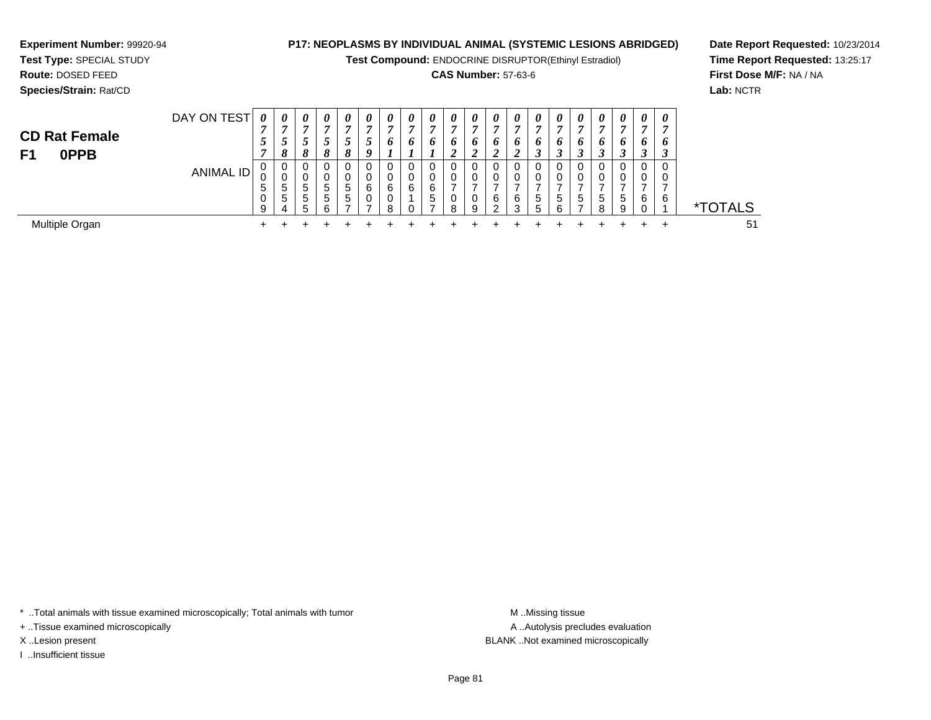**Test Compound:** ENDOCRINE DISRUPTOR(Ethinyl Estradiol)

#### **CAS Number:** 57-63-6

<sup>+</sup> <sup>+</sup> <sup>+</sup> <sup>+</sup> <sup>+</sup> <sup>+</sup> <sup>+</sup> <sup>+</sup> <sup>+</sup> <sup>+</sup> <sup>+</sup> <sup>+</sup> <sup>+</sup> <sup>+</sup> <sup>+</sup> <sup>+</sup> <sup>+</sup> <sup>+</sup> <sup>+</sup> <sup>51</sup>

**Date Report Requested:** 10/23/2014**Time Report Requested:** 13:25:17**First Dose M/F:** NA / NA**Lab:** NCTR

| Species/Strain: Rat/CD             |                  |                                              |                             |              |                  |                                                                          |                            |                   |        |                                  |                         |               |         |                          |                                    |                   |             |                                |             |                    |               | Lab: NCT      |
|------------------------------------|------------------|----------------------------------------------|-----------------------------|--------------|------------------|--------------------------------------------------------------------------|----------------------------|-------------------|--------|----------------------------------|-------------------------|---------------|---------|--------------------------|------------------------------------|-------------------|-------------|--------------------------------|-------------|--------------------|---------------|---------------|
| <b>CD Rat Female</b><br>0PPB<br>F1 | DAY ON TEST      | $\boldsymbol{\theta}$<br>$\overline{ }$<br>ູ | 0<br>0                      | 0<br>IJ<br>8 | 0<br>8           | $\boldsymbol{\theta}$<br>$\overline{ }$<br>◡<br>$\mathbf{o}$<br>$\sigma$ | 0<br>п<br>$\boldsymbol{o}$ | 0<br>r,<br>o      | 0<br>6 | 0<br>−<br>o                      | $\theta$<br>п<br>o<br>◢ | $\theta$<br>o | 0<br>6  | 0<br>$\overline{ }$<br>6 | 0<br>$\overline{ }$<br>6<br>◠<br>◡ | 0<br>r,<br>o<br>3 | 0<br>6<br>J | $\theta$<br>,<br>$\bm{o}$<br>ູ | 0<br>п<br>o | $\theta$<br>o<br>◡ | $\theta$<br>6 |               |
|                                    | <b>ANIMAL ID</b> | 0<br>υ<br>G<br>υ<br>9                        | 0<br>U<br>đ<br><sub>5</sub> | G<br>.5<br>∽ | $\mathbf b$<br>ଳ | 0<br>υ<br><sub>5</sub><br>b.                                             | 0<br>0<br>6<br>0           | -0<br>6<br>υ<br>8 | 6      | 0<br>0<br>6<br><sub>5</sub><br>⇁ | 0<br>0<br>0<br>8        | υ<br>9        | 6.<br>റ | 6<br>◠                   | 0<br>0<br>-<br>5<br>5              | 0<br>-<br>5<br>6  | 5<br>-      | <sub>5</sub><br>8              | 0<br>5<br>9 | 6                  | 6             | <b>TOTALS</b> |

Multiple Organn  $+$ 

**Experiment Number:** 99920-94**Test Type:** SPECIAL STUDY**Route:** DOSED FEED

\* ..Total animals with tissue examined microscopically; Total animals with tumor **M** ...Missing tissue M ...Missing tissue

+ ..Tissue examined microscopically

I ..Insufficient tissue

A .. Autolysis precludes evaluation X ..Lesion present BLANK ..Not examined microscopically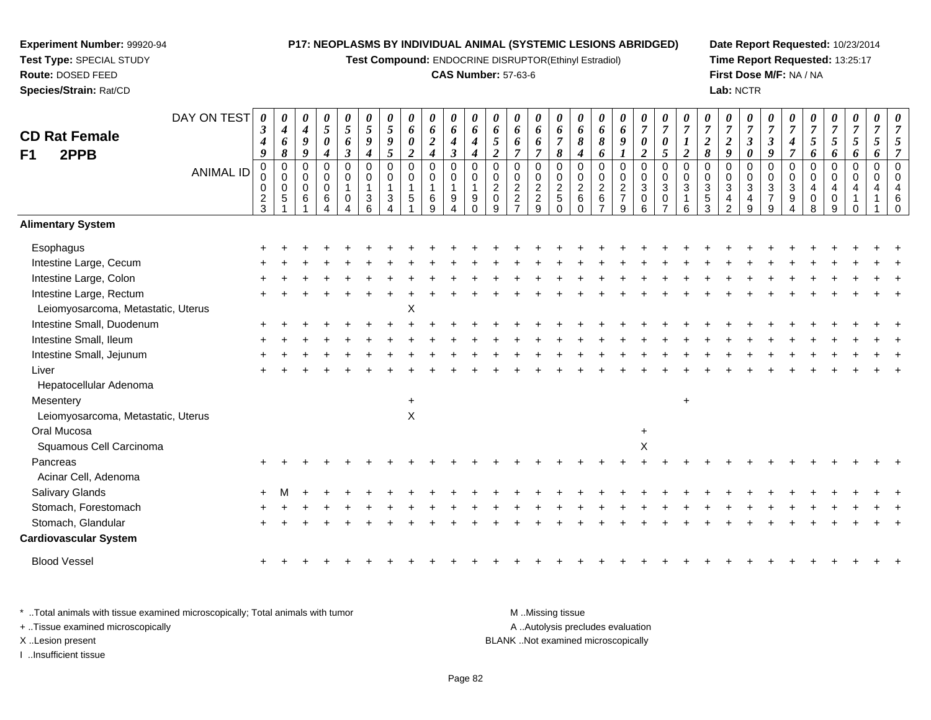**Test Compound:** ENDOCRINE DISRUPTOR(Ethinyl Estradiol)

#### **CAS Number:** 57-63-6

**Date Report Requested:** 10/23/2014**Time Report Requested:** 13:25:17**First Dose M/F:** NA / NA**Lab:** NCTR

| <b>CD Rat Female</b><br>F1<br>2PPB | DAY ON TEST<br><b>ANIMAL ID</b> | $\boldsymbol{\theta}$<br>$\boldsymbol{\beta}$<br>$\boldsymbol{4}$<br>9<br>$\pmb{0}$<br>0<br>0<br>$\frac{2}{3}$ | 0<br>$\boldsymbol{4}$<br>6<br>8<br>$\boldsymbol{0}$<br>$\mathbf 0$<br>$\mathbf 0$<br>$\sqrt{5}$ | 0<br>4<br>9<br>9<br>0<br>0<br>0<br>6 | 0<br>5<br>0<br>0<br>0<br>$\pmb{0}$<br>6 | 0<br>5<br>6<br>$\boldsymbol{\beta}$<br>$\mathsf 0$<br>$\mathbf 0$<br>$\mathbf 1$<br>$\pmb{0}$<br>4 | 0<br>5<br>9<br>$\boldsymbol{4}$<br>$\mathbf 0$<br>0<br>$\overline{1}$<br>$\mathbf{3}$<br>6 | $\boldsymbol{\theta}$<br>$\mathfrak{s}$<br>9<br>5<br>$\mathbf 0$<br>$\Omega$<br>1<br>$\sqrt{3}$ | 0<br>6<br>0<br>$\overline{c}$<br>$\mathbf 0$<br>$\mathbf 0$<br>1<br>5 | 0<br>6<br>$\boldsymbol{2}$<br>$\boldsymbol{4}$<br>$\pmb{0}$<br>$\pmb{0}$<br>$\mathbf 1$<br>$\,6\,$<br>9 | $\pmb{\theta}$<br>6<br>4<br>$\boldsymbol{\beta}$<br>$\pmb{0}$<br>$\pmb{0}$<br>$\mathbf{1}$<br>9<br>4 | 0<br>6<br>$\boldsymbol{4}$<br>4<br>0<br>0<br>$\overline{1}$<br>9<br>$\Omega$ | 0<br>6<br>$\mathfrak{s}$<br>$\boldsymbol{2}$<br>$\mathbf 0$<br>$\mathbf 0$<br>$\overline{c}$<br>$\mathbf 0$<br>9 | 0<br>6<br>6<br>$\overline{7}$<br>$\mathbf 0$<br>$\Omega$<br>$\boldsymbol{2}$<br>$\overline{c}$ | 0<br>6<br>6<br>$\overline{7}$<br>0<br>$\pmb{0}$<br>$\mathbf 2$<br>$\frac{2}{9}$ | 0<br>6<br>$\overline{7}$<br>$\pmb{8}$<br>$\pmb{0}$<br>$\pmb{0}$<br>$\sqrt{2}$<br>$\mathbf 5$<br>$\mathbf 0$ | 0<br>6<br>8<br>4<br>0<br>0<br>$\sqrt{2}$<br>$\,6\,$<br>$\Omega$ | 0<br>6<br>8<br>6<br>$\mathbf 0$<br>$\mathbf 0$<br>$\overline{c}$<br>$\,6\,$<br>$\overline{7}$ | 0<br>6<br>9<br>0<br>0<br>$\sqrt{2}$<br>$\overline{7}$<br>9 | 0<br>$\boldsymbol{7}$<br>$\pmb{\theta}$<br>$\overline{2}$<br>$\pmb{0}$<br>$\pmb{0}$<br>$\ensuremath{\mathsf{3}}$<br>$\pmb{0}$<br>6 | $\pmb{\theta}$<br>$\boldsymbol{7}$<br>$\boldsymbol{\theta}$<br>$\mathfrak{s}$<br>$\mathbf 0$<br>$\mathbf 0$<br>$\sqrt{3}$<br>$\pmb{0}$<br>$\overline{ }$ | 0<br>$\overline{7}$<br>$\boldsymbol{l}$<br>$\boldsymbol{2}$<br>$\mathbf 0$<br>$\mathbf 0$<br>3<br>1<br>6 | 7<br>$\boldsymbol{2}$<br>8<br>$\mathbf 0$<br>$\Omega$<br>$\sqrt{3}$<br>$\sqrt{5}$<br>3 | 0<br>$\overline{7}$<br>$\boldsymbol{2}$<br>9<br>0<br>$\Omega$<br>$\mathbf{3}$<br>$\mathcal{P}$ | 0<br>$\boldsymbol{7}$<br>$\boldsymbol{\beta}$<br>0<br>$\pmb{0}$<br>$\pmb{0}$<br>$\ensuremath{\mathsf{3}}$<br>$\overline{\mathbf{4}}$<br>9 | 0<br>$\overline{7}$<br>3<br>9<br>$\mathbf 0$<br>$\mathbf 0$<br>$\sqrt{3}$<br>$\overline{7}$<br>9 | 0<br>$\overline{7}$<br>$\boldsymbol{4}$<br>$\overline{7}$<br>0<br>0<br>3<br>9 | 7<br>5<br>6<br>$\mathbf 0$<br>$\Omega$<br>4<br>0<br>8 | 0<br>$\overline{7}$<br>5<br>6<br>$\mathbf 0$<br>$\Omega$<br>9 | 0<br>$\overline{7}$<br>5<br>6<br>0<br>$\mathbf 0$ | 0<br>$\overline{7}$<br>5<br>6<br>$\mathbf 0$<br>$\Omega$ | $\boldsymbol{\mathit{U}}$ |
|------------------------------------|---------------------------------|----------------------------------------------------------------------------------------------------------------|-------------------------------------------------------------------------------------------------|--------------------------------------|-----------------------------------------|----------------------------------------------------------------------------------------------------|--------------------------------------------------------------------------------------------|-------------------------------------------------------------------------------------------------|-----------------------------------------------------------------------|---------------------------------------------------------------------------------------------------------|------------------------------------------------------------------------------------------------------|------------------------------------------------------------------------------|------------------------------------------------------------------------------------------------------------------|------------------------------------------------------------------------------------------------|---------------------------------------------------------------------------------|-------------------------------------------------------------------------------------------------------------|-----------------------------------------------------------------|-----------------------------------------------------------------------------------------------|------------------------------------------------------------|------------------------------------------------------------------------------------------------------------------------------------|----------------------------------------------------------------------------------------------------------------------------------------------------------|----------------------------------------------------------------------------------------------------------|----------------------------------------------------------------------------------------|------------------------------------------------------------------------------------------------|-------------------------------------------------------------------------------------------------------------------------------------------|--------------------------------------------------------------------------------------------------|-------------------------------------------------------------------------------|-------------------------------------------------------|---------------------------------------------------------------|---------------------------------------------------|----------------------------------------------------------|---------------------------|
| <b>Alimentary System</b>           |                                 |                                                                                                                |                                                                                                 |                                      |                                         |                                                                                                    |                                                                                            |                                                                                                 |                                                                       |                                                                                                         |                                                                                                      |                                                                              |                                                                                                                  |                                                                                                |                                                                                 |                                                                                                             |                                                                 |                                                                                               |                                                            |                                                                                                                                    |                                                                                                                                                          |                                                                                                          |                                                                                        |                                                                                                |                                                                                                                                           |                                                                                                  |                                                                               |                                                       |                                                               |                                                   |                                                          |                           |
| Esophagus                          |                                 |                                                                                                                |                                                                                                 |                                      |                                         |                                                                                                    |                                                                                            |                                                                                                 |                                                                       |                                                                                                         |                                                                                                      |                                                                              |                                                                                                                  |                                                                                                |                                                                                 |                                                                                                             |                                                                 |                                                                                               |                                                            |                                                                                                                                    |                                                                                                                                                          |                                                                                                          |                                                                                        |                                                                                                |                                                                                                                                           |                                                                                                  |                                                                               |                                                       |                                                               |                                                   |                                                          |                           |
| Intestine Large, Cecum             |                                 |                                                                                                                |                                                                                                 |                                      |                                         |                                                                                                    |                                                                                            |                                                                                                 |                                                                       |                                                                                                         |                                                                                                      |                                                                              |                                                                                                                  |                                                                                                |                                                                                 |                                                                                                             |                                                                 |                                                                                               |                                                            |                                                                                                                                    |                                                                                                                                                          |                                                                                                          |                                                                                        |                                                                                                |                                                                                                                                           |                                                                                                  |                                                                               |                                                       |                                                               |                                                   |                                                          |                           |
| Intestine Large, Colon             |                                 |                                                                                                                |                                                                                                 |                                      |                                         |                                                                                                    |                                                                                            |                                                                                                 |                                                                       |                                                                                                         |                                                                                                      |                                                                              |                                                                                                                  |                                                                                                |                                                                                 |                                                                                                             |                                                                 |                                                                                               |                                                            |                                                                                                                                    |                                                                                                                                                          |                                                                                                          |                                                                                        |                                                                                                |                                                                                                                                           |                                                                                                  |                                                                               |                                                       |                                                               |                                                   |                                                          |                           |
| Intestine Large, Rectum            |                                 |                                                                                                                |                                                                                                 |                                      |                                         |                                                                                                    |                                                                                            |                                                                                                 |                                                                       |                                                                                                         |                                                                                                      |                                                                              |                                                                                                                  |                                                                                                |                                                                                 |                                                                                                             |                                                                 |                                                                                               |                                                            |                                                                                                                                    |                                                                                                                                                          |                                                                                                          |                                                                                        |                                                                                                |                                                                                                                                           |                                                                                                  |                                                                               |                                                       |                                                               |                                                   |                                                          |                           |
| Leiomyosarcoma, Metastatic, Uterus |                                 |                                                                                                                |                                                                                                 |                                      |                                         |                                                                                                    |                                                                                            |                                                                                                 | Χ                                                                     |                                                                                                         |                                                                                                      |                                                                              |                                                                                                                  |                                                                                                |                                                                                 |                                                                                                             |                                                                 |                                                                                               |                                                            |                                                                                                                                    |                                                                                                                                                          |                                                                                                          |                                                                                        |                                                                                                |                                                                                                                                           |                                                                                                  |                                                                               |                                                       |                                                               |                                                   |                                                          |                           |
| Intestine Small, Duodenum          |                                 |                                                                                                                |                                                                                                 |                                      |                                         |                                                                                                    |                                                                                            |                                                                                                 |                                                                       |                                                                                                         |                                                                                                      |                                                                              |                                                                                                                  |                                                                                                |                                                                                 |                                                                                                             |                                                                 |                                                                                               |                                                            |                                                                                                                                    |                                                                                                                                                          |                                                                                                          |                                                                                        |                                                                                                |                                                                                                                                           |                                                                                                  |                                                                               |                                                       |                                                               |                                                   |                                                          |                           |
| Intestine Small, Ileum             |                                 |                                                                                                                |                                                                                                 |                                      |                                         |                                                                                                    |                                                                                            |                                                                                                 |                                                                       |                                                                                                         |                                                                                                      |                                                                              |                                                                                                                  |                                                                                                |                                                                                 |                                                                                                             |                                                                 |                                                                                               |                                                            |                                                                                                                                    |                                                                                                                                                          |                                                                                                          |                                                                                        |                                                                                                |                                                                                                                                           |                                                                                                  |                                                                               |                                                       |                                                               |                                                   |                                                          |                           |
| Intestine Small, Jejunum           |                                 |                                                                                                                |                                                                                                 |                                      |                                         |                                                                                                    |                                                                                            |                                                                                                 |                                                                       |                                                                                                         |                                                                                                      |                                                                              |                                                                                                                  |                                                                                                |                                                                                 |                                                                                                             |                                                                 |                                                                                               |                                                            |                                                                                                                                    |                                                                                                                                                          |                                                                                                          |                                                                                        |                                                                                                |                                                                                                                                           |                                                                                                  |                                                                               |                                                       |                                                               |                                                   |                                                          |                           |
| Liver                              |                                 |                                                                                                                |                                                                                                 |                                      |                                         |                                                                                                    |                                                                                            |                                                                                                 |                                                                       |                                                                                                         |                                                                                                      |                                                                              |                                                                                                                  |                                                                                                |                                                                                 |                                                                                                             |                                                                 |                                                                                               |                                                            |                                                                                                                                    |                                                                                                                                                          |                                                                                                          |                                                                                        |                                                                                                |                                                                                                                                           |                                                                                                  |                                                                               |                                                       |                                                               |                                                   |                                                          |                           |
| Hepatocellular Adenoma             |                                 |                                                                                                                |                                                                                                 |                                      |                                         |                                                                                                    |                                                                                            |                                                                                                 |                                                                       |                                                                                                         |                                                                                                      |                                                                              |                                                                                                                  |                                                                                                |                                                                                 |                                                                                                             |                                                                 |                                                                                               |                                                            |                                                                                                                                    |                                                                                                                                                          |                                                                                                          |                                                                                        |                                                                                                |                                                                                                                                           |                                                                                                  |                                                                               |                                                       |                                                               |                                                   |                                                          |                           |
| Mesentery                          |                                 |                                                                                                                |                                                                                                 |                                      |                                         |                                                                                                    |                                                                                            |                                                                                                 | $\ddot{}$                                                             |                                                                                                         |                                                                                                      |                                                                              |                                                                                                                  |                                                                                                |                                                                                 |                                                                                                             |                                                                 |                                                                                               |                                                            |                                                                                                                                    |                                                                                                                                                          | $\ddot{}$                                                                                                |                                                                                        |                                                                                                |                                                                                                                                           |                                                                                                  |                                                                               |                                                       |                                                               |                                                   |                                                          |                           |
| Leiomyosarcoma, Metastatic, Uterus |                                 |                                                                                                                |                                                                                                 |                                      |                                         |                                                                                                    |                                                                                            |                                                                                                 | $\pmb{\times}$                                                        |                                                                                                         |                                                                                                      |                                                                              |                                                                                                                  |                                                                                                |                                                                                 |                                                                                                             |                                                                 |                                                                                               |                                                            |                                                                                                                                    |                                                                                                                                                          |                                                                                                          |                                                                                        |                                                                                                |                                                                                                                                           |                                                                                                  |                                                                               |                                                       |                                                               |                                                   |                                                          |                           |
| Oral Mucosa                        |                                 |                                                                                                                |                                                                                                 |                                      |                                         |                                                                                                    |                                                                                            |                                                                                                 |                                                                       |                                                                                                         |                                                                                                      |                                                                              |                                                                                                                  |                                                                                                |                                                                                 |                                                                                                             |                                                                 |                                                                                               |                                                            | $\ddot{}$                                                                                                                          |                                                                                                                                                          |                                                                                                          |                                                                                        |                                                                                                |                                                                                                                                           |                                                                                                  |                                                                               |                                                       |                                                               |                                                   |                                                          |                           |
| Squamous Cell Carcinoma            |                                 |                                                                                                                |                                                                                                 |                                      |                                         |                                                                                                    |                                                                                            |                                                                                                 |                                                                       |                                                                                                         |                                                                                                      |                                                                              |                                                                                                                  |                                                                                                |                                                                                 |                                                                                                             |                                                                 |                                                                                               |                                                            | X                                                                                                                                  |                                                                                                                                                          |                                                                                                          |                                                                                        |                                                                                                |                                                                                                                                           |                                                                                                  |                                                                               |                                                       |                                                               |                                                   |                                                          |                           |
| Pancreas                           |                                 |                                                                                                                |                                                                                                 |                                      |                                         |                                                                                                    |                                                                                            |                                                                                                 |                                                                       |                                                                                                         |                                                                                                      |                                                                              |                                                                                                                  |                                                                                                |                                                                                 |                                                                                                             |                                                                 |                                                                                               |                                                            |                                                                                                                                    |                                                                                                                                                          |                                                                                                          |                                                                                        |                                                                                                |                                                                                                                                           |                                                                                                  |                                                                               |                                                       |                                                               |                                                   |                                                          |                           |
| Acinar Cell, Adenoma               |                                 |                                                                                                                |                                                                                                 |                                      |                                         |                                                                                                    |                                                                                            |                                                                                                 |                                                                       |                                                                                                         |                                                                                                      |                                                                              |                                                                                                                  |                                                                                                |                                                                                 |                                                                                                             |                                                                 |                                                                                               |                                                            |                                                                                                                                    |                                                                                                                                                          |                                                                                                          |                                                                                        |                                                                                                |                                                                                                                                           |                                                                                                  |                                                                               |                                                       |                                                               |                                                   |                                                          |                           |
| Salivary Glands                    |                                 |                                                                                                                |                                                                                                 |                                      |                                         |                                                                                                    |                                                                                            |                                                                                                 |                                                                       |                                                                                                         |                                                                                                      |                                                                              |                                                                                                                  |                                                                                                |                                                                                 |                                                                                                             |                                                                 |                                                                                               |                                                            |                                                                                                                                    |                                                                                                                                                          |                                                                                                          |                                                                                        |                                                                                                |                                                                                                                                           |                                                                                                  |                                                                               |                                                       |                                                               |                                                   |                                                          |                           |
| Stomach, Forestomach               |                                 |                                                                                                                |                                                                                                 |                                      |                                         |                                                                                                    |                                                                                            |                                                                                                 |                                                                       |                                                                                                         |                                                                                                      |                                                                              |                                                                                                                  |                                                                                                |                                                                                 |                                                                                                             |                                                                 |                                                                                               |                                                            |                                                                                                                                    |                                                                                                                                                          |                                                                                                          |                                                                                        |                                                                                                |                                                                                                                                           |                                                                                                  |                                                                               |                                                       |                                                               |                                                   |                                                          |                           |
| Stomach, Glandular                 |                                 |                                                                                                                |                                                                                                 |                                      |                                         |                                                                                                    |                                                                                            |                                                                                                 |                                                                       |                                                                                                         |                                                                                                      |                                                                              |                                                                                                                  |                                                                                                |                                                                                 |                                                                                                             |                                                                 |                                                                                               |                                                            |                                                                                                                                    |                                                                                                                                                          |                                                                                                          |                                                                                        |                                                                                                |                                                                                                                                           |                                                                                                  |                                                                               |                                                       |                                                               |                                                   |                                                          |                           |
| <b>Cardiovascular System</b>       |                                 |                                                                                                                |                                                                                                 |                                      |                                         |                                                                                                    |                                                                                            |                                                                                                 |                                                                       |                                                                                                         |                                                                                                      |                                                                              |                                                                                                                  |                                                                                                |                                                                                 |                                                                                                             |                                                                 |                                                                                               |                                                            |                                                                                                                                    |                                                                                                                                                          |                                                                                                          |                                                                                        |                                                                                                |                                                                                                                                           |                                                                                                  |                                                                               |                                                       |                                                               |                                                   |                                                          |                           |
| <b>Blood Vessel</b>                |                                 |                                                                                                                |                                                                                                 |                                      |                                         |                                                                                                    |                                                                                            |                                                                                                 |                                                                       |                                                                                                         |                                                                                                      |                                                                              |                                                                                                                  |                                                                                                |                                                                                 |                                                                                                             |                                                                 |                                                                                               |                                                            |                                                                                                                                    |                                                                                                                                                          |                                                                                                          |                                                                                        |                                                                                                |                                                                                                                                           |                                                                                                  |                                                                               |                                                       |                                                               |                                                   |                                                          |                           |
|                                    |                                 |                                                                                                                |                                                                                                 |                                      |                                         |                                                                                                    |                                                                                            |                                                                                                 |                                                                       |                                                                                                         |                                                                                                      |                                                                              |                                                                                                                  |                                                                                                |                                                                                 |                                                                                                             |                                                                 |                                                                                               |                                                            |                                                                                                                                    |                                                                                                                                                          |                                                                                                          |                                                                                        |                                                                                                |                                                                                                                                           |                                                                                                  |                                                                               |                                                       |                                                               |                                                   |                                                          |                           |

\* ..Total animals with tissue examined microscopically; Total animals with tumor **M** . Missing tissue M ..Missing tissue A ..Autolysis precludes evaluation + ..Tissue examined microscopically X ..Lesion present BLANK ..Not examined microscopicallyI ..Insufficient tissue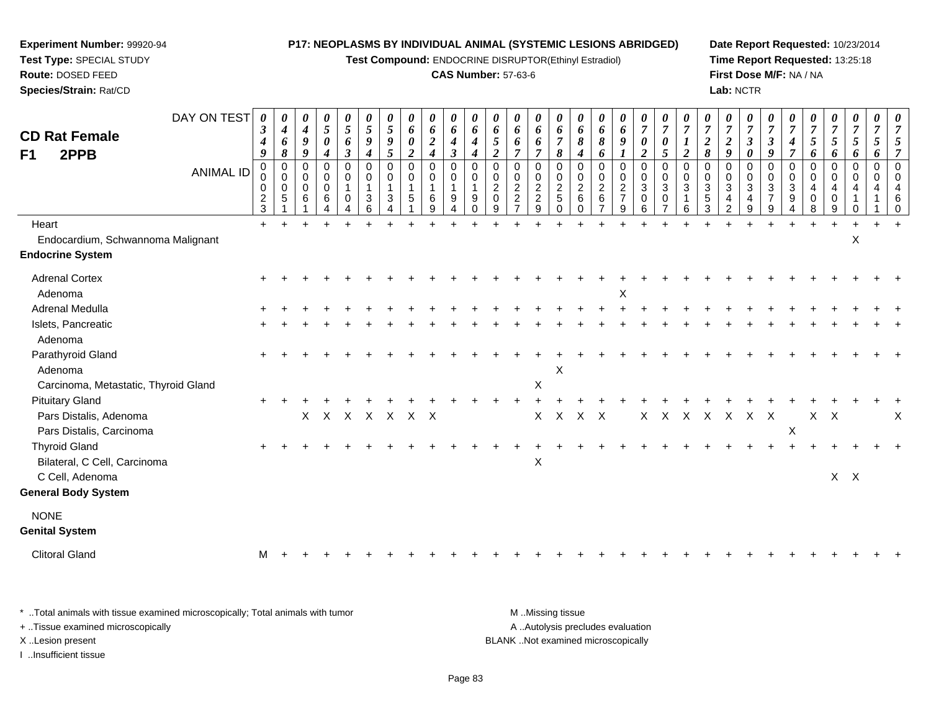**Test Compound:** ENDOCRINE DISRUPTOR(Ethinyl Estradiol)

#### **CAS Number:** 57-63-6

**Date Report Requested:** 10/23/2014**Time Report Requested:** 13:25:18**First Dose M/F:** NA / NA**Lab:** NCTR

| <b>CD Rat Female</b><br>2PPB<br>F1   | DAY ON TEST<br><b>ANIMAL ID</b> | $\boldsymbol{\theta}$<br>3<br>4<br>9<br>0<br>0<br>0<br>$\frac{2}{3}$ | 0<br>$\boldsymbol{4}$<br>6<br>$\pmb{8}$<br>0<br>0<br>$\mathbf 0$<br>$\sqrt{5}$ | 0<br>$\boldsymbol{4}$<br>9<br>9<br>$\Omega$<br>0<br>$\Omega$<br>6 | 0<br>5<br>$\pmb{\theta}$<br>$\boldsymbol{4}$<br>0<br>0<br>0<br>$\,6\,$ | 0<br>$\mathfrak{s}$<br>6<br>$\boldsymbol{\beta}$<br>0<br>$\mathbf 0$<br>$\mathbf 0$ | $\boldsymbol{\theta}$<br>$\mathfrak{s}$<br>9<br>$\boldsymbol{4}$<br>$\mathbf 0$<br>0<br>-1<br>3<br>6 | $\boldsymbol{\theta}$<br>$\mathfrak{s}$<br>$\boldsymbol{9}$<br>$\sqrt{5}$<br>$\mathbf 0$<br>0<br>$\mathbf{1}$<br>3 | 0<br>6<br>0<br>$\overline{a}$<br>$\mathbf 0$<br>$\mathbf 0$<br>5 | 0<br>6<br>$\boldsymbol{2}$<br>$\boldsymbol{4}$<br>0<br>$\mathbf 0$<br>1<br>6<br>9 | 0<br>6<br>$\boldsymbol{4}$<br>$\boldsymbol{\beta}$<br>$\mathbf 0$<br>$\mathbf 0$<br>9<br>4 | 0<br>6<br>$\boldsymbol{4}$<br>$\boldsymbol{4}$<br>$\mathbf 0$<br>$\mathbf 0$<br>9<br>$\Omega$ | $\boldsymbol{\theta}$<br>6<br>5<br>$\overline{2}$<br>$\mathbf 0$<br>0<br>$\sqrt{2}$<br>$\mathbf 0$<br>9 | 0<br>6<br>6<br>$\overline{7}$<br>0<br>0<br>$\overline{c}$<br>$\overline{c}$ | 0<br>6<br>6<br>$\overline{7}$<br>0<br>0<br>$\overline{2}$<br>$\overline{c}$<br>9 | 0<br>6<br>$\overline{7}$<br>8<br>$\mathbf 0$<br>$\pmb{0}$<br>$\frac{2}{5}$<br>$\Omega$ | $\boldsymbol{\theta}$<br>6<br>8<br>$\boldsymbol{4}$<br>$\mathbf 0$<br>$\mathbf 0$<br>$\overline{2}$<br>6<br>$\Omega$ | $\boldsymbol{\theta}$<br>6<br>8<br>6<br>$\mathbf 0$<br>0<br>$\sqrt{2}$<br>$\,6\,$ | 0<br>6<br>9<br>$\mathbf 0$<br>0<br>$\overline{c}$<br>$\overline{7}$<br>9 | 0<br>$\overline{7}$<br>0<br>$\overline{2}$<br>0<br>0<br>$\mathbf{3}$<br>0<br>6 | $\boldsymbol{\theta}$<br>$\overline{7}$<br>0<br>5<br>$\mathbf 0$<br>$\pmb{0}$<br>$\sqrt{3}$<br>$\pmb{0}$ | $\boldsymbol{\theta}$<br>$\overline{7}$<br>$\boldsymbol{I}$<br>$\overline{2}$<br>$\mathbf 0$<br>$\mathbf 0$<br>$\sqrt{3}$<br>$\overline{1}$<br>6 | $\overline{7}$<br>$\boldsymbol{2}$<br>$\pmb{8}$<br>$\mathbf 0$<br>0<br>$\sqrt{3}$<br>$\sqrt{5}$<br>3 | 0<br>$\overline{7}$<br>$\boldsymbol{2}$<br>9<br>$\Omega$<br>0<br>$\mathbf{3}$<br>4<br>2 | 0<br>$\boldsymbol{7}$<br>$\boldsymbol{\beta}$<br>0<br>$\Omega$<br>0<br>3<br>$\overline{\mathbf{4}}$<br>9 | $\boldsymbol{\theta}$<br>$\overline{7}$<br>$\boldsymbol{\beta}$<br>9<br>$\mathbf 0$<br>$\mathbf 0$<br>$\sqrt{3}$<br>$\overline{7}$<br>9 | 0<br>$\overline{7}$<br>$\boldsymbol{4}$<br>$\overline{7}$<br>$\mathbf 0$<br>$\mathbf 0$<br>$\ensuremath{\mathsf{3}}$<br>9 | $\overline{7}$<br>$\mathfrak{s}$<br>6<br>$\mathbf 0$<br>0<br>4<br>0 | 0<br>$\overline{7}$<br>5<br>6<br>$\Omega$<br>0<br>4<br>$\mathbf 0$<br>9 | 0<br>$\overline{7}$<br>5<br>6<br>0<br>$\mathbf 0$<br>4 | $\boldsymbol{\theta}$<br>$\overline{7}$<br>5<br>6<br>$\mathbf 0$<br>$\mathbf 0$ | $\boldsymbol{\theta}$ |
|--------------------------------------|---------------------------------|----------------------------------------------------------------------|--------------------------------------------------------------------------------|-------------------------------------------------------------------|------------------------------------------------------------------------|-------------------------------------------------------------------------------------|------------------------------------------------------------------------------------------------------|--------------------------------------------------------------------------------------------------------------------|------------------------------------------------------------------|-----------------------------------------------------------------------------------|--------------------------------------------------------------------------------------------|-----------------------------------------------------------------------------------------------|---------------------------------------------------------------------------------------------------------|-----------------------------------------------------------------------------|----------------------------------------------------------------------------------|----------------------------------------------------------------------------------------|----------------------------------------------------------------------------------------------------------------------|-----------------------------------------------------------------------------------|--------------------------------------------------------------------------|--------------------------------------------------------------------------------|----------------------------------------------------------------------------------------------------------|--------------------------------------------------------------------------------------------------------------------------------------------------|------------------------------------------------------------------------------------------------------|-----------------------------------------------------------------------------------------|----------------------------------------------------------------------------------------------------------|-----------------------------------------------------------------------------------------------------------------------------------------|---------------------------------------------------------------------------------------------------------------------------|---------------------------------------------------------------------|-------------------------------------------------------------------------|--------------------------------------------------------|---------------------------------------------------------------------------------|-----------------------|
| Heart                                |                                 | $+$                                                                  |                                                                                |                                                                   |                                                                        |                                                                                     |                                                                                                      |                                                                                                                    |                                                                  |                                                                                   |                                                                                            |                                                                                               |                                                                                                         |                                                                             |                                                                                  |                                                                                        |                                                                                                                      |                                                                                   |                                                                          |                                                                                |                                                                                                          |                                                                                                                                                  |                                                                                                      |                                                                                         |                                                                                                          |                                                                                                                                         |                                                                                                                           |                                                                     |                                                                         |                                                        |                                                                                 |                       |
| Endocardium, Schwannoma Malignant    |                                 |                                                                      |                                                                                |                                                                   |                                                                        |                                                                                     |                                                                                                      |                                                                                                                    |                                                                  |                                                                                   |                                                                                            |                                                                                               |                                                                                                         |                                                                             |                                                                                  |                                                                                        |                                                                                                                      |                                                                                   |                                                                          |                                                                                |                                                                                                          |                                                                                                                                                  |                                                                                                      |                                                                                         |                                                                                                          |                                                                                                                                         |                                                                                                                           |                                                                     |                                                                         | X                                                      |                                                                                 |                       |
| <b>Endocrine System</b>              |                                 |                                                                      |                                                                                |                                                                   |                                                                        |                                                                                     |                                                                                                      |                                                                                                                    |                                                                  |                                                                                   |                                                                                            |                                                                                               |                                                                                                         |                                                                             |                                                                                  |                                                                                        |                                                                                                                      |                                                                                   |                                                                          |                                                                                |                                                                                                          |                                                                                                                                                  |                                                                                                      |                                                                                         |                                                                                                          |                                                                                                                                         |                                                                                                                           |                                                                     |                                                                         |                                                        |                                                                                 |                       |
| <b>Adrenal Cortex</b>                |                                 |                                                                      |                                                                                |                                                                   |                                                                        |                                                                                     |                                                                                                      |                                                                                                                    |                                                                  |                                                                                   |                                                                                            |                                                                                               |                                                                                                         |                                                                             |                                                                                  |                                                                                        |                                                                                                                      |                                                                                   |                                                                          |                                                                                |                                                                                                          |                                                                                                                                                  |                                                                                                      |                                                                                         |                                                                                                          |                                                                                                                                         |                                                                                                                           |                                                                     |                                                                         |                                                        |                                                                                 |                       |
| Adenoma                              |                                 |                                                                      |                                                                                |                                                                   |                                                                        |                                                                                     |                                                                                                      |                                                                                                                    |                                                                  |                                                                                   |                                                                                            |                                                                                               |                                                                                                         |                                                                             |                                                                                  |                                                                                        |                                                                                                                      |                                                                                   | X                                                                        |                                                                                |                                                                                                          |                                                                                                                                                  |                                                                                                      |                                                                                         |                                                                                                          |                                                                                                                                         |                                                                                                                           |                                                                     |                                                                         |                                                        |                                                                                 |                       |
| Adrenal Medulla                      |                                 |                                                                      |                                                                                |                                                                   |                                                                        |                                                                                     |                                                                                                      |                                                                                                                    |                                                                  |                                                                                   |                                                                                            |                                                                                               |                                                                                                         |                                                                             |                                                                                  |                                                                                        |                                                                                                                      |                                                                                   |                                                                          |                                                                                |                                                                                                          |                                                                                                                                                  |                                                                                                      |                                                                                         |                                                                                                          |                                                                                                                                         |                                                                                                                           |                                                                     |                                                                         |                                                        |                                                                                 |                       |
| Islets, Pancreatic                   |                                 |                                                                      |                                                                                |                                                                   |                                                                        |                                                                                     |                                                                                                      |                                                                                                                    |                                                                  |                                                                                   |                                                                                            |                                                                                               |                                                                                                         |                                                                             |                                                                                  |                                                                                        |                                                                                                                      |                                                                                   |                                                                          |                                                                                |                                                                                                          |                                                                                                                                                  |                                                                                                      |                                                                                         |                                                                                                          |                                                                                                                                         |                                                                                                                           |                                                                     |                                                                         |                                                        |                                                                                 |                       |
| Adenoma                              |                                 |                                                                      |                                                                                |                                                                   |                                                                        |                                                                                     |                                                                                                      |                                                                                                                    |                                                                  |                                                                                   |                                                                                            |                                                                                               |                                                                                                         |                                                                             |                                                                                  |                                                                                        |                                                                                                                      |                                                                                   |                                                                          |                                                                                |                                                                                                          |                                                                                                                                                  |                                                                                                      |                                                                                         |                                                                                                          |                                                                                                                                         |                                                                                                                           |                                                                     |                                                                         |                                                        |                                                                                 |                       |
| Parathyroid Gland                    |                                 |                                                                      |                                                                                |                                                                   |                                                                        |                                                                                     |                                                                                                      |                                                                                                                    |                                                                  |                                                                                   |                                                                                            |                                                                                               |                                                                                                         |                                                                             |                                                                                  |                                                                                        |                                                                                                                      |                                                                                   |                                                                          |                                                                                |                                                                                                          |                                                                                                                                                  |                                                                                                      |                                                                                         |                                                                                                          |                                                                                                                                         |                                                                                                                           |                                                                     |                                                                         |                                                        |                                                                                 |                       |
| Adenoma                              |                                 |                                                                      |                                                                                |                                                                   |                                                                        |                                                                                     |                                                                                                      |                                                                                                                    |                                                                  |                                                                                   |                                                                                            |                                                                                               |                                                                                                         |                                                                             |                                                                                  | $\pmb{\times}$                                                                         |                                                                                                                      |                                                                                   |                                                                          |                                                                                |                                                                                                          |                                                                                                                                                  |                                                                                                      |                                                                                         |                                                                                                          |                                                                                                                                         |                                                                                                                           |                                                                     |                                                                         |                                                        |                                                                                 |                       |
| Carcinoma, Metastatic, Thyroid Gland |                                 |                                                                      |                                                                                |                                                                   |                                                                        |                                                                                     |                                                                                                      |                                                                                                                    |                                                                  |                                                                                   |                                                                                            |                                                                                               |                                                                                                         |                                                                             | X                                                                                |                                                                                        |                                                                                                                      |                                                                                   |                                                                          |                                                                                |                                                                                                          |                                                                                                                                                  |                                                                                                      |                                                                                         |                                                                                                          |                                                                                                                                         |                                                                                                                           |                                                                     |                                                                         |                                                        |                                                                                 |                       |
| <b>Pituitary Gland</b>               |                                 |                                                                      |                                                                                |                                                                   |                                                                        |                                                                                     |                                                                                                      |                                                                                                                    |                                                                  |                                                                                   |                                                                                            |                                                                                               |                                                                                                         |                                                                             |                                                                                  |                                                                                        |                                                                                                                      |                                                                                   |                                                                          |                                                                                |                                                                                                          |                                                                                                                                                  |                                                                                                      |                                                                                         |                                                                                                          |                                                                                                                                         |                                                                                                                           |                                                                     |                                                                         |                                                        |                                                                                 |                       |
| Pars Distalis, Adenoma               |                                 |                                                                      |                                                                                | $\mathsf{X}$                                                      |                                                                        |                                                                                     |                                                                                                      |                                                                                                                    | X X X X X X                                                      |                                                                                   |                                                                                            |                                                                                               |                                                                                                         |                                                                             | $\mathsf{X}$                                                                     | $\mathsf{X}$                                                                           | $X$ $X$                                                                                                              |                                                                                   |                                                                          | $\mathsf{X}$                                                                   | X                                                                                                        |                                                                                                                                                  |                                                                                                      |                                                                                         | x x x x x                                                                                                |                                                                                                                                         |                                                                                                                           |                                                                     | $X$ $X$                                                                 |                                                        |                                                                                 | х                     |
| Pars Distalis, Carcinoma             |                                 |                                                                      |                                                                                |                                                                   |                                                                        |                                                                                     |                                                                                                      |                                                                                                                    |                                                                  |                                                                                   |                                                                                            |                                                                                               |                                                                                                         |                                                                             |                                                                                  |                                                                                        |                                                                                                                      |                                                                                   |                                                                          |                                                                                |                                                                                                          |                                                                                                                                                  |                                                                                                      |                                                                                         |                                                                                                          |                                                                                                                                         | $\pmb{\times}$                                                                                                            |                                                                     |                                                                         |                                                        |                                                                                 |                       |
| <b>Thyroid Gland</b>                 |                                 |                                                                      |                                                                                |                                                                   |                                                                        |                                                                                     |                                                                                                      |                                                                                                                    |                                                                  |                                                                                   |                                                                                            |                                                                                               |                                                                                                         |                                                                             |                                                                                  |                                                                                        |                                                                                                                      |                                                                                   |                                                                          |                                                                                |                                                                                                          |                                                                                                                                                  |                                                                                                      |                                                                                         |                                                                                                          |                                                                                                                                         |                                                                                                                           |                                                                     |                                                                         |                                                        |                                                                                 |                       |
| Bilateral, C Cell, Carcinoma         |                                 |                                                                      |                                                                                |                                                                   |                                                                        |                                                                                     |                                                                                                      |                                                                                                                    |                                                                  |                                                                                   |                                                                                            |                                                                                               |                                                                                                         |                                                                             | $\boldsymbol{\mathsf{X}}$                                                        |                                                                                        |                                                                                                                      |                                                                                   |                                                                          |                                                                                |                                                                                                          |                                                                                                                                                  |                                                                                                      |                                                                                         |                                                                                                          |                                                                                                                                         |                                                                                                                           |                                                                     |                                                                         |                                                        |                                                                                 |                       |
| C Cell, Adenoma                      |                                 |                                                                      |                                                                                |                                                                   |                                                                        |                                                                                     |                                                                                                      |                                                                                                                    |                                                                  |                                                                                   |                                                                                            |                                                                                               |                                                                                                         |                                                                             |                                                                                  |                                                                                        |                                                                                                                      |                                                                                   |                                                                          |                                                                                |                                                                                                          |                                                                                                                                                  |                                                                                                      |                                                                                         |                                                                                                          |                                                                                                                                         |                                                                                                                           |                                                                     | $X$ $X$                                                                 |                                                        |                                                                                 |                       |
| <b>General Body System</b>           |                                 |                                                                      |                                                                                |                                                                   |                                                                        |                                                                                     |                                                                                                      |                                                                                                                    |                                                                  |                                                                                   |                                                                                            |                                                                                               |                                                                                                         |                                                                             |                                                                                  |                                                                                        |                                                                                                                      |                                                                                   |                                                                          |                                                                                |                                                                                                          |                                                                                                                                                  |                                                                                                      |                                                                                         |                                                                                                          |                                                                                                                                         |                                                                                                                           |                                                                     |                                                                         |                                                        |                                                                                 |                       |
| <b>NONE</b>                          |                                 |                                                                      |                                                                                |                                                                   |                                                                        |                                                                                     |                                                                                                      |                                                                                                                    |                                                                  |                                                                                   |                                                                                            |                                                                                               |                                                                                                         |                                                                             |                                                                                  |                                                                                        |                                                                                                                      |                                                                                   |                                                                          |                                                                                |                                                                                                          |                                                                                                                                                  |                                                                                                      |                                                                                         |                                                                                                          |                                                                                                                                         |                                                                                                                           |                                                                     |                                                                         |                                                        |                                                                                 |                       |
| <b>Genital System</b>                |                                 |                                                                      |                                                                                |                                                                   |                                                                        |                                                                                     |                                                                                                      |                                                                                                                    |                                                                  |                                                                                   |                                                                                            |                                                                                               |                                                                                                         |                                                                             |                                                                                  |                                                                                        |                                                                                                                      |                                                                                   |                                                                          |                                                                                |                                                                                                          |                                                                                                                                                  |                                                                                                      |                                                                                         |                                                                                                          |                                                                                                                                         |                                                                                                                           |                                                                     |                                                                         |                                                        |                                                                                 |                       |
| <b>Clitoral Gland</b>                |                                 | м                                                                    |                                                                                |                                                                   |                                                                        |                                                                                     |                                                                                                      |                                                                                                                    |                                                                  |                                                                                   |                                                                                            |                                                                                               |                                                                                                         |                                                                             |                                                                                  |                                                                                        |                                                                                                                      |                                                                                   |                                                                          |                                                                                |                                                                                                          |                                                                                                                                                  |                                                                                                      |                                                                                         |                                                                                                          |                                                                                                                                         |                                                                                                                           |                                                                     |                                                                         |                                                        |                                                                                 |                       |
|                                      |                                 |                                                                      |                                                                                |                                                                   |                                                                        |                                                                                     |                                                                                                      |                                                                                                                    |                                                                  |                                                                                   |                                                                                            |                                                                                               |                                                                                                         |                                                                             |                                                                                  |                                                                                        |                                                                                                                      |                                                                                   |                                                                          |                                                                                |                                                                                                          |                                                                                                                                                  |                                                                                                      |                                                                                         |                                                                                                          |                                                                                                                                         |                                                                                                                           |                                                                     |                                                                         |                                                        |                                                                                 |                       |

\* ..Total animals with tissue examined microscopically; Total animals with tumor **M** . Missing tissue M ..Missing tissue A ..Autolysis precludes evaluation + ..Tissue examined microscopically X ..Lesion present BLANK ..Not examined microscopicallyI ..Insufficient tissue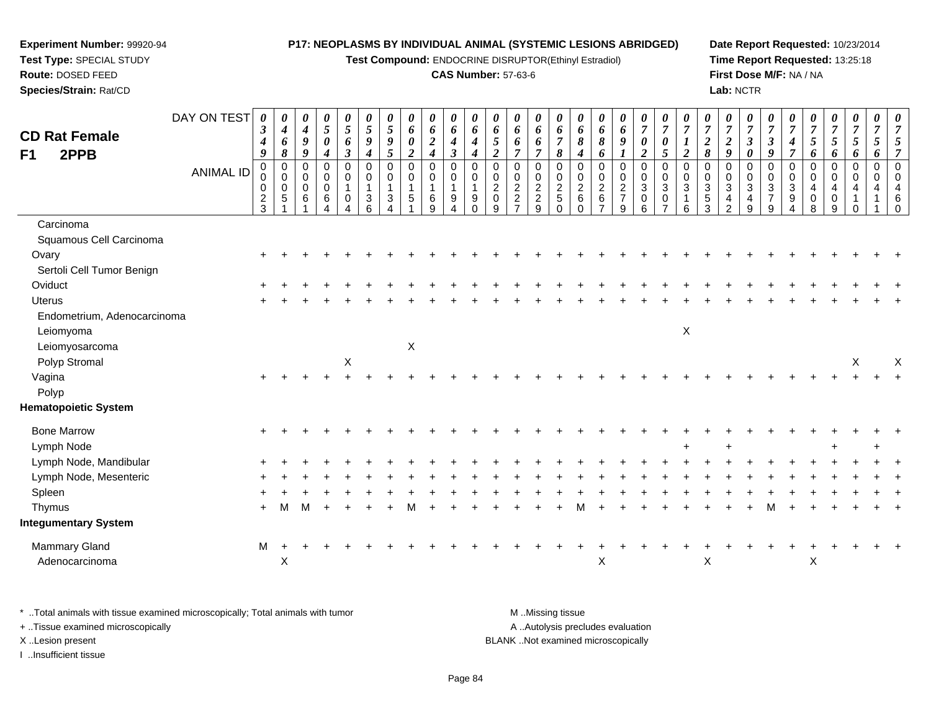**Test Compound:** ENDOCRINE DISRUPTOR(Ethinyl Estradiol)

#### **CAS Number:** 57-63-6

**Date Report Requested:** 10/23/2014**Time Report Requested:** 13:25:18**First Dose M/F:** NA / NA**Lab:** NCTR

| <b>CD Rat Female</b>        | DAY ON TEST      | 0<br>$\boldsymbol{\beta}$<br>$\boldsymbol{4}$ | 0<br>$\boldsymbol{4}$<br>6                      | 0<br>$\boldsymbol{4}$<br>9              | 0<br>5<br>0                               | 0<br>$\mathfrak{s}$<br>6                                    | $\boldsymbol{\theta}$<br>5<br>9                           | 0<br>$\mathfrak{H}$<br>9                          | 0<br>6<br>0                                     | 0<br>6<br>$\overline{2}$                                                      | 0<br>6<br>4                                              | 0<br>6<br>$\boldsymbol{4}$                         | 0<br>6<br>5                                                              | 0<br>6<br>6                                                               | 0<br>6<br>6                                                                         | 0<br>6<br>$\overline{7}$                               | 0<br>6<br>8                                                                   | 0<br>6<br>8                                              | 0<br>6<br>9                                                    | 0<br>$\boldsymbol{7}$<br>$\boldsymbol{\theta}$                                 | 0<br>$\overline{7}$<br>0                                                | 0<br>$\boldsymbol{7}$<br>$\boldsymbol{l}$                                          | 0<br>$\overline{7}$<br>$\boldsymbol{2}$                  | 0<br>$\overline{7}$<br>$\boldsymbol{2}$            | 0<br>$\boldsymbol{7}$<br>$\boldsymbol{\beta}$                                  | 0<br>$\overline{7}$<br>$\boldsymbol{\beta}$                  | $\theta$<br>$\overline{7}$<br>4                         | 0<br>$\overline{7}$<br>5                                  | 0<br>$\boldsymbol{7}$<br>$\sqrt{5}$       | 0<br>$\overline{7}$<br>5                                           | 0<br>$\overline{7}$<br>5           | $\overline{7}$                              |
|-----------------------------|------------------|-----------------------------------------------|-------------------------------------------------|-----------------------------------------|-------------------------------------------|-------------------------------------------------------------|-----------------------------------------------------------|---------------------------------------------------|-------------------------------------------------|-------------------------------------------------------------------------------|----------------------------------------------------------|----------------------------------------------------|--------------------------------------------------------------------------|---------------------------------------------------------------------------|-------------------------------------------------------------------------------------|--------------------------------------------------------|-------------------------------------------------------------------------------|----------------------------------------------------------|----------------------------------------------------------------|--------------------------------------------------------------------------------|-------------------------------------------------------------------------|------------------------------------------------------------------------------------|----------------------------------------------------------|----------------------------------------------------|--------------------------------------------------------------------------------|--------------------------------------------------------------|---------------------------------------------------------|-----------------------------------------------------------|-------------------------------------------|--------------------------------------------------------------------|------------------------------------|---------------------------------------------|
| F1<br>2PPB                  | <b>ANIMAL ID</b> | 9<br>$\pmb{0}$<br>0<br>0<br>$\frac{2}{3}$     | 8<br>$\pmb{0}$<br>$\pmb{0}$<br>$\mathbf 0$<br>5 | 9<br>$\pmb{0}$<br>0<br>$\mathbf 0$<br>6 | 4<br>$\mathbf 0$<br>0<br>$\mathbf 0$<br>6 | $\boldsymbol{\beta}$<br>$\pmb{0}$<br>0<br>$\mathbf{1}$<br>0 | $\boldsymbol{4}$<br>$\mathbf 0$<br>0<br>$\mathbf{3}$<br>6 | 5<br>$\mathbf 0$<br>$\pmb{0}$<br>$\mathbf 1$<br>3 | $\boldsymbol{2}$<br>0<br>0<br>$\mathbf{1}$<br>5 | $\boldsymbol{4}$<br>$\mathbf 0$<br>$\boldsymbol{0}$<br>$\mathbf{1}$<br>6<br>9 | $\boldsymbol{\beta}$<br>0<br>0<br>$\mathbf{1}$<br>9<br>4 | $\boldsymbol{4}$<br>$\Omega$<br>0<br>9<br>$\Omega$ | $\overline{2}$<br>$\mathbf 0$<br>0<br>$\overline{2}$<br>$\mathbf 0$<br>9 | $\overline{\tau}$<br>0<br>0<br>$\sqrt{2}$<br>$\sqrt{2}$<br>$\overline{ }$ | $\overline{7}$<br>$\mathbf 0$<br>$\pmb{0}$<br>$\overline{2}$<br>$\overline{a}$<br>9 | 8<br>$\pmb{0}$<br>0<br>$\overline{2}$<br>5<br>$\Omega$ | $\boldsymbol{4}$<br>$\mathbf 0$<br>0<br>$\overline{2}$<br>$\,6\,$<br>$\Omega$ | 6<br>$\pmb{0}$<br>$\pmb{0}$<br>$\overline{2}$<br>$\,6\,$ | 0<br>$\boldsymbol{0}$<br>$\overline{2}$<br>$\overline{7}$<br>9 | $\boldsymbol{2}$<br>$\mathbf 0$<br>$\pmb{0}$<br>$\sqrt{3}$<br>$\mathbf 0$<br>6 | $5\overline{)}$<br>$\pmb{0}$<br>0<br>3<br>0<br>$\overline{\phantom{a}}$ | $\boldsymbol{2}$<br>$\mathbf 0$<br>$\pmb{0}$<br>$\mathfrak{S}$<br>$\mathbf 1$<br>6 | 8<br>$\mathbf 0$<br>0<br>$\mathbf{3}$<br>$\sqrt{5}$<br>3 | 9<br>0<br>0<br>$\mathbf{3}$<br>$\overline{4}$<br>2 | $\boldsymbol{\theta}$<br>$\mathbf 0$<br>$\overline{0}$<br>$\sqrt{3}$<br>4<br>9 | 9<br>$\mathbf 0$<br>0<br>$\mathbf{3}$<br>$\overline{7}$<br>9 | $\overline{7}$<br>$\mathbf 0$<br>0<br>$\mathbf{3}$<br>9 | 6<br>$\pmb{0}$<br>$\mathbf 0$<br>$\overline{4}$<br>0<br>8 | 6<br>0<br>$\boldsymbol{0}$<br>4<br>0<br>9 | 6<br>$\mathbf 0$<br>$\mathbf 0$<br>4<br>$\overline{1}$<br>$\Omega$ | 6<br>$\pmb{0}$<br>$\mathbf 0$<br>4 | $\overline{7}$<br>$\Omega$<br>$\Omega$<br>6 |
| Carcinoma                   |                  |                                               |                                                 |                                         |                                           |                                                             |                                                           |                                                   |                                                 |                                                                               |                                                          |                                                    |                                                                          |                                                                           |                                                                                     |                                                        |                                                                               |                                                          |                                                                |                                                                                |                                                                         |                                                                                    |                                                          |                                                    |                                                                                |                                                              |                                                         |                                                           |                                           |                                                                    |                                    |                                             |
| Squamous Cell Carcinoma     |                  |                                               |                                                 |                                         |                                           |                                                             |                                                           |                                                   |                                                 |                                                                               |                                                          |                                                    |                                                                          |                                                                           |                                                                                     |                                                        |                                                                               |                                                          |                                                                |                                                                                |                                                                         |                                                                                    |                                                          |                                                    |                                                                                |                                                              |                                                         |                                                           |                                           |                                                                    |                                    |                                             |
| Ovary                       |                  |                                               |                                                 |                                         |                                           |                                                             |                                                           |                                                   |                                                 |                                                                               |                                                          |                                                    |                                                                          |                                                                           |                                                                                     |                                                        |                                                                               |                                                          |                                                                |                                                                                |                                                                         |                                                                                    |                                                          |                                                    |                                                                                |                                                              |                                                         |                                                           |                                           |                                                                    |                                    |                                             |
| Sertoli Cell Tumor Benign   |                  |                                               |                                                 |                                         |                                           |                                                             |                                                           |                                                   |                                                 |                                                                               |                                                          |                                                    |                                                                          |                                                                           |                                                                                     |                                                        |                                                                               |                                                          |                                                                |                                                                                |                                                                         |                                                                                    |                                                          |                                                    |                                                                                |                                                              |                                                         |                                                           |                                           |                                                                    |                                    |                                             |
| Oviduct                     |                  |                                               |                                                 |                                         |                                           |                                                             |                                                           |                                                   |                                                 |                                                                               |                                                          |                                                    |                                                                          |                                                                           |                                                                                     |                                                        |                                                                               |                                                          |                                                                |                                                                                |                                                                         |                                                                                    |                                                          |                                                    |                                                                                |                                                              |                                                         |                                                           |                                           |                                                                    |                                    |                                             |
| <b>Uterus</b>               |                  |                                               |                                                 |                                         |                                           |                                                             |                                                           |                                                   |                                                 |                                                                               |                                                          |                                                    |                                                                          |                                                                           |                                                                                     |                                                        |                                                                               |                                                          |                                                                |                                                                                |                                                                         |                                                                                    |                                                          |                                                    |                                                                                |                                                              |                                                         |                                                           |                                           |                                                                    |                                    |                                             |
| Endometrium, Adenocarcinoma |                  |                                               |                                                 |                                         |                                           |                                                             |                                                           |                                                   |                                                 |                                                                               |                                                          |                                                    |                                                                          |                                                                           |                                                                                     |                                                        |                                                                               |                                                          |                                                                |                                                                                |                                                                         |                                                                                    |                                                          |                                                    |                                                                                |                                                              |                                                         |                                                           |                                           |                                                                    |                                    |                                             |
| Leiomyoma                   |                  |                                               |                                                 |                                         |                                           |                                                             |                                                           |                                                   |                                                 |                                                                               |                                                          |                                                    |                                                                          |                                                                           |                                                                                     |                                                        |                                                                               |                                                          |                                                                |                                                                                |                                                                         | $\pmb{\times}$                                                                     |                                                          |                                                    |                                                                                |                                                              |                                                         |                                                           |                                           |                                                                    |                                    |                                             |
| Leiomyosarcoma              |                  |                                               |                                                 |                                         |                                           |                                                             |                                                           |                                                   | X                                               |                                                                               |                                                          |                                                    |                                                                          |                                                                           |                                                                                     |                                                        |                                                                               |                                                          |                                                                |                                                                                |                                                                         |                                                                                    |                                                          |                                                    |                                                                                |                                                              |                                                         |                                                           |                                           |                                                                    |                                    |                                             |
| Polyp Stromal               |                  |                                               |                                                 |                                         |                                           | $\mathsf X$                                                 |                                                           |                                                   |                                                 |                                                                               |                                                          |                                                    |                                                                          |                                                                           |                                                                                     |                                                        |                                                                               |                                                          |                                                                |                                                                                |                                                                         |                                                                                    |                                                          |                                                    |                                                                                |                                                              |                                                         |                                                           |                                           | $\sf X$                                                            |                                    | X                                           |
| Vagina                      |                  |                                               |                                                 |                                         |                                           |                                                             |                                                           |                                                   |                                                 |                                                                               |                                                          |                                                    |                                                                          |                                                                           |                                                                                     |                                                        |                                                                               |                                                          |                                                                |                                                                                |                                                                         |                                                                                    |                                                          |                                                    |                                                                                |                                                              |                                                         |                                                           |                                           |                                                                    |                                    |                                             |
| Polyp                       |                  |                                               |                                                 |                                         |                                           |                                                             |                                                           |                                                   |                                                 |                                                                               |                                                          |                                                    |                                                                          |                                                                           |                                                                                     |                                                        |                                                                               |                                                          |                                                                |                                                                                |                                                                         |                                                                                    |                                                          |                                                    |                                                                                |                                                              |                                                         |                                                           |                                           |                                                                    |                                    |                                             |
| <b>Hematopoietic System</b> |                  |                                               |                                                 |                                         |                                           |                                                             |                                                           |                                                   |                                                 |                                                                               |                                                          |                                                    |                                                                          |                                                                           |                                                                                     |                                                        |                                                                               |                                                          |                                                                |                                                                                |                                                                         |                                                                                    |                                                          |                                                    |                                                                                |                                                              |                                                         |                                                           |                                           |                                                                    |                                    |                                             |
| <b>Bone Marrow</b>          |                  |                                               |                                                 |                                         |                                           |                                                             |                                                           |                                                   |                                                 |                                                                               |                                                          |                                                    |                                                                          |                                                                           |                                                                                     |                                                        |                                                                               |                                                          |                                                                |                                                                                |                                                                         |                                                                                    |                                                          |                                                    |                                                                                |                                                              |                                                         |                                                           |                                           |                                                                    |                                    |                                             |
| Lymph Node                  |                  |                                               |                                                 |                                         |                                           |                                                             |                                                           |                                                   |                                                 |                                                                               |                                                          |                                                    |                                                                          |                                                                           |                                                                                     |                                                        |                                                                               |                                                          |                                                                |                                                                                |                                                                         |                                                                                    |                                                          |                                                    |                                                                                |                                                              |                                                         |                                                           |                                           |                                                                    |                                    |                                             |
| Lymph Node, Mandibular      |                  |                                               |                                                 |                                         |                                           |                                                             |                                                           |                                                   |                                                 |                                                                               |                                                          |                                                    |                                                                          |                                                                           |                                                                                     |                                                        |                                                                               |                                                          |                                                                |                                                                                |                                                                         |                                                                                    |                                                          |                                                    |                                                                                |                                                              |                                                         |                                                           |                                           |                                                                    |                                    |                                             |
| Lymph Node, Mesenteric      |                  |                                               |                                                 |                                         |                                           |                                                             |                                                           |                                                   |                                                 |                                                                               |                                                          |                                                    |                                                                          |                                                                           |                                                                                     |                                                        |                                                                               |                                                          |                                                                |                                                                                |                                                                         |                                                                                    |                                                          |                                                    |                                                                                |                                                              |                                                         |                                                           |                                           |                                                                    |                                    |                                             |
| Spleen                      |                  |                                               |                                                 |                                         |                                           |                                                             |                                                           |                                                   |                                                 |                                                                               |                                                          |                                                    |                                                                          |                                                                           |                                                                                     |                                                        |                                                                               |                                                          |                                                                |                                                                                |                                                                         |                                                                                    |                                                          |                                                    |                                                                                |                                                              |                                                         |                                                           |                                           |                                                                    |                                    |                                             |
| Thymus                      |                  | $\ddot{}$                                     | M                                               | M                                       |                                           |                                                             |                                                           |                                                   | м                                               |                                                                               |                                                          |                                                    |                                                                          |                                                                           |                                                                                     |                                                        |                                                                               |                                                          |                                                                |                                                                                |                                                                         |                                                                                    |                                                          |                                                    |                                                                                |                                                              |                                                         |                                                           |                                           |                                                                    |                                    |                                             |
| <b>Integumentary System</b> |                  |                                               |                                                 |                                         |                                           |                                                             |                                                           |                                                   |                                                 |                                                                               |                                                          |                                                    |                                                                          |                                                                           |                                                                                     |                                                        |                                                                               |                                                          |                                                                |                                                                                |                                                                         |                                                                                    |                                                          |                                                    |                                                                                |                                                              |                                                         |                                                           |                                           |                                                                    |                                    |                                             |
| Mammary Gland               |                  | M                                             |                                                 |                                         |                                           |                                                             |                                                           |                                                   |                                                 |                                                                               |                                                          |                                                    |                                                                          |                                                                           |                                                                                     |                                                        |                                                                               |                                                          |                                                                |                                                                                |                                                                         |                                                                                    |                                                          |                                                    |                                                                                |                                                              |                                                         |                                                           |                                           |                                                                    |                                    |                                             |
| Adenocarcinoma              |                  |                                               | X                                               |                                         |                                           |                                                             |                                                           |                                                   |                                                 |                                                                               |                                                          |                                                    |                                                                          |                                                                           |                                                                                     |                                                        |                                                                               | X                                                        |                                                                |                                                                                |                                                                         |                                                                                    | X                                                        |                                                    |                                                                                |                                                              |                                                         | X                                                         |                                           |                                                                    |                                    |                                             |
|                             |                  |                                               |                                                 |                                         |                                           |                                                             |                                                           |                                                   |                                                 |                                                                               |                                                          |                                                    |                                                                          |                                                                           |                                                                                     |                                                        |                                                                               |                                                          |                                                                |                                                                                |                                                                         |                                                                                    |                                                          |                                                    |                                                                                |                                                              |                                                         |                                                           |                                           |                                                                    |                                    |                                             |

\* ..Total animals with tissue examined microscopically; Total animals with tumor **M** . Missing tissue M ..Missing tissue A ..Autolysis precludes evaluation + ..Tissue examined microscopically X ..Lesion present BLANK ..Not examined microscopicallyI ..Insufficient tissue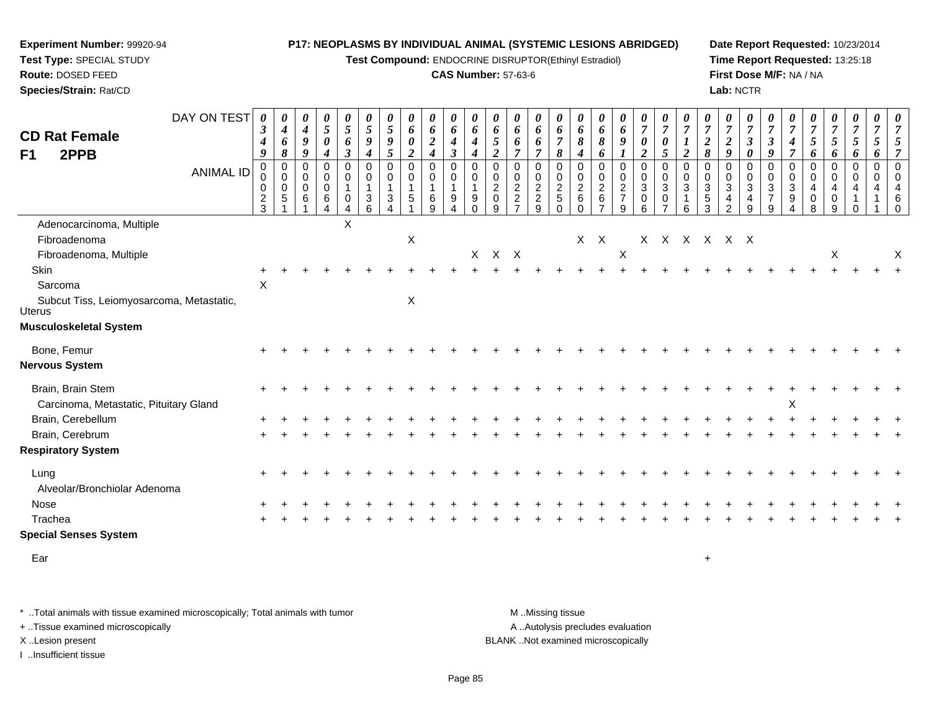**Test Compound:** ENDOCRINE DISRUPTOR(Ethinyl Estradiol)

#### **CAS Number:** 57-63-6

**Date Report Requested:** 10/23/2014**Time Report Requested:** 13:25:18**First Dose M/F:** NA / NA**Lab:** NCTR

|                                                             | DAY ON TEST      | $\boldsymbol{\beta}$ | 0<br>$\boldsymbol{4}$            | 0<br>$\boldsymbol{4}$ | $\boldsymbol{\theta}$<br>$\mathfrak{s}$ | 0<br>5                           | $\boldsymbol{\theta}$<br>$\mathfrak{s}$ | $\boldsymbol{\theta}$<br>$\mathfrak{s}$ | $\boldsymbol{\theta}$<br>$\boldsymbol{6}$ | 0<br>$\pmb{6}$                  | 0<br>6                           | 0<br>6                       | $\boldsymbol{\theta}$<br>6 | 0<br>6              | $\boldsymbol{\theta}$<br>6    | $\boldsymbol{\theta}$<br>6    | $\boldsymbol{\theta}$<br>6 | $\boldsymbol{\theta}$<br>6      | $\boldsymbol{\theta}$<br>6    | $\boldsymbol{\theta}$<br>$\overline{7}$ | U<br>$\overline{7}$       | $\overline{7}$             | $\boldsymbol{\theta}$<br>$\overline{7}$ | $\frac{\boldsymbol{0}}{7}$ | $\boldsymbol{\theta}$<br>$\overline{7}$ | $\boldsymbol{\theta}$<br>$\overline{7}$ | $\overline{7}$                | $\frac{\bm{\theta}}{\bm{7}}$ | $\frac{\boldsymbol{\theta}}{\boldsymbol{7}}$ | 0<br>$\boldsymbol{7}$ | 0<br>$\overline{7}$ | $\boldsymbol{\theta}$<br>$\overline{7}$ |
|-------------------------------------------------------------|------------------|----------------------|----------------------------------|-----------------------|-----------------------------------------|----------------------------------|-----------------------------------------|-----------------------------------------|-------------------------------------------|---------------------------------|----------------------------------|------------------------------|----------------------------|---------------------|-------------------------------|-------------------------------|----------------------------|---------------------------------|-------------------------------|-----------------------------------------|---------------------------|----------------------------|-----------------------------------------|----------------------------|-----------------------------------------|-----------------------------------------|-------------------------------|------------------------------|----------------------------------------------|-----------------------|---------------------|-----------------------------------------|
| <b>CD Rat Female</b>                                        |                  | 4                    | 6                                | $\boldsymbol{9}$      | $\boldsymbol{\theta}$                   | 6                                | 9                                       | 9                                       | $\pmb{\theta}$                            | $\boldsymbol{2}$                | 4                                | 4                            | 5                          | 6                   | 6                             | $\overline{7}$                | 8                          | 8                               | 9                             | $\boldsymbol{\theta}$                   | $\pmb{\theta}$            |                            | $\overline{2}$                          | $\boldsymbol{2}$           | $\mathfrak{z}$                          | $\boldsymbol{\beta}$                    | $\boldsymbol{4}$              | 5                            | $\mathfrak{z}$                               | 5                     | $\mathfrak{s}$      | 5                                       |
| 2PPB<br>F1                                                  |                  | 9<br>$\Omega$        | $\pmb{8}$<br>$\mathbf 0$         | 9<br>0                | $\boldsymbol{4}$<br>$\mathbf 0$         | $\boldsymbol{\beta}$<br>$\Omega$ | $\boldsymbol{4}$<br>$\mathbf 0$         | 5<br>$\mathbf 0$                        | $\overline{2}$<br>$\pmb{0}$               | $\boldsymbol{4}$<br>$\mathbf 0$ | $\boldsymbol{\beta}$<br>$\Omega$ | $\boldsymbol{4}$<br>$\Omega$ | $\overline{2}$<br>$\Omega$ | $\overline{7}$<br>0 | $\overline{7}$<br>$\mathbf 0$ | 8<br>$\mathbf 0$              | 4<br>$\mathbf 0$           | 6<br>$\mathbf 0$                | 0                             | $\overline{2}$<br>$\pmb{0}$             | 5<br>$\mathbf 0$          | $\overline{2}$<br>$\Omega$ | 8<br>$\Omega$                           | 9<br>0                     | $\boldsymbol{\theta}$<br>$\Omega$       | 9<br>$\mathbf 0$                        | $\overline{7}$<br>$\mathbf 0$ | 6<br>$\mathbf 0$             | 6<br>0                                       | 6<br>$\mathbf 0$      | 6<br>$\mathbf 0$    | $\overline{7}$<br>$\mathbf 0$           |
|                                                             | <b>ANIMAL ID</b> | 0<br>$\pmb{0}$       | $\mathsf{O}\xspace$<br>$\pmb{0}$ | 0<br>$\pmb{0}$        | $\mathbf 0$<br>$\pmb{0}$                | $\mathbf 0$                      | 0<br>$\mathbf 1$                        | $\mathbf 0$                             | $\mathbf 0$<br>$\overline{\phantom{a}}$   | $\pmb{0}$<br>$\mathbf{1}$       | 0                                | $\Omega$                     | 0<br>$\overline{c}$        | 0<br>$\overline{c}$ | $\mathbf 0$<br>$\overline{c}$ | $\mathbf 0$<br>$\overline{c}$ | $\mathbf 0$                | 0                               | $\mathbf 0$<br>$\overline{2}$ | $\pmb{0}$<br>$\mathbf{3}$               | $\mathbf 0$<br>$\sqrt{3}$ | $\Omega$<br>$\mathbf{3}$   | 0<br>3                                  | 0<br>$\sqrt{3}$            | $\mathbf 0$<br>$\sqrt{3}$               | 0<br>$\ensuremath{\mathsf{3}}$          | $\mathbf 0$<br>$\mathbf{3}$   | 0<br>4                       | 0<br>4                                       | 0<br>$\overline{4}$   | $\mathbf 0$<br>4    | $\mathbf 0$<br>$\overline{4}$           |
|                                                             |                  | $\frac{2}{3}$        | $\sqrt{5}$                       | 6                     | $\,6$<br>Δ                              | $\Omega$<br>4                    | 3<br>6                                  | 3                                       | $\sqrt{5}$                                | $\,6$<br>9                      | 9<br>4                           | $\boldsymbol{9}$             | $\pmb{0}$<br>9             | $\overline{2}$      | $\overline{2}$<br>9           | $\overline{5}$<br>$\Omega$    | $\frac{2}{6}$<br>$\Omega$  | $\frac{2}{6}$<br>$\overline{ }$ | $\boldsymbol{7}$<br>9         | $\mathbf 0$<br>6                        | 0<br>$\overline{ }$       | 6                          | 5<br>3                                  | 4<br>2                     | 4<br>9                                  | $\overline{7}$<br>9                     | $9\,$                         | 0<br>8                       | 0<br>9                                       | ∩                     |                     | 6<br>$\Omega$                           |
| Adenocarcinoma, Multiple                                    |                  |                      |                                  |                       |                                         | X                                |                                         |                                         |                                           |                                 |                                  |                              |                            |                     |                               |                               |                            |                                 |                               |                                         |                           |                            |                                         |                            |                                         |                                         |                               |                              |                                              |                       |                     |                                         |
| Fibroadenoma                                                |                  |                      |                                  |                       |                                         |                                  |                                         |                                         | $\mathsf X$                               |                                 |                                  |                              |                            |                     |                               |                               |                            | $X$ $X$                         |                               |                                         |                           |                            | X X X X X X                             |                            |                                         |                                         |                               |                              |                                              |                       |                     |                                         |
| Fibroadenoma, Multiple                                      |                  |                      |                                  |                       |                                         |                                  |                                         |                                         |                                           |                                 |                                  |                              | X X X                      |                     |                               |                               |                            |                                 | X                             |                                         |                           |                            |                                         |                            |                                         |                                         |                               |                              | X                                            |                       |                     | $\boldsymbol{\mathsf{X}}$               |
| Skin                                                        |                  |                      |                                  |                       |                                         |                                  |                                         |                                         |                                           |                                 |                                  |                              |                            |                     |                               |                               |                            |                                 |                               |                                         |                           |                            |                                         |                            |                                         |                                         |                               |                              |                                              |                       |                     |                                         |
| Sarcoma                                                     |                  | X                    |                                  |                       |                                         |                                  |                                         |                                         |                                           |                                 |                                  |                              |                            |                     |                               |                               |                            |                                 |                               |                                         |                           |                            |                                         |                            |                                         |                                         |                               |                              |                                              |                       |                     |                                         |
| Subcut Tiss, Leiomyosarcoma, Metastatic,<br>Uterus          |                  |                      |                                  |                       |                                         |                                  |                                         |                                         | X                                         |                                 |                                  |                              |                            |                     |                               |                               |                            |                                 |                               |                                         |                           |                            |                                         |                            |                                         |                                         |                               |                              |                                              |                       |                     |                                         |
| Musculoskeletal System                                      |                  |                      |                                  |                       |                                         |                                  |                                         |                                         |                                           |                                 |                                  |                              |                            |                     |                               |                               |                            |                                 |                               |                                         |                           |                            |                                         |                            |                                         |                                         |                               |                              |                                              |                       |                     |                                         |
| Bone, Femur                                                 |                  |                      |                                  |                       |                                         |                                  |                                         |                                         |                                           |                                 |                                  |                              |                            |                     |                               |                               |                            |                                 |                               |                                         |                           |                            |                                         |                            |                                         |                                         |                               |                              |                                              |                       |                     |                                         |
| Nervous System                                              |                  |                      |                                  |                       |                                         |                                  |                                         |                                         |                                           |                                 |                                  |                              |                            |                     |                               |                               |                            |                                 |                               |                                         |                           |                            |                                         |                            |                                         |                                         |                               |                              |                                              |                       |                     |                                         |
| Brain, Brain Stem<br>Carcinoma, Metastatic, Pituitary Gland |                  |                      |                                  |                       |                                         |                                  |                                         |                                         |                                           |                                 |                                  |                              |                            |                     |                               |                               |                            |                                 |                               |                                         |                           |                            |                                         |                            |                                         |                                         | X                             |                              |                                              |                       |                     |                                         |
| Brain, Cerebellum                                           |                  |                      |                                  |                       |                                         |                                  |                                         |                                         |                                           |                                 |                                  |                              |                            |                     |                               |                               |                            |                                 |                               |                                         |                           |                            |                                         |                            |                                         |                                         |                               |                              |                                              |                       |                     |                                         |
| Brain, Cerebrum                                             |                  |                      |                                  |                       |                                         |                                  |                                         |                                         |                                           |                                 |                                  |                              |                            |                     |                               |                               |                            |                                 |                               |                                         |                           |                            |                                         |                            |                                         |                                         |                               |                              |                                              |                       |                     |                                         |
| <b>Respiratory System</b>                                   |                  |                      |                                  |                       |                                         |                                  |                                         |                                         |                                           |                                 |                                  |                              |                            |                     |                               |                               |                            |                                 |                               |                                         |                           |                            |                                         |                            |                                         |                                         |                               |                              |                                              |                       |                     |                                         |
| Lung                                                        |                  |                      |                                  |                       |                                         |                                  |                                         |                                         |                                           |                                 |                                  |                              |                            |                     |                               |                               |                            |                                 |                               |                                         |                           |                            |                                         |                            |                                         |                                         |                               |                              |                                              |                       |                     |                                         |
| Alveolar/Bronchiolar Adenoma                                |                  |                      |                                  |                       |                                         |                                  |                                         |                                         |                                           |                                 |                                  |                              |                            |                     |                               |                               |                            |                                 |                               |                                         |                           |                            |                                         |                            |                                         |                                         |                               |                              |                                              |                       |                     |                                         |
| Nose                                                        |                  |                      |                                  |                       |                                         |                                  |                                         |                                         |                                           |                                 |                                  |                              |                            |                     |                               |                               |                            |                                 |                               |                                         |                           |                            |                                         |                            |                                         |                                         |                               |                              |                                              |                       |                     |                                         |
| Trachea                                                     |                  |                      |                                  |                       |                                         |                                  |                                         |                                         |                                           |                                 |                                  |                              |                            |                     |                               |                               |                            |                                 |                               |                                         |                           |                            |                                         |                            |                                         |                                         |                               |                              |                                              |                       |                     |                                         |
| <b>Special Senses System</b>                                |                  |                      |                                  |                       |                                         |                                  |                                         |                                         |                                           |                                 |                                  |                              |                            |                     |                               |                               |                            |                                 |                               |                                         |                           |                            |                                         |                            |                                         |                                         |                               |                              |                                              |                       |                     |                                         |
|                                                             |                  |                      |                                  |                       |                                         |                                  |                                         |                                         |                                           |                                 |                                  |                              |                            |                     |                               |                               |                            |                                 |                               |                                         |                           |                            |                                         |                            |                                         |                                         |                               |                              |                                              |                       |                     |                                         |

Eart and the contract of the contract of the contract of the contract of the contract of the contract of the contract of the contract of the contract of the contract of the contract of the contract of the contract of the cont

**Experiment Number:** 99920-94**Test Type:** SPECIAL STUDY**Route:** DOSED FEED**Species/Strain:** Rat/CD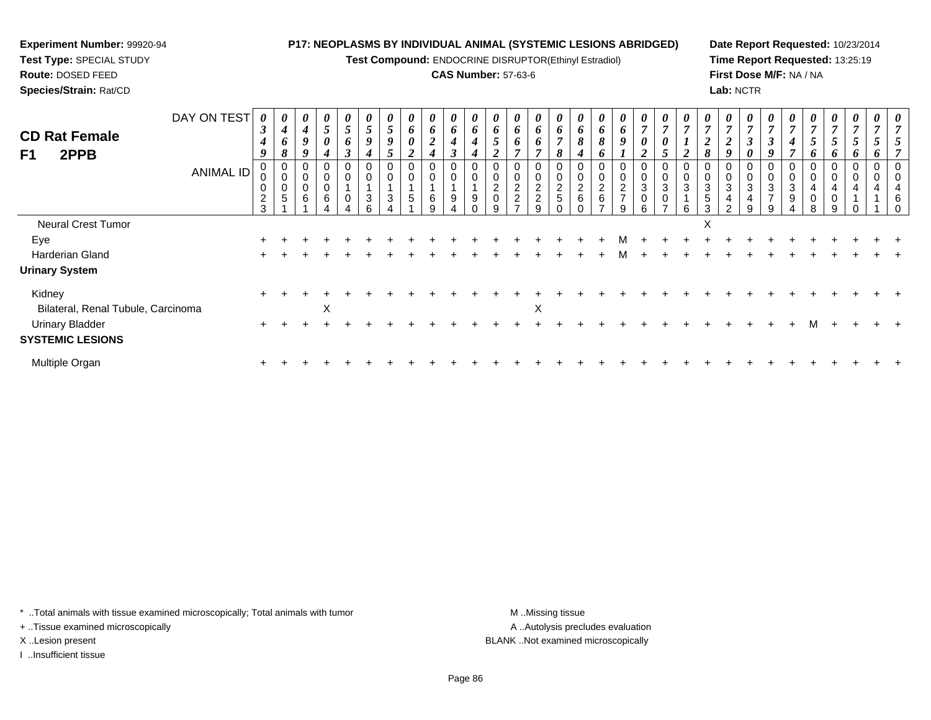# **Experiment Number:** 99920-94

**Test Type:** SPECIAL STUDY**Route:** DOSED FEED

**Species/Strain:** Rat/CD

### **P17: NEOPLASMS BY INDIVIDUAL ANIMAL (SYSTEMIC LESIONS ABRIDGED)**

**Test Compound:** ENDOCRINE DISRUPTOR(Ethinyl Estradiol)

## **CAS Number:** 57-63-6

**Date Report Requested:** 10/23/2014**Time Report Requested:** 13:25:19**First Dose M/F:** NA / NA**Lab:** NCTR

| <b>CD Rat Female</b><br>2PPB<br>F <sub>1</sub>    | DAY ON TEST<br>ANIMAL ID | 0<br>$\boldsymbol{\beta}$<br>4<br>9<br>0<br>0<br>0<br>$\overline{a}$ | $\boldsymbol{4}$<br>6<br>8<br>0<br>$\mathbf 0$<br>$\pmb{0}$<br>$\overline{5}$ | 4<br>9<br>Q<br>0<br>0<br>6 | $\boldsymbol{\theta}$<br>$5\overline{)}$<br>0<br>0<br>$\mathbf 0$<br>0<br>6 | $\boldsymbol{\theta}$<br>$\overline{5}$<br>6<br>$\boldsymbol{\beta}$<br>0<br>$\mathbf 0$<br>$\pmb{0}$ | 5<br>9<br>0<br>0<br>3 | 5<br>9<br>$\mathcal{D}$<br>$\mathbf 0$<br>3 | $\boldsymbol{\theta}$<br>6<br>0<br>$\mathbf{\hat{z}}$<br>0<br>5 | 0<br>6<br>$\boldsymbol{2}$<br>$\boldsymbol{4}$<br>0<br>$\,6\,$ | 0<br>6<br>$\boldsymbol{4}$<br>$\mathbf{r}$<br>0<br>0<br>9 | 6<br>4<br>$\boldsymbol{4}$<br>$\mathbf 0$<br>9 | $\boldsymbol{\theta}$<br>6<br>0<br>0<br>$\overline{c}$<br>$\pmb{0}$ | $\boldsymbol{\theta}$<br>6<br>6<br>0<br>$\mathbf 0$<br>$\frac{2}{2}$ | $\boldsymbol{\theta}$<br>6<br>$\bm{o}$<br>0<br>0<br>$\overline{2}$<br>$\overline{c}$ | $\boldsymbol{\theta}$<br>6<br>$\overline{ }$<br>$\Omega$<br>ð<br>0<br>$\mathbf 0$<br>$\frac{2}{5}$ | $\bm{o}$<br>8<br>4<br>$\overline{c}$<br>$6\phantom{1}6$ | $\theta$<br>6<br>8<br>o<br>2<br>6 | $\boldsymbol{\theta}$<br>6<br>9<br>0<br>$\frac{2}{7}$ | $\boldsymbol{\theta}$<br>$\overline{ }$<br>$\boldsymbol{\theta}$<br>◠<br>∠<br>0<br>$\pmb{0}$<br>$\ensuremath{\mathsf{3}}$<br>$\pmb{0}$ | $\overline{ }$<br>0<br>$\mathbf 0$<br>$\sqrt{3}$ | $\boldsymbol{\theta}$<br>$\overline{ }$<br>0<br>$\mathbf 0$<br>3 | $\boldsymbol{\theta}$<br>$\overline{7}$<br>$\boldsymbol{2}$<br>8<br>0<br>$\pmb{0}$<br>$\mathbf{3}$<br>$\sqrt{5}$ | $\boldsymbol{\theta}$<br>$\overline{7}$<br>$\boldsymbol{2}$<br>9<br>0<br>$\mathbf 0$<br>$\mathbf{3}$<br>$\overline{4}$ | $\boldsymbol{\mathit{U}}$<br>$\overline{ }$<br>J<br>0<br>$\mathbf 0$<br>$\sqrt{3}$<br>4 | $\overline{ }$<br>J<br>3<br>$\overline{ }$ | $\mathbf{r}$<br>4<br>3<br>9 | $\overline{ }$<br>5<br>0<br>$\mathbf 0$ | $\mathbf{r}$<br>5<br>o<br>0<br>0 | o | $\boldsymbol{\theta}$<br>$\mathbf{r}$<br>0<br>0 | $\boldsymbol{\theta}$<br>$\overline{7}$<br>0<br>$\pmb{0}$<br>4<br>6 |
|---------------------------------------------------|--------------------------|----------------------------------------------------------------------|-------------------------------------------------------------------------------|----------------------------|-----------------------------------------------------------------------------|-------------------------------------------------------------------------------------------------------|-----------------------|---------------------------------------------|-----------------------------------------------------------------|----------------------------------------------------------------|-----------------------------------------------------------|------------------------------------------------|---------------------------------------------------------------------|----------------------------------------------------------------------|--------------------------------------------------------------------------------------|----------------------------------------------------------------------------------------------------|---------------------------------------------------------|-----------------------------------|-------------------------------------------------------|----------------------------------------------------------------------------------------------------------------------------------------|--------------------------------------------------|------------------------------------------------------------------|------------------------------------------------------------------------------------------------------------------|------------------------------------------------------------------------------------------------------------------------|-----------------------------------------------------------------------------------------|--------------------------------------------|-----------------------------|-----------------------------------------|----------------------------------|---|-------------------------------------------------|---------------------------------------------------------------------|
|                                                   |                          | 3                                                                    |                                                                               |                            |                                                                             |                                                                                                       | հ                     |                                             |                                                                 |                                                                |                                                           |                                                |                                                                     |                                                                      | g                                                                                    |                                                                                                    |                                                         |                                   |                                                       | 6                                                                                                                                      |                                                  | 6                                                                | 3                                                                                                                | $\sim$                                                                                                                 | 9                                                                                       |                                            |                             |                                         | 0<br>9                           |   |                                                 |                                                                     |
| Neural Crest Tumor                                |                          |                                                                      |                                                                               |                            |                                                                             |                                                                                                       |                       |                                             |                                                                 |                                                                |                                                           |                                                |                                                                     |                                                                      |                                                                                      |                                                                                                    |                                                         |                                   |                                                       |                                                                                                                                        |                                                  |                                                                  | ㅅ                                                                                                                |                                                                                                                        |                                                                                         |                                            |                             |                                         |                                  |   |                                                 |                                                                     |
| Eye                                               |                          |                                                                      |                                                                               |                            |                                                                             |                                                                                                       |                       |                                             |                                                                 |                                                                |                                                           |                                                |                                                                     |                                                                      |                                                                                      |                                                                                                    |                                                         |                                   |                                                       |                                                                                                                                        |                                                  |                                                                  |                                                                                                                  |                                                                                                                        |                                                                                         |                                            |                             |                                         |                                  |   |                                                 |                                                                     |
| Harderian Gland                                   |                          |                                                                      |                                                                               |                            |                                                                             |                                                                                                       |                       |                                             |                                                                 |                                                                |                                                           |                                                |                                                                     |                                                                      |                                                                                      |                                                                                                    |                                                         |                                   |                                                       |                                                                                                                                        |                                                  |                                                                  |                                                                                                                  |                                                                                                                        |                                                                                         |                                            |                             |                                         |                                  |   |                                                 |                                                                     |
| <b>Urinary System</b>                             |                          |                                                                      |                                                                               |                            |                                                                             |                                                                                                       |                       |                                             |                                                                 |                                                                |                                                           |                                                |                                                                     |                                                                      |                                                                                      |                                                                                                    |                                                         |                                   |                                                       |                                                                                                                                        |                                                  |                                                                  |                                                                                                                  |                                                                                                                        |                                                                                         |                                            |                             |                                         |                                  |   |                                                 |                                                                     |
| Kidney<br>Bilateral, Renal Tubule, Carcinoma      |                          | $\pm$                                                                |                                                                               |                            | X                                                                           |                                                                                                       |                       |                                             |                                                                 |                                                                |                                                           |                                                |                                                                     |                                                                      | X                                                                                    |                                                                                                    |                                                         |                                   |                                                       |                                                                                                                                        |                                                  |                                                                  |                                                                                                                  |                                                                                                                        |                                                                                         |                                            |                             |                                         |                                  |   |                                                 |                                                                     |
| <b>Urinary Bladder</b><br><b>SYSTEMIC LESIONS</b> |                          |                                                                      |                                                                               |                            |                                                                             |                                                                                                       |                       |                                             |                                                                 |                                                                |                                                           |                                                |                                                                     |                                                                      |                                                                                      |                                                                                                    |                                                         |                                   |                                                       |                                                                                                                                        |                                                  |                                                                  |                                                                                                                  |                                                                                                                        |                                                                                         |                                            |                             |                                         |                                  |   |                                                 |                                                                     |
| Multiple Organ                                    |                          | ÷                                                                    |                                                                               |                            |                                                                             |                                                                                                       |                       |                                             |                                                                 |                                                                |                                                           |                                                |                                                                     |                                                                      |                                                                                      |                                                                                                    |                                                         |                                   |                                                       |                                                                                                                                        |                                                  |                                                                  |                                                                                                                  |                                                                                                                        |                                                                                         |                                            |                             |                                         |                                  |   |                                                 |                                                                     |

\* ..Total animals with tissue examined microscopically; Total animals with tumor **M** . Missing tissue M ..Missing tissue

+ ..Tissue examined microscopically

I ..Insufficient tissue

A ..Autolysis precludes evaluation X ..Lesion present BLANK ..Not examined microscopically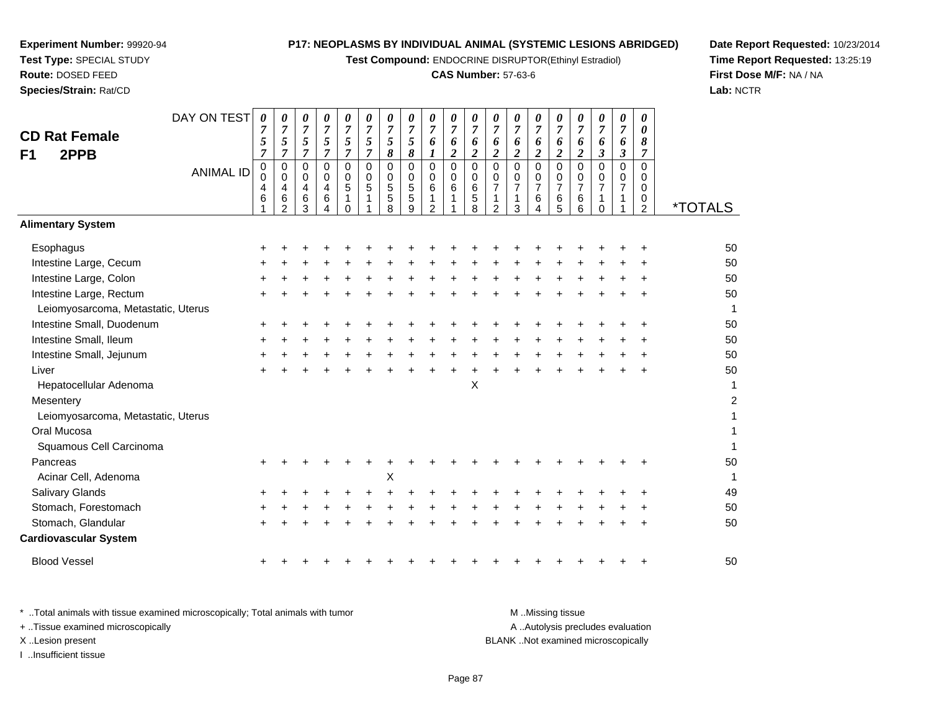**Test Compound:** ENDOCRINE DISRUPTOR(Ethinyl Estradiol)

#### **CAS Number:** 57-63-6

**Date Report Requested:** 10/23/2014**Time Report Requested:** 13:25:19**First Dose M/F:** NA / NA**Lab:** NCTR

| <b>CD Rat Female</b><br>2PPB<br>F <sub>1</sub> | DAY ON TEST<br><b>ANIMAL ID</b> | $\boldsymbol{\theta}$<br>7<br>5<br>$\overline{7}$<br>$\pmb{0}$<br>0<br>4<br>6 | 0<br>$\overline{7}$<br>5<br>$\overline{7}$<br>$\mathbf 0$<br>$\mathbf 0$<br>$\overline{4}$<br>$\,6\,$<br>2 | 0<br>$\overline{7}$<br>5<br>$\overline{7}$<br>$\mathbf 0$<br>$\mathbf 0$<br>$\overline{4}$<br>$\,6$<br>3 | $\boldsymbol{\theta}$<br>$\overline{7}$<br>5<br>$\overline{7}$<br>$\overline{0}$<br>$\mathbf 0$<br>4<br>6<br>4 | 0<br>$\overline{7}$<br>5<br>$\overline{7}$<br>$\mathbf 0$<br>$\mathsf{O}\xspace$<br>$\sqrt{5}$<br>$\mathbf{1}$<br>$\Omega$ | 0<br>$\boldsymbol{7}$<br>5<br>$\overline{7}$<br>$\Omega$<br>$\mathbf 0$<br>$\sqrt{5}$<br>$\mathbf{1}$ | 0<br>$\overline{7}$<br>5<br>$\pmb{8}$<br>$\mathbf 0$<br>$\mathbf 0$<br>$\sqrt{5}$<br>$\sqrt{5}$<br>8 | 0<br>$\boldsymbol{7}$<br>5<br>$\pmb{8}$<br>$\mathbf 0$<br>$\mathbf 0$<br>5<br>$\overline{5}$<br>9 | $\boldsymbol{\theta}$<br>$\boldsymbol{7}$<br>6<br>$\boldsymbol{l}$<br>$\mathbf 0$<br>$\mathbf 0$<br>6<br>1<br>$\overline{2}$ | $\boldsymbol{\theta}$<br>$\boldsymbol{7}$<br>6<br>$\boldsymbol{2}$<br>$\overline{0}$<br>$\mathsf{O}\xspace$<br>$\,6$<br>1 | 0<br>$\boldsymbol{7}$<br>6<br>$\boldsymbol{2}$<br>$\pmb{0}$<br>0<br>$\,6$<br>$\mathbf 5$<br>8 | 0<br>$\overline{7}$<br>6<br>$\boldsymbol{2}$<br>$\mathbf 0$<br>$\mathbf 0$<br>$\overline{7}$<br>$\mathbf{1}$<br>$\overline{2}$ | 0<br>$\boldsymbol{7}$<br>6<br>$\overline{c}$<br>$\mathbf 0$<br>0<br>$\overline{7}$<br>$\mathbf{1}$<br>3 | 0<br>$\overline{7}$<br>6<br>$\overline{2}$<br>$\Omega$<br>$\mathbf 0$<br>$\overline{7}$<br>6<br>4 | 0<br>$\overline{7}$<br>6<br>$\overline{2}$<br>$\mathbf 0$<br>$\mathbf 0$<br>$\overline{7}$<br>6<br>5 | 0<br>$\boldsymbol{7}$<br>$\frac{6}{2}$<br>0<br>0<br>$\overline{7}$<br>6<br>6 | 0<br>$\boldsymbol{7}$<br>6<br>$\mathfrak{z}$<br>$\mathbf 0$<br>0<br>$\overline{7}$<br>$\mathbf{1}$<br>$\Omega$ | 0<br>$\overline{7}$<br>6<br>$\mathfrak{z}$<br>$\mathbf 0$<br>$\mathbf 0$<br>$\overline{7}$<br>1 | 0<br>$\boldsymbol{\theta}$<br>8<br>$\overline{7}$<br>$\Omega$<br>$\mathbf 0$<br>$\mathbf 0$<br>$\mathbf 0$<br>$\overline{2}$ | <i><b>*TOTALS</b></i> |
|------------------------------------------------|---------------------------------|-------------------------------------------------------------------------------|------------------------------------------------------------------------------------------------------------|----------------------------------------------------------------------------------------------------------|----------------------------------------------------------------------------------------------------------------|----------------------------------------------------------------------------------------------------------------------------|-------------------------------------------------------------------------------------------------------|------------------------------------------------------------------------------------------------------|---------------------------------------------------------------------------------------------------|------------------------------------------------------------------------------------------------------------------------------|---------------------------------------------------------------------------------------------------------------------------|-----------------------------------------------------------------------------------------------|--------------------------------------------------------------------------------------------------------------------------------|---------------------------------------------------------------------------------------------------------|---------------------------------------------------------------------------------------------------|------------------------------------------------------------------------------------------------------|------------------------------------------------------------------------------|----------------------------------------------------------------------------------------------------------------|-------------------------------------------------------------------------------------------------|------------------------------------------------------------------------------------------------------------------------------|-----------------------|
| <b>Alimentary System</b>                       |                                 |                                                                               |                                                                                                            |                                                                                                          |                                                                                                                |                                                                                                                            |                                                                                                       |                                                                                                      |                                                                                                   |                                                                                                                              |                                                                                                                           |                                                                                               |                                                                                                                                |                                                                                                         |                                                                                                   |                                                                                                      |                                                                              |                                                                                                                |                                                                                                 |                                                                                                                              |                       |
| Esophagus                                      |                                 |                                                                               |                                                                                                            |                                                                                                          |                                                                                                                |                                                                                                                            |                                                                                                       |                                                                                                      |                                                                                                   |                                                                                                                              |                                                                                                                           |                                                                                               |                                                                                                                                |                                                                                                         |                                                                                                   |                                                                                                      |                                                                              |                                                                                                                |                                                                                                 |                                                                                                                              | 50                    |
| Intestine Large, Cecum                         |                                 |                                                                               |                                                                                                            |                                                                                                          |                                                                                                                |                                                                                                                            |                                                                                                       |                                                                                                      |                                                                                                   |                                                                                                                              |                                                                                                                           |                                                                                               |                                                                                                                                |                                                                                                         |                                                                                                   |                                                                                                      |                                                                              |                                                                                                                |                                                                                                 |                                                                                                                              | 50                    |
| Intestine Large, Colon                         |                                 |                                                                               |                                                                                                            |                                                                                                          |                                                                                                                |                                                                                                                            |                                                                                                       |                                                                                                      |                                                                                                   |                                                                                                                              |                                                                                                                           |                                                                                               |                                                                                                                                |                                                                                                         |                                                                                                   |                                                                                                      |                                                                              |                                                                                                                |                                                                                                 |                                                                                                                              | 50                    |
| Intestine Large, Rectum                        |                                 |                                                                               |                                                                                                            |                                                                                                          |                                                                                                                |                                                                                                                            |                                                                                                       |                                                                                                      |                                                                                                   |                                                                                                                              |                                                                                                                           |                                                                                               |                                                                                                                                |                                                                                                         |                                                                                                   |                                                                                                      |                                                                              |                                                                                                                |                                                                                                 |                                                                                                                              | 50                    |
| Leiomyosarcoma, Metastatic, Uterus             |                                 |                                                                               |                                                                                                            |                                                                                                          |                                                                                                                |                                                                                                                            |                                                                                                       |                                                                                                      |                                                                                                   |                                                                                                                              |                                                                                                                           |                                                                                               |                                                                                                                                |                                                                                                         |                                                                                                   |                                                                                                      |                                                                              |                                                                                                                |                                                                                                 |                                                                                                                              | 1                     |
| Intestine Small, Duodenum                      |                                 |                                                                               |                                                                                                            |                                                                                                          |                                                                                                                |                                                                                                                            |                                                                                                       |                                                                                                      |                                                                                                   |                                                                                                                              |                                                                                                                           |                                                                                               |                                                                                                                                |                                                                                                         |                                                                                                   |                                                                                                      |                                                                              |                                                                                                                |                                                                                                 |                                                                                                                              | 50                    |
| Intestine Small, Ileum                         |                                 |                                                                               |                                                                                                            |                                                                                                          |                                                                                                                |                                                                                                                            |                                                                                                       |                                                                                                      |                                                                                                   |                                                                                                                              |                                                                                                                           |                                                                                               |                                                                                                                                |                                                                                                         |                                                                                                   |                                                                                                      |                                                                              |                                                                                                                |                                                                                                 |                                                                                                                              | 50                    |
| Intestine Small, Jejunum                       |                                 |                                                                               |                                                                                                            |                                                                                                          |                                                                                                                |                                                                                                                            |                                                                                                       |                                                                                                      |                                                                                                   |                                                                                                                              |                                                                                                                           |                                                                                               |                                                                                                                                |                                                                                                         |                                                                                                   |                                                                                                      |                                                                              |                                                                                                                |                                                                                                 |                                                                                                                              | 50                    |
| Liver                                          |                                 |                                                                               |                                                                                                            |                                                                                                          |                                                                                                                |                                                                                                                            |                                                                                                       |                                                                                                      |                                                                                                   |                                                                                                                              |                                                                                                                           |                                                                                               |                                                                                                                                |                                                                                                         |                                                                                                   |                                                                                                      |                                                                              |                                                                                                                |                                                                                                 |                                                                                                                              | 50                    |
| Hepatocellular Adenoma                         |                                 |                                                                               |                                                                                                            |                                                                                                          |                                                                                                                |                                                                                                                            |                                                                                                       |                                                                                                      |                                                                                                   |                                                                                                                              |                                                                                                                           | Χ                                                                                             |                                                                                                                                |                                                                                                         |                                                                                                   |                                                                                                      |                                                                              |                                                                                                                |                                                                                                 |                                                                                                                              | 1                     |
| Mesentery                                      |                                 |                                                                               |                                                                                                            |                                                                                                          |                                                                                                                |                                                                                                                            |                                                                                                       |                                                                                                      |                                                                                                   |                                                                                                                              |                                                                                                                           |                                                                                               |                                                                                                                                |                                                                                                         |                                                                                                   |                                                                                                      |                                                                              |                                                                                                                |                                                                                                 |                                                                                                                              | $\overline{c}$        |
| Leiomyosarcoma, Metastatic, Uterus             |                                 |                                                                               |                                                                                                            |                                                                                                          |                                                                                                                |                                                                                                                            |                                                                                                       |                                                                                                      |                                                                                                   |                                                                                                                              |                                                                                                                           |                                                                                               |                                                                                                                                |                                                                                                         |                                                                                                   |                                                                                                      |                                                                              |                                                                                                                |                                                                                                 |                                                                                                                              |                       |
| Oral Mucosa                                    |                                 |                                                                               |                                                                                                            |                                                                                                          |                                                                                                                |                                                                                                                            |                                                                                                       |                                                                                                      |                                                                                                   |                                                                                                                              |                                                                                                                           |                                                                                               |                                                                                                                                |                                                                                                         |                                                                                                   |                                                                                                      |                                                                              |                                                                                                                |                                                                                                 |                                                                                                                              |                       |
| Squamous Cell Carcinoma                        |                                 |                                                                               |                                                                                                            |                                                                                                          |                                                                                                                |                                                                                                                            |                                                                                                       |                                                                                                      |                                                                                                   |                                                                                                                              |                                                                                                                           |                                                                                               |                                                                                                                                |                                                                                                         |                                                                                                   |                                                                                                      |                                                                              |                                                                                                                |                                                                                                 |                                                                                                                              |                       |
| Pancreas                                       |                                 |                                                                               |                                                                                                            |                                                                                                          |                                                                                                                |                                                                                                                            |                                                                                                       |                                                                                                      |                                                                                                   |                                                                                                                              |                                                                                                                           |                                                                                               |                                                                                                                                |                                                                                                         |                                                                                                   |                                                                                                      |                                                                              |                                                                                                                |                                                                                                 |                                                                                                                              | 50                    |
| Acinar Cell, Adenoma                           |                                 |                                                                               |                                                                                                            |                                                                                                          |                                                                                                                |                                                                                                                            |                                                                                                       | Χ                                                                                                    |                                                                                                   |                                                                                                                              |                                                                                                                           |                                                                                               |                                                                                                                                |                                                                                                         |                                                                                                   |                                                                                                      |                                                                              |                                                                                                                |                                                                                                 |                                                                                                                              | 1                     |
| Salivary Glands                                |                                 |                                                                               |                                                                                                            |                                                                                                          |                                                                                                                |                                                                                                                            |                                                                                                       |                                                                                                      |                                                                                                   |                                                                                                                              |                                                                                                                           |                                                                                               |                                                                                                                                |                                                                                                         |                                                                                                   |                                                                                                      |                                                                              |                                                                                                                |                                                                                                 |                                                                                                                              | 49                    |
| Stomach, Forestomach                           |                                 |                                                                               |                                                                                                            |                                                                                                          |                                                                                                                |                                                                                                                            |                                                                                                       |                                                                                                      |                                                                                                   |                                                                                                                              |                                                                                                                           |                                                                                               |                                                                                                                                |                                                                                                         |                                                                                                   |                                                                                                      |                                                                              |                                                                                                                |                                                                                                 |                                                                                                                              | 50                    |
| Stomach, Glandular                             |                                 |                                                                               |                                                                                                            |                                                                                                          |                                                                                                                |                                                                                                                            |                                                                                                       |                                                                                                      |                                                                                                   |                                                                                                                              |                                                                                                                           |                                                                                               |                                                                                                                                |                                                                                                         |                                                                                                   |                                                                                                      |                                                                              |                                                                                                                |                                                                                                 |                                                                                                                              | 50                    |
| <b>Cardiovascular System</b>                   |                                 |                                                                               |                                                                                                            |                                                                                                          |                                                                                                                |                                                                                                                            |                                                                                                       |                                                                                                      |                                                                                                   |                                                                                                                              |                                                                                                                           |                                                                                               |                                                                                                                                |                                                                                                         |                                                                                                   |                                                                                                      |                                                                              |                                                                                                                |                                                                                                 |                                                                                                                              |                       |
| <b>Blood Vessel</b>                            |                                 |                                                                               |                                                                                                            |                                                                                                          |                                                                                                                |                                                                                                                            |                                                                                                       |                                                                                                      |                                                                                                   |                                                                                                                              |                                                                                                                           |                                                                                               |                                                                                                                                |                                                                                                         |                                                                                                   |                                                                                                      |                                                                              |                                                                                                                |                                                                                                 |                                                                                                                              | 50                    |

**Experiment Number:** 99920-94**Test Type:** SPECIAL STUDY**Route:** DOSED FEED**Species/Strain:** Rat/CD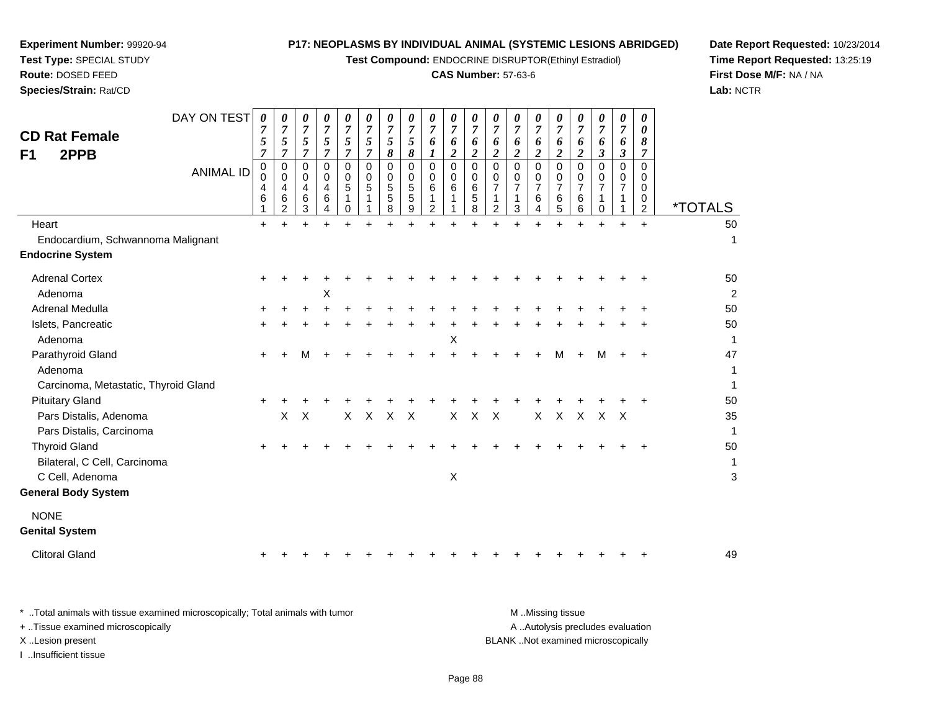**Test Compound:** ENDOCRINE DISRUPTOR(Ethinyl Estradiol)

#### **CAS Number:** 57-63-6

**Date Report Requested:** 10/23/2014**Time Report Requested:** 13:25:19**First Dose M/F:** NA / NA**Lab:** NCTR

| DAY ON TEST<br><b>CD Rat Female</b><br>2PPB<br>F <sub>1</sub><br>Heart  | <b>ANIMAL ID</b> | 0<br>$\overline{7}$<br>5<br>$\overline{7}$<br>0<br>0<br>4<br>6<br>$\ddot{}$ | 0<br>$\overline{7}$<br>5<br>7<br>0<br>0<br>4<br>6<br>2<br>$+$ | 0<br>$\boldsymbol{7}$<br>5<br>$\overline{7}$<br>$\mathbf 0$<br>$\mathbf 0$<br>4<br>6<br>3 | 0<br>$\boldsymbol{7}$<br>5<br>$\overline{7}$<br>$\Omega$<br>0<br>4<br>6<br>4<br>$\ddot{}$ | 0<br>$\boldsymbol{7}$<br>5<br>$\overline{7}$<br>$\Omega$<br>0<br>5<br>$\Omega$ | 0<br>$\overline{7}$<br>5<br>$\overline{7}$<br>$\Omega$<br>0<br>5 | $\boldsymbol{\theta}$<br>$\overline{7}$<br>$\sqrt{5}$<br>$\boldsymbol{\delta}$<br>0<br>$\mathbf 0$<br>5<br>5<br>8<br>$\ddot{}$ | 0<br>$\overline{7}$<br>5<br>$\pmb{8}$<br>$\mathbf 0$<br>$\mathbf 0$<br>$\sqrt{5}$<br>5<br>9<br>$\ddot{}$ | 0<br>$\boldsymbol{7}$<br>6<br>$\bm{l}$<br>$\mathbf 0$<br>0<br>6<br>$\overline{c}$<br>$\ddot{}$ | 0<br>$\overline{7}$<br>6<br>$\boldsymbol{2}$<br>$\mathbf 0$<br>0<br>6<br>$\ddot{}$ | 0<br>$\overline{7}$<br>6<br>$\overline{c}$<br>$\Omega$<br>0<br>6<br>5<br>8 | $\boldsymbol{\theta}$<br>$\overline{7}$<br>6<br>$\boldsymbol{2}$<br>0<br>0<br>$\overline{7}$<br>1<br>$\overline{2}$ | 0<br>$\overline{7}$<br>6<br>$\boldsymbol{2}$<br>$\Omega$<br>0<br>7<br>1<br>3 | 0<br>$\overline{7}$<br>6<br>$\overline{2}$<br>$\mathbf 0$<br>0<br>$\overline{7}$<br>6<br>$\overline{4}$<br>$\ddot{}$ | 0<br>$\overline{7}$<br>6<br>$\overline{c}$<br>0<br>0<br>$\overline{7}$<br>6<br>5<br>$+$ | 0<br>$\boldsymbol{7}$<br>6<br>$\overline{\mathbf{c}}$<br>$\Omega$<br>0<br>$\overline{7}$<br>6<br>6 | 0<br>$\overline{7}$<br>6<br>$\mathfrak{z}$<br>$\Omega$<br>0<br>7<br>1<br>$\mathbf 0$<br>$\ddot{}$ | 0<br>$\overline{7}$<br>6<br>$\boldsymbol{\beta}$<br>$\Omega$<br>0<br>$\overline{7}$<br>$+$ | 0<br>0<br>8<br>7<br>$\Omega$<br>0<br>0<br>0<br>$\overline{2}$<br>$+$ | <i><b>*TOTALS</b></i><br>50 |
|-------------------------------------------------------------------------|------------------|-----------------------------------------------------------------------------|---------------------------------------------------------------|-------------------------------------------------------------------------------------------|-------------------------------------------------------------------------------------------|--------------------------------------------------------------------------------|------------------------------------------------------------------|--------------------------------------------------------------------------------------------------------------------------------|----------------------------------------------------------------------------------------------------------|------------------------------------------------------------------------------------------------|------------------------------------------------------------------------------------|----------------------------------------------------------------------------|---------------------------------------------------------------------------------------------------------------------|------------------------------------------------------------------------------|----------------------------------------------------------------------------------------------------------------------|-----------------------------------------------------------------------------------------|----------------------------------------------------------------------------------------------------|---------------------------------------------------------------------------------------------------|--------------------------------------------------------------------------------------------|----------------------------------------------------------------------|-----------------------------|
| Endocardium, Schwannoma Malignant<br><b>Endocrine System</b>            |                  |                                                                             |                                                               |                                                                                           |                                                                                           |                                                                                |                                                                  |                                                                                                                                |                                                                                                          |                                                                                                |                                                                                    |                                                                            |                                                                                                                     |                                                                              |                                                                                                                      |                                                                                         |                                                                                                    |                                                                                                   |                                                                                            |                                                                      | 1                           |
| <b>Adrenal Cortex</b><br>Adenoma                                        |                  | ÷                                                                           |                                                               |                                                                                           | X                                                                                         |                                                                                |                                                                  |                                                                                                                                |                                                                                                          |                                                                                                |                                                                                    |                                                                            |                                                                                                                     |                                                                              |                                                                                                                      |                                                                                         |                                                                                                    |                                                                                                   |                                                                                            |                                                                      | 50<br>$\overline{2}$        |
| Adrenal Medulla                                                         |                  |                                                                             |                                                               |                                                                                           |                                                                                           |                                                                                |                                                                  |                                                                                                                                |                                                                                                          |                                                                                                |                                                                                    |                                                                            |                                                                                                                     |                                                                              |                                                                                                                      |                                                                                         |                                                                                                    |                                                                                                   |                                                                                            |                                                                      | 50                          |
| Islets, Pancreatic<br>Adenoma                                           |                  |                                                                             |                                                               |                                                                                           |                                                                                           |                                                                                |                                                                  |                                                                                                                                |                                                                                                          |                                                                                                | X                                                                                  |                                                                            |                                                                                                                     |                                                                              |                                                                                                                      |                                                                                         |                                                                                                    |                                                                                                   |                                                                                            |                                                                      | 50<br>$\mathbf{1}$          |
| Parathyroid Gland<br>Adenoma<br>Carcinoma, Metastatic, Thyroid Gland    |                  | $\ddot{}$                                                                   |                                                               | м                                                                                         |                                                                                           |                                                                                |                                                                  |                                                                                                                                |                                                                                                          |                                                                                                |                                                                                    |                                                                            |                                                                                                                     |                                                                              |                                                                                                                      | М                                                                                       |                                                                                                    |                                                                                                   |                                                                                            |                                                                      | 47<br>1<br>$\mathbf{1}$     |
| <b>Pituitary Gland</b>                                                  |                  | $\pm$                                                                       |                                                               |                                                                                           |                                                                                           |                                                                                |                                                                  |                                                                                                                                |                                                                                                          |                                                                                                |                                                                                    |                                                                            |                                                                                                                     |                                                                              |                                                                                                                      |                                                                                         |                                                                                                    |                                                                                                   |                                                                                            |                                                                      | 50                          |
| Pars Distalis, Adenoma<br>Pars Distalis, Carcinoma                      |                  |                                                                             | X                                                             | $\boldsymbol{\mathsf{X}}$                                                                 |                                                                                           | $\mathsf{X}$                                                                   | $\mathsf{X}$                                                     | $\times$                                                                                                                       | $\mathsf{X}$                                                                                             |                                                                                                | X                                                                                  | $\times$                                                                   | $\sf X$                                                                                                             |                                                                              | $\mathsf{X}$                                                                                                         | $\mathsf{X}$                                                                            | $\times$                                                                                           | $\mathsf{X}$                                                                                      | $\mathsf{X}$                                                                               |                                                                      | 35<br>$\mathbf{1}$          |
| <b>Thyroid Gland</b><br>Bilateral, C Cell, Carcinoma<br>C Cell, Adenoma |                  |                                                                             |                                                               |                                                                                           |                                                                                           |                                                                                |                                                                  |                                                                                                                                |                                                                                                          |                                                                                                | $\pmb{\times}$                                                                     |                                                                            |                                                                                                                     |                                                                              |                                                                                                                      |                                                                                         |                                                                                                    |                                                                                                   |                                                                                            |                                                                      | 50<br>$\mathbf{1}$<br>3     |
| <b>General Body System</b>                                              |                  |                                                                             |                                                               |                                                                                           |                                                                                           |                                                                                |                                                                  |                                                                                                                                |                                                                                                          |                                                                                                |                                                                                    |                                                                            |                                                                                                                     |                                                                              |                                                                                                                      |                                                                                         |                                                                                                    |                                                                                                   |                                                                                            |                                                                      |                             |
| <b>NONE</b><br><b>Genital System</b>                                    |                  |                                                                             |                                                               |                                                                                           |                                                                                           |                                                                                |                                                                  |                                                                                                                                |                                                                                                          |                                                                                                |                                                                                    |                                                                            |                                                                                                                     |                                                                              |                                                                                                                      |                                                                                         |                                                                                                    |                                                                                                   |                                                                                            |                                                                      |                             |
| <b>Clitoral Gland</b>                                                   |                  |                                                                             |                                                               |                                                                                           |                                                                                           |                                                                                |                                                                  |                                                                                                                                |                                                                                                          |                                                                                                |                                                                                    |                                                                            |                                                                                                                     |                                                                              |                                                                                                                      |                                                                                         |                                                                                                    |                                                                                                   |                                                                                            |                                                                      | 49                          |

**Experiment Number:** 99920-94**Test Type:** SPECIAL STUDY**Route:** DOSED FEED**Species/Strain:** Rat/CD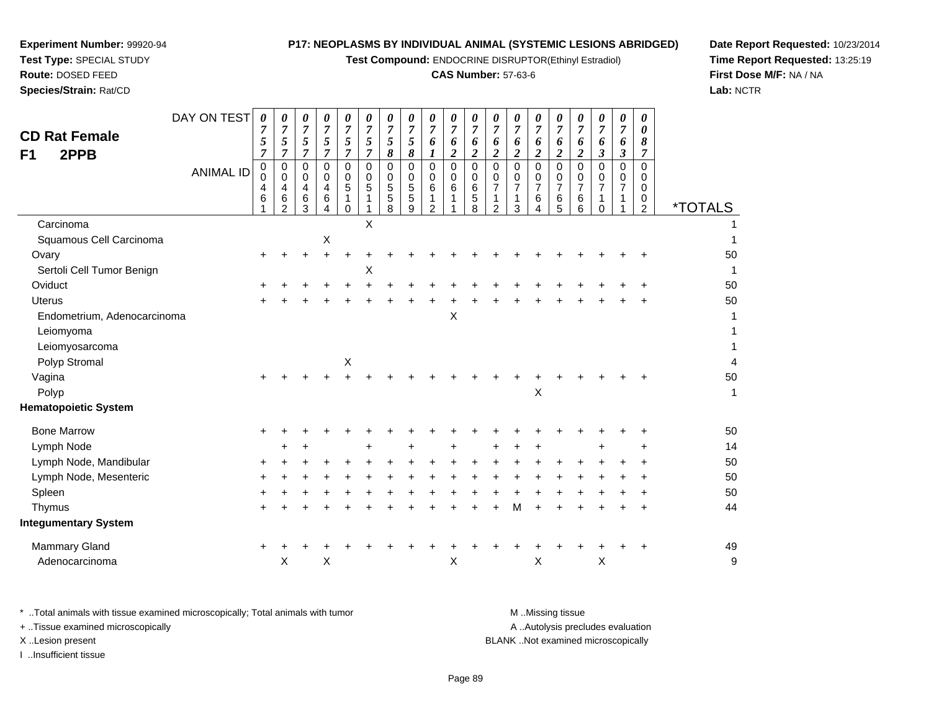**Test Compound:** ENDOCRINE DISRUPTOR(Ethinyl Estradiol)

#### **CAS Number:** 57-63-6

**Date Report Requested:** 10/23/2014**Time Report Requested:** 13:25:19**First Dose M/F:** NA / NA**Lab:** NCTR

| <b>CD Rat Female</b><br>2PPB<br>F1 | DAY ON TEST<br><b>ANIMAL ID</b> | $\boldsymbol{\theta}$<br>$\overline{7}$<br>5<br>$\overline{7}$<br>$\pmb{0}$<br>$\mathbf 0$<br>$\overline{4}$<br>6<br>1 | $\boldsymbol{\theta}$<br>$\overline{7}$<br>5<br>$\overline{7}$<br>$\mathbf 0$<br>$\mathbf 0$<br>$\overline{4}$<br>6<br>$\overline{2}$ | $\pmb{\theta}$<br>$\overline{7}$<br>5<br>$\overline{7}$<br>$\mathbf 0$<br>0<br>4<br>6<br>3 | $\pmb{\theta}$<br>$\overline{7}$<br>5<br>$\overline{7}$<br>$\,0\,$<br>$\mathbf 0$<br>$\overline{\mathbf{4}}$<br>6<br>4 | 0<br>$\overline{7}$<br>5<br>$\overline{7}$<br>$\mathbf 0$<br>0<br>5<br>1<br>0 | $\pmb{\theta}$<br>$\overline{7}$<br>5<br>7<br>0<br>0<br>$\,$ 5 $\,$<br>1 | 0<br>$\overline{7}$<br>5<br>8<br>$\pmb{0}$<br>0<br>$\sqrt{5}$<br>$\sqrt{5}$<br>8 | $\pmb{\theta}$<br>$\overline{7}$<br>5<br>8<br>0<br>0<br>$\sqrt{5}$<br>$\sqrt{5}$<br>9 | 0<br>$\overline{7}$<br>6<br>1<br>0<br>0<br>6<br>1<br>$\overline{2}$ | 0<br>$\overline{7}$<br>6<br>$\overline{c}$<br>$\mathsf{O}$<br>0<br>6 | 0<br>$\overline{7}$<br>6<br>$\overline{c}$<br>0<br>0<br>$\,6\,$<br>$\mathbf 5$<br>8 | 0<br>$\overline{7}$<br>6<br>$\boldsymbol{2}$<br>$\pmb{0}$<br>$\mathbf 0$<br>$\overline{7}$<br>1<br>$\overline{2}$ | 0<br>$\overline{7}$<br>6<br>2<br>$\mathbf 0$<br>0<br>$\overline{7}$<br>1<br>3 | $\boldsymbol{\theta}$<br>$\overline{7}$<br>6<br>$\overline{2}$<br>$\mathbf 0$<br>0<br>$\overline{7}$<br>6<br>4 | 0<br>$\overline{7}$<br>6<br>$\overline{2}$<br>0<br>0<br>$\overline{7}$<br>6<br>5 | 0<br>7<br>6<br>$\overline{\mathbf{c}}$<br>0<br>0<br>7<br>6<br>6 | 0<br>7<br>6<br>$\boldsymbol{\beta}$<br>$\mathbf 0$<br>0<br>$\overline{7}$<br>1<br>$\mathbf 0$ | 0<br>$\overline{7}$<br>6<br>$\boldsymbol{\beta}$<br>$\mathbf 0$<br>0<br>$\overline{7}$<br>1 | 0<br>0<br>8<br>$\overline{7}$<br>$\Omega$<br>$\Omega$<br>$\mathbf 0$<br>0<br>$\overline{c}$ | <i><b>*TOTALS</b></i>   |
|------------------------------------|---------------------------------|------------------------------------------------------------------------------------------------------------------------|---------------------------------------------------------------------------------------------------------------------------------------|--------------------------------------------------------------------------------------------|------------------------------------------------------------------------------------------------------------------------|-------------------------------------------------------------------------------|--------------------------------------------------------------------------|----------------------------------------------------------------------------------|---------------------------------------------------------------------------------------|---------------------------------------------------------------------|----------------------------------------------------------------------|-------------------------------------------------------------------------------------|-------------------------------------------------------------------------------------------------------------------|-------------------------------------------------------------------------------|----------------------------------------------------------------------------------------------------------------|----------------------------------------------------------------------------------|-----------------------------------------------------------------|-----------------------------------------------------------------------------------------------|---------------------------------------------------------------------------------------------|---------------------------------------------------------------------------------------------|-------------------------|
| Carcinoma                          |                                 |                                                                                                                        |                                                                                                                                       |                                                                                            |                                                                                                                        |                                                                               | X                                                                        |                                                                                  |                                                                                       |                                                                     |                                                                      |                                                                                     |                                                                                                                   |                                                                               |                                                                                                                |                                                                                  |                                                                 |                                                                                               |                                                                                             |                                                                                             |                         |
| Squamous Cell Carcinoma            |                                 |                                                                                                                        |                                                                                                                                       |                                                                                            | $\pmb{\times}$                                                                                                         |                                                                               |                                                                          |                                                                                  |                                                                                       |                                                                     |                                                                      |                                                                                     |                                                                                                                   |                                                                               |                                                                                                                |                                                                                  |                                                                 |                                                                                               |                                                                                             |                                                                                             | $\mathbf{1}$            |
| Ovary                              |                                 |                                                                                                                        |                                                                                                                                       |                                                                                            | $\pm$                                                                                                                  |                                                                               |                                                                          |                                                                                  |                                                                                       |                                                                     |                                                                      |                                                                                     |                                                                                                                   |                                                                               |                                                                                                                |                                                                                  |                                                                 |                                                                                               |                                                                                             |                                                                                             | 50                      |
| Sertoli Cell Tumor Benign          |                                 |                                                                                                                        |                                                                                                                                       |                                                                                            |                                                                                                                        |                                                                               | X                                                                        |                                                                                  |                                                                                       |                                                                     |                                                                      |                                                                                     |                                                                                                                   |                                                                               |                                                                                                                |                                                                                  |                                                                 |                                                                                               |                                                                                             |                                                                                             | $\mathbf{1}$            |
| Oviduct                            |                                 |                                                                                                                        |                                                                                                                                       |                                                                                            |                                                                                                                        |                                                                               |                                                                          |                                                                                  |                                                                                       |                                                                     |                                                                      |                                                                                     |                                                                                                                   |                                                                               |                                                                                                                |                                                                                  |                                                                 |                                                                                               |                                                                                             |                                                                                             | 50                      |
| <b>Uterus</b>                      |                                 |                                                                                                                        |                                                                                                                                       |                                                                                            |                                                                                                                        |                                                                               |                                                                          |                                                                                  |                                                                                       |                                                                     |                                                                      |                                                                                     |                                                                                                                   |                                                                               |                                                                                                                |                                                                                  |                                                                 |                                                                                               |                                                                                             |                                                                                             | 50                      |
| Endometrium, Adenocarcinoma        |                                 |                                                                                                                        |                                                                                                                                       |                                                                                            |                                                                                                                        |                                                                               |                                                                          |                                                                                  |                                                                                       |                                                                     | X                                                                    |                                                                                     |                                                                                                                   |                                                                               |                                                                                                                |                                                                                  |                                                                 |                                                                                               |                                                                                             |                                                                                             | $\mathbf{1}$            |
| Leiomyoma                          |                                 |                                                                                                                        |                                                                                                                                       |                                                                                            |                                                                                                                        |                                                                               |                                                                          |                                                                                  |                                                                                       |                                                                     |                                                                      |                                                                                     |                                                                                                                   |                                                                               |                                                                                                                |                                                                                  |                                                                 |                                                                                               |                                                                                             |                                                                                             | $\mathbf{1}$            |
| Leiomyosarcoma                     |                                 |                                                                                                                        |                                                                                                                                       |                                                                                            |                                                                                                                        |                                                                               |                                                                          |                                                                                  |                                                                                       |                                                                     |                                                                      |                                                                                     |                                                                                                                   |                                                                               |                                                                                                                |                                                                                  |                                                                 |                                                                                               |                                                                                             |                                                                                             | 1                       |
| Polyp Stromal                      |                                 |                                                                                                                        |                                                                                                                                       |                                                                                            |                                                                                                                        | $\pmb{\mathsf{X}}$                                                            |                                                                          |                                                                                  |                                                                                       |                                                                     |                                                                      |                                                                                     |                                                                                                                   |                                                                               |                                                                                                                |                                                                                  |                                                                 |                                                                                               |                                                                                             |                                                                                             | $\overline{\mathbf{4}}$ |
| Vagina                             |                                 |                                                                                                                        |                                                                                                                                       |                                                                                            |                                                                                                                        |                                                                               |                                                                          |                                                                                  |                                                                                       |                                                                     |                                                                      |                                                                                     |                                                                                                                   |                                                                               |                                                                                                                |                                                                                  |                                                                 |                                                                                               |                                                                                             |                                                                                             | 50                      |
| Polyp                              |                                 |                                                                                                                        |                                                                                                                                       |                                                                                            |                                                                                                                        |                                                                               |                                                                          |                                                                                  |                                                                                       |                                                                     |                                                                      |                                                                                     |                                                                                                                   |                                                                               | X                                                                                                              |                                                                                  |                                                                 |                                                                                               |                                                                                             |                                                                                             | $\mathbf{1}$            |
| <b>Hematopoietic System</b>        |                                 |                                                                                                                        |                                                                                                                                       |                                                                                            |                                                                                                                        |                                                                               |                                                                          |                                                                                  |                                                                                       |                                                                     |                                                                      |                                                                                     |                                                                                                                   |                                                                               |                                                                                                                |                                                                                  |                                                                 |                                                                                               |                                                                                             |                                                                                             |                         |
| <b>Bone Marrow</b>                 |                                 |                                                                                                                        |                                                                                                                                       |                                                                                            |                                                                                                                        |                                                                               |                                                                          |                                                                                  |                                                                                       |                                                                     |                                                                      |                                                                                     |                                                                                                                   |                                                                               |                                                                                                                |                                                                                  |                                                                 |                                                                                               |                                                                                             |                                                                                             | 50                      |
| Lymph Node                         |                                 |                                                                                                                        |                                                                                                                                       |                                                                                            |                                                                                                                        |                                                                               | $\ddot{}$                                                                |                                                                                  | $\ddot{}$                                                                             |                                                                     |                                                                      |                                                                                     |                                                                                                                   |                                                                               |                                                                                                                |                                                                                  |                                                                 |                                                                                               |                                                                                             |                                                                                             | 14                      |
| Lymph Node, Mandibular             |                                 |                                                                                                                        |                                                                                                                                       |                                                                                            |                                                                                                                        |                                                                               |                                                                          |                                                                                  |                                                                                       |                                                                     |                                                                      |                                                                                     |                                                                                                                   |                                                                               |                                                                                                                |                                                                                  |                                                                 |                                                                                               |                                                                                             |                                                                                             | 50                      |
| Lymph Node, Mesenteric             |                                 |                                                                                                                        |                                                                                                                                       |                                                                                            |                                                                                                                        |                                                                               |                                                                          |                                                                                  |                                                                                       |                                                                     |                                                                      |                                                                                     |                                                                                                                   |                                                                               |                                                                                                                |                                                                                  |                                                                 |                                                                                               |                                                                                             |                                                                                             | 50                      |
| Spleen                             |                                 |                                                                                                                        |                                                                                                                                       |                                                                                            |                                                                                                                        |                                                                               |                                                                          |                                                                                  |                                                                                       |                                                                     |                                                                      |                                                                                     |                                                                                                                   |                                                                               |                                                                                                                |                                                                                  |                                                                 |                                                                                               |                                                                                             |                                                                                             | 50                      |
| Thymus                             |                                 |                                                                                                                        |                                                                                                                                       |                                                                                            |                                                                                                                        |                                                                               |                                                                          |                                                                                  |                                                                                       |                                                                     |                                                                      |                                                                                     |                                                                                                                   | м                                                                             |                                                                                                                |                                                                                  |                                                                 |                                                                                               |                                                                                             |                                                                                             | 44                      |
| <b>Integumentary System</b>        |                                 |                                                                                                                        |                                                                                                                                       |                                                                                            |                                                                                                                        |                                                                               |                                                                          |                                                                                  |                                                                                       |                                                                     |                                                                      |                                                                                     |                                                                                                                   |                                                                               |                                                                                                                |                                                                                  |                                                                 |                                                                                               |                                                                                             |                                                                                             |                         |
| <b>Mammary Gland</b>               |                                 | $\ddot{}$                                                                                                              |                                                                                                                                       |                                                                                            |                                                                                                                        |                                                                               |                                                                          |                                                                                  |                                                                                       |                                                                     |                                                                      |                                                                                     |                                                                                                                   |                                                                               |                                                                                                                |                                                                                  |                                                                 |                                                                                               |                                                                                             |                                                                                             | 49                      |
| Adenocarcinoma                     |                                 |                                                                                                                        | X                                                                                                                                     |                                                                                            | X                                                                                                                      |                                                                               |                                                                          |                                                                                  |                                                                                       |                                                                     | X                                                                    |                                                                                     |                                                                                                                   |                                                                               | X                                                                                                              |                                                                                  |                                                                 | $\boldsymbol{\mathsf{X}}$                                                                     |                                                                                             |                                                                                             | $\mathsf g$             |
|                                    |                                 |                                                                                                                        |                                                                                                                                       |                                                                                            |                                                                                                                        |                                                                               |                                                                          |                                                                                  |                                                                                       |                                                                     |                                                                      |                                                                                     |                                                                                                                   |                                                                               |                                                                                                                |                                                                                  |                                                                 |                                                                                               |                                                                                             |                                                                                             |                         |

**Experiment Number:** 99920-94**Test Type:** SPECIAL STUDY**Route:** DOSED FEED**Species/Strain:** Rat/CD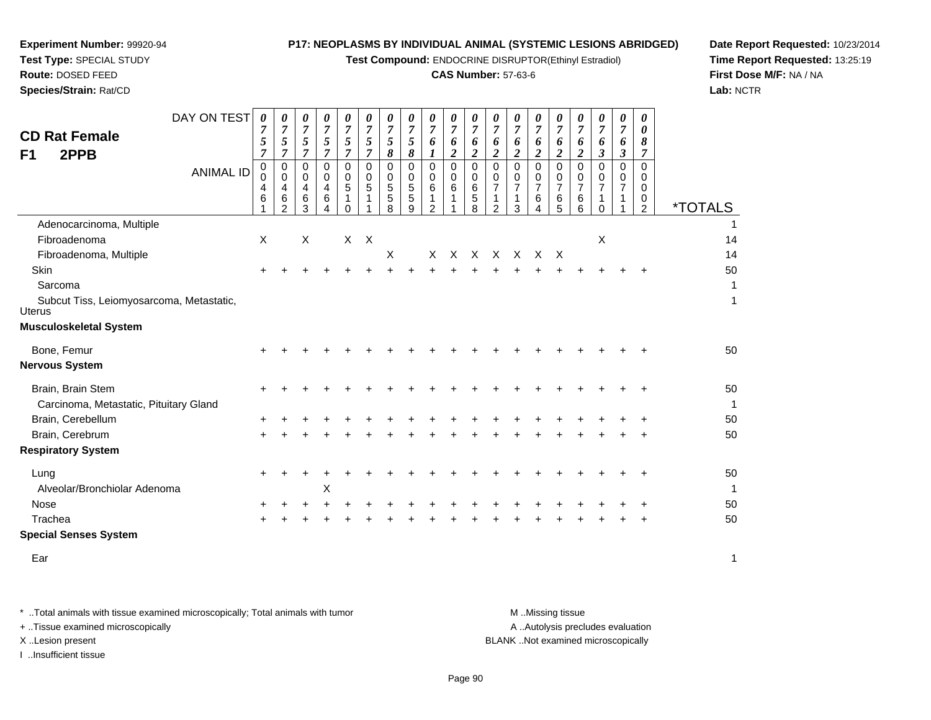**Test Compound:** ENDOCRINE DISRUPTOR(Ethinyl Estradiol)

#### **CAS Number:** 57-63-6

**Date Report Requested:** 10/23/2014**Time Report Requested:** 13:25:19**First Dose M/F:** NA / NA**Lab:** NCTR

| <b>CD Rat Female</b><br>2PPB<br>F1                 | DAY ON TEST<br><b>ANIMAL ID</b> | 0<br>7<br>5<br>$\overline{7}$<br>0<br>0<br>4<br>6 | 0<br>$\boldsymbol{7}$<br>5<br>$\overline{7}$<br>0<br>$\mathbf 0$<br>4<br>6<br>$\overline{2}$ | 0<br>$\overline{7}$<br>5<br>$\overline{7}$<br>0<br>$\mathbf 0$<br>4<br>6<br>3 | 0<br>$\overline{7}$<br>5<br>$\overline{7}$<br>$\mathbf 0$<br>$\mathbf 0$<br>4<br>6<br>4 | 0<br>$\overline{7}$<br>5<br>$\overline{7}$<br>0<br>0<br>5<br>1<br>$\Omega$ | 0<br>$\overline{7}$<br>5<br>$\overline{7}$<br>0<br>0<br>5 | 0<br>$\overline{7}$<br>5<br>8<br>0<br>$\mathbf 0$<br>$\sqrt{5}$<br>5<br>8 | $\boldsymbol{\theta}$<br>$\overline{7}$<br>5<br>8<br>0<br>$\mathbf 0$<br>5<br>5<br>9 | 0<br>$\overline{7}$<br>6<br>$\boldsymbol{l}$<br>$\mathbf 0$<br>$\mathbf 0$<br>6<br>1<br>$\overline{2}$ | 0<br>$\overline{7}$<br>6<br>$\boldsymbol{2}$<br>$\mathbf 0$<br>0<br>$\,6$<br>1 | 0<br>$\overline{7}$<br>6<br>$\boldsymbol{2}$<br>0<br>0<br>6<br>5<br>8 | 0<br>$\overline{7}$<br>6<br>$\boldsymbol{2}$<br>0<br>0<br>$\overline{7}$<br>1<br>$\overline{2}$ | 0<br>$\overline{7}$<br>6<br>$\overline{c}$<br>$\Omega$<br>0<br>$\overline{7}$<br>1<br>3 | 0<br>$\overline{7}$<br>6<br>$\boldsymbol{2}$<br>$\mathbf 0$<br>0<br>$\overline{7}$<br>6<br>4 | 0<br>$\overline{7}$<br>6<br>$\boldsymbol{2}$<br>$\mathbf 0$<br>0<br>$\overline{7}$<br>$\,6\,$<br>5 | 0<br>7<br>6<br>$\overline{\mathbf{c}}$<br>0<br>0<br>7<br>6<br>6 | $\boldsymbol{\theta}$<br>$\overline{7}$<br>6<br>$\boldsymbol{\beta}$<br>0<br>0<br>$\overline{7}$<br>1<br>$\Omega$ | 0<br>7<br>6<br>$\boldsymbol{\beta}$<br>$\Omega$<br>$\mathbf{0}$<br>$\overline{7}$<br>1<br>1 | 0<br>0<br>8<br>$\overline{7}$<br>$\Omega$<br>$\mathbf 0$<br>$\mathbf 0$<br>0<br>2 | <i><b>*TOTALS</b></i> |
|----------------------------------------------------|---------------------------------|---------------------------------------------------|----------------------------------------------------------------------------------------------|-------------------------------------------------------------------------------|-----------------------------------------------------------------------------------------|----------------------------------------------------------------------------|-----------------------------------------------------------|---------------------------------------------------------------------------|--------------------------------------------------------------------------------------|--------------------------------------------------------------------------------------------------------|--------------------------------------------------------------------------------|-----------------------------------------------------------------------|-------------------------------------------------------------------------------------------------|-----------------------------------------------------------------------------------------|----------------------------------------------------------------------------------------------|----------------------------------------------------------------------------------------------------|-----------------------------------------------------------------|-------------------------------------------------------------------------------------------------------------------|---------------------------------------------------------------------------------------------|-----------------------------------------------------------------------------------|-----------------------|
| Adenocarcinoma, Multiple                           |                                 |                                                   |                                                                                              |                                                                               |                                                                                         |                                                                            |                                                           |                                                                           |                                                                                      |                                                                                                        |                                                                                |                                                                       |                                                                                                 |                                                                                         |                                                                                              |                                                                                                    |                                                                 |                                                                                                                   |                                                                                             |                                                                                   |                       |
| Fibroadenoma                                       |                                 | X                                                 |                                                                                              | X                                                                             |                                                                                         |                                                                            | $X$ $X$                                                   |                                                                           |                                                                                      |                                                                                                        |                                                                                |                                                                       |                                                                                                 |                                                                                         |                                                                                              |                                                                                                    |                                                                 | X                                                                                                                 |                                                                                             |                                                                                   | 14                    |
| Fibroadenoma, Multiple                             |                                 |                                                   |                                                                                              |                                                                               |                                                                                         |                                                                            |                                                           | X                                                                         |                                                                                      | X                                                                                                      | X                                                                              |                                                                       | X X X                                                                                           |                                                                                         | $\times$                                                                                     | $\mathsf{X}$                                                                                       |                                                                 |                                                                                                                   |                                                                                             |                                                                                   | 14                    |
| <b>Skin</b>                                        |                                 |                                                   |                                                                                              |                                                                               |                                                                                         |                                                                            |                                                           |                                                                           |                                                                                      |                                                                                                        |                                                                                |                                                                       |                                                                                                 |                                                                                         |                                                                                              |                                                                                                    |                                                                 |                                                                                                                   |                                                                                             |                                                                                   | 50                    |
| Sarcoma                                            |                                 |                                                   |                                                                                              |                                                                               |                                                                                         |                                                                            |                                                           |                                                                           |                                                                                      |                                                                                                        |                                                                                |                                                                       |                                                                                                 |                                                                                         |                                                                                              |                                                                                                    |                                                                 |                                                                                                                   |                                                                                             |                                                                                   | 1                     |
| Subcut Tiss, Leiomyosarcoma, Metastatic,<br>Uterus |                                 |                                                   |                                                                                              |                                                                               |                                                                                         |                                                                            |                                                           |                                                                           |                                                                                      |                                                                                                        |                                                                                |                                                                       |                                                                                                 |                                                                                         |                                                                                              |                                                                                                    |                                                                 |                                                                                                                   |                                                                                             |                                                                                   | 1                     |
| <b>Musculoskeletal System</b>                      |                                 |                                                   |                                                                                              |                                                                               |                                                                                         |                                                                            |                                                           |                                                                           |                                                                                      |                                                                                                        |                                                                                |                                                                       |                                                                                                 |                                                                                         |                                                                                              |                                                                                                    |                                                                 |                                                                                                                   |                                                                                             |                                                                                   |                       |
| Bone, Femur                                        |                                 |                                                   |                                                                                              |                                                                               |                                                                                         |                                                                            |                                                           |                                                                           |                                                                                      |                                                                                                        |                                                                                |                                                                       |                                                                                                 |                                                                                         |                                                                                              |                                                                                                    |                                                                 |                                                                                                                   |                                                                                             |                                                                                   | 50                    |
| <b>Nervous System</b>                              |                                 |                                                   |                                                                                              |                                                                               |                                                                                         |                                                                            |                                                           |                                                                           |                                                                                      |                                                                                                        |                                                                                |                                                                       |                                                                                                 |                                                                                         |                                                                                              |                                                                                                    |                                                                 |                                                                                                                   |                                                                                             |                                                                                   |                       |
| Brain, Brain Stem                                  |                                 | +                                                 |                                                                                              |                                                                               |                                                                                         |                                                                            |                                                           |                                                                           |                                                                                      |                                                                                                        |                                                                                |                                                                       |                                                                                                 |                                                                                         |                                                                                              |                                                                                                    |                                                                 |                                                                                                                   |                                                                                             | ÷                                                                                 | 50                    |
| Carcinoma, Metastatic, Pituitary Gland             |                                 |                                                   |                                                                                              |                                                                               |                                                                                         |                                                                            |                                                           |                                                                           |                                                                                      |                                                                                                        |                                                                                |                                                                       |                                                                                                 |                                                                                         |                                                                                              |                                                                                                    |                                                                 |                                                                                                                   |                                                                                             |                                                                                   | 1                     |
| Brain, Cerebellum                                  |                                 |                                                   |                                                                                              |                                                                               |                                                                                         |                                                                            |                                                           |                                                                           |                                                                                      |                                                                                                        |                                                                                |                                                                       |                                                                                                 |                                                                                         |                                                                                              |                                                                                                    |                                                                 |                                                                                                                   |                                                                                             |                                                                                   | 50                    |
| Brain, Cerebrum                                    |                                 |                                                   |                                                                                              |                                                                               |                                                                                         |                                                                            |                                                           |                                                                           |                                                                                      |                                                                                                        |                                                                                |                                                                       |                                                                                                 |                                                                                         |                                                                                              |                                                                                                    |                                                                 |                                                                                                                   |                                                                                             |                                                                                   | 50                    |
| <b>Respiratory System</b>                          |                                 |                                                   |                                                                                              |                                                                               |                                                                                         |                                                                            |                                                           |                                                                           |                                                                                      |                                                                                                        |                                                                                |                                                                       |                                                                                                 |                                                                                         |                                                                                              |                                                                                                    |                                                                 |                                                                                                                   |                                                                                             |                                                                                   |                       |
| Lung                                               |                                 | +                                                 |                                                                                              |                                                                               |                                                                                         |                                                                            |                                                           |                                                                           |                                                                                      |                                                                                                        |                                                                                |                                                                       |                                                                                                 |                                                                                         |                                                                                              |                                                                                                    |                                                                 |                                                                                                                   |                                                                                             | +                                                                                 | 50                    |
| Alveolar/Bronchiolar Adenoma                       |                                 |                                                   |                                                                                              |                                                                               | X                                                                                       |                                                                            |                                                           |                                                                           |                                                                                      |                                                                                                        |                                                                                |                                                                       |                                                                                                 |                                                                                         |                                                                                              |                                                                                                    |                                                                 |                                                                                                                   |                                                                                             |                                                                                   | 1                     |
| <b>Nose</b>                                        |                                 |                                                   |                                                                                              |                                                                               |                                                                                         |                                                                            |                                                           |                                                                           |                                                                                      |                                                                                                        |                                                                                |                                                                       |                                                                                                 |                                                                                         |                                                                                              |                                                                                                    |                                                                 |                                                                                                                   |                                                                                             |                                                                                   | 50                    |
| Trachea                                            |                                 | $\div$                                            |                                                                                              |                                                                               |                                                                                         |                                                                            |                                                           |                                                                           |                                                                                      |                                                                                                        |                                                                                |                                                                       |                                                                                                 |                                                                                         |                                                                                              |                                                                                                    |                                                                 |                                                                                                                   |                                                                                             |                                                                                   | 50                    |
| <b>Special Senses System</b>                       |                                 |                                                   |                                                                                              |                                                                               |                                                                                         |                                                                            |                                                           |                                                                           |                                                                                      |                                                                                                        |                                                                                |                                                                       |                                                                                                 |                                                                                         |                                                                                              |                                                                                                    |                                                                 |                                                                                                                   |                                                                                             |                                                                                   |                       |
| Ear                                                |                                 |                                                   |                                                                                              |                                                                               |                                                                                         |                                                                            |                                                           |                                                                           |                                                                                      |                                                                                                        |                                                                                |                                                                       |                                                                                                 |                                                                                         |                                                                                              |                                                                                                    |                                                                 |                                                                                                                   |                                                                                             |                                                                                   | 1                     |

**Experiment Number:** 99920-94**Test Type:** SPECIAL STUDY**Route:** DOSED FEED**Species/Strain:** Rat/CD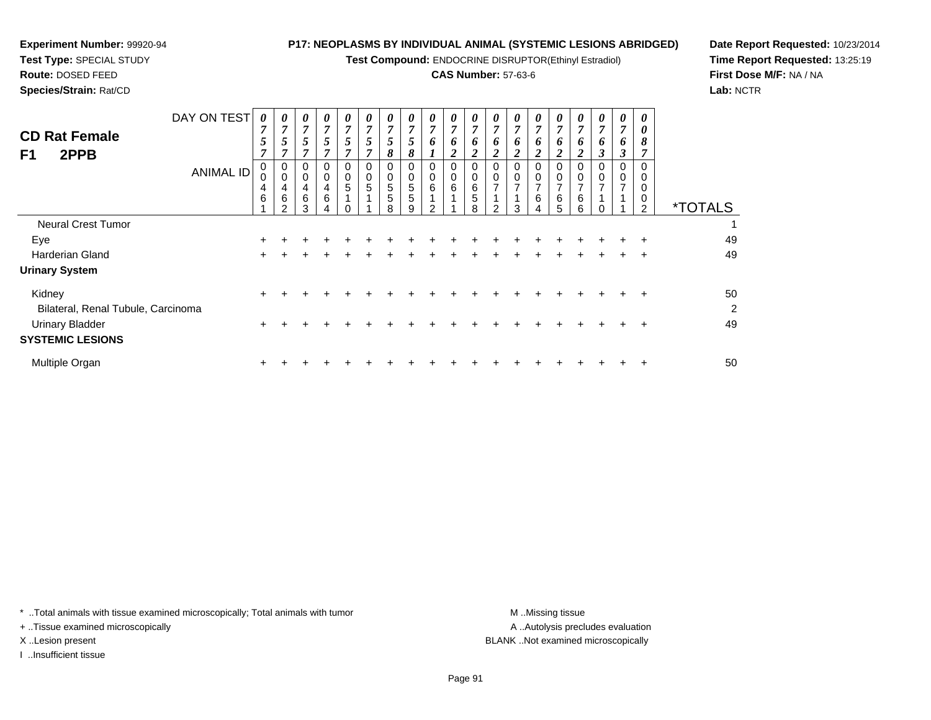**Test Compound:** ENDOCRINE DISRUPTOR(Ethinyl Estradiol)

#### **CAS Number:** 57-63-6

<sup>+</sup> <sup>+</sup> <sup>+</sup> <sup>+</sup> <sup>+</sup> <sup>+</sup> <sup>+</sup> <sup>+</sup> <sup>+</sup> <sup>+</sup> <sup>+</sup> <sup>+</sup> <sup>+</sup> <sup>+</sup> <sup>+</sup> <sup>+</sup> <sup>+</sup> <sup>+</sup> <sup>49</sup>

<sup>+</sup> <sup>+</sup> <sup>+</sup> <sup>+</sup> <sup>+</sup> <sup>+</sup> <sup>+</sup> <sup>+</sup> <sup>+</sup> <sup>+</sup> <sup>+</sup> <sup>+</sup> <sup>+</sup> <sup>+</sup> <sup>+</sup> <sup>+</sup> <sup>+</sup> <sup>+</sup> <sup>50</sup>

**Date Report Requested:** 10/23/2014**Time Report Requested:** 13:25:19**First Dose M/F:** NA / NA**Lab:** NCTR

| <b>CD Rat Female</b><br>2PPB<br>F1           | DAY ON TEST<br><b>ANIMAL ID</b> | 0<br>$\overline{ }$<br>5<br>$\mathbf{r}$<br>0<br>4 | 0<br>$\overline{ }$<br>5<br>0<br>0<br>4 | $\boldsymbol{\theta}$<br>$\overline{\tau}$<br>5<br>7<br>0<br>4 | $\boldsymbol{\theta}$<br>$\overline{7}$<br>5<br>7<br>0<br>0<br>4 | 0<br>$\overline{7}$<br>5<br>$\overline{ }$<br>0<br>0<br>5 | 0<br>$\overline{7}$<br>5<br>0<br>0<br>5 | $\boldsymbol{\theta}$<br>$\overline{ }$<br>C<br>8<br>0<br>0<br>5 | $\boldsymbol{\theta}$<br>$\overline{ }$<br>5<br>8<br>0<br>5 | 0<br>$\overline{7}$<br>6<br>0<br>0<br>6 | 0<br>$\overline{7}$<br>6<br>$\overline{\mathbf{c}}$<br>0<br>0<br>$\,6\,$ | $\boldsymbol{\theta}$<br>$\overline{7}$<br>6<br><u>ีว</u><br>0<br>0<br>6 | $\boldsymbol{\theta}$<br>$\overline{ }$<br>6<br>C<br>0<br>0<br>$\overline{ }$ | $\boldsymbol{\theta}$<br>$\overline{ }$<br>6<br>0 | 0<br>$\overline{ }$<br>6<br>◠<br>0<br>0<br>$\overline{ }$ | 0<br>$\overline{7}$<br>6<br>$\overline{2}$<br>0<br>0<br>$\overline{7}$ | 0<br>7<br>6<br>0<br>0<br>$\overline{ }$ | 0<br>7<br>o<br>◠<br>0<br>0<br>⇁ | $\boldsymbol{\theta}$<br>$\overline{7}$<br>o<br>3<br>0<br>0<br>$\overline{\phantom{a}}$ | 0<br>0<br>8<br>0<br>0<br>0 |                       |
|----------------------------------------------|---------------------------------|----------------------------------------------------|-----------------------------------------|----------------------------------------------------------------|------------------------------------------------------------------|-----------------------------------------------------------|-----------------------------------------|------------------------------------------------------------------|-------------------------------------------------------------|-----------------------------------------|--------------------------------------------------------------------------|--------------------------------------------------------------------------|-------------------------------------------------------------------------------|---------------------------------------------------|-----------------------------------------------------------|------------------------------------------------------------------------|-----------------------------------------|---------------------------------|-----------------------------------------------------------------------------------------|----------------------------|-----------------------|
|                                              |                                 | 6                                                  | 6<br>っ                                  | 6<br>3                                                         | 6<br>4                                                           |                                                           |                                         | 5<br>8                                                           | 5<br>9                                                      | $\mathcal{P}$                           |                                                                          | 5<br>8                                                                   | $\mathcal{P}$                                                                 | 3                                                 | 6<br>$\overline{4}$                                       | 6<br>5                                                                 | 6<br>6                                  |                                 |                                                                                         | 0<br>$\mathcal{P}$         | <i><b>*TOTALS</b></i> |
| <b>Neural Crest Tumor</b>                    |                                 |                                                    |                                         |                                                                |                                                                  |                                                           |                                         |                                                                  |                                                             |                                         |                                                                          |                                                                          |                                                                               |                                                   |                                                           |                                                                        |                                         |                                 |                                                                                         |                            |                       |
| Eye                                          |                                 | $\pm$                                              |                                         |                                                                |                                                                  |                                                           |                                         |                                                                  |                                                             |                                         |                                                                          |                                                                          |                                                                               |                                                   |                                                           |                                                                        |                                         |                                 | ÷                                                                                       | $\div$                     | 49                    |
| <b>Harderian Gland</b>                       |                                 | $\pm$                                              |                                         |                                                                |                                                                  |                                                           |                                         |                                                                  |                                                             |                                         |                                                                          |                                                                          |                                                                               |                                                   |                                                           |                                                                        |                                         |                                 |                                                                                         | $\div$                     | 49                    |
| <b>Urinary System</b>                        |                                 |                                                    |                                         |                                                                |                                                                  |                                                           |                                         |                                                                  |                                                             |                                         |                                                                          |                                                                          |                                                                               |                                                   |                                                           |                                                                        |                                         |                                 |                                                                                         |                            |                       |
| Kidney<br>Bilateral, Renal Tubule, Carcinoma |                                 | $\pm$                                              |                                         |                                                                |                                                                  |                                                           |                                         |                                                                  |                                                             |                                         |                                                                          |                                                                          |                                                                               |                                                   |                                                           |                                                                        |                                         |                                 |                                                                                         | ÷                          | 50<br>2               |

\* ..Total animals with tissue examined microscopically; Total animals with tumor **M** ...Missing tissue M ...Missing tissue

 $\mathsf{r}$  +

n  $+$ 

+ ..Tissue examined microscopically

**Experiment Number:** 99920-94**Test Type:** SPECIAL STUDY**Route:** DOSED FEED**Species/Strain:** Rat/CD

I ..Insufficient tissue

Urinary Bladder

Multiple Organ

**SYSTEMIC LESIONS**

A .. Autolysis precludes evaluation X ..Lesion present BLANK ..Not examined microscopically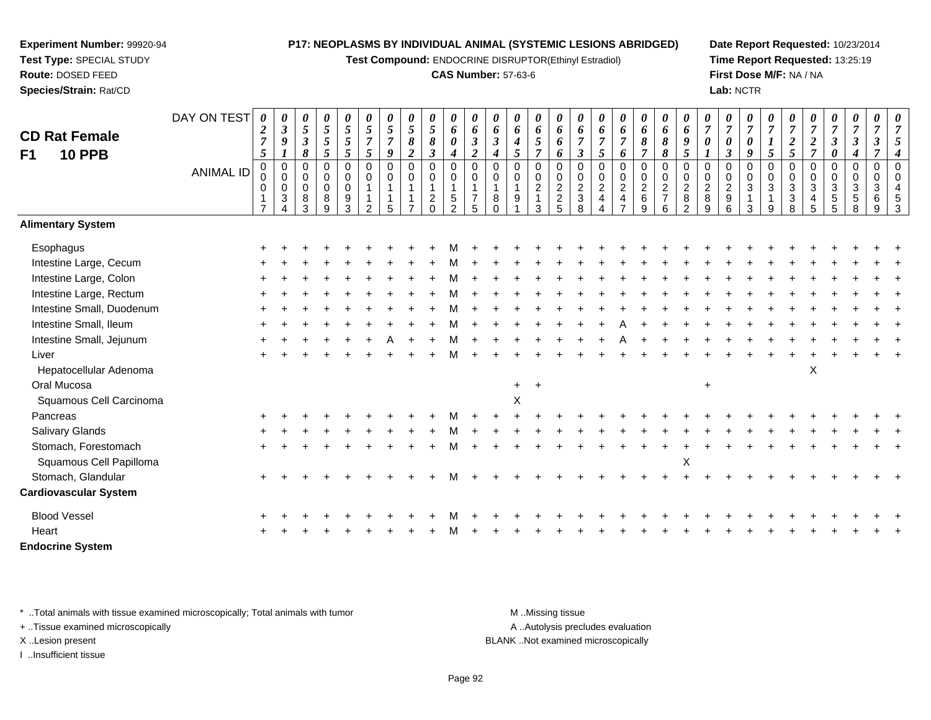**Test Compound:** ENDOCRINE DISRUPTOR(Ethinyl Estradiol)

#### **CAS Number:** 57-63-6

**Date Report Requested:** 10/23/2014**Time Report Requested:** 13:25:19**First Dose M/F:** NA / NA**Lab:** NCTR

| <b>CD Rat Female</b><br><b>10 PPB</b><br>F <sub>1</sub> | DAY ON TEST<br><b>ANIMAL ID</b> | 0<br>$\boldsymbol{2}$<br>$\overline{7}$<br>5<br>$\mathbf 0$<br>0<br>0<br>$\mathbf{1}$<br>$\overline{7}$ | 0<br>$\boldsymbol{\beta}$<br>9<br>1<br>$\mathbf 0$<br>$\mathbf 0$<br>$\mathbf 0$<br>$\mathbf{3}$<br>$\boldsymbol{\Lambda}$ | $\boldsymbol{\theta}$<br>$\sqrt{5}$<br>$\mathfrak{z}$<br>$\pmb{8}$<br>$\pmb{0}$<br>$\boldsymbol{0}$<br>$\pmb{0}$<br>$\bf8$<br>3 | $\pmb{\theta}$<br>$\overline{5}$<br>$\mathfrak{I}$<br>5<br>$\mathbf 0$<br>0<br>$\mathsf 0$<br>$\bf 8$<br>$\overline{9}$ | $\boldsymbol{\theta}$<br>$\overline{5}$<br>5<br>$\mathfrak{s}$<br>$\boldsymbol{0}$<br>$\boldsymbol{0}$<br>$\pmb{0}$<br>9<br>$\overline{3}$ | 0<br>5<br>$\overline{7}$<br>5<br>$\mathbf 0$<br>$\mathbf 0$<br>$\overline{2}$ | 0<br>5<br>$\overline{7}$<br>9<br>$\mathbf 0$<br>$\mathbf 0$<br>1<br>5 | $\pmb{\theta}$<br>5<br>8<br>$\boldsymbol{2}$<br>$\pmb{0}$<br>0<br>1 | 0<br>$\mathfrak{z}$<br>$\pmb{8}$<br>3<br>0<br>0<br>$\frac{2}{0}$ | $\boldsymbol{\theta}$<br>6<br>$\boldsymbol{\theta}$<br>$\boldsymbol{4}$<br>$\pmb{0}$<br>$\pmb{0}$<br>$\mathbf{1}$<br>$\frac{5}{2}$ | 0<br>6<br>$\boldsymbol{\beta}$<br>$\boldsymbol{2}$<br>$\mathbf 0$<br>$\mathbf 0$<br>$\mathbf{1}$<br>$\overline{7}$<br>5 | $\boldsymbol{\theta}$<br>6<br>$\boldsymbol{\beta}$<br>$\boldsymbol{4}$<br>$\mathbf 0$<br>$\mathbf 0$<br>$\overline{1}$<br>8<br>$\Omega$ | 0<br>6<br>4<br>5<br>$\mathbf 0$<br>0<br>9 | 0<br>6<br>5<br>$\overline{7}$<br>$\mathbf 0$<br>0<br>$\overline{2}$<br>$\overline{1}$<br>3 | 0<br>6<br>6<br>6<br>$\mathbf 0$<br>$\begin{smallmatrix} 0\\2 \end{smallmatrix}$<br>$\frac{2}{5}$ | 0<br>6<br>$\overline{7}$<br>$\boldsymbol{\beta}$<br>$\mathbf 0$<br>$\pmb{0}$<br>$\boldsymbol{2}$<br>$\mathfrak{3}$<br>$\overline{8}$ | $\boldsymbol{\theta}$<br>6<br>$\overline{7}$<br>5<br>$\mathbf 0$<br>$\pmb{0}$<br>$\boldsymbol{2}$<br>$\overline{\mathbf{4}}$<br>$\boldsymbol{\varDelta}$ | 0<br>6<br>$\overline{7}$<br>6<br>0<br>0<br>$\boldsymbol{2}$<br>$\overline{4}$<br>$\overline{7}$ | $\pmb{\theta}$<br>6<br>8<br>$\overline{7}$<br>$\mathbf 0$<br>$\pmb{0}$<br>$\boldsymbol{2}$<br>$\,6\,$<br>9 | $\pmb{\theta}$<br>6<br>8<br>8<br>$\mathbf 0$<br>$\pmb{0}$<br>$\frac{2}{7}$<br>6 | 0<br>6<br>9<br>5<br>$\mathbf 0$<br>$\mathbf 0$<br>$\overline{c}$<br>$\bf 8$<br>$\overline{2}$ | 0<br>$\overline{7}$<br>0<br>$\mathbf 0$<br>$\mathbf 0$<br>$\boldsymbol{2}$<br>$\bf 8$<br>9 | 0<br>$\overline{7}$<br>0<br>$\boldsymbol{\beta}$<br>$\mathbf 0$<br>$\mathbf 0$<br>$\boldsymbol{2}$<br>$\boldsymbol{9}$<br>6 | 0<br>$\overline{7}$<br>$\boldsymbol{\theta}$<br>9<br>$\mathbf 0$<br>$\mathbf 0$<br>$\sqrt{3}$<br>$\mathbf{1}$<br>$\mathbf{3}$ | 0<br>$\overline{7}$<br>$\boldsymbol{l}$<br>5<br>$\mathbf 0$<br>$\pmb{0}$<br>$\sqrt{3}$<br>$\mathbf{1}$<br>9 | 0<br>$\overline{7}$<br>$\boldsymbol{2}$<br>5<br>$\mathbf 0$<br>$\mathbf 0$<br>$\sqrt{3}$<br>$\ensuremath{\mathsf{3}}$<br>8 | 0<br>$\overline{7}$<br>$\boldsymbol{2}$<br>$\overline{7}$<br>0<br>0<br>3<br>4<br>5 | 0<br>$\boldsymbol{7}$<br>$\mathfrak{z}$<br>0<br>$\mathbf 0$<br>0<br>$\ensuremath{\mathsf{3}}$<br>$\,$ 5 $\,$<br>$\overline{5}$ | $\pmb{\theta}$<br>$\overline{7}$<br>$\boldsymbol{\beta}$<br>$\boldsymbol{4}$<br>$\mathbf 0$<br>$\mathbf 0$<br>$\sqrt{3}$<br>$\,$ 5 $\,$<br>8 | $\boldsymbol{\theta}$<br>$\overline{7}$<br>$\boldsymbol{\beta}$<br>$\overline{7}$<br>$\mathbf 0$<br>$\mathbf 0$<br>$\ensuremath{\mathsf{3}}$<br>6<br>9 | 0<br>$\overline{7}$<br>5<br>$\overline{4}$<br>$\Omega$<br>$\Omega$<br>$\overline{4}$<br>5<br>3 |
|---------------------------------------------------------|---------------------------------|---------------------------------------------------------------------------------------------------------|----------------------------------------------------------------------------------------------------------------------------|---------------------------------------------------------------------------------------------------------------------------------|-------------------------------------------------------------------------------------------------------------------------|--------------------------------------------------------------------------------------------------------------------------------------------|-------------------------------------------------------------------------------|-----------------------------------------------------------------------|---------------------------------------------------------------------|------------------------------------------------------------------|------------------------------------------------------------------------------------------------------------------------------------|-------------------------------------------------------------------------------------------------------------------------|-----------------------------------------------------------------------------------------------------------------------------------------|-------------------------------------------|--------------------------------------------------------------------------------------------|--------------------------------------------------------------------------------------------------|--------------------------------------------------------------------------------------------------------------------------------------|----------------------------------------------------------------------------------------------------------------------------------------------------------|-------------------------------------------------------------------------------------------------|------------------------------------------------------------------------------------------------------------|---------------------------------------------------------------------------------|-----------------------------------------------------------------------------------------------|--------------------------------------------------------------------------------------------|-----------------------------------------------------------------------------------------------------------------------------|-------------------------------------------------------------------------------------------------------------------------------|-------------------------------------------------------------------------------------------------------------|----------------------------------------------------------------------------------------------------------------------------|------------------------------------------------------------------------------------|--------------------------------------------------------------------------------------------------------------------------------|----------------------------------------------------------------------------------------------------------------------------------------------|--------------------------------------------------------------------------------------------------------------------------------------------------------|------------------------------------------------------------------------------------------------|
| <b>Alimentary System</b>                                |                                 |                                                                                                         |                                                                                                                            |                                                                                                                                 |                                                                                                                         |                                                                                                                                            |                                                                               |                                                                       |                                                                     |                                                                  |                                                                                                                                    |                                                                                                                         |                                                                                                                                         |                                           |                                                                                            |                                                                                                  |                                                                                                                                      |                                                                                                                                                          |                                                                                                 |                                                                                                            |                                                                                 |                                                                                               |                                                                                            |                                                                                                                             |                                                                                                                               |                                                                                                             |                                                                                                                            |                                                                                    |                                                                                                                                |                                                                                                                                              |                                                                                                                                                        |                                                                                                |
| Esophagus                                               |                                 |                                                                                                         |                                                                                                                            |                                                                                                                                 |                                                                                                                         |                                                                                                                                            |                                                                               |                                                                       |                                                                     |                                                                  |                                                                                                                                    |                                                                                                                         |                                                                                                                                         |                                           |                                                                                            |                                                                                                  |                                                                                                                                      |                                                                                                                                                          |                                                                                                 |                                                                                                            |                                                                                 |                                                                                               |                                                                                            |                                                                                                                             |                                                                                                                               |                                                                                                             |                                                                                                                            |                                                                                    |                                                                                                                                |                                                                                                                                              |                                                                                                                                                        |                                                                                                |
| Intestine Large, Cecum                                  |                                 |                                                                                                         |                                                                                                                            |                                                                                                                                 |                                                                                                                         |                                                                                                                                            |                                                                               |                                                                       |                                                                     |                                                                  |                                                                                                                                    |                                                                                                                         |                                                                                                                                         |                                           |                                                                                            |                                                                                                  |                                                                                                                                      |                                                                                                                                                          |                                                                                                 |                                                                                                            |                                                                                 |                                                                                               |                                                                                            |                                                                                                                             |                                                                                                                               |                                                                                                             |                                                                                                                            |                                                                                    |                                                                                                                                |                                                                                                                                              |                                                                                                                                                        |                                                                                                |
| Intestine Large, Colon                                  |                                 |                                                                                                         |                                                                                                                            |                                                                                                                                 |                                                                                                                         |                                                                                                                                            |                                                                               |                                                                       |                                                                     |                                                                  |                                                                                                                                    |                                                                                                                         |                                                                                                                                         |                                           |                                                                                            |                                                                                                  |                                                                                                                                      |                                                                                                                                                          |                                                                                                 |                                                                                                            |                                                                                 |                                                                                               |                                                                                            |                                                                                                                             |                                                                                                                               |                                                                                                             |                                                                                                                            |                                                                                    |                                                                                                                                |                                                                                                                                              |                                                                                                                                                        |                                                                                                |
| Intestine Large, Rectum                                 |                                 |                                                                                                         |                                                                                                                            |                                                                                                                                 |                                                                                                                         |                                                                                                                                            |                                                                               |                                                                       |                                                                     |                                                                  |                                                                                                                                    |                                                                                                                         |                                                                                                                                         |                                           |                                                                                            |                                                                                                  |                                                                                                                                      |                                                                                                                                                          |                                                                                                 |                                                                                                            |                                                                                 |                                                                                               |                                                                                            |                                                                                                                             |                                                                                                                               |                                                                                                             |                                                                                                                            |                                                                                    |                                                                                                                                |                                                                                                                                              |                                                                                                                                                        |                                                                                                |
| Intestine Small, Duodenum                               |                                 |                                                                                                         |                                                                                                                            |                                                                                                                                 |                                                                                                                         |                                                                                                                                            |                                                                               |                                                                       |                                                                     |                                                                  |                                                                                                                                    |                                                                                                                         |                                                                                                                                         |                                           |                                                                                            |                                                                                                  |                                                                                                                                      |                                                                                                                                                          |                                                                                                 |                                                                                                            |                                                                                 |                                                                                               |                                                                                            |                                                                                                                             |                                                                                                                               |                                                                                                             |                                                                                                                            |                                                                                    |                                                                                                                                |                                                                                                                                              |                                                                                                                                                        |                                                                                                |
| Intestine Small, Ileum                                  |                                 |                                                                                                         |                                                                                                                            |                                                                                                                                 |                                                                                                                         |                                                                                                                                            |                                                                               |                                                                       |                                                                     |                                                                  |                                                                                                                                    |                                                                                                                         |                                                                                                                                         |                                           |                                                                                            |                                                                                                  |                                                                                                                                      |                                                                                                                                                          |                                                                                                 |                                                                                                            |                                                                                 |                                                                                               |                                                                                            |                                                                                                                             |                                                                                                                               |                                                                                                             |                                                                                                                            |                                                                                    |                                                                                                                                |                                                                                                                                              |                                                                                                                                                        |                                                                                                |
| Intestine Small, Jejunum                                |                                 |                                                                                                         |                                                                                                                            |                                                                                                                                 |                                                                                                                         |                                                                                                                                            |                                                                               |                                                                       |                                                                     |                                                                  |                                                                                                                                    |                                                                                                                         |                                                                                                                                         |                                           |                                                                                            |                                                                                                  |                                                                                                                                      |                                                                                                                                                          |                                                                                                 |                                                                                                            |                                                                                 |                                                                                               |                                                                                            |                                                                                                                             |                                                                                                                               |                                                                                                             |                                                                                                                            |                                                                                    |                                                                                                                                |                                                                                                                                              |                                                                                                                                                        |                                                                                                |
| Liver                                                   |                                 |                                                                                                         |                                                                                                                            |                                                                                                                                 |                                                                                                                         |                                                                                                                                            |                                                                               |                                                                       |                                                                     |                                                                  |                                                                                                                                    |                                                                                                                         |                                                                                                                                         |                                           |                                                                                            |                                                                                                  |                                                                                                                                      |                                                                                                                                                          |                                                                                                 |                                                                                                            |                                                                                 |                                                                                               |                                                                                            |                                                                                                                             |                                                                                                                               |                                                                                                             |                                                                                                                            |                                                                                    |                                                                                                                                |                                                                                                                                              |                                                                                                                                                        |                                                                                                |
| Hepatocellular Adenoma                                  |                                 |                                                                                                         |                                                                                                                            |                                                                                                                                 |                                                                                                                         |                                                                                                                                            |                                                                               |                                                                       |                                                                     |                                                                  |                                                                                                                                    |                                                                                                                         |                                                                                                                                         |                                           |                                                                                            |                                                                                                  |                                                                                                                                      |                                                                                                                                                          |                                                                                                 |                                                                                                            |                                                                                 |                                                                                               |                                                                                            |                                                                                                                             |                                                                                                                               |                                                                                                             |                                                                                                                            | X                                                                                  |                                                                                                                                |                                                                                                                                              |                                                                                                                                                        |                                                                                                |
| Oral Mucosa                                             |                                 |                                                                                                         |                                                                                                                            |                                                                                                                                 |                                                                                                                         |                                                                                                                                            |                                                                               |                                                                       |                                                                     |                                                                  |                                                                                                                                    |                                                                                                                         |                                                                                                                                         | $\ddot{}$                                 |                                                                                            |                                                                                                  |                                                                                                                                      |                                                                                                                                                          |                                                                                                 |                                                                                                            |                                                                                 |                                                                                               | $\ddot{}$                                                                                  |                                                                                                                             |                                                                                                                               |                                                                                                             |                                                                                                                            |                                                                                    |                                                                                                                                |                                                                                                                                              |                                                                                                                                                        |                                                                                                |
| Squamous Cell Carcinoma                                 |                                 |                                                                                                         |                                                                                                                            |                                                                                                                                 |                                                                                                                         |                                                                                                                                            |                                                                               |                                                                       |                                                                     |                                                                  |                                                                                                                                    |                                                                                                                         |                                                                                                                                         | X                                         |                                                                                            |                                                                                                  |                                                                                                                                      |                                                                                                                                                          |                                                                                                 |                                                                                                            |                                                                                 |                                                                                               |                                                                                            |                                                                                                                             |                                                                                                                               |                                                                                                             |                                                                                                                            |                                                                                    |                                                                                                                                |                                                                                                                                              |                                                                                                                                                        |                                                                                                |
| Pancreas                                                |                                 |                                                                                                         |                                                                                                                            |                                                                                                                                 |                                                                                                                         |                                                                                                                                            |                                                                               |                                                                       |                                                                     |                                                                  |                                                                                                                                    |                                                                                                                         |                                                                                                                                         |                                           |                                                                                            |                                                                                                  |                                                                                                                                      |                                                                                                                                                          |                                                                                                 |                                                                                                            |                                                                                 |                                                                                               |                                                                                            |                                                                                                                             |                                                                                                                               |                                                                                                             |                                                                                                                            |                                                                                    |                                                                                                                                |                                                                                                                                              |                                                                                                                                                        |                                                                                                |
| <b>Salivary Glands</b>                                  |                                 |                                                                                                         |                                                                                                                            |                                                                                                                                 |                                                                                                                         |                                                                                                                                            |                                                                               |                                                                       |                                                                     |                                                                  |                                                                                                                                    |                                                                                                                         |                                                                                                                                         |                                           |                                                                                            |                                                                                                  |                                                                                                                                      |                                                                                                                                                          |                                                                                                 |                                                                                                            |                                                                                 |                                                                                               |                                                                                            |                                                                                                                             |                                                                                                                               |                                                                                                             |                                                                                                                            |                                                                                    |                                                                                                                                |                                                                                                                                              |                                                                                                                                                        |                                                                                                |
| Stomach, Forestomach                                    |                                 |                                                                                                         |                                                                                                                            |                                                                                                                                 |                                                                                                                         |                                                                                                                                            |                                                                               |                                                                       |                                                                     |                                                                  |                                                                                                                                    |                                                                                                                         |                                                                                                                                         |                                           |                                                                                            |                                                                                                  |                                                                                                                                      |                                                                                                                                                          |                                                                                                 |                                                                                                            |                                                                                 |                                                                                               |                                                                                            |                                                                                                                             |                                                                                                                               |                                                                                                             |                                                                                                                            |                                                                                    |                                                                                                                                |                                                                                                                                              |                                                                                                                                                        |                                                                                                |
| Squamous Cell Papilloma                                 |                                 |                                                                                                         |                                                                                                                            |                                                                                                                                 |                                                                                                                         |                                                                                                                                            |                                                                               |                                                                       |                                                                     |                                                                  |                                                                                                                                    |                                                                                                                         |                                                                                                                                         |                                           |                                                                                            |                                                                                                  |                                                                                                                                      |                                                                                                                                                          |                                                                                                 |                                                                                                            |                                                                                 | X                                                                                             |                                                                                            |                                                                                                                             |                                                                                                                               |                                                                                                             |                                                                                                                            |                                                                                    |                                                                                                                                |                                                                                                                                              |                                                                                                                                                        |                                                                                                |
| Stomach, Glandular                                      |                                 |                                                                                                         |                                                                                                                            |                                                                                                                                 |                                                                                                                         |                                                                                                                                            |                                                                               |                                                                       |                                                                     |                                                                  |                                                                                                                                    |                                                                                                                         |                                                                                                                                         |                                           |                                                                                            |                                                                                                  |                                                                                                                                      |                                                                                                                                                          |                                                                                                 |                                                                                                            |                                                                                 |                                                                                               |                                                                                            |                                                                                                                             |                                                                                                                               |                                                                                                             |                                                                                                                            |                                                                                    |                                                                                                                                |                                                                                                                                              |                                                                                                                                                        |                                                                                                |
| <b>Cardiovascular System</b>                            |                                 |                                                                                                         |                                                                                                                            |                                                                                                                                 |                                                                                                                         |                                                                                                                                            |                                                                               |                                                                       |                                                                     |                                                                  |                                                                                                                                    |                                                                                                                         |                                                                                                                                         |                                           |                                                                                            |                                                                                                  |                                                                                                                                      |                                                                                                                                                          |                                                                                                 |                                                                                                            |                                                                                 |                                                                                               |                                                                                            |                                                                                                                             |                                                                                                                               |                                                                                                             |                                                                                                                            |                                                                                    |                                                                                                                                |                                                                                                                                              |                                                                                                                                                        |                                                                                                |
| <b>Blood Vessel</b>                                     |                                 |                                                                                                         |                                                                                                                            |                                                                                                                                 |                                                                                                                         |                                                                                                                                            |                                                                               |                                                                       |                                                                     |                                                                  |                                                                                                                                    |                                                                                                                         |                                                                                                                                         |                                           |                                                                                            |                                                                                                  |                                                                                                                                      |                                                                                                                                                          |                                                                                                 |                                                                                                            |                                                                                 |                                                                                               |                                                                                            |                                                                                                                             |                                                                                                                               |                                                                                                             |                                                                                                                            |                                                                                    |                                                                                                                                |                                                                                                                                              |                                                                                                                                                        |                                                                                                |
| Heart                                                   |                                 |                                                                                                         |                                                                                                                            |                                                                                                                                 |                                                                                                                         |                                                                                                                                            |                                                                               |                                                                       |                                                                     |                                                                  |                                                                                                                                    |                                                                                                                         |                                                                                                                                         |                                           |                                                                                            |                                                                                                  |                                                                                                                                      |                                                                                                                                                          |                                                                                                 |                                                                                                            |                                                                                 |                                                                                               |                                                                                            |                                                                                                                             |                                                                                                                               |                                                                                                             |                                                                                                                            |                                                                                    |                                                                                                                                |                                                                                                                                              |                                                                                                                                                        |                                                                                                |
| <b>Endocrine System</b>                                 |                                 |                                                                                                         |                                                                                                                            |                                                                                                                                 |                                                                                                                         |                                                                                                                                            |                                                                               |                                                                       |                                                                     |                                                                  |                                                                                                                                    |                                                                                                                         |                                                                                                                                         |                                           |                                                                                            |                                                                                                  |                                                                                                                                      |                                                                                                                                                          |                                                                                                 |                                                                                                            |                                                                                 |                                                                                               |                                                                                            |                                                                                                                             |                                                                                                                               |                                                                                                             |                                                                                                                            |                                                                                    |                                                                                                                                |                                                                                                                                              |                                                                                                                                                        |                                                                                                |

\* ..Total animals with tissue examined microscopically; Total animals with tumor **M** . Missing tissue M ..Missing tissue

+ ..Tissue examined microscopically

**Experiment Number:** 99920-94**Test Type:** SPECIAL STUDY**Route:** DOSED FEED**Species/Strain:** Rat/CD

I ..Insufficient tissue

A ..Autolysis precludes evaluation

X ..Lesion present BLANK ..Not examined microscopically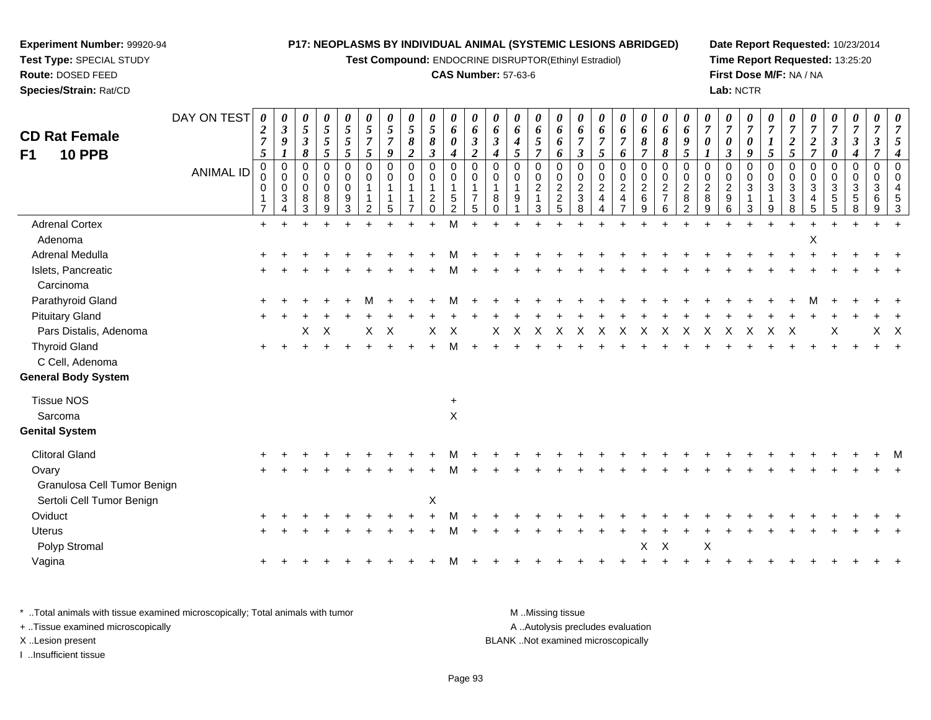**Experiment Number:** 99920-94**Test Type:** SPECIAL STUDY

**Route:** DOSED FEED

**Species/Strain:** Rat/CD

**Test Compound:** ENDOCRINE DISRUPTOR(Ethinyl Estradiol)

# **CAS Number:** 57-63-6

**Date Report Requested:** 10/23/2014**Time Report Requested:** 13:25:20**First Dose M/F:** NA / NA**Lab:** NCTR

| <b>CD Rat Female</b><br><b>10 PPB</b><br>F <sub>1</sub>  | DAY ON TEST<br><b>ANIMAL ID</b> | $\boldsymbol{\theta}$<br>$\boldsymbol{2}$<br>$\overline{7}$<br>5<br>$\mathbf 0$<br>$\Omega$<br>$\mathbf 0$<br>$\overline{7}$ | 0<br>$\boldsymbol{\beta}$<br>9<br>1<br>$\mathbf 0$<br>$\mathbf 0$<br>$\mathbf 0$<br>3<br>$\overline{A}$ | 0<br>5<br>$\boldsymbol{\beta}$<br>8<br>$\mathbf 0$<br>$\Omega$<br>0<br>8<br>3 | 0<br>$\mathfrak{s}$<br>$\mathfrak{s}$<br>5<br>0<br>0<br>$\mathsf{O}\xspace$<br>8<br>9 | $\pmb{\theta}$<br>$\sqrt{5}$<br>$\sqrt{5}$<br>5<br>$\mathbf 0$<br>$\mathbf 0$<br>$\mathbf 0$<br>9<br>3 | 0<br>5<br>$\overline{7}$<br>$\mathfrak{s}$<br>$\mathbf 0$<br>$\Omega$<br>$\mathbf{1}$<br>$\overline{2}$ | 0<br>$\mathfrak{s}$<br>$\overline{7}$<br>9<br>$\mathbf 0$<br>$\Omega$<br>1<br>5 | 0<br>5<br>8<br>$\overline{\mathbf{c}}$<br>$\mathbf 0$<br>$\mathbf 0$<br>$\mathbf{1}$ | 0<br>$\mathfrak{S}$<br>$\pmb{8}$<br>$\mathfrak{z}$<br>$\pmb{0}$<br>0<br>$\mathbf{1}$<br>$\overline{2}$<br>$\Omega$ | $\pmb{\theta}$<br>6<br>$\pmb{\theta}$<br>$\boldsymbol{4}$<br>$\mathbf 0$<br>$\pmb{0}$<br>$\mathbf{1}$<br>$\sqrt{5}$<br>$\overline{2}$ | 0<br>6<br>$\boldsymbol{\beta}$<br>$\boldsymbol{2}$<br>$\mathbf 0$<br>$\Omega$<br>$\overline{1}$<br>$\overline{7}$<br>5 | $\boldsymbol{\theta}$<br>6<br>$\boldsymbol{\beta}$<br>$\boldsymbol{4}$<br>$\mathbf 0$<br>$\Omega$<br>1<br>8<br>∩ | $\pmb{\theta}$<br>6<br>$\boldsymbol{4}$<br>5<br>$\mathbf 0$<br>0<br>$\mathbf{1}$<br>9 | 0<br>6<br>5<br>$\overline{7}$<br>$\mathbf 0$<br>$\mathbf 0$<br>$\overline{2}$<br>$\mathbf{1}$<br>3 | 0<br>6<br>6<br>6<br>0<br>0<br>$\overline{c}$<br>$\overline{a}$<br>5 | 0<br>6<br>$\overline{7}$<br>$\mathfrak{z}$<br>$\mathbf 0$<br>$\pmb{0}$<br>$\boldsymbol{2}$<br>$\mathsf 3$<br>8 | $\pmb{\theta}$<br>6<br>$\overline{7}$<br>$\sqrt{5}$<br>$\mathsf 0$<br>$\pmb{0}$<br>$\overline{2}$<br>$\overline{4}$<br>$\Delta$ | $\pmb{\theta}$<br>6<br>$\overline{7}$<br>6<br>$\pmb{0}$<br>$\pmb{0}$<br>$\overline{2}$<br>$\overline{4}$<br>$\overline{7}$ | $\pmb{\theta}$<br>$\boldsymbol{6}$<br>$\pmb{8}$<br>$\overline{7}$<br>$\pmb{0}$<br>$\mathbf 0$<br>$\overline{2}$<br>$\,6\,$<br>$9\,$ | 0<br>6<br>$\pmb{8}$<br>8<br>$\mathbf 0$<br>$\mathbf 0$<br>$\overline{2}$<br>$\overline{7}$<br>6 | 0<br>6<br>$\pmb{9}$<br>$5\overline{)}$<br>$\mathbf 0$<br>$\mathbf 0$<br>$\overline{2}$<br>$\bf 8$<br>$\overline{2}$ | 0<br>$\overline{7}$<br>$\pmb{\theta}$<br>$\mathbf 0$<br>0<br>$\overline{c}$<br>8<br>9 | 0<br>$\boldsymbol{7}$<br>0<br>$\mathfrak{z}$<br>0<br>0<br>$\overline{2}$<br>$\boldsymbol{9}$<br>6 | 0<br>$\overline{7}$<br>$\boldsymbol{\theta}$<br>9<br>$\mathbf 0$<br>$\Omega$<br>$\mathbf{3}$<br>$\mathbf 1$<br>3 | 0<br>$\overline{7}$<br>1<br>5<br>$\mathbf 0$<br>$\Omega$<br>3<br>1<br>9 | 7<br>$\boldsymbol{2}$<br>5<br>$\mathbf 0$<br>$\Omega$<br>$\mathbf{3}$<br>3<br>8 | 0<br>$\overline{7}$<br>$\boldsymbol{2}$<br>$\overline{7}$<br>0<br>0<br>3<br>4<br>5 | 0<br>$\overline{7}$<br>$\mathfrak{z}$<br>0<br>$\mathbf 0$<br>$\mathbf 0$<br>$\mathbf{3}$<br>5<br>5 | 0<br>$\overline{7}$<br>$\boldsymbol{\beta}$<br>$\boldsymbol{4}$<br>$\pmb{0}$<br>$\mathbf 0$<br>$\mathbf{3}$<br>$\sqrt{5}$<br>8 | 0<br>$\overline{7}$<br>$\boldsymbol{\beta}$<br>7<br>$\mathbf 0$<br>$\mathbf 0$<br>3<br>6<br>9 | 0<br>$\overline{7}$<br>5<br>$\boldsymbol{4}$<br>$\mathbf 0$<br>$\Omega$<br>$\overline{4}$ |
|----------------------------------------------------------|---------------------------------|------------------------------------------------------------------------------------------------------------------------------|---------------------------------------------------------------------------------------------------------|-------------------------------------------------------------------------------|---------------------------------------------------------------------------------------|--------------------------------------------------------------------------------------------------------|---------------------------------------------------------------------------------------------------------|---------------------------------------------------------------------------------|--------------------------------------------------------------------------------------|--------------------------------------------------------------------------------------------------------------------|---------------------------------------------------------------------------------------------------------------------------------------|------------------------------------------------------------------------------------------------------------------------|------------------------------------------------------------------------------------------------------------------|---------------------------------------------------------------------------------------|----------------------------------------------------------------------------------------------------|---------------------------------------------------------------------|----------------------------------------------------------------------------------------------------------------|---------------------------------------------------------------------------------------------------------------------------------|----------------------------------------------------------------------------------------------------------------------------|-------------------------------------------------------------------------------------------------------------------------------------|-------------------------------------------------------------------------------------------------|---------------------------------------------------------------------------------------------------------------------|---------------------------------------------------------------------------------------|---------------------------------------------------------------------------------------------------|------------------------------------------------------------------------------------------------------------------|-------------------------------------------------------------------------|---------------------------------------------------------------------------------|------------------------------------------------------------------------------------|----------------------------------------------------------------------------------------------------|--------------------------------------------------------------------------------------------------------------------------------|-----------------------------------------------------------------------------------------------|-------------------------------------------------------------------------------------------|
| <b>Adrenal Cortex</b>                                    |                                 | $\ddot{}$                                                                                                                    |                                                                                                         |                                                                               |                                                                                       |                                                                                                        |                                                                                                         |                                                                                 |                                                                                      |                                                                                                                    | M                                                                                                                                     |                                                                                                                        |                                                                                                                  |                                                                                       |                                                                                                    |                                                                     |                                                                                                                |                                                                                                                                 |                                                                                                                            |                                                                                                                                     |                                                                                                 |                                                                                                                     |                                                                                       |                                                                                                   |                                                                                                                  |                                                                         |                                                                                 |                                                                                    |                                                                                                    |                                                                                                                                |                                                                                               |                                                                                           |
| Adenoma                                                  |                                 |                                                                                                                              |                                                                                                         |                                                                               |                                                                                       |                                                                                                        |                                                                                                         |                                                                                 |                                                                                      |                                                                                                                    |                                                                                                                                       |                                                                                                                        |                                                                                                                  |                                                                                       |                                                                                                    |                                                                     |                                                                                                                |                                                                                                                                 |                                                                                                                            |                                                                                                                                     |                                                                                                 |                                                                                                                     |                                                                                       |                                                                                                   |                                                                                                                  |                                                                         |                                                                                 | X                                                                                  |                                                                                                    |                                                                                                                                |                                                                                               |                                                                                           |
| Adrenal Medulla                                          |                                 |                                                                                                                              |                                                                                                         |                                                                               |                                                                                       |                                                                                                        |                                                                                                         |                                                                                 |                                                                                      |                                                                                                                    |                                                                                                                                       |                                                                                                                        |                                                                                                                  |                                                                                       |                                                                                                    |                                                                     |                                                                                                                |                                                                                                                                 |                                                                                                                            |                                                                                                                                     |                                                                                                 |                                                                                                                     |                                                                                       |                                                                                                   |                                                                                                                  |                                                                         |                                                                                 |                                                                                    |                                                                                                    |                                                                                                                                |                                                                                               |                                                                                           |
| Islets, Pancreatic<br>Carcinoma                          |                                 |                                                                                                                              |                                                                                                         |                                                                               |                                                                                       |                                                                                                        |                                                                                                         |                                                                                 |                                                                                      |                                                                                                                    |                                                                                                                                       |                                                                                                                        |                                                                                                                  |                                                                                       |                                                                                                    |                                                                     |                                                                                                                |                                                                                                                                 |                                                                                                                            |                                                                                                                                     |                                                                                                 |                                                                                                                     |                                                                                       |                                                                                                   |                                                                                                                  |                                                                         |                                                                                 |                                                                                    |                                                                                                    |                                                                                                                                |                                                                                               |                                                                                           |
| Parathyroid Gland                                        |                                 |                                                                                                                              |                                                                                                         |                                                                               |                                                                                       |                                                                                                        |                                                                                                         |                                                                                 |                                                                                      |                                                                                                                    | м                                                                                                                                     |                                                                                                                        |                                                                                                                  |                                                                                       |                                                                                                    |                                                                     |                                                                                                                |                                                                                                                                 |                                                                                                                            |                                                                                                                                     |                                                                                                 |                                                                                                                     |                                                                                       |                                                                                                   |                                                                                                                  |                                                                         |                                                                                 |                                                                                    |                                                                                                    |                                                                                                                                |                                                                                               |                                                                                           |
| <b>Pituitary Gland</b>                                   |                                 |                                                                                                                              |                                                                                                         |                                                                               |                                                                                       |                                                                                                        |                                                                                                         |                                                                                 |                                                                                      |                                                                                                                    |                                                                                                                                       |                                                                                                                        |                                                                                                                  |                                                                                       |                                                                                                    |                                                                     |                                                                                                                |                                                                                                                                 |                                                                                                                            |                                                                                                                                     |                                                                                                 |                                                                                                                     |                                                                                       |                                                                                                   |                                                                                                                  |                                                                         |                                                                                 |                                                                                    |                                                                                                    |                                                                                                                                |                                                                                               |                                                                                           |
| Pars Distalis, Adenoma                                   |                                 |                                                                                                                              |                                                                                                         | X                                                                             | X                                                                                     |                                                                                                        | X                                                                                                       | X                                                                               |                                                                                      | X                                                                                                                  | X                                                                                                                                     |                                                                                                                        | X                                                                                                                | х                                                                                     | Х                                                                                                  | Х                                                                   | Х                                                                                                              | Х                                                                                                                               | Χ                                                                                                                          | Χ                                                                                                                                   | Х                                                                                               | x                                                                                                                   | Х                                                                                     | х                                                                                                 | X                                                                                                                | X                                                                       |                                                                                 |                                                                                    | Х                                                                                                  |                                                                                                                                |                                                                                               | $X \times$                                                                                |
| <b>Thyroid Gland</b>                                     |                                 | $\ddot{}$                                                                                                                    |                                                                                                         |                                                                               |                                                                                       |                                                                                                        |                                                                                                         |                                                                                 |                                                                                      |                                                                                                                    | M                                                                                                                                     |                                                                                                                        |                                                                                                                  |                                                                                       |                                                                                                    |                                                                     |                                                                                                                |                                                                                                                                 |                                                                                                                            |                                                                                                                                     |                                                                                                 |                                                                                                                     |                                                                                       |                                                                                                   |                                                                                                                  |                                                                         |                                                                                 |                                                                                    |                                                                                                    |                                                                                                                                |                                                                                               |                                                                                           |
| C Cell, Adenoma                                          |                                 |                                                                                                                              |                                                                                                         |                                                                               |                                                                                       |                                                                                                        |                                                                                                         |                                                                                 |                                                                                      |                                                                                                                    |                                                                                                                                       |                                                                                                                        |                                                                                                                  |                                                                                       |                                                                                                    |                                                                     |                                                                                                                |                                                                                                                                 |                                                                                                                            |                                                                                                                                     |                                                                                                 |                                                                                                                     |                                                                                       |                                                                                                   |                                                                                                                  |                                                                         |                                                                                 |                                                                                    |                                                                                                    |                                                                                                                                |                                                                                               |                                                                                           |
| <b>General Body System</b>                               |                                 |                                                                                                                              |                                                                                                         |                                                                               |                                                                                       |                                                                                                        |                                                                                                         |                                                                                 |                                                                                      |                                                                                                                    |                                                                                                                                       |                                                                                                                        |                                                                                                                  |                                                                                       |                                                                                                    |                                                                     |                                                                                                                |                                                                                                                                 |                                                                                                                            |                                                                                                                                     |                                                                                                 |                                                                                                                     |                                                                                       |                                                                                                   |                                                                                                                  |                                                                         |                                                                                 |                                                                                    |                                                                                                    |                                                                                                                                |                                                                                               |                                                                                           |
| <b>Tissue NOS</b>                                        |                                 |                                                                                                                              |                                                                                                         |                                                                               |                                                                                       |                                                                                                        |                                                                                                         |                                                                                 |                                                                                      |                                                                                                                    | $\ddot{}$                                                                                                                             |                                                                                                                        |                                                                                                                  |                                                                                       |                                                                                                    |                                                                     |                                                                                                                |                                                                                                                                 |                                                                                                                            |                                                                                                                                     |                                                                                                 |                                                                                                                     |                                                                                       |                                                                                                   |                                                                                                                  |                                                                         |                                                                                 |                                                                                    |                                                                                                    |                                                                                                                                |                                                                                               |                                                                                           |
| Sarcoma                                                  |                                 |                                                                                                                              |                                                                                                         |                                                                               |                                                                                       |                                                                                                        |                                                                                                         |                                                                                 |                                                                                      |                                                                                                                    | X                                                                                                                                     |                                                                                                                        |                                                                                                                  |                                                                                       |                                                                                                    |                                                                     |                                                                                                                |                                                                                                                                 |                                                                                                                            |                                                                                                                                     |                                                                                                 |                                                                                                                     |                                                                                       |                                                                                                   |                                                                                                                  |                                                                         |                                                                                 |                                                                                    |                                                                                                    |                                                                                                                                |                                                                                               |                                                                                           |
| <b>Genital System</b>                                    |                                 |                                                                                                                              |                                                                                                         |                                                                               |                                                                                       |                                                                                                        |                                                                                                         |                                                                                 |                                                                                      |                                                                                                                    |                                                                                                                                       |                                                                                                                        |                                                                                                                  |                                                                                       |                                                                                                    |                                                                     |                                                                                                                |                                                                                                                                 |                                                                                                                            |                                                                                                                                     |                                                                                                 |                                                                                                                     |                                                                                       |                                                                                                   |                                                                                                                  |                                                                         |                                                                                 |                                                                                    |                                                                                                    |                                                                                                                                |                                                                                               |                                                                                           |
| <b>Clitoral Gland</b>                                    |                                 |                                                                                                                              |                                                                                                         |                                                                               |                                                                                       |                                                                                                        |                                                                                                         |                                                                                 |                                                                                      |                                                                                                                    |                                                                                                                                       |                                                                                                                        |                                                                                                                  |                                                                                       |                                                                                                    |                                                                     |                                                                                                                |                                                                                                                                 |                                                                                                                            |                                                                                                                                     |                                                                                                 |                                                                                                                     |                                                                                       |                                                                                                   |                                                                                                                  |                                                                         |                                                                                 |                                                                                    |                                                                                                    |                                                                                                                                |                                                                                               |                                                                                           |
| Ovary                                                    |                                 |                                                                                                                              |                                                                                                         |                                                                               |                                                                                       |                                                                                                        |                                                                                                         |                                                                                 |                                                                                      |                                                                                                                    |                                                                                                                                       |                                                                                                                        |                                                                                                                  |                                                                                       |                                                                                                    |                                                                     |                                                                                                                |                                                                                                                                 |                                                                                                                            |                                                                                                                                     |                                                                                                 |                                                                                                                     |                                                                                       |                                                                                                   |                                                                                                                  |                                                                         |                                                                                 |                                                                                    |                                                                                                    |                                                                                                                                |                                                                                               |                                                                                           |
| Granulosa Cell Tumor Benign<br>Sertoli Cell Tumor Benign |                                 |                                                                                                                              |                                                                                                         |                                                                               |                                                                                       |                                                                                                        |                                                                                                         |                                                                                 |                                                                                      | X                                                                                                                  |                                                                                                                                       |                                                                                                                        |                                                                                                                  |                                                                                       |                                                                                                    |                                                                     |                                                                                                                |                                                                                                                                 |                                                                                                                            |                                                                                                                                     |                                                                                                 |                                                                                                                     |                                                                                       |                                                                                                   |                                                                                                                  |                                                                         |                                                                                 |                                                                                    |                                                                                                    |                                                                                                                                |                                                                                               |                                                                                           |
| Oviduct                                                  |                                 |                                                                                                                              |                                                                                                         |                                                                               |                                                                                       |                                                                                                        |                                                                                                         |                                                                                 |                                                                                      |                                                                                                                    |                                                                                                                                       |                                                                                                                        |                                                                                                                  |                                                                                       |                                                                                                    |                                                                     |                                                                                                                |                                                                                                                                 |                                                                                                                            |                                                                                                                                     |                                                                                                 |                                                                                                                     |                                                                                       |                                                                                                   |                                                                                                                  |                                                                         |                                                                                 |                                                                                    |                                                                                                    |                                                                                                                                |                                                                                               |                                                                                           |
| Uterus                                                   |                                 |                                                                                                                              |                                                                                                         |                                                                               |                                                                                       |                                                                                                        |                                                                                                         |                                                                                 |                                                                                      |                                                                                                                    |                                                                                                                                       |                                                                                                                        |                                                                                                                  |                                                                                       |                                                                                                    |                                                                     |                                                                                                                |                                                                                                                                 |                                                                                                                            |                                                                                                                                     |                                                                                                 |                                                                                                                     |                                                                                       |                                                                                                   |                                                                                                                  |                                                                         |                                                                                 |                                                                                    |                                                                                                    |                                                                                                                                |                                                                                               |                                                                                           |
| Polyp Stromal                                            |                                 |                                                                                                                              |                                                                                                         |                                                                               |                                                                                       |                                                                                                        |                                                                                                         |                                                                                 |                                                                                      |                                                                                                                    |                                                                                                                                       |                                                                                                                        |                                                                                                                  |                                                                                       |                                                                                                    |                                                                     |                                                                                                                |                                                                                                                                 |                                                                                                                            | $\mathsf{X}$                                                                                                                        | $\boldsymbol{\mathsf{X}}$                                                                       |                                                                                                                     | $\sf X$                                                                               |                                                                                                   |                                                                                                                  |                                                                         |                                                                                 |                                                                                    |                                                                                                    |                                                                                                                                |                                                                                               |                                                                                           |
| Vagina                                                   |                                 |                                                                                                                              |                                                                                                         |                                                                               |                                                                                       |                                                                                                        |                                                                                                         |                                                                                 |                                                                                      |                                                                                                                    |                                                                                                                                       |                                                                                                                        |                                                                                                                  |                                                                                       |                                                                                                    |                                                                     |                                                                                                                |                                                                                                                                 |                                                                                                                            |                                                                                                                                     |                                                                                                 |                                                                                                                     |                                                                                       |                                                                                                   |                                                                                                                  |                                                                         |                                                                                 |                                                                                    |                                                                                                    |                                                                                                                                |                                                                                               |                                                                                           |
|                                                          |                                 |                                                                                                                              |                                                                                                         |                                                                               |                                                                                       |                                                                                                        |                                                                                                         |                                                                                 |                                                                                      |                                                                                                                    |                                                                                                                                       |                                                                                                                        |                                                                                                                  |                                                                                       |                                                                                                    |                                                                     |                                                                                                                |                                                                                                                                 |                                                                                                                            |                                                                                                                                     |                                                                                                 |                                                                                                                     |                                                                                       |                                                                                                   |                                                                                                                  |                                                                         |                                                                                 |                                                                                    |                                                                                                    |                                                                                                                                |                                                                                               |                                                                                           |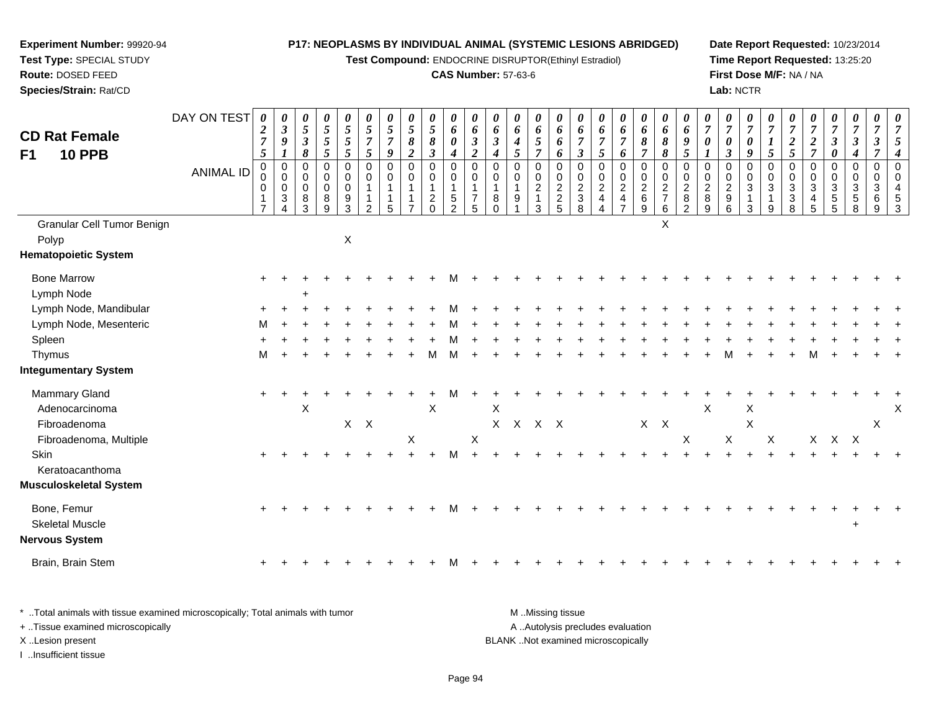**Test Compound:** ENDOCRINE DISRUPTOR(Ethinyl Estradiol)

# **CAS Number:** 57-63-6

**Date Report Requested:** 10/23/2014 **Time Report Requested:** 13:25:20**First Dose M/F:** NA / NA**Lab:** NCTR

| <b>CD Rat Female</b><br><b>10 PPB</b><br>F <sub>1</sub>        | DAY ON TEST      | 0<br>$\boldsymbol{2}$<br>$\overline{7}$<br>5 | 0<br>$\mathfrak{z}$<br>$\boldsymbol{9}$<br>$\boldsymbol{l}$               | 0<br>$\overline{5}$<br>$\boldsymbol{\beta}$<br>8 | 0<br>$\mathfrak{s}$<br>$\sqrt{5}$<br>$\sqrt{5}$ | 0<br>$\mathfrak{s}$<br>$\sqrt{5}$<br>$\mathfrak{s}$ | 0<br>5<br>$\overline{7}$<br>$\sqrt{5}$                           | 0<br>$\overline{5}$<br>$\overline{7}$<br>9             | 0<br>$\overline{5}$<br>$\pmb{8}$<br>$\boldsymbol{2}$   | 0<br>5<br>$\pmb{8}$<br>$\boldsymbol{\beta}$                              | 0<br>6<br>$\boldsymbol{\theta}$<br>$\boldsymbol{4}$              | 0<br>6<br>$\boldsymbol{\beta}$<br>$\overline{2}$                  | 0<br>6<br>$\mathfrak{z}$<br>4               | 0<br>6<br>$\boldsymbol{4}$<br>$\mathfrak{s}$      | 0<br>6<br>$\sqrt{5}$<br>$\overline{7}$                        | 0<br>6<br>6<br>6                            | 0<br>6<br>$\boldsymbol{7}$<br>$\boldsymbol{\beta}$                  | 0<br>6<br>$\overline{7}$<br>5                        | 0<br>6<br>$\boldsymbol{7}$<br>6                               | 0<br>6<br>$\pmb{8}$<br>$\overline{7}$          | 0<br>6<br>$\pmb{8}$<br>$\pmb{8}$                | 0<br>6<br>9<br>$\mathfrak{s}$                                            | 0<br>$\overline{7}$<br>$\boldsymbol{\theta}$ | 0<br>$\overline{7}$<br>$\boldsymbol{\theta}$<br>$\mathfrak{z}$      | $\theta$<br>$\overline{7}$<br>0<br>9                                   | 0<br>$\overline{7}$<br>$\boldsymbol{l}$<br>$\sqrt{5}$ | 0<br>$\overline{7}$<br>$\boldsymbol{2}$<br>$\mathfrak{s}$     | $\boldsymbol{\theta}$<br>$\boldsymbol{7}$<br>$\boldsymbol{2}$<br>$\overline{7}$ | $\theta$<br>$\overline{7}$<br>$\mathfrak{z}$<br>$\pmb{\theta}$    | 0<br>$\overline{7}$<br>$\boldsymbol{\beta}$<br>4 | 0<br>$\overline{7}$<br>$\boldsymbol{\beta}$<br>$\overline{7}$ | 0<br>$\overline{7}$<br>5<br>$\overline{4}$             |
|----------------------------------------------------------------|------------------|----------------------------------------------|---------------------------------------------------------------------------|--------------------------------------------------|-------------------------------------------------|-----------------------------------------------------|------------------------------------------------------------------|--------------------------------------------------------|--------------------------------------------------------|--------------------------------------------------------------------------|------------------------------------------------------------------|-------------------------------------------------------------------|---------------------------------------------|---------------------------------------------------|---------------------------------------------------------------|---------------------------------------------|---------------------------------------------------------------------|------------------------------------------------------|---------------------------------------------------------------|------------------------------------------------|-------------------------------------------------|--------------------------------------------------------------------------|----------------------------------------------|---------------------------------------------------------------------|------------------------------------------------------------------------|-------------------------------------------------------|---------------------------------------------------------------|---------------------------------------------------------------------------------|-------------------------------------------------------------------|--------------------------------------------------|---------------------------------------------------------------|--------------------------------------------------------|
|                                                                | <b>ANIMAL ID</b> | 0<br>0<br>$\Omega$<br>$\overline{7}$         | $\mathbf 0$<br>$\pmb{0}$<br>$\mathbf 0$<br>$\mathbf{3}$<br>$\overline{4}$ | 0<br>0<br>$\mathbf 0$<br>8<br>3                  | 0<br>0<br>$\mathbf 0$<br>$\bf 8$<br>9           | $\mathbf 0$<br>$\pmb{0}$<br>$\pmb{0}$<br>9<br>3     | $\mathbf 0$<br>0<br>$\mathbf 1$<br>$\mathbf 1$<br>$\overline{2}$ | $\mathbf 0$<br>$\mathbf 0$<br>$\overline{1}$<br>1<br>5 | $\mathbf 0$<br>$\mathbf 0$<br>1<br>1<br>$\overline{7}$ | $\mathbf 0$<br>$\mathbf 0$<br>$\mathbf{1}$<br>$\overline{c}$<br>$\Omega$ | $\mathbf 0$<br>0<br>$\mathbf{1}$<br>$\sqrt{5}$<br>$\overline{2}$ | $\mathbf 0$<br>$\mathbf 0$<br>$\mathbf{1}$<br>$\overline{7}$<br>5 | $\mathbf 0$<br>$\mathbf 0$<br>8<br>$\Omega$ | $\mathbf 0$<br>$\mathbf 0$<br>$\overline{1}$<br>9 | $\mathbf 0$<br>$\mathbf 0$<br>$\sqrt{2}$<br>$\mathbf{1}$<br>3 | $\mathbf 0$<br>$\mathbf 0$<br>$\frac{2}{2}$ | $\mathbf 0$<br>$\begin{smallmatrix} 0\\2\\3 \end{smallmatrix}$<br>8 | $\mathbf 0$<br>0<br>$\overline{c}$<br>$\overline{4}$ | $\mathbf 0$<br>$\mathbf 0$<br>$\frac{2}{4}$<br>$\overline{7}$ | $\mathbf 0$<br>$\pmb{0}$<br>$\frac{2}{6}$<br>9 | 0<br>0<br>$\overline{2}$<br>$\overline{7}$<br>6 | $\mathbf 0$<br>$\mathbf 0$<br>$\overline{2}$<br>$\bf 8$<br>$\mathcal{P}$ | 0<br>0<br>$\overline{c}$<br>8<br>9           | $\mathbf 0$<br>$\begin{smallmatrix} 0\\2\\9 \end{smallmatrix}$<br>6 | $\mathbf 0$<br>$\pmb{0}$<br>$\sqrt{3}$<br>$\mathbf{1}$<br>$\mathbf{3}$ | $\mathbf 0$<br>0<br>$\mathbf{3}$<br>$\mathbf{1}$<br>9 | $\mathbf 0$<br>$\mathbf 0$<br>$\sqrt{3}$<br>$\mathbf{3}$<br>8 | $\pmb{0}$<br>$\mathbf 0$<br>$\sqrt{3}$<br>$\overline{4}$<br>$\sqrt{5}$          | $\mathbf 0$<br>$\mathbf 0$<br>$\ensuremath{\mathsf{3}}$<br>5<br>5 | $\mathbf 0$<br>0<br>3<br>$\sqrt{5}$<br>8         | $\pmb{0}$<br>0<br>3<br>6<br>9                                 | $\mathbf 0$<br>$\mathbf 0$<br>$\overline{4}$<br>5<br>3 |
| <b>Granular Cell Tumor Benign</b><br>Polyp                     |                  |                                              |                                                                           |                                                  |                                                 | $\pmb{\times}$                                      |                                                                  |                                                        |                                                        |                                                                          |                                                                  |                                                                   |                                             |                                                   |                                                               |                                             |                                                                     |                                                      |                                                               |                                                | X                                               |                                                                          |                                              |                                                                     |                                                                        |                                                       |                                                               |                                                                                 |                                                                   |                                                  |                                                               |                                                        |
| <b>Hematopoietic System</b>                                    |                  |                                              |                                                                           |                                                  |                                                 |                                                     |                                                                  |                                                        |                                                        |                                                                          |                                                                  |                                                                   |                                             |                                                   |                                                               |                                             |                                                                     |                                                      |                                                               |                                                |                                                 |                                                                          |                                              |                                                                     |                                                                        |                                                       |                                                               |                                                                                 |                                                                   |                                                  |                                                               |                                                        |
| <b>Bone Marrow</b><br>Lymph Node                               |                  | $\ddot{}$                                    |                                                                           | ÷                                                |                                                 |                                                     |                                                                  |                                                        |                                                        |                                                                          |                                                                  |                                                                   |                                             |                                                   |                                                               |                                             |                                                                     |                                                      |                                                               |                                                |                                                 |                                                                          |                                              |                                                                     |                                                                        |                                                       |                                                               |                                                                                 |                                                                   |                                                  |                                                               |                                                        |
| Lymph Node, Mandibular                                         |                  |                                              |                                                                           |                                                  |                                                 |                                                     |                                                                  |                                                        |                                                        |                                                                          |                                                                  |                                                                   |                                             |                                                   |                                                               |                                             |                                                                     |                                                      |                                                               |                                                |                                                 |                                                                          |                                              |                                                                     |                                                                        |                                                       |                                                               |                                                                                 |                                                                   |                                                  |                                                               |                                                        |
| Lymph Node, Mesenteric                                         |                  | м                                            |                                                                           |                                                  |                                                 |                                                     |                                                                  |                                                        |                                                        |                                                                          |                                                                  |                                                                   |                                             |                                                   |                                                               |                                             |                                                                     |                                                      |                                                               |                                                |                                                 |                                                                          |                                              |                                                                     |                                                                        |                                                       |                                                               |                                                                                 |                                                                   |                                                  |                                                               |                                                        |
| Spleen                                                         |                  |                                              |                                                                           |                                                  |                                                 |                                                     |                                                                  |                                                        |                                                        |                                                                          |                                                                  |                                                                   |                                             |                                                   |                                                               |                                             |                                                                     |                                                      |                                                               |                                                |                                                 |                                                                          |                                              |                                                                     |                                                                        |                                                       |                                                               |                                                                                 |                                                                   |                                                  |                                                               |                                                        |
| Thymus                                                         |                  | M                                            |                                                                           |                                                  |                                                 |                                                     |                                                                  |                                                        |                                                        | м                                                                        |                                                                  |                                                                   |                                             |                                                   |                                                               |                                             |                                                                     |                                                      |                                                               |                                                |                                                 |                                                                          |                                              |                                                                     |                                                                        |                                                       |                                                               | М                                                                               |                                                                   |                                                  |                                                               |                                                        |
| <b>Integumentary System</b>                                    |                  |                                              |                                                                           |                                                  |                                                 |                                                     |                                                                  |                                                        |                                                        |                                                                          |                                                                  |                                                                   |                                             |                                                   |                                                               |                                             |                                                                     |                                                      |                                                               |                                                |                                                 |                                                                          |                                              |                                                                     |                                                                        |                                                       |                                                               |                                                                                 |                                                                   |                                                  |                                                               |                                                        |
| Mammary Gland<br>Adenocarcinoma<br>Fibroadenoma                |                  |                                              |                                                                           | X                                                |                                                 | $\mathsf{X}$                                        | $\mathsf{X}$                                                     |                                                        | X                                                      | $\times$                                                                 |                                                                  | $\boldsymbol{\mathsf{X}}$                                         | X                                           | X X X X                                           |                                                               |                                             |                                                                     |                                                      |                                                               | $X$ $X$                                        |                                                 |                                                                          | X                                            | $\sf X$                                                             | X<br>$\boldsymbol{\mathsf{X}}$                                         |                                                       |                                                               |                                                                                 |                                                                   |                                                  | X                                                             | X                                                      |
| Fibroadenoma, Multiple<br>Skin<br>Keratoacanthoma              |                  |                                              |                                                                           |                                                  |                                                 |                                                     |                                                                  |                                                        |                                                        |                                                                          |                                                                  |                                                                   |                                             |                                                   |                                                               |                                             |                                                                     |                                                      |                                                               |                                                |                                                 | X                                                                        |                                              |                                                                     |                                                                        | X                                                     |                                                               |                                                                                 | X X X                                                             |                                                  |                                                               |                                                        |
| <b>Musculoskeletal System</b>                                  |                  |                                              |                                                                           |                                                  |                                                 |                                                     |                                                                  |                                                        |                                                        |                                                                          |                                                                  |                                                                   |                                             |                                                   |                                                               |                                             |                                                                     |                                                      |                                                               |                                                |                                                 |                                                                          |                                              |                                                                     |                                                                        |                                                       |                                                               |                                                                                 |                                                                   |                                                  |                                                               |                                                        |
| Bone, Femur<br><b>Skeletal Muscle</b><br><b>Nervous System</b> |                  |                                              |                                                                           |                                                  |                                                 |                                                     |                                                                  |                                                        |                                                        |                                                                          |                                                                  |                                                                   |                                             |                                                   |                                                               |                                             |                                                                     |                                                      |                                                               |                                                |                                                 |                                                                          |                                              |                                                                     |                                                                        |                                                       |                                                               |                                                                                 |                                                                   | $\ddot{}$                                        |                                                               |                                                        |
| Brain, Brain Stem                                              |                  |                                              |                                                                           |                                                  |                                                 |                                                     |                                                                  |                                                        |                                                        |                                                                          |                                                                  |                                                                   |                                             |                                                   |                                                               |                                             |                                                                     |                                                      |                                                               |                                                |                                                 |                                                                          |                                              |                                                                     |                                                                        |                                                       |                                                               |                                                                                 |                                                                   |                                                  |                                                               |                                                        |
|                                                                |                  |                                              |                                                                           |                                                  |                                                 |                                                     |                                                                  |                                                        |                                                        |                                                                          |                                                                  |                                                                   |                                             |                                                   |                                                               |                                             |                                                                     |                                                      |                                                               |                                                |                                                 |                                                                          |                                              |                                                                     |                                                                        |                                                       |                                                               |                                                                                 |                                                                   |                                                  |                                                               |                                                        |

| * Total animals with tissue examined microscopically; Total animals with tumor | M Missing tissue                   |
|--------------------------------------------------------------------------------|------------------------------------|
| + Tissue examined microscopically                                              | A Autolysis precludes evaluation   |
| X Lesion present                                                               | BLANK Not examined microscopically |
| Insufficient tissue                                                            |                                    |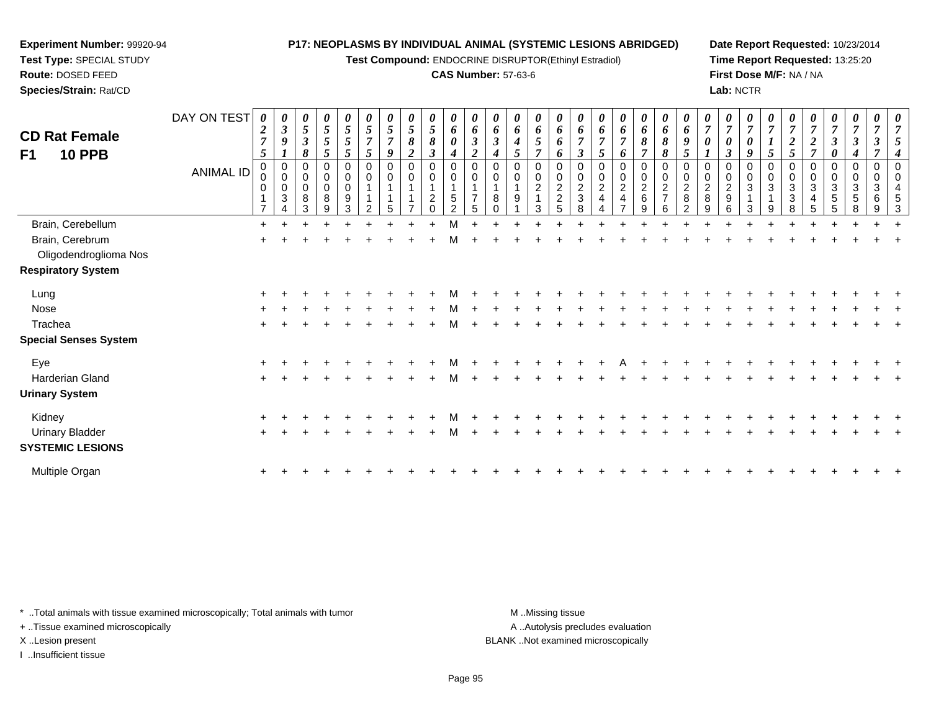**Test Compound:** ENDOCRINE DISRUPTOR(Ethinyl Estradiol)

#### **CAS Number:** 57-63-6

**Date Report Requested:** 10/23/2014**Time Report Requested:** 13:25:20**First Dose M/F:** NA / NA**Lab:** NCTR

| <b>CD Rat Female</b><br>F1<br><b>10 PPB</b> | DAY ON TEST<br><b>ANIMAL ID</b> | $\boldsymbol{\theta}$<br>$\boldsymbol{2}$<br>$\overline{7}$<br>5<br>$\pmb{0}$<br>0<br>$\overline{7}$ | 0<br>$\boldsymbol{\beta}$<br>9<br>0<br>$\pmb{0}$<br>0<br>$\mathfrak{Z}$<br>Δ | 0<br>$\mathfrak{s}$<br>$\mathfrak{z}$<br>8<br>0<br>$\pmb{0}$<br>0<br>8<br>3 | 0<br>$\sqrt{5}$<br>$\sqrt{5}$<br>$\overline{5}$<br>0<br>$\mathbf 0$<br>$\pmb{0}$<br>8<br>9 | 0<br>5<br>5<br>5<br>0<br>$\pmb{0}$<br>0<br>9<br>3 | 5<br>$\overline{7}$<br>5<br>$\mathbf 0$<br>$\mathbf 0$ | 0<br>5<br>$\overline{7}$<br>9<br>0<br>0<br>5 | 0<br>5<br>8<br>$\boldsymbol{2}$<br>0<br>$\mathbf 0$ | 0<br>$\sqrt{5}$<br>$\pmb{8}$<br>$\boldsymbol{\beta}$<br>$\pmb{0}$<br>$\pmb{0}$<br>$\overline{\mathbf{c}}$<br>$\Omega$ | 0<br>6<br>0<br>4<br>0<br>0<br>$5\phantom{.0}$<br>2 | 6<br>$\boldsymbol{2}$<br>$\mathbf 0$<br>0 | 0<br>6<br>3<br>0<br>8<br>$\Omega$ | 0<br>6<br>$\boldsymbol{4}$<br>5<br>$\mathbf 0$<br>0<br>9 | $\boldsymbol{\theta}$<br>6<br>5<br>$\overline{ }$<br>$\mathbf 0$<br>$\pmb{0}$<br>$\boldsymbol{2}$<br>3 | 6<br>6<br>0<br>0<br>$\pmb{0}$<br>$\frac{2}{2}$<br>5 | 6<br>$\overline{7}$<br>$\boldsymbol{\beta}$<br>$\mathbf 0$<br>$\pmb{0}$<br>$\frac{2}{3}$<br>8 | 0<br>6<br>$\overline{7}$<br>5<br>0<br>$\pmb{0}$<br>$\overline{c}$<br>$\overline{4}$ | 0<br>6<br>$\overline{7}$<br>6<br>$\pmb{0}$<br>$\pmb{0}$<br>$\overline{c}$<br>$\overline{\mathbf{4}}$ | 0<br>6<br>8<br>$\overline{ }$<br>0<br>0<br>$\frac{2}{6}$<br>9 | 0<br>6<br>8<br>8<br>0<br>$\pmb{0}$<br>$\frac{2}{7}$<br>6 | $\boldsymbol{\theta}$<br>6<br>9<br>5<br>$\mathbf 0$<br>$\mathbf 0$<br>$\frac{2}{8}$<br>$\mathcal{P}$ | 0<br>$\overline{7}$<br>0<br>0<br>$\pmb{0}$<br>$\frac{2}{8}$<br>9 | 0<br>$\overline{7}$<br>$\boldsymbol{\theta}$<br>$\boldsymbol{\beta}$<br>$\pmb{0}$<br>$\pmb{0}$<br>$\frac{2}{9}$<br>6 | 0<br>9<br>0<br>$\mathbf 0$<br>3<br>3 | 5<br>$\mathbf 0$<br>3<br>9 | 0<br>2<br>5<br>0<br>0<br>3<br>3<br>8 | 0<br>$\boldsymbol{7}$<br>$\boldsymbol{2}$<br>$\overline{\tau}$<br>0<br>$\pmb{0}$<br>3<br>$\overline{\mathbf{4}}$<br>$5\phantom{.0}$ | 0<br>$\overline{7}$<br>$\boldsymbol{\beta}$<br>$\boldsymbol{\theta}$<br>$\pmb{0}$<br>$\pmb{0}$<br>$\mathbf{3}$<br>$\overline{5}$<br>5 | 0<br>$\boldsymbol{\beta}$<br>4<br>$\pmb{0}$<br>$\mathbf 0$<br>3<br>$\sqrt{5}$<br>8 | 0<br>0<br>3<br>6<br>9 | 0<br>$\overline{7}$<br>5<br>4<br>$\mathbf 0$<br>0<br>5<br>3 |
|---------------------------------------------|---------------------------------|------------------------------------------------------------------------------------------------------|------------------------------------------------------------------------------|-----------------------------------------------------------------------------|--------------------------------------------------------------------------------------------|---------------------------------------------------|--------------------------------------------------------|----------------------------------------------|-----------------------------------------------------|-----------------------------------------------------------------------------------------------------------------------|----------------------------------------------------|-------------------------------------------|-----------------------------------|----------------------------------------------------------|--------------------------------------------------------------------------------------------------------|-----------------------------------------------------|-----------------------------------------------------------------------------------------------|-------------------------------------------------------------------------------------|------------------------------------------------------------------------------------------------------|---------------------------------------------------------------|----------------------------------------------------------|------------------------------------------------------------------------------------------------------|------------------------------------------------------------------|----------------------------------------------------------------------------------------------------------------------|--------------------------------------|----------------------------|--------------------------------------|-------------------------------------------------------------------------------------------------------------------------------------|---------------------------------------------------------------------------------------------------------------------------------------|------------------------------------------------------------------------------------|-----------------------|-------------------------------------------------------------|
| Brain, Cerebellum                           |                                 | $\ddot{}$                                                                                            |                                                                              |                                                                             |                                                                                            |                                                   |                                                        |                                              |                                                     |                                                                                                                       |                                                    |                                           |                                   |                                                          |                                                                                                        |                                                     |                                                                                               |                                                                                     |                                                                                                      |                                                               |                                                          |                                                                                                      |                                                                  |                                                                                                                      |                                      |                            |                                      |                                                                                                                                     |                                                                                                                                       |                                                                                    |                       |                                                             |
| Brain, Cerebrum<br>Oligodendroglioma Nos    |                                 |                                                                                                      |                                                                              |                                                                             |                                                                                            |                                                   |                                                        |                                              |                                                     |                                                                                                                       |                                                    |                                           |                                   |                                                          |                                                                                                        |                                                     |                                                                                               |                                                                                     |                                                                                                      |                                                               |                                                          |                                                                                                      |                                                                  |                                                                                                                      |                                      |                            |                                      |                                                                                                                                     |                                                                                                                                       |                                                                                    |                       |                                                             |
| <b>Respiratory System</b>                   |                                 |                                                                                                      |                                                                              |                                                                             |                                                                                            |                                                   |                                                        |                                              |                                                     |                                                                                                                       |                                                    |                                           |                                   |                                                          |                                                                                                        |                                                     |                                                                                               |                                                                                     |                                                                                                      |                                                               |                                                          |                                                                                                      |                                                                  |                                                                                                                      |                                      |                            |                                      |                                                                                                                                     |                                                                                                                                       |                                                                                    |                       |                                                             |
| Lung                                        |                                 |                                                                                                      |                                                                              |                                                                             |                                                                                            |                                                   |                                                        |                                              |                                                     |                                                                                                                       |                                                    |                                           |                                   |                                                          |                                                                                                        |                                                     |                                                                                               |                                                                                     |                                                                                                      |                                                               |                                                          |                                                                                                      |                                                                  |                                                                                                                      |                                      |                            |                                      |                                                                                                                                     |                                                                                                                                       |                                                                                    |                       |                                                             |
| Nose                                        |                                 |                                                                                                      |                                                                              |                                                                             |                                                                                            |                                                   |                                                        |                                              |                                                     |                                                                                                                       |                                                    |                                           |                                   |                                                          |                                                                                                        |                                                     |                                                                                               |                                                                                     |                                                                                                      |                                                               |                                                          |                                                                                                      |                                                                  |                                                                                                                      |                                      |                            |                                      |                                                                                                                                     |                                                                                                                                       |                                                                                    |                       |                                                             |
| Trachea                                     |                                 | $\ddot{}$                                                                                            |                                                                              |                                                                             |                                                                                            |                                                   |                                                        |                                              |                                                     |                                                                                                                       | м                                                  |                                           |                                   |                                                          |                                                                                                        |                                                     |                                                                                               |                                                                                     |                                                                                                      |                                                               |                                                          |                                                                                                      |                                                                  |                                                                                                                      |                                      |                            |                                      |                                                                                                                                     |                                                                                                                                       |                                                                                    |                       |                                                             |
| <b>Special Senses System</b>                |                                 |                                                                                                      |                                                                              |                                                                             |                                                                                            |                                                   |                                                        |                                              |                                                     |                                                                                                                       |                                                    |                                           |                                   |                                                          |                                                                                                        |                                                     |                                                                                               |                                                                                     |                                                                                                      |                                                               |                                                          |                                                                                                      |                                                                  |                                                                                                                      |                                      |                            |                                      |                                                                                                                                     |                                                                                                                                       |                                                                                    |                       |                                                             |
| Eye                                         |                                 |                                                                                                      |                                                                              |                                                                             |                                                                                            |                                                   |                                                        |                                              |                                                     |                                                                                                                       |                                                    |                                           |                                   |                                                          |                                                                                                        |                                                     |                                                                                               |                                                                                     |                                                                                                      |                                                               |                                                          |                                                                                                      |                                                                  |                                                                                                                      |                                      |                            |                                      |                                                                                                                                     |                                                                                                                                       |                                                                                    |                       |                                                             |
| Harderian Gland                             |                                 | $\pm$                                                                                                |                                                                              |                                                                             |                                                                                            |                                                   |                                                        |                                              |                                                     |                                                                                                                       |                                                    |                                           |                                   |                                                          |                                                                                                        |                                                     |                                                                                               |                                                                                     |                                                                                                      |                                                               |                                                          |                                                                                                      |                                                                  |                                                                                                                      |                                      |                            |                                      |                                                                                                                                     |                                                                                                                                       |                                                                                    |                       |                                                             |
| <b>Urinary System</b>                       |                                 |                                                                                                      |                                                                              |                                                                             |                                                                                            |                                                   |                                                        |                                              |                                                     |                                                                                                                       |                                                    |                                           |                                   |                                                          |                                                                                                        |                                                     |                                                                                               |                                                                                     |                                                                                                      |                                                               |                                                          |                                                                                                      |                                                                  |                                                                                                                      |                                      |                            |                                      |                                                                                                                                     |                                                                                                                                       |                                                                                    |                       |                                                             |
| Kidney                                      |                                 |                                                                                                      |                                                                              |                                                                             |                                                                                            |                                                   |                                                        |                                              |                                                     |                                                                                                                       |                                                    |                                           |                                   |                                                          |                                                                                                        |                                                     |                                                                                               |                                                                                     |                                                                                                      |                                                               |                                                          |                                                                                                      |                                                                  |                                                                                                                      |                                      |                            |                                      |                                                                                                                                     |                                                                                                                                       |                                                                                    |                       |                                                             |
| <b>Urinary Bladder</b>                      |                                 |                                                                                                      |                                                                              |                                                                             |                                                                                            |                                                   |                                                        |                                              |                                                     |                                                                                                                       |                                                    |                                           |                                   |                                                          |                                                                                                        |                                                     |                                                                                               |                                                                                     |                                                                                                      |                                                               |                                                          |                                                                                                      |                                                                  |                                                                                                                      |                                      |                            |                                      |                                                                                                                                     |                                                                                                                                       |                                                                                    |                       |                                                             |
| <b>SYSTEMIC LESIONS</b>                     |                                 |                                                                                                      |                                                                              |                                                                             |                                                                                            |                                                   |                                                        |                                              |                                                     |                                                                                                                       |                                                    |                                           |                                   |                                                          |                                                                                                        |                                                     |                                                                                               |                                                                                     |                                                                                                      |                                                               |                                                          |                                                                                                      |                                                                  |                                                                                                                      |                                      |                            |                                      |                                                                                                                                     |                                                                                                                                       |                                                                                    |                       |                                                             |
| Multiple Organ                              |                                 | $\ddot{}$                                                                                            |                                                                              |                                                                             |                                                                                            |                                                   |                                                        |                                              |                                                     |                                                                                                                       |                                                    |                                           |                                   |                                                          |                                                                                                        |                                                     |                                                                                               |                                                                                     |                                                                                                      |                                                               |                                                          |                                                                                                      |                                                                  |                                                                                                                      |                                      |                            |                                      |                                                                                                                                     |                                                                                                                                       |                                                                                    |                       |                                                             |

\* ..Total animals with tissue examined microscopically; Total animals with tumor **M** . Missing tissue M ..Missing tissue

+ ..Tissue examined microscopically

**Experiment Number:** 99920-94**Test Type:** SPECIAL STUDY**Route:** DOSED FEED**Species/Strain:** Rat/CD

I ..Insufficient tissue

A ..Autolysis precludes evaluation

X ..Lesion present BLANK ..Not examined microscopically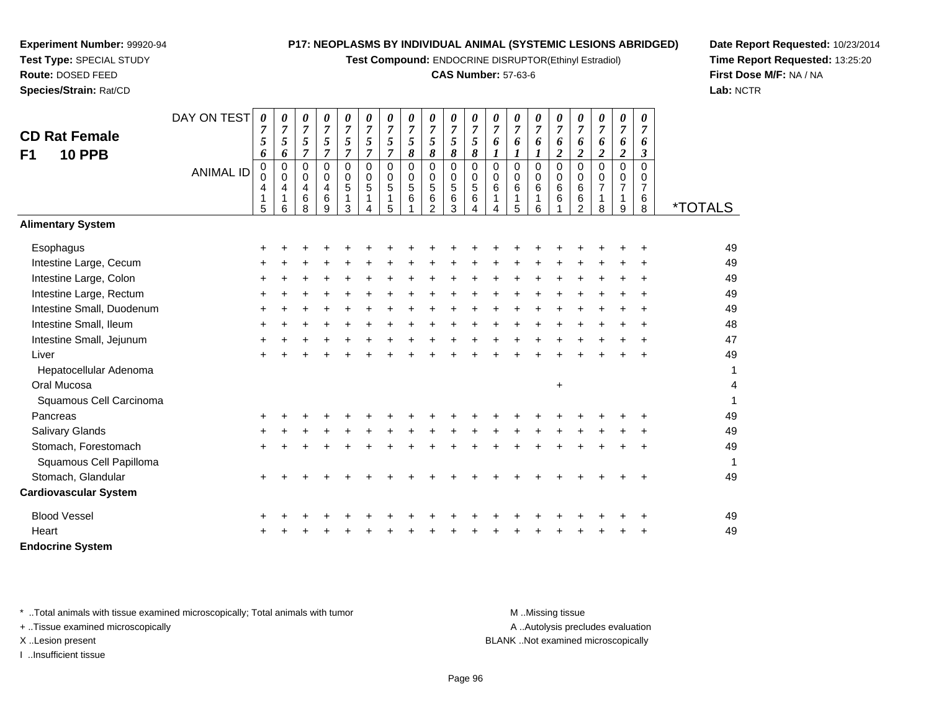**Test Compound:** ENDOCRINE DISRUPTOR(Ethinyl Estradiol)

#### **CAS Number:** 57-63-6

0<br>0<br>6<br>6

**Date Report Requested:** 10/23/2014**Time Report Requested:** 13:25:20**First Dose M/F:** NA / NA**Lab:** NCTR

|                                                                                | 5         | 6 | v<br>8 | v<br>9 | 3 | 4 | 5 | v<br>$\overline{2}$ | 3 | 4 | $\overline{\mathbf{4}}$ | 5 | 6 |                  | v<br>$\overline{2}$ | 8                                | 9 | 8         | <i><b>*TOTALS</b></i>    |
|--------------------------------------------------------------------------------|-----------|---|--------|--------|---|---|---|---------------------|---|---|-------------------------|---|---|------------------|---------------------|----------------------------------|---|-----------|--------------------------|
| <b>Alimentary System</b>                                                       |           |   |        |        |   |   |   |                     |   |   |                         |   |   |                  |                     |                                  |   |           |                          |
| Esophagus                                                                      | +         |   |        |        |   |   |   |                     |   |   |                         |   |   |                  |                     |                                  |   | +         | 49                       |
| Intestine Large, Cecum                                                         |           |   |        |        |   |   |   |                     |   |   |                         |   |   |                  |                     |                                  |   |           | 49                       |
| Intestine Large, Colon                                                         | +         |   |        |        |   |   |   |                     |   |   |                         |   |   |                  |                     |                                  |   |           | 49                       |
| Intestine Large, Rectum                                                        | $\ddot{}$ |   |        |        |   |   |   |                     |   |   |                         |   |   |                  |                     |                                  |   |           | 49                       |
| Intestine Small, Duodenum                                                      |           |   |        |        |   |   |   |                     |   |   |                         |   |   |                  |                     |                                  |   |           | 49                       |
| Intestine Small, Ileum                                                         | $\ddot{}$ |   |        |        |   |   |   |                     |   |   |                         |   |   |                  |                     |                                  |   |           | 48                       |
| Intestine Small, Jejunum                                                       | +         |   |        |        |   |   |   |                     |   |   |                         |   |   |                  |                     |                                  |   | ٠         | 47                       |
| Liver                                                                          | +         |   |        |        |   |   |   |                     |   |   |                         |   |   |                  |                     |                                  |   | $\ddot{}$ | 49                       |
| Hepatocellular Adenoma                                                         |           |   |        |        |   |   |   |                     |   |   |                         |   |   |                  |                     |                                  |   |           | $\mathbf 1$              |
| Oral Mucosa                                                                    |           |   |        |        |   |   |   |                     |   |   |                         |   |   | $\ddot{}$        |                     |                                  |   |           | $\overline{\mathcal{A}}$ |
| Squamous Cell Carcinoma                                                        |           |   |        |        |   |   |   |                     |   |   |                         |   |   |                  |                     |                                  |   |           | 1                        |
| Pancreas                                                                       | $\ddot{}$ |   |        |        |   |   |   |                     |   |   |                         |   |   |                  |                     |                                  |   |           | 49                       |
| <b>Salivary Glands</b>                                                         |           |   |        |        |   |   |   |                     |   |   |                         |   |   |                  |                     |                                  |   |           | 49                       |
| Stomach, Forestomach                                                           | ٠         |   |        |        |   |   |   |                     |   |   |                         |   |   |                  |                     |                                  |   | $\ddot{}$ | 49                       |
| Squamous Cell Papilloma                                                        |           |   |        |        |   |   |   |                     |   |   |                         |   |   |                  |                     |                                  |   |           | 1                        |
| Stomach, Glandular                                                             | +         |   |        |        |   |   |   |                     |   |   |                         |   |   |                  |                     |                                  |   | $\ddot{}$ | 49                       |
| <b>Cardiovascular System</b>                                                   |           |   |        |        |   |   |   |                     |   |   |                         |   |   |                  |                     |                                  |   |           |                          |
| <b>Blood Vessel</b>                                                            |           |   |        |        |   |   |   |                     |   |   |                         |   |   |                  |                     |                                  |   |           | 49                       |
| Heart                                                                          | $\pm$     |   |        |        |   |   |   |                     |   |   |                         |   |   |                  |                     |                                  |   |           | 49                       |
| <b>Endocrine System</b>                                                        |           |   |        |        |   |   |   |                     |   |   |                         |   |   |                  |                     |                                  |   |           |                          |
|                                                                                |           |   |        |        |   |   |   |                     |   |   |                         |   |   |                  |                     |                                  |   |           |                          |
| * Total animals with tissue examined microscopically; Total animals with tumor |           |   |        |        |   |   |   |                     |   |   |                         |   |   | M Missing tissue |                     |                                  |   |           |                          |
| + Tissue examined microscopically                                              |           |   |        |        |   |   |   |                     |   |   |                         |   |   |                  |                     | A Autolysis precludes evaluation |   |           |                          |

X ..Lesion present BLANK ..Not examined microscopically

I ..Insufficient tissue

**Experiment Number:** 99920-94**Test Type:** SPECIAL STUDY**Route:** DOSED FEED**Species/Strain:** Rat/CD

**CD Rat FemaleF1 10 PPB**

DAY ON TEST

*0 7 5*

*0*

*7 5 7*

*0*

*7 5 7*

*0 7 5*

ANIMAL ID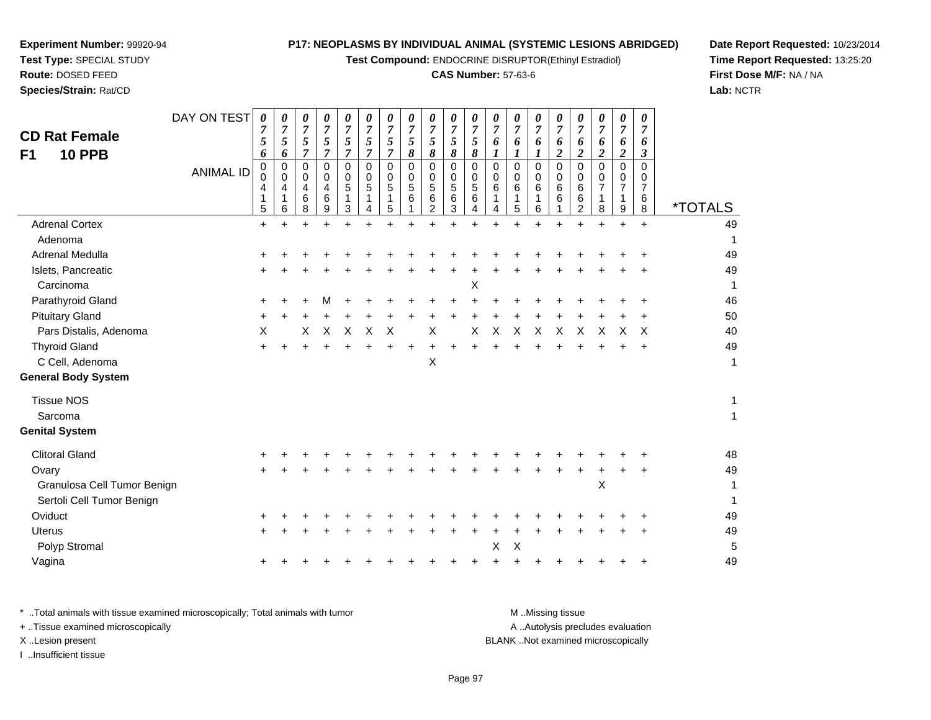**Test Compound:** ENDOCRINE DISRUPTOR(Ethinyl Estradiol)

#### **CAS Number:** 57-63-6

┯

**Date Report Requested:** 10/23/2014**Time Report Requested:** 13:25:20**First Dose M/F:** NA / NA**Lab:** NCTR

| <b>CD Rat Female</b><br><b>10 PPB</b><br>F <sub>1</sub> | DAY ON TEST<br><b>ANIMAL ID</b> | 0<br>7<br>5<br>6<br>0<br>0<br>4<br>$\mathbf{1}$<br>$\overline{5}$ | 0<br>7<br>5<br>6<br>$\mathbf 0$<br>0<br>4<br>1<br>6 | 0<br>7<br>5<br>$\overline{7}$<br>$\Omega$<br>0<br>$\overline{4}$<br>6<br>8 | 0<br>7<br>5<br>$\overline{7}$<br>$\Omega$<br>0<br>4<br>6<br>9 | 0<br>$\overline{7}$<br>5<br>$\overline{7}$<br>$\Omega$<br>0<br>5<br>1<br>3 | 0<br>$\overline{7}$<br>5<br>$\overline{7}$<br>$\Omega$<br>0<br>5<br>1<br>4 | 0<br>$\overline{7}$<br>$\sqrt{5}$<br>$\overline{7}$<br>$\Omega$<br>0<br>5<br>1<br>5 | 0<br>$\boldsymbol{7}$<br>5<br>8<br>$\mathbf 0$<br>0<br>5<br>6 | 0<br>$\boldsymbol{7}$<br>5<br>8<br>$\mathbf 0$<br>0<br>5<br>6<br>$\overline{2}$ | 0<br>$\boldsymbol{7}$<br>$\mathfrak{s}$<br>$\pmb{8}$<br>0<br>0<br>$\overline{5}$<br>6<br>3 | 0<br>$\overline{7}$<br>5<br>$\pmb{8}$<br>$\Omega$<br>0<br>5<br>6<br>4 | 0<br>$\overline{7}$<br>6<br>$\boldsymbol{l}$<br>$\Omega$<br>0<br>6<br>1<br>4 | 0<br>$\overline{7}$<br>6<br>$\boldsymbol{l}$<br>$\mathbf 0$<br>0<br>6<br>$\mathbf{1}$<br>5 | 0<br>7<br>6<br>1<br>$\Omega$<br>0<br>6<br>1<br>6 | 0<br>7<br>6<br>$\boldsymbol{2}$<br>$\Omega$<br>0<br>$\,6$<br>6 | 0<br>7<br>6<br>$\overline{2}$<br>$\Omega$<br>0<br>6<br>6<br>2 | 0<br>$\overline{7}$<br>6<br>$\boldsymbol{2}$<br>$\Omega$<br>0<br>$\overline{7}$<br>$\mathbf{1}$<br>8 | 0<br>$\overline{7}$<br>6<br>$\boldsymbol{2}$<br>$\mathbf 0$<br>0<br>$\overline{7}$<br>1<br>9 | 0<br>7<br>6<br>$\boldsymbol{\beta}$<br>$\Omega$<br>0<br>$\overline{7}$<br>6<br>8 | <i><b>*TOTALS</b></i> |
|---------------------------------------------------------|---------------------------------|-------------------------------------------------------------------|-----------------------------------------------------|----------------------------------------------------------------------------|---------------------------------------------------------------|----------------------------------------------------------------------------|----------------------------------------------------------------------------|-------------------------------------------------------------------------------------|---------------------------------------------------------------|---------------------------------------------------------------------------------|--------------------------------------------------------------------------------------------|-----------------------------------------------------------------------|------------------------------------------------------------------------------|--------------------------------------------------------------------------------------------|--------------------------------------------------|----------------------------------------------------------------|---------------------------------------------------------------|------------------------------------------------------------------------------------------------------|----------------------------------------------------------------------------------------------|----------------------------------------------------------------------------------|-----------------------|
| <b>Adrenal Cortex</b>                                   |                                 | $\ddot{}$                                                         | $\ddot{}$                                           | $\ddot{}$                                                                  |                                                               | +                                                                          |                                                                            | +                                                                                   |                                                               |                                                                                 | $\ddot{}$                                                                                  |                                                                       |                                                                              |                                                                                            | $\ddot{}$                                        |                                                                |                                                               | $\ddot{}$                                                                                            | $\ddot{}$                                                                                    | $\ddot{}$                                                                        | 49                    |
| Adenoma                                                 |                                 |                                                                   |                                                     |                                                                            |                                                               |                                                                            |                                                                            |                                                                                     |                                                               |                                                                                 |                                                                                            |                                                                       |                                                                              |                                                                                            |                                                  |                                                                |                                                               |                                                                                                      |                                                                                              |                                                                                  | $\mathbf 1$           |
| Adrenal Medulla                                         |                                 |                                                                   |                                                     |                                                                            |                                                               |                                                                            |                                                                            |                                                                                     |                                                               |                                                                                 |                                                                                            |                                                                       |                                                                              |                                                                                            |                                                  |                                                                |                                                               |                                                                                                      |                                                                                              |                                                                                  | 49                    |
| Islets, Pancreatic                                      |                                 |                                                                   |                                                     |                                                                            |                                                               |                                                                            |                                                                            |                                                                                     |                                                               |                                                                                 |                                                                                            |                                                                       |                                                                              |                                                                                            |                                                  |                                                                |                                                               |                                                                                                      |                                                                                              |                                                                                  | 49                    |
| Carcinoma                                               |                                 |                                                                   |                                                     |                                                                            |                                                               |                                                                            |                                                                            |                                                                                     |                                                               |                                                                                 |                                                                                            | X                                                                     |                                                                              |                                                                                            |                                                  |                                                                |                                                               |                                                                                                      |                                                                                              |                                                                                  | $\mathbf 1$           |
| Parathyroid Gland                                       |                                 |                                                                   |                                                     |                                                                            |                                                               |                                                                            |                                                                            |                                                                                     |                                                               |                                                                                 |                                                                                            |                                                                       |                                                                              |                                                                                            |                                                  |                                                                |                                                               |                                                                                                      |                                                                                              |                                                                                  | 46                    |
| <b>Pituitary Gland</b>                                  |                                 |                                                                   |                                                     |                                                                            |                                                               |                                                                            |                                                                            |                                                                                     |                                                               |                                                                                 |                                                                                            |                                                                       |                                                                              |                                                                                            |                                                  |                                                                |                                                               |                                                                                                      |                                                                                              |                                                                                  | 50                    |
| Pars Distalis, Adenoma                                  |                                 | X                                                                 |                                                     | Х                                                                          | X                                                             | X                                                                          | X                                                                          | Χ                                                                                   |                                                               | Х                                                                               |                                                                                            | X                                                                     | Х                                                                            | Х                                                                                          | Χ                                                | X                                                              | Х                                                             | Х                                                                                                    | х                                                                                            | $\times$                                                                         | 40                    |
| <b>Thyroid Gland</b>                                    |                                 |                                                                   |                                                     |                                                                            |                                                               |                                                                            |                                                                            |                                                                                     |                                                               |                                                                                 |                                                                                            |                                                                       |                                                                              |                                                                                            |                                                  |                                                                |                                                               |                                                                                                      |                                                                                              |                                                                                  | 49                    |
| C Cell, Adenoma                                         |                                 |                                                                   |                                                     |                                                                            |                                                               |                                                                            |                                                                            |                                                                                     |                                                               | X                                                                               |                                                                                            |                                                                       |                                                                              |                                                                                            |                                                  |                                                                |                                                               |                                                                                                      |                                                                                              |                                                                                  | $\mathbf 1$           |
| <b>General Body System</b>                              |                                 |                                                                   |                                                     |                                                                            |                                                               |                                                                            |                                                                            |                                                                                     |                                                               |                                                                                 |                                                                                            |                                                                       |                                                                              |                                                                                            |                                                  |                                                                |                                                               |                                                                                                      |                                                                                              |                                                                                  |                       |
| <b>Tissue NOS</b>                                       |                                 |                                                                   |                                                     |                                                                            |                                                               |                                                                            |                                                                            |                                                                                     |                                                               |                                                                                 |                                                                                            |                                                                       |                                                                              |                                                                                            |                                                  |                                                                |                                                               |                                                                                                      |                                                                                              |                                                                                  | $\mathbf{1}$          |
| Sarcoma                                                 |                                 |                                                                   |                                                     |                                                                            |                                                               |                                                                            |                                                                            |                                                                                     |                                                               |                                                                                 |                                                                                            |                                                                       |                                                                              |                                                                                            |                                                  |                                                                |                                                               |                                                                                                      |                                                                                              |                                                                                  | $\mathbf{1}$          |
| <b>Genital System</b>                                   |                                 |                                                                   |                                                     |                                                                            |                                                               |                                                                            |                                                                            |                                                                                     |                                                               |                                                                                 |                                                                                            |                                                                       |                                                                              |                                                                                            |                                                  |                                                                |                                                               |                                                                                                      |                                                                                              |                                                                                  |                       |
| <b>Clitoral Gland</b>                                   |                                 |                                                                   |                                                     |                                                                            |                                                               |                                                                            |                                                                            |                                                                                     |                                                               |                                                                                 |                                                                                            |                                                                       |                                                                              |                                                                                            |                                                  |                                                                |                                                               |                                                                                                      |                                                                                              |                                                                                  | 48                    |
| Ovary                                                   |                                 |                                                                   |                                                     |                                                                            |                                                               |                                                                            |                                                                            |                                                                                     |                                                               |                                                                                 |                                                                                            |                                                                       |                                                                              |                                                                                            |                                                  |                                                                |                                                               |                                                                                                      |                                                                                              |                                                                                  | 49                    |
| Granulosa Cell Tumor Benign                             |                                 |                                                                   |                                                     |                                                                            |                                                               |                                                                            |                                                                            |                                                                                     |                                                               |                                                                                 |                                                                                            |                                                                       |                                                                              |                                                                                            |                                                  |                                                                |                                                               | X                                                                                                    |                                                                                              |                                                                                  | 1                     |
| Sertoli Cell Tumor Benign                               |                                 |                                                                   |                                                     |                                                                            |                                                               |                                                                            |                                                                            |                                                                                     |                                                               |                                                                                 |                                                                                            |                                                                       |                                                                              |                                                                                            |                                                  |                                                                |                                                               |                                                                                                      |                                                                                              |                                                                                  | 1                     |
| Oviduct                                                 |                                 |                                                                   |                                                     |                                                                            |                                                               |                                                                            |                                                                            |                                                                                     |                                                               |                                                                                 |                                                                                            |                                                                       |                                                                              |                                                                                            |                                                  |                                                                |                                                               |                                                                                                      |                                                                                              |                                                                                  | 49                    |
| <b>Uterus</b>                                           |                                 | +                                                                 |                                                     |                                                                            |                                                               |                                                                            |                                                                            |                                                                                     |                                                               |                                                                                 |                                                                                            |                                                                       |                                                                              |                                                                                            |                                                  |                                                                |                                                               |                                                                                                      |                                                                                              |                                                                                  | 49                    |
| Polyp Stromal                                           |                                 |                                                                   |                                                     |                                                                            |                                                               |                                                                            |                                                                            |                                                                                     |                                                               |                                                                                 |                                                                                            |                                                                       | X                                                                            | Χ                                                                                          |                                                  |                                                                |                                                               |                                                                                                      |                                                                                              |                                                                                  | 5                     |
| Vagina                                                  |                                 |                                                                   |                                                     |                                                                            |                                                               |                                                                            |                                                                            |                                                                                     |                                                               |                                                                                 |                                                                                            |                                                                       |                                                                              |                                                                                            |                                                  |                                                                |                                                               |                                                                                                      |                                                                                              |                                                                                  | 49                    |
|                                                         |                                 |                                                                   |                                                     |                                                                            |                                                               |                                                                            |                                                                            |                                                                                     |                                                               |                                                                                 |                                                                                            |                                                                       |                                                                              |                                                                                            |                                                  |                                                                |                                                               |                                                                                                      |                                                                                              |                                                                                  |                       |

**Experiment Number:** 99920-94**Test Type:** SPECIAL STUDY**Route:** DOSED FEED**Species/Strain:** Rat/CD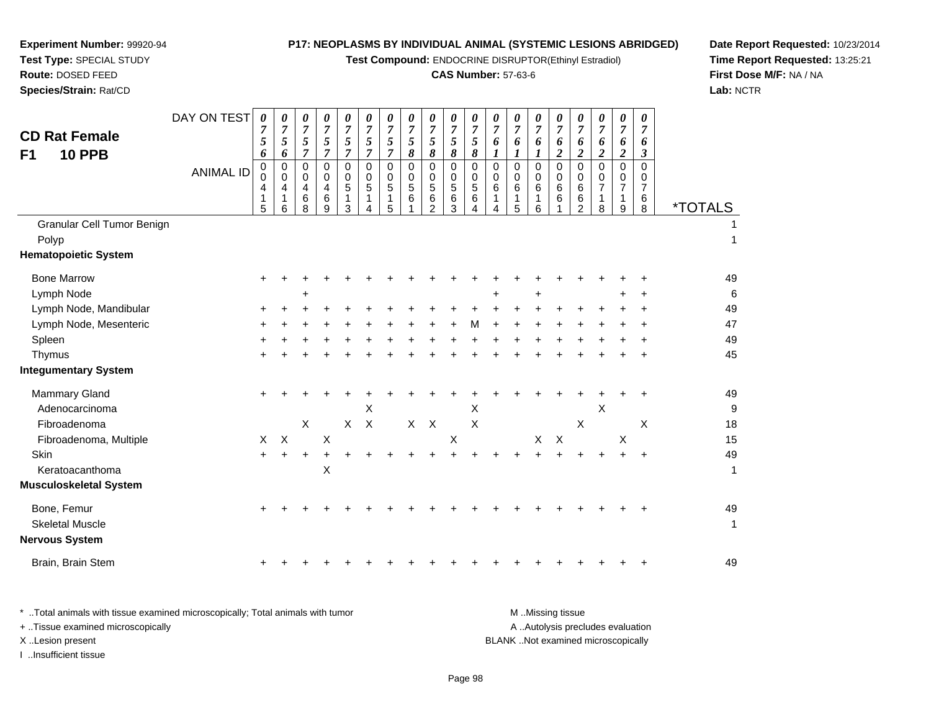**Test Compound:** ENDOCRINE DISRUPTOR(Ethinyl Estradiol)

# **CAS Number:** 57-63-6

**Date Report Requested:** 10/23/2014 **Time Report Requested:** 13:25:21**First Dose M/F:** NA / NA**Lab:** NCTR

| <b>CD Rat Female</b><br><b>10 PPB</b><br>F1<br>Granular Cell Tumor Benign | DAY ON TEST<br><b>ANIMAL ID</b> | $\boldsymbol{\theta}$<br>$\boldsymbol{7}$<br>5<br>6<br>0<br>$\Omega$<br>4<br>1<br>5 | 0<br>$\overline{7}$<br>$\sqrt{5}$<br>6<br>$\mathbf 0$<br>$\mathbf 0$<br>4<br>1<br>6 | 0<br>$\overline{7}$<br>5<br>$\overline{7}$<br>$\Omega$<br>$\mathbf 0$<br>4<br>$6\phantom{1}6$<br>8 | 0<br>$\overline{7}$<br>5<br>$\overline{7}$<br>$\mathbf 0$<br>0<br>4<br>$\,6$<br>9 | 0<br>$\overline{7}$<br>5<br>$\overline{7}$<br>0<br>0<br>5<br>1<br>3 | 0<br>$\boldsymbol{7}$<br>5<br>$\overline{7}$<br>0<br>0<br>5<br>1<br>4 | 0<br>$\overline{7}$<br>5<br>$\overline{7}$<br>$\Omega$<br>0<br>5<br>1<br>5 | $\boldsymbol{\theta}$<br>$\overline{7}$<br>5<br>8<br>$\mathbf 0$<br>$\mathbf 0$<br>5<br>6 | 0<br>$\boldsymbol{7}$<br>5<br>8<br>$\mathbf 0$<br>0<br>5<br>6<br>$\overline{2}$ | 0<br>$\overline{7}$<br>5<br>$\pmb{8}$<br>$\mathbf 0$<br>$\mathsf{O}\xspace$<br>$\sqrt{5}$<br>6<br>3 | 0<br>$\overline{7}$<br>5<br>8<br>$\pmb{0}$<br>0<br>5<br>6<br>$\overline{A}$ | 0<br>$\overline{7}$<br>6<br>$\boldsymbol{l}$<br>$\mathbf 0$<br>0<br>6<br>$\mathbf{1}$<br>$\overline{4}$ | 0<br>$\overline{7}$<br>6<br>$\boldsymbol{l}$<br>$\Omega$<br>$\Omega$<br>6<br>1<br>5 | 0<br>$\overline{7}$<br>6<br>1<br>$\Omega$<br>$\mathbf 0$<br>6<br>1<br>6 | 0<br>$\overline{7}$<br>6<br>$\boldsymbol{2}$<br>$\mathbf 0$<br>$\mathbf 0$<br>$\,6$<br>6 | 0<br>7<br>6<br>$\overline{c}$<br>0<br>0<br>6<br>6<br>$\overline{2}$ | 0<br>7<br>6<br>$\boldsymbol{2}$<br>$\Omega$<br>$\Omega$<br>7<br>1<br>8 | $\boldsymbol{\theta}$<br>$\overline{7}$<br>6<br>$\boldsymbol{2}$<br>$\mathbf 0$<br>0<br>$\overline{7}$<br>1<br>9 | $\boldsymbol{\theta}$<br>$\overline{7}$<br>6<br>$\boldsymbol{\beta}$<br>$\Omega$<br>0<br>$\overline{7}$<br>6<br>8 | <i><b>*TOTALS</b></i> |
|---------------------------------------------------------------------------|---------------------------------|-------------------------------------------------------------------------------------|-------------------------------------------------------------------------------------|----------------------------------------------------------------------------------------------------|-----------------------------------------------------------------------------------|---------------------------------------------------------------------|-----------------------------------------------------------------------|----------------------------------------------------------------------------|-------------------------------------------------------------------------------------------|---------------------------------------------------------------------------------|-----------------------------------------------------------------------------------------------------|-----------------------------------------------------------------------------|---------------------------------------------------------------------------------------------------------|-------------------------------------------------------------------------------------|-------------------------------------------------------------------------|------------------------------------------------------------------------------------------|---------------------------------------------------------------------|------------------------------------------------------------------------|------------------------------------------------------------------------------------------------------------------|-------------------------------------------------------------------------------------------------------------------|-----------------------|
| Polyp                                                                     |                                 |                                                                                     |                                                                                     |                                                                                                    |                                                                                   |                                                                     |                                                                       |                                                                            |                                                                                           |                                                                                 |                                                                                                     |                                                                             |                                                                                                         |                                                                                     |                                                                         |                                                                                          |                                                                     |                                                                        |                                                                                                                  |                                                                                                                   | $\mathbf{1}$          |
| <b>Hematopoietic System</b>                                               |                                 |                                                                                     |                                                                                     |                                                                                                    |                                                                                   |                                                                     |                                                                       |                                                                            |                                                                                           |                                                                                 |                                                                                                     |                                                                             |                                                                                                         |                                                                                     |                                                                         |                                                                                          |                                                                     |                                                                        |                                                                                                                  |                                                                                                                   |                       |
| <b>Bone Marrow</b>                                                        |                                 |                                                                                     |                                                                                     |                                                                                                    |                                                                                   |                                                                     |                                                                       |                                                                            |                                                                                           |                                                                                 |                                                                                                     |                                                                             |                                                                                                         |                                                                                     |                                                                         |                                                                                          |                                                                     |                                                                        |                                                                                                                  |                                                                                                                   | 49                    |
| Lymph Node                                                                |                                 |                                                                                     |                                                                                     | +                                                                                                  |                                                                                   |                                                                     |                                                                       |                                                                            |                                                                                           |                                                                                 |                                                                                                     |                                                                             |                                                                                                         |                                                                                     |                                                                         |                                                                                          |                                                                     |                                                                        |                                                                                                                  |                                                                                                                   | $\,6$                 |
| Lymph Node, Mandibular                                                    |                                 |                                                                                     |                                                                                     |                                                                                                    |                                                                                   |                                                                     |                                                                       |                                                                            |                                                                                           |                                                                                 |                                                                                                     |                                                                             |                                                                                                         |                                                                                     |                                                                         |                                                                                          |                                                                     |                                                                        |                                                                                                                  |                                                                                                                   | 49                    |
| Lymph Node, Mesenteric                                                    |                                 |                                                                                     |                                                                                     |                                                                                                    |                                                                                   |                                                                     |                                                                       |                                                                            |                                                                                           |                                                                                 |                                                                                                     | м                                                                           |                                                                                                         |                                                                                     |                                                                         |                                                                                          |                                                                     |                                                                        |                                                                                                                  |                                                                                                                   | 47                    |
| Spleen                                                                    |                                 |                                                                                     |                                                                                     |                                                                                                    |                                                                                   |                                                                     |                                                                       |                                                                            |                                                                                           |                                                                                 |                                                                                                     |                                                                             |                                                                                                         |                                                                                     |                                                                         |                                                                                          |                                                                     |                                                                        |                                                                                                                  |                                                                                                                   | 49                    |
| Thymus                                                                    |                                 |                                                                                     |                                                                                     |                                                                                                    |                                                                                   |                                                                     |                                                                       |                                                                            |                                                                                           |                                                                                 |                                                                                                     |                                                                             |                                                                                                         |                                                                                     |                                                                         |                                                                                          |                                                                     |                                                                        |                                                                                                                  |                                                                                                                   | 45                    |
| <b>Integumentary System</b>                                               |                                 |                                                                                     |                                                                                     |                                                                                                    |                                                                                   |                                                                     |                                                                       |                                                                            |                                                                                           |                                                                                 |                                                                                                     |                                                                             |                                                                                                         |                                                                                     |                                                                         |                                                                                          |                                                                     |                                                                        |                                                                                                                  |                                                                                                                   |                       |
| <b>Mammary Gland</b>                                                      |                                 |                                                                                     |                                                                                     |                                                                                                    |                                                                                   |                                                                     |                                                                       |                                                                            |                                                                                           |                                                                                 |                                                                                                     |                                                                             |                                                                                                         |                                                                                     |                                                                         |                                                                                          |                                                                     |                                                                        |                                                                                                                  |                                                                                                                   | 49                    |
| Adenocarcinoma                                                            |                                 |                                                                                     |                                                                                     |                                                                                                    |                                                                                   |                                                                     | $\boldsymbol{\mathsf{X}}$                                             |                                                                            |                                                                                           |                                                                                 |                                                                                                     | X                                                                           |                                                                                                         |                                                                                     |                                                                         |                                                                                          |                                                                     | $\times$                                                               |                                                                                                                  |                                                                                                                   | $9\,$                 |
| Fibroadenoma                                                              |                                 |                                                                                     |                                                                                     | $\mathsf{X}$                                                                                       |                                                                                   | $\mathsf{x}$                                                        | $\times$                                                              |                                                                            | $X -$                                                                                     | $\boldsymbol{\mathsf{X}}$                                                       |                                                                                                     | $\pmb{\times}$                                                              |                                                                                                         |                                                                                     |                                                                         |                                                                                          | X                                                                   |                                                                        |                                                                                                                  | X                                                                                                                 | 18                    |
| Fibroadenoma, Multiple                                                    |                                 | X                                                                                   | $\mathsf X$                                                                         |                                                                                                    | X                                                                                 |                                                                     |                                                                       |                                                                            |                                                                                           |                                                                                 | X                                                                                                   |                                                                             |                                                                                                         |                                                                                     | X                                                                       | $\boldsymbol{\mathsf{X}}$                                                                |                                                                     |                                                                        | X                                                                                                                |                                                                                                                   | 15                    |
| Skin                                                                      |                                 |                                                                                     |                                                                                     |                                                                                                    |                                                                                   |                                                                     |                                                                       |                                                                            |                                                                                           |                                                                                 |                                                                                                     |                                                                             |                                                                                                         |                                                                                     |                                                                         |                                                                                          |                                                                     |                                                                        |                                                                                                                  |                                                                                                                   | 49                    |
| Keratoacanthoma                                                           |                                 |                                                                                     |                                                                                     |                                                                                                    | X                                                                                 |                                                                     |                                                                       |                                                                            |                                                                                           |                                                                                 |                                                                                                     |                                                                             |                                                                                                         |                                                                                     |                                                                         |                                                                                          |                                                                     |                                                                        |                                                                                                                  |                                                                                                                   | $\mathbf{1}$          |
| Musculoskeletal System                                                    |                                 |                                                                                     |                                                                                     |                                                                                                    |                                                                                   |                                                                     |                                                                       |                                                                            |                                                                                           |                                                                                 |                                                                                                     |                                                                             |                                                                                                         |                                                                                     |                                                                         |                                                                                          |                                                                     |                                                                        |                                                                                                                  |                                                                                                                   |                       |
| Bone, Femur<br><b>Skeletal Muscle</b><br>Nervous System                   |                                 |                                                                                     |                                                                                     |                                                                                                    |                                                                                   |                                                                     |                                                                       |                                                                            |                                                                                           |                                                                                 |                                                                                                     |                                                                             |                                                                                                         |                                                                                     |                                                                         |                                                                                          |                                                                     |                                                                        |                                                                                                                  |                                                                                                                   | 49<br>$\mathbf{1}$    |
| Brain, Brain Stem                                                         |                                 |                                                                                     |                                                                                     |                                                                                                    |                                                                                   |                                                                     |                                                                       |                                                                            |                                                                                           |                                                                                 |                                                                                                     |                                                                             |                                                                                                         |                                                                                     |                                                                         |                                                                                          |                                                                     |                                                                        |                                                                                                                  |                                                                                                                   | 49                    |
|                                                                           |                                 |                                                                                     |                                                                                     |                                                                                                    |                                                                                   |                                                                     |                                                                       |                                                                            |                                                                                           |                                                                                 |                                                                                                     |                                                                             |                                                                                                         |                                                                                     |                                                                         |                                                                                          |                                                                     |                                                                        |                                                                                                                  |                                                                                                                   |                       |

| Total animals with tissue examined microscopically; Total animals with tumor | M Missing tissue                   |
|------------------------------------------------------------------------------|------------------------------------|
| + Tissue examined microscopically                                            | A Autolysis precludes evaluation   |
| X Lesion present                                                             | BLANK Not examined microscopically |
| Insufficient tissue                                                          |                                    |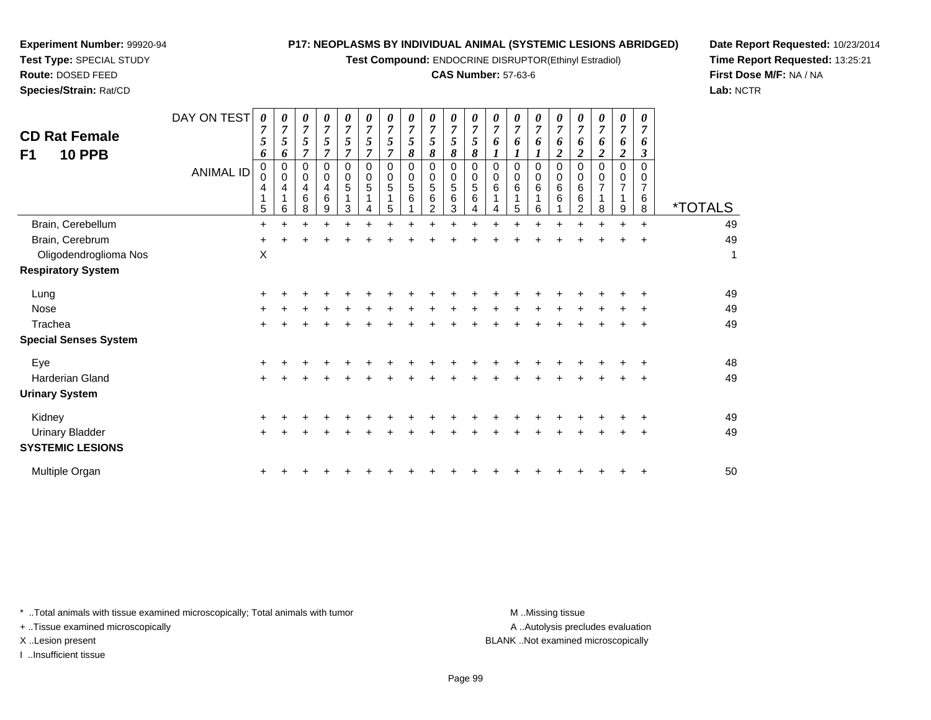**Test Compound:** ENDOCRINE DISRUPTOR(Ethinyl Estradiol)

#### **CAS Number:** 57-63-6

**Date Report Requested:** 10/23/2014**Time Report Requested:** 13:25:21**First Dose M/F:** NA / NA**Lab:** NCTR

 $\overline{\phantom{a}}$ 

| <b>CD Rat Female</b><br>F1<br><b>10 PPB</b> | DAY ON TEST<br><b>ANIMAL ID</b> | $\boldsymbol{\theta}$<br>5<br>6<br>$\pmb{0}$<br>$\Omega$<br>4<br>5 | 0<br>5<br>6<br>0<br>0<br>4<br>6 | 0<br>$\overline{7}$<br>5<br>7<br>0<br>0<br>$\overline{4}$<br>6<br>8 | 0<br>$\overline{7}$<br>5<br>7<br>$\Omega$<br>0<br>4<br>6<br>9 | 0<br>$\overline{7}$<br>5<br>7<br>0<br>0<br>5<br>3 | 0<br>$\overline{7}$<br>5<br>$\overline{ }$<br>0<br>0<br>5 | 0<br>7<br>5<br>$\Omega$<br>0<br>5<br>5 | 0<br>$\overline{7}$<br>5<br>8<br>0<br>0<br>5<br>6 | 0<br>$\overline{7}$<br>5<br>8<br>0<br>0<br>5<br>6<br>2 | 0<br>$\overline{7}$<br>5<br>8<br>0<br>0<br>5<br>$\,6$<br>3 | 0<br>$\overline{7}$<br>5<br>8<br>$\mathbf 0$<br>0<br>5<br>6 | 0<br>$\overline{7}$<br>6<br>$\Omega$<br>0<br>6 | 0<br>$\overline{7}$<br>6<br>0<br>0<br>6<br>5 | $\overline{7}$<br>0<br>0<br>6<br>6 | 0<br>$\overline{7}$<br>6<br>2<br>0<br>0<br>6<br>6 | 0<br>7<br>6<br>2<br>$\Omega$<br>0<br>6<br>6<br>$\overline{2}$ | 0<br>$\overline{7}$<br>6<br>$\overline{2}$<br>$\Omega$<br>0<br>8 | 0<br>$\overline{7}$<br>6<br>$\boldsymbol{2}$<br>$\Omega$<br>0<br>9 | 0<br>$\overline{7}$<br>6<br>3<br>0<br>6<br>8 | <i><b>*TOTALS</b></i> |
|---------------------------------------------|---------------------------------|--------------------------------------------------------------------|---------------------------------|---------------------------------------------------------------------|---------------------------------------------------------------|---------------------------------------------------|-----------------------------------------------------------|----------------------------------------|---------------------------------------------------|--------------------------------------------------------|------------------------------------------------------------|-------------------------------------------------------------|------------------------------------------------|----------------------------------------------|------------------------------------|---------------------------------------------------|---------------------------------------------------------------|------------------------------------------------------------------|--------------------------------------------------------------------|----------------------------------------------|-----------------------|
| Brain, Cerebellum                           |                                 | $\ddot{}$                                                          |                                 |                                                                     |                                                               |                                                   |                                                           |                                        |                                                   |                                                        |                                                            |                                                             |                                                |                                              |                                    |                                                   |                                                               |                                                                  | $\div$                                                             | $\ddot{}$                                    | 49                    |
| Brain, Cerebrum                             |                                 | $\ddot{}$                                                          |                                 |                                                                     |                                                               |                                                   |                                                           |                                        |                                                   |                                                        |                                                            |                                                             |                                                |                                              |                                    |                                                   |                                                               |                                                                  |                                                                    |                                              | 49                    |
| Oligodendroglioma Nos                       |                                 | X                                                                  |                                 |                                                                     |                                                               |                                                   |                                                           |                                        |                                                   |                                                        |                                                            |                                                             |                                                |                                              |                                    |                                                   |                                                               |                                                                  |                                                                    |                                              | 1                     |
| <b>Respiratory System</b>                   |                                 |                                                                    |                                 |                                                                     |                                                               |                                                   |                                                           |                                        |                                                   |                                                        |                                                            |                                                             |                                                |                                              |                                    |                                                   |                                                               |                                                                  |                                                                    |                                              |                       |
| Lung                                        |                                 | $\pm$                                                              |                                 |                                                                     |                                                               |                                                   |                                                           |                                        |                                                   |                                                        |                                                            |                                                             |                                                |                                              |                                    |                                                   |                                                               |                                                                  |                                                                    |                                              | 49                    |
| Nose                                        |                                 |                                                                    |                                 |                                                                     |                                                               |                                                   |                                                           |                                        |                                                   |                                                        |                                                            |                                                             |                                                |                                              |                                    |                                                   |                                                               |                                                                  |                                                                    | ٠                                            | 49                    |
| Trachea                                     |                                 | ٠                                                                  |                                 |                                                                     |                                                               |                                                   |                                                           |                                        |                                                   |                                                        |                                                            |                                                             |                                                |                                              |                                    |                                                   |                                                               |                                                                  |                                                                    | ÷                                            | 49                    |
| <b>Special Senses System</b>                |                                 |                                                                    |                                 |                                                                     |                                                               |                                                   |                                                           |                                        |                                                   |                                                        |                                                            |                                                             |                                                |                                              |                                    |                                                   |                                                               |                                                                  |                                                                    |                                              |                       |
| Eye                                         |                                 | $\pm$                                                              |                                 |                                                                     |                                                               |                                                   |                                                           |                                        |                                                   |                                                        |                                                            |                                                             |                                                |                                              |                                    |                                                   |                                                               |                                                                  |                                                                    |                                              | 48                    |
| <b>Harderian Gland</b>                      |                                 | $\pm$                                                              |                                 |                                                                     |                                                               |                                                   |                                                           |                                        |                                                   |                                                        |                                                            |                                                             |                                                |                                              |                                    |                                                   |                                                               |                                                                  |                                                                    | +                                            | 49                    |
| <b>Urinary System</b>                       |                                 |                                                                    |                                 |                                                                     |                                                               |                                                   |                                                           |                                        |                                                   |                                                        |                                                            |                                                             |                                                |                                              |                                    |                                                   |                                                               |                                                                  |                                                                    |                                              |                       |
| Kidney                                      |                                 | $\ddot{}$                                                          |                                 |                                                                     |                                                               |                                                   |                                                           |                                        |                                                   |                                                        |                                                            |                                                             |                                                |                                              |                                    |                                                   |                                                               |                                                                  |                                                                    | ÷                                            | 49                    |
| Urinary Bladder                             |                                 | $\ddot{}$                                                          |                                 |                                                                     |                                                               |                                                   |                                                           |                                        |                                                   |                                                        |                                                            |                                                             |                                                |                                              |                                    |                                                   |                                                               |                                                                  | +                                                                  | $\ddot{}$                                    | 49                    |
| <b>SYSTEMIC LESIONS</b>                     |                                 |                                                                    |                                 |                                                                     |                                                               |                                                   |                                                           |                                        |                                                   |                                                        |                                                            |                                                             |                                                |                                              |                                    |                                                   |                                                               |                                                                  |                                                                    |                                              |                       |
|                                             |                                 |                                                                    |                                 |                                                                     |                                                               |                                                   |                                                           |                                        |                                                   |                                                        |                                                            |                                                             |                                                |                                              |                                    |                                                   |                                                               |                                                                  |                                                                    |                                              |                       |

\* ..Total animals with tissue examined microscopically; Total animals with tumor **M** ...Missing tissue M ...Missing tissue

n  $+$ 

 $\Gamma$ ┯ ┯ ┯  $\overline{\phantom{a}}$ 

+ ..Tissue examined microscopically

**Experiment Number:** 99920-94**Test Type:** SPECIAL STUDY**Route:** DOSED FEED**Species/Strain:** Rat/CD

I ..Insufficient tissue

Multiple Organ

A .. Autolysis precludes evaluation

X ..Lesion present BLANK ..Not examined microscopically

<sup>+</sup> <sup>+</sup> <sup>+</sup> <sup>+</sup> <sup>+</sup> <sup>+</sup> <sup>+</sup> <sup>+</sup> <sup>+</sup> <sup>+</sup> <sup>+</sup> <sup>+</sup> <sup>+</sup> <sup>+</sup> <sup>+</sup> <sup>+</sup> <sup>+</sup> <sup>+</sup> <sup>50</sup>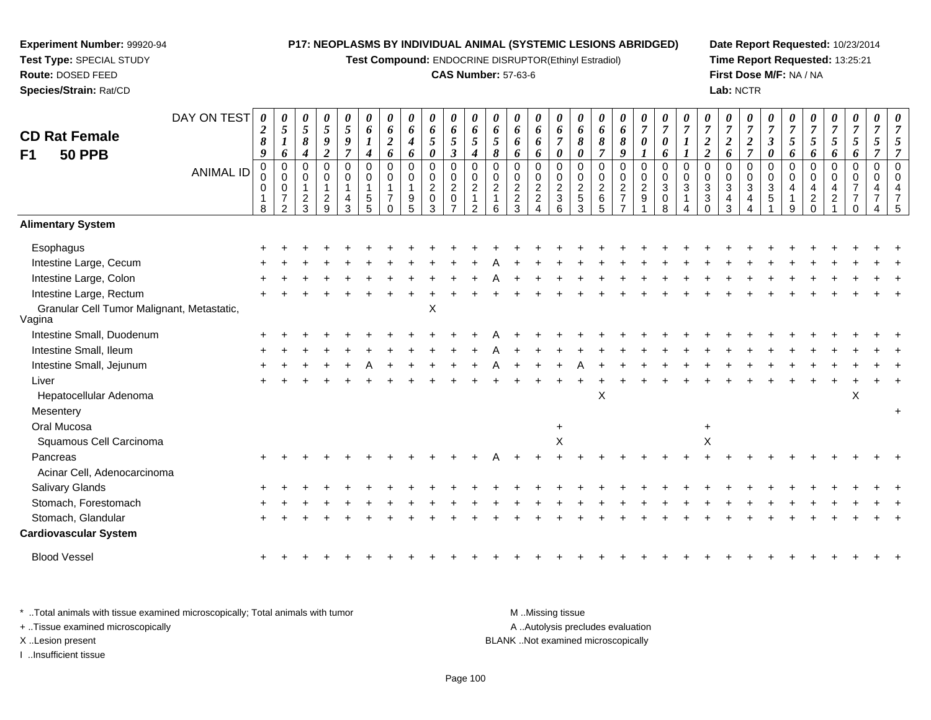**Test Compound:** ENDOCRINE DISRUPTOR(Ethinyl Estradiol)

#### **CAS Number:** 57-63-6

**Date Report Requested:** 10/23/2014**Time Report Requested:** 13:25:21**First Dose M/F:** NA / NA**Lab:** NCTR

| <b>CD Rat Female</b>                                 | DAY ON TEST      | 0<br>$\boldsymbol{2}$<br>$\pmb{8}$         | $\boldsymbol{\theta}$<br>5<br>$\boldsymbol{l}$                   | 0<br>$\mathfrak{s}$<br>$\boldsymbol{\delta}$               | 0<br>$\sqrt{5}$<br>$\boldsymbol{g}$              | $\boldsymbol{\theta}$<br>$\sqrt{5}$<br>9  | 0<br>6<br>$\boldsymbol{l}$                                      | $\boldsymbol{\theta}$<br>6<br>$\boldsymbol{2}$             | 0<br>6<br>$\boldsymbol{4}$           | 0<br>6<br>$\mathfrak{s}$                             | $\boldsymbol{\theta}$<br>$\pmb{6}$<br>5                                   | $\boldsymbol{\theta}$<br>6<br>$\sqrt{5}$                                       | $\boldsymbol{\theta}$<br>6<br>5                        | $\boldsymbol{\theta}$<br>6<br>6   | 0<br>6<br>6                                                  | 0<br>6<br>$\overline{7}$                       | $\boldsymbol{\theta}$<br>6<br>8                   | $\boldsymbol{\theta}$<br>6<br>8                | $\boldsymbol{\theta}$<br>6<br>8            | $\boldsymbol{\theta}$<br>$\overline{7}$<br>$\boldsymbol{\theta}$ | $\boldsymbol{\theta}$<br>$\boldsymbol{7}$<br>$\pmb{\theta}$ | $\boldsymbol{7}$                                              | $\boldsymbol{\theta}$<br>$\overline{7}$<br>$\boldsymbol{2}$ | 0<br>$\overline{7}$<br>$\boldsymbol{2}$                              | 0<br>$\overline{7}$<br>$\boldsymbol{2}$            | $\boldsymbol{\theta}$<br>$\overline{7}$<br>$\boldsymbol{\beta}$ | $\boldsymbol{\theta}$<br>$\boldsymbol{7}$<br>$\mathfrak{H}$ | $\boldsymbol{\theta}$<br>$\overline{7}$<br>5        | 0<br>$\overline{7}$<br>5                                | 0<br>$\overline{7}$<br>$\overline{5}$                                      | 0<br>$\overline{7}$<br>5 |                      |
|------------------------------------------------------|------------------|--------------------------------------------|------------------------------------------------------------------|------------------------------------------------------------|--------------------------------------------------|-------------------------------------------|-----------------------------------------------------------------|------------------------------------------------------------|--------------------------------------|------------------------------------------------------|---------------------------------------------------------------------------|--------------------------------------------------------------------------------|--------------------------------------------------------|-----------------------------------|--------------------------------------------------------------|------------------------------------------------|---------------------------------------------------|------------------------------------------------|--------------------------------------------|------------------------------------------------------------------|-------------------------------------------------------------|---------------------------------------------------------------|-------------------------------------------------------------|----------------------------------------------------------------------|----------------------------------------------------|-----------------------------------------------------------------|-------------------------------------------------------------|-----------------------------------------------------|---------------------------------------------------------|----------------------------------------------------------------------------|--------------------------|----------------------|
| F <sub>1</sub><br><b>50 PPB</b>                      |                  | 9                                          | 6                                                                | $\boldsymbol{4}$                                           | $\overline{2}$                                   | $\overline{7}$                            | $\boldsymbol{4}$                                                | 6                                                          | 6                                    | 0                                                    | $\boldsymbol{\beta}$                                                      | $\boldsymbol{4}$                                                               | 8                                                      | 6                                 | 6                                                            | 0                                              | $\boldsymbol{\theta}$                             | $\overline{7}$                                 | 9                                          | $\mathbf{I}$                                                     | 6                                                           | 1                                                             | $\boldsymbol{2}$                                            | 6                                                                    | $\overline{7}$                                     | $\boldsymbol{\theta}$                                           | 6                                                           | 6                                                   | 6                                                       | 6                                                                          | 7                        |                      |
|                                                      | <b>ANIMAL ID</b> | $\mathbf 0$<br>0<br>0<br>$\mathbf{1}$<br>8 | $\mathbf 0$<br>$\mathbf 0$<br>$\pmb{0}$<br>$\boldsymbol{7}$<br>2 | $\mathbf 0$<br>$\mathbf 0$<br>$\overline{\mathbf{c}}$<br>3 | $\mathbf 0$<br>0<br>$\mathbf 1$<br>$\frac{2}{9}$ | $\mathbf 0$<br>$\mathbf 0$<br>1<br>4<br>3 | $\mathbf 0$<br>$\mathbf 0$<br>$\overline{1}$<br>$\sqrt{5}$<br>5 | $\mathbf 0$<br>$\Omega$<br>1<br>$\overline{7}$<br>$\Omega$ | $\mathbf 0$<br>$\mathbf 0$<br>9<br>5 | 0<br>0<br>$\overline{c}$<br>$\mathsf{O}\xspace$<br>3 | $\mathbf 0$<br>$\,0\,$<br>$\overline{c}$<br>$\mathbf 0$<br>$\overline{ }$ | $\mathbf 0$<br>$\mathbf 0$<br>$\overline{c}$<br>$\mathbf{1}$<br>$\overline{2}$ | $\mathbf 0$<br>$\mathbf 0$<br>$\overline{2}$<br>1<br>6 | $\mathbf 0$<br>0<br>$\frac{2}{3}$ | $\mathbf 0$<br>0<br>$\frac{2}{2}$<br>$\overline{\mathbf{A}}$ | $\mathbf 0$<br>$\pmb{0}$<br>$\frac{2}{3}$<br>6 | $\mathbf 0$<br>0<br>$\frac{2}{5}$<br>$\mathbf{3}$ | $\mathbf 0$<br>$\pmb{0}$<br>$\frac{2}{6}$<br>5 | 0<br>0<br>$\overline{2}$<br>$\overline{7}$ | $\mathbf 0$<br>$\mathbf 0$<br>$\overline{2}$<br>$9\,$            | $\mathbf 0$<br>$\mathbf 0$<br>$\sqrt{3}$<br>0<br>8          | $\mathbf 0$<br>0<br>$\ensuremath{\mathsf{3}}$<br>$\mathbf{1}$ | $\mathbf 0$<br>0<br>$\sqrt{3}$<br>$\sqrt{3}$<br>$\Omega$    | $\mathbf 0$<br>0<br>$\ensuremath{\mathsf{3}}$<br>$\overline{4}$<br>3 | $\mathbf 0$<br>$\mathbf 0$<br>$\sqrt{3}$<br>4<br>4 | $\mathbf 0$<br>0<br>$\mathbf{3}$<br>5                           | $\mathbf 0$<br>$\Omega$<br>9                                | $\mathbf 0$<br>0<br>4<br>$\overline{c}$<br>$\Omega$ | $\overline{0}$<br>$\mathbf{0}$<br>4<br>$\boldsymbol{2}$ | $\mathbf 0$<br>$\mathbf 0$<br>$\overline{7}$<br>$\overline{7}$<br>$\Omega$ | $\mathbf 0$<br>0<br>4    | $\Omega$<br>$\Omega$ |
| <b>Alimentary System</b>                             |                  |                                            |                                                                  |                                                            |                                                  |                                           |                                                                 |                                                            |                                      |                                                      |                                                                           |                                                                                |                                                        |                                   |                                                              |                                                |                                                   |                                                |                                            |                                                                  |                                                             |                                                               |                                                             |                                                                      |                                                    |                                                                 |                                                             |                                                     |                                                         |                                                                            |                          |                      |
| Esophagus                                            |                  |                                            |                                                                  |                                                            |                                                  |                                           |                                                                 |                                                            |                                      |                                                      |                                                                           |                                                                                |                                                        |                                   |                                                              |                                                |                                                   |                                                |                                            |                                                                  |                                                             |                                                               |                                                             |                                                                      |                                                    |                                                                 |                                                             |                                                     |                                                         |                                                                            |                          |                      |
| Intestine Large, Cecum                               |                  |                                            |                                                                  |                                                            |                                                  |                                           |                                                                 |                                                            |                                      |                                                      |                                                                           |                                                                                |                                                        |                                   |                                                              |                                                |                                                   |                                                |                                            |                                                                  |                                                             |                                                               |                                                             |                                                                      |                                                    |                                                                 |                                                             |                                                     |                                                         |                                                                            |                          |                      |
| Intestine Large, Colon                               |                  |                                            |                                                                  |                                                            |                                                  |                                           |                                                                 |                                                            |                                      |                                                      |                                                                           |                                                                                |                                                        |                                   |                                                              |                                                |                                                   |                                                |                                            |                                                                  |                                                             |                                                               |                                                             |                                                                      |                                                    |                                                                 |                                                             |                                                     |                                                         |                                                                            |                          |                      |
| Intestine Large, Rectum                              |                  |                                            |                                                                  |                                                            |                                                  |                                           |                                                                 |                                                            |                                      |                                                      |                                                                           |                                                                                |                                                        |                                   |                                                              |                                                |                                                   |                                                |                                            |                                                                  |                                                             |                                                               |                                                             |                                                                      |                                                    |                                                                 |                                                             |                                                     |                                                         |                                                                            |                          |                      |
| Granular Cell Tumor Malignant, Metastatic,<br>Vagina |                  |                                            |                                                                  |                                                            |                                                  |                                           |                                                                 |                                                            |                                      | X                                                    |                                                                           |                                                                                |                                                        |                                   |                                                              |                                                |                                                   |                                                |                                            |                                                                  |                                                             |                                                               |                                                             |                                                                      |                                                    |                                                                 |                                                             |                                                     |                                                         |                                                                            |                          |                      |
| Intestine Small, Duodenum                            |                  |                                            |                                                                  |                                                            |                                                  |                                           |                                                                 |                                                            |                                      |                                                      |                                                                           |                                                                                |                                                        |                                   |                                                              |                                                |                                                   |                                                |                                            |                                                                  |                                                             |                                                               |                                                             |                                                                      |                                                    |                                                                 |                                                             |                                                     |                                                         |                                                                            |                          |                      |
| Intestine Small, Ileum                               |                  |                                            |                                                                  |                                                            |                                                  |                                           |                                                                 |                                                            |                                      |                                                      |                                                                           |                                                                                |                                                        |                                   |                                                              |                                                |                                                   |                                                |                                            |                                                                  |                                                             |                                                               |                                                             |                                                                      |                                                    |                                                                 |                                                             |                                                     |                                                         |                                                                            |                          |                      |
| Intestine Small, Jejunum                             |                  |                                            |                                                                  |                                                            |                                                  |                                           |                                                                 |                                                            |                                      |                                                      |                                                                           |                                                                                |                                                        |                                   |                                                              |                                                |                                                   |                                                |                                            |                                                                  |                                                             |                                                               |                                                             |                                                                      |                                                    |                                                                 |                                                             |                                                     |                                                         |                                                                            |                          |                      |
| Liver                                                |                  |                                            |                                                                  |                                                            |                                                  |                                           |                                                                 |                                                            |                                      |                                                      |                                                                           |                                                                                |                                                        |                                   |                                                              |                                                |                                                   |                                                |                                            |                                                                  |                                                             |                                                               |                                                             |                                                                      |                                                    |                                                                 |                                                             |                                                     |                                                         |                                                                            |                          |                      |
| Hepatocellular Adenoma                               |                  |                                            |                                                                  |                                                            |                                                  |                                           |                                                                 |                                                            |                                      |                                                      |                                                                           |                                                                                |                                                        |                                   |                                                              |                                                |                                                   | Χ                                              |                                            |                                                                  |                                                             |                                                               |                                                             |                                                                      |                                                    |                                                                 |                                                             |                                                     |                                                         | X                                                                          |                          |                      |
| Mesentery                                            |                  |                                            |                                                                  |                                                            |                                                  |                                           |                                                                 |                                                            |                                      |                                                      |                                                                           |                                                                                |                                                        |                                   |                                                              |                                                |                                                   |                                                |                                            |                                                                  |                                                             |                                                               |                                                             |                                                                      |                                                    |                                                                 |                                                             |                                                     |                                                         |                                                                            |                          |                      |
| Oral Mucosa                                          |                  |                                            |                                                                  |                                                            |                                                  |                                           |                                                                 |                                                            |                                      |                                                      |                                                                           |                                                                                |                                                        |                                   |                                                              | $\ddot{}$                                      |                                                   |                                                |                                            |                                                                  |                                                             |                                                               | +                                                           |                                                                      |                                                    |                                                                 |                                                             |                                                     |                                                         |                                                                            |                          |                      |
| Squamous Cell Carcinoma                              |                  |                                            |                                                                  |                                                            |                                                  |                                           |                                                                 |                                                            |                                      |                                                      |                                                                           |                                                                                |                                                        |                                   |                                                              | X                                              |                                                   |                                                |                                            |                                                                  |                                                             |                                                               | X                                                           |                                                                      |                                                    |                                                                 |                                                             |                                                     |                                                         |                                                                            |                          |                      |
| Pancreas                                             |                  |                                            |                                                                  |                                                            |                                                  |                                           |                                                                 |                                                            |                                      |                                                      |                                                                           |                                                                                |                                                        |                                   |                                                              |                                                |                                                   |                                                |                                            |                                                                  |                                                             |                                                               |                                                             |                                                                      |                                                    |                                                                 |                                                             |                                                     |                                                         |                                                                            |                          |                      |
| Acinar Cell, Adenocarcinoma                          |                  |                                            |                                                                  |                                                            |                                                  |                                           |                                                                 |                                                            |                                      |                                                      |                                                                           |                                                                                |                                                        |                                   |                                                              |                                                |                                                   |                                                |                                            |                                                                  |                                                             |                                                               |                                                             |                                                                      |                                                    |                                                                 |                                                             |                                                     |                                                         |                                                                            |                          |                      |
| <b>Salivary Glands</b>                               |                  |                                            |                                                                  |                                                            |                                                  |                                           |                                                                 |                                                            |                                      |                                                      |                                                                           |                                                                                |                                                        |                                   |                                                              |                                                |                                                   |                                                |                                            |                                                                  |                                                             |                                                               |                                                             |                                                                      |                                                    |                                                                 |                                                             |                                                     |                                                         |                                                                            |                          |                      |
| Stomach, Forestomach                                 |                  |                                            |                                                                  |                                                            |                                                  |                                           |                                                                 |                                                            |                                      |                                                      |                                                                           |                                                                                |                                                        |                                   |                                                              |                                                |                                                   |                                                |                                            |                                                                  |                                                             |                                                               |                                                             |                                                                      |                                                    |                                                                 |                                                             |                                                     |                                                         |                                                                            |                          |                      |
| Stomach, Glandular                                   |                  |                                            |                                                                  |                                                            |                                                  |                                           |                                                                 |                                                            |                                      |                                                      |                                                                           |                                                                                |                                                        |                                   |                                                              |                                                |                                                   |                                                |                                            |                                                                  |                                                             |                                                               |                                                             |                                                                      |                                                    |                                                                 |                                                             |                                                     |                                                         |                                                                            |                          |                      |
| <b>Cardiovascular System</b>                         |                  |                                            |                                                                  |                                                            |                                                  |                                           |                                                                 |                                                            |                                      |                                                      |                                                                           |                                                                                |                                                        |                                   |                                                              |                                                |                                                   |                                                |                                            |                                                                  |                                                             |                                                               |                                                             |                                                                      |                                                    |                                                                 |                                                             |                                                     |                                                         |                                                                            |                          |                      |
| <b>Blood Vessel</b>                                  |                  |                                            |                                                                  |                                                            |                                                  |                                           |                                                                 |                                                            |                                      |                                                      |                                                                           |                                                                                |                                                        |                                   |                                                              |                                                |                                                   |                                                |                                            |                                                                  |                                                             |                                                               |                                                             |                                                                      |                                                    |                                                                 |                                                             |                                                     |                                                         |                                                                            |                          |                      |

\* ..Total animals with tissue examined microscopically; Total animals with tumor **M** . Missing tissue M ..Missing tissue A ..Autolysis precludes evaluation + ..Tissue examined microscopically X ..Lesion present BLANK ..Not examined microscopicallyI ..Insufficient tissue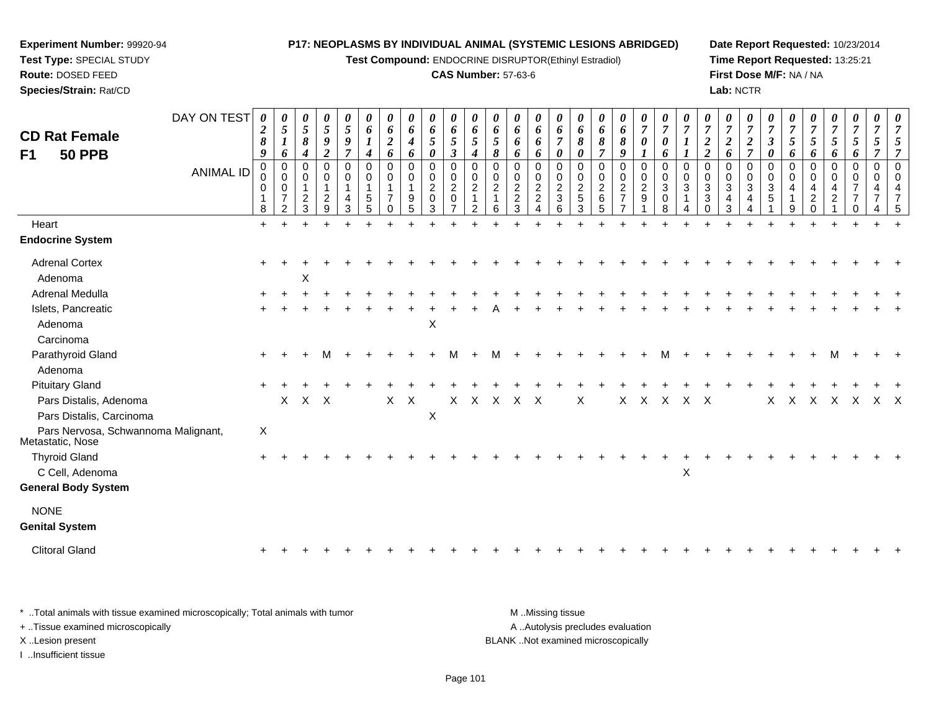**Test Compound:** ENDOCRINE DISRUPTOR(Ethinyl Estradiol)

#### **CAS Number:** 57-63-6

**Date Report Requested:** 10/23/2014**Time Report Requested:** 13:25:21**First Dose M/F:** NA / NA**Lab:** NCTR

| <b>CD Rat Female</b><br>F1<br><b>50 PPB</b>             | DAY ON TEST<br><b>ANIMAL ID</b> | 0<br>$\boldsymbol{2}$<br>8<br>$\boldsymbol{g}$<br>$\mathbf 0$<br>0<br>0<br>8 | $\boldsymbol{\theta}$<br>$\overline{5}$<br>$\boldsymbol{l}$<br>6<br>$\Omega$<br>$\mathbf 0$<br>$\mathbf 0$<br>$\overline{7}$<br>$\overline{2}$ | 0<br>5<br>8<br>4<br>0<br>$\mathbf 0$<br>$\overline{c}$<br>3 | 0<br>5<br>9<br>$\overline{2}$<br>$\Omega$<br>0<br>$\mathbf{1}$<br>$\overline{c}$<br>9 | 0<br>$\mathfrak{s}$<br>9<br>$\overline{7}$<br>$\Omega$<br>$\mathbf 0$<br>1<br>4<br>3 | 0<br>6<br>$\boldsymbol{l}$<br>$\boldsymbol{4}$<br>$\mathbf 0$<br>0<br>$\mathbf 1$<br>$\overline{5}$<br>5 | $\boldsymbol{\theta}$<br>6<br>$\boldsymbol{2}$<br>6<br>$\mathbf 0$<br>$\mathbf 0$<br>$\mathbf{1}$<br>$\overline{7}$<br>$\Omega$ | 0<br>6<br>$\boldsymbol{4}$<br>6<br>$\Omega$<br>0<br>9<br>5 | 0<br>6<br>5<br>0<br>0<br>0<br>$\overline{2}$<br>$\mathsf 0$<br>3 | 0<br>6<br>5<br>$\boldsymbol{\beta}$<br>$\Omega$<br>$\mathbf 0$<br>$\overline{2}$<br>$\mathbf 0$<br>$\overline{7}$ | 0<br>6<br>5<br>$\boldsymbol{4}$<br>$\mathbf 0$<br>$\mathbf 0$<br>$\overline{c}$<br>$\mathbf 1$<br>2 | $\boldsymbol{\theta}$<br>6<br>$\mathfrak{s}$<br>$\pmb{8}$<br>$\Omega$<br>$\mathbf 0$<br>$\sqrt{2}$<br>$\mathbf{1}$<br>6 | 0<br>6<br>6<br>6<br>0<br>0<br>$\overline{c}$<br>$\boldsymbol{2}$<br>3 | 0<br>6<br>6<br>6<br>0<br>0<br>$\overline{a}$<br>$\sqrt{2}$<br>$\overline{\mathbf{4}}$ | 0<br>6<br>$\overline{\tau}$<br>0<br>$\Omega$<br>$\mathbf 0$<br>$\boldsymbol{2}$<br>$\ensuremath{\mathsf{3}}$<br>6 | $\boldsymbol{\theta}$<br>6<br>8<br>0<br>$\Omega$<br>$\mathbf 0$<br>$\sqrt{2}$<br>$\,$ 5 $\,$<br>3 | 6<br>8<br>$\overline{7}$<br>$\Omega$<br>$\mathbf 0$<br>$\sqrt{2}$<br>$\,6\,$<br>5 | 0<br>6<br>8<br>9<br>$\Omega$<br>0<br>$\overline{a}$<br>$\overline{7}$ | 0<br>$\boldsymbol{7}$<br>$\pmb{\theta}$<br>$\mathbf{I}$<br>0<br>0<br>$\overline{2}$<br>$9\,$ | 0<br>$\overline{7}$<br>0<br>6<br>$\Omega$<br>$\mathbf 0$<br>$\sqrt{3}$<br>$\pmb{0}$<br>8 | $\boldsymbol{\theta}$<br>$\overline{7}$<br>$\Omega$<br>$\mathbf 0$<br>3 | $\overline{7}$<br>$\boldsymbol{2}$<br>$\overline{2}$<br>$\Omega$<br>$\mathbf 0$<br>$\sqrt{3}$<br>$\mathbf{3}$<br>$\Omega$ | 0<br>$\overline{7}$<br>$\overline{c}$<br>6<br>0<br>0<br>3<br>4<br>3 | 0<br>$\overline{7}$<br>$\boldsymbol{2}$<br>$\overline{7}$<br>$\Omega$<br>0<br>$\mathbf{3}$<br>4 | $\boldsymbol{\theta}$<br>$\overline{7}$<br>$\boldsymbol{\beta}$<br>0<br>$\Omega$<br>$\mathbf 0$<br>$\sqrt{3}$<br>$\sqrt{5}$ | 0<br>$\overline{7}$<br>5<br>6<br>$\Omega$<br>$\mathbf 0$<br>4<br>9 | $\overline{7}$<br>$\mathfrak{s}$<br>6<br>$\Omega$<br>$\mathbf 0$<br>4<br>$\overline{2}$<br>$\Omega$ | 0<br>$\overline{7}$<br>5<br>6<br>0<br>0<br>4<br>$\overline{2}$ | 0<br>$\boldsymbol{7}$<br>$\mathfrak{z}$<br>6<br>0<br>0<br>$\overline{7}$<br>$\overline{7}$<br>0 | 0<br>$\overline{7}$<br>5<br>$\Omega$<br>$\mathbf 0$<br>4 | 0 |
|---------------------------------------------------------|---------------------------------|------------------------------------------------------------------------------|------------------------------------------------------------------------------------------------------------------------------------------------|-------------------------------------------------------------|---------------------------------------------------------------------------------------|--------------------------------------------------------------------------------------|----------------------------------------------------------------------------------------------------------|---------------------------------------------------------------------------------------------------------------------------------|------------------------------------------------------------|------------------------------------------------------------------|-------------------------------------------------------------------------------------------------------------------|-----------------------------------------------------------------------------------------------------|-------------------------------------------------------------------------------------------------------------------------|-----------------------------------------------------------------------|---------------------------------------------------------------------------------------|-------------------------------------------------------------------------------------------------------------------|---------------------------------------------------------------------------------------------------|-----------------------------------------------------------------------------------|-----------------------------------------------------------------------|----------------------------------------------------------------------------------------------|------------------------------------------------------------------------------------------|-------------------------------------------------------------------------|---------------------------------------------------------------------------------------------------------------------------|---------------------------------------------------------------------|-------------------------------------------------------------------------------------------------|-----------------------------------------------------------------------------------------------------------------------------|--------------------------------------------------------------------|-----------------------------------------------------------------------------------------------------|----------------------------------------------------------------|-------------------------------------------------------------------------------------------------|----------------------------------------------------------|---|
| Heart                                                   |                                 | $\ddot{}$                                                                    |                                                                                                                                                |                                                             |                                                                                       |                                                                                      |                                                                                                          |                                                                                                                                 |                                                            |                                                                  |                                                                                                                   |                                                                                                     |                                                                                                                         |                                                                       |                                                                                       |                                                                                                                   |                                                                                                   |                                                                                   |                                                                       |                                                                                              |                                                                                          |                                                                         |                                                                                                                           |                                                                     |                                                                                                 |                                                                                                                             |                                                                    |                                                                                                     |                                                                |                                                                                                 |                                                          |   |
| <b>Endocrine System</b>                                 |                                 |                                                                              |                                                                                                                                                |                                                             |                                                                                       |                                                                                      |                                                                                                          |                                                                                                                                 |                                                            |                                                                  |                                                                                                                   |                                                                                                     |                                                                                                                         |                                                                       |                                                                                       |                                                                                                                   |                                                                                                   |                                                                                   |                                                                       |                                                                                              |                                                                                          |                                                                         |                                                                                                                           |                                                                     |                                                                                                 |                                                                                                                             |                                                                    |                                                                                                     |                                                                |                                                                                                 |                                                          |   |
| <b>Adrenal Cortex</b>                                   |                                 |                                                                              |                                                                                                                                                |                                                             |                                                                                       |                                                                                      |                                                                                                          |                                                                                                                                 |                                                            |                                                                  |                                                                                                                   |                                                                                                     |                                                                                                                         |                                                                       |                                                                                       |                                                                                                                   |                                                                                                   |                                                                                   |                                                                       |                                                                                              |                                                                                          |                                                                         |                                                                                                                           |                                                                     |                                                                                                 |                                                                                                                             |                                                                    |                                                                                                     |                                                                |                                                                                                 |                                                          |   |
| Adenoma                                                 |                                 |                                                                              |                                                                                                                                                | X                                                           |                                                                                       |                                                                                      |                                                                                                          |                                                                                                                                 |                                                            |                                                                  |                                                                                                                   |                                                                                                     |                                                                                                                         |                                                                       |                                                                                       |                                                                                                                   |                                                                                                   |                                                                                   |                                                                       |                                                                                              |                                                                                          |                                                                         |                                                                                                                           |                                                                     |                                                                                                 |                                                                                                                             |                                                                    |                                                                                                     |                                                                |                                                                                                 |                                                          |   |
| Adrenal Medulla                                         |                                 |                                                                              |                                                                                                                                                |                                                             |                                                                                       |                                                                                      |                                                                                                          |                                                                                                                                 |                                                            |                                                                  |                                                                                                                   |                                                                                                     |                                                                                                                         |                                                                       |                                                                                       |                                                                                                                   |                                                                                                   |                                                                                   |                                                                       |                                                                                              |                                                                                          |                                                                         |                                                                                                                           |                                                                     |                                                                                                 |                                                                                                                             |                                                                    |                                                                                                     |                                                                |                                                                                                 |                                                          |   |
| Islets, Pancreatic                                      |                                 |                                                                              |                                                                                                                                                |                                                             |                                                                                       |                                                                                      |                                                                                                          |                                                                                                                                 |                                                            |                                                                  |                                                                                                                   |                                                                                                     |                                                                                                                         |                                                                       |                                                                                       |                                                                                                                   |                                                                                                   |                                                                                   |                                                                       |                                                                                              |                                                                                          |                                                                         |                                                                                                                           |                                                                     |                                                                                                 |                                                                                                                             |                                                                    |                                                                                                     |                                                                |                                                                                                 |                                                          |   |
| Adenoma                                                 |                                 |                                                                              |                                                                                                                                                |                                                             |                                                                                       |                                                                                      |                                                                                                          |                                                                                                                                 |                                                            | $\boldsymbol{\mathsf{X}}$                                        |                                                                                                                   |                                                                                                     |                                                                                                                         |                                                                       |                                                                                       |                                                                                                                   |                                                                                                   |                                                                                   |                                                                       |                                                                                              |                                                                                          |                                                                         |                                                                                                                           |                                                                     |                                                                                                 |                                                                                                                             |                                                                    |                                                                                                     |                                                                |                                                                                                 |                                                          |   |
| Carcinoma                                               |                                 |                                                                              |                                                                                                                                                |                                                             |                                                                                       |                                                                                      |                                                                                                          |                                                                                                                                 |                                                            |                                                                  |                                                                                                                   |                                                                                                     |                                                                                                                         |                                                                       |                                                                                       |                                                                                                                   |                                                                                                   |                                                                                   |                                                                       |                                                                                              |                                                                                          |                                                                         |                                                                                                                           |                                                                     |                                                                                                 |                                                                                                                             |                                                                    |                                                                                                     |                                                                |                                                                                                 |                                                          |   |
| Parathyroid Gland                                       |                                 |                                                                              |                                                                                                                                                |                                                             |                                                                                       |                                                                                      |                                                                                                          |                                                                                                                                 |                                                            |                                                                  |                                                                                                                   |                                                                                                     | м                                                                                                                       |                                                                       |                                                                                       |                                                                                                                   |                                                                                                   |                                                                                   |                                                                       |                                                                                              |                                                                                          |                                                                         |                                                                                                                           |                                                                     |                                                                                                 |                                                                                                                             |                                                                    |                                                                                                     |                                                                |                                                                                                 |                                                          |   |
| Adenoma                                                 |                                 |                                                                              |                                                                                                                                                |                                                             |                                                                                       |                                                                                      |                                                                                                          |                                                                                                                                 |                                                            |                                                                  |                                                                                                                   |                                                                                                     |                                                                                                                         |                                                                       |                                                                                       |                                                                                                                   |                                                                                                   |                                                                                   |                                                                       |                                                                                              |                                                                                          |                                                                         |                                                                                                                           |                                                                     |                                                                                                 |                                                                                                                             |                                                                    |                                                                                                     |                                                                |                                                                                                 |                                                          |   |
| <b>Pituitary Gland</b>                                  |                                 |                                                                              |                                                                                                                                                |                                                             |                                                                                       |                                                                                      |                                                                                                          |                                                                                                                                 |                                                            |                                                                  |                                                                                                                   |                                                                                                     |                                                                                                                         |                                                                       |                                                                                       |                                                                                                                   |                                                                                                   |                                                                                   |                                                                       |                                                                                              |                                                                                          |                                                                         |                                                                                                                           |                                                                     |                                                                                                 |                                                                                                                             |                                                                    |                                                                                                     |                                                                |                                                                                                 |                                                          |   |
| Pars Distalis, Adenoma                                  |                                 |                                                                              |                                                                                                                                                | $X$ $X$ $X$                                                 |                                                                                       |                                                                                      |                                                                                                          | $\mathsf{X}$                                                                                                                    | $\mathsf{X}$                                               |                                                                  | $X -$                                                                                                             |                                                                                                     | X X X X                                                                                                                 |                                                                       |                                                                                       |                                                                                                                   | X                                                                                                 |                                                                                   |                                                                       | X X X                                                                                        |                                                                                          | $X$ $X$                                                                 |                                                                                                                           |                                                                     |                                                                                                 | $\mathsf{X}$                                                                                                                | X                                                                  | $X \times X$                                                                                        |                                                                | $\mathsf{X}$                                                                                    | $X$ $X$                                                  |   |
| Pars Distalis, Carcinoma                                |                                 |                                                                              |                                                                                                                                                |                                                             |                                                                                       |                                                                                      |                                                                                                          |                                                                                                                                 |                                                            | $\boldsymbol{\mathsf{X}}$                                        |                                                                                                                   |                                                                                                     |                                                                                                                         |                                                                       |                                                                                       |                                                                                                                   |                                                                                                   |                                                                                   |                                                                       |                                                                                              |                                                                                          |                                                                         |                                                                                                                           |                                                                     |                                                                                                 |                                                                                                                             |                                                                    |                                                                                                     |                                                                |                                                                                                 |                                                          |   |
| Pars Nervosa, Schwannoma Malignant,<br>Metastatic, Nose |                                 | X                                                                            |                                                                                                                                                |                                                             |                                                                                       |                                                                                      |                                                                                                          |                                                                                                                                 |                                                            |                                                                  |                                                                                                                   |                                                                                                     |                                                                                                                         |                                                                       |                                                                                       |                                                                                                                   |                                                                                                   |                                                                                   |                                                                       |                                                                                              |                                                                                          |                                                                         |                                                                                                                           |                                                                     |                                                                                                 |                                                                                                                             |                                                                    |                                                                                                     |                                                                |                                                                                                 |                                                          |   |
| <b>Thyroid Gland</b>                                    |                                 |                                                                              |                                                                                                                                                |                                                             |                                                                                       |                                                                                      |                                                                                                          |                                                                                                                                 |                                                            |                                                                  |                                                                                                                   |                                                                                                     |                                                                                                                         |                                                                       |                                                                                       |                                                                                                                   |                                                                                                   |                                                                                   |                                                                       |                                                                                              |                                                                                          |                                                                         |                                                                                                                           |                                                                     |                                                                                                 |                                                                                                                             |                                                                    |                                                                                                     |                                                                |                                                                                                 |                                                          |   |
| C Cell, Adenoma                                         |                                 |                                                                              |                                                                                                                                                |                                                             |                                                                                       |                                                                                      |                                                                                                          |                                                                                                                                 |                                                            |                                                                  |                                                                                                                   |                                                                                                     |                                                                                                                         |                                                                       |                                                                                       |                                                                                                                   |                                                                                                   |                                                                                   |                                                                       |                                                                                              |                                                                                          | $\boldsymbol{\mathsf{X}}$                                               |                                                                                                                           |                                                                     |                                                                                                 |                                                                                                                             |                                                                    |                                                                                                     |                                                                |                                                                                                 |                                                          |   |
| <b>General Body System</b>                              |                                 |                                                                              |                                                                                                                                                |                                                             |                                                                                       |                                                                                      |                                                                                                          |                                                                                                                                 |                                                            |                                                                  |                                                                                                                   |                                                                                                     |                                                                                                                         |                                                                       |                                                                                       |                                                                                                                   |                                                                                                   |                                                                                   |                                                                       |                                                                                              |                                                                                          |                                                                         |                                                                                                                           |                                                                     |                                                                                                 |                                                                                                                             |                                                                    |                                                                                                     |                                                                |                                                                                                 |                                                          |   |
| <b>NONE</b>                                             |                                 |                                                                              |                                                                                                                                                |                                                             |                                                                                       |                                                                                      |                                                                                                          |                                                                                                                                 |                                                            |                                                                  |                                                                                                                   |                                                                                                     |                                                                                                                         |                                                                       |                                                                                       |                                                                                                                   |                                                                                                   |                                                                                   |                                                                       |                                                                                              |                                                                                          |                                                                         |                                                                                                                           |                                                                     |                                                                                                 |                                                                                                                             |                                                                    |                                                                                                     |                                                                |                                                                                                 |                                                          |   |
| <b>Genital System</b>                                   |                                 |                                                                              |                                                                                                                                                |                                                             |                                                                                       |                                                                                      |                                                                                                          |                                                                                                                                 |                                                            |                                                                  |                                                                                                                   |                                                                                                     |                                                                                                                         |                                                                       |                                                                                       |                                                                                                                   |                                                                                                   |                                                                                   |                                                                       |                                                                                              |                                                                                          |                                                                         |                                                                                                                           |                                                                     |                                                                                                 |                                                                                                                             |                                                                    |                                                                                                     |                                                                |                                                                                                 |                                                          |   |
| <b>Clitoral Gland</b>                                   |                                 |                                                                              |                                                                                                                                                |                                                             |                                                                                       |                                                                                      |                                                                                                          |                                                                                                                                 |                                                            |                                                                  |                                                                                                                   |                                                                                                     |                                                                                                                         |                                                                       |                                                                                       |                                                                                                                   |                                                                                                   |                                                                                   |                                                                       |                                                                                              |                                                                                          |                                                                         |                                                                                                                           |                                                                     |                                                                                                 |                                                                                                                             |                                                                    |                                                                                                     |                                                                |                                                                                                 |                                                          |   |
|                                                         |                                 |                                                                              |                                                                                                                                                |                                                             |                                                                                       |                                                                                      |                                                                                                          |                                                                                                                                 |                                                            |                                                                  |                                                                                                                   |                                                                                                     |                                                                                                                         |                                                                       |                                                                                       |                                                                                                                   |                                                                                                   |                                                                                   |                                                                       |                                                                                              |                                                                                          |                                                                         |                                                                                                                           |                                                                     |                                                                                                 |                                                                                                                             |                                                                    |                                                                                                     |                                                                |                                                                                                 |                                                          |   |

\* ..Total animals with tissue examined microscopically; Total animals with tumor **M** . Missing tissue M ..Missing tissue A ..Autolysis precludes evaluation + ..Tissue examined microscopically X ..Lesion present BLANK ..Not examined microscopicallyI ..Insufficient tissue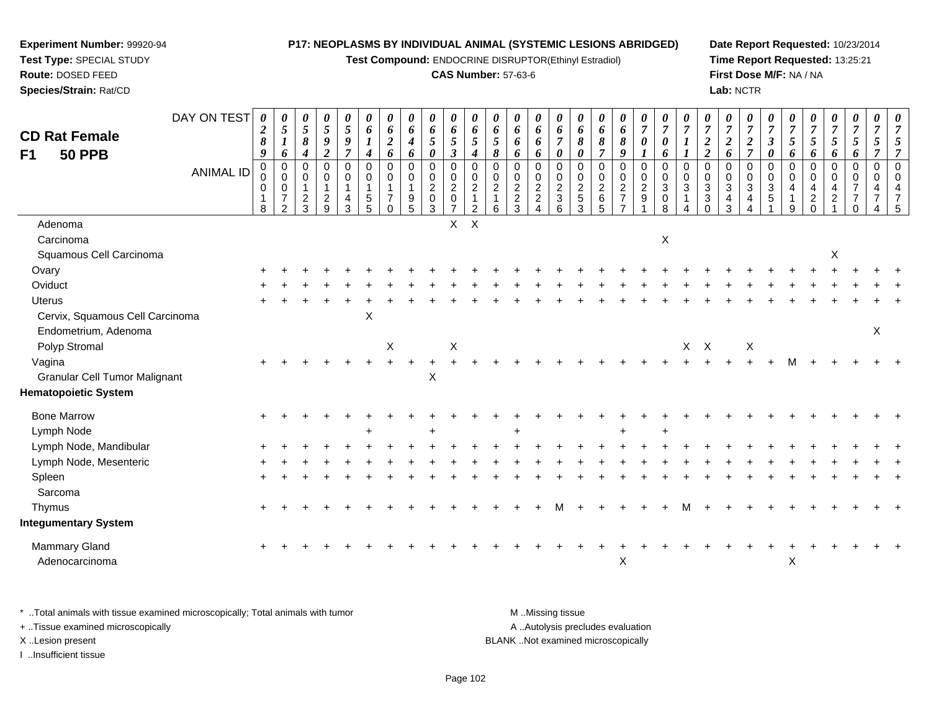**Test Compound:** ENDOCRINE DISRUPTOR(Ethinyl Estradiol)

#### **CAS Number:** 57-63-6

**Date Report Requested:** 10/23/2014**Time Report Requested:** 13:25:21**First Dose M/F:** NA / NA**Lab:** NCTR

|                                      | DAY ON TEST      | 0<br>$\boldsymbol{2}$   | 0<br>$\mathfrak{H}$                                                          | 0<br>$\mathfrak{s}$                                         | $\pmb{\theta}$<br>$\sqrt{5}$                                | 0<br>$\mathfrak{s}$                        | 0<br>6                                                     | 0<br>6                                                                   | 0<br>6                                                                            | 0<br>6                                    | 0<br>6                                                 | 0<br>6                                                                         | 0<br>6                                                                | 0<br>6                                      | 0<br>6                                                        | 0<br>6                                         | 0<br>6                                                         | 0<br>6                                                           | 0<br>$\pmb{6}$                                              | 0<br>$\boldsymbol{7}$                                       | 0<br>$\overline{7}$                                                       | 0<br>$\overline{7}$                      | 0<br>$\overline{7}$                                                   | $\boldsymbol{\theta}$<br>$\overline{7}$                                        | 0<br>$\boldsymbol{7}$                                | 0<br>$\overline{7}$                          | 0<br>$\overline{7}$                  | $\boldsymbol{\theta}$<br>$\overline{7}$          | $\boldsymbol{\theta}$<br>$\overline{7}$         | 0<br>$\boldsymbol{7}$                                                    | 0<br>$\overline{7}$                     |  |
|--------------------------------------|------------------|-------------------------|------------------------------------------------------------------------------|-------------------------------------------------------------|-------------------------------------------------------------|--------------------------------------------|------------------------------------------------------------|--------------------------------------------------------------------------|-----------------------------------------------------------------------------------|-------------------------------------------|--------------------------------------------------------|--------------------------------------------------------------------------------|-----------------------------------------------------------------------|---------------------------------------------|---------------------------------------------------------------|------------------------------------------------|----------------------------------------------------------------|------------------------------------------------------------------|-------------------------------------------------------------|-------------------------------------------------------------|---------------------------------------------------------------------------|------------------------------------------|-----------------------------------------------------------------------|--------------------------------------------------------------------------------|------------------------------------------------------|----------------------------------------------|--------------------------------------|--------------------------------------------------|-------------------------------------------------|--------------------------------------------------------------------------|-----------------------------------------|--|
| <b>CD Rat Female</b>                 |                  | 8                       | $\boldsymbol{l}$                                                             | $\boldsymbol{\delta}$                                       | $\boldsymbol{9}$                                            | 9                                          | $\boldsymbol{l}$                                           | $\boldsymbol{2}$                                                         | $\boldsymbol{4}$                                                                  | $\mathfrak{H}$                            | $\mathfrak{z}$                                         | 5                                                                              | $\mathfrak{s}$                                                        | 6                                           | 6                                                             | $\overline{7}$                                 | 8                                                              | 8                                                                | $\boldsymbol{\delta}$                                       | $\pmb{\theta}$                                              | $\boldsymbol{\theta}$                                                     |                                          | $\boldsymbol{2}$                                                      | $\boldsymbol{2}$                                                               |                                                      | $\boldsymbol{\beta}$                         | $\mathfrak{s}$                       | $\mathfrak{s}$                                   | $\mathfrak{I}$                                  | $5\overline{)}$                                                          | 5                                       |  |
| F1<br><b>50 PPB</b>                  |                  | 9                       | 6                                                                            | 4                                                           | $\boldsymbol{2}$                                            | $\overline{7}$                             | $\boldsymbol{4}$                                           | 6                                                                        | 6                                                                                 | $\pmb{\theta}$                            | $\boldsymbol{\beta}$                                   | $\boldsymbol{4}$                                                               | 8                                                                     | 6                                           | 6                                                             | 0                                              | 0                                                              | $\overline{7}$                                                   | 9                                                           | $\boldsymbol{l}$                                            | 6                                                                         |                                          | $\overline{2}$                                                        | 6                                                                              | $\frac{2}{7}$                                        | 0                                            | 6                                    | 6                                                | 6                                               | 6                                                                        | $\overline{7}$                          |  |
|                                      | <b>ANIMAL ID</b> | $\Omega$<br>0<br>0<br>8 | $\mathbf 0$<br>$\mathbf 0$<br>$\mathbf 0$<br>$\overline{7}$<br>$\mathcal{P}$ | $\mathbf 0$<br>$\mathbf 0$<br>$\mathbf{1}$<br>$\frac{2}{3}$ | $\pmb{0}$<br>$\mathbf 0$<br>$\overline{1}$<br>$\frac{2}{9}$ | $\mathbf 0$<br>0<br>$\mathbf{1}$<br>4<br>3 | $\mathbf 0$<br>$\mathbf 0$<br>$\mathbf 1$<br>$\frac{5}{5}$ | $\mathbf 0$<br>$\mathbf 0$<br>$\mathbf{1}$<br>$\overline{7}$<br>$\Omega$ | $\pmb{0}$<br>$\mathbf 0$<br>$\mathbf{1}$<br>$\begin{array}{c} 9 \\ 5 \end{array}$ | $\pmb{0}$<br>$\mathbf 0$<br>$\frac{2}{0}$ | $\pmb{0}$<br>$\mathbf 0$<br>$^2_{0}$<br>$\overline{7}$ | $\mathbf 0$<br>$\mathbf 0$<br>$\overline{c}$<br>$\mathbf{1}$<br>$\overline{2}$ | $\Omega$<br>$\mathbf 0$<br>$\begin{array}{c} 2 \\ 1 \end{array}$<br>6 | $\mathbf 0$<br>$\mathbf 0$<br>$\frac{2}{3}$ | $\mathbf 0$<br>$\mathbf 0$<br>$\frac{2}{2}$<br>$\overline{4}$ | $\pmb{0}$<br>0<br>$\frac{2}{3}$<br>$6^{\circ}$ | $\mathbf 0$<br>0<br>$\begin{array}{c} 2 \\ 5 \\ 3 \end{array}$ | $\mathbf 0$<br>$\mathbf 0$<br>$^2\phantom{1}6$<br>$\overline{5}$ | $\pmb{0}$<br>$\mathbf 0$<br>$\frac{2}{7}$<br>$\overline{7}$ | $\pmb{0}$<br>$\mathbf 0$<br>$\frac{2}{9}$<br>$\overline{1}$ | $\mathbf 0$<br>$\mathbf 0$<br>$\mathbf{3}$<br>$\pmb{0}$<br>$\overline{8}$ | $\Omega$<br>$\mathbf 0$<br>3<br>$\Delta$ | $\Omega$<br>$\mathbf 0$<br>$\ensuremath{\mathsf{3}}$<br>3<br>$\Omega$ | $\mathbf 0$<br>$\mathbf 0$<br>$\ensuremath{\mathsf{3}}$<br>$\overline{4}$<br>3 | $\mathbf 0$<br>$\mathbf 0$<br>$\mathbf{3}$<br>4<br>Δ | $\pmb{0}$<br>0<br>$\mathbf{3}$<br>$\sqrt{5}$ | $\mathbf 0$<br>$\mathbf 0$<br>4<br>9 | $\mathbf 0$<br>$\mathbf 0$<br>4<br>$\frac{2}{0}$ | $\pmb{0}$<br>$\mathbf 0$<br>4<br>$\overline{2}$ | $\pmb{0}$<br>$\mathbf 0$<br>$\overline{7}$<br>$\overline{7}$<br>$\Omega$ | $\pmb{0}$<br>$\mathbf 0$<br>4<br>7<br>4 |  |
| Adenoma                              |                  |                         |                                                                              |                                                             |                                                             |                                            |                                                            |                                                                          |                                                                                   |                                           | $\mathsf{X}$                                           | $\mathsf X$                                                                    |                                                                       |                                             |                                                               |                                                |                                                                |                                                                  |                                                             |                                                             |                                                                           |                                          |                                                                       |                                                                                |                                                      |                                              |                                      |                                                  |                                                 |                                                                          |                                         |  |
| Carcinoma                            |                  |                         |                                                                              |                                                             |                                                             |                                            |                                                            |                                                                          |                                                                                   |                                           |                                                        |                                                                                |                                                                       |                                             |                                                               |                                                |                                                                |                                                                  |                                                             |                                                             | $\boldsymbol{\mathsf{X}}$                                                 |                                          |                                                                       |                                                                                |                                                      |                                              |                                      |                                                  |                                                 |                                                                          |                                         |  |
| Squamous Cell Carcinoma              |                  |                         |                                                                              |                                                             |                                                             |                                            |                                                            |                                                                          |                                                                                   |                                           |                                                        |                                                                                |                                                                       |                                             |                                                               |                                                |                                                                |                                                                  |                                                             |                                                             |                                                                           |                                          |                                                                       |                                                                                |                                                      |                                              |                                      |                                                  | Χ                                               |                                                                          |                                         |  |
| Ovary                                |                  |                         |                                                                              |                                                             |                                                             |                                            |                                                            |                                                                          |                                                                                   |                                           |                                                        |                                                                                |                                                                       |                                             |                                                               |                                                |                                                                |                                                                  |                                                             |                                                             |                                                                           |                                          |                                                                       |                                                                                |                                                      |                                              |                                      |                                                  |                                                 |                                                                          |                                         |  |
| Oviduct                              |                  |                         |                                                                              |                                                             |                                                             |                                            |                                                            |                                                                          |                                                                                   |                                           |                                                        |                                                                                |                                                                       |                                             |                                                               |                                                |                                                                |                                                                  |                                                             |                                                             |                                                                           |                                          |                                                                       |                                                                                |                                                      |                                              |                                      |                                                  |                                                 |                                                                          |                                         |  |
| <b>Uterus</b>                        |                  |                         |                                                                              |                                                             |                                                             |                                            |                                                            |                                                                          |                                                                                   |                                           |                                                        |                                                                                |                                                                       |                                             |                                                               |                                                |                                                                |                                                                  |                                                             |                                                             |                                                                           |                                          |                                                                       |                                                                                |                                                      |                                              |                                      |                                                  |                                                 |                                                                          |                                         |  |
| Cervix, Squamous Cell Carcinoma      |                  |                         |                                                                              |                                                             |                                                             |                                            | X                                                          |                                                                          |                                                                                   |                                           |                                                        |                                                                                |                                                                       |                                             |                                                               |                                                |                                                                |                                                                  |                                                             |                                                             |                                                                           |                                          |                                                                       |                                                                                |                                                      |                                              |                                      |                                                  |                                                 |                                                                          |                                         |  |
| Endometrium, Adenoma                 |                  |                         |                                                                              |                                                             |                                                             |                                            |                                                            |                                                                          |                                                                                   |                                           |                                                        |                                                                                |                                                                       |                                             |                                                               |                                                |                                                                |                                                                  |                                                             |                                                             |                                                                           |                                          |                                                                       |                                                                                |                                                      |                                              |                                      |                                                  |                                                 |                                                                          | X                                       |  |
| Polyp Stromal                        |                  |                         |                                                                              |                                                             |                                                             |                                            |                                                            | X                                                                        |                                                                                   |                                           | $\boldsymbol{X}$                                       |                                                                                |                                                                       |                                             |                                                               |                                                |                                                                |                                                                  |                                                             |                                                             |                                                                           |                                          | $X$ $X$                                                               |                                                                                | X                                                    |                                              |                                      |                                                  |                                                 |                                                                          |                                         |  |
| Vagina                               |                  |                         |                                                                              |                                                             |                                                             |                                            |                                                            |                                                                          |                                                                                   |                                           | $+$                                                    |                                                                                |                                                                       |                                             |                                                               |                                                |                                                                |                                                                  |                                                             |                                                             |                                                                           |                                          |                                                                       |                                                                                |                                                      |                                              |                                      |                                                  |                                                 |                                                                          |                                         |  |
| <b>Granular Cell Tumor Malignant</b> |                  |                         |                                                                              |                                                             |                                                             |                                            |                                                            |                                                                          |                                                                                   | $\boldsymbol{\mathsf{X}}$                 |                                                        |                                                                                |                                                                       |                                             |                                                               |                                                |                                                                |                                                                  |                                                             |                                                             |                                                                           |                                          |                                                                       |                                                                                |                                                      |                                              |                                      |                                                  |                                                 |                                                                          |                                         |  |
| <b>Hematopoietic System</b>          |                  |                         |                                                                              |                                                             |                                                             |                                            |                                                            |                                                                          |                                                                                   |                                           |                                                        |                                                                                |                                                                       |                                             |                                                               |                                                |                                                                |                                                                  |                                                             |                                                             |                                                                           |                                          |                                                                       |                                                                                |                                                      |                                              |                                      |                                                  |                                                 |                                                                          |                                         |  |
| <b>Bone Marrow</b>                   |                  |                         |                                                                              |                                                             |                                                             |                                            |                                                            |                                                                          |                                                                                   |                                           |                                                        |                                                                                |                                                                       |                                             |                                                               |                                                |                                                                |                                                                  |                                                             |                                                             |                                                                           |                                          |                                                                       |                                                                                |                                                      |                                              |                                      |                                                  |                                                 |                                                                          |                                         |  |
| Lymph Node                           |                  |                         |                                                                              |                                                             |                                                             |                                            |                                                            |                                                                          |                                                                                   |                                           |                                                        |                                                                                |                                                                       |                                             |                                                               |                                                |                                                                |                                                                  |                                                             |                                                             | $\ddot{}$                                                                 |                                          |                                                                       |                                                                                |                                                      |                                              |                                      |                                                  |                                                 |                                                                          |                                         |  |
| Lymph Node, Mandibular               |                  |                         |                                                                              |                                                             |                                                             |                                            |                                                            |                                                                          |                                                                                   |                                           |                                                        |                                                                                |                                                                       |                                             |                                                               |                                                |                                                                |                                                                  |                                                             |                                                             |                                                                           |                                          |                                                                       |                                                                                |                                                      |                                              |                                      |                                                  |                                                 |                                                                          |                                         |  |
| Lymph Node, Mesenteric               |                  |                         |                                                                              |                                                             |                                                             |                                            |                                                            |                                                                          |                                                                                   |                                           |                                                        |                                                                                |                                                                       |                                             |                                                               |                                                |                                                                |                                                                  |                                                             |                                                             |                                                                           |                                          |                                                                       |                                                                                |                                                      |                                              |                                      |                                                  |                                                 |                                                                          |                                         |  |
| Spleen                               |                  |                         |                                                                              |                                                             |                                                             |                                            |                                                            |                                                                          |                                                                                   |                                           |                                                        |                                                                                |                                                                       |                                             |                                                               |                                                |                                                                |                                                                  |                                                             |                                                             |                                                                           |                                          |                                                                       |                                                                                |                                                      |                                              |                                      |                                                  |                                                 |                                                                          |                                         |  |
| Sarcoma                              |                  |                         |                                                                              |                                                             |                                                             |                                            |                                                            |                                                                          |                                                                                   |                                           |                                                        |                                                                                |                                                                       |                                             |                                                               |                                                |                                                                |                                                                  |                                                             |                                                             |                                                                           |                                          |                                                                       |                                                                                |                                                      |                                              |                                      |                                                  |                                                 |                                                                          |                                         |  |
| Thymus                               |                  |                         |                                                                              |                                                             |                                                             |                                            |                                                            |                                                                          |                                                                                   |                                           |                                                        |                                                                                |                                                                       |                                             |                                                               |                                                |                                                                |                                                                  |                                                             |                                                             |                                                                           |                                          |                                                                       |                                                                                |                                                      |                                              |                                      |                                                  |                                                 |                                                                          |                                         |  |
| <b>Integumentary System</b>          |                  |                         |                                                                              |                                                             |                                                             |                                            |                                                            |                                                                          |                                                                                   |                                           |                                                        |                                                                                |                                                                       |                                             |                                                               |                                                |                                                                |                                                                  |                                                             |                                                             |                                                                           |                                          |                                                                       |                                                                                |                                                      |                                              |                                      |                                                  |                                                 |                                                                          |                                         |  |
| Mammary Gland                        |                  |                         |                                                                              |                                                             |                                                             |                                            |                                                            |                                                                          |                                                                                   |                                           |                                                        |                                                                                |                                                                       |                                             |                                                               |                                                |                                                                |                                                                  |                                                             |                                                             |                                                                           |                                          |                                                                       |                                                                                |                                                      |                                              |                                      |                                                  |                                                 |                                                                          |                                         |  |
| Adenocarcinoma                       |                  |                         |                                                                              |                                                             |                                                             |                                            |                                                            |                                                                          |                                                                                   |                                           |                                                        |                                                                                |                                                                       |                                             |                                                               |                                                |                                                                |                                                                  | X                                                           |                                                             |                                                                           |                                          |                                                                       |                                                                                |                                                      |                                              | X                                    |                                                  |                                                 |                                                                          |                                         |  |
|                                      |                  |                         |                                                                              |                                                             |                                                             |                                            |                                                            |                                                                          |                                                                                   |                                           |                                                        |                                                                                |                                                                       |                                             |                                                               |                                                |                                                                |                                                                  |                                                             |                                                             |                                                                           |                                          |                                                                       |                                                                                |                                                      |                                              |                                      |                                                  |                                                 |                                                                          |                                         |  |

\* ..Total animals with tissue examined microscopically; Total animals with tumor **M** . Missing tissue M ..Missing tissue A ..Autolysis precludes evaluation + ..Tissue examined microscopically X ..Lesion present BLANK ..Not examined microscopically

I ..Insufficient tissue

**Test Type:** SPECIAL STUDY**Route:** DOSED FEED

**Experiment Number:** 99920-94

**Species/Strain:** Rat/CD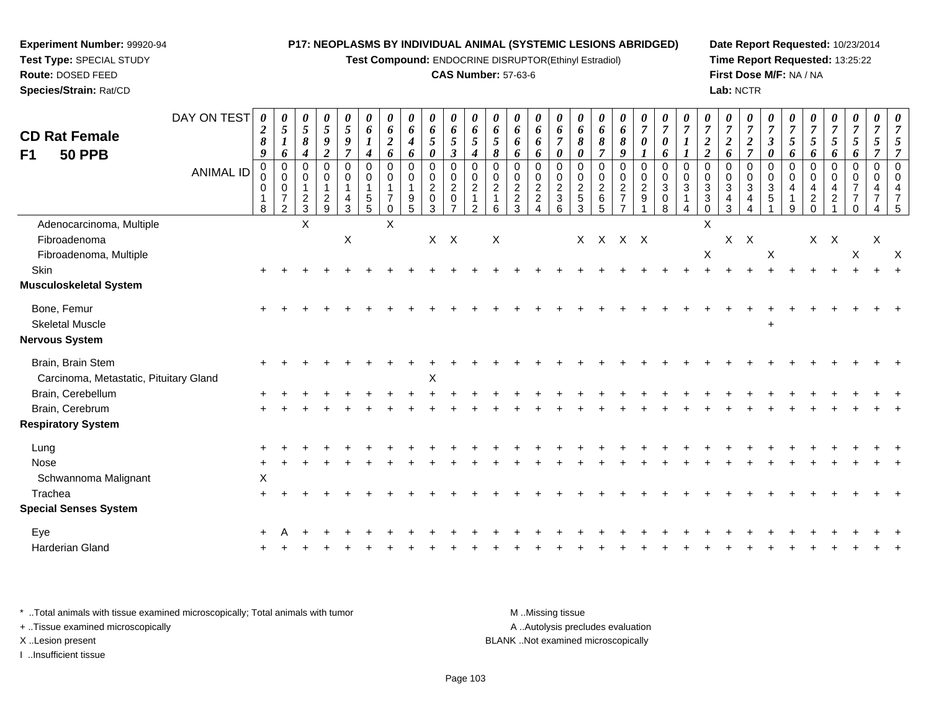**Test Compound:** ENDOCRINE DISRUPTOR(Ethinyl Estradiol)

#### **CAS Number:** 57-63-6

**Date Report Requested:** 10/23/2014**Time Report Requested:** 13:25:22**First Dose M/F:** NA / NA**Lab:** NCTR

| <b>CD Rat Female</b><br><b>50 PPB</b><br>F <sub>1</sub>     | DAY ON TEST      | 0<br>$\boldsymbol{2}$<br>$\pmb{8}$<br>9 | 0<br>$\overline{5}$<br>$\boldsymbol{l}$<br>6                                   | 0<br>5<br>8<br>4                              | 0<br>$\mathfrak{s}$<br>$\boldsymbol{g}$<br>$\overline{2}$ | $\boldsymbol{\theta}$<br>$\sqrt{5}$<br>$\boldsymbol{g}$<br>$\overline{7}$  | $\boldsymbol{\theta}$<br>6<br>$\boldsymbol{I}$<br>4                                | $\boldsymbol{\theta}$<br>6<br>$\boldsymbol{2}$<br>6      | 0<br>6<br>$\boldsymbol{4}$<br>6                                          | 0<br>6<br>5<br>$\boldsymbol{\theta}$                                      | 0<br>6<br>$5\overline{)}$<br>$\boldsymbol{\beta}$         | $\boldsymbol{\theta}$<br>6<br>$5\overline{)}$<br>$\boldsymbol{4}$               | 0<br>6<br>$\sqrt{5}$<br>8                                      | 0<br>6<br>6<br>6                             | 0<br>6<br>6<br>6                                           | $\boldsymbol{\theta}$<br>6<br>$\overline{7}$<br>0                 | $\boldsymbol{\theta}$<br>6<br>8<br>0 | $\boldsymbol{\theta}$<br>6<br>8                       | $\boldsymbol{\theta}$<br>6<br>8<br>9                                         | $\boldsymbol{\theta}$<br>$\overline{7}$<br>$\boldsymbol{\theta}$<br>$\boldsymbol{l}$ | $\boldsymbol{\theta}$<br>$\overline{7}$<br>$\boldsymbol{\theta}$<br>6 | $\overline{7}$<br>$\bm{l}$              | 0<br>$\overline{7}$<br>$\boldsymbol{2}$<br>$\overline{2}$                        | $\boldsymbol{\theta}$<br>$\boldsymbol{7}$<br>$\boldsymbol{2}$<br>6        | 0<br>$\overline{7}$<br>$\boldsymbol{2}$<br>$\overline{7}$    | $\boldsymbol{\theta}$<br>$\overline{7}$<br>$\boldsymbol{\beta}$<br>0 | $\overline{7}$<br>5<br>6     | 0<br>$\overline{7}$<br>5<br>6         | $\boldsymbol{\theta}$<br>$\overline{7}$<br>$\mathfrak{z}$<br>6 | $\boldsymbol{\theta}$<br>$\overline{7}$<br>$\mathfrak{s}$<br>6 | 0<br>$\overline{7}$<br>$\sqrt{5}$<br>$\overline{7}$ | $\boldsymbol{\theta}$<br>$\overline{7}$<br>5<br>$\overline{7}$ |
|-------------------------------------------------------------|------------------|-----------------------------------------|--------------------------------------------------------------------------------|-----------------------------------------------|-----------------------------------------------------------|----------------------------------------------------------------------------|------------------------------------------------------------------------------------|----------------------------------------------------------|--------------------------------------------------------------------------|---------------------------------------------------------------------------|-----------------------------------------------------------|---------------------------------------------------------------------------------|----------------------------------------------------------------|----------------------------------------------|------------------------------------------------------------|-------------------------------------------------------------------|--------------------------------------|-------------------------------------------------------|------------------------------------------------------------------------------|--------------------------------------------------------------------------------------|-----------------------------------------------------------------------|-----------------------------------------|----------------------------------------------------------------------------------|---------------------------------------------------------------------------|--------------------------------------------------------------|----------------------------------------------------------------------|------------------------------|---------------------------------------|----------------------------------------------------------------|----------------------------------------------------------------|-----------------------------------------------------|----------------------------------------------------------------|
|                                                             | <b>ANIMAL ID</b> | $\mathbf 0$<br>0<br>0<br>8              | $\overline{0}$<br>$\mathbf 0$<br>$\pmb{0}$<br>$\overline{7}$<br>$\overline{2}$ | $\Omega$<br>$\mathbf 0$<br>1<br>$\frac{2}{3}$ | $\mathbf 0$<br>0<br>$\overline{1}$<br>$\frac{2}{9}$       | $\mathbf 0$<br>$\mathbf 0$<br>1<br>$\overline{\mathbf{r}}$<br>$\mathbf{3}$ | $\Omega$<br>$\mathbf 0$<br>$\overline{1}$<br>$\begin{array}{c} 5 \\ 5 \end{array}$ | $\Omega$<br>$\mathbf 0$<br>$\overline{7}$<br>$\mathbf 0$ | $\mathbf 0$<br>$\mathbf 0$<br>1<br>$\begin{array}{c} 9 \\ 5 \end{array}$ | $\mathbf 0$<br>$\mathbf 0$<br>$\overline{c}$<br>$\pmb{0}$<br>$\mathbf{3}$ | $\mathbf 0$<br>0<br>$\overline{c}$<br>0<br>$\overline{7}$ | $\Omega$<br>$\mathbf 0$<br>$\boldsymbol{2}$<br>$\overline{1}$<br>$\overline{2}$ | $\mathbf{0}$<br>$\mathbf 0$<br>$\sqrt{2}$<br>$\mathbf{1}$<br>6 | $\Omega$<br>0<br>$\sqrt{2}$<br>$\frac{2}{3}$ | $\Omega$<br>$\mathbf 0$<br>$\overline{c}$<br>$\frac{2}{4}$ | $\Omega$<br>0<br>$\overline{c}$<br>$\ensuremath{\mathsf{3}}$<br>6 | $\Omega$<br>0<br>$\frac{2}{3}$       | $\Omega$<br>$\mathbf 0$<br>$\boldsymbol{2}$<br>$^6_5$ | $\mathbf 0$<br>$\mathbf 0$<br>$\sqrt{2}$<br>$\overline{7}$<br>$\overline{7}$ | $\mathbf 0$<br>$\mathbf 0$<br>$\sqrt{2}$<br>$\boldsymbol{9}$<br>$\overline{1}$       | $\Omega$<br>$\mathbf 0$<br>$\sqrt{3}$<br>$\pmb{0}$<br>8               | $\Omega$<br>$\mathbf 0$<br>$\mathbf{3}$ | $\Omega$<br>$\mathbf 0$<br>$\ensuremath{\mathsf{3}}$<br>$\mathbf{3}$<br>$\Omega$ | $\Omega$<br>$\pmb{0}$<br>$\ensuremath{\mathsf{3}}$<br>$\overline{4}$<br>3 | $\Omega$<br>$\mathbf 0$<br>$\sqrt{3}$<br>4<br>$\overline{4}$ | $\Omega$<br>$\mathbf 0$<br>$\ensuremath{\mathsf{3}}$<br>5            | $\Omega$<br>$\mathbf 0$<br>9 | $\Omega$<br>$\Omega$<br>2<br>$\Omega$ | $\mathbf 0$<br>$\mathbf 0$<br>$\overline{4}$<br>$\overline{c}$ | $\mathbf 0$<br>$\mathbf 0$<br>$\overline{7}$<br>$\Omega$       | $\mathbf 0$<br>$\mathbf 0$                          | $\Omega$<br>$\Omega$<br>$\overline{A}$<br>.5                   |
| Adenocarcinoma, Multiple                                    |                  |                                         |                                                                                | X                                             |                                                           |                                                                            |                                                                                    | X                                                        |                                                                          |                                                                           |                                                           |                                                                                 |                                                                |                                              |                                                            |                                                                   |                                      |                                                       |                                                                              |                                                                                      |                                                                       |                                         | X                                                                                |                                                                           |                                                              |                                                                      |                              |                                       |                                                                |                                                                |                                                     |                                                                |
| Fibroadenoma                                                |                  |                                         |                                                                                |                                               |                                                           | X                                                                          |                                                                                    |                                                          |                                                                          | $X$ $X$                                                                   |                                                           |                                                                                 | X                                                              |                                              |                                                            |                                                                   |                                      | X X X X                                               |                                                                              |                                                                                      |                                                                       |                                         |                                                                                  |                                                                           | $X$ $X$                                                      |                                                                      |                              |                                       | $X$ $X$                                                        |                                                                | X                                                   |                                                                |
| Fibroadenoma, Multiple                                      |                  |                                         |                                                                                |                                               |                                                           |                                                                            |                                                                                    |                                                          |                                                                          |                                                                           |                                                           |                                                                                 |                                                                |                                              |                                                            |                                                                   |                                      |                                                       |                                                                              |                                                                                      |                                                                       |                                         | $\mathsf X$                                                                      |                                                                           |                                                              | X                                                                    |                              |                                       |                                                                | X                                                              |                                                     | $\times$                                                       |
| Skin                                                        |                  |                                         |                                                                                |                                               |                                                           |                                                                            |                                                                                    |                                                          |                                                                          |                                                                           |                                                           |                                                                                 |                                                                |                                              |                                                            |                                                                   |                                      |                                                       |                                                                              |                                                                                      |                                                                       |                                         |                                                                                  |                                                                           |                                                              |                                                                      |                              |                                       |                                                                |                                                                |                                                     |                                                                |
| <b>Musculoskeletal System</b>                               |                  |                                         |                                                                                |                                               |                                                           |                                                                            |                                                                                    |                                                          |                                                                          |                                                                           |                                                           |                                                                                 |                                                                |                                              |                                                            |                                                                   |                                      |                                                       |                                                                              |                                                                                      |                                                                       |                                         |                                                                                  |                                                                           |                                                              |                                                                      |                              |                                       |                                                                |                                                                |                                                     |                                                                |
| Bone, Femur<br><b>Skeletal Muscle</b>                       |                  |                                         |                                                                                |                                               |                                                           |                                                                            |                                                                                    |                                                          |                                                                          |                                                                           |                                                           |                                                                                 |                                                                |                                              |                                                            |                                                                   |                                      |                                                       |                                                                              |                                                                                      |                                                                       |                                         |                                                                                  |                                                                           |                                                              |                                                                      |                              |                                       |                                                                |                                                                |                                                     |                                                                |
| <b>Nervous System</b>                                       |                  |                                         |                                                                                |                                               |                                                           |                                                                            |                                                                                    |                                                          |                                                                          |                                                                           |                                                           |                                                                                 |                                                                |                                              |                                                            |                                                                   |                                      |                                                       |                                                                              |                                                                                      |                                                                       |                                         |                                                                                  |                                                                           |                                                              | $\ddot{}$                                                            |                              |                                       |                                                                |                                                                |                                                     |                                                                |
| Brain, Brain Stem<br>Carcinoma, Metastatic, Pituitary Gland |                  |                                         |                                                                                |                                               |                                                           |                                                                            |                                                                                    |                                                          |                                                                          | X                                                                         |                                                           |                                                                                 |                                                                |                                              |                                                            |                                                                   |                                      |                                                       |                                                                              |                                                                                      |                                                                       |                                         |                                                                                  |                                                                           |                                                              |                                                                      |                              |                                       |                                                                |                                                                |                                                     |                                                                |
| Brain, Cerebellum                                           |                  |                                         |                                                                                |                                               |                                                           |                                                                            |                                                                                    |                                                          |                                                                          |                                                                           |                                                           |                                                                                 |                                                                |                                              |                                                            |                                                                   |                                      |                                                       |                                                                              |                                                                                      |                                                                       |                                         |                                                                                  |                                                                           |                                                              |                                                                      |                              |                                       |                                                                |                                                                |                                                     |                                                                |
| Brain, Cerebrum                                             |                  |                                         |                                                                                |                                               |                                                           |                                                                            |                                                                                    |                                                          |                                                                          |                                                                           |                                                           |                                                                                 |                                                                |                                              |                                                            |                                                                   |                                      |                                                       |                                                                              |                                                                                      |                                                                       |                                         |                                                                                  |                                                                           |                                                              |                                                                      |                              |                                       |                                                                |                                                                |                                                     |                                                                |
| <b>Respiratory System</b>                                   |                  |                                         |                                                                                |                                               |                                                           |                                                                            |                                                                                    |                                                          |                                                                          |                                                                           |                                                           |                                                                                 |                                                                |                                              |                                                            |                                                                   |                                      |                                                       |                                                                              |                                                                                      |                                                                       |                                         |                                                                                  |                                                                           |                                                              |                                                                      |                              |                                       |                                                                |                                                                |                                                     |                                                                |
| Lung                                                        |                  |                                         |                                                                                |                                               |                                                           |                                                                            |                                                                                    |                                                          |                                                                          |                                                                           |                                                           |                                                                                 |                                                                |                                              |                                                            |                                                                   |                                      |                                                       |                                                                              |                                                                                      |                                                                       |                                         |                                                                                  |                                                                           |                                                              |                                                                      |                              |                                       |                                                                |                                                                |                                                     |                                                                |
| Nose                                                        |                  |                                         |                                                                                |                                               |                                                           |                                                                            |                                                                                    |                                                          |                                                                          |                                                                           |                                                           |                                                                                 |                                                                |                                              |                                                            |                                                                   |                                      |                                                       |                                                                              |                                                                                      |                                                                       |                                         |                                                                                  |                                                                           |                                                              |                                                                      |                              |                                       |                                                                |                                                                |                                                     |                                                                |
| Schwannoma Malignant                                        |                  | X                                       |                                                                                |                                               |                                                           |                                                                            |                                                                                    |                                                          |                                                                          |                                                                           |                                                           |                                                                                 |                                                                |                                              |                                                            |                                                                   |                                      |                                                       |                                                                              |                                                                                      |                                                                       |                                         |                                                                                  |                                                                           |                                                              |                                                                      |                              |                                       |                                                                |                                                                |                                                     |                                                                |
| Trachea                                                     |                  |                                         |                                                                                |                                               |                                                           |                                                                            |                                                                                    |                                                          |                                                                          |                                                                           |                                                           |                                                                                 |                                                                |                                              |                                                            |                                                                   |                                      |                                                       |                                                                              |                                                                                      |                                                                       |                                         |                                                                                  |                                                                           |                                                              |                                                                      |                              |                                       |                                                                |                                                                |                                                     |                                                                |
| <b>Special Senses System</b>                                |                  |                                         |                                                                                |                                               |                                                           |                                                                            |                                                                                    |                                                          |                                                                          |                                                                           |                                                           |                                                                                 |                                                                |                                              |                                                            |                                                                   |                                      |                                                       |                                                                              |                                                                                      |                                                                       |                                         |                                                                                  |                                                                           |                                                              |                                                                      |                              |                                       |                                                                |                                                                |                                                     |                                                                |
| Eye                                                         |                  |                                         |                                                                                |                                               |                                                           |                                                                            |                                                                                    |                                                          |                                                                          |                                                                           |                                                           |                                                                                 |                                                                |                                              |                                                            |                                                                   |                                      |                                                       |                                                                              |                                                                                      |                                                                       |                                         |                                                                                  |                                                                           |                                                              |                                                                      |                              |                                       |                                                                |                                                                |                                                     |                                                                |
| Harderian Gland                                             |                  |                                         |                                                                                |                                               |                                                           |                                                                            |                                                                                    |                                                          |                                                                          |                                                                           |                                                           |                                                                                 |                                                                |                                              |                                                            |                                                                   |                                      |                                                       |                                                                              |                                                                                      |                                                                       |                                         |                                                                                  |                                                                           |                                                              |                                                                      |                              |                                       |                                                                |                                                                |                                                     |                                                                |
|                                                             |                  |                                         |                                                                                |                                               |                                                           |                                                                            |                                                                                    |                                                          |                                                                          |                                                                           |                                                           |                                                                                 |                                                                |                                              |                                                            |                                                                   |                                      |                                                       |                                                                              |                                                                                      |                                                                       |                                         |                                                                                  |                                                                           |                                                              |                                                                      |                              |                                       |                                                                |                                                                |                                                     |                                                                |

\* ..Total animals with tissue examined microscopically; Total animals with tumor **M** . Missing tissue M ..Missing tissue A ..Autolysis precludes evaluation + ..Tissue examined microscopically X ..Lesion present BLANK ..Not examined microscopicallyI ..Insufficient tissue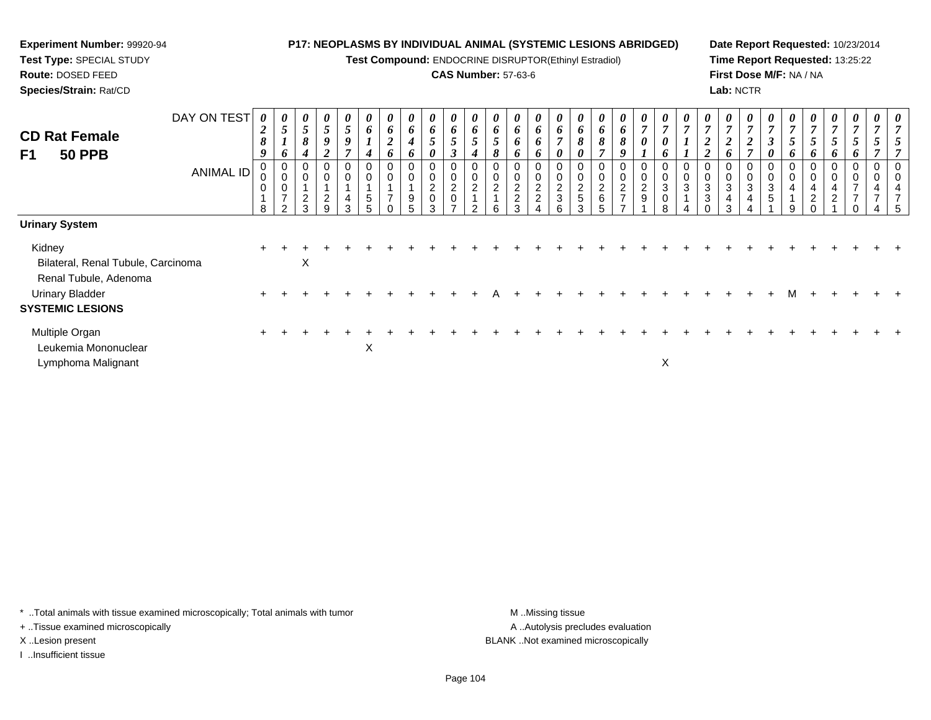**Test Compound:** ENDOCRINE DISRUPTOR(Ethinyl Estradiol)

#### **CAS Number:** 57-63-6

**Date Report Requested:** 10/23/2014**Time Report Requested:** 13:25:22**First Dose M/F:** NA / NA**Lab:** NCTR

| <b>CD Rat Female</b><br>F1<br><b>50 PPB</b>  | DAY ON TEST<br><b>ANIMAL ID</b> | 0<br>$\boldsymbol{2}$<br>8<br>9<br>0<br>0<br>$\mathbf 0$<br>8 | U<br>$\overline{5}$<br>$\mathbf{I}$<br>$\bm{o}$<br>$\mathbf 0$<br>$\pmb{0}$<br>$\mathbf 0$<br>$\overline{7}$<br>$\mathcal{P}$ | 0<br>5<br>8<br>$\overline{2}$<br>3 | 0<br>$\mathfrak{I}$<br>9<br>∠<br>0<br>0<br>$\overline{c}$<br>9 | 0<br>$5\overline{)}$<br>9<br>$\overline{ }$<br>0<br>$\mathbf 0$<br>4<br>3 | 0<br>6<br>$\mathbf{I}$<br>4<br>0<br>$\mathbf 0$<br>$\sqrt{5}$<br>5 | 6<br>$\overline{2}$<br>o<br>$\mathbf 0$<br>$\overline{ }$ | $\boldsymbol{\theta}$<br>6<br>4<br>o<br>9<br>5. | 0<br>6<br>$5\overline{)}$<br>0<br>$\pmb{0}$<br>$\boldsymbol{2}$<br>$\pmb{0}$<br>3 | 0<br>6<br>$\mathfrak{H}$<br>3<br>0<br>$\pmb{0}$<br>$\overline{2}$<br>$\pmb{0}$ | 0<br>6<br>$\mathfrak{I}$<br>4<br>0<br>0<br>$\overline{c}$<br>$\mathcal{P}$ | $\boldsymbol{\mathit{U}}$<br>6<br>5<br>$\sigma$<br>$\mathbf 0$<br>$\overline{2}$<br>6 | $\theta$<br>6<br>6<br>o<br>2<br>$\overline{c}$ | 0<br>6<br>6<br>$\bm{o}$<br>0<br>0<br>$\frac{2}{2}$ | 0<br>6<br>$\overline{ }$<br>0<br>0<br>$\pmb{0}$<br>$\frac{2}{3}$<br>6 | $\boldsymbol{\theta}$<br>6<br>8<br>0<br>0<br>0<br>$\frac{2}{5}$<br>3 | $\boldsymbol{\mathit{U}}$<br>6<br>8<br>$\mathbf 0$<br>$\overline{c}$<br>$\,6\,$ | $\boldsymbol{\theta}$<br>6<br>8<br>o<br>$\overline{\mathbf{c}}$<br>$\overline{ }$ | $\boldsymbol{\theta}$<br>$\overline{7}$<br>$\boldsymbol{\theta}$<br>0<br>$\mathbf 0$<br>$\frac{2}{9}$ | $\boldsymbol{\theta}$<br>$\overline{7}$<br>$\boldsymbol{\theta}$<br>$\bm{b}$<br>0<br>$\pmb{0}$<br>$\sqrt{3}$<br>$\pmb{0}$<br>8 | 0<br>$\overline{7}$<br>$\mathbf{I}$<br>0<br>$\pmb{0}$<br>$\ensuremath{\mathsf{3}}$ | $\boldsymbol{\mathit{U}}$<br>$\overline{7}$<br>$\boldsymbol{2}$<br>$\boldsymbol{2}$<br>$\mathbf 0$<br>3<br>3 | $\theta$<br>$\mathbf{r}$<br>2<br>3<br>4<br>3 | $\boldsymbol{\theta}$<br>$\overline{7}$<br>$\boldsymbol{2}$<br>$\overline{ }$<br>0<br>$\mathbf 0$<br>$\sqrt{3}$<br>4 | $\boldsymbol{\theta}$<br>$\overline{7}$<br>$\boldsymbol{\beta}$<br>0<br>0<br>$\pmb{0}$<br>$\sqrt{3}$<br>$\sqrt{5}$ | 7<br>$\mathfrak{I}$<br>6<br>0<br>$\pmb{0}$<br>4<br>9 | 7<br>$\mathfrak{I}$<br>$\bm{o}$<br>$\mathbf 0$<br>4<br>$\boldsymbol{2}$ | U.<br>$\mathbf{z}$<br>o<br>$\overline{c}$ | $\overline{ }$<br>O | 0<br>0 |  |
|----------------------------------------------|---------------------------------|---------------------------------------------------------------|-------------------------------------------------------------------------------------------------------------------------------|------------------------------------|----------------------------------------------------------------|---------------------------------------------------------------------------|--------------------------------------------------------------------|-----------------------------------------------------------|-------------------------------------------------|-----------------------------------------------------------------------------------|--------------------------------------------------------------------------------|----------------------------------------------------------------------------|---------------------------------------------------------------------------------------|------------------------------------------------|----------------------------------------------------|-----------------------------------------------------------------------|----------------------------------------------------------------------|---------------------------------------------------------------------------------|-----------------------------------------------------------------------------------|-------------------------------------------------------------------------------------------------------|--------------------------------------------------------------------------------------------------------------------------------|------------------------------------------------------------------------------------|--------------------------------------------------------------------------------------------------------------|----------------------------------------------|----------------------------------------------------------------------------------------------------------------------|--------------------------------------------------------------------------------------------------------------------|------------------------------------------------------|-------------------------------------------------------------------------|-------------------------------------------|---------------------|--------|--|
| <b>Urinary System</b>                        |                                 |                                                               |                                                                                                                               |                                    |                                                                |                                                                           |                                                                    |                                                           |                                                 |                                                                                   |                                                                                |                                                                            |                                                                                       |                                                |                                                    |                                                                       |                                                                      |                                                                                 |                                                                                   |                                                                                                       |                                                                                                                                |                                                                                    |                                                                                                              |                                              |                                                                                                                      |                                                                                                                    |                                                      |                                                                         |                                           |                     |        |  |
| Kidney<br>Bilateral, Renal Tubule, Carcinoma |                                 |                                                               |                                                                                                                               | X                                  |                                                                |                                                                           |                                                                    |                                                           |                                                 |                                                                                   |                                                                                |                                                                            |                                                                                       |                                                |                                                    |                                                                       |                                                                      |                                                                                 |                                                                                   |                                                                                                       |                                                                                                                                |                                                                                    |                                                                                                              |                                              |                                                                                                                      |                                                                                                                    |                                                      |                                                                         |                                           |                     |        |  |
| Renal Tubule, Adenoma<br>Urinary Bladder     |                                 |                                                               |                                                                                                                               |                                    |                                                                |                                                                           |                                                                    |                                                           |                                                 |                                                                                   |                                                                                |                                                                            |                                                                                       |                                                |                                                    |                                                                       |                                                                      |                                                                                 |                                                                                   |                                                                                                       |                                                                                                                                |                                                                                    |                                                                                                              |                                              |                                                                                                                      |                                                                                                                    |                                                      |                                                                         |                                           |                     |        |  |
| <b>SYSTEMIC LESIONS</b>                      |                                 |                                                               |                                                                                                                               |                                    |                                                                |                                                                           |                                                                    |                                                           |                                                 |                                                                                   |                                                                                |                                                                            |                                                                                       |                                                |                                                    |                                                                       |                                                                      |                                                                                 |                                                                                   |                                                                                                       |                                                                                                                                |                                                                                    |                                                                                                              |                                              |                                                                                                                      |                                                                                                                    |                                                      |                                                                         |                                           |                     |        |  |
| Multiple Organ<br>Leukemia Mononuclear       |                                 |                                                               |                                                                                                                               |                                    |                                                                |                                                                           | X                                                                  |                                                           |                                                 |                                                                                   |                                                                                |                                                                            |                                                                                       |                                                |                                                    |                                                                       |                                                                      |                                                                                 |                                                                                   |                                                                                                       |                                                                                                                                |                                                                                    |                                                                                                              |                                              |                                                                                                                      |                                                                                                                    |                                                      |                                                                         |                                           |                     |        |  |
| Lymphoma Malignant                           |                                 |                                                               |                                                                                                                               |                                    |                                                                |                                                                           |                                                                    |                                                           |                                                 |                                                                                   |                                                                                |                                                                            |                                                                                       |                                                |                                                    |                                                                       |                                                                      |                                                                                 |                                                                                   |                                                                                                       | X                                                                                                                              |                                                                                    |                                                                                                              |                                              |                                                                                                                      |                                                                                                                    |                                                      |                                                                         |                                           |                     |        |  |

\* ..Total animals with tissue examined microscopically; Total animals with tumor **M** . Missing tissue M ..Missing tissue

+ ..Tissue examined microscopically

**Experiment Number:** 99920-94**Test Type:** SPECIAL STUDY**Route:** DOSED FEED**Species/Strain:** Rat/CD

I ..Insufficient tissue

A ..Autolysis precludes evaluation X ..Lesion present BLANK ..Not examined microscopically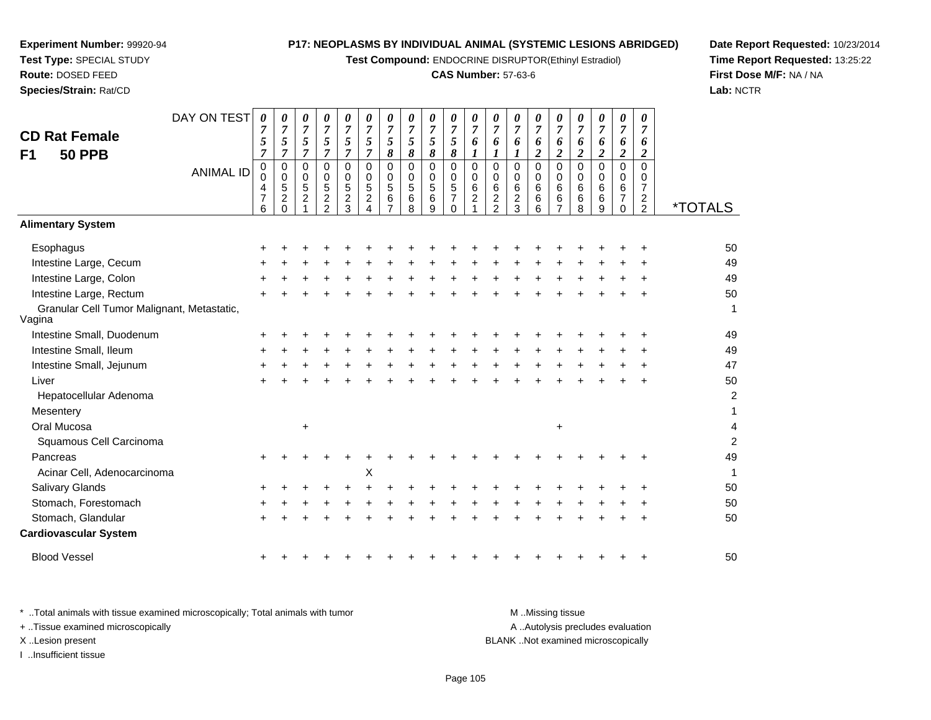**Test Compound:** ENDOCRINE DISRUPTOR(Ethinyl Estradiol)

#### **CAS Number:** 57-63-6

**Date Report Requested:** 10/23/2014**Time Report Requested:** 13:25:22**First Dose M/F:** NA / NA**Lab:** NCTR

|                                                      | DAY ON TEST      | 0                           | 0                             | 0                             | 0                                | 0                           | 0                             | 0                   | 0                        | 0              | 0                                | 0                       | 0                     | 0                     | 0                            | 0                               | 0                               | 0                             | 0                               | 0                                  |                       |
|------------------------------------------------------|------------------|-----------------------------|-------------------------------|-------------------------------|----------------------------------|-----------------------------|-------------------------------|---------------------|--------------------------|----------------|----------------------------------|-------------------------|-----------------------|-----------------------|------------------------------|---------------------------------|---------------------------------|-------------------------------|---------------------------------|------------------------------------|-----------------------|
| <b>CD Rat Female</b>                                 |                  | 7                           | $\overline{7}$                | $\overline{7}$                | $\overline{7}$                   | $\overline{7}$              | $\overline{7}$                | $\overline{7}$      | $\overline{7}$           | $\overline{7}$ | $\boldsymbol{7}$                 | $\overline{7}$          | $\overline{7}$        | $\overline{7}$        | $\overline{7}$               | $\overline{7}$                  | 7                               | $\overline{7}$                | $\overline{7}$                  | $\overline{7}$                     |                       |
|                                                      |                  | 5                           | $\sqrt{5}$                    | $\sqrt{5}$                    | 5                                | 5                           | $\mathfrak{s}$                | 5                   | 5                        | 5              | $\sqrt{5}$                       | 6                       | 6                     | 6                     | 6                            | 6                               | 6                               | 6                             | 6                               | 6                                  |                       |
| <b>50 PPB</b><br>F1                                  |                  | $\overline{7}$<br>$\pmb{0}$ | $\overline{7}$<br>0           | $\overline{7}$<br>$\mathbf 0$ | $\overline{7}$<br>0              | $\overline{7}$<br>$\pmb{0}$ | $\overline{7}$<br>$\mathbf 0$ | 8<br>$\mathbf 0$    | $\pmb{8}$<br>$\mathsf 0$ | 8<br>0         | $\pmb{8}$<br>$\mathsf 0$         | $\bm{l}$<br>$\mathbf 0$ | 1<br>$\mathbf 0$      | 0                     | $\overline{\mathbf{c}}$<br>0 | $\boldsymbol{2}$<br>$\mathbf 0$ | $\boldsymbol{2}$<br>$\mathbf 0$ | $\overline{c}$<br>$\mathsf 0$ | $\boldsymbol{2}$<br>$\mathbf 0$ | $\boldsymbol{2}$<br>$\overline{0}$ |                       |
|                                                      | <b>ANIMAL ID</b> | 0                           | $\mathbf 0$                   | 0                             | 0                                | 0                           | $\mathbf 0$                   | $\mathbf 0$         | 0                        | 0              | $\pmb{0}$                        | $\mathbf 0$             | 0                     | $\mathbf 0$           | 0                            | $\pmb{0}$                       | 0                               | $\mathbf 0$                   | 0                               | $\mathbf 0$                        |                       |
|                                                      |                  | 4<br>7                      | $\,$ 5 $\,$<br>$\overline{2}$ | $\sqrt{5}$                    | $\sqrt{5}$                       | $\,$ 5 $\,$                 | $\sqrt{5}$                    | 5                   | $\sqrt{5}$               | 5<br>6         | $\overline{5}$<br>$\overline{7}$ | $\,6$                   | 6<br>$\boldsymbol{2}$ | 6                     | 6                            | $\,6\,$                         | 6                               | 6                             | 6<br>$\overline{7}$             | $\overline{7}$                     |                       |
|                                                      |                  | 6                           | $\Omega$                      | $\overline{2}$                | $\overline{c}$<br>$\overline{2}$ | $\frac{2}{3}$               | $\overline{c}$<br>$\Delta$    | 6<br>$\overline{7}$ | 6<br>8                   | 9              | $\Omega$                         | $\overline{2}$          | $\overline{2}$        | $\boldsymbol{2}$<br>3 | 6<br>6                       | $\,6\,$<br>$\overline{7}$       | 6<br>8                          | 6<br>9                        | $\Omega$                        | $\frac{2}{2}$                      | <i><b>*TOTALS</b></i> |
| <b>Alimentary System</b>                             |                  |                             |                               |                               |                                  |                             |                               |                     |                          |                |                                  |                         |                       |                       |                              |                                 |                                 |                               |                                 |                                    |                       |
| Esophagus                                            |                  |                             |                               |                               |                                  |                             |                               |                     |                          |                |                                  |                         |                       |                       |                              |                                 |                                 |                               |                                 |                                    | 50                    |
| Intestine Large, Cecum                               |                  |                             |                               |                               |                                  |                             |                               |                     |                          |                |                                  |                         |                       |                       |                              |                                 |                                 |                               |                                 |                                    | 49                    |
| Intestine Large, Colon                               |                  |                             |                               |                               |                                  |                             |                               |                     |                          |                |                                  |                         |                       |                       |                              |                                 |                                 |                               |                                 |                                    | 49                    |
| Intestine Large, Rectum                              |                  |                             |                               |                               |                                  |                             |                               |                     |                          |                |                                  |                         |                       |                       |                              |                                 |                                 |                               |                                 |                                    | 50                    |
| Granular Cell Tumor Malignant, Metastatic,<br>Vagina |                  |                             |                               |                               |                                  |                             |                               |                     |                          |                |                                  |                         |                       |                       |                              |                                 |                                 |                               |                                 |                                    | $\mathbf{1}$          |
| Intestine Small, Duodenum                            |                  |                             |                               |                               |                                  |                             |                               |                     |                          |                |                                  |                         |                       |                       |                              |                                 |                                 |                               |                                 |                                    | 49                    |
| Intestine Small, Ileum                               |                  | ٠                           |                               |                               |                                  |                             |                               |                     |                          |                |                                  |                         |                       |                       |                              |                                 |                                 |                               |                                 |                                    | 49                    |
| Intestine Small, Jejunum                             |                  |                             |                               |                               |                                  |                             |                               |                     |                          |                |                                  |                         |                       |                       |                              |                                 |                                 |                               |                                 |                                    | 47                    |
| Liver                                                |                  |                             |                               |                               |                                  |                             |                               |                     |                          |                |                                  |                         |                       |                       |                              |                                 |                                 |                               |                                 |                                    | 50                    |
| Hepatocellular Adenoma                               |                  |                             |                               |                               |                                  |                             |                               |                     |                          |                |                                  |                         |                       |                       |                              |                                 |                                 |                               |                                 |                                    | $\overline{c}$        |
| Mesentery                                            |                  |                             |                               |                               |                                  |                             |                               |                     |                          |                |                                  |                         |                       |                       |                              |                                 |                                 |                               |                                 |                                    | 1                     |
| Oral Mucosa                                          |                  |                             |                               | $\ddot{}$                     |                                  |                             |                               |                     |                          |                |                                  |                         |                       |                       |                              | +                               |                                 |                               |                                 |                                    | 4                     |
| Squamous Cell Carcinoma                              |                  |                             |                               |                               |                                  |                             |                               |                     |                          |                |                                  |                         |                       |                       |                              |                                 |                                 |                               |                                 |                                    | $\overline{c}$        |
| Pancreas                                             |                  |                             |                               |                               |                                  |                             |                               |                     |                          |                |                                  |                         |                       |                       |                              |                                 |                                 |                               |                                 |                                    | 49                    |
| Acinar Cell, Adenocarcinoma                          |                  |                             |                               |                               |                                  |                             | $\boldsymbol{\mathsf{X}}$     |                     |                          |                |                                  |                         |                       |                       |                              |                                 |                                 |                               |                                 |                                    | $\mathbf{1}$          |
| Salivary Glands                                      |                  |                             |                               |                               |                                  |                             |                               |                     |                          |                |                                  |                         |                       |                       |                              |                                 |                                 |                               |                                 |                                    | 50                    |
| Stomach, Forestomach                                 |                  |                             |                               |                               |                                  |                             |                               |                     |                          |                |                                  |                         |                       |                       |                              |                                 |                                 |                               |                                 |                                    | 50                    |
| Stomach, Glandular                                   |                  |                             |                               |                               |                                  |                             |                               |                     |                          |                |                                  |                         |                       |                       |                              |                                 |                                 |                               |                                 |                                    | 50                    |
| <b>Cardiovascular System</b>                         |                  |                             |                               |                               |                                  |                             |                               |                     |                          |                |                                  |                         |                       |                       |                              |                                 |                                 |                               |                                 |                                    |                       |
| <b>Blood Vessel</b>                                  |                  |                             |                               |                               |                                  |                             |                               |                     |                          |                |                                  |                         |                       |                       |                              |                                 |                                 |                               |                                 |                                    | 50                    |

**Experiment Number:** 99920-94**Test Type:** SPECIAL STUDY**Route:** DOSED FEED**Species/Strain:** Rat/CD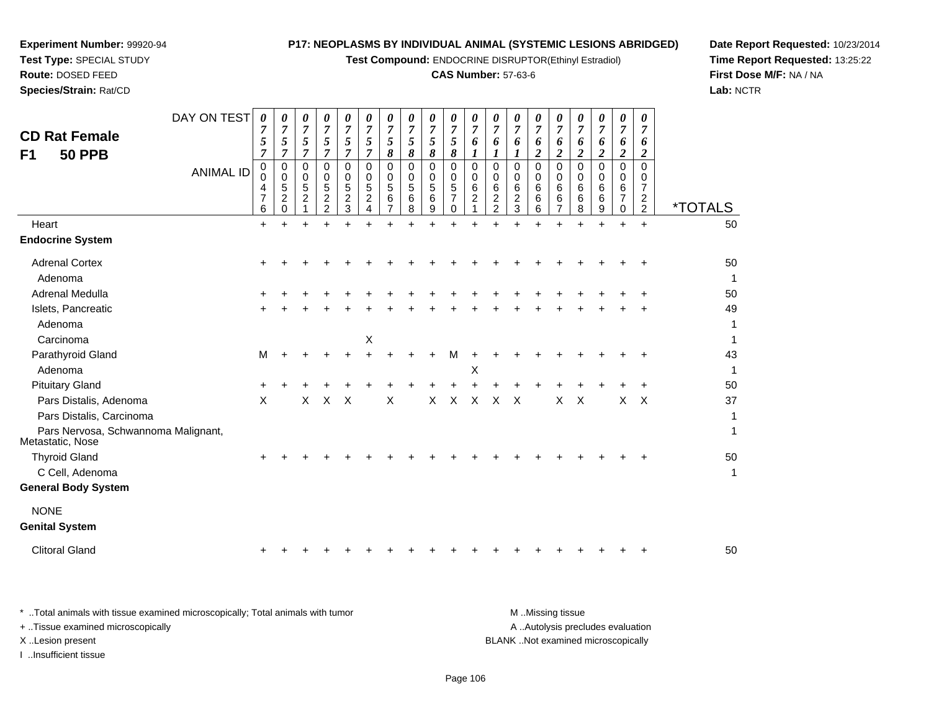**Test Compound:** ENDOCRINE DISRUPTOR(Ethinyl Estradiol)

#### **CAS Number:** 57-63-6

**Date Report Requested:** 10/23/2014**Time Report Requested:** 13:25:22**First Dose M/F:** NA / NA**Lab:** NCTR

**Test Type:** SPECIAL STUDY**Route:** DOSED FEED**Species/Strain:** Rat/CD

**Experiment Number:** 99920-94

| <b>CD Rat Female</b><br><b>50 PPB</b><br>F <sub>1</sub> | DAY ON TEST<br><b>ANIMAL ID</b> | 0<br>7<br>5<br>7<br>$\mathbf 0$<br>0<br>4<br>7<br>6 | 0<br>$\overline{7}$<br>$\sqrt{5}$<br>$\overline{7}$<br>0<br>0<br>5<br>$\overline{c}$<br>$\Omega$ | 0<br>$\overline{7}$<br>5<br>7<br>0<br>0<br>5<br>$\boldsymbol{2}$ | $\theta$<br>$\overline{7}$<br>5<br>$\overline{7}$<br>$\Omega$<br>0<br>5<br>$\overline{\mathbf{c}}$<br>$\overline{a}$ | 0<br>$\boldsymbol{7}$<br>5<br>7<br>$\Omega$<br>$\mathbf 0$<br>5<br>$\overline{c}$<br>3 | 0<br>$\overline{7}$<br>5<br>$\overline{7}$<br>$\Omega$<br>$\Omega$<br>5<br>$\overline{c}$<br>4 | 0<br>$\overline{7}$<br>5<br>8<br>$\mathbf 0$<br>0<br>5<br>6<br>$\overline{7}$ | 0<br>$\overline{7}$<br>5<br>8<br>$\pmb{0}$<br>$\mathbf 0$<br>5<br>$\,6$<br>8 | $\theta$<br>$\overline{7}$<br>5<br>8<br>0<br>0<br>5<br>6<br>9 | 0<br>$\overline{7}$<br>$\mathfrak{s}$<br>$\pmb{8}$<br>$\mathbf 0$<br>$\mathbf 0$<br>$\sqrt{5}$<br>7<br>0 | 0<br>$\overline{7}$<br>6<br>$\boldsymbol{l}$<br>$\Omega$<br>0<br>6<br>$\overline{c}$<br>1 | 0<br>$\overline{7}$<br>6<br>1<br>$\Omega$<br>$\Omega$<br>6<br>$\overline{c}$<br>$\overline{c}$ | 0<br>$\overline{7}$<br>6<br>1<br>$\mathbf 0$<br>0<br>6<br>$\overline{c}$<br>3 | 0<br>$\overline{7}$<br>6<br>2<br>$\Omega$<br>0<br>6<br>6<br>6 | $\theta$<br>7<br>6<br>$\overline{c}$<br>$\Omega$<br>0<br>6<br>6<br>$\overline{7}$ | 0<br>$\overline{7}$<br>6<br>$\boldsymbol{2}$<br>$\Omega$<br>0<br>6<br>6<br>8 | 0<br>7<br>6<br>$\boldsymbol{2}$<br>$\mathbf 0$<br>0<br>6<br>6<br>9 | 0<br>$\overline{7}$<br>6<br>$\boldsymbol{2}$<br>$\mathbf 0$<br>0<br>6<br>7<br>$\mathbf 0$ | 0<br>$\overline{7}$<br>6<br>2<br>$\Omega$<br>0<br>$\overline{7}$<br>$\overline{\mathbf{c}}$<br>$\overline{2}$ | <i><b>*TOTALS</b></i> |
|---------------------------------------------------------|---------------------------------|-----------------------------------------------------|--------------------------------------------------------------------------------------------------|------------------------------------------------------------------|----------------------------------------------------------------------------------------------------------------------|----------------------------------------------------------------------------------------|------------------------------------------------------------------------------------------------|-------------------------------------------------------------------------------|------------------------------------------------------------------------------|---------------------------------------------------------------|----------------------------------------------------------------------------------------------------------|-------------------------------------------------------------------------------------------|------------------------------------------------------------------------------------------------|-------------------------------------------------------------------------------|---------------------------------------------------------------|-----------------------------------------------------------------------------------|------------------------------------------------------------------------------|--------------------------------------------------------------------|-------------------------------------------------------------------------------------------|---------------------------------------------------------------------------------------------------------------|-----------------------|
| Heart                                                   |                                 | $\ddot{}$                                           | $\ddot{}$                                                                                        | $\ddot{}$                                                        |                                                                                                                      |                                                                                        |                                                                                                |                                                                               | $\ddot{}$                                                                    | $+$                                                           | $\ddot{}$                                                                                                |                                                                                           |                                                                                                |                                                                               | $+$                                                           | $\ddot{}$                                                                         |                                                                              | $\ddot{}$                                                          | $\ddot{}$                                                                                 | $+$                                                                                                           | 50                    |
| <b>Endocrine System</b>                                 |                                 |                                                     |                                                                                                  |                                                                  |                                                                                                                      |                                                                                        |                                                                                                |                                                                               |                                                                              |                                                               |                                                                                                          |                                                                                           |                                                                                                |                                                                               |                                                               |                                                                                   |                                                                              |                                                                    |                                                                                           |                                                                                                               |                       |
| <b>Adrenal Cortex</b>                                   |                                 |                                                     |                                                                                                  |                                                                  |                                                                                                                      |                                                                                        |                                                                                                |                                                                               |                                                                              |                                                               |                                                                                                          |                                                                                           |                                                                                                |                                                                               |                                                               |                                                                                   |                                                                              |                                                                    |                                                                                           |                                                                                                               | 50                    |
| Adenoma                                                 |                                 |                                                     |                                                                                                  |                                                                  |                                                                                                                      |                                                                                        |                                                                                                |                                                                               |                                                                              |                                                               |                                                                                                          |                                                                                           |                                                                                                |                                                                               |                                                               |                                                                                   |                                                                              |                                                                    |                                                                                           |                                                                                                               | 1                     |
| Adrenal Medulla                                         |                                 |                                                     |                                                                                                  |                                                                  |                                                                                                                      |                                                                                        |                                                                                                |                                                                               |                                                                              |                                                               |                                                                                                          |                                                                                           |                                                                                                |                                                                               |                                                               |                                                                                   |                                                                              |                                                                    |                                                                                           |                                                                                                               | 50                    |
| Islets, Pancreatic                                      |                                 |                                                     |                                                                                                  |                                                                  |                                                                                                                      |                                                                                        |                                                                                                |                                                                               |                                                                              |                                                               |                                                                                                          |                                                                                           |                                                                                                |                                                                               |                                                               |                                                                                   |                                                                              |                                                                    |                                                                                           |                                                                                                               | 49                    |
| Adenoma                                                 |                                 |                                                     |                                                                                                  |                                                                  |                                                                                                                      |                                                                                        |                                                                                                |                                                                               |                                                                              |                                                               |                                                                                                          |                                                                                           |                                                                                                |                                                                               |                                                               |                                                                                   |                                                                              |                                                                    |                                                                                           |                                                                                                               | $\mathbf{1}$          |
| Carcinoma                                               |                                 |                                                     |                                                                                                  |                                                                  |                                                                                                                      |                                                                                        | $\mathsf X$                                                                                    |                                                                               |                                                                              |                                                               |                                                                                                          |                                                                                           |                                                                                                |                                                                               |                                                               |                                                                                   |                                                                              |                                                                    |                                                                                           |                                                                                                               | 1                     |
| Parathyroid Gland                                       |                                 | M                                                   |                                                                                                  |                                                                  |                                                                                                                      |                                                                                        |                                                                                                |                                                                               |                                                                              |                                                               | м                                                                                                        |                                                                                           |                                                                                                |                                                                               |                                                               |                                                                                   |                                                                              |                                                                    |                                                                                           |                                                                                                               | 43                    |
| Adenoma                                                 |                                 |                                                     |                                                                                                  |                                                                  |                                                                                                                      |                                                                                        |                                                                                                |                                                                               |                                                                              |                                                               |                                                                                                          | X                                                                                         |                                                                                                |                                                                               |                                                               |                                                                                   |                                                                              |                                                                    |                                                                                           |                                                                                                               | 1                     |
| <b>Pituitary Gland</b>                                  |                                 |                                                     |                                                                                                  |                                                                  |                                                                                                                      |                                                                                        |                                                                                                |                                                                               |                                                                              |                                                               |                                                                                                          |                                                                                           |                                                                                                |                                                                               |                                                               |                                                                                   |                                                                              |                                                                    |                                                                                           |                                                                                                               | 50                    |
| Pars Distalis, Adenoma                                  |                                 | $\times$                                            |                                                                                                  | X                                                                | $\sf X$                                                                                                              | $\times$                                                                               |                                                                                                | $\mathsf{X}$                                                                  |                                                                              | $\mathsf{X}$                                                  | $\mathsf{X}$                                                                                             | $\sf X$                                                                                   | $\times$                                                                                       | $\times$                                                                      |                                                               | $\mathsf{X}$                                                                      | $\times$                                                                     |                                                                    | X                                                                                         | $\times$                                                                                                      | 37                    |
| Pars Distalis, Carcinoma                                |                                 |                                                     |                                                                                                  |                                                                  |                                                                                                                      |                                                                                        |                                                                                                |                                                                               |                                                                              |                                                               |                                                                                                          |                                                                                           |                                                                                                |                                                                               |                                                               |                                                                                   |                                                                              |                                                                    |                                                                                           |                                                                                                               | $\mathbf{1}$          |
| Pars Nervosa, Schwannoma Malignant,<br>Metastatic, Nose |                                 |                                                     |                                                                                                  |                                                                  |                                                                                                                      |                                                                                        |                                                                                                |                                                                               |                                                                              |                                                               |                                                                                                          |                                                                                           |                                                                                                |                                                                               |                                                               |                                                                                   |                                                                              |                                                                    |                                                                                           |                                                                                                               | 1                     |
| <b>Thyroid Gland</b>                                    |                                 |                                                     |                                                                                                  |                                                                  |                                                                                                                      |                                                                                        |                                                                                                |                                                                               |                                                                              |                                                               |                                                                                                          |                                                                                           |                                                                                                |                                                                               |                                                               |                                                                                   |                                                                              |                                                                    |                                                                                           |                                                                                                               | 50                    |
| C Cell, Adenoma                                         |                                 |                                                     |                                                                                                  |                                                                  |                                                                                                                      |                                                                                        |                                                                                                |                                                                               |                                                                              |                                                               |                                                                                                          |                                                                                           |                                                                                                |                                                                               |                                                               |                                                                                   |                                                                              |                                                                    |                                                                                           |                                                                                                               | 1                     |
| <b>General Body System</b>                              |                                 |                                                     |                                                                                                  |                                                                  |                                                                                                                      |                                                                                        |                                                                                                |                                                                               |                                                                              |                                                               |                                                                                                          |                                                                                           |                                                                                                |                                                                               |                                                               |                                                                                   |                                                                              |                                                                    |                                                                                           |                                                                                                               |                       |
| <b>NONE</b>                                             |                                 |                                                     |                                                                                                  |                                                                  |                                                                                                                      |                                                                                        |                                                                                                |                                                                               |                                                                              |                                                               |                                                                                                          |                                                                                           |                                                                                                |                                                                               |                                                               |                                                                                   |                                                                              |                                                                    |                                                                                           |                                                                                                               |                       |
| <b>Genital System</b>                                   |                                 |                                                     |                                                                                                  |                                                                  |                                                                                                                      |                                                                                        |                                                                                                |                                                                               |                                                                              |                                                               |                                                                                                          |                                                                                           |                                                                                                |                                                                               |                                                               |                                                                                   |                                                                              |                                                                    |                                                                                           |                                                                                                               |                       |
| <b>Clitoral Gland</b>                                   |                                 |                                                     |                                                                                                  |                                                                  |                                                                                                                      |                                                                                        |                                                                                                |                                                                               |                                                                              |                                                               |                                                                                                          |                                                                                           |                                                                                                |                                                                               |                                                               |                                                                                   |                                                                              |                                                                    |                                                                                           |                                                                                                               | 50                    |
|                                                         |                                 |                                                     |                                                                                                  |                                                                  |                                                                                                                      |                                                                                        |                                                                                                |                                                                               |                                                                              |                                                               |                                                                                                          |                                                                                           |                                                                                                |                                                                               |                                                               |                                                                                   |                                                                              |                                                                    |                                                                                           |                                                                                                               |                       |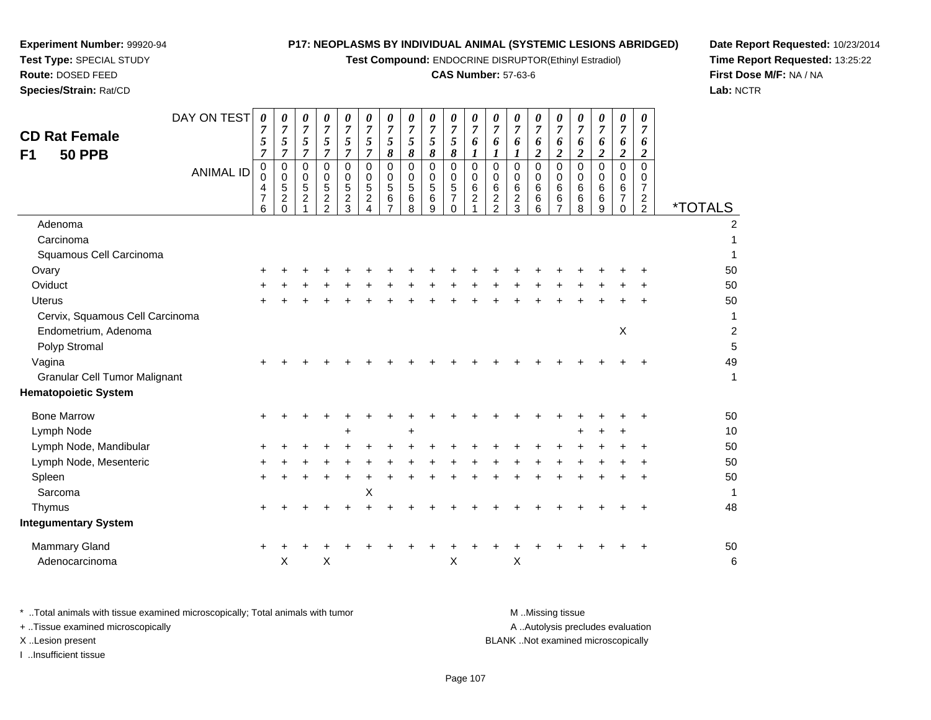**Test Compound:** ENDOCRINE DISRUPTOR(Ethinyl Estradiol)

# **CAS Number:** 57-63-6

**Date Report Requested:** 10/23/2014 **Time Report Requested:** 13:25:22**First Dose M/F:** NA / NA**Lab:** NCTR

| DAY ON TEST<br><b>CD Rat Female</b><br><b>50 PPB</b><br>F <sub>1</sub> | 0<br>$\overline{7}$      | 5<br>$\overline{7}$ | 0<br>$\overline{7}$<br>5<br>$\overline{7}$                             | 0<br>$\overline{7}$<br>5<br>$\overline{7}$ | 0<br>$\overline{7}$<br>5<br>$\overline{7}$                        | 0<br>$\overline{7}$<br>$5\overline{)}$<br>$\boldsymbol{7}$ | 0<br>$\overline{7}$<br>$\overline{5}$<br>$\boldsymbol{7}$ | 0<br>$\overline{7}$<br>5<br>8                                       | 0<br>$\overline{7}$<br>5<br>8  | 0<br>$\overline{7}$<br>5<br>8                      | 0<br>$\overline{7}$<br>$\mathfrak{z}$<br>8 | 0<br>$\overline{7}$<br>6<br>$\boldsymbol{l}$ | 0<br>$\overline{7}$<br>6<br>$\boldsymbol{l}$                        | 0<br>$\overline{7}$<br>6<br>1                            | 0<br>$\overline{7}$<br>6<br>$\overline{c}$      | 0<br>$\overline{7}$<br>6<br>$\overline{\mathbf{c}}$ | 0<br>$\overline{7}$<br>6<br>$\overline{2}$ | 0<br>$\overline{7}$<br>6<br>$\overline{2}$ | 0<br>$\overline{7}$<br>6<br>$\boldsymbol{2}$            | 0<br>$\overline{7}$<br>6<br>$\overline{2}$                               |                       |
|------------------------------------------------------------------------|--------------------------|---------------------|------------------------------------------------------------------------|--------------------------------------------|-------------------------------------------------------------------|------------------------------------------------------------|-----------------------------------------------------------|---------------------------------------------------------------------|--------------------------------|----------------------------------------------------|--------------------------------------------|----------------------------------------------|---------------------------------------------------------------------|----------------------------------------------------------|-------------------------------------------------|-----------------------------------------------------|--------------------------------------------|--------------------------------------------|---------------------------------------------------------|--------------------------------------------------------------------------|-----------------------|
| <b>ANIMAL ID</b>                                                       | 4<br>$\overline{7}$<br>6 | $\pmb{0}$<br>0      | $\mathbf 0$<br>$\mathbf 0$<br>$\sqrt{5}$<br>$\overline{2}$<br>$\Omega$ | $\mathbf 0$<br>0<br>5<br>$\overline{2}$    | $\mathbf 0$<br>0<br>$\sqrt{5}$<br>$\overline{c}$<br>$\mathcal{P}$ | $\mathbf 0$<br>$\Omega$<br>5<br>$\overline{c}$<br>3        | $\mathbf 0$<br>0<br>$\sqrt{5}$<br>$\overline{2}$<br>4     | $\mathbf 0$<br>$\mathbf 0$<br>$\overline{5}$<br>6<br>$\overline{7}$ | 0<br>0<br>$\sqrt{5}$<br>6<br>8 | $\mathbf 0$<br>$\mathbf 0$<br>$\sqrt{5}$<br>6<br>9 | 0<br>0<br>5<br>$\overline{7}$<br>0         | 0<br>0<br>$\,6\,$<br>$\overline{2}$          | $\mathbf 0$<br>$\mathbf 0$<br>6<br>$\overline{c}$<br>$\overline{2}$ | $\mathbf 0$<br>$\mathbf 0$<br>6<br>$\boldsymbol{2}$<br>3 | $\mathbf 0$<br>$\mathbf 0$<br>$\,6\,$<br>6<br>6 | $\mathbf 0$<br>$\Omega$<br>6<br>6                   | $\mathbf 0$<br>0<br>$\,6\,$<br>6<br>8      | $\mathbf 0$<br>0<br>6<br>6<br>9            | $\mathbf 0$<br>0<br>$\,6$<br>$\overline{7}$<br>$\Omega$ | $\mathbf 0$<br>0<br>$\overline{7}$<br>$\boldsymbol{2}$<br>$\overline{2}$ | <i><b>*TOTALS</b></i> |
| Adenoma                                                                |                          |                     |                                                                        |                                            |                                                                   |                                                            |                                                           |                                                                     |                                |                                                    |                                            |                                              |                                                                     |                                                          |                                                 |                                                     |                                            |                                            |                                                         |                                                                          |                       |
| Carcinoma                                                              |                          |                     |                                                                        |                                            |                                                                   |                                                            |                                                           |                                                                     |                                |                                                    |                                            |                                              |                                                                     |                                                          |                                                 |                                                     |                                            |                                            |                                                         |                                                                          |                       |
| Squamous Cell Carcinoma                                                |                          |                     |                                                                        |                                            |                                                                   |                                                            |                                                           |                                                                     |                                |                                                    |                                            |                                              |                                                                     |                                                          |                                                 |                                                     |                                            |                                            |                                                         |                                                                          |                       |
| Ovary                                                                  |                          | ٠                   |                                                                        |                                            |                                                                   |                                                            |                                                           |                                                                     |                                |                                                    |                                            |                                              |                                                                     |                                                          |                                                 |                                                     |                                            |                                            |                                                         |                                                                          | 50                    |
| Oviduct                                                                |                          |                     |                                                                        |                                            |                                                                   |                                                            |                                                           |                                                                     |                                |                                                    |                                            |                                              |                                                                     |                                                          |                                                 |                                                     |                                            |                                            |                                                         |                                                                          | 50                    |
| <b>Uterus</b><br>Cervix, Squamous Cell Carcinoma                       |                          | ÷                   |                                                                        |                                            |                                                                   |                                                            |                                                           |                                                                     |                                |                                                    |                                            |                                              |                                                                     |                                                          |                                                 |                                                     |                                            |                                            |                                                         |                                                                          | 50<br>1               |
| Endometrium, Adenoma                                                   |                          |                     |                                                                        |                                            |                                                                   |                                                            |                                                           |                                                                     |                                |                                                    |                                            |                                              |                                                                     |                                                          |                                                 |                                                     |                                            |                                            | X                                                       |                                                                          | $\overline{c}$        |
| Polyp Stromal                                                          |                          |                     |                                                                        |                                            |                                                                   |                                                            |                                                           |                                                                     |                                |                                                    |                                            |                                              |                                                                     |                                                          |                                                 |                                                     |                                            |                                            |                                                         |                                                                          | 5                     |
| Vagina                                                                 |                          |                     |                                                                        |                                            |                                                                   |                                                            |                                                           |                                                                     |                                |                                                    |                                            |                                              |                                                                     |                                                          |                                                 |                                                     |                                            |                                            |                                                         |                                                                          | 49                    |
| <b>Granular Cell Tumor Malignant</b>                                   |                          |                     |                                                                        |                                            |                                                                   |                                                            |                                                           |                                                                     |                                |                                                    |                                            |                                              |                                                                     |                                                          |                                                 |                                                     |                                            |                                            |                                                         |                                                                          | 1                     |
| <b>Hematopoietic System</b>                                            |                          |                     |                                                                        |                                            |                                                                   |                                                            |                                                           |                                                                     |                                |                                                    |                                            |                                              |                                                                     |                                                          |                                                 |                                                     |                                            |                                            |                                                         |                                                                          |                       |
| <b>Bone Marrow</b>                                                     |                          | +                   |                                                                        |                                            |                                                                   |                                                            |                                                           |                                                                     |                                |                                                    |                                            |                                              |                                                                     |                                                          |                                                 |                                                     |                                            |                                            |                                                         | ٠                                                                        | 50                    |
| Lymph Node                                                             |                          |                     |                                                                        |                                            |                                                                   | +                                                          |                                                           |                                                                     | +                              |                                                    |                                            |                                              |                                                                     |                                                          |                                                 |                                                     | ٠                                          |                                            | $\ddot{}$                                               |                                                                          | 10                    |
| Lymph Node, Mandibular                                                 |                          |                     |                                                                        |                                            |                                                                   |                                                            |                                                           |                                                                     |                                |                                                    |                                            |                                              |                                                                     |                                                          |                                                 |                                                     |                                            |                                            |                                                         |                                                                          | 50                    |
| Lymph Node, Mesenteric                                                 |                          |                     |                                                                        |                                            |                                                                   |                                                            |                                                           |                                                                     |                                |                                                    |                                            |                                              |                                                                     |                                                          |                                                 |                                                     |                                            |                                            |                                                         |                                                                          | 50                    |
| Spleen                                                                 |                          | +                   |                                                                        |                                            |                                                                   |                                                            |                                                           |                                                                     |                                |                                                    |                                            |                                              |                                                                     |                                                          |                                                 |                                                     |                                            |                                            |                                                         |                                                                          | 50                    |
| Sarcoma                                                                |                          |                     |                                                                        |                                            |                                                                   |                                                            | X                                                         |                                                                     |                                |                                                    |                                            |                                              |                                                                     |                                                          |                                                 |                                                     |                                            |                                            |                                                         |                                                                          | 1                     |
| Thymus                                                                 |                          |                     |                                                                        |                                            |                                                                   |                                                            |                                                           |                                                                     |                                |                                                    |                                            |                                              |                                                                     |                                                          |                                                 |                                                     |                                            |                                            |                                                         |                                                                          | 48                    |
| <b>Integumentary System</b>                                            |                          |                     |                                                                        |                                            |                                                                   |                                                            |                                                           |                                                                     |                                |                                                    |                                            |                                              |                                                                     |                                                          |                                                 |                                                     |                                            |                                            |                                                         |                                                                          |                       |
| <b>Mammary Gland</b>                                                   | ÷                        |                     |                                                                        |                                            |                                                                   |                                                            |                                                           |                                                                     |                                |                                                    |                                            |                                              |                                                                     |                                                          |                                                 |                                                     |                                            |                                            |                                                         |                                                                          | 50                    |
| Adenocarcinoma                                                         |                          |                     | X                                                                      |                                            | X                                                                 |                                                            |                                                           |                                                                     |                                |                                                    | X                                          |                                              |                                                                     | X                                                        |                                                 |                                                     |                                            |                                            |                                                         |                                                                          | 6                     |

| * Total animals with tissue examined microscopically; Total animals with tumor | M Missing tissue                   |
|--------------------------------------------------------------------------------|------------------------------------|
| + Tissue examined microscopically                                              | A Autolysis precludes evaluation   |
| X Lesion present                                                               | BLANK Not examined microscopically |
| …Insufficient tissue                                                           |                                    |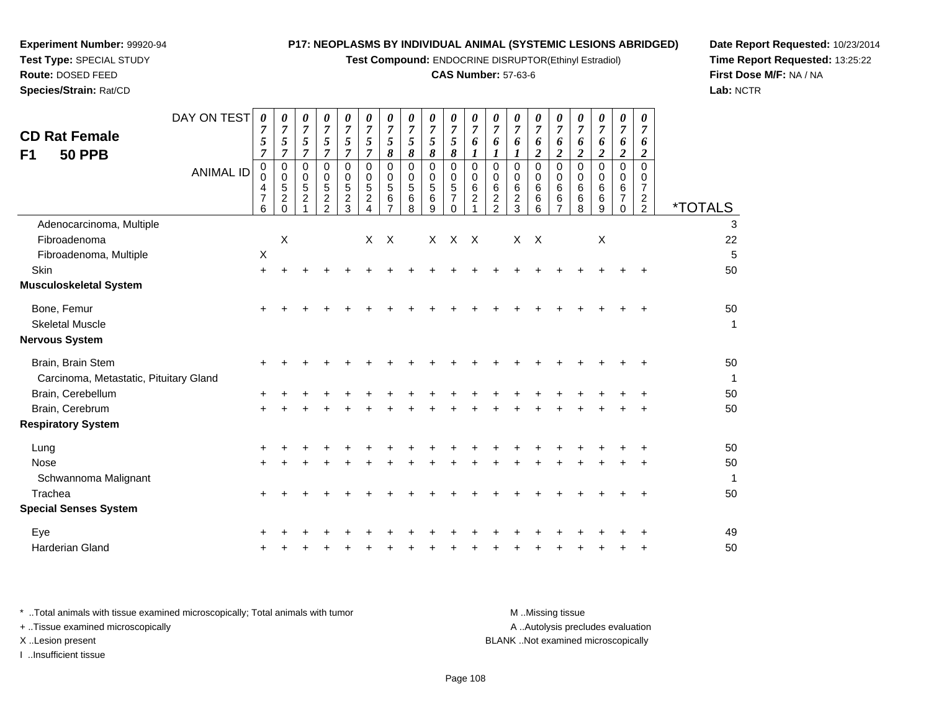**Test Compound:** ENDOCRINE DISRUPTOR(Ethinyl Estradiol)

#### **CAS Number:** 57-63-6

**Date Report Requested:** 10/23/2014 **Time Report Requested:** 13:25:22**First Dose M/F:** NA / NA**Lab:** NCTR

| <b>CD Rat Female</b><br>F1<br><b>50 PPB</b>                 | DAY ON TEST      | 0<br>7<br>5<br>$\overline{7}$      | 0<br>$\boldsymbol{7}$<br>5<br>$\overline{7}$                    | $\boldsymbol{\theta}$<br>$\overline{7}$<br>5<br>$\overline{7}$ | 0<br>$\overline{7}$<br>5<br>$\overline{7}$                         | 0<br>$\overline{7}$<br>5<br>$\overline{7}$          | 0<br>$\overline{7}$<br>5<br>$\overline{7}$             | $\theta$<br>$\boldsymbol{7}$<br>5<br>8    | $\boldsymbol{\theta}$<br>$\overline{7}$<br>$\sqrt{5}$<br>$\boldsymbol{\delta}$ | $\theta$<br>$\overline{7}$<br>5<br>$\pmb{8}$ | 0<br>$\overline{7}$<br>5<br>8                                | 0<br>$\overline{7}$<br>6<br>$\boldsymbol{l}$               | 0<br>7<br>6<br>1                                       | $\boldsymbol{\theta}$<br>$\overline{7}$<br>6<br>1 | $\theta$<br>$\boldsymbol{7}$<br>6<br>$\boldsymbol{2}$ | 0<br>$\boldsymbol{7}$<br>6<br>$\overline{c}$ | 0<br>$\overline{7}$<br>6<br>$\overline{c}$ | 0<br>$\overline{7}$<br>6<br>$\boldsymbol{2}$ | 0<br>$\overline{7}$<br>6<br>$\boldsymbol{2}$ | 0<br>$\overline{7}$<br>6<br>$\overline{2}$             |                       |
|-------------------------------------------------------------|------------------|------------------------------------|-----------------------------------------------------------------|----------------------------------------------------------------|--------------------------------------------------------------------|-----------------------------------------------------|--------------------------------------------------------|-------------------------------------------|--------------------------------------------------------------------------------|----------------------------------------------|--------------------------------------------------------------|------------------------------------------------------------|--------------------------------------------------------|---------------------------------------------------|-------------------------------------------------------|----------------------------------------------|--------------------------------------------|----------------------------------------------|----------------------------------------------|--------------------------------------------------------|-----------------------|
|                                                             | <b>ANIMAL ID</b> | 0<br>0<br>4<br>$\overline{7}$<br>6 | $\mathbf 0$<br>$\mathbf 0$<br>5<br>$\boldsymbol{2}$<br>$\Omega$ | 0<br>$\mathbf 0$<br>5<br>$\boldsymbol{2}$                      | $\Omega$<br>$\mathbf 0$<br>5<br>$\boldsymbol{2}$<br>$\mathfrak{p}$ | $\Omega$<br>$\mathbf 0$<br>5<br>$\overline{c}$<br>3 | $\Omega$<br>0<br>5<br>$\overline{c}$<br>$\overline{4}$ | $\Omega$<br>0<br>5<br>6<br>$\overline{7}$ | $\mathbf 0$<br>$\mathbf 0$<br>$\sqrt{5}$<br>$\,6\,$<br>8                       | $\Omega$<br>0<br>5<br>6<br>9                 | $\mathbf 0$<br>0<br>$\sqrt{5}$<br>$\overline{7}$<br>$\Omega$ | $\mathbf 0$<br>$\pmb{0}$<br>$\,6$<br>$\boldsymbol{2}$<br>1 | $\Omega$<br>0<br>6<br>$\overline{c}$<br>$\overline{2}$ | $\Omega$<br>0<br>6<br>$\frac{2}{3}$               | $\Omega$<br>$\mathbf 0$<br>6<br>6<br>6                | $\Omega$<br>0<br>6<br>6<br>$\overline{7}$    | $\Omega$<br>0<br>6<br>6<br>8               | $\Omega$<br>0<br>6<br>6<br>9                 | $\mathbf 0$<br>0<br>6<br>7<br>$\Omega$       | $\Omega$<br>0<br>7<br>$\overline{c}$<br>$\overline{2}$ | <i><b>*TOTALS</b></i> |
| Adenocarcinoma, Multiple                                    |                  |                                    |                                                                 |                                                                |                                                                    |                                                     |                                                        |                                           |                                                                                |                                              |                                                              |                                                            |                                                        |                                                   |                                                       |                                              |                                            |                                              |                                              |                                                        | 3                     |
| Fibroadenoma                                                |                  |                                    | $\boldsymbol{\mathsf{X}}$                                       |                                                                |                                                                    |                                                     | X                                                      | $\mathsf{X}$                              |                                                                                | X                                            | $\mathsf{X}$                                                 | $\mathsf{X}$                                               |                                                        | X                                                 | $\mathsf{X}$                                          |                                              |                                            | $\boldsymbol{\mathsf{X}}$                    |                                              |                                                        | 22                    |
| Fibroadenoma, Multiple                                      |                  | X                                  |                                                                 |                                                                |                                                                    |                                                     |                                                        |                                           |                                                                                |                                              |                                                              |                                                            |                                                        |                                                   |                                                       |                                              |                                            |                                              |                                              |                                                        | 5                     |
| Skin                                                        |                  | $\ddot{}$                          |                                                                 |                                                                |                                                                    |                                                     |                                                        |                                           |                                                                                |                                              |                                                              |                                                            |                                                        |                                                   |                                                       |                                              |                                            |                                              |                                              |                                                        | 50                    |
| <b>Musculoskeletal System</b>                               |                  |                                    |                                                                 |                                                                |                                                                    |                                                     |                                                        |                                           |                                                                                |                                              |                                                              |                                                            |                                                        |                                                   |                                                       |                                              |                                            |                                              |                                              |                                                        |                       |
| Bone, Femur                                                 |                  | +                                  |                                                                 |                                                                |                                                                    |                                                     |                                                        |                                           |                                                                                |                                              |                                                              |                                                            |                                                        |                                                   |                                                       |                                              |                                            |                                              |                                              |                                                        | 50                    |
| <b>Skeletal Muscle</b>                                      |                  |                                    |                                                                 |                                                                |                                                                    |                                                     |                                                        |                                           |                                                                                |                                              |                                                              |                                                            |                                                        |                                                   |                                                       |                                              |                                            |                                              |                                              |                                                        | $\mathbf 1$           |
| Nervous System                                              |                  |                                    |                                                                 |                                                                |                                                                    |                                                     |                                                        |                                           |                                                                                |                                              |                                                              |                                                            |                                                        |                                                   |                                                       |                                              |                                            |                                              |                                              |                                                        |                       |
| Brain, Brain Stem<br>Carcinoma, Metastatic, Pituitary Gland |                  | +                                  |                                                                 |                                                                |                                                                    |                                                     |                                                        |                                           |                                                                                |                                              |                                                              |                                                            |                                                        |                                                   |                                                       |                                              |                                            |                                              |                                              |                                                        | 50<br>$\mathbf{1}$    |
| Brain, Cerebellum                                           |                  |                                    |                                                                 |                                                                |                                                                    |                                                     |                                                        |                                           |                                                                                |                                              |                                                              |                                                            |                                                        |                                                   |                                                       |                                              |                                            |                                              |                                              |                                                        | 50                    |
| Brain, Cerebrum                                             |                  |                                    |                                                                 |                                                                |                                                                    |                                                     |                                                        |                                           |                                                                                |                                              |                                                              |                                                            |                                                        |                                                   |                                                       |                                              |                                            |                                              |                                              |                                                        | 50                    |
| <b>Respiratory System</b>                                   |                  |                                    |                                                                 |                                                                |                                                                    |                                                     |                                                        |                                           |                                                                                |                                              |                                                              |                                                            |                                                        |                                                   |                                                       |                                              |                                            |                                              |                                              |                                                        |                       |
| Lung                                                        |                  | +                                  |                                                                 |                                                                |                                                                    |                                                     |                                                        |                                           |                                                                                |                                              |                                                              |                                                            |                                                        |                                                   |                                                       |                                              |                                            |                                              |                                              |                                                        | 50                    |
| <b>Nose</b>                                                 |                  |                                    |                                                                 |                                                                |                                                                    |                                                     |                                                        |                                           |                                                                                |                                              |                                                              |                                                            |                                                        |                                                   |                                                       |                                              |                                            |                                              |                                              |                                                        | 50                    |
| Schwannoma Malignant                                        |                  |                                    |                                                                 |                                                                |                                                                    |                                                     |                                                        |                                           |                                                                                |                                              |                                                              |                                                            |                                                        |                                                   |                                                       |                                              |                                            |                                              |                                              |                                                        | $\mathbf 1$           |
| Trachea                                                     |                  |                                    |                                                                 |                                                                |                                                                    |                                                     |                                                        |                                           |                                                                                |                                              |                                                              |                                                            |                                                        |                                                   |                                                       |                                              |                                            |                                              |                                              |                                                        | 50                    |
| <b>Special Senses System</b>                                |                  |                                    |                                                                 |                                                                |                                                                    |                                                     |                                                        |                                           |                                                                                |                                              |                                                              |                                                            |                                                        |                                                   |                                                       |                                              |                                            |                                              |                                              |                                                        |                       |
| Eye                                                         |                  |                                    |                                                                 |                                                                |                                                                    |                                                     |                                                        |                                           |                                                                                |                                              |                                                              |                                                            |                                                        |                                                   |                                                       |                                              |                                            |                                              |                                              |                                                        | 49                    |
| Harderian Gland                                             |                  |                                    |                                                                 |                                                                |                                                                    |                                                     |                                                        |                                           |                                                                                |                                              |                                                              |                                                            |                                                        |                                                   |                                                       |                                              |                                            |                                              |                                              |                                                        | 50                    |
|                                                             |                  |                                    |                                                                 |                                                                |                                                                    |                                                     |                                                        |                                           |                                                                                |                                              |                                                              |                                                            |                                                        |                                                   |                                                       |                                              |                                            |                                              |                                              |                                                        |                       |

**Experiment Number:** 99920-94**Test Type:** SPECIAL STUDY**Route:** DOSED FEED**Species/Strain:** Rat/CD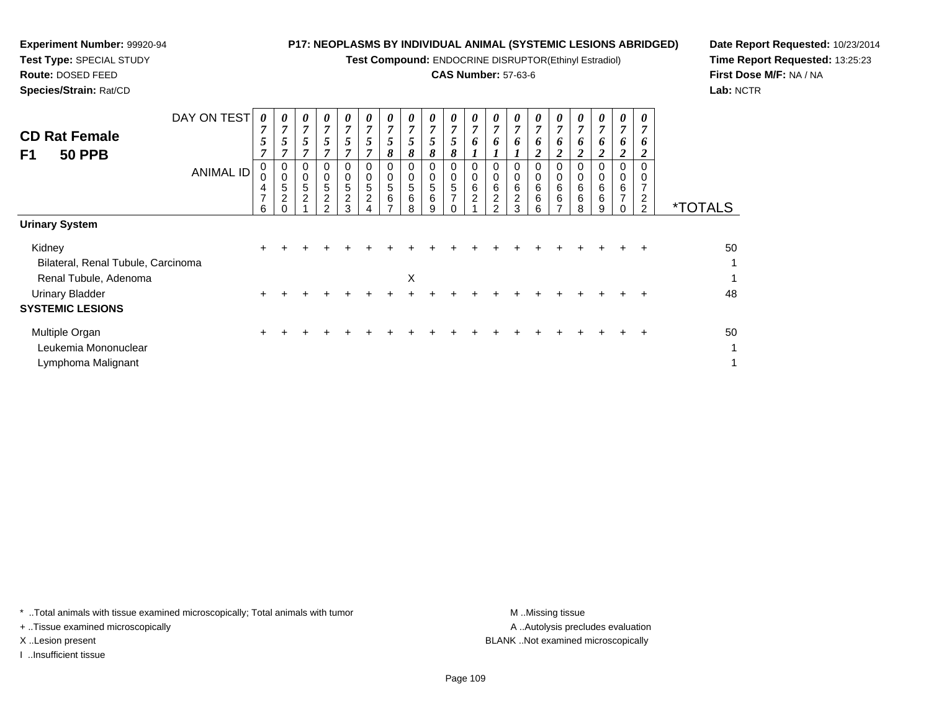**Test Compound:** ENDOCRINE DISRUPTOR(Ethinyl Estradiol)

# **CAS Number:** 57-63-6

**Date Report Requested:** 10/23/2014**Time Report Requested:** 13:25:23**First Dose M/F:** NA / NA**Lab:** NCTR

 $\mathbf{1}$ 

| <b>CD Rat Female</b><br>F1<br><b>50 PPB</b>  | DAY ON TEST<br><b>ANIMAL ID</b> | 0<br>7<br>5<br>$\mathbf{r}$<br>0<br>4<br>7<br>6 | 0<br>$\overline{7}$<br>$5\overline{)}$<br>7<br>0<br>$\pmb{0}$<br>$\sqrt{5}$<br>$\overline{c}$ | 0<br>$\overline{7}$<br>5<br>7<br>0<br>$\mathbf 0$<br>5<br>$\overline{2}$ | $\boldsymbol{\theta}$<br>$\overline{7}$<br>5<br>7<br>0<br>0<br>5<br>2<br>$\mathcal{D}$ | 0<br>$\overline{7}$<br>5<br>7<br>0<br>0<br>5<br>$\overline{c}$<br>3 | 0<br>$\overline{7}$<br>5<br>0<br>0<br>5<br>$\boldsymbol{2}$ | 0<br>$\overline{7}$<br>5<br>8<br>0<br>5<br>6 | 0<br>$\overline{7}$<br>5<br>8<br>0<br>0<br>$\overline{5}$<br>6<br>8 | $\boldsymbol{\theta}$<br>7<br>5<br>8<br>0<br>0<br>5<br>6<br>g | 0<br>$\overline{7}$<br>5<br>8<br>0<br>$\mathbf 0$<br>5<br>$\overline{7}$ | 0<br>$\overline{7}$<br>6<br>0<br>$\,0\,$<br>$\frac{6}{2}$ | 0<br>$\overline{7}$<br>6<br>0<br>6<br>$\boldsymbol{2}$<br>$\mathcal{P}$ | 0<br>$\overline{7}$<br>6<br>0<br>0<br>6<br>$\overline{c}$<br>3 | 0<br>$\overline{7}$<br>6<br>$\overline{2}$<br>$\mathbf 0$<br>6<br>6<br>6 | $\boldsymbol{\theta}$<br>$\overline{7}$<br>6<br>າ<br>0<br>0<br>6<br>6<br>$\overline{\phantom{a}}$ | 0<br>$\overline{7}$<br>6<br>$\overline{2}$<br>0<br>0<br>$\,6$<br>6<br>8 | $\boldsymbol{\theta}$<br>$\overline{7}$<br>6<br>$\overline{2}$<br>0<br>6<br>6<br>9 | 0<br>7<br>6<br>2<br>0<br>0<br>6<br>$\overline{ }$ | 7<br>6<br>$\Omega$<br>2<br>$\overline{2}$ | <i><b>*TOTALS</b></i> |
|----------------------------------------------|---------------------------------|-------------------------------------------------|-----------------------------------------------------------------------------------------------|--------------------------------------------------------------------------|----------------------------------------------------------------------------------------|---------------------------------------------------------------------|-------------------------------------------------------------|----------------------------------------------|---------------------------------------------------------------------|---------------------------------------------------------------|--------------------------------------------------------------------------|-----------------------------------------------------------|-------------------------------------------------------------------------|----------------------------------------------------------------|--------------------------------------------------------------------------|---------------------------------------------------------------------------------------------------|-------------------------------------------------------------------------|------------------------------------------------------------------------------------|---------------------------------------------------|-------------------------------------------|-----------------------|
| <b>Urinary System</b>                        |                                 |                                                 |                                                                                               |                                                                          |                                                                                        |                                                                     |                                                             |                                              |                                                                     |                                                               |                                                                          |                                                           |                                                                         |                                                                |                                                                          |                                                                                                   |                                                                         |                                                                                    |                                                   |                                           |                       |
| Kidney<br>Bilateral, Renal Tubule, Carcinoma |                                 | $\pm$                                           |                                                                                               |                                                                          |                                                                                        |                                                                     |                                                             |                                              |                                                                     |                                                               |                                                                          |                                                           |                                                                         |                                                                |                                                                          |                                                                                                   |                                                                         |                                                                                    |                                                   |                                           | 50<br>1               |
| Renal Tubule, Adenoma                        |                                 |                                                 |                                                                                               |                                                                          |                                                                                        |                                                                     |                                                             |                                              | X                                                                   |                                                               |                                                                          |                                                           |                                                                         |                                                                |                                                                          |                                                                                                   |                                                                         |                                                                                    |                                                   |                                           | $\mathbf{1}$          |
| Urinary Bladder<br><b>SYSTEMIC LESIONS</b>   |                                 |                                                 |                                                                                               |                                                                          |                                                                                        |                                                                     |                                                             |                                              |                                                                     |                                                               |                                                                          |                                                           |                                                                         |                                                                |                                                                          |                                                                                                   |                                                                         |                                                                                    |                                                   |                                           | 48                    |
| Multiple Organ<br>Leukemia Mononuclear       |                                 | $\pm$                                           |                                                                                               |                                                                          |                                                                                        |                                                                     |                                                             |                                              |                                                                     |                                                               |                                                                          |                                                           |                                                                         |                                                                |                                                                          |                                                                                                   |                                                                         |                                                                                    |                                                   |                                           | 50<br>1               |

Lymphoma Malignantt de la construction de la construction de la construction de la construction de la construction de la construction<br>La construction de la construction de la construction de la construction de la construction de la construc

**Experiment Number:** 99920-94**Test Type:** SPECIAL STUDY**Route:** DOSED FEED**Species/Strain:** Rat/CD

\* ..Total animals with tissue examined microscopically; Total animals with tumor **M** . Missing tissue M ..Missing tissue

+ ..Tissue examined microscopically

I ..Insufficient tissue

A ..Autolysis precludes evaluation X ..Lesion present BLANK ..Not examined microscopically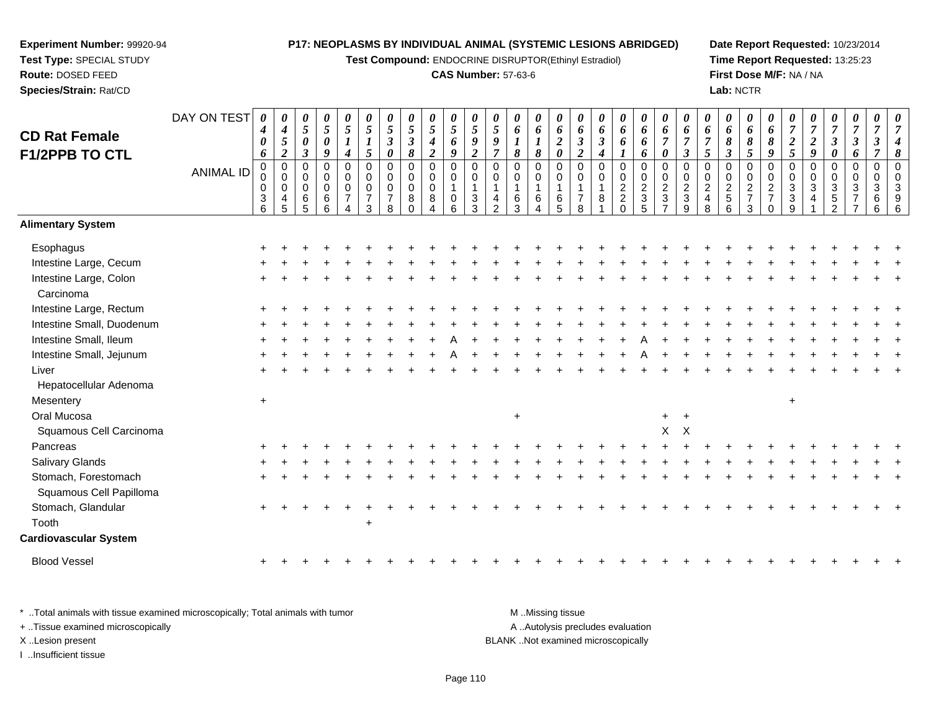**Test Compound:** ENDOCRINE DISRUPTOR(Ethinyl Estradiol)

## **CAS Number:** 57-63-6

**Date Report Requested:** 10/23/2014**Time Report Requested:** 13:25:23**First Dose M/F:** NA / NA**Lab:** NCTR

| <b>CD Rat Female</b><br>F1/2PPB TO CTL          | DAY ON TEST      | $\boldsymbol{\theta}$<br>4<br>0<br>6<br>$\pmb{0}$         | 0<br>$\boldsymbol{4}$<br>$\sqrt{5}$<br>$\boldsymbol{2}$<br>$\pmb{0}$ | 0<br>5<br>0<br>$\overline{\mathbf{3}}$<br>0 | 0<br>5<br>$\pmb{\theta}$<br>9<br>0 | 0<br>$\mathfrak{s}$<br>$\boldsymbol{l}$<br>$\boldsymbol{4}$<br>$\mathbf 0$ | $\boldsymbol{\theta}$<br>$\overline{5}$<br>$\boldsymbol{l}$<br>$\mathfrak{s}$<br>$\pmb{0}$ | $\boldsymbol{\theta}$<br>$\mathfrak{s}$<br>$\boldsymbol{\beta}$<br>$\pmb{\theta}$<br>$\mathbf 0$ | 0<br>5<br>$\boldsymbol{\beta}$<br>8<br>0 | 0<br>$\mathfrak{s}$<br>$\boldsymbol{4}$<br>$\overline{2}$<br>0 | $\boldsymbol{\theta}$<br>5<br>6<br>9<br>$\mathbf 0$ | $\boldsymbol{\theta}$<br>$\mathfrak{s}$<br>9<br>$\overline{2}$<br>$\pmb{0}$ | $\boldsymbol{\theta}$<br>$\overline{5}$<br>9<br>$\overline{7}$<br>$\mathbf 0$ | 0<br>6<br>8<br>$\Omega$ | 0<br>6<br>$\boldsymbol{l}$<br>8<br>0 | 0<br>6<br>$\boldsymbol{2}$<br>0<br>$\mathbf 0$ | 0<br>6<br>$\boldsymbol{\beta}$<br>$\boldsymbol{2}$<br>$\pmb{0}$ | 0<br>6<br>$\boldsymbol{\beta}$<br>4<br>$\mathbf 0$ | 0<br>6<br>6<br>0                                  | 0<br>6<br>6<br>6<br>0                      | 0<br>6<br>$\overline{7}$<br>0<br>$\mathbf 0$                                 | 0<br>6<br>$\overline{7}$<br>$\mathfrak{z}$<br>$\pmb{0}$ | $\boldsymbol{\theta}$<br>6<br>$\overline{7}$<br>5<br>$\mathbf 0$ | 0<br>6<br>8<br>$\overline{\mathbf{3}}$<br>0 | 0<br>6<br>8<br>5<br>0                      | 0<br>6<br>8<br>9<br>$\mathbf 0$                               | 0<br>$\overline{7}$<br>$\boldsymbol{2}$<br>5<br>$\mathbf 0$ | $\overline{7}$<br>$\boldsymbol{2}$<br>$\boldsymbol{9}$<br>$\mathbf 0$ | 0<br>$\overline{7}$<br>$\boldsymbol{\beta}$<br>$\boldsymbol{\theta}$<br>0 | 0<br>$\overline{7}$<br>$\boldsymbol{\beta}$<br>6<br>0 | 0<br>$\overline{7}$<br>$\boldsymbol{\beta}$<br>7<br>$\mathbf 0$ | 0<br>$\overline{7}$ |
|-------------------------------------------------|------------------|-----------------------------------------------------------|----------------------------------------------------------------------|---------------------------------------------|------------------------------------|----------------------------------------------------------------------------|--------------------------------------------------------------------------------------------|--------------------------------------------------------------------------------------------------|------------------------------------------|----------------------------------------------------------------|-----------------------------------------------------|-----------------------------------------------------------------------------|-------------------------------------------------------------------------------|-------------------------|--------------------------------------|------------------------------------------------|-----------------------------------------------------------------|----------------------------------------------------|---------------------------------------------------|--------------------------------------------|------------------------------------------------------------------------------|---------------------------------------------------------|------------------------------------------------------------------|---------------------------------------------|--------------------------------------------|---------------------------------------------------------------|-------------------------------------------------------------|-----------------------------------------------------------------------|---------------------------------------------------------------------------|-------------------------------------------------------|-----------------------------------------------------------------|---------------------|
|                                                 | <b>ANIMAL ID</b> | $\mathbf 0$<br>0<br>$\begin{array}{c} 3 \\ 6 \end{array}$ | $\mathbf 0$<br>$\mathbf 0$<br>$\overline{4}$<br>5                    | 0<br>$\Omega$<br>6<br>5                     | 0<br>$\mathbf 0$<br>$\,6\,$<br>6   | $\mathbf 0$<br>$\mathbf 0$<br>$\overline{7}$                               | $\mathbf 0$<br>$\mathbf 0$<br>$\overline{7}$<br>3                                          | $\mathbf 0$<br>$\mathbf 0$<br>$\overline{7}$<br>8                                                | 0<br>$\Omega$<br>8<br>$\Omega$           | 0<br>0<br>$\bf 8$                                              | $\mathbf 0$<br>1<br>$\pmb{0}$<br>6                  | $\mathbf 0$<br>$\overline{1}$<br>$\mathbf{3}$<br>3                          | $\Omega$<br>$\overline{1}$<br>$\overline{4}$<br>$\overline{2}$                | 0<br>6<br>3             | 0<br>$\mathbf{1}$<br>6               | $\mathbf 0$<br>1<br>6<br>5                     | $\mathbf 0$<br>$\overline{7}$<br>8                              | $\mathbf 0$<br>$\overline{1}$<br>8                 | 0<br>$\overline{c}$<br>$\overline{c}$<br>$\Omega$ | 0<br>$\overline{2}$<br>$\overline{3}$<br>5 | $\begin{smallmatrix} 0\\2 \end{smallmatrix}$<br>$\sqrt{3}$<br>$\overline{7}$ | $\mathbf 0$<br>$\frac{2}{3}$<br>9                       | $\mathbf 0$<br>$\overline{2}$<br>$\overline{4}$<br>8             | $\mathbf 0$<br>$\overline{c}$<br>5<br>6     | 0<br>$\overline{2}$<br>$\overline{7}$<br>3 | $\mathbf 0$<br>$\boldsymbol{2}$<br>$\overline{7}$<br>$\Omega$ | $\mathbf 0$<br>$\sqrt{3}$<br>$\mathbf{3}$<br>9              | $\Omega$<br>3<br>4                                                    | 0<br>3<br>5<br>$\mathfrak{p}$                                             | 0<br>3<br>$\overline{7}$                              | $\mathbf 0$<br>$\sqrt{3}$<br>$\,6\,$<br>6                       | $\Omega$            |
| <b>Alimentary System</b>                        |                  |                                                           |                                                                      |                                             |                                    |                                                                            |                                                                                            |                                                                                                  |                                          |                                                                |                                                     |                                                                             |                                                                               |                         |                                      |                                                |                                                                 |                                                    |                                                   |                                            |                                                                              |                                                         |                                                                  |                                             |                                            |                                                               |                                                             |                                                                       |                                                                           |                                                       |                                                                 |                     |
| Esophagus                                       |                  |                                                           |                                                                      |                                             |                                    |                                                                            |                                                                                            |                                                                                                  |                                          |                                                                |                                                     |                                                                             |                                                                               |                         |                                      |                                                |                                                                 |                                                    |                                                   |                                            |                                                                              |                                                         |                                                                  |                                             |                                            |                                                               |                                                             |                                                                       |                                                                           |                                                       |                                                                 |                     |
| Intestine Large, Cecum                          |                  |                                                           |                                                                      |                                             |                                    |                                                                            |                                                                                            |                                                                                                  |                                          |                                                                |                                                     |                                                                             |                                                                               |                         |                                      |                                                |                                                                 |                                                    |                                                   |                                            |                                                                              |                                                         |                                                                  |                                             |                                            |                                                               |                                                             |                                                                       |                                                                           |                                                       |                                                                 |                     |
| Intestine Large, Colon<br>Carcinoma             |                  |                                                           |                                                                      |                                             |                                    |                                                                            |                                                                                            |                                                                                                  |                                          |                                                                |                                                     |                                                                             |                                                                               |                         |                                      |                                                |                                                                 |                                                    |                                                   |                                            |                                                                              |                                                         |                                                                  |                                             |                                            |                                                               |                                                             |                                                                       |                                                                           |                                                       |                                                                 |                     |
| Intestine Large, Rectum                         |                  |                                                           |                                                                      |                                             |                                    |                                                                            |                                                                                            |                                                                                                  |                                          |                                                                |                                                     |                                                                             |                                                                               |                         |                                      |                                                |                                                                 |                                                    |                                                   |                                            |                                                                              |                                                         |                                                                  |                                             |                                            |                                                               |                                                             |                                                                       |                                                                           |                                                       |                                                                 |                     |
| Intestine Small, Duodenum                       |                  |                                                           |                                                                      |                                             |                                    |                                                                            |                                                                                            |                                                                                                  |                                          |                                                                |                                                     |                                                                             |                                                                               |                         |                                      |                                                |                                                                 |                                                    |                                                   |                                            |                                                                              |                                                         |                                                                  |                                             |                                            |                                                               |                                                             |                                                                       |                                                                           |                                                       |                                                                 |                     |
| Intestine Small, Ileum                          |                  |                                                           |                                                                      |                                             |                                    |                                                                            |                                                                                            |                                                                                                  |                                          |                                                                |                                                     |                                                                             |                                                                               |                         |                                      |                                                |                                                                 |                                                    |                                                   |                                            |                                                                              |                                                         |                                                                  |                                             |                                            |                                                               |                                                             |                                                                       |                                                                           |                                                       |                                                                 |                     |
| Intestine Small, Jejunum                        |                  |                                                           |                                                                      |                                             |                                    |                                                                            |                                                                                            |                                                                                                  |                                          |                                                                |                                                     |                                                                             |                                                                               |                         |                                      |                                                |                                                                 |                                                    |                                                   |                                            |                                                                              |                                                         |                                                                  |                                             |                                            |                                                               |                                                             |                                                                       |                                                                           |                                                       |                                                                 |                     |
| Liver                                           |                  |                                                           |                                                                      |                                             |                                    |                                                                            |                                                                                            |                                                                                                  |                                          |                                                                |                                                     |                                                                             |                                                                               |                         |                                      |                                                |                                                                 |                                                    |                                                   |                                            |                                                                              |                                                         |                                                                  |                                             |                                            |                                                               |                                                             |                                                                       |                                                                           |                                                       |                                                                 |                     |
| Hepatocellular Adenoma                          |                  |                                                           |                                                                      |                                             |                                    |                                                                            |                                                                                            |                                                                                                  |                                          |                                                                |                                                     |                                                                             |                                                                               |                         |                                      |                                                |                                                                 |                                                    |                                                   |                                            |                                                                              |                                                         |                                                                  |                                             |                                            |                                                               |                                                             |                                                                       |                                                                           |                                                       |                                                                 |                     |
| Mesentery                                       |                  | $+$                                                       |                                                                      |                                             |                                    |                                                                            |                                                                                            |                                                                                                  |                                          |                                                                |                                                     |                                                                             |                                                                               |                         |                                      |                                                |                                                                 |                                                    |                                                   |                                            |                                                                              |                                                         |                                                                  |                                             |                                            |                                                               | $\ddot{}$                                                   |                                                                       |                                                                           |                                                       |                                                                 |                     |
| Oral Mucosa                                     |                  |                                                           |                                                                      |                                             |                                    |                                                                            |                                                                                            |                                                                                                  |                                          |                                                                |                                                     |                                                                             |                                                                               | $\ddot{}$               |                                      |                                                |                                                                 |                                                    |                                                   |                                            | $+$                                                                          |                                                         |                                                                  |                                             |                                            |                                                               |                                                             |                                                                       |                                                                           |                                                       |                                                                 |                     |
| Squamous Cell Carcinoma                         |                  |                                                           |                                                                      |                                             |                                    |                                                                            |                                                                                            |                                                                                                  |                                          |                                                                |                                                     |                                                                             |                                                                               |                         |                                      |                                                |                                                                 |                                                    |                                                   |                                            | X                                                                            | $\times$                                                |                                                                  |                                             |                                            |                                                               |                                                             |                                                                       |                                                                           |                                                       |                                                                 |                     |
| Pancreas                                        |                  |                                                           |                                                                      |                                             |                                    |                                                                            |                                                                                            |                                                                                                  |                                          |                                                                |                                                     |                                                                             |                                                                               |                         |                                      |                                                |                                                                 |                                                    |                                                   |                                            |                                                                              |                                                         |                                                                  |                                             |                                            |                                                               |                                                             |                                                                       |                                                                           |                                                       |                                                                 |                     |
| Salivary Glands                                 |                  |                                                           |                                                                      |                                             |                                    |                                                                            |                                                                                            |                                                                                                  |                                          |                                                                |                                                     |                                                                             |                                                                               |                         |                                      |                                                |                                                                 |                                                    |                                                   |                                            |                                                                              |                                                         |                                                                  |                                             |                                            |                                                               |                                                             |                                                                       |                                                                           |                                                       |                                                                 |                     |
| Stomach, Forestomach<br>Squamous Cell Papilloma |                  |                                                           |                                                                      |                                             |                                    |                                                                            |                                                                                            |                                                                                                  |                                          |                                                                |                                                     |                                                                             |                                                                               |                         |                                      |                                                |                                                                 |                                                    |                                                   |                                            |                                                                              |                                                         |                                                                  |                                             |                                            |                                                               |                                                             |                                                                       |                                                                           |                                                       |                                                                 |                     |
| Stomach, Glandular                              |                  |                                                           |                                                                      |                                             |                                    |                                                                            |                                                                                            |                                                                                                  |                                          |                                                                |                                                     |                                                                             |                                                                               |                         |                                      |                                                |                                                                 |                                                    |                                                   |                                            |                                                                              |                                                         |                                                                  |                                             |                                            |                                                               |                                                             |                                                                       |                                                                           |                                                       |                                                                 |                     |
| Tooth                                           |                  |                                                           |                                                                      |                                             |                                    |                                                                            | +                                                                                          |                                                                                                  |                                          |                                                                |                                                     |                                                                             |                                                                               |                         |                                      |                                                |                                                                 |                                                    |                                                   |                                            |                                                                              |                                                         |                                                                  |                                             |                                            |                                                               |                                                             |                                                                       |                                                                           |                                                       |                                                                 |                     |
| <b>Cardiovascular System</b>                    |                  |                                                           |                                                                      |                                             |                                    |                                                                            |                                                                                            |                                                                                                  |                                          |                                                                |                                                     |                                                                             |                                                                               |                         |                                      |                                                |                                                                 |                                                    |                                                   |                                            |                                                                              |                                                         |                                                                  |                                             |                                            |                                                               |                                                             |                                                                       |                                                                           |                                                       |                                                                 |                     |
| <b>Blood Vessel</b>                             |                  |                                                           |                                                                      |                                             |                                    |                                                                            |                                                                                            |                                                                                                  |                                          |                                                                |                                                     |                                                                             |                                                                               |                         |                                      |                                                |                                                                 |                                                    |                                                   |                                            |                                                                              |                                                         |                                                                  |                                             |                                            |                                                               |                                                             |                                                                       |                                                                           |                                                       |                                                                 |                     |

\* ..Total animals with tissue examined microscopically; Total animals with tumor **M** . Missing tissue M ..Missing tissue A ..Autolysis precludes evaluation + ..Tissue examined microscopically X ..Lesion present BLANK ..Not examined microscopicallyI ..Insufficient tissue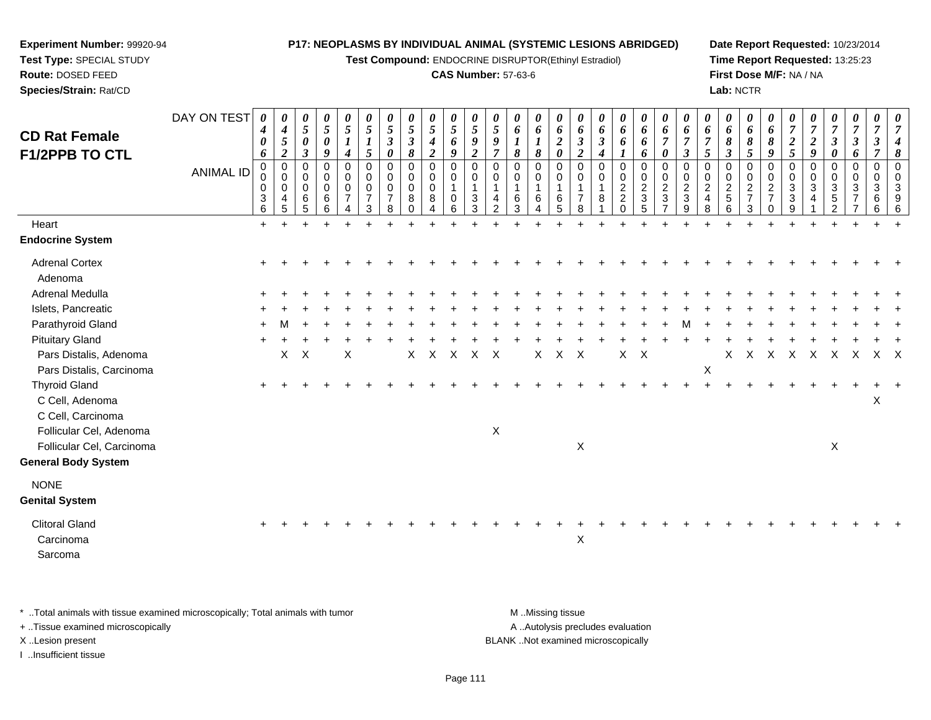**Test Compound:** ENDOCRINE DISRUPTOR(Ethinyl Estradiol)

## **CAS Number:** 57-63-6

**Date Report Requested:** 10/23/2014**Time Report Requested:** 13:25:23**First Dose M/F:** NA / NA**Lab:** NCTR

| <b>CD Rat Female</b>                                         | DAY ON TEST      | $\boldsymbol{\theta}$<br>$\boldsymbol{4}$<br>$\boldsymbol{\theta}$ | 0<br>$\boldsymbol{4}$<br>$\sqrt{5}$<br>$\overline{2}$            | 0<br>5<br>$\pmb{\theta}$<br>$\overline{\mathbf{3}}$ | 0<br>$\mathfrak{s}$<br>$\pmb{\theta}$<br>9 | 0<br>$\mathfrak{s}$<br>$\boldsymbol{l}$<br>$\boldsymbol{4}$  | $\boldsymbol{\theta}$<br>$\sqrt{5}$<br>$\boldsymbol{l}$<br>$\mathfrak{H}$ | 0<br>$\overline{5}$<br>$\boldsymbol{\beta}$<br>$\boldsymbol{\theta}$ | $\frac{\theta}{5}$<br>$\boldsymbol{\beta}$<br>8  | $\frac{\theta}{5}$<br>$\boldsymbol{4}$<br>$\overline{c}$ | $\frac{\theta}{5}$<br>6<br>9                   | 0<br>$\overline{5}$<br>$\boldsymbol{g}$<br>$\boldsymbol{2}$ | $\boldsymbol{\theta}$<br>$\overline{5}$<br>$\boldsymbol{9}$<br>$\overline{7}$ | 0<br>6<br>8                       | 0<br>6<br>$\boldsymbol{l}$<br>8            | 0<br>6<br>$\overline{2}$<br>0        | 0<br>6<br>$\boldsymbol{\beta}$<br>$\boldsymbol{2}$ | $\boldsymbol{\theta}$<br>6<br>$\boldsymbol{\beta}$<br>$\boldsymbol{4}$ | 0<br>6<br>6                                                      | 0<br>6<br>6<br>6                                           | 0<br>6<br>$\overline{7}$<br>$\boldsymbol{\theta}$                          | 0<br>6<br>$\overline{7}$                                                                     | $\theta$<br>6<br>$\overline{7}$<br>$\mathfrak{s}$     | 0<br>6<br>8<br>$\overline{\mathbf{3}}$       | 0<br>6<br>$\boldsymbol{\delta}$<br>5 | 0<br>$\boldsymbol{6}$<br>8<br>9                                              | 0<br>$\overline{7}$<br>$\boldsymbol{2}$<br>5                                              | $\overline{7}$<br>$\boldsymbol{2}$<br>9                      | 0<br>$\overline{7}$<br>$\boldsymbol{\beta}$<br>0       | 0<br>$\overline{7}$<br>$\mathbf{3}$<br>6 | 0<br>$\overline{7}$<br>$\boldsymbol{\beta}$<br>7 | 0 |
|--------------------------------------------------------------|------------------|--------------------------------------------------------------------|------------------------------------------------------------------|-----------------------------------------------------|--------------------------------------------|--------------------------------------------------------------|---------------------------------------------------------------------------|----------------------------------------------------------------------|--------------------------------------------------|----------------------------------------------------------|------------------------------------------------|-------------------------------------------------------------|-------------------------------------------------------------------------------|-----------------------------------|--------------------------------------------|--------------------------------------|----------------------------------------------------|------------------------------------------------------------------------|------------------------------------------------------------------|------------------------------------------------------------|----------------------------------------------------------------------------|----------------------------------------------------------------------------------------------|-------------------------------------------------------|----------------------------------------------|--------------------------------------|------------------------------------------------------------------------------|-------------------------------------------------------------------------------------------|--------------------------------------------------------------|--------------------------------------------------------|------------------------------------------|--------------------------------------------------|---|
| <b>F1/2PPB TO CTL</b>                                        | <b>ANIMAL ID</b> | 6<br>$\mathbf 0$<br>0<br>0<br>$\ensuremath{\mathsf{3}}$<br>6       | $\mathbf 0$<br>$\mathbf 0$<br>$\mathbf 0$<br>$\overline{4}$<br>5 | 0<br>$\mathbf 0$<br>0<br>6<br>5                     | $\mathbf 0$<br>0<br>0<br>$\,6\,$<br>6      | $\pmb{0}$<br>$\mathbf 0$<br>$\pmb{0}$<br>$\overline{7}$<br>4 | $\mathbf 0$<br>0<br>$\mathbf 0$<br>$\overline{7}$<br>3                    | $\mathbf 0$<br>$\mathbf 0$<br>$\mathbf 0$<br>$\overline{7}$<br>8     | $\mathbf 0$<br>0<br>$\mathbf 0$<br>8<br>$\Omega$ | 0<br>0<br>0<br>$\,8\,$<br>$\overline{A}$                 | $\mathbf 0$<br>$\mathbf 0$<br>$\mathbf 0$<br>6 | $\mathbf 0$<br>$\mathbf 0$<br>3<br>3                        | $\mathbf 0$<br>$\Omega$<br>$\mathbf{1}$<br>4<br>$\overline{2}$                | $\Omega$<br>$\mathbf 0$<br>6<br>3 | $\mathbf 0$<br>0<br>$\mathbf{1}$<br>6<br>4 | $\mathbf 0$<br>$\mathbf 0$<br>6<br>5 | $\mathbf 0$<br>0<br>$\overline{7}$<br>8            | $\mathbf 0$<br>$\mathbf 0$<br>$\mathbf{1}$<br>8                        | $\mathbf 0$<br>0<br>$\overline{c}$<br>$\overline{c}$<br>$\Omega$ | 0<br>0<br>$\overline{c}$<br>$\ensuremath{\mathsf{3}}$<br>5 | $\pmb{0}$<br>$\pmb{0}$<br>$\boldsymbol{2}$<br>$\sqrt{3}$<br>$\overline{7}$ | $\boldsymbol{\beta}$<br>$\mathbf 0$<br>0<br>$\overline{2}$<br>$\ensuremath{\mathsf{3}}$<br>9 | $\mathbf 0$<br>0<br>$\sqrt{2}$<br>$\overline{4}$<br>8 | 0<br>$\mathbf 0$<br>$\overline{c}$<br>5<br>6 | 0<br>0<br>$\frac{2}{7}$<br>3         | $\mathbf 0$<br>$\mathbf 0$<br>$\boldsymbol{2}$<br>$\overline{7}$<br>$\Omega$ | $\mathbf 0$<br>$\mathbf 0$<br>$\ensuremath{\mathsf{3}}$<br>$\ensuremath{\mathsf{3}}$<br>9 | $\mathbf 0$<br>$\mathbf 0$<br>$\mathbf{3}$<br>$\overline{4}$ | $\mathbf 0$<br>$\mathbf 0$<br>3<br>5<br>$\overline{2}$ | 0<br>$\mathbf{0}$<br>3<br>$\overline{7}$ | $\mathbf 0$<br>$\mathbf 0$<br>3<br>6<br>6        |   |
| Heart                                                        |                  | $+$                                                                |                                                                  |                                                     |                                            |                                                              |                                                                           |                                                                      |                                                  |                                                          |                                                |                                                             |                                                                               |                                   |                                            |                                      |                                                    |                                                                        |                                                                  |                                                            |                                                                            |                                                                                              |                                                       |                                              |                                      |                                                                              |                                                                                           |                                                              |                                                        |                                          |                                                  |   |
| <b>Endocrine System</b>                                      |                  |                                                                    |                                                                  |                                                     |                                            |                                                              |                                                                           |                                                                      |                                                  |                                                          |                                                |                                                             |                                                                               |                                   |                                            |                                      |                                                    |                                                                        |                                                                  |                                                            |                                                                            |                                                                                              |                                                       |                                              |                                      |                                                                              |                                                                                           |                                                              |                                                        |                                          |                                                  |   |
| <b>Adrenal Cortex</b><br>Adenoma                             |                  |                                                                    |                                                                  |                                                     |                                            |                                                              |                                                                           |                                                                      |                                                  |                                                          |                                                |                                                             |                                                                               |                                   |                                            |                                      |                                                    |                                                                        |                                                                  |                                                            |                                                                            |                                                                                              |                                                       |                                              |                                      |                                                                              |                                                                                           |                                                              |                                                        |                                          |                                                  |   |
| Adrenal Medulla                                              |                  |                                                                    |                                                                  |                                                     |                                            |                                                              |                                                                           |                                                                      |                                                  |                                                          |                                                |                                                             |                                                                               |                                   |                                            |                                      |                                                    |                                                                        |                                                                  |                                                            |                                                                            |                                                                                              |                                                       |                                              |                                      |                                                                              |                                                                                           |                                                              |                                                        |                                          |                                                  |   |
| Islets, Pancreatic                                           |                  |                                                                    |                                                                  |                                                     |                                            |                                                              |                                                                           |                                                                      |                                                  |                                                          |                                                |                                                             |                                                                               |                                   |                                            |                                      |                                                    |                                                                        |                                                                  |                                                            |                                                                            |                                                                                              |                                                       |                                              |                                      |                                                                              |                                                                                           |                                                              |                                                        |                                          |                                                  |   |
| Parathyroid Gland                                            |                  |                                                                    |                                                                  |                                                     |                                            |                                                              |                                                                           |                                                                      |                                                  |                                                          |                                                |                                                             |                                                                               |                                   |                                            |                                      |                                                    |                                                                        |                                                                  |                                                            |                                                                            |                                                                                              |                                                       |                                              |                                      |                                                                              |                                                                                           |                                                              |                                                        |                                          |                                                  |   |
| <b>Pituitary Gland</b>                                       |                  |                                                                    |                                                                  |                                                     |                                            |                                                              |                                                                           |                                                                      |                                                  |                                                          |                                                |                                                             |                                                                               |                                   |                                            |                                      |                                                    |                                                                        |                                                                  |                                                            |                                                                            |                                                                                              |                                                       |                                              |                                      |                                                                              |                                                                                           |                                                              |                                                        |                                          |                                                  |   |
| Pars Distalis, Adenoma                                       |                  |                                                                    | X                                                                | $\times$                                            |                                            | X                                                            |                                                                           |                                                                      | X                                                | $\sf X$                                                  | X                                              | $\mathsf{X}$                                                | X                                                                             |                                   | X                                          | X                                    | X                                                  |                                                                        | X                                                                | $\mathsf{X}$                                               |                                                                            |                                                                                              |                                                       | X                                            | X                                    | Χ                                                                            | X                                                                                         | X                                                            | Χ                                                      | Χ                                        | X                                                | X |
| Pars Distalis, Carcinoma                                     |                  |                                                                    |                                                                  |                                                     |                                            |                                                              |                                                                           |                                                                      |                                                  |                                                          |                                                |                                                             |                                                                               |                                   |                                            |                                      |                                                    |                                                                        |                                                                  |                                                            |                                                                            |                                                                                              | $\boldsymbol{\mathsf{X}}$                             |                                              |                                      |                                                                              |                                                                                           |                                                              |                                                        |                                          |                                                  |   |
| <b>Thyroid Gland</b><br>C Cell, Adenoma<br>C Cell, Carcinoma |                  |                                                                    |                                                                  |                                                     |                                            |                                                              |                                                                           |                                                                      |                                                  |                                                          |                                                |                                                             |                                                                               |                                   |                                            |                                      |                                                    |                                                                        |                                                                  |                                                            |                                                                            |                                                                                              |                                                       |                                              |                                      |                                                                              |                                                                                           |                                                              |                                                        |                                          | X                                                |   |
| Follicular Cel, Adenoma                                      |                  |                                                                    |                                                                  |                                                     |                                            |                                                              |                                                                           |                                                                      |                                                  |                                                          |                                                |                                                             | $\mathsf X$                                                                   |                                   |                                            |                                      |                                                    |                                                                        |                                                                  |                                                            |                                                                            |                                                                                              |                                                       |                                              |                                      |                                                                              |                                                                                           |                                                              |                                                        |                                          |                                                  |   |
| Follicular Cel, Carcinoma                                    |                  |                                                                    |                                                                  |                                                     |                                            |                                                              |                                                                           |                                                                      |                                                  |                                                          |                                                |                                                             |                                                                               |                                   |                                            |                                      | X                                                  |                                                                        |                                                                  |                                                            |                                                                            |                                                                                              |                                                       |                                              |                                      |                                                                              |                                                                                           |                                                              | X                                                      |                                          |                                                  |   |
| <b>General Body System</b>                                   |                  |                                                                    |                                                                  |                                                     |                                            |                                                              |                                                                           |                                                                      |                                                  |                                                          |                                                |                                                             |                                                                               |                                   |                                            |                                      |                                                    |                                                                        |                                                                  |                                                            |                                                                            |                                                                                              |                                                       |                                              |                                      |                                                                              |                                                                                           |                                                              |                                                        |                                          |                                                  |   |
| <b>NONE</b>                                                  |                  |                                                                    |                                                                  |                                                     |                                            |                                                              |                                                                           |                                                                      |                                                  |                                                          |                                                |                                                             |                                                                               |                                   |                                            |                                      |                                                    |                                                                        |                                                                  |                                                            |                                                                            |                                                                                              |                                                       |                                              |                                      |                                                                              |                                                                                           |                                                              |                                                        |                                          |                                                  |   |
| <b>Genital System</b>                                        |                  |                                                                    |                                                                  |                                                     |                                            |                                                              |                                                                           |                                                                      |                                                  |                                                          |                                                |                                                             |                                                                               |                                   |                                            |                                      |                                                    |                                                                        |                                                                  |                                                            |                                                                            |                                                                                              |                                                       |                                              |                                      |                                                                              |                                                                                           |                                                              |                                                        |                                          |                                                  |   |
| <b>Clitoral Gland</b><br>Carcinoma<br>Sarcoma                |                  |                                                                    |                                                                  |                                                     |                                            |                                                              |                                                                           |                                                                      |                                                  |                                                          |                                                |                                                             |                                                                               |                                   |                                            |                                      | $\mathsf X$                                        |                                                                        |                                                                  |                                                            |                                                                            |                                                                                              |                                                       |                                              |                                      |                                                                              |                                                                                           |                                                              |                                                        |                                          |                                                  |   |
|                                                              |                  |                                                                    |                                                                  |                                                     |                                            |                                                              |                                                                           |                                                                      |                                                  |                                                          |                                                |                                                             |                                                                               |                                   |                                            |                                      |                                                    |                                                                        |                                                                  |                                                            |                                                                            |                                                                                              |                                                       |                                              |                                      |                                                                              |                                                                                           |                                                              |                                                        |                                          |                                                  |   |

\* ..Total animals with tissue examined microscopically; Total animals with tumor **M** . Missing tissue M ..Missing tissue

+ ..Tissue examined microscopically

**Experiment Number:** 99920-94**Test Type:** SPECIAL STUDY**Route:** DOSED FEED**Species/Strain:** Rat/CD

I ..Insufficient tissue

A ..Autolysis precludes evaluation

X ..Lesion present BLANK ..Not examined microscopically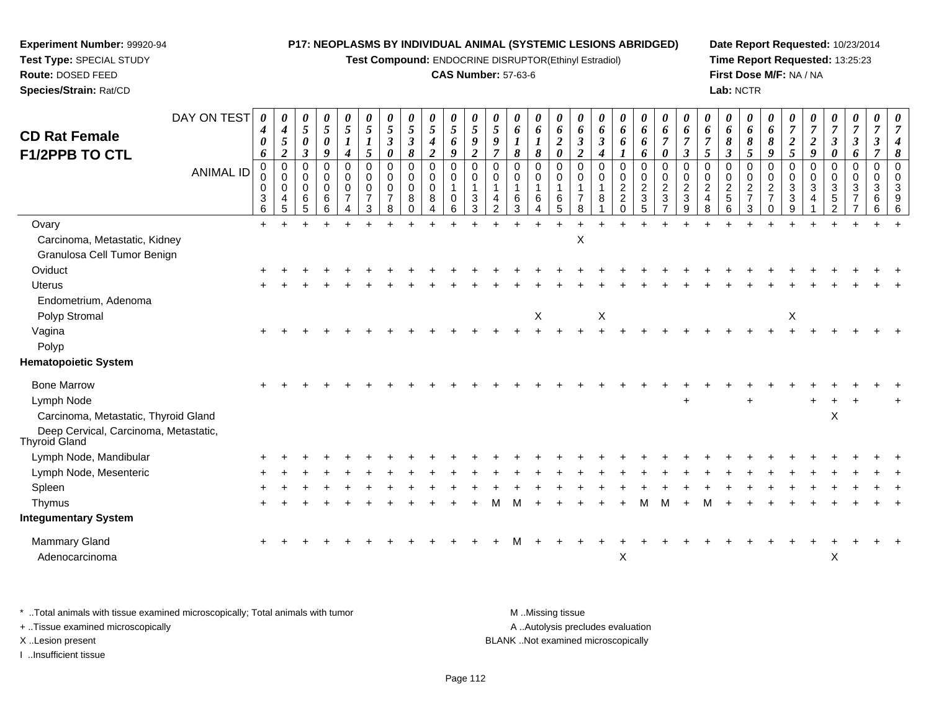**Test Compound:** ENDOCRINE DISRUPTOR(Ethinyl Estradiol)

## **CAS Number:** 57-63-6

**Date Report Requested:** 10/23/2014**Time Report Requested:** 13:25:23**First Dose M/F:** NA / NA**Lab:** NCTR

| <b>CD Rat Female</b><br>F1/2PPB TO CTL                                | DAY ON TEST      | 0<br>$\boldsymbol{4}$<br>0<br>6                       | 0<br>$\boldsymbol{4}$<br>$\sqrt{5}$<br>$\boldsymbol{2}$ | 0<br>$\sqrt{5}$<br>$\boldsymbol{\theta}$<br>$\boldsymbol{\beta}$ | 0<br>$\overline{5}$<br>$\boldsymbol{\theta}$<br>9         | $\boldsymbol{\theta}$<br>5<br>$\boldsymbol{l}$<br>$\boldsymbol{4}$ | 0<br>$\mathfrak{s}$<br>$\boldsymbol{l}$<br>5        | 0<br>5<br>$\mathfrak{z}$<br>0                          | 0<br>5<br>$\boldsymbol{\beta}$<br>8          | 0<br>5<br>$\boldsymbol{4}$<br>$\overline{2}$   | $\boldsymbol{\theta}$<br>5<br>6<br>9                        | $\boldsymbol{\theta}$<br>$\mathfrak{s}$<br>9<br>$\overline{2}$ | 0<br>$\mathfrak{S}$<br>9<br>$\overline{7}$     | 0<br>6<br>$\boldsymbol{l}$<br>8 | 0<br>6<br>$\boldsymbol{l}$<br>8                                   | 0<br>6<br>$\boldsymbol{2}$<br>$\boldsymbol{\theta}$ | 0<br>6<br>$\mathfrak{z}$<br>$\overline{2}$     | 0<br>6<br>$\boldsymbol{\beta}$<br>4 | 0<br>6<br>6<br>$\boldsymbol{l}$                           | 0<br>6<br>6<br>6                                              | 0<br>6<br>$\overline{7}$<br>$\boldsymbol{\theta}$                     | $\boldsymbol{\theta}$<br>6<br>$\overline{7}$<br>$\mathfrak{z}$ | 0<br>6<br>$\overline{7}$<br>5                                                | 0<br>6<br>8<br>$\boldsymbol{\beta}$                   | 0<br>6<br>8<br>5                                                    | $\boldsymbol{\theta}$<br>6<br>8<br>9                     | 0<br>$\overline{7}$<br>$\overline{2}$<br>5        | $\boldsymbol{\theta}$<br>$\overline{7}$<br>$\overline{2}$<br>9 | $\boldsymbol{\theta}$<br>$\overline{7}$<br>$\boldsymbol{\beta}$<br>$\boldsymbol{\theta}$ | 0<br>$\overline{7}$<br>$\boldsymbol{\beta}$<br>6 | 0<br>$\overline{7}$<br>$\boldsymbol{\beta}$<br>$\overline{7}$ | 0<br>$\overline{7}$<br>$\boldsymbol{4}$<br>$\pmb{8}$ |
|-----------------------------------------------------------------------|------------------|-------------------------------------------------------|---------------------------------------------------------|------------------------------------------------------------------|-----------------------------------------------------------|--------------------------------------------------------------------|-----------------------------------------------------|--------------------------------------------------------|----------------------------------------------|------------------------------------------------|-------------------------------------------------------------|----------------------------------------------------------------|------------------------------------------------|---------------------------------|-------------------------------------------------------------------|-----------------------------------------------------|------------------------------------------------|-------------------------------------|-----------------------------------------------------------|---------------------------------------------------------------|-----------------------------------------------------------------------|----------------------------------------------------------------|------------------------------------------------------------------------------|-------------------------------------------------------|---------------------------------------------------------------------|----------------------------------------------------------|---------------------------------------------------|----------------------------------------------------------------|------------------------------------------------------------------------------------------|--------------------------------------------------|---------------------------------------------------------------|------------------------------------------------------|
|                                                                       | <b>ANIMAL ID</b> | $\mathbf 0$<br>0<br>0<br>$\sqrt{3}$<br>$6\phantom{a}$ | $\mathbf 0$<br>0<br>$\mathbf 0$<br>4<br>5               | $\mathbf 0$<br>0<br>0<br>$\,6\,$<br>5                            | $\mathbf 0$<br>$\mathbf 0$<br>$\mathbf 0$<br>$\,6\,$<br>6 | 0<br>$\Omega$<br>0<br>$\overline{7}$<br>4                          | $\mathbf 0$<br>$\Omega$<br>0<br>$\overline{7}$<br>3 | $\mathbf 0$<br>$\mathbf 0$<br>0<br>$\overline{7}$<br>8 | 0<br>$\overline{0}$<br>0<br>8<br>$\mathbf 0$ | $\mathbf 0$<br>$\mathbf 0$<br>0<br>$\bf8$<br>4 | $\mathbf 0$<br>$\Omega$<br>$\mathbf{1}$<br>$\mathbf 0$<br>6 | $\mathbf 0$<br>$\Omega$<br>$\ensuremath{\mathsf{3}}$<br>3      | $\mathbf 0$<br>$\Omega$<br>4<br>$\overline{2}$ | 0<br>$\mathbf 0$<br>6<br>3      | $\mathbf 0$<br>$\mathbf 0$<br>$\mathbf{1}$<br>6<br>$\overline{4}$ | 0<br>$\Omega$<br>6<br>5                             | $\mathbf 0$<br>$\Omega$<br>$\overline{7}$<br>8 | $\mathbf 0$<br>$\Omega$<br>8        | 0<br>$\mathbf 0$<br>$\overline{2}$<br>$\overline{2}$<br>0 | $\mathbf 0$<br>$\pmb{0}$<br>$\overline{c}$<br>$\sqrt{3}$<br>5 | $\mathbf 0$<br>$\mathbf 0$<br>$\sqrt{2}$<br>$\ensuremath{\mathsf{3}}$ | $\Omega$<br>$\Omega$<br>$\overline{2}$<br>$\sqrt{3}$<br>9      | $\mathbf 0$<br>$\mathbf 0$<br>$\overline{2}$<br>$\overline{\mathbf{4}}$<br>8 | $\mathbf 0$<br>0<br>$\overline{c}$<br>$\sqrt{5}$<br>6 | $\mathbf 0$<br>$\mathbf 0$<br>$\overline{c}$<br>$\overline{7}$<br>3 | $\Omega$<br>0<br>$\boldsymbol{2}$<br>$\overline{7}$<br>0 | $\mathbf 0$<br>0<br>$\sqrt{3}$<br>$\sqrt{3}$<br>9 | 0<br>0<br>$\mathbf{3}$<br>4                                    | $\mathbf 0$<br>$\mathbf 0$<br>$\mathbf{3}$<br>$\sqrt{5}$<br>$\overline{2}$               | $\mathbf 0$<br>$\Omega$<br>3<br>$\overline{7}$   | $\mathbf 0$<br>$\Omega$<br>3<br>6<br>6                        | $\Omega$<br>$\Omega$<br>3<br>9<br>6                  |
| Ovary<br>Carcinoma, Metastatic, Kidney<br>Granulosa Cell Tumor Benign |                  | $\ddot{}$                                             |                                                         |                                                                  |                                                           |                                                                    |                                                     |                                                        |                                              |                                                |                                                             |                                                                |                                                |                                 |                                                                   |                                                     | X                                              |                                     |                                                           |                                                               |                                                                       |                                                                |                                                                              |                                                       |                                                                     |                                                          |                                                   |                                                                |                                                                                          |                                                  |                                                               |                                                      |
| Oviduct                                                               |                  |                                                       |                                                         |                                                                  |                                                           |                                                                    |                                                     |                                                        |                                              |                                                |                                                             |                                                                |                                                |                                 |                                                                   |                                                     |                                                |                                     |                                                           |                                                               |                                                                       |                                                                |                                                                              |                                                       |                                                                     |                                                          |                                                   |                                                                |                                                                                          |                                                  |                                                               |                                                      |
| <b>Uterus</b>                                                         |                  |                                                       |                                                         |                                                                  |                                                           |                                                                    |                                                     |                                                        |                                              |                                                |                                                             |                                                                |                                                |                                 |                                                                   |                                                     |                                                |                                     |                                                           |                                                               |                                                                       |                                                                |                                                                              |                                                       |                                                                     |                                                          |                                                   |                                                                |                                                                                          |                                                  |                                                               |                                                      |
| Endometrium, Adenoma<br>Polyp Stromal                                 |                  |                                                       |                                                         |                                                                  |                                                           |                                                                    |                                                     |                                                        |                                              |                                                |                                                             |                                                                |                                                |                                 | X                                                                 |                                                     |                                                | $\boldsymbol{\mathsf{X}}$           |                                                           |                                                               |                                                                       |                                                                |                                                                              |                                                       |                                                                     |                                                          | $\pmb{\times}$                                    |                                                                |                                                                                          |                                                  |                                                               |                                                      |
| Vagina                                                                |                  |                                                       |                                                         |                                                                  |                                                           |                                                                    |                                                     |                                                        |                                              |                                                |                                                             |                                                                |                                                |                                 |                                                                   |                                                     |                                                |                                     |                                                           |                                                               |                                                                       |                                                                |                                                                              |                                                       |                                                                     |                                                          |                                                   |                                                                |                                                                                          |                                                  |                                                               |                                                      |
| Polyp                                                                 |                  |                                                       |                                                         |                                                                  |                                                           |                                                                    |                                                     |                                                        |                                              |                                                |                                                             |                                                                |                                                |                                 |                                                                   |                                                     |                                                |                                     |                                                           |                                                               |                                                                       |                                                                |                                                                              |                                                       |                                                                     |                                                          |                                                   |                                                                |                                                                                          |                                                  |                                                               |                                                      |
| <b>Hematopoietic System</b>                                           |                  |                                                       |                                                         |                                                                  |                                                           |                                                                    |                                                     |                                                        |                                              |                                                |                                                             |                                                                |                                                |                                 |                                                                   |                                                     |                                                |                                     |                                                           |                                                               |                                                                       |                                                                |                                                                              |                                                       |                                                                     |                                                          |                                                   |                                                                |                                                                                          |                                                  |                                                               |                                                      |
| <b>Bone Marrow</b><br>Lymph Node                                      |                  |                                                       |                                                         |                                                                  |                                                           |                                                                    |                                                     |                                                        |                                              |                                                |                                                             |                                                                |                                                |                                 |                                                                   |                                                     |                                                |                                     |                                                           |                                                               |                                                                       | $\ddot{}$                                                      |                                                                              |                                                       | $\ddot{}$                                                           |                                                          |                                                   |                                                                |                                                                                          |                                                  |                                                               |                                                      |
| Carcinoma, Metastatic, Thyroid Gland                                  |                  |                                                       |                                                         |                                                                  |                                                           |                                                                    |                                                     |                                                        |                                              |                                                |                                                             |                                                                |                                                |                                 |                                                                   |                                                     |                                                |                                     |                                                           |                                                               |                                                                       |                                                                |                                                                              |                                                       |                                                                     |                                                          |                                                   |                                                                | $\boldsymbol{\mathsf{X}}$                                                                |                                                  |                                                               |                                                      |
| Deep Cervical, Carcinoma, Metastatic,<br><b>Thyroid Gland</b>         |                  |                                                       |                                                         |                                                                  |                                                           |                                                                    |                                                     |                                                        |                                              |                                                |                                                             |                                                                |                                                |                                 |                                                                   |                                                     |                                                |                                     |                                                           |                                                               |                                                                       |                                                                |                                                                              |                                                       |                                                                     |                                                          |                                                   |                                                                |                                                                                          |                                                  |                                                               |                                                      |
| Lymph Node, Mandibular                                                |                  |                                                       |                                                         |                                                                  |                                                           |                                                                    |                                                     |                                                        |                                              |                                                |                                                             |                                                                |                                                |                                 |                                                                   |                                                     |                                                |                                     |                                                           |                                                               |                                                                       |                                                                |                                                                              |                                                       |                                                                     |                                                          |                                                   |                                                                |                                                                                          |                                                  |                                                               |                                                      |
| Lymph Node, Mesenteric                                                |                  |                                                       |                                                         |                                                                  |                                                           |                                                                    |                                                     |                                                        |                                              |                                                |                                                             |                                                                |                                                |                                 |                                                                   |                                                     |                                                |                                     |                                                           |                                                               |                                                                       |                                                                |                                                                              |                                                       |                                                                     |                                                          |                                                   |                                                                |                                                                                          |                                                  |                                                               |                                                      |
| Spleen                                                                |                  |                                                       |                                                         |                                                                  |                                                           |                                                                    |                                                     |                                                        |                                              |                                                |                                                             |                                                                |                                                |                                 |                                                                   |                                                     |                                                |                                     |                                                           |                                                               |                                                                       |                                                                |                                                                              |                                                       |                                                                     |                                                          |                                                   |                                                                |                                                                                          |                                                  |                                                               |                                                      |
| Thymus                                                                |                  |                                                       |                                                         |                                                                  |                                                           |                                                                    |                                                     |                                                        |                                              |                                                |                                                             |                                                                |                                                |                                 |                                                                   |                                                     |                                                |                                     |                                                           |                                                               |                                                                       |                                                                |                                                                              |                                                       |                                                                     |                                                          |                                                   |                                                                |                                                                                          |                                                  |                                                               |                                                      |
| <b>Integumentary System</b>                                           |                  |                                                       |                                                         |                                                                  |                                                           |                                                                    |                                                     |                                                        |                                              |                                                |                                                             |                                                                |                                                |                                 |                                                                   |                                                     |                                                |                                     |                                                           |                                                               |                                                                       |                                                                |                                                                              |                                                       |                                                                     |                                                          |                                                   |                                                                |                                                                                          |                                                  |                                                               |                                                      |
| <b>Mammary Gland</b><br>Adenocarcinoma                                |                  |                                                       |                                                         |                                                                  |                                                           |                                                                    |                                                     |                                                        |                                              |                                                |                                                             |                                                                |                                                |                                 |                                                                   |                                                     |                                                |                                     | X                                                         |                                                               |                                                                       |                                                                |                                                                              |                                                       |                                                                     |                                                          |                                                   |                                                                | X                                                                                        |                                                  |                                                               |                                                      |

\* ..Total animals with tissue examined microscopically; Total animals with tumor **M** . Missing tissue M ..Missing tissue A ..Autolysis precludes evaluation + ..Tissue examined microscopically X ..Lesion present BLANK ..Not examined microscopicallyI ..Insufficient tissue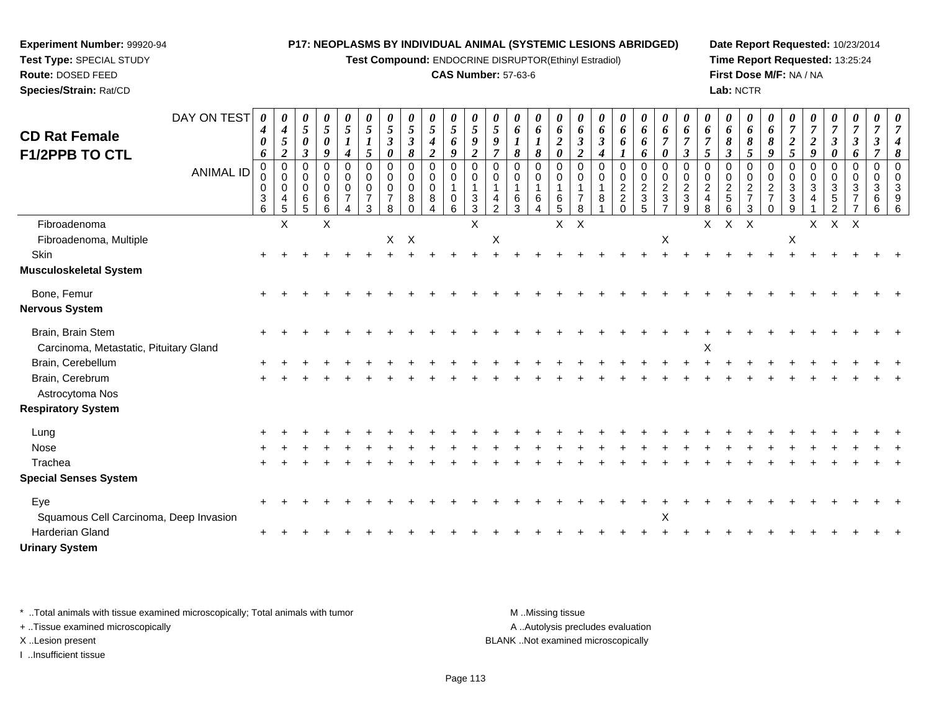**Test Compound:** ENDOCRINE DISRUPTOR(Ethinyl Estradiol)

# **CAS Number:** 57-63-6

**Date Report Requested:** 10/23/2014**Time Report Requested:** 13:25:24**First Dose M/F:** NA / NA**Lab:** NCTR

| <b>CD Rat Female</b>                                        | DAY ON TEST      | 0<br>$\boldsymbol{4}$<br>0                | $\boldsymbol{\theta}$<br>$\boldsymbol{4}$<br>5                         | 0<br>$\sqrt{5}$<br>$\pmb{\theta}$                             | 0<br>$\sqrt{5}$<br>$\boldsymbol{\theta}$                      | $\boldsymbol{\theta}$<br>$\overline{5}$<br>$\boldsymbol{l}$                               | $\boldsymbol{\theta}$<br>5 | $\boldsymbol{\theta}$<br>$\sqrt{5}$<br>$\boldsymbol{\beta}$ | 0<br>5<br>$\mathfrak{z}$                       | 0<br>$\mathfrak{s}$<br>4                  | 0<br>$\mathfrak{s}$<br>6                                                        | $\boldsymbol{\theta}$<br>$\mathfrak{s}$<br>9       | $\boldsymbol{\theta}$<br>5<br>9               | 0<br>6                  | 0<br>6<br>$\boldsymbol{l}$                           | $\boldsymbol{\theta}$<br>6<br>$\boldsymbol{2}$        | $\boldsymbol{\theta}$<br>6<br>$\boldsymbol{\beta}$ | $\boldsymbol{\theta}$<br>6<br>$\boldsymbol{\beta}$ | $\boldsymbol{\theta}$<br>6<br>6                                | $\boldsymbol{\theta}$<br>6<br>6                               | $\boldsymbol{\theta}$<br>6<br>$\overline{7}$     | $\boldsymbol{\theta}$<br>6<br>$\overline{7}$                        | $\boldsymbol{\theta}$<br>6                               | 0<br>6<br>8                                        | 0<br>6<br>8                                                        | $\boldsymbol{\theta}$<br>6<br>8                                    | $\overline{7}$<br>$\boldsymbol{2}$ | $\boldsymbol{\theta}$<br>$\overline{7}$<br>$\boldsymbol{2}$ | 0<br>$\overline{7}$<br>$\mathfrak{z}$                        | $\boldsymbol{\theta}$<br>$\overline{7}$<br>$\boldsymbol{\beta}$ | 0<br>$\overline{7}$<br>$\boldsymbol{\beta}$                    | 7                                   |
|-------------------------------------------------------------|------------------|-------------------------------------------|------------------------------------------------------------------------|---------------------------------------------------------------|---------------------------------------------------------------|-------------------------------------------------------------------------------------------|----------------------------|-------------------------------------------------------------|------------------------------------------------|-------------------------------------------|---------------------------------------------------------------------------------|----------------------------------------------------|-----------------------------------------------|-------------------------|------------------------------------------------------|-------------------------------------------------------|----------------------------------------------------|----------------------------------------------------|----------------------------------------------------------------|---------------------------------------------------------------|--------------------------------------------------|---------------------------------------------------------------------|----------------------------------------------------------|----------------------------------------------------|--------------------------------------------------------------------|--------------------------------------------------------------------|------------------------------------|-------------------------------------------------------------|--------------------------------------------------------------|-----------------------------------------------------------------|----------------------------------------------------------------|-------------------------------------|
| <b>F1/2PPB TO CTL</b>                                       |                  | 6                                         | $\overline{2}$                                                         | $\mathfrak{z}$                                                | 9                                                             | $\boldsymbol{4}$                                                                          | 5                          | 0                                                           | 8                                              | $\overline{2}$                            | 9                                                                               | $\boldsymbol{2}$                                   | $\overline{7}$                                | 8                       | 8                                                    | 0                                                     | $\boldsymbol{2}$                                   | $\boldsymbol{4}$                                   |                                                                | 6                                                             | 0                                                | $\mathfrak{z}$                                                      | 5                                                        | 3                                                  | 5                                                                  | 9                                                                  | 5                                  | $\boldsymbol{g}$                                            | 0                                                            | 6                                                               | 7                                                              | 8                                   |
|                                                             | <b>ANIMAL ID</b> | $\mathbf 0$<br>0<br>0<br>$\mathbf 3$<br>6 | $\Omega$<br>$\mathbf 0$<br>$\mathbf 0$<br>$\overline{4}$<br>$\sqrt{5}$ | $\mathbf{0}$<br>$\boldsymbol{0}$<br>$\pmb{0}$<br>$\,6\,$<br>5 | $\mathbf 0$<br>$\mathbf 0$<br>$\mathbf 0$<br>$\,6$<br>$\,6\,$ | $\overline{0}$<br>$\mathbf 0$<br>$\mathbf 0$<br>$\overline{7}$<br>$\overline{\mathbf{4}}$ | $\Omega$<br>0<br>0<br>3    | $\mathbf 0$<br>0<br>$\mathbf 0$<br>$\overline{7}$<br>8      | $\mathbf 0$<br>$\pmb{0}$<br>0<br>8<br>$\Omega$ | $\Omega$<br>0<br>0<br>8<br>$\overline{A}$ | $\Omega$<br>$\mathbf 0$<br>$\mathbf 1$<br>$\begin{array}{c} 0 \\ 6 \end{array}$ | $\Omega$<br>0<br>$\mathbf{1}$<br>3<br>$\mathbf{3}$ | $\Omega$<br>$\mathbf 0$<br>4<br>$\mathcal{P}$ | $\Omega$<br>0<br>6<br>3 | $\Omega$<br>0<br>$\mathbf{1}$<br>6<br>$\overline{A}$ | $\mathbf 0$<br>$\pmb{0}$<br>$\mathbf 1$<br>$6\over 5$ | $\Omega$<br>$\Omega$<br>8                          | $\Omega$<br>$\mathbf 0$<br>8                       | 0<br>$\pmb{0}$<br>$\overline{c}$<br>$\overline{c}$<br>$\Omega$ | $\mathbf 0$<br>$\pmb{0}$<br>$\boldsymbol{2}$<br>$\frac{3}{5}$ | $\Omega$<br>0<br>$\frac{2}{3}$<br>$\overline{7}$ | $\Omega$<br>0<br>$\boldsymbol{2}$<br>$\ensuremath{\mathsf{3}}$<br>9 | $\Omega$<br>0<br>$\boldsymbol{2}$<br>$\overline{4}$<br>8 | $\Omega$<br>$\boldsymbol{0}$<br>$\frac{2}{5}$<br>6 | $\Omega$<br>$\mathbf 0$<br>$\boldsymbol{2}$<br>$\overline{7}$<br>3 | $\Omega$<br>0<br>$\overline{2}$<br>$\boldsymbol{7}$<br>$\mathbf 0$ | $\Omega$<br>0<br>3<br>3<br>9       | $\Omega$<br>0<br>3<br>4                                     | $\Omega$<br>$\pmb{0}$<br>$\mathbf{3}$<br>5<br>$\mathfrak{p}$ | $\Omega$<br>$\mathbf 0$<br>3                                    | $\Omega$<br>$\mathbf 0$<br>$\ensuremath{\mathsf{3}}$<br>6<br>6 | $\Omega$<br>$\Omega$<br>3<br>9<br>6 |
| Fibroadenoma                                                |                  |                                           | X                                                                      |                                                               | $\sf X$                                                       |                                                                                           |                            |                                                             |                                                |                                           |                                                                                 | $\times$                                           |                                               |                         |                                                      | X                                                     | $\times$                                           |                                                    |                                                                |                                                               |                                                  |                                                                     | X                                                        | X                                                  | $\mathsf{X}$                                                       |                                                                    |                                    | X                                                           | $X$ $X$                                                      |                                                                 |                                                                |                                     |
| Fibroadenoma, Multiple                                      |                  |                                           |                                                                        |                                                               |                                                               |                                                                                           |                            | X                                                           | $\mathsf{X}$                                   |                                           |                                                                                 |                                                    | X                                             |                         |                                                      |                                                       |                                                    |                                                    |                                                                |                                                               | $\mathsf X$                                      |                                                                     |                                                          |                                                    |                                                                    |                                                                    | X                                  |                                                             |                                                              |                                                                 |                                                                |                                     |
| Skin                                                        |                  |                                           |                                                                        |                                                               |                                                               |                                                                                           |                            |                                                             |                                                |                                           |                                                                                 |                                                    |                                               |                         |                                                      |                                                       |                                                    |                                                    |                                                                |                                                               |                                                  |                                                                     |                                                          |                                                    |                                                                    |                                                                    |                                    |                                                             |                                                              |                                                                 |                                                                |                                     |
| <b>Musculoskeletal System</b>                               |                  |                                           |                                                                        |                                                               |                                                               |                                                                                           |                            |                                                             |                                                |                                           |                                                                                 |                                                    |                                               |                         |                                                      |                                                       |                                                    |                                                    |                                                                |                                                               |                                                  |                                                                     |                                                          |                                                    |                                                                    |                                                                    |                                    |                                                             |                                                              |                                                                 |                                                                |                                     |
| Bone, Femur                                                 |                  |                                           |                                                                        |                                                               |                                                               |                                                                                           |                            |                                                             |                                                |                                           |                                                                                 |                                                    |                                               |                         |                                                      |                                                       |                                                    |                                                    |                                                                |                                                               |                                                  |                                                                     |                                                          |                                                    |                                                                    |                                                                    |                                    |                                                             |                                                              |                                                                 |                                                                |                                     |
| <b>Nervous System</b>                                       |                  |                                           |                                                                        |                                                               |                                                               |                                                                                           |                            |                                                             |                                                |                                           |                                                                                 |                                                    |                                               |                         |                                                      |                                                       |                                                    |                                                    |                                                                |                                                               |                                                  |                                                                     |                                                          |                                                    |                                                                    |                                                                    |                                    |                                                             |                                                              |                                                                 |                                                                |                                     |
| Brain, Brain Stem<br>Carcinoma, Metastatic, Pituitary Gland |                  |                                           |                                                                        |                                                               |                                                               |                                                                                           |                            |                                                             |                                                |                                           |                                                                                 |                                                    |                                               |                         |                                                      |                                                       |                                                    |                                                    |                                                                |                                                               |                                                  |                                                                     | X                                                        |                                                    |                                                                    |                                                                    |                                    |                                                             |                                                              |                                                                 |                                                                |                                     |
| Brain, Cerebellum                                           |                  |                                           |                                                                        |                                                               |                                                               |                                                                                           |                            |                                                             |                                                |                                           |                                                                                 |                                                    |                                               |                         |                                                      |                                                       |                                                    |                                                    |                                                                |                                                               |                                                  |                                                                     |                                                          |                                                    |                                                                    |                                                                    |                                    |                                                             |                                                              |                                                                 |                                                                |                                     |
| Brain, Cerebrum<br>Astrocytoma Nos                          |                  |                                           |                                                                        |                                                               |                                                               |                                                                                           |                            |                                                             |                                                |                                           |                                                                                 |                                                    |                                               |                         |                                                      |                                                       |                                                    |                                                    |                                                                |                                                               |                                                  |                                                                     |                                                          |                                                    |                                                                    |                                                                    |                                    |                                                             |                                                              |                                                                 |                                                                |                                     |
| <b>Respiratory System</b>                                   |                  |                                           |                                                                        |                                                               |                                                               |                                                                                           |                            |                                                             |                                                |                                           |                                                                                 |                                                    |                                               |                         |                                                      |                                                       |                                                    |                                                    |                                                                |                                                               |                                                  |                                                                     |                                                          |                                                    |                                                                    |                                                                    |                                    |                                                             |                                                              |                                                                 |                                                                |                                     |
| Lung                                                        |                  |                                           |                                                                        |                                                               |                                                               |                                                                                           |                            |                                                             |                                                |                                           |                                                                                 |                                                    |                                               |                         |                                                      |                                                       |                                                    |                                                    |                                                                |                                                               |                                                  |                                                                     |                                                          |                                                    |                                                                    |                                                                    |                                    |                                                             |                                                              |                                                                 |                                                                |                                     |
| Nose                                                        |                  |                                           |                                                                        |                                                               |                                                               |                                                                                           |                            |                                                             |                                                |                                           |                                                                                 |                                                    |                                               |                         |                                                      |                                                       |                                                    |                                                    |                                                                |                                                               |                                                  |                                                                     |                                                          |                                                    |                                                                    |                                                                    |                                    |                                                             |                                                              |                                                                 |                                                                |                                     |
| Trachea                                                     |                  |                                           |                                                                        |                                                               |                                                               |                                                                                           |                            |                                                             |                                                |                                           |                                                                                 |                                                    |                                               |                         |                                                      |                                                       |                                                    |                                                    |                                                                |                                                               |                                                  |                                                                     |                                                          |                                                    |                                                                    |                                                                    |                                    |                                                             |                                                              |                                                                 |                                                                |                                     |
| <b>Special Senses System</b>                                |                  |                                           |                                                                        |                                                               |                                                               |                                                                                           |                            |                                                             |                                                |                                           |                                                                                 |                                                    |                                               |                         |                                                      |                                                       |                                                    |                                                    |                                                                |                                                               |                                                  |                                                                     |                                                          |                                                    |                                                                    |                                                                    |                                    |                                                             |                                                              |                                                                 |                                                                |                                     |
| Eye                                                         |                  |                                           |                                                                        |                                                               |                                                               |                                                                                           |                            |                                                             |                                                |                                           |                                                                                 |                                                    |                                               |                         |                                                      |                                                       |                                                    |                                                    |                                                                |                                                               |                                                  |                                                                     |                                                          |                                                    |                                                                    |                                                                    |                                    |                                                             |                                                              |                                                                 |                                                                |                                     |
| Squamous Cell Carcinoma, Deep Invasion                      |                  |                                           |                                                                        |                                                               |                                                               |                                                                                           |                            |                                                             |                                                |                                           |                                                                                 |                                                    |                                               |                         |                                                      |                                                       |                                                    |                                                    |                                                                |                                                               | X                                                |                                                                     |                                                          |                                                    |                                                                    |                                                                    |                                    |                                                             |                                                              |                                                                 |                                                                |                                     |
| Harderian Gland<br><b>Urinary System</b>                    |                  |                                           |                                                                        |                                                               |                                                               |                                                                                           |                            |                                                             |                                                |                                           |                                                                                 |                                                    |                                               |                         |                                                      |                                                       |                                                    |                                                    |                                                                |                                                               |                                                  |                                                                     |                                                          |                                                    |                                                                    |                                                                    |                                    |                                                             |                                                              |                                                                 |                                                                |                                     |

\* ..Total animals with tissue examined microscopically; Total animals with tumor **M** . Missing tissue M ..Missing tissue + ..Tissue examined microscopically X ..Lesion present BLANK ..Not examined microscopically

I ..Insufficient tissue

**Experiment Number:** 99920-94**Test Type:** SPECIAL STUDY**Route:** DOSED FEED**Species/Strain:** Rat/CD

A ..Autolysis precludes evaluation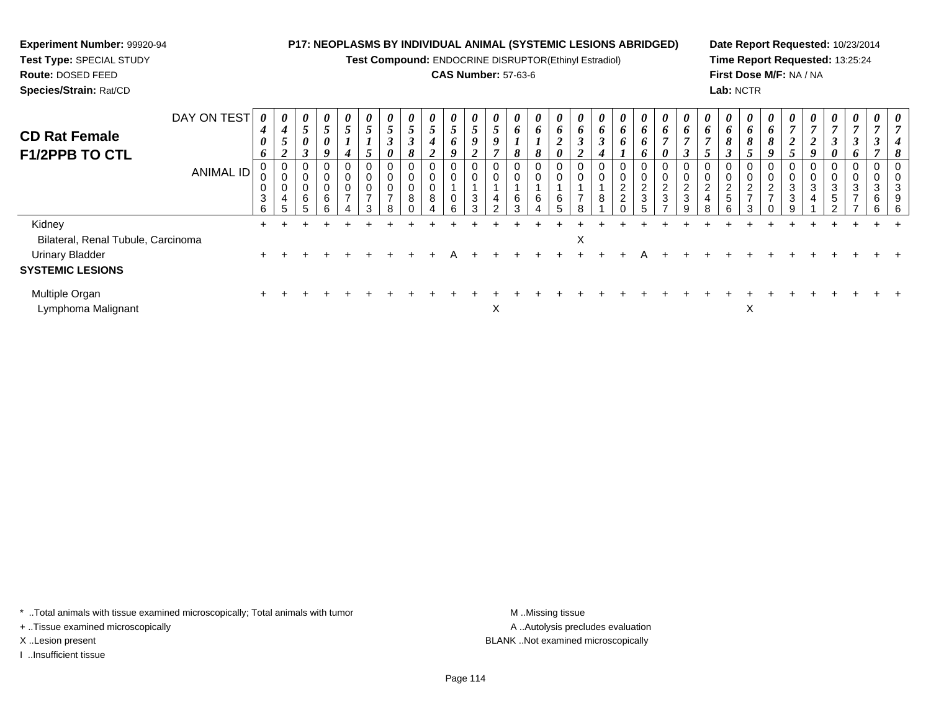**Test Compound:** ENDOCRINE DISRUPTOR(Ethinyl Estradiol)

# **CAS Number:** 57-63-6

**Date Report Requested:** 10/23/2014**Time Report Requested:** 13:25:24**First Dose M/F:** NA / NA**Lab:** NCTR

| <b>CD Rat Female</b>               | DAY ON TEST      | $\boldsymbol{\theta}$<br>4 | $\boldsymbol{\theta}$<br>$\boldsymbol{4}$     | $\boldsymbol{\theta}$<br>$5\overline{)}$ | 0<br>$\mathfrak{s}$               | $\boldsymbol{\theta}$<br>J   | $\boldsymbol{\theta}$<br>$\overline{ }$<br>C | 0<br>$\overline{ }$<br>$\mathfrak{I}$<br>$\rightarrow$ | 0<br>$5\overline{)}$<br>◠ | $\boldsymbol{\theta}$<br>$\overline{\mathbf{5}}$ | 0<br>$\overline{ }$<br>$\mathcal{L}$ | U<br>$\mathcal{L}$ | 0<br>J | 0<br>o           | $\boldsymbol{\theta}$<br>$\bm{o}$ | $\boldsymbol{\theta}$<br>$\bm{o}$ | $\boldsymbol{\theta}$<br>6             | $\boldsymbol{\theta}$<br>6<br>$\rightarrow$ | 0<br>6                                         | 0<br>6                            | $\boldsymbol{\theta}$<br>o<br>$\overline{ }$ | $\boldsymbol{\theta}$<br>6                                  | $\boldsymbol{\theta}$<br>6<br>7    | $\boldsymbol{\theta}$<br>$\bm{b}$                              | $\boldsymbol{\theta}$<br>o | U<br>0             | $\boldsymbol{\theta}$<br>$\overline{ }$<br>◠ | $\boldsymbol{\theta}$<br>7<br>↑ | $\boldsymbol{\theta}$<br>$\overline{7}$              | $\boldsymbol{\theta}$<br>$\overline{ }$ | 0                | $\boldsymbol{\theta}$ |
|------------------------------------|------------------|----------------------------|-----------------------------------------------|------------------------------------------|-----------------------------------|------------------------------|----------------------------------------------|--------------------------------------------------------|---------------------------|--------------------------------------------------|--------------------------------------|--------------------|--------|------------------|-----------------------------------|-----------------------------------|----------------------------------------|---------------------------------------------|------------------------------------------------|-----------------------------------|----------------------------------------------|-------------------------------------------------------------|------------------------------------|----------------------------------------------------------------|----------------------------|--------------------|----------------------------------------------|---------------------------------|------------------------------------------------------|-----------------------------------------|------------------|-----------------------|
| <b>F1/2PPB TO CTL</b>              |                  | 0<br>6                     | $\mathcal{L}$<br>◠<br>$\epsilon$              | 0<br>$\mathbf{3}$                        | $\boldsymbol{\theta}$<br>9        |                              | $\overline{a}$<br>$\mathcal{L}$              | J<br>0                                                 | 8                         | 4<br>2                                           | $\bm{o}$<br>9                        |                    |        | $\mathbf{o}$     | Ω                                 | ◢<br>0                            | $\boldsymbol{\beta}$<br>$\overline{2}$ | $\mathbf{J}$<br>4                           | 6                                              | 6<br>6                            | 0                                            |                                                             | - 1                                | 8<br>ി<br>I                                                    | 8                          | 8<br>Q             | $\overline{2}$<br>$\overline{ }$             | ◢<br>Q                          | 3<br>$\boldsymbol{\theta}$                           | $\boldsymbol{\beta}$<br>6               | J                |                       |
|                                    | <b>ANIMAL ID</b> | υ<br>0<br>3<br>6           | $\mathbf{0}$<br>0<br>0<br>$\overline{4}$<br>5 | 0<br>0<br>$\pmb{0}$<br>$\,6\,$<br>5      | 0<br>0<br>$\pmb{0}$<br>$\,6$<br>6 | U<br>U<br>υ<br>$\rightarrow$ | $\overline{ }$                               | 0<br>0<br>0<br>$\overline{ }$<br>R                     | 0<br>0<br>0<br>8          | 0<br>0<br>0<br>8                                 | U<br>0<br>0<br>6                     | U<br>3<br>$\sim$   | 4      | 0<br>6<br>$\sim$ | υ<br>$\mathbf{0}$<br>6            | 0<br>0<br>6                       | U<br>0<br>$\overline{ }$               | 0<br>0<br>8                                 | 0<br>$\overline{\mathbf{c}}$<br>$\overline{2}$ | 0<br>$\mathbf 0$<br>$\frac{2}{3}$ | U<br>$\Omega$<br>▵<br>3                      | 0<br>0<br>ົ<br>$\epsilon$<br>$\ensuremath{\mathsf{3}}$<br>g | 0<br>0<br>$\overline{2}$<br>4<br>8 | 0<br>$\mathbf 0$<br>$\overline{2}$<br>$\overline{5}$<br>$\sim$ | ∼<br>$\rightarrow$         | ▵<br>$\rightarrow$ | U<br>0<br>3<br>3<br>q                        | 0<br>0<br>3<br>4                | 0<br>0<br>$\mathbf{3}$<br>$\overline{5}$<br>$\Omega$ | 0<br>0<br>3<br>$\overline{ }$<br>-      | ◠<br>చ<br>6<br>6 | J<br>6                |
| Kidney                             |                  |                            |                                               |                                          |                                   |                              |                                              |                                                        |                           |                                                  |                                      |                    |        |                  |                                   |                                   |                                        |                                             |                                                |                                   |                                              |                                                             |                                    |                                                                |                            |                    |                                              |                                 |                                                      |                                         |                  |                       |
| Bilateral, Renal Tubule, Carcinoma |                  |                            |                                               |                                          |                                   |                              |                                              |                                                        |                           |                                                  |                                      |                    |        |                  |                                   |                                   | X                                      |                                             |                                                |                                   |                                              |                                                             |                                    |                                                                |                            |                    |                                              |                                 |                                                      |                                         |                  |                       |
| <b>Urinary Bladder</b>             |                  |                            |                                               |                                          |                                   |                              |                                              |                                                        |                           |                                                  |                                      |                    |        |                  |                                   |                                   |                                        |                                             |                                                |                                   |                                              |                                                             |                                    |                                                                |                            |                    |                                              |                                 |                                                      |                                         |                  |                       |
| <b>SYSTEMIC LESIONS</b>            |                  |                            |                                               |                                          |                                   |                              |                                              |                                                        |                           |                                                  |                                      |                    |        |                  |                                   |                                   |                                        |                                             |                                                |                                   |                                              |                                                             |                                    |                                                                |                            |                    |                                              |                                 |                                                      |                                         |                  |                       |
| Multiple Organ                     |                  |                            |                                               |                                          |                                   |                              |                                              |                                                        |                           |                                                  |                                      |                    |        |                  |                                   |                                   |                                        |                                             |                                                |                                   |                                              |                                                             |                                    |                                                                |                            |                    |                                              |                                 |                                                      |                                         |                  |                       |

t and the set of the set of the set of the set of the set of the set of the set of the set of the set of the s

 $\mathsf{X}$  and  $\mathsf{X}$ 

\* ..Total animals with tissue examined microscopically; Total animals with tumor **M** . Missing tissue M ..Missing tissue

+ ..Tissue examined microscopically

**Experiment Number:** 99920-94**Test Type:** SPECIAL STUDY**Route:** DOSED FEED**Species/Strain:** Rat/CD

Lymphoma Malignant

I ..Insufficient tissue

A ..Autolysis precludes evaluation X ..Lesion present BLANK ..Not examined microscopically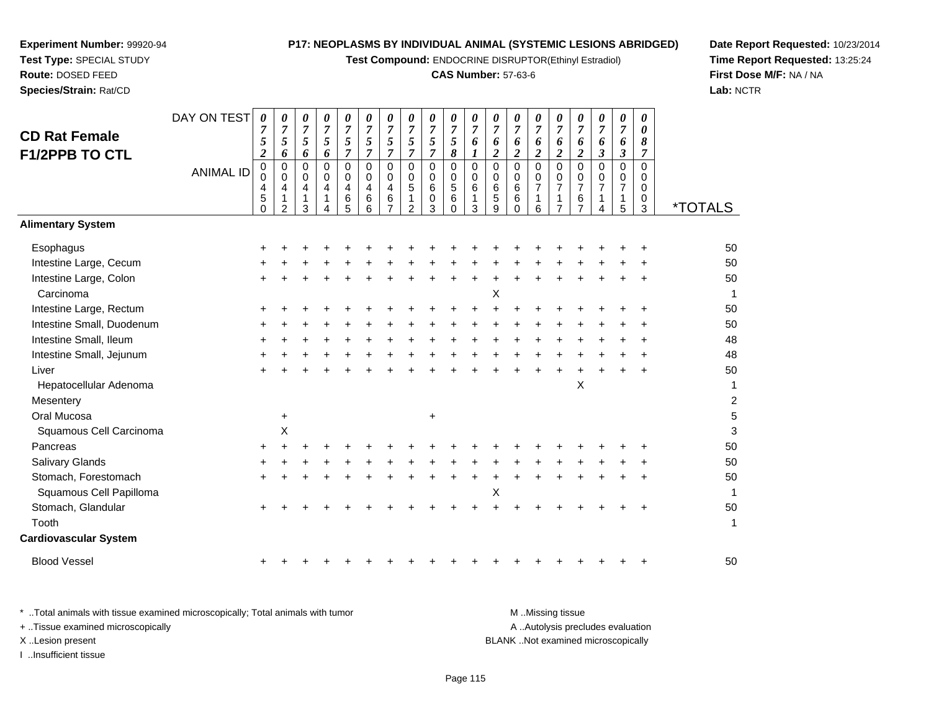**Test Compound:** ENDOCRINE DISRUPTOR(Ethinyl Estradiol)

# **CAS Number:** 57-63-6

**Date Report Requested:** 10/23/2014**Time Report Requested:** 13:25:24**First Dose M/F:** NA / NA**Lab:** NCTR

|                              | DAY ON TEST      | 0<br>$\overline{7}$                  | 0<br>$\overline{7}$                     | 0<br>$\overline{7}$        | 0<br>$\overline{7}$ | 0<br>$\boldsymbol{7}$ | 0<br>$\overline{7}$       | 0<br>$\overline{7}$     | 0<br>$\overline{7}$      | 0<br>$\overline{7}$ | 0<br>$\overline{7}$      | $\pmb{\theta}$<br>$\overline{7}$      | 0<br>$\overline{7}$  | 0<br>$\overline{7}$ | 0<br>$\overline{7}$ | 0<br>$\overline{7}$        | $\boldsymbol{\theta}$<br>$\overline{7}$ | 0<br>$\overline{7}$            | 0<br>$\overline{7}$  | $\pmb{\theta}$<br>0 |                       |
|------------------------------|------------------|--------------------------------------|-----------------------------------------|----------------------------|---------------------|-----------------------|---------------------------|-------------------------|--------------------------|---------------------|--------------------------|---------------------------------------|----------------------|---------------------|---------------------|----------------------------|-----------------------------------------|--------------------------------|----------------------|---------------------|-----------------------|
| <b>CD Rat Female</b>         |                  | 5                                    | 5                                       | 5                          | 5                   | $\sqrt{5}$            | 5                         | 5                       | $\mathfrak{s}$           | $\mathfrak{s}$      | $\sqrt{5}$               | 6                                     | 6                    | 6                   | 6                   | 6                          | 6                                       | 6                              | 6                    | 8                   |                       |
| <b>F1/2PPB TO CTL</b>        |                  | $\boldsymbol{2}$                     | 6                                       | 6                          | 6                   | $\overline{7}$        | $\overline{7}$            | $\overline{7}$          | $\overline{7}$           | $\overline{7}$      | $\pmb{8}$                | $\boldsymbol{l}$                      | $\overline{a}$       | $\boldsymbol{2}$    | $\overline{2}$      | $\overline{c}$             | $\overline{2}$                          | 3                              | $\boldsymbol{\beta}$ | 7                   |                       |
|                              | <b>ANIMAL ID</b> | $\begin{matrix} 0 \\ 0 \end{matrix}$ | $\pmb{0}$<br>$\mathbf 0$                | $\mathbf 0$<br>$\mathbf 0$ | 0<br>0              | 0<br>$\mathbf 0$      | $\pmb{0}$<br>$\mathbf 0$  | $\Omega$<br>$\mathbf 0$ | $\pmb{0}$<br>$\mathbf 0$ | 0<br>0              | $\pmb{0}$<br>$\mathbf 0$ | $\overline{0}$<br>$\mathsf{O}\xspace$ | $\mathbf 0$<br>0     | $\mathsf 0$<br>0    | $\mathbf 0$<br>0    | $\mathbf 0$<br>$\mathbf 0$ | 0<br>$\mathbf 0$                        | $\Omega$<br>0                  | $\mathbf 0$<br>0     | $\mathbf 0$<br>0    |                       |
|                              |                  | 4                                    | $\overline{\mathbf{4}}$<br>$\mathbf{1}$ | 4<br>$\overline{1}$        | 4<br>1              | 4<br>6                | $\overline{4}$<br>$\,6\,$ | 4<br>$\,6$              | 5                        | 6<br>0              | $\sqrt{5}$<br>$\,6\,$    | $\,6\,$<br>1                          | $\,6$<br>$\mathbf 5$ | 6<br>$\,6$          | $\overline{7}$<br>1 | $\overline{7}$<br>1        | $\overline{7}$<br>$\,6$                 | $\overline{7}$<br>$\mathbf{1}$ | $\overline{7}$<br>1  | 0<br>$\pmb{0}$      |                       |
|                              |                  | $\overline{5}$                       | $\overline{2}$                          | 3                          | 4                   | 5                     | 6                         | $\overline{7}$          | $\overline{2}$           | 3                   | $\Omega$                 | 3                                     | 9                    | $\Omega$            | 6                   | $\overline{7}$             | $\overline{7}$                          | 4                              | 5                    | 3                   | <i><b>*TOTALS</b></i> |
| <b>Alimentary System</b>     |                  |                                      |                                         |                            |                     |                       |                           |                         |                          |                     |                          |                                       |                      |                     |                     |                            |                                         |                                |                      |                     |                       |
| Esophagus                    |                  |                                      |                                         |                            |                     |                       |                           |                         |                          |                     |                          |                                       |                      |                     |                     |                            |                                         |                                |                      |                     | 50                    |
| Intestine Large, Cecum       |                  |                                      |                                         |                            |                     |                       |                           |                         |                          |                     |                          |                                       |                      |                     |                     |                            |                                         |                                |                      |                     | 50                    |
| Intestine Large, Colon       |                  |                                      |                                         |                            |                     |                       |                           |                         |                          |                     |                          |                                       |                      |                     |                     |                            |                                         |                                |                      |                     | 50                    |
| Carcinoma                    |                  |                                      |                                         |                            |                     |                       |                           |                         |                          |                     |                          |                                       | X                    |                     |                     |                            |                                         |                                |                      |                     | $\mathbf{1}$          |
| Intestine Large, Rectum      |                  |                                      |                                         |                            |                     |                       |                           |                         |                          |                     |                          |                                       |                      |                     |                     |                            |                                         |                                |                      |                     | 50                    |
| Intestine Small, Duodenum    |                  |                                      |                                         |                            |                     |                       |                           |                         |                          |                     |                          |                                       |                      |                     |                     |                            |                                         |                                |                      |                     | 50                    |
| Intestine Small, Ileum       |                  |                                      |                                         |                            |                     |                       |                           |                         |                          |                     |                          |                                       |                      |                     |                     |                            |                                         |                                |                      |                     | 48                    |
| Intestine Small, Jejunum     |                  |                                      |                                         |                            |                     |                       |                           |                         |                          |                     |                          |                                       |                      |                     |                     |                            |                                         |                                |                      |                     | 48                    |
| Liver                        |                  |                                      |                                         |                            |                     |                       |                           |                         |                          |                     |                          |                                       |                      |                     |                     |                            |                                         |                                |                      |                     | 50                    |
| Hepatocellular Adenoma       |                  |                                      |                                         |                            |                     |                       |                           |                         |                          |                     |                          |                                       |                      |                     |                     |                            | X                                       |                                |                      |                     | 1                     |
| Mesentery                    |                  |                                      |                                         |                            |                     |                       |                           |                         |                          |                     |                          |                                       |                      |                     |                     |                            |                                         |                                |                      |                     | $\boldsymbol{2}$      |
| Oral Mucosa                  |                  |                                      | $\ddot{}$                               |                            |                     |                       |                           |                         |                          | +                   |                          |                                       |                      |                     |                     |                            |                                         |                                |                      |                     | $\mathbf 5$           |
| Squamous Cell Carcinoma      |                  |                                      | X                                       |                            |                     |                       |                           |                         |                          |                     |                          |                                       |                      |                     |                     |                            |                                         |                                |                      |                     | 3                     |
| Pancreas                     |                  |                                      |                                         |                            |                     |                       |                           |                         |                          |                     |                          |                                       |                      |                     |                     |                            |                                         |                                |                      |                     | 50                    |
| <b>Salivary Glands</b>       |                  |                                      |                                         |                            |                     |                       |                           |                         |                          |                     |                          |                                       |                      |                     |                     |                            |                                         |                                |                      |                     | 50                    |
| Stomach, Forestomach         |                  |                                      |                                         |                            |                     |                       |                           |                         |                          |                     |                          |                                       |                      |                     |                     |                            |                                         |                                |                      |                     | 50                    |
| Squamous Cell Papilloma      |                  |                                      |                                         |                            |                     |                       |                           |                         |                          |                     |                          |                                       | Χ                    |                     |                     |                            |                                         |                                |                      |                     | $\overline{1}$        |
| Stomach, Glandular           |                  |                                      |                                         |                            |                     |                       |                           |                         |                          |                     |                          |                                       |                      |                     |                     |                            |                                         |                                |                      |                     | 50                    |
| Tooth                        |                  |                                      |                                         |                            |                     |                       |                           |                         |                          |                     |                          |                                       |                      |                     |                     |                            |                                         |                                |                      |                     | 1                     |
| <b>Cardiovascular System</b> |                  |                                      |                                         |                            |                     |                       |                           |                         |                          |                     |                          |                                       |                      |                     |                     |                            |                                         |                                |                      |                     |                       |
| <b>Blood Vessel</b>          |                  |                                      |                                         |                            |                     |                       |                           |                         |                          |                     |                          |                                       |                      |                     |                     |                            |                                         |                                |                      |                     | 50                    |
|                              |                  |                                      |                                         |                            |                     |                       |                           |                         |                          |                     |                          |                                       |                      |                     |                     |                            |                                         |                                |                      |                     |                       |

**Experiment Number:** 99920-94**Test Type:** SPECIAL STUDY**Route:** DOSED FEED**Species/Strain:** Rat/CD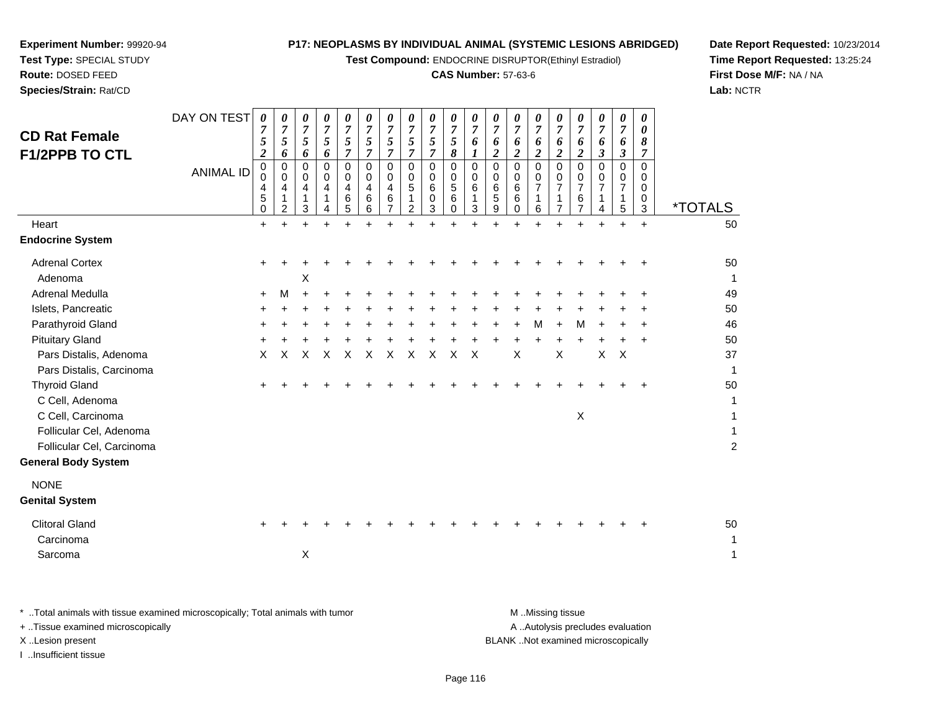**Test Compound:** ENDOCRINE DISRUPTOR(Ethinyl Estradiol)

# **CAS Number:** 57-63-6

**Date Report Requested:** 10/23/2014**Time Report Requested:** 13:25:24**First Dose M/F:** NA / NA**Lab:** NCTR

| <b>CD Rat Female</b><br><b>F1/2PPB TO CTL</b><br>Heart                                                  | DAY ON TEST<br><b>ANIMAL ID</b> | $\boldsymbol{\theta}$<br>7<br>5<br>$\boldsymbol{2}$<br>$\pmb{0}$<br>0<br>4<br>5<br>$\mathbf 0$<br>$+$ | 0<br>7<br>5<br>6<br>0<br>$\Omega$<br>4<br>1<br>2 | 0<br>7<br>$\mathfrak{s}$<br>6<br>0<br>$\Omega$<br>4<br>1<br>3<br>÷ | 0<br>$\overline{7}$<br>5<br>6<br>$\mathbf 0$<br>$\Omega$<br>4<br>1<br>4<br>$\ddot{}$ | $\pmb{\theta}$<br>$\overline{7}$<br>5<br>$\overline{7}$<br>$\mathbf 0$<br>$\Omega$<br>4<br>6<br>5<br>$\ddot{}$ | 0<br>$\overline{7}$<br>5<br>$\overline{7}$<br>0<br>0<br>4<br>6<br>6<br>$\ddot{}$ | 0<br>$\overline{7}$<br>5<br>$\overline{7}$<br>$\mathbf 0$<br>0<br>4<br>6<br>$\ddot{}$ | 0<br>$\overline{7}$<br>5<br>$\overline{7}$<br>0<br>0<br>5<br>1<br>$\overline{2}$<br>$\ddot{}$ | 0<br>7<br>$\sqrt{5}$<br>$\overline{7}$<br>0<br>0<br>6<br>0<br>3<br>$+$ | 0<br>$\overline{7}$<br>$\sqrt{5}$<br>8<br>0<br>0<br>$\sqrt{5}$<br>6<br>$\Omega$<br>$\ddot{}$ | $\boldsymbol{\theta}$<br>$\overline{7}$<br>6<br>1<br>$\mathbf 0$<br>0<br>6<br>1<br>3 | 0<br>7<br>6<br>$\boldsymbol{2}$<br>$\mathbf 0$<br>0<br>6<br>5<br>9 | 0<br>$\overline{7}$<br>6<br>2<br>$\mathbf 0$<br>$\Omega$<br>6<br>6<br>0<br>$\ddot{}$ | 0<br>$\overline{7}$<br>6<br>$\overline{\mathbf{2}}$<br>0<br>0<br>$\overline{7}$<br>1<br>6<br>$\ddot{}$ | 0<br>7<br>6<br>$\overline{2}$<br>$\mathbf 0$<br>0<br>$\overline{7}$<br>1<br>$\overline{7}$<br>÷ | 0<br>7<br>6<br>$\overline{2}$<br>$\mathbf 0$<br>0<br>$\overline{7}$<br>6<br>$\overline{7}$ | 0<br>7<br>6<br>$\boldsymbol{\beta}$<br>$\mathbf 0$<br>0<br>$\overline{7}$<br>1<br>4<br>$\ddot{}$ | 0<br>7<br>6<br>$\boldsymbol{\beta}$<br>0<br>0<br>$\overline{7}$<br>1<br>5<br>$\ddot{}$ | 0<br>0<br>8<br>7<br>$\Omega$<br>0<br>0<br>0<br>3<br>$+$ | <i><b>*TOTALS</b></i><br>50         |
|---------------------------------------------------------------------------------------------------------|---------------------------------|-------------------------------------------------------------------------------------------------------|--------------------------------------------------|--------------------------------------------------------------------|--------------------------------------------------------------------------------------|----------------------------------------------------------------------------------------------------------------|----------------------------------------------------------------------------------|---------------------------------------------------------------------------------------|-----------------------------------------------------------------------------------------------|------------------------------------------------------------------------|----------------------------------------------------------------------------------------------|--------------------------------------------------------------------------------------|--------------------------------------------------------------------|--------------------------------------------------------------------------------------|--------------------------------------------------------------------------------------------------------|-------------------------------------------------------------------------------------------------|--------------------------------------------------------------------------------------------|--------------------------------------------------------------------------------------------------|----------------------------------------------------------------------------------------|---------------------------------------------------------|-------------------------------------|
| <b>Endocrine System</b>                                                                                 |                                 |                                                                                                       |                                                  |                                                                    |                                                                                      |                                                                                                                |                                                                                  |                                                                                       |                                                                                               |                                                                        |                                                                                              |                                                                                      |                                                                    |                                                                                      |                                                                                                        |                                                                                                 |                                                                                            |                                                                                                  |                                                                                        |                                                         |                                     |
| <b>Adrenal Cortex</b><br>Adenoma<br>Adrenal Medulla                                                     |                                 |                                                                                                       |                                                  | х                                                                  |                                                                                      |                                                                                                                |                                                                                  |                                                                                       |                                                                                               |                                                                        |                                                                                              |                                                                                      |                                                                    |                                                                                      |                                                                                                        |                                                                                                 |                                                                                            |                                                                                                  |                                                                                        |                                                         | 50<br>1<br>49                       |
| Islets, Pancreatic                                                                                      |                                 | $\ddot{}$                                                                                             | M                                                | $\ddot{}$                                                          |                                                                                      |                                                                                                                |                                                                                  |                                                                                       |                                                                                               |                                                                        |                                                                                              |                                                                                      |                                                                    |                                                                                      |                                                                                                        |                                                                                                 |                                                                                            |                                                                                                  |                                                                                        |                                                         | 50                                  |
| Parathyroid Gland                                                                                       |                                 | ٠                                                                                                     |                                                  |                                                                    |                                                                                      |                                                                                                                |                                                                                  |                                                                                       |                                                                                               |                                                                        |                                                                                              |                                                                                      |                                                                    |                                                                                      | м                                                                                                      | $\pm$                                                                                           | M                                                                                          |                                                                                                  |                                                                                        |                                                         | 46                                  |
| <b>Pituitary Gland</b>                                                                                  |                                 |                                                                                                       |                                                  |                                                                    |                                                                                      |                                                                                                                |                                                                                  |                                                                                       |                                                                                               |                                                                        |                                                                                              |                                                                                      |                                                                    |                                                                                      |                                                                                                        |                                                                                                 |                                                                                            |                                                                                                  |                                                                                        | ٠                                                       | 50                                  |
| Pars Distalis, Adenoma<br>Pars Distalis, Carcinoma                                                      |                                 | X                                                                                                     | X                                                | X                                                                  | X                                                                                    | $\mathsf X$                                                                                                    | $\pmb{\times}$                                                                   | X                                                                                     | $\pmb{\times}$                                                                                | $\boldsymbol{\mathsf{X}}$                                              | $\boldsymbol{\mathsf{X}}$                                                                    | $\mathsf X$                                                                          |                                                                    | X                                                                                    |                                                                                                        | $\boldsymbol{\mathsf{X}}$                                                                       |                                                                                            | $\boldsymbol{\mathsf{X}}$                                                                        | $\times$                                                                               |                                                         | 37<br>$\mathbf{1}$                  |
| <b>Thyroid Gland</b><br>C Cell, Adenoma                                                                 |                                 | ٠                                                                                                     |                                                  |                                                                    |                                                                                      |                                                                                                                |                                                                                  |                                                                                       |                                                                                               |                                                                        |                                                                                              |                                                                                      |                                                                    |                                                                                      |                                                                                                        |                                                                                                 |                                                                                            |                                                                                                  |                                                                                        |                                                         | 50<br>1                             |
| C Cell, Carcinoma<br>Follicular Cel, Adenoma<br>Follicular Cel, Carcinoma<br><b>General Body System</b> |                                 |                                                                                                       |                                                  |                                                                    |                                                                                      |                                                                                                                |                                                                                  |                                                                                       |                                                                                               |                                                                        |                                                                                              |                                                                                      |                                                                    |                                                                                      |                                                                                                        |                                                                                                 | $\boldsymbol{\mathsf{X}}$                                                                  |                                                                                                  |                                                                                        |                                                         | 1<br>$\mathbf{1}$<br>$\overline{c}$ |
| <b>NONE</b><br><b>Genital System</b>                                                                    |                                 |                                                                                                       |                                                  |                                                                    |                                                                                      |                                                                                                                |                                                                                  |                                                                                       |                                                                                               |                                                                        |                                                                                              |                                                                                      |                                                                    |                                                                                      |                                                                                                        |                                                                                                 |                                                                                            |                                                                                                  |                                                                                        |                                                         |                                     |
| <b>Clitoral Gland</b><br>Carcinoma                                                                      |                                 |                                                                                                       |                                                  |                                                                    |                                                                                      |                                                                                                                |                                                                                  |                                                                                       |                                                                                               |                                                                        |                                                                                              |                                                                                      |                                                                    |                                                                                      |                                                                                                        |                                                                                                 |                                                                                            |                                                                                                  |                                                                                        |                                                         | 50<br>1                             |
| Sarcoma                                                                                                 |                                 |                                                                                                       |                                                  | $\times$                                                           |                                                                                      |                                                                                                                |                                                                                  |                                                                                       |                                                                                               |                                                                        |                                                                                              |                                                                                      |                                                                    |                                                                                      |                                                                                                        |                                                                                                 |                                                                                            |                                                                                                  |                                                                                        |                                                         | 1                                   |

**Experiment Number:** 99920-94**Test Type:** SPECIAL STUDY**Route:** DOSED FEED**Species/Strain:** Rat/CD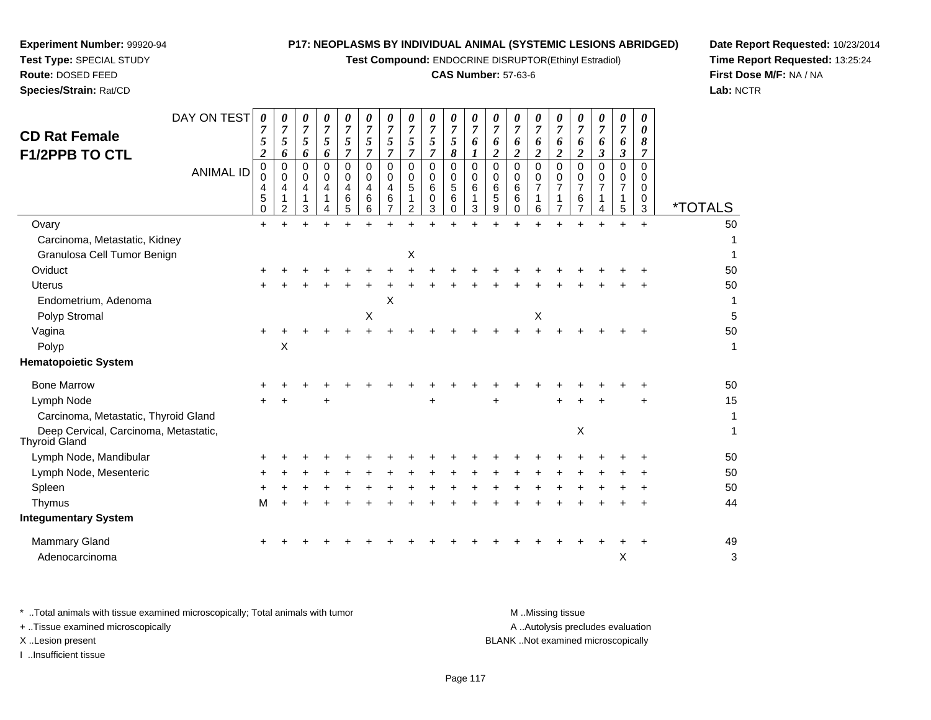**Test Compound:** ENDOCRINE DISRUPTOR(Ethinyl Estradiol)

# **CAS Number:** 57-63-6

**Date Report Requested:** 10/23/2014**Time Report Requested:** 13:25:24**First Dose M/F:** NA / NA**Lab:** NCTR

| $\mathbf 0$<br>4<br>5<br>0 | $\mathbf 0$<br>0<br>4<br>$\mathbf{1}$<br>$\overline{2}$ | $\Omega$<br>0<br>4<br>1<br>3 | 6<br>$\Omega$<br>$\Omega$<br>4 | $\overline{7}$<br>$\mathbf 0$<br>$\Omega$<br>4<br>6<br>5 | 7<br>$\Omega$<br>0<br>4<br>6<br>6 | 5<br>$\overline{7}$<br>$\Omega$<br>0<br>4<br>6<br>$\overline{7}$ | 5<br>$\overline{7}$<br>$\Omega$<br>$\Omega$<br>5<br>1<br>2 | 5<br>$\overline{7}$<br>$\mathbf 0$<br>0<br>6<br>0<br>3 | 5<br>8<br>$\mathbf 0$<br>0<br>5<br>6<br>0 | 6<br>0<br>0<br>6<br>1<br>3 | 6<br>$\boldsymbol{2}$<br>$\Omega$<br>0<br>6<br>5<br>9 | 6<br>$\overline{2}$<br>$\mathbf 0$<br>0<br>6<br>6<br>0 | 6<br>2<br>$\Omega$<br>0<br>$\overline{7}$<br>1<br>6 | 6<br>$\boldsymbol{2}$<br>$\mathbf 0$<br>0<br>$\overline{7}$<br>$\overline{7}$ | 6<br>$\boldsymbol{2}$<br>$\Omega$<br>0<br>$\overline{7}$<br>6<br>$\overline{7}$ | 6<br>3<br>$\Omega$<br>0 | 6<br>$\boldsymbol{\beta}$<br>$\mathbf 0$<br>0<br>$\overline{7}$<br>$\mathbf{1}$<br>$\sqrt{5}$ | 8<br>7<br>$\Omega$<br>0<br>$\mathbf 0$<br>0<br>3 | <i><b>*TOTALS</b></i>     |
|----------------------------|---------------------------------------------------------|------------------------------|--------------------------------|----------------------------------------------------------|-----------------------------------|------------------------------------------------------------------|------------------------------------------------------------|--------------------------------------------------------|-------------------------------------------|----------------------------|-------------------------------------------------------|--------------------------------------------------------|-----------------------------------------------------|-------------------------------------------------------------------------------|---------------------------------------------------------------------------------|-------------------------|-----------------------------------------------------------------------------------------------|--------------------------------------------------|---------------------------|
|                            |                                                         |                              |                                |                                                          |                                   |                                                                  |                                                            |                                                        |                                           |                            |                                                       |                                                        |                                                     |                                                                               |                                                                                 |                         |                                                                                               | $+$                                              | 50                        |
|                            |                                                         |                              |                                |                                                          |                                   |                                                                  |                                                            |                                                        |                                           |                            |                                                       |                                                        |                                                     |                                                                               |                                                                                 |                         |                                                                                               |                                                  | 1                         |
|                            |                                                         |                              |                                |                                                          |                                   |                                                                  | Χ                                                          |                                                        |                                           |                            |                                                       |                                                        |                                                     |                                                                               |                                                                                 |                         |                                                                                               |                                                  | 1                         |
|                            |                                                         |                              |                                |                                                          |                                   |                                                                  |                                                            |                                                        |                                           |                            |                                                       |                                                        |                                                     |                                                                               |                                                                                 |                         |                                                                                               |                                                  | 50                        |
|                            |                                                         |                              |                                |                                                          |                                   |                                                                  |                                                            |                                                        |                                           |                            |                                                       |                                                        |                                                     |                                                                               |                                                                                 |                         |                                                                                               |                                                  | 50                        |
|                            |                                                         |                              |                                |                                                          |                                   | X                                                                |                                                            |                                                        |                                           |                            |                                                       |                                                        |                                                     |                                                                               |                                                                                 |                         |                                                                                               |                                                  | 1                         |
|                            |                                                         |                              |                                |                                                          | X                                 |                                                                  |                                                            |                                                        |                                           |                            |                                                       |                                                        | $\boldsymbol{\mathsf{X}}$                           |                                                                               |                                                                                 |                         |                                                                                               |                                                  | 5                         |
|                            |                                                         |                              |                                |                                                          |                                   |                                                                  |                                                            |                                                        |                                           |                            |                                                       |                                                        |                                                     |                                                                               |                                                                                 |                         |                                                                                               |                                                  | 50                        |
|                            | X                                                       |                              |                                |                                                          |                                   |                                                                  |                                                            |                                                        |                                           |                            |                                                       |                                                        |                                                     |                                                                               |                                                                                 |                         |                                                                                               |                                                  | $\mathbf{1}$              |
|                            |                                                         |                              |                                |                                                          |                                   |                                                                  |                                                            |                                                        |                                           |                            |                                                       |                                                        |                                                     |                                                                               |                                                                                 |                         |                                                                                               |                                                  |                           |
|                            |                                                         |                              |                                |                                                          |                                   |                                                                  |                                                            |                                                        |                                           |                            |                                                       |                                                        |                                                     |                                                                               |                                                                                 |                         |                                                                                               |                                                  | 50                        |
|                            |                                                         |                              |                                |                                                          |                                   |                                                                  |                                                            |                                                        |                                           |                            |                                                       |                                                        |                                                     |                                                                               |                                                                                 |                         |                                                                                               |                                                  | 15                        |
|                            |                                                         |                              |                                |                                                          |                                   |                                                                  |                                                            |                                                        |                                           |                            |                                                       |                                                        |                                                     |                                                                               |                                                                                 |                         |                                                                                               |                                                  | $\mathbf{1}$              |
|                            |                                                         |                              |                                |                                                          |                                   |                                                                  |                                                            |                                                        |                                           |                            |                                                       |                                                        |                                                     |                                                                               | X                                                                               |                         |                                                                                               |                                                  | 1                         |
|                            |                                                         |                              |                                |                                                          |                                   |                                                                  |                                                            |                                                        |                                           |                            |                                                       |                                                        |                                                     |                                                                               |                                                                                 |                         |                                                                                               |                                                  | 50                        |
|                            |                                                         |                              |                                |                                                          |                                   |                                                                  |                                                            |                                                        |                                           |                            |                                                       |                                                        |                                                     |                                                                               |                                                                                 |                         |                                                                                               |                                                  | 50                        |
|                            |                                                         |                              |                                |                                                          |                                   |                                                                  |                                                            |                                                        |                                           |                            |                                                       |                                                        |                                                     |                                                                               |                                                                                 |                         |                                                                                               |                                                  | 50                        |
| м                          |                                                         |                              |                                |                                                          |                                   |                                                                  |                                                            |                                                        |                                           |                            |                                                       |                                                        |                                                     |                                                                               |                                                                                 |                         |                                                                                               |                                                  | 44                        |
|                            |                                                         |                              |                                |                                                          |                                   |                                                                  |                                                            |                                                        |                                           |                            |                                                       |                                                        |                                                     |                                                                               |                                                                                 |                         |                                                                                               |                                                  |                           |
|                            |                                                         |                              |                                |                                                          |                                   |                                                                  |                                                            |                                                        |                                           |                            |                                                       |                                                        |                                                     |                                                                               |                                                                                 |                         |                                                                                               |                                                  | 49<br>3                   |
|                            |                                                         |                              |                                |                                                          |                                   |                                                                  |                                                            |                                                        |                                           |                            |                                                       |                                                        |                                                     |                                                                               |                                                                                 |                         | $\overline{7}$<br>4                                                                           |                                                  | $\boldsymbol{\mathsf{X}}$ |

**Experiment Number:** 99920-94**Test Type:** SPECIAL STUDY**Route:** DOSED FEED**Species/Strain:** Rat/CD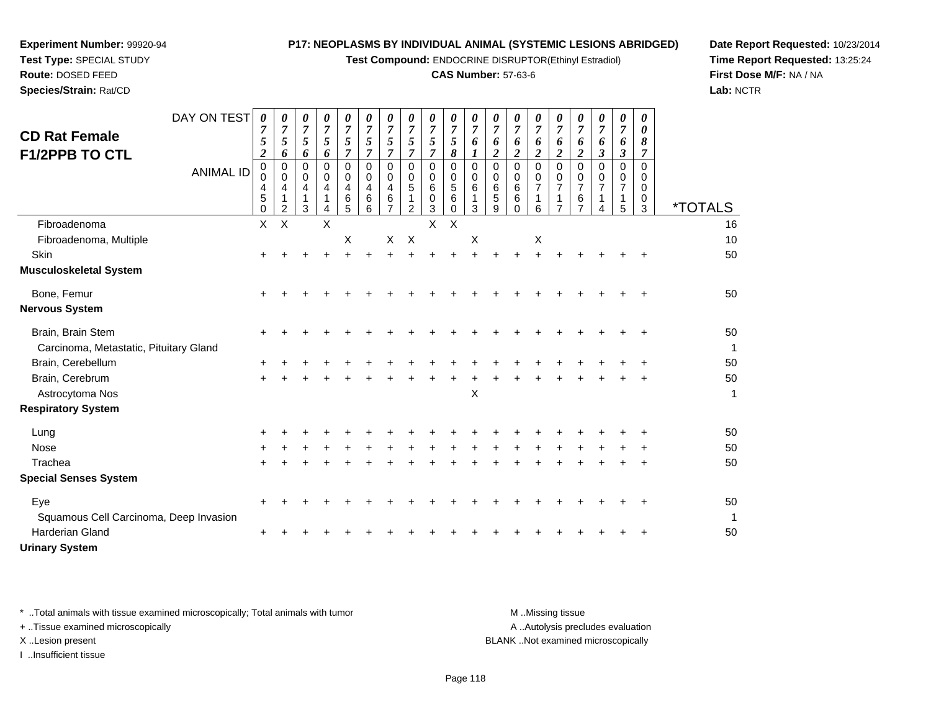**Test Compound:** ENDOCRINE DISRUPTOR(Ethinyl Estradiol)

## **CAS Number:** 57-63-6

**Date Report Requested:** 10/23/2014**Time Report Requested:** 13:25:24**First Dose M/F:** NA / NA**Lab:** NCTR

| <b>CD Rat Female</b><br><b>F1/2PPB TO CTL</b>               | DAY ON TEST<br><b>ANIMAL ID</b> | 0<br>$\overline{7}$<br>5<br>$\overline{2}$<br>$\mathbf 0$<br>0<br>4<br>5<br>0 | 0<br>$\overline{7}$<br>5<br>6<br>$\Omega$<br>0<br>4<br>1<br>2 | 0<br>$\overline{7}$<br>5<br>6<br>$\Omega$<br>0<br>4<br>3 | 0<br>$\overline{7}$<br>5<br>6<br>$\Omega$<br>0<br>4 | 0<br>$\boldsymbol{7}$<br>5<br>7<br>$\Omega$<br>0<br>4<br>6<br>5 | 0<br>$\boldsymbol{7}$<br>5<br>7<br>$\Omega$<br>0<br>4<br>6<br>6 | 0<br>$\overline{7}$<br>5<br>$\overline{7}$<br>$\Omega$<br>0<br>4<br>6 | 0<br>$\overline{7}$<br>$\mathfrak{s}$<br>$\overline{7}$<br>$\mathbf 0$<br>$\mathbf 0$<br>$\sqrt{5}$<br>1<br>$\overline{2}$ | 0<br>$\overline{7}$<br>5<br>$\overline{7}$<br>0<br>0<br>6<br>0<br>3 | $\boldsymbol{\theta}$<br>$\overline{7}$<br>$\overline{5}$<br>8<br>0<br>$\pmb{0}$<br>$\overline{5}$<br>$\,6\,$<br>$\Omega$ | 0<br>$\overline{7}$<br>6<br>$\bm{l}$<br>$\mathbf 0$<br>0<br>6<br>$\mathbf 1$<br>3 | 0<br>$\overline{7}$<br>6<br>$\boldsymbol{2}$<br>$\Omega$<br>0<br>6<br>5<br>9 | 0<br>$\overline{7}$<br>6<br>$\overline{\mathbf{2}}$<br>0<br>0<br>6<br>6<br>0 | 0<br>$\boldsymbol{7}$<br>6<br>$\boldsymbol{2}$<br>$\Omega$<br>0<br>$\overline{7}$<br>1<br>6 | 0<br>$\boldsymbol{7}$<br>6<br>$\overline{\mathbf{c}}$<br>$\Omega$<br>0<br>$\overline{7}$<br>$\overline{7}$ | 0<br>$\boldsymbol{7}$<br>6<br>$\boldsymbol{2}$<br>$\Omega$<br>0<br>$\overline{7}$<br>6<br>$\overline{7}$ | 0<br>$\overline{7}$<br>6<br>$\boldsymbol{\beta}$<br>$\Omega$<br>0<br>4 | 0<br>$\overline{7}$<br>6<br>$\boldsymbol{\beta}$<br>$\Omega$<br>0<br>7<br>1<br>5 | $\theta$<br>0<br>8<br>7<br>$\Omega$<br>0<br>0<br>0<br>3 | <i><b>*TOTALS</b></i> |
|-------------------------------------------------------------|---------------------------------|-------------------------------------------------------------------------------|---------------------------------------------------------------|----------------------------------------------------------|-----------------------------------------------------|-----------------------------------------------------------------|-----------------------------------------------------------------|-----------------------------------------------------------------------|----------------------------------------------------------------------------------------------------------------------------|---------------------------------------------------------------------|---------------------------------------------------------------------------------------------------------------------------|-----------------------------------------------------------------------------------|------------------------------------------------------------------------------|------------------------------------------------------------------------------|---------------------------------------------------------------------------------------------|------------------------------------------------------------------------------------------------------------|----------------------------------------------------------------------------------------------------------|------------------------------------------------------------------------|----------------------------------------------------------------------------------|---------------------------------------------------------|-----------------------|
| Fibroadenoma                                                |                                 | X                                                                             | Χ                                                             |                                                          | X                                                   |                                                                 |                                                                 |                                                                       |                                                                                                                            | X                                                                   | X                                                                                                                         |                                                                                   |                                                                              |                                                                              |                                                                                             |                                                                                                            |                                                                                                          |                                                                        |                                                                                  |                                                         | 16                    |
| Fibroadenoma, Multiple                                      |                                 |                                                                               |                                                               |                                                          |                                                     | X                                                               |                                                                 | X                                                                     | $\boldsymbol{\mathsf{X}}$                                                                                                  |                                                                     |                                                                                                                           | $\boldsymbol{\mathsf{X}}$                                                         |                                                                              |                                                                              | $\boldsymbol{\mathsf{X}}$                                                                   |                                                                                                            |                                                                                                          |                                                                        |                                                                                  |                                                         | 10                    |
| Skin                                                        |                                 |                                                                               |                                                               |                                                          |                                                     |                                                                 |                                                                 |                                                                       |                                                                                                                            |                                                                     |                                                                                                                           |                                                                                   |                                                                              |                                                                              |                                                                                             |                                                                                                            |                                                                                                          |                                                                        |                                                                                  |                                                         | 50                    |
| <b>Musculoskeletal System</b>                               |                                 |                                                                               |                                                               |                                                          |                                                     |                                                                 |                                                                 |                                                                       |                                                                                                                            |                                                                     |                                                                                                                           |                                                                                   |                                                                              |                                                                              |                                                                                             |                                                                                                            |                                                                                                          |                                                                        |                                                                                  |                                                         |                       |
| Bone, Femur                                                 |                                 | $\pm$                                                                         |                                                               |                                                          |                                                     |                                                                 |                                                                 |                                                                       |                                                                                                                            |                                                                     |                                                                                                                           |                                                                                   |                                                                              |                                                                              |                                                                                             |                                                                                                            |                                                                                                          |                                                                        |                                                                                  |                                                         | 50                    |
| <b>Nervous System</b>                                       |                                 |                                                                               |                                                               |                                                          |                                                     |                                                                 |                                                                 |                                                                       |                                                                                                                            |                                                                     |                                                                                                                           |                                                                                   |                                                                              |                                                                              |                                                                                             |                                                                                                            |                                                                                                          |                                                                        |                                                                                  |                                                         |                       |
| Brain, Brain Stem<br>Carcinoma, Metastatic, Pituitary Gland |                                 |                                                                               |                                                               |                                                          |                                                     |                                                                 |                                                                 |                                                                       |                                                                                                                            |                                                                     |                                                                                                                           |                                                                                   |                                                                              |                                                                              |                                                                                             |                                                                                                            |                                                                                                          |                                                                        |                                                                                  |                                                         | 50<br>1               |
| Brain, Cerebellum                                           |                                 |                                                                               |                                                               |                                                          |                                                     |                                                                 |                                                                 |                                                                       |                                                                                                                            |                                                                     |                                                                                                                           |                                                                                   |                                                                              |                                                                              |                                                                                             |                                                                                                            |                                                                                                          |                                                                        |                                                                                  |                                                         | 50                    |
| Brain, Cerebrum<br>Astrocytoma Nos                          |                                 | $\ddot{}$                                                                     |                                                               |                                                          |                                                     |                                                                 |                                                                 |                                                                       |                                                                                                                            |                                                                     |                                                                                                                           | $\mathsf X$                                                                       |                                                                              |                                                                              |                                                                                             |                                                                                                            |                                                                                                          |                                                                        |                                                                                  |                                                         | 50<br>1               |
| <b>Respiratory System</b>                                   |                                 |                                                                               |                                                               |                                                          |                                                     |                                                                 |                                                                 |                                                                       |                                                                                                                            |                                                                     |                                                                                                                           |                                                                                   |                                                                              |                                                                              |                                                                                             |                                                                                                            |                                                                                                          |                                                                        |                                                                                  |                                                         |                       |
| Lung                                                        |                                 |                                                                               |                                                               |                                                          |                                                     |                                                                 |                                                                 |                                                                       |                                                                                                                            |                                                                     |                                                                                                                           |                                                                                   |                                                                              |                                                                              |                                                                                             |                                                                                                            |                                                                                                          |                                                                        |                                                                                  |                                                         | 50                    |
| <b>Nose</b>                                                 |                                 |                                                                               |                                                               |                                                          |                                                     |                                                                 |                                                                 |                                                                       |                                                                                                                            |                                                                     |                                                                                                                           |                                                                                   |                                                                              |                                                                              |                                                                                             |                                                                                                            |                                                                                                          |                                                                        |                                                                                  |                                                         | 50                    |
| Trachea                                                     |                                 |                                                                               |                                                               |                                                          |                                                     |                                                                 |                                                                 |                                                                       |                                                                                                                            |                                                                     |                                                                                                                           |                                                                                   |                                                                              |                                                                              |                                                                                             |                                                                                                            |                                                                                                          |                                                                        |                                                                                  |                                                         | 50                    |
| <b>Special Senses System</b>                                |                                 |                                                                               |                                                               |                                                          |                                                     |                                                                 |                                                                 |                                                                       |                                                                                                                            |                                                                     |                                                                                                                           |                                                                                   |                                                                              |                                                                              |                                                                                             |                                                                                                            |                                                                                                          |                                                                        |                                                                                  |                                                         |                       |
| Eye<br>Squamous Cell Carcinoma, Deep Invasion               |                                 |                                                                               |                                                               |                                                          |                                                     |                                                                 |                                                                 |                                                                       |                                                                                                                            |                                                                     |                                                                                                                           |                                                                                   |                                                                              |                                                                              |                                                                                             |                                                                                                            |                                                                                                          |                                                                        |                                                                                  |                                                         | 50<br>$\mathbf{1}$    |
| <b>Harderian Gland</b>                                      |                                 |                                                                               |                                                               |                                                          |                                                     |                                                                 |                                                                 |                                                                       |                                                                                                                            |                                                                     |                                                                                                                           |                                                                                   |                                                                              |                                                                              |                                                                                             |                                                                                                            |                                                                                                          |                                                                        |                                                                                  |                                                         | 50                    |
| <b>Urinary System</b>                                       |                                 |                                                                               |                                                               |                                                          |                                                     |                                                                 |                                                                 |                                                                       |                                                                                                                            |                                                                     |                                                                                                                           |                                                                                   |                                                                              |                                                                              |                                                                                             |                                                                                                            |                                                                                                          |                                                                        |                                                                                  |                                                         |                       |

**Experiment Number:** 99920-94**Test Type:** SPECIAL STUDY**Route:** DOSED FEED**Species/Strain:** Rat/CD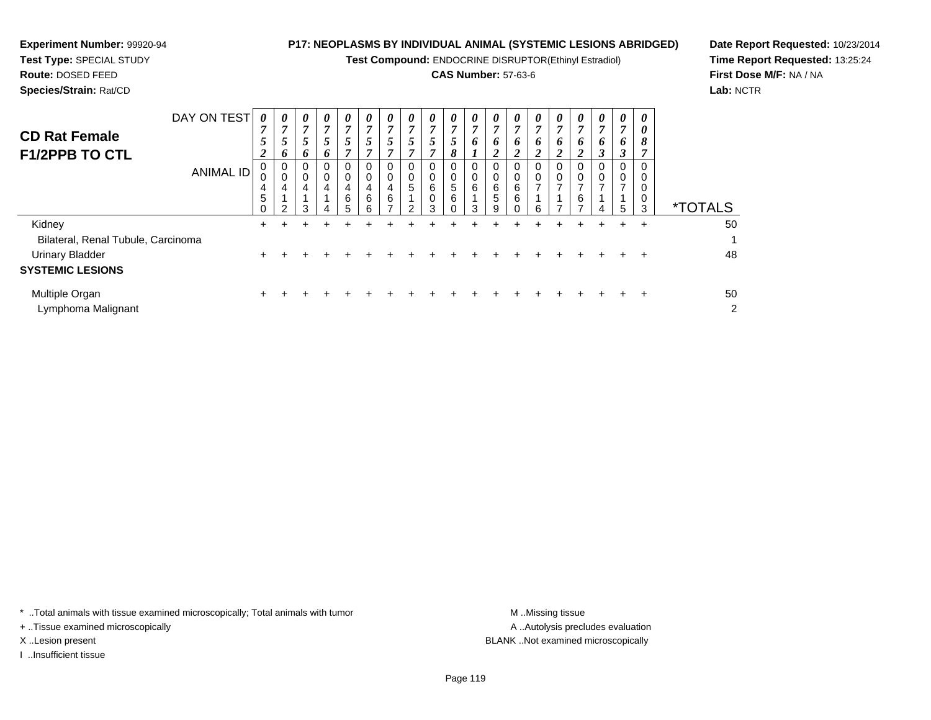**Test Compound:** ENDOCRINE DISRUPTOR(Ethinyl Estradiol)

# **CAS Number:** 57-63-6

<sup>+</sup> <sup>+</sup> <sup>+</sup> <sup>+</sup> <sup>+</sup> <sup>+</sup> <sup>+</sup> <sup>+</sup> <sup>+</sup> <sup>+</sup> <sup>+</sup> <sup>+</sup> <sup>+</sup> <sup>+</sup> <sup>+</sup> <sup>+</sup> <sup>+</sup> <sup>+</sup> <sup>48</sup>

**Date Report Requested:** 10/23/2014**Time Report Requested:** 13:25:24**First Dose M/F:** NA / NA**Lab:** NCTR

| Species/Strain: Rat/CD                        |             |                  |        |                               |                  |                                      |             |                               |                                      |                  |             |                          |                                 |                              |        |             |        |                   |                                 |                    | Lab: I                |
|-----------------------------------------------|-------------|------------------|--------|-------------------------------|------------------|--------------------------------------|-------------|-------------------------------|--------------------------------------|------------------|-------------|--------------------------|---------------------------------|------------------------------|--------|-------------|--------|-------------------|---------------------------------|--------------------|-----------------------|
| <b>CD Rat Female</b><br><b>F1/2PPB TO CTL</b> | DAY ON TEST | 0<br>⇁           | 0<br>0 | 0<br>7<br>$\mathfrak{Z}$<br>6 | 0<br>7<br>6      | $\boldsymbol{\theta}$<br>↗<br>C<br>7 | 0           | 0<br>7<br>$\mathfrak{I}$<br>7 | $\boldsymbol{\theta}$<br>7<br>C<br>7 | $\theta$         | 0<br>J<br>8 | $\theta$<br><sup>o</sup> | $\boldsymbol{\theta}$<br>7<br>6 | 0<br>O                       | 0<br>6 | 0<br>7<br>6 | 0<br>o | 0<br><sup>o</sup> | $\boldsymbol{\theta}$<br>6<br>J | 0<br>0<br>$\sigma$ |                       |
|                                               | ANIMAL ID   | U<br>U<br>4<br>5 | 0<br>ົ | 0<br>0<br>$\overline{4}$<br>3 | 0<br>0<br>4<br>Δ | 0<br>4<br>6<br>5                     | 4<br>6<br>ี | $\Omega$<br>0<br>4<br>6<br>⇁  | 0<br>0<br>5<br>ົ                     | 0<br>6<br>0<br>З | 0<br>5<br>6 | U<br>6<br>З              | 0<br>0<br>6<br>5<br>9           | 0<br>0<br>6<br>6<br>$\Omega$ | ี      | 0           | 0<br>6 |                   | 0<br>0<br>⇁<br>5                | 3                  | <i><b>*TOTALS</b></i> |
| Kidney                                        |             |                  |        |                               |                  |                                      |             |                               |                                      |                  |             |                          |                                 |                              |        |             |        |                   |                                 | $\div$             | 50                    |
| Bilateral, Renal Tubule, Carcinoma            |             |                  |        |                               |                  |                                      |             |                               |                                      |                  |             |                          |                                 |                              |        |             |        |                   |                                 |                    |                       |

# Urinary Bladder**SYSTEMIC LESIONS**

**Experiment Number:** 99920-94**Test Type:** SPECIAL STUDY**Route:** DOSED FEED

| Multiple Organ     |  |  |  |  | + + + + + + + + + + + + + + + + + + + |  |  |  |  | 50 |
|--------------------|--|--|--|--|---------------------------------------|--|--|--|--|----|
| Lymphoma Malignant |  |  |  |  |                                       |  |  |  |  |    |

\* ..Total animals with tissue examined microscopically; Total animals with tumor **M** ...Missing tissue M ...Missing tissue

 $\mathbf{r}$  +

+ ..Tissue examined microscopically

I ..Insufficient tissue

A .. Autolysis precludes evaluation X ..Lesion present BLANK ..Not examined microscopically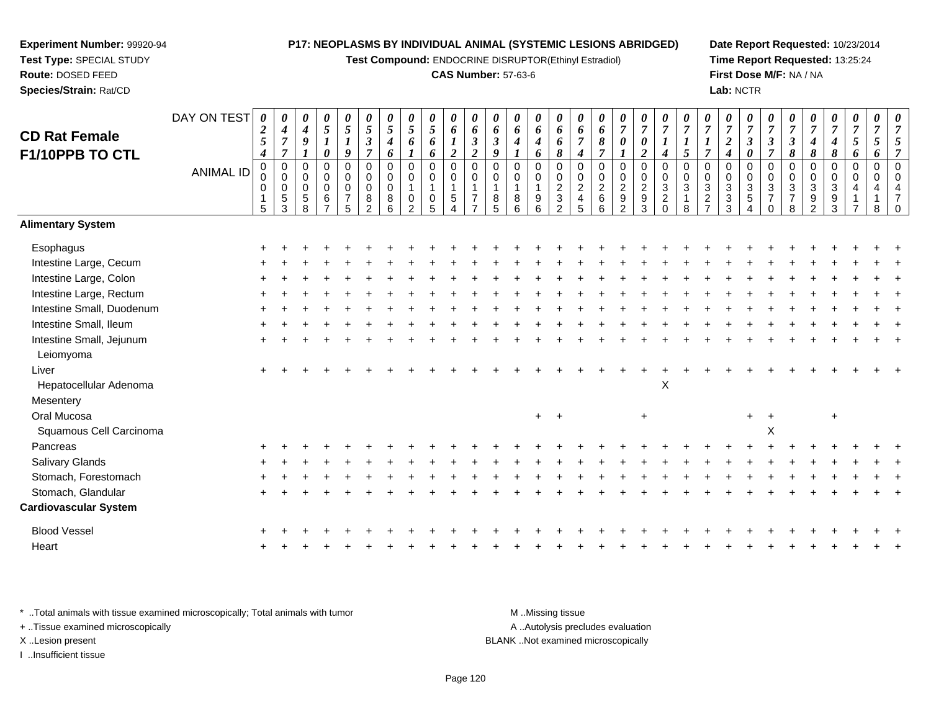**Test Compound:** ENDOCRINE DISRUPTOR(Ethinyl Estradiol)

## **CAS Number:** 57-63-6

**Date Report Requested:** 10/23/2014**Time Report Requested:** 13:25:24**First Dose M/F:** NA / NA**Lab:** NCTR

| <b>CD Rat Female</b><br>F1/10PPB TO CTL | DAY ON TEST      | $\boldsymbol{\theta}$<br>$\boldsymbol{2}$<br>$\mathfrak{s}$<br>$\boldsymbol{4}$ | 0<br>$\boldsymbol{4}$<br>$\overline{7}$<br>$\overline{7}$    | 0<br>4<br>9                            | $\pmb{\theta}$<br>$\sqrt{5}$<br>$\boldsymbol{l}$<br>0  | 0<br>$\sqrt{5}$<br>$\boldsymbol{l}$<br>9           | 0<br>$\overline{5}$<br>$\boldsymbol{\beta}$<br>$\overline{7}$ | $\boldsymbol{\theta}$<br>$\overline{5}$<br>4<br>6 | 0<br>$\mathfrak{z}$<br>6                | 0<br>$\sqrt{5}$<br>6<br>6                                               | $\pmb{\theta}$<br>6<br>$\boldsymbol{2}$                         | $\pmb{\theta}$<br>6<br>$\boldsymbol{\beta}$<br>$\overline{c}$                    | 0<br>6<br>$\boldsymbol{\beta}$<br>9  | 0<br>6<br>4             | 0<br>6<br>$\boldsymbol{4}$<br>6                                           | $\pmb{\theta}$<br>6<br>6<br>8             | 0<br>6<br>$\overline{7}$<br>$\boldsymbol{4}$        | 0<br>6<br>$\pmb{8}$<br>$\overline{7}$                  | 0<br>$\overline{7}$<br>0 | 0<br>$\overline{7}$<br>$\pmb{\theta}$<br>$\boldsymbol{2}$ | $\pmb{\theta}$<br>$\overline{7}$<br>$\boldsymbol{l}$<br>$\boldsymbol{4}$ | 0<br>$\overline{7}$<br>$\boldsymbol{l}$<br>5         | 7<br>1<br>$\overline{7}$                                  | 0<br>$\overline{7}$<br>$\overline{2}$<br>4 | 0<br>$\boldsymbol{7}$<br>$\mathfrak{z}$<br>0              | 0<br>$\overline{7}$<br>$\boldsymbol{\beta}$<br>$\overline{7}$          | 0<br>$\overline{7}$<br>$\mathfrak{z}$<br>$\pmb{8}$ | 7<br>4<br>8                                            | 0<br>$\overline{7}$<br>4<br>8   | 0<br>$\boldsymbol{7}$<br>5<br>6 | 0<br>$\overline{7}$<br>5<br>6   | $\boldsymbol{\theta}$<br>7 |
|-----------------------------------------|------------------|---------------------------------------------------------------------------------|--------------------------------------------------------------|----------------------------------------|--------------------------------------------------------|----------------------------------------------------|---------------------------------------------------------------|---------------------------------------------------|-----------------------------------------|-------------------------------------------------------------------------|-----------------------------------------------------------------|----------------------------------------------------------------------------------|--------------------------------------|-------------------------|---------------------------------------------------------------------------|-------------------------------------------|-----------------------------------------------------|--------------------------------------------------------|--------------------------|-----------------------------------------------------------|--------------------------------------------------------------------------|------------------------------------------------------|-----------------------------------------------------------|--------------------------------------------|-----------------------------------------------------------|------------------------------------------------------------------------|----------------------------------------------------|--------------------------------------------------------|---------------------------------|---------------------------------|---------------------------------|----------------------------|
|                                         | <b>ANIMAL ID</b> | $\mathbf 0$<br>0<br>0<br>5                                                      | $\mathbf 0$<br>$\mathbf 0$<br>$\mathbf 0$<br>$\sqrt{5}$<br>3 | $\Omega$<br>0<br>$\mathbf 0$<br>5<br>8 | $\mathbf 0$<br>0<br>$\mathbf 0$<br>6<br>$\overline{7}$ | $\pmb{0}$<br>0<br>$\pmb{0}$<br>$\overline{7}$<br>5 | $\mathbf 0$<br>0<br>0<br>$\, 8$<br>$\overline{2}$             | $\mathbf 0$<br>0<br>$\mathbf 0$<br>8<br>6         | $\mathbf 0$<br>0<br>0<br>$\mathfrak{p}$ | $\pmb{0}$<br>0<br>$\mathbf{1}$<br>$\begin{array}{c} 0 \\ 5 \end{array}$ | $\mathsf 0$<br>0<br>$\mathbf 1$<br>$\sqrt{5}$<br>$\overline{4}$ | $\mathbf 0$<br>$\mathbf 0$<br>$\overline{1}$<br>$\overline{7}$<br>$\overline{ }$ | $\mathbf 0$<br>$\mathbf 0$<br>8<br>5 | $\Omega$<br>0<br>8<br>6 | $\mathbf 0$<br>0<br>$\mathbf{1}$<br>$\begin{array}{c} 9 \\ 6 \end{array}$ | $\pmb{0}$<br>$\mathbf 0$<br>$\frac{2}{3}$ | $\mathbf 0$<br>0<br>$\overline{c}$<br>$\frac{4}{5}$ | $\mathbf 0$<br>$\mathbf 0$<br>$\overline{2}$<br>6<br>6 | 0<br>0<br>$\frac{2}{9}$  | $\mathbf 0$<br>$\mathbf 0$<br>$\frac{2}{3}$               | $\mathbf 0$<br>$\pmb{0}$<br>$\frac{3}{2}$ <sub>0</sub>                   | $\mathbf 0$<br>$\mathbf 0$<br>3<br>$\mathbf{1}$<br>8 | $\mathbf 0$<br>$\mathbf 0$<br>$\sqrt{3}$<br>$\frac{2}{7}$ | 0<br>0<br>$\frac{3}{3}$                    | $\pmb{0}$<br>0<br>$\frac{3}{5}$<br>$\boldsymbol{\Lambda}$ | $\mathbf 0$<br>$\mathbf 0$<br>$\sqrt{3}$<br>$\overline{7}$<br>$\Omega$ | $\mathbf 0$<br>0<br>3<br>$\overline{7}$<br>8       | $\mathbf 0$<br>$\mathbf 0$<br>3<br>9<br>$\overline{2}$ | $\mathbf 0$<br>0<br>3<br>9<br>3 | $\pmb{0}$<br>0                  | $\mathbf 0$<br>$\mathbf 0$<br>8 |                            |
| <b>Alimentary System</b>                |                  |                                                                                 |                                                              |                                        |                                                        |                                                    |                                                               |                                                   |                                         |                                                                         |                                                                 |                                                                                  |                                      |                         |                                                                           |                                           |                                                     |                                                        |                          |                                                           |                                                                          |                                                      |                                                           |                                            |                                                           |                                                                        |                                                    |                                                        |                                 |                                 |                                 |                            |
| Esophagus                               |                  |                                                                                 |                                                              |                                        |                                                        |                                                    |                                                               |                                                   |                                         |                                                                         |                                                                 |                                                                                  |                                      |                         |                                                                           |                                           |                                                     |                                                        |                          |                                                           |                                                                          |                                                      |                                                           |                                            |                                                           |                                                                        |                                                    |                                                        |                                 |                                 |                                 |                            |
| Intestine Large, Cecum                  |                  |                                                                                 |                                                              |                                        |                                                        |                                                    |                                                               |                                                   |                                         |                                                                         |                                                                 |                                                                                  |                                      |                         |                                                                           |                                           |                                                     |                                                        |                          |                                                           |                                                                          |                                                      |                                                           |                                            |                                                           |                                                                        |                                                    |                                                        |                                 |                                 |                                 |                            |
| Intestine Large, Colon                  |                  |                                                                                 |                                                              |                                        |                                                        |                                                    |                                                               |                                                   |                                         |                                                                         |                                                                 |                                                                                  |                                      |                         |                                                                           |                                           |                                                     |                                                        |                          |                                                           |                                                                          |                                                      |                                                           |                                            |                                                           |                                                                        |                                                    |                                                        |                                 |                                 |                                 |                            |
| Intestine Large, Rectum                 |                  |                                                                                 |                                                              |                                        |                                                        |                                                    |                                                               |                                                   |                                         |                                                                         |                                                                 |                                                                                  |                                      |                         |                                                                           |                                           |                                                     |                                                        |                          |                                                           |                                                                          |                                                      |                                                           |                                            |                                                           |                                                                        |                                                    |                                                        |                                 |                                 |                                 |                            |
| Intestine Small, Duodenum               |                  |                                                                                 |                                                              |                                        |                                                        |                                                    |                                                               |                                                   |                                         |                                                                         |                                                                 |                                                                                  |                                      |                         |                                                                           |                                           |                                                     |                                                        |                          |                                                           |                                                                          |                                                      |                                                           |                                            |                                                           |                                                                        |                                                    |                                                        |                                 |                                 |                                 |                            |
| Intestine Small, Ileum                  |                  |                                                                                 |                                                              |                                        |                                                        |                                                    |                                                               |                                                   |                                         |                                                                         |                                                                 |                                                                                  |                                      |                         |                                                                           |                                           |                                                     |                                                        |                          |                                                           |                                                                          |                                                      |                                                           |                                            |                                                           |                                                                        |                                                    |                                                        |                                 |                                 |                                 |                            |
| Intestine Small, Jejunum<br>Leiomyoma   |                  |                                                                                 |                                                              |                                        |                                                        |                                                    |                                                               |                                                   |                                         |                                                                         |                                                                 |                                                                                  |                                      |                         |                                                                           |                                           |                                                     |                                                        |                          |                                                           |                                                                          |                                                      |                                                           |                                            |                                                           |                                                                        |                                                    |                                                        |                                 |                                 |                                 |                            |
| Liver                                   |                  |                                                                                 |                                                              |                                        |                                                        |                                                    |                                                               |                                                   |                                         |                                                                         |                                                                 |                                                                                  |                                      |                         |                                                                           |                                           |                                                     |                                                        |                          |                                                           |                                                                          |                                                      |                                                           |                                            |                                                           |                                                                        |                                                    |                                                        |                                 |                                 |                                 |                            |
| Hepatocellular Adenoma                  |                  |                                                                                 |                                                              |                                        |                                                        |                                                    |                                                               |                                                   |                                         |                                                                         |                                                                 |                                                                                  |                                      |                         |                                                                           |                                           |                                                     |                                                        |                          |                                                           | $\pmb{\times}$                                                           |                                                      |                                                           |                                            |                                                           |                                                                        |                                                    |                                                        |                                 |                                 |                                 |                            |
| Mesentery                               |                  |                                                                                 |                                                              |                                        |                                                        |                                                    |                                                               |                                                   |                                         |                                                                         |                                                                 |                                                                                  |                                      |                         |                                                                           |                                           |                                                     |                                                        |                          |                                                           |                                                                          |                                                      |                                                           |                                            |                                                           |                                                                        |                                                    |                                                        |                                 |                                 |                                 |                            |
| Oral Mucosa                             |                  |                                                                                 |                                                              |                                        |                                                        |                                                    |                                                               |                                                   |                                         |                                                                         |                                                                 |                                                                                  |                                      |                         | $+$                                                                       | $+$                                       |                                                     |                                                        |                          | $\ddot{}$                                                 |                                                                          |                                                      |                                                           |                                            | $+$                                                       |                                                                        |                                                    |                                                        | $\ddot{}$                       |                                 |                                 |                            |
| Squamous Cell Carcinoma                 |                  |                                                                                 |                                                              |                                        |                                                        |                                                    |                                                               |                                                   |                                         |                                                                         |                                                                 |                                                                                  |                                      |                         |                                                                           |                                           |                                                     |                                                        |                          |                                                           |                                                                          |                                                      |                                                           |                                            |                                                           | $\pmb{\times}$                                                         |                                                    |                                                        |                                 |                                 |                                 |                            |
| Pancreas                                |                  |                                                                                 |                                                              |                                        |                                                        |                                                    |                                                               |                                                   |                                         |                                                                         |                                                                 |                                                                                  |                                      |                         |                                                                           |                                           |                                                     |                                                        |                          |                                                           |                                                                          |                                                      |                                                           |                                            |                                                           |                                                                        |                                                    |                                                        |                                 |                                 |                                 |                            |
| Salivary Glands                         |                  |                                                                                 |                                                              |                                        |                                                        |                                                    |                                                               |                                                   |                                         |                                                                         |                                                                 |                                                                                  |                                      |                         |                                                                           |                                           |                                                     |                                                        |                          |                                                           |                                                                          |                                                      |                                                           |                                            |                                                           |                                                                        |                                                    |                                                        |                                 |                                 |                                 |                            |
| Stomach, Forestomach                    |                  |                                                                                 |                                                              |                                        |                                                        |                                                    |                                                               |                                                   |                                         |                                                                         |                                                                 |                                                                                  |                                      |                         |                                                                           |                                           |                                                     |                                                        |                          |                                                           |                                                                          |                                                      |                                                           |                                            |                                                           |                                                                        |                                                    |                                                        |                                 |                                 |                                 |                            |
| Stomach, Glandular                      |                  |                                                                                 |                                                              |                                        |                                                        |                                                    |                                                               |                                                   |                                         |                                                                         |                                                                 |                                                                                  |                                      |                         |                                                                           |                                           |                                                     |                                                        |                          |                                                           |                                                                          |                                                      |                                                           |                                            |                                                           |                                                                        |                                                    |                                                        |                                 |                                 |                                 |                            |
| <b>Cardiovascular System</b>            |                  |                                                                                 |                                                              |                                        |                                                        |                                                    |                                                               |                                                   |                                         |                                                                         |                                                                 |                                                                                  |                                      |                         |                                                                           |                                           |                                                     |                                                        |                          |                                                           |                                                                          |                                                      |                                                           |                                            |                                                           |                                                                        |                                                    |                                                        |                                 |                                 |                                 |                            |
| <b>Blood Vessel</b>                     |                  |                                                                                 |                                                              |                                        |                                                        |                                                    |                                                               |                                                   |                                         |                                                                         |                                                                 |                                                                                  |                                      |                         |                                                                           |                                           |                                                     |                                                        |                          |                                                           |                                                                          |                                                      |                                                           |                                            |                                                           |                                                                        |                                                    |                                                        |                                 |                                 |                                 |                            |
| Heart                                   |                  |                                                                                 |                                                              |                                        |                                                        |                                                    |                                                               |                                                   |                                         |                                                                         |                                                                 |                                                                                  |                                      |                         |                                                                           |                                           |                                                     |                                                        |                          |                                                           |                                                                          |                                                      |                                                           |                                            |                                                           |                                                                        |                                                    |                                                        |                                 |                                 |                                 |                            |
|                                         |                  |                                                                                 |                                                              |                                        |                                                        |                                                    |                                                               |                                                   |                                         |                                                                         |                                                                 |                                                                                  |                                      |                         |                                                                           |                                           |                                                     |                                                        |                          |                                                           |                                                                          |                                                      |                                                           |                                            |                                                           |                                                                        |                                                    |                                                        |                                 |                                 |                                 |                            |

\* ..Total animals with tissue examined microscopically; Total animals with tumor **M** . Missing tissue M ..Missing tissue A ..Autolysis precludes evaluation + ..Tissue examined microscopically X ..Lesion present BLANK ..Not examined microscopicallyI ..Insufficient tissue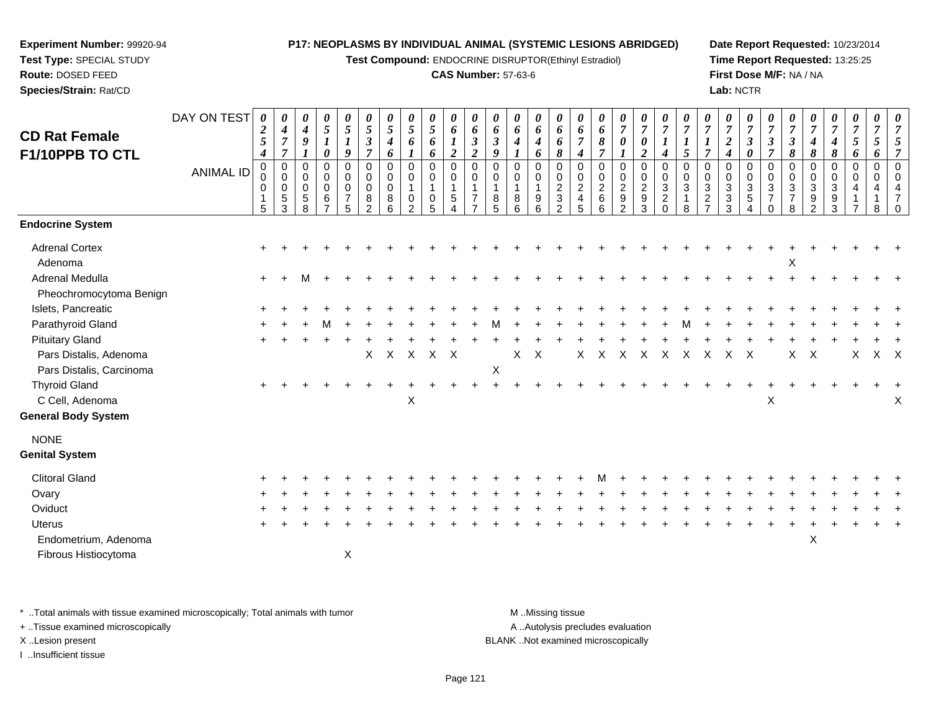**Test Compound:** ENDOCRINE DISRUPTOR(Ethinyl Estradiol)

## **CAS Number:** 57-63-6

**Date Report Requested:** 10/23/2014**Time Report Requested:** 13:25:25**First Dose M/F:** NA / NA**Lab:** NCTR

| $\overline{7}$<br>$\boldsymbol{\theta}$<br>9<br>$\overline{7}$<br>$\overline{2}$<br>9<br>8<br>$\overline{7}$<br>$\overline{2}$<br>5<br>6<br>6<br>$\boldsymbol{2}$<br>6<br>F1/10PPB TO CTL<br>$\boldsymbol{4}$<br>$\boldsymbol{4}$<br>$\boldsymbol{4}$<br>$\mathbf 0$<br>$\mathbf 0$<br>$\mathbf 0$<br>$\mathbf 0$<br>$\mathbf 0$<br>$\mathbf 0$<br>0<br>$\mathbf 0$<br>$\mathbf 0$<br>0<br>0<br>0<br>0<br>0<br>$\mathbf 0$<br>$\mathbf 0$<br>$\mathbf 0$<br>0<br>$\mathbf 0$<br>0<br><b>ANIMAL ID</b><br>$\mathbf 0$<br>0<br>0<br>$\mathbf 0$<br>0<br>$\mathbf 0$<br>0<br>$\mathbf 0$<br>0<br>$\mathbf 0$<br>$\mathbf 0$<br>0<br>$\mathbf 0$<br>0<br>$\mathbf 0$<br>$\mathbf 0$<br>$\Omega$<br>$\Omega$<br>$\mathbf 0$<br>0<br>$\frac{2}{6}$<br>$\overline{c}$<br>$\overline{c}$<br>$\overline{2}$<br>$\overline{c}$<br>3<br>$\mathbf 0$<br>0<br>$\mathbf 0$<br>$\mathbf 0$<br>$\mathbf 0$<br>$\mathbf{1}$<br>$\mathbf{1}$<br>0<br>$\mathbf 0$<br>$\mathbf{1}$<br>$\mathbf{3}$<br>$\boldsymbol{9}$<br>$\boldsymbol{9}$<br>$\overline{7}$<br>$\overline{c}$<br>5<br>$\,$ 5 $\,$<br>$\boldsymbol{9}$<br>5<br>6<br>8<br>8<br>8<br>$\overline{\mathbf{4}}$<br>8<br>0<br>0<br>$\overline{7}$<br>1<br>$\overline{2}$<br>5<br>$\overline{2}$<br>3<br>3<br>$\overline{7}$<br>5<br>6<br>$\overline{2}$<br>5<br>$6\phantom{a}$<br>$\overline{2}$<br>$\overline{5}$<br>6<br>$\mathbf 0$<br>5<br>8<br>6<br>$\Delta$ | $\mathbf 0$<br>0<br>3<br>$\mathbf{1}$<br>8<br>$\overline{ }$ | $\overline{7}$<br>$\mathbf 0$<br>$\mathbf 0$<br>$\sqrt{3}$<br>$\overline{2}$ | $\boldsymbol{4}$<br>$\mathbf 0$<br>$\mathbf 0$<br>$\sqrt{3}$<br>$\overline{3}$<br>3 | $\boldsymbol{\beta}$<br>$\boldsymbol{\theta}$<br>$\mathbf 0$<br>$\mathbf 0$<br>$\mathbf{3}$<br>$\sqrt{5}$<br>$\overline{4}$ | $\boldsymbol{\beta}$<br>$\overline{7}$<br>0<br>0<br>3<br>$\overline{7}$<br>$\mathbf 0$ | $\boldsymbol{\beta}$<br>8<br>0<br>$\mathbf 0$<br>$\sqrt{3}$<br>$\overline{7}$<br>8 | $\boldsymbol{4}$<br>8<br>0<br>0<br>$\mathbf{3}$<br>9<br>2 | $\pmb{8}$<br>3<br>9<br>$\mathbf{3}$ | $\boldsymbol{4}$<br>$\overline{5}$<br>6<br>$\mathbf 0$<br>0<br>$\mathbf 0$<br>$\mathbf 0$<br>$\overline{4}$<br>-1<br>$\overline{7}$ | $\overline{5}$<br>6<br>0<br>0<br>4<br>1<br>8 | 5<br>7<br>$\Omega$<br>$\Omega$<br>$\Omega$ |
|---------------------------------------------------------------------------------------------------------------------------------------------------------------------------------------------------------------------------------------------------------------------------------------------------------------------------------------------------------------------------------------------------------------------------------------------------------------------------------------------------------------------------------------------------------------------------------------------------------------------------------------------------------------------------------------------------------------------------------------------------------------------------------------------------------------------------------------------------------------------------------------------------------------------------------------------------------------------------------------------------------------------------------------------------------------------------------------------------------------------------------------------------------------------------------------------------------------------------------------------------------------------------------------------------------------------------------------------------------------------------------------------------------|--------------------------------------------------------------|------------------------------------------------------------------------------|-------------------------------------------------------------------------------------|-----------------------------------------------------------------------------------------------------------------------------|----------------------------------------------------------------------------------------|------------------------------------------------------------------------------------|-----------------------------------------------------------|-------------------------------------|-------------------------------------------------------------------------------------------------------------------------------------|----------------------------------------------|--------------------------------------------|
| <b>Endocrine System</b>                                                                                                                                                                                                                                                                                                                                                                                                                                                                                                                                                                                                                                                                                                                                                                                                                                                                                                                                                                                                                                                                                                                                                                                                                                                                                                                                                                                 |                                                              |                                                                              |                                                                                     |                                                                                                                             |                                                                                        |                                                                                    |                                                           |                                     |                                                                                                                                     |                                              |                                            |
| <b>Adrenal Cortex</b><br>Adenoma                                                                                                                                                                                                                                                                                                                                                                                                                                                                                                                                                                                                                                                                                                                                                                                                                                                                                                                                                                                                                                                                                                                                                                                                                                                                                                                                                                        |                                                              |                                                                              |                                                                                     |                                                                                                                             |                                                                                        | Χ                                                                                  |                                                           |                                     |                                                                                                                                     |                                              |                                            |
| Adrenal Medulla<br>$\ddot{}$<br>Pheochromocytoma Benign                                                                                                                                                                                                                                                                                                                                                                                                                                                                                                                                                                                                                                                                                                                                                                                                                                                                                                                                                                                                                                                                                                                                                                                                                                                                                                                                                 |                                                              |                                                                              |                                                                                     |                                                                                                                             |                                                                                        |                                                                                    |                                                           |                                     |                                                                                                                                     |                                              |                                            |
| Islets, Pancreatic                                                                                                                                                                                                                                                                                                                                                                                                                                                                                                                                                                                                                                                                                                                                                                                                                                                                                                                                                                                                                                                                                                                                                                                                                                                                                                                                                                                      |                                                              |                                                                              |                                                                                     |                                                                                                                             |                                                                                        |                                                                                    |                                                           |                                     |                                                                                                                                     |                                              |                                            |
| Parathyroid Gland                                                                                                                                                                                                                                                                                                                                                                                                                                                                                                                                                                                                                                                                                                                                                                                                                                                                                                                                                                                                                                                                                                                                                                                                                                                                                                                                                                                       |                                                              |                                                                              |                                                                                     |                                                                                                                             |                                                                                        |                                                                                    |                                                           |                                     |                                                                                                                                     |                                              |                                            |
| <b>Pituitary Gland</b>                                                                                                                                                                                                                                                                                                                                                                                                                                                                                                                                                                                                                                                                                                                                                                                                                                                                                                                                                                                                                                                                                                                                                                                                                                                                                                                                                                                  |                                                              |                                                                              |                                                                                     |                                                                                                                             |                                                                                        |                                                                                    |                                                           |                                     |                                                                                                                                     |                                              |                                            |
| $\mathsf{X}$<br>$\mathsf{X}$<br>Pars Distalis, Adenoma<br>$\mathsf{X}$<br>X<br>$\mathsf{X}$<br>$\boldsymbol{\mathsf{X}}$<br>$\boldsymbol{X}$<br>$\sf X$<br>X<br>$\mathsf{X}$<br>X<br>$\mathsf{X}$                                                                                                                                                                                                                                                                                                                                                                                                                                                                                                                                                                                                                                                                                                                                                                                                                                                                                                                                                                                                                                                                                                                                                                                                       | $\mathsf{X}$<br>$\mathsf{X}$                                 |                                                                              | $\boldsymbol{\mathsf{X}}$                                                           | $\mathsf{X}$                                                                                                                |                                                                                        | X                                                                                  | $\mathsf{X}$                                              |                                     | X                                                                                                                                   |                                              | $X$ $X$                                    |
| X<br>Pars Distalis, Carcinoma                                                                                                                                                                                                                                                                                                                                                                                                                                                                                                                                                                                                                                                                                                                                                                                                                                                                                                                                                                                                                                                                                                                                                                                                                                                                                                                                                                           |                                                              |                                                                              |                                                                                     |                                                                                                                             |                                                                                        |                                                                                    |                                                           |                                     |                                                                                                                                     |                                              |                                            |
| <b>Thyroid Gland</b><br>$\ddot{}$                                                                                                                                                                                                                                                                                                                                                                                                                                                                                                                                                                                                                                                                                                                                                                                                                                                                                                                                                                                                                                                                                                                                                                                                                                                                                                                                                                       |                                                              |                                                                              |                                                                                     |                                                                                                                             |                                                                                        |                                                                                    |                                                           |                                     |                                                                                                                                     |                                              |                                            |
| C Cell, Adenoma<br>X                                                                                                                                                                                                                                                                                                                                                                                                                                                                                                                                                                                                                                                                                                                                                                                                                                                                                                                                                                                                                                                                                                                                                                                                                                                                                                                                                                                    |                                                              |                                                                              |                                                                                     |                                                                                                                             | X                                                                                      |                                                                                    |                                                           |                                     |                                                                                                                                     |                                              | X                                          |
| <b>General Body System</b>                                                                                                                                                                                                                                                                                                                                                                                                                                                                                                                                                                                                                                                                                                                                                                                                                                                                                                                                                                                                                                                                                                                                                                                                                                                                                                                                                                              |                                                              |                                                                              |                                                                                     |                                                                                                                             |                                                                                        |                                                                                    |                                                           |                                     |                                                                                                                                     |                                              |                                            |
| <b>NONE</b>                                                                                                                                                                                                                                                                                                                                                                                                                                                                                                                                                                                                                                                                                                                                                                                                                                                                                                                                                                                                                                                                                                                                                                                                                                                                                                                                                                                             |                                                              |                                                                              |                                                                                     |                                                                                                                             |                                                                                        |                                                                                    |                                                           |                                     |                                                                                                                                     |                                              |                                            |
| <b>Genital System</b>                                                                                                                                                                                                                                                                                                                                                                                                                                                                                                                                                                                                                                                                                                                                                                                                                                                                                                                                                                                                                                                                                                                                                                                                                                                                                                                                                                                   |                                                              |                                                                              |                                                                                     |                                                                                                                             |                                                                                        |                                                                                    |                                                           |                                     |                                                                                                                                     |                                              |                                            |
| <b>Clitoral Gland</b>                                                                                                                                                                                                                                                                                                                                                                                                                                                                                                                                                                                                                                                                                                                                                                                                                                                                                                                                                                                                                                                                                                                                                                                                                                                                                                                                                                                   |                                                              |                                                                              |                                                                                     |                                                                                                                             |                                                                                        |                                                                                    |                                                           |                                     |                                                                                                                                     |                                              |                                            |
| Ovary                                                                                                                                                                                                                                                                                                                                                                                                                                                                                                                                                                                                                                                                                                                                                                                                                                                                                                                                                                                                                                                                                                                                                                                                                                                                                                                                                                                                   |                                                              |                                                                              |                                                                                     |                                                                                                                             |                                                                                        |                                                                                    |                                                           |                                     |                                                                                                                                     |                                              |                                            |
| Oviduct                                                                                                                                                                                                                                                                                                                                                                                                                                                                                                                                                                                                                                                                                                                                                                                                                                                                                                                                                                                                                                                                                                                                                                                                                                                                                                                                                                                                 |                                                              |                                                                              |                                                                                     |                                                                                                                             |                                                                                        |                                                                                    |                                                           |                                     |                                                                                                                                     |                                              |                                            |
| <b>Uterus</b>                                                                                                                                                                                                                                                                                                                                                                                                                                                                                                                                                                                                                                                                                                                                                                                                                                                                                                                                                                                                                                                                                                                                                                                                                                                                                                                                                                                           |                                                              |                                                                              |                                                                                     |                                                                                                                             |                                                                                        |                                                                                    |                                                           |                                     |                                                                                                                                     |                                              |                                            |
| Endometrium, Adenoma                                                                                                                                                                                                                                                                                                                                                                                                                                                                                                                                                                                                                                                                                                                                                                                                                                                                                                                                                                                                                                                                                                                                                                                                                                                                                                                                                                                    |                                                              |                                                                              |                                                                                     |                                                                                                                             |                                                                                        |                                                                                    | $\mathsf X$                                               |                                     |                                                                                                                                     |                                              |                                            |
| X<br>Fibrous Histiocytoma                                                                                                                                                                                                                                                                                                                                                                                                                                                                                                                                                                                                                                                                                                                                                                                                                                                                                                                                                                                                                                                                                                                                                                                                                                                                                                                                                                               |                                                              |                                                                              |                                                                                     |                                                                                                                             |                                                                                        |                                                                                    |                                                           |                                     |                                                                                                                                     |                                              |                                            |

\* ..Total animals with tissue examined microscopically; Total animals with tumor **M** . Missing tissue M ..Missing tissue

+ ..Tissue examined microscopically

**Experiment Number:** 99920-94**Test Type:** SPECIAL STUDY**Route:** DOSED FEED**Species/Strain:** Rat/CD

I ..Insufficient tissue

A ..Autolysis precludes evaluation

X ..Lesion present BLANK ..Not examined microscopically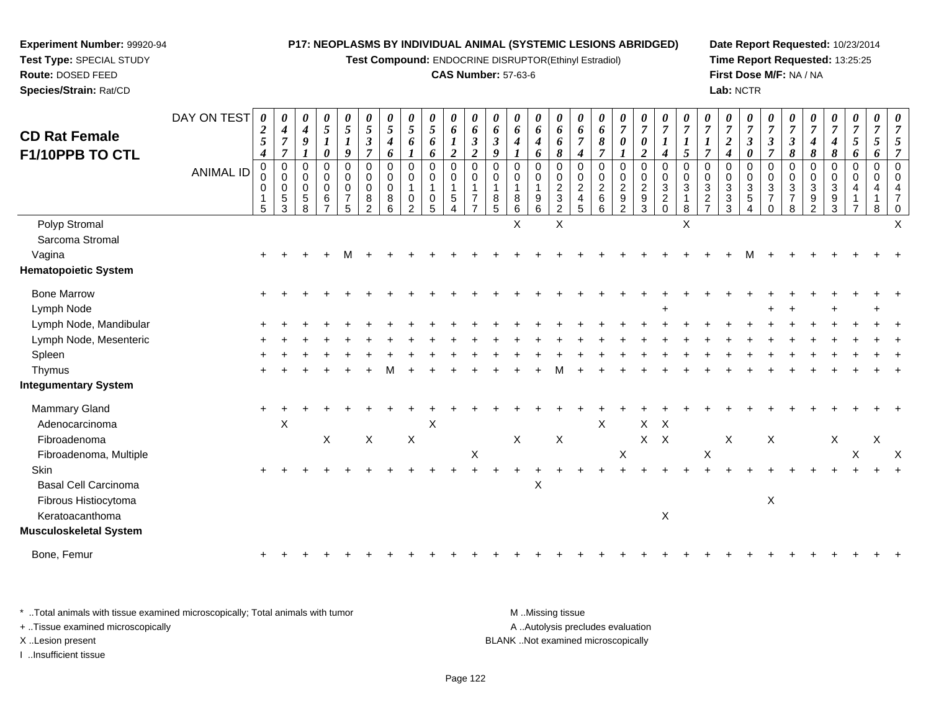**Test Compound:** ENDOCRINE DISRUPTOR(Ethinyl Estradiol)

## **CAS Number:** 57-63-6

**Date Report Requested:** 10/23/2014**Time Report Requested:** 13:25:25**First Dose M/F:** NA / NA**Lab:** NCTR

| <b>CD Rat Female</b><br>F1/10PPB TO CTL                  | DAY ON TEST      | 0<br>$\boldsymbol{2}$<br>5<br>$\boldsymbol{4}$ | 0<br>$\boldsymbol{4}$<br>$\overline{7}$<br>$\overline{7}$ | 0<br>$\boldsymbol{4}$<br>9               | 0<br>$\mathfrak{s}$<br>$\boldsymbol{l}$<br>0     | 0<br>$\mathfrak{s}$<br>$\boldsymbol{l}$<br>9               | 0<br>$\sqrt{5}$<br>$\mathfrak{Z}$<br>$\overline{7}$ | 0<br>$\mathfrak{s}$<br>$\boldsymbol{4}$<br>6  | $\frac{\theta}{5}$<br>6                    | 0<br>$\mathfrak{s}$<br>6<br>6                             | 0<br>6<br>$\boldsymbol{l}$<br>$\overline{2}$                             | 0<br>6<br>$\boldsymbol{\beta}$<br>$\boldsymbol{2}$ | 0<br>6<br>$\boldsymbol{\beta}$<br>9 | 0<br>6<br>$\boldsymbol{4}$       | 0<br>6<br>$\boldsymbol{4}$<br>6           | 0<br>6<br>6<br>8                                                                            | 0<br>6<br>$\overline{7}$<br>$\boldsymbol{4}$                         | $\boldsymbol{\theta}$<br>6<br>8<br>$\overline{7}$      | $\boldsymbol{\theta}$<br>$\overline{7}$<br>0                               | 0<br>$\boldsymbol{7}$<br>0<br>$\overline{2}$                                          | $\boldsymbol{\theta}$<br>$\overline{7}$<br>4                          | 0<br>$\overline{7}$<br>5                                                  | $\overline{7}$<br>1<br>$\overline{7}$                                  | 0<br>$\overline{7}$<br>$\overline{c}$<br>4                      | 0<br>$\overline{7}$<br>3<br>0  | $\boldsymbol{\theta}$<br>$\overline{7}$<br>$\boldsymbol{\beta}$<br>$\overline{7}$ | $\boldsymbol{\theta}$<br>$\overline{7}$<br>$\boldsymbol{\beta}$<br>8 | $\overline{7}$<br>$\boldsymbol{4}$<br>8       | 0<br>$\overline{7}$<br>$\boldsymbol{4}$<br>8 | 0<br>$\overline{7}$<br>5<br>6 | $\boldsymbol{\theta}$<br>$\overline{7}$<br>5<br>6 | $\boldsymbol{\theta}$<br>$\overline{7}$ |
|----------------------------------------------------------|------------------|------------------------------------------------|-----------------------------------------------------------|------------------------------------------|--------------------------------------------------|------------------------------------------------------------|-----------------------------------------------------|-----------------------------------------------|--------------------------------------------|-----------------------------------------------------------|--------------------------------------------------------------------------|----------------------------------------------------|-------------------------------------|----------------------------------|-------------------------------------------|---------------------------------------------------------------------------------------------|----------------------------------------------------------------------|--------------------------------------------------------|----------------------------------------------------------------------------|---------------------------------------------------------------------------------------|-----------------------------------------------------------------------|---------------------------------------------------------------------------|------------------------------------------------------------------------|-----------------------------------------------------------------|--------------------------------|-----------------------------------------------------------------------------------|----------------------------------------------------------------------|-----------------------------------------------|----------------------------------------------|-------------------------------|---------------------------------------------------|-----------------------------------------|
|                                                          | <b>ANIMAL ID</b> | 0<br>0<br>0<br>$\mathbf{1}$<br>5               | $\mathbf 0$<br>$\mathbf 0$<br>0<br>$\sqrt{5}$<br>3        | $\mathbf 0$<br>0<br>0<br>$\sqrt{5}$<br>8 | 0<br>0<br>$\mathbf 0$<br>$\,6$<br>$\overline{7}$ | $\mathbf 0$<br>$\pmb{0}$<br>$\,0\,$<br>$\overline{7}$<br>5 | 0<br>$\mathbf 0$<br>0<br>8<br>$\overline{2}$        | 0<br>$\mathbf 0$<br>0<br>8<br>$6\phantom{1}6$ | 0<br>0<br>$\overline{0}$<br>$\overline{c}$ | $\pmb{0}$<br>$\mathbf 0$<br>$\mathbf 1$<br>$\pmb{0}$<br>5 | $\mathbf 0$<br>$\pmb{0}$<br>$\mathbf 1$<br>$\,$ 5 $\,$<br>$\overline{4}$ | $\mathbf 0$<br>$\mathbf 0$<br>$\overline{7}$       | 0<br>0<br>$\mathbf{1}$<br>8<br>5    | 0<br>$\mathbf 0$<br>8<br>$\,6\,$ | 0<br>$\mathbf 0$<br>$\boldsymbol{9}$<br>6 | $\mathbf 0$<br>$\mathbf 0$<br>$\overline{2}$<br>$\ensuremath{\mathsf{3}}$<br>$\overline{c}$ | $\mathbf 0$<br>0<br>$\boldsymbol{2}$<br>$\overline{4}$<br>$\sqrt{5}$ | $\mathbf 0$<br>$\pmb{0}$<br>$\sqrt{2}$<br>$\,6\,$<br>6 | 0<br>$\mathbf 0$<br>$\boldsymbol{2}$<br>$\boldsymbol{9}$<br>$\overline{2}$ | $\mathsf 0$<br>$\boldsymbol{0}$<br>$\overline{2}$<br>$\boldsymbol{9}$<br>$\mathbf{3}$ | $\mathbf 0$<br>$\pmb{0}$<br>$\sqrt{3}$<br>$\overline{c}$<br>$\pmb{0}$ | $\mathbf 0$<br>$\mathsf{O}\xspace$<br>$\mathbf{3}$<br>$\overline{1}$<br>8 | $\mathbf 0$<br>$\pmb{0}$<br>$\sqrt{3}$<br>$\sqrt{2}$<br>$\overline{7}$ | $\Omega$<br>0<br>$\mathbf{3}$<br>$\ensuremath{\mathsf{3}}$<br>3 | 0<br>0<br>3<br>$\sqrt{5}$<br>4 | 0<br>$\pmb{0}$<br>$\sqrt{3}$<br>$\overline{7}$<br>$\mathbf 0$                     | 0<br>$\mathbf 0$<br>$\mathbf{3}$<br>$\overline{7}$<br>8              | 0<br>0<br>$\mathbf{3}$<br>9<br>$\overline{2}$ | 0<br>$\mathbf 0$<br>3<br>9<br>3              | 0<br>$\mathbf 0$              | $\mathbf 0$<br>$\Omega$<br>8                      |                                         |
| Polyp Stromal                                            |                  |                                                |                                                           |                                          |                                                  |                                                            |                                                     |                                               |                                            |                                                           |                                                                          |                                                    |                                     | X                                |                                           | $\times$                                                                                    |                                                                      |                                                        |                                                                            |                                                                                       |                                                                       | $\times$                                                                  |                                                                        |                                                                 |                                |                                                                                   |                                                                      |                                               |                                              |                               |                                                   | x                                       |
| Sarcoma Stromal<br>Vagina<br><b>Hematopoietic System</b> |                  |                                                |                                                           |                                          |                                                  |                                                            |                                                     |                                               |                                            |                                                           |                                                                          |                                                    |                                     |                                  |                                           |                                                                                             |                                                                      |                                                        |                                                                            |                                                                                       |                                                                       |                                                                           |                                                                        |                                                                 |                                |                                                                                   |                                                                      |                                               |                                              |                               |                                                   |                                         |
| <b>Bone Marrow</b>                                       |                  |                                                |                                                           |                                          |                                                  |                                                            |                                                     |                                               |                                            |                                                           |                                                                          |                                                    |                                     |                                  |                                           |                                                                                             |                                                                      |                                                        |                                                                            |                                                                                       |                                                                       |                                                                           |                                                                        |                                                                 |                                |                                                                                   |                                                                      |                                               |                                              |                               |                                                   |                                         |
| Lymph Node                                               |                  |                                                |                                                           |                                          |                                                  |                                                            |                                                     |                                               |                                            |                                                           |                                                                          |                                                    |                                     |                                  |                                           |                                                                                             |                                                                      |                                                        |                                                                            |                                                                                       |                                                                       |                                                                           |                                                                        |                                                                 |                                |                                                                                   |                                                                      |                                               |                                              |                               |                                                   |                                         |
| Lymph Node, Mandibular                                   |                  |                                                |                                                           |                                          |                                                  |                                                            |                                                     |                                               |                                            |                                                           |                                                                          |                                                    |                                     |                                  |                                           |                                                                                             |                                                                      |                                                        |                                                                            |                                                                                       |                                                                       |                                                                           |                                                                        |                                                                 |                                |                                                                                   |                                                                      |                                               |                                              |                               |                                                   |                                         |
| Lymph Node, Mesenteric                                   |                  |                                                |                                                           |                                          |                                                  |                                                            |                                                     |                                               |                                            |                                                           |                                                                          |                                                    |                                     |                                  |                                           |                                                                                             |                                                                      |                                                        |                                                                            |                                                                                       |                                                                       |                                                                           |                                                                        |                                                                 |                                |                                                                                   |                                                                      |                                               |                                              |                               |                                                   |                                         |
| Spleen                                                   |                  |                                                |                                                           |                                          |                                                  |                                                            |                                                     |                                               |                                            |                                                           |                                                                          |                                                    |                                     |                                  |                                           |                                                                                             |                                                                      |                                                        |                                                                            |                                                                                       |                                                                       |                                                                           |                                                                        |                                                                 |                                |                                                                                   |                                                                      |                                               |                                              |                               |                                                   |                                         |
| Thymus                                                   |                  |                                                |                                                           |                                          |                                                  |                                                            |                                                     |                                               |                                            |                                                           |                                                                          |                                                    |                                     |                                  |                                           |                                                                                             |                                                                      |                                                        |                                                                            |                                                                                       |                                                                       |                                                                           |                                                                        |                                                                 |                                |                                                                                   |                                                                      |                                               |                                              |                               |                                                   |                                         |
| <b>Integumentary System</b>                              |                  |                                                |                                                           |                                          |                                                  |                                                            |                                                     |                                               |                                            |                                                           |                                                                          |                                                    |                                     |                                  |                                           |                                                                                             |                                                                      |                                                        |                                                                            |                                                                                       |                                                                       |                                                                           |                                                                        |                                                                 |                                |                                                                                   |                                                                      |                                               |                                              |                               |                                                   |                                         |
| Mammary Gland                                            |                  | $\ddot{}$                                      |                                                           |                                          |                                                  |                                                            |                                                     |                                               |                                            |                                                           |                                                                          |                                                    |                                     |                                  |                                           |                                                                                             |                                                                      |                                                        |                                                                            |                                                                                       |                                                                       |                                                                           |                                                                        |                                                                 |                                |                                                                                   |                                                                      |                                               |                                              |                               |                                                   |                                         |
| Adenocarcinoma                                           |                  |                                                | X                                                         |                                          |                                                  |                                                            |                                                     |                                               |                                            | $\boldsymbol{\mathsf{X}}$                                 |                                                                          |                                                    |                                     |                                  |                                           |                                                                                             |                                                                      | $\sf X$                                                |                                                                            | $\mathsf{X}$                                                                          | $\mathsf{X}$                                                          |                                                                           |                                                                        |                                                                 |                                |                                                                                   |                                                                      |                                               |                                              |                               |                                                   |                                         |
| Fibroadenoma                                             |                  |                                                |                                                           |                                          | X                                                |                                                            | $\mathsf X$                                         |                                               | $\mathsf X$                                |                                                           |                                                                          |                                                    |                                     | X                                |                                           | $\mathsf X$                                                                                 |                                                                      |                                                        |                                                                            |                                                                                       | $X$ $X$                                                               |                                                                           |                                                                        | X                                                               |                                | X                                                                                 |                                                                      |                                               | X                                            |                               | X                                                 |                                         |
| Fibroadenoma, Multiple                                   |                  |                                                |                                                           |                                          |                                                  |                                                            |                                                     |                                               |                                            |                                                           |                                                                          | $\mathsf X$                                        |                                     |                                  |                                           |                                                                                             |                                                                      |                                                        | $\mathsf X$                                                                |                                                                                       |                                                                       |                                                                           | $\mathsf X$                                                            |                                                                 |                                |                                                                                   |                                                                      |                                               |                                              | X                             |                                                   | X                                       |
| <b>Skin</b>                                              |                  |                                                |                                                           |                                          |                                                  |                                                            |                                                     |                                               |                                            |                                                           |                                                                          |                                                    |                                     |                                  |                                           |                                                                                             |                                                                      |                                                        |                                                                            |                                                                                       |                                                                       |                                                                           |                                                                        |                                                                 |                                |                                                                                   |                                                                      |                                               |                                              |                               |                                                   |                                         |
| <b>Basal Cell Carcinoma</b>                              |                  |                                                |                                                           |                                          |                                                  |                                                            |                                                     |                                               |                                            |                                                           |                                                                          |                                                    |                                     |                                  | $\pmb{\times}$                            |                                                                                             |                                                                      |                                                        |                                                                            |                                                                                       |                                                                       |                                                                           |                                                                        |                                                                 |                                |                                                                                   |                                                                      |                                               |                                              |                               |                                                   |                                         |
| Fibrous Histiocytoma                                     |                  |                                                |                                                           |                                          |                                                  |                                                            |                                                     |                                               |                                            |                                                           |                                                                          |                                                    |                                     |                                  |                                           |                                                                                             |                                                                      |                                                        |                                                                            |                                                                                       |                                                                       |                                                                           |                                                                        |                                                                 |                                | X                                                                                 |                                                                      |                                               |                                              |                               |                                                   |                                         |
| Keratoacanthoma                                          |                  |                                                |                                                           |                                          |                                                  |                                                            |                                                     |                                               |                                            |                                                           |                                                                          |                                                    |                                     |                                  |                                           |                                                                                             |                                                                      |                                                        |                                                                            |                                                                                       | $\mathsf X$                                                           |                                                                           |                                                                        |                                                                 |                                |                                                                                   |                                                                      |                                               |                                              |                               |                                                   |                                         |
| Musculoskeletal System                                   |                  |                                                |                                                           |                                          |                                                  |                                                            |                                                     |                                               |                                            |                                                           |                                                                          |                                                    |                                     |                                  |                                           |                                                                                             |                                                                      |                                                        |                                                                            |                                                                                       |                                                                       |                                                                           |                                                                        |                                                                 |                                |                                                                                   |                                                                      |                                               |                                              |                               |                                                   |                                         |
| Bone, Femur                                              |                  |                                                |                                                           |                                          |                                                  |                                                            |                                                     |                                               |                                            |                                                           |                                                                          |                                                    |                                     |                                  |                                           |                                                                                             |                                                                      |                                                        |                                                                            |                                                                                       |                                                                       |                                                                           |                                                                        |                                                                 |                                |                                                                                   |                                                                      |                                               |                                              |                               |                                                   |                                         |

\* ..Total animals with tissue examined microscopically; Total animals with tumor **M** . Missing tissue M ..Missing tissue A ..Autolysis precludes evaluation + ..Tissue examined microscopically X ..Lesion present BLANK ..Not examined microscopicallyI ..Insufficient tissue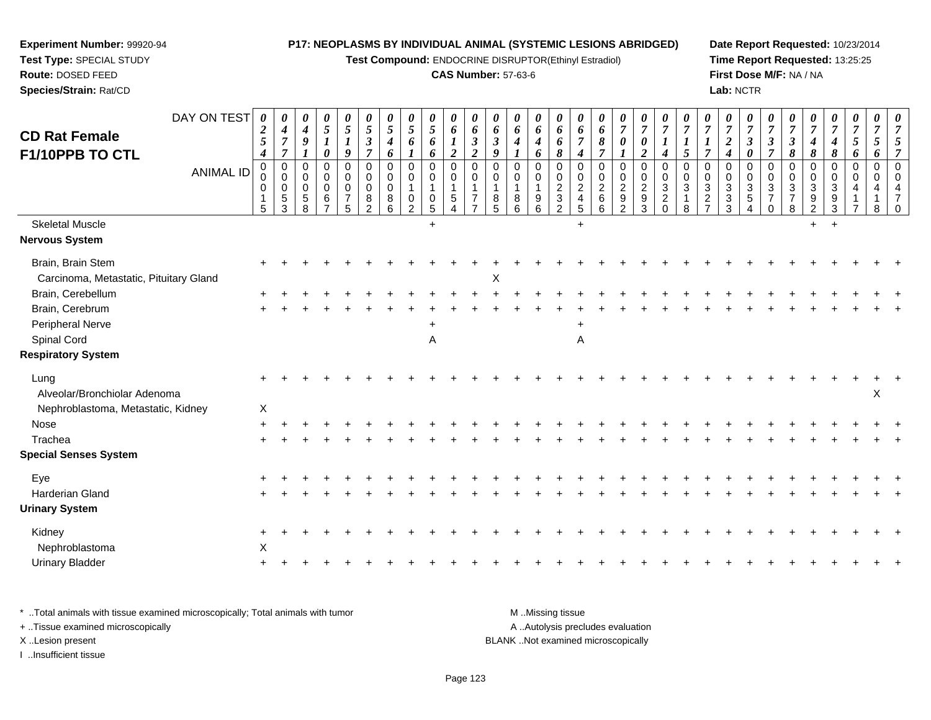**Test Compound:** ENDOCRINE DISRUPTOR(Ethinyl Estradiol)

# **CAS Number:** 57-63-6

**Date Report Requested:** 10/23/2014 **Time Report Requested:** 13:25:25**First Dose M/F:** NA / NA**Lab:** NCTR

| <b>CD Rat Female</b><br>F1/10PPB TO CTL | DAY ON TEST      | 0<br>$\boldsymbol{2}$<br>$\overline{5}$<br>$\boldsymbol{4}$ | $\boldsymbol{\theta}$<br>$\boldsymbol{4}$<br>$\overline{7}$<br>$\overline{7}$ | 0<br>$\boldsymbol{4}$<br>9             | 0<br>$\sqrt{5}$<br>$\boldsymbol{l}$<br>0                     | $\boldsymbol{\theta}$<br>$\sqrt{5}$<br>$\boldsymbol{l}$<br>9 | 0<br>$\sqrt{5}$<br>$\boldsymbol{\beta}$<br>$\overline{7}$        | $\boldsymbol{\theta}$<br>$\overline{5}$<br>$\boldsymbol{4}$<br>6 | $\boldsymbol{\theta}$<br>$5\overline{)}$<br>6 | 0<br>$\mathfrak{H}$<br>6<br>6                                        | 0<br>6<br>$\boldsymbol{l}$<br>$\boldsymbol{2}$ | $\boldsymbol{\theta}$<br>6<br>$\boldsymbol{\beta}$<br>$\boldsymbol{2}$ | $\boldsymbol{\theta}$<br>$\pmb{6}$<br>$\boldsymbol{\beta}$<br>9 | 0<br>6<br>$\boldsymbol{4}$                 | $\boldsymbol{\theta}$<br>6<br>$\boldsymbol{4}$<br>6                 | $\boldsymbol{\theta}$<br>6<br>6<br>8                       | $\boldsymbol{\theta}$<br>6<br>$\overline{7}$<br>$\boldsymbol{4}$    | $\boldsymbol{\theta}$<br>6<br>8<br>$\overline{7}$      | $\boldsymbol{\theta}$<br>$\overline{7}$<br>$\boldsymbol{\theta}$ | 0<br>$\overline{7}$<br>$\boldsymbol{\theta}$<br>$\boldsymbol{2}$                                | $\boldsymbol{\theta}$<br>$\overline{7}$<br>$\bm{l}$<br>4          | $\overline{7}$<br>$\boldsymbol{l}$<br>$\mathfrak{H}$ | $\boldsymbol{\theta}$<br>$\overline{7}$<br>$\overline{7}$ | $\boldsymbol{\theta}$<br>$\boldsymbol{7}$<br>$\overline{2}$<br>4             | $\boldsymbol{\theta}$<br>$\overline{7}$<br>$\mathfrak{z}$<br>$\boldsymbol{\theta}$ | $\boldsymbol{\theta}$<br>$\overline{7}$<br>$\boldsymbol{\beta}$<br>$\overline{7}$ | $\overline{7}$<br>$\boldsymbol{\beta}$<br>8                       | $\overline{7}$<br>4<br>8                   | 0<br>$\overline{7}$<br>$\boldsymbol{4}$<br>8 | 0<br>$\overline{7}$<br>$\mathfrak{s}$<br>6 | 0<br>$\overline{7}$<br>5<br>6   | 0<br>$\overline{7}$<br>5<br>$\overline{7}$                           |
|-----------------------------------------|------------------|-------------------------------------------------------------|-------------------------------------------------------------------------------|----------------------------------------|--------------------------------------------------------------|--------------------------------------------------------------|------------------------------------------------------------------|------------------------------------------------------------------|-----------------------------------------------|----------------------------------------------------------------------|------------------------------------------------|------------------------------------------------------------------------|-----------------------------------------------------------------|--------------------------------------------|---------------------------------------------------------------------|------------------------------------------------------------|---------------------------------------------------------------------|--------------------------------------------------------|------------------------------------------------------------------|-------------------------------------------------------------------------------------------------|-------------------------------------------------------------------|------------------------------------------------------|-----------------------------------------------------------|------------------------------------------------------------------------------|------------------------------------------------------------------------------------|-----------------------------------------------------------------------------------|-------------------------------------------------------------------|--------------------------------------------|----------------------------------------------|--------------------------------------------|---------------------------------|----------------------------------------------------------------------|
|                                         | <b>ANIMAL ID</b> | $\mathbf 0$<br>0<br>0<br>$\mathbf{1}$<br>5                  | $\overline{0}$<br>$\mathbf 0$<br>$\mathbf 0$<br>5<br>3                        | $\Omega$<br>0<br>$\mathbf 0$<br>5<br>8 | $\mathbf 0$<br>$\pmb{0}$<br>$\pmb{0}$<br>6<br>$\overline{7}$ | $\mathbf 0$<br>$\pmb{0}$<br>$\pmb{0}$<br>$\overline{7}$<br>5 | $\mathbf 0$<br>$\mathbf 0$<br>$\mathbf 0$<br>8<br>$\overline{2}$ | $\mathbf 0$<br>$\mathbf 0$<br>$\mathbf 0$<br>8<br>6              | 0<br>0<br>0<br>2                              | $\pmb{0}$<br>$\mathsf{O}\xspace$<br>$\mathbf{1}$<br>$\mathbf 0$<br>5 | $\pmb{0}$<br>$\pmb{0}$<br>$\mathbf{1}$<br>5    | $\Omega$<br>0<br>$\overline{7}$                                        | $\mathbf 0$<br>$\mathbf 0$<br>8<br>5                            | $\mathbf 0$<br>0<br>$\mathbf{1}$<br>8<br>6 | $\mathbf 0$<br>$\mathbf 0$<br>$\mathbf{1}$<br>$\boldsymbol{9}$<br>6 | 0<br>0<br>$\overline{c}$<br>$\mathbf{3}$<br>$\overline{2}$ | $\mathbf 0$<br>$\mathbf 0$<br>$\overline{2}$<br>$\overline{a}$<br>5 | $\mathbf 0$<br>$\pmb{0}$<br>$\sqrt{2}$<br>$\,6\,$<br>6 | $\mathbf 0$<br>$\begin{array}{c} 0 \\ 2 \\ 9 \\ 2 \end{array}$   | $\pmb{0}$<br>$\begin{smallmatrix} 0\\2 \end{smallmatrix}$<br>$\boldsymbol{9}$<br>$\overline{3}$ | $\mathbf 0$<br>0<br>$\mathbf{3}$<br>$\overline{2}$<br>$\mathbf 0$ | $\Omega$<br>$\mathbf 0$<br>$\mathbf{3}$<br>8         | $\mathbf 0$<br>0<br>$\mathbf{3}$<br>$\overline{c}$        | $\Omega$<br>0<br>$\mathbf{3}$<br>$\ensuremath{\mathsf{3}}$<br>$\overline{3}$ | $\mathbf 0$<br>$\mathbf 0$<br>$\mathbf{3}$<br>$\overline{5}$                       | 0<br>0<br>$\mathbf{3}$<br>$\overline{7}$<br>0                                     | $\mathbf 0$<br>$\mathbf 0$<br>$\mathbf{3}$<br>$\overline{7}$<br>8 | $\mathbf 0$<br>0<br>$\mathbf{3}$<br>9<br>2 | $\mathbf 0$<br>0<br>$\mathbf{3}$<br>9<br>3   | $\mathbf 0$<br>$\mathbf 0$                 | $\mathbf 0$<br>$\mathbf 0$<br>8 | $\Omega$<br>$\Omega$<br>$\overline{4}$<br>$\overline{7}$<br>$\Omega$ |
| <b>Skeletal Muscle</b>                  |                  |                                                             |                                                                               |                                        |                                                              |                                                              |                                                                  |                                                                  |                                               |                                                                      |                                                |                                                                        |                                                                 |                                            |                                                                     |                                                            | $\ddot{}$                                                           |                                                        |                                                                  |                                                                                                 |                                                                   |                                                      |                                                           |                                                                              |                                                                                    |                                                                                   |                                                                   | $+$                                        | $+$                                          |                                            |                                 |                                                                      |
| <b>Nervous System</b>                   |                  |                                                             |                                                                               |                                        |                                                              |                                                              |                                                                  |                                                                  |                                               |                                                                      |                                                |                                                                        |                                                                 |                                            |                                                                     |                                                            |                                                                     |                                                        |                                                                  |                                                                                                 |                                                                   |                                                      |                                                           |                                                                              |                                                                                    |                                                                                   |                                                                   |                                            |                                              |                                            |                                 |                                                                      |
| Brain, Brain Stem                       |                  |                                                             |                                                                               |                                        |                                                              |                                                              |                                                                  |                                                                  |                                               |                                                                      |                                                |                                                                        |                                                                 |                                            |                                                                     |                                                            |                                                                     |                                                        |                                                                  |                                                                                                 |                                                                   |                                                      |                                                           |                                                                              |                                                                                    |                                                                                   |                                                                   |                                            |                                              |                                            |                                 |                                                                      |
| Carcinoma, Metastatic, Pituitary Gland  |                  |                                                             |                                                                               |                                        |                                                              |                                                              |                                                                  |                                                                  |                                               |                                                                      |                                                |                                                                        | X                                                               |                                            |                                                                     |                                                            |                                                                     |                                                        |                                                                  |                                                                                                 |                                                                   |                                                      |                                                           |                                                                              |                                                                                    |                                                                                   |                                                                   |                                            |                                              |                                            |                                 |                                                                      |
| Brain, Cerebellum                       |                  |                                                             |                                                                               |                                        |                                                              |                                                              |                                                                  |                                                                  |                                               |                                                                      |                                                |                                                                        |                                                                 |                                            |                                                                     |                                                            |                                                                     |                                                        |                                                                  |                                                                                                 |                                                                   |                                                      |                                                           |                                                                              |                                                                                    |                                                                                   |                                                                   |                                            |                                              |                                            |                                 |                                                                      |
| Brain, Cerebrum                         |                  |                                                             |                                                                               |                                        |                                                              |                                                              |                                                                  |                                                                  |                                               |                                                                      |                                                |                                                                        |                                                                 |                                            |                                                                     |                                                            |                                                                     |                                                        |                                                                  |                                                                                                 |                                                                   |                                                      |                                                           |                                                                              |                                                                                    |                                                                                   |                                                                   |                                            |                                              |                                            |                                 |                                                                      |
| Peripheral Nerve                        |                  |                                                             |                                                                               |                                        |                                                              |                                                              |                                                                  |                                                                  |                                               |                                                                      |                                                |                                                                        |                                                                 |                                            |                                                                     |                                                            |                                                                     |                                                        |                                                                  |                                                                                                 |                                                                   |                                                      |                                                           |                                                                              |                                                                                    |                                                                                   |                                                                   |                                            |                                              |                                            |                                 |                                                                      |
| Spinal Cord                             |                  |                                                             |                                                                               |                                        |                                                              |                                                              |                                                                  |                                                                  |                                               | A                                                                    |                                                |                                                                        |                                                                 |                                            |                                                                     |                                                            | Α                                                                   |                                                        |                                                                  |                                                                                                 |                                                                   |                                                      |                                                           |                                                                              |                                                                                    |                                                                                   |                                                                   |                                            |                                              |                                            |                                 |                                                                      |
| <b>Respiratory System</b>               |                  |                                                             |                                                                               |                                        |                                                              |                                                              |                                                                  |                                                                  |                                               |                                                                      |                                                |                                                                        |                                                                 |                                            |                                                                     |                                                            |                                                                     |                                                        |                                                                  |                                                                                                 |                                                                   |                                                      |                                                           |                                                                              |                                                                                    |                                                                                   |                                                                   |                                            |                                              |                                            |                                 |                                                                      |
| Lung<br>Alveolar/Bronchiolar Adenoma    |                  |                                                             |                                                                               |                                        |                                                              |                                                              |                                                                  |                                                                  |                                               |                                                                      |                                                |                                                                        |                                                                 |                                            |                                                                     |                                                            |                                                                     |                                                        |                                                                  |                                                                                                 |                                                                   |                                                      |                                                           |                                                                              |                                                                                    |                                                                                   |                                                                   |                                            |                                              |                                            | Χ                               |                                                                      |
| Nephroblastoma, Metastatic, Kidney      |                  | X                                                           |                                                                               |                                        |                                                              |                                                              |                                                                  |                                                                  |                                               |                                                                      |                                                |                                                                        |                                                                 |                                            |                                                                     |                                                            |                                                                     |                                                        |                                                                  |                                                                                                 |                                                                   |                                                      |                                                           |                                                                              |                                                                                    |                                                                                   |                                                                   |                                            |                                              |                                            |                                 |                                                                      |
| Nose                                    |                  |                                                             |                                                                               |                                        |                                                              |                                                              |                                                                  |                                                                  |                                               |                                                                      |                                                |                                                                        |                                                                 |                                            |                                                                     |                                                            |                                                                     |                                                        |                                                                  |                                                                                                 |                                                                   |                                                      |                                                           |                                                                              |                                                                                    |                                                                                   |                                                                   |                                            |                                              |                                            |                                 |                                                                      |
| Trachea                                 |                  |                                                             |                                                                               |                                        |                                                              |                                                              |                                                                  |                                                                  |                                               |                                                                      |                                                |                                                                        |                                                                 |                                            |                                                                     |                                                            |                                                                     |                                                        |                                                                  |                                                                                                 |                                                                   |                                                      |                                                           |                                                                              |                                                                                    |                                                                                   |                                                                   |                                            |                                              |                                            |                                 |                                                                      |
| <b>Special Senses System</b>            |                  |                                                             |                                                                               |                                        |                                                              |                                                              |                                                                  |                                                                  |                                               |                                                                      |                                                |                                                                        |                                                                 |                                            |                                                                     |                                                            |                                                                     |                                                        |                                                                  |                                                                                                 |                                                                   |                                                      |                                                           |                                                                              |                                                                                    |                                                                                   |                                                                   |                                            |                                              |                                            |                                 |                                                                      |
| Eye                                     |                  |                                                             |                                                                               |                                        |                                                              |                                                              |                                                                  |                                                                  |                                               |                                                                      |                                                |                                                                        |                                                                 |                                            |                                                                     |                                                            |                                                                     |                                                        |                                                                  |                                                                                                 |                                                                   |                                                      |                                                           |                                                                              |                                                                                    |                                                                                   |                                                                   |                                            |                                              |                                            |                                 |                                                                      |
| Harderian Gland                         |                  |                                                             |                                                                               |                                        |                                                              |                                                              |                                                                  |                                                                  |                                               |                                                                      |                                                |                                                                        |                                                                 |                                            |                                                                     |                                                            |                                                                     |                                                        |                                                                  |                                                                                                 |                                                                   |                                                      |                                                           |                                                                              |                                                                                    |                                                                                   |                                                                   |                                            |                                              |                                            |                                 |                                                                      |
| <b>Urinary System</b>                   |                  |                                                             |                                                                               |                                        |                                                              |                                                              |                                                                  |                                                                  |                                               |                                                                      |                                                |                                                                        |                                                                 |                                            |                                                                     |                                                            |                                                                     |                                                        |                                                                  |                                                                                                 |                                                                   |                                                      |                                                           |                                                                              |                                                                                    |                                                                                   |                                                                   |                                            |                                              |                                            |                                 |                                                                      |
| Kidney                                  |                  |                                                             |                                                                               |                                        |                                                              |                                                              |                                                                  |                                                                  |                                               |                                                                      |                                                |                                                                        |                                                                 |                                            |                                                                     |                                                            |                                                                     |                                                        |                                                                  |                                                                                                 |                                                                   |                                                      |                                                           |                                                                              |                                                                                    |                                                                                   |                                                                   |                                            |                                              |                                            |                                 |                                                                      |
| Nephroblastoma                          |                  | X                                                           |                                                                               |                                        |                                                              |                                                              |                                                                  |                                                                  |                                               |                                                                      |                                                |                                                                        |                                                                 |                                            |                                                                     |                                                            |                                                                     |                                                        |                                                                  |                                                                                                 |                                                                   |                                                      |                                                           |                                                                              |                                                                                    |                                                                                   |                                                                   |                                            |                                              |                                            |                                 |                                                                      |
| <b>Urinary Bladder</b>                  |                  |                                                             |                                                                               |                                        |                                                              |                                                              |                                                                  |                                                                  |                                               |                                                                      |                                                |                                                                        |                                                                 |                                            |                                                                     |                                                            |                                                                     |                                                        |                                                                  |                                                                                                 |                                                                   |                                                      |                                                           |                                                                              |                                                                                    |                                                                                   |                                                                   |                                            |                                              |                                            |                                 |                                                                      |
|                                         |                  |                                                             |                                                                               |                                        |                                                              |                                                              |                                                                  |                                                                  |                                               |                                                                      |                                                |                                                                        |                                                                 |                                            |                                                                     |                                                            |                                                                     |                                                        |                                                                  |                                                                                                 |                                                                   |                                                      |                                                           |                                                                              |                                                                                    |                                                                                   |                                                                   |                                            |                                              |                                            |                                 |                                                                      |

| * Total animals with tissue examined microscopically; Total animals with tumor | M Missing tissue                   |
|--------------------------------------------------------------------------------|------------------------------------|
| + Tissue examined microscopically                                              | A Autolysis precludes evaluation   |
| X Lesion present                                                               | BLANK Not examined microscopically |
| …Insufficient tissue                                                           |                                    |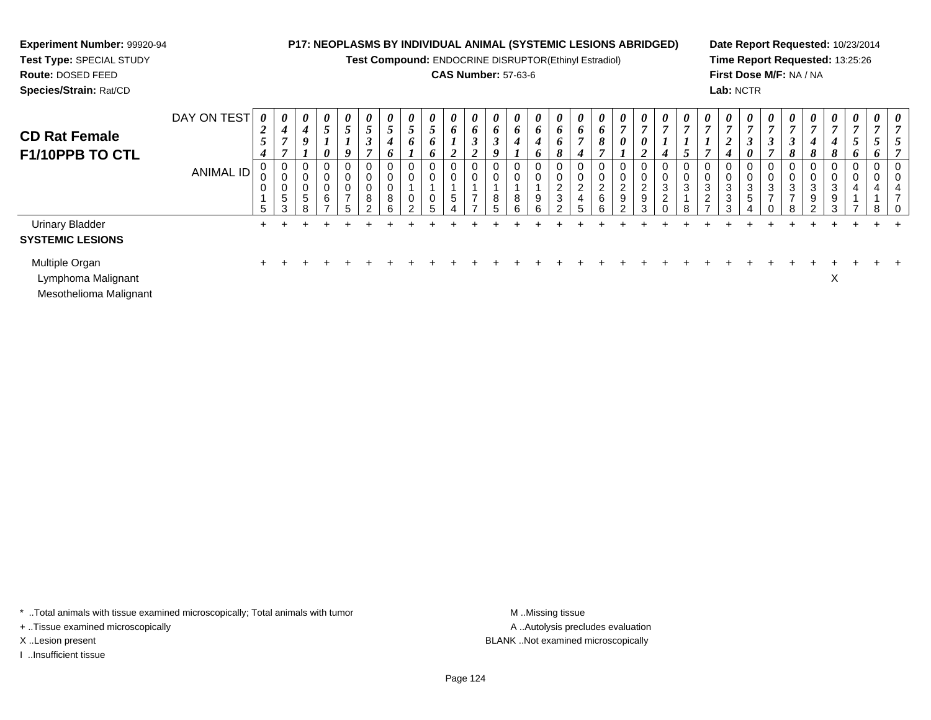# **Experiment Number:** 99920-94**Test Type:** SPECIAL STUDY

# **Route:** DOSED FEED

**Species/Strain:** Rat/CD

# **P17: NEOPLASMS BY INDIVIDUAL ANIMAL (SYSTEMIC LESIONS ABRIDGED)**

**Test Compound:** ENDOCRINE DISRUPTOR(Ethinyl Estradiol)

# **CAS Number:** 57-63-6

**Date Report Requested:** 10/23/2014**Time Report Requested:** 13:25:26**First Dose M/F:** NA / NA**Lab:** NCTR

| <b>CD Rat Female</b><br><b>F1/10PPB TO CTL</b>    | DAY ON TEST | $\overline{2}$<br>$\mathcal{F}$<br>$\boldsymbol{4}$ | $\theta$<br>4                | $\theta$<br>$\overline{\mathcal{A}}$<br>9<br>ı | $\boldsymbol{\theta}$<br>$\overline{ }$<br>$\theta$ | $\boldsymbol{\theta}$<br>$5\overline{)}$<br>Q | $\boldsymbol{\theta}$<br>$\mathcal{L}$<br>◠<br>J<br>$\overline{ }$ | $\boldsymbol{\theta}$<br>$\mathfrak{s}$<br>4<br>6 | $\boldsymbol{\theta}$<br>$\overline{ }$<br>$\mathcal{L}$<br>6<br>- | $\boldsymbol{\theta}$<br>$\overline{\phantom{0}}$<br>$\mathcal{L}$<br>6<br>6 | $\boldsymbol{\theta}$<br>6<br>$\overline{2}$ | $\boldsymbol{\theta}$<br>6<br>$\rightarrow$<br>$\mathbf{\hat{}}$<br>◢ | 0<br>$\bm{b}$<br>$\sim$<br>Ĵ<br>9 | $\theta$<br>o | $\boldsymbol{\theta}$<br>$\bm{o}$<br>4<br>o | $\boldsymbol{\theta}$<br>$\bm{o}$<br>6<br>8               | 0<br>$\bm{o}$<br>4    | $\boldsymbol{\theta}$<br>6<br>8 | $\boldsymbol{\theta}$<br>$\overline{ }$<br>$\boldsymbol{\theta}$ | 0<br>0      | $\boldsymbol{\theta}$<br>$\mathbf{r}$<br>$\boldsymbol{4}$ | $\boldsymbol{\theta}$<br>$\overline{ }$ | $\boldsymbol{\theta}$<br>$\mathbf{r}$                     | $\boldsymbol{\theta}$<br>$\overline{ }$<br>$\overline{\mathbf{c}}$<br>4 | 0<br>$\boldsymbol{\beta}$<br>0 | $\boldsymbol{\theta}$<br>$\overline{ }$<br>$\mathbf{J}$<br>$\overline{ }$ | $\boldsymbol{\theta}$<br>3<br>8 | $\boldsymbol{\theta}$<br>$\overline{ }$<br>4<br>8 | $\boldsymbol{\theta}$<br>$\mathbf{o}$<br>O | $\boldsymbol{\theta}$<br>$\overline{ }$<br>o | $\theta$<br>$\bm{o}$ | $\theta$               |
|---------------------------------------------------|-------------|-----------------------------------------------------|------------------------------|------------------------------------------------|-----------------------------------------------------|-----------------------------------------------|--------------------------------------------------------------------|---------------------------------------------------|--------------------------------------------------------------------|------------------------------------------------------------------------------|----------------------------------------------|-----------------------------------------------------------------------|-----------------------------------|---------------|---------------------------------------------|-----------------------------------------------------------|-----------------------|---------------------------------|------------------------------------------------------------------|-------------|-----------------------------------------------------------|-----------------------------------------|-----------------------------------------------------------|-------------------------------------------------------------------------|--------------------------------|---------------------------------------------------------------------------|---------------------------------|---------------------------------------------------|--------------------------------------------|----------------------------------------------|----------------------|------------------------|
|                                                   | ANIMAL ID   | 5                                                   | <sub>5</sub><br>$\sim$<br>د. | $\Omega$<br>$\mathbf 0$<br>5<br>R              | 0<br>υ<br>0<br>6<br>-                               | 0<br>U<br>U<br>$\overline{ }$<br>5            | 0<br>0<br>0<br>8<br>ົ                                              | 0<br>0<br>0<br>8<br>6                             | 0<br>0<br>0<br>$\mathcal{D}$                                       | 0<br>0<br>0<br>5                                                             | $5\overline{)}$                              | 0<br>0<br>$\overline{ }$                                              | 0<br>8<br>-                       | 8<br>6        | 0<br>0<br>9<br>6                            | 0<br>0<br>$\overline{c}$<br>$\mathbf{3}$<br>$\mathcal{P}$ | 0<br>0<br>2<br>4<br>5 | 0<br>2<br>6<br>6                | ◠<br>∼<br>9<br>$\sim$                                            | 2<br>9<br>3 | 0<br>0<br>3<br>$\overline{2}$<br>$\Omega$                 | J<br>3<br>я                             | 0<br>0<br>$\mathbf{3}$<br>$\overline{2}$<br>$\rightarrow$ | 0<br>0<br>$\mathbf{3}$<br>$\ensuremath{\mathsf{3}}$<br>3                | 0<br>0<br>3<br>5               | 0<br>0<br>3<br>⇁                                                          | చ<br>⇁                          | 3<br>9<br>⌒                                       | U<br>3<br>9<br>$\sim$                      | U<br>4                                       | 8                    | 0<br>0<br>4<br>-<br>-0 |
| <b>Urinary Bladder</b><br><b>SYSTEMIC LESIONS</b> |             |                                                     |                              |                                                |                                                     |                                               |                                                                    |                                                   |                                                                    |                                                                              |                                              |                                                                       |                                   |               |                                             |                                                           |                       |                                 |                                                                  |             |                                                           |                                         |                                                           |                                                                         |                                |                                                                           |                                 |                                                   |                                            |                                              |                      |                        |
| Multiple Organ<br>Lymphoma Malignant              |             |                                                     |                              |                                                |                                                     |                                               |                                                                    |                                                   |                                                                    |                                                                              |                                              |                                                                       |                                   |               |                                             |                                                           |                       |                                 |                                                                  |             |                                                           |                                         |                                                           |                                                                         |                                |                                                                           |                                 |                                                   | v                                          |                                              |                      |                        |

Mesothelioma Malignant

\* ..Total animals with tissue examined microscopically; Total animals with tumor **M** . Missing tissue M ..Missing tissue

+ ..Tissue examined microscopically

I ..Insufficient tissue

A ..Autolysis precludes evaluation X ..Lesion present BLANK ..Not examined microscopically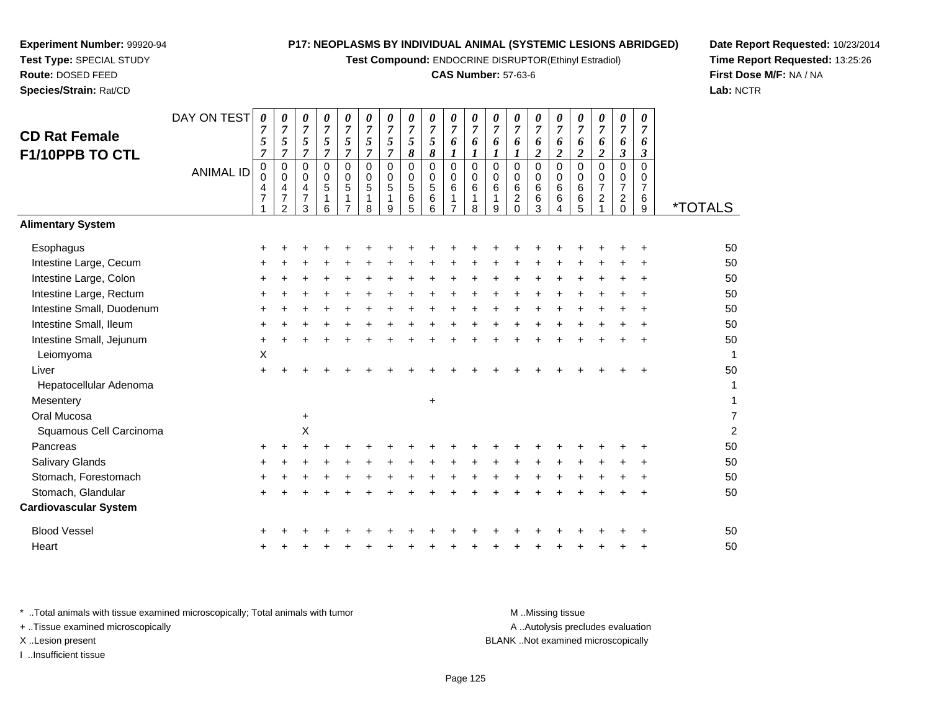**Test Compound:** ENDOCRINE DISRUPTOR(Ethinyl Estradiol)

#### **CAS Number:** 57-63-6

0 0 6

0 0 6

**Date Report Requested:** 10/23/2014**Time Report Requested:** 13:25:26**First Dose M/F:** NA / NA**Lab:** NCTR

|                                                                                | 7         | 7<br>$\overline{c}$ | $\frac{7}{3}$ | 1<br>$\,6\,$ | 1<br>$\overline{7}$ | $\mathbf 1$<br>$\bf 8$ | $\frac{1}{9}$ | 6<br>5 | $\begin{array}{c} 6 \\ 6 \end{array}$ | 1<br>$\overline{7}$ | 1<br>8 | $\frac{1}{9}$ | $\frac{2}{0}$ | $\frac{6}{3}$ | 6<br>4           | $\begin{array}{c} 6 \\ 5 \end{array}$ | $\frac{2}{1}$ | $\frac{2}{0}$ | $\frac{6}{9}$ | <i><b>*TOTALS</b></i> |
|--------------------------------------------------------------------------------|-----------|---------------------|---------------|--------------|---------------------|------------------------|---------------|--------|---------------------------------------|---------------------|--------|---------------|---------------|---------------|------------------|---------------------------------------|---------------|---------------|---------------|-----------------------|
| <b>Alimentary System</b>                                                       |           |                     |               |              |                     |                        |               |        |                                       |                     |        |               |               |               |                  |                                       |               |               |               |                       |
| Esophagus                                                                      | $\ddot{}$ | ÷                   |               |              |                     |                        |               |        |                                       |                     |        |               |               |               |                  |                                       |               |               | ÷             | 50                    |
| Intestine Large, Cecum                                                         | $\ddot{}$ |                     |               |              |                     |                        |               |        |                                       |                     |        |               |               |               |                  |                                       |               |               |               | 50                    |
| Intestine Large, Colon                                                         | $\ddot{}$ |                     |               |              |                     |                        |               |        |                                       |                     |        |               |               |               |                  |                                       |               |               |               | 50                    |
| Intestine Large, Rectum                                                        | $\ddot{}$ |                     |               |              |                     |                        |               |        |                                       |                     |        |               |               |               |                  |                                       |               |               |               | 50                    |
| Intestine Small, Duodenum                                                      | $\ddot{}$ | $\ddot{}$           |               |              |                     |                        |               |        | $\ddot{}$                             |                     |        |               |               |               |                  |                                       |               |               | $\ddot{}$     | 50                    |
| Intestine Small, Ileum                                                         | $\ddot{}$ |                     |               |              |                     |                        |               |        |                                       |                     |        |               |               |               |                  |                                       |               |               |               | 50                    |
| Intestine Small, Jejunum                                                       | $\ddot{}$ | $\ddot{}$           |               |              |                     |                        |               |        |                                       |                     |        |               |               |               |                  |                                       |               |               |               | 50                    |
| Leiomyoma                                                                      | Χ         |                     |               |              |                     |                        |               |        |                                       |                     |        |               |               |               |                  |                                       |               |               |               | 1                     |
| Liver                                                                          | $\ddot{}$ |                     |               |              |                     |                        |               |        |                                       |                     |        |               |               |               |                  |                                       |               |               | +             | 50                    |
| Hepatocellular Adenoma                                                         |           |                     |               |              |                     |                        |               |        |                                       |                     |        |               |               |               |                  |                                       |               |               |               | 1                     |
| Mesentery                                                                      |           |                     |               |              |                     |                        |               |        | $\ddot{}$                             |                     |        |               |               |               |                  |                                       |               |               |               | 1                     |
| Oral Mucosa                                                                    |           |                     | $\ddot{}$     |              |                     |                        |               |        |                                       |                     |        |               |               |               |                  |                                       |               |               |               | 7                     |
| Squamous Cell Carcinoma                                                        |           |                     | $\sf X$       |              |                     |                        |               |        |                                       |                     |        |               |               |               |                  |                                       |               |               |               | $\overline{c}$        |
| Pancreas                                                                       | $\ddot{}$ | +                   |               |              |                     |                        |               |        |                                       |                     |        |               |               |               |                  |                                       |               |               |               | 50                    |
| Salivary Glands                                                                | $\ddot{}$ | +                   |               |              |                     |                        |               |        |                                       |                     |        |               |               |               |                  |                                       |               |               |               | 50                    |
| Stomach, Forestomach                                                           | +         |                     |               |              |                     |                        |               |        |                                       |                     |        |               |               |               |                  |                                       |               |               |               | 50                    |
| Stomach, Glandular                                                             | $\ddot{}$ |                     |               |              |                     |                        |               |        |                                       |                     |        |               |               |               |                  |                                       |               |               | $\ddot{}$     | 50                    |
| <b>Cardiovascular System</b>                                                   |           |                     |               |              |                     |                        |               |        |                                       |                     |        |               |               |               |                  |                                       |               |               |               |                       |
| <b>Blood Vessel</b>                                                            | $\ddot{}$ |                     |               |              |                     |                        |               |        |                                       |                     |        |               |               |               |                  |                                       |               |               | +             | 50                    |
| Heart                                                                          | $\ddot{}$ |                     |               |              |                     |                        |               |        |                                       |                     |        |               |               |               |                  |                                       |               |               | +             | 50                    |
| * Total animals with tissue examined microscopically; Total animals with tumor |           |                     |               |              |                     |                        |               |        |                                       |                     |        |               |               |               | M.Missing tissue |                                       |               |               |               |                       |

+ ..Tissue examined microscopically

**Experiment Number:** 99920-94**Test Type:** SPECIAL STUDY**Route:** DOSED FEED**Species/Strain:** Rat/CD

**CD Rat FemaleF1/10PPB TO CTL** DAY ON TEST

*0*

*7 5 7*

*0*

*7 5 7*

*0*

*7 5 7*

0 0 6

0 0 5

0 0 5

 00 5

 00 5

0 0 5

0 0 5

0 0 4

0 0 4

 0 04

ANIMAL ID

I ..Insufficient tissue

A ..Autolysis precludes evaluation X ..Lesion present BLANK ..Not examined microscopically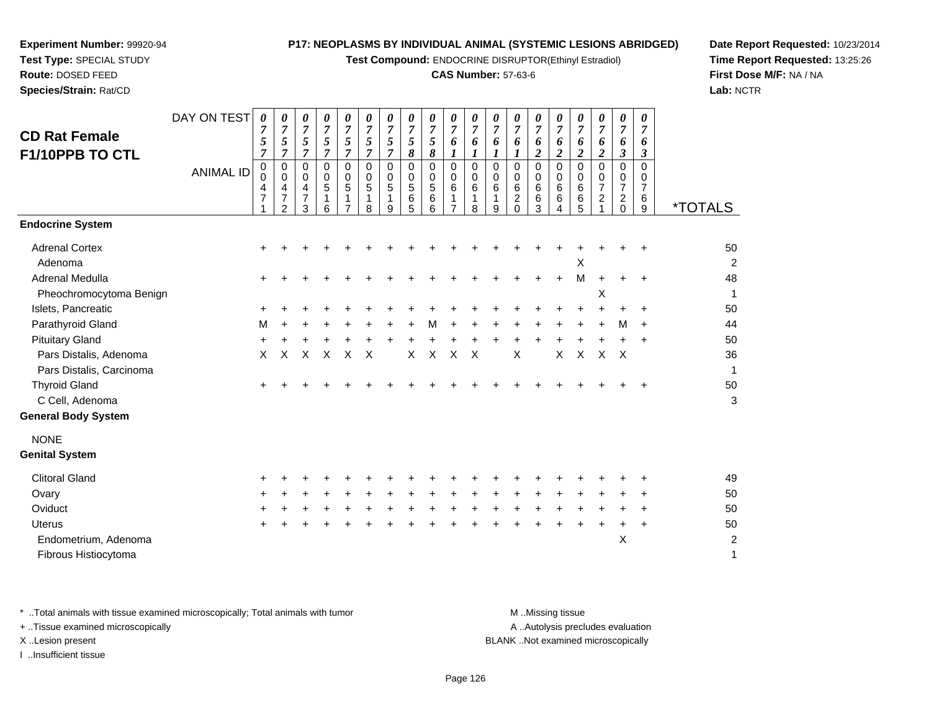**Test Compound:** ENDOCRINE DISRUPTOR(Ethinyl Estradiol)

# **CAS Number:** 57-63-6

**Date Report Requested:** 10/23/2014**Time Report Requested:** 13:25:26**First Dose M/F:** NA / NA**Lab:** NCTR

| <b>CD Rat Female</b><br>F1/10PPB TO CTL                                                                                                                                                                                                                                                                       | DAY ON TEST<br><b>ANIMAL ID</b> | 0<br>7<br>5<br>7<br>0<br>0<br>4<br>$\overline{7}$ | 0<br>$\overline{7}$<br>5<br>$\overline{7}$<br>0<br>$\Omega$<br>4<br>$\overline{7}$<br>2 | 0<br>$\overline{7}$<br>5<br>$\overline{7}$<br>$\mathbf 0$<br>0<br>4<br>$\overline{7}$<br>3 | 0<br>$\overline{7}$<br>5<br>$\overline{7}$<br>0<br>0<br>5<br>1<br>6 | 0<br>$\overline{7}$<br>$\sqrt{5}$<br>$\overline{7}$<br>0<br>0<br>5<br>1 | 0<br>$\overline{7}$<br>5<br>$\overline{7}$<br>$\mathbf 0$<br>0<br>5<br>$\mathbf 1$<br>8 | 0<br>$\overline{7}$<br>5<br>$\overline{7}$<br>$\mathbf 0$<br>$\Omega$<br>5<br>1<br>9 | 0<br>$\overline{7}$<br>$\sqrt{5}$<br>8<br>$\pmb{0}$<br>$\mathbf 0$<br>5<br>6<br>5 | 0<br>$\overline{7}$<br>5<br>8<br>$\mathbf 0$<br>0<br>5<br>6<br>6 | 0<br>$\overline{7}$<br>6<br>$\mathbf 0$<br>0<br>$\,6$<br>$\mathbf{1}$<br>$\overline{7}$ | 0<br>7<br>6<br>1<br>0<br>0<br>6<br>1<br>8 | 0<br>$\overline{7}$<br>6<br>1<br>$\mathbf 0$<br>0<br>6<br>1<br>9 | 0<br>7<br>6<br>1<br>$\mathbf 0$<br>0<br>6<br>$\overline{c}$<br>$\Omega$ | $\pmb{\theta}$<br>$\overline{7}$<br>6<br>$\overline{2}$<br>$\pmb{0}$<br>0<br>$\,6\,$<br>6<br>3 | 0<br>$\overline{7}$<br>6<br>$\overline{2}$<br>$\mathbf 0$<br>$\Omega$<br>6<br>6<br>4 | 0<br>7<br>6<br>$\boldsymbol{2}$<br>$\mathbf 0$<br>$\Omega$<br>6<br>6<br>5 | $\boldsymbol{\theta}$<br>$\overline{7}$<br>6<br>$\boldsymbol{2}$<br>$\pmb{0}$<br>0<br>$\overline{7}$<br>$\overline{c}$ | 0<br>$\overline{7}$<br>6<br>3<br>0<br>0<br>$\overline{7}$<br>$\overline{a}$<br>0 | 0<br>$\overline{7}$<br>6<br>3<br>0<br>0<br>$\overline{7}$<br>6<br>9 | <i><b>*TOTALS</b></i>                                      |
|---------------------------------------------------------------------------------------------------------------------------------------------------------------------------------------------------------------------------------------------------------------------------------------------------------------|---------------------------------|---------------------------------------------------|-----------------------------------------------------------------------------------------|--------------------------------------------------------------------------------------------|---------------------------------------------------------------------|-------------------------------------------------------------------------|-----------------------------------------------------------------------------------------|--------------------------------------------------------------------------------------|-----------------------------------------------------------------------------------|------------------------------------------------------------------|-----------------------------------------------------------------------------------------|-------------------------------------------|------------------------------------------------------------------|-------------------------------------------------------------------------|------------------------------------------------------------------------------------------------|--------------------------------------------------------------------------------------|---------------------------------------------------------------------------|------------------------------------------------------------------------------------------------------------------------|----------------------------------------------------------------------------------|---------------------------------------------------------------------|------------------------------------------------------------|
| <b>Endocrine System</b><br><b>Adrenal Cortex</b><br>Adenoma<br>Adrenal Medulla<br>Pheochromocytoma Benign<br>Islets, Pancreatic<br>Parathyroid Gland<br><b>Pituitary Gland</b><br>Pars Distalis, Adenoma<br>Pars Distalis, Carcinoma<br><b>Thyroid Gland</b><br>C Cell, Adenoma<br><b>General Body System</b> |                                 | М<br>X                                            | X                                                                                       | X                                                                                          | $\times$                                                            | X                                                                       | $\boldsymbol{\mathsf{X}}$                                                               |                                                                                      | X                                                                                 | м<br>$\mathsf{X}$                                                | X                                                                                       | $\times$                                  |                                                                  | X                                                                       |                                                                                                | $\pmb{\times}$                                                                       | X<br>M<br>$\mathsf{X}$                                                    | Х<br>$\pmb{\times}$                                                                                                    | м<br>$\times$                                                                    | ÷<br>$\ddot{}$<br>÷<br>$\ddot{}$<br>÷                               | 50<br>2<br>48<br>1<br>50<br>44<br>50<br>36<br>1<br>50<br>3 |
| <b>NONE</b><br><b>Genital System</b><br><b>Clitoral Gland</b><br>Ovary<br>Oviduct<br><b>Uterus</b><br>Endometrium, Adenoma<br>Fibrous Histiocytoma                                                                                                                                                            |                                 |                                                   |                                                                                         |                                                                                            |                                                                     |                                                                         |                                                                                         |                                                                                      |                                                                                   |                                                                  |                                                                                         |                                           |                                                                  |                                                                         |                                                                                                |                                                                                      |                                                                           |                                                                                                                        | X                                                                                |                                                                     | 49<br>50<br>50<br>50<br>$\overline{c}$<br>1                |

**Experiment Number:** 99920-94**Test Type:** SPECIAL STUDY**Route:** DOSED FEED**Species/Strain:** Rat/CD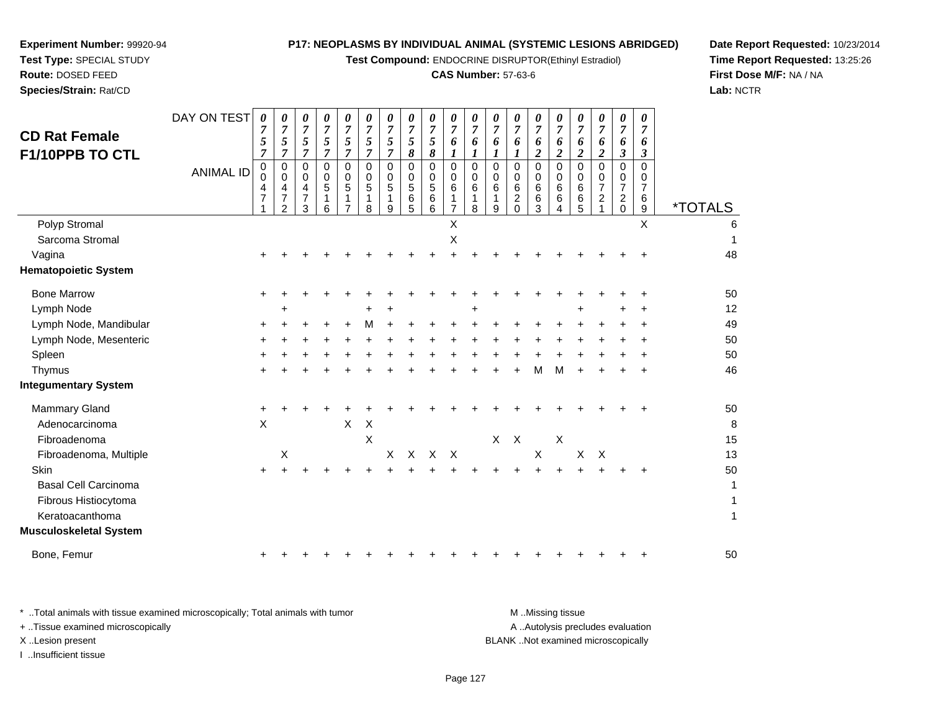**Test Compound:** ENDOCRINE DISRUPTOR(Ethinyl Estradiol)

# **CAS Number:** 57-63-6

**Date Report Requested:** 10/23/2014 **Time Report Requested:** 13:25:26**First Dose M/F:** NA / NA**Lab:** NCTR

| <b>CD Rat Female</b><br>F1/10PPB TO CTL                                                                  | DAY ON TEST      | 0<br>7<br>5<br>7 | 0<br>$\overline{7}$<br>5<br>$\overline{7}$     | 0<br>$\overline{7}$<br>5<br>$\overline{7}$ | 0<br>$\overline{7}$<br>5<br>$\overline{7}$ | 0<br>$\overline{7}$<br>5<br>$\overline{7}$ | 0<br>$\overline{7}$<br>5<br>$\overline{7}$ | 0<br>$\overline{7}$<br>5<br>$\overline{7}$ | 0<br>$\overline{7}$<br>5<br>8   | 0<br>$\overline{7}$<br>5<br>8            | 0<br>$\overline{7}$<br>6<br>1           | 0<br>$\overline{7}$<br>6<br>1 | 0<br>$\overline{7}$<br>6<br>$\boldsymbol{l}$ | 0<br>$\overline{7}$<br>6<br>1                    | 0<br>$\overline{7}$<br>6<br>$\overline{c}$ | 0<br>$\overline{7}$<br>6<br>$\boldsymbol{2}$       | 0<br>$\overline{7}$<br>6<br>$\boldsymbol{2}$ | 0<br>$\overline{7}$<br>6<br>$\overline{\mathbf{c}}$    | 0<br>$\overline{7}$<br>6<br>3                          | 0<br>7<br>6<br>3                                |                       |
|----------------------------------------------------------------------------------------------------------|------------------|------------------|------------------------------------------------|--------------------------------------------|--------------------------------------------|--------------------------------------------|--------------------------------------------|--------------------------------------------|---------------------------------|------------------------------------------|-----------------------------------------|-------------------------------|----------------------------------------------|--------------------------------------------------|--------------------------------------------|----------------------------------------------------|----------------------------------------------|--------------------------------------------------------|--------------------------------------------------------|-------------------------------------------------|-----------------------|
|                                                                                                          | <b>ANIMAL ID</b> | 0<br>0<br>4<br>7 | 0<br>0<br>4<br>$\overline{7}$<br>$\mathcal{P}$ | 0<br>0<br>4<br>7<br>3                      | 0<br>0<br>5<br>6                           | 0<br>0<br>$\overline{5}$                   | $\Omega$<br>0<br>5<br>8                    | $\Omega$<br>0<br>5<br>1<br>9               | $\mathbf 0$<br>0<br>5<br>6<br>5 | $\mathbf 0$<br>0<br>$\sqrt{5}$<br>6<br>6 | $\mathbf 0$<br>0<br>6<br>$\overline{7}$ | 0<br>0<br>6<br>1<br>8         | $\mathbf 0$<br>0<br>6<br>9                   | $\mathbf 0$<br>$\mathbf 0$<br>6<br>$\frac{2}{0}$ | $\mathbf 0$<br>$\mathbf 0$<br>6<br>6<br>3  | $\Omega$<br>0<br>6<br>6<br>$\overline{\mathbf{4}}$ | $\Omega$<br>0<br>6<br>6<br>5                 | $\mathbf 0$<br>0<br>$\overline{7}$<br>$\boldsymbol{2}$ | 0<br>0<br>$\overline{7}$<br>$\overline{a}$<br>$\Omega$ | 0<br>0<br>$\overline{7}$<br>6<br>$\overline{9}$ | <i><b>*TOTALS</b></i> |
| Polyp Stromal<br>Sarcoma Stromal                                                                         |                  |                  |                                                |                                            |                                            |                                            |                                            |                                            |                                 |                                          | X<br>X                                  |                               |                                              |                                                  |                                            |                                                    |                                              |                                                        |                                                        | $\mathsf{X}$                                    | 6                     |
| Vagina<br><b>Hematopoietic System</b>                                                                    |                  |                  |                                                |                                            |                                            |                                            |                                            |                                            |                                 |                                          |                                         |                               |                                              |                                                  |                                            |                                                    |                                              |                                                        |                                                        |                                                 | 48                    |
| <b>Bone Marrow</b>                                                                                       |                  | +                |                                                |                                            |                                            |                                            |                                            |                                            |                                 |                                          |                                         |                               |                                              |                                                  |                                            |                                                    |                                              |                                                        |                                                        | +                                               | 50                    |
| Lymph Node                                                                                               |                  |                  | ٠                                              |                                            |                                            |                                            |                                            |                                            |                                 |                                          |                                         | $\ddot{}$                     |                                              |                                                  |                                            |                                                    | $\div$                                       |                                                        |                                                        | +                                               | 12                    |
| Lymph Node, Mandibular                                                                                   |                  | +                |                                                |                                            |                                            |                                            | М                                          |                                            |                                 |                                          |                                         |                               |                                              |                                                  |                                            |                                                    |                                              |                                                        |                                                        |                                                 | 49                    |
| Lymph Node, Mesenteric                                                                                   |                  |                  |                                                |                                            |                                            |                                            |                                            |                                            |                                 |                                          |                                         |                               |                                              |                                                  |                                            |                                                    |                                              |                                                        |                                                        |                                                 | 50                    |
| Spleen                                                                                                   |                  |                  |                                                |                                            |                                            |                                            |                                            |                                            |                                 |                                          |                                         |                               |                                              |                                                  |                                            |                                                    |                                              |                                                        |                                                        | ٠                                               | 50                    |
| Thymus                                                                                                   |                  |                  |                                                |                                            |                                            |                                            |                                            |                                            |                                 |                                          |                                         |                               |                                              |                                                  | M                                          | м                                                  |                                              |                                                        |                                                        | +                                               | 46                    |
| <b>Integumentary System</b>                                                                              |                  |                  |                                                |                                            |                                            |                                            |                                            |                                            |                                 |                                          |                                         |                               |                                              |                                                  |                                            |                                                    |                                              |                                                        |                                                        |                                                 |                       |
| <b>Mammary Gland</b><br>Adenocarcinoma<br>Fibroadenoma                                                   |                  | $\ddot{}$<br>X   |                                                |                                            |                                            | $\pmb{\times}$                             | X<br>$\boldsymbol{\mathsf{X}}$             |                                            |                                 |                                          |                                         |                               | X                                            | $\mathsf{X}$                                     |                                            | $\mathsf X$                                        |                                              |                                                        |                                                        |                                                 | 50<br>8<br>15         |
| Fibroadenoma, Multiple                                                                                   |                  |                  | X                                              |                                            |                                            |                                            |                                            | $\times$                                   |                                 | X X X                                    |                                         |                               |                                              |                                                  | $\mathsf X$                                |                                                    | $\mathsf{X}$                                 | $\times$                                               |                                                        |                                                 | 13                    |
| Skin<br><b>Basal Cell Carcinoma</b><br>Fibrous Histiocytoma<br>Keratoacanthoma<br>Musculoskeletal System |                  | $\ddot{}$        |                                                |                                            |                                            |                                            |                                            |                                            |                                 |                                          |                                         |                               |                                              |                                                  |                                            |                                                    |                                              |                                                        |                                                        | +                                               | 50<br>1<br>1<br>1     |
| Bone, Femur                                                                                              |                  | ÷                |                                                |                                            |                                            |                                            |                                            |                                            |                                 |                                          |                                         |                               |                                              |                                                  |                                            |                                                    |                                              |                                                        |                                                        | ٠                                               | 50                    |
|                                                                                                          |                  |                  |                                                |                                            |                                            |                                            |                                            |                                            |                                 |                                          |                                         |                               |                                              |                                                  |                                            |                                                    |                                              |                                                        |                                                        |                                                 |                       |

| Total animals with tissue examined microscopically; Total animals with tumor | M Missing tissue                   |
|------------------------------------------------------------------------------|------------------------------------|
| + Tissue examined microscopically                                            | A Autolysis precludes evaluation   |
| X Lesion present                                                             | BLANK Not examined microscopically |
| Insufficient tissue                                                          |                                    |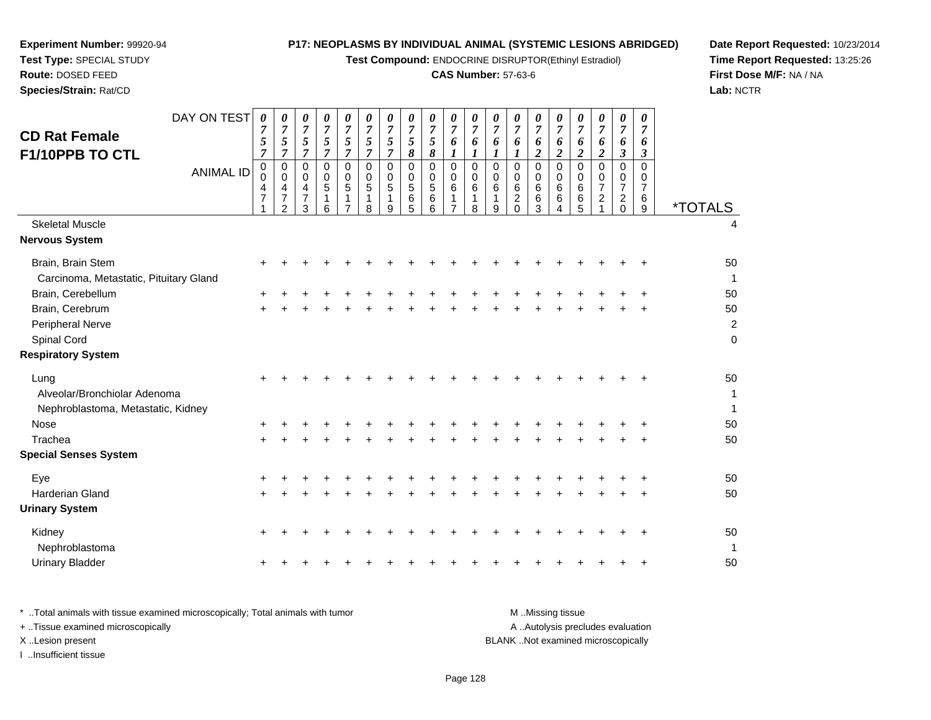**Test Compound:** ENDOCRINE DISRUPTOR(Ethinyl Estradiol)

# **CAS Number:** 57-63-6

**Date Report Requested:** 10/23/2014**Time Report Requested:** 13:25:26**First Dose M/F:** NA / NA**Lab:** NCTR

| <b>CD Rat Female</b><br>F1/10PPB TO CTL<br><b>Skeletal Muscle</b>                         | DAY ON TEST<br><b>ANIMAL ID</b> | $\boldsymbol{\theta}$<br>7<br>5<br>$\overline{7}$<br>0<br>0<br>4<br>$\overline{7}$ | 0<br>$\boldsymbol{7}$<br>$\sqrt{5}$<br>$\overline{7}$<br>$\mathbf 0$<br>$\mathbf 0$<br>4<br>$\overline{7}$<br>$\overline{2}$ | 0<br>$\overline{7}$<br>$\sqrt{5}$<br>$\boldsymbol{7}$<br>$\mathbf 0$<br>$\mathbf 0$<br>4<br>$\overline{7}$<br>3 | 0<br>$\overline{7}$<br>5<br>$\overline{7}$<br>$\mathbf 0$<br>$\mathbf 0$<br>$\sqrt{5}$<br>1<br>6 | 0<br>$\overline{7}$<br>5<br>$\overline{7}$<br>0<br>$\mathbf 0$<br>5<br>$\mathbf{1}$<br>$\overline{7}$ | 0<br>$\overline{7}$<br>5<br>$\overline{7}$<br>$\Omega$<br>$\mathbf 0$<br>5<br>1<br>8 | 0<br>$\boldsymbol{7}$<br>5<br>$\boldsymbol{7}$<br>0<br>$\mathbf 0$<br>5<br>1<br>9 | 0<br>$\overline{7}$<br>$\mathfrak{s}$<br>$\pmb{8}$<br>0<br>$\mathbf 0$<br>$\sqrt{5}$<br>$\,6$<br>5 | 0<br>$\overline{7}$<br>5<br>$\pmb{8}$<br>$\mathbf 0$<br>$\mathbf 0$<br>$\sqrt{5}$<br>$\,6$<br>6 | 0<br>$\overline{7}$<br>6<br>$\boldsymbol{l}$<br>$\pmb{0}$<br>$\mathbf 0$<br>6<br>1<br>$\overline{7}$ | 0<br>$\overline{7}$<br>6<br>$\boldsymbol{l}$<br>$\mathbf 0$<br>0<br>$\,6$<br>1<br>8 | 0<br>$\overline{7}$<br>6<br>$\boldsymbol{l}$<br>$\mathbf 0$<br>0<br>6<br>1<br>9 | 0<br>$\overline{7}$<br>6<br>1<br>$\mathbf 0$<br>$\mathbf 0$<br>6<br>$\overline{c}$<br>$\mathbf 0$ | 0<br>$\overline{7}$<br>6<br>$\boldsymbol{2}$<br>$\mathbf 0$<br>$\mathbf 0$<br>6<br>$\,6$<br>3 | 0<br>$\overline{7}$<br>6<br>$\overline{c}$<br>$\mathbf 0$<br>$\mathbf 0$<br>$\,6$<br>6<br>4 | 0<br>$\overline{7}$<br>6<br>$\overline{c}$<br>$\Omega$<br>$\Omega$<br>6<br>$\,6$<br>5 | 0<br>$\overline{7}$<br>6<br>$\boldsymbol{2}$<br>$\mathbf 0$<br>$\Omega$<br>$\overline{7}$<br>$\overline{c}$ | 0<br>$\overline{7}$<br>6<br>$\boldsymbol{\beta}$<br>$\mathbf 0$<br>0<br>$\overline{7}$<br>$\overline{\mathbf{c}}$<br>0 | 0<br>$\overline{7}$<br>6<br>$\mathbf{3}$<br>$\Omega$<br>$\Omega$<br>7<br>$6\phantom{1}6$<br>9 | <i><b>*TOTALS</b></i><br>4               |
|-------------------------------------------------------------------------------------------|---------------------------------|------------------------------------------------------------------------------------|------------------------------------------------------------------------------------------------------------------------------|-----------------------------------------------------------------------------------------------------------------|--------------------------------------------------------------------------------------------------|-------------------------------------------------------------------------------------------------------|--------------------------------------------------------------------------------------|-----------------------------------------------------------------------------------|----------------------------------------------------------------------------------------------------|-------------------------------------------------------------------------------------------------|------------------------------------------------------------------------------------------------------|-------------------------------------------------------------------------------------|---------------------------------------------------------------------------------|---------------------------------------------------------------------------------------------------|-----------------------------------------------------------------------------------------------|---------------------------------------------------------------------------------------------|---------------------------------------------------------------------------------------|-------------------------------------------------------------------------------------------------------------|------------------------------------------------------------------------------------------------------------------------|-----------------------------------------------------------------------------------------------|------------------------------------------|
| Nervous System                                                                            |                                 |                                                                                    |                                                                                                                              |                                                                                                                 |                                                                                                  |                                                                                                       |                                                                                      |                                                                                   |                                                                                                    |                                                                                                 |                                                                                                      |                                                                                     |                                                                                 |                                                                                                   |                                                                                               |                                                                                             |                                                                                       |                                                                                                             |                                                                                                                        |                                                                                               |                                          |
| Brain, Brain Stem<br>Carcinoma, Metastatic, Pituitary Gland                               |                                 | $\pm$                                                                              |                                                                                                                              |                                                                                                                 |                                                                                                  |                                                                                                       |                                                                                      |                                                                                   |                                                                                                    |                                                                                                 |                                                                                                      |                                                                                     |                                                                                 |                                                                                                   |                                                                                               |                                                                                             |                                                                                       |                                                                                                             |                                                                                                                        |                                                                                               | 50<br>$\mathbf{1}$                       |
| Brain, Cerebellum<br>Brain, Cerebrum<br>Peripheral Nerve<br>Spinal Cord                   |                                 | +                                                                                  |                                                                                                                              |                                                                                                                 |                                                                                                  |                                                                                                       |                                                                                      |                                                                                   |                                                                                                    |                                                                                                 |                                                                                                      |                                                                                     |                                                                                 |                                                                                                   |                                                                                               |                                                                                             |                                                                                       |                                                                                                             |                                                                                                                        |                                                                                               | 50<br>50<br>$\overline{c}$<br>$\pmb{0}$  |
| <b>Respiratory System</b>                                                                 |                                 |                                                                                    |                                                                                                                              |                                                                                                                 |                                                                                                  |                                                                                                       |                                                                                      |                                                                                   |                                                                                                    |                                                                                                 |                                                                                                      |                                                                                     |                                                                                 |                                                                                                   |                                                                                               |                                                                                             |                                                                                       |                                                                                                             |                                                                                                                        |                                                                                               |                                          |
| Lung<br>Alveolar/Bronchiolar Adenoma<br>Nephroblastoma, Metastatic, Kidney<br><b>Nose</b> |                                 | ٠                                                                                  |                                                                                                                              |                                                                                                                 |                                                                                                  |                                                                                                       |                                                                                      |                                                                                   |                                                                                                    |                                                                                                 |                                                                                                      |                                                                                     |                                                                                 |                                                                                                   |                                                                                               |                                                                                             |                                                                                       |                                                                                                             |                                                                                                                        |                                                                                               | 50<br>$\mathbf{1}$<br>$\mathbf{1}$<br>50 |
| Trachea                                                                                   |                                 |                                                                                    |                                                                                                                              |                                                                                                                 |                                                                                                  |                                                                                                       |                                                                                      |                                                                                   |                                                                                                    |                                                                                                 |                                                                                                      |                                                                                     |                                                                                 |                                                                                                   |                                                                                               |                                                                                             |                                                                                       |                                                                                                             |                                                                                                                        |                                                                                               | 50                                       |
| <b>Special Senses System</b>                                                              |                                 |                                                                                    |                                                                                                                              |                                                                                                                 |                                                                                                  |                                                                                                       |                                                                                      |                                                                                   |                                                                                                    |                                                                                                 |                                                                                                      |                                                                                     |                                                                                 |                                                                                                   |                                                                                               |                                                                                             |                                                                                       |                                                                                                             |                                                                                                                        |                                                                                               |                                          |
| Eye<br>Harderian Gland<br><b>Urinary System</b>                                           |                                 | +<br>+                                                                             |                                                                                                                              |                                                                                                                 |                                                                                                  |                                                                                                       |                                                                                      |                                                                                   |                                                                                                    |                                                                                                 |                                                                                                      |                                                                                     |                                                                                 |                                                                                                   |                                                                                               |                                                                                             |                                                                                       |                                                                                                             |                                                                                                                        |                                                                                               | 50<br>50                                 |
| Kidney<br>Nephroblastoma<br><b>Urinary Bladder</b>                                        |                                 | $\pm$<br>٠                                                                         |                                                                                                                              |                                                                                                                 |                                                                                                  |                                                                                                       |                                                                                      |                                                                                   |                                                                                                    |                                                                                                 |                                                                                                      |                                                                                     |                                                                                 |                                                                                                   |                                                                                               |                                                                                             |                                                                                       |                                                                                                             |                                                                                                                        | +                                                                                             | 50<br>-1<br>50                           |
|                                                                                           |                                 |                                                                                    |                                                                                                                              |                                                                                                                 |                                                                                                  |                                                                                                       |                                                                                      |                                                                                   |                                                                                                    |                                                                                                 |                                                                                                      |                                                                                     |                                                                                 |                                                                                                   |                                                                                               |                                                                                             |                                                                                       |                                                                                                             |                                                                                                                        |                                                                                               |                                          |

**Experiment Number:** 99920-94**Test Type:** SPECIAL STUDY**Route:** DOSED FEED**Species/Strain:** Rat/CD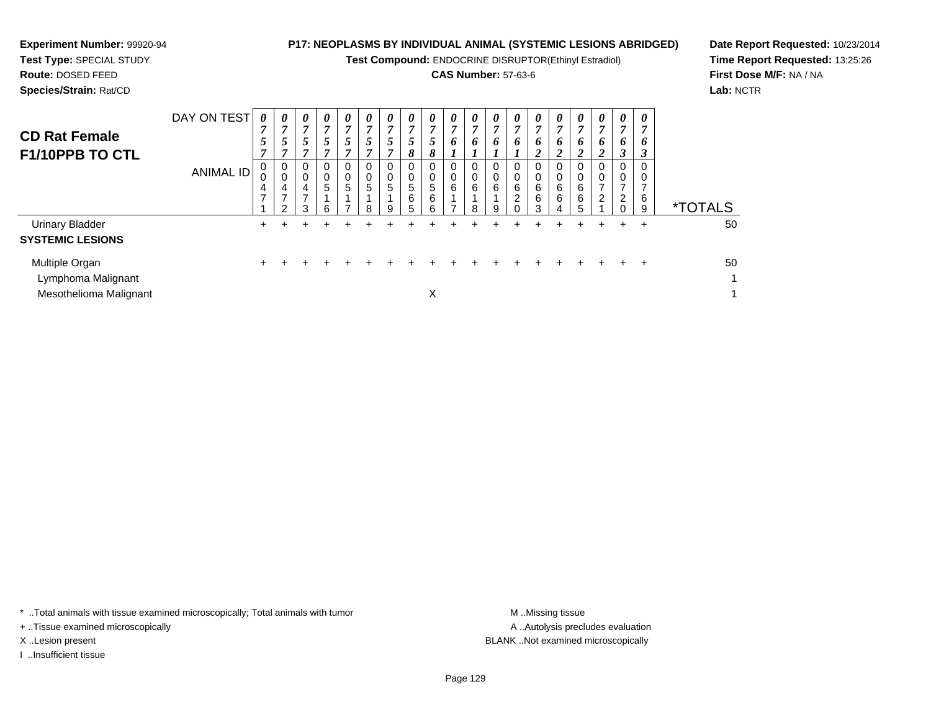**Test Compound:** ENDOCRINE DISRUPTOR(Ethinyl Estradiol)

# **CAS Number:** 57-63-6

**Date Report Requested:** 10/23/2014**Time Report Requested:** 13:25:26**First Dose M/F:** NA / NA**Lab:** NCTR

**Experiment Number:** 99920-94

| <b>CD Rat Female</b><br>F1/10PPB TO CTL                        | DAY ON TEST<br><b>ANIMAL ID</b> | 0<br>7<br>5<br>7<br>4<br>$\overline{ }$ | $\boldsymbol{\theta}$<br>7<br>$\mathfrak{p}$<br>7<br>0<br>0<br>4<br>$\overline{ }$<br>$\mathcal{P}$ | 0<br>7<br>5<br>7<br>0<br>0<br>4<br>⇁<br>3 | $\boldsymbol{\theta}$<br>7<br>5<br>7<br>0<br>$\mathbf 0$<br>$\overline{5}$<br>6 | 0<br>7<br>5<br>7<br>0<br>0<br>5 | $\boldsymbol{\theta}$<br>7<br>5<br>7<br>0<br>$\pmb{0}$<br>5<br>8 | $\boldsymbol{\theta}$<br>5 <sup>5</sup><br>0<br>$5\overline{)}$<br>9 | $\boldsymbol{\theta}$<br>$\overline{7}$<br>5<br>8<br>0<br>$\pmb{0}$<br>5<br>6<br>5 | 0<br>$\overline{7}$<br>5<br>8<br>0<br>$\,0\,$<br>$\overline{5}$<br>6<br>6 | 0<br>$\mathbf{z}$<br>6<br>0<br>0<br>6 | 0<br>7<br>6<br>0<br>6<br>8 | 0<br>6<br>6<br>9 | $\boldsymbol{\theta}$<br>7<br>6<br>0<br>0<br>6<br>$\overline{a}$ | 0<br>7<br>6<br>2<br>0<br>0<br>6<br>6<br>3 | 0<br>7<br>6<br>2<br>0<br>6<br>6<br>4 | 0<br>7<br>0<br>$\overline{2}$<br>0<br>6<br>6<br>5 | 0<br>7<br>6<br>$\overline{2}$<br>0<br>$\overline{\phantom{0}}$<br>$\overline{c}$ | $\boldsymbol{\theta}$<br>7<br>6<br>∍<br>J<br>0<br>2 | $\boldsymbol{\theta}$<br>$\overline{ }$<br>6<br>3<br>0<br>0<br>⇁<br>6<br>9 | <i><b>*TOTALS</b></i> |
|----------------------------------------------------------------|---------------------------------|-----------------------------------------|-----------------------------------------------------------------------------------------------------|-------------------------------------------|---------------------------------------------------------------------------------|---------------------------------|------------------------------------------------------------------|----------------------------------------------------------------------|------------------------------------------------------------------------------------|---------------------------------------------------------------------------|---------------------------------------|----------------------------|------------------|------------------------------------------------------------------|-------------------------------------------|--------------------------------------|---------------------------------------------------|----------------------------------------------------------------------------------|-----------------------------------------------------|----------------------------------------------------------------------------|-----------------------|
| <b>Urinary Bladder</b><br><b>SYSTEMIC LESIONS</b>              |                                 | $\pm$                                   | ٠                                                                                                   |                                           |                                                                                 |                                 |                                                                  |                                                                      |                                                                                    |                                                                           |                                       |                            |                  |                                                                  | ÷                                         |                                      | +                                                 | ÷                                                                                | $\pm$                                               | ÷                                                                          | 50                    |
| Multiple Organ<br>Lymphoma Malignant<br>Mesothelioma Malignant |                                 |                                         |                                                                                                     |                                           |                                                                                 |                                 |                                                                  |                                                                      |                                                                                    | X                                                                         |                                       |                            |                  |                                                                  |                                           | $+$                                  | $\pm$                                             | $\pm$                                                                            | $\pm$                                               | ÷                                                                          | 50                    |

\* ..Total animals with tissue examined microscopically; Total animals with tumor **M** . Missing tissue M ..Missing tissue

+ ..Tissue examined microscopically

I ..Insufficient tissue

A ..Autolysis precludes evaluation X ..Lesion present BLANK ..Not examined microscopically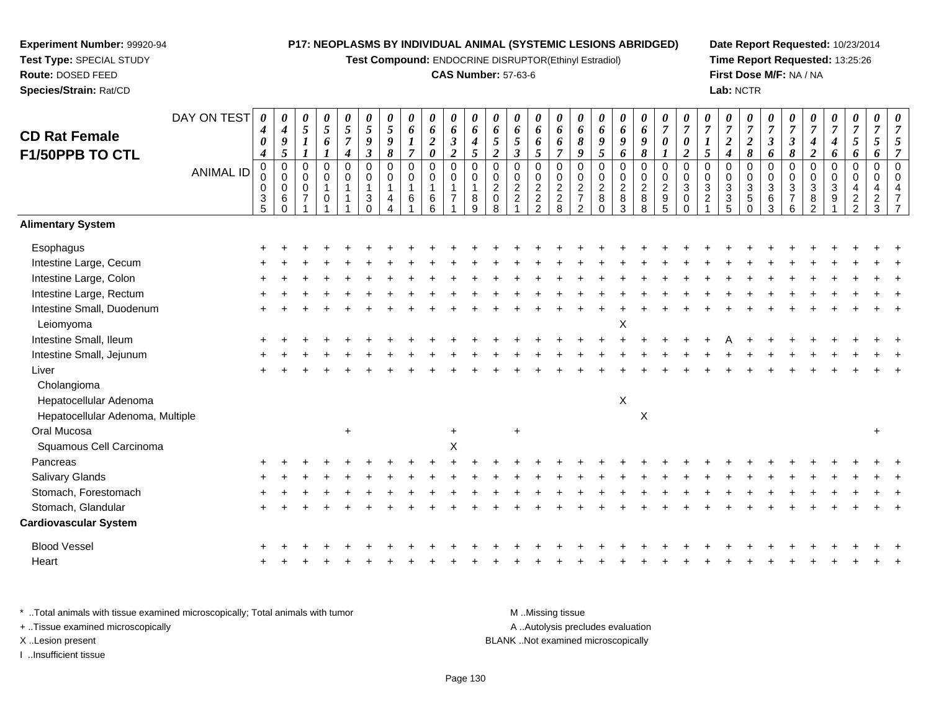**Test Compound:** ENDOCRINE DISRUPTOR(Ethinyl Estradiol)

## **CAS Number:** 57-63-6

**Date Report Requested:** 10/23/2014**Time Report Requested:** 13:25:26**First Dose M/F:** NA / NA**Lab:** NCTR

|                                  | DAY ON TEST      | 0<br>$\boldsymbol{4}$ | 0<br>$\boldsymbol{4}$      | $\boldsymbol{\theta}$<br>$\sqrt{5}$ | $\pmb{\theta}$<br>$\sqrt{5}$ | 0<br>5           | 0<br>$\mathfrak{s}$  | 0<br>5                | 0<br>6           | $\pmb{\theta}$<br>$\pmb{6}$ | $\boldsymbol{\theta}$<br>6    | $\boldsymbol{\theta}$<br>6 | 0<br>6                     | $\pmb{\theta}$<br>6                          | $\boldsymbol{\theta}$<br>6 | 0<br>6                     | $\boldsymbol{\theta}$<br>6      | $\pmb{\theta}$<br>6 | 0<br>6              | $\boldsymbol{\theta}$<br>$\pmb{6}$ | 0<br>$\overline{7}$                   | 0<br>$\overline{7}$     | $\pmb{\theta}$<br>$\overline{7}$ | 0<br>$\overline{7}$       | 0<br>$\overline{7}$        | 0<br>$\overline{7}$       | 0<br>$\overline{7}$      | $\pmb{\theta}$<br>$\overline{7}$ | 0<br>$\boldsymbol{7}$      | 0<br>$\overline{7}$              | 0<br>$\overline{7}$ | 0<br>7                  |
|----------------------------------|------------------|-----------------------|----------------------------|-------------------------------------|------------------------------|------------------|----------------------|-----------------------|------------------|-----------------------------|-------------------------------|----------------------------|----------------------------|----------------------------------------------|----------------------------|----------------------------|---------------------------------|---------------------|---------------------|------------------------------------|---------------------------------------|-------------------------|----------------------------------|---------------------------|----------------------------|---------------------------|--------------------------|----------------------------------|----------------------------|----------------------------------|---------------------|-------------------------|
| <b>CD Rat Female</b>             |                  | $\boldsymbol{\theta}$ | $\boldsymbol{9}$           | $\boldsymbol{l}$                    | 6                            | $\overline{7}$   | $\pmb{9}$            | 9                     | $\boldsymbol{l}$ | $\boldsymbol{2}$            | $\mathfrak{z}$                | $\boldsymbol{4}$           | 5                          | $\sqrt{5}$                                   | 6                          | 6                          | 8                               | 9                   | 9                   | $\boldsymbol{9}$                   | $\boldsymbol{\theta}$                 | $\boldsymbol{\theta}$   | $\boldsymbol{l}$                 | $\boldsymbol{2}$          | $\boldsymbol{2}$           | $\boldsymbol{\beta}$      | $\mathfrak{Z}$           | 4                                | 4                          | 5                                | 5                   | 5                       |
| F1/50PPB TO CTL                  |                  | $\boldsymbol{4}$      | 5                          | $\boldsymbol{l}$                    | 1                            | $\boldsymbol{4}$ | $\boldsymbol{\beta}$ | $\boldsymbol{\delta}$ | $\overline{7}$   | $\boldsymbol{\theta}$       | $\overline{2}$                | 5                          | $\overline{\mathbf{c}}$    | $\boldsymbol{\beta}$                         | $\overline{5}$             | $\overline{7}$             | 9                               | $5\overline{)}$     | 6                   | 8                                  |                                       | $\boldsymbol{2}$        | 5                                | $\boldsymbol{4}$          | 8                          | 6                         | $\pmb{8}$                | $\overline{c}$                   | 6                          | 6                                | 6                   | 7                       |
|                                  | <b>ANIMAL ID</b> | $\pmb{0}$<br>0        | $\mathbf 0$<br>$\mathbf 0$ | $\pmb{0}$<br>$\pmb{0}$              | $\mathbf 0$<br>$\pmb{0}$     | $\mathbf 0$<br>0 | $\mathbf 0$<br>0     | $\mathbf 0$<br>0      | $\mathsf 0$<br>0 | $\mathbf 0$<br>$\mathbf 0$  | $\overline{0}$<br>$\mathbf 0$ | $\mathbf 0$<br>$\Omega$    | $\mathbf 0$<br>$\mathbf 0$ | $\pmb{0}$                                    | $\pmb{0}$<br>$\pmb{0}$     | $\mathbf 0$<br>$\mathbf 0$ | $\overline{0}$<br>$\mathbf 0$   | $\mathbf 0$<br>0    | 0                   | $\mathbf 0$<br>$\pmb{0}$           | $\mathbf 0$<br>$\mathbf 0$            | $\mathbf 0$<br>$\Omega$ | $\mathbf 0$<br>$\mathbf 0$       | $\mathbf 0$<br>$\pmb{0}$  | $\mathbf 0$<br>$\mathbf 0$ | $\mathbf 0$<br>0          | $\mathbf 0$<br>$\pmb{0}$ | 0<br>0                           | $\mathbf 0$<br>$\mathbf 0$ | $\mathbf 0$<br>$\Omega$          | $\mathbf 0$<br>0    | $\mathbf 0$<br>$\Omega$ |
|                                  |                  | $\pmb{0}$             | 0                          | $\mathsf{O}\xspace$                 | $\mathbf{1}$                 | 1                | 1                    | $\mathbf{1}$          | $\mathbf{1}$     | $\mathbf{1}$                | $\mathbf{1}$                  | 1                          | $\overline{a}$             | $\begin{smallmatrix} 0\\2 \end{smallmatrix}$ | $\sqrt{2}$                 | $\sqrt{2}$                 | $\overline{c}$                  | $\overline{c}$      | $_2^0$              | $\overline{c}$                     | $\sqrt{2}$                            | $\sqrt{3}$              | $\ensuremath{\mathsf{3}}$        | $\ensuremath{\mathsf{3}}$ | $\mathbf{3}$               | $\ensuremath{\mathsf{3}}$ | $\sqrt{3}$               | $\mathbf{3}$                     | $\mathbf{3}$               | $\overline{4}$                   | $\overline{4}$      |                         |
|                                  |                  | $\frac{3}{5}$         | 6<br>$\Omega$              | $\overline{7}$                      | $\mathbf 0$                  |                  | 3                    | 4                     | 6                | $\,6\,$<br>6                | $\overline{7}$                | $\bf 8$<br>9               | 0<br>8                     | $\boldsymbol{2}$                             | $\frac{2}{2}$              | $\frac{2}{8}$              | $\overline{7}$<br>$\mathcal{P}$ | 8<br>$\Omega$       | 8<br>$\overline{3}$ | $_{8}^8$                           | $\begin{array}{c} 9 \\ 5 \end{array}$ | $\mathbf 0$             | $\overline{2}$                   | $\frac{3}{5}$             | 5<br>$\Omega$              | $^6_3$                    | $\overline{7}$<br>6      | 8<br>2                           | 9                          | $\overline{c}$<br>$\mathfrak{p}$ | $\frac{2}{3}$       |                         |
| <b>Alimentary System</b>         |                  |                       |                            |                                     |                              |                  |                      |                       |                  |                             |                               |                            |                            |                                              |                            |                            |                                 |                     |                     |                                    |                                       |                         |                                  |                           |                            |                           |                          |                                  |                            |                                  |                     |                         |
| Esophagus                        |                  |                       |                            |                                     |                              |                  |                      |                       |                  |                             |                               |                            |                            |                                              |                            |                            |                                 |                     |                     |                                    |                                       |                         |                                  |                           |                            |                           |                          |                                  |                            |                                  |                     |                         |
| Intestine Large, Cecum           |                  |                       |                            |                                     |                              |                  |                      |                       |                  |                             |                               |                            |                            |                                              |                            |                            |                                 |                     |                     |                                    |                                       |                         |                                  |                           |                            |                           |                          |                                  |                            |                                  |                     |                         |
| Intestine Large, Colon           |                  |                       |                            |                                     |                              |                  |                      |                       |                  |                             |                               |                            |                            |                                              |                            |                            |                                 |                     |                     |                                    |                                       |                         |                                  |                           |                            |                           |                          |                                  |                            |                                  |                     |                         |
| Intestine Large, Rectum          |                  |                       |                            |                                     |                              |                  |                      |                       |                  |                             |                               |                            |                            |                                              |                            |                            |                                 |                     |                     |                                    |                                       |                         |                                  |                           |                            |                           |                          |                                  |                            |                                  |                     |                         |
| Intestine Small, Duodenum        |                  |                       |                            |                                     |                              |                  |                      |                       |                  |                             |                               |                            |                            |                                              |                            |                            |                                 |                     |                     |                                    |                                       |                         |                                  |                           |                            |                           |                          |                                  |                            |                                  |                     |                         |
| Leiomyoma                        |                  |                       |                            |                                     |                              |                  |                      |                       |                  |                             |                               |                            |                            |                                              |                            |                            |                                 |                     | X                   |                                    |                                       |                         |                                  |                           |                            |                           |                          |                                  |                            |                                  |                     |                         |
| Intestine Small, Ileum           |                  |                       |                            |                                     |                              |                  |                      |                       |                  |                             |                               |                            |                            |                                              |                            |                            |                                 |                     |                     |                                    |                                       |                         |                                  |                           |                            |                           |                          |                                  |                            |                                  |                     |                         |
| Intestine Small, Jejunum         |                  |                       |                            |                                     |                              |                  |                      |                       |                  |                             |                               |                            |                            |                                              |                            |                            |                                 |                     |                     |                                    |                                       |                         |                                  |                           |                            |                           |                          |                                  |                            |                                  |                     |                         |
| Liver                            |                  |                       |                            |                                     |                              |                  |                      |                       |                  |                             |                               |                            |                            |                                              |                            |                            |                                 |                     |                     |                                    |                                       |                         |                                  |                           |                            |                           |                          |                                  |                            |                                  |                     |                         |
| Cholangioma                      |                  |                       |                            |                                     |                              |                  |                      |                       |                  |                             |                               |                            |                            |                                              |                            |                            |                                 |                     |                     |                                    |                                       |                         |                                  |                           |                            |                           |                          |                                  |                            |                                  |                     |                         |
| Hepatocellular Adenoma           |                  |                       |                            |                                     |                              |                  |                      |                       |                  |                             |                               |                            |                            |                                              |                            |                            |                                 |                     | $\mathsf X$         |                                    |                                       |                         |                                  |                           |                            |                           |                          |                                  |                            |                                  |                     |                         |
| Hepatocellular Adenoma, Multiple |                  |                       |                            |                                     |                              |                  |                      |                       |                  |                             |                               |                            |                            |                                              |                            |                            |                                 |                     |                     | $\boldsymbol{\mathsf{X}}$          |                                       |                         |                                  |                           |                            |                           |                          |                                  |                            |                                  |                     |                         |
| Oral Mucosa                      |                  |                       |                            |                                     |                              | $\ddot{}$        |                      |                       |                  |                             | $\ddot{}$                     |                            |                            | $\ddot{}$                                    |                            |                            |                                 |                     |                     |                                    |                                       |                         |                                  |                           |                            |                           |                          |                                  |                            |                                  | $\ddot{}$           |                         |
| Squamous Cell Carcinoma          |                  |                       |                            |                                     |                              |                  |                      |                       |                  |                             | X                             |                            |                            |                                              |                            |                            |                                 |                     |                     |                                    |                                       |                         |                                  |                           |                            |                           |                          |                                  |                            |                                  |                     |                         |
| Pancreas                         |                  |                       |                            |                                     |                              |                  |                      |                       |                  |                             |                               |                            |                            |                                              |                            |                            |                                 |                     |                     |                                    |                                       |                         |                                  |                           |                            |                           |                          |                                  |                            |                                  |                     |                         |
| Salivary Glands                  |                  |                       |                            |                                     |                              |                  |                      |                       |                  |                             |                               |                            |                            |                                              |                            |                            |                                 |                     |                     |                                    |                                       |                         |                                  |                           |                            |                           |                          |                                  |                            |                                  |                     |                         |
| Stomach, Forestomach             |                  |                       |                            |                                     |                              |                  |                      |                       |                  |                             |                               |                            |                            |                                              |                            |                            |                                 |                     |                     |                                    |                                       |                         |                                  |                           |                            |                           |                          |                                  |                            |                                  |                     |                         |
| Stomach, Glandular               |                  |                       |                            |                                     |                              |                  |                      |                       |                  |                             |                               |                            |                            |                                              |                            |                            |                                 |                     |                     |                                    |                                       |                         |                                  |                           |                            |                           |                          |                                  |                            |                                  |                     |                         |
| Cardiovascular System            |                  |                       |                            |                                     |                              |                  |                      |                       |                  |                             |                               |                            |                            |                                              |                            |                            |                                 |                     |                     |                                    |                                       |                         |                                  |                           |                            |                           |                          |                                  |                            |                                  |                     |                         |
| <b>Blood Vessel</b>              |                  |                       |                            |                                     |                              |                  |                      |                       |                  |                             |                               |                            |                            |                                              |                            |                            |                                 |                     |                     |                                    |                                       |                         |                                  |                           |                            |                           |                          |                                  |                            |                                  |                     |                         |
| Heart                            |                  |                       |                            |                                     |                              |                  |                      |                       |                  |                             |                               |                            |                            |                                              |                            |                            |                                 |                     |                     |                                    |                                       |                         |                                  |                           |                            |                           |                          |                                  |                            |                                  |                     |                         |
|                                  |                  |                       |                            |                                     |                              |                  |                      |                       |                  |                             |                               |                            |                            |                                              |                            |                            |                                 |                     |                     |                                    |                                       |                         |                                  |                           |                            |                           |                          |                                  |                            |                                  |                     |                         |

\* ..Total animals with tissue examined microscopically; Total animals with tumor **M** . Missing tissue M ..Missing tissue A ..Autolysis precludes evaluation + ..Tissue examined microscopically X ..Lesion present BLANK ..Not examined microscopicallyI ..Insufficient tissue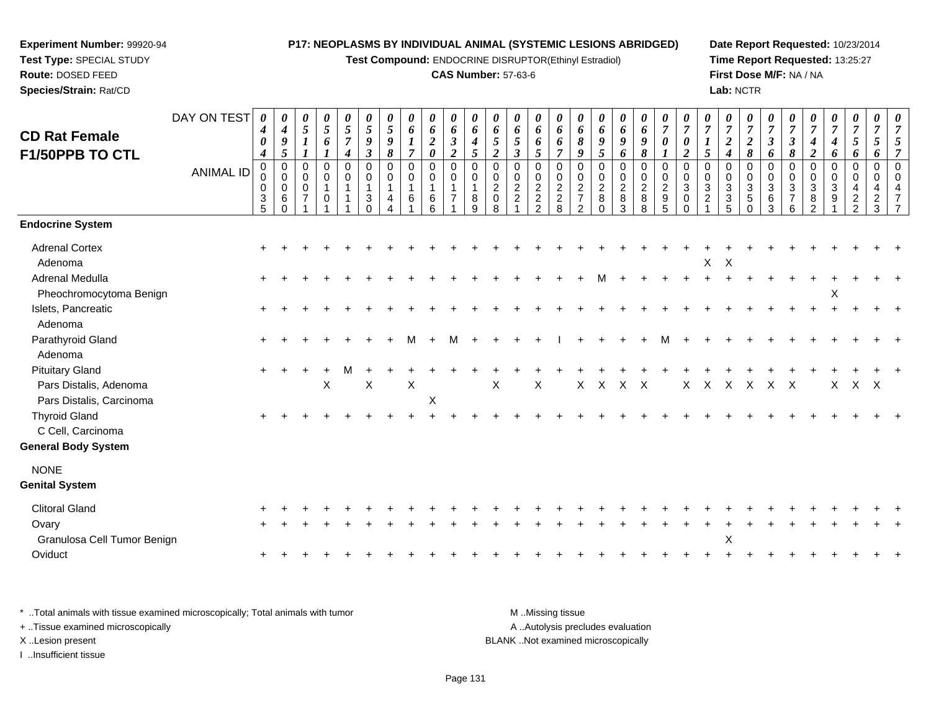**Test Compound:** ENDOCRINE DISRUPTOR(Ethinyl Estradiol)

## **CAS Number:** 57-63-6

**Date Report Requested:** 10/23/2014**Time Report Requested:** 13:25:27**First Dose M/F:** NA / NA**Lab:** NCTR

| <b>CD Rat Female</b>                                                         | DAY ON TEST      | 0<br>$\boldsymbol{4}$<br>$\boldsymbol{\theta}$                              | 0<br>$\boldsymbol{4}$<br>9                                | 0<br>$5\overline{)}$<br>$\boldsymbol{l}$                                                 | 0<br>$\mathfrak{s}$<br>6                                       | 0<br>5<br>7                | 0<br>$\mathfrak{s}$<br>9                       | 0<br>5<br>9                | 0<br>6                                  | 0<br>6<br>$\boldsymbol{2}$                                                    | 0<br>6<br>$\boldsymbol{\beta}$                                      | 0<br>6<br>4                             | 0<br>6<br>5                                          | 0<br>6<br>5                                                            | 0<br>6<br>6                                              | 0<br>6<br>6                                                   | 0<br>6<br>8                                                                           | 0<br>6<br>9                                           | 0<br>6<br>9                        | 0<br>6<br>9                                                             | 0<br>$\overline{7}$<br>$\theta$                                        | 0<br>$\overline{7}$<br>0                                         | 0<br>$\boldsymbol{7}$                         | 0<br>$\boldsymbol{7}$<br>$\overline{2}$                                              | 0<br>$\overline{7}$<br>$\overline{2}$        | $\overline{7}$<br>$\boldsymbol{\beta}$ | 0<br>$\overline{7}$<br>$\boldsymbol{\beta}$                          | 0<br>$\overline{7}$<br>$\boldsymbol{4}$                           | 0<br>$\boldsymbol{7}$<br>4                           | 0<br>$\overline{7}$<br>5                              | 0<br>$\overline{7}$<br>5                       | 0<br>$\overline{7}$<br>5                                   |
|------------------------------------------------------------------------------|------------------|-----------------------------------------------------------------------------|-----------------------------------------------------------|------------------------------------------------------------------------------------------|----------------------------------------------------------------|----------------------------|------------------------------------------------|----------------------------|-----------------------------------------|-------------------------------------------------------------------------------|---------------------------------------------------------------------|-----------------------------------------|------------------------------------------------------|------------------------------------------------------------------------|----------------------------------------------------------|---------------------------------------------------------------|---------------------------------------------------------------------------------------|-------------------------------------------------------|------------------------------------|-------------------------------------------------------------------------|------------------------------------------------------------------------|------------------------------------------------------------------|-----------------------------------------------|--------------------------------------------------------------------------------------|----------------------------------------------|----------------------------------------|----------------------------------------------------------------------|-------------------------------------------------------------------|------------------------------------------------------|-------------------------------------------------------|------------------------------------------------|------------------------------------------------------------|
| F1/50PPB TO CTL                                                              | <b>ANIMAL ID</b> | $\boldsymbol{4}$<br>0<br>0<br>$\mathbf 0$<br>$\ensuremath{\mathsf{3}}$<br>5 | 5<br>$\pmb{0}$<br>$\pmb{0}$<br>$\pmb{0}$<br>6<br>$\Omega$ | $\boldsymbol{\mathit{1}}$<br>$\mathbf 0$<br>$\mathbf 0$<br>$\mathbf 0$<br>$\overline{7}$ | 1<br>$\mathbf 0$<br>$\mathbf 0$<br>$\mathbf{1}$<br>$\mathbf 0$ | $\boldsymbol{4}$<br>0<br>0 | $\boldsymbol{\beta}$<br>0<br>0<br>$\mathbf{3}$ | 8<br>0<br>$\mathbf 0$<br>4 | $\overline{7}$<br>0<br>$\mathbf 0$<br>6 | $\boldsymbol{\theta}$<br>$\mathbf 0$<br>$\mathbf 0$<br>$\mathbf{1}$<br>6<br>6 | $\overline{2}$<br>$\mathbf 0$<br>$\mathbf 0$<br>1<br>$\overline{7}$ | 5<br>0<br>$\Omega$<br>8<br>$\mathbf{Q}$ | $\overline{2}$<br>0<br>0<br>$\overline{a}$<br>0<br>8 | $\mathfrak{z}$<br>0<br>$\pmb{0}$<br>$\boldsymbol{2}$<br>$\overline{c}$ | 5<br>0<br>$\mathsf 0$<br>$\frac{2}{2}$<br>$\overline{2}$ | $\overline{7}$<br>0<br>0<br>$\overline{c}$<br>$\sqrt{2}$<br>8 | 9<br>$\mathbf 0$<br>$\mathbf 0$<br>$\overline{c}$<br>$\overline{7}$<br>$\overline{2}$ | 5<br>$\Omega$<br>0<br>$\overline{c}$<br>8<br>$\Omega$ | 6<br>0<br>0<br>$_{8}^{\rm 2}$<br>3 | $\boldsymbol{\delta}$<br>$\mathbf 0$<br>$\pmb{0}$<br>$\frac{2}{8}$<br>8 | 1<br>$\mathbf 0$<br>$\mathbf 0$<br>$\sqrt{2}$<br>$\boldsymbol{9}$<br>5 | $\boldsymbol{2}$<br>0<br>$\Omega$<br>$\mathbf{3}$<br>$\mathbf 0$ | 5<br>0<br>0<br>$\sqrt{3}$<br>$\boldsymbol{2}$ | $\boldsymbol{4}$<br>0<br>$\mathbf 0$<br>$\sqrt{3}$<br>$\ensuremath{\mathsf{3}}$<br>5 | 8<br>0<br>0<br>$\mathbf{3}$<br>5<br>$\Omega$ | 6<br>0<br>0<br>3<br>6<br>3             | 8<br>$\mathbf 0$<br>$\mathbf 0$<br>$\sqrt{3}$<br>$\overline{7}$<br>6 | $\boldsymbol{2}$<br>0<br>0<br>$\ensuremath{\mathsf{3}}$<br>8<br>2 | 6<br>$\mathbf 0$<br>$\mathbf 0$<br>$\mathbf{3}$<br>9 | 6<br>$\Omega$<br>$\Omega$<br>4<br>$\overline{c}$<br>2 | 6<br>0<br>$\Omega$<br>4<br>$\overline{c}$<br>3 | 7<br>$\Omega$<br>$\Omega$<br>$\overline{\mathcal{L}}$<br>7 |
| <b>Endocrine System</b>                                                      |                  |                                                                             |                                                           |                                                                                          |                                                                |                            |                                                |                            |                                         |                                                                               |                                                                     |                                         |                                                      |                                                                        |                                                          |                                                               |                                                                                       |                                                       |                                    |                                                                         |                                                                        |                                                                  |                                               |                                                                                      |                                              |                                        |                                                                      |                                                                   |                                                      |                                                       |                                                |                                                            |
| <b>Adrenal Cortex</b><br>Adenoma                                             |                  |                                                                             |                                                           |                                                                                          |                                                                |                            |                                                |                            |                                         |                                                                               |                                                                     |                                         |                                                      |                                                                        |                                                          |                                                               |                                                                                       |                                                       |                                    |                                                                         |                                                                        |                                                                  | X                                             | $\mathsf{X}$                                                                         |                                              |                                        |                                                                      |                                                                   |                                                      |                                                       |                                                |                                                            |
| Adrenal Medulla<br>Pheochromocytoma Benign                                   |                  |                                                                             |                                                           |                                                                                          |                                                                |                            |                                                |                            |                                         |                                                                               |                                                                     |                                         |                                                      |                                                                        |                                                          |                                                               |                                                                                       |                                                       |                                    |                                                                         |                                                                        |                                                                  |                                               |                                                                                      |                                              |                                        |                                                                      |                                                                   | $\sf X$                                              |                                                       |                                                |                                                            |
| Islets, Pancreatic<br>Adenoma                                                |                  |                                                                             |                                                           |                                                                                          |                                                                |                            |                                                |                            |                                         |                                                                               |                                                                     |                                         |                                                      |                                                                        |                                                          |                                                               |                                                                                       |                                                       |                                    |                                                                         |                                                                        |                                                                  |                                               |                                                                                      |                                              |                                        |                                                                      |                                                                   |                                                      |                                                       |                                                |                                                            |
| Parathyroid Gland<br>Adenoma                                                 |                  |                                                                             |                                                           |                                                                                          |                                                                |                            |                                                |                            |                                         |                                                                               | м                                                                   |                                         |                                                      |                                                                        |                                                          |                                                               |                                                                                       |                                                       |                                    |                                                                         |                                                                        |                                                                  |                                               |                                                                                      |                                              |                                        |                                                                      |                                                                   |                                                      |                                                       |                                                |                                                            |
| <b>Pituitary Gland</b><br>Pars Distalis, Adenoma<br>Pars Distalis, Carcinoma |                  | $\ddot{}$                                                                   |                                                           |                                                                                          | $\boldsymbol{\mathsf{X}}$                                      |                            | $\boldsymbol{\mathsf{X}}$                      |                            | X                                       | $\mathsf X$                                                                   |                                                                     |                                         | X                                                    |                                                                        | X                                                        |                                                               | $\mathsf{X}$                                                                          | $\mathsf{X}$                                          | X X                                |                                                                         |                                                                        |                                                                  | X X                                           | $\mathsf{X}$                                                                         | $\mathsf{X}$                                 |                                        | X X                                                                  |                                                                   | $\times$                                             | x x                                                   |                                                |                                                            |
| <b>Thyroid Gland</b><br>C Cell, Carcinoma<br><b>General Body System</b>      |                  | $\ddot{}$                                                                   |                                                           |                                                                                          |                                                                |                            |                                                |                            |                                         |                                                                               |                                                                     |                                         |                                                      |                                                                        |                                                          |                                                               |                                                                                       |                                                       |                                    |                                                                         |                                                                        |                                                                  |                                               |                                                                                      |                                              |                                        |                                                                      |                                                                   |                                                      |                                                       |                                                |                                                            |
| <b>NONE</b><br><b>Genital System</b>                                         |                  |                                                                             |                                                           |                                                                                          |                                                                |                            |                                                |                            |                                         |                                                                               |                                                                     |                                         |                                                      |                                                                        |                                                          |                                                               |                                                                                       |                                                       |                                    |                                                                         |                                                                        |                                                                  |                                               |                                                                                      |                                              |                                        |                                                                      |                                                                   |                                                      |                                                       |                                                |                                                            |
| <b>Clitoral Gland</b>                                                        |                  |                                                                             |                                                           |                                                                                          |                                                                |                            |                                                |                            |                                         |                                                                               |                                                                     |                                         |                                                      |                                                                        |                                                          |                                                               |                                                                                       |                                                       |                                    |                                                                         |                                                                        |                                                                  |                                               |                                                                                      |                                              |                                        |                                                                      |                                                                   |                                                      |                                                       |                                                |                                                            |
| Ovary<br>Granulosa Cell Tumor Benign                                         |                  |                                                                             |                                                           |                                                                                          |                                                                |                            |                                                |                            |                                         |                                                                               |                                                                     |                                         |                                                      |                                                                        |                                                          |                                                               |                                                                                       |                                                       |                                    |                                                                         |                                                                        |                                                                  |                                               | $\mathsf X$                                                                          |                                              |                                        |                                                                      |                                                                   |                                                      |                                                       |                                                |                                                            |
| Oviduct                                                                      |                  | $\ddot{}$                                                                   |                                                           |                                                                                          |                                                                |                            |                                                |                            |                                         |                                                                               |                                                                     |                                         |                                                      |                                                                        |                                                          |                                                               |                                                                                       |                                                       |                                    |                                                                         |                                                                        |                                                                  |                                               |                                                                                      |                                              |                                        |                                                                      |                                                                   |                                                      |                                                       |                                                |                                                            |

\* ..Total animals with tissue examined microscopically; Total animals with tumor **M** . Missing tissue M ..Missing tissue A ..Autolysis precludes evaluation + ..Tissue examined microscopically X ..Lesion present BLANK ..Not examined microscopicallyI ..Insufficient tissue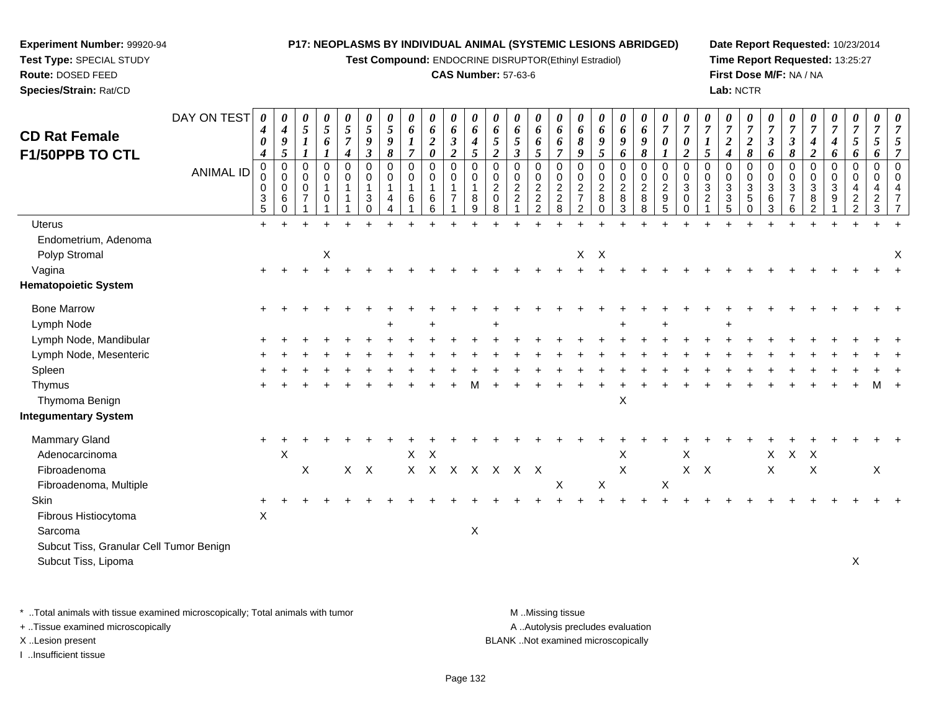**Test Compound:** ENDOCRINE DISRUPTOR(Ethinyl Estradiol)

# **CAS Number:** 57-63-6

**Date Report Requested:** 10/23/2014**Time Report Requested:** 13:25:27**First Dose M/F:** NA / NA**Lab:** NCTR

| <b>CD Rat Female</b>                    | DAY ON TEST      | 0<br>$\boldsymbol{4}$<br>$\pmb{\theta}$                      | 0<br>$\boldsymbol{4}$<br>$\boldsymbol{g}$                          | 0<br>$\mathfrak{s}$<br>$\boldsymbol{l}$      | 0<br>5<br>6                | $\frac{\theta}{5}$<br>$\overline{7}$      | $\boldsymbol{\theta}$<br>$\mathfrak{s}$<br>$\boldsymbol{9}$ | 0<br>$\mathfrak{s}$<br>9             | 0<br>$\boldsymbol{6}$<br>$\boldsymbol{l}$    | 0<br>6<br>$\boldsymbol{2}$                                         | 0<br>6<br>$\mathfrak{z}$                                   | 0<br>6<br>$\boldsymbol{4}$      | 0<br>6<br>$\overline{5}$                                                           | 0<br>6<br>$\sqrt{5}$                                                     | 0<br>6<br>6                                                                                 | 0<br>6<br>6                                                                      | $\boldsymbol{\theta}$<br>6<br>$\pmb{8}$                                       | 0<br>6<br>9                                                                                    | 0<br>6<br>9                                              | 0<br>6<br>9                                                 | $\frac{\boldsymbol{\theta}}{\boldsymbol{7}}$<br>$\pmb{\theta}$ | $\overline{7}$<br>$\pmb{\theta}$                            | $\overline{7}$                            | 0<br>$\overline{7}$<br>$\boldsymbol{2}$ | $\boldsymbol{\theta}$<br>$\overline{7}$<br>$\boldsymbol{2}$             | 0<br>$\overline{7}$<br>$\boldsymbol{\mathfrak{z}}$ | $\overline{7}$<br>$\boldsymbol{\beta}$            | $\overline{7}$<br>$\boldsymbol{4}$                           | 0<br>$\overline{7}$<br>4                       | 0<br>$\overline{7}$<br>$\mathfrak{s}$                                                      | 0<br>$\overline{7}$<br>$\mathfrak{s}$       |                                            |
|-----------------------------------------|------------------|--------------------------------------------------------------|--------------------------------------------------------------------|----------------------------------------------|----------------------------|-------------------------------------------|-------------------------------------------------------------|--------------------------------------|----------------------------------------------|--------------------------------------------------------------------|------------------------------------------------------------|---------------------------------|------------------------------------------------------------------------------------|--------------------------------------------------------------------------|---------------------------------------------------------------------------------------------|----------------------------------------------------------------------------------|-------------------------------------------------------------------------------|------------------------------------------------------------------------------------------------|----------------------------------------------------------|-------------------------------------------------------------|----------------------------------------------------------------|-------------------------------------------------------------|-------------------------------------------|-----------------------------------------|-------------------------------------------------------------------------|----------------------------------------------------|---------------------------------------------------|--------------------------------------------------------------|------------------------------------------------|--------------------------------------------------------------------------------------------|---------------------------------------------|--------------------------------------------|
| F1/50PPB TO CTL                         | <b>ANIMAL ID</b> | $\boldsymbol{4}$<br>$\mathbf 0$<br>0<br>0<br>3<br>$\sqrt{5}$ | $\overline{5}$<br>$\mathbf 0$<br>$\mathbf 0$<br>0<br>6<br>$\Omega$ | 1<br>0<br>$\mathbf 0$<br>0<br>$\overline{7}$ | 0<br>$\mathbf 0$<br>1<br>0 | $\boldsymbol{4}$<br>0<br>0<br>$\mathbf 1$ | $\boldsymbol{\beta}$<br>$\mathbf 0$<br>0<br>3<br>$\Omega$   | 8<br>$\mathbf 0$<br>$\mathbf 0$<br>4 | $\overline{7}$<br>$\mathbf 0$<br>0<br>1<br>6 | $\boldsymbol{\theta}$<br>$\mathbf 0$<br>$\mathbf 0$<br>1<br>6<br>6 | $\overline{2}$<br>0<br>0<br>$\mathbf{1}$<br>$\overline{7}$ | 5<br>$\mathbf 0$<br>0<br>8<br>9 | $\overline{2}$<br>$\mathbf 0$<br>$\mathbf 0$<br>$\overline{2}$<br>$\mathbf 0$<br>8 | $\mathfrak{z}$<br>0<br>$\mathbf 0$<br>$\overline{c}$<br>$\boldsymbol{2}$ | $5\overline{)}$<br>$\mathbf 0$<br>0<br>$\overline{c}$<br>$\boldsymbol{2}$<br>$\overline{2}$ | $\overline{7}$<br>$\mathbf 0$<br>0<br>$\begin{array}{c} 2 \\ 2 \\ 8 \end{array}$ | 9<br>$\mathbf 0$<br>0<br>$\boldsymbol{2}$<br>$\overline{7}$<br>$\overline{2}$ | $\mathfrak{s}$<br>$\mathbf 0$<br>$\begin{smallmatrix} 0\\2 \end{smallmatrix}$<br>8<br>$\Omega$ | 6<br>0<br>0<br>$\overline{c}$<br>$\bf 8$<br>$\mathbf{3}$ | 8<br>$\mathbf 0$<br>$\mathbf 0$<br>$\overline{c}$<br>8<br>8 | $\mathbf 0$<br>0<br>$\frac{2}{9}$<br>5                         | $\boldsymbol{2}$<br>$\mathbf 0$<br>0<br>3<br>0<br>$\pmb{0}$ | 5<br>$\mathbf 0$<br>$\mathbf 0$<br>3<br>2 | 4<br>0<br>0<br>3<br>3<br>5              | 8<br>$\mathbf 0$<br>$\mathbf 0$<br>$\sqrt{3}$<br>$\sqrt{5}$<br>$\Omega$ | 6<br>$\mathbf 0$<br>0<br>3<br>6<br>3               | 8<br>$\mathbf 0$<br>0<br>3<br>$\overline{7}$<br>6 | $\boldsymbol{2}$<br>$\mathbf 0$<br>0<br>$\sqrt{3}$<br>8<br>2 | 6<br>$\mathbf 0$<br>0<br>3<br>$\boldsymbol{9}$ | 6<br>$\overline{0}$<br>$\mathbf 0$<br>$\overline{4}$<br>$\boldsymbol{2}$<br>$\overline{c}$ | 6<br>$\mathbf 0$<br>0<br>4<br>$\frac{2}{3}$ | $\overline{7}$<br>$\mathbf{0}$<br>$\Omega$ |
| <b>Uterus</b>                           |                  | $\ddot{}$                                                    |                                                                    |                                              |                            |                                           |                                                             |                                      |                                              |                                                                    |                                                            |                                 |                                                                                    |                                                                          |                                                                                             |                                                                                  |                                                                               |                                                                                                |                                                          |                                                             |                                                                |                                                             |                                           |                                         |                                                                         |                                                    |                                                   |                                                              |                                                |                                                                                            |                                             |                                            |
| Endometrium, Adenoma<br>Polyp Stromal   |                  |                                                              |                                                                    |                                              | X                          |                                           |                                                             |                                      |                                              |                                                                    |                                                            |                                 |                                                                                    |                                                                          |                                                                                             |                                                                                  | X                                                                             | $\boldsymbol{\mathsf{X}}$                                                                      |                                                          |                                                             |                                                                |                                                             |                                           |                                         |                                                                         |                                                    |                                                   |                                                              |                                                |                                                                                            |                                             | X                                          |
| Vagina                                  |                  | $\ddot{}$                                                    |                                                                    |                                              |                            |                                           |                                                             |                                      |                                              |                                                                    |                                                            |                                 |                                                                                    |                                                                          |                                                                                             |                                                                                  |                                                                               |                                                                                                |                                                          |                                                             |                                                                |                                                             |                                           |                                         |                                                                         |                                                    |                                                   |                                                              |                                                |                                                                                            |                                             |                                            |
| <b>Hematopoietic System</b>             |                  |                                                              |                                                                    |                                              |                            |                                           |                                                             |                                      |                                              |                                                                    |                                                            |                                 |                                                                                    |                                                                          |                                                                                             |                                                                                  |                                                                               |                                                                                                |                                                          |                                                             |                                                                |                                                             |                                           |                                         |                                                                         |                                                    |                                                   |                                                              |                                                |                                                                                            |                                             |                                            |
| <b>Bone Marrow</b>                      |                  |                                                              |                                                                    |                                              |                            |                                           |                                                             |                                      |                                              |                                                                    |                                                            |                                 |                                                                                    |                                                                          |                                                                                             |                                                                                  |                                                                               |                                                                                                |                                                          |                                                             |                                                                |                                                             |                                           |                                         |                                                                         |                                                    |                                                   |                                                              |                                                |                                                                                            |                                             |                                            |
| Lymph Node                              |                  |                                                              |                                                                    |                                              |                            |                                           |                                                             |                                      |                                              |                                                                    |                                                            |                                 |                                                                                    |                                                                          |                                                                                             |                                                                                  |                                                                               |                                                                                                |                                                          |                                                             |                                                                |                                                             |                                           |                                         |                                                                         |                                                    |                                                   |                                                              |                                                |                                                                                            |                                             |                                            |
| Lymph Node, Mandibular                  |                  |                                                              |                                                                    |                                              |                            |                                           |                                                             |                                      |                                              |                                                                    |                                                            |                                 |                                                                                    |                                                                          |                                                                                             |                                                                                  |                                                                               |                                                                                                |                                                          |                                                             |                                                                |                                                             |                                           |                                         |                                                                         |                                                    |                                                   |                                                              |                                                |                                                                                            |                                             |                                            |
| Lymph Node, Mesenteric                  |                  |                                                              |                                                                    |                                              |                            |                                           |                                                             |                                      |                                              |                                                                    |                                                            |                                 |                                                                                    |                                                                          |                                                                                             |                                                                                  |                                                                               |                                                                                                |                                                          |                                                             |                                                                |                                                             |                                           |                                         |                                                                         |                                                    |                                                   |                                                              |                                                |                                                                                            |                                             |                                            |
| Spleen                                  |                  |                                                              |                                                                    |                                              |                            |                                           |                                                             |                                      |                                              |                                                                    |                                                            |                                 |                                                                                    |                                                                          |                                                                                             |                                                                                  |                                                                               |                                                                                                |                                                          |                                                             |                                                                |                                                             |                                           |                                         |                                                                         |                                                    |                                                   |                                                              |                                                |                                                                                            |                                             |                                            |
| Thymus<br>Thymoma Benign                |                  |                                                              |                                                                    |                                              |                            |                                           |                                                             |                                      |                                              |                                                                    |                                                            |                                 |                                                                                    |                                                                          |                                                                                             |                                                                                  |                                                                               |                                                                                                | $\mathsf X$                                              |                                                             |                                                                |                                                             |                                           |                                         |                                                                         |                                                    |                                                   |                                                              |                                                |                                                                                            |                                             |                                            |
| <b>Integumentary System</b>             |                  |                                                              |                                                                    |                                              |                            |                                           |                                                             |                                      |                                              |                                                                    |                                                            |                                 |                                                                                    |                                                                          |                                                                                             |                                                                                  |                                                                               |                                                                                                |                                                          |                                                             |                                                                |                                                             |                                           |                                         |                                                                         |                                                    |                                                   |                                                              |                                                |                                                                                            |                                             |                                            |
| <b>Mammary Gland</b>                    |                  |                                                              |                                                                    |                                              |                            |                                           |                                                             |                                      |                                              |                                                                    |                                                            |                                 |                                                                                    |                                                                          |                                                                                             |                                                                                  |                                                                               |                                                                                                |                                                          |                                                             |                                                                |                                                             |                                           |                                         |                                                                         |                                                    |                                                   |                                                              |                                                |                                                                                            |                                             |                                            |
| Adenocarcinoma                          |                  |                                                              | X                                                                  |                                              |                            |                                           |                                                             |                                      |                                              | $X$ $X$                                                            |                                                            |                                 |                                                                                    |                                                                          |                                                                                             |                                                                                  |                                                                               |                                                                                                | X                                                        |                                                             |                                                                | X                                                           |                                           |                                         |                                                                         | X                                                  | $X$ $X$                                           |                                                              |                                                |                                                                                            |                                             |                                            |
| Fibroadenoma                            |                  |                                                              |                                                                    | X                                            |                            | X                                         | $\mathsf{X}$                                                |                                      |                                              |                                                                    | X X X X X X X                                              |                                 |                                                                                    |                                                                          |                                                                                             |                                                                                  |                                                                               |                                                                                                | X                                                        |                                                             |                                                                | $X$ $X$                                                     |                                           |                                         |                                                                         | X                                                  |                                                   | X                                                            |                                                |                                                                                            | X                                           |                                            |
| Fibroadenoma, Multiple                  |                  |                                                              |                                                                    |                                              |                            |                                           |                                                             |                                      |                                              |                                                                    |                                                            |                                 |                                                                                    |                                                                          |                                                                                             | X                                                                                |                                                                               | $\mathsf X$                                                                                    |                                                          |                                                             | $\boldsymbol{\mathsf{X}}$                                      |                                                             |                                           |                                         |                                                                         |                                                    |                                                   |                                                              |                                                |                                                                                            |                                             |                                            |
| <b>Skin</b>                             |                  |                                                              |                                                                    |                                              |                            |                                           |                                                             |                                      |                                              |                                                                    |                                                            |                                 |                                                                                    |                                                                          |                                                                                             |                                                                                  |                                                                               |                                                                                                |                                                          |                                                             |                                                                |                                                             |                                           |                                         |                                                                         |                                                    |                                                   |                                                              |                                                |                                                                                            |                                             |                                            |
| Fibrous Histiocytoma                    |                  | $\mathsf X$                                                  |                                                                    |                                              |                            |                                           |                                                             |                                      |                                              |                                                                    |                                                            |                                 |                                                                                    |                                                                          |                                                                                             |                                                                                  |                                                                               |                                                                                                |                                                          |                                                             |                                                                |                                                             |                                           |                                         |                                                                         |                                                    |                                                   |                                                              |                                                |                                                                                            |                                             |                                            |
| Sarcoma                                 |                  |                                                              |                                                                    |                                              |                            |                                           |                                                             |                                      |                                              |                                                                    |                                                            | X                               |                                                                                    |                                                                          |                                                                                             |                                                                                  |                                                                               |                                                                                                |                                                          |                                                             |                                                                |                                                             |                                           |                                         |                                                                         |                                                    |                                                   |                                                              |                                                |                                                                                            |                                             |                                            |
| Subcut Tiss, Granular Cell Tumor Benign |                  |                                                              |                                                                    |                                              |                            |                                           |                                                             |                                      |                                              |                                                                    |                                                            |                                 |                                                                                    |                                                                          |                                                                                             |                                                                                  |                                                                               |                                                                                                |                                                          |                                                             |                                                                |                                                             |                                           |                                         |                                                                         |                                                    |                                                   |                                                              |                                                |                                                                                            |                                             |                                            |
| Subcut Tiss, Lipoma                     |                  |                                                              |                                                                    |                                              |                            |                                           |                                                             |                                      |                                              |                                                                    |                                                            |                                 |                                                                                    |                                                                          |                                                                                             |                                                                                  |                                                                               |                                                                                                |                                                          |                                                             |                                                                |                                                             |                                           |                                         |                                                                         |                                                    |                                                   |                                                              |                                                | X                                                                                          |                                             |                                            |
|                                         |                  |                                                              |                                                                    |                                              |                            |                                           |                                                             |                                      |                                              |                                                                    |                                                            |                                 |                                                                                    |                                                                          |                                                                                             |                                                                                  |                                                                               |                                                                                                |                                                          |                                                             |                                                                |                                                             |                                           |                                         |                                                                         |                                                    |                                                   |                                                              |                                                |                                                                                            |                                             |                                            |

\* ..Total animals with tissue examined microscopically; Total animals with tumor **M** . Missing tissue M ..Missing tissue

+ ..Tissue examined microscopically

**Experiment Number:** 99920-94**Test Type:** SPECIAL STUDY**Route:** DOSED FEED**Species/Strain:** Rat/CD

I ..Insufficient tissue

A ..Autolysis precludes evaluation

X ..Lesion present BLANK ..Not examined microscopically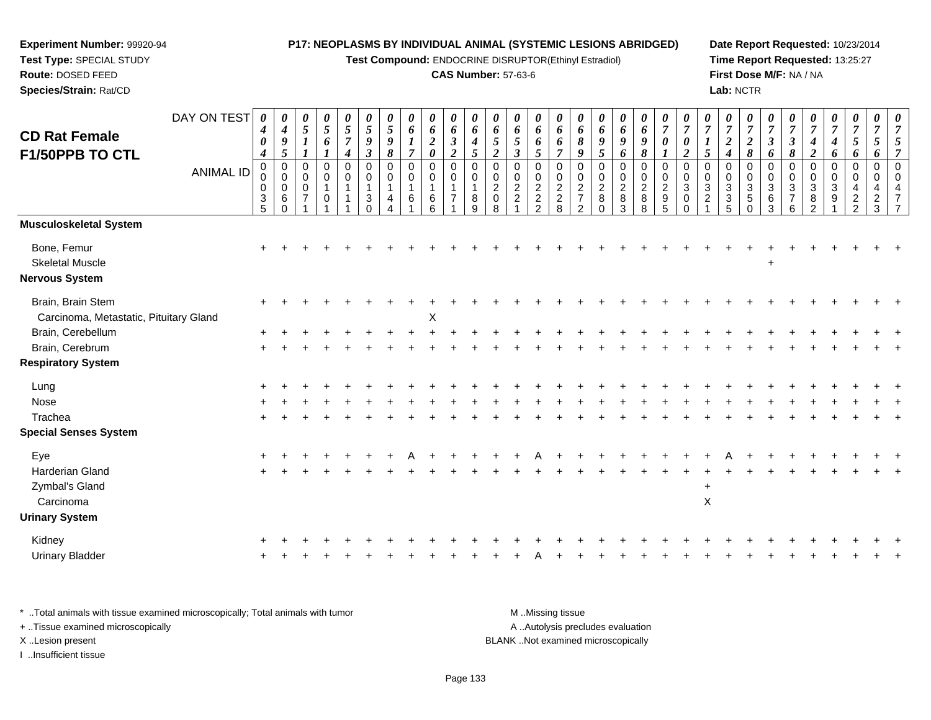**Test Compound:** ENDOCRINE DISRUPTOR(Ethinyl Estradiol)

## **CAS Number:** 57-63-6

**Date Report Requested:** 10/23/2014**Time Report Requested:** 13:25:27**First Dose M/F:** NA / NA**Lab:** NCTR

|                                        | DAY ON TEST      | 0<br>$\boldsymbol{4}$           | 0<br>$\boldsymbol{4}$  | 0<br>5           | 0<br>$\sqrt{5}$ | 0<br>$\mathfrak{s}$                    | 0<br>$\overline{5}$                 | 0<br>$\sqrt{5}$             | 0<br>6                        | 0<br>6                     | 0<br>$\pmb{6}$              | $\boldsymbol{\theta}$<br>6    | 0<br>6                        | 0<br>6              | 0<br>6        | 0<br>6                        | 0<br>6                                     | 0<br>6                        | 0<br>6        | 0<br>6                     | 0<br>$\overline{7}$                               | 0<br>$\overline{7}$             | 7                 | 0<br>$\overline{7}$   | 0<br>$\boldsymbol{7}$     | 0<br>$\overline{7}$         | 0<br>$\overline{7}$      | 7                               | $\boldsymbol{\theta}$<br>$\overline{7}$ | $\boldsymbol{\theta}$<br>$\overline{7}$ | 0<br>$\overline{7}$ | $\frac{\theta}{7}$ |
|----------------------------------------|------------------|---------------------------------|------------------------|------------------|-----------------|----------------------------------------|-------------------------------------|-----------------------------|-------------------------------|----------------------------|-----------------------------|-------------------------------|-------------------------------|---------------------|---------------|-------------------------------|--------------------------------------------|-------------------------------|---------------|----------------------------|---------------------------------------------------|---------------------------------|-------------------|-----------------------|---------------------------|-----------------------------|--------------------------|---------------------------------|-----------------------------------------|-----------------------------------------|---------------------|--------------------|
| <b>CD Rat Female</b>                   |                  | $\boldsymbol{\theta}$           | 9                      | $\boldsymbol{l}$ | 6               | $\overline{7}$                         | 9                                   | 9                           | $\bm{l}$                      | $\boldsymbol{2}$           | $\boldsymbol{\beta}$        | $\boldsymbol{4}$              | 5                             | 5                   | 6             | 6                             | $\boldsymbol{\delta}$                      | 9                             | 9             | 9                          | $\boldsymbol{\theta}$                             | $\boldsymbol{\theta}$           | $\boldsymbol{l}$  | $\boldsymbol{2}$      | $\boldsymbol{2}$          | $\boldsymbol{\beta}$        | $\mathfrak{z}$           | 4                               | 4                                       | 5                                       | 5                   |                    |
| F1/50PPB TO CTL                        |                  | $\boldsymbol{4}$<br>$\mathbf 0$ | 5<br>$\mathbf 0$       | $\mathbf 0$      | 0               | $\boldsymbol{4}$<br>$\mathbf 0$        | $\boldsymbol{\beta}$<br>$\mathbf 0$ | 8<br>$\mathbf 0$            | $\overline{7}$<br>$\mathsf 0$ | $\boldsymbol{\theta}$<br>0 | $\overline{2}$<br>$\pmb{0}$ | $\mathfrak{s}$<br>$\mathbf 0$ | $\overline{2}$<br>$\mathbf 0$ | $\mathfrak{z}$<br>0 | 5<br>0        | $\overline{7}$<br>$\mathbf 0$ | 9<br>$\mathbf 0$                           | 5<br>$\mathbf 0$              | 6<br>0        | $\boldsymbol{\delta}$<br>0 | $\boldsymbol{\mathit{1}}$<br>$\mathbf 0$          | $\boldsymbol{2}$<br>$\mathbf 0$ | 5<br>$\mathbf 0$  | $\boldsymbol{4}$<br>0 | 8<br>0                    | 6<br>$\mathbf 0$            | $\pmb{8}$<br>$\mathbf 0$ | $\boldsymbol{2}$<br>$\mathbf 0$ | 6<br>0                                  | 6<br>0                                  | 6<br>$\mathbf 0$    |                    |
|                                        | <b>ANIMAL ID</b> | 0<br>0                          | $\pmb{0}$<br>$\pmb{0}$ | 0<br>$\mathbf 0$ | 0               | $\mathbf 0$<br>$\overline{\mathbf{1}}$ | 0<br>$\overline{1}$                 | $\mathbf 0$<br>$\mathbf{1}$ | $\pmb{0}$<br>$\mathbf{1}$     | 0                          | $\pmb{0}$<br>$\mathbf{1}$   | $\mathbf 0$<br>$\mathbf{1}$   | 0<br>$\overline{c}$           | 0<br>$\overline{2}$ | $\mathbf 0$   |                               | $\begin{array}{c} 0 \\ 2 \\ 7 \end{array}$ | $\mathbf 0$<br>$\overline{2}$ | $\frac{0}{2}$ | $\pmb{0}$                  |                                                   | $\mathbf 0$<br>$\mathbf{3}$     | 0<br>$\mathbf{3}$ | 0<br>3                | 0                         | $\mathbf 0$<br>$\mathbf{3}$ | 0<br>$\mathbf{3}$        | $\Omega$<br>3                   | 0<br>3                                  | $\mathbf 0$                             | $\mathbf 0$         | $\Omega$           |
|                                        |                  | $\frac{3}{5}$                   | 6<br>$\Omega$          | $\overline{7}$   | 0               |                                        | 3<br>$\Omega$                       | 4                           | 6                             | 6<br>6                     | $\overline{7}$              | 8<br>9                        | $\mathbf 0$<br>8              | $\overline{c}$      | $\frac{2}{2}$ | $0$<br>$2$<br>$8$             | $\overline{2}$                             | 8                             | $\bf 8$<br>3  | $_{8}^{\rm 2}$<br>8        | $\begin{array}{c}\n0 \\ 2 \\ 9 \\ 5\n\end{array}$ | $\mathbf 0$<br>$\Omega$         | $\overline{c}$    | 3<br>5                | $\frac{3}{5}$<br>$\Omega$ | $\,6$<br>3                  | $\overline{7}$<br>6      | 8                               | 9                                       | 2                                       | $\overline{c}$<br>3 |                    |
| <b>Musculoskeletal System</b>          |                  |                                 |                        |                  |                 |                                        |                                     |                             |                               |                            |                             |                               |                               |                     |               |                               |                                            |                               |               |                            |                                                   |                                 |                   |                       |                           |                             |                          |                                 |                                         |                                         |                     |                    |
| Bone, Femur                            |                  |                                 |                        |                  |                 |                                        |                                     |                             |                               |                            |                             |                               |                               |                     |               |                               |                                            |                               |               |                            |                                                   |                                 |                   |                       |                           |                             |                          |                                 |                                         |                                         |                     |                    |
| <b>Skeletal Muscle</b>                 |                  |                                 |                        |                  |                 |                                        |                                     |                             |                               |                            |                             |                               |                               |                     |               |                               |                                            |                               |               |                            |                                                   |                                 |                   |                       |                           |                             |                          |                                 |                                         |                                         |                     |                    |
| <b>Nervous System</b>                  |                  |                                 |                        |                  |                 |                                        |                                     |                             |                               |                            |                             |                               |                               |                     |               |                               |                                            |                               |               |                            |                                                   |                                 |                   |                       |                           |                             |                          |                                 |                                         |                                         |                     |                    |
| Brain, Brain Stem                      |                  |                                 |                        |                  |                 |                                        |                                     |                             |                               |                            |                             |                               |                               |                     |               |                               |                                            |                               |               |                            |                                                   |                                 |                   |                       |                           |                             |                          |                                 |                                         |                                         |                     |                    |
| Carcinoma, Metastatic, Pituitary Gland |                  |                                 |                        |                  |                 |                                        |                                     |                             |                               | X                          |                             |                               |                               |                     |               |                               |                                            |                               |               |                            |                                                   |                                 |                   |                       |                           |                             |                          |                                 |                                         |                                         |                     |                    |
| Brain, Cerebellum                      |                  |                                 |                        |                  |                 |                                        |                                     |                             |                               |                            |                             |                               |                               |                     |               |                               |                                            |                               |               |                            |                                                   |                                 |                   |                       |                           |                             |                          |                                 |                                         |                                         |                     |                    |
| Brain, Cerebrum                        |                  |                                 |                        |                  |                 |                                        |                                     |                             |                               |                            |                             |                               |                               |                     |               |                               |                                            |                               |               |                            |                                                   |                                 |                   |                       |                           |                             |                          |                                 |                                         |                                         |                     |                    |
| <b>Respiratory System</b>              |                  |                                 |                        |                  |                 |                                        |                                     |                             |                               |                            |                             |                               |                               |                     |               |                               |                                            |                               |               |                            |                                                   |                                 |                   |                       |                           |                             |                          |                                 |                                         |                                         |                     |                    |
| Lung                                   |                  |                                 |                        |                  |                 |                                        |                                     |                             |                               |                            |                             |                               |                               |                     |               |                               |                                            |                               |               |                            |                                                   |                                 |                   |                       |                           |                             |                          |                                 |                                         |                                         |                     |                    |
| Nose                                   |                  |                                 |                        |                  |                 |                                        |                                     |                             |                               |                            |                             |                               |                               |                     |               |                               |                                            |                               |               |                            |                                                   |                                 |                   |                       |                           |                             |                          |                                 |                                         |                                         |                     |                    |
| Trachea                                |                  |                                 |                        |                  |                 |                                        |                                     |                             |                               |                            |                             |                               |                               |                     |               |                               |                                            |                               |               |                            |                                                   |                                 |                   |                       |                           |                             |                          |                                 |                                         |                                         |                     |                    |
| <b>Special Senses System</b>           |                  |                                 |                        |                  |                 |                                        |                                     |                             |                               |                            |                             |                               |                               |                     |               |                               |                                            |                               |               |                            |                                                   |                                 |                   |                       |                           |                             |                          |                                 |                                         |                                         |                     |                    |
| Eye                                    |                  |                                 |                        |                  |                 |                                        |                                     |                             |                               |                            |                             |                               |                               |                     |               |                               |                                            |                               |               |                            |                                                   |                                 |                   |                       |                           |                             |                          |                                 |                                         |                                         |                     |                    |
| Harderian Gland                        |                  |                                 |                        |                  |                 |                                        |                                     |                             |                               |                            |                             |                               |                               |                     |               |                               |                                            |                               |               |                            |                                                   |                                 |                   |                       |                           |                             |                          |                                 |                                         |                                         |                     |                    |
| Zymbal's Gland                         |                  |                                 |                        |                  |                 |                                        |                                     |                             |                               |                            |                             |                               |                               |                     |               |                               |                                            |                               |               |                            |                                                   |                                 | $\ddot{}$         |                       |                           |                             |                          |                                 |                                         |                                         |                     |                    |
| Carcinoma                              |                  |                                 |                        |                  |                 |                                        |                                     |                             |                               |                            |                             |                               |                               |                     |               |                               |                                            |                               |               |                            |                                                   |                                 | $\pmb{\times}$    |                       |                           |                             |                          |                                 |                                         |                                         |                     |                    |
| <b>Urinary System</b>                  |                  |                                 |                        |                  |                 |                                        |                                     |                             |                               |                            |                             |                               |                               |                     |               |                               |                                            |                               |               |                            |                                                   |                                 |                   |                       |                           |                             |                          |                                 |                                         |                                         |                     |                    |
| Kidney                                 |                  |                                 |                        |                  |                 |                                        |                                     |                             |                               |                            |                             |                               |                               |                     |               |                               |                                            |                               |               |                            |                                                   |                                 |                   |                       |                           |                             |                          |                                 |                                         |                                         |                     |                    |
| <b>Urinary Bladder</b>                 |                  |                                 |                        |                  |                 |                                        |                                     |                             |                               |                            |                             |                               |                               |                     |               |                               |                                            |                               |               |                            |                                                   |                                 |                   |                       |                           |                             |                          |                                 |                                         |                                         |                     |                    |
|                                        |                  |                                 |                        |                  |                 |                                        |                                     |                             |                               |                            |                             |                               |                               |                     |               |                               |                                            |                               |               |                            |                                                   |                                 |                   |                       |                           |                             |                          |                                 |                                         |                                         |                     |                    |

\* ..Total animals with tissue examined microscopically; Total animals with tumor **M** . Missing tissue M ..Missing tissue A ..Autolysis precludes evaluation + ..Tissue examined microscopically X ..Lesion present BLANK ..Not examined microscopicallyI ..Insufficient tissue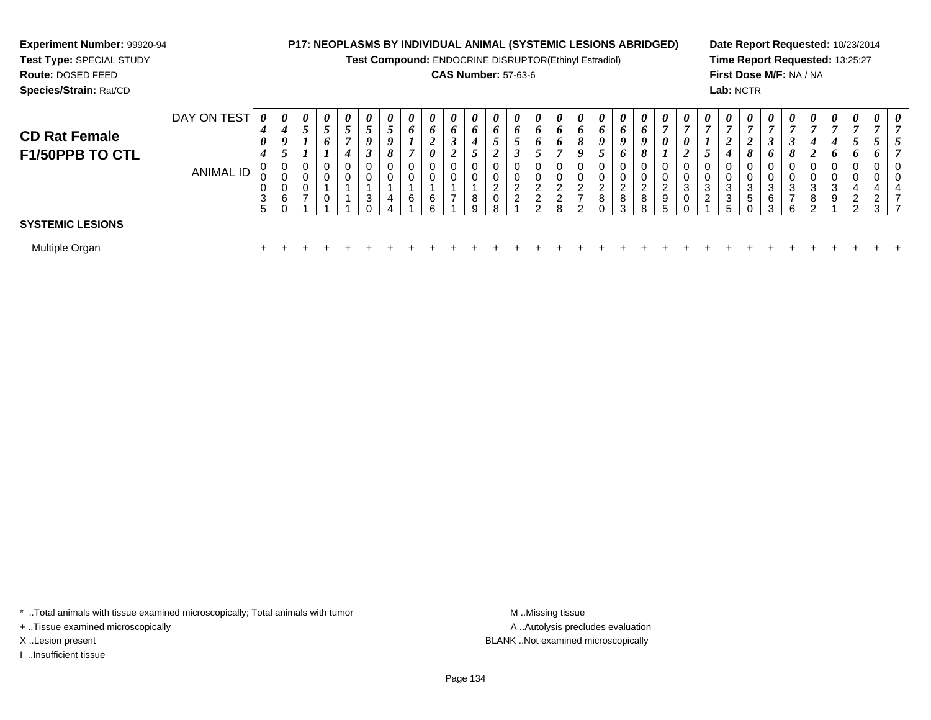# **Experiment Number:** 99920-94**Test Type:** SPECIAL STUDY

**Route:** DOSED FEED

**Species/Strain:** Rat/CD

# **P17: NEOPLASMS BY INDIVIDUAL ANIMAL (SYSTEMIC LESIONS ABRIDGED)**

**Test Compound:** ENDOCRINE DISRUPTOR(Ethinyl Estradiol)

# **CAS Number:** 57-63-6

**Date Report Requested:** 10/23/2014**Time Report Requested:** 13:25:27**First Dose M/F:** NA / NA**Lab:** NCTR

| <b>CD Rat Female</b><br>F1/50PPB TO CTL | DAY ON TEST | $\boldsymbol{\theta}$<br>4<br>$\theta$<br>4 | $\boldsymbol{\theta}$<br>4<br>9<br>◡ | 0<br>C           | 0<br>◡<br>6 | $\boldsymbol{\theta}$<br>J | 0<br>ັ<br>0<br>◡ | 0<br>$\boldsymbol{0}$<br>8 | 0<br>o<br>E | $\boldsymbol{\theta}$<br>o<br>$\theta$ | $\boldsymbol{\theta}$<br>$\bm{o}$<br>I<br>◢ | 0<br>$\bm{o}$<br>◡ | 0<br>$\bm{o}$<br>J<br>◢            | $\boldsymbol{\theta}$<br>$\bm{o}$<br>◡<br>◡ | $\boldsymbol{\theta}$<br>$\bm{o}$<br>o<br>◡ | $\boldsymbol{\theta}$<br>0<br>0 | $\Omega$              | $\theta$<br>O<br>$\boldsymbol{o}$ | $\theta$<br>o<br>$\boldsymbol{o}$<br>o | $\boldsymbol{\theta}$<br>$\bm{o}$<br>o<br>8 | $\boldsymbol{\theta}$<br>−<br>0     | 0<br>0<br>$\overline{ }$ | $\boldsymbol{\theta}$<br>$\overline{ }$<br>ັ | $\boldsymbol{\theta}$ | 0<br>$\mathbf{o}$ | $\theta$         | $\boldsymbol{\theta}$<br>$\overline{ }$ | $\boldsymbol{\theta}$<br>7<br>∠ | $\boldsymbol{\theta}$<br>4<br>$\bm{o}$ | $\boldsymbol{\theta}$<br>ູ<br>$\bm{o}$ | $\boldsymbol{\theta}$<br>J        | $\boldsymbol{\theta}$<br>$\mathcal{L}$ |
|-----------------------------------------|-------------|---------------------------------------------|--------------------------------------|------------------|-------------|----------------------------|------------------|----------------------------|-------------|----------------------------------------|---------------------------------------------|--------------------|------------------------------------|---------------------------------------------|---------------------------------------------|---------------------------------|-----------------------|-----------------------------------|----------------------------------------|---------------------------------------------|-------------------------------------|--------------------------|----------------------------------------------|-----------------------|-------------------|------------------|-----------------------------------------|---------------------------------|----------------------------------------|----------------------------------------|-----------------------------------|----------------------------------------|
|                                         | ANIMAL ID   | U<br>0<br>3<br><sub>5</sub>                 | 0<br>U<br>$\sim$<br>U<br>6           | 0<br>0<br>0<br>- | 0           |                            | ◠<br>J           | U<br>4                     | 6           | 6<br>ี่ค                               | 0<br>0<br>$\overline{ }$                    | U<br>8<br>q        | 0<br>0<br>$\overline{2}$<br>0<br>8 | 0<br>υ<br>$\sim$<br>$\sim$<br>∠             | ◠<br>∠<br>$\overline{2}$                    | ∠                               | $\sim$<br>∠<br>-<br>ົ | ີ<br>∠<br>8                       | ົ<br><u>.</u><br>8<br>2                | 0<br>0<br>ົ<br>$\epsilon$<br>8<br>8         | 0<br>U<br>ົ<br>$\epsilon$<br>9<br>5 | 0<br>0<br>3<br>0         | 0<br>0<br>3<br>ົ<br>∠                        | ◠<br>ა<br>J           | $\sqrt{2}$<br>C   | 3<br>⌒<br>b<br>વ | 0<br>U<br>3<br>–<br>6                   | 3<br>8<br>ົ                     | 0<br>0<br>3<br>9                       | 0<br>4<br>$\overline{2}$<br>າ          | 0<br>0<br>4<br>$\mathcal{D}$<br>3 | 0<br>0<br>4<br>-                       |
| <b>SYSTEMIC LESIONS</b>                 |             |                                             |                                      |                  |             |                            |                  |                            |             |                                        |                                             |                    |                                    |                                             |                                             |                                 |                       |                                   |                                        |                                             |                                     |                          |                                              |                       |                   |                  |                                         |                                 |                                        |                                        |                                   |                                        |
| Multiple Organ                          |             |                                             |                                      |                  |             |                            |                  |                            |             |                                        |                                             |                    |                                    |                                             |                                             |                                 |                       |                                   |                                        |                                             |                                     |                          |                                              |                       |                   |                  |                                         |                                 |                                        |                                        |                                   |                                        |

\* ..Total animals with tissue examined microscopically; Total animals with tumor **M** . Missing tissue M ..Missing tissue

+ ..Tissue examined microscopically

I ..Insufficient tissue

A ..Autolysis precludes evaluation X ..Lesion present BLANK ..Not examined microscopically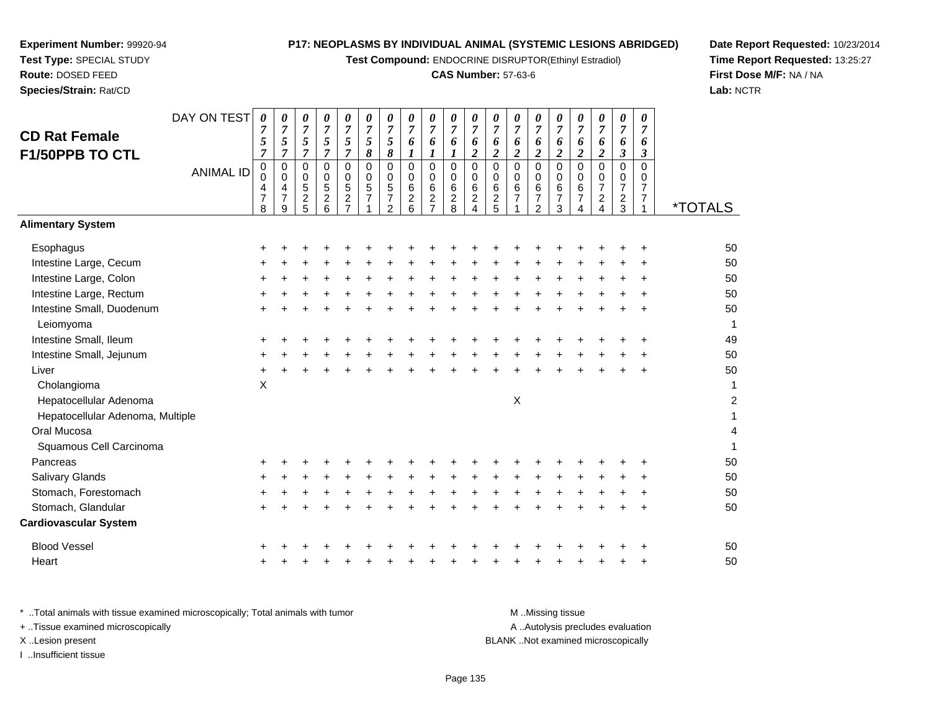**Test Compound:** ENDOCRINE DISRUPTOR(Ethinyl Estradiol)

# **CAS Number:** 57-63-6

**Date Report Requested:** 10/23/2014 **Time Report Requested:** 13:25:27**First Dose M/F:** NA / NA**Lab:** NCTR

| <b>CD Rat Female</b><br>F1/50PPB TO CTL | DAY ON TEST      | $\boldsymbol{\theta}$<br>$\overline{7}$<br>5<br>$\overline{7}$ | 0<br>$\overline{7}$<br>5<br>$\overline{7}$ | 0<br>$\overline{7}$<br>5<br>$\overline{7}$                      | 0<br>$\overline{7}$<br>5<br>$\overline{7}$ | 0<br>$\overline{7}$<br>5<br>$\overline{7}$        | 0<br>$\overline{7}$<br>$\mathfrak{s}$<br>8 | 0<br>$\overline{7}$<br>$\sqrt{5}$<br>8                              | 0<br>$\overline{7}$<br>6<br>$\boldsymbol{l}$                         | 0<br>$\overline{7}$<br>6<br>$\boldsymbol{l}$                              | 0<br>$\overline{7}$<br>6<br>$\boldsymbol{l}$         | 0<br>7<br>6<br>$\overline{c}$                | 0<br>$\overline{7}$<br>6<br>$\overline{\mathbf{c}}$ | 0<br>$\overline{7}$<br>6<br>$\overline{c}$        | 0<br>$\overline{7}$<br>6<br>$\overline{2}$     | 0<br>$\overline{7}$<br>6<br>$\overline{c}$             | 0<br>$\overline{7}$<br>6<br>$\boldsymbol{2}$ | 0<br>$\overline{7}$<br>6<br>$\overline{c}$                                       | $\boldsymbol{\theta}$<br>$\overline{7}$<br>6<br>$\overline{\mathbf{3}}$ | 0<br>$\overline{7}$<br>6<br>$\boldsymbol{\beta}$ |                       |
|-----------------------------------------|------------------|----------------------------------------------------------------|--------------------------------------------|-----------------------------------------------------------------|--------------------------------------------|---------------------------------------------------|--------------------------------------------|---------------------------------------------------------------------|----------------------------------------------------------------------|---------------------------------------------------------------------------|------------------------------------------------------|----------------------------------------------|-----------------------------------------------------|---------------------------------------------------|------------------------------------------------|--------------------------------------------------------|----------------------------------------------|----------------------------------------------------------------------------------|-------------------------------------------------------------------------|--------------------------------------------------|-----------------------|
|                                         | <b>ANIMAL ID</b> | 0<br>$\mathbf 0$<br>4<br>$\overline{7}$<br>8                   | 0<br>0<br>4<br>$\overline{7}$<br>9         | $\mathbf 0$<br>$\mathbf 0$<br>$\sqrt{5}$<br>$\overline{2}$<br>5 | 0<br>0<br>5<br>$\overline{c}$<br>6         | 0<br>0<br>5<br>$\boldsymbol{2}$<br>$\overline{7}$ | 0<br>$\mathbf 0$<br>5<br>$\overline{7}$    | $\mathbf 0$<br>0<br>$\mathbf 5$<br>$\overline{7}$<br>$\overline{2}$ | $\mathbf 0$<br>$\mathbf 0$<br>$6\phantom{1}6$<br>$\overline{c}$<br>6 | $\mathbf 0$<br>$\mathbf 0$<br>$\,6$<br>$\boldsymbol{2}$<br>$\overline{7}$ | $\pmb{0}$<br>$\mathbf 0$<br>$\,6\,$<br>$\frac{2}{8}$ | $\mathsf 0$<br>0<br>6<br>$\overline{c}$<br>4 | 0<br>0<br>6<br>$\frac{2}{5}$                        | $\mathbf 0$<br>$\mathbf 0$<br>6<br>$\overline{7}$ | $\pmb{0}$<br>$\mathbf 0$<br>$\frac{6}{7}$<br>2 | $\mathbf 0$<br>$\mathbf 0$<br>6<br>$\overline{7}$<br>3 | $\mathbf 0$<br>0<br>6<br>$\overline{7}$<br>4 | $\pmb{0}$<br>$\mathbf 0$<br>$\overline{7}$<br>$\boldsymbol{2}$<br>$\overline{4}$ | 0<br>0<br>7<br>$\overline{\mathbf{c}}$<br>3                             | $\mathbf 0$<br>0<br>7<br>$\overline{7}$          | <i><b>*TOTALS</b></i> |
| <b>Alimentary System</b>                |                  |                                                                |                                            |                                                                 |                                            |                                                   |                                            |                                                                     |                                                                      |                                                                           |                                                      |                                              |                                                     |                                                   |                                                |                                                        |                                              |                                                                                  |                                                                         |                                                  |                       |
| Esophagus                               |                  |                                                                |                                            |                                                                 |                                            |                                                   |                                            |                                                                     |                                                                      |                                                                           |                                                      |                                              |                                                     |                                                   |                                                |                                                        |                                              |                                                                                  |                                                                         | +                                                | 50                    |
| Intestine Large, Cecum                  |                  |                                                                |                                            |                                                                 |                                            |                                                   |                                            |                                                                     |                                                                      |                                                                           |                                                      |                                              |                                                     |                                                   |                                                |                                                        |                                              |                                                                                  |                                                                         |                                                  | 50                    |
| Intestine Large, Colon                  |                  |                                                                |                                            |                                                                 |                                            |                                                   |                                            |                                                                     |                                                                      |                                                                           |                                                      |                                              |                                                     |                                                   |                                                |                                                        |                                              |                                                                                  |                                                                         | $\pm$                                            | 50                    |
| Intestine Large, Rectum                 |                  |                                                                |                                            |                                                                 |                                            |                                                   |                                            |                                                                     |                                                                      |                                                                           |                                                      |                                              |                                                     |                                                   |                                                |                                                        |                                              |                                                                                  |                                                                         | ÷                                                | 50                    |
| Intestine Small, Duodenum<br>Leiomyoma  |                  |                                                                |                                            |                                                                 |                                            |                                                   |                                            |                                                                     |                                                                      |                                                                           |                                                      |                                              |                                                     |                                                   |                                                |                                                        |                                              |                                                                                  |                                                                         | $\ddot{}$                                        | 50                    |
| Intestine Small, Ileum                  |                  |                                                                |                                            |                                                                 |                                            |                                                   |                                            |                                                                     |                                                                      |                                                                           |                                                      |                                              |                                                     |                                                   |                                                |                                                        |                                              |                                                                                  |                                                                         |                                                  | 49                    |
| Intestine Small, Jejunum                |                  |                                                                |                                            |                                                                 |                                            |                                                   |                                            |                                                                     |                                                                      |                                                                           |                                                      |                                              |                                                     |                                                   |                                                |                                                        |                                              |                                                                                  |                                                                         |                                                  | 50                    |
| Liver                                   |                  |                                                                |                                            |                                                                 |                                            |                                                   |                                            |                                                                     |                                                                      |                                                                           |                                                      |                                              |                                                     |                                                   |                                                |                                                        |                                              |                                                                                  |                                                                         | ÷                                                | 50                    |
| Cholangioma                             |                  | $\boldsymbol{\mathsf{X}}$                                      |                                            |                                                                 |                                            |                                                   |                                            |                                                                     |                                                                      |                                                                           |                                                      |                                              |                                                     |                                                   |                                                |                                                        |                                              |                                                                                  |                                                                         |                                                  |                       |
| Hepatocellular Adenoma                  |                  |                                                                |                                            |                                                                 |                                            |                                                   |                                            |                                                                     |                                                                      |                                                                           |                                                      |                                              |                                                     | X                                                 |                                                |                                                        |                                              |                                                                                  |                                                                         |                                                  | 2                     |
| Hepatocellular Adenoma, Multiple        |                  |                                                                |                                            |                                                                 |                                            |                                                   |                                            |                                                                     |                                                                      |                                                                           |                                                      |                                              |                                                     |                                                   |                                                |                                                        |                                              |                                                                                  |                                                                         |                                                  |                       |
| Oral Mucosa                             |                  |                                                                |                                            |                                                                 |                                            |                                                   |                                            |                                                                     |                                                                      |                                                                           |                                                      |                                              |                                                     |                                                   |                                                |                                                        |                                              |                                                                                  |                                                                         |                                                  | 4                     |
| Squamous Cell Carcinoma                 |                  |                                                                |                                            |                                                                 |                                            |                                                   |                                            |                                                                     |                                                                      |                                                                           |                                                      |                                              |                                                     |                                                   |                                                |                                                        |                                              |                                                                                  |                                                                         |                                                  |                       |
| Pancreas                                |                  |                                                                |                                            |                                                                 |                                            |                                                   |                                            |                                                                     |                                                                      |                                                                           |                                                      |                                              |                                                     |                                                   |                                                |                                                        |                                              |                                                                                  |                                                                         |                                                  | 50                    |
| <b>Salivary Glands</b>                  |                  |                                                                |                                            |                                                                 |                                            |                                                   |                                            |                                                                     |                                                                      |                                                                           |                                                      |                                              |                                                     |                                                   |                                                |                                                        |                                              |                                                                                  |                                                                         |                                                  | 50                    |
| Stomach, Forestomach                    |                  |                                                                |                                            |                                                                 |                                            |                                                   |                                            |                                                                     |                                                                      |                                                                           |                                                      |                                              |                                                     |                                                   |                                                |                                                        |                                              |                                                                                  |                                                                         |                                                  | 50                    |
| Stomach, Glandular                      |                  |                                                                |                                            |                                                                 |                                            |                                                   |                                            |                                                                     |                                                                      |                                                                           |                                                      |                                              |                                                     |                                                   |                                                |                                                        |                                              |                                                                                  |                                                                         | $\pm$                                            | 50                    |
| <b>Cardiovascular System</b>            |                  |                                                                |                                            |                                                                 |                                            |                                                   |                                            |                                                                     |                                                                      |                                                                           |                                                      |                                              |                                                     |                                                   |                                                |                                                        |                                              |                                                                                  |                                                                         |                                                  |                       |
| <b>Blood Vessel</b>                     |                  |                                                                |                                            |                                                                 |                                            |                                                   |                                            |                                                                     |                                                                      |                                                                           |                                                      |                                              |                                                     |                                                   |                                                |                                                        |                                              |                                                                                  |                                                                         |                                                  | 50                    |
| Heart                                   |                  |                                                                |                                            |                                                                 |                                            |                                                   |                                            |                                                                     |                                                                      |                                                                           |                                                      |                                              |                                                     |                                                   |                                                |                                                        |                                              |                                                                                  |                                                                         | ÷                                                | 50                    |
|                                         |                  |                                                                |                                            |                                                                 |                                            |                                                   |                                            |                                                                     |                                                                      |                                                                           |                                                      |                                              |                                                     |                                                   |                                                |                                                        |                                              |                                                                                  |                                                                         |                                                  |                       |

| Total animals with tissue examined microscopically; Total animals with tumor. | M Missing tissue                   |
|-------------------------------------------------------------------------------|------------------------------------|
| + Tissue examined microscopically                                             | A Autolysis precludes evaluation   |
| X Lesion present                                                              | BLANK Not examined microscopically |
| Insufficient tissue                                                           |                                    |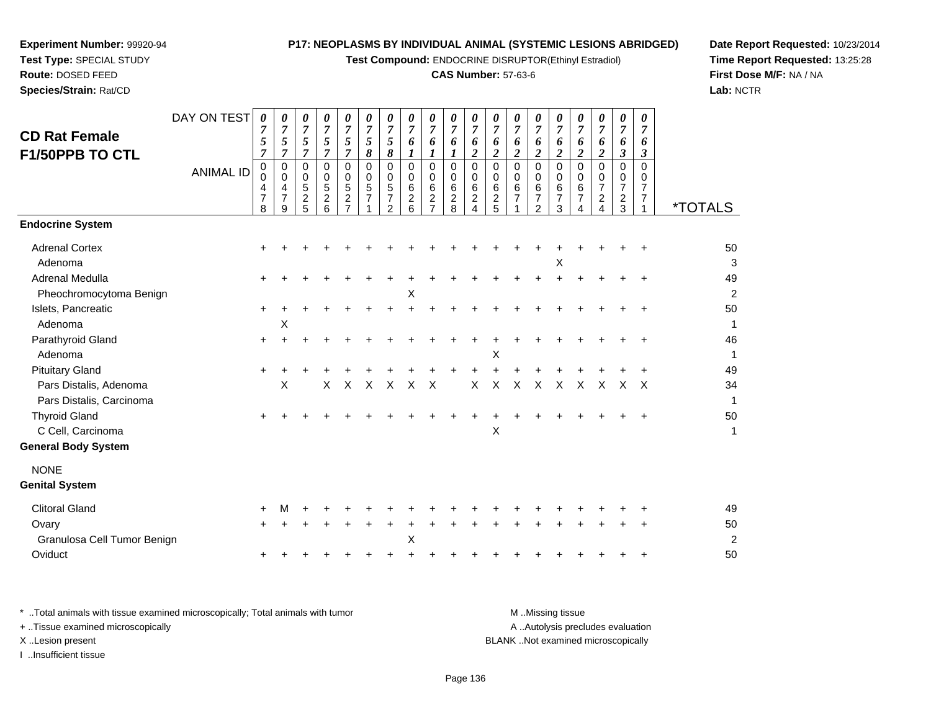**Test Compound:** ENDOCRINE DISRUPTOR(Ethinyl Estradiol)

# **CAS Number:** 57-63-6

**Date Report Requested:** 10/23/2014 **Time Report Requested:** 13:25:28**First Dose M/F:** NA / NA**Lab:** NCTR

|                             | DAY ON TEST      | 0                            | 0                   | 0                            | 0                     | 0                                         | 0                          | 0                               | 0                          | 0                            | 0                        | 0                          | 0                       | 0                   | 0                                | 0                         | 0                   | 0                   | 0                       | 0                    |                       |
|-----------------------------|------------------|------------------------------|---------------------|------------------------------|-----------------------|-------------------------------------------|----------------------------|---------------------------------|----------------------------|------------------------------|--------------------------|----------------------------|-------------------------|---------------------|----------------------------------|---------------------------|---------------------|---------------------|-------------------------|----------------------|-----------------------|
| <b>CD Rat Female</b>        |                  | $\overline{7}$<br>$\sqrt{5}$ | $\overline{7}$<br>5 | $\overline{7}$<br>$\sqrt{5}$ | $\boldsymbol{7}$<br>5 | $\boldsymbol{7}$<br>5                     | $\overline{7}$<br>5        | $\overline{7}$<br>5             | $\overline{7}$<br>6        | $\overline{7}$<br>6          | $\overline{7}$<br>6      | $\overline{7}$<br>6        | $\overline{7}$<br>6     | $\overline{7}$<br>6 | $\overline{7}$<br>6              | $\overline{7}$<br>6       | $\overline{7}$<br>6 | $\overline{7}$<br>6 | $\overline{7}$<br>6     | $\overline{7}$<br>6  |                       |
| F1/50PPB TO CTL             |                  | $\overline{7}$               | $\overline{7}$      | $\boldsymbol{7}$             | $\overline{7}$        | $\overline{7}$                            | $\pmb{8}$                  | 8                               | $\boldsymbol{l}$           | 1                            | $\boldsymbol{l}$         | $\overline{\mathbf{c}}$    | $\boldsymbol{2}$        | $\boldsymbol{2}$    | $\overline{c}$                   | $\boldsymbol{2}$          | $\overline{2}$      | $\boldsymbol{2}$    | $\boldsymbol{\beta}$    | $\boldsymbol{\beta}$ |                       |
|                             | <b>ANIMAL ID</b> | $_{\rm 0}^{\rm 0}$           | $\mathbf 0$<br>0    | $\pmb{0}$<br>$\pmb{0}$       | $\mathbf 0$<br>0      | $\mathbf 0$<br>$\mathbf 0$                | $\mathbf 0$<br>$\mathbf 0$ | $\Omega$<br>0                   | $\mathbf 0$<br>$\mathbf 0$ | 0<br>$\pmb{0}$               | $\mathbf 0$<br>$\pmb{0}$ | $\mathbf 0$<br>$\mathbf 0$ | $\Omega$<br>$\mathbf 0$ | $\Omega$<br>0       | $\mathbf 0$<br>$\mathbf 0$       | $\mathbf 0$<br>0          | $\Omega$<br>0       | $\Omega$<br>0       | $\Omega$<br>$\mathbf 0$ | $\Omega$<br>0        |                       |
|                             |                  | 4                            | $\overline{4}$      | $\sqrt{5}$                   | 5                     | 5                                         | $\sqrt{5}$                 | $\sqrt{5}$                      | 6                          | 6                            | $\,6\,$                  | $\,6\,$                    | $\,6$                   | 6                   | 6                                | 6                         | $\,6\,$             | $\overline{7}$      | $\overline{7}$          | $\overline{7}$       |                       |
|                             |                  | $\overline{7}$<br>8          | $\overline{7}$<br>9 | $\overline{c}$<br>5          | $\overline{2}$<br>6   | $\overline{\mathbf{c}}$<br>$\overline{7}$ | $\overline{7}$             | $\overline{7}$<br>$\mathcal{P}$ | $\overline{c}$<br>6        | $\sqrt{2}$<br>$\overline{7}$ | $\frac{2}{8}$            | $\overline{c}$<br>4        | $\sqrt{2}$<br>5         | $\overline{7}$      | $\overline{7}$<br>$\overline{2}$ | $\boldsymbol{7}$<br>3     | $\overline{7}$<br>4 | $\overline{a}$<br>4 | $\overline{c}$<br>3     | 7<br>1               | <i><b>*TOTALS</b></i> |
| <b>Endocrine System</b>     |                  |                              |                     |                              |                       |                                           |                            |                                 |                            |                              |                          |                            |                         |                     |                                  |                           |                     |                     |                         |                      |                       |
| <b>Adrenal Cortex</b>       |                  |                              |                     |                              |                       |                                           |                            |                                 |                            |                              |                          |                            |                         |                     |                                  |                           |                     |                     |                         |                      | 50                    |
| Adenoma                     |                  |                              |                     |                              |                       |                                           |                            |                                 |                            |                              |                          |                            |                         |                     |                                  | $\boldsymbol{\mathsf{X}}$ |                     |                     |                         |                      | 3                     |
| Adrenal Medulla             |                  | +                            |                     |                              |                       |                                           |                            |                                 |                            |                              |                          |                            |                         |                     |                                  |                           |                     |                     |                         |                      | 49                    |
| Pheochromocytoma Benign     |                  |                              |                     |                              |                       |                                           |                            |                                 | Х                          |                              |                          |                            |                         |                     |                                  |                           |                     |                     |                         |                      | $\overline{c}$        |
| Islets, Pancreatic          |                  | $\pm$                        |                     |                              |                       |                                           |                            |                                 |                            |                              |                          |                            |                         |                     |                                  |                           |                     |                     |                         |                      | 50                    |
| Adenoma                     |                  |                              | Χ                   |                              |                       |                                           |                            |                                 |                            |                              |                          |                            |                         |                     |                                  |                           |                     |                     |                         |                      | 1                     |
| Parathyroid Gland           |                  | +                            |                     |                              |                       |                                           |                            |                                 |                            |                              |                          |                            |                         |                     |                                  |                           |                     |                     |                         |                      | 46                    |
| Adenoma                     |                  |                              |                     |                              |                       |                                           |                            |                                 |                            |                              |                          |                            | X                       |                     |                                  |                           |                     |                     |                         |                      | $\mathbf{1}$          |
| <b>Pituitary Gland</b>      |                  | $\pm$                        |                     |                              |                       |                                           |                            |                                 |                            |                              |                          |                            |                         |                     |                                  |                           |                     |                     |                         |                      | 49                    |
| Pars Distalis, Adenoma      |                  |                              | X                   |                              | X                     | $\times$                                  | X                          | $\times$                        | $\times$                   | $\times$                     |                          | $\mathsf{X}$               | $\mathsf{X}$            | $\times$            | $\mathsf{X}$                     | X                         | $\mathsf{X}$        | X                   | X                       | $\times$             | 34                    |
| Pars Distalis, Carcinoma    |                  |                              |                     |                              |                       |                                           |                            |                                 |                            |                              |                          |                            |                         |                     |                                  |                           |                     |                     |                         |                      | $\mathbf{1}$          |
| <b>Thyroid Gland</b>        |                  | $\pm$                        |                     |                              |                       |                                           |                            |                                 |                            |                              |                          |                            |                         |                     |                                  |                           |                     |                     |                         |                      | 50                    |
| C Cell, Carcinoma           |                  |                              |                     |                              |                       |                                           |                            |                                 |                            |                              |                          |                            | X                       |                     |                                  |                           |                     |                     |                         |                      | $\mathbf{1}$          |
| <b>General Body System</b>  |                  |                              |                     |                              |                       |                                           |                            |                                 |                            |                              |                          |                            |                         |                     |                                  |                           |                     |                     |                         |                      |                       |
| <b>NONE</b>                 |                  |                              |                     |                              |                       |                                           |                            |                                 |                            |                              |                          |                            |                         |                     |                                  |                           |                     |                     |                         |                      |                       |
| <b>Genital System</b>       |                  |                              |                     |                              |                       |                                           |                            |                                 |                            |                              |                          |                            |                         |                     |                                  |                           |                     |                     |                         |                      |                       |
| <b>Clitoral Gland</b>       |                  |                              |                     |                              |                       |                                           |                            |                                 |                            |                              |                          |                            |                         |                     |                                  |                           |                     |                     |                         |                      | 49                    |
| Ovary                       |                  |                              |                     |                              |                       |                                           |                            |                                 |                            |                              |                          |                            |                         |                     |                                  |                           |                     |                     |                         |                      | 50                    |
| Granulosa Cell Tumor Benign |                  |                              |                     |                              |                       |                                           |                            |                                 | Χ                          |                              |                          |                            |                         |                     |                                  |                           |                     |                     |                         |                      | $\boldsymbol{2}$      |
| Oviduct                     |                  |                              |                     |                              |                       |                                           |                            |                                 |                            |                              |                          |                            |                         |                     |                                  |                           |                     |                     |                         |                      | 50                    |
|                             |                  |                              |                     |                              |                       |                                           |                            |                                 |                            |                              |                          |                            |                         |                     |                                  |                           |                     |                     |                         |                      |                       |

| Total animals with tissue examined microscopically: Total animals with tumor. | M Missing tissue                   |
|-------------------------------------------------------------------------------|------------------------------------|
| + Tissue examined microscopically                                             | A Autolysis precludes evaluation   |
| X Lesion present                                                              | BLANK Not examined microscopically |
| Insufficient tissue                                                           |                                    |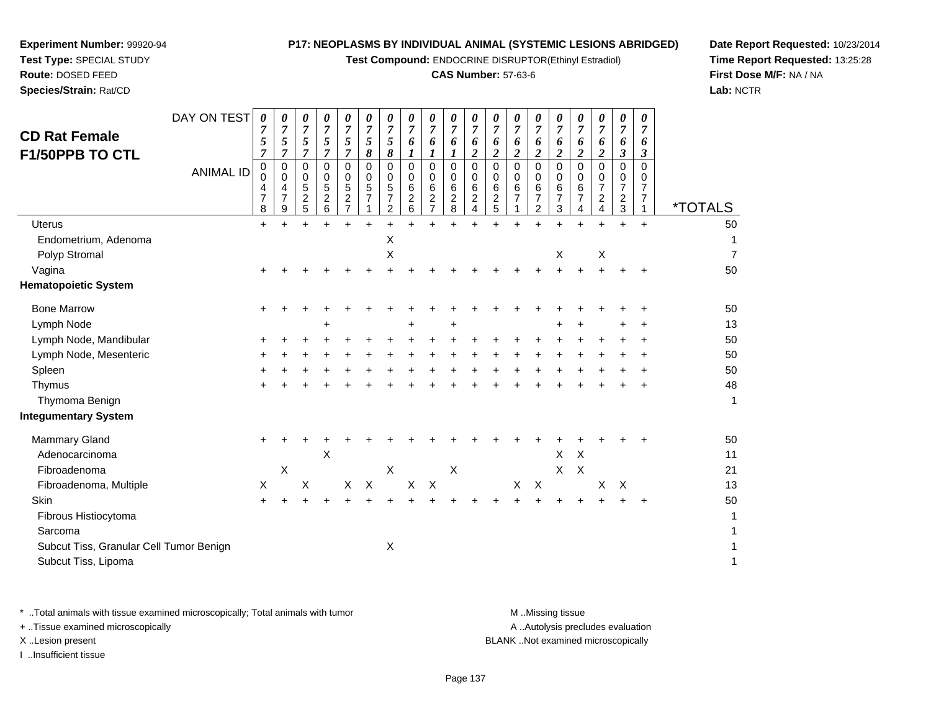**Test Compound:** ENDOCRINE DISRUPTOR(Ethinyl Estradiol)

# **CAS Number:** 57-63-6

**Date Report Requested:** 10/23/2014**Time Report Requested:** 13:25:28**First Dose M/F:** NA / NA**Lab:** NCTR

| <b>CD Rat Female</b><br><b>F1/50PPB TO CTL</b>                 | DAY ON TEST<br><b>ANIMAL ID</b> | 0<br>7<br>5<br>$\overline{7}$<br>0<br>$\Omega$<br>4<br>$\overline{7}$<br>8 | 0<br>$\overline{7}$<br>5<br>$\overline{7}$<br>$\mathbf 0$<br>0<br>4<br>$\overline{7}$<br>9 | 0<br>$\overline{7}$<br>5<br>$\overline{7}$<br>$\mathbf 0$<br>0<br>5<br>$\overline{c}$<br>5 | 0<br>$\overline{7}$<br>5<br>$\overline{7}$<br>$\pmb{0}$<br>0<br>$\overline{5}$<br>$\boldsymbol{2}$<br>6 | 0<br>7<br>5<br>$\overline{7}$<br>0<br>0<br>5<br>$\overline{\mathbf{c}}$<br>$\overline{7}$ | 0<br>7<br>5<br>8<br>0<br>0<br>5<br>$\overline{7}$ | 0<br>$\overline{7}$<br>5<br>8<br>$\Omega$<br>0<br>5<br>$\overline{7}$<br>2 | 0<br>$\overline{7}$<br>6<br>1<br>$\mathbf 0$<br>0<br>6<br>$\overline{\mathbf{c}}$<br>6 | 0<br>$\overline{7}$<br>6<br>1<br>$\mathbf 0$<br>0<br>6<br>$\frac{2}{7}$ | 0<br>$\overline{7}$<br>6<br>1<br>$\mathbf 0$<br>0<br>6<br>$_{\rm 2}^2$ | 0<br>$\overline{7}$<br>6<br>$\boldsymbol{2}$<br>$\mathbf 0$<br>0<br>6<br>$_4^2$ | 0<br>$\overline{7}$<br>6<br>$\overline{2}$<br>$\mathbf 0$<br>0<br>$\,6\,$<br>$\frac{2}{5}$ | 0<br>7<br>6<br>$\overline{\mathbf{2}}$<br>$\Omega$<br>$\Omega$<br>6<br>$\overline{7}$ | 0<br>$\overline{7}$<br>6<br>$\boldsymbol{2}$<br>$\mathbf 0$<br>0<br>6<br>$\overline{7}$<br>$\overline{2}$ | 0<br>$\overline{7}$<br>6<br>$\overline{2}$<br>$\mathbf 0$<br>0<br>6<br>$\overline{7}$<br>3 | 0<br>$\overline{7}$<br>6<br>$\boldsymbol{2}$<br>0<br>0<br>6<br>$\overline{7}$<br>4 | 0<br>7<br>6<br>$\boldsymbol{2}$<br>$\Omega$<br>0<br>$\overline{7}$<br>$\overline{\mathbf{c}}$<br>4 | 0<br>$\overline{7}$<br>6<br>$\mathfrak{z}$<br>$\mathbf 0$<br>0<br>$\overline{7}$<br>$\overline{c}$<br>$\mathbf{3}$ | 0<br>$\overline{7}$<br>6<br>$\mathbf{3}$<br>$\Omega$<br>0<br>$\overline{7}$<br>$\overline{7}$<br>1 | <i><b>*TOTALS</b></i> |
|----------------------------------------------------------------|---------------------------------|----------------------------------------------------------------------------|--------------------------------------------------------------------------------------------|--------------------------------------------------------------------------------------------|---------------------------------------------------------------------------------------------------------|-------------------------------------------------------------------------------------------|---------------------------------------------------|----------------------------------------------------------------------------|----------------------------------------------------------------------------------------|-------------------------------------------------------------------------|------------------------------------------------------------------------|---------------------------------------------------------------------------------|--------------------------------------------------------------------------------------------|---------------------------------------------------------------------------------------|-----------------------------------------------------------------------------------------------------------|--------------------------------------------------------------------------------------------|------------------------------------------------------------------------------------|----------------------------------------------------------------------------------------------------|--------------------------------------------------------------------------------------------------------------------|----------------------------------------------------------------------------------------------------|-----------------------|
| <b>Uterus</b>                                                  |                                 | $\ddot{}$                                                                  |                                                                                            |                                                                                            |                                                                                                         |                                                                                           | $\ddot{}$                                         |                                                                            | $\ddot{}$                                                                              | $\ddot{}$                                                               |                                                                        |                                                                                 |                                                                                            |                                                                                       |                                                                                                           |                                                                                            | $\ddot{}$                                                                          |                                                                                                    | $\ddot{}$                                                                                                          | $+$                                                                                                | 50                    |
| Endometrium, Adenoma                                           |                                 |                                                                            |                                                                                            |                                                                                            |                                                                                                         |                                                                                           |                                                   | $\boldsymbol{\mathsf{X}}$                                                  |                                                                                        |                                                                         |                                                                        |                                                                                 |                                                                                            |                                                                                       |                                                                                                           |                                                                                            |                                                                                    |                                                                                                    |                                                                                                                    |                                                                                                    | 1                     |
| Polyp Stromal                                                  |                                 |                                                                            |                                                                                            |                                                                                            |                                                                                                         |                                                                                           |                                                   | Χ                                                                          |                                                                                        |                                                                         |                                                                        |                                                                                 |                                                                                            |                                                                                       |                                                                                                           | X                                                                                          |                                                                                    | $\mathsf X$                                                                                        |                                                                                                                    |                                                                                                    | $\overline{7}$        |
| Vagina                                                         |                                 |                                                                            |                                                                                            |                                                                                            |                                                                                                         |                                                                                           |                                                   |                                                                            |                                                                                        |                                                                         |                                                                        |                                                                                 |                                                                                            |                                                                                       |                                                                                                           |                                                                                            |                                                                                    |                                                                                                    |                                                                                                                    |                                                                                                    | 50                    |
| <b>Hematopoietic System</b>                                    |                                 |                                                                            |                                                                                            |                                                                                            |                                                                                                         |                                                                                           |                                                   |                                                                            |                                                                                        |                                                                         |                                                                        |                                                                                 |                                                                                            |                                                                                       |                                                                                                           |                                                                                            |                                                                                    |                                                                                                    |                                                                                                                    |                                                                                                    |                       |
| <b>Bone Marrow</b>                                             |                                 |                                                                            |                                                                                            |                                                                                            |                                                                                                         |                                                                                           |                                                   |                                                                            |                                                                                        |                                                                         |                                                                        |                                                                                 |                                                                                            |                                                                                       |                                                                                                           |                                                                                            |                                                                                    |                                                                                                    |                                                                                                                    |                                                                                                    | 50                    |
| Lymph Node                                                     |                                 |                                                                            |                                                                                            |                                                                                            |                                                                                                         |                                                                                           |                                                   |                                                                            | +                                                                                      |                                                                         |                                                                        |                                                                                 |                                                                                            |                                                                                       |                                                                                                           |                                                                                            |                                                                                    |                                                                                                    |                                                                                                                    |                                                                                                    | 13                    |
| Lymph Node, Mandibular                                         |                                 |                                                                            |                                                                                            |                                                                                            |                                                                                                         |                                                                                           |                                                   |                                                                            |                                                                                        |                                                                         |                                                                        |                                                                                 |                                                                                            |                                                                                       |                                                                                                           |                                                                                            |                                                                                    |                                                                                                    |                                                                                                                    |                                                                                                    | 50                    |
| Lymph Node, Mesenteric                                         |                                 |                                                                            |                                                                                            |                                                                                            |                                                                                                         |                                                                                           |                                                   |                                                                            |                                                                                        |                                                                         |                                                                        |                                                                                 |                                                                                            |                                                                                       |                                                                                                           |                                                                                            |                                                                                    |                                                                                                    |                                                                                                                    |                                                                                                    | 50                    |
| Spleen                                                         |                                 |                                                                            |                                                                                            |                                                                                            |                                                                                                         |                                                                                           |                                                   |                                                                            |                                                                                        |                                                                         |                                                                        |                                                                                 |                                                                                            |                                                                                       |                                                                                                           |                                                                                            |                                                                                    |                                                                                                    |                                                                                                                    |                                                                                                    | 50                    |
| Thymus                                                         |                                 |                                                                            |                                                                                            |                                                                                            |                                                                                                         |                                                                                           |                                                   |                                                                            |                                                                                        |                                                                         |                                                                        |                                                                                 |                                                                                            |                                                                                       |                                                                                                           |                                                                                            |                                                                                    |                                                                                                    |                                                                                                                    |                                                                                                    | 48                    |
| Thymoma Benign                                                 |                                 |                                                                            |                                                                                            |                                                                                            |                                                                                                         |                                                                                           |                                                   |                                                                            |                                                                                        |                                                                         |                                                                        |                                                                                 |                                                                                            |                                                                                       |                                                                                                           |                                                                                            |                                                                                    |                                                                                                    |                                                                                                                    |                                                                                                    | $\mathbf{1}$          |
| <b>Integumentary System</b>                                    |                                 |                                                                            |                                                                                            |                                                                                            |                                                                                                         |                                                                                           |                                                   |                                                                            |                                                                                        |                                                                         |                                                                        |                                                                                 |                                                                                            |                                                                                       |                                                                                                           |                                                                                            |                                                                                    |                                                                                                    |                                                                                                                    |                                                                                                    |                       |
| <b>Mammary Gland</b>                                           |                                 | ٠                                                                          |                                                                                            |                                                                                            |                                                                                                         |                                                                                           |                                                   |                                                                            |                                                                                        |                                                                         |                                                                        |                                                                                 |                                                                                            |                                                                                       |                                                                                                           |                                                                                            |                                                                                    |                                                                                                    |                                                                                                                    |                                                                                                    | 50                    |
| Adenocarcinoma                                                 |                                 |                                                                            |                                                                                            |                                                                                            | Χ                                                                                                       |                                                                                           |                                                   |                                                                            |                                                                                        |                                                                         |                                                                        |                                                                                 |                                                                                            |                                                                                       |                                                                                                           | X                                                                                          | $\boldsymbol{\mathsf{X}}$                                                          |                                                                                                    |                                                                                                                    |                                                                                                    | 11                    |
| Fibroadenoma                                                   |                                 |                                                                            | $\pmb{\times}$                                                                             |                                                                                            |                                                                                                         |                                                                                           |                                                   | $\times$                                                                   |                                                                                        |                                                                         | $\times$                                                               |                                                                                 |                                                                                            |                                                                                       |                                                                                                           | X                                                                                          | $\times$                                                                           |                                                                                                    |                                                                                                                    |                                                                                                    | 21                    |
| Fibroadenoma, Multiple                                         |                                 | Χ                                                                          |                                                                                            | X                                                                                          |                                                                                                         | X                                                                                         | $\times$                                          |                                                                            | X                                                                                      | $\boldsymbol{\mathsf{X}}$                                               |                                                                        |                                                                                 |                                                                                            | X                                                                                     | $\boldsymbol{\mathsf{X}}$                                                                                 |                                                                                            |                                                                                    | X                                                                                                  | X                                                                                                                  |                                                                                                    | 13                    |
| Skin                                                           |                                 |                                                                            |                                                                                            |                                                                                            |                                                                                                         |                                                                                           |                                                   |                                                                            |                                                                                        |                                                                         |                                                                        |                                                                                 |                                                                                            |                                                                                       |                                                                                                           |                                                                                            |                                                                                    |                                                                                                    |                                                                                                                    |                                                                                                    | 50                    |
| Fibrous Histiocytoma                                           |                                 |                                                                            |                                                                                            |                                                                                            |                                                                                                         |                                                                                           |                                                   |                                                                            |                                                                                        |                                                                         |                                                                        |                                                                                 |                                                                                            |                                                                                       |                                                                                                           |                                                                                            |                                                                                    |                                                                                                    |                                                                                                                    |                                                                                                    | 1                     |
| Sarcoma                                                        |                                 |                                                                            |                                                                                            |                                                                                            |                                                                                                         |                                                                                           |                                                   |                                                                            |                                                                                        |                                                                         |                                                                        |                                                                                 |                                                                                            |                                                                                       |                                                                                                           |                                                                                            |                                                                                    |                                                                                                    |                                                                                                                    |                                                                                                    | 1                     |
| Subcut Tiss, Granular Cell Tumor Benign<br>Subcut Tiss, Lipoma |                                 |                                                                            |                                                                                            |                                                                                            |                                                                                                         |                                                                                           |                                                   | $\boldsymbol{\mathsf{X}}$                                                  |                                                                                        |                                                                         |                                                                        |                                                                                 |                                                                                            |                                                                                       |                                                                                                           |                                                                                            |                                                                                    |                                                                                                    |                                                                                                                    |                                                                                                    | 1<br>$\mathbf{1}$     |
|                                                                |                                 |                                                                            |                                                                                            |                                                                                            |                                                                                                         |                                                                                           |                                                   |                                                                            |                                                                                        |                                                                         |                                                                        |                                                                                 |                                                                                            |                                                                                       |                                                                                                           |                                                                                            |                                                                                    |                                                                                                    |                                                                                                                    |                                                                                                    |                       |

**Experiment Number:** 99920-94**Test Type:** SPECIAL STUDY**Route:** DOSED FEED**Species/Strain:** Rat/CD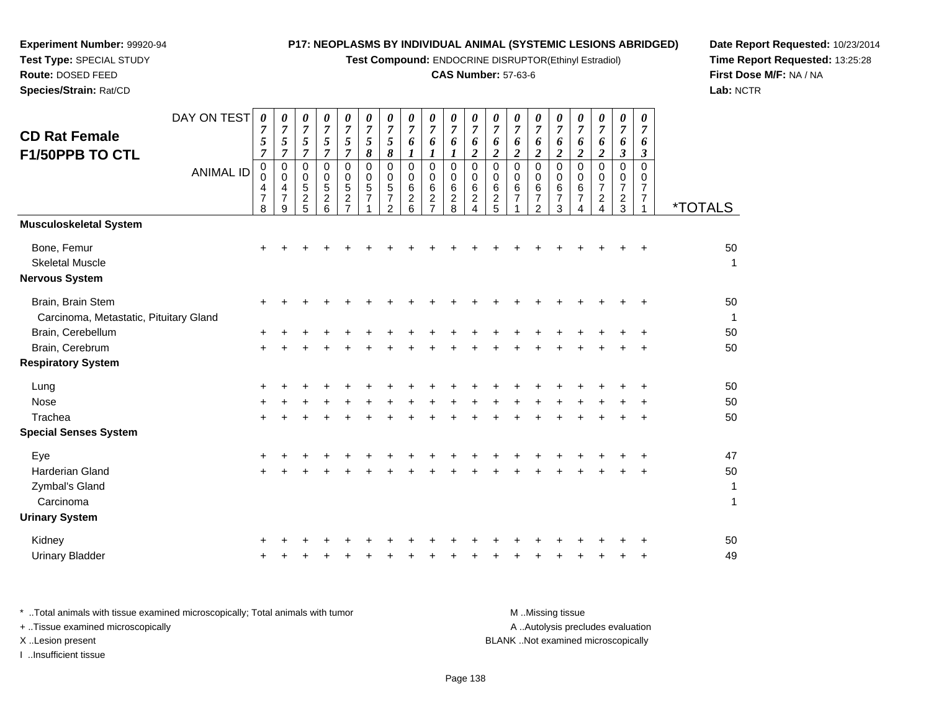**Test Compound:** ENDOCRINE DISRUPTOR(Ethinyl Estradiol)

# **CAS Number:** 57-63-6

**Date Report Requested:** 10/23/2014 **Time Report Requested:** 13:25:28**First Dose M/F:** NA / NA**Lab:** NCTR

| <b>CD Rat Female</b><br>F1/50PPB TO CTL                        | DAY ON TEST<br><b>ANIMAL ID</b> | $\boldsymbol{\theta}$<br>$\overline{7}$<br>5<br>$\overline{7}$<br>$\mathbf 0$<br>0<br>4<br>$\overline{7}$<br>8 | 0<br>$\overline{7}$<br>$\mathfrak{s}$<br>$\overline{7}$<br>$\mathbf 0$<br>$\Omega$<br>4<br>$\overline{7}$<br>9 | 0<br>$\overline{7}$<br>5<br>$\overline{7}$<br>0<br>0<br>5<br>$\frac{2}{5}$ | 0<br>$\overline{7}$<br>5<br>$\overline{7}$<br>$\mathbf 0$<br>0<br>5<br>$\frac{2}{6}$ | 0<br>$\boldsymbol{7}$<br>5<br>$\overline{7}$<br>$\mathbf 0$<br>$\mathbf 0$<br>$\sqrt{5}$<br>$\frac{2}{7}$ | 0<br>$\overline{7}$<br>5<br>8<br>$\Omega$<br>$\mathbf 0$<br>5<br>$\overline{7}$ | 0<br>$\overline{7}$<br>5<br>8<br>$\mathbf 0$<br>0<br>$\sqrt{5}$<br>$\overline{\mathbf{7}}$<br>$\overline{a}$ | 0<br>$\overline{7}$<br>6<br>$\boldsymbol{l}$<br>$\mathbf 0$<br>0<br>$\,6$<br>$\frac{2}{6}$ | 0<br>$\overline{7}$<br>6<br>1<br>$\Omega$<br>$\mathbf 0$<br>6<br>$\boldsymbol{2}$<br>$\overline{7}$ | 0<br>$\overline{7}$<br>6<br>1<br>$\mathbf 0$<br>$\mathbf 0$<br>$\,6\,$<br>$\frac{2}{8}$ | 0<br>$\overline{7}$<br>6<br>$\boldsymbol{2}$<br>0<br>0<br>$6\phantom{a}$<br>$\frac{2}{4}$ | 0<br>$\boldsymbol{7}$<br>6<br>$\overline{c}$<br>$\mathbf 0$<br>0<br>6<br>$\frac{2}{5}$ | 0<br>$\overline{7}$<br>6<br>$\overline{2}$<br>$\mathbf 0$<br>$\Omega$<br>6<br>$\overline{7}$ | 0<br>$\overline{7}$<br>6<br>$\overline{c}$<br>$\mathbf 0$<br>0<br>$\,6$<br>$\overline{7}$<br>$\overline{2}$ | 0<br>$\overline{7}$<br>6<br>$\overline{c}$<br>$\mathbf 0$<br>0<br>6<br>7<br>3 | 0<br>$\overline{7}$<br>6<br>$\overline{c}$<br>$\mathbf 0$<br>0<br>$\,6$<br>$\boldsymbol{7}$<br>$\overline{4}$ | 0<br>$\overline{7}$<br>6<br>$\overline{a}$<br>$\Omega$<br>0<br>$\overline{7}$<br>$\frac{2}{4}$ | 0<br>$\overline{7}$<br>6<br>$\boldsymbol{\beta}$<br>$\mathbf 0$<br>0<br>$\overline{7}$<br>$\frac{2}{3}$ | 0<br>$\overline{7}$<br>6<br>3<br>$\Omega$<br>0<br>7<br>$\boldsymbol{7}$<br>1 | <i><b>*TOTALS</b></i>       |
|----------------------------------------------------------------|---------------------------------|----------------------------------------------------------------------------------------------------------------|----------------------------------------------------------------------------------------------------------------|----------------------------------------------------------------------------|--------------------------------------------------------------------------------------|-----------------------------------------------------------------------------------------------------------|---------------------------------------------------------------------------------|--------------------------------------------------------------------------------------------------------------|--------------------------------------------------------------------------------------------|-----------------------------------------------------------------------------------------------------|-----------------------------------------------------------------------------------------|-------------------------------------------------------------------------------------------|----------------------------------------------------------------------------------------|----------------------------------------------------------------------------------------------|-------------------------------------------------------------------------------------------------------------|-------------------------------------------------------------------------------|---------------------------------------------------------------------------------------------------------------|------------------------------------------------------------------------------------------------|---------------------------------------------------------------------------------------------------------|------------------------------------------------------------------------------|-----------------------------|
| <b>Musculoskeletal System</b>                                  |                                 |                                                                                                                |                                                                                                                |                                                                            |                                                                                      |                                                                                                           |                                                                                 |                                                                                                              |                                                                                            |                                                                                                     |                                                                                         |                                                                                           |                                                                                        |                                                                                              |                                                                                                             |                                                                               |                                                                                                               |                                                                                                |                                                                                                         |                                                                              |                             |
| Bone, Femur<br><b>Skeletal Muscle</b><br><b>Nervous System</b> |                                 |                                                                                                                |                                                                                                                |                                                                            |                                                                                      |                                                                                                           |                                                                                 |                                                                                                              |                                                                                            |                                                                                                     |                                                                                         |                                                                                           |                                                                                        |                                                                                              |                                                                                                             |                                                                               |                                                                                                               |                                                                                                |                                                                                                         |                                                                              | 50<br>$\mathbf 1$           |
| Brain, Brain Stem<br>Carcinoma, Metastatic, Pituitary Gland    |                                 |                                                                                                                |                                                                                                                |                                                                            |                                                                                      |                                                                                                           |                                                                                 |                                                                                                              |                                                                                            |                                                                                                     |                                                                                         |                                                                                           |                                                                                        |                                                                                              |                                                                                                             |                                                                               |                                                                                                               |                                                                                                |                                                                                                         |                                                                              | 50<br>$\overline{1}$        |
| Brain, Cerebellum                                              |                                 |                                                                                                                |                                                                                                                |                                                                            |                                                                                      |                                                                                                           |                                                                                 |                                                                                                              |                                                                                            |                                                                                                     |                                                                                         |                                                                                           |                                                                                        |                                                                                              |                                                                                                             |                                                                               |                                                                                                               |                                                                                                |                                                                                                         |                                                                              | 50                          |
| Brain, Cerebrum                                                |                                 | +                                                                                                              |                                                                                                                |                                                                            |                                                                                      |                                                                                                           |                                                                                 |                                                                                                              |                                                                                            |                                                                                                     |                                                                                         |                                                                                           |                                                                                        |                                                                                              |                                                                                                             |                                                                               |                                                                                                               |                                                                                                |                                                                                                         |                                                                              | 50                          |
| <b>Respiratory System</b>                                      |                                 |                                                                                                                |                                                                                                                |                                                                            |                                                                                      |                                                                                                           |                                                                                 |                                                                                                              |                                                                                            |                                                                                                     |                                                                                         |                                                                                           |                                                                                        |                                                                                              |                                                                                                             |                                                                               |                                                                                                               |                                                                                                |                                                                                                         |                                                                              |                             |
| Lung                                                           |                                 |                                                                                                                |                                                                                                                |                                                                            |                                                                                      |                                                                                                           |                                                                                 |                                                                                                              |                                                                                            |                                                                                                     |                                                                                         |                                                                                           |                                                                                        |                                                                                              |                                                                                                             |                                                                               |                                                                                                               |                                                                                                |                                                                                                         |                                                                              | 50                          |
| Nose                                                           |                                 |                                                                                                                |                                                                                                                |                                                                            |                                                                                      |                                                                                                           |                                                                                 |                                                                                                              |                                                                                            |                                                                                                     |                                                                                         |                                                                                           |                                                                                        |                                                                                              |                                                                                                             |                                                                               |                                                                                                               |                                                                                                |                                                                                                         |                                                                              | 50                          |
| Trachea                                                        |                                 |                                                                                                                |                                                                                                                |                                                                            |                                                                                      |                                                                                                           |                                                                                 |                                                                                                              |                                                                                            |                                                                                                     |                                                                                         |                                                                                           |                                                                                        |                                                                                              |                                                                                                             |                                                                               |                                                                                                               |                                                                                                |                                                                                                         | ÷                                                                            | 50                          |
| <b>Special Senses System</b>                                   |                                 |                                                                                                                |                                                                                                                |                                                                            |                                                                                      |                                                                                                           |                                                                                 |                                                                                                              |                                                                                            |                                                                                                     |                                                                                         |                                                                                           |                                                                                        |                                                                                              |                                                                                                             |                                                                               |                                                                                                               |                                                                                                |                                                                                                         |                                                                              |                             |
| Eye                                                            |                                 |                                                                                                                |                                                                                                                |                                                                            |                                                                                      |                                                                                                           |                                                                                 |                                                                                                              |                                                                                            |                                                                                                     |                                                                                         |                                                                                           |                                                                                        |                                                                                              |                                                                                                             |                                                                               |                                                                                                               |                                                                                                |                                                                                                         |                                                                              | 47                          |
| <b>Harderian Gland</b>                                         |                                 |                                                                                                                |                                                                                                                |                                                                            |                                                                                      |                                                                                                           |                                                                                 |                                                                                                              |                                                                                            |                                                                                                     |                                                                                         |                                                                                           |                                                                                        |                                                                                              |                                                                                                             |                                                                               |                                                                                                               |                                                                                                |                                                                                                         |                                                                              | 50                          |
| Zymbal's Gland<br>Carcinoma                                    |                                 |                                                                                                                |                                                                                                                |                                                                            |                                                                                      |                                                                                                           |                                                                                 |                                                                                                              |                                                                                            |                                                                                                     |                                                                                         |                                                                                           |                                                                                        |                                                                                              |                                                                                                             |                                                                               |                                                                                                               |                                                                                                |                                                                                                         |                                                                              | $\mathbf{1}$<br>$\mathbf 1$ |
| <b>Urinary System</b>                                          |                                 |                                                                                                                |                                                                                                                |                                                                            |                                                                                      |                                                                                                           |                                                                                 |                                                                                                              |                                                                                            |                                                                                                     |                                                                                         |                                                                                           |                                                                                        |                                                                                              |                                                                                                             |                                                                               |                                                                                                               |                                                                                                |                                                                                                         |                                                                              |                             |
| Kidney                                                         |                                 |                                                                                                                |                                                                                                                |                                                                            |                                                                                      |                                                                                                           |                                                                                 |                                                                                                              |                                                                                            |                                                                                                     |                                                                                         |                                                                                           |                                                                                        |                                                                                              |                                                                                                             |                                                                               |                                                                                                               |                                                                                                |                                                                                                         |                                                                              | 50                          |
| <b>Urinary Bladder</b>                                         |                                 |                                                                                                                |                                                                                                                |                                                                            |                                                                                      |                                                                                                           |                                                                                 |                                                                                                              |                                                                                            |                                                                                                     |                                                                                         |                                                                                           |                                                                                        |                                                                                              |                                                                                                             |                                                                               |                                                                                                               |                                                                                                |                                                                                                         | +                                                                            | 49                          |

| * Total animals with tissue examined microscopically; Total animals with tumor | M Missina tissue                   |
|--------------------------------------------------------------------------------|------------------------------------|
| + Tissue examined microscopically                                              | A Autolysis precludes evaluation   |
| X Lesion present                                                               | BLANK Not examined microscopically |
| Insufficient tissue                                                            |                                    |